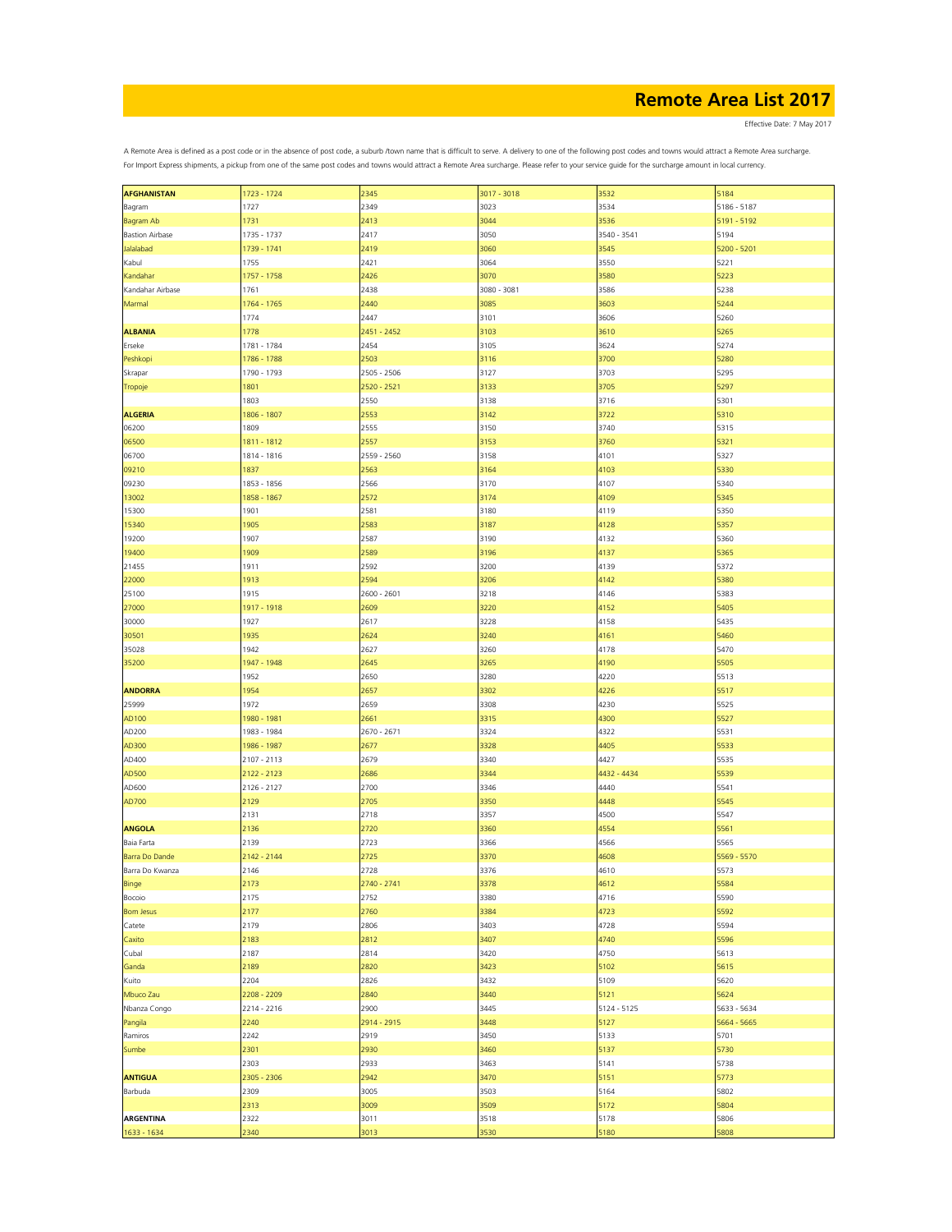Effective Date: 7 May 2017

| <b>AFGHANISTAN</b>     | 1723 - 1724 | 2345        | 3017 - 3018 | 3532        | 5184        |
|------------------------|-------------|-------------|-------------|-------------|-------------|
|                        |             |             |             |             |             |
| Bagram                 | 1727        | 2349        | 3023        | 3534        | 5186 - 5187 |
| Bagram Ab              | 1731        | 2413        | 3044        | 3536        | 5191 - 5192 |
| <b>Bastion Airbase</b> | 1735 - 1737 | 2417        | 3050        | 3540 - 3541 | 5194        |
| Jalalabad              | 1739 - 1741 | 2419        | 3060        | 3545        | 5200 - 5201 |
| Kabul                  | 1755        | 2421        | 3064        | 3550        | 5221        |
| Kandahar               | 1757 - 1758 | 2426        | 3070        | 3580        | 5223        |
| Kandahar Airbase       | 1761        | 2438        | 3080 - 3081 | 3586        | 5238        |
|                        |             |             |             |             |             |
| Marmal                 | 1764 - 1765 | 2440        | 3085        | 3603        | 5244        |
|                        | 1774        | 2447        | 3101        | 3606        | 5260        |
| <b>ALBANIA</b>         | 1778        | 2451 - 2452 | 3103        | 3610        | 5265        |
| Erseke                 | 1781 - 1784 | 2454        | 3105        | 3624        | 5274        |
| Peshkopi               | 1786 - 1788 | 2503        | 3116        | 3700        | 5280        |
| Skrapar                | 1790 - 1793 | 2505 - 2506 | 3127        | 3703        | 5295        |
|                        | 1801        | 2520 - 2521 | 3133        | 3705        | 5297        |
| Tropoje                |             |             |             |             |             |
|                        | 1803        | 2550        | 3138        | 3716        | 5301        |
| <b>ALGERIA</b>         | 1806 - 1807 | 2553        | 3142        | 3722        | 5310        |
| 06200                  | 1809        | 2555        | 3150        | 3740        | 5315        |
| 06500                  | 1811 - 1812 | 2557        | 3153        | 3760        | 5321        |
| 06700                  | 1814 - 1816 | 2559 - 2560 | 3158        | 4101        | 5327        |
| 09210                  | 1837        | 2563        | 3164        | 4103        | 5330        |
| 09230                  | 1853 - 1856 | 2566        | 3170        | 4107        | 5340        |
|                        |             |             |             |             |             |
| 13002                  | 1858 - 1867 | 2572        | 3174        | 4109        | 5345        |
| 15300                  | 1901        | 2581        | 3180        | 4119        | 5350        |
| 15340                  | 1905        | 2583        | 3187        | 4128        | 5357        |
| 19200                  | 1907        | 2587        | 3190        | 4132        | 5360        |
| 19400                  | 1909        | 2589        | 3196        | 4137        | 5365        |
| 21455                  | 1911        | 2592        | 3200        | 4139        | 5372        |
| 22000                  | 1913        | 2594        | 3206        | 4142        | 5380        |
| 25100                  | 1915        | 2600 - 2601 | 3218        | 4146        | 5383        |
| 27000                  | 1917 - 1918 | 2609        | 3220        | 4152        | 5405        |
| 30000                  | 1927        | 2617        | 3228        | 4158        | 5435        |
|                        |             |             |             |             |             |
| 30501                  | 1935        | 2624        | 3240        | 4161        | 5460        |
| 35028                  | 1942        | 2627        | 3260        | 4178        | 5470        |
| 35200                  | 1947 - 1948 | 2645        | 3265        | 4190        | 5505        |
|                        | 1952        | 2650        | 3280        | 4220        | 5513        |
| <b>ANDORRA</b>         | 1954        | 2657        | 3302        | 4226        | 5517        |
| 25999                  | 1972        | 2659        | 3308        | 4230        | 5525        |
| AD100                  | 1980 - 1981 | 2661        | 3315        | 4300        | 5527        |
| AD200                  | 1983 - 1984 | 2670 - 2671 | 3324        | 4322        | 5531        |
| AD300                  | 1986 - 1987 | 2677        | 3328        | 4405        | 5533        |
| AD400                  | 2107 - 2113 | 2679        | 3340        | 4427        | 5535        |
|                        |             |             |             |             |             |
| AD500                  | 2122 - 2123 | 2686        | 3344        | 4432 - 4434 | 5539        |
| AD600                  | 2126 - 2127 | 2700        | 3346        | 4440        | 5541        |
| AD700                  | 2129        | 2705        | 3350        | 4448        | 5545        |
|                        | 2131        | 2718        | 3357        | 4500        | 5547        |
| <b>ANGOLA</b>          | 2136        | 2720        | 3360        | 4554        | 5561        |
| Baia Farta             | 2139        | 2723        | 3366        | 4566        | 5565        |
| Barra Do Dande         | 2142 - 2144 | 2725        | 3370        | 4608        | 5569 - 5570 |
| Barra Do Kwanza        | 2146        | 2728        | 3376        | 4610        | 5573        |
| Binge                  | 2173        | 2740 - 2741 | 3378        | 4612        | 5584        |
| Bocoio                 | 2175        | 2752        | 3380        | 4716        | 5590        |
|                        |             | 2760        | 3384        |             |             |
| <b>Bom Jesus</b>       | 2177        |             |             | 4723        | 5592        |
| Catete                 | 2179        | 2806        | 3403        | 4728        | 5594        |
| Caxito                 | 2183        | 2812        | 3407        | 4740        | 5596        |
| Cubal                  | 2187        | 2814        | 3420        | 4750        | 5613        |
| Ganda                  | 2189        | 2820        | 3423        | 5102        | 5615        |
| Kuito                  | 2204        | 2826        | 3432        | 5109        | 5620        |
| Mbuco Zau              | 2208 - 2209 | 2840        | 3440        | 5121        | 5624        |
| Nbanza Congo           | 2214 - 2216 | 2900        | 3445        | 5124 - 5125 | 5633 - 5634 |
| Pangila                | 2240        | 2914 - 2915 | 3448        | 5127        | 5664 - 5665 |
| Ramiros                | 2242        | 2919        | 3450        | 5133        | 5701        |
|                        |             |             |             |             |             |
| Sumbe                  | 2301        | 2930        | 3460        | 5137        | 5730        |
|                        | 2303        | 2933        | 3463        | 5141        | 5738        |
| <b>ANTIGUA</b>         | 2305 - 2306 | 2942        | 3470        | 5151        | 5773        |
| Barbuda                | 2309        | 3005        | 3503        | 5164        | 5802        |
|                        | 2313        | 3009        | 3509        | 5172        | 5804        |
| <b>ARGENTINA</b>       | 2322        | 3011        | 3518        | 5178        | 5806        |
| 1633 - 1634            | 2340        | 3013        | 3530        | 5180        | 5808        |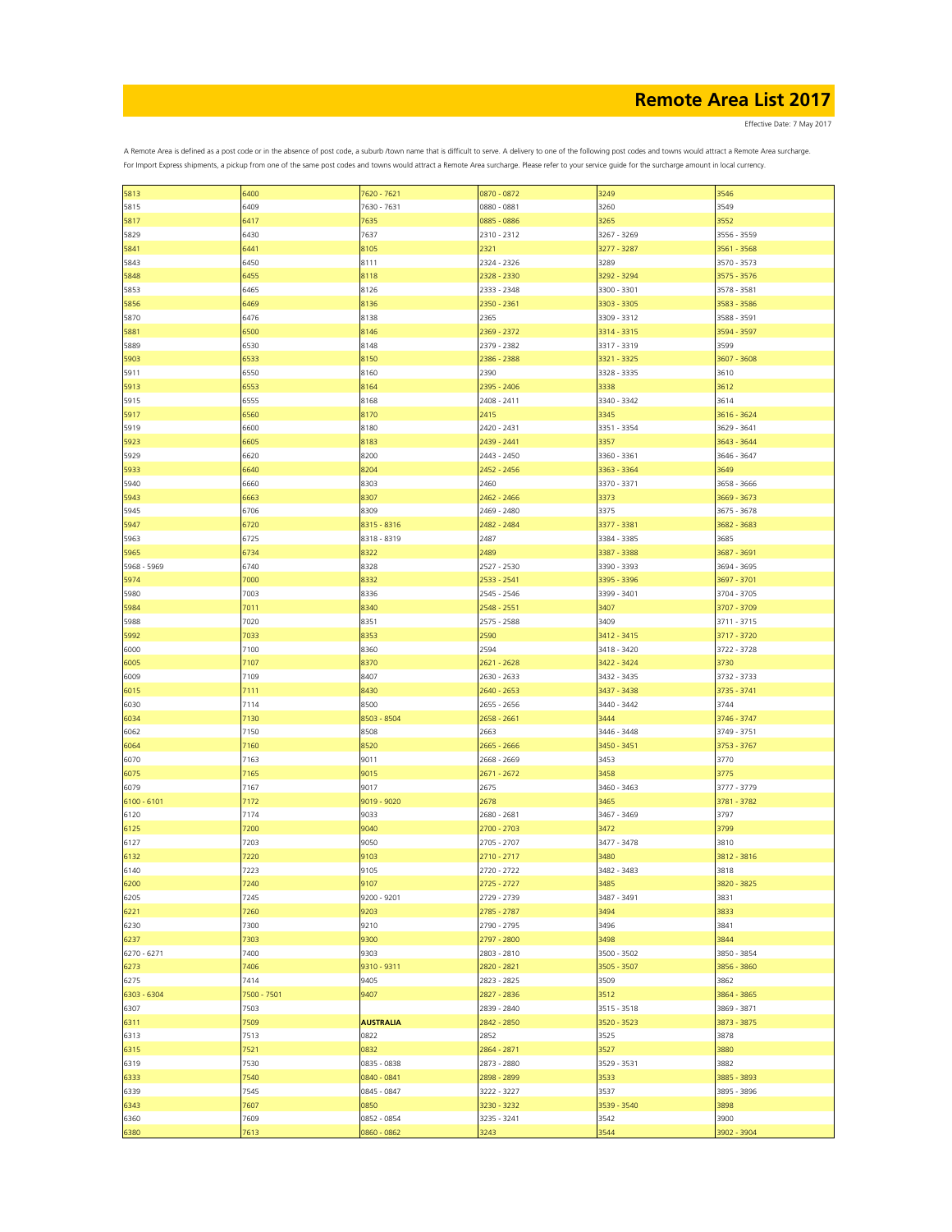Effective Date: 7 May 2017

| 5813          | 6400        | 7620 - 7621      | 0870 - 0872   | 3249        | 3546        |
|---------------|-------------|------------------|---------------|-------------|-------------|
|               |             |                  |               |             |             |
| 5815          | 6409        | 7630 - 7631      | 0880 - 0881   | 3260        | 3549        |
| 5817          | 6417        | 7635             | 0885 - 0886   | 3265        | 3552        |
| 5829          | 6430        | 7637             | 2310 - 2312   | 3267 - 3269 | 3556 - 3559 |
| 5841          | 6441        | 8105             | 2321          | 3277 - 3287 | 3561 - 3568 |
| 5843          | 6450        | 8111             | 2324 - 2326   | 3289        | 3570 - 3573 |
|               |             |                  |               |             |             |
| 5848          | 6455        | 8118             | 2328 - 2330   | 3292 - 3294 | 3575 - 3576 |
| 5853          | 6465        | 8126             | 2333 - 2348   | 3300 - 3301 | 3578 - 3581 |
| 5856          | 6469        | 8136             | 2350 - 2361   | 3303 - 3305 | 3583 - 3586 |
| 5870          | 6476        | 8138             | 2365          | 3309 - 3312 | 3588 - 3591 |
| 5881          | 6500        | 8146             | 2369 - 2372   | 3314 - 3315 | 3594 - 3597 |
| 5889          | 6530        | 8148             | 2379 - 2382   | 3317 - 3319 | 3599        |
|               |             |                  |               |             |             |
| 5903          | 6533        | 8150             | 2386 - 2388   | 3321 - 3325 | 3607 - 3608 |
| 5911          | 6550        | 8160             | 2390          | 3328 - 3335 | 3610        |
| 5913          | 6553        | 8164             | 2395 - 2406   | 3338        | 3612        |
| 5915          | 6555        | 8168             | 2408 - 2411   | 3340 - 3342 | 3614        |
| 5917          | 6560        | 8170             | 2415          | 3345        | 3616 - 3624 |
| 5919          | 6600        | 8180             | 2420 - 2431   | 3351 - 3354 | 3629 - 3641 |
| 5923          | 6605        | 8183             | 2439 - 2441   | 3357        | 3643 - 3644 |
|               |             |                  |               |             |             |
| 5929          | 6620        | 8200             | 2443 - 2450   | 3360 - 3361 | 3646 - 3647 |
| 5933          | 6640        | 8204             | 2452 - 2456   | 3363 - 3364 | 3649        |
| 5940          | 6660        | 8303             | 2460          | 3370 - 3371 | 3658 - 3666 |
| 5943          | 6663        | 8307             | 2462 - 2466   | 3373        | 3669 - 3673 |
| 5945          | 6706        | 8309             | 2469 - 2480   | 3375        | 3675 - 3678 |
|               |             |                  |               |             |             |
| 5947          | 6720        | 8315 - 8316      | 2482 - 2484   | 3377 - 3381 | 3682 - 3683 |
| 5963          | 6725        | 8318 - 8319      | 2487          | 3384 - 3385 | 3685        |
| 5965          | 6734        | 8322             | 2489          | 3387 - 3388 | 3687 - 3691 |
| 5968 - 5969   | 6740        | 8328             | 2527 - 2530   | 3390 - 3393 | 3694 - 3695 |
| 5974          | 7000        | 8332             | 2533 - 2541   | 3395 - 3396 | 3697 - 3701 |
| 5980          | 7003        | 8336             | 2545 - 2546   | 3399 - 3401 | 3704 - 3705 |
|               | 7011        | 8340             |               | 3407        | 3707 - 3709 |
| 5984          |             |                  | 2548 - 2551   |             |             |
| 5988          | 7020        | 8351             | 2575 - 2588   | 3409        | 3711 - 3715 |
| 5992          | 7033        | 8353             | 2590          | 3412 - 3415 | 3717 - 3720 |
| 6000          | 7100        | 8360             | 2594          | 3418 - 3420 | 3722 - 3728 |
| 6005          | 7107        | 8370             | 2621 - 2628   | 3422 - 3424 | 3730        |
| 6009          | 7109        | 8407             | 2630 - 2633   | 3432 - 3435 | 3732 - 3733 |
| 6015          | 7111        | 8430             | 2640 - 2653   | 3437 - 3438 | 3735 - 3741 |
|               |             |                  |               |             |             |
| 6030          | 7114        | 8500             | 2655 - 2656   | 3440 - 3442 | 3744        |
| 6034          | 7130        | 8503 - 8504      | 2658 - 2661   | 3444        | 3746 - 3747 |
| 6062          | 7150        | 8508             | 2663          | 3446 - 3448 | 3749 - 3751 |
| 6064          | 7160        | 8520             | 2665 - 2666   | 3450 - 3451 | 3753 - 3767 |
| 6070          | 7163        | 9011             | 2668 - 2669   | 3453        | 3770        |
| 6075          | 7165        | 9015             | 2671 - 2672   | 3458        | 3775        |
|               |             |                  |               |             |             |
| 6079          | 7167        | 9017             | 2675          | 3460 - 3463 | 3777 - 3779 |
| $6100 - 6101$ | 7172        | 9019 - 9020      | 2678          | 3465        | 3781 - 3782 |
| 6120          | 7174        | 9033             | 2680 - 2681   | 3467 - 3469 | 3797        |
| 6125          | 7200        | 9040             | 2700 - 2703   | 3472        | 3799        |
| 6127          | 7203        | 9050             | 2705 - 2707   | 3477 - 3478 | 3810        |
| 6132          | 7220        | 9103             | 2710 - 2717   | 3480        | 3812 - 3816 |
|               |             |                  |               |             |             |
| 6140          | 7223        | 9105             | $2720 - 2722$ | 3482 - 3483 | 3818        |
| 6200          | 7240        | 9107             | 2725 - 2727   | 3485        | 3820 - 3825 |
| 6205          | 7245        | 9200 - 9201      | 2729 - 2739   | 3487 - 3491 | 3831        |
| 6221          | 7260        | 9203             | 2785 - 2787   | 3494        | 3833        |
| 6230          | 7300        | 9210             | 2790 - 2795   | 3496        | 3841        |
| 6237          | 7303        | 9300             | 2797 - 2800   | 3498        | 3844        |
|               | 7400        | 9303             |               | 3500 - 3502 | 3850 - 3854 |
| 6270 - 6271   |             |                  | 2803 - 2810   |             |             |
| 6273          | 7406        | 9310 - 9311      | 2820 - 2821   | 3505 - 3507 | 3856 - 3860 |
| 6275          | 7414        | 9405             | 2823 - 2825   | 3509        | 3862        |
| 6303 - 6304   | 7500 - 7501 | 9407             | 2827 - 2836   | 3512        | 3864 - 3865 |
| 6307          | 7503        |                  | 2839 - 2840   | 3515 - 3518 | 3869 - 3871 |
| 6311          | 7509        | <b>AUSTRALIA</b> | 2842 - 2850   | 3520 - 3523 | 3873 - 3875 |
| 6313          | 7513        | 0822             | 2852          | 3525        | 3878        |
|               |             |                  |               |             |             |
| 6315          | 7521        | 0832             | 2864 - 2871   | 3527        | 3880        |
| 6319          | 7530        | 0835 - 0838      | 2873 - 2880   | 3529 - 3531 | 3882        |
| 6333          | 7540        | 0840 - 0841      | 2898 - 2899   | 3533        | 3885 - 3893 |
| 6339          | 7545        | 0845 - 0847      | 3222 - 3227   | 3537        | 3895 - 3896 |
| 6343          | 7607        | 0850             | 3230 - 3232   | 3539 - 3540 | 3898        |
| 6360          | 7609        | 0852 - 0854      | 3235 - 3241   | 3542        | 3900        |
|               |             |                  |               |             |             |
| 6380          | 7613        | 0860 - 0862      | 3243          | 3544        | 3902 - 3904 |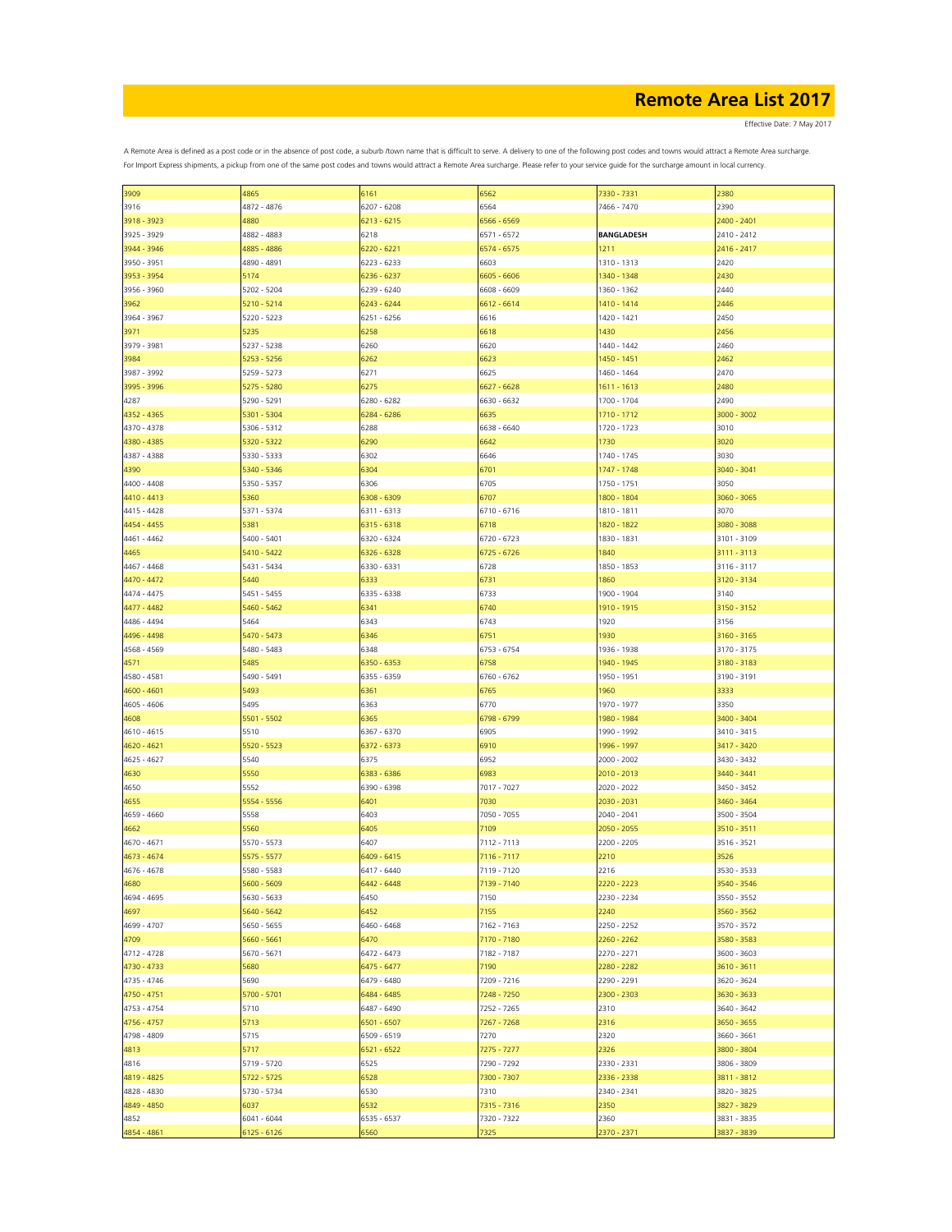Effective Date: 7 May 2017

| 3909        | 4865          | 6161          | 6562        | 7330 - 7331       | 2380        |
|-------------|---------------|---------------|-------------|-------------------|-------------|
| 3916        | 4872 - 4876   | 6207 - 6208   | 6564        | 7466 - 7470       | 2390        |
|             |               |               |             |                   |             |
| 3918 - 3923 | 4880          | $6213 - 6215$ | 6566 - 6569 |                   | 2400 - 2401 |
| 3925 - 3929 | 4882 - 4883   | 6218          | 6571 - 6572 | <b>BANGLADESH</b> | 2410 - 2412 |
|             |               |               |             |                   |             |
| 3944 - 3946 | 4885 - 4886   | 6220 - 6221   | 6574 - 6575 | 1211              | 2416 - 2417 |
| 3950 - 3951 | 4890 - 4891   | 6223 - 6233   | 6603        | 1310 - 1313       | 2420        |
|             |               |               | 6605 - 6606 |                   |             |
| 3953 - 3954 | 5174          | 6236 - 6237   |             | 1340 - 1348       | 2430        |
| 3956 - 3960 | 5202 - 5204   | 6239 - 6240   | 6608 - 6609 | 1360 - 1362       | 2440        |
| 3962        | $5210 - 5214$ | 6243 - 6244   | 6612 - 6614 | 1410 - 1414       | 2446        |
|             |               |               |             |                   |             |
| 3964 - 3967 | 5220 - 5223   | 6251 - 6256   | 6616        | 1420 - 1421       | 2450        |
| 3971        | 5235          | 6258          | 6618        | 1430              | 2456        |
|             |               |               |             |                   |             |
| 3979 - 3981 | 5237 - 5238   | 6260          | 6620        | 1440 - 1442       | 2460        |
| 3984        | 5253 - 5256   | 6262          | 6623        | 1450 - 1451       | 2462        |
|             |               |               |             |                   |             |
| 3987 - 3992 | 5259 - 5273   | 6271          | 6625        | 1460 - 1464       | 2470        |
| 3995 - 3996 | 5275 - 5280   | 6275          | 6627 - 6628 | 1611 - 1613       | 2480        |
|             |               |               |             |                   |             |
| 4287        | 5290 - 5291   | 6280 - 6282   | 6630 - 6632 | 1700 - 1704       | 2490        |
| 4352 - 4365 | 5301 - 5304   | 6284 - 6286   | 6635        | 1710 - 1712       | 3000 - 3002 |
|             |               |               |             |                   |             |
| 4370 - 4378 | 5306 - 5312   | 6288          | 6638 - 6640 | 1720 - 1723       | 3010        |
| 4380 - 4385 | 5320 - 5322   | 6290          | 6642        | 1730              | 3020        |
|             |               |               |             |                   |             |
| 4387 - 4388 | 5330 - 5333   | 6302          | 6646        | 1740 - 1745       | 3030        |
| 4390        | 5340 - 5346   | 6304          | 6701        | 1747 - 1748       | 3040 - 3041 |
|             |               |               |             |                   |             |
| 4400 - 4408 | 5350 - 5357   | 6306          | 6705        | 1750 - 1751       | 3050        |
| 4410 - 4413 | 5360          | 6308 - 6309   | 6707        | 1800 - 1804       | 3060 - 3065 |
|             |               |               |             |                   |             |
| 4415 - 4428 | 5371 - 5374   | 6311 - 6313   | 6710 - 6716 | 1810 - 1811       | 3070        |
| 4454 - 4455 | 5381          | 6315 - 6318   | 6718        | 1820 - 1822       | 3080 - 3088 |
|             |               |               |             |                   |             |
| 4461 - 4462 | 5400 - 5401   | 6320 - 6324   | 6720 - 6723 | 1830 - 1831       | 3101 - 3109 |
| 4465        | 5410 - 5422   | 6326 - 6328   | 6725 - 6726 | 1840              | 3111 - 3113 |
|             |               |               |             |                   |             |
| 4467 - 4468 | 5431 - 5434   | 6330 - 6331   | 6728        | 1850 - 1853       | 3116 - 3117 |
| 4470 - 4472 | 5440          | 6333          | 6731        | 1860              | 3120 - 3134 |
| 4474 - 4475 |               |               |             |                   |             |
|             | 5451 - 5455   | 6335 - 6338   | 6733        | 1900 - 1904       | 3140        |
| 4477 - 4482 | 5460 - 5462   | 6341          | 6740        | 1910 - 1915       | 3150 - 3152 |
|             |               |               |             |                   |             |
| 4486 - 4494 | 5464          | 6343          | 6743        | 1920              | 3156        |
| 4496 - 4498 | 5470 - 5473   | 6346          | 6751        | 1930              | 3160 - 3165 |
| 4568 - 4569 | 5480 - 5483   | 6348          | 6753 - 6754 | 1936 - 1938       | 3170 - 3175 |
|             |               |               |             |                   |             |
| 4571        | 5485          | 6350 - 6353   | 6758        | 1940 - 1945       | 3180 - 3183 |
| 4580 - 4581 | 5490 - 5491   | 6355 - 6359   | 6760 - 6762 | 1950 - 1951       | 3190 - 3191 |
|             |               |               |             |                   |             |
| 4600 - 4601 | 5493          | 6361          | 6765        | 1960              | 3333        |
| 4605 - 4606 | 5495          | 6363          | 6770        | 1970 - 1977       | 3350        |
|             |               |               |             |                   |             |
| 4608        | 5501 - 5502   | 6365          | 6798 - 6799 | 1980 - 1984       | 3400 - 3404 |
| 4610 - 4615 | 5510          | 6367 - 6370   | 6905        | 1990 - 1992       | 3410 - 3415 |
|             |               |               |             |                   |             |
| 4620 - 4621 | 5520 - 5523   | 6372 - 6373   | 6910        | 1996 - 1997       | 3417 - 3420 |
| 4625 - 4627 | 5540          | 6375          | 6952        | 2000 - 2002       | 3430 - 3432 |
|             |               |               |             |                   |             |
| 4630        | 5550          | 6383 - 6386   | 6983        | 2010 - 2013       | 3440 - 3441 |
| 4650        | 5552          | 6390 - 6398   | 7017 - 7027 | 2020 - 2022       | 3450 - 3452 |
|             |               |               |             |                   |             |
| 4655        | 5554 - 5556   | 6401          | 7030        | 2030 - 2031       | 3460 - 3464 |
| 4659 - 4660 | 5558          | 6403          | 7050 - 7055 | 2040 - 2041       | 3500 - 3504 |
|             |               |               |             |                   |             |
| 4662        | 5560          | 6405          | 7109        | $2050 - 2055$     | 3510 - 3511 |
| 4670 - 4671 | 5570 - 5573   | 6407          | 7112 - 7113 | 2200 - 2205       | 3516 - 3521 |
|             |               |               |             | 2210              |             |
| 4673 - 4674 | 5575 - 5577   | 6409 - 6415   | 7116 - 7117 |                   | 3526        |
| 4676 - 4678 | 5580 - 5583   | 6417 - 6440   | 7119 - 7120 | 2216              | 3530 - 3533 |
|             |               |               |             |                   |             |
| 4680        | 5600 - 5609   | 6442 - 6448   | 7139 - 7140 | 2220 - 2223       | 3540 - 3546 |
| 4694 - 4695 | 5630 - 5633   | 6450          | 7150        | 2230 - 2234       | 3550 - 3552 |
| 4697        | 5640 - 5642   | 6452          | 7155        | 2240              | 3560 - 3562 |
|             |               |               |             |                   |             |
| 4699 - 4707 | 5650 - 5655   | 6460 - 6468   | 7162 - 7163 | 2250 - 2252       | 3570 - 3572 |
| 4709        | 5660 - 5661   | 6470          | 7170 - 7180 | 2260 - 2262       | 3580 - 3583 |
|             |               |               |             |                   |             |
| 4712 - 4728 | 5670 - 5671   | 6472 - 6473   | 7182 - 7187 | 2270 - 2271       | 3600 - 3603 |
| 4730 - 4733 | 5680          | 6475 - 6477   | 7190        | 2280 - 2282       | 3610 - 3611 |
|             |               |               |             |                   |             |
| 4735 - 4746 | 5690          | 6479 - 6480   | 7209 - 7216 | 2290 - 2291       | 3620 - 3624 |
| 4750 - 4751 | 5700 - 5701   | 6484 - 6485   | 7248 - 7250 | 2300 - 2303       | 3630 - 3633 |
|             |               |               |             |                   |             |
| 4753 - 4754 | 5710          | 6487 - 6490   | 7252 - 7265 | 2310              | 3640 - 3642 |
| 4756 - 4757 | 5713          | 6501 - 6507   | 7267 - 7268 | 2316              | 3650 - 3655 |
|             |               |               |             |                   |             |
| 4798 - 4809 | 5715          | 6509 - 6519   | 7270        | 2320              | 3660 - 3661 |
| 4813        | 5717          | 6521 - 6522   | 7275 - 7277 | 2326              | 3800 - 3804 |
|             |               |               |             |                   |             |
| 4816        | 5719 - 5720   | 6525          | 7290 - 7292 | 2330 - 2331       | 3806 - 3809 |
| 4819 - 4825 | 5722 - 5725   | 6528          | 7300 - 7307 | 2336 - 2338       | 3811 - 3812 |
|             |               |               |             |                   |             |
| 4828 - 4830 | 5730 - 5734   | 6530          | 7310        | 2340 - 2341       | 3820 - 3825 |
| 4849 - 4850 | 6037          | 6532          | 7315 - 7316 | 2350              | 3827 - 3829 |
|             |               |               |             |                   |             |
| 4852        | 6041 - 6044   | 6535 - 6537   | 7320 - 7322 | 2360              | 3831 - 3835 |
| 4854 - 4861 | $6125 - 6126$ | 6560          | 7325        | 2370 - 2371       | 3837 - 3839 |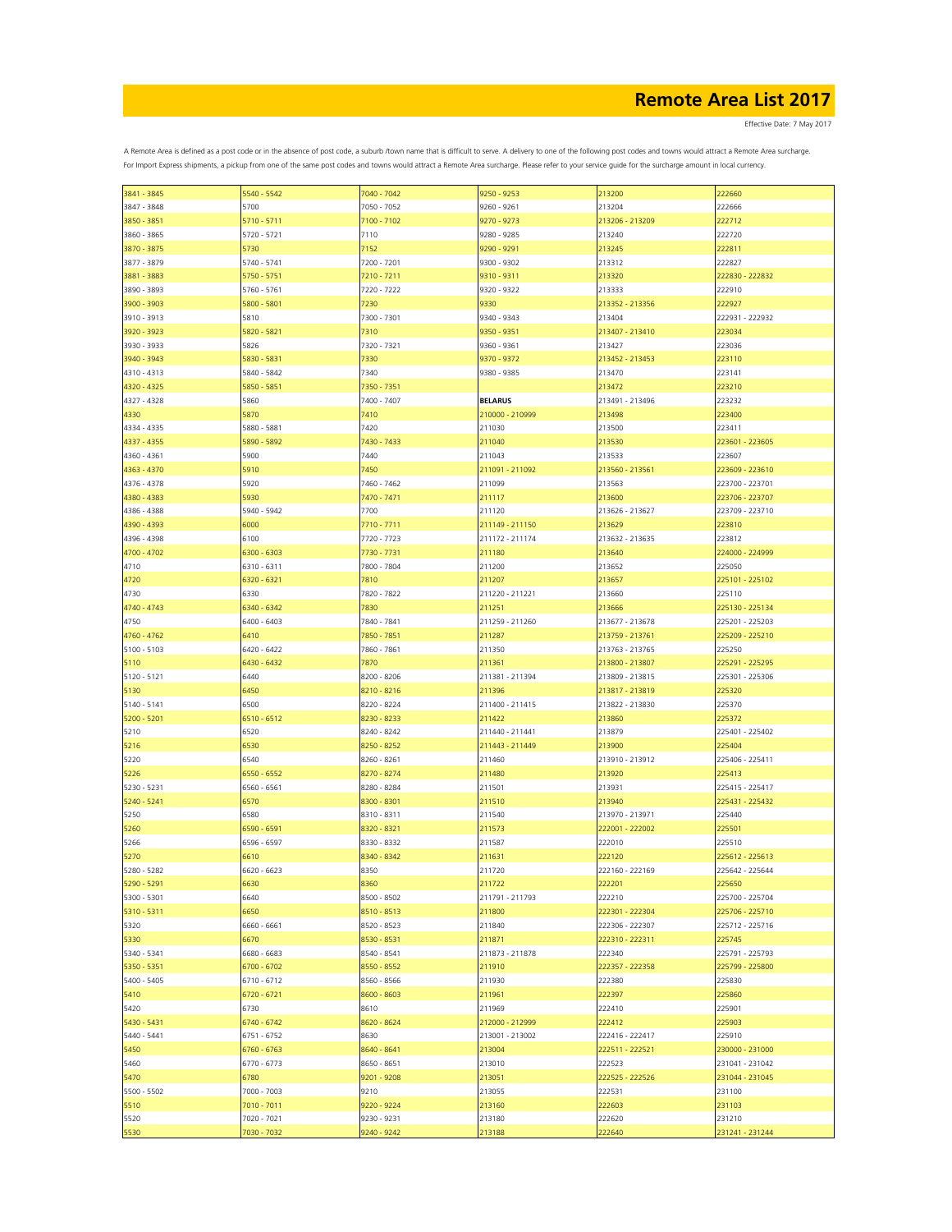Effective Date: 7 May 2017

| 3841 - 3845 | 5540 - 5542   | 7040 - 7042 | 9250 - 9253     | 213200          | 222660          |
|-------------|---------------|-------------|-----------------|-----------------|-----------------|
| 3847 - 3848 | 5700          | 7050 - 7052 | 9260 - 9261     | 213204          | 222666          |
|             |               |             |                 |                 |                 |
| 3850 - 3851 | 5710 - 5711   | 7100 - 7102 | 9270 - 9273     | 213206 - 213209 | 222712          |
| 3860 - 3865 | 5720 - 5721   | 7110        | 9280 - 9285     | 213240          | 222720          |
| 3870 - 3875 | 5730          | 7152        | 9290 - 9291     | 213245          | 222811          |
| 3877 - 3879 | 5740 - 5741   | 7200 - 7201 | 9300 - 9302     | 213312          | 222827          |
|             |               |             |                 |                 |                 |
| 3881 - 3883 | 5750 - 5751   | 7210 - 7211 | 9310 - 9311     | 213320          | 222830 - 222832 |
| 3890 - 3893 | 5760 - 5761   | 7220 - 7222 | 9320 - 9322     | 213333          | 222910          |
| 3900 - 3903 | 5800 - 5801   | 7230        | 9330            | 213352 - 213356 | 222927          |
|             |               |             |                 |                 |                 |
| 3910 - 3913 | 5810          | 7300 - 7301 | 9340 - 9343     | 213404          | 222931 - 222932 |
| 3920 - 3923 | 5820 - 5821   | 7310        | 9350 - 9351     | 213407 - 213410 | 223034          |
| 3930 - 3933 | 5826          | 7320 - 7321 | 9360 - 9361     | 213427          | 223036          |
| 3940 - 3943 | 5830 - 5831   | 7330        | 9370 - 9372     | 213452 - 213453 | 223110          |
|             |               |             |                 |                 |                 |
| 4310 - 4313 | 5840 - 5842   | 7340        | 9380 - 9385     | 213470          | 223141          |
| 4320 - 4325 | 5850 - 5851   | 7350 - 7351 |                 | 213472          | 223210          |
| 4327 - 4328 | 5860          | 7400 - 7407 | <b>BELARUS</b>  | 213491 - 213496 | 223232          |
|             | 5870          |             | 210000 - 210999 |                 |                 |
| 4330        |               | 7410        |                 | 213498          | 223400          |
| 4334 - 4335 | 5880 - 5881   | 7420        | 211030          | 213500          | 223411          |
| 4337 - 4355 | 5890 - 5892   | 7430 - 7433 | 211040          | 213530          | 223601 - 223605 |
| 4360 - 4361 | 5900          | 7440        | 211043          | 213533          | 223607          |
|             |               |             |                 |                 |                 |
| 4363 - 4370 | 5910          | 7450        | 211091 - 211092 | 213560 - 213561 | 223609 - 223610 |
| 4376 - 4378 | 5920          | 7460 - 7462 | 211099          | 213563          | 223700 - 223701 |
| 4380 - 4383 | 5930          | 7470 - 7471 | 211117          | 213600          | 223706 - 223707 |
|             |               |             |                 |                 |                 |
| 4386 - 4388 | 5940 - 5942   | 7700        | 211120          | 213626 - 213627 | 223709 - 223710 |
| 4390 - 4393 | 6000          | 7710 - 7711 | 211149 - 211150 | 213629          | 223810          |
| 4396 - 4398 | 6100          | 7720 - 7723 | 211172 - 211174 | 213632 - 213635 | 223812          |
| 4700 - 4702 | 6300 - 6303   | 7730 - 7731 | 211180          | 213640          | 224000 - 224999 |
|             |               |             |                 |                 |                 |
| 4710        | 6310 - 6311   | 7800 - 7804 | 211200          | 213652          | 225050          |
| 4720        | 6320 - 6321   | 7810        | 211207          | 213657          | 225101 - 225102 |
| 4730        | 6330          | 7820 - 7822 | 211220 - 211221 | 213660          | 225110          |
| 4740 - 4743 |               |             |                 |                 | 225130 - 225134 |
|             | 6340 - 6342   | 7830        | 211251          | 213666          |                 |
| 4750        | 6400 - 6403   | 7840 - 7841 | 211259 - 211260 | 213677 - 213678 | 225201 - 225203 |
| 4760 - 4762 | 6410          | 7850 - 7851 | 211287          | 213759 - 213761 | 225209 - 225210 |
| 5100 - 5103 | 6420 - 6422   | 7860 - 7861 | 211350          | 213763 - 213765 | 225250          |
|             |               |             |                 |                 |                 |
| 5110        | 6430 - 6432   | 7870        | 211361          | 213800 - 213807 | 225291 - 225295 |
| 5120 - 5121 | 6440          | 8200 - 8206 | 211381 - 211394 | 213809 - 213815 | 225301 - 225306 |
| 5130        | 6450          | 8210 - 8216 | 211396          | 213817 - 213819 | 225320          |
|             |               |             |                 |                 |                 |
| 5140 - 5141 | 6500          | 8220 - 8224 | 211400 - 211415 | 213822 - 213830 | 225370          |
| 5200 - 5201 | 6510 - 6512   | 8230 - 8233 | 211422          | 213860          | 225372          |
| 5210        | 6520          | 8240 - 8242 | 211440 - 211441 | 213879          | 225401 - 225402 |
|             | 6530          | 8250 - 8252 |                 | 213900          | 225404          |
| 5216        |               |             | 211443 - 211449 |                 |                 |
| 5220        | 6540          | 8260 - 8261 | 211460          | 213910 - 213912 | 225406 - 225411 |
| 5226        | 6550 - 6552   | 8270 - 8274 | 211480          | 213920          | 225413          |
| 5230 - 5231 | 6560 - 6561   | 8280 - 8284 | 211501          | 213931          | 225415 - 225417 |
|             |               |             |                 |                 |                 |
| 5240 - 5241 | 6570          | 8300 - 8301 | 211510          | 213940          | 225431 - 225432 |
| 5250        | 6580          | 8310 - 8311 | 211540          | 213970 - 213971 | 225440          |
| 5260        | 6590 - 6591   | 8320 - 8321 | 211573          | 222001 - 222002 | 225501          |
| 5266        | 6596 - 6597   | 8330 - 8332 | 211587          | 222010          | 225510          |
|             |               |             |                 |                 |                 |
| 5270        | 6610          | 8340 - 8342 | 211631          | 222120          | 225612 - 225613 |
| 5280 - 5282 | 6620 - 6623   | 8350        | 211720          | 222160 - 222169 | 225642 - 225644 |
| 5290 - 5291 | 6630          | 8360        | 211722          | 222201          | 225650          |
| 5300 - 5301 | 6640          | 8500 - 8502 | 211791 - 211793 | 222210          | 225700 - 225704 |
|             |               |             |                 |                 |                 |
| 5310 - 5311 | 6650          | 8510 - 8513 | 211800          | 222301 - 222304 | 225706 - 225710 |
| 5320        | 6660 - 6661   | 8520 - 8523 | 211840          | 222306 - 222307 | 225712 - 225716 |
| 5330        | 6670          | 8530 - 8531 | 211871          | 222310 - 222311 | 225745          |
|             |               | 8540 - 8541 |                 |                 |                 |
| 5340 - 5341 | 6680 - 6683   |             | 211873 - 211878 | 222340          | 225791 - 225793 |
| 5350 - 5351 | 6700 - 6702   | 8550 - 8552 | 211910          | 222357 - 222358 | 225799 - 225800 |
| 5400 - 5405 | 6710 - 6712   | 8560 - 8566 | 211930          | 222380          | 225830          |
| 5410        | $6720 - 6721$ | 8600 - 8603 | 211961          | 222397          | 225860          |
|             |               |             |                 |                 |                 |
| 5420        | 6730          | 8610        | 211969          | 222410          | 225901          |
| 5430 - 5431 | 6740 - 6742   | 8620 - 8624 | 212000 - 212999 | 222412          | 225903          |
| 5440 - 5441 | 6751 - 6752   | 8630        | 213001 - 213002 | 222416 - 222417 | 225910          |
| 5450        | 6760 - 6763   | 8640 - 8641 | 213004          | 222511 - 222521 | 230000 - 231000 |
|             |               |             |                 |                 |                 |
| 5460        | 6770 - 6773   | 8650 - 8651 | 213010          | 222523          | 231041 - 231042 |
| 5470        | 6780          | 9201 - 9208 | 213051          | 222525 - 222526 | 231044 - 231045 |
| 5500 - 5502 | 7000 - 7003   | 9210        | 213055          | 222531          | 231100          |
|             |               |             |                 |                 |                 |
| 5510        | 7010 - 7011   | 9220 - 9224 | 213160          | 222603          | 231103          |
| 5520        | 7020 - 7021   | 9230 - 9231 | 213180          | 222620          | 231210          |
| 5530        | 7030 - 7032   | 9240 - 9242 | 213188          | 222640          | 231241 - 231244 |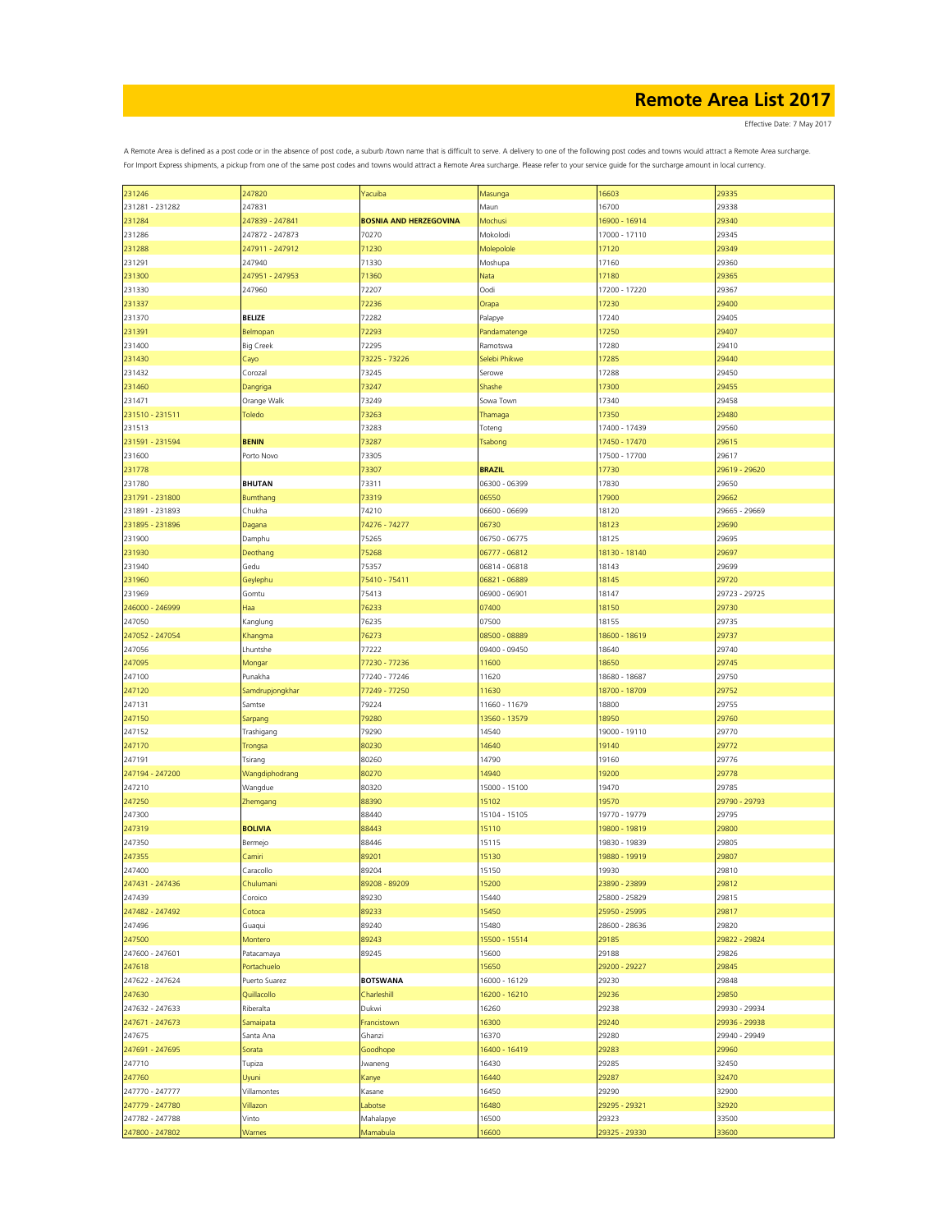Effective Date: 7 May 2017

| 231246          | 247820           | Yacuiba                       | Masunga       | 16603         | 29335         |
|-----------------|------------------|-------------------------------|---------------|---------------|---------------|
| 231281 - 231282 | 247831           |                               | Maun          | 16700         | 29338         |
| 231284          | 247839 - 247841  | <b>BOSNIA AND HERZEGOVINA</b> | Mochusi       | 16900 - 16914 | 29340         |
|                 |                  |                               |               |               |               |
| 231286          | 247872 - 247873  | 70270                         | Mokolodi      | 17000 - 17110 | 29345         |
| 231288          | 247911 - 247912  | 71230                         | Molepolole    | 17120         | 29349         |
| 231291          | 247940           | 71330                         | Moshupa       | 17160         | 29360         |
| 231300          | 247951 - 247953  |                               |               |               | 29365         |
|                 |                  | 71360                         | Nata          | 17180         |               |
| 231330          | 247960           | 72207                         | Oodi          | 17200 - 17220 | 29367         |
| 231337          |                  | 72236                         | Orapa         | 17230         | 29400         |
| 231370          | <b>BELIZE</b>    | 72282                         | Palapye       | 17240         | 29405         |
|                 |                  |                               |               |               | 29407         |
| 231391          | Belmopan         | 72293                         | Pandamatenge  | 17250         |               |
| 231400          | <b>Big Creek</b> | 72295                         | Ramotswa      | 17280         | 29410         |
| 231430          | Cayo             | 73225 - 73226                 | Selebi Phikwe | 17285         | 29440         |
| 231432          | Corozal          | 73245                         | Serowe        | 17288         | 29450         |
|                 |                  |                               |               |               |               |
| 231460          | Dangriga         | 73247                         | Shashe        | 17300         | 29455         |
| 231471          | Orange Walk      | 73249                         | Sowa Town     | 17340         | 29458         |
| 231510 - 231511 | Toledo           | 73263                         | Thamaga       | 17350         | 29480         |
| 231513          |                  | 73283                         | Toteng        | 17400 - 17439 | 29560         |
|                 |                  |                               |               |               |               |
| 231591 - 231594 | <b>BENIN</b>     | 73287                         | Tsabong       | 17450 - 17470 | 29615         |
| 231600          | Porto Novo       | 73305                         |               | 17500 - 17700 | 29617         |
| 231778          |                  | 73307                         | <b>BRAZIL</b> | 17730         | 29619 - 29620 |
| 231780          | <b>BHUTAN</b>    | 73311                         | 06300 - 06399 | 17830         | 29650         |
|                 |                  |                               |               |               |               |
| 231791 - 231800 | Bumthang         | 73319                         | 06550         | 17900         | 29662         |
| 231891 - 231893 | Chukha           | 74210                         | 06600 - 06699 | 18120         | 29665 - 29669 |
| 231895 - 231896 | Dagana           | 74276 - 74277                 | 06730         | 18123         | 29690         |
|                 |                  |                               | 06750 - 06775 |               |               |
| 231900          | Damphu           | 75265                         |               | 18125         | 29695         |
| 231930          | Deothang         | 75268                         | 06777 - 06812 | 18130 - 18140 | 29697         |
| 231940          | Gedu             | 75357                         | 06814 - 06818 | 18143         | 29699         |
| 231960          | Geylephu         | 75410 - 75411                 | 06821 - 06889 | 18145         | 29720         |
|                 |                  |                               |               |               |               |
| 231969          | Gomtu            | 75413                         | 06900 - 06901 | 18147         | 29723 - 29725 |
| 246000 - 246999 | Haa              | 76233                         | 07400         | 18150         | 29730         |
| 247050          | Kanglung         | 76235                         | 07500         | 18155         | 29735         |
| 247052 - 247054 | Khangma          | 76273                         | 08500 - 08889 | 18600 - 18619 | 29737         |
|                 |                  |                               |               |               |               |
| 247056          | Lhuntshe         | 77222                         | 09400 - 09450 | 18640         | 29740         |
| 247095          | Mongar           | 77230 - 77236                 | 11600         | 18650         | 29745         |
| 247100          | Punakha          | 77240 - 77246                 | 11620         | 18680 - 18687 | 29750         |
| 247120          | Samdrupjongkhar  | 77249 - 77250                 | 11630         | 18700 - 18709 | 29752         |
|                 |                  |                               |               |               |               |
| 247131          | Samtse           | 79224                         | 11660 - 11679 | 18800         | 29755         |
| 247150          | Sarpang          | 79280                         | 13560 - 13579 | 18950         | 29760         |
| 247152          | Trashigang       | 79290                         | 14540         | 19000 - 19110 | 29770         |
|                 |                  |                               |               |               |               |
| 247170          | Trongsa          | 80230                         | 14640         | 19140         | 29772         |
| 247191          | Tsirang          | 80260                         | 14790         | 19160         | 29776         |
| 247194 - 247200 | Wangdiphodrang   | 80270                         | 14940         | 19200         | 29778         |
| 247210          | Wangdue          | 80320                         | 15000 - 15100 | 19470         | 29785         |
|                 |                  |                               |               |               | 29790 - 29793 |
| 247250          | Zhemgang         | 88390                         | 15102         | 19570         |               |
| 247300          |                  | 88440                         | 15104 - 15105 | 19770 - 19779 | 29795         |
| 247319          | <b>BOLIVIA</b>   | 88443                         | 15110         | 19800 - 19819 | 29800         |
| 247350          | Bermejo          | 88446                         | 15115         | 19830 - 19839 | 29805         |
| 247355          | Camiri           | 89201                         | 15130         | 19880 - 19919 | 29807         |
|                 |                  |                               |               |               |               |
| 247400          | Caracollo        | 89204                         | 15150         | 19930         | 29810         |
| 247431 - 247436 | Chulumani        | 89208 - 89209                 | 15200         | 23890 - 23899 | 29812         |
| 247439          | Coroico          | 89230                         | 15440         | 25800 - 25829 | 29815         |
| 247482 - 247492 | Cotoca           | 89233                         | 15450         | 25950 - 25995 | 29817         |
|                 |                  |                               |               |               |               |
| 247496          | Guaqui           | 89240                         | 15480         | 28600 - 28636 | 29820         |
| 247500          | Montero          | 89243                         | 15500 - 15514 | 29185         | 29822 - 29824 |
| 247600 - 247601 | Patacamaya       | 89245                         | 15600         | 29188         | 29826         |
|                 | Portachuelo      |                               |               | 29200 - 29227 |               |
| 247618          |                  |                               | 15650         |               | 29845         |
| 247622 - 247624 | Puerto Suarez    | <b>BOTSWANA</b>               | 16000 - 16129 | 29230         | 29848         |
| 247630          | Quillacollo      | Charleshill                   | 16200 - 16210 | 29236         | 29850         |
| 247632 - 247633 | Riberalta        | Dukwi                         | 16260         | 29238         | 29930 - 29934 |
|                 |                  | Francistown                   |               |               |               |
| 247671 - 247673 | Samaipata        |                               | 16300         | 29240         | 29936 - 29938 |
| 247675          | Santa Ana        | Ghanzi                        | 16370         | 29280         | 29940 - 29949 |
| 247691 - 247695 | Sorata           | Goodhope                      | 16400 - 16419 | 29283         | 29960         |
| 247710          | Tupiza           | Jwaneng                       | 16430         | 29285         | 32450         |
|                 |                  |                               |               |               |               |
| 247760          | Uyuni            | Kanye                         | 16440         | 29287         | 32470         |
| 247770 - 247777 | Villamontes      | Kasane                        | 16450         | 29290         | 32900         |
| 247779 - 247780 | Villazon         | Labotse                       | 16480         | 29295 - 29321 | 32920         |
| 247782 - 247788 | Vinto            | Mahalapye                     | 16500         | 29323         | 33500         |
|                 |                  |                               |               |               |               |
| 247800 - 247802 | Warnes           | Mamabula                      | 16600         | 29325 - 29330 | 33600         |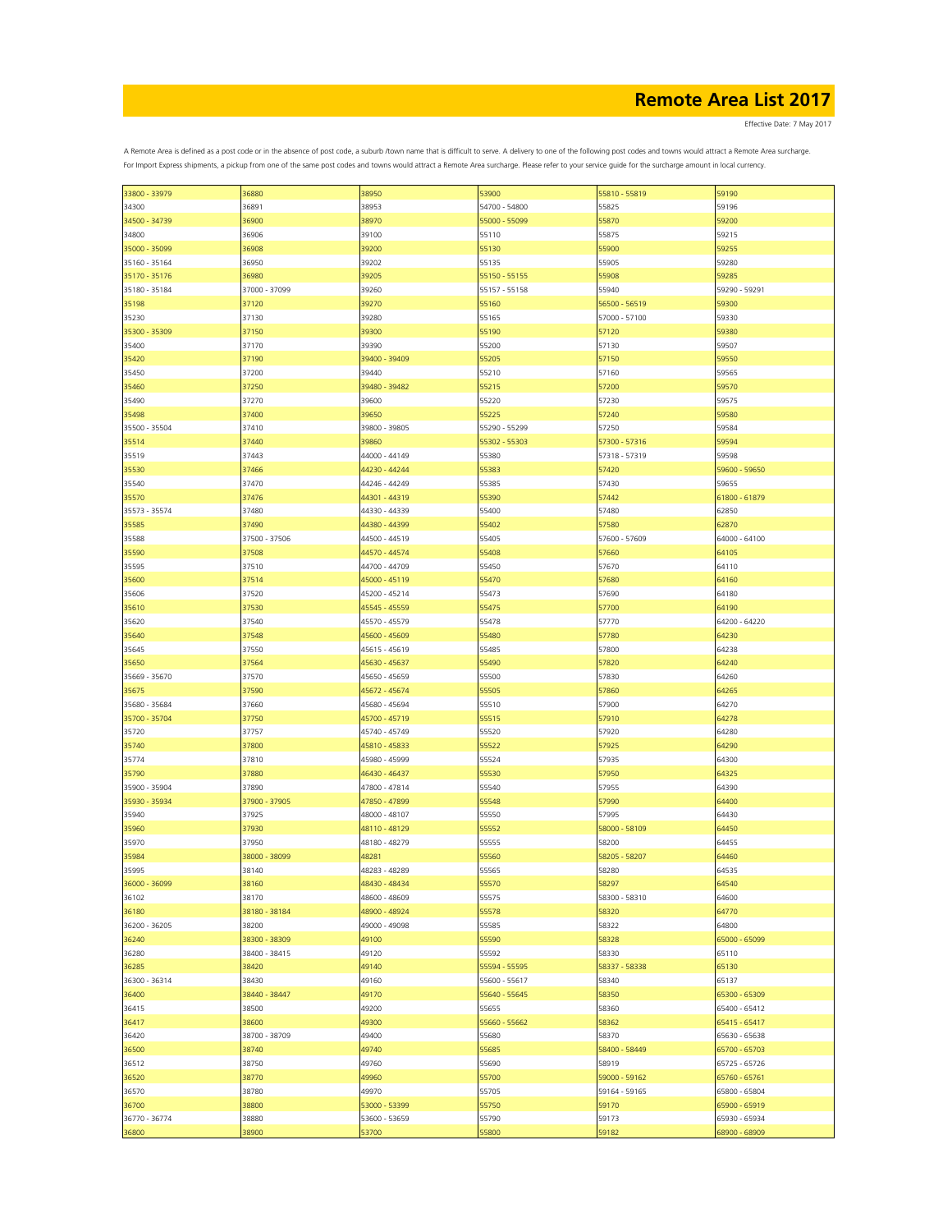Effective Date: 7 May 2017

| 33800 - 33979 | 36880         | 38950         | 53900         | 55810 - 55819 | 59190         |
|---------------|---------------|---------------|---------------|---------------|---------------|
| 34300         | 36891         | 38953         | 54700 - 54800 | 55825         | 59196         |
|               |               |               |               |               |               |
| 34500 - 34739 | 36900         | 38970         | 55000 - 55099 | 55870         | 59200         |
| 34800         | 36906         | 39100         | 55110         | 55875         | 59215         |
|               |               |               |               |               |               |
| 35000 - 35099 | 36908         | 39200         | 55130         | 55900         | 59255         |
| 35160 - 35164 | 36950         | 39202         | 55135         | 55905         | 59280         |
|               |               |               |               |               |               |
| 35170 - 35176 | 36980         | 39205         | 55150 - 55155 | 55908         | 59285         |
| 35180 - 35184 | 37000 - 37099 | 39260         | 55157 - 55158 | 55940         | 59290 - 59291 |
|               |               | 39270         |               | 56500 - 56519 |               |
| 35198         | 37120         |               | 55160         |               | 59300         |
| 35230         | 37130         | 39280         | 55165         | 57000 - 57100 | 59330         |
| 35300 - 35309 | 37150         | 39300         | 55190         | 57120         | 59380         |
|               |               |               |               |               |               |
| 35400         | 37170         | 39390         | 55200         | 57130         | 59507         |
| 35420         | 37190         | 39400 - 39409 | 55205         | 57150         | 59550         |
|               |               |               |               |               |               |
| 35450         | 37200         | 39440         | 55210         | 57160         | 59565         |
| 35460         | 37250         | 39480 - 39482 | 55215         | 57200         | 59570         |
|               |               |               |               |               |               |
| 35490         | 37270         | 39600         | 55220         | 57230         | 59575         |
| 35498         | 37400         | 39650         | 55225         | 57240         | 59580         |
|               |               |               |               |               |               |
| 35500 - 35504 | 37410         | 39800 - 39805 | 55290 - 55299 | 57250         | 59584         |
| 35514         | 37440         | 39860         | 55302 - 55303 | 57300 - 57316 | 59594         |
|               |               |               |               |               |               |
| 35519         | 37443         | 44000 - 44149 | 55380         | 57318 - 57319 | 59598         |
| 35530         | 37466         | 44230 - 44244 | 55383         | 57420         | 59600 - 59650 |
|               |               |               |               |               |               |
| 35540         | 37470         | 44246 - 44249 | 55385         | 57430         | 59655         |
| 35570         | 37476         | 44301 - 44319 | 55390         | 57442         | 61800 - 61879 |
|               |               |               |               |               |               |
| 35573 - 35574 | 37480         | 44330 - 44339 | 55400         | 57480         | 62850         |
| 35585         | 37490         | 44380 - 44399 | 55402         | 57580         | 62870         |
|               |               |               |               |               |               |
| 35588         | 37500 - 37506 | 44500 - 44519 | 55405         | 57600 - 57609 | 64000 - 64100 |
| 35590         | 37508         | 44570 - 44574 | 55408         | 57660         | 64105         |
|               |               |               |               |               |               |
| 35595         | 37510         | 44700 - 44709 | 55450         | 57670         | 64110         |
| 35600         | 37514         | 45000 - 45119 | 55470         | 57680         | 64160         |
|               |               |               |               |               |               |
| 35606         | 37520         | 45200 - 45214 | 55473         | 57690         | 64180         |
| 35610         | 37530         | 45545 - 45559 | 55475         | 57700         | 64190         |
|               |               |               |               |               | 64200 - 64220 |
| 35620         | 37540         | 45570 - 45579 | 55478         | 57770         |               |
| 35640         | 37548         | 45600 - 45609 | 55480         | 57780         | 64230         |
| 35645         | 37550         | 45615 - 45619 | 55485         | 57800         | 64238         |
|               |               |               |               |               |               |
| 35650         | 37564         | 45630 - 45637 | 55490         | 57820         | 64240         |
| 35669 - 35670 | 37570         | 45650 - 45659 | 55500         | 57830         | 64260         |
|               |               |               |               |               |               |
| 35675         | 37590         | 45672 - 45674 | 55505         | 57860         | 64265         |
| 35680 - 35684 | 37660         | 45680 - 45694 | 55510         | 57900         | 64270         |
|               |               |               |               |               |               |
| 35700 - 35704 | 37750         | 45700 - 45719 | 55515         | 57910         | 64278         |
| 35720         | 37757         | 45740 - 45749 | 55520         | 57920         | 64280         |
|               |               |               |               |               |               |
| 35740         | 37800         | 45810 - 45833 | 55522         | 57925         | 64290         |
| 35774         | 37810         | 45980 - 45999 | 55524         | 57935         | 64300         |
|               |               |               |               |               |               |
| 35790         | 37880         | 46430 - 46437 | 55530         | 57950         | 64325         |
| 35900 - 35904 | 37890         | 47800 - 47814 | 55540         | 57955         | 64390         |
|               |               |               |               |               |               |
| 35930 - 35934 | 37900 - 37905 | 47850 - 47899 | 55548         | 57990         | 64400         |
| 35940         | 37925         | 48000 - 48107 | 55550         | 57995         | 64430         |
|               |               |               |               |               |               |
| 35960         | 37930         | 48110 - 48129 | 55552         | 58000 - 58109 | 64450         |
| 35970         | 37950         | 48180 - 48279 | 55555         | 58200         | 64455         |
|               | 38000 - 38099 | 48281         | 55560         | 58205 - 58207 | 64460         |
| 35984         |               |               |               |               |               |
| 35995         | 38140         | 48283 - 48289 | 55565         | 58280         | 64535         |
| 36000 - 36099 | 38160         | 48430 - 48434 | 55570         | 58297         | 64540         |
|               |               |               |               |               |               |
| 36102         | 38170         | 48600 - 48609 | 55575         | 58300 - 58310 | 64600         |
| 36180         | 38180 - 38184 | 48900 - 48924 | 55578         | 58320         | 64770         |
|               |               |               |               |               |               |
| 36200 - 36205 | 38200         | 49000 - 49098 | 55585         | 58322         | 64800         |
| 36240         | 38300 - 38309 | 49100         | 55590         | 58328         | 65000 - 65099 |
|               |               |               |               |               |               |
| 36280         | 38400 - 38415 | 49120         | 55592         | 58330         | 65110         |
| 36285         | 38420         | 49140         | 55594 - 55595 | 58337 - 58338 | 65130         |
|               |               |               |               |               |               |
| 36300 - 36314 | 38430         | 49160         | 55600 - 55617 | 58340         | 65137         |
| 36400         | 38440 - 38447 | 49170         | 55640 - 55645 | 58350         | 65300 - 65309 |
|               |               |               |               |               |               |
| 36415         | 38500         | 49200         | 55655         | 58360         | 65400 - 65412 |
| 36417         | 38600         | 49300         | 55660 - 55662 | 58362         | 65415 - 65417 |
|               |               |               |               |               |               |
| 36420         | 38700 - 38709 | 49400         | 55680         | 58370         | 65630 - 65638 |
| 36500         | 38740         | 49740         | 55685         | 58400 - 58449 | 65700 - 65703 |
|               |               |               |               |               |               |
| 36512         | 38750         | 49760         | 55690         | 58919         | 65725 - 65726 |
| 36520         | 38770         | 49960         | 55700         | 59000 - 59162 | 65760 - 65761 |
|               |               |               |               |               |               |
| 36570         | 38780         | 49970         | 55705         | 59164 - 59165 | 65800 - 65804 |
| 36700         | 38800         | 53000 - 53399 | 55750         | 59170         | 65900 - 65919 |
|               | 38880         |               |               | 59173         |               |
| 36770 - 36774 |               | 53600 - 53659 | 55790         |               | 65930 - 65934 |
| 36800         | 38900         | 53700         | 55800         | 59182         | 68900 - 68909 |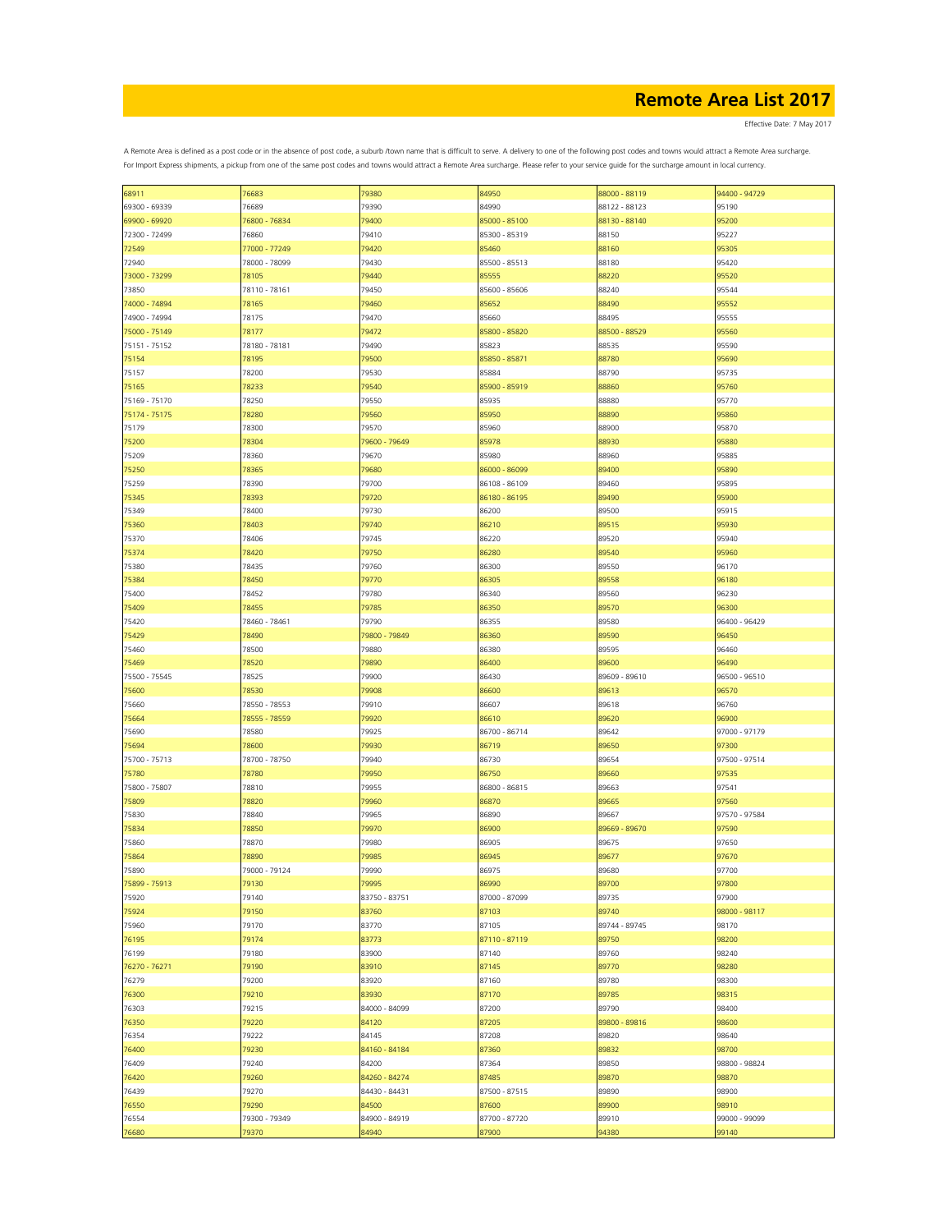Effective Date: 7 May 2017

|               | 76683         | 79380         | 84950         | 88000 - 88119 | 94400 - 94729 |
|---------------|---------------|---------------|---------------|---------------|---------------|
| 68911         |               |               |               |               |               |
| 69300 - 69339 | 76689         | 79390         | 84990         | 88122 - 88123 | 95190         |
| 69900 - 69920 | 76800 - 76834 | 79400         | 85000 - 85100 | 88130 - 88140 | 95200         |
| 72300 - 72499 | 76860         | 79410         | 85300 - 85319 | 88150         | 95227         |
| 72549         | 77000 - 77249 | 79420         | 85460         | 88160         | 95305         |
|               |               |               |               |               |               |
| 72940         | 78000 - 78099 | 79430         | 85500 - 85513 | 88180         | 95420         |
| 73000 - 73299 | 78105         | 79440         | 85555         | 88220         | 95520         |
| 73850         | 78110 - 78161 | 79450         | 85600 - 85606 | 88240         | 95544         |
| 74000 - 74894 | 78165         | 79460         | 85652         | 88490         | 95552         |
|               |               |               |               |               |               |
| 74900 - 74994 | 78175         | 79470         | 85660         | 88495         | 95555         |
| 75000 - 75149 | 78177         | 79472         | 85800 - 85820 | 88500 - 88529 | 95560         |
| 75151 - 75152 | 78180 - 78181 | 79490         | 85823         | 88535         | 95590         |
| 75154         | 78195         | 79500         | 85850 - 85871 | 88780         | 95690         |
|               |               |               |               |               |               |
| 75157         | 78200         | 79530         | 85884         | 88790         | 95735         |
| 75165         | 78233         | 79540         | 85900 - 85919 | 88860         | 95760         |
| 75169 - 75170 | 78250         | 79550         | 85935         | 88880         | 95770         |
| 75174 - 75175 | 78280         | 79560         | 85950         | 88890         | 95860         |
|               |               |               |               |               |               |
| 75179         | 78300         | 79570         | 85960         | 88900         | 95870         |
| 75200         | 78304         | 79600 - 79649 | 85978         | 88930         | 95880         |
| 75209         | 78360         | 79670         | 85980         | 88960         | 95885         |
|               |               |               | 86000 - 86099 | 89400         |               |
| 75250         | 78365         | 79680         |               |               | 95890         |
| 75259         | 78390         | 79700         | 86108 - 86109 | 89460         | 95895         |
| 75345         | 78393         | 79720         | 86180 - 86195 | 89490         | 95900         |
| 75349         | 78400         | 79730         | 86200         | 89500         | 95915         |
|               |               |               | 86210         |               |               |
| 75360         | 78403         | 79740         |               | 89515         | 95930         |
| 75370         | 78406         | 79745         | 86220         | 89520         | 95940         |
| 75374         | 78420         | 79750         | 86280         | 89540         | 95960         |
| 75380         | 78435         | 79760         | 86300         | 89550         | 96170         |
|               |               |               |               |               |               |
| 75384         | 78450         | 79770         | 86305         | 89558         | 96180         |
| 75400         | 78452         | 79780         | 86340         | 89560         | 96230         |
| 75409         | 78455         | 79785         | 86350         | 89570         | 96300         |
| 75420         | 78460 - 78461 | 79790         | 86355         | 89580         | 96400 - 96429 |
|               |               |               |               |               |               |
| 75429         | 78490         | 79800 - 79849 | 86360         | 89590         | 96450         |
| 75460         | 78500         | 79880         | 86380         | 89595         | 96460         |
| 75469         | 78520         | 79890         | 86400         | 89600         | 96490         |
| 75500 - 75545 | 78525         | 79900         | 86430         | 89609 - 89610 | 96500 - 96510 |
|               |               |               |               |               |               |
| 75600         | 78530         | 79908         | 86600         | 89613         | 96570         |
| 75660         | 78550 - 78553 | 79910         | 86607         | 89618         | 96760         |
| 75664         | 78555 - 78559 | 79920         | 86610         | 89620         | 96900         |
| 75690         | 78580         | 79925         | 86700 - 86714 | 89642         | 97000 - 97179 |
|               |               |               |               |               |               |
| 75694         | 78600         | 79930         | 86719         | 89650         | 97300         |
| 75700 - 75713 | 78700 - 78750 | 79940         | 86730         | 89654         | 97500 - 97514 |
| 75780         | 78780         | 79950         | 86750         | 89660         | 97535         |
|               |               |               |               |               |               |
| 75800 - 75807 | 78810         | 79955         | 86800 - 86815 | 89663         | 97541         |
| 75809         | 78820         | 79960         | 86870         | 89665         | 97560         |
| 75830         | 78840         | 79965         | 86890         | 89667         | 97570 - 97584 |
| 75834         | 78850         | 79970         | 86900         | 89669 - 89670 | 97590         |
|               |               |               |               |               |               |
| 75860         | 78870         | 79980         | 86905         | 89675         | 97650         |
| 75864         | 78890         | 79985         | 86945         | 89677         | 97670         |
| 75890         | 79000 - 79124 | 79990         | 86975         | 89680         | 97700         |
| 75899 - 75913 | 79130         | 79995         | 86990         | 89700         | 97800         |
|               | 79140         |               |               | 89735         | 97900         |
| 75920         |               | 83750 - 83751 | 87000 - 87099 |               |               |
| 75924         | 79150         | 83760         | 87103         | 89740         | 98000 - 98117 |
| 75960         | 79170         | 83770         | 87105         | 89744 - 89745 | 98170         |
| 76195         | 79174         | 83773         | 87110 - 87119 | 89750         | 98200         |
|               |               |               |               |               |               |
| 76199         | 79180         | 83900         | 87140         | 89760         | 98240         |
| 76270 - 76271 | 79190         | 83910         | 87145         | 89770         | 98280         |
| 76279         | 79200         | 83920         | 87160         | 89780         | 98300         |
| 76300         | 79210         | 83930         | 87170         | 89785         | 98315         |
|               |               |               |               |               |               |
| 76303         | 79215         | 84000 - 84099 | 87200         | 89790         | 98400         |
| 76350         | 79220         | 84120         | 87205         | 89800 - 89816 | 98600         |
| 76354         | 79222         | 84145         | 87208         | 89820         | 98640         |
| 76400         | 79230         | 84160 - 84184 | 87360         | 89832         | 98700         |
|               |               |               |               |               |               |
| 76409         | 79240         | 84200         | 87364         | 89850         | 98800 - 98824 |
| 76420         | 79260         | 84260 - 84274 | 87485         | 89870         | 98870         |
| 76439         | 79270         | 84430 - 84431 | 87500 - 87515 | 89890         | 98900         |
| 76550         | 79290         | 84500         | 87600         | 89900         | 98910         |
|               |               |               |               |               |               |
| 76554         | 79300 - 79349 | 84900 - 84919 | 87700 - 87720 | 89910         | 99000 - 99099 |
| 76680         | 79370         | 84940         | 87900         | 94380         | 99140         |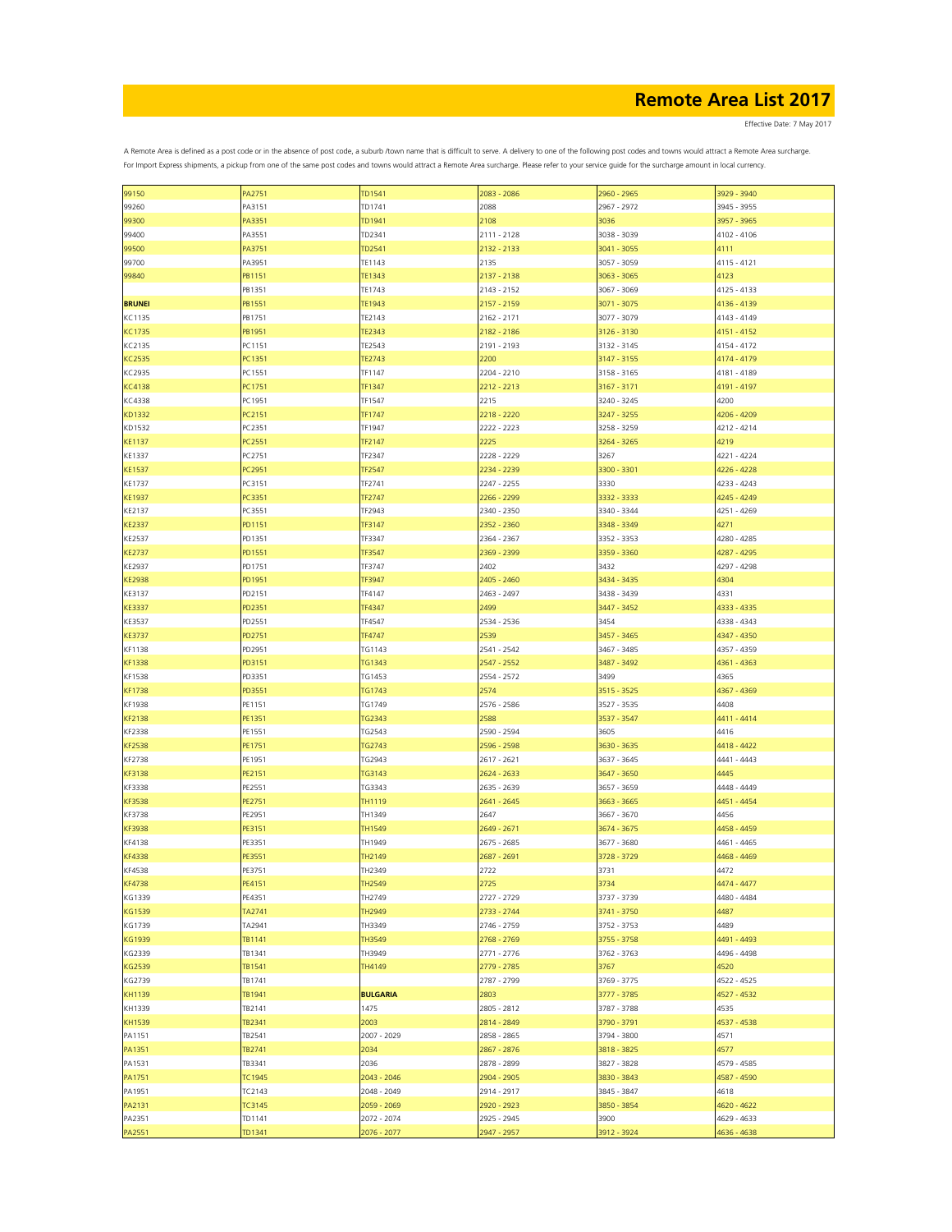Effective Date: 7 May 2017

| 99150            | PA2751           | TD1541                     | 2083 - 2086                | 2960 - 2965 | 3929 - 3940 |
|------------------|------------------|----------------------------|----------------------------|-------------|-------------|
| 99260            | PA3151           | TD1741                     | 2088                       | 2967 - 2972 | 3945 - 3955 |
| 99300            | PA3351           | TD1941                     | 2108                       | 3036        | 3957 - 3965 |
|                  |                  |                            |                            |             |             |
| 99400            | PA3551           | TD2341                     | 2111 - 2128                | 3038 - 3039 | 4102 - 4106 |
| 99500            | PA3751           | TD2541                     | 2132 - 2133                | 3041 - 3055 | 4111        |
| 99700            | PA3951           | TE1143                     | 2135                       | 3057 - 3059 | 4115 - 4121 |
| 99840            | PB1151           | TE1343                     | 2137 - 2138                | 3063 - 3065 | 4123        |
|                  |                  |                            |                            |             |             |
|                  | PB1351           | TE1743                     | 2143 - 2152                | 3067 - 3069 | 4125 - 4133 |
| <b>BRUNEI</b>    | PB1551           | TE1943                     | 2157 - 2159                | 3071 - 3075 | 4136 - 4139 |
| KC1135           | PB1751           | TE2143                     | 2162 - 2171                | 3077 - 3079 | 4143 - 4149 |
|                  |                  |                            |                            |             |             |
| KC1735           | PB1951           | <b>TE2343</b>              | 2182 - 2186                | 3126 - 3130 | 4151 - 4152 |
| KC2135           | PC1151           | TE2543                     | 2191 - 2193                | 3132 - 3145 | 4154 - 4172 |
| <b>KC2535</b>    | PC1351           | <b>TE2743</b>              | 2200                       | 3147 - 3155 | 4174 - 4179 |
| KC2935           | PC1551           | TF1147                     | 2204 - 2210                | 3158 - 3165 | 4181 - 4189 |
|                  |                  |                            |                            |             |             |
| <b>KC4138</b>    | PC1751           | TF1347                     | 2212 - 2213                | 3167 - 3171 | 4191 - 4197 |
| KC4338           | PC1951           | TF1547                     | 2215                       | 3240 - 3245 | 4200        |
| KD1332           | PC2151           | TF1747                     | 2218 - 2220                | 3247 - 3255 | 4206 - 4209 |
|                  |                  |                            |                            |             |             |
| KD1532           | PC2351           | TF1947                     | 2222 - 2223                | 3258 - 3259 | 4212 - 4214 |
| <b>KE1137</b>    | PC2551           | TF2147                     | 2225                       | 3264 - 3265 | 4219        |
| KE1337           | PC2751           | TF2347                     | 2228 - 2229                | 3267        | 4221 - 4224 |
| <b>KE1537</b>    | PC2951           | TF2547                     | 2234 - 2239                | 3300 - 3301 | 4226 - 4228 |
|                  |                  |                            |                            |             |             |
| KE1737           | PC3151           | TF2741                     | 2247 - 2255                | 3330        | 4233 - 4243 |
| <b>KE1937</b>    | PC3351           | TF2747                     | 2266 - 2299                | 3332 - 3333 | 4245 - 4249 |
| KE2137           | PC3551           | TF2943                     | 2340 - 2350                | 3340 - 3344 | 4251 - 4269 |
|                  |                  |                            |                            |             |             |
| <b>KE2337</b>    | PD1151           | TF3147                     | 2352 - 2360                | 3348 - 3349 | 4271        |
| KE2537           | PD1351           | TF3347                     | 2364 - 2367                | 3352 - 3353 | 4280 - 4285 |
| <b>KE2737</b>    | PD1551           | TF3547                     | 2369 - 2399                | 3359 - 3360 | 4287 - 4295 |
|                  |                  |                            |                            |             |             |
| KE2937           | PD1751           | TF3747                     | 2402                       | 3432        | 4297 - 4298 |
| <b>KE2938</b>    | PD1951           | TF3947                     | 2405 - 2460                | 3434 - 3435 | 4304        |
| KE3137           | PD2151           | TF4147                     | 2463 - 2497                | 3438 - 3439 | 4331        |
| <b>KE3337</b>    | PD2351           | TF4347                     | 2499                       | 3447 - 3452 | 4333 - 4335 |
|                  |                  |                            |                            |             |             |
| KE3537           | PD2551           | TF4547                     | 2534 - 2536                | 3454        | 4338 - 4343 |
| <b>KE3737</b>    | PD2751           | TF4747                     | 2539                       | 3457 - 3465 | 4347 - 4350 |
| KF1138           | PD2951           | TG1143                     | 2541 - 2542                | 3467 - 3485 | 4357 - 4359 |
|                  |                  |                            |                            |             |             |
| <b>KF1338</b>    | PD3151           | TG1343                     | 2547 - 2552                | 3487 - 3492 | 4361 - 4363 |
| KF1538           | PD3351           | TG1453                     | 2554 - 2572                | 3499        | 4365        |
| <b>KF1738</b>    | PD3551           | <b>TG1743</b>              | 2574                       | 3515 - 3525 | 4367 - 4369 |
|                  |                  |                            |                            |             |             |
| KF1938           | PE1151           | TG1749                     | 2576 - 2586                | 3527 - 3535 | 4408        |
| <b>KF2138</b>    | PE1351           | TG2343                     | 2588                       | 3537 - 3547 | 4411 - 4414 |
| KF2338           | PE1551           | TG2543                     | 2590 - 2594                | 3605        | 4416        |
| <b>KF2538</b>    | PE1751           | <b>TG2743</b>              | 2596 - 2598                | 3630 - 3635 | 4418 - 4422 |
|                  |                  |                            |                            |             |             |
| KF2738           | PE1951           | TG2943                     | 2617 - 2621                | 3637 - 3645 | 4441 - 4443 |
| KF3138           | PE2151           | TG3143                     | 2624 - 2633                | 3647 - 3650 | 4445        |
| KF3338           | PE2551           | TG3343                     | 2635 - 2639                | 3657 - 3659 | 4448 - 4449 |
|                  |                  |                            |                            |             |             |
| KF3538           | PE2751           | TH1119                     | 2641 - 2645                | 3663 - 3665 | 4451 - 4454 |
| KF3738           | PE2951           | TH1349                     | 2647                       | 3667 - 3670 | 4456        |
| KF3938           | PE3151           | TH1549                     | 2649 - 2671                | 3674 - 3675 | 4458 - 4459 |
|                  |                  |                            |                            |             |             |
| KF4138           | PE3351           | TH1949                     | 2675 - 2685                | 3677 - 3680 | 4461 - 4465 |
| <b>KF4338</b>    | PE3551           | TH2149                     | 2687 - 2691                | 3728 - 3729 | 4468 - 4469 |
| KF4538           | PE3751           | TH2349                     | 2722                       | 3731        | 4472        |
| <b>KF4738</b>    | PE4151           | TH2549                     | 2725                       | 3734        | 4474 - 4477 |
|                  |                  |                            |                            |             |             |
| KG1339           | PE4351           | TH2749                     | 2727 - 2729                | 3737 - 3739 | 4480 - 4484 |
| KG1539           | TA2741           | TH2949                     | 2733 - 2744                | 3741 - 3750 | 4487        |
| KG1739           | TA2941           | TH3349                     | 2746 - 2759                | 3752 - 3753 | 4489        |
| KG1939           | TB1141           | TH3549                     | 2768 - 2769                | 3755 - 3758 | 4491 - 4493 |
|                  |                  |                            |                            |             |             |
| KG2339           |                  |                            |                            |             |             |
|                  | TB1341           | TH3949                     | 2771 - 2776                | 3762 - 3763 | 4496 - 4498 |
| KG2539           | TB1541           | TH4149                     | 2779 - 2785                | 3767        | 4520        |
|                  |                  |                            |                            |             |             |
| KG2739           | TB1741           |                            | 2787 - 2799                | 3769 - 3775 | 4522 - 4525 |
| KH1139           | TB1941           | <b>BULGARIA</b>            | 2803                       | 3777 - 3785 | 4527 - 4532 |
| KH1339           | TB2141           | 1475                       | 2805 - 2812                | 3787 - 3788 | 4535        |
| KH1539           | TB2341           | 2003                       | 2814 - 2849                | 3790 - 3791 | 4537 - 4538 |
|                  |                  |                            |                            |             |             |
| PA1151           | TB2541           | 2007 - 2029                | 2858 - 2865                | 3794 - 3800 | 4571        |
| PA1351           | TB2741           | 2034                       | 2867 - 2876                | 3818 - 3825 | 4577        |
| PA1531           | TB3341           | 2036                       | 2878 - 2899                | 3827 - 3828 | 4579 - 4585 |
|                  |                  |                            |                            |             |             |
| PA1751           | TC1945           | 2043 - 2046                | 2904 - 2905                | 3830 - 3843 | 4587 - 4590 |
| PA1951           | TC2143           | 2048 - 2049                | 2914 - 2917                | 3845 - 3847 | 4618        |
| PA2131           | TC3145           | 2059 - 2069                | 2920 - 2923                | 3850 - 3854 | 4620 - 4622 |
|                  |                  |                            |                            | 3900        | 4629 - 4633 |
| PA2351<br>PA2551 | TD1141<br>TD1341 | 2072 - 2074<br>2076 - 2077 | 2925 - 2945<br>2947 - 2957 | 3912 - 3924 | 4636 - 4638 |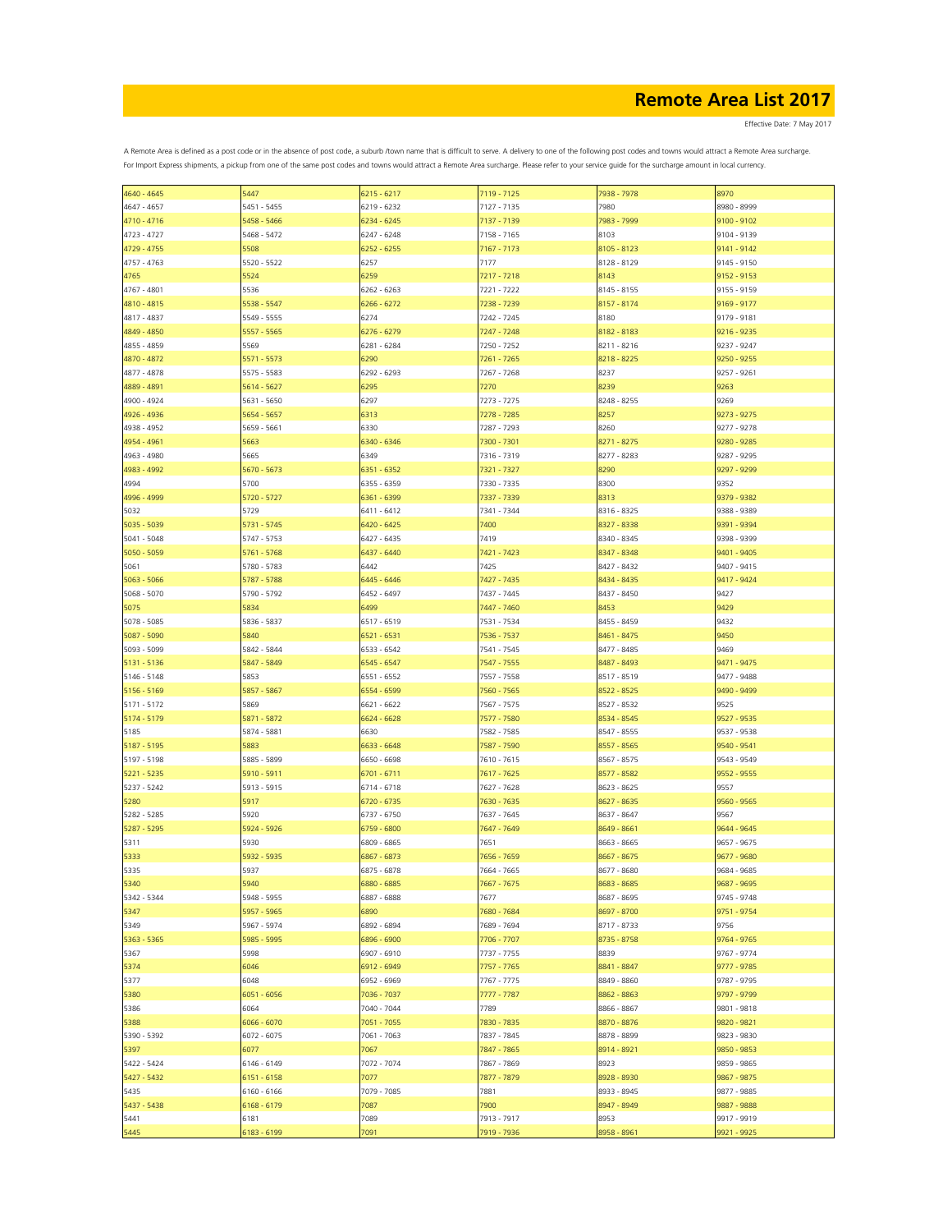Effective Date: 7 May 2017

| 4640 - 4645   | 5447          | 6215 - 6217   | 7119 - 7125 | 7938 - 7978 | 8970          |
|---------------|---------------|---------------|-------------|-------------|---------------|
| 4647 - 4657   | 5451 - 5455   | 6219 - 6232   | 7127 - 7135 | 7980        | 8980 - 8999   |
| 4710 - 4716   | 5458 - 5466   | 6234 - 6245   | 7137 - 7139 | 7983 - 7999 | 9100 - 9102   |
|               |               |               |             |             |               |
| 4723 - 4727   | 5468 - 5472   | $6247 - 6248$ | 7158 - 7165 | 8103        | 9104 - 9139   |
| 4729 - 4755   | 5508          | 6252 - 6255   | 7167 - 7173 | 8105 - 8123 | 9141 - 9142   |
| 4757 - 4763   | 5520 - 5522   | 6257          | 7177        | 8128 - 8129 | 9145 - 9150   |
|               |               |               |             |             |               |
| 4765          | 5524          | 6259          | 7217 - 7218 | 8143        | 9152 - 9153   |
| 4767 - 4801   | 5536          | 6262 - 6263   | 7221 - 7222 | 8145 - 8155 | 9155 - 9159   |
| 4810 - 4815   | 5538 - 5547   | 6266 - 6272   | 7238 - 7239 | 8157 - 8174 | 9169 - 9177   |
| 4817 - 4837   | 5549 - 5555   | 6274          | 7242 - 7245 | 8180        | 9179 - 9181   |
|               |               |               | 7247 - 7248 | 8182 - 8183 | 9216 - 9235   |
| 4849 - 4850   | 5557 - 5565   | 6276 - 6279   |             |             |               |
| 4855 - 4859   | 5569          | 6281 - 6284   | 7250 - 7252 | 8211 - 8216 | 9237 - 9247   |
| 4870 - 4872   | 5571 - 5573   | 6290          | 7261 - 7265 | 8218 - 8225 | $9250 - 9255$ |
| 4877 - 4878   | 5575 - 5583   | 6292 - 6293   | 7267 - 7268 | 8237        | 9257 - 9261   |
|               |               |               |             |             |               |
| 4889 - 4891   | 5614 - 5627   | 6295          | 7270        | 8239        | 9263          |
| 4900 - 4924   | 5631 - 5650   | 6297          | 7273 - 7275 | 8248 - 8255 | 9269          |
| 4926 - 4936   | 5654 - 5657   | 6313          | 7278 - 7285 | 8257        | 9273 - 9275   |
| 4938 - 4952   | 5659 - 5661   | 6330          | 7287 - 7293 | 8260        | 9277 - 9278   |
|               |               |               |             |             |               |
| 4954 - 4961   | 5663          | 6340 - 6346   | 7300 - 7301 | 8271 - 8275 | 9280 - 9285   |
| 4963 - 4980   | 5665          | 6349          | 7316 - 7319 | 8277 - 8283 | 9287 - 9295   |
| 4983 - 4992   | 5670 - 5673   | 6351 - 6352   | 7321 - 7327 | 8290        | 9297 - 9299   |
|               | 5700          |               | 7330 - 7335 | 8300        |               |
| 4994          |               | 6355 - 6359   |             |             | 9352          |
| 4996 - 4999   | 5720 - 5727   | 6361 - 6399   | 7337 - 7339 | 8313        | 9379 - 9382   |
| 5032          | 5729          | 6411 - 6412   | 7341 - 7344 | 8316 - 8325 | 9388 - 9389   |
| 5035 - 5039   | 5731 - 5745   | 6420 - 6425   | 7400        | 8327 - 8338 | 9391 - 9394   |
|               | 5747 - 5753   |               | 7419        |             |               |
| 5041 - 5048   |               | 6427 - 6435   |             | 8340 - 8345 | 9398 - 9399   |
| 5050 - 5059   | 5761 - 5768   | 6437 - 6440   | 7421 - 7423 | 8347 - 8348 | 9401 - 9405   |
| 5061          | 5780 - 5783   | 6442          | 7425        | 8427 - 8432 | 9407 - 9415   |
| $5063 - 5066$ | 5787 - 5788   | 6445 - 6446   | 7427 - 7435 | 8434 - 8435 | 9417 - 9424   |
|               |               |               |             |             |               |
| 5068 - 5070   | 5790 - 5792   | 6452 - 6497   | 7437 - 7445 | 8437 - 8450 | 9427          |
| 5075          | 5834          | 6499          | 7447 - 7460 | 8453        | 9429          |
| 5078 - 5085   | 5836 - 5837   | 6517 - 6519   | 7531 - 7534 | 8455 - 8459 | 9432          |
| 5087 - 5090   | 5840          | 6521 - 6531   | 7536 - 7537 | 8461 - 8475 | 9450          |
|               |               |               |             |             |               |
| 5093 - 5099   | 5842 - 5844   | 6533 - 6542   | 7541 - 7545 | 8477 - 8485 | 9469          |
| 5131 - 5136   | 5847 - 5849   | 6545 - 6547   | 7547 - 7555 | 8487 - 8493 | 9471 - 9475   |
| 5146 - 5148   | 5853          | 6551 - 6552   | 7557 - 7558 | 8517 - 8519 | 9477 - 9488   |
| 5156 - 5169   | 5857 - 5867   | 6554 - 6599   | 7560 - 7565 | 8522 - 8525 | 9490 - 9499   |
|               |               |               |             |             |               |
| 5171 - 5172   | 5869          | 6621 - 6622   | 7567 - 7575 | 8527 - 8532 | 9525          |
| 5174 - 5179   | 5871 - 5872   | 6624 - 6628   | 7577 - 7580 | 8534 - 8545 | 9527 - 9535   |
| 5185          | 5874 - 5881   | 6630          | 7582 - 7585 | 8547 - 8555 | 9537 - 9538   |
| 5187 - 5195   | 5883          | 6633 - 6648   | 7587 - 7590 |             | 9540 - 9541   |
|               |               |               |             | 8557 - 8565 |               |
| 5197 - 5198   | 5885 - 5899   | 6650 - 6698   | 7610 - 7615 | 8567 - 8575 | 9543 - 9549   |
| 5221 - 5235   | 5910 - 5911   | 6701 - 6711   | 7617 - 7625 | 8577 - 8582 | 9552 - 9555   |
| 5237 - 5242   | 5913 - 5915   | 6714 - 6718   | 7627 - 7628 | 8623 - 8625 | 9557          |
|               |               |               |             |             |               |
| 5280          | 5917          | 6720 - 6735   | 7630 - 7635 | 8627 - 8635 | 9560 - 9565   |
| 5282 - 5285   | 5920          | 6737 - 6750   | 7637 - 7645 | 8637 - 8647 | 9567          |
| 5287 - 5295   | 5924 - 5926   | 6759 - 6800   | 7647 - 7649 | 8649 - 8661 | 9644 - 9645   |
| 5311          | 5930          | 6809 - 6865   | 7651        | 8663 - 8665 | 9657 - 9675   |
| 5333          | 5932 - 5935   | 6867 - 6873   | 7656 - 7659 | 8667 - 8675 | 9677 - 9680   |
|               |               |               |             |             |               |
| 5335          | 5937          | 6875 - 6878   | 7664 - 7665 | 8677 - 8680 | 9684 - 9685   |
| 5340          | 5940          | 6880 - 6885   | 7667 - 7675 | 8683 - 8685 | 9687 - 9695   |
| 5342 - 5344   | 5948 - 5955   | 6887 - 6888   | 7677        | 8687 - 8695 | 9745 - 9748   |
| 5347          | 5957 - 5965   | 6890          | 7680 - 7684 | 8697 - 8700 | 9751 - 9754   |
|               |               |               |             |             |               |
| 5349          | 5967 - 5974   | 6892 - 6894   | 7689 - 7694 | 8717 - 8733 | 9756          |
| 5363 - 5365   | 5985 - 5995   | 6896 - 6900   | 7706 - 7707 | 8735 - 8758 | 9764 - 9765   |
| 5367          | 5998          | 6907 - 6910   | 7737 - 7755 | 8839        | 9767 - 9774   |
| 5374          | 6046          | 6912 - 6949   | 7757 - 7765 | 8841 - 8847 | 9777 - 9785   |
|               |               |               |             |             |               |
| 5377          | 6048          | 6952 - 6969   | 7767 - 7775 | 8849 - 8860 | 9787 - 9795   |
| 5380          | 6051 - 6056   | 7036 - 7037   | 7777 - 7787 | 8862 - 8863 | 9797 - 9799   |
| 5386          | 6064          | 7040 - 7044   | 7789        | 8866 - 8867 | 9801 - 9818   |
| 5388          | 6066 - 6070   | 7051 - 7055   | 7830 - 7835 | 8870 - 8876 | 9820 - 9821   |
|               |               |               |             |             |               |
| 5390 - 5392   | $6072 - 6075$ | 7061 - 7063   | 7837 - 7845 | 8878 - 8899 | 9823 - 9830   |
| 5397          | 6077          | 7067          | 7847 - 7865 | 8914 - 8921 | 9850 - 9853   |
| 5422 - 5424   | 6146 - 6149   | 7072 - 7074   | 7867 - 7869 | 8923        | 9859 - 9865   |
| 5427 - 5432   | $6151 - 6158$ | 7077          | 7877 - 7879 | 8928 - 8930 | 9867 - 9875   |
|               |               |               |             |             |               |
| 5435          | 6160 - 6166   | 7079 - 7085   | 7881        | 8933 - 8945 | 9877 - 9885   |
| 5437 - 5438   | 6168 - 6179   | 7087          | 7900        | 8947 - 8949 | 9887 - 9888   |
| 5441          | 6181          | 7089          | 7913 - 7917 | 8953        | 9917 - 9919   |
|               |               |               |             |             |               |
| 5445          | 6183 - 6199   | 7091          | 7919 - 7936 | 8958 - 8961 | 9921 - 9925   |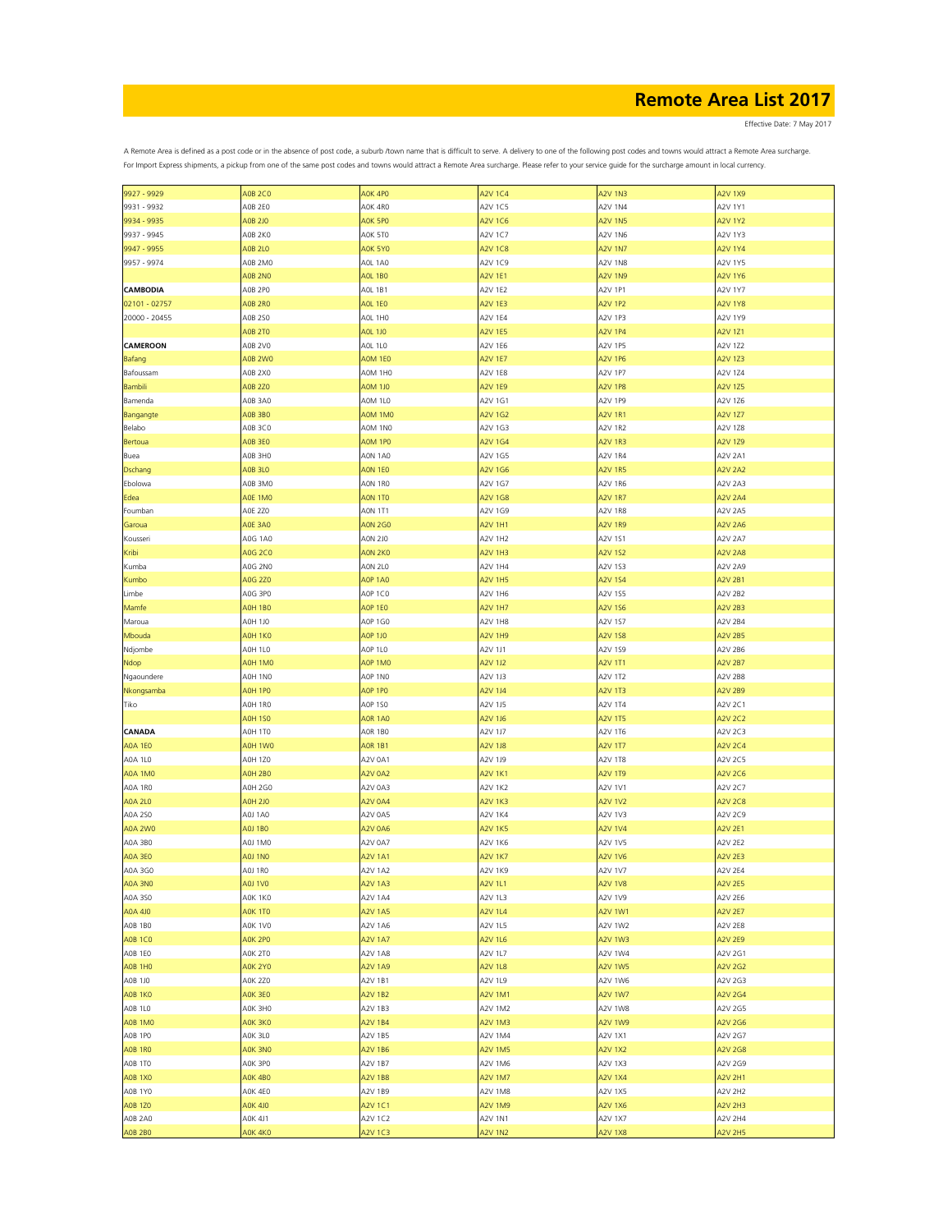Effective Date: 7 May 2017

| 9927 - 9929     | <b>A0B 2C0</b>     | A0K 4P0        | <b>A2V 1C4</b> | <b>A2V 1N3</b> | <b>A2V 1X9</b> |
|-----------------|--------------------|----------------|----------------|----------------|----------------|
| 9931 - 9932     | AOB 2EO            | A0K 4R0        | A2V 1C5        | A2V 1N4        | A2V 1Y1        |
|                 |                    |                |                |                |                |
| 9934 - 9935     | A0B 2J0            | AOK 5PO        | A2V 1C6        | <b>A2V 1N5</b> | <b>A2V 1Y2</b> |
| 9937 - 9945     | A0B 2K0            | A0K 5T0        | A2V 1C7        | A2V 1N6        | A2V 1Y3        |
| 9947 - 9955     | <b>AOB 2L0</b>     | <b>A0K 5Y0</b> | <b>A2V 1C8</b> |                | <b>A2V 1Y4</b> |
|                 |                    |                |                | <b>A2V 1N7</b> |                |
| 9957 - 9974     | A0B 2M0            | AOL 1AO        | A2V 1C9        | A2V 1N8        | A2V 1Y5        |
|                 | <b>AOB 2NO</b>     | <b>AOL 1BO</b> | A2V 1E1        | <b>A2V 1N9</b> | <b>A2V 1Y6</b> |
|                 |                    |                |                |                |                |
| <b>CAMBODIA</b> | AOB 2PO            | AOL 1B1        | <b>A2V 1E2</b> | A2V 1P1        | A2V 1Y7        |
| 02101 - 02757   | <b>AOB 2RO</b>     | <b>AOL 1EO</b> | A2V 1E3        | A2V 1P2        | <b>A2V 1Y8</b> |
| 20000 - 20455   | A0B 250            | AOL 1HO        | A2V 1E4        | A2V 1P3        | A2V 1Y9        |
|                 |                    |                |                |                |                |
|                 | <b>AOB 2TO</b>     | <b>AOL 1JO</b> | <b>A2V 1E5</b> | <b>A2V 1P4</b> | A2V 1Z1        |
| <b>CAMEROON</b> | A0B 2V0            | AOL 1L0        | A2V 1E6        | A2V 1P5        | A2V 1Z2        |
|                 |                    |                |                |                |                |
| Bafang          | A0B <sub>2W0</sub> | <b>A0M 1E0</b> | <b>A2V 1E7</b> | <b>A2V 1P6</b> | <b>A2V 1Z3</b> |
| Bafoussam       | A0B 2X0            | A0M 1H0        | <b>A2V 1E8</b> | A2V 1P7        | A2V 1Z4        |
| Bambili         | <b>A0B 2Z0</b>     | A0M 1J0        | A2V 1E9        | A2V 1P8        | <b>A2V 1Z5</b> |
|                 |                    |                |                |                |                |
| Bamenda         | A0B 3A0            | A0M 1L0        | A2V 1G1        | A2V 1P9        | A2V 1Z6        |
| Bangangte       | <b>AOB 3BO</b>     | A0M 1M0        | A2V 1G2        | A2V 1R1        | A2V 1Z7        |
| Belabo          | A0B 3C0            | A0M 1N0        | A2V 1G3        | A2V 1R2        | A2V 1Z8        |
|                 |                    |                |                |                |                |
| Bertoua         | <b>AOB 3E0</b>     | AOM 1PO        | A2V 1G4        | <b>A2V 1R3</b> | A2V 1Z9        |
| Buea            | A0B 3H0            | A0N 1A0        | A2V 1G5        | A2V 1R4        | A2V 2A1        |
|                 |                    |                |                |                |                |
| <b>Dschang</b>  | <b>A0B 3L0</b>     | <b>AON 1EO</b> | A2V 1G6        | <b>A2V 1R5</b> | <b>A2V 2A2</b> |
| Ebolowa         | A0B 3M0            | AON 1RO        | A2V 1G7        | A2V 1R6        | A2V 2A3        |
| Edea            | AOE 1MO            | <b>AON 1TO</b> | A2V 1G8        | <b>A2V 1R7</b> | <b>A2V 2A4</b> |
|                 |                    |                |                |                |                |
| Foumban         | AOE 2Z0            | <b>AON 1T1</b> | A2V 1G9        | A2V 1R8        | A2V 2A5        |
| Garoua          | <b>A0E 3A0</b>     | <b>AON 2GO</b> | <b>A2V 1H1</b> | <b>A2V 1R9</b> | <b>A2V 2A6</b> |
|                 |                    |                |                |                |                |
| Kousseri        | A0G 1A0            | <b>AON 2J0</b> | A2V 1H2        | A2V 1S1        | A2V 2A7        |
| Kribi           | <b>A0G 2C0</b>     | AON 2KO        | <b>A2V 1H3</b> | <b>A2V 1S2</b> | <b>A2V 2A8</b> |
| Kumba           | A0G 2N0            | <b>AON 2L0</b> | A2V 1H4        | A2V 1S3        | A2V 2A9        |
|                 |                    |                |                |                |                |
| Kumbo           | A0G 2Z0            | <b>AOP 1AO</b> | <b>A2V 1H5</b> | <b>A2V 1S4</b> | <b>A2V 2B1</b> |
| Limbe           | A0G 3P0            | AOP 1CO        | A2V 1H6        | A2V 1S5        | A2V 2B2        |
|                 | <b>A0H 1B0</b>     | AOP 1EO        | <b>A2V 1H7</b> | A2V 1S6        | <b>A2V 2B3</b> |
| Mamfe           |                    |                |                |                |                |
| Maroua          | A0H 1J0            | <b>AOP 1GO</b> | A2V 1H8        | A2V 1S7        | A2V 2B4        |
| Mbouda          | AOH 1KO            | <b>AOP 1JO</b> | <b>A2V 1H9</b> | <b>A2V 1S8</b> | <b>A2V 2B5</b> |
|                 |                    |                |                |                |                |
| Ndjombe         | <b>AOH 1L0</b>     | AOP 1LO        | A2V 1J1        | A2V 1S9        | A2V 2B6        |
| Ndop            | AOH 1M0            | AOP 1MO        | A2V 1J2        | <b>A2V 1T1</b> | <b>A2V 2B7</b> |
| Ngaoundere      | A0H 1N0            | AOP 1NO        | A2V 1J3        | A2V 1T2        | A2V 2B8        |
|                 |                    |                |                |                |                |
| Nkongsamba      | AOH 1PO            | AOP 1PO        | A2V 1J4        | <b>A2V 1T3</b> | <b>A2V 2B9</b> |
| Tiko            | AOH 1RO            | <b>AOP 1SO</b> | A2V 1J5        | A2V 1T4        | A2V 2C1        |
|                 |                    |                |                |                |                |
|                 | <b>A0H 1S0</b>     | <b>AOR 1AO</b> | A2V 1J6        | <b>A2V 1T5</b> | <b>A2V 2C2</b> |
| CANADA          | AOH 1TO            | AOR 1B0        | A2V 1J7        | A2V 1T6        | A2V 2C3        |
| <b>A0A 1E0</b>  | AOH 1W0            | <b>AOR 1B1</b> | A2V 1J8        | <b>A2V 1T7</b> | A2V 2C4        |
|                 |                    |                |                |                |                |
| A0A 1L0         | A0H 1Z0            | A2V 0A1        | A2V 1J9        | A2V 1T8        | A2V 2C5        |
| A0A 1M0         | <b>AOH 2BO</b>     | <b>A2V 0A2</b> | <b>A2V 1K1</b> | A2V 1T9        | A2V 2C6        |
|                 |                    | A2V 0A3        |                |                |                |
| A0A 1R0         | <b>A0H 2G0</b>     |                | A2V 1K2        | A2V 1V1        | A2V 2C7        |
| A0A 2L0         | A0H 2J0            | <b>A2V 0A4</b> | A2V 1K3        | <b>A2V 1V2</b> | A2V 2C8        |
| A0A 250         | AOJ 1AO            | A2V 0A5        | A2V 1K4        | A2V 1V3        | A2V 2C9        |
|                 |                    |                |                |                |                |
| A0A 2W0         | AOJ 1BO            | <b>A2V 0A6</b> | <b>A2V 1K5</b> | <b>A2V 1V4</b> | A2V 2E1        |
| A0A 3B0         | A0J 1M0            | A2V 0A7        | A2V 1K6        | A2V 1V5        | A2V 2E2        |
| <b>A0A 3E0</b>  | <b>A0J 1N0</b>     | <b>A2V 1A1</b> | <b>A2V 1K7</b> | <b>A2V 1V6</b> | <b>A2V 2E3</b> |
|                 |                    |                |                |                |                |
| A0A 3G0         | AOJ 1RO            | A2V 1A2        | A2V 1K9        | A2V 1V7        | <b>A2V 2E4</b> |
| A0A 3N0         | A0J 1V0            | <b>A2V 1A3</b> | A2V 1L1        | <b>A2V 1V8</b> | <b>A2V 2E5</b> |
| A0A 350         | AOK 1KO            | A2V 1A4        | A2V 1L3        | A2V 1V9        | A2V 2E6        |
|                 |                    |                |                |                |                |
| A0A 4J0         | <b>A0K 1T0</b>     | <b>A2V 1A5</b> | A2V 1L4        | <b>A2V 1W1</b> | <b>A2V 2E7</b> |
| AOB 1BO         | A0K 1V0            | A2V 1A6        | A2V 1L5        | A2V 1W2        | <b>A2V 2E8</b> |
|                 |                    |                |                |                |                |
| <b>A0B 1C0</b>  | AOK 2PO            | <b>A2V 1A7</b> | A2V 1L6        | <b>A2V 1W3</b> | <b>A2V 2E9</b> |
| AOB 1EO         | A0K 2T0            | A2V 1A8        | A2V 1L7        | A2V 1W4        | A2V 2G1        |
| <b>A0B 1H0</b>  | <b>A0K 2Y0</b>     | <b>A2V 1A9</b> | <b>A2V 1L8</b> | <b>A2V 1W5</b> | <b>A2V 2G2</b> |
|                 |                    |                |                |                |                |
| A0B 1J0         | <b>A0K 2Z0</b>     | A2V 1B1        | A2V 1L9        | A2V 1W6        | A2V 2G3        |
| <b>A0B 1K0</b>  | AOK 3EO            | <b>A2V 1B2</b> | A2V 1M1        | <b>A2V 1W7</b> | A2V 2G4        |
| A0B 1L0         | A0K 3H0            |                | A2V 1M2        | A2V 1W8        | A2V 2G5        |
|                 |                    | A2V 1B3        |                |                |                |
| <b>A0B 1M0</b>  | AOK 3KO            | <b>A2V 1B4</b> | A2V 1M3        | <b>A2V 1W9</b> | A2V 2G6        |
| AOB 1PO         | A0K 3L0            | A2V 1B5        | A2V 1M4        | A2V 1X1        | A2V 2G7        |
|                 |                    |                |                |                |                |
| <b>AOB 1RO</b>  | AOK 3NO            | A2V 1B6        | A2V 1M5        | <b>A2V 1X2</b> | <b>A2V 2G8</b> |
| A0B 1TO         | A0K 3P0            | A2V 1B7        | A2V 1M6        | A2V 1X3        | A2V 2G9        |
| <b>A0B 1X0</b>  | A0K 4B0            | <b>A2V 1B8</b> | A2V 1M7        | <b>A2V 1X4</b> | <b>A2V 2H1</b> |
|                 |                    |                |                |                |                |
| A0B 1Y0         | A0K 4E0            | A2V 1B9        | A2V 1M8        | A2V 1X5        | A2V 2H2        |
| <b>A0B 1Z0</b>  | <b>AOK 4JO</b>     | <b>A2V 1C1</b> | A2V 1M9        | <b>A2V 1X6</b> | A2V 2H3        |
|                 |                    |                |                |                |                |
| A0B 2A0         | A0K 4J1            | A2V 1C2        | A2V 1N1        | A2V 1X7        | A2V 2H4        |
| <b>A0B 2B0</b>  | AOK 4KO            | <b>A2V 1C3</b> | <b>A2V 1N2</b> | <b>A2V 1X8</b> | <b>A2V 2H5</b> |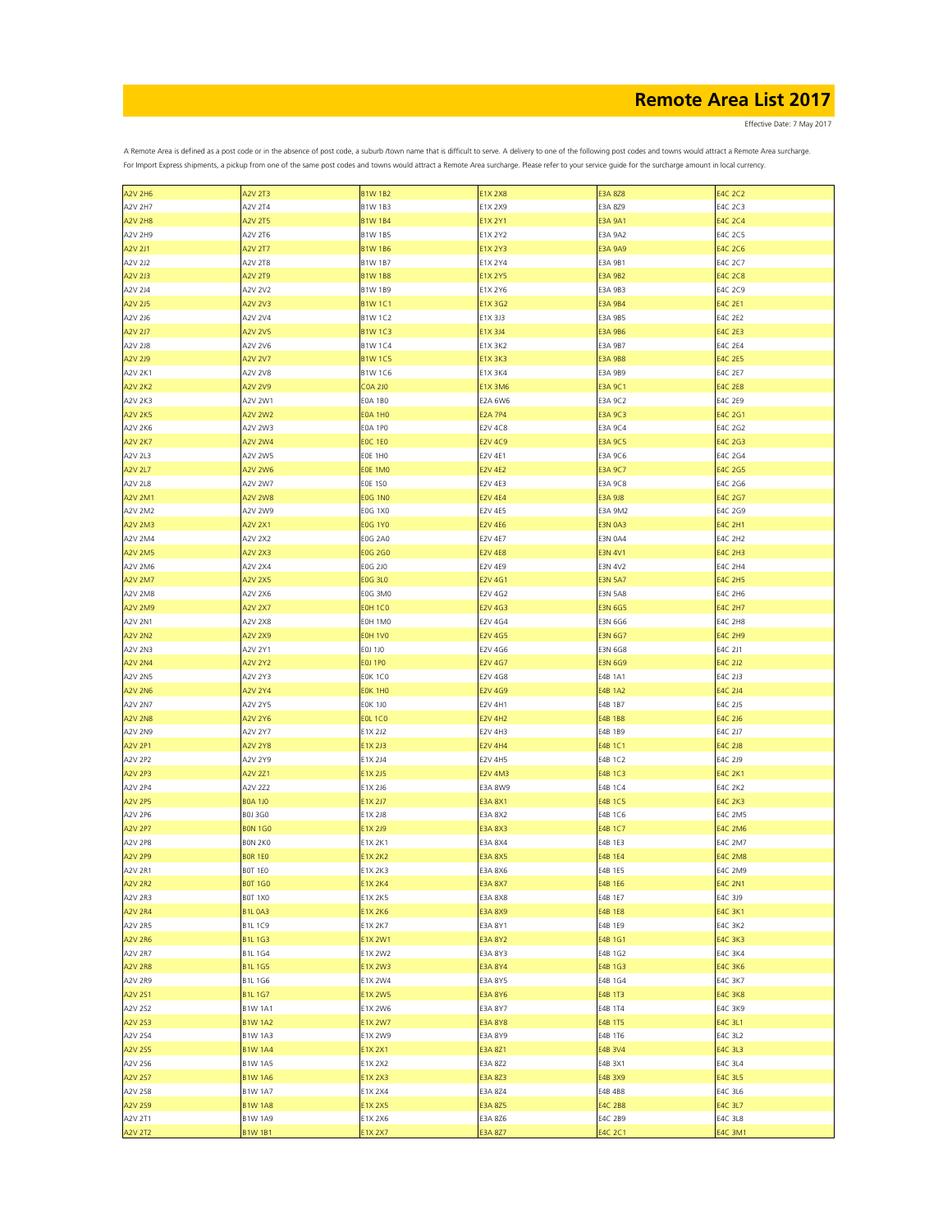Effective Date: 7 May 2017

| <b>A2V 2H6</b> | <b>A2V 2T3</b> | <b>B1W 1B2</b> | <b>E1X 2X8</b> | <b>E3A 8Z8</b> | <b>E4C 2C2</b> |
|----------------|----------------|----------------|----------------|----------------|----------------|
| A2V 2H7        | A2V 2T4        | B1W 1B3        | E1X 2X9        | E3A 8Z9        | E4C 2C3        |
|                |                |                |                |                |                |
| <b>A2V 2H8</b> | <b>A2V 2T5</b> | <b>B1W 1B4</b> | E1X 2Y1        | <b>E3A 9A1</b> | <b>E4C 2C4</b> |
| A2V 2H9        | A2V 2T6        | <b>B1W 1B5</b> | E1X 2Y2        | E3A 9A2        | E4C 2C5        |
| <b>A2V 2J1</b> | <b>A2V 2T7</b> | <b>B1W 1B6</b> | <b>E1X 2Y3</b> | E3A 9A9        | <b>E4C 2C6</b> |
| A2V 2J2        | A2V 2T8        | <b>B1W 1B7</b> | E1X 2Y4        | E3A 9B1        | E4C 2C7        |
|                |                |                |                |                |                |
| A2V 2J3        | <b>A2V 2T9</b> | <b>B1W 1B8</b> | <b>E1X 2Y5</b> | <b>E3A 9B2</b> | <b>E4C 2C8</b> |
| A2V 2J4        | A2V 2V2        | B1W 1B9        | E1X 2Y6        | E3A 9B3        | E4C 2C9        |
| A2V 2J5        | <b>A2V 2V3</b> | <b>B1W1C1</b>  | E1X 3G2        | E3A 9B4        | <b>E4C 2E1</b> |
|                |                |                |                |                |                |
| A2V 2J6        | A2V 2V4        | B1W 1C2        | E1X 3J3        | E3A 9B5        | E4C 2E2        |
| <b>A2V 2J7</b> | <b>A2V 2V5</b> | <b>B1W1C3</b>  | E1X 3J4        | E3A 9B6        | E4C 2E3        |
| A2V 2J8        | A2V 2V6        | <b>B1W1C4</b>  | E1X 3K2        | E3A 9B7        | E4C 2E4        |
| A2V 2J9        | <b>A2V 2V7</b> | <b>B1W1C5</b>  | <b>E1X 3K3</b> | <b>E3A 9B8</b> | <b>E4C 2E5</b> |
|                |                |                |                |                |                |
| A2V 2K1        | A2V 2V8        | <b>B1W 1C6</b> | E1X 3K4        | E3A 9B9        | <b>E4C 2E7</b> |
| <b>A2V 2K2</b> | A2V 2V9        | <b>COA 2JO</b> | <b>E1X 3M6</b> | <b>E3A 9C1</b> | <b>E4C 2E8</b> |
| A2V 2K3        | A2V 2W1        | <b>EOA 1BO</b> | <b>E2A 6W6</b> | E3A 9C2        | E4C 2E9        |
|                |                |                |                |                |                |
| <b>A2V 2K5</b> | <b>A2V 2W2</b> | <b>EOA 1HO</b> | <b>E2A 7P4</b> | <b>E3A 9C3</b> | E4C 2G1        |
| A2V 2K6        | A2V 2W3        | E0A 1P0        | <b>E2V 4C8</b> | E3A 9C4        | E4C 2G2        |
| <b>A2V 2K7</b> | A2V 2W4        | <b>EOC 1EO</b> | <b>E2V 4C9</b> | <b>E3A 9C5</b> | E4C 2G3        |
| A2V 2L3        | A2V 2W5        | EOE 1HO        | E2V 4E1        | E3A 9C6        | E4C 2G4        |
|                |                |                |                |                |                |
| <b>A2V 2L7</b> | <b>A2V 2W6</b> | EOE 1MO        | <b>E2V 4E2</b> | <b>E3A 9C7</b> | E4C 2G5        |
| A2V 2L8        | A2V 2W7        | <b>EOE 1SO</b> | E2V 4E3        | E3A 9C8        | E4C 2G6        |
| <b>A2V 2M1</b> | <b>A2V 2W8</b> | <b>EOG 1NO</b> | <b>E2V 4E4</b> | <b>E3A 9J8</b> | E4C 2G7        |
|                |                |                |                |                |                |
| A2V 2M2        | A2V 2W9        | E0G 1X0        | E2V 4E5        | E3A 9M2        | E4C 2G9        |
| A2V 2M3        | <b>A2V 2X1</b> | <b>EOG 1Y0</b> | <b>E2V 4E6</b> | <b>E3N 0A3</b> | <b>E4C 2H1</b> |
| A2V 2M4        | A2V 2X2        | <b>EOG 2A0</b> | E2V 4E7        | <b>E3N 0A4</b> | E4C 2H2        |
| A2V 2M5        | <b>A2V 2X3</b> | <b>EOG 2GO</b> | <b>E2V 4E8</b> | <b>E3N 4V1</b> | <b>E4C 2H3</b> |
|                |                |                |                |                |                |
| A2V 2M6        | A2V 2X4        | E0G 2J0        | <b>E2V 4E9</b> | E3N 4V2        | <b>E4C 2H4</b> |
| <b>A2V 2M7</b> | <b>A2V 2X5</b> | <b>EOG 3L0</b> | <b>E2V 4G1</b> | <b>E3N 5A7</b> | <b>E4C 2H5</b> |
| A2V 2M8        | A2V 2X6        | <b>EOG 3MO</b> | E2V 4G2        | <b>E3N 5A8</b> | E4C 2H6        |
|                |                |                |                |                |                |
| <b>A2V 2M9</b> | <b>A2V 2X7</b> | <b>EOH 1CO</b> | E2V 4G3        | <b>E3N 6G5</b> | <b>E4C 2H7</b> |
| A2V 2N1        | A2V 2X8        | EOH 1MO        | E2V 4G4        | E3N 6G6        | E4C 2H8        |
| <b>A2V 2N2</b> | <b>A2V 2X9</b> | <b>EOH 1VO</b> | <b>E2V 4G5</b> | <b>E3N 6G7</b> | <b>E4C 2H9</b> |
|                |                |                |                |                |                |
| A2V 2N3        | A2V 2Y1        | E0J 1J0        | E2V 4G6        | E3N 6G8        | E4C 2J1        |
| <b>A2V 2N4</b> | <b>A2V 2Y2</b> | <b>EOJ 1PO</b> | <b>E2V 4G7</b> | <b>E3N 6G9</b> | E4C 2J2        |
| A2V 2N5        | A2V 2Y3        | <b>EOK 1CO</b> | E2V 4G8        | E4B 1A1        | E4C 2J3        |
| <b>A2V 2N6</b> | <b>A2V 2Y4</b> | EOK 1HO        | <b>E2V 4G9</b> | E4B 1A2        | E4C 2J4        |
|                |                |                |                |                |                |
| <b>A2V 2N7</b> | A2V 2Y5        | <b>EOK 1JO</b> | <b>E2V 4H1</b> | E4B 1B7        | E4C 2J5        |
| <b>A2V 2N8</b> | <b>A2V 2Y6</b> | <b>EOL 1CO</b> | <b>E2V 4H2</b> | E4B 1B8        | E4C 2J6        |
| A2V 2N9        | A2V 2Y7        | E1X 2J2        | <b>E2V 4H3</b> | E4B 1B9        | E4C 2J7        |
| <b>A2V 2P1</b> |                |                |                |                |                |
|                | <b>A2V 2Y8</b> | E1X 2J3        | <b>E2V 4H4</b> | E4B 1C1        | E4C 2J8        |
| A2V 2P2        | A2V 2Y9        | E1X 2J4        | <b>E2V 4H5</b> | E4B 1C2        | E4C 2J9        |
| <b>A2V 2P3</b> | <b>A2V 2Z1</b> | E1X 2J5        | <b>E2V 4M3</b> | E4B 1C3        | <b>E4C 2K1</b> |
| A2V 2P4        | A2V 2Z2        | E1X 2J6        | <b>E3A 8W9</b> | E4B 1C4        | <b>E4C 2K2</b> |
|                |                |                |                |                |                |
| <b>A2V 2P5</b> | <b>BOA 1JO</b> | E1X 2J7        | <b>E3A 8X1</b> | E4B 1C5        | <b>E4C 2K3</b> |
| A2V 2P6        | <b>BOJ 3GO</b> | E1X 2J8        | <b>E3A 8X2</b> | E4B 1C6        | <b>E4C 2M5</b> |
| <b>A2V 2P7</b> | <b>BON 1GO</b> | E1X 2J9        | <b>E3A 8X3</b> | E4B 1C7        | <b>E4C 2M6</b> |
| <b>A2V 2P8</b> | BON 2KO        | E1X 2K1        | E3A 8X4        | E4B 1E3        | E4C 2M7        |
|                |                |                |                |                |                |
| <b>A2V 2P9</b> | <b>BOR 1EO</b> | <b>E1X 2K2</b> | <b>E3A 8X5</b> | E4B 1E4        | <b>E4C 2M8</b> |
| A2V 2R1        | <b>BOT 1EO</b> | E1X 2K3        | E3A 8X6        | E4B 1E5        | <b>E4C 2M9</b> |
| <b>A2V 2R2</b> | <b>BOT 1GO</b> | <b>E1X 2K4</b> | <b>E3A 8X7</b> | E4B 1E6        | <b>E4C 2N1</b> |
| A2V 2R3        | BOT 1X0        | E1X 2K5        | E3A 8X8        | E4B 1E7        | E4C 3J9        |
|                |                |                |                |                |                |
| A2V 2R4        | <b>B1L0A3</b>  | E1X 2K6        | <b>E3A 8X9</b> | E4B 1E8        | <b>E4C 3K1</b> |
| A2V 2R5        | B1L 1C9        | E1X 2K7        | E3A 8Y1        | E4B 1E9        | <b>E4C 3K2</b> |
| A2V 2R6        | <b>B1L1G3</b>  | E1X 2W1        | <b>E3A 8Y2</b> | E4B 1G1        | <b>E4C 3K3</b> |
|                |                |                |                |                |                |
| A2V 2R7        | <b>B1L 1G4</b> | E1X 2W2        | E3A 8Y3        | E4B 1G2        | E4C 3K4        |
| A2V 2R8        | <b>B1L 1G5</b> | E1X 2W3        | <b>E3A 8Y4</b> | E4B 1G3        | <b>E4C 3K6</b> |
| A2V 2R9        | <b>B1L 1G6</b> | E1X 2W4        | E3A 8Y5        | E4B 1G4        | <b>E4C 3K7</b> |
| A2V 2S1        | <b>B1L 1G7</b> | E1X 2W5        | <b>E3A 8Y6</b> | E4B 1T3        | <b>E4C 3K8</b> |
|                |                |                |                |                |                |
| A2V 2S2        | <b>B1W 1A1</b> | E1X 2W6        | E3A 8Y7        | E4B 1T4        | <b>E4C 3K9</b> |
| A2V 2S3        | <b>B1W1A2</b>  | E1X 2W7        | <b>E3A 8Y8</b> | E4B 1T5        | E4C 3L1        |
| A2V 2S4        | <b>B1W 1A3</b> | E1X 2W9        | E3A 8Y9        | E4B 1T6        | E4C 3L2        |
| <b>A2V 2S5</b> | <b>B1W 1A4</b> | E1X 2X1        | E3A 8Z1        | E4B 3V4        | E4C 3L3        |
|                |                |                |                |                |                |
| A2V 2S6        | <b>B1W 1A5</b> | E1X 2X2        | E3A 8Z2        | E4B 3X1        | E4C 3L4        |
| <b>A2V 2S7</b> | <b>B1W 1A6</b> | E1X 2X3        | E3A 8Z3        | E4B 3X9        | E4C 3L5        |
| A2V 258        | <b>B1W 1A7</b> | E1X 2X4        | E3A 8Z4        | E4B 4B8        | E4C 3L6        |
|                |                |                |                |                |                |
| A2V 2S9        | <b>B1W 1A8</b> | <b>E1X 2X5</b> | E3A 8Z5        | E4C 2B8        | E4C 3L7        |
| A2V 2T1        | <b>B1W 1A9</b> | E1X 2X6        | E3A 8Z6        | E4C 2B9        | E4C 3L8        |
| <b>A2V 2T2</b> | <b>B1W1B1</b>  | $51X$ 2X7      | <b>E3A 8Z7</b> | <b>E4C 2C1</b> | <b>E4C 3M1</b> |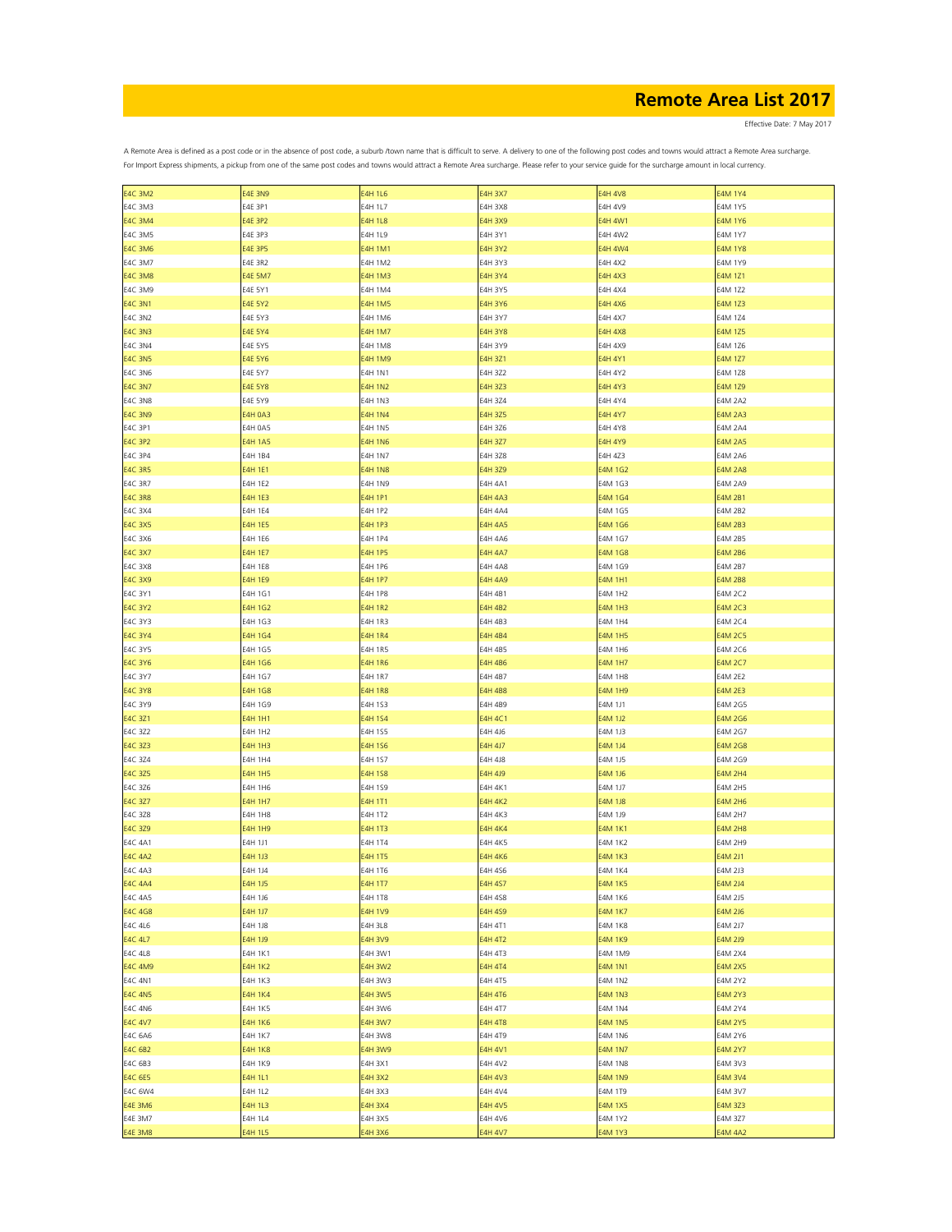Effective Date: 7 May 2017

| <b>E4C 3M2</b> | <b>E4E 3N9</b> | <b>E4H 1L6</b> | <b>E4H 3X7</b> | <b>E4H 4V8</b> | <b>E4M 1Y4</b> |
|----------------|----------------|----------------|----------------|----------------|----------------|
| E4C 3M3        | E4E 3P1        | E4H 1L7        | <b>E4H 3X8</b> | E4H 4V9        | <b>E4M 1Y5</b> |
|                |                |                |                |                |                |
| <b>E4C 3M4</b> | <b>E4E 3P2</b> | <b>E4H 1L8</b> | E4H 3X9        | E4H 4W1        | <b>E4M 1Y6</b> |
| <b>E4C 3M5</b> | E4E 3P3        | E4H 1L9        | E4H 3Y1        | E4H 4W2        | <b>E4M 1Y7</b> |
| <b>E4C 3M6</b> | <b>E4E 3P5</b> | <b>E4H 1M1</b> | <b>E4H 3Y2</b> | <b>E4H 4W4</b> | <b>E4M 1Y8</b> |
|                |                |                |                |                |                |
| <b>E4C 3M7</b> | <b>E4E 3R2</b> | E4H 1M2        | E4H 3Y3        | <b>E4H 4X2</b> | E4M 1Y9        |
| <b>E4C 3M8</b> | <b>E4E 5M7</b> | <b>E4H 1M3</b> | <b>E4H 3Y4</b> | <b>E4H 4X3</b> | E4M 1Z1        |
| <b>E4C 3M9</b> | E4E 5Y1        | E4H 1M4        | E4H 3Y5        | <b>E4H 4X4</b> | E4M 1Z2        |
|                |                |                |                |                |                |
| <b>E4C 3N1</b> | <b>E4E 5Y2</b> | <b>E4H 1M5</b> | <b>E4H 3Y6</b> | <b>E4H 4X6</b> | E4M 1Z3        |
| E4C 3N2        | E4E 5Y3        | E4H 1M6        | E4H 3Y7        | <b>E4H 4X7</b> | E4M 1Z4        |
| <b>E4C 3N3</b> | <b>E4E 5Y4</b> | <b>E4H 1M7</b> | <b>E4H 3Y8</b> | <b>E4H 4X8</b> | E4M 1Z5        |
|                |                |                |                |                |                |
| E4C 3N4        | E4E 5Y5        | <b>E4H 1M8</b> | E4H 3Y9        | E4H 4X9        | E4M 1Z6        |
| <b>E4C 3N5</b> | <b>E4E 5Y6</b> | <b>E4H 1M9</b> | <b>E4H 3Z1</b> | <b>E4H 4Y1</b> | <b>E4M 1Z7</b> |
| E4C 3N6        | E4E 5Y7        | <b>E4H 1N1</b> | E4H 3Z2        | E4H 4Y2        | E4M 1Z8        |
|                |                |                |                |                |                |
| <b>E4C 3N7</b> | <b>E4E 5Y8</b> | <b>E4H 1N2</b> | E4H 3Z3        | E4H 4Y3        | E4M 1Z9        |
| <b>E4C 3N8</b> | E4E 5Y9        | E4H 1N3        | E4H 3Z4        | E4H 4Y4        | <b>E4M 2A2</b> |
|                |                |                |                |                |                |
| <b>E4C 3N9</b> | <b>E4H 0A3</b> | <b>E4H 1N4</b> | <b>E4H 3Z5</b> | E4H 4Y7        | <b>E4M 2A3</b> |
| E4C 3P1        | <b>E4H 0A5</b> | <b>E4H 1N5</b> | E4H 3Z6        | <b>E4H 4Y8</b> | <b>E4M 2A4</b> |
| <b>E4C 3P2</b> | <b>E4H 1A5</b> | <b>E4H 1N6</b> | <b>E4H 3Z7</b> | <b>E4H 4Y9</b> | <b>E4M 2A5</b> |
|                |                |                |                |                |                |
| E4C 3P4        | E4H 1B4        | <b>E4H 1N7</b> | E4H 3Z8        | E4H 4Z3        | <b>E4M 2A6</b> |
| <b>E4C 3R5</b> | <b>E4H 1E1</b> | <b>E4H 1N8</b> | <b>E4H 3Z9</b> | E4M 1G2        | <b>E4M 2A8</b> |
| E4C 3R7        | E4H 1E2        | <b>E4H 1N9</b> | E4H 4A1        | E4M 1G3        | E4M 2A9        |
|                |                |                |                |                |                |
| <b>E4C 3R8</b> | <b>E4H 1E3</b> | <b>E4H 1P1</b> | <b>E4H 4A3</b> | E4M 1G4        | <b>E4M 2B1</b> |
| E4C 3X4        | E4H 1E4        | E4H 1P2        | <b>E4H 4A4</b> | E4M 1G5        | E4M 2B2        |
| <b>E4C 3X5</b> | <b>E4H 1E5</b> | <b>E4H 1P3</b> | <b>E4H 4A5</b> | <b>E4M 1G6</b> | <b>E4M 2B3</b> |
|                |                |                |                |                |                |
| E4C 3X6        | E4H 1E6        | E4H 1P4        | <b>E4H 4A6</b> | E4M 1G7        | E4M 2B5        |
| <b>E4C 3X7</b> | <b>E4H 1E7</b> | <b>E4H 1P5</b> | <b>E4H 4A7</b> | E4M 1G8        | <b>E4M 2B6</b> |
| <b>E4C 3X8</b> | E4H 1E8        | E4H 1P6        | <b>E4H 4A8</b> | E4M 1G9        | E4M 2B7        |
| <b>E4C 3X9</b> | <b>E4H 1E9</b> | <b>E4H 1P7</b> | <b>E4H 4A9</b> | <b>E4M 1H1</b> | <b>E4M 2B8</b> |
|                |                |                |                |                |                |
| E4C 3Y1        | E4H 1G1        | <b>E4H 1P8</b> | E4H 4B1        | E4M 1H2        | E4M 2C2        |
| <b>E4C 3Y2</b> | <b>E4H 1G2</b> | <b>E4H 1R2</b> | <b>E4H 4B2</b> | <b>E4M 1H3</b> | <b>E4M 2C3</b> |
| E4C 3Y3        | E4H 1G3        | E4H 1R3        | E4H 4B3        | E4M 1H4        | E4M 2C4        |
|                |                |                |                |                |                |
| <b>E4C 3Y4</b> | <b>E4H 1G4</b> | <b>E4H 1R4</b> | <b>E4H 4B4</b> | <b>E4M 1H5</b> | <b>E4M 2C5</b> |
| E4C 3Y5        | E4H 1G5        | <b>E4H 1R5</b> | E4H 4B5        | E4M 1H6        | E4M 2C6        |
| <b>E4C 3Y6</b> | <b>E4H 1G6</b> | <b>E4H 1R6</b> | <b>E4H 4B6</b> | <b>E4M 1H7</b> | <b>E4M 2C7</b> |
| E4C 3Y7        | E4H 1G7        | <b>E4H 1R7</b> | E4H 4B7        | <b>E4M 1H8</b> | E4M 2E2        |
|                |                |                |                |                |                |
| <b>E4C 3Y8</b> | <b>E4H 1G8</b> | <b>E4H 1R8</b> | <b>E4H 4B8</b> | <b>E4M 1H9</b> | <b>E4M 2E3</b> |
| E4C 3Y9        | E4H 1G9        | E4H 1S3        | E4H 4B9        | E4M 1J1        | E4M 2G5        |
| E4C 3Z1        | <b>E4H 1H1</b> | <b>E4H 1S4</b> | <b>E4H 4C1</b> | <b>E4M 1J2</b> | E4M 2G6        |
|                |                |                |                |                |                |
| E4C 3Z2        | E4H 1H2        | E4H 1S5        | E4H 4J6        | E4M 1J3        | E4M 2G7        |
| E4C 3Z3        | <b>E4H 1H3</b> | <b>E4H 1S6</b> | E4H 4J7        | E4M 1J4        | E4M 2G8        |
| E4C 3Z4        | E4H 1H4        | E4H 1S7        | E4H 4J8        | E4M 1J5        | E4M 2G9        |
|                |                |                |                |                |                |
| E4C 3Z5        | <b>E4H 1H5</b> | <b>E4H 1S8</b> | E4H 4J9        | E4M 1J6        | <b>E4M 2H4</b> |
| E4C 3Z6        | E4H 1H6        | E4H 1S9        | <b>E4H 4K1</b> | E4M 1J7        | E4M 2H5        |
| E4C 3Z7        | <b>E4H 1H7</b> | <b>E4H 1T1</b> | <b>E4H 4K2</b> | E4M 1J8        | <b>E4M 2H6</b> |
|                |                |                |                |                |                |
| E4C 3Z8        | <b>E4H 1H8</b> | E4H 1T2        | <b>E4H 4K3</b> | E4M 1J9        | E4M 2H7        |
| E4C 3Z9        | <b>E4H 1H9</b> | <b>E4H 1T3</b> | E4H 4K4        | <b>E4M 1K1</b> | <b>E4M 2H8</b> |
| E4C 4A1        | E4H 1J1        | <b>E4H 1T4</b> | <b>E4H 4K5</b> | <b>E4M 1K2</b> | E4M 2H9        |
| <b>E4C 4A2</b> | <b>E4H 1J3</b> | <b>E4H 1T5</b> | <b>E4H 4K6</b> | <b>E4M 1K3</b> | E4M 2J1        |
|                |                |                |                |                |                |
| E4C 4A3        | E4H 1J4        | E4H 1T6        | E4H 4S6        | <b>E4M 1K4</b> | E4M 2J3        |
| <b>E4C 4A4</b> | E4H 1J5        | <b>E4H 1T7</b> | <b>E4H 4S7</b> | <b>E4M 1K5</b> | <b>E4M 2J4</b> |
| E4C 4A5        | E4H 1J6        | E4H 1T8        | E4H 4S8        | E4M 1K6        | E4M 2J5        |
|                |                |                |                |                |                |
| E4C 4G8        | E4H 1J7        | <b>E4H 1V9</b> | E4H 4S9        | <b>E4M 1K7</b> | <b>E4M 2J6</b> |
| E4C 4L6        | E4H 1J8        | E4H 3L8        | E4H 4T1        | <b>E4M 1K8</b> | E4M 2J7        |
| E4C 4L7        | E4H 1J9        | <b>E4H 3V9</b> | <b>E4H 4T2</b> | <b>E4M 1K9</b> | E4M 2J9        |
|                |                |                |                |                |                |
| E4C 4L8        | <b>E4H 1K1</b> | E4H 3W1        | E4H 4T3        | E4M 1M9        | <b>E4M 2X4</b> |
| <b>E4C 4M9</b> | <b>E4H 1K2</b> | <b>E4H 3W2</b> | <b>E4H 4T4</b> | <b>E4M 1N1</b> | <b>E4M 2X5</b> |
| E4C 4N1        | E4H 1K3        | E4H 3W3        | E4H 4T5        | E4M 1N2        | E4M 2Y2        |
| <b>E4C 4N5</b> | <b>E4H 1K4</b> | <b>E4H 3W5</b> | <b>E4H 4T6</b> | <b>E4M 1N3</b> | <b>E4M 2Y3</b> |
|                |                |                |                |                |                |
| E4C 4N6        | <b>E4H 1K5</b> | E4H 3W6        | E4H 4T7        | E4M 1N4        | E4M 2Y4        |
| <b>E4C 4V7</b> | <b>E4H 1K6</b> | <b>E4H 3W7</b> | <b>E4H 4T8</b> | <b>E4M 1N5</b> | <b>E4M 2Y5</b> |
| E4C 6A6        | E4H 1K7        | E4H 3W8        | E4H 4T9        | <b>E4M 1N6</b> | E4M 2Y6        |
|                |                |                |                |                |                |
| E4C 6B2        | <b>E4H 1K8</b> | E4H 3W9        | <b>E4H 4V1</b> | <b>E4M 1N7</b> | <b>E4M 2Y7</b> |
| E4C 6B3        | E4H 1K9        | E4H 3X1        | E4H 4V2        | <b>E4M 1N8</b> | E4M 3V3        |
| <b>E4C 6E5</b> | E4H 1L1        | <b>E4H 3X2</b> | <b>E4H 4V3</b> | <b>E4M 1N9</b> | <b>E4M 3V4</b> |
|                |                |                |                |                |                |
| E4C 6W4        | E4H 1L2        | E4H 3X3        | E4H 4V4        | E4M 1T9        | E4M 3V7        |
| <b>E4E 3M6</b> | E4H 1L3        | <b>E4H 3X4</b> | <b>E4H 4V5</b> | <b>E4M 1X5</b> | E4M 3Z3        |
| E4E 3M7        | E4H 1L4        | E4H 3X5        | E4H 4V6        | E4M 1Y2        | E4M 3Z7        |
| <b>E4E 3M8</b> | E4H 1L5        | <b>E4H 3X6</b> | <b>E4H 4V7</b> | <b>E4M 1Y3</b> | <b>E4M 4A2</b> |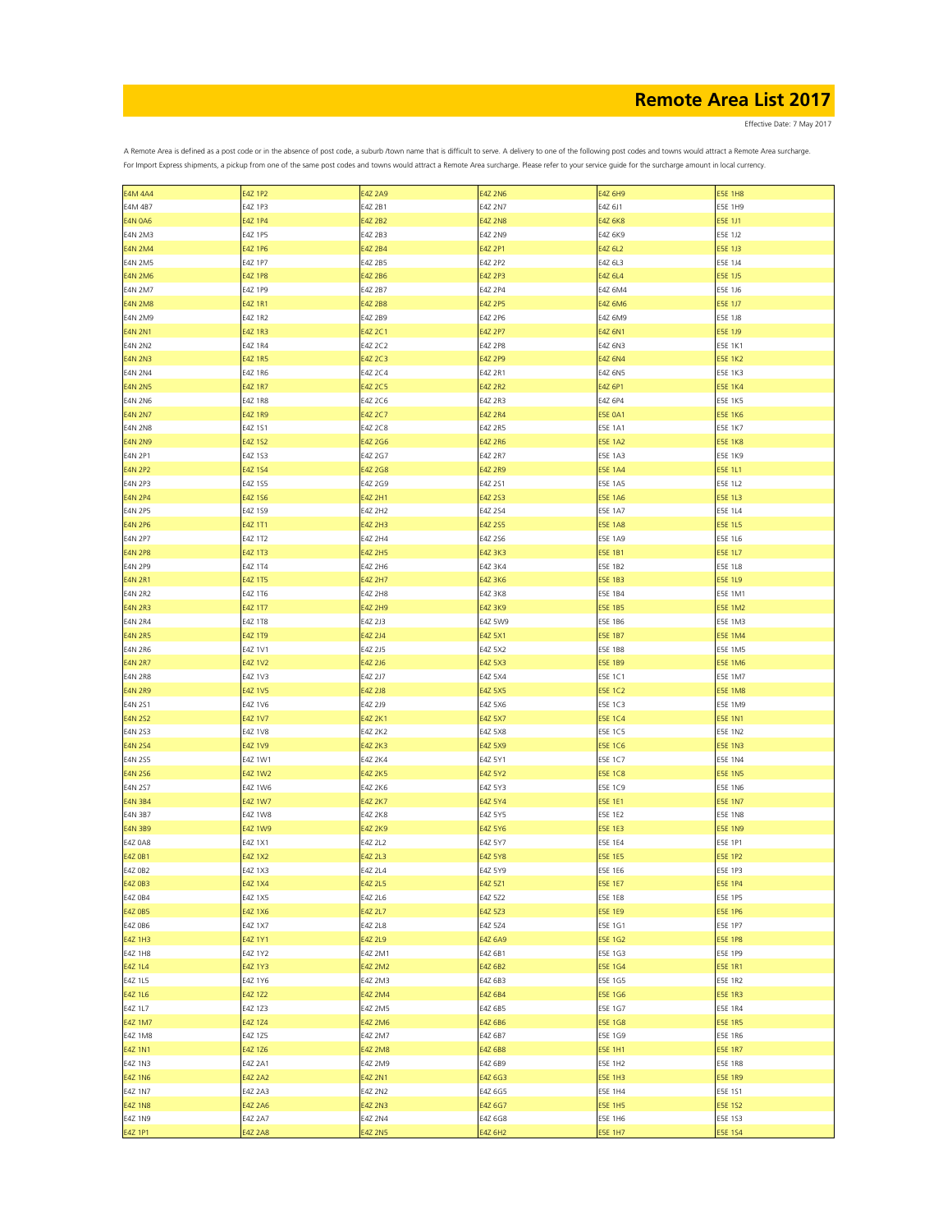Effective Date: 7 May 2017

| <b>E4M 4A4</b> | <b>E4Z 1P2</b> | <b>E4Z 2A9</b> | <b>E4Z 2N6</b> | <b>E4Z 6H9</b> | <b>E5E 1H8</b> |
|----------------|----------------|----------------|----------------|----------------|----------------|
| E4M 4B7        | E4Z 1P3        | E4Z 2B1        | E4Z 2N7        | E4Z 6J1        | <b>E5E 1H9</b> |
| <b>E4N 0A6</b> | <b>E4Z 1P4</b> | E4Z 2B2        | <b>E4Z 2N8</b> | <b>E4Z 6K8</b> | E5E 1J1        |
|                |                |                |                |                |                |
| <b>E4N 2M3</b> | E4Z 1P5        | E4Z 2B3        | E4Z 2N9        | E4Z 6K9        | E5E 1J2        |
| <b>E4N 2M4</b> | <b>E4Z 1P6</b> | E4Z 2B4        | E4Z 2P1        | E4Z 6L2        | E5E 1J3        |
| <b>E4N 2M5</b> | E4Z 1P7        | E4Z 2B5        | E4Z 2P2        | E4Z 6L3        | E5E 1J4        |
|                |                |                |                |                |                |
| <b>E4N 2M6</b> | E4Z 1P8        | E4Z 2B6        | E4Z 2P3        | E4Z 6L4        | E5E 1J5        |
| <b>E4N 2M7</b> | E4Z 1P9        | E4Z 2B7        | E4Z 2P4        | E4Z 6M4        | E5E 1J6        |
| <b>E4N 2M8</b> | E4Z 1R1        | E4Z 2B8        | <b>E4Z 2P5</b> | <b>E4Z 6M6</b> | <b>E5E 1J7</b> |
|                |                |                |                |                |                |
| <b>E4N 2M9</b> | E4Z 1R2        | E4Z 2B9        | E4Z 2P6        | E4Z 6M9        | E5E 1J8        |
| <b>E4N 2N1</b> | E4Z 1R3        | E4Z 2C1        | <b>E4Z 2P7</b> | <b>E4Z 6N1</b> | E5E 1J9        |
| <b>E4N 2N2</b> | E4Z 1R4        | E4Z 2C2        | E4Z 2P8        | E4Z 6N3        | E5E 1K1        |
| <b>E4N 2N3</b> | <b>E4Z 1R5</b> | E4Z 2C3        | <b>E4Z 2P9</b> | <b>E4Z 6N4</b> | <b>E5E 1K2</b> |
|                |                |                |                |                |                |
| <b>E4N 2N4</b> | E4Z 1R6        | E4Z 2C4        | E4Z 2R1        | E4Z 6N5        | E5E 1K3        |
| <b>E4N 2N5</b> | <b>E4Z 1R7</b> | E4Z 2C5        | <b>E4Z 2R2</b> | E4Z 6P1        | <b>E5E 1K4</b> |
| <b>E4N 2N6</b> | E4Z 1R8        | E4Z 2C6        | E4Z 2R3        | E4Z 6P4        | <b>E5E 1K5</b> |
|                |                |                |                |                |                |
| <b>E4N 2N7</b> | E4Z 1R9        | E4Z 2C7        | <b>E4Z 2R4</b> | <b>E5E 0A1</b> | <b>E5E 1K6</b> |
| <b>E4N 2N8</b> | E4Z 1S1        | E4Z 2C8        | E4Z 2R5        | <b>E5E 1A1</b> | <b>E5E 1K7</b> |
| <b>E4N 2N9</b> | E4Z 1S2        | E4Z 2G6        | <b>E4Z 2R6</b> | <b>E5E 1A2</b> | <b>E5E 1K8</b> |
|                |                |                |                |                | <b>E5E 1K9</b> |
| E4N 2P1        | E4Z 1S3        | E4Z 2G7        | E4Z 2R7        | <b>E5E 1A3</b> |                |
| <b>E4N 2P2</b> | E4Z 1S4        | E4Z 2G8        | <b>E4Z 2R9</b> | <b>E5E 1A4</b> | <b>ESE 1L1</b> |
| E4N 2P3        | E4Z 1S5        | E4Z 2G9        | E4Z 2S1        | <b>E5E 1A5</b> | <b>E5E 1L2</b> |
| <b>E4N 2P4</b> | E4Z 1S6        | E4Z 2H1        | E4Z 2S3        | <b>E5E 1A6</b> | <b>E5E 1L3</b> |
|                |                |                |                |                |                |
| E4N 2P5        | E4Z 1S9        | E4Z 2H2        | E4Z 2S4        | E5E 1A7        | E5E 1L4        |
| <b>E4N 2P6</b> | E4Z 1T1        | E4Z 2H3        | E4Z 2S5        | <b>E5E 1A8</b> | <b>E5E 1L5</b> |
| E4N 2P7        | E4Z 1T2        | E4Z 2H4        | E4Z 2S6        | E5E 1A9        | E5E 1L6        |
| <b>E4N 2P8</b> | E4Z 1T3        | <b>E4Z 2H5</b> | <b>E4Z 3K3</b> | <b>E5E 1B1</b> | <b>E5E 1L7</b> |
|                |                |                |                |                |                |
| E4N 2P9        | E4Z 1T4        | E4Z 2H6        | E4Z 3K4        | <b>E5E 1B2</b> | <b>E5E 1L8</b> |
| <b>E4N 2R1</b> | E4Z 1T5        | <b>E4Z 2H7</b> | <b>E4Z 3K6</b> | <b>E5E 1B3</b> | <b>E5E 1L9</b> |
| E4N 2R2        | E4Z 1T6        | E4Z 2H8        | E4Z 3K8        | E5E 1B4        | E5E 1M1        |
|                |                |                |                |                |                |
| <b>E4N 2R3</b> | E4Z 1T7        | <b>E4Z 2H9</b> | <b>E4Z 3K9</b> | <b>E5E 1B5</b> | <b>E5E 1M2</b> |
| <b>E4N 2R4</b> | E4Z 1T8        | E4Z 2J3        | E4Z 5W9        | E5E 1B6        | <b>E5E 1M3</b> |
| <b>E4N 2R5</b> | E4Z 1T9        | E4Z 2J4        | <b>E4Z 5X1</b> | <b>E5E 1B7</b> | <b>E5E 1M4</b> |
|                |                |                |                |                |                |
| <b>E4N 2R6</b> | E4Z 1V1        | E4Z 2J5        | E4Z 5X2        | <b>E5E 1B8</b> | E5E 1M5        |
| <b>E4N 2R7</b> | <b>E4Z 1V2</b> | E4Z 2J6        | E4Z 5X3        | <b>E5E 1B9</b> | <b>E5E 1M6</b> |
| <b>E4N 2R8</b> | E4Z 1V3        | E4Z 2J7        | E4Z 5X4        | E5E 1C1        | <b>E5E 1M7</b> |
| <b>E4N 2R9</b> | <b>E4Z 1V5</b> | E4Z 2J8        | <b>E4Z 5X5</b> | <b>E5E 1C2</b> | <b>E5E 1M8</b> |
|                |                |                |                |                |                |
| E4N 2S1        | E4Z 1V6        | E4Z 2J9        | E4Z 5X6        | E5E 1C3        | E5E 1M9        |
| <b>E4N 2S2</b> | E4Z 1V7        | <b>E4Z 2K1</b> | <b>E4Z 5X7</b> | <b>E5E 1C4</b> | <b>E5E 1N1</b> |
| E4N 2S3        | <b>E4Z 1V8</b> | E4Z 2K2        | E4Z 5X8        | <b>E5E 1C5</b> | <b>E5E 1N2</b> |
|                |                |                |                |                |                |
| <b>E4N 2S4</b> | E4Z 1V9        | <b>E4Z 2K3</b> | <b>E4Z 5X9</b> | <b>E5E 1C6</b> | <b>E5E 1N3</b> |
| E4N 2S5        | E4Z 1W1        | E4Z 2K4        | E4Z 5Y1        | E5E 1C7        | E5E 1N4        |
| <b>E4N 2S6</b> | <b>E4Z 1W2</b> | <b>E4Z 2K5</b> | E4Z 5Y2        | <b>E5E 1C8</b> | <b>E5E 1N5</b> |
|                |                |                | E4Z 5Y3        | E5E 1C9        |                |
| E4N 2S7        | E4Z 1W6        | E4Z 2K6        |                |                | E5E 1N6        |
| <b>E4N 3B4</b> | <b>E4Z 1W7</b> | <b>E4Z 2K7</b> | E4Z 5Y4        | <b>E5E 1E1</b> | <b>E5E 1N7</b> |
| E4N 3B7        | E4Z 1W8        | E4Z 2K8        | E4Z 5Y5        | E5E 1E2        | <b>E5E 1N8</b> |
| <b>E4N 3B9</b> | E4Z 1W9        | <b>E4Z 2K9</b> | E4Z 5Y6        | <b>E5E 1E3</b> | <b>E5E 1N9</b> |
|                |                |                |                |                |                |
| <b>E4Z 0A8</b> | E4Z 1X1        | E4Z 2L2        | E4Z 5Y7        | E5E 1E4        | E5E 1P1        |
| <b>E4Z 0B1</b> | <b>E4Z 1X2</b> | E4Z 2L3        | <b>E4Z 5Y8</b> | <b>E5E 1E5</b> | <b>E5E 1P2</b> |
| E4Z 0B2        | E4Z 1X3        | E4Z 2L4        | E4Z 5Y9        | E5E 1E6        | <b>E5E 1P3</b> |
| <b>E4Z 0B3</b> | E4Z 1X4        | E4Z 2L5        |                | <b>E5E 1E7</b> | <b>E5E 1P4</b> |
|                |                |                | E4Z 5Z1        |                |                |
| E4Z 0B4        | E4Z 1X5        | E4Z 2L6        | E4Z 5Z2        | E5E 1E8        | <b>E5E 1P5</b> |
| E4Z 0B5        | E4Z 1X6        | E4Z 2L7        | E4Z 5Z3        | <b>E5E 1E9</b> | <b>E5E 1P6</b> |
| E4Z 0B6        | E4Z 1X7        | E4Z 2L8        | E4Z 5Z4        | E5E 1G1        | <b>E5E 1P7</b> |
|                |                |                |                |                |                |
| E4Z 1H3        | E4Z 1Y1        | E4Z 2L9        | E4Z 6A9        | E5E 1G2        | <b>E5E 1P8</b> |
| E4Z 1H8        | E4Z 1Y2        | E4Z 2M1        | E4Z 6B1        | E5E 1G3        | E5E 1P9        |
| E4Z 1L4        | E4Z 1Y3        | E4Z 2M2        | E4Z 6B2        | <b>E5E 1G4</b> | <b>E5E 1R1</b> |
| E4Z 1L5        | E4Z 1Y6        | E4Z 2M3        | E4Z 6B3        | E5E 1G5        | <b>E5E 1R2</b> |
|                |                |                |                |                |                |
| E4Z 1L6        | E4Z 1Z2        | E4Z 2M4        | E4Z 6B4        | E5E 1G6        | <b>E5E 1R3</b> |
| E4Z 1L7        | E4Z 1Z3        | E4Z 2M5        | E4Z 6B5        | E5E 1G7        | E5E 1R4        |
| <b>E4Z 1M7</b> | E4Z 1Z4        | E4Z 2M6        | E4Z 6B6        | E5E 1G8        | <b>E5E 1R5</b> |
|                |                |                |                |                |                |
| E4Z 1M8        | E4Z 1Z5        | E4Z 2M7        | E4Z 6B7        | E5E 1G9        | E5E 1R6        |
| E4Z 1N1        | E4Z 1Z6        | <b>E4Z 2M8</b> | E4Z 6B8        | E5E 1H1        | <b>E5E 1R7</b> |
| E4Z 1N3        | E4Z 2A1        | E4Z 2M9        | E4Z 6B9        | E5E 1H2        | E5E 1R8        |
| <b>E4Z 1N6</b> | <b>E4Z 2A2</b> | E4Z 2N1        | E4Z 6G3        | <b>E5E 1H3</b> | <b>E5E 1R9</b> |
|                |                |                |                |                |                |
| E4Z 1N7        | E4Z 2A3        | E4Z 2N2        | E4Z 6G5        | E5E 1H4        | E5E 1S1        |
| <b>E4Z 1N8</b> | <b>E4Z 2A6</b> | <b>E4Z 2N3</b> | E4Z 6G7        | <b>E5E 1H5</b> | <b>E5E 1S2</b> |
| E4Z 1N9        | E4Z 2A7        | E4Z 2N4        | E4Z 6G8        | E5E 1H6        | E5E 1S3        |
|                |                |                |                |                |                |
| E4Z 1P1        | <b>E4Z 2A8</b> | <b>E4Z 2N5</b> | E4Z 6H2        | <b>E5E 1H7</b> | <b>E5E 1S4</b> |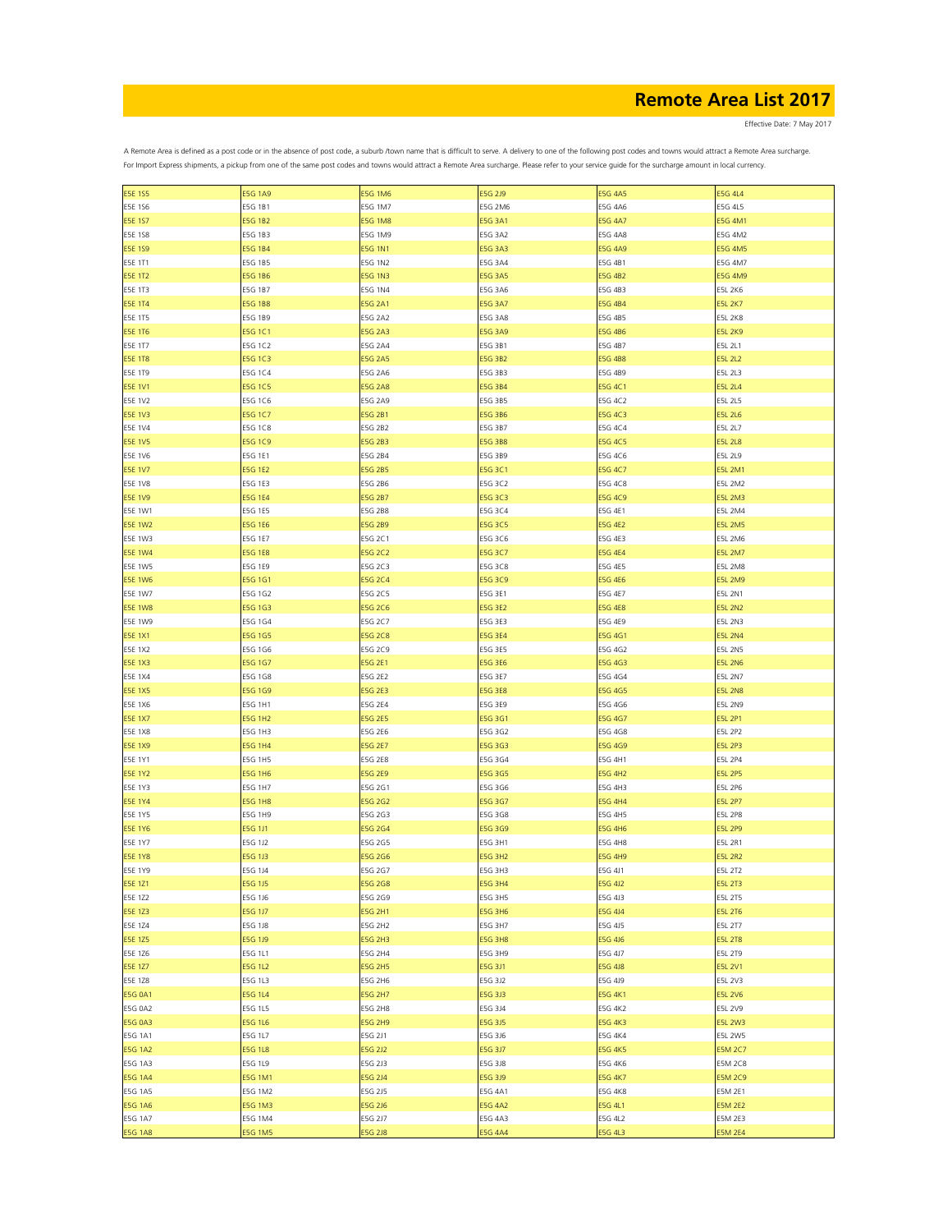Effective Date: 7 May 2017

| <b>E5E 1S5</b>            | <b>E5G 1A9</b>     | <b>E5G 1M6</b> | E5G 2J9        | <b>E5G 4A5</b>     | <b>E5G 4L4</b> |
|---------------------------|--------------------|----------------|----------------|--------------------|----------------|
| E5E 1S6                   | E5G 1B1            | E5G 1M7        | E5G 2M6        | E5G 4A6            | E5G 4L5        |
| <b>E5E 1S7</b>            | <b>E5G 1B2</b>     | <b>E5G 1M8</b> | <b>E5G 3A1</b> | <b>E5G 4A7</b>     | <b>E5G 4M1</b> |
| E5E 1S8                   | E5G 1B3            | E5G 1M9        | E5G 3A2        | E5G 4A8            | E5G 4M2        |
| <b>E5E 1S9</b>            | <b>E5G 1B4</b>     | <b>E5G 1N1</b> | <b>E5G 3A3</b> | <b>E5G 4A9</b>     | E5G 4M5        |
| E5E 1T1                   | E5G 1B5            | E5G 1N2        | E5G 3A4        | E5G 4B1            | E5G 4M7        |
| <b>E5E 1T2</b>            | <b>E5G 1B6</b>     | <b>E5G 1N3</b> | <b>E5G 3A5</b> | E5G 4B2            | E5G 4M9        |
| E5E 1T3                   | E5G 1B7            | E5G 1N4        | E5G 3A6        | E5G 4B3            | <b>E5L 2K6</b> |
| <b>E5E 1T4</b>            | <b>E5G 1B8</b>     | <b>E5G 2A1</b> | <b>E5G 3A7</b> | E5G 4B4            | <b>E5L 2K7</b> |
| E5E 1T5                   | E5G 1B9            | E5G 2A2        | E5G 3A8        | E5G 4B5            | <b>E5L 2K8</b> |
| <b>E5E 1T6</b>            | <b>E5G 1C1</b>     | <b>E5G 2A3</b> | <b>E5G 3A9</b> | E5G 4B6            | <b>E5L 2K9</b> |
| E5E 1T7                   | E5G 1C2            | E5G 2A4        | E5G 3B1        | E5G 4B7            | E5L 2L1        |
| <b>E5E 1T8</b>            | <b>E5G 1C3</b>     | <b>E5G 2A5</b> | <b>E5G 3B2</b> | <b>E5G 4B8</b>     | <b>E5L 2L2</b> |
| E5E 1T9                   | E5G 1C4            | E5G 2A6        | E5G 3B3        | E5G 4B9            | E5L 2L3        |
| <b>E5E 1V1</b>            | <b>E5G 1C5</b>     | <b>E5G 2A8</b> | <b>E5G 3B4</b> | E5G 4C1            | <b>ESL 2L4</b> |
| <b>E5E 1V2</b>            | E5G 1C6            | E5G 2A9        | E5G 3B5        | E5G 4C2            | E5L 2L5        |
| <b>E5E 1V3</b>            | <b>E5G 1C7</b>     | <b>E5G 2B1</b> | <b>E5G 3B6</b> | E5G 4C3            | <b>E5L 2L6</b> |
| E5E 1V4                   | E5G 1C8            | E5G 2B2        | E5G 3B7        | E5G 4C4            | E5L 2L7        |
| <b>E5E 1V5</b>            | E5G 1C9            | <b>E5G 2B3</b> | <b>E5G 3B8</b> | <b>E5G 4C5</b>     | <b>E5L 2L8</b> |
| E5E 1V6                   | E5G 1E1            | E5G 2B4        | E5G 3B9        | E5G 4C6            | E5L 2L9        |
| <b>E5E 1V7</b>            | <b>E5G 1E2</b>     | <b>E5G 2B5</b> | <b>E5G 3C1</b> | <b>E5G 4C7</b>     | <b>E5L 2M1</b> |
| E5E 1V8                   | E5G 1E3            | E5G 2B6        | E5G 3C2        | E5G 4C8            | E5L 2M2        |
| <b>E5E 1V9</b>            | <b>E5G 1E4</b>     | <b>E5G 2B7</b> | E5G 3C3        | E5G 4C9            | <b>E5L 2M3</b> |
| E5E 1W1                   | E5G 1E5            | E5G 2B8        | E5G 3C4        | E5G 4E1            | <b>E5L 2M4</b> |
| <b>E5E 1W2</b>            | <b>E5G 1E6</b>     | <b>E5G 2B9</b> | <b>E5G 3C5</b> | <b>E5G 4E2</b>     | <b>E5L 2M5</b> |
| E5E 1W3                   | E5G 1E7            | E5G 2C1        | E5G 3C6        | E5G 4E3            | E5L 2M6        |
| <b>E5E 1W4</b>            | <b>E5G 1E8</b>     | <b>E5G 2C2</b> | <b>E5G 3C7</b> | <b>E5G 4E4</b>     | <b>E5L 2M7</b> |
| <b>E5E 1W5</b>            | E5G 1E9            | E5G 2C3        | E5G 3C8        | E5G 4E5            | <b>E5L 2M8</b> |
| <b>E5E 1W6</b>            | E5G 1G1            | <b>E5G 2C4</b> | E5G 3C9        | <b>E5G 4E6</b>     | <b>E5L 2M9</b> |
| E5E 1W7                   | E5G 1G2            | E5G 2C5        | E5G 3E1        | E5G 4E7            | <b>E5L 2N1</b> |
| <b>E5E 1W8</b>            | E5G 1G3            | <b>E5G 2C6</b> | <b>E5G 3E2</b> | <b>E5G 4E8</b>     | <b>E5L 2N2</b> |
|                           |                    | E5G 2C7        | E5G 3E3        |                    | E5L 2N3        |
| E5E 1W9<br><b>E5E 1X1</b> | E5G 1G4<br>E5G 1G5 | <b>E5G 2C8</b> | <b>E5G 3E4</b> | E5G 4E9<br>E5G 4G1 | <b>E5L 2N4</b> |
|                           |                    |                |                |                    |                |
| <b>E5E 1X2</b>            | E5G 1G6            | E5G 2C9        | E5G 3E5        | E5G 4G2            | <b>E5L 2N5</b> |
| <b>E5E 1X3</b>            | E5G 1G7            | <b>E5G 2E1</b> | <b>E5G 3E6</b> | E5G 4G3            | <b>E5L 2N6</b> |
| E5E 1X4                   | E5G 1G8            | E5G 2E2        | E5G 3E7        | E5G 4G4            | <b>E5L 2N7</b> |
| <b>E5E 1X5</b>            | E5G 1G9            | <b>E5G 2E3</b> | <b>E5G 3E8</b> | E5G 4G5            | <b>E5L 2N8</b> |
| E5E 1X6                   | E5G 1H1            | E5G 2E4        | E5G 3E9        | E5G 4G6            | <b>E5L 2N9</b> |
| <b>E5E 1X7</b>            | <b>E5G 1H2</b>     | <b>E5G 2E5</b> | E5G 3G1        | E5G 4G7            | <b>E5L 2P1</b> |
| E5E 1X8                   | E5G 1H3            | E5G 2E6        | E5G 3G2        | E5G 4G8            | E5L 2P2        |
| <b>E5E 1X9</b>            | <b>E5G 1H4</b>     | <b>E5G 2E7</b> | E5G 3G3        | E5G 4G9            | <b>E5L 2P3</b> |
| E5E 1Y1                   | E5G 1H5            | E5G 2E8        | E5G 3G4        | E5G 4H1            | E5L 2P4        |
| <b>E5E 1Y2</b>            | <b>E5G 1H6</b>     | <b>E5G 2E9</b> | E5G 3G5        | <b>E5G 4H2</b>     | <b>E5L 2P5</b> |
| E5E 1Y3                   | E5G 1H7            | E5G 2G1        | E5G 3G6        | E5G 4H3            | E5L 2P6        |
| <b>E5E 1Y4</b>            | <b>E5G 1H8</b>     | <b>E5G 2G2</b> | E5G 3G7        | <b>E5G 4H4</b>     | <b>E5L 2P7</b> |
| E5E 1Y5                   | E5G 1H9            | E5G 2G3        | E5G 3G8        | E5G 4H5            | <b>E5L 2P8</b> |
| <b>E5E 1Y6</b>            | E5G 1J1            | E5G 2G4        | E5G 3G9        | <b>E5G 4H6</b>     | <b>E5L 2P9</b> |
| <b>E5E 1Y7</b>            | E5G 1J2            | E5G 2G5        | E5G 3H1        | E5G 4H8            | <b>E5L 2R1</b> |
| <b>E5E 1Y8</b>            | E5G 1J3            | <b>E5G 2G6</b> | <b>E5G 3H2</b> | <b>E5G 4H9</b>     | <b>E5L 2R2</b> |
| E5E 1Y9                   | E5G 1J4            | E5G 2G7        | E5G 3H3        | E5G 4J1            | <b>E5L 2T2</b> |
| <b>E5E 1Z1</b>            | E5G 1J5            | E5G 2G8        | E5G 3H4        | E5G 4J2            | <b>E5L 2T3</b> |
| E5E 1Z2                   | E5G 1J6            | E5G 2G9        | E5G 3H5        | E5G 4J3            | E5L 2T5        |
| <b>E5E 1Z3</b>            | E5G 1J7            | <b>E5G 2H1</b> | <b>E5G 3H6</b> | E5G 4J4            | <b>E5L 2T6</b> |
| E5E 1Z4                   | E5G 1J8            | E5G 2H2        | E5G 3H7        | E5G 4J5            | E5L 2T7        |
| <b>E5E 1Z5</b>            | E5G 1J9            | <b>E5G 2H3</b> | <b>E5G 3H8</b> | E5G 4J6            | <b>E5L 2T8</b> |
| E5E 1Z6                   | E5G 1L1            | E5G 2H4        | E5G 3H9        | E5G 4J7            | E5L 2T9        |
| <b>E5E 1Z7</b>            | E5G 1L2            | <b>E5G 2H5</b> | E5G 3J1        | E5G 4J8            | <b>E5L 2V1</b> |
| E5E 1Z8                   | E5G 1L3            | E5G 2H6        | E5G 3J2        | E5G 4J9            | E5L 2V3        |
| <b>E5G 0A1</b>            | E5G 1L4            | <b>E5G 2H7</b> | E5G 3J3        | E5G 4K1            | <b>E5L 2V6</b> |
| E5G 0A2                   | E5G 1L5            | E5G 2H8        | E5G 3J4        | E5G 4K2            | E5L 2V9        |
| <b>E5G 0A3</b>            | E5G 1L6            | <b>E5G 2H9</b> | E5G 3J5        | <b>E5G 4K3</b>     | <b>E5L 2W3</b> |
| E5G 1A1                   | E5G 1L7            | E5G 2J1        | E5G 3J6        | E5G 4K4            | <b>E5L 2W5</b> |
| <b>E5G 1A2</b>            | <b>E5G 1L8</b>     | E5G 2J2        | E5G 3J7        | <b>E5G 4K5</b>     | <b>E5M 2C7</b> |
| E5G 1A3                   | E5G 1L9            | E5G 2J3        | E5G 3J8        | E5G 4K6            | E5M 2C8        |
| <b>E5G 1A4</b>            | E5G 1M1            | <b>E5G 2J4</b> | E5G 3J9        | E5G 4K7            | <b>E5M 2C9</b> |
| E5G 1A5                   | E5G 1M2            | E5G 2J5        | E5G 4A1        | E5G 4K8            | E5M 2E1        |
| <b>E5G 1A6</b>            | <b>E5G 1M3</b>     | E5G 2J6        | <b>E5G 4A2</b> | E5G 4L1            | <b>E5M 2E2</b> |
| E5G 1A7                   | E5G 1M4            | E5G 2J7        | E5G 4A3        | E5G 4L2            | <b>E5M 2E3</b> |
| <b>E5G 1A8</b>            | <b>E5G 1M5</b>     | E5G 2J8        | <b>E5G 4A4</b> | E5G 4L3            | <b>E5M 2E4</b> |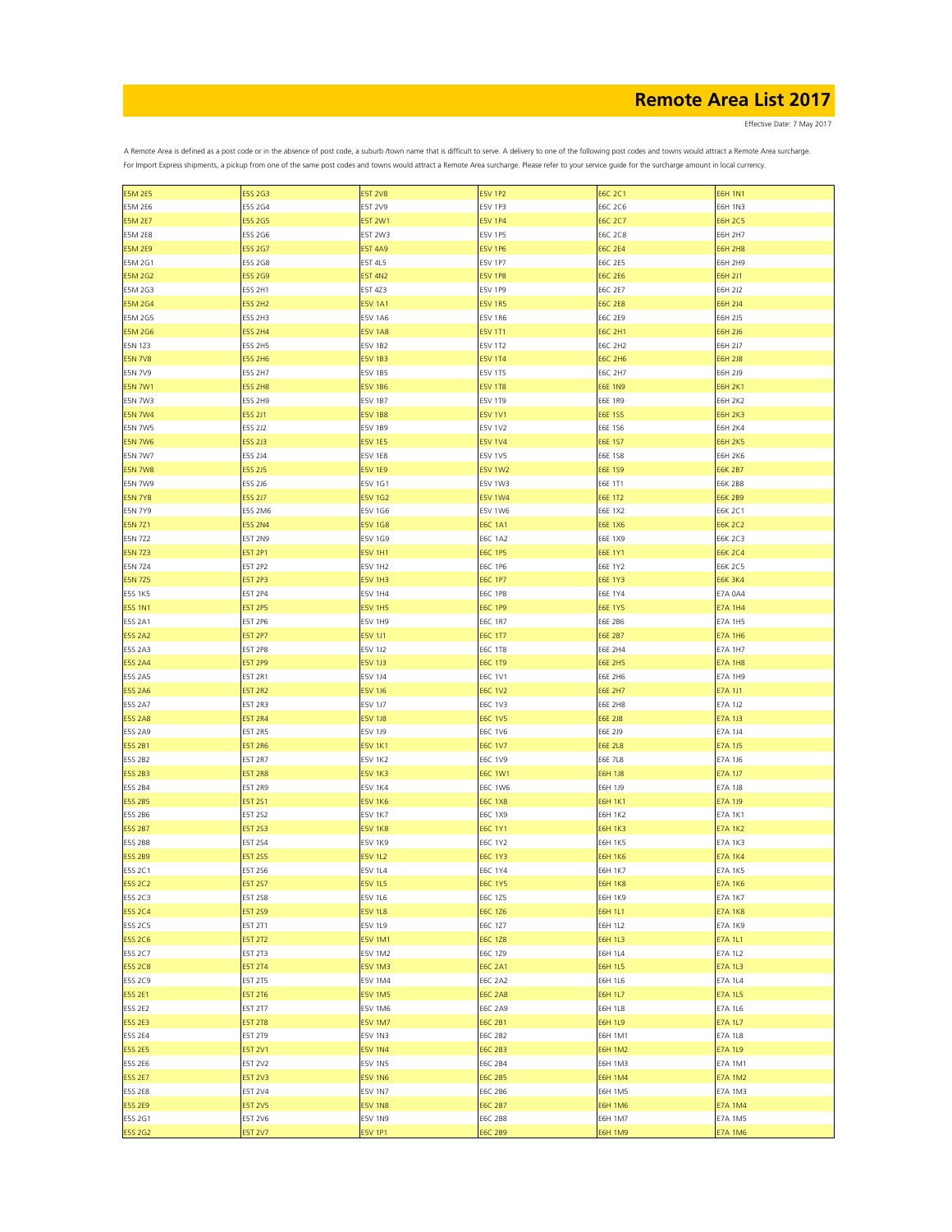Effective Date: 7 May 2017

| <b>E5M 2E5</b> | E5S 2G3        | <b>E5T 2V8</b> | <b>E5V 1P2</b> | <b>E6C 2C1</b> | <b>E6H 1N1</b> |
|----------------|----------------|----------------|----------------|----------------|----------------|
| <b>E5M 2E6</b> | E5S 2G4        | E5T 2V9        | E5V 1P3        | E6C 2C6        | <b>E6H 1N3</b> |
| <b>E5M 2E7</b> | <b>E5S 2G5</b> | <b>E5T 2W1</b> | <b>E5V 1P4</b> | <b>E6C 2C7</b> | <b>E6H 2C5</b> |
|                |                |                |                |                |                |
| <b>E5M 2E8</b> | E5S 2G6        | E5T 2W3        | E5V 1P5        | <b>E6C 2C8</b> | <b>E6H 2H7</b> |
| <b>E5M 2E9</b> | E5S 2G7        | <b>E5T 4A9</b> | <b>E5V 1P6</b> | <b>E6C 2E4</b> | <b>E6H 2H8</b> |
| E5M 2G1        | E5S 2G8        | E5T 4L5        | <b>E5V 1P7</b> | <b>E6C 2E5</b> | <b>E6H 2H9</b> |
| <b>E5M 2G2</b> | E5S 2G9        | <b>E5T 4N2</b> | <b>E5V 1P8</b> | <b>E6C 2E6</b> | E6H 2J1        |
| E5M 2G3        | E5S 2H1        | E5T 4Z3        | E5V 1P9        | E6C 2E7        | E6H 2J2        |
|                |                |                |                |                |                |
| <b>E5M 2G4</b> | <b>E5S 2H2</b> | <b>E5V 1A1</b> | <b>E5V 1R5</b> | <b>E6C 2E8</b> | <b>E6H 2J4</b> |
| E5M 2G5        | E5S 2H3        | E5V 1A6        | <b>E5V 1R6</b> | E6C 2E9        | E6H 2J5        |
| <b>E5M 2G6</b> | <b>E5S 2H4</b> | <b>E5V 1A8</b> | <b>E5V 1T1</b> | <b>E6C 2H1</b> | <b>E6H 2J6</b> |
| E5N 1Z3        | E5S 2H5        | E5V 1B2        | <b>E5V 1T2</b> | <b>E6C 2H2</b> | E6H 2J7        |
| <b>E5N 7V8</b> | <b>E5S 2H6</b> | <b>E5V 1B3</b> | <b>E5V 1T4</b> | <b>E6C 2H6</b> | <b>E6H 2J8</b> |
| <b>E5N 7V9</b> | E5S 2H7        | E5V 1B5        | E5V 1T5        | <b>E6C 2H7</b> | E6H 2J9        |
|                |                |                |                |                |                |
| <b>E5N 7W1</b> | <b>E5S 2H8</b> | <b>E5V 1B6</b> | <b>E5V 1T8</b> | <b>E6E 1N9</b> | <b>E6H 2K1</b> |
| <b>E5N 7W3</b> | <b>E5S 2H9</b> | <b>E5V 1B7</b> | E5V 1T9        | <b>E6E 1R9</b> | <b>E6H 2K2</b> |
| <b>E5N 7W4</b> | <b>E5S 2J1</b> | <b>E5V 1B8</b> | <b>E5V 1V1</b> | <b>E6E 1S5</b> | <b>E6H 2K3</b> |
| <b>E5N 7W5</b> | E5S 2J2        | E5V 1B9        | E5V 1V2        | E6E 1S6        | E6H 2K4        |
| <b>E5N 7W6</b> | E5S 2J3        | <b>E5V 1E5</b> | <b>E5V 1V4</b> | E6E 1S7        | <b>E6H 2K5</b> |
|                |                |                |                |                |                |
| <b>E5N 7W7</b> | E5S 2J4        | <b>E5V 1E8</b> | E5V 1V5        | E6E 1S8        | E6H 2K6        |
| <b>E5N 7W8</b> | E5S 2J5        | <b>E5V 1E9</b> | <b>E5V 1W2</b> | E6E 1S9        | <b>E6K 2B7</b> |
| E5N 7W9        | E5S 2J6        | E5V 1G1        | E5V 1W3        | E6E 1T1        | E6K 2B8        |
| <b>E5N 7Y8</b> | <b>E5S 2J7</b> | <b>E5V 1G2</b> | <b>E5V 1W4</b> | <b>E6E 1T2</b> | <b>E6K 2B9</b> |
|                |                |                | <b>E5V 1W6</b> | E6E 1X2        |                |
| E5N 7Y9        | E5S 2M6        | E5V 1G6        |                |                | E6K 2C1        |
| <b>E5N 7Z1</b> | <b>E5S 2N4</b> | <b>E5V 1G8</b> | <b>E6C 1A1</b> | <b>E6E 1X6</b> | <b>E6K 2C2</b> |
| <b>E5N 7Z2</b> | E5T 2N9        | E5V 1G9        | <b>E6C 1A2</b> | E6E 1X9        | E6K 2C3        |
| <b>E5N 7Z3</b> | <b>E5T 2P1</b> | <b>E5V 1H1</b> | <b>E6C 1P5</b> | <b>E6E 1Y1</b> | <b>E6K 2C4</b> |
| <b>E5N 7Z4</b> | E5T 2P2        | <b>E5V 1H2</b> | E6C 1P6        | E6E 1Y2        | E6K 2C5        |
|                |                |                |                |                |                |
| <b>E5N 7Z5</b> | <b>E5T 2P3</b> | <b>E5V 1H3</b> | <b>E6C 1P7</b> | <b>E6E 1Y3</b> | <b>E6K 3K4</b> |
| <b>E5S 1K5</b> | E5T 2P4        | E5V 1H4        | <b>E6C 1P8</b> | E6E 1Y4        | E7A 0A4        |
| <b>E5S 1N1</b> | <b>E5T 2P5</b> | <b>E5V 1H5</b> | <b>E6C 1P9</b> | <b>E6E 1Y5</b> | <b>E7A 1H4</b> |
| E5S 2A1        | E5T 2P6        | E5V 1H9        | E6C 1R7        | E6E 2B6        | <b>E7A 1H5</b> |
| <b>E5S 2A2</b> | <b>E5T 2P7</b> | <b>E5V 1J1</b> | <b>E6C 1T7</b> | <b>E6E 2B7</b> | <b>E7A 1H6</b> |
|                |                |                |                |                |                |
| E5S 2A3        | E5T 2P8        | E5V 1J2        | <b>E6C 1T8</b> | <b>E6E 2H4</b> | <b>E7A 1H7</b> |
| <b>E5S 2A4</b> | <b>E5T 2P9</b> | <b>E5V 1J3</b> | <b>E6C 1T9</b> | <b>E6E 2H5</b> | <b>E7A 1H8</b> |
| E5S 2A5        | E5T 2R1        | E5V 1J4        | E6C 1V1        | <b>E6E 2H6</b> | E7A 1H9        |
| <b>E5S 2A6</b> | <b>E5T 2R2</b> | <b>E5V 1J6</b> | <b>E6C 1V2</b> | <b>E6E 2H7</b> | <b>E7A 1J1</b> |
| E5S 2A7        | E5T 2R3        | E5V 1J7        | E6C 1V3        | <b>E6E 2H8</b> | E7A 1J2        |
|                |                |                |                |                |                |
| <b>E5S 2A8</b> | <b>E5T 2R4</b> | <b>E5V 1J8</b> | <b>E6C 1V5</b> | <b>E6E 2J8</b> | E7A 1J3        |
| E5S 2A9        | E5T 2R5        | E5V 1J9        | E6C 1V6        | E6E 2J9        | E7A 1J4        |
| <b>E5S 2B1</b> | <b>E5T 2R6</b> | <b>E5V 1K1</b> | <b>E6C 1V7</b> | <b>E6E 2L8</b> | <b>E7A 1J5</b> |
| E5S 2B2        | <b>E5T 2R7</b> | <b>E5V 1K2</b> | E6C 1V9        | <b>E6E 7L8</b> | E7A 1J6        |
| <b>E5S 2B3</b> | <b>E5T 2R8</b> | <b>E5V 1K3</b> | <b>E6C 1W1</b> | <b>E6H 1J8</b> | <b>E7A 1J7</b> |
|                |                |                |                |                |                |
| E5S 2B4        | E5T 2R9        | <b>E5V 1K4</b> | E6C 1W6        | E6H 1J9        | <b>E7A 1J8</b> |
| <b>E5S 2B5</b> | <b>E5T 2S1</b> | <b>E5V 1K6</b> | <b>E6C 1X8</b> | <b>E6H 1K1</b> | E7A 1J9        |
| E5S 2B6        | E5T 2S2        | <b>E5V 1K7</b> | E6C 1X9        | <b>E6H 1K2</b> | E7A 1K1        |
| <b>E5S 2B7</b> | E5T 2S3        | <b>E5V 1K8</b> | <b>E6C 1Y1</b> | <b>E6H 1K3</b> | <b>E7A 1K2</b> |
| E5S 2B8        | E5T 2S4        | <b>E5V 1K9</b> | E6C 1Y2        | <b>E6H 1K5</b> | <b>E7A 1K3</b> |
| <b>E5S 2B9</b> | <b>E5T 2S5</b> | <b>E5V 1L2</b> | <b>E6C 1Y3</b> | <b>E6H 1K6</b> | <b>E7A 1K4</b> |
|                |                |                |                |                |                |
| E5S 2C1        | E5T 2S6        | E5V 1L4        | E6C 1Y4        | <b>E6H 1K7</b> | <b>E7A 1K5</b> |
| <b>E5S 2C2</b> | <b>E5T 2S7</b> | <b>E5V 1L5</b> | E6C 1Y5        | <b>E6H 1K8</b> | <b>E7A 1K6</b> |
| E5S 2C3        | E5T 2S8        | E5V 1L6        | E6C 1Z5        | <b>E6H 1K9</b> | <b>E7A 1K7</b> |
| <b>E5S 2C4</b> | E5T 2S9        | <b>E5V 1L8</b> | E6C 1Z6        | <b>E6H 1L1</b> | <b>E7A 1K8</b> |
| E5S 2C5        | E5T 2T1        | E5V 1L9        | E6C 1Z7        | <b>E6H 1L2</b> | <b>E7A 1K9</b> |
|                |                |                |                |                |                |
| <b>E5S 2C6</b> | <b>E5T 2T2</b> | <b>E5V 1M1</b> | E6C 1Z8        | <b>E6H 1L3</b> | <b>E7A 1L1</b> |
| E5S 2C7        | E5T 2T3        | E5V 1M2        | E6C 1Z9        | E6H 1L4        | <b>E7A 1L2</b> |
| <b>E5S 2C8</b> | <b>E5T 2T4</b> | <b>E5V 1M3</b> | <b>E6C 2A1</b> | <b>E6H 1L5</b> | <b>E7A 1L3</b> |
| E5S 2C9        | E5T 2T5        | E5V 1M4        | <b>E6C 2A2</b> | <b>E6H 1L6</b> | <b>E7A 1L4</b> |
| <b>E5S 2E1</b> | <b>E5T 2T6</b> | <b>E5V 1M5</b> | <b>E6C 2A8</b> | <b>E6H 1L7</b> | <b>E7A 1L5</b> |
|                |                |                |                |                |                |
| E5S 2E2        | E5T 2T7        | E5V 1M6        | <b>E6C 2A9</b> | <b>E6H 1L8</b> | E7A 1L6        |
| <b>E5S 2E3</b> | <b>E5T 2T8</b> | <b>E5V 1M7</b> | <b>E6C 2B1</b> | <b>E6H 1L9</b> | <b>E7A 1L7</b> |
| E5S 2E4        | E5T 2T9        | E5V 1N3        | E6C 2B2        | <b>E6H 1M1</b> | E7A 1L8        |
| <b>E5S 2E5</b> | <b>E5T 2V1</b> | <b>E5V 1N4</b> | E6C 2B3        | <b>E6H 1M2</b> | <b>E7A 1L9</b> |
| E5S 2E6        | E5T 2V2        | E5V 1N5        | E6C 2B4        | <b>E6H 1M3</b> | E7A 1M1        |
|                |                |                |                |                |                |
| <b>E5S 2E7</b> | <b>E5T 2V3</b> | <b>E5V 1N6</b> | <b>E6C 2B5</b> | <b>E6H 1M4</b> | <b>E7A 1M2</b> |
| E5S 2E8        | E5T 2V4        | E5V 1N7        | E6C 2B6        | <b>E6H 1M5</b> | E7A 1M3        |
| <b>E5S 2E9</b> | <b>E5T 2V5</b> | <b>E5V 1N8</b> | <b>E6C 2B7</b> | <b>E6H 1M6</b> | <b>E7A 1M4</b> |
| E5S 2G1        | E5T 2V6        | E5V 1N9        | E6C 2B8        | <b>E6H 1M7</b> | <b>E7A 1M5</b> |
| <b>E5S 2G2</b> | <b>E5T 2V7</b> | <b>E5V 1P1</b> | <b>E6C 2B9</b> | <b>E6H 1M9</b> | <b>E7A 1M6</b> |
|                |                |                |                |                |                |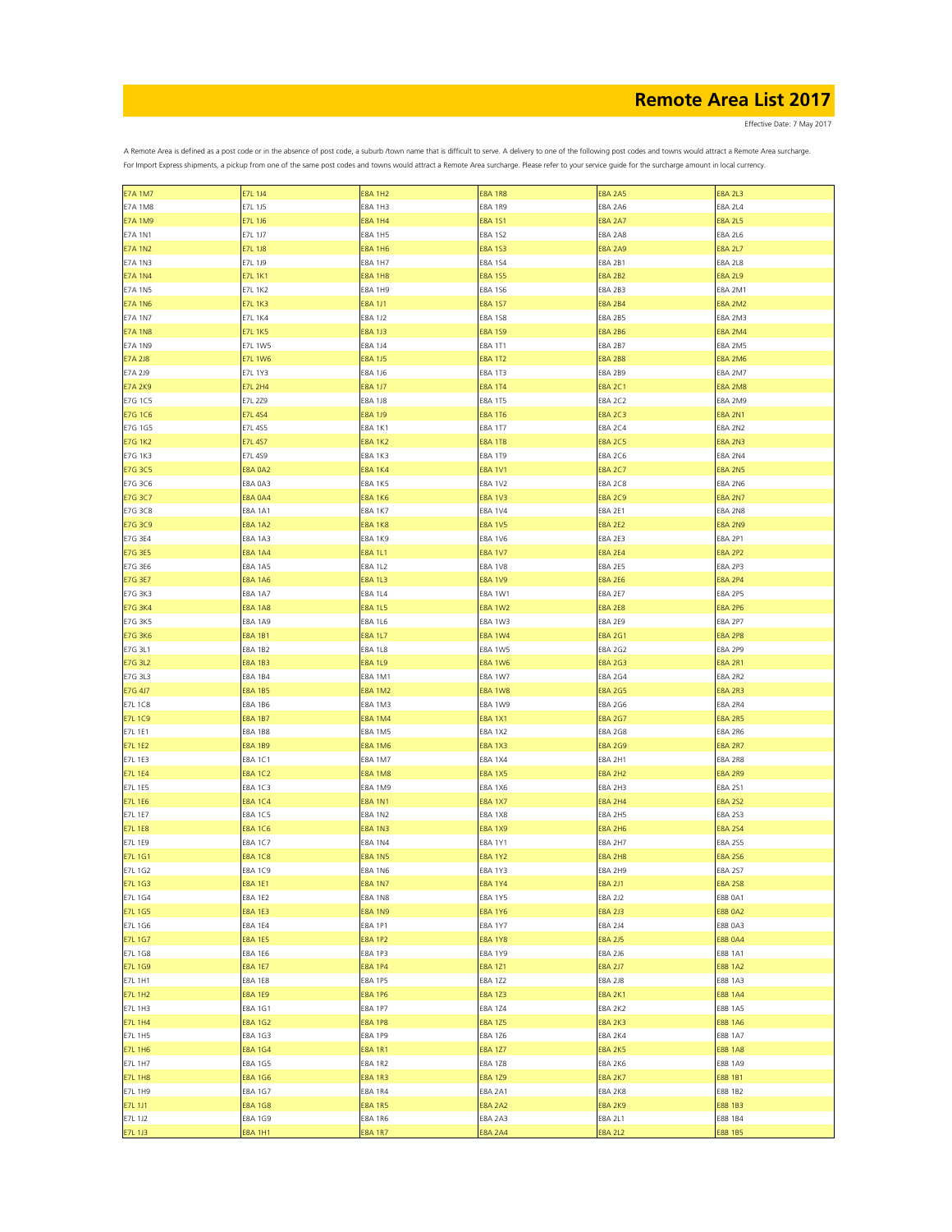Effective Date: 7 May 2017

| <b>E7A 1M7</b> | E7L 1J4        | <b>E8A 1H2</b> | <b>E8A 1R8</b> | <b>E8A 2A5</b> | <b>E8A 2L3</b> |
|----------------|----------------|----------------|----------------|----------------|----------------|
| <b>E7A 1M8</b> | E7L 1J5        | <b>E8A 1H3</b> | <b>E8A 1R9</b> | <b>E8A 2A6</b> | <b>E8A 2L4</b> |
| <b>E7A 1M9</b> | E7L 1J6        | <b>E8A 1H4</b> | E8A 1S1        | <b>E8A 2A7</b> | <b>E8A 2L5</b> |
|                |                |                |                |                |                |
| E7A 1N1        | E7L 1J7        | <b>E8A 1H5</b> | E8A 1S2        | <b>E8A 2A8</b> | <b>E8A 2L6</b> |
| <b>E7A 1N2</b> | <b>E7L 1J8</b> | <b>E8A 1H6</b> | <b>E8A 1S3</b> | <b>E8A 2A9</b> | <b>E8A 2L7</b> |
| <b>E7A 1N3</b> | E7L 1J9        | <b>E8A 1H7</b> | E8A 1S4        | E8A 2B1        | <b>E8A 2L8</b> |
| <b>E7A 1N4</b> | <b>E7L 1K1</b> | <b>E8A 1H8</b> | <b>E8A 1S5</b> | <b>E8A 2B2</b> | <b>E8A 2L9</b> |
| <b>E7A 1N5</b> | <b>E7L 1K2</b> | <b>E8A 1H9</b> | E8A 1S6        | E8A 2B3        | E8A 2M1        |
|                |                |                |                |                |                |
| <b>E7A 1N6</b> | <b>E7L 1K3</b> | <b>E8A 1J1</b> | <b>E8A 1S7</b> | <b>E8A 2B4</b> | <b>E8A 2M2</b> |
| <b>E7A 1N7</b> | <b>E7L 1K4</b> | E8A 1J2        | <b>E8A 1S8</b> | <b>E8A 2B5</b> | E8A 2M3        |
| <b>E7A 1N8</b> | <b>E7L 1K5</b> | <b>E8A 1J3</b> | <b>E8A 1S9</b> | <b>E8A 2B6</b> | <b>E8A 2M4</b> |
| <b>E7A 1N9</b> | <b>E7L 1W5</b> | E8A 1J4        | <b>E8A 1T1</b> | <b>E8A 2B7</b> | <b>E8A 2M5</b> |
| <b>E7A 2J8</b> | <b>E7L 1W6</b> | <b>E8A 1J5</b> | <b>E8A 1T2</b> | <b>E8A 2B8</b> | <b>E8A 2M6</b> |
|                |                |                |                |                |                |
| E7A 2J9        | E7L 1Y3        | E8A 1J6        | E8A 1T3        | E8A 2B9        | E8A 2M7        |
| <b>E7A 2K9</b> | <b>E7L 2H4</b> | <b>E8A 1J7</b> | <b>E8A 1T4</b> | E8A 2C1        | <b>E8A 2M8</b> |
| E7G 1C5        | E7L 2Z9        | <b>E8A 1J8</b> | <b>E8A 1T5</b> | <b>E8A 2C2</b> | E8A 2M9        |
| <b>E7G 1C6</b> | <b>E7L 4S4</b> | <b>E8A 1J9</b> | <b>E8A 1T6</b> | <b>E8A 2C3</b> | <b>E8A 2N1</b> |
| E7G 1G5        | E7L 4S5        | <b>E8A 1K1</b> | E8A 1T7        | E8A 2C4        | E8A 2N2        |
|                |                |                |                |                |                |
| <b>E7G 1K2</b> | <b>E7L 4S7</b> | <b>E8A 1K2</b> | <b>E8A 1T8</b> | <b>E8A 2C5</b> | <b>E8A 2N3</b> |
| E7G 1K3        | E7L 4S9        | <b>E8A 1K3</b> | E8A 1T9        | E8A 2C6        | <b>E8A 2N4</b> |
| <b>E7G 3C5</b> | <b>E8A 0A2</b> | <b>E8A 1K4</b> | <b>E8A 1V1</b> | <b>E8A 2C7</b> | <b>E8A 2N5</b> |
| E7G 3C6        | E8A 0A3        | E8A 1K5        | E8A 1V2        | E8A 2C8        | E8A 2N6        |
| <b>E7G 3C7</b> | <b>E8A 0A4</b> | <b>E8A 1K6</b> | <b>E8A 1V3</b> | <b>E8A 2C9</b> | <b>E8A 2N7</b> |
|                |                |                |                |                |                |
| E7G 3C8        | <b>E8A 1A1</b> | <b>E8A 1K7</b> | <b>E8A 1V4</b> | <b>E8A 2E1</b> | <b>E8A 2N8</b> |
| E7G 3C9        | <b>E8A 1A2</b> | <b>E8A 1K8</b> | <b>E8A 1V5</b> | <b>E8A 2E2</b> | <b>E8A 2N9</b> |
| E7G 3E4        | <b>E8A 1A3</b> | <b>E8A 1K9</b> | <b>E8A 1V6</b> | <b>E8A 2E3</b> | <b>E8A 2P1</b> |
| <b>E7G 3E5</b> | <b>E8A 1A4</b> | <b>E8A 1L1</b> | <b>E8A 1V7</b> | <b>E8A 2E4</b> | <b>E8A 2P2</b> |
| E7G 3E6        | <b>E8A 1A5</b> | E8A 1L2        | <b>E8A 1V8</b> | <b>E8A 2E5</b> | E8A 2P3        |
|                |                |                |                |                |                |
| <b>E7G 3E7</b> | <b>E8A 1A6</b> | <b>E8A 1L3</b> | <b>E8A 1V9</b> | <b>E8A 2E6</b> | <b>E8A 2P4</b> |
| E7G 3K3        | <b>E8A 1A7</b> | E8A 1L4        | E8A 1W1        | E8A 2E7        | <b>E8A 2P5</b> |
| <b>E7G 3K4</b> | <b>E8A 1A8</b> | <b>E8A 1L5</b> | <b>E8A 1W2</b> | <b>E8A 2E8</b> | <b>E8A 2P6</b> |
| <b>E7G 3K5</b> | E8A 1A9        | E8A 1L6        | <b>E8A 1W3</b> | <b>E8A 2E9</b> | <b>E8A 2P7</b> |
| <b>E7G 3K6</b> | <b>E8A 1B1</b> | <b>E8A 1L7</b> | <b>E8A 1W4</b> | E8A 2G1        | <b>E8A 2P8</b> |
|                |                |                |                |                |                |
| E7G 3L1        | <b>E8A 1B2</b> | <b>E8A 1L8</b> | <b>E8A 1W5</b> | E8A 2G2        | E8A 2P9        |
| <b>E7G 3L2</b> | <b>E8A 1B3</b> | <b>E8A 1L9</b> | <b>E8A 1W6</b> | <b>E8A 2G3</b> | <b>E8A 2R1</b> |
| E7G 3L3        | <b>E8A 1B4</b> | <b>E8A 1M1</b> | <b>E8A 1W7</b> | E8A 2G4        | <b>E8A 2R2</b> |
| E7G 4J7        | <b>E8A 1B5</b> | <b>E8A 1M2</b> | <b>E8A 1W8</b> | <b>E8A 2G5</b> | <b>E8A 2R3</b> |
| E7L 1C8        | <b>E8A 1B6</b> | E8A 1M3        | E8A 1W9        | E8A 2G6        | <b>E8A 2R4</b> |
|                |                |                |                |                |                |
| <b>E7L 1C9</b> | <b>E8A 1B7</b> | <b>E8A 1M4</b> | <b>E8A 1X1</b> | <b>E8A 2G7</b> | <b>E8A 2R5</b> |
| E7L 1E1        | <b>E8A 1B8</b> | E8A 1M5        | E8A 1X2        | E8A 2G8        | E8A 2R6        |
| <b>E7L 1E2</b> | <b>E8A 1B9</b> | <b>E8A 1M6</b> | <b>E8A 1X3</b> | <b>E8A 2G9</b> | <b>E8A 2R7</b> |
| E7L 1E3        | E8A 1C1        | <b>E8A 1M7</b> | E8A 1X4        | E8A 2H1        | <b>E8A 2R8</b> |
| <b>E7L 1E4</b> | <b>E8A 1C2</b> | <b>E8A 1M8</b> | E8A 1X5        | <b>E8A 2H2</b> | E8A 2R9        |
|                |                |                |                |                |                |
| E7L 1E5        | <b>E8A 1C3</b> | E8A 1M9        | <b>E8A 1X6</b> | <b>E8A 2H3</b> | E8A 2S1        |
| <b>E7L 1E6</b> | <b>E8A 1C4</b> | <b>E8A 1N1</b> | E8A 1X7        | <b>E8A 2H4</b> | E8A 2S2        |
| <b>E7L 1E7</b> | <b>E8A 1C5</b> | <b>E8A 1N2</b> | <b>E8A 1X8</b> | <b>E8A 2H5</b> | E8A 2S3        |
| <b>E7L 1E8</b> | <b>E8A 1C6</b> | E8A 1N3        | E8A 1X9        | <b>E8A 2H6</b> | E8A 2S4        |
| E7L 1E9        | <b>E8A 1C7</b> | <b>E8A 1N4</b> | E8A 1Y1        | <b>E8A 2H7</b> | E8A 2S5        |
|                |                |                |                |                |                |
| <b>E7L 1G1</b> | <b>E8A 1C8</b> | <b>E8A 1N5</b> | <b>E8A 1Y2</b> | <b>E8A 2H8</b> | <b>E8A 256</b> |
| E7L 1G2        | <b>E8A 1C9</b> | <b>E8A 1N6</b> | <b>E8A 1Y3</b> | <b>E8A 2H9</b> | E8A 257        |
| <b>E7L 1G3</b> | <b>E8A 1E1</b> | <b>E8A 1N7</b> | E8A 1Y4        | <b>E8A 2J1</b> | <b>E8A 258</b> |
| E7L 1G4        | E8A 1E2        | <b>E8A 1N8</b> | <b>E8A 1Y5</b> | <b>E8A 2J2</b> | <b>E8B 0A1</b> |
| <b>E7L 1G5</b> | <b>E8A 1E3</b> | <b>E8A 1N9</b> | <b>E8A 1Y6</b> | <b>E8A 2J3</b> | <b>E8B 0A2</b> |
|                |                |                |                |                |                |
| E7L 1G6        | <b>E8A 1E4</b> | <b>E8A 1P1</b> | E8A 1Y7        | <b>E8A 2J4</b> | E8B 0A3        |
| <b>E7L 1G7</b> | <b>E8A 1E5</b> | <b>E8A 1P2</b> | <b>E8A 1Y8</b> | <b>E8A 2J5</b> | <b>E8B 0A4</b> |
| E7L 1G8        | <b>E8A 1E6</b> | E8A 1P3        | E8A 1Y9        | E8A 2J6        | <b>E8B 1A1</b> |
| <b>E7L 1G9</b> | <b>E8A 1E7</b> | <b>E8A 1P4</b> | <b>E8A 1Z1</b> | <b>E8A 2J7</b> | <b>E8B 1A2</b> |
| E7L 1H1        | <b>E8A 1E8</b> | E8A 1P5        | E8A 1Z2        | <b>E8A 2J8</b> | E8B 1A3        |
| <b>E7L 1H2</b> | <b>E8A 1E9</b> | <b>E8A 1P6</b> | <b>E8A 1Z3</b> | <b>E8A 2K1</b> | <b>E8B 1A4</b> |
|                |                |                |                |                |                |
| E7L 1H3        | E8A 1G1        | <b>E8A 1P7</b> | E8A 1Z4        | <b>E8A 2K2</b> | E8B 1A5        |
| <b>E7L 1H4</b> | <b>E8A 1G2</b> | <b>E8A 1P8</b> | <b>E8A 1Z5</b> | <b>E8A 2K3</b> | <b>E8B 1A6</b> |
| <b>E7L 1H5</b> | E8A 1G3        | <b>E8A 1P9</b> | E8A 1Z6        | <b>E8A 2K4</b> | E8B 1A7        |
| <b>E7L 1H6</b> | E8A 1G4        | <b>E8A 1R1</b> | <b>E8A 1Z7</b> | <b>E8A 2K5</b> | <b>E8B 1A8</b> |
| E7L 1H7        | E8A 1G5        | <b>E8A 1R2</b> | E8A 1Z8        | <b>E8A 2K6</b> | E8B 1A9        |
|                |                |                |                |                |                |
| <b>E7L 1H8</b> | E8A 1G6        | <b>E8A 1R3</b> | <b>E8A 1Z9</b> | <b>E8A 2K7</b> | E8B 1B1        |
| E7L 1H9        | E8A 1G7        | <b>E8A 1R4</b> | E8A 2A1        | <b>E8A 2K8</b> | E8B 1B2        |
| E7L 1J1        | <b>E8A 1G8</b> | <b>E8A 1R5</b> | <b>E8A 2A2</b> | <b>E8A 2K9</b> | E8B 1B3        |
| E7L 1J2        | E8A 1G9        | <b>E8A 1R6</b> | <b>E8A 2A3</b> | E8A 2L1        | E8B 1B4        |
| <b>E7L 1J3</b> | <b>E8A 1H1</b> | <b>E8A 1R7</b> | <b>E8A 2A4</b> | <b>E8A 2L2</b> | <b>E8B 1B5</b> |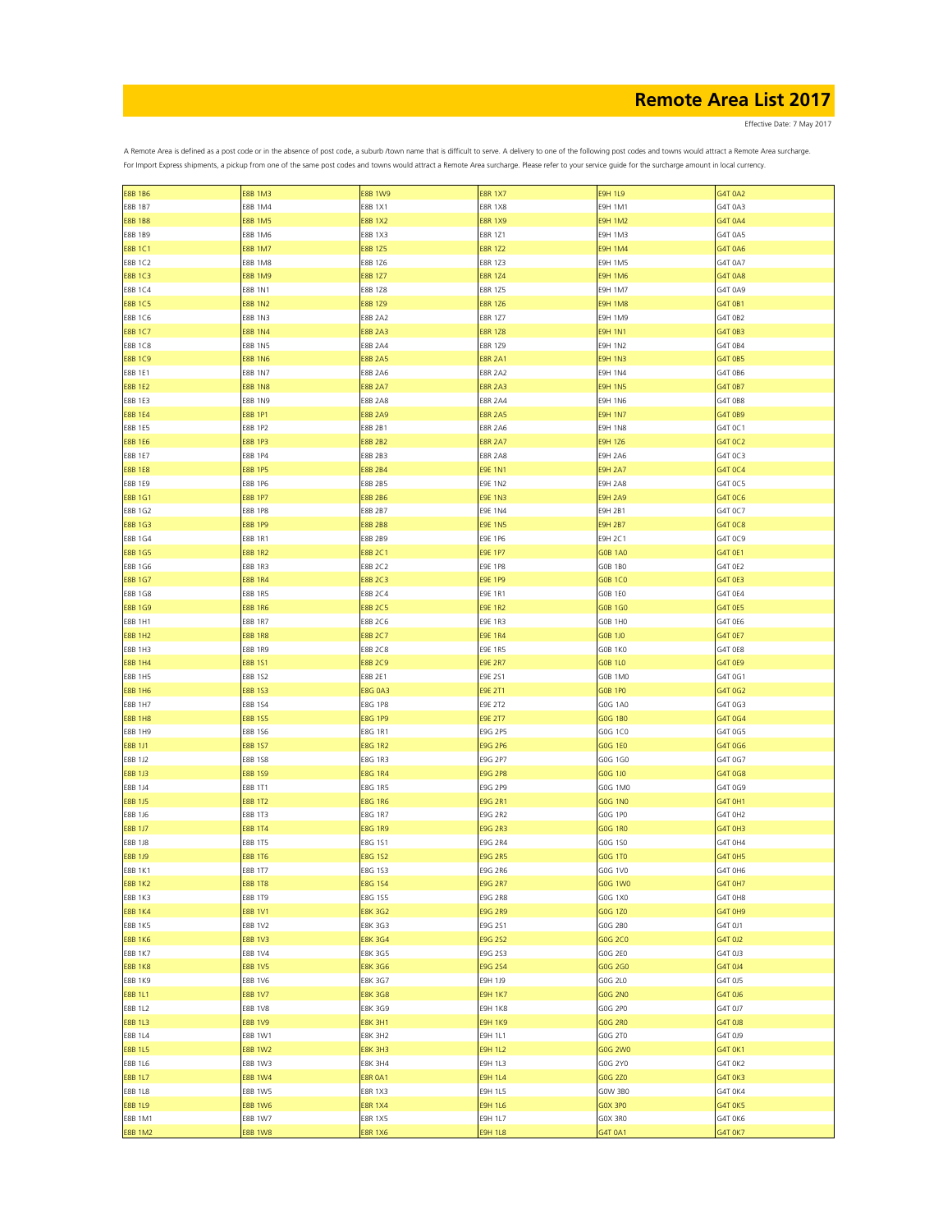Effective Date: 7 May 2017

| <b>E8B 1B6</b> | <b>E8B 1M3</b> | <b>E8B 1W9</b> | <b>E8R 1X7</b> | <b>E9H 1L9</b> | G4T 0A2        |
|----------------|----------------|----------------|----------------|----------------|----------------|
| <b>E8B 1B7</b> | E8B 1M4        | E8B 1X1        | <b>E8R 1X8</b> | E9H 1M1        | G4T 0A3        |
| <b>E8B 1B8</b> | <b>E8B 1M5</b> | <b>E8B 1X2</b> | <b>E8R 1X9</b> | <b>E9H 1M2</b> | G4T 0A4        |
| E8B 1B9        | E8B 1M6        | E8B 1X3        | <b>E8R 1Z1</b> | E9H 1M3        | G4T 0A5        |
|                |                |                |                |                |                |
| <b>E8B 1C1</b> | <b>E8B 1M7</b> | <b>E8B 1Z5</b> | <b>E8R 1Z2</b> | <b>E9H 1M4</b> | G4T 0A6        |
| E8B 1C2        | <b>E8B 1M8</b> | E8B 1Z6        | E8R 1Z3        | <b>E9H 1M5</b> | G4T 0A7        |
| <b>E8B 1C3</b> | <b>E8B 1M9</b> | <b>E8B 1Z7</b> | <b>E8R 1Z4</b> | <b>E9H 1M6</b> | G4T 0A8        |
| E8B 1C4        | <b>E8B 1N1</b> | E8B 1Z8        | E8R 1Z5        | <b>E9H 1M7</b> | G4T 0A9        |
| <b>E8B 1C5</b> | <b>E8B 1N2</b> | E8B 1Z9        | <b>E8R 1Z6</b> | <b>E9H 1M8</b> | G4T 0B1        |
| E8B 1C6        | E8B 1N3        | <b>E8B 2A2</b> | <b>E8R 1Z7</b> | <b>E9H 1M9</b> | G4T 0B2        |
|                | <b>E8B 1N4</b> |                | <b>E8R 1Z8</b> |                |                |
| <b>E8B 1C7</b> |                | <b>E8B 2A3</b> |                | <b>E9H 1N1</b> | G4T 0B3        |
| E8B 1C8        | <b>E8B 1N5</b> | <b>E8B 2A4</b> | E8R 1Z9        | <b>E9H 1N2</b> | G4T 0B4        |
| <b>E8B 1C9</b> | <b>E8B 1N6</b> | <b>E8B 2A5</b> | <b>E8R 2A1</b> | <b>E9H 1N3</b> | G4T 0B5        |
| E8B 1E1        | <b>E8B 1N7</b> | <b>E8B 2A6</b> | <b>E8R 2A2</b> | <b>E9H 1N4</b> | G4T 0B6        |
| <b>E8B 1E2</b> | <b>E8B 1N8</b> | <b>E8B 2A7</b> | <b>E8R 2A3</b> | <b>E9H 1N5</b> | G4T 0B7        |
| E8B 1E3        | <b>E8B 1N9</b> | <b>E8B 2A8</b> | <b>E8R 2A4</b> | <b>E9H 1N6</b> | G4T 0B8        |
| <b>E8B 1E4</b> | <b>E8B 1P1</b> | <b>E8B 2A9</b> | <b>E8R 2A5</b> | <b>E9H 1N7</b> | G4T 0B9        |
|                |                |                |                |                |                |
| E8B 1E5        | E8B 1P2        | E8B 2B1        | <b>E8R 2A6</b> | <b>E9H 1N8</b> | G4T 0C1        |
| <b>E8B 1E6</b> | <b>E8B 1P3</b> | <b>E8B 2B2</b> | <b>E8R 2A7</b> | <b>E9H 1Z6</b> | G4T 0C2        |
| E8B 1E7        | E8B 1P4        | E8B 2B3        | <b>E8R 2A8</b> | <b>E9H 2A6</b> | G4T 0C3        |
| <b>E8B 1E8</b> | <b>E8B 1P5</b> | <b>E8B 2B4</b> | <b>E9E 1N1</b> | <b>E9H 2A7</b> | G4T 0C4        |
| E8B 1E9        | <b>E8B 1P6</b> | E8B 2B5        | E9E 1N2        | <b>E9H 2A8</b> | G4T 0C5        |
| <b>E8B 1G1</b> | <b>E8B 1P7</b> | <b>E8B 2B6</b> | <b>E9E 1N3</b> | <b>E9H 2A9</b> | G4T 0C6        |
| E8B 1G2        | <b>E8B 1P8</b> | E8B 2B7        | <b>E9E 1N4</b> | E9H 2B1        | G4T 0C7        |
|                |                |                |                |                |                |
| <b>E8B 1G3</b> | <b>E8B 1P9</b> | <b>E8B 2B8</b> | <b>E9E 1N5</b> | <b>E9H 2B7</b> | G4T 0C8        |
| E8B 1G4        | E8B 1R1        | E8B 2B9        | E9E 1P6        | <b>E9H 2C1</b> | G4T 0C9        |
| <b>E8B 1G5</b> | <b>E8B 1R2</b> | <b>E8B 2C1</b> | <b>E9E 1P7</b> | <b>GOB 1A0</b> | G4T 0E1        |
| E8B 1G6        | E8B 1R3        | <b>E8B 2C2</b> | <b>E9E 1P8</b> | <b>GOB 1BO</b> | G4T 0E2        |
| <b>E8B 1G7</b> | <b>E8B 1R4</b> | <b>E8B 2C3</b> | <b>E9E 1P9</b> | <b>GOB 1CO</b> | G4T 0E3        |
| E8B 1G8        | E8B 1R5        | E8B 2C4        | E9E 1R1        | GOB 1EO        | G4T 0E4        |
| <b>E8B 1G9</b> | <b>E8B 1R6</b> | <b>E8B 2C5</b> | <b>E9E 1R2</b> | G0B 1G0        | G4T 0E5        |
|                |                |                |                |                |                |
| E8B 1H1        | <b>E8B 1R7</b> | E8B 2C6        | E9E 1R3        | G0B 1H0        | G4T 0E6        |
| <b>E8B 1H2</b> | <b>E8B 1R8</b> | <b>E8B 2C7</b> | <b>E9E 1R4</b> | G0B 1J0        | G4T 0E7        |
| E8B 1H3        | <b>E8B 1R9</b> | E8B 2C8        | E9E 1R5        | GOB 1KO        | G4T 0E8        |
| <b>E8B 1H4</b> | <b>E8B 1S1</b> | <b>E8B 2C9</b> | <b>E9E 2R7</b> | <b>GOB 1L0</b> | G4T 0E9        |
| <b>E8B 1H5</b> | E8B 1S2        | E8B 2E1        | E9E 2S1        | GOB 1MO        | G4T 0G1        |
| <b>E8B 1H6</b> | E8B 1S3        | <b>E8G 0A3</b> | <b>E9E 2T1</b> | <b>GOB 1PO</b> | G4T 0G2        |
|                |                |                |                |                |                |
| E8B 1H7        | E8B 1S4        | <b>E8G 1P8</b> | E9E 2T2        | G0G 1A0        | G4T 0G3        |
| <b>E8B 1H8</b> | <b>E8B 1S5</b> | <b>E8G 1P9</b> | <b>E9E 2T7</b> | GOG 1BO        | G4T 0G4        |
| E8B 1H9        | E8B 1S6        | E8G 1R1        | E9G 2P5        | G0G 1C0        | G4T 0G5        |
| E8B 1J1        | <b>E8B 1S7</b> | <b>E8G 1R2</b> | <b>E9G 2P6</b> | G0G 1E0        | G4T 0G6        |
| E8B 1J2        | E8B 1S8        | E8G 1R3        | E9G 2P7        | G0G 1G0        | G4T 0G7        |
| E8B 1J3        | <b>E8B 1S9</b> | <b>E8G 1R4</b> | E9G 2P8        | G0G 1J0        | G4T 0G8        |
| E8B 1J4        | E8B 1T1        | E8G 1R5        | E9G 2P9        | G0G 1M0        | G4T 0G9        |
|                |                |                |                |                |                |
| E8B 1J5        | <b>E8B 1T2</b> | <b>E8G 1R6</b> | E9G 2R1        | G0G 1N0        | G4T 0H1        |
| E8B 1J6        | E8B 1T3        | E8G 1R7        | E9G 2R2        | G0G 1P0        | G4T OH2        |
| <b>E8B 1J7</b> | <b>E8B 1T4</b> | <b>E8G 1R9</b> | E9G 2R3        | G0G 1R0        | G4T 0H3        |
| E8B 1J8        | E8B 1T5        | E8G 1S1        | E9G 2R4        | G0G 1S0        | G4T 0H4        |
| E8B 1J9        | <b>E8B 1T6</b> | <b>E8G 1S2</b> | <b>E9G 2R5</b> | G0G 1T0        | G4T 0H5        |
| <b>E8B 1K1</b> | E8B 1T7        | E8G 1S3        | <b>E9G 2R6</b> | G0G 1V0        | G4T 0H6        |
| <b>E8B 1K2</b> | <b>E8B 1T8</b> | <b>E8G 1S4</b> | E9G 2R7        | G0G 1W0        | G4T 0H7        |
|                |                |                |                |                |                |
| E8B 1K3        | E8B 1T9        | E8G 1S5        | E9G 2R8        | G0G 1X0        | G4T OH8        |
| <b>E8B 1K4</b> | <b>E8B 1V1</b> | <b>E8K 3G2</b> | E9G 2R9        | G0G 1Z0        | G4T OH9        |
| <b>E8B 1K5</b> | E8B 1V2        | E8K 3G3        | E9G 2S1        | G0G 2B0        | G4T 0J1        |
| <b>E8B 1K6</b> | <b>E8B 1V3</b> | <b>E8K 3G4</b> | E9G 2S2        | G0G 2C0        | G4T 0J2        |
| E8B 1K7        | E8B 1V4        | E8K 3G5        | E9G 2S3        | G0G 2E0        | G4T 0J3        |
| <b>E8B 1K8</b> | <b>E8B 1V5</b> | <b>E8K 3G6</b> | E9G 2S4        | G0G 2G0        | G4T 0J4        |
| <b>E8B 1K9</b> | E8B 1V6        | E8K 3G7        | E9H 1J9        | G0G 2L0        | G4T 0J5        |
|                | <b>E8B 1V7</b> |                |                |                |                |
| E8B 1L1        |                | <b>E8K 3G8</b> | <b>E9H 1K7</b> | <b>GOG 2NO</b> | G4T 0J6        |
| E8B 1L2        | E8B 1V8        | E8K 3G9        | <b>E9H 1K8</b> | G0G 2P0        | G4T 0J7        |
| E8B 1L3        | <b>E8B 1V9</b> | <b>E8K 3H1</b> | <b>E9H 1K9</b> | <b>GOG 2R0</b> | G4T 0J8        |
| E8B 1L4        | E8B 1W1        | <b>E8K 3H2</b> | E9H 1L1        | G0G 2T0        | G4T 0J9        |
| <b>E8B 1L5</b> | <b>E8B 1W2</b> | <b>E8K 3H3</b> | E9H 1L2        | G0G 2W0        | G4T 0K1        |
| E8B 1L6        | E8B 1W3        | <b>E8K 3H4</b> | E9H 1L3        | G0G 2Y0        | G4T OK2        |
| <b>E8B 1L7</b> | <b>E8B 1W4</b> | <b>E8R 0A1</b> | <b>E9H 1L4</b> | G0G 2Z0        | G4T OK3        |
|                |                |                |                |                |                |
| E8B 1L8        | E8B 1W5        | <b>E8R 1X3</b> | E9H 1L5        | GOW 3B0        | G4T 0K4        |
| <b>E8B 1L9</b> | <b>E8B 1W6</b> | <b>E8R 1X4</b> | <b>E9H 1L6</b> | GOX 3PO        | G4T OK5        |
| E8B 1M1        | E8B 1W7        | <b>E8R 1X5</b> | E9H 1L7        | GOX 3RO        | G4T 0K6        |
| <b>E8B 1M2</b> | <b>E8B 1W8</b> | <b>E8R 1X6</b> | <b>E9H 1L8</b> | G4T 0A1        | <b>G4T 0K7</b> |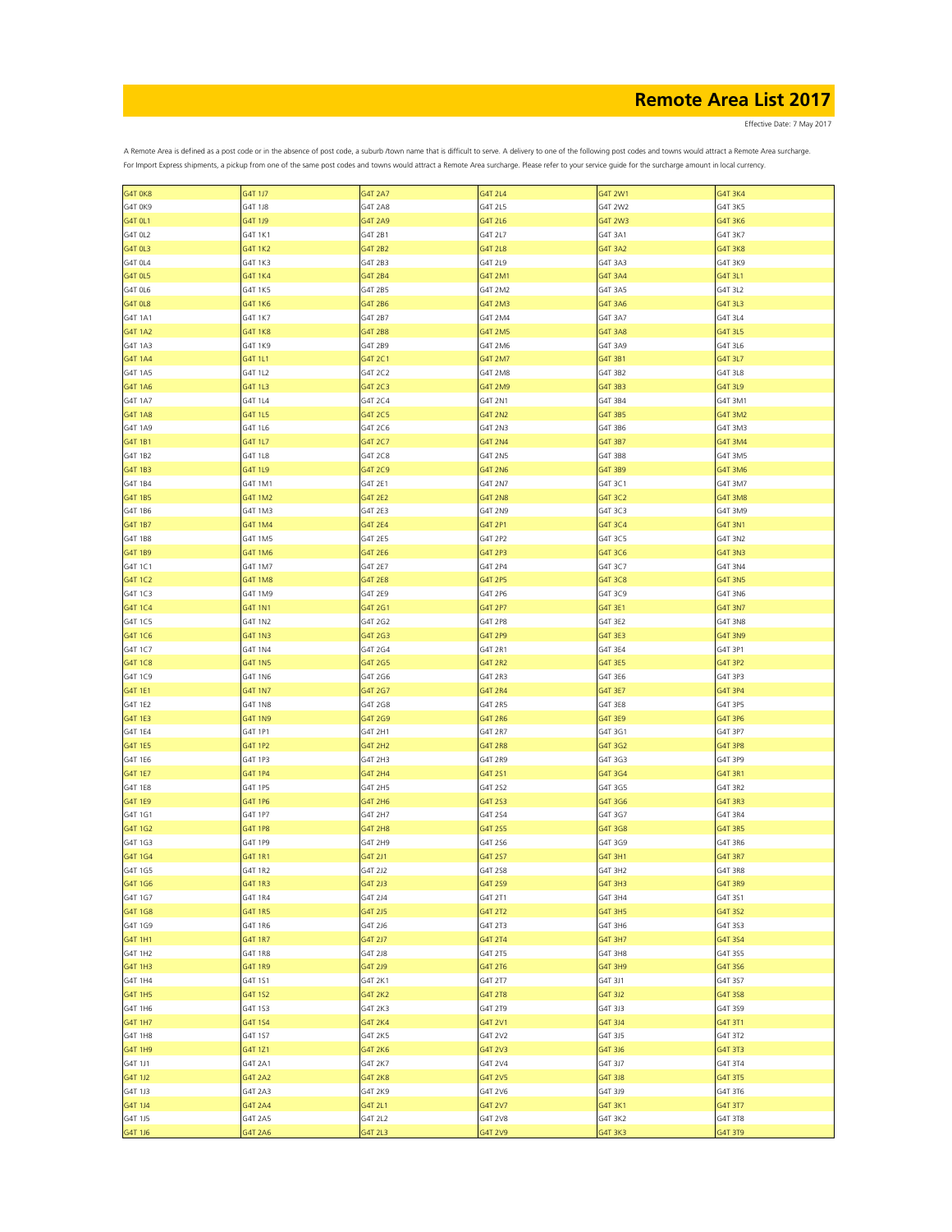Effective Date: 7 May 2017

| G4T 0K8        | G4T 1J7        | <b>G4T 2A7</b> | G4T 2L4        | G4T 2W1 | G4T 3K4        |
|----------------|----------------|----------------|----------------|---------|----------------|
| G4T OK9        | G4T 1J8        | <b>G4T 2A8</b> | G4T 2L5        | G4T 2W2 | G4T 3K5        |
| G4T 0L1        | G4T 1J9        | G4T 2A9        | G4T 2L6        | G4T 2W3 | G4T 3K6        |
|                |                |                |                |         |                |
| G4T OL2        | G4T 1K1        | G4T 2B1        | G4T 2L7        | G4T 3A1 | G4T 3K7        |
| G4T 0L3        | G4T 1K2        | G4T 2B2        | G4T 2L8        | G4T 3A2 | <b>G4T 3K8</b> |
| G4T OL4        | G4T 1K3        | G4T 2B3        | G4T 2L9        | G4T 3A3 | G4T 3K9        |
| G4T 0L5        | G4T 1K4        | G4T 2B4        | G4T 2M1        | G4T 3A4 | G4T 3L1        |
| G4T OL6        | G4T 1K5        | G4T 2B5        | G4T 2M2        | G4T 3A5 | G4T 3L2        |
|                |                |                |                |         |                |
| G4T 0L8        | G4T 1K6        | G4T 2B6        | G4T 2M3        | G4T 3A6 | G4T 3L3        |
| G4T 1A1        | G4T 1K7        | G4T 2B7        | G4T 2M4        | G4T 3A7 | G4T 3L4        |
| G4T 1A2        | <b>G4T1K8</b>  | G4T 2B8        | G4T 2M5        | G4T 3A8 | G4T 3L5        |
| G4T 1A3        | G4T 1K9        | G4T 2B9        | G4T 2M6        | G4T 3A9 | G4T 3L6        |
|                |                |                |                |         |                |
| <b>G4T 1A4</b> | G4T 1L1        | G4T 2C1        | G4T 2M7        | G4T 3B1 | G4T 3L7        |
| G4T 1A5        | G4T 1L2        | G4T 2C2        | G4T 2M8        | G4T 3B2 | G4T 3L8        |
| G4T 1A6        | G4T 1L3        | G4T 2C3        | G4T 2M9        | G4T 3B3 | G4T 3L9        |
| G4T 1A7        | G4T 1L4        | G4T 2C4        | G4T 2N1        | G4T 3B4 | G4T 3M1        |
| G4T 1A8        | G4T 1L5        | G4T 2C5        | G4T 2N2        | G4T 3B5 | G4T 3M2        |
|                |                |                |                |         |                |
| G4T 1A9        | G4T 1L6        | G4T 2C6        | G4T 2N3        | G4T 3B6 | G4T 3M3        |
| G4T 1B1        | G4T 1L7        | G4T 2C7        | G4T 2N4        | G4T 3B7 | G4T 3M4        |
| G4T 1B2        | G4T 1L8        | G4T 2C8        | G4T 2N5        | G4T 3B8 | G4T 3M5        |
| G4T 1B3        | G4T 1L9        | G4T 2C9        | G4T 2N6        | G4T 3B9 | G4T 3M6        |
|                |                |                |                |         |                |
| G4T 1B4        | G4T 1M1        | G4T 2E1        | G4T 2N7        | G4T 3C1 | G4T 3M7        |
| G4T 1B5        | G4T 1M2        | G4T 2E2        | <b>G4T 2N8</b> | G4T 3C2 | G4T 3M8        |
| G4T 1B6        | G4T 1M3        | G4T 2E3        | G4T 2N9        | G4T 3C3 | G4T 3M9        |
| G4T 1B7        | G4T 1M4        | <b>G4T 2E4</b> | G4T 2P1        | G4T 3C4 | G4T 3N1        |
| G4T 1B8        | G4T 1M5        | G4T 2E5        | G4T 2P2        | G4T 3C5 | G4T 3N2        |
|                |                |                |                |         |                |
| G4T 1B9        | G4T 1M6        | G4T 2E6        | G4T 2P3        | G4T 3C6 | G4T 3N3        |
| G4T 1C1        | G4T 1M7        | G4T 2E7        | G4T 2P4        | G4T 3C7 | G4T 3N4        |
| G4T 1C2        | G4T 1M8        | G4T 2E8        | G4T 2P5        | G4T 3C8 | G4T 3N5        |
| G4T 1C3        | G4T 1M9        | G4T 2E9        | G4T 2P6        | G4T 3C9 | G4T 3N6        |
|                |                |                |                |         |                |
| G4T 1C4        | <b>G4T 1N1</b> | G4T 2G1        | G4T 2P7        | G4T 3E1 | G4T 3N7        |
| G4T 1C5        | G4T 1N2        | G4T 2G2        | G4T 2P8        | G4T 3E2 | <b>G4T 3N8</b> |
| G4T 1C6        | <b>G4T 1N3</b> | G4T 2G3        | G4T 2P9        | G4T 3E3 | G4T 3N9        |
| G4T 1C7        | G4T 1N4        | G4T 2G4        | G4T 2R1        | G4T 3E4 | G4T 3P1        |
|                |                |                |                |         |                |
| G4T 1C8        | <b>G4T 1N5</b> | G4T 2G5        | G4T 2R2        | G4T 3E5 | G4T 3P2        |
| G4T 1C9        | G4T 1N6        | G4T 2G6        | G4T 2R3        | G4T 3E6 | G4T 3P3        |
| G4T 1E1        | <b>G4T 1N7</b> | G4T 2G7        | G4T 2R4        | G4T 3E7 | G4T 3P4        |
| G4T 1E2        | G4T 1N8        | G4T 2G8        | G4T 2R5        | G4T 3E8 | G4T 3P5        |
|                |                |                |                |         |                |
| G4T 1E3        | G4T 1N9        | G4T 2G9        | G4T 2R6        | G4T 3E9 | G4T 3P6        |
| G4T 1E4        | G4T 1P1        | G4T 2H1        | G4T 2R7        | G4T 3G1 | G4T 3P7        |
| G4T 1E5        | G4T 1P2        | G4T 2H2        | G4T 2R8        | G4T 3G2 | G4T 3P8        |
| G4T 1E6        | G4T 1P3        | G4T 2H3        | G4T 2R9        | G4T 3G3 | G4T 3P9        |
| G4T 1E7        | G4T 1P4        | G4T 2H4        |                | G4T 3G4 | G4T 3R1        |
|                |                |                | G4T 2S1        |         |                |
| G4T 1E8        | G4T 1P5        | G4T 2H5        | G4T 2S2        | G4T 3G5 | G4T 3R2        |
| G4T 1E9        | G4T 1P6        | G4T 2H6        | G4T 2S3        | G4T 3G6 | G4T 3R3        |
| G4T 1G1        | G4T 1P7        | G4T 2H7        | G4T 2S4        | G4T 3G7 | G4T 3R4        |
| G4T 1G2        | G4T 1P8        | <b>G4T 2H8</b> | G4T 2S5        | G4T 3G8 | G4T 3R5        |
|                |                |                |                |         |                |
| G4T 1G3        | G4T 1P9        | G4T 2H9        | G4T 2S6        | G4T 3G9 | G4T 3R6        |
| G4T 1G4        | <b>G4T 1R1</b> | G4T 2J1        | G4T 2S7        | G4T 3H1 | G4T 3R7        |
| G4T 1G5        | G4T 1R2        | G4T 2J2        | G4T 2S8        | G4T 3H2 | G4T 3R8        |
| G4T 1G6        | G4T 1R3        | G4T 2J3        | G4T 2S9        | G4T 3H3 | G4T 3R9        |
| G4T 1G7        | G4T 1R4        | G4T 2J4        | G4T 2T1        | G4T 3H4 | G4T 3S1        |
|                |                |                |                |         |                |
| G4T 1G8        | G4T 1R5        | G4T 2J5        | G4T 2T2        | G4T 3H5 | G4T 3S2        |
| G4T 1G9        | G4T 1R6        | G4T 2J6        | G4T 2T3        | G4T 3H6 | G4T 3S3        |
| G4T 1H1        | G4T 1R7        | G4T 2J7        | G4T 2T4        | G4T 3H7 | G4T 3S4        |
| G4T 1H2        | G4T 1R8        | G4T 2J8        | G4T 2T5        | G4T 3H8 | G4T 3S5        |
|                |                |                |                |         |                |
| G4T 1H3        | G4T 1R9        | G4T 2J9        | G4T 2T6        | G4T 3H9 | G4T 3S6        |
| G4T 1H4        | G4T 1S1        | G4T 2K1        | G4T 2T7        | G4T 3J1 | G4T 3S7        |
| G4T 1H5        | G4T 1S2        | G4T 2K2        | G4T 2T8        | G4T 3J2 | G4T 3S8        |
| G4T 1H6        | G4T 1S3        | G4T 2K3        | G4T 2T9        | G4T 3J3 | G4T 3S9        |
| G4T 1H7        |                |                | G4T 2V1        |         |                |
|                | G4T 1S4        | G4T 2K4        |                | G4T 3J4 | G4T 3T1        |
| G4T 1H8        | G4T 1S7        | G4T 2K5        | G4T 2V2        | G4T 3J5 | G4T 3T2        |
| G4T 1H9        | G4T 1Z1        | G4T 2K6        | G4T 2V3        | G4T 3J6 | G4T 3T3        |
| G4T 1J1        | G4T 2A1        | G4T 2K7        | G4T 2V4        | G4T 3J7 | G4T 3T4        |
| G4T 1J2        | G4T 2A2        | <b>G4T 2K8</b> | G4T 2V5        | G4T 3J8 | G4T 3T5        |
|                |                |                |                |         |                |
| G4T 1J3        | G4T 2A3        | G4T 2K9        | G4T 2V6        | G4T 3J9 | G4T 3T6        |
| G4T 1J4        | G4T 2A4        | G4T 2L1        | G4T 2V7        | G4T 3K1 | G4T 3T7        |
| G4T 1J5        | G4T 2A5        | G4T 2L2        | G4T 2V8        | G4T 3K2 | G4T 3T8        |
| G4T 1J6        | G4T 2A6        | G4T 2L3        | G4T 2V9        | G4T 3K3 | G4T 3T9        |
|                |                |                |                |         |                |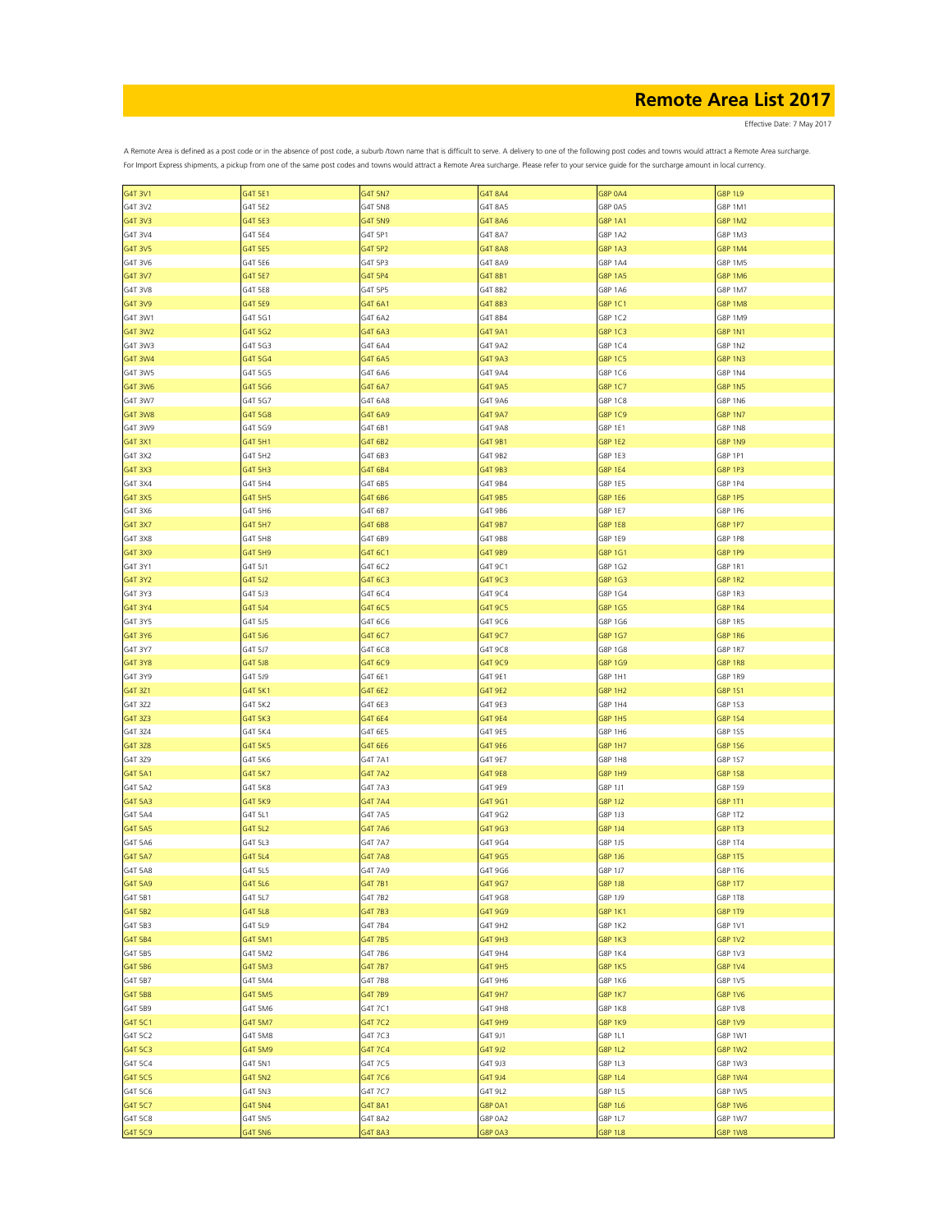Effective Date: 7 May 2017

| G4T 3V1        | G4T 5E1        | G4T 5N7        | G4T 8A4        | <b>G8P 0A4</b> | <b>G8P 1L9</b> |
|----------------|----------------|----------------|----------------|----------------|----------------|
| G4T 3V2        | G4T 5E2        | G4T 5N8        | G4T 8A5        | G8P 0A5        | G8P 1M1        |
| G4T 3V3        | G4T 5E3        | G4T 5N9        | G4T 8A6        | <b>G8P 1A1</b> | <b>G8P 1M2</b> |
|                |                |                |                |                |                |
| G4T 3V4        | G4T 5E4        | G4T 5P1        | G4T 8A7        | <b>G8P 1A2</b> | G8P 1M3        |
| G4T 3V5        | G4T 5E5        | G4T 5P2        | G4T 8A8        | G8P 1A3        | G8P 1M4        |
| G4T 3V6        | G4T 5E6        | G4T 5P3        | G4T 8A9        | G8P 1A4        | G8P 1M5        |
| G4T 3V7        | G4T 5E7        | G4T 5P4        | G4T 8B1        | G8P 1A5        | G8P 1M6        |
|                |                |                |                |                |                |
| G4T 3V8        | G4T 5E8        | G4T 5P5        | G4T 8B2        | G8P 1A6        | G8P 1M7        |
| G4T 3V9        | G4T 5E9        | G4T 6A1        | G4T 8B3        | G8P 1C1        | <b>G8P 1M8</b> |
| G4T 3W1        | G4T 5G1        | G4T 6A2        | G4T 8B4        | G8P 1C2        | G8P 1M9        |
| G4T 3W2        | G4T 5G2        | G4T 6A3        | G4T 9A1        | G8P 1C3        | <b>G8P 1N1</b> |
| G4T 3W3        | G4T 5G3        | G4T 6A4        | G4T 9A2        | G8P 1C4        | G8P 1N2        |
|                |                |                |                |                |                |
| G4T 3W4        | G4T 5G4        | G4T 6A5        | G4T 9A3        | G8P 1C5        | <b>G8P 1N3</b> |
| G4T 3W5        | G4T 5G5        | G4T 6A6        | G4T 9A4        | G8P 1C6        | G8P 1N4        |
| G4T 3W6        | G4T 5G6        | G4T 6A7        | G4T 9A5        | G8P 1C7        | <b>G8P 1N5</b> |
| G4T 3W7        | G4T 5G7        | G4T 6A8        | G4T 9A6        | G8P 1C8        | G8P 1N6        |
|                |                |                |                |                |                |
| <b>G4T 3W8</b> | G4T 5G8        | G4T 6A9        | G4T 9A7        | G8P 1C9        | <b>G8P 1N7</b> |
| G4T 3W9        | G4T 5G9        | G4T 6B1        | G4T 9A8        | G8P 1E1        | G8P 1N8        |
| G4T 3X1        | G4T 5H1        | G4T 6B2        | G4T 9B1        | G8P 1E2        | G8P 1N9        |
| G4T 3X2        | G4T 5H2        | G4T 6B3        | G4T 9B2        | G8P 1E3        | G8P 1P1        |
|                |                |                |                |                |                |
| G4T 3X3        | G4T 5H3        | G4T 6B4        | G4T 9B3        | G8P 1E4        | G8P 1P3        |
| G4T 3X4        | G4T 5H4        | G4T 6B5        | G4T 9B4        | G8P 1E5        | G8P 1P4        |
| G4T 3X5        | G4T 5H5        | G4T 6B6        | G4T 9B5        | G8P 1E6        | G8P 1P5        |
| G4T 3X6        | G4T 5H6        | G4T 6B7        | G4T 9B6        | G8P 1E7        | G8P 1P6        |
| G4T 3X7        | G4T 5H7        | G4T 6B8        | G4T 9B7        | <b>G8P 1E8</b> | G8P 1P7        |
|                |                |                |                |                |                |
| G4T 3X8        | G4T 5H8        | G4T 6B9        | G4T 9B8        | G8P 1E9        | <b>G8P 1P8</b> |
| G4T 3X9        | G4T 5H9        | G4T 6C1        | G4T 9B9        | G8P 1G1        | G8P 1P9        |
| G4T 3Y1        | G4T 5J1        | G4T 6C2        | G4T 9C1        | G8P 1G2        | G8P 1R1        |
| G4T 3Y2        | G4T 5J2        | G4T 6C3        | G4T 9C3        | G8P 1G3        | <b>G8P 1R2</b> |
|                |                |                |                |                |                |
| G4T 3Y3        | G4T 5J3        | G4T 6C4        | G4T 9C4        | G8P 1G4        | G8P 1R3        |
| G4T 3Y4        | G4T 5J4        | G4T 6C5        | G4T 9C5        | G8P 1G5        | G8P 1R4        |
| G4T 3Y5        | G4T 5J5        | G4T 6C6        | G4T 9C6        | G8P 1G6        | G8P 1R5        |
| G4T 3Y6        | G4T 5J6        | G4T 6C7        | G4T 9C7        | G8P 1G7        | <b>G8P 1R6</b> |
|                |                |                |                |                |                |
| G4T 3Y7        | G4T 5J7        | G4T 6C8        | G4T 9C8        | G8P 1G8        | G8P 1R7        |
| G4T 3Y8        | G4T 5J8        | G4T 6C9        | G4T 9C9        | G8P 1G9        | <b>G8P 1R8</b> |
| G4T 3Y9        | G4T 5J9        | G4T 6E1        | G4T 9E1        | G8P 1H1        | G8P 1R9        |
| G4T 3Z1        | G4T 5K1        | G4T 6E2        | G4T 9E2        | <b>G8P 1H2</b> | G8P 1S1        |
| G4T 3Z2        | G4T 5K2        | G4T 6E3        | G4T 9E3        | G8P 1H4        | G8P 1S3        |
|                |                |                |                |                |                |
| G4T 3Z3        | G4T 5K3        | G4T 6E4        | G4T 9E4        | <b>G8P 1H5</b> | G8P 1S4        |
| G4T 3Z4        | G4T 5K4        | G4T 6E5        | G4T 9E5        | G8P 1H6        | G8P 1S5        |
| G4T 3Z8        | <b>G4T 5K5</b> | G4T 6E6        | G4T 9E6        | <b>G8P 1H7</b> | G8P 1S6        |
| G4T 3Z9        | G4T 5K6        | G4T 7A1        | G4T 9E7        | G8P 1H8        | G8P 1S7        |
|                |                |                |                |                |                |
| G4T 5A1        | G4T 5K7        | G4T 7A2        | G4T 9E8        | G8P 1H9        | G8P 158        |
| G4T 5A2        | G4T 5K8        | G4T 7A3        | G4T 9E9        | G8P 1J1        | G8P 1S9        |
| G4T 5A3        | G4T 5K9        | G4T 7A4        | G4T 9G1        | G8P 1J2        | G8P 1T1        |
| G4T 5A4        | G4T 5L1        | G4T 7A5        | G4T 9G2        | G8P 1J3        | G8P 1T2        |
|                |                |                |                | G8P 1J4        |                |
| G4T 5A5        | G4T 5L2        | G4T 7A6        | G4T 9G3        |                | G8P 1T3        |
| G4T 5A6        | G4T 5L3        | G4T 7A7        | G4T 9G4        | G8P 1J5        | G8P 1T4        |
| G4T 5A7        | G4T 5L4        | <b>G4T 7A8</b> | G4T 9G5        | G8P 1J6        | G8P 1T5        |
| G4T 5A8        | G4T 5L5        | G4T 7A9        | G4T 9G6        | G8P 1J7        | G8P 1T6        |
| G4T 5A9        | G4T 5L6        | G4T 7B1        | G4T 9G7        | G8P 1J8        | G8P 1T7        |
|                |                |                |                |                |                |
| G4T 5B1        | G4T 5L7        | G4T 7B2        | G4T 9G8        | G8P 1J9        | <b>G8P 1T8</b> |
| G4T 5B2        | G4T 5L8        | G4T 7B3        | G4T 9G9        | <b>G8P 1K1</b> | G8P 1T9        |
| G4T 5B3        | G4T 5L9        | G4T 7B4        | G4T 9H2        | <b>G8P 1K2</b> | G8P 1V1        |
| G4T 5B4        | G4T 5M1        | G4T 7B5        | G4T 9H3        | G8P 1K3        | G8P 1V2        |
|                |                |                |                |                |                |
| G4T 5B5        | G4T 5M2        | G4T 7B6        | G4T 9H4        | G8P 1K4        | G8P 1V3        |
| G4T 5B6        | <b>G4T 5M3</b> | G4T 7B7        | G4T 9H5        | G8P 1K5        | G8P 1V4        |
| G4T 5B7        | G4T 5M4        | G4T 7B8        | G4T 9H6        | G8P 1K6        | G8P 1V5        |
| G4T 5B8        | G4T 5M5        | G4T 7B9        | G4T 9H7        | G8P 1K7        | G8P 1V6        |
| G4T 5B9        | G4T 5M6        | G4T 7C1        | G4T 9H8        | G8P 1K8        | G8P 1V8        |
|                |                |                |                |                |                |
| G4T 5C1        | G4T 5M7        | G4T 7C2        | G4T 9H9        | G8P 1K9        | G8P 1V9        |
| G4T 5C2        | G4T 5M8        | G4T 7C3        | G4T 9J1        | G8P 1L1        | G8P 1W1        |
| G4T 5C3        | G4T 5M9        | G4T 7C4        | G4T 9J2        | G8P 1L2        | G8P 1W2        |
| G4T 5C4        | G4T 5N1        | G4T 7C5        | G4T 9J3        | G8P 1L3        | G8P 1W3        |
|                |                |                |                |                |                |
| G4T 5C5        | G4T 5N2        | G4T 7C6        | G4T 9J4        | G8P 1L4        | <b>G8P 1W4</b> |
| G4T 5C6        | G4T 5N3        | G4T 7C7        | G4T 9L2        | G8P 1L5        | G8P 1W5        |
| G4T 5C7        | G4T 5N4        | G4T 8A1        | <b>G8P 0A1</b> | G8P 1L6        | <b>G8P 1W6</b> |
| G4T 5C8        | G4T 5N5        | G4T 8A2        | G8P 0A2        | G8P 1L7        | G8P 1W7        |
|                |                |                |                |                |                |
| G4T 5C9        | G4T 5N6        | G4T 8A3        | G8P 0A3        | G8P 1L8        | <b>G8P 1W8</b> |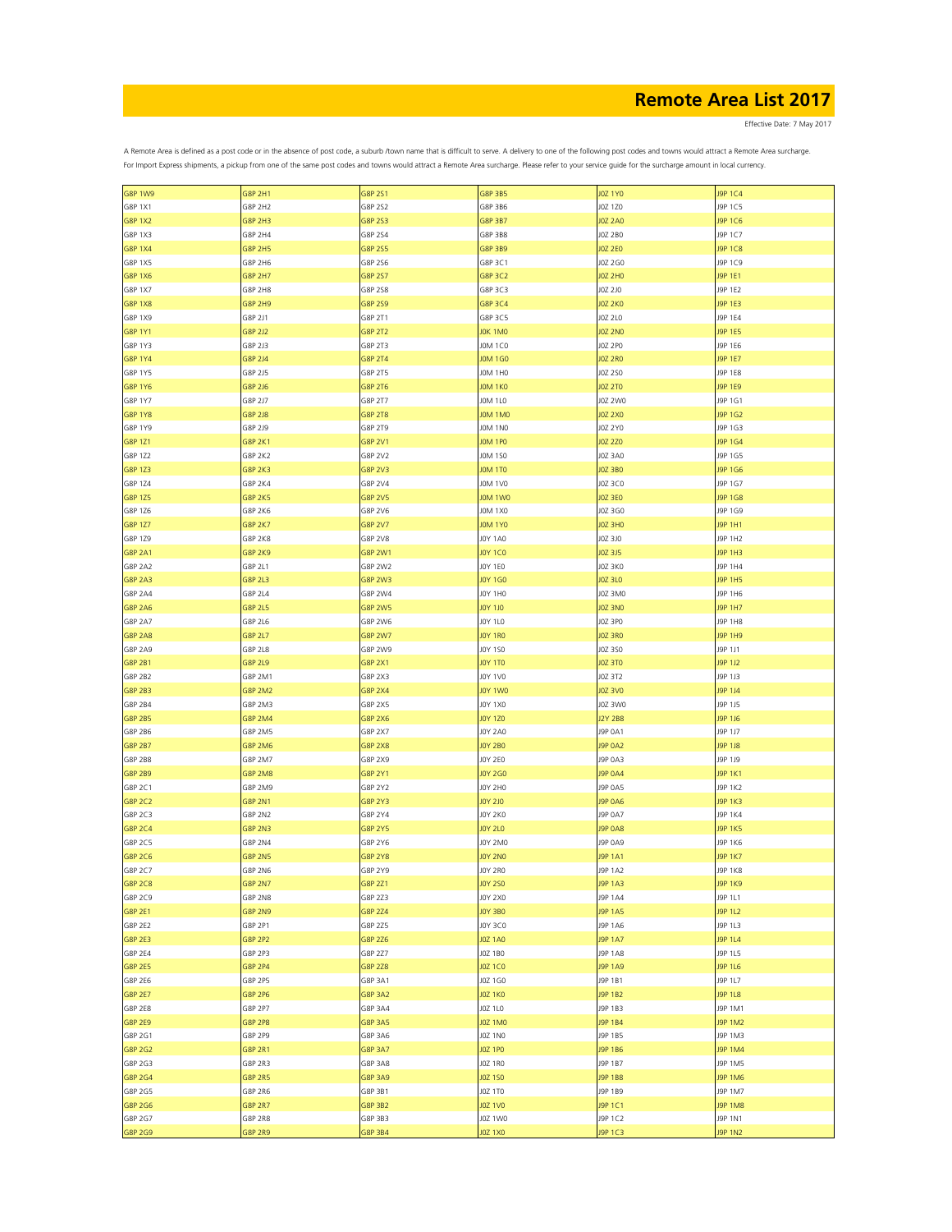Effective Date: 7 May 2017

| <b>G8P 1W9</b> | G8P 2H1        | G8P 2S1        | G8P 3B5        | <b>JOZ 1YO</b> | J9P 1C4        |
|----------------|----------------|----------------|----------------|----------------|----------------|
| G8P 1X1        | G8P 2H2        | G8P 2S2        | G8P 3B6        | JOZ 1Z0        | J9P 1C5        |
| <b>G8P 1X2</b> | G8P 2H3        | G8P 2S3        | G8P 3B7        | <b>JOZ 2A0</b> | J9P 1C6        |
|                |                |                |                |                |                |
| G8P 1X3        | G8P 2H4        | G8P 2S4        | G8P 3B8        | JOZ 2BO        | J9P 1C7        |
| <b>G8P 1X4</b> | G8P 2H5        | G8P 2S5        | G8P 3B9        | JOZ 2E0        | J9P 1C8        |
| G8P 1X5        | G8P 2H6        | G8P 2S6        | G8P 3C1        | J0Z 2G0        | J9P 1C9        |
| <b>G8P 1X6</b> | G8P 2H7        | G8P 2S7        | G8P 3C2        | <b>JOZ 2HO</b> | J9P 1E1        |
|                |                |                |                |                |                |
| G8P 1X7        | G8P 2H8        | G8P 2S8        | G8P 3C3        | J0Z 2J0        | J9P 1E2        |
| <b>G8P 1X8</b> | G8P 2H9        | G8P 2S9        | G8P 3C4        | <b>JOZ 2KO</b> | J9P 1E3        |
| G8P 1X9        | G8P 2J1        | G8P 2T1        | G8P 3C5        | J0Z 2L0        | J9P 1E4        |
|                |                |                |                |                |                |
| G8P 1Y1        | 58P 2J2        | G8P 2T2        | JOK 1MO        | <b>JOZ 2NO</b> | J9P 1E5        |
| G8P 1Y3        | G8P 2J3        | G8P 2T3        | JOM 1CO        | J0Z 2P0        | J9P 1E6        |
| <b>G8P 1Y4</b> | G8P 2J4        | G8P 2T4        | <b>JOM 1GO</b> | <b>JOZ 2RO</b> | J9P 1E7        |
| G8P 1Y5        | G8P 2J5        | G8P 2T5        | <b>JOM 1H0</b> | J0Z 2S0        | J9P 1E8        |
|                |                |                |                |                |                |
| G8P 1Y6        | G8P 2J6        | G8P 2T6        | JOM 1KO        | <b>JOZ 2TO</b> | J9P 1E9        |
| G8P 1Y7        | G8P 2J7        | G8P 2T7        | <b>JOM 1L0</b> | JOZ 2W0        | J9P 1G1        |
| <b>G8P 1Y8</b> | G8P 2J8        | <b>G8P 2T8</b> | JOM 1MO        | JOZ 2X0        | J9P 1G2        |
| G8P 1Y9        | G8P 2J9        | G8P 2T9        | JOM 1NO        | J0Z 2Y0        | J9P 1G3        |
|                |                |                |                |                |                |
| G8P 1Z1        | G8P 2K1        | <b>G8P 2V1</b> | JOM 1PO        | <b>JOZ 2Z0</b> | J9P 1G4        |
| G8P 1Z2        | G8P 2K2        | G8P 2V2        | <b>JOM 1SO</b> | JOZ 3A0        | J9P 1G5        |
| G8P 1Z3        | <b>G8P 2K3</b> | G8P 2V3        | JOM 1TO        | JOZ 3BO        | J9P 1G6        |
|                |                |                |                |                |                |
| G8P 1Z4        | G8P 2K4        | G8P 2V4        | <b>JOM 1V0</b> | J0Z 3C0        | J9P 1G7        |
| G8P 1Z5        | <b>G8P 2K5</b> | <b>G8P 2V5</b> | JOM 1WO        | <b>JOZ 3E0</b> | J9P 1G8        |
| G8P 1Z6        | <b>G8P 2K6</b> | G8P 2V6        | <b>JOM 1X0</b> | J0Z 3G0        | J9P 1G9        |
| G8P 1Z7        | G8P 2K7        | <b>G8P 2V7</b> | JOM 1YO        | JOZ 3HO        | J9P 1H1        |
|                |                |                |                |                |                |
| G8P 1Z9        | <b>G8P 2K8</b> | G8P 2V8        | <b>JOY 1A0</b> | JOZ 3J0        | J9P 1H2        |
| <b>G8P 2A1</b> | <b>G8P 2K9</b> | <b>G8P 2W1</b> | <b>JOY 1CO</b> | JOZ 3J5        | J9P 1H3        |
| <b>G8P 2A2</b> | G8P 2L1        | G8P 2W2        | JOY 1EO        | JOZ 3KO        | J9P 1H4        |
|                |                |                |                |                |                |
| <b>G8P 2A3</b> | G8P 2L3        | G8P 2W3        | JOY 1G0        | JOZ 3LO        | J9P 1H5        |
| G8P 2A4        | G8P 2L4        | G8P 2W4        | JOY 1HO        | JOZ 3MO        | J9P 1H6        |
| <b>G8P 2A6</b> | G8P 2L5        | <b>G8P 2W5</b> | <b>JOY 1JO</b> | JOZ 3NO        | J9P 1H7        |
| G8P 2A7        | G8P 2L6        | G8P 2W6        | JOY 1L0        | JOZ 3PO        | J9P 1H8        |
|                |                |                |                |                |                |
| <b>G8P 2A8</b> | G8P 2L7        | <b>G8P 2W7</b> | JOY 1RO        | JOZ 3RO        | J9P 1H9        |
| G8P 2A9        | G8P 2L8        | G8P 2W9        | J0Y 1S0        | J0Z 3S0        | J9P 1J1        |
| <b>G8P 2B1</b> | G8P 2L9        | <b>G8P 2X1</b> | <b>JOY 1TO</b> | JOZ 3TO        | J9P 1J2        |
| G8P 2B2        | G8P 2M1        | G8P 2X3        | JOY 1V0        | JOZ 3T2        | J9P 1J3        |
|                |                |                |                |                |                |
| <b>G8P 2B3</b> | G8P 2M2        | <b>G8P 2X4</b> | JOY 1WO        | J0Z 3V0        | J9P 1J4        |
| G8P 2B4        | G8P 2M3        | G8P 2X5        | <b>JOY 1X0</b> | JOZ 3WO        | J9P 1J5        |
| <b>G8P 2B5</b> | <b>G8P 2M4</b> | G8P 2X6        | <b>JOY 1Z0</b> | J2Y 2B8        | J9P 1J6        |
|                |                |                |                |                |                |
| G8P 2B6        | G8P 2M5        | G8P 2X7        | JOY 2A0        | J9P 0A1        | J9P 1J7        |
| <b>G8P 2B7</b> | G8P 2M6        | <b>G8P 2X8</b> | JOY 2B0        | J9P 0A2        | J9P 1J8        |
| G8P 2B8        | G8P 2M7        | G8P 2X9        | JOY 2EO        | J9P 0A3        | J9P 1J9        |
| <b>G8P 2B9</b> | <b>G8P 2M8</b> | G8P 2Y1        | JOY 2G0        | J9P 0A4        | J9P 1K1        |
|                |                |                |                |                |                |
| G8P 2C1        | G8P 2M9        | G8P 2Y2        | JOY 2HO        | J9P 0A5        | J9P 1K2        |
| G8P 2C2        | <b>G8P 2N1</b> | G8P 2Y3        | JOY 2JO        | <b>J9P 0A6</b> | J9P 1K3        |
| G8P 2C3        | G8P 2N2        | G8P 2Y4        | JOY 2KO        | J9P 0A7        | J9P 1K4        |
| G8P 2C4        | <b>G8P 2N3</b> | <b>G8P 2Y5</b> | <b>JOY 2LO</b> | <b>J9P 0A8</b> | J9P 1K5        |
|                |                |                |                |                |                |
| G8P 2C5        | G8P 2N4        | G8P 2Y6        | JOY 2MO        | J9P 0A9        | J9P 1K6        |
| G8P 2C6        | G8P 2N5        | G8P 2Y8        | JOY 2NO        | <b>J9P 1A1</b> | <b>I9P 1K7</b> |
| G8P 2C7        | G8P 2N6        | G8P 2Y9        | JOY 2RO        | J9P 1A2        | J9P 1K8        |
|                |                |                |                |                |                |
| G8P 2C8        | G8P 2N7        | G8P 2Z1        | JOY 250        | J9P 1A3        | J9P 1K9        |
| G8P 2C9        | G8P 2N8        | G8P 2Z3        | J0Y 2X0        | J9P 1A4        | J9P 1L1        |
| G8P 2E1        | <b>G8P 2N9</b> | G8P 2Z4        | JOY 3BO        | J9P 1A5        | J9P 1L2        |
| G8P 2E2        | G8P 2P1        | G8P 2Z5        | J0Y 3C0        | J9P 1A6        | J9P 1L3        |
| G8P 2E3        |                |                | <b>JOZ 1A0</b> |                | J9P 1L4        |
|                | G8P 2P2        | G8P 2Z6        |                | J9P 1A7        |                |
| G8P 2E4        | G8P 2P3        | G8P 2Z7        | JOZ 1BO        | <b>J9P 1A8</b> | J9P 1L5        |
| G8P 2E5        | G8P 2P4        | G8P 2Z8        | JOZ 1CO        | J9P 1A9        | J9P 1L6        |
| G8P 2E6        | G8P 2P5        | G8P 3A1        | J0Z 1G0        | J9P 1B1        | J9P 1L7        |
|                |                |                |                |                |                |
| <b>G8P 2E7</b> | <b>G8P 2P6</b> | <b>G8P 3A2</b> | <b>JOZ 1KO</b> | J9P 1B2        | J9P 1L8        |
| G8P 2E8        | G8P 2P7        | G8P 3A4        | JOZ 1LO        | J9P 1B3        | J9P 1M1        |
| G8P 2E9        | G8P 2P8        | G8P 3A5        | JOZ 1MO        | J9P 1B4        | J9P 1M2        |
| G8P 2G1        | G8P 2P9        | G8P 3A6        | JOZ 1NO        | J9P 1B5        | J9P 1M3        |
|                |                |                |                |                |                |
| G8P 2G2        | G8P 2R1        | G8P 3A7        | <b>JOZ 1PO</b> | J9P 1B6        | J9P 1M4        |
| G8P 2G3        | G8P 2R3        | G8P 3A8        | JOZ 1RO        | J9P 1B7        | J9P 1M5        |
| G8P 2G4        | <b>G8P 2R5</b> | G8P 3A9        | <b>JOZ 150</b> | J9P 1B8        | J9P 1M6        |
|                |                | G8P 3B1        | JOZ 1TO        | J9P 1B9        | J9P 1M7        |
| G8P 2G5        | G8P 2R6        |                |                |                |                |
| G8P 2G6        | <b>G8P 2R7</b> | G8P 3B2        | <b>JOZ 1VO</b> | J9P 1C1        | J9P 1M8        |
| G8P 2G7        | <b>G8P 2R8</b> | G8P 3B3        | JOZ 1W0        | J9P 1C2        | J9P 1N1        |
| G8P 2G9        | <b>G8P 2R9</b> | G8P 3B4        | <b>JOZ 1X0</b> | J9P 1C3        | <b>J9P 1N2</b> |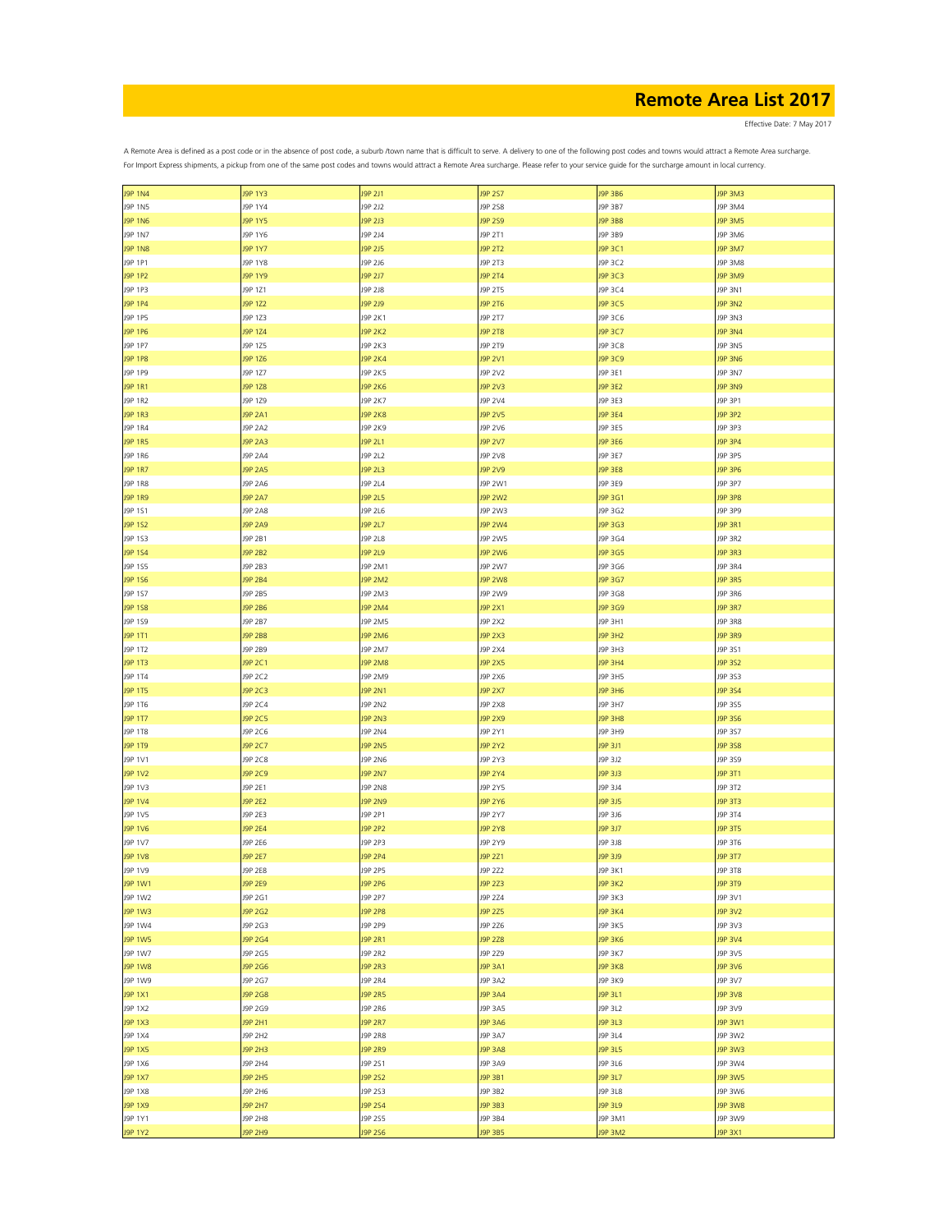Effective Date: 7 May 2017

| <b>J9P 1N4</b> | <b>J9P 1Y3</b> | J9P 2J1        | J9P 2S7        | J9P 3B6        | J9P 3M3        |
|----------------|----------------|----------------|----------------|----------------|----------------|
| J9P 1N5        | J9P 1Y4        | J9P 2J2        | J9P 2S8        | J9P 3B7        | J9P 3M4        |
| <b>J9P 1N6</b> | J9P 1Y5        | J9P 2J3        | J9P 2S9        | J9P 3B8        | <b>J9P 3M5</b> |
| J9P 1N7        | J9P 1Y6        | J9P 2J4        | J9P 2T1        | J9P 3B9        | J9P 3M6        |
|                |                |                |                |                |                |
| <b>J9P 1N8</b> | J9P 1Y7        | J9P 2J5        | J9P 2T2        | J9P 3C1        | J9P 3M7        |
| J9P 1P1        | J9P 1Y8        | J9P 2J6        | J9P 2T3        | J9P 3C2        | J9P 3M8        |
| J9P 1P2        | J9P 1Y9        | J9P 2J7        | J9P 2T4        | J9P 3C3        | J9P 3M9        |
|                |                |                |                |                |                |
| J9P 1P3        | J9P 1Z1        | J9P 2J8        | J9P 2T5        | J9P 3C4        | J9P 3N1        |
| J9P 1P4        | J9P 1Z2        | J9P 2J9        | J9P 2T6        | J9P 3C5        | J9P 3N2        |
| J9P 1P5        | J9P 1Z3        | J9P 2K1        | J9P 2T7        | J9P 3C6        | J9P 3N3        |
| J9P 1P6        | J9P 1Z4        | <b>J9P 2K2</b> | <b>J9P 2T8</b> | J9P 3C7        | <b>J9P 3N4</b> |
|                |                |                |                |                |                |
| J9P 1P7        | J9P 1Z5        | J9P 2K3        | J9P 2T9        | J9P 3C8        | J9P 3N5        |
| <b>J9P 1P8</b> | J9P 1Z6        | <b>J9P 2K4</b> | J9P 2V1        | J9P 3C9        | <b>J9P 3N6</b> |
| J9P 1P9        | J9P 1Z7        | J9P 2K5        | J9P 2V2        | J9P 3E1        | J9P 3N7        |
|                |                |                |                |                |                |
| J9P 1R1        | J9P 1Z8        | <b>J9P 2K6</b> | J9P 2V3        | J9P 3E2        | <b>J9P 3N9</b> |
| J9P 1R2        | J9P 1Z9        | J9P 2K7        | J9P 2V4        | J9P 3E3        | J9P 3P1        |
| J9P 1R3        | J9P 2A1        | <b>J9P 2K8</b> | J9P 2V5        | J9P 3E4        | J9P 3P2        |
|                |                |                |                |                |                |
| J9P 1R4        | J9P 2A2        | J9P 2K9        | J9P 2V6        | J9P 3E5        | J9P 3P3        |
| <b>J9P 1R5</b> | J9P 2A3        | J9P 2L1        | J9P 2V7        | J9P 3E6        | J9P 3P4        |
| J9P 1R6        | J9P 2A4        | J9P 2L2        | J9P 2V8        | J9P 3E7        | J9P 3P5        |
| <b>J9P 1R7</b> | <b>J9P 2A5</b> | J9P 2L3        | J9P 2V9        | <b>J9P 3E8</b> | J9P 3P6        |
|                |                |                |                |                |                |
| J9P 1R8        | J9P 2A6        | J9P 2L4        | J9P 2W1        | J9P 3E9        | J9P 3P7        |
| <b>J9P 1R9</b> | J9P 2A7        | J9P 2L5        | <b>J9P 2W2</b> | J9P 3G1        | J9P 3P8        |
| J9P 1S1        | J9P 2A8        | J9P 2L6        | J9P 2W3        | J9P 3G2        | J9P 3P9        |
|                |                |                |                |                |                |
| J9P 1S2        | <b>J9P 2A9</b> | J9P 2L7        | <b>J9P 2W4</b> | J9P 3G3        | J9P 3R1        |
| J9P 1S3        | J9P 2B1        | J9P 2L8        | J9P 2W5        | J9P 3G4        | J9P 3R2        |
| J9P 1S4        | J9P 2B2        | J9P 2L9        | <b>J9P 2W6</b> | J9P 3G5        | J9P 3R3        |
|                |                |                |                |                |                |
| J9P 1S5        | J9P 2B3        | J9P 2M1        | J9P 2W7        | J9P 3G6        | J9P 3R4        |
| J9P 1S6        | <b>J9P 2B4</b> | <b>J9P 2M2</b> | <b>J9P 2W8</b> | J9P 3G7        | <b>J9P 3R5</b> |
| J9P 1S7        | J9P 2B5        | J9P 2M3        | J9P 2W9        | J9P 3G8        | J9P 3R6        |
|                |                |                |                |                | <b>J9P 3R7</b> |
| J9P 1S8        | <b>J9P 2B6</b> | <b>J9P 2M4</b> | J9P 2X1        | J9P 3G9        |                |
| J9P 1S9        | J9P 2B7        | J9P 2M5        | J9P 2X2        | J9P 3H1        | J9P 3R8        |
| J9P 1T1        | <b>J9P 2B8</b> | <b>J9P 2M6</b> | <b>J9P 2X3</b> | <b>J9P 3H2</b> | <b>J9P 3R9</b> |
| J9P 1T2        | J9P 2B9        | J9P 2M7        | J9P 2X4        | J9P 3H3        | J9P 3S1        |
|                |                |                |                |                |                |
| J9P 1T3        | J9P 2C1        | <b>J9P 2M8</b> | J9P 2X5        | <b>J9P 3H4</b> | J9P 3S2        |
| J9P 1T4        | J9P 2C2        | J9P 2M9        | J9P 2X6        | J9P 3H5        | J9P 3S3        |
| J9P 1T5        | J9P 2C3        | <b>J9P 2N1</b> | <b>J9P 2X7</b> | J9P 3H6        | J9P 3S4        |
|                |                |                |                |                |                |
| J9P 1T6        | J9P 2C4        | J9P 2N2        | J9P 2X8        | J9P 3H7        | J9P 3S5        |
| J9P 1T7        | J9P 2C5        | <b>J9P 2N3</b> | J9P 2X9        | <b>J9P 3H8</b> | J9P 3S6        |
| J9P 1T8        | J9P 2C6        | J9P 2N4        | J9P 2Y1        | J9P 3H9        | J9P 3S7        |
|                |                |                |                |                |                |
| J9P 1T9        | J9P 2C7        | <b>J9P 2N5</b> | J9P 2Y2        | J9P 3J1        | J9P 3S8        |
| J9P 1V1        | J9P 2C8        | J9P 2N6        | J9P 2Y3        | J9P 3J2        | J9P 3S9        |
| J9P 1V2        | J9P 2C9        | <b>J9P 2N7</b> | J9P 2Y4        | J9P 3J3        | J9P 3T1        |
| J9P 1V3        | J9P 2E1        | <b>J9P 2N8</b> | J9P 2Y5        | J9P 3J4        | J9P 3T2        |
|                |                |                |                |                |                |
| <b>J9P 1V4</b> | <b>J9P 2E2</b> | <b>J9P 2N9</b> | J9P 2Y6        | J9P 3J5        | J9P 3T3        |
| J9P 1V5        | J9P 2E3        | J9P 2P1        | J9P 2Y7        | J9P 3J6        | J9P 3T4        |
| <b>J9P 1V6</b> | <b>J9P 2E4</b> | <b>J9P 2P2</b> | <b>J9P 2Y8</b> | J9P 3J7        | J9P 3T5        |
|                |                |                |                |                |                |
| J9P 1V7        | J9P 2E6        | J9P 2P3        | J9P 2Y9        | J9P 3J8        | J9P 3T6        |
| <b>J9P 1V8</b> | J9P 2E7        | <b>J9P 2P4</b> | J9P 2Z1        | J9P 3J9        | J9P 3T7        |
| J9P 1V9        | J9P 2E8        | J9P 2P5        | J9P 2Z2        | J9P 3K1        | J9P 3T8        |
|                |                |                |                |                |                |
| J9P 1W1        | J9P 2E9        | J9P 2P6        | J9P 2Z3        | <b>J9P 3K2</b> | <b>J9P 3T9</b> |
| J9P 1W2        | J9P 2G1        | J9P 2P7        | J9P 2Z4        | J9P 3K3        | J9P 3V1        |
| <b>J9P 1W3</b> | J9P 2G2        | <b>J9P 2P8</b> | J9P 2Z5        | <b>J9P 3K4</b> | J9P 3V2        |
| J9P 1W4        | J9P 2G3        | J9P 2P9        | J9P 2Z6        | J9P 3K5        | J9P 3V3        |
|                |                |                |                |                |                |
| <b>J9P 1W5</b> | J9P 2G4        | <b>J9P 2R1</b> | J9P 2Z8        | <b>J9P 3K6</b> | J9P 3V4        |
| J9P 1W7        | J9P 2G5        | J9P 2R2        | J9P 2Z9        | J9P 3K7        | J9P 3V5        |
| <b>J9P 1W8</b> | J9P 2G6        | <b>J9P 2R3</b> | J9P 3A1        | <b>J9P 3K8</b> | <b>J9P 3V6</b> |
|                |                |                |                |                |                |
| J9P 1W9        | J9P 2G7        | J9P 2R4        | J9P 3A2        | J9P 3K9        | J9P 3V7        |
| J9P 1X1        | J9P 2G8        | <b>J9P 2R5</b> | J9P 3A4        | J9P 3L1        | <b>J9P 3V8</b> |
| J9P 1X2        | J9P 2G9        | J9P 2R6        | J9P 3A5        | J9P 3L2        | J9P 3V9        |
|                |                |                |                |                |                |
| J9P 1X3        | J9P 2H1        | <b>J9P 2R7</b> | <b>J9P 3A6</b> | J9P 3L3        | <b>J9P 3W1</b> |
| J9P 1X4        | J9P 2H2        | J9P 2R8        | J9P 3A7        | J9P 3L4        | J9P 3W2        |
| <b>J9P 1X5</b> | J9P 2H3        | <b>J9P 2R9</b> | <b>J9P 3A8</b> | J9P 3L5        | J9P 3W3        |
| J9P 1X6        | J9P 2H4        | J9P 2S1        | J9P 3A9        | J9P 3L6        | J9P 3W4        |
|                |                |                |                |                |                |
| <b>J9P 1X7</b> | <b>J9P 2H5</b> | J9P 2S2        | J9P 3B1        | J9P 3L7        | J9P 3W5        |
| J9P 1X8        | J9P 2H6        | J9P 2S3        | J9P 3B2        | J9P 3L8        | J9P 3W6        |
| J9P 1X9        | <b>J9P 2H7</b> | J9P 2S4        | J9P 3B3        | J9P 3L9        | J9P 3W8        |
|                |                |                |                |                |                |
| J9P 1Y1        | J9P 2H8        | J9P 2S5        | J9P 3B4        | J9P 3M1        | J9P 3W9        |
| <b>J9P 1Y2</b> | J9P 2H9        | J9P 2S6        | J9P 3B5        | J9P 3M2        | J9P 3X1        |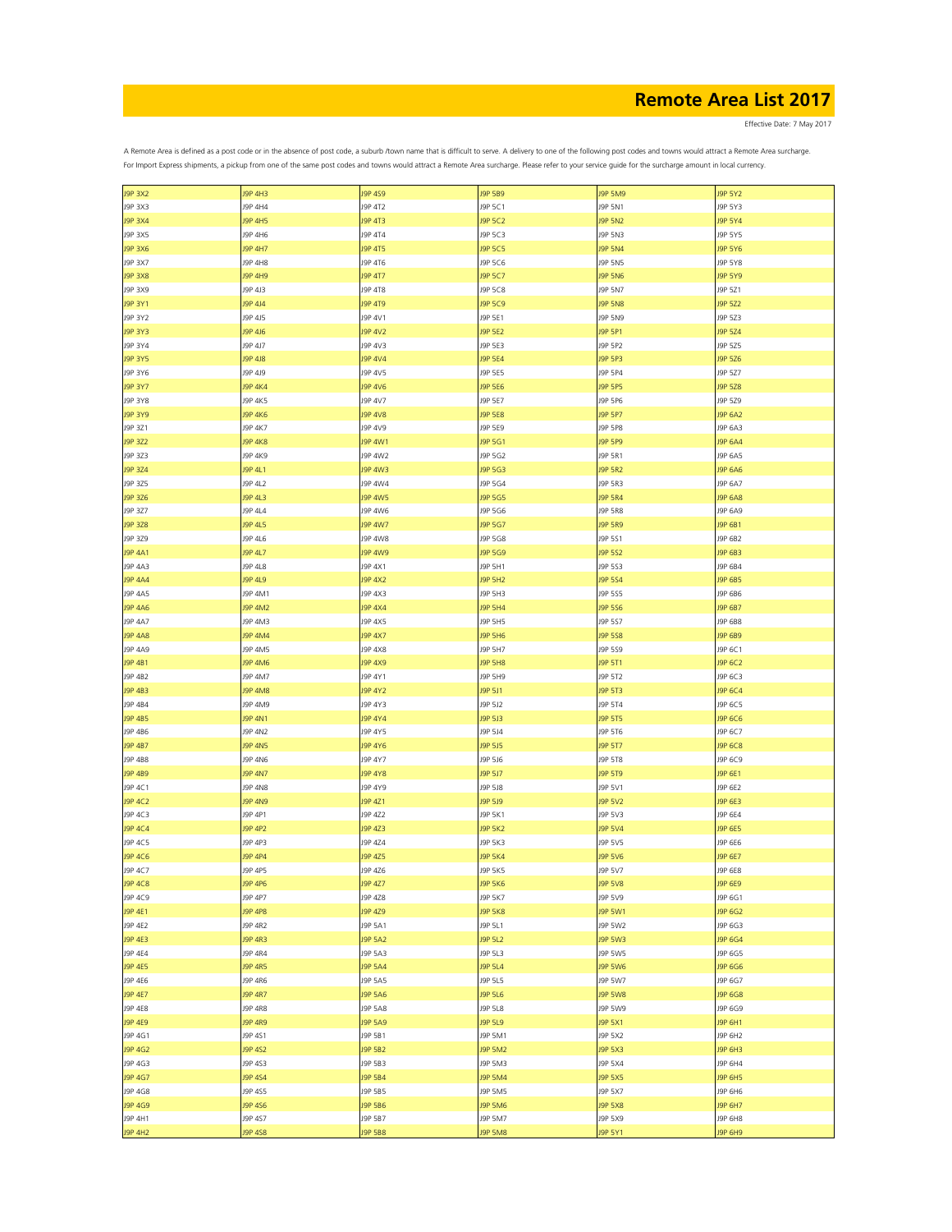Effective Date: 7 May 2017

| <b>J9P 3X2</b> | <b>J9P 4H3</b> | J9P 4S9        | J9P 5B9        | <b>J9P 5M9</b> | J9P 5Y2        |
|----------------|----------------|----------------|----------------|----------------|----------------|
| J9P 3X3        | J9P 4H4        | J9P 4T2        | J9P 5C1        | J9P 5N1        | J9P 5Y3        |
| J9P 3X4        | J9P 4H5        | J9P 4T3        | J9P 5C2        | J9P 5N2        | J9P 5Y4        |
| J9P 3X5        | J9P 4H6        | J9P 4T4        | J9P 5C3        | J9P 5N3        | J9P 5Y5        |
|                |                |                |                |                |                |
| J9P 3X6        | J9P 4H7        | <b>J9P 4T5</b> | J9P 5C5        | <b>J9P 5N4</b> | J9P 5Y6        |
| J9P 3X7        | J9P 4H8        | J9P 4T6        | J9P 5C6        | J9P 5N5        | J9P 5Y8        |
| <b>J9P 3X8</b> | J9P 4H9        | J9P 4T7        | J9P 5C7        | <b>J9P 5N6</b> | J9P 5Y9        |
|                |                |                |                |                |                |
| J9P 3X9        | J9P 4J3        | J9P 4T8        | J9P 5C8        | J9P 5N7        | J9P 5Z1        |
| J9P 3Y1        | J9P 4J4        | J9P 4T9        | J9P 5C9        | <b>J9P 5N8</b> | J9P 5Z2        |
| J9P 3Y2        | J9P 4J5        | J9P 4V1        | J9P 5E1        | J9P 5N9        | J9P 5Z3        |
| J9P 3Y3        | J9P 4J6        | <b>J9P 4V2</b> | J9P 5E2        | J9P 5P1        | J9P 5Z4        |
|                |                |                |                |                |                |
| J9P 3Y4        | J9P 4J7        | J9P 4V3        | J9P 5E3        | J9P 5P2        | J9P 5Z5        |
| J9P 3Y5        | J9P 4J8        | <b>J9P 4V4</b> | J9P 5E4        | J9P 5P3        | J9P 5Z6        |
| J9P 3Y6        | J9P 4J9        | J9P 4V5        | J9P 5E5        | J9P 5P4        | J9P 5Z7        |
|                |                |                |                |                |                |
| J9P 3Y7        | <b>J9P 4K4</b> | <b>J9P 4V6</b> | J9P 5E6        | J9P 5P5        | J9P 5Z8        |
| J9P 3Y8        | J9P 4K5        | J9P 4V7        | J9P 5E7        | J9P 5P6        | J9P 5Z9        |
| J9P 3Y9        | <b>J9P 4K6</b> | <b>J9P 4V8</b> | J9P 5E8        | J9P 5P7        | J9P 6A2        |
|                |                |                |                |                |                |
| J9P 3Z1        | J9P 4K7        | J9P 4V9        | J9P 5E9        | J9P 5P8        | J9P 6A3        |
| J9P 3Z2        | <b>J9P 4K8</b> | J9P 4W1        | J9P 5G1        | J9P 5P9        | J9P 6A4        |
| J9P 3Z3        | J9P 4K9        | J9P 4W2        | J9P 5G2        | J9P 5R1        | J9P 6A5        |
| J9P 3Z4        | J9P 4L1        | <b>J9P 4W3</b> | J9P 5G3        | <b>J9P 5R2</b> | J9P 6A6        |
|                |                |                |                |                |                |
| J9P 3Z5        | J9P 4L2        | J9P 4W4        | J9P 5G4        | J9P 5R3        | J9P 6A7        |
| J9P 3Z6        | J9P 4L3        | <b>J9P 4W5</b> | J9P 5G5        | <b>J9P 5R4</b> | <b>J9P 6A8</b> |
| J9P 3Z7        | J9P 4L4        | J9P 4W6        | J9P 5G6        | J9P 5R8        | J9P 6A9        |
|                |                |                |                |                |                |
| J9P 3Z8        | J9P 4L5        | J9P 4W7        | J9P 5G7        | <b>J9P 5R9</b> | J9P 6B1        |
| J9P 3Z9        | J9P 4L6        | J9P 4W8        | J9P 5G8        | J9P 5S1        | J9P 6B2        |
| J9P 4A1        | J9P 4L7        | <b>J9P 4W9</b> | J9P 5G9        | J9P 5S2        | J9P 6B3        |
|                |                |                |                |                |                |
| J9P 4A3        | J9P 4L8        | J9P 4X1        | J9P 5H1        | J9P 5S3        | J9P 6B4        |
| <b>J9P 4A4</b> | J9P 4L9        | <b>J9P 4X2</b> | <b>J9P 5H2</b> | J9P 5S4        | J9P 6B5        |
| J9P 4A5        | J9P 4M1        | J9P 4X3        | J9P 5H3        | J9P 5S5        | J9P 6B6        |
|                |                |                | <b>J9P 5H4</b> | J9P 5S6        | J9P 6B7        |
| <b>J9P 4A6</b> | <b>J9P 4M2</b> | <b>J9P 4X4</b> |                |                |                |
| J9P 4A7        | J9P 4M3        | J9P 4X5        | J9P 5H5        | J9P 5S7        | J9P 6B8        |
| <b>J9P 4A8</b> | J9P 4M4        | <b>J9P 4X7</b> | <b>J9P 5H6</b> | <b>J9P 5S8</b> | J9P 6B9        |
| J9P 4A9        | J9P 4M5        | J9P 4X8        | J9P 5H7        | J9P 5S9        | J9P 6C1        |
|                |                |                |                |                |                |
| J9P 4B1        | <b>J9P 4M6</b> | <b>J9P 4X9</b> | <b>J9P 5H8</b> | J9P 5T1        | J9P 6C2        |
| J9P 4B2        | J9P 4M7        | J9P 4Y1        | J9P 5H9        | J9P 5T2        | J9P 6C3        |
| J9P 4B3        | <b>J9P 4M8</b> | <b>J9P 4Y2</b> | J9P 5J1        | J9P 5T3        | J9P 6C4        |
|                |                |                |                |                |                |
| J9P 4B4        | J9P 4M9        | J9P 4Y3        | J9P 5J2        | J9P 5T4        | J9P 6C5        |
| J9P 4B5        | <b>J9P 4N1</b> | <b>J9P 4Y4</b> | J9P 5J3        | J9P 5T5        | J9P 6C6        |
| J9P 4B6        | J9P 4N2        | J9P 4Y5        | J9P 5J4        | J9P 5T6        | J9P 6C7        |
|                |                |                |                |                |                |
| J9P 4B7        | <b>J9P 4N5</b> | J9P 4Y6        | J9P 5J5        | J9P 5T7        | J9P 6C8        |
| J9P 4B8        | J9P 4N6        | J9P 4Y7        | J9P 5J6        | J9P 5T8        | J9P 6C9        |
| <b>J9P 4B9</b> | <b>J9P 4N7</b> | <b>J9P 4Y8</b> | J9P 5J7        | <b>J9P 5T9</b> | J9P 6E1        |
| J9P 4C1        | J9P 4N8        | J9P 4Y9        | J9P 5J8        | J9P 5V1        | J9P 6E2        |
|                |                |                |                |                |                |
| J9P 4C2        | <b>J9P 4N9</b> | J9P 4Z1        | J9P 5J9        | <b>J9P 5V2</b> | J9P 6E3        |
| J9P 4C3        | J9P 4P1        | J9P 4Z2        | J9P 5K1        | J9P 5V3        | J9P 6E4        |
| <b>J9P 4C4</b> | <b>J9P 4P2</b> | J9P 4Z3        | <b>J9P 5K2</b> | <b>J9P 5V4</b> | J9P 6E5        |
|                |                |                |                |                |                |
| J9P 4C5        | J9P 4P3        | J9P 4Z4        | J9P 5K3        | J9P 5V5        | J9P 6E6        |
| <b>J9P 4C6</b> | J9P 4P4        | J9P 4Z5        | <b>J9P 5K4</b> | <b>J9P 5V6</b> | J9P 6E7        |
| J9P 4C7        | J9P 4P5        | J9P 4Z6        | J9P 5K5        | J9P 5V7        | J9P 6E8        |
| J9P 4C8        |                | J9P 4Z7        |                |                |                |
|                | J9P 4P6        |                | <b>J9P 5K6</b> | <b>J9P 5V8</b> | J9P 6E9        |
| J9P 4C9        | J9P 4P7        | J9P 4Z8        | J9P 5K7        | J9P 5V9        | J9P 6G1        |
| J9P 4E1        | <b>J9P 4P8</b> | J9P 4Z9        | <b>J9P 5K8</b> | J9P 5W1        | J9P 6G2        |
| J9P 4E2        | J9P 4R2        | J9P 5A1        | J9P 5L1        | J9P 5W2        | J9P 6G3        |
|                |                |                |                |                |                |
| <b>J9P 4E3</b> | <b>J9P 4R3</b> | <b>J9P 5A2</b> | J9P 5L2        | J9P 5W3        | J9P 6G4        |
| J9P 4E4        | J9P 4R4        | J9P 5A3        | J9P 5L3        | J9P 5W5        | J9P 6G5        |
| J9P 4E5        | <b>J9P 4R5</b> | <b>J9P 5A4</b> | J9P 5L4        | <b>J9P 5W6</b> | J9P 6G6        |
|                |                |                |                |                |                |
| J9P 4E6        | J9P 4R6        | J9P 5A5        | J9P 5L5        | J9P 5W7        | J9P 6G7        |
| J9P 4E7        | J9P 4R7        | <b>J9P 5A6</b> | J9P 5L6        | <b>J9P 5W8</b> | J9P 6G8        |
| J9P 4E8        | J9P 4R8        | J9P 5A8        | J9P 5L8        | J9P 5W9        | J9P 6G9        |
| <b>J9P 4E9</b> | <b>J9P 4R9</b> | J9P 5A9        | J9P 5L9        | J9P 5X1        | J9P 6H1        |
|                |                |                |                |                |                |
| J9P 4G1        | J9P 4S1        | J9P 5B1        | J9P 5M1        | J9P 5X2        | J9P 6H2        |
| J9P 4G2        | J9P 4S2        | J9P 5B2        | <b>J9P 5M2</b> | J9P 5X3        | J9P 6H3        |
| J9P 4G3        | J9P 4S3        | J9P 5B3        | J9P 5M3        | J9P 5X4        | J9P 6H4        |
|                |                |                |                |                |                |
| J9P 4G7        | J9P 4S4        | J9P 5B4        | J9P 5M4        | <b>J9P 5X5</b> | J9P 6H5        |
| J9P 4G8        | J9P 4S5        | J9P 5B5        | J9P 5M5        | J9P 5X7        | J9P 6H6        |
| J9P 4G9        | J9P 4S6        | J9P 5B6        | <b>J9P 5M6</b> | <b>J9P 5X8</b> | J9P 6H7        |
|                |                |                |                |                |                |
| J9P 4H1        | J9P 4S7        | J9P 5B7        | J9P 5M7        | J9P 5X9        | J9P 6H8        |
| J9P 4H2        | J9P 458        | J9P 5B8        | <b>J9P 5M8</b> | J9P 5Y1        | J9P 6H9        |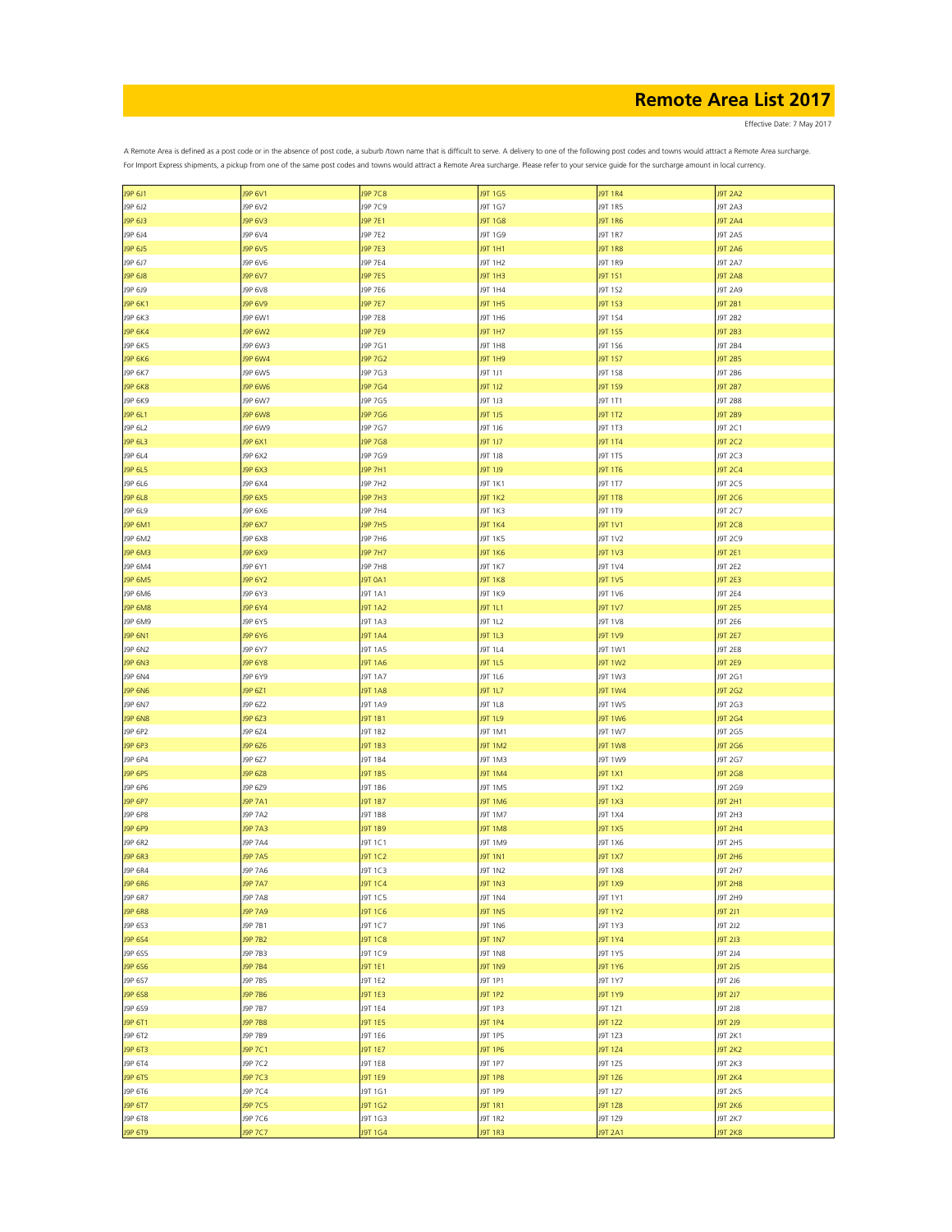Effective Date: 7 May 2017

| J9P 6J1        | J9P 6V1        | J9P 7C8        | J9T 1G5        | <b>J9T 1R4</b> | <b>J9T 2A2</b> |
|----------------|----------------|----------------|----------------|----------------|----------------|
| J9P 6J2        | J9P 6V2        | J9P 7C9        | J9T 1G7        | J9T 1R5        | J9T 2A3        |
| J9P 6J3        | J9P 6V3        | J9P 7E1        | J9T 1G8        | J9T 1R6        | <b>J9T 2A4</b> |
| J9P 6J4        | J9P 6V4        | J9P 7E2        | J9T 1G9        | J9T 1R7        | J9T 2A5        |
| J9P 6J5        | J9P 6V5        | J9P 7E3        | J9T 1H1        | <b>J9T 1R8</b> | <b>J9T 2A6</b> |
| J9P 6J7        | J9P 6V6        | J9P 7E4        | J9T 1H2        | J9T 1R9        | J9T 2A7        |
|                |                |                |                |                |                |
| J9P 6J8        | J9P 6V7        | J9P 7E5        | J9T 1H3        | J9T 1S1        | <b>J9T 2A8</b> |
| J9P 6J9        | J9P 6V8        | J9P 7E6        | J9T 1H4        | J9T 1S2        | J9T 2A9        |
| J9P 6K1        | J9P 6V9        | J9P 7E7        | J9T 1H5        | J9T 1S3        | <b>J9T 2B1</b> |
| J9P 6K3        | J9P 6W1        | J9P 7E8        | J9T 1H6        | J9T 1S4        | J9T 2B2        |
| <b>J9P 6K4</b> | J9P 6W2        | J9P 7E9        | J9T 1H7        | J9T 1S5        | J9T 2B3        |
| J9P 6K5        | J9P 6W3        | J9P 7G1        | J9T 1H8        | J9T 1S6        | J9T 2B4        |
| <b>J9P 6K6</b> | J9P 6W4        | J9P 7G2        | J9T 1H9        | J9T 1S7        | J9T 2B5        |
|                |                |                |                |                |                |
| J9P 6K7        | J9P 6W5        | J9P 7G3        | J9T 1J1        | J9T 1S8        | J9T 2B6        |
| <b>J9P 6K8</b> | <b>J9P 6W6</b> | J9P 7G4        | J9T 1J2        | J9T 1S9        | J9T 2B7        |
| J9P 6K9        | J9P 6W7        | J9P 7G5        | J9T 1J3        | J9T 1T1        | J9T 2B8        |
| J9P 6L1        | <b>J9P 6W8</b> | J9P 7G6        | J9T 1J5        | J9T 1T2        | J9T 2B9        |
| J9P 6L2        | J9P 6W9        | J9P 7G7        | J9T 1J6        | J9T 1T3        | J9T 2C1        |
| J9P 6L3        | J9P 6X1        | J9P 7G8        | J9T 1J7        | J9T 1T4        | J9T 2C2        |
| J9P 6L4        | J9P 6X2        | J9P 7G9        | J9T 1J8        | J9T 1T5        | J9T 2C3        |
|                |                |                |                |                |                |
| J9P 6L5        | J9P 6X3        | J9P 7H1        | J9T 1J9        | <b>J9T 1T6</b> | <b>J9T 2C4</b> |
| J9P 6L6        | J9P 6X4        | J9P 7H2        | J9T 1K1        | J9T 1T7        | J9T 2C5        |
| J9P 6L8        | J9P 6X5        | <b>J9P 7H3</b> | <b>J9T 1K2</b> | <b>J9T 1T8</b> | J9T 2C6        |
| J9P 6L9        | J9P 6X6        | J9P 7H4        | J9T 1K3        | J9T 1T9        | J9T 2C7        |
| J9P 6M1        | J9P 6X7        | <b>J9P 7H5</b> | <b>J9T 1K4</b> | <b>J9T 1V1</b> | <b>J9T 2C8</b> |
| J9P 6M2        | J9P 6X8        | J9P 7H6        | J9T 1K5        | J9T 1V2        | J9T 2C9        |
|                |                |                |                |                |                |
| J9P 6M3        | J9P 6X9        | <b>J9P 7H7</b> | <b>J9T 1K6</b> | <b>J9T 1V3</b> | J9T 2E1        |
| J9P 6M4        | J9P 6Y1        | J9P 7H8        | J9T 1K7        | J9T 1V4        | J9T 2E2        |
| J9P 6M5        | J9P 6Y2        | <b>J9T 0A1</b> | <b>J9T 1K8</b> | J9T 1V5        | <b>J9T 2E3</b> |
| J9P 6M6        | J9P 6Y3        | J9T 1A1        | J9T 1K9        | J9T 1V6        | J9T 2E4        |
| <b>J9P 6M8</b> | J9P 6Y4        | <b>J9T 1A2</b> | J9T 1L1        | J9T 1V7        | <b>J9T 2E5</b> |
| J9P 6M9        | J9P 6Y5        | J9T 1A3        | J9T 1L2        | <b>J9T 1V8</b> | J9T 2E6        |
| J9P 6N1        | J9P 6Y6        | <b>J9T 1A4</b> | J9T 1L3        | <b>J9T 1V9</b> | <b>J9T 2E7</b> |
|                |                |                |                |                |                |
| J9P 6N2        | J9P 6Y7        | J9T 1A5        | J9T 1L4        | J9T 1W1        | <b>J9T 2E8</b> |
| J9P 6N3        | <b>J9P 6Y8</b> | <b>J9T 1A6</b> | J9T 1L5        | <b>J9T 1W2</b> | <b>J9T 2E9</b> |
| J9P 6N4        | J9P 6Y9        | J9T 1A7        | J9T 1L6        | J9T 1W3        | J9T 2G1        |
| <b>J9P 6N6</b> | J9P 6Z1        | <b>J9T 1A8</b> | J9T 1L7        | <b>J9T 1W4</b> | J9T 2G2        |
| J9P 6N7        | J9P 6Z2        | J9T 1A9        | J9T 1L8        | J9T 1W5        | J9T 2G3        |
| <b>J9P 6N8</b> | J9P 6Z3        | J9T 1B1        | J9T 1L9        | <b>J9T 1W6</b> | J9T 2G4        |
|                |                |                |                |                |                |
| J9P 6P2        | J9P 6Z4        | J9T 1B2        | J9T 1M1        | J9T 1W7        | J9T 2G5        |
| J9P 6P3        | J9P 6Z6        | <b>J9T 1B3</b> | <b>J9T 1M2</b> | <b>J9T 1W8</b> | J9T 2G6        |
| J9P 6P4        | J9P 6Z7        | J9T 1B4        | J9T 1M3        | J9T 1W9        | J9T 2G7        |
| J9P 6P5        | J9P 6Z8        | <b>J9T 1B5</b> | <b>J9T 1M4</b> | J9T 1X1        | J9T 2G8        |
| J9P 6P6        | J9P 6Z9        | J9T 1B6        | J9T 1M5        | J9T 1X2        | J9T 2G9        |
| J9P 6P7        | J9P 7A1        | <b>J9T 1B7</b> | J9T 1M6        | J9T 1X3        | J9T 2H1        |
| J9P 6P8        | J9P 7A2        | J9T 1B8        | J9T 1M7        | J9T 1X4        | J9T 2H3        |
|                |                |                |                |                |                |
| J9P 6P9        | J9P 7A3        | <b>J9T 1B9</b> | <b>J9T 1M8</b> | <b>J9T 1X5</b> | <b>J9T 2H4</b> |
| J9P 6R2        | J9P 7A4        | J9T 1C1        | J9T 1M9        | J9T 1X6        | J9T 2H5        |
| J9P 6R3        | <b>J9P 7A5</b> | J9T 1C2        | J9T 1N1        | <b>J9T 1X7</b> | J9T 2H6        |
| J9P 6R4        | J9P 7A6        | J9T 1C3        | J9T 1N2        | J9T 1X8        | J9T 2H7        |
| <b>J9P 6R6</b> | J9P 7A7        | <b>J9T 1C4</b> | <b>J9T 1N3</b> | <b>J9T 1X9</b> | <b>J9T 2H8</b> |
| J9P 6R7        | J9P 7A8        | J9T 1C5        | J9T 1N4        | J9T 1Y1        | J9T 2H9        |
| <b>J9P 6R8</b> | <b>J9P 7A9</b> | <b>J9T 1C6</b> | <b>J9T 1N5</b> | <b>J9T 1Y2</b> | <b>J9T 2J1</b> |
| J9P 6S3        | J9P 7B1        | J9T 1C7        | J9T 1N6        | J9T 1Y3        | J9T 2J2        |
|                |                |                |                |                |                |
| J9P 6S4        | J9P 7B2        | <b>J9T 1C8</b> | <b>J9T 1N7</b> | J9T 1Y4        | J9T 2J3        |
| J9P 6S5        | J9P 7B3        | J9T 1C9        | <b>J9T 1N8</b> | J9T 1Y5        | J9T 2J4        |
| J9P 6S6        | <b>J9P 7B4</b> | J9T 1E1        | J9T 1N9        | J9T 1Y6        | <b>J9T 2J5</b> |
| J9P 6S7        | J9P 7B5        | J9T 1E2        | J9T 1P1        | J9T 1Y7        | J9T 2J6        |
| J9P 6S8        | <b>J9P 7B6</b> | <b>J9T 1E3</b> | J9T 1P2        | <b>J9T 1Y9</b> | <b>J9T 2J7</b> |
| J9P 6S9        | J9P 7B7        | <b>J9T 1E4</b> | J9T 1P3        | J9T 1Z1        | <b>J9T 2J8</b> |
|                |                |                | J9T 1P4        |                |                |
| J9P 6T1        | J9P 7B8        | <b>J9T 1E5</b> |                | <b>J9T 1Z2</b> | <b>J9T 2J9</b> |
| J9P 6T2        | J9P 7B9        | J9T 1E6        | J9T 1P5        | J9T 1Z3        | J9T 2K1        |
| J9P 6T3        | J9P 7C1        | <b>J9T 1E7</b> | J9T 1P6        | J9T 1Z4        | <b>J9T 2K2</b> |
| J9P 6T4        | J9P 7C2        | J9T 1E8        | J9T 1P7        | J9T 1Z5        | J9T 2K3        |
| J9P 6T5        | J9P 7C3        | <b>J9T 1E9</b> | J9T 1P8        | J9T 1Z6        | <b>J9T 2K4</b> |
| J9P 6T6        | J9P 7C4        | J9T 1G1        | J9T 1P9        | J9T 1Z7        | J9T 2K5        |
| J9P 6T7        | J9P 7C5        | J9T 1G2        | J9T 1R1        | J9T 1Z8        | <b>J9T 2K6</b> |
|                |                |                |                |                |                |
| J9P 6T8        | J9P 7C6        | J9T 1G3        | J9T 1R2        | J9T 1Z9        | J9T 2K7        |
| J9P 6T9        | J9P 7C7        | J9T 1G4        | J9T 1R3        | <b>J9T 2A1</b> | J9T 2K8        |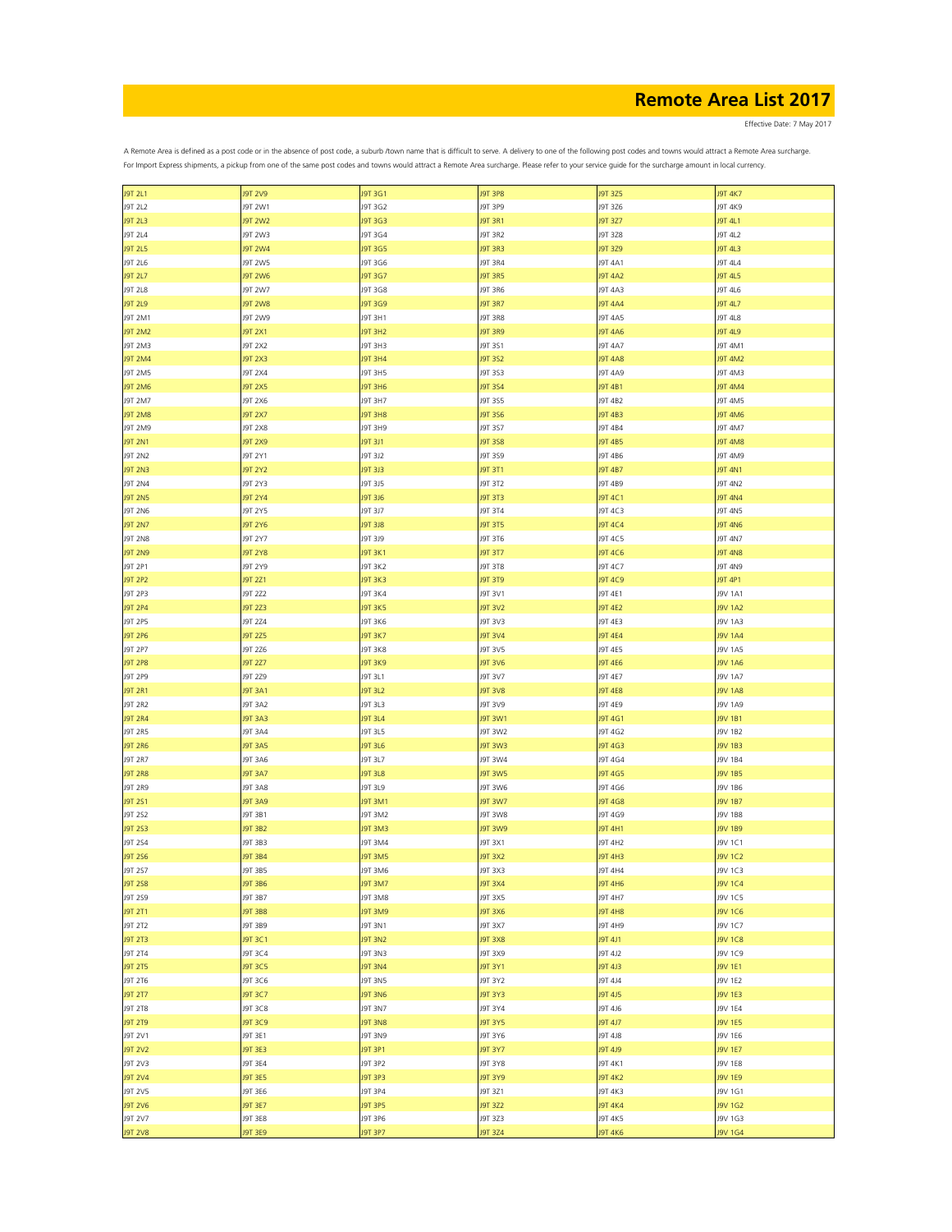Effective Date: 7 May 2017

| J9T 2L1        | <b>J9T 2V9</b> | J9T 3G1         | <b>J9T 3P8</b> | J9T 3Z5        | <b>J9T 4K7</b> |
|----------------|----------------|-----------------|----------------|----------------|----------------|
| J9T 2L2        | J9T 2W1        | J9T 3G2         | J9T 3P9        | J9T 3Z6        | J9T 4K9        |
|                |                |                 |                |                |                |
| J9T 2L3        | <b>J9T 2W2</b> | J9T 3G3         | J9T 3R1        | J9T 3Z7        | J9T 4L1        |
| J9T 2L4        | J9T 2W3        | J9T 3G4         | J9T 3R2        | J9T 3Z8        | J9T 4L2        |
| <b>J9T 2L5</b> | <b>J9T 2W4</b> | J9T 3G5         | <b>J9T 3R3</b> | J9T 3Z9        | J9T 4L3        |
|                |                |                 |                |                |                |
| J9T 2L6        | J9T 2W5        | J9T 3G6         | J9T 3R4        | J9T 4A1        | J9T 4L4        |
| <b>J9T 2L7</b> | <b>J9T 2W6</b> | J9T 3G7         | <b>J9T 3R5</b> | <b>J9T 4A2</b> | J9T 4L5        |
|                |                |                 |                |                |                |
| J9T 2L8        | J9T 2W7        | J9T 3G8         | J9T 3R6        | J9T 4A3        | J9T 4L6        |
| <b>J9T 2L9</b> | <b>J9T 2W8</b> | J9T 3G9         | <b>J9T 3R7</b> | <b>J9T 4A4</b> | J9T 4L7        |
|                |                |                 |                |                |                |
| J9T 2M1        | J9T 2W9        | J9T 3H1         | <b>J9T 3R8</b> | J9T 4A5        | J9T 4L8        |
| <b>J9T 2M2</b> | J9T 2X1        | J9T 3H2         | <b>J9T 3R9</b> | <b>J9T 4A6</b> | J9T 4L9        |
|                |                |                 |                |                |                |
| J9T 2M3        | J9T 2X2        | J9T 3H3         | J9T 3S1        | J9T 4A7        | J9T 4M1        |
| <b>J9T 2M4</b> | J9T 2X3        | J9T 3H4         | J9T 3S2        | <b>J9T 4A8</b> | <b>J9T 4M2</b> |
| J9T 2M5        | J9T 2X4        | J9T 3H5         | J9T 3S3        | J9T 4A9        | J9T 4M3        |
|                |                |                 |                |                |                |
| <b>J9T 2M6</b> | <b>J9T 2X5</b> | <b>J9T 3H6</b>  | J9T 3S4        | J9T 4B1        | <b>J9T 4M4</b> |
| J9T 2M7        | J9T 2X6        | J9T 3H7         | J9T 3S5        | J9T 4B2        | J9T 4M5        |
|                |                |                 |                |                |                |
| <b>J9T 2M8</b> | J9T 2X7        | J9T 3H8         | J9T 3S6        | J9T 4B3        | <b>J9T 4M6</b> |
| J9T 2M9        | J9T 2X8        | J9T 3H9         | J9T 3S7        | J9T 4B4        | J9T 4M7        |
|                |                |                 |                |                |                |
| <b>J9T 2N1</b> | <b>J9T 2X9</b> | <b>J9T 3J1</b>  | <b>J9T 3S8</b> | <b>J9T 4B5</b> | <b>J9T 4M8</b> |
| J9T 2N2        | J9T 2Y1        | J9T 3J2         | J9T 3S9        | J9T 4B6        | J9T 4M9        |
| <b>J9T 2N3</b> | <b>J9T 2Y2</b> | J9T 3J3         | J9T 3T1        | <b>J9T 4B7</b> | <b>J9T 4N1</b> |
|                |                |                 |                |                |                |
| <b>J9T 2N4</b> | J9T 2Y3        | J9T 3J5         | J9T 3T2        | J9T 4B9        | J9T 4N2        |
| <b>J9T 2N5</b> | J9T 2Y4        | <b>J9T 3J6</b>  | J9T 3T3        | J9T 4C1        | <b>J9T 4N4</b> |
|                |                |                 |                |                |                |
| <b>J9T 2N6</b> | J9T 2Y5        | J9T 3J7         | J9T 3T4        | J9T 4C3        | J9T 4N5        |
| <b>J9T 2N7</b> | <b>J9T 2Y6</b> | <b>J9T 3J8</b>  | J9T 3T5        | <b>J9T 4C4</b> | <b>J9T 4N6</b> |
|                |                |                 |                |                |                |
| <b>J9T 2N8</b> | J9T 2Y7        | J9T 3J9         | J9T 3T6        | J9T 4C5        | J9T 4N7        |
| <b>J9T 2N9</b> | <b>J9T 2Y8</b> | <b>J9T 3K1</b>  | J9T 3T7        | J9T 4C6        | <b>J9T 4N8</b> |
|                |                |                 |                |                |                |
| J9T 2P1        | J9T 2Y9        | J9T 3K2         | <b>J9T 3T8</b> | J9T 4C7        | J9T 4N9        |
| <b>J9T 2P2</b> | J9T 2Z1        | <b>J9T 3K3</b>  | J9T 3T9        | <b>J9T 4C9</b> | J9T 4P1        |
|                |                |                 |                |                |                |
| J9T 2P3        | J9T 2Z2        | J9T 3K4         | J9T 3V1        | J9T 4E1        | J9V 1A1        |
| <b>J9T 2P4</b> | J9T 2Z3        | <b>J9T 3K5</b>  | J9T 3V2        | <b>J9T 4E2</b> | <b>J9V 1A2</b> |
|                |                |                 |                |                |                |
| J9T 2P5        | J9T 2Z4        | J9T 3K6         | J9T 3V3        | J9T 4E3        | J9V 1A3        |
| J9T 2P6        | J9T 2Z5        | <b>J9T 3K7</b>  | <b>J9T 3V4</b> | <b>J9T 4E4</b> | <b>J9V 1A4</b> |
| J9T 2P7        | J9T 2Z6        | <b>J9T 3K8</b>  | J9T 3V5        | J9T 4E5        | J9V 1A5        |
|                |                |                 |                |                |                |
| <b>J9T 2P8</b> | J9T 2Z7        | <b>J9T 3K9</b>  | <b>J9T 3V6</b> | <b>J9T 4E6</b> | <b>J9V 1A6</b> |
| J9T 2P9        | J9T 2Z9        | J9T 3L1         | J9T 3V7        | J9T 4E7        | <b>J9V 1A7</b> |
|                |                |                 |                |                |                |
| J9T 2R1        | J9T 3A1        | <b>J9T 3L2</b>  | <b>J9T 3V8</b> | <b>J9T 4E8</b> | <b>J9V 1A8</b> |
| J9T 2R2        | J9T 3A2        | J9T 3L3         | J9T 3V9        | J9T 4E9        | J9V 1A9        |
|                |                |                 |                |                |                |
| <b>J9T 2R4</b> | J9T 3A3        | <b>J9T 3L4</b>  | J9T 3W1        | J9T 4G1        | J9V 1B1        |
| J9T 2R5        | J9T 3A4        | J9T 3L5         | J9T 3W2        | J9T 4G2        | J9V 1B2        |
|                |                |                 |                |                |                |
| <b>J9T 2R6</b> | J9T 3A5        | <b>J9T 3L6</b>  | <b>J9T 3W3</b> | <b>J9T 4G3</b> | J9V 1B3        |
| J9T 2R7        | J9T 3A6        | J9T 3L7         | J9T 3W4        | J9T 4G4        | J9V 1B4        |
|                |                |                 |                |                |                |
| <b>J9T 2R8</b> | <b>J9T 3A7</b> | <b>J9T 3L8</b>  | <b>J9T 3W5</b> | <b>J9T 4G5</b> | J9V 1B5        |
| J9T 2R9        | J9T 3A8        | J9T 3L9         | J9T 3W6        | J9T 4G6        | J9V 1B6        |
| J9T 2S1        | J9T 3A9        | <b>J9T 3M1</b>  | <b>J9T 3W7</b> | <b>J9T 4G8</b> | J9V 1B7        |
|                |                |                 |                |                |                |
| J9T 2S2        | J9T 3B1        | J9T 3M2         | <b>J9T 3W8</b> | J9T 4G9        | <b>J9V 1B8</b> |
| <b>J9T 2S3</b> | J9T 3B2        | J9T 3M3         | <b>PWE TPL</b> | <b>J9T 4H1</b> | J9V 1B9        |
|                |                |                 |                |                |                |
| J9T 2S4        | J9T 3B3        | J9T 3M4         | J9T 3X1        | J9T 4H2        | J9V 1C1        |
| <b>J9T 2S6</b> | J9T 3B4        | <b>J9T 3M5</b>  | <b>J9T 3X2</b> | J9T 4H3        | J9V 1C2        |
|                |                | J9T 3M6         |                |                |                |
| J9T 2S7        | J9T 3B5        |                 | J9T 3X3        | J9T 4H4        | J9V 1C3        |
| <b>J9T 2S8</b> | J9T 3B6        | <b>J9T 3M7</b>  | <b>J9T 3X4</b> | <b>J9T 4H6</b> | <b>J9V 1C4</b> |
| J9T 2S9        | J9T 3B7        | <b>BME TPL</b>  | J9T 3X5        | J9T 4H7        | J9V 1C5        |
|                |                |                 |                |                |                |
| J9T 2T1        | <b>9T 3B8</b>  | <b>PMETPL</b>   | <b>BXE TPL</b> | <b>J9T 4H8</b> | <b>J9V 1C6</b> |
| J9T 2T2        | J9T 3B9        | J9T 3N1         | J9T 3X7        | J9T 4H9        | J9V 1C7        |
|                |                |                 |                |                |                |
| <b>J9T 2T3</b> | J9T 3C1        | J9T 3N2         | <b>8XE TPL</b> | J9T 4J1        | <b>J9V 1C8</b> |
| <b>J9T 2T4</b> | J9T 3C4        | <b>EVE TPL</b>  | <b>97 3X9</b>  | J9T 4J2        | J9V 1C9        |
|                |                |                 |                | J9T 4J3        |                |
| <b>J9T 2T5</b> | J9T 3C5        | <b>J9T 3N4</b>  | J9T 3Y1        |                | <b>J9V 1E1</b> |
| J9T 2T6        | J9T 3C6        | J9T 3N5         | J9T 3Y2        | J9T 4J4        | J9V 1E2        |
| <b>J9T 2T7</b> | J9T 3C7        | J9T 3N6         | J9T 3Y3        | <b>J9T 4J5</b> | <b>J9V 1E3</b> |
|                |                |                 |                |                |                |
| <b>J9T 2T8</b> | J9T 3C8        | J9T 3N7         | J9T 3Y4        | J9T 4J6        | <b>J9V 1E4</b> |
| <b>J9T 2T9</b> | J9T 3C9        | <b>BIAE TPL</b> | <b>J9T 3Y5</b> | <b>J9T 4J7</b> | <b>J9V 1E5</b> |
|                |                |                 |                |                |                |
| J9T 2V1        | J9T 3E1        | J9T 3N9         | J9T 3Y6        | J9T 4J8        | J9V 1E6        |
| <b>J9T 2V2</b> | J9T 3E3        | <b>J9T 3P1</b>  | <b>J9T 3Y7</b> | J9T 4J9        | <b>J9V 1E7</b> |
|                |                |                 |                |                |                |
| J9T 2V3        | J9T 3E4        | J9T 3P2         | J9T 3Y8        | J9T 4K1        | <b>J9V 1E8</b> |
| <b>J9T 2V4</b> | J9T 3E5        | J9T 3P3         | <b>PYE TPL</b> | <b>J9T 4K2</b> | <b>J9V 1E9</b> |
|                |                |                 |                |                |                |
| J9T 2V5        | J9T 3E6        | J9T 3P4         | J9T 3Z1        | J9T 4K3        | J9V 1G1        |
| <b>J9T 2V6</b> | J9T 3E7        | <b>J9T 3P5</b>  | J9T 3Z2        | <b>J9T 4K4</b> | <b>J9V 1G2</b> |
| J9T 2V7        | J9T 3E8        | J9T 3P6         | J9T 3Z3        | J9T 4K5        | J9V 1G3        |
|                |                |                 |                |                |                |
| <b>J9T 2V8</b> | J9T 3E9        | J9T 3P7         | J9T 3Z4        | <b>J9T 4K6</b> | J9V 1G4        |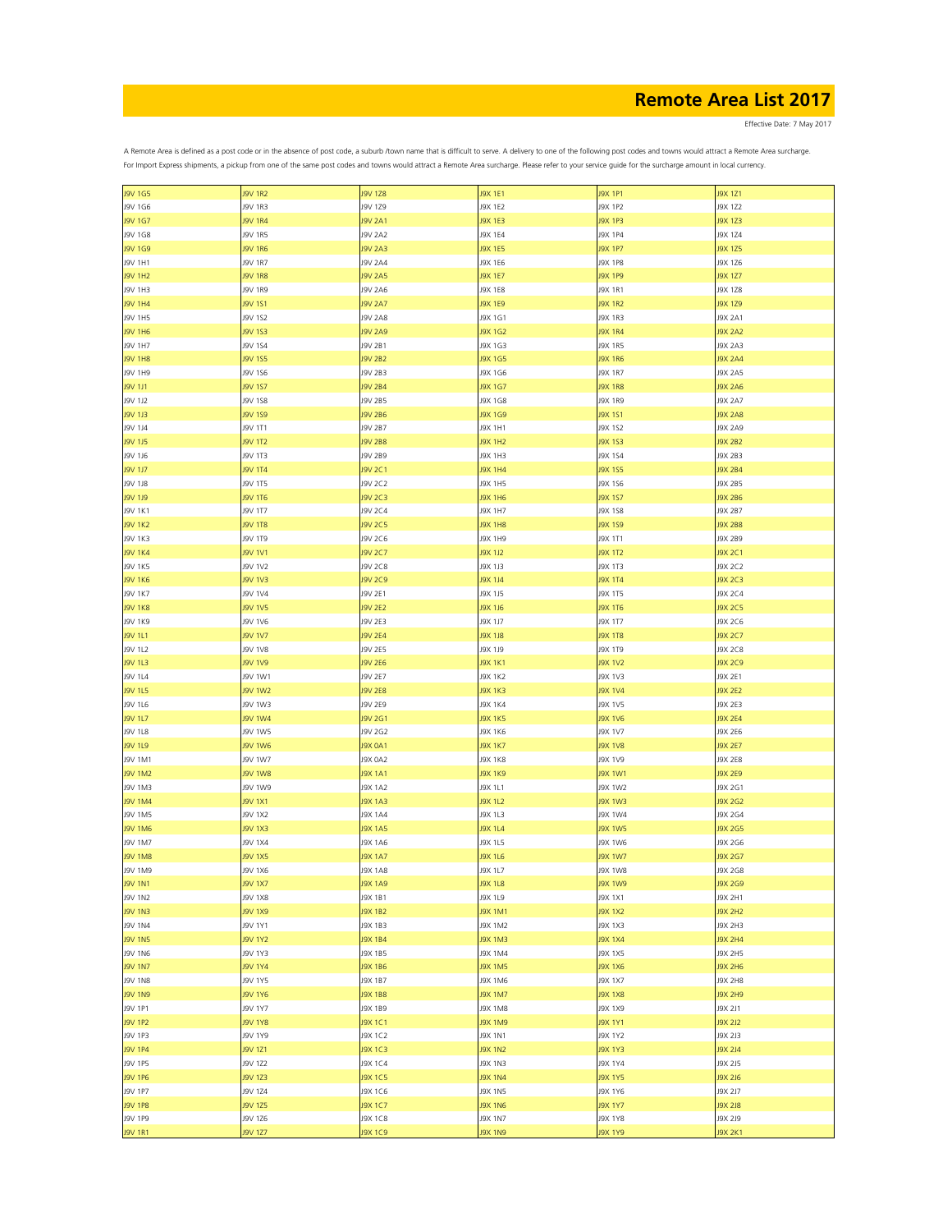Effective Date: 7 May 2017

| <b>J9V 1G5</b> | <b>J9V 1R2</b> | <b>J9V 1Z8</b> | J9X 1E1        | J9X 1P1        | J9X 1Z1        |
|----------------|----------------|----------------|----------------|----------------|----------------|
| J9V 1G6        | J9V 1R3        | J9V 1Z9        | J9X 1E2        | J9X 1P2        | J9X 1Z2        |
| J9V 1G7        | <b>J9V 1R4</b> | <b>J9V 2A1</b> | J9X 1E3        | <b>J9X 1P3</b> | <b>J9X 1Z3</b> |
|                |                |                |                |                |                |
| J9V 1G8        | J9V 1R5        | <b>J9V 2A2</b> | J9X 1E4        | <b>J9X 1P4</b> | J9X 1Z4        |
| J9V 1G9        | <b>J9V 1R6</b> | <b>J9V 2A3</b> | J9X 1E5        | <b>J9X 1P7</b> | <b>J9X 1Z5</b> |
| J9V 1H1        | J9V 1R7        | <b>J9V 2A4</b> | J9X 1E6        | <b>J9X 1P8</b> | J9X 1Z6        |
| <b>J9V 1H2</b> | <b>J9V 1R8</b> | <b>J9V 2A5</b> | J9X 1E7        | J9X 1P9        | J9X 1Z7        |
| J9V 1H3        | J9V 1R9        | <b>J9V 2A6</b> | J9X 1E8        | J9X 1R1        | J9X 1Z8        |
|                |                |                |                |                |                |
| J9V 1H4        | J9V 1S1        | <b>J9V 2A7</b> | J9X 1E9        | <b>J9X 1R2</b> | J9X 1Z9        |
| J9V 1H5        | J9V 1S2        | <b>J9V 2A8</b> | J9X 1G1        | J9X 1R3        | J9X 2A1        |
| J9V 1H6        | J9V 1S3        | <b>J9V 2A9</b> | J9X 1G2        | <b>J9X 1R4</b> | <b>J9X 2A2</b> |
| J9V 1H7        | J9V 1S4        | J9V 2B1        | J9X 1G3        | J9X 1R5        | J9X 2A3        |
|                |                |                |                |                |                |
| <b>J9V 1H8</b> | J9V 1S5        | <b>J9V 2B2</b> | J9X 1G5        | <b>J9X 1R6</b> | <b>J9X 2A4</b> |
| J9V 1H9        | J9V 1S6        | J9V 2B3        | J9X 1G6        | J9X 1R7        | <b>J9X 2A5</b> |
| <b>J9V 1J1</b> | J9V 1S7        | <b>J9V 2B4</b> | J9X 1G7        | <b>J9X 1R8</b> | <b>J9X 2A6</b> |
| J9V 1J2        | J9V 1S8        | J9V 2B5        | J9X 1G8        | J9X 1R9        | <b>J9X 2A7</b> |
| J9V 1J3        | <b>J9V 1S9</b> | <b>J9V 2B6</b> | J9X 1G9        | <b>J9X 1S1</b> | <b>J9X 2A8</b> |
|                |                |                |                |                |                |
| J9V 1J4        | J9V 1T1        | <b>J9V 2B7</b> | J9X 1H1        | J9X 152        | J9X 2A9        |
| <b>J9V 1J5</b> | <b>J9V 1T2</b> | <b>J9V 2B8</b> | <b>J9X 1H2</b> | <b>J9X 1S3</b> | <b>J9X 2B2</b> |
| J9V 1J6        | J9V 1T3        | J9V 2B9        | J9X 1H3        | J9X 154        | J9X 2B3        |
| <b>J9V 1J7</b> | <b>J9V 1T4</b> | <b>J9V 2C1</b> | <b>J9X 1H4</b> | <b>J9X 1S5</b> | <b>J9X 2B4</b> |
| <b>J9V 1J8</b> | J9V 1T5        | J9V 2C2        | <b>J9X 1H5</b> | J9X 1S6        | J9X 2B5        |
|                |                |                |                |                |                |
| J9V 1J9        | <b>J9V 1T6</b> | <b>J9V 2C3</b> | <b>J9X 1H6</b> | <b>J9X 1S7</b> | <b>J9X 2B6</b> |
| J9V 1K1        | J9V 1T7        | J9V 2C4        | J9X 1H7        | J9X 1S8        | J9X 2B7        |
| <b>J9V 1K2</b> | <b>J9V 1T8</b> | <b>J9V 2C5</b> | <b>J9X 1H8</b> | <b>J9X 1S9</b> | <b>J9X 2B8</b> |
| J9V 1K3        | J9V 1T9        | J9V 2C6        | J9X 1H9        | J9X 1T1        | J9X 2B9        |
|                |                |                |                |                |                |
| <b>J9V 1K4</b> | <b>J9V 1V1</b> | <b>J9V 2C7</b> | <b>J9X 1J2</b> | <b>J9X 1T2</b> | J9X 2C1        |
| J9V 1K5        | J9V 1V2        | J9V 2C8        | J9X 1J3        | J9X 1T3        | J9X 2C2        |
| <b>J9V 1K6</b> | <b>J9V 1V3</b> | <b>J9V 2C9</b> | <b>J9X 1J4</b> | <b>J9X 1T4</b> | J9X 2C3        |
| <b>J9V 1K7</b> | J9V 1V4        | J9V 2E1        | J9X 1J5        | J9X 1T5        | J9X 2C4        |
| <b>J9V 1K8</b> | <b>J9V 1V5</b> | <b>J9V 2E2</b> | J9X 1J6        | <b>J9X 1T6</b> | <b>J9X 2C5</b> |
|                |                |                |                |                |                |
| <b>J9V 1K9</b> | J9V 1V6        | J9V 2E3        | J9X 1J7        | J9X 1T7        | J9X 2C6        |
| J9V 1L1        | <b>J9V 1V7</b> | <b>J9V 2E4</b> | <b>J9X 1J8</b> | <b>J9X 1T8</b> | <b>J9X 2C7</b> |
| J9V 1L2        | <b>J9V 1V8</b> | <b>J9V 2E5</b> | J9X 1J9        | J9X 1T9        | J9X 2C8        |
| J9V 1L3        | <b>J9V 1V9</b> | <b>J9V 2E6</b> | <b>J9X 1K1</b> | <b>J9X 1V2</b> | J9X 2C9        |
|                |                |                |                |                |                |
| J9V 1L4        | <b>J9V 1W1</b> | J9V 2E7        | <b>J9X 1K2</b> | J9X 1V3        | J9X 2E1        |
| <b>J9V 1L5</b> | <b>J9V 1W2</b> | <b>J9V 2E8</b> | <b>J9X 1K3</b> | <b>J9X 1V4</b> | <b>J9X 2E2</b> |
| J9V 1L6        | <b>J9V 1W3</b> | J9V 2E9        | J9X 1K4        | J9X 1V5        | J9X 2E3        |
| <b>J9V 1L7</b> | <b>J9V 1W4</b> | <b>J9V 2G1</b> | <b>J9X 1K5</b> | <b>J9X 1V6</b> | <b>J9X 2E4</b> |
| <b>J9V 1L8</b> | J9V 1W5        |                | J9X 1K6        | J9X 1V7        | J9X 2E6        |
|                |                | J9V 2G2        |                |                |                |
| J9V 1L9        | <b>J9V 1W6</b> | <b>J9X 0A1</b> | J9X 1K7        | <b>J9X 1V8</b> | <b>J9X 2E7</b> |
| J9V 1M1        | J9V 1W7        | J9X 0A2        | <b>J9X 1K8</b> | J9X 1V9        | <b>J9X 2E8</b> |
| <b>J9V 1M2</b> | <b>J9V 1W8</b> | <b>J9X 1A1</b> | <b>J9X 1K9</b> | <b>J9X 1W1</b> | <b>J9X 2E9</b> |
| J9V 1M3        | J9V 1W9        | <b>J9X 1A2</b> | J9X 1L1        | J9X 1W2        | J9X 2G1        |
|                |                |                |                |                |                |
| <b>J9V 1M4</b> | <b>J9V 1X1</b> | <b>J9X 1A3</b> | J9X 1L2        | <b>J9X 1W3</b> | J9X 2G2        |
| J9V 1M5        | J9V 1X2        | <b>J9X 1A4</b> | J9X 1L3        | J9X 1W4        | J9X 2G4        |
| <b>J9V 1M6</b> | <b>J9V 1X3</b> | <b>J9X 1A5</b> | <b>J9X 1L4</b> | <b>J9X 1W5</b> | J9X 2G5        |
| J9V 1M7        | <b>J9V 1X4</b> | J9X 1A6        | J9X 1L5        | J9X 1W6        | J9X 2G6        |
| <b>J9V 1M8</b> | <b>J9V 1X5</b> | <b>J9X 1A7</b> | J9X 1L6        | J9X 1W7        | J9X 2G7        |
|                |                |                |                |                |                |
| J9V 1M9        | J9V 1X6        | <b>J9X 1A8</b> | J9X 1L7        | <b>J9X 1W8</b> | J9X 2G8        |
| <b>J9V 1N1</b> | J9V 1X7        | J9X 1A9        | J9X 1L8        | <b>J9X 1W9</b> | J9X 2G9        |
| J9V 1N2        | <b>J9V 1X8</b> | J9X 1B1        | J9X 1L9        | J9X 1X1        | J9X 2H1        |
| <b>J9V 1N3</b> | <b>J9V 1X9</b> | <b>J9X 1B2</b> | J9X 1M1        | <b>J9X 1X2</b> | <b>J9X 2H2</b> |
| J9V 1N4        | J9V 1Y1        | J9X 1B3        | J9X 1M2        | J9X 1X3        | J9X 2H3        |
|                |                |                |                |                |                |
| <b>J9V 1N5</b> | J9V 1Y2        | <b>J9X 1B4</b> | J9X 1M3        | <b>J9X 1X4</b> | <b>J9X 2H4</b> |
| <b>J9V 1N6</b> | J9V 1Y3        | J9X 1B5        | J9X 1M4        | J9X 1X5        | <b>J9X 2H5</b> |
| <b>J9V 1N7</b> | J9V 1Y4        | <b>J9X 1B6</b> | <b>J9X 1M5</b> | <b>J9X 1X6</b> | <b>J9X 2H6</b> |
| <b>J9V 1N8</b> | J9V 1Y5        | J9X 1B7        | J9X 1M6        | <b>J9X 1X7</b> | <b>J9X 2H8</b> |
| <b>J9V 1N9</b> | J9V 1Y6        | <b>J9X 1B8</b> | <b>J9X 1M7</b> | <b>J9X 1X8</b> | <b>J9X 2H9</b> |
|                |                |                |                |                |                |
| J9V 1P1        | J9V 1Y7        | J9X 1B9        | <b>J9X 1M8</b> | J9X 1X9        | J9X 2J1        |
| <b>J9V 1P2</b> | <b>J9V 1Y8</b> | J9X 1C1        | J9X 1M9        | <b>J9X 1Y1</b> | J9X 2J2        |
| J9V 1P3        | J9V 1Y9        | J9X 1C2        | <b>J9X 1N1</b> | J9X 1Y2        | J9X 2J3        |
| <b>J9V 1P4</b> | J9V 1Z1        | J9X 1C3        | <b>J9X 1N2</b> | <b>J9X 1Y3</b> | J9X 2J4        |
|                |                |                |                |                |                |
| J9V 1P5        | J9V 1Z2        | J9X 1C4        | <b>J9X 1N3</b> | J9X 1Y4        | J9X 2J5        |
| <b>J9V 1P6</b> | J9V 1Z3        | <b>J9X 1C5</b> | <b>J9X 1N4</b> | <b>J9X 1Y5</b> | J9X 2J6        |
| <b>J9V 1P7</b> | J9V 1Z4        | J9X 1C6        | <b>J9X 1N5</b> | J9X 1Y6        | J9X 2J7        |
| <b>J9V 1P8</b> | <b>J9V 1Z5</b> | J9X 1C7        | <b>J9X 1N6</b> | <b>J9X 1Y7</b> | <b>J9X 2J8</b> |
| J9V 1P9        | J9V 1Z6        | J9X 1C8        | <b>J9X 1N7</b> | J9X 1Y8        | J9X 2J9        |
|                |                |                |                |                |                |
| <b>J9V 1R1</b> | J9V 1Z7        | J9X 1C9        | <b>J9X 1N9</b> | <b>J9X 1Y9</b> | J9X 2K1        |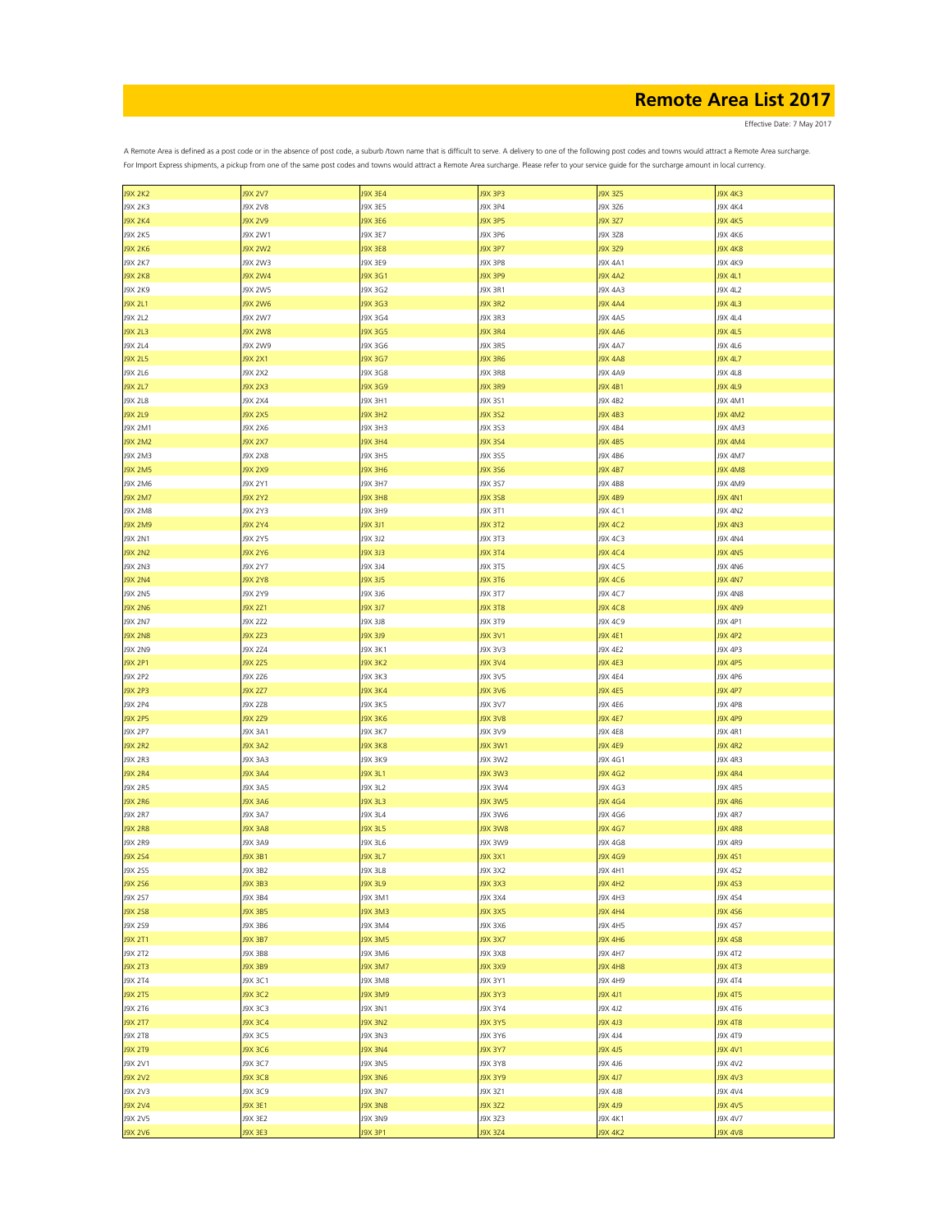Effective Date: 7 May 2017

| <b>J9X 2K2</b> | <b>J9X 2V7</b> | <b>J9X 3E4</b> | J9X 3P3        | J9X 3Z5        | <b>J9X 4K3</b> |
|----------------|----------------|----------------|----------------|----------------|----------------|
| J9X 2K3        | <b>J9X 2V8</b> | J9X 3E5        | J9X 3P4        | J9X 3Z6        | <b>J9X 4K4</b> |
| <b>J9X 2K4</b> | J9X 2V9        | <b>J9X 3E6</b> | J9X 3P5        | <b>J9X 3Z7</b> | <b>J9X 4K5</b> |
|                |                |                |                |                |                |
| J9X 2K5        | J9X 2W1        | J9X 3E7        | J9X 3P6        | J9X 3Z8        | J9X 4K6        |
| <b>J9X 2K6</b> | <b>J9X 2W2</b> | <b>J9X 3E8</b> | J9X 3P7        | J9X 3Z9        | <b>J9X 4K8</b> |
| J9X 2K7        | J9X 2W3        | J9X 3E9        | J9X 3P8        | <b>J9X 4A1</b> | J9X 4K9        |
|                |                |                |                |                |                |
| <b>J9X 2K8</b> | <b>J9X 2W4</b> | <b>J9X 3G1</b> | J9X 3P9        | <b>J9X 4A2</b> | J9X 4L1        |
| J9X 2K9        | J9X 2W5        | J9X 3G2        | J9X 3R1        | J9X 4A3        | J9X 4L2        |
| <b>J9X 2L1</b> | <b>J9X 2W6</b> | J9X 3G3        | <b>J9X 3R2</b> | <b>J9X 4A4</b> | J9X 4L3        |
|                |                |                |                |                |                |
| J9X 2L2        | J9X 2W7        | J9X 3G4        | <b>J9X 3R3</b> | <b>J9X 4A5</b> | <b>J9X 4L4</b> |
| J9X 2L3        | <b>J9X 2W8</b> | J9X 3G5        | <b>J9X 3R4</b> | <b>J9X 4A6</b> | J9X 4L5        |
| J9X 2L4        | J9X 2W9        | J9X 3G6        | J9X 3R5        | <b>J9X 4A7</b> | J9X 4L6        |
| J9X 2L5        | J9X 2X1        | J9X 3G7        | <b>J9X 3R6</b> | <b>J9X 4A8</b> | J9X 4L7        |
|                |                |                |                |                |                |
| J9X 2L6        | J9X 2X2        | J9X 3G8        | J9X 3R8        | J9X 4A9        | J9X 4L8        |
| J9X 2L7        | J9X 2X3        | J9X 3G9        | <b>J9X 3R9</b> | J9X 4B1        | J9X 4L9        |
| J9X 2L8        | J9X 2X4        | J9X 3H1        | J9X 3S1        | J9X 4B2        | J9X 4M1        |
|                |                |                |                |                |                |
| J9X 2L9        | <b>J9X 2X5</b> | <b>J9X 3H2</b> | J9X 3S2        | J9X 4B3        | J9X 4M2        |
| J9X 2M1        | J9X 2X6        | J9X 3H3        | J9X 353        | J9X 4B4        | J9X 4M3        |
| <b>J9X 2M2</b> | J9X 2X7        | <b>J9X 3H4</b> | J9X 354        | J9X 4B5        | <b>J9X 4M4</b> |
|                |                | J9X 3H5        |                | J9X 4B6        |                |
| J9X 2M3        | J9X 2X8        |                | J9X 355        |                | J9X 4M7        |
| <b>J9X 2M5</b> | <b>J9X 2X9</b> | <b>J9X 3H6</b> | J9X 356        | <b>J9X 4B7</b> | <b>J9X 4M8</b> |
| J9X 2M6        | J9X 2Y1        | J9X 3H7        | J9X 357        | <b>J9X 4B8</b> | J9X 4M9        |
| <b>J9X 2M7</b> | J9X 2Y2        | <b>J9X 3H8</b> | J9X 358        | <b>J9X 4B9</b> | <b>J9X 4N1</b> |
|                |                |                |                |                |                |
| <b>J9X 2M8</b> | J9X 2Y3        | J9X 3H9        | J9X 3T1        | J9X 4C1        | <b>J9X 4N2</b> |
| J9X 2M9        | <b>J9X 2Y4</b> | <b>J9X 3J1</b> | <b>J9X 3T2</b> | J9X 4C2        | <b>J9X 4N3</b> |
| J9X 2N1        | J9X 2Y5        | J9X 3J2        | J9X 3T3        | J9X 4C3        | <b>J9X 4N4</b> |
|                |                |                |                |                |                |
| <b>J9X 2N2</b> | <b>J9X 2Y6</b> | <b>J9X 3J3</b> | J9X 3T4        | <b>J9X 4C4</b> | <b>J9X 4N5</b> |
| J9X 2N3        | J9X 2Y7        | J9X 3J4        | J9X 3T5        | J9X 4C5        | <b>J9X 4N6</b> |
| <b>J9X 2N4</b> | <b>J9X 2Y8</b> | <b>J9X 3J5</b> | J9X 3T6        | J9X 4C6        | <b>J9X 4N7</b> |
|                | J9X 2Y9        |                |                |                |                |
| J9X 2N5        |                | J9X 3J6        | J9X 3T7        | J9X 4C7        | <b>J9X 4N8</b> |
| <b>J9X 2N6</b> | J9X 2Z1        | <b>J9X 3J7</b> | <b>J9X 3T8</b> | <b>J9X 4C8</b> | <b>J9X 4N9</b> |
| J9X 2N7        | J9X 2Z2        | J9X 3J8        | J9X 3T9        | J9X 4C9        | J9X 4P1        |
| <b>J9X 2N8</b> | J9X 2Z3        | <b>J9X 3J9</b> | J9X 3V1        | <b>J9X 4E1</b> | <b>J9X 4P2</b> |
|                |                |                |                |                |                |
| J9X 2N9        | J9X 2Z4        | <b>J9X 3K1</b> | J9X 3V3        | <b>J9X 4E2</b> | J9X 4P3        |
| <b>J9X 2P1</b> | J9X 2Z5        | <b>J9X 3K2</b> | J9X 3V4        | <b>J9X 4E3</b> | <b>J9X 4P5</b> |
| J9X 2P2        | J9X 2Z6        | J9X 3K3        | J9X 3V5        | J9X 4E4        | J9X 4P6        |
|                |                |                |                |                |                |
| J9X 2P3        | J9X 2Z7        | <b>J9X 3K4</b> | <b>J9X 3V6</b> | <b>J9X 4E5</b> | J9X 4P7        |
| J9X 2P4        | J9X 2Z8        | <b>J9X 3K5</b> | J9X 3V7        | J9X 4E6        | J9X 4P8        |
| <b>J9X 2P5</b> | <b>J9X 2Z9</b> | <b>J9X 3K6</b> | <b>J9X 3V8</b> | <b>J9X 4E7</b> | J9X 4P9        |
| J9X 2P7        | J9X 3A1        | J9X 3K7        | J9X 3V9        | J9X 4E8        | J9X 4R1        |
|                |                |                |                |                |                |
| <b>J9X 2R2</b> | <b>J9X 3A2</b> | <b>J9X 3K8</b> | <b>J9X 3W1</b> | <b>J9X 4E9</b> | <b>J9X 4R2</b> |
| J9X 2R3        | J9X 3A3        | J9X 3K9        | J9X 3W2        | J9X 4G1        | J9X 4R3        |
| <b>J9X 2R4</b> | <b>J9X 3A4</b> | <b>J9X 3L1</b> | <b>J9X 3W3</b> | <b>J9X 4G2</b> | <b>J9X 4R4</b> |
|                |                |                |                |                |                |
| J9X 2R5        | J9X 3A5        | J9X 3L2        | J9X 3W4        | J9X 4G3        | J9X 4R5        |
| <b>J9X 2R6</b> | <b>J9X 3A6</b> | <b>J9X 3L3</b> | J9X 3W5        | <b>J9X 4G4</b> | <b>J9X 4R6</b> |
| <b>J9X 2R7</b> | J9X 3A7        | <b>J9X 3L4</b> | J9X 3W6        | J9X 4G6        | <b>J9X 4R7</b> |
|                |                |                |                |                |                |
| <b>J9X 2R8</b> | <b>J9X 3A8</b> | J9X 3L5        | <b>J9X 3W8</b> | <b>J9X 4G7</b> | <b>J9X 4R8</b> |
| <b>J9X 2R9</b> | <b>J9X 3A9</b> | J9X 3L6        | J9X 3W9        | J9X 4G8        | <b>J9X 4R9</b> |
| <b>J9X 2S4</b> | J9X 3B1        | <b>J9X 3L7</b> | J9X 3X1        | J9X 4G9        | J9X 451        |
| J9X 2S5        | J9X 3B2        | J9X 3L8        | J9X 3X2        | J9X 4H1        | J9X 4S2        |
|                |                |                |                |                |                |
| <b>J9X 2S6</b> | J9X 3B3        | J9X 3L9        | <b>J9X 3X3</b> | <b>J9X 4H2</b> | <b>J9X 4S3</b> |
| J9X 257        | J9X 3B4        | J9X 3M1        | J9X 3X4        | J9X 4H3        | J9X 4S4        |
| <b>J9X 2S8</b> | J9X 3B5        | J9X 3M3        | <b>J9X 3X5</b> | <b>J9X 4H4</b> | <b>J9X 4S6</b> |
| J9X 2S9        | J9X 3B6        | <b>J9X 3M4</b> | J9X 3X6        | J9X 4H5        | J9X 4S7        |
|                |                |                |                |                |                |
| <b>J9X 2T1</b> | <b>J9X 3B7</b> | <b>J9X 3M5</b> | J9X 3X7        | <b>J9X 4H6</b> | <b>J9X 4S8</b> |
| <b>J9X 2T2</b> | J9X 3B8        | J9X 3M6        | J9X 3X8        | J9X 4H7        | J9X 4T2        |
| <b>J9X 2T3</b> | J9X 3B9        | <b>J9X 3M7</b> | <b>PXE XPL</b> | <b>J9X 4H8</b> | <b>J9X 4T3</b> |
|                |                |                |                |                |                |
| <b>J9X 2T4</b> | J9X 3C1        | J9X 3M8        | J9X 3Y1        | J9X 4H9        | <b>J9X 4T4</b> |
| <b>J9X 2T5</b> | J9X 3C2        | J9X 3M9        | J9X 3Y3        | J9X 4J1        | <b>J9X 4T5</b> |
| J9X 2T6        | J9X 3C3        | <b>J9X 3N1</b> | J9X 3Y4        | J9X 4J2        | J9X 4T6        |
| <b>J9X 2T7</b> | J9X 3C4        | <b>J9X 3N2</b> | <b>J9X 3Y5</b> | <b>J9X 4J3</b> | <b>J9X 4T8</b> |
|                |                |                |                |                |                |
| J9X 2T8        | J9X 3C5        | <b>J9X 3N3</b> | J9X 3Y6        | J9X 4J4        | J9X 4T9        |
| <b>J9X 2T9</b> | J9X 3C6        | <b>J9X 3N4</b> | J9X 3Y7        | J9X 4J5        | J9X 4V1        |
| J9X 2V1        | J9X 3C7        | <b>J9X 3N5</b> | J9X 3Y8        | J9X 4J6        | J9X 4V2        |
|                | <b>J9X3C8</b>  |                |                |                | J9X 4V3        |
| <b>J9X 2V2</b> |                | J9X 3N6        | J9X 3Y9        | J9X 4J7        |                |
| J9X 2V3        | J9X 3C9        | <b>J9X 3N7</b> | J9X 3Z1        | J9X 4J8        | J9X 4V4        |
| <b>J9X 2V4</b> | J9X 3E1        | J9X 3N8        | J9X 3Z2        | J9X 4J9        | <b>J9X 4V5</b> |
| J9X 2V5        | J9X 3E2        | J9X 3N9        | J9X 3Z3        | J9X 4K1        | J9X 4V7        |
|                |                |                |                |                |                |
| <b>J9X 2V6</b> | J9X 3E3        | J9X 3P1        | J9X 3Z4        | <b>J9X 4K2</b> | <b>J9X 4V8</b> |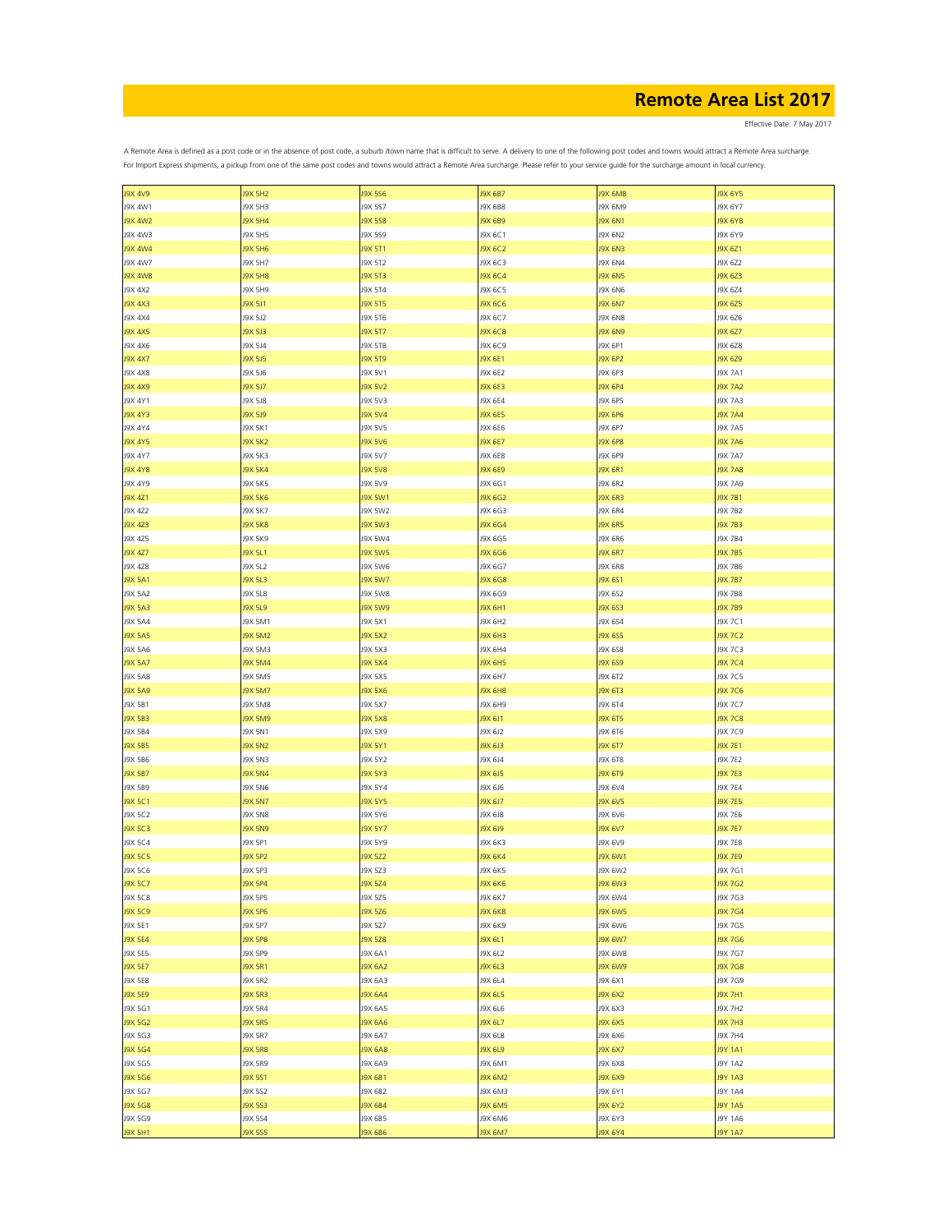Effective Date: 7 May 2017

| <b>J9X 4V9</b> | <b>J9X 5H2</b> | <b>J9X 5S6</b> | J9X 6B7        | J9X 6M8        | J9X 6Y5        |
|----------------|----------------|----------------|----------------|----------------|----------------|
| J9X 4W1        | J9X 5H3        | J9X 557        | J9X 6B8        | J9X 6M9        | J9X 6Y7        |
| <b>J9X 4W2</b> | J9X 5H4        | <b>J9X 5S8</b> | J9X 6B9        | <b>J9X 6N1</b> | <b>J9X 6Y8</b> |
| J9X 4W3        | J9X 5H5        | J9X 559        | J9X 6C1        | J9X 6N2        | J9X 6Y9        |
|                |                |                |                |                |                |
| <b>J9X 4W4</b> | <b>J9X 5H6</b> | <b>J9X 5T1</b> | J9X 6C2        | <b>J9X 6N3</b> | J9X 6Z1        |
| J9X 4W7        | J9X 5H7        | J9X 5T2        | J9X 6C3        | J9X 6N4        | J9X 6Z2        |
| <b>J9X 4W8</b> | <b>J9X 5H8</b> | <b>J9X 5T3</b> | J9X 6C4        | <b>J9X 6N5</b> | J9X 6Z3        |
|                |                |                |                |                |                |
| J9X 4X2        | J9X 5H9        | J9X 5T4        | J9X 6C5        | <b>J9X 6N6</b> | J9X 6Z4        |
| <b>J9X 4X3</b> | J9X 5J1        | <b>J9X 5T5</b> | J9X 6C6        | <b>J9X 6N7</b> | J9X 6Z5        |
| J9X 4X4        | J9X 5J2        | J9X 5T6        | J9X 6C7        | <b>J9X 6N8</b> | J9X 6Z6        |
| J9X 4X5        | J9X 5J3        | J9X 5T7        | J9X 6C8        | <b>J9X 6N9</b> | J9X 6Z7        |
|                |                |                |                |                |                |
| J9X 4X6        | J9X 5J4        | J9X 5T8        | J9X 6C9        | J9X 6P1        | J9X 6Z8        |
| <b>J9X 4X7</b> | J9X 5J5        | <b>J9X 5T9</b> | J9X 6E1        | J9X 6P2        | J9X 6Z9        |
| J9X 4X8        | J9X 5J6        | J9X 5V1        | J9X 6E2        | J9X 6P3        | J9X 7A1        |
|                |                |                |                |                |                |
| J9X 4X9        | J9X 5J7        | <b>J9X 5V2</b> | J9X 6E3        | J9X 6P4        | <b>J9X 7A2</b> |
| J9X 4Y1        | J9X 5J8        | J9X 5V3        | J9X 6E4        | J9X 6P5        | J9X 7A3        |
| J9X 4Y3        | J9X 5J9        | <b>J9X 5V4</b> | J9X 6E5        | J9X 6P6        | <b>J9X 7A4</b> |
| J9X 4Y4        |                | J9X 5V5        |                | J9X 6P7        |                |
|                | J9X 5K1        |                | J9X 6E6        |                | <b>J9X 7A5</b> |
| <b>J9X 4Y5</b> | <b>J9X 5K2</b> | <b>J9X 5V6</b> | J9X 6E7        | <b>J9X 6P8</b> | <b>J9X 7A6</b> |
| J9X 4Y7        | J9X 5K3        | J9X 5V7        | J9X 6E8        | J9X 6P9        | <b>J9X 7A7</b> |
| <b>J9X 4Y8</b> | J9X 5K4        | <b>J9X 5V8</b> | J9X 6E9        | <b>J9X 6R1</b> | <b>J9X 7A8</b> |
|                |                |                |                |                |                |
| J9X 4Y9        | J9X 5K5        | J9X 5V9        | J9X 6G1        | <b>J9X 6R2</b> | <b>J9X 7A9</b> |
| J9X 4Z1        | J9X 5K6        | <b>J9X 5W1</b> | J9X 6G2        | <b>J9X 6R3</b> | J9X 7B1        |
| J9X 4Z2        | J9X 5K7        | J9X 5W2        | J9X 6G3        | <b>J9X 6R4</b> | J9X 7B2        |
|                |                |                |                |                |                |
| J9X 4Z3        | <b>J9X 5K8</b> | <b>J9X 5W3</b> | J9X 6G4        | <b>J9X 6R5</b> | <b>J9X 7B3</b> |
| J9X 4Z5        | J9X 5K9        | J9X 5W4        | J9X 6G5        | <b>J9X 6R6</b> | J9X 7B4        |
| J9X 4Z7        | <b>J9X 5L1</b> | <b>J9X 5W5</b> | J9X 6G6        | <b>J9X 6R7</b> | J9X 7B5        |
| J9X 4Z8        | J9X 5L2        | J9X 5W6        | J9X 6G7        | <b>J9X 6R8</b> | J9X 7B6        |
|                |                |                |                |                |                |
| <b>J9X 5A1</b> | <b>J9X 5L3</b> | <b>J9X 5W7</b> | J9X 6G8        | J9X 6S1        | J9X 7B7        |
| J9X 5A2        | <b>J9X 5L8</b> | <b>J9X 5W8</b> | J9X 6G9        | J9X 6S2        | <b>J9X 7B8</b> |
| <b>J9X 5A3</b> | <b>J9X 5L9</b> | <b>J9X 5W9</b> | J9X 6H1        | J9X 6S3        | <b>J9X 7B9</b> |
|                |                |                |                |                |                |
| J9X 5A4        | J9X 5M1        | J9X 5X1        | J9X 6H2        | J9X 6S4        | J9X 7C1        |
| <b>J9X 5A5</b> | <b>J9X 5M2</b> | <b>J9X 5X2</b> | J9X 6H3        | <b>J9X 6S5</b> | J9X 7C2        |
| J9X 5A6        | J9X 5M3        | J9X 5X3        | J9X 6H4        | J9X 6S8        | J9X 7C3        |
| <b>J9X 5A7</b> | <b>J9X 5M4</b> | <b>J9X 5X4</b> | J9X 6H5        | <b>J9X 6S9</b> | J9X 7C4        |
|                |                |                |                |                |                |
| <b>J9X 5A8</b> | J9X 5M5        | J9X 5X5        | J9X 6H7        | J9X 6T2        | J9X 7C5        |
| J9X 5A9        | <b>J9X 5M7</b> | <b>J9X 5X6</b> | <b>J9X 6H8</b> | J9X 6T3        | J9X 7C6        |
| J9X 5B1        | <b>J9X 5M8</b> | J9X 5X7        | J9X 6H9        | J9X 6T4        | J9X 7C7        |
|                |                |                |                |                |                |
| J9X 5B3        | <b>J9X 5M9</b> | <b>J9X 5X8</b> | J9X 6J1        | J9X 6T5        | J9X 7C8        |
| J9X 5B4        | J9X 5N1        | J9X 5X9        | J9X 6J2        | J9X 6T6        | J9X 7C9        |
| <b>J9X 5B5</b> | <b>J9X 5N2</b> | J9X 5Y1        | J9X 6J3        | J9X 6T7        | J9X 7E1        |
|                |                |                |                |                |                |
| J9X 5B6        | J9X 5N3        | J9X 5Y2        | J9X 6J4        | J9X 6T8        | J9X 7E2        |
| <b>J9X 5B7</b> | <b>J9X 5N4</b> | <b>J9X 5Y3</b> | J9X 6J5        | <b>J9X 6T9</b> | J9X 7E3        |
| J9X 5B9        | J9X 5N6        | J9X 5Y4        | J9X 6J6        | J9X 6V4        | J9X 7E4        |
| J9X 5C1        | <b>J9X 5N7</b> | <b>J9X 5Y5</b> | J9X 6J7        | <b>J9X 6V5</b> | <b>J9X 7E5</b> |
|                |                |                |                |                |                |
| J9X 5C2        | <b>J9X 5N8</b> | J9X 5Y6        | J9X 6J8        | J9X 6V6        | J9X 7E6        |
| J9X 5C3        | <b>J9X 5N9</b> | <b>J9X 5Y7</b> | <b>PIS XPL</b> | J9X 6V7        | <b>J9X 7E7</b> |
| J9X 5C4        | J9X 5P1        | J9X 5Y9        | J9X 6K3        | J9X 6V9        | <b>J9X 7E8</b> |
| <b>J9X 5C5</b> | J9X 5P2        | J9X 5Z2        | J9X 6K4        | J9X 6W1        | J9X 7E9        |
|                |                |                |                |                |                |
| J9X 5C6        | J9X 5P3        | J9X 5Z3        | J9X 6K5        | J9X 6W2        | J9X 7G1        |
| <b>J9X 5C7</b> | J9X 5P4        | <b>J9X 5Z4</b> | <b>J9X 6K6</b> | <b>J9X 6W3</b> | J9X 7G2        |
| J9X 5C8        | J9X 5P5        | J9X 5Z5        | J9X 6K7        | J9X 6W4        | J9X 7G3        |
|                |                |                |                |                |                |
| <b>J9X 5C9</b> | J9X 5P6        | J9X 5Z6        | <b>J9X 6K8</b> | <b>J9X 6W5</b> | <b>J9X 7G4</b> |
| J9X 5E1        | J9X 5P7        | J9X 5Z7        | J9X 6K9        | J9X 6W6        | J9X 7G5        |
| <b>J9X 5E4</b> | <b>J9X 5P8</b> | <b>J9X 5Z8</b> | J9X 6L1        | <b>J9X 6W7</b> | J9X 7G6        |
| J9X 5E5        | J9X 5P9        | J9X 6A1        | J9X 6L2        | <b>J9X 6W8</b> | J9X 7G7        |
|                |                |                |                |                |                |
| <b>J9X 5E7</b> | J9X 5R1        | <b>J9X 6A2</b> | J9X 6L3        | <b>J9X 6W9</b> | <b>J9X7G8</b>  |
| J9X 5E8        | <b>J9X 5R2</b> | J9X 6A3        | J9X 6L4        | J9X 6X1        | J9X 7G9        |
| <b>J9X 5E9</b> | <b>J9X 5R3</b> | <b>J9X 6A4</b> | J9X 6L5        | <b>J9X 6X2</b> | <b>J9X 7H1</b> |
|                |                |                |                |                |                |
| J9X 5G1        | <b>J9X 5R4</b> | J9X 6A5        | J9X 6L6        | J9X 6X3        | <b>J9X 7H2</b> |
| J9X 5G2        | <b>J9X 5R5</b> | <b>J9X 6A6</b> | J9X 6L7        | <b>J9X 6X5</b> | <b>J9X 7H3</b> |
| J9X 5G3        | <b>J9X 5R7</b> | J9X 6A7        | J9X 6L8        | J9X 6X6        | <b>J9X 7H4</b> |
| J9X 5G4        | <b>J9X 5R8</b> | <b>J9X 6A8</b> | J9X 6L9        | J9X 6X7        | <b>J9Y 1A1</b> |
|                |                |                |                |                |                |
| J9X 5G5        | J9X 5R9        | J9X 6A9        | J9X 6M1        | J9X 6X8        | J9Y 1A2        |
| J9X 5G6        | J9X 5S1        | J9X 6B1        | J9X 6M2        | J9X 6X9        | J9Y 1A3        |
| J9X 5G7        | J9X 552        | J9X 6B2        | J9X 6M3        | J9X 6Y1        | <b>J9Y 1A4</b> |
|                |                |                |                |                |                |
| <b>J9X 5G8</b> | J9X 553        | J9X 6B4        | J9X 6M5        | J9X 6Y2        | J9Y 1A5        |
| J9X 5G9        | J9X 5S4        | J9X 6B5        | J9X 6M6        | J9X 6Y3        | J9Y 1A6        |
| <b>J9X 5H1</b> | J9X 5S5        | J9X 6B6        | J9X 6M7        | J9X 6Y4        | J9Y 1A7        |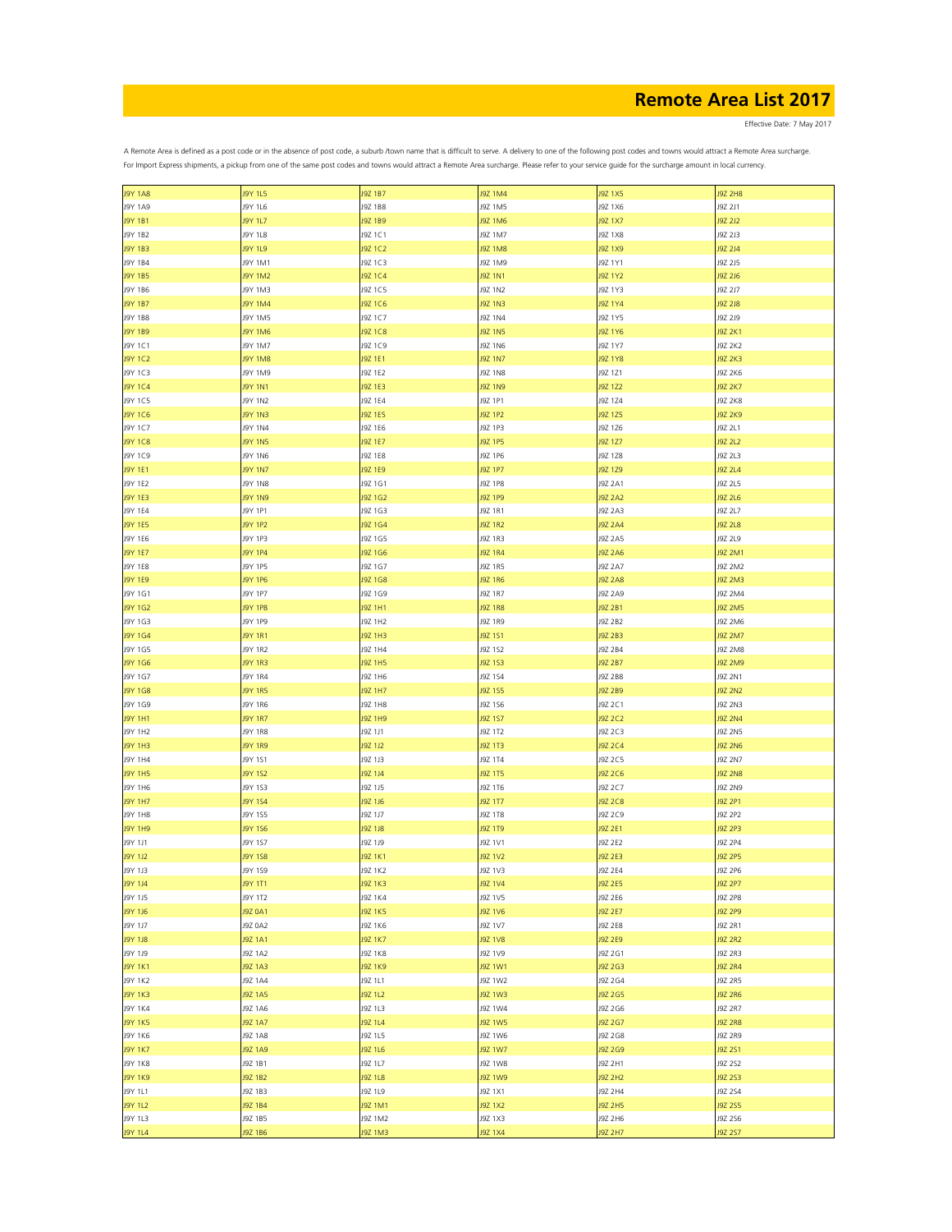Effective Date: 7 May 2017

| <b>J9Y 1A8</b> | J9Y 1L5        | J9Z 1B7        | <b>J9Z 1M4</b> | <b>J9Z 1X5</b> | <b>J9Z 2H8</b> |
|----------------|----------------|----------------|----------------|----------------|----------------|
| J9Y 1A9        | J9Y 1L6        | J9Z 1B8        | J9Z 1M5        | J9Z 1X6        | J9Z 2J1        |
|                |                |                |                |                |                |
| J9Y 1B1        | J9Y 1L7        | J9Z 1B9        | J9Z 1M6        | J9Z 1X7        | J9Z 2J2        |
| J9Y 1B2        | J9Y 1L8        | J9Z 1C1        | J9Z 1M7        | J9Z 1X8        | J9Z 2J3        |
|                |                |                |                |                |                |
| J9Y 1B3        | J9Y 1L9        | J9Z 1C2        | <b>J9Z 1M8</b> | J9Z 1X9        | J9Z 2J4        |
| J9Y 1B4        | J9Y 1M1        | J9Z 1C3        | J9Z 1M9        | J9Z 1Y1        | J9Z 2J5        |
| J9Y 1B5        | J9Y 1M2        | J9Z 1C4        | J9Z 1N1        | J9Z 1Y2        | J9Z 2J6        |
|                |                |                |                |                |                |
| J9Y 1B6        | J9Y 1M3        | J9Z 1C5        | J9Z 1N2        | J9Z 1Y3        | J9Z 2J7        |
| J9Y 1B7        | J9Y 1M4        | J9Z 1C6        | J9Z 1N3        | J9Z 1Y4        | J9Z 2J8        |
| J9Y 1B8        | J9Y 1M5        | J9Z 1C7        | J9Z 1N4        | J9Z 1Y5        | J9Z 2J9        |
|                |                |                |                |                |                |
| J9Y 1B9        | J9Y 1M6        | J9Z 1C8        | J9Z 1N5        | J9Z 1Y6        | J9Z 2K1        |
| J9Y 1C1        | J9Y 1M7        | J9Z 1C9        | J9Z 1N6        | J9Z 1Y7        | J9Z 2K2        |
| J9Y 1C2        | <b>J9Y 1M8</b> | J9Z 1E1        | <b>J9Z 1N7</b> | J9Z 1Y8        | <b>J9Z 2K3</b> |
|                |                |                |                |                |                |
| J9Y 1C3        | J9Y 1M9        | J9Z 1E2        | J9Z 1N8        | J9Z 1Z1        | J9Z 2K6        |
| J9Y 1C4        | J9Y 1N1        | J9Z 1E3        | J9Z 1N9        | J9Z 1Z2        | <b>J9Z 2K7</b> |
|                | <b>J9Y 1N2</b> |                |                |                |                |
| J9Y 1C5        |                | J9Z 1E4        | J9Z 1P1        | J9Z 1Z4        | J9Z 2K8        |
| J9Y 1C6        | J9Y 1N3        | J9Z 1E5        | J9Z 1P2        | J9Z 1Z5        | <b>J9Z 2K9</b> |
| J9Y 1C7        | J9Y 1N4        | J9Z 1E6        | J9Z 1P3        | J9Z 1Z6        | J9Z 2L1        |
|                |                |                |                |                |                |
| <b>J9Y 1C8</b> | <b>J9Y 1N5</b> | J9Z 1E7        | J9Z 1P5        | J9Z 1Z7        | J9Z 2L2        |
| J9Y 1C9        | J9Y 1N6        | J9Z 1E8        | J9Z 1P6        | J9Z 1Z8        | J9Z 2L3        |
| J9Y 1E1        | <b>J9Y 1N7</b> | J9Z 1E9        | J9Z 1P7        | J9Z 1Z9        | J9Z 2L4        |
|                |                |                |                |                |                |
| J9Y 1E2        | <b>J9Y 1N8</b> | J9Z 1G1        | J9Z 1P8        | J9Z 2A1        | J9Z 2L5        |
| <b>J9Y 1E3</b> | <b>J9Y 1N9</b> | J9Z 1G2        | J9Z 1P9        | <b>J9Z 2A2</b> | <b>J9Z 2L6</b> |
| J9Y 1E4        | J9Y 1P1        | J9Z 1G3        | J9Z 1R1        | J9Z 2A3        | J9Z 2L7        |
|                |                |                |                |                |                |
| J9Y 1E5        | J9Y 1P2        | J9Z 1G4        | J9Z 1R2        | <b>J9Z 2A4</b> | <b>J9Z 2L8</b> |
| J9Y 1E6        | J9Y 1P3        | J9Z 1G5        | J9Z 1R3        | J9Z 2A5        | J9Z 2L9        |
|                |                |                |                |                |                |
| J9Y 1E7        | <b>J9Y 1P4</b> | J9Z 1G6        | <b>J9Z 1R4</b> | <b>J9Z 2A6</b> | <b>J9Z 2M1</b> |
| J9Y 1E8        | J9Y 1P5        | J9Z 1G7        | J9Z 1R5        | J9Z 2A7        | J9Z 2M2        |
| J9Y 1E9        | J9Y 1P6        | J9Z 1G8        | <b>J9Z 1R6</b> | <b>J9Z 2A8</b> | <b>J9Z 2M3</b> |
|                |                |                |                |                |                |
| J9Y 1G1        | J9Y 1P7        | J9Z 1G9        | J9Z 1R7        | J9Z 2A9        | J9Z 2M4        |
| J9Y 1G2        | <b>J9Y 1P8</b> | J9Z 1H1        | <b>J9Z 1R8</b> | J9Z 2B1        | <b>J9Z 2M5</b> |
|                |                |                |                |                | J9Z 2M6        |
| J9Y 1G3        | J9Y 1P9        | J9Z 1H2        | J9Z 1R9        | J9Z 2B2        |                |
| J9Y 1G4        | J9Y 1R1        | J9Z 1H3        | J9Z 1S1        | J9Z 2B3        | <b>J9Z 2M7</b> |
| J9Y 1G5        | J9Y 1R2        | J9Z 1H4        | J9Z 1S2        | J9Z 2B4        | J9Z 2M8        |
|                |                |                |                |                |                |
| J9Y 1G6        | <b>J9Y 1R3</b> | J9Z 1H5        | J9Z 1S3        | J9Z 2B7        | <b>J9Z 2M9</b> |
| J9Y 1G7        | J9Y 1R4        | J9Z 1H6        | J9Z 1S4        | J9Z 2B8        | J9Z 2N1        |
| J9Y 1G8        | J9Y 1R5        | J9Z 1H7        | J9Z 1S5        | J9Z 2B9        | <b>J9Z 2N2</b> |
|                |                |                |                |                |                |
| J9Y 1G9        | J9Y 1R6        | J9Z 1H8        | J9Z 1S6        | J9Z 2C1        | J9Z 2N3        |
| J9Y 1H1        | <b>J9Y 1R7</b> | <b>J9Z 1H9</b> | J9Z 1S7        | J9Z 2C2        | <b>J9Z 2N4</b> |
| J9Y 1H2        | J9Y 1R8        | J9Z 1J1        | J9Z 1T2        | J9Z 2C3        | J9Z 2N5        |
|                |                |                |                |                |                |
| J9Y 1H3        | <b>J9Y 1R9</b> | J9Z 1J2        | J9Z 1T3        | J9Z 2C4        | <b>J9Z 2N6</b> |
| J9Y 1H4        | J9Y 1S1        | J9Z 1J3        | J9Z 1T4        | J9Z 2C5        | J9Z 2N7        |
|                |                |                |                |                |                |
| <b>J9Y 1H5</b> | <b>J9Y 1S2</b> | J9Z 1J4        | J9Z 1T5        | J9Z 2C6        | <b>J9Z 2N8</b> |
| J9Y 1H6        | J9Y 1S3        | J9Z 1J5        | J9Z 1T6        | J9Z 2C7        | J9Z 2N9        |
| <b>J9Y 1H7</b> | J9Y 1S4        | J9Z 1J6        | J9Z 1T7        | J9Z 2C8        | J9Z 2P1        |
|                |                |                |                |                |                |
| <b>J9Y 1H8</b> | J9Y 1S5        | J9Z 1J7        | J9Z 1T8        | J9Z 2C9        | J9Z 2P2        |
| <b>J9Y 1H9</b> | <b>J9Y 1S6</b> | J9Z 1J8        | J9Z 1T9        | J9Z 2E1        | J9Z 2P3        |
| J9Y 1J1        | J9Y 1S7        | J9Z 1J9        | J9Z 1V1        | J9Z 2E2        | J9Z 2P4        |
|                |                |                |                |                |                |
| J9Y 1J2        | <b>J9Y 1S8</b> | J9Z 1K1        | <b>J9Z 1V2</b> | J9Z 2E3        | J9Z 2P5        |
| J9Y 1J3        | J9Y 1S9        | J9Z 1K2        | J9Z 1V3        | J9Z 2E4        | J9Z 2P6        |
| J9Y 1J4        | J9Y 1T1        | <b>J9Z 1K3</b> | J9Z 1V4        | <b>J9Z 2E5</b> | <b>J9Z 2P7</b> |
|                |                |                |                |                |                |
| J9Y 1J5        | J9Y 1T2        | J9Z 1K4        | J9Z 1V5        | J9Z 2E6        | J9Z 2P8        |
| <b>J9Y 1J6</b> | <b>J9Z 0A1</b> | <b>J9Z 1K5</b> | J9Z 1V6        | <b>J9Z 2E7</b> | J9Z 2P9        |
| J9Y 1J7        | J9Z 0A2        | J9Z 1K6        | J9Z 1V7        | J9Z 2E8        | J9Z 2R1        |
|                |                |                |                |                |                |
| <b>J9Y 1J8</b> | J9Z 1A1        | <b>J9Z 1K7</b> | J9Z 1V8        | <b>J9Z 2E9</b> | <b>J9Z 2R2</b> |
| J9Y 1J9        | J9Z 1A2        | J9Z 1K8        | J9Z 1V9        | J9Z 2G1        | J9Z 2R3        |
| <b>J9Y 1K1</b> | J9Z 1A3        | <b>J9Z 1K9</b> | J9Z 1W1        | J9Z 2G3        | <b>J9Z 2R4</b> |
|                |                |                |                |                |                |
| J9Y 1K2        | J9Z 1A4        | J9Z 1L1        | J9Z 1W2        | J9Z 2G4        | J9Z 2R5        |
| <b>J9Y 1K3</b> | J9Z 1A5        | <b>J9Z 1L2</b> | J9Z 1W3        | J9Z 2G5        | <b>J9Z 2R6</b> |
| <b>J9Y 1K4</b> | J9Z 1A6        | J9Z 1L3        | J9Z 1W4        | J9Z 2G6        | J9Z 2R7        |
|                |                |                |                |                |                |
| <b>J9Y 1K5</b> | J9Z 1A7        | <b>J9Z 1L4</b> | J9Z 1W5        | J9Z 2G7        | <b>J9Z 2R8</b> |
| J9Y 1K6        | J9Z 1A8        | J9Z 1L5        | J9Z 1W6        | J9Z 2G8        | J9Z 2R9        |
|                |                |                |                |                |                |
| <b>J9Y 1K7</b> | J9Z 1A9        | J9Z 1L6        | J9Z 1W7        | J9Z 2G9        | J9Z 2S1        |
| <b>J9Y 1K8</b> | J9Z 1B1        | J9Z 1L7        | J9Z 1W8        | J9Z 2H1        | J9Z 2S2        |
| <b>J9Y 1K9</b> | J9Z 1B2        | J9Z 1L8        | J9Z 1W9        | J9Z 2H2        | J9Z 2S3        |
|                |                |                |                |                |                |
| J9Y 1L1        | J9Z 1B3        | J9Z 1L9        | J9Z 1X1        | J9Z 2H4        | J9Z 2S4        |
| <b>J9Y 1L2</b> | J9Z 1B4        | J9Z 1M1        | <b>J9Z 1X2</b> | <b>J9Z 2H5</b> | J9Z 2S5        |
| J9Y 1L3        | J9Z 1B5        | J9Z 1M2        | J9Z 1X3        | J9Z 2H6        | J9Z 2S6        |
|                |                |                |                |                |                |
| <b>J9Y 1L4</b> | J9Z 1B6        | J9Z 1M3        | J9Z 1X4        | J9Z 2H7        | J9Z 257        |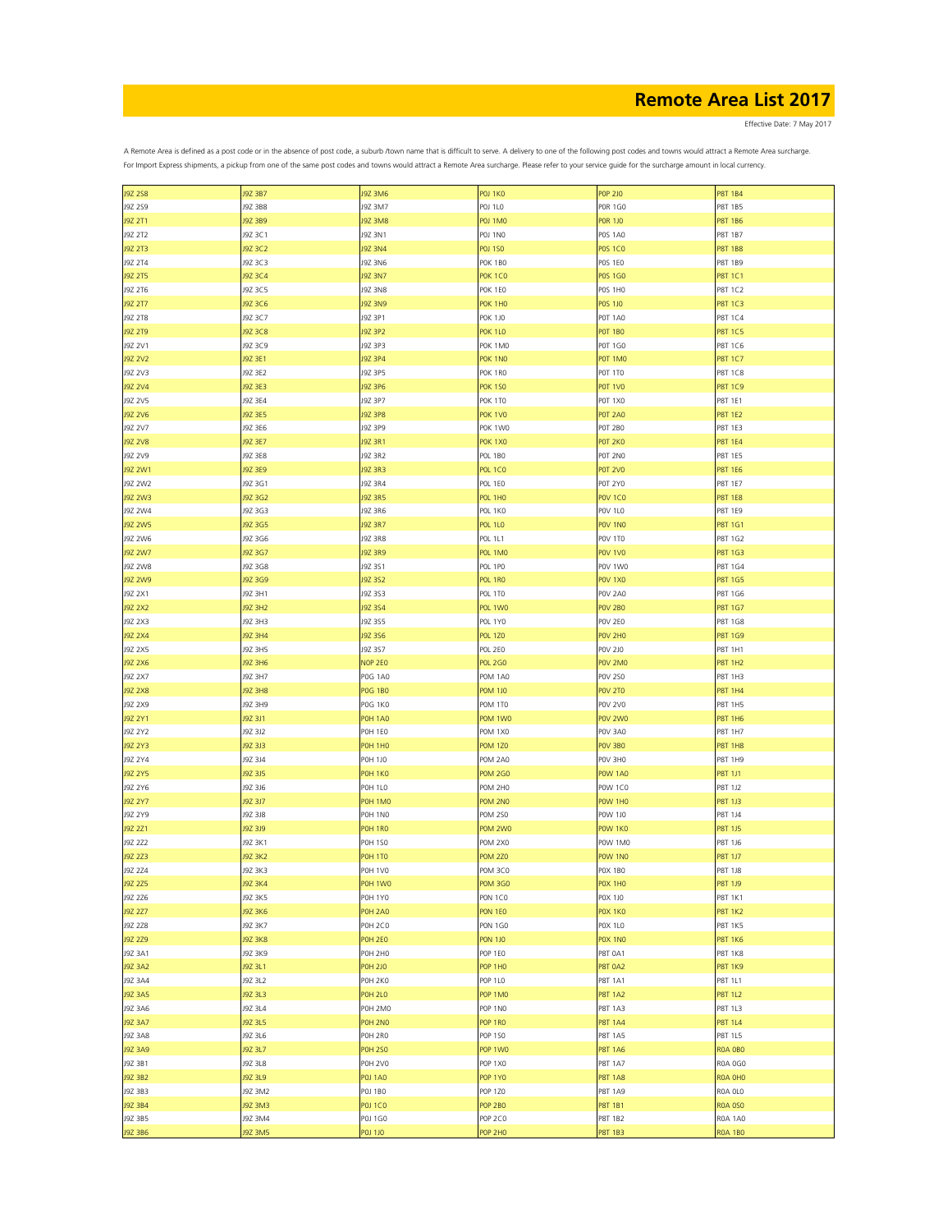Effective Date: 7 May 2017

| <b>J9Z 2S8</b> | J9Z 3B7        | <b>J9Z 3M6</b>     | POJ 1KO        | <b>POP 2JO</b>     | <b>P8T 1B4</b> |
|----------------|----------------|--------------------|----------------|--------------------|----------------|
| J9Z 2S9        | J9Z 3B8        | J9Z 3M7            | POJ 1LO        | <b>POR 1GO</b>     | P8T 1B5        |
| J9Z 2T1        | J9Z 3B9        | <b>J9Z 3M8</b>     | <b>POJ 1MO</b> | <b>POR 1JO</b>     | P8T 1B6        |
| J9Z 2T2        | J9Z 3C1        | J9Z 3N1            | POJ 1NO        | <b>POS 1A0</b>     | P8T 1B7        |
|                |                |                    |                |                    |                |
| J9Z 2T3        | J9Z 3C2        | <b>J9Z 3N4</b>     | <b>POJ 1SO</b> | <b>POS 1CO</b>     | <b>P8T 1B8</b> |
| J9Z 2T4        | J9Z 3C3        | J9Z 3N6            | POK 1BO        | <b>POS 1EO</b>     | P8T 1B9        |
| J9Z 2T5        | J9Z 3C4        | <b>J9Z 3N7</b>     | <b>POK 1CO</b> | <b>POS 1GO</b>     | <b>P8T 1C1</b> |
| J9Z 2T6        | J9Z 3C5        | <b>J9Z 3N8</b>     | POK 1EO        | POS 1HO            | P8T 1C2        |
| J9Z 2T7        | J9Z 3C6        | <b>J9Z 3N9</b>     | POK 1HO        |                    | <b>P8T 1C3</b> |
|                |                |                    |                | <b>POS 1JO</b>     |                |
| J9Z 2T8        | J9Z 3C7        | J9Z 3P1            | <b>POK 1JO</b> | <b>POT 1A0</b>     | P8T 1C4        |
| J9Z 2T9        | J9Z 3C8        | J9Z 3P2            | <b>POK 1LO</b> | <b>POT 1BO</b>     | <b>P8T 1C5</b> |
| J9Z 2V1        | J9Z 3C9        | J9Z 3P3            | POK 1MO        | P0T 1G0            | P8T 1C6        |
| J9Z 2V2        | J9Z 3E1        | J9Z 3P4            | POK 1NO        | POT 1MO            | <b>P8T 1C7</b> |
| J9Z 2V3        | J9Z 3E2        | J9Z 3P5            | POK 1RO        | POT 1TO            | P8T 1C8        |
|                |                |                    |                |                    |                |
| J9Z 2V4        | J9Z 3E3        | J9Z 3P6            | <b>POK 150</b> | POT 1VO            | P8T 1C9        |
| J9Z 2V5        | J9Z 3E4        | J9Z 3P7            | POK 1TO        | POT 1X0            | P8T 1E1        |
| J9Z 2V6        | J9Z 3E5        | <b>J9Z 3P8</b>     | <b>POK 1VO</b> | <b>POT 2A0</b>     | <b>P8T 1E2</b> |
| J9Z 2V7        | J9Z 3E6        | J9Z 3P9            | POK 1WO        | <b>POT 2BO</b>     | P8T 1E3        |
| <b>J9Z 2V8</b> | J9Z 3E7        | J9Z 3R1            | <b>POK 1X0</b> | POT 2KO            | <b>P8T 1E4</b> |
|                |                |                    |                |                    |                |
| J9Z 2V9        | J9Z 3E8        | J9Z 3R2            | POL 1BO        | POT 2NO            | P8T 1E5        |
| J9Z 2W1        | J9Z 3E9        | J9Z 3R3            | <b>POL 1CO</b> | <b>POT 2VO</b>     | <b>P8T 1E6</b> |
| J9Z 2W2        | J9Z 3G1        | J9Z 3R4            | POL 1EO        | <b>POT 2YO</b>     | P8T 1E7        |
| J9Z 2W3        | J9Z 3G2        | <b>J9Z 3R5</b>     | <b>POL 1HO</b> | <b>POV 1CO</b>     | <b>P8T 1E8</b> |
| J9Z 2W4        | J9Z 3G3        | J9Z 3R6            | POL 1KO        | <b>POV 1L0</b>     | P8T 1E9        |
|                |                |                    |                |                    |                |
| <b>J9Z 2W5</b> | J9Z 3G5        | <b>J9Z 3R7</b>     | <b>POL 1LO</b> | POV <sub>1NO</sub> | P8T 1G1        |
| J9Z 2W6        | J9Z 3G6        | J9Z 3R8            | POL 1L1        | POV 1TO            | P8T 1G2        |
| J9Z 2W7        | J9Z 3G7        | <b>J9Z 3R9</b>     | POL 1MO        | <b>POV 1VO</b>     | P8T 1G3        |
| J9Z 2W8        | J9Z 3G8        | J9Z 3S1            | POL 1PO        | POV 1W0            | P8T 1G4        |
| J9Z 2W9        | J9Z 3G9        | J9Z 3S2            | POL 1RO        | <b>POV 1X0</b>     | <b>P8T 1G5</b> |
|                |                |                    |                |                    |                |
| J9Z 2X1        | J9Z 3H1        | J9Z 3S3            | POL 1TO        | POV 2A0            | P8T 1G6        |
| <b>J9Z 2X2</b> | J9Z 3H2        | J9Z 3S4            | POL 1WO        | <b>POV 2B0</b>     | <b>P8T 1G7</b> |
| J9Z 2X3        | J9Z 3H3        | J9Z 3S5            | POL 1YO        | POV 2E0            | P8T 1G8        |
| <b>J9Z 2X4</b> | J9Z 3H4        | J9Z 3S6            | <b>POL 1Z0</b> | POV <sub>2H0</sub> | P8T 1G9        |
| J9Z 2X5        | J9Z 3H5        | J9Z 3S7            | POL 2EO        | <b>POV 2J0</b>     | P8T 1H1        |
|                |                |                    |                |                    |                |
| <b>J9Z 2X6</b> | J9Z 3H6        | NOP 2EO            | <b>POL 2GO</b> | POV 2MO            | <b>P8T 1H2</b> |
| J9Z 2X7        | J9Z 3H7        | <b>POG 1A0</b>     | POM 1A0        | <b>POV 2SO</b>     | P8T 1H3        |
| <b>J9Z 2X8</b> | J9Z 3H8        | <b>POG 1BO</b>     | <b>POM 1JO</b> | POV 2TO            | <b>P8T 1H4</b> |
| J9Z 2X9        | J9Z 3H9        | <b>POG 1KO</b>     | POM 1TO        | <b>POV 2V0</b>     | P8T 1H5        |
| J9Z 2Y1        | J9Z 3J1        | <b>POH 1A0</b>     | POM 1WO        | POV 2WO            | <b>P8T 1H6</b> |
|                |                |                    |                |                    |                |
| J9Z 2Y2        | J9Z 3J2        | POH 1EO            | POM 1X0        | POV 3A0            | P8T 1H7        |
| J9Z 2Y3        | J9Z 3J3        | POH 1HO            | <b>POM 1Z0</b> | POV 3BO            | <b>P8T 1H8</b> |
| J9Z 2Y4        | J9Z 3J4        | POH 1JO            | POM 2A0        | POV 3HO            | P8T 1H9        |
| J9Z 2Y5        | J9Z 3J5        | POH <sub>1KO</sub> | <b>POM 2G0</b> | <b>POW 1A0</b>     | P8T 1J1        |
| J9Z 2Y6        | J9Z 3J6        | <b>POH 1LO</b>     | POM 2HO        | POW 1CO            | P8T 1J2        |
|                |                |                    |                |                    |                |
| J9Z 2Y7        | J9Z 3J7        | POH 1MO            | POM 2NO        | POW 1HO            | P8T 1J3        |
| J9Z 2Y9        | J9Z 3J8        | POH 1NO            | <b>POM 2SO</b> | POW 1J0            | P8T 1J4        |
| J9Z 2Z1        | J9Z 3J9        | POH 1RO            | POM 2WO        | POW 1KO            | P8T 1J5        |
| J9Z 2Z2        | J9Z 3K1        | <b>POH 1SO</b>     | POM 2X0        | POW 1M0            | P8T 1J6        |
| J9Z 2Z3        | <b>J9Z 3K2</b> | POH <sub>1TO</sub> | <b>POM 2Z0</b> | POW 1NO            | <b>P8T 1J7</b> |
|                |                |                    |                |                    |                |
| J9Z 2Z4        | J9Z 3K3        | POH 1VO            | POM 3CO        | POX 1BO            | P8T 1J8        |
| J9Z 2Z5        | J9Z 3K4        | POH 1WO            | <b>POM 3GO</b> | POX 1HO            | P8T 1J9        |
| J9Z 2Z6        | J9Z 3K5        | POH 1YO            | PON 1CO        | POX 1J0            | <b>P8T 1K1</b> |
| J9Z 2Z7        | <b>J9Z 3K6</b> | <b>POH 2A0</b>     | PON 1EO        | POX 1KO            | <b>P8T 1K2</b> |
| J9Z 2Z8        | J9Z 3K7        | <b>POH 2CO</b>     | <b>PON 1GO</b> | <b>POX 1L0</b>     | <b>P8T 1K5</b> |
| J9Z 2Z9        | <b>J9Z 3K8</b> | <b>POH 2E0</b>     | <b>PON 1JO</b> | POX 1NO            | <b>P8T 1K6</b> |
|                |                |                    |                |                    |                |
| J9Z 3A1        | J9Z 3K9        | POH 2HO            | POP 1EO        | P8T 0A1            | <b>P8T 1K8</b> |
| <b>J9Z 3A2</b> | J9Z 3L1        | <b>POH 2JO</b>     | <b>POP 1HO</b> | <b>P8T 0A2</b>     | <b>P8T 1K9</b> |
| J9Z 3A4        | J9Z 3L2        | POH 2KO            | POP 1LO        | P8T 1A1            | P8T 1L1        |
| <b>J9Z 3A5</b> | J9Z 3L3        | <b>POH 2LO</b>     | <b>POP 1MO</b> | <b>P8T 1A2</b>     | <b>P8T 1L2</b> |
| J9Z 3A6        | J9Z 3L4        | POH 2MO            | POP 1NO        | P8T 1A3            | P8T 1L3        |
|                |                |                    |                |                    |                |
| <b>J9Z 3A7</b> | J9Z 3L5        | POH 2NO            | POP 1RO        | <b>P8T 1A4</b>     | <b>P8T 1L4</b> |
| J9Z 3A8        | J9Z 3L6        | POH 2RO            | POP 1SO        | P8T 1A5            | P8T 1L5        |
| J9Z 3A9        | J9Z 3L7        | <b>POH 250</b>     | POP 1WO        | <b>P8T 1A6</b>     | ROA OBO        |
| J9Z 3B1        | J9Z 3L8        | <b>POH 2VO</b>     | POP 1X0        | P8T 1A7            | R0A 0G0        |
| J9Z 3B2        | J9Z 3L9        | <b>POJ 1A0</b>     | <b>POP 1YO</b> | <b>P8T 1A8</b>     | ROA OHO        |
|                |                |                    |                |                    |                |
| J9Z 3B3        | J9Z 3M2        | <b>POJ 1BO</b>     | POP 1Z0        | P8T 1A9            | ROA OLO        |
| J9Z 3B4        | J9Z 3M3        | <b>POJ 1CO</b>     | <b>POP 2BO</b> | P8T 1B1            | <b>ROA 0S0</b> |
| J9Z 3B5        | J9Z 3M4        | P0J 1G0            | POP 2CO        | P8T 1B2            | <b>ROA 1A0</b> |
| J9Z 3B6        | <b>J9Z 3M5</b> | POJ 1JO            | POP 2HO        | <b>P8T 1B3</b>     | <b>ROA 1BO</b> |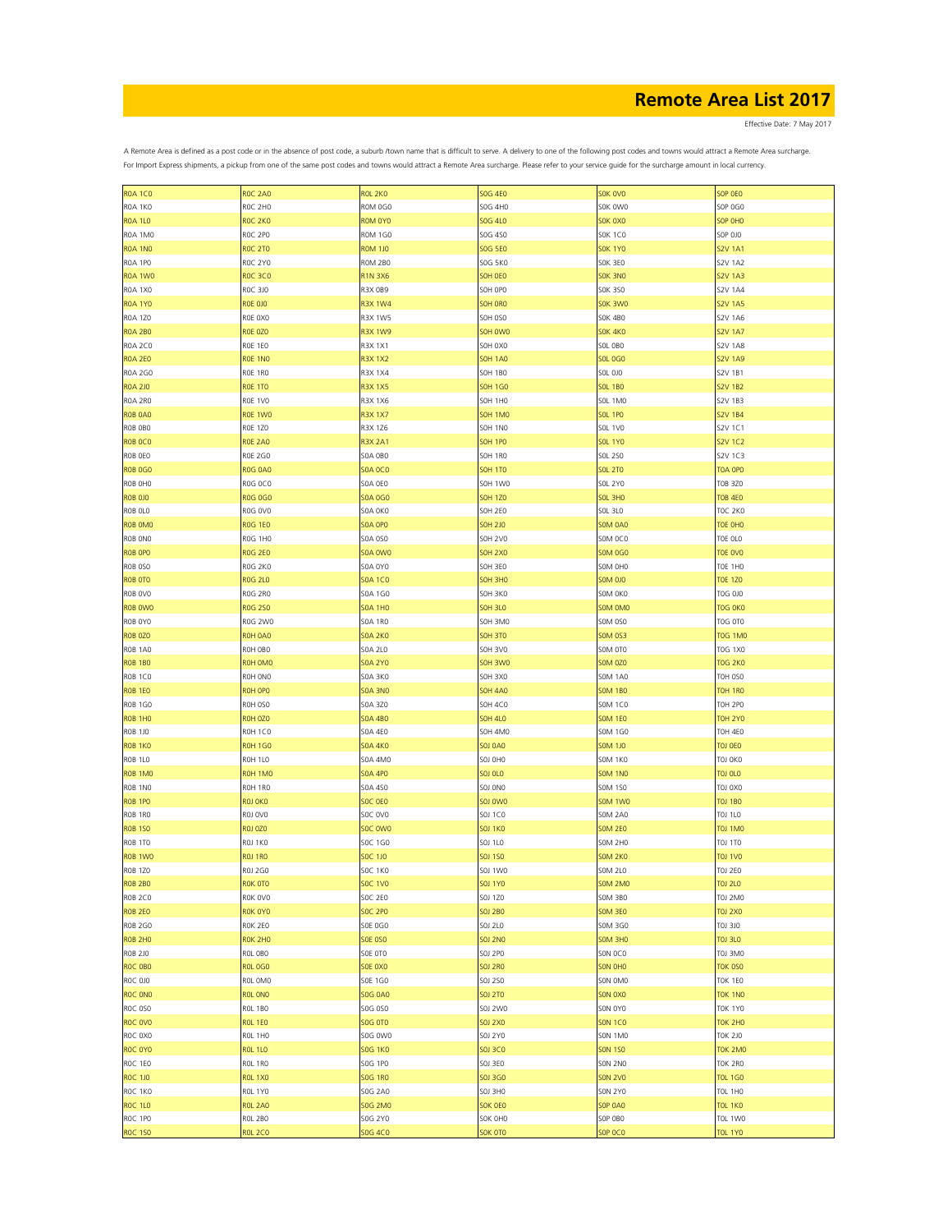Effective Date: 7 May 2017

| <b>ROA 1CO</b>     | <b>ROC 2A0</b> | <b>ROL 2KO</b> | <b>SOG 4E0</b> | SOK OVO        | SOP OEO        |
|--------------------|----------------|----------------|----------------|----------------|----------------|
| ROA 1KO            | ROC 2H0        | ROM 0G0        | SOG 4H0        | SOK OWO        | SOP OGO        |
| <b>ROA 1LO</b>     | ROC 2KO        | ROM 0Y0        | SOG 4L0        | SOK OXO        | SOP OHO        |
|                    |                |                |                |                |                |
| ROA 1MO            | ROC 2PO        | <b>ROM 1G0</b> | SOG 4SO        | <b>SOK 1CO</b> | <b>SOP 0J0</b> |
| <b>ROA 1NO</b>     | <b>ROC 2TO</b> | <b>ROM 1JO</b> | <b>SOG 5E0</b> | <b>SOK 1Y0</b> | <b>S2V 1A1</b> |
| ROA 1PO            | ROC 2YO        | ROM 2BO        | SOG 5KO        | SOK 3EO        | <b>S2V 1A2</b> |
| <b>ROA 1WO</b>     | <b>ROC 3CO</b> | <b>R1N 3X6</b> | SOH OEO        | SOK 3NO        | <b>S2V 1A3</b> |
|                    |                |                |                |                |                |
| <b>ROA 1X0</b>     | ROC 3J0        | R3X 0B9        | SOH OPO        | SOK 3SO        | <b>S2V 1A4</b> |
| <b>ROA 1YO</b>     | <b>ROE 0JO</b> | <b>R3X 1W4</b> | SOH ORO        | SOK 3WO        | <b>S2V 1A5</b> |
| <b>ROA 1Z0</b>     | ROE OXO        | R3X 1W5        | <b>SOH 0SO</b> | <b>SOK 4B0</b> | <b>S2V 1A6</b> |
| <b>ROA 2BO</b>     | <b>ROE 0Z0</b> | <b>R3X 1W9</b> | SOH OWO        | <b>SOK 4KO</b> | <b>S2V 1A7</b> |
|                    |                |                |                |                |                |
| <b>ROA 2CO</b>     | ROE 1EO        | R3X 1X1        | SOH OXO        | SOL OBO        | <b>S2V 1A8</b> |
| <b>ROA 2E0</b>     | ROE 1NO        | <b>R3X 1X2</b> | <b>SOH 1A0</b> | <b>SOL 0G0</b> | <b>S2V 1A9</b> |
| <b>ROA 2GO</b>     | ROE 1RO        | R3X 1X4        | SOH 1BO        | <b>SOL 0J0</b> | <b>S2V 1B1</b> |
| <b>ROA 2JO</b>     | <b>ROE 1TO</b> | <b>R3X 1X5</b> | SOH 1GO        | <b>SOL 1BO</b> | <b>S2V 1B2</b> |
| ROA 2RO            | ROE 1VO        | R3X 1X6        |                | SOL 1MO        | <b>S2V 1B3</b> |
|                    |                |                | SOH 1HO        |                |                |
| <b>ROB OAO</b>     | ROE 1WO        | <b>R3X 1X7</b> | SOH 1MO        | <b>SOL 1PO</b> | <b>S2V 1B4</b> |
| ROB OBO            | <b>ROE 1Z0</b> | R3X 1Z6        | SOH 1NO        | <b>SOL 1V0</b> | S2V 1C1        |
| ROB OCO            | <b>ROE 2A0</b> | <b>R3X 2A1</b> | <b>SOH 1PO</b> | <b>SOL 1Y0</b> | <b>S2V 1C2</b> |
|                    | <b>ROE 2GO</b> | SOA OBO        |                | <b>SOL 2SO</b> |                |
| ROB OEO            |                |                | SOH 1RO        |                | S2V 1C3        |
| <b>ROB 0G0</b>     | <b>ROG 0A0</b> | <b>SOA OCO</b> | <b>SOH 1TO</b> | <b>SOL 2TO</b> | TOA OPO        |
| ROB OHO            | ROG OCO        | <b>SOA 0E0</b> | SOH 1WO        | <b>SOL 2Y0</b> | <b>TOB 3Z0</b> |
| <b>ROB 0J0</b>     | <b>ROG 0G0</b> | <b>SOA 0G0</b> | <b>SOH 1ZO</b> | SOL 3HO        | <b>TOB 4E0</b> |
| ROB OLO            | ROG OVO        | SOA OKO        | SOH 2E0        | <b>SOL 3L0</b> | <b>TOC 2K0</b> |
|                    |                |                |                |                |                |
| ROB OMO            | <b>ROG 1EO</b> | SOA OPO        | <b>SOH 2JO</b> | <b>SOM 0A0</b> | TOE OHO        |
| ROB ONO            | ROG 1HO        | <b>SOA 0SO</b> | <b>SOH 2VO</b> | SOM OCO        | TOE OLO        |
| <b>ROB OPO</b>     | <b>ROG 2E0</b> | SOA OWO        | <b>SOH 2X0</b> | <b>SOM 0G0</b> | TOE OVO        |
| <b>ROB 0S0</b>     | <b>ROG 2KO</b> | <b>SOA 0Y0</b> | SOH 3EO        | SOM OHO        | TOE 1HO        |
|                    |                |                |                |                |                |
| <b>ROB OTO</b>     | <b>ROG 2L0</b> | <b>SOA 1CO</b> | SOH 3HO        | <b>SOM 0J0</b> | <b>TOE 1ZO</b> |
| ROB OVO            | ROG 2RO        | S0A 1G0        | SOH 3KO        | SOM OKO        | T0G 0J0        |
| ROB OWO            | <b>ROG 250</b> | <b>SOA 1H0</b> | <b>SOH 3LO</b> | SOM OMO        | TOG OKO        |
| ROB OYO            | ROG 2W0        | <b>SOA 1RO</b> | SOH 3MO        | <b>SOM 0SO</b> | T0G 0T0        |
| <b>ROB 0Z0</b>     | ROH 0A0        | <b>SOA 2KO</b> | <b>SOH 3TO</b> | <b>SOM 0S3</b> | <b>TOG 1M0</b> |
|                    |                |                |                |                |                |
| ROB <sub>1A0</sub> | ROH OBO        | <b>SOA 2LO</b> | SOH 3VO        | SOM OTO        | <b>TOG 1X0</b> |
| <b>ROB 1BO</b>     | ROH OMO        | <b>SOA 2YO</b> | SOH 3WO        | <b>SOM 0Z0</b> | TOG 2K0        |
| ROB 1CO            | ROH ONO        | <b>SOA 3KO</b> | SOH 3X0        | <b>SOM 1A0</b> | TOH OSO        |
| <b>ROB 1EO</b>     | ROH OPO        | <b>SOA 3NO</b> | <b>SOH 4A0</b> | <b>SOM 1BO</b> | TOH 1RO        |
|                    |                |                |                |                |                |
| <b>ROB 1GO</b>     | ROH 0SO        | S0A 3Z0        | SOH 4CO        | SOM 1CO        | <b>TOH 2PO</b> |
| <b>ROB 1HO</b>     | ROH 0Z0        | <b>SOA 4BO</b> | <b>SOH 4LO</b> | <b>SOM 1E0</b> | <b>TOH 2YO</b> |
| <b>ROB 1JO</b>     | ROH 1CO        | S0A 4E0        | SOH 4M0        | SOM 1G0        | TOH 4EO        |
| ROB <sub>1KO</sub> | <b>ROH 1GO</b> | <b>SOA 4K0</b> | 50J 0A0        | <b>SOM 1JO</b> | TOJ OEO        |
|                    |                |                |                |                |                |
| <b>ROB 1LO</b>     | ROH 1LO        | <b>SOA 4M0</b> | SOJ 0H0        | <b>SOM 1K0</b> | TOJ OKO        |
| ROB <sub>1MO</sub> | ROH 1MO        | <b>SOA 4PO</b> | <b>SOJ OLO</b> | <b>SOM 1NO</b> | TOJ OLO        |
| ROB 1NO            | ROH 1RO        | S0A 4S0        | 50J 0N0        | <b>SOM 1SO</b> | T0J 0X0        |
| ROB <sub>1PO</sub> | ROJ OKO        | SOC OEO        | <b>SOJ OWO</b> | <b>SOM 1W0</b> | <b>TOJ 1BO</b> |
| ROB 1RO            | ROJ OVO        | SOC OVO        | SOJ 1CO        | <b>SOM 2A0</b> | TOJ 1LO        |
|                    |                |                |                |                |                |
| <b>ROB 150</b>     | <b>ROJ 0Z0</b> | SOC OWO        | <b>SOJ 1KO</b> | <b>SOM 2E0</b> | TOJ 1MO        |
| ROB 1TO            | ROJ 1KO        | SOC 1G0        | SOJ 1LO        | SOM 2HO        | <b>TOJ 1TO</b> |
| ROB <sub>1WO</sub> | <b>ROJ 1RO</b> | SOC 1J0        | <b>SOJ 1SO</b> | SOM 2KO        | <b>TOJ 1VO</b> |
| ROB 1ZO            | <b>ROJ 2G0</b> | <b>SOC 1KO</b> | <b>SOJ 1W0</b> | <b>SOM 2L0</b> | <b>TOJ 2E0</b> |
|                    |                |                |                |                |                |
| <b>ROB 2BO</b>     | ROK OTO        | <b>SOC 1VO</b> | SOJ 1YO        | SOM 2MO        | <b>TOJ 2LO</b> |
| <b>ROB 2CO</b>     | ROK OVO        | <b>SOC 2E0</b> | SOJ 1Z0        | SOM 3BO        | T0J 2M0        |
| <b>ROB 2E0</b>     | ROK OYO        | <b>SOC 2PO</b> | <b>SOJ 2BO</b> | <b>SOM 3E0</b> | <b>TOJ 2X0</b> |
| <b>ROB 2G0</b>     | ROK 2EO        | SOE 0G0        | <b>SOJ 2L0</b> | SOM 3G0        | TOJ 3J0        |
| <b>ROB 2HO</b>     | ROK 2HO        | <b>SOE 0S0</b> | <b>SOJ 2NO</b> | SOM 3HO        | <b>TOJ 3L0</b> |
|                    |                |                |                |                |                |
| <b>ROB 2JO</b>     | ROL OBO        | SOE OTO        | <b>SOJ 2PO</b> | SON OCO        | OME LOT        |
| ROC OBO            | <b>ROL 0G0</b> | SOE OXO        | <b>SOJ 2RO</b> | SON OHO        | TOK 0SO        |
| ROC 0J0            | ROL OMO        | SOE 1GO        | <b>SOJ 2SO</b> | SON OMO        | <b>TOK 1EO</b> |
| ROC ONO            | ROL ONO        | <b>SOG 0A0</b> | <b>SOJ 2TO</b> | SON OXO        | <b>TOK 1NO</b> |
|                    |                |                |                |                |                |
| ROC 0S0            | <b>ROL 1BO</b> | SOG 0SO        | <b>SOJ 2W0</b> | SON OYO        | <b>TOK 1Y0</b> |
| ROC OVO            | <b>ROL 1EO</b> | <b>SOG OTO</b> | <b>SOJ 2X0</b> | <b>SON 1CO</b> | <b>TOK 2HO</b> |
| ROC OXO            | ROL 1HO        | SOG 0W0        | SOJ 2Y0        | <b>SON 1MO</b> | <b>TOK 2J0</b> |
| ROC OYO            | <b>ROL 1LO</b> | <b>SOG 1KO</b> | <b>SOJ 3CO</b> | <b>SON 1SO</b> | <b>TOK 2MO</b> |
|                    |                |                |                |                |                |
| ROC 1EO            | ROL 1RO        | SOG 1PO        | SOJ 3E0        | <b>SON 2NO</b> | <b>TOK 2RO</b> |
| <b>ROC 1JO</b>     | <b>ROL 1X0</b> | <b>SOG 1RO</b> | <b>SOJ 3GO</b> | <b>SON 2VO</b> | <b>TOL 1GO</b> |
| ROC 1KO            | ROL 1Y0        | SOG 2A0        | SOJ 3HO        | <b>SON 2Y0</b> | <b>TOL 1HO</b> |
| <b>ROC 1LO</b>     | <b>ROL 2A0</b> | <b>SOG 2MO</b> | SOK OEO        | <b>SOP 0A0</b> | <b>TOL 1KO</b> |
|                    |                |                |                |                |                |
| ROC 1PO            | <b>ROL 2BO</b> | S0G 2Y0        | SOK OHO        | SOP OBO        | <b>TOL 1W0</b> |
| <b>ROC 150</b>     | <b>ROL 2CO</b> | <b>SOG 4CO</b> | SOK OTO        | SOP OCO        | <b>TOL 1Y0</b> |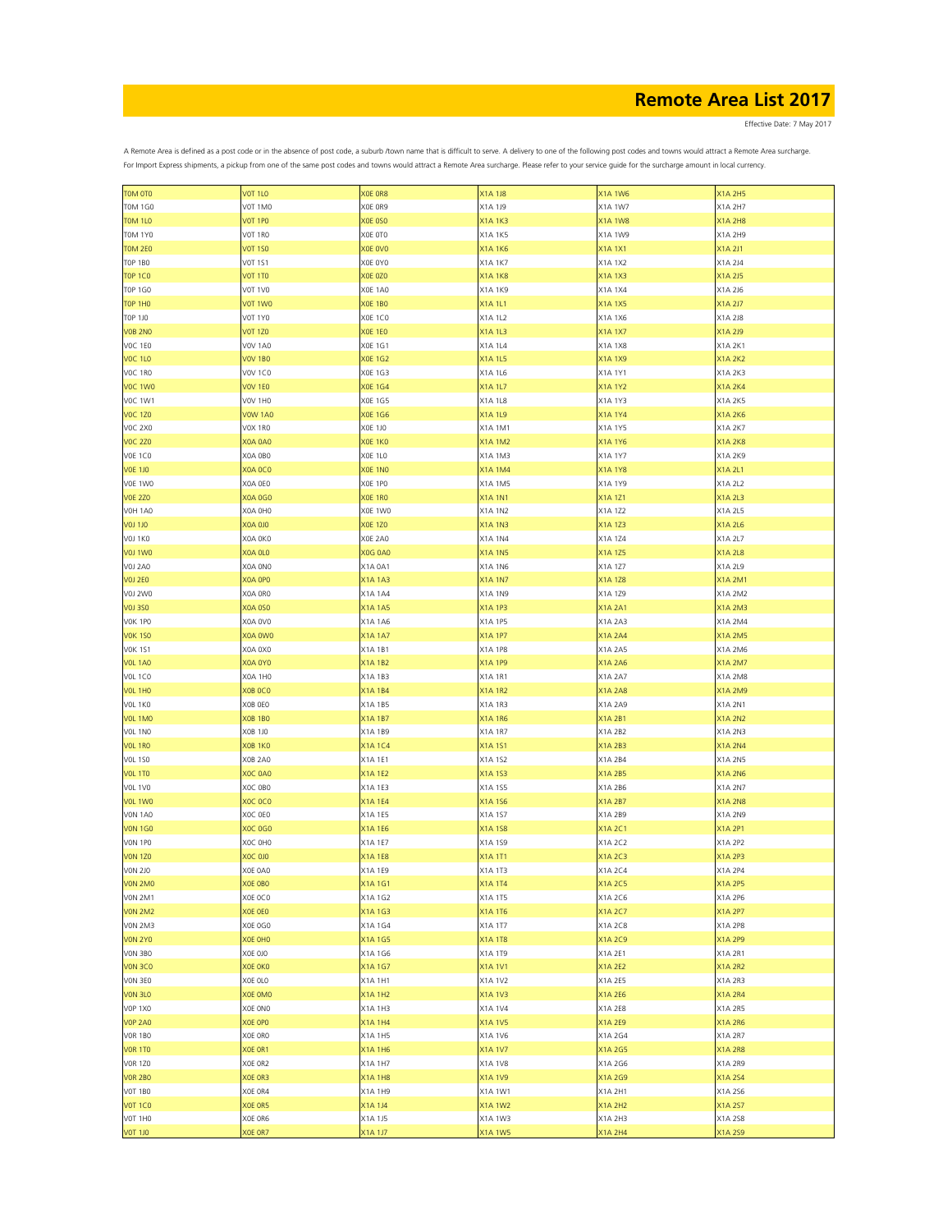Effective Date: 7 May 2017

| <b>TOM OTO</b> |                |                |                |                |                |
|----------------|----------------|----------------|----------------|----------------|----------------|
|                | <b>VOT 1LO</b> | XOE OR8        | X1A 1J8        | X1A 1W6        | X1A 2H5        |
| <b>TOM 1GO</b> | V0T 1M0        | XOE OR9        | X1A 1J9        | X1A 1W7        | X1A 2H7        |
| <b>TOM 1L0</b> | <b>VOT 1PO</b> | <b>XOE 0SO</b> | X1A 1K3        | <b>X1A1W8</b>  | <b>X1A 2H8</b> |
| <b>TOM 1Y0</b> | VOT 1RO        | XOE OTO        | X1A 1K5        | X1A 1W9        | X1A 2H9        |
| <b>TOM 2E0</b> | <b>VOT 1SO</b> | XOE OVO        | X1A 1K6        | <b>X1A1X1</b>  |                |
|                |                |                |                |                | X1A 2J1        |
| <b>TOP 1BO</b> | <b>VOT 1S1</b> | XOE OYO        | X1A 1K7        | X1A 1X2        | X1A 2J4        |
| <b>TOP 1CO</b> | <b>VOT 1TO</b> | XOE 0Z0        | X1A 1K8        | X1A 1X3        | X1A 2J5        |
| <b>TOP 1GO</b> | VOT 1VO        | <b>XOE 1A0</b> | X1A 1K9        | X1A 1X4        | X1A 2J6        |
| <b>TOP 1HO</b> | VOT 1WO        | XOE 1BO        | X1A 1L1        | X1A 1X5        | X1A 2J7        |
|                |                |                |                |                |                |
| <b>TOP 1JO</b> | <b>V0T 1Y0</b> | <b>XOE 1CO</b> | X1A 1L2        | X1A 1X6        | X1A 2J8        |
| <b>VOB 2NO</b> | <b>VOT 1Z0</b> | <b>XOE 1EO</b> | X1A 1L3        | <b>X1A 1X7</b> | X1A 2J9        |
| <b>VOC 1E0</b> | <b>VOV 1A0</b> | X0E 1G1        | X1A 1L4        | X1A 1X8        | X1A 2K1        |
| <b>VOC 1L0</b> | <b>VOV 1B0</b> | <b>XOE 1G2</b> | X1A 1L5        | X1A 1X9        | <b>X1A 2K2</b> |
| <b>VOC 1RO</b> | <b>VOV 1C0</b> | X0E 1G3        | X1A 1L6        | X1A 1Y1        | X1A 2K3        |
| <b>V0C 1W0</b> | <b>VOV 1E0</b> | <b>XOE 1G4</b> | X1A 1L7        | <b>X1A 1Y2</b> | <b>X1A 2K4</b> |
|                |                |                |                |                |                |
| V0C 1W1        | VOV 1H0        | X0E 1G5        | X1A 1L8        | X1A 1Y3        | X1A 2K5        |
| <b>VOC 1Z0</b> | <b>V0W 1A0</b> | <b>XOE 1G6</b> | X1A 1L9        | <b>X1A 1Y4</b> | <b>X1A 2K6</b> |
| <b>VOC 2X0</b> | VOX 1RO        | <b>XOE 1JO</b> | X1A 1M1        | X1A 1Y5        | X1A 2K7        |
| <b>VOC 2Z0</b> | X0A 0A0        | XOE 1KO        | X1A 1M2        | X1A 1Y6        | <b>X1A 2K8</b> |
| <b>VOE 1CO</b> | X0A 0B0        | XOE 1LO        | X1A 1M3        | X1A 1Y7        | X1A 2K9        |
|                |                |                |                |                |                |
| <b>VOE 1JO</b> | <b>X0A 0C0</b> | XOE 1NO        | X1A 1M4        | <b>X1A1Y8</b>  | <b>X1A 2L1</b> |
| VOE 1WO        | X0A 0E0        | XOE 1PO        | X1A 1M5        | X1A 1Y9        | X1A 2L2        |
| <b>VOE 2Z0</b> | X0A 0G0        | <b>XOE 1RO</b> | X1A 1N1        | X1A 1Z1        | X1A 2L3        |
| <b>V0H 1A0</b> | X0A 0H0        | XOE 1WO        | X1A 1N2        | X1A 1Z2        | X1A 2L5        |
|                |                |                |                |                |                |
| <b>VOJ 1J0</b> | <b>OLO AOX</b> | <b>XOE 1ZO</b> | X1A 1N3        | X1A 1Z3        | X1A 2L6        |
| VOJ 1KO        | X0A OKO        | XOE 2A0        | X1A 1N4        | X1A 1Z4        | X1A 2L7        |
| <b>V0J 1W0</b> | XOA OLO        | <b>X0G 0A0</b> | X1A 1N5        | X1A 1Z5        | <b>X1A 2L8</b> |
| <b>V0J 2A0</b> | X0A ONO        | X1A 0A1        | X1A 1N6        | X1A 1Z7        | X1A 2L9        |
| <b>VOJ 2E0</b> | XOA OPO        | <b>X1A1A3</b>  | X1A 1N7        | X1A 1Z8        | <b>X1A 2M1</b> |
|                |                |                |                |                |                |
| VOJ 2W0        | X0A ORO        | X1A 1A4        | X1A 1N9        | X1A 1Z9        | X1A 2M2        |
| VOJ 350        | X0A 0S0        | <b>X1A1A5</b>  | X1A 1P3        | <b>X1A 2A1</b> | <b>X1A 2M3</b> |
| VOK 1PO        | XOA OVO        | X1A 1A6        | X1A 1P5        | X1A 2A3        | X1A 2M4        |
| <b>VOK 150</b> | XOA OWO        | X1A 1A7        | X1A 1P7        | <b>X1A 2A4</b> | X1A 2M5        |
| <b>VOK 1S1</b> | X0A 0X0        | X1A 1B1        | X1A 1P8        | X1A 2A5        | X1A 2M6        |
|                |                |                |                |                |                |
| <b>VOL 1A0</b> | XOA OYO        | X1A 1B2        | X1A 1P9        | X1A 2A6        | X1A 2M7        |
| <b>VOL 1CO</b> | X0A 1H0        | X1A 1B3        | X1A 1R1        | X1A 2A7        | X1A 2M8        |
| <b>VOL 1HO</b> | XOB OCO        | X1A 1B4        | X1A 1R2        | <b>X1A 2A8</b> | X1A 2M9        |
| VOL 1KO        | XOB OEO        | X1A 1B5        | X1A 1R3        | X1A 2A9        | X1A 2N1        |
| <b>VOL 1MO</b> | <b>XOB 1BO</b> | <b>X1A 1B7</b> | <b>X1A 1R6</b> | <b>X1A2B1</b>  | <b>X1A 2N2</b> |
|                |                |                |                |                |                |
| VOL 1NO        | X0B 1J0        | X1A 1B9        | X1A 1R7        | X1A 2B2        | X1A 2N3        |
| <b>VOL 1RO</b> | <b>XOB 1KO</b> | X1A1C4         | X1A 1S1        | <b>X1A 2B3</b> | <b>X1A 2N4</b> |
| <b>VOL 1SO</b> | XOB 2A0        | X1A 1E1        | X1A 1S2        | X1A 2B4        | X1A 2N5        |
| <b>VOL 1TO</b> | XOC 0A0        | <b>X1A 1E2</b> | X1A 1S3        | <b>X1A 2B5</b> | <b>X1A 2N6</b> |
| <b>VOL 1VO</b> | XOC OBO        | X1A 1E3        | X1A 1S5        | X1A 2B6        | X1A 2N7        |
|                |                |                |                |                |                |
| <b>VOL 1W0</b> | XOC OCO        | <b>X1A1E4</b>  | X1A 1S6        | <b>X1A 2B7</b> | <b>X1A 2N8</b> |
| <b>VON 1A0</b> | XOC OEO        | X1A 1E5        | X1A 1S7        | X1A 2B9        | X1A 2N9        |
| <b>VON 1GO</b> | XOC 0G0        | X1A 1E6        | X1A 158        | <b>X1A 2C1</b> | <b>X1A 2P1</b> |
| VON 1PO        | XOC OHO        | X1A 1E7        | X1A 1S9        | X1A 2C2        | X1A 2P2        |
| <b>VON 1Z0</b> | XOC 0JO        | <b>X1A1E8</b>  | X1A 1T1        | X1A 2C3        | <b>X1A 2P3</b> |
|                | XOE 0A0        |                |                |                | X1A 2P4        |
| <b>VON 2J0</b> |                | X1A 1E9        | X1A 1T3        | X1A 2C4        |                |
| VON 2MO        | XOE OBO        | X1A 1G1        | X1A 1T4        | <b>X1A 2C5</b> | X1A 2P5        |
| <b>VON 2M1</b> | XOE OCO        | X1A 1G2        | X1A 1T5        | X1A 2C6        | X1A 2P6        |
| <b>VON 2M2</b> | XOE OEO        | X1A 1G3        | X1A 1T6        | X1A 2C7        | X1A 2P7        |
| VON 2M3        | XOE OGO        | X1A 1G4        | X1A 1T7        | X1A 2C8        | X1A 2P8        |
| <b>VON 2Y0</b> | XOE OHO        | X1A 1G5        | X1A 1T8        | X1A 2C9        | X1A 2P9        |
|                |                |                |                |                |                |
| VON 3BO        | XOE 0JO        | X1A 1G6        | X1A 1T9        | X1A 2E1        | X1A 2R1        |
| <b>VON 3CO</b> | XOE OKO        | X1A 1G7        | X1A 1V1        | <b>X1A 2E2</b> | <b>X1A 2R2</b> |
| VON 3E0        | XOE OLO        | X1A 1H1        | X1A 1V2        | X1A 2E5        | X1A 2R3        |
| <b>VON 3L0</b> | XOE OMO        | <b>X1A 1H2</b> | X1A 1V3        | <b>X1A 2E6</b> | <b>X1A 2R4</b> |
| <b>VOP 1X0</b> | XOE ONO        |                |                |                |                |
|                |                | X1A 1H3        | X1A 1V4        | X1A 2E8        | X1A 2R5        |
| <b>VOP 2A0</b> | XOE OPO        | X1A 1H4        | X1A 1V5        | X1A 2E9        | <b>X1A 2R6</b> |
| <b>VOR 1BO</b> | XOE ORO        | X1A 1H5        | X1A 1V6        | X1A 2G4        | X1A 2R7        |
| <b>VOR 1TO</b> | XOE OR1        | <b>X1A 1H6</b> | X1A 1V7        | X1A 2G5        | <b>X1A 2R8</b> |
| <b>VOR 1Z0</b> | XOE OR2        | X1A 1H7        | X1A 1V8        | X1A 2G6        | X1A 2R9        |
|                |                |                |                |                |                |
| <b>VOR 2BO</b> | XOE OR3        | <b>X1A 1H8</b> | X1A 1V9        | X1A 2G9        | X1A 2S4        |
| <b>VOT 1BO</b> | XOE OR4        | X1A 1H9        | X1A 1W1        | X1A 2H1        | X1A 256        |
| <b>VOT 1CO</b> | XOE OR5        | X1A 1J4        | <b>X1A 1W2</b> | <b>X1A 2H2</b> | X1A 2S7        |
| VOT 1HO        | XOE OR6        | X1A 1J5        | X1A 1W3        | X1A 2H3        | X1A 2S8        |
| <b>VOT 1JO</b> | XOE OR7        | X1A 1J7        | <b>X1A 1W5</b> | <b>X1A 2H4</b> | X1A 2S9        |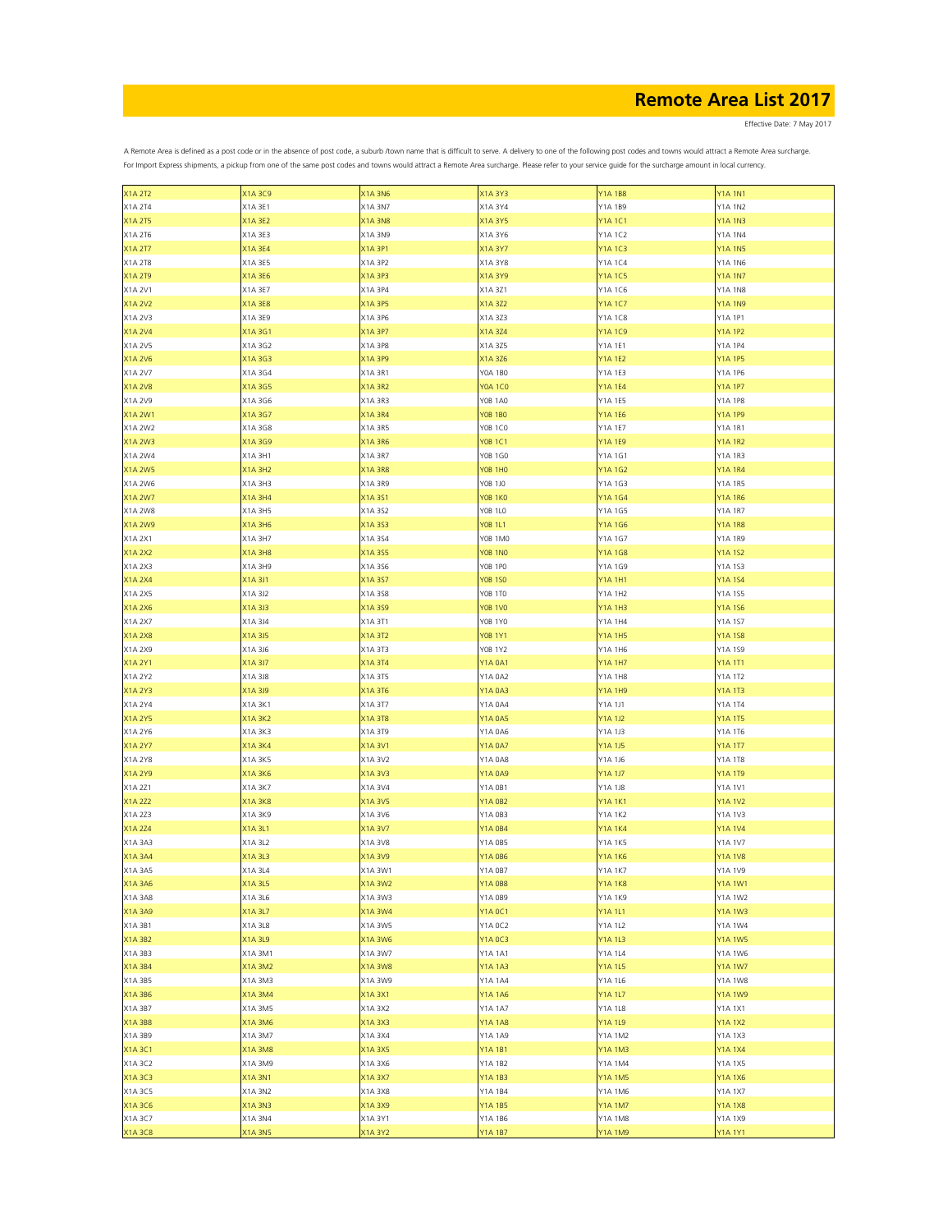Effective Date: 7 May 2017

| <b>X1A 2T2</b> | X1A 3C9        | <b>X1A 3N6</b> | X1A 3Y3        | <b>Y1A1B8</b>  | <b>Y1A 1N1</b> |
|----------------|----------------|----------------|----------------|----------------|----------------|
| X1A 2T4        | X1A 3E1        | X1A 3N7        | X1A 3Y4        | Y1A 1B9        | <b>Y1A 1N2</b> |
| <b>X1A 2T5</b> | X1A 3E2        | <b>X1A 3N8</b> | X1A 3Y5        | <b>Y1A1C1</b>  | <b>Y1A 1N3</b> |
|                |                | X1A 3N9        |                |                | Y1A 1N4        |
| X1A 2T6        | X1A 3E3        |                | X1A 3Y6        | Y1A 1C2        |                |
| <b>X1A 2T7</b> | X1A 3E4        | X1A 3P1        | X1A 3Y7        | <b>Y1A1C3</b>  | <b>Y1A 1N5</b> |
| X1A 2T8        | X1A 3E5        | X1A 3P2        | X1A 3Y8        | Y1A 1C4        | Y1A 1N6        |
| <b>X1A 2T9</b> | X1A 3E6        | X1A 3P3        | X1A 3Y9        | <b>Y1A1C5</b>  | <b>Y1A 1N7</b> |
| X1A 2V1        | X1A 3E7        | X1A 3P4        | X1A 3Z1        | Y1A 1C6        | <b>Y1A 1N8</b> |
| <b>X1A 2V2</b> |                |                |                |                |                |
|                | X1A 3E8        | X1A 3P5        | X1A 3Z2        | <b>Y1A1C7</b>  | <b>Y1A 1N9</b> |
| X1A 2V3        | X1A 3E9        | X1A 3P6        | X1A 3Z3        | Y1A 1C8        | Y1A 1P1        |
| <b>X1A 2V4</b> | X1A 3G1        | X1A 3P7        | X1A 3Z4        | <b>Y1A1C9</b>  | <b>Y1A 1P2</b> |
| X1A 2V5        | X1A 3G2        | X1A 3P8        | X1A 3Z5        | Y1A 1E1        | Y1A 1P4        |
| X1A 2V6        | X1A 3G3        | X1A 3P9        | X1A 3Z6        | <b>Y1A 1E2</b> | <b>Y1A 1P5</b> |
| X1A 2V7        | X1A 3G4        | X1A 3R1        | Y0A 1B0        | Y1A 1E3        | Y1A 1P6        |
|                |                |                |                |                |                |
| <b>X1A 2V8</b> | X1A 3G5        | <b>X1A 3R2</b> | Y0A 1C0        | <b>Y1A 1E4</b> | <b>Y1A 1P7</b> |
| X1A 2V9        | X1A 3G6        | X1A 3R3        | Y0B 1A0        | Y1A 1E5        | Y1A 1P8        |
| X1A 2W1        | X1A 3G7        | X1A 3R4        | Y0B 1B0        | <b>Y1A 1E6</b> | <b>Y1A 1P9</b> |
| X1A 2W2        | X1A 3G8        | X1A 3R5        | Y0B 1C0        | Y1A 1E7        | Y1A 1R1        |
| <b>X1A 2W3</b> | X1A 3G9        | <b>X1A 3R6</b> | <b>YOB 1C1</b> | <b>Y1A 1E9</b> | <b>Y1A 1R2</b> |
|                |                |                |                |                |                |
| X1A 2W4        | X1A 3H1        | X1A 3R7        | Y0B 1G0        | Y1A 1G1        | Y1A 1R3        |
| <b>X1A 2W5</b> | <b>X1A 3H2</b> | <b>X1A 3R8</b> | <b>YOB 1HO</b> | <b>Y1A1G2</b>  | <b>Y1A 1R4</b> |
| X1A 2W6        | X1A 3H3        | X1A 3R9        | Y0B 1J0        | Y1A 1G3        | Y1A 1R5        |
| <b>X1A 2W7</b> | X1A 3H4        | X1A 3S1        | <b>YOB 1KO</b> | Y1A 1G4        | <b>Y1A 1R6</b> |
| X1A 2W8        | X1A 3H5        | X1A 3S2        | <b>YOB 1LO</b> | Y1A 1G5        | Y1A 1R7        |
|                |                |                |                |                |                |
| <b>X1A 2W9</b> | X1A 3H6        | X1A 3S3        | <b>YOB 1L1</b> | <b>Y1A1G6</b>  | <b>Y1A 1R8</b> |
| X1A 2X1        | X1A 3H7        | X1A 3S4        | Y0B 1M0        | Y1A 1G7        | Y1A 1R9        |
| <b>X1A 2X2</b> | <b>X1A 3H8</b> | X1A 3S5        | <b>YOB 1NO</b> | <b>Y1A1G8</b>  | <b>Y1A 1S2</b> |
| X1A 2X3        | X1A 3H9        | X1A 356        | Y0B 1P0        | Y1A 1G9        | Y1A 1S3        |
| <b>X1A 2X4</b> | X1A 3J1        | X1A 3S7        | <b>YOB 1SO</b> | <b>Y1A 1H1</b> | <b>Y1A 1S4</b> |
|                |                |                |                |                |                |
| X1A 2X5        | X1A 3J2        | X1A 3S8        | Y0B 1T0        | Y1A 1H2        | Y1A 1S5        |
| <b>X1A 2X6</b> | X1A 3J3        | X1A 3S9        | <b>YOB 1VO</b> | <b>Y1A 1H3</b> | <b>Y1A 1S6</b> |
| X1A 2X7        | X1A 3J4        | X1A 3T1        | Y0B 1Y0        | Y1A 1H4        | Y1A 1S7        |
| <b>X1A 2X8</b> | X1A 3J5        | X1A 3T2        | <b>YOB 1Y1</b> | <b>Y1A 1H5</b> | <b>Y1A158</b>  |
| X1A 2X9        | X1A 3J6        | X1A 3T3        | Y0B 1Y2        | Y1A 1H6        | Y1A 1S9        |
|                |                |                |                |                |                |
| <b>X1A 2Y1</b> | X1A 3J7        | X1A 3T4        | Y1A 0A1        | <b>Y1A 1H7</b> | <b>Y1A 1T1</b> |
| X1A 2Y2        | X1A 3J8        | X1A 3T5        | Y1A 0A2        | <b>Y1A 1H8</b> | Y1A 1T2        |
| <b>X1A 2Y3</b> | X1A 3J9        | X1A 3T6        | Y1A 0A3        | <b>Y1A 1H9</b> | <b>Y1A 1T3</b> |
| X1A 2Y4        | X1A 3K1        | X1A 3T7        | Y1A 0A4        | Y1A 1J1        | Y1A 1T4        |
| <b>X1A 2Y5</b> | <b>X1A 3K2</b> | X1A 3T8        | Y1A 0A5        | <b>Y1A 1J2</b> | <b>Y1A 1T5</b> |
|                |                |                |                |                |                |
| X1A 2Y6        | X1A 3K3        | X1A 3T9        | Y1A 0A6        | Y1A 1J3        | Y1A 1T6        |
| <b>X1A 2Y7</b> | X1A 3K4        | X1A 3V1        | Y1A 0A7        | <b>Y1A 1J5</b> | <b>Y1A 1T7</b> |
| X1A 2Y8        | X1A 3K5        | X1A 3V2        | Y1A 0A8        | Y1A 1J6        | Y1A 1T8        |
| X1A 2Y9        | X1A 3K6        | X1A 3V3        | Y1A 0A9        | <b>Y1A 1J7</b> | <b>Y1A 1T9</b> |
| X1A 2Z1        | X1A 3K7        | X1A 3V4        | Y1A 0B1        | Y1A 1J8        | Y1A 1V1        |
|                |                |                |                |                |                |
| X1A 2Z2        | X1A 3K8        | X1A 3V5        | Y1A 0B2        | <b>Y1A 1K1</b> | <b>Y1A 1V2</b> |
| X1A 2Z3        | X1A 3K9        | X1A 3V6        | Y1A 0B3        | Y1A 1K2        | Y1A 1V3        |
| <b>X1A 2Z4</b> | X1A 3L1        | X1A 3V7        | Y1A 0B4        | Y1A 1K4        | <b>Y1A 1V4</b> |
| X1A 3A3        | X1A 3L2        | X1A 3V8        | Y1A 0B5        | Y1A 1K5        | Y1A 1V7        |
| <b>X1A 3A4</b> | X1A 3L3        | X1A 3V9        | <b>Y1A 0B6</b> | <b>Y1A1K6</b>  | <b>Y1A1V8</b>  |
|                |                | X1A 3W1        |                |                |                |
| X1A 3A5        | X1A 3L4        |                | Y1A 0B7        | Y1A 1K7        | Y1A 1V9        |
| X1A 3A6        | X1A 3L5        | X1A 3W2        | Y1A 0B8        | <b>Y1A1K8</b>  | <b>Y1A 1W1</b> |
| X1A 3A8        | X1A 3L6        | X1A 3W3        | Y1A 0B9        | Y1A 1K9        | Y1A 1W2        |
| <b>X1A 3A9</b> | X1A 3L7        | X1A 3W4        | Y1A 0C1        | <b>Y1A1L1</b>  | <b>Y1A 1W3</b> |
| X1A 3B1        | X1A 3L8        | X1A 3W5        | Y1A 0C2        | Y1A 1L2        | Y1A 1W4        |
|                |                |                |                |                |                |
| <b>X1A 3B2</b> | X1A 3L9        | X1A 3W6        | Y1A 0C3        | <b>Y1A 1L3</b> | <b>Y1A 1W5</b> |
| X1A 3B3        | X1A 3M1        | X1A 3W7        | Y1A 1A1        | Y1A 1L4        | Y1A 1W6        |
| <b>X1A 3B4</b> | X1A 3M2        | X1A 3W8        | Y1A 1A3        | <b>Y1A 1L5</b> | <b>Y1A 1W7</b> |
| X1A 3B5        | X1A 3M3        | X1A 3W9        | Y1A 1A4        | Y1A 1L6        | Y1A 1W8        |
| X1A 3B6        | X1A 3M4        | X1A 3X1        | Y1A 1A6        | <b>Y1A 1L7</b> | <b>Y1A 1W9</b> |
| X1A 3B7        |                |                |                |                | Y1A 1X1        |
|                | X1A 3M5        | X1A 3X2        | Y1A 1A7        | Y1A 1L8        |                |
| <b>X1A 3B8</b> | X1A 3M6        | X1A 3X3        | Y1A 1A8        | Y1A 1L9        | <b>Y1A 1X2</b> |
| X1A 3B9        | X1A 3M7        | X1A 3X4        | Y1A 1A9        | Y1A 1M2        | Y1A 1X3        |
| X1A3C1         | X1A 3M8        | X1A 3X5        | Y1A 1B1        | <b>Y1A 1M3</b> | <b>Y1A1X4</b>  |
| X1A 3C2        | X1A 3M9        | X1A 3X6        | Y1A 1B2        | Y1A 1M4        | Y1A 1X5        |
|                |                |                |                |                |                |
| X1A 3C3        | X1A 3N1        | X1A 3X7        | Y1A 1B3        | <b>Y1A 1M5</b> | <b>Y1A1X6</b>  |
| X1A 3C5        | X1A 3N2        | X1A 3X8        | Y1A 1B4        | Y1A 1M6        | Y1A 1X7        |
| X1A 3C6        | X1A 3N3        | X1A 3X9        | Y1A 1B5        | <b>Y1A 1M7</b> | <b>Y1A1X8</b>  |
| X1A 3C7        | X1A 3N4        | X1A 3Y1        | Y1A 1B6        | Y1A 1M8        | Y1A 1X9        |
| <b>X1A3C8</b>  | <b>X1A 3N5</b> | X1A 3Y2        | <b>Y1A 1B7</b> | <b>Y1A 1M9</b> | <b>Y1A 1Y1</b> |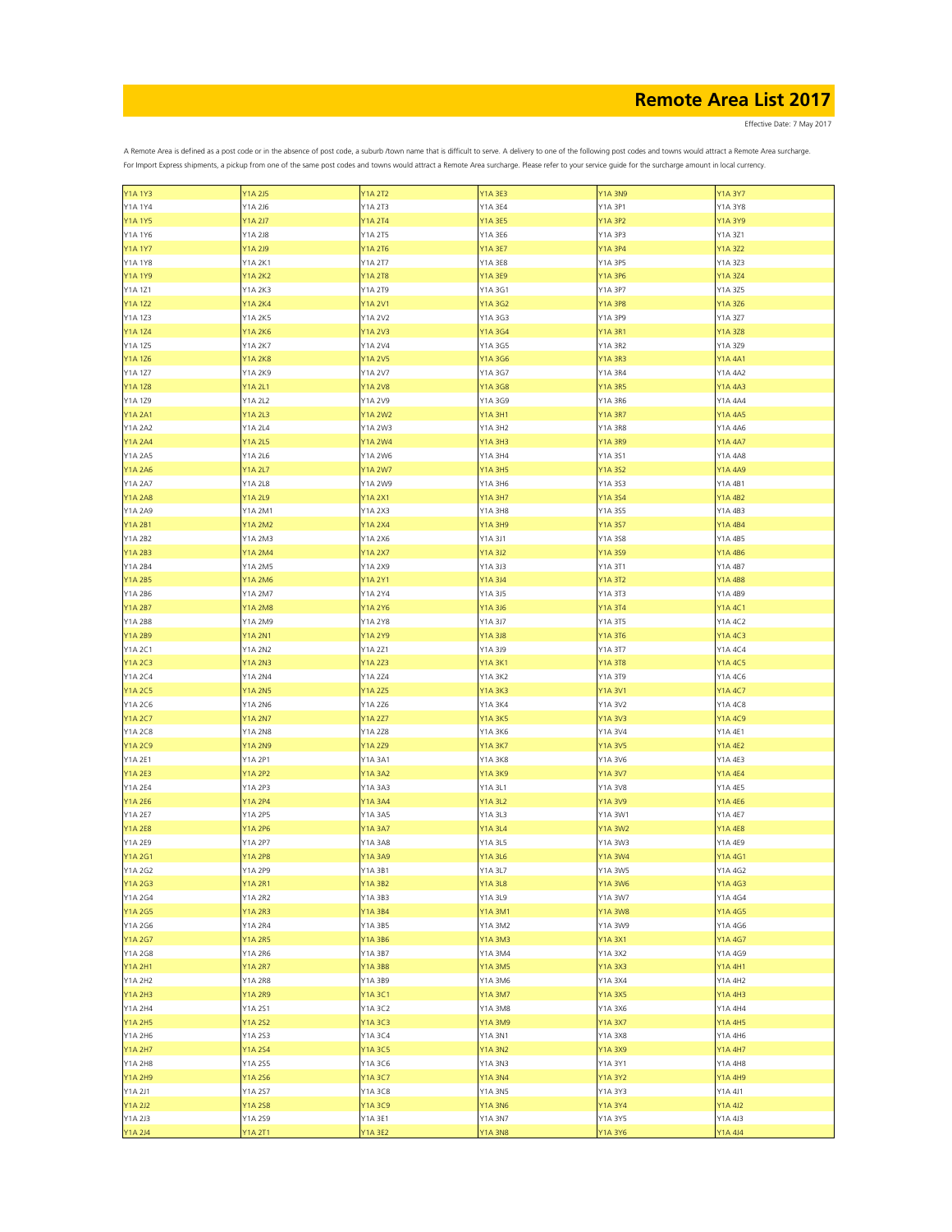Effective Date: 7 May 2017

| <b>Y1A 1Y3</b> | <b>Y1A 2J5</b> | <b>Y1A 2T2</b> | <b>Y1A 3E3</b> | <b>Y1A 3N9</b> | <b>Y1A 3Y7</b> |
|----------------|----------------|----------------|----------------|----------------|----------------|
| Y1A 1Y4        | Y1A 2J6        | Y1A 2T3        | Y1A 3E4        | Y1A 3P1        | Y1A 3Y8        |
| <b>Y1A 1Y5</b> | Y1A 2J7        | Y1A 2T4        | Y1A 3E5        | <b>Y1A 3P2</b> | <b>Y1A 3Y9</b> |
|                |                |                |                |                |                |
| Y1A 1Y6        | Y1A 2J8        | Y1A 2T5        | Y1A 3E6        | Y1A 3P3        | Y1A 3Z1        |
| <b>Y1A 1Y7</b> | Y1A 2J9        | <b>Y1A 2T6</b> | Y1A 3E7        | <b>Y1A 3P4</b> | <b>Y1A 3Z2</b> |
| <b>Y1A 1Y8</b> | Y1A 2K1        | Y1A 2T7        | Y1A 3E8        | Y1A 3P5        | Y1A 3Z3        |
|                |                |                |                |                |                |
| <b>Y1A 1Y9</b> | <b>Y1A 2K2</b> | <b>Y1A 2T8</b> | Y1A 3E9        | <b>Y1A 3P6</b> | <b>Y1A 3Z4</b> |
| Y1A 1Z1        | Y1A 2K3        | Y1A 2T9        | Y1A 3G1        | Y1A 3P7        | Y1A 3Z5        |
| <b>Y1A 1Z2</b> | Y1A 2K4        | <b>Y1A 2V1</b> | Y1A 3G2        | <b>Y1A 3P8</b> | Y1A 3Z6        |
|                |                |                |                |                |                |
| Y1A 1Z3        | Y1A 2K5        | Y1A 2V2        | Y1A 3G3        | Y1A 3P9        | Y1A 3Z7        |
| <b>Y1A 1Z4</b> | Y1A 2K6        | <b>Y1A 2V3</b> | Y1A 3G4        | <b>Y1A 3R1</b> | <b>Y1A 3Z8</b> |
| Y1A 1Z5        | Y1A 2K7        | Y1A 2V4        | Y1A 3G5        | <b>Y1A 3R2</b> | Y1A 3Z9        |
| Y1A 1Z6        | <b>Y1A 2K8</b> | <b>Y1A 2V5</b> | Y1A 3G6        | <b>Y1A 3R3</b> | <b>Y1A 4A1</b> |
|                |                |                |                |                |                |
| Y1A 1Z7        | Y1A 2K9        | Y1A 2V7        | Y1A 3G7        | Y1A 3R4        | Y1A 4A2        |
| <b>Y1A 1Z8</b> | Y1A 2L1        | <b>Y1A 2V8</b> | Y1A 3G8        | <b>Y1A 3R5</b> | <b>Y1A 4A3</b> |
| Y1A 1Z9        | Y1A 2L2        | Y1A 2V9        | Y1A 3G9        | Y1A 3R6        | Y1A 4A4        |
|                |                |                |                |                |                |
| <b>Y1A 2A1</b> | Y1A 2L3        | <b>Y1A 2W2</b> | Y1A 3H1        | <b>Y1A 3R7</b> | <b>Y1A 4A5</b> |
| Y1A 2A2        | Y1A 2L4        | Y1A 2W3        | Y1A 3H2        | Y1A 3R8        | Y1A 4A6        |
| <b>Y1A 2A4</b> | <b>Y1A 2L5</b> | <b>Y1A 2W4</b> | Y1A 3H3        | <b>Y1A 3R9</b> | <b>Y1A 4A7</b> |
| Y1A 2A5        | Y1A 2L6        | Y1A 2W6        | Y1A 3H4        | Y1A 3S1        | Y1A 4A8        |
|                |                |                |                |                |                |
| <b>Y1A 2A6</b> | Y1A 2L7        | <b>Y1A 2W7</b> | Y1A 3H5        | <b>Y1A 3S2</b> | Y1A 4A9        |
| Y1A 2A7        | Y1A 2L8        | Y1A 2W9        | Y1A 3H6        | Y1A 3S3        | Y1A 4B1        |
| <b>Y1A 2A8</b> | Y1A 2L9        | <b>Y1A 2X1</b> | Y1A 3H7        | Y1A 3S4        | <b>Y1A 4B2</b> |
|                |                |                |                |                |                |
| Y1A 2A9        | Y1A 2M1        | Y1A 2X3        | Y1A 3H8        | Y1A 3S5        | Y1A 4B3        |
| <b>Y1A 2B1</b> | <b>Y1A 2M2</b> | <b>Y1A 2X4</b> | <b>Y1A 3H9</b> | Y1A 3S7        | <b>Y1A 4B4</b> |
| Y1A 2B2        | Y1A 2M3        | Y1A 2X6        | Y1A 3J1        | Y1A 3S8        | Y1A 4B5        |
| <b>Y1A 2B3</b> | <b>Y1A 2M4</b> | <b>Y1A 2X7</b> | Y1A 3J2        | Y1A 3S9        | Y1A 4B6        |
|                |                |                |                |                |                |
| Y1A 2B4        | Y1A 2M5        | Y1A 2X9        | Y1A 3J3        | Y1A 3T1        | Y1A 4B7        |
| <b>Y1A 2B5</b> | <b>Y1A 2M6</b> | <b>Y1A 2Y1</b> | Y1A 3J4        | <b>Y1A 3T2</b> | <b>Y1A 4B8</b> |
| Y1A 2B6        | Y1A 2M7        | Y1A 2Y4        | Y1A 3J5        | Y1A 3T3        | Y1A 4B9        |
|                |                |                |                |                |                |
| <b>Y1A 2B7</b> | <b>Y1A 2M8</b> | <b>Y1A 2Y6</b> | Y1A 3J6        | <b>Y1A 3T4</b> | Y1A 4C1        |
| Y1A 2B8        | Y1A 2M9        | Y1A 2Y8        | Y1A 3J7        | Y1A 3T5        | Y1A 4C2        |
| <b>Y1A 2B9</b> | <b>Y1A 2N1</b> | Y1A 2Y9        | Y1A 3J8        | <b>Y1A 3T6</b> | Y1A 4C3        |
|                |                |                |                |                |                |
| Y1A 2C1        | <b>Y1A 2N2</b> | Y1A 2Z1        | Y1A 3J9        | Y1A 3T7        | Y1A 4C4        |
| <b>Y1A 2C3</b> | <b>Y1A 2N3</b> | Y1A 2Z3        | Y1A 3K1        | <b>Y1A 3T8</b> | Y1A 4C5        |
| <b>Y1A 2C4</b> | Y1A 2N4        | Y1A 2Z4        | Y1A 3K2        | Y1A 3T9        | Y1A 4C6        |
| <b>Y1A 2C5</b> | <b>Y1A 2N5</b> | <b>Y1A 2Z5</b> |                |                | <b>Y1A 4C7</b> |
|                |                |                | Y1A 3K3        | <b>Y1A 3V1</b> |                |
| Y1A 2C6        | Y1A 2N6        | Y1A 2Z6        | Y1A 3K4        | Y1A 3V2        | Y1A 4C8        |
| <b>Y1A 2C7</b> | <b>Y1A 2N7</b> | <b>Y1A 2Z7</b> | Y1A 3K5        | <b>Y1A 3V3</b> | Y1A 4C9        |
| Y1A 2C8        | <b>Y1A 2N8</b> | Y1A 2Z8        | Y1A 3K6        | Y1A 3V4        | Y1A 4E1        |
|                |                |                |                |                |                |
| <b>Y1A 2C9</b> | <b>Y1A 2N9</b> | Y1A 2Z9        | Y1A 3K7        | <b>Y1A 3V5</b> | <b>Y1A 4E2</b> |
| Y1A 2E1        | Y1A 2P1        | Y1A 3A1        | Y1A 3K8        | Y1A 3V6        | Y1A 4E3        |
| <b>Y1A 2E3</b> | <b>Y1A 2P2</b> | <b>Y1A 3A2</b> | Y1A 3K9        | <b>Y1A 3V7</b> | <b>Y1A 4E4</b> |
|                |                |                |                |                |                |
| Y1A 2E4        | Y1A 2P3        | Y1A 3A3        | Y1A 3L1        | Y1A 3V8        | Y1A 4E5        |
| <b>Y1A 2E6</b> | Y1A 2P4        | Y1A 3A4        | Y1A 3L2        | <b>Y1A 3V9</b> | Y1A 4E6        |
| Y1A 2E7        | Y1A 2P5        | Y1A 3A5        | Y1A 3L3        | Y1A 3W1        | Y1A 4E7        |
| <b>Y1A 2E8</b> | Y1A 2P6        | Y1A 3A7        | Y1A 3L4        | Y1A 3W2        | <b>Y1A 4E8</b> |
|                |                |                |                |                |                |
| Y1A 2E9        | Y1A 2P7        | Y1A 3A8        | Y1A 3L5        | Y1A 3W3        | Y1A 4E9        |
| <b>Y1A2G1</b>  | <b>Y1A 2P8</b> | Y1A 3A9        | Y1A 3L6        | <b>Y1A 3W4</b> | Y1A4G1         |
| Y1A 2G2        | Y1A 2P9        | Y1A 3B1        | Y1A 3L7        | Y1A 3W5        | Y1A 4G2        |
|                |                |                |                | <b>Y1A 3W6</b> |                |
| <b>Y1A 2G3</b> | Y1A 2R1        | Y1A 3B2        | Y1A 3L8        |                | Y1A 4G3        |
| Y1A 2G4        | <b>Y1A 2R2</b> | Y1A 3B3        | Y1A 3L9        | Y1A 3W7        | Y1A 4G4        |
| <b>Y1A 2G5</b> | <b>Y1A 2R3</b> | Y1A 3B4        | Y1A 3M1        | <b>Y1A 3W8</b> | Y1A 4G5        |
| Y1A 2G6        | Y1A 2R4        | Y1A 3B5        | Y1A 3M2        | Y1A 3W9        | Y1A 4G6        |
|                |                |                |                |                |                |
| <b>Y1A 2G7</b> | <b>Y1A 2R5</b> | Y1A 3B6        | Y1A 3M3        | <b>Y1A 3X1</b> | Y1A 4G7        |
| Y1A 2G8        | Y1A 2R6        | Y1A 3B7        | Y1A 3M4        | Y1A 3X2        | Y1A 4G9        |
| <b>Y1A 2H1</b> | <b>Y1A 2R7</b> | <b>Y1A 3B8</b> | Y1A 3M5        | <b>Y1A 3X3</b> | Y1A 4H1        |
| Y1A 2H2        | <b>Y1A 2R8</b> | Y1A 3B9        | Y1A 3M6        | Y1A 3X4        | Y1A 4H2        |
|                |                |                |                |                |                |
| <b>Y1A 2H3</b> | <b>Y1A 2R9</b> | Y1A 3C1        | Y1A 3M7        | <b>Y1A 3X5</b> | <b>Y1A 4H3</b> |
| Y1A 2H4        | Y1A 2S1        | Y1A 3C2        | Y1A 3M8        | Y1A 3X6        | Y1A 4H4        |
| <b>Y1A 2H5</b> | Y1A 2S2        | Y1A 3C3        | Y1A 3M9        | <b>Y1A 3X7</b> | <b>Y1A 4H5</b> |
|                |                |                |                |                |                |
| Y1A 2H6        | Y1A 2S3        | Y1A 3C4        | Y1A 3N1        | Y1A 3X8        | Y1A 4H6        |
| <b>Y1A 2H7</b> | Y1A 2S4        | Y1A 3C5        | Y1A 3N2        | Y1A 3X9        | <b>Y1A 4H7</b> |
| <b>Y1A 2H8</b> | Y1A 2S5        | Y1A 3C6        | Y1A 3N3        | Y1A 3Y1        | Y1A 4H8        |
|                |                |                |                |                | Y1A 4H9        |
| <b>Y1A 2H9</b> | Y1A 2S6        | Y1A 3C7        | Y1A 3N4        | <b>Y1A 3Y2</b> |                |
| Y1A 2J1        | Y1A 2S7        | Y1A 3C8        | Y1A 3N5        | Y1A 3Y3        | Y1A 4J1        |
| <b>Y1A 2J2</b> | Y1A 2S8        | Y1A 3C9        | Y1A 3N6        | Y1A 3Y4        | Y1A 4J2        |
| Y1A 2J3        | Y1A 2S9        | Y1A 3E1        | Y1A 3N7        | Y1A 3Y5        | Y1A 4J3        |
|                |                |                |                |                |                |
| <b>Y1A 2J4</b> | <b>Y1A 2T1</b> | Y1A 3E2        | Y1A 3N8        | Y1A 3Y6        | Y1A 4J4        |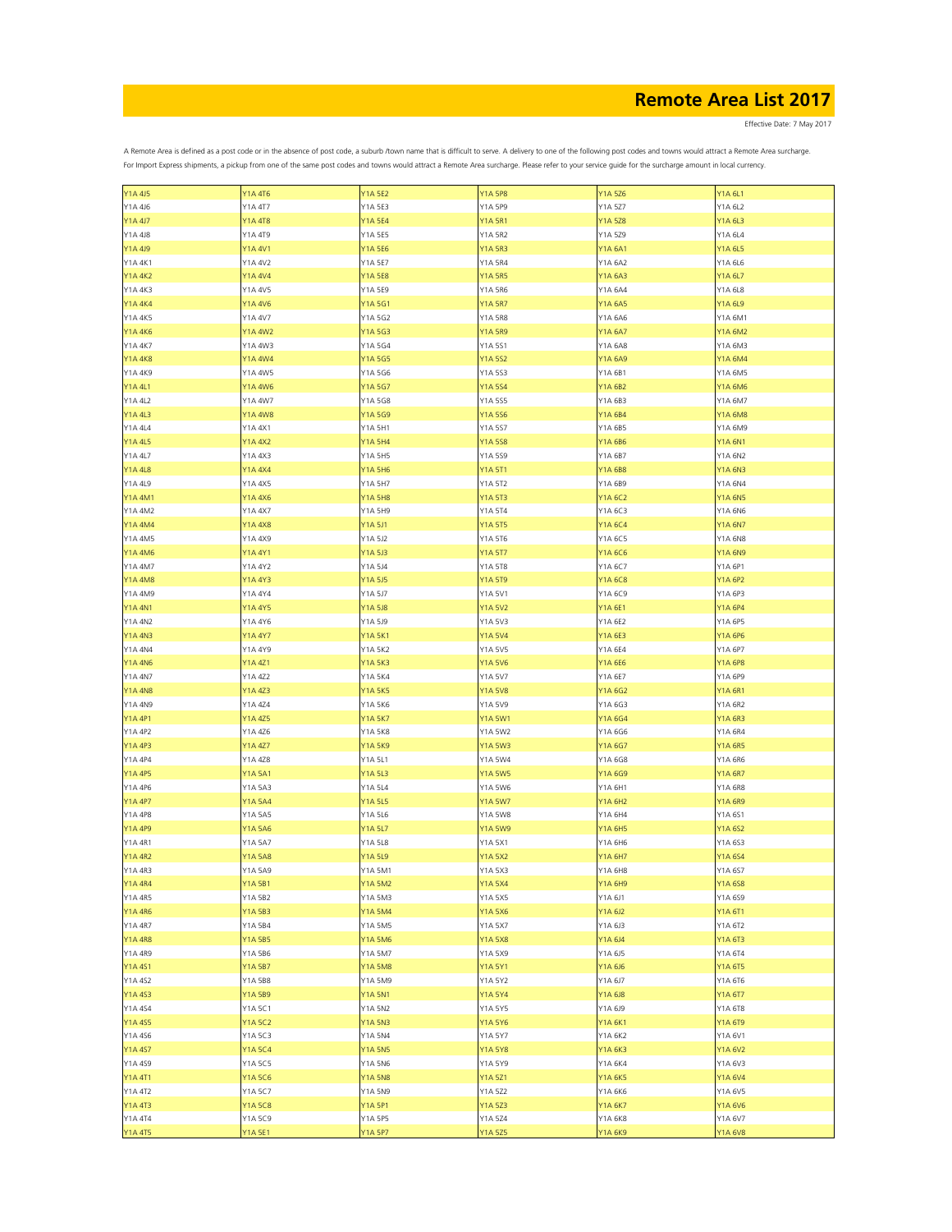Effective Date: 7 May 2017

| Y1A 4J5        | Y1A 4T6        | <b>Y1A 5E2</b> | <b>Y1A 5P8</b> | Y1A 5Z6        | Y1A 6L1        |
|----------------|----------------|----------------|----------------|----------------|----------------|
| Y1A 4J6        | Y1A 4T7        | Y1A 5E3        | Y1A 5P9        | Y1A 5Z7        | Y1A 6L2        |
| <b>Y1A 4J7</b> | <b>Y1A 4T8</b> | <b>Y1A 5E4</b> | <b>Y1A 5R1</b> | <b>Y1A 5Z8</b> | Y1A 6L3        |
|                |                |                |                |                |                |
| Y1A 4J8        | Y1A 4T9        | Y1A 5E5        | Y1A 5R2        | Y1A 5Z9        | Y1A 6L4        |
| Y1A 4J9        | <b>Y1A 4V1</b> | Y1A 5E6        | <b>Y1A 5R3</b> | Y1A 6A1        | Y1A 6L5        |
| Y1A 4K1        | Y1A 4V2        | Y1A 5E7        | Y1A 5R4        | Y1A 6A2        | Y1A 6L6        |
| <b>Y1A 4K2</b> | Y1A 4V4        | <b>Y1A 5E8</b> | <b>Y1A 5R5</b> | Y1A 6A3        | Y1A 6L7        |
|                |                |                |                |                |                |
| Y1A 4K3        | Y1A 4V5        | Y1A 5E9        | Y1A 5R6        | Y1A 6A4        | Y1A 6L8        |
| <b>Y1A 4K4</b> | Y1A 4V6        | Y1A 5G1        | <b>Y1A 5R7</b> | Y1A 6A5        | Y1A 6L9        |
| Y1A 4K5        | Y1A 4V7        | Y1A 5G2        | Y1A 5R8        | Y1A 6A6        | Y1A 6M1        |
|                |                |                |                |                |                |
| Y1A 4K6        | <b>Y1A 4W2</b> | Y1A 5G3        | <b>Y1A 5R9</b> | Y1A 6A7        | <b>Y1A 6M2</b> |
| Y1A 4K7        | Y1A 4W3        | Y1A 5G4        | Y1A 5S1        | Y1A 6A8        | Y1A 6M3        |
| <b>Y1A 4K8</b> | Y1A 4W4        | Y1A 5G5        | Y1A 5S2        | Y1A 6A9        | <b>Y1A 6M4</b> |
| Y1A 4K9        | Y1A 4W5        | Y1A 5G6        | Y1A 5S3        | Y1A 6B1        | Y1A 6M5        |
|                |                |                |                |                |                |
| <b>Y1A 4L1</b> | Y1A 4W6        | Y1A 5G7        | Y1A 5S4        | Y1A 6B2        | <b>Y1A 6M6</b> |
| Y1A 4L2        | Y1A 4W7        | Y1A 5G8        | Y1A 5S5        | Y1A 6B3        | Y1A 6M7        |
| <b>Y1A 4L3</b> | Y1A 4W8        | Y1A 5G9        | Y1A 556        | <b>Y1A 6B4</b> | <b>Y1A 6M8</b> |
|                |                |                |                |                |                |
| Y1A 4L4        | Y1A 4X1        | Y1A 5H1        | Y1A 5S7        | Y1A 6B5        | Y1A 6M9        |
| <b>Y1A 4L5</b> | <b>Y1A 4X2</b> | Y1A 5H4        | Y1A 558        | <b>Y1A 6B6</b> | <b>Y1A 6N1</b> |
| Y1A 4L7        | Y1A 4X3        | Y1A 5H5        | Y1A 5S9        | Y1A 6B7        | Y1A 6N2        |
| <b>Y1A 4L8</b> | <b>Y1A 4X4</b> | Y1A 5H6        | Y1A 5T1        | <b>Y1A 6B8</b> | <b>Y1A 6N3</b> |
|                |                |                |                |                |                |
| Y1A 4L9        | Y1A 4X5        | Y1A 5H7        | Y1A 5T2        | Y1A 6B9        | Y1A 6N4        |
| <b>Y1A 4M1</b> | Y1A 4X6        | <b>Y1A 5H8</b> | Y1A 5T3        | Y1A 6C2        | <b>Y1A 6N5</b> |
| Y1A 4M2        | Y1A 4X7        | Y1A 5H9        | Y1A 5T4        | Y1A 6C3        | Y1A 6N6        |
|                |                |                |                |                |                |
| Y1A 4M4        | <b>Y1A 4X8</b> | Y1A 5J1        | Y1A 5T5        | <b>Y1A 6C4</b> | <b>Y1A 6N7</b> |
| Y1A 4M5        | Y1A 4X9        | Y1A 5J2        | Y1A 5T6        | Y1A 6C5        | Y1A 6N8        |
| <b>Y1A 4M6</b> | <b>Y1A 4Y1</b> | <b>Y1A 5J3</b> | Y1A 5T7        | <b>Y1A 6C6</b> | <b>Y1A 6N9</b> |
|                |                |                |                |                |                |
| Y1A 4M7        | Y1A 4Y2        | Y1A 5J4        | Y1A 5T8        | Y1A 6C7        | Y1A 6P1        |
| <b>Y1A 4M8</b> | <b>Y1A 4Y3</b> | <b>Y1A 5J5</b> | Y1A 5T9        | <b>Y1A 6C8</b> | <b>Y1A 6P2</b> |
| Y1A 4M9        | Y1A 4Y4        | Y1A 5J7        | Y1A 5V1        | Y1A 6C9        | Y1A 6P3        |
| <b>Y1A 4N1</b> | <b>Y1A 4Y5</b> | <b>Y1A 5J8</b> | <b>Y1A 5V2</b> | <b>Y1A 6E1</b> | <b>Y1A 6P4</b> |
|                |                |                |                |                |                |
| <b>Y1A 4N2</b> | Y1A 4Y6        | Y1A 5J9        | Y1A 5V3        | Y1A 6E2        | Y1A 6P5        |
| <b>Y1A 4N3</b> | Y1A 4Y7        | <b>Y1A 5K1</b> | Y1A 5V4        | <b>Y1A 6E3</b> | Y1A 6P6        |
| Y1A 4N4        | Y1A 4Y9        | Y1A 5K2        | Y1A 5V5        | Y1A 6E4        | Y1A 6P7        |
|                |                |                |                |                |                |
| <b>Y1A 4N6</b> | Y1A 4Z1        | Y1A 5K3        | Y1A 5V6        | Y1A 6E6        | <b>Y1A 6P8</b> |
| <b>Y1A 4N7</b> | Y1A 4Z2        | Y1A 5K4        | Y1A 5V7        | Y1A 6E7        | Y1A 6P9        |
| <b>Y1A 4N8</b> | Y1A 4Z3        | <b>Y1A 5K5</b> | <b>Y1A 5V8</b> | Y1A 6G2        | <b>Y1A 6R1</b> |
| Y1A 4N9        |                |                | Y1A 5V9        |                |                |
|                | Y1A 4Z4        | Y1A 5K6        |                | Y1A 6G3        | Y1A 6R2        |
| <b>Y1A 4P1</b> | <b>Y1A 4Z5</b> | <b>Y1A 5K7</b> | Y1A 5W1        | Y1A 6G4        | <b>Y1A 6R3</b> |
| Y1A 4P2        | Y1A 4Z6        | Y1A 5K8        | Y1A 5W2        | Y1A 6G6        | Y1A 6R4        |
| <b>Y1A 4P3</b> | <b>Y1A 4Z7</b> | <b>Y1A 5K9</b> | Y1A 5W3        | Y1A 6G7        | <b>Y1A 6R5</b> |
|                |                |                |                |                |                |
| Y1A 4P4        | Y1A 4Z8        | Y1A 5L1        | Y1A 5W4        | Y1A 6G8        | Y1A 6R6        |
| <b>Y1A 4P5</b> | Y1A 5A1        | <b>Y1A 5L3</b> | Y1A 5W5        | Y1A 6G9        | <b>Y1A 6R7</b> |
| Y1A 4P6        | Y1A 5A3        | Y1A 5L4        | Y1A 5W6        | Y1A 6H1        | Y1A 6R8        |
|                |                |                |                |                |                |
| <b>Y1A 4P7</b> | Y1A 5A4        | <b>Y1A 5L5</b> | Y1A 5W7        | Y1A 6H2        | <b>Y1A 6R9</b> |
| Y1A 4P8        | Y1A 5A5        | Y1A 5L6        | Y1A 5W8        | Y1A 6H4        | Y1A 6S1        |
| <b>Y1A 4P9</b> | Y1A 5A6        | Y1A 5L7        | Y1A 5W9        | Y1A 6H5        | Y1A 6S2        |
| Y1A 4R1        | Y1A 5A7        | Y1A 5L8        | Y1A 5X1        | Y1A 6H6        | Y1A 6S3        |
|                |                |                |                |                |                |
| <b>Y1A 4R2</b> | <b>Y1A 5A8</b> | Y1A 5L9        | <b>Y1A 5X2</b> | Y1A 6H7        | Y1A 6S4        |
| Y1A 4R3        | Y1A 5A9        | Y1A 5M1        | Y1A 5X3        | Y1A 6H8        | Y1A 6S7        |
| <b>Y1A 4R4</b> | Y1A 5B1        | Y1A 5M2        | Y1A 5X4        | Y1A 6H9        | Y1A 658        |
| Y1A 4R5        | Y1A 5B2        | Y1A 5M3        | Y1A 5X5        | Y1A 6J1        | Y1A 6S9        |
|                |                |                |                |                |                |
| <b>Y1A 4R6</b> | Y1A 5B3        | <b>Y1A 5M4</b> | Y1A 5X6        | Y1A 6J2        | Y1A 6T1        |
| Y1A 4R7        | Y1A 5B4        | Y1A 5M5        | Y1A 5X7        | Y1A 6J3        | Y1A 6T2        |
| <b>Y1A 4R8</b> | Y1A 5B5        | Y1A 5M6        | Y1A 5X8        | Y1A 6J4        | Y1A 6T3        |
|                |                |                |                |                |                |
| Y1A 4R9        | Y1A 5B6        | Y1A 5M7        | Y1A 5X9        | Y1A 6J5        | Y1A 6T4        |
| <b>Y1A 4S1</b> | <b>Y1A 5B7</b> | <b>Y1A 5M8</b> | Y1A 5Y1        | Y1A 6J6        | Y1A 6T5        |
| Y1A 4S2        | Y1A 5B8        | Y1A 5M9        | Y1A 5Y2        | Y1A 6J7        | Y1A 6T6        |
| Y1A 4S3        | Y1A 5B9        | <b>Y1A 5N1</b> | Y1A 5Y4        | Y1A 6J8        | Y1A 6T7        |
|                |                |                |                |                |                |
| Y1A 4S4        | Y1A 5C1        | Y1A 5N2        | Y1A 5Y5        | Y1A 6J9        | Y1A 6T8        |
| Y1A 4S5        | Y1A 5C2        | <b>Y1A 5N3</b> | Y1A 5Y6        | Y1A 6K1        | Y1A 6T9        |
| Y1A 4S6        | Y1A 5C3        | Y1A 5N4        | Y1A 5Y7        | Y1A 6K2        | Y1A 6V1        |
|                |                |                |                |                |                |
| <b>Y1A 4S7</b> | Y1A 5C4        | <b>Y1A 5N5</b> | Y1A 5Y8        | Y1A 6K3        | <b>Y1A 6V2</b> |
| Y1A 4S9        | Y1A 5C5        | Y1A 5N6        | Y1A 5Y9        | Y1A 6K4        | Y1A 6V3        |
| <b>Y1A 4T1</b> | Y1A 5C6        | <b>Y1A 5N8</b> | Y1A 5Z1        | Y1A 6K5        | Y1A 6V4        |
|                |                |                |                |                |                |
| Y1A 4T2        | Y1A 5C7        | Y1A 5N9        | Y1A 5Z2        | Y1A 6K6        | Y1A 6V5        |
| Y1A 4T3        | Y1A 5C8        | <b>Y1A 5P1</b> | Y1A 5Z3        | <b>Y1A 6K7</b> | <b>Y1A 6V6</b> |
| Y1A 4T4        | Y1A 5C9        | Y1A 5P5        | Y1A 5Z4        | Y1A 6K8        | Y1A 6V7        |
| <b>Y1A 4T5</b> | Y1A 5E1        | Y1A 5P7        | Y1A 5Z5        | Y1A 6K9        | <b>Y1A 6V8</b> |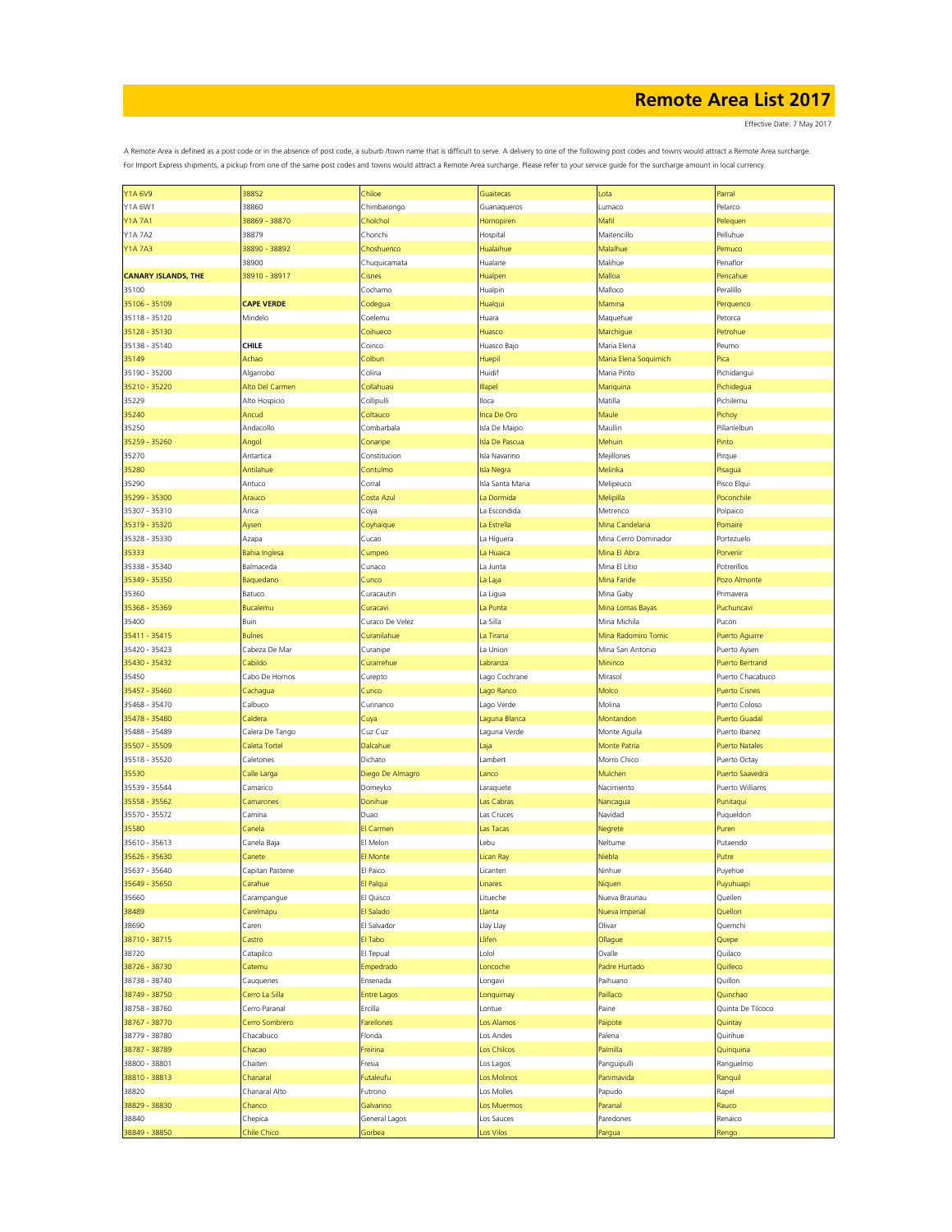Effective Date: 7 May 2017

| <b>Y1A 6V9</b>             |                   |                    |                       |                       |                       |
|----------------------------|-------------------|--------------------|-----------------------|-----------------------|-----------------------|
|                            | 38852             | Chiloe             | Guaitecas             | Lota                  | Parral                |
| Y1A 6W1                    | 38860             | Chimbarongo        | Guanaqueros           | Lumaco                | Pelarco               |
| Y1A 7A1                    | 38869 - 38870     | Cholchol           | Hornopiren            | Mafil                 | Pelequen              |
| Y1A 7A2                    | 38879             | Chonchi            | Hospital              | Maitencillo           | Pelluhue              |
| <b>Y1A 7A3</b>             | 38890 - 38892     | Choshuenco         | Hualaihue             | Malalhue              | Pemuco                |
|                            | 38900             |                    | Hualane               | Malihue               | Penaflor              |
|                            |                   | Chuquicamata       |                       |                       |                       |
| <b>CANARY ISLANDS, THE</b> | 38910 - 38917     | Cisnes             | Hualpen               | Malloa                | Pencahue              |
| 35100                      |                   | Cochamo            | Hualpin               | Malloco               | Peralillo             |
| 35106 - 35109              | <b>CAPE VERDE</b> | Codegua            | Hualqui               | Mamina                | Perquenco             |
| 35118 - 35120              | Mindelo           | Coelemu            | Huara                 | Maquehue              | Petorca               |
|                            |                   |                    |                       |                       |                       |
| 35128 - 35130              |                   | Coihueco           | Huasco                | Marchigue             | Petrohue              |
| 35138 - 35140              | <b>CHILE</b>      | Coinco             | Huasco Bajo           | Maria Elena           | Peumo                 |
| 35149                      | Achao             | <b>Colbun</b>      | Huepil                | Maria Elena Soguimich | Pica                  |
| 35190 - 35200              | Algarrobo         | Colina             | Huidif                | Maria Pinto           | Pichidangui           |
| 35210 - 35220              | Alto Del Carmen   | Collahuasi         | <b>Illapel</b>        | Mariquina             | Pichidegua            |
|                            |                   |                    |                       |                       |                       |
| 35229                      | Alto Hospicio     | Collipulli         | Iloca                 | Matilla               | Pichilemu             |
| 35240                      | Ancud             | Coltauco           | Inca De Oro           | Maule                 | Pichoy                |
| 35250                      | Andacollo         | Combarbala         | Isla De Maipo         | Maullin               | Pillanlelbun          |
| 35259 - 35260              | Angol             | Conaripe           | <b>Isla De Pascua</b> | Mehuin                | Pinto                 |
|                            |                   |                    |                       |                       |                       |
| 35270                      | Antartica         | Constitucion       | Isla Navarino         | Mejillones            | Pirque                |
| 35280                      | Antilahue         | Contulmo           | <b>Isla Negra</b>     | Melinka               | Pisagua               |
| 35290                      | Antuco            | Corral             | Isla Santa Maria      | Melipeuco             | Pisco Elqui           |
| 35299 - 35300              | Arauco            | Costa Azul         | La Dormida            | Melipilla             | Poconchile            |
| 35307 - 35310              | Arica             |                    | La Escondida          | Metrenco              | Polpaico              |
|                            |                   | Coya               |                       |                       |                       |
| 35319 - 35320              | Aysen             | Coyhaique          | La Estrella           | Mina Candelaria       | Pomaire               |
| 35328 - 35330              | Azapa             | Cucao              | La Higuera            | Mina Cerro Dominador  | Portezuelo            |
| 35333                      | Bahia Inglesa     | Cumpeo             | La Huaica             | Mina El Abra          | Porvenir              |
| 35338 - 35340              | Balmaceda         | Cunaco             | La Junta              | Mina El Litio         | Potrerillos           |
|                            |                   |                    |                       |                       |                       |
| 35349 - 35350              | Baquedano         | Cunco              | La Laja               | Mina Faride           | Pozo Almonte          |
| 35360                      | Batuco            | Curacautin         | La Ligua              | Mina Gaby             | Primavera             |
| 35368 - 35369              | Bucalemu          | Curacavi           | La Punta              | Mina Lomas Bayas      | Puchuncavi            |
| 35400                      | Buin              | Curaco De Velez    | La Silla              | Mina Michila          | Pucon                 |
|                            |                   |                    |                       |                       |                       |
| 35411 - 35415              | <b>Bulnes</b>     | Curanilahue        | La Tirana             | Mina Radomiro Tomic   | Puerto Aguirre        |
| 35420 - 35423              | Cabeza De Mar     | Curanipe           | La Union              | Mina San Antonio      | Puerto Aysen          |
| 35430 - 35432              | Cabildo           | Curarrehue         | Labranza              | Mininco               | Puerto Bertrand       |
| 35450                      | Cabo De Hornos    | Curepto            | Lago Cochrane         | Mirasol               | Puerto Chacabuco      |
| 35457 - 35460              |                   | Curico             |                       | Molco                 | <b>Puerto Cisnes</b>  |
|                            | Cachagua          |                    | Lago Ranco            |                       |                       |
| 35468 - 35470              | Calbuco           | Curinanco          | Lago Verde            | Molina                | Puerto Coloso         |
| 35478 - 35480              | Caldera           | Cuya               | Laguna Blanca         | Montandon             | Puerto Guadal         |
| 35488 - 35489              | Calera De Tango   | Cuz Cuz            | Laguna Verde          | Monte Aguila          | Puerto Ibanez         |
| 35507 - 35509              | Caleta Tortel     | Dalcahue           | Laja                  | Monte Patria          | <b>Puerto Natales</b> |
|                            |                   |                    |                       |                       |                       |
| 35518 - 35520              | Caletones         | Dichato            | Lambert               | Morro Chico           | Puerto Octay          |
| 35530                      | Calle Larga       | Diego De Almagro   | Lanco                 | Mulchen               | Puerto Saavedra       |
| 35539 - 35544              | Camarico          | Domeyko            | Laraquete             | Nacimiento            | Puerto Williams       |
| 35558 - 35562              | Camarones         | Donihue            | Las Cabras            | Nancagua              | Punitaqui             |
|                            |                   |                    |                       |                       |                       |
| 35570 - 35572              | Camina            | Duao               | Las Cruces            | Navidad               | Puqueldon             |
| 35580                      | Canela            | El Carmen          | Las Tacas             | Negrete               | Puren                 |
| 35610 - 35613              | Canela Baja       | El Melon           | Lebu                  | Neltume               | Putaendo              |
| 35626 - 35630              | Canete            | El Monte           | Lican Ray             | Niebla                | Putre                 |
| 35637 - 35640              | Capitan Pastene   | El Paico           | Licanten              | Ninhue                | Puyehue               |
|                            |                   |                    |                       |                       |                       |
| 35649 - 35650              | Carahue           | El Palqui          | Linares               | Niquen                | Puyuhuapi             |
| 35660                      | Carampangue       | El Quisco          | Litueche              | Nueva Braunau         | Queilen               |
| 38489                      | Carelmapu         | El Salado          | Llanta                | Nueva Imperial        | Quellon               |
| 38690                      | Caren             | El Salvador        | Llay Llay             | Olivar                | Quemchi               |
| 38710 - 38715              | Castro            | El Tabo            | Llifen                | Ollague               |                       |
|                            |                   |                    |                       |                       | Quepe                 |
| 38720                      | Catapilco         | El Tepual          | Lolol                 | Ovalle                | Quilaco               |
| 38726 - 38730              | Catemu            | Empedrado          | Loncoche              | Padre Hurtado         | Quilleco              |
| 38738 - 38740              | Cauquenes         | Ensenada           | Longavi               | Paihuano              | Quillon               |
| 38749 - 38750              | Cerro La Silla    | <b>Entre Lagos</b> | Lonquimay             | Paillaco              | Quinchao              |
|                            |                   |                    |                       |                       |                       |
| 38758 - 38760              | Cerro Paranal     | Ercilla            | Lontue                | Paine                 | Quinta De Tilcoco     |
| 38767 - 38770              | Cerro Sombrero    | Farellones         | Los Alamos            | Paipote               | Quintay               |
| 38779 - 38780              | Chacabuco         | Florida            | Los Andes             | Palena                | Quirihue              |
| 38787 - 38789              | Chacao            | Freirina           | Los Chilcos           | Palmilla              | Quiriquina            |
|                            |                   |                    |                       |                       |                       |
| 38800 - 38801              | Chaiten           | Fresia             | Los Lagos             | Panguipulli           | Ranguelmo             |
| 38810 - 38813              | Chanaral          | Futaleufu          | Los Molinos           | Panimavida            | Ranquil               |
| 38820                      | Chanaral Alto     | Futrono            | Los Molles            | Papudo                | Rapel                 |
| 38829 - 38830              | Chanco            | Galvarino          | Los Muermos           | Paranal               | Rauco                 |
|                            |                   |                    |                       |                       |                       |
| 38840                      | Chepica           | General Lagos      | Los Sauces            | Paredones             | Renaico               |
| 38849 - 38850              | Chile Chico       | Gorbea             | Los Vilos             | Pargua                | Rengo                 |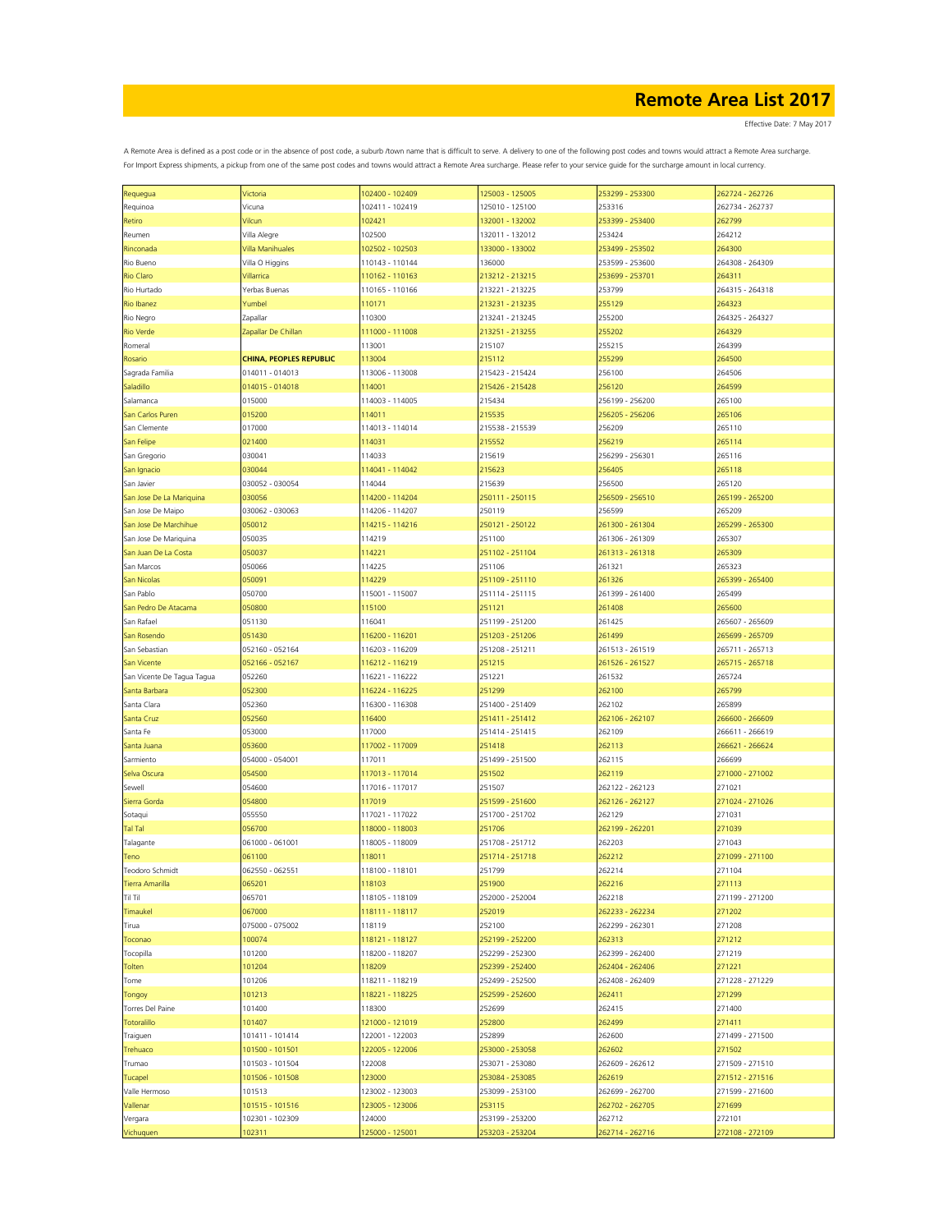| Requegua                   | Victoria                       | 102400 - 102409 | 125003 - 125005 | 253299 - 253300 | 262724 - 262726 |
|----------------------------|--------------------------------|-----------------|-----------------|-----------------|-----------------|
| Requinoa                   | Vicuna                         | 102411 - 102419 | 125010 - 125100 | 253316          | 262734 - 262737 |
| Retiro                     | Vilcun                         | 102421          | 132001 - 132002 | 253399 - 253400 | 262799          |
|                            |                                |                 |                 |                 |                 |
| Reumen                     | Villa Alegre                   | 102500          | 132011 - 132012 | 253424          | 264212          |
| Rinconada                  | Villa Manihuales               | 102502 - 102503 | 133000 - 133002 | 253499 - 253502 | 264300          |
| Rio Bueno                  | Villa O Higgins                | 110143 - 110144 | 136000          | 253599 - 253600 | 264308 - 264309 |
| <b>Rio Claro</b>           | Villarrica                     | 110162 - 110163 | 213212 - 213215 | 253699 - 253701 | 264311          |
| Rio Hurtado                | Yerbas Buenas                  | 110165 - 110166 | 213221 - 213225 | 253799          | 264315 - 264318 |
| Rio Ibanez                 | Yumbel                         | 110171          | 213231 - 213235 | 255129          | 264323          |
|                            |                                |                 |                 |                 |                 |
| Rio Negro                  | Zapallar                       | 110300          | 213241 - 213245 | 255200          | 264325 - 264327 |
| <b>Rio Verde</b>           | Zapallar De Chillan            | 111000 - 111008 | 213251 - 213255 | 255202          | 264329          |
| Romeral                    |                                | 113001          | 215107          | 255215          | 264399          |
| Rosario                    | <b>CHINA, PEOPLES REPUBLIC</b> | 113004          | 215112          | 255299          | 264500          |
| Sagrada Familia            | 014011 - 014013                | 113006 - 113008 | 215423 - 215424 | 256100          | 264506          |
|                            |                                |                 | 215426 - 215428 |                 |                 |
| Saladillo                  | 014015 - 014018                | 114001          |                 | 256120          | 264599          |
| Salamanca                  | 015000                         | 114003 - 114005 | 215434          | 256199 - 256200 | 265100          |
| San Carlos Puren           | 015200                         | 114011          | 215535          | 256205 - 256206 | 265106          |
| San Clemente               | 017000                         | 114013 - 114014 | 215538 - 215539 | 256209          | 265110          |
| San Felipe                 | 021400                         | 114031          | 215552          | 256219          | 265114          |
|                            |                                |                 |                 |                 |                 |
| San Gregorio               | 030041                         | 114033          | 215619          | 256299 - 256301 | 265116          |
| San Ignacio                | 030044                         | 114041 - 114042 | 215623          | 256405          | 265118          |
| San Javier                 | 030052 - 030054                | 114044          | 215639          | 256500          | 265120          |
| San Jose De La Mariquina   | 030056                         | 114200 - 114204 | 250111 - 250115 | 256509 - 256510 | 265199 - 265200 |
| San Jose De Maipo          | 030062 - 030063                | 114206 - 114207 | 250119          | 256599          | 265209          |
| San Jose De Marchihue      | 050012                         | 114215 - 114216 | 250121 - 250122 | 261300 - 261304 | 265299 - 265300 |
|                            |                                |                 |                 |                 |                 |
| San Jose De Mariquina      | 050035                         | 114219          | 251100          | 261306 - 261309 | 265307          |
| San Juan De La Costa       | 050037                         | 114221          | 251102 - 251104 | 261313 - 261318 | 265309          |
| San Marcos                 | 050066                         | 114225          | 251106          | 261321          | 265323          |
| <b>San Nicolas</b>         | 050091                         | 114229          | 251109 - 251110 | 261326          | 265399 - 265400 |
| San Pablo                  | 050700                         | 115001 - 115007 | 251114 - 251115 | 261399 - 261400 | 265499          |
|                            |                                |                 |                 |                 |                 |
| San Pedro De Atacama       | 050800                         | 115100          | 251121          | 261408          | 265600          |
| San Rafael                 | 051130                         | 116041          | 251199 - 251200 | 261425          | 265607 - 265609 |
| San Rosendo                | 051430                         | 116200 - 116201 | 251203 - 251206 | 261499          | 265699 - 265709 |
| San Sebastian              | 052160 - 052164                | 116203 - 116209 | 251208 - 251211 | 261513 - 261519 | 265711 - 265713 |
| San Vicente                | 052166 - 052167                | 116212 - 116219 | 251215          | 261526 - 261527 | 265715 - 265718 |
|                            |                                |                 |                 |                 |                 |
| San Vicente De Tagua Tagua | 052260                         | 116221 - 116222 | 251221          | 261532          | 265724          |
| Santa Barbara              | 052300                         | 116224 - 116225 | 251299          | 262100          | 265799          |
| Santa Clara                | 052360                         | 116300 - 116308 | 251400 - 251409 | 262102          | 265899          |
| Santa Cruz                 | 052560                         | 116400          | 251411 - 251412 | 262106 - 262107 | 266600 - 266609 |
| Santa Fe                   | 053000                         | 117000          | 251414 - 251415 | 262109          | 266611 - 266619 |
|                            |                                |                 |                 |                 |                 |
| Santa Juana                | 053600                         | 117002 - 117009 | 251418          | 262113          | 266621 - 266624 |
| Sarmiento                  | 054000 - 054001                | 117011          | 251499 - 251500 | 262115          | 266699          |
| Selva Oscura               | 054500                         | 117013 - 117014 | 251502          | 262119          | 271000 - 271002 |
| Sewell                     | 054600                         | 117016 - 117017 | 251507          | 262122 - 262123 | 271021          |
| Sierra Gorda               | 054800                         | 117019          | 251599 - 251600 | 262126 - 262127 | 271024 - 271026 |
|                            |                                |                 |                 |                 | 271031          |
| Sotaqui                    | 055550                         | 117021 - 117022 | 251700 - 251702 | 262129          |                 |
| <b>Tal Tal</b>             | 056700                         | 118000 - 118003 | 251706          | 262199 - 262201 | 271039          |
| Talagante                  | 061000 - 061001                | 118005 - 118009 | 251708 - 251712 | 262203          | 271043          |
| Teno                       | 061100                         | 118011          | 251714 - 251718 | 262212          | 271099 - 271100 |
| Teodoro Schmidt            | 062550 - 062551                | 118100 - 118101 | 251799          | 262214          | 271104          |
| <b>Tierra Amarilla</b>     | 065201                         | 118103          | 251900          | 262216          | 271113          |
|                            |                                |                 | 252000 - 252004 |                 |                 |
| Til Til                    | 065701                         | 118105 - 118109 |                 | 262218          | 271199 - 271200 |
| Timaukel                   | 067000                         | 118111 - 118117 | 252019          | 262233 - 262234 | 271202          |
| Tirua                      | 075000 - 075002                | 118119          | 252100          | 262299 - 262301 | 271208          |
| Toconao                    | 100074                         | 118121 - 118127 | 252199 - 252200 | 262313          | 271212          |
| Tocopilla                  | 101200                         | 118200 - 118207 | 252299 - 252300 | 262399 - 262400 | 271219          |
| Tolten                     | 101204                         | 118209          | 252399 - 252400 | 262404 - 262406 | 271221          |
|                            |                                |                 |                 |                 |                 |
| Tome                       | 101206                         | 118211 - 118219 | 252499 - 252500 | 262408 - 262409 | 271228 - 271229 |
| Tongoy                     | 101213                         | 118221 - 118225 | 252599 - 252600 | 262411          | 271299          |
| Torres Del Paine           | 101400                         | 118300          | 252699          | 262415          | 271400          |
| Totoralillo                | 101407                         | 121000 - 121019 | 252800          | 262499          | 271411          |
| Traiguen                   | 101411 - 101414                | 122001 - 122003 | 252899          | 262600          | 271499 - 271500 |
|                            |                                |                 |                 |                 |                 |
| Trehuaco                   | 101500 - 101501                | 122005 - 122006 | 253000 - 253058 | 262602          | 271502          |
| Trumao                     | 101503 - 101504                | 122008          | 253071 - 253080 | 262609 - 262612 | 271509 - 271510 |
| Tucapel                    | 101506 - 101508                | 123000          | 253084 - 253085 | 262619          | 271512 - 271516 |
| Valle Hermoso              | 101513                         | 123002 - 123003 | 253099 - 253100 | 262699 - 262700 | 271599 - 271600 |
| Vallenar                   | 101515 - 101516                | 123005 - 123006 | 253115          | 262702 - 262705 | 271699          |
|                            |                                |                 |                 |                 |                 |
| Vergara                    | 102301 - 102309                | 124000          | 253199 - 253200 | 262712          | 272101          |
| Vichuquen                  | 102311                         | 125000 - 125001 | 253203 - 253204 | 262714 - 262716 | 272108 - 272109 |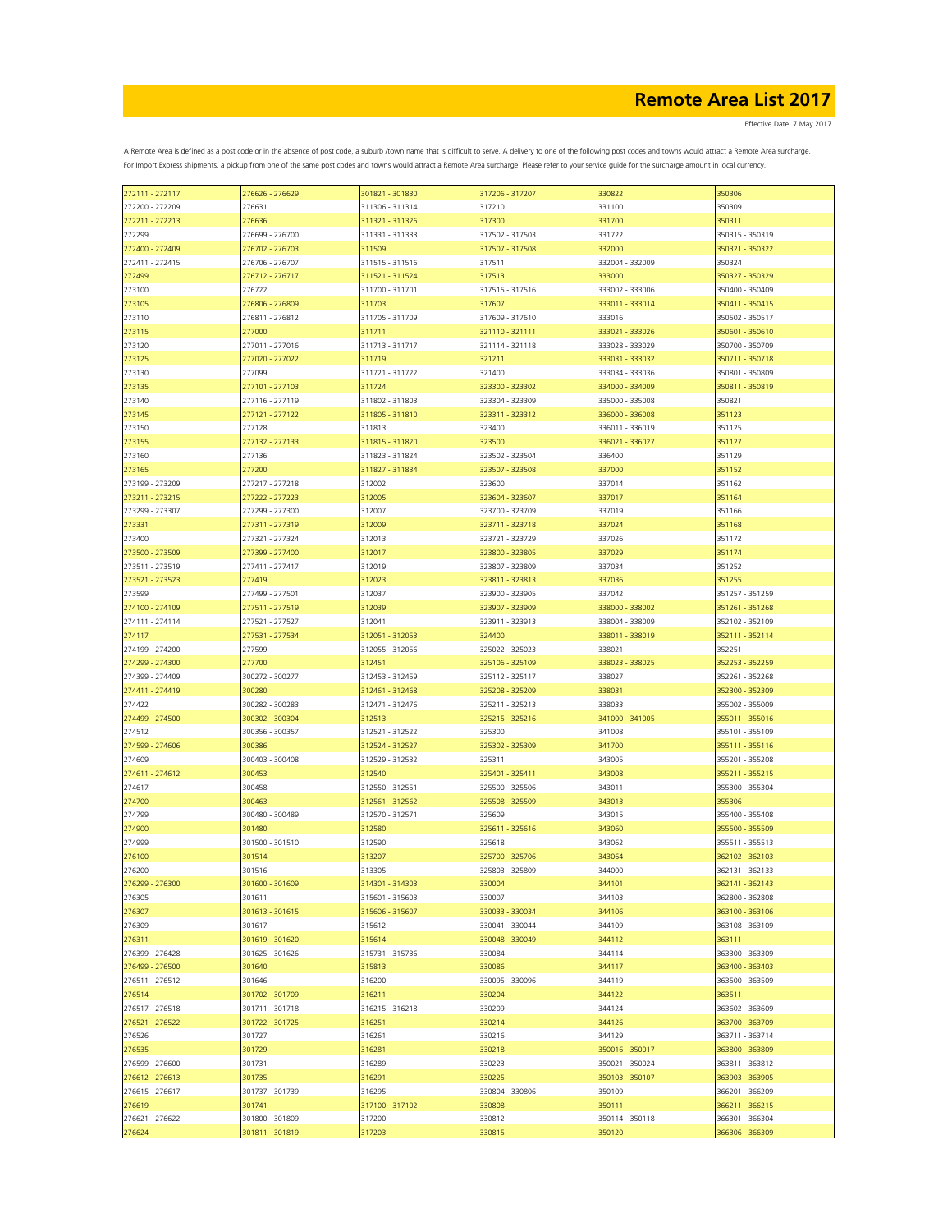| 272111 - 272117 | 276626 - 276629 | 301821 - 301830 | 317206 - 317207 | 330822          | 350306          |
|-----------------|-----------------|-----------------|-----------------|-----------------|-----------------|
| 272200 - 272209 | 276631          | 311306 - 311314 | 317210          | 331100          | 350309          |
| 272211 - 272213 | 276636          | 311321 - 311326 | 317300          | 331700          | 350311          |
|                 |                 |                 |                 |                 |                 |
| 272299          | 276699 - 276700 | 311331 - 311333 | 317502 - 317503 | 331722          | 350315 - 350319 |
| 272400 - 272409 | 276702 - 276703 | 311509          | 317507 - 317508 | 332000          | 350321 - 350322 |
| 272411 - 272415 | 276706 - 276707 | 311515 - 311516 | 317511          | 332004 - 332009 | 350324          |
| 272499          | 276712 - 276717 | 311521 - 311524 | 317513          | 333000          | 350327 - 350329 |
|                 |                 |                 |                 |                 |                 |
| 273100          | 276722          | 311700 - 311701 | 317515 - 317516 | 333002 - 333006 | 350400 - 350409 |
| 273105          | 276806 - 276809 | 311703          | 317607          | 333011 - 333014 | 350411 - 350415 |
| 273110          | 276811 - 276812 | 311705 - 311709 | 317609 - 317610 | 333016          | 350502 - 350517 |
|                 |                 |                 |                 | 333021 - 333026 |                 |
| 273115          | 277000          | 311711          | 321110 - 321111 |                 | 350601 - 350610 |
| 273120          | 277011 - 277016 | 311713 - 311717 | 321114 - 321118 | 333028 - 333029 | 350700 - 350709 |
| 273125          | 277020 - 277022 | 311719          | 321211          | 333031 - 333032 | 350711 - 350718 |
| 273130          | 277099          | 311721 - 311722 | 321400          | 333034 - 333036 | 350801 - 350809 |
|                 |                 |                 |                 |                 |                 |
| 273135          | 277101 - 277103 | 311724          | 323300 - 323302 | 334000 - 334009 | 350811 - 350819 |
| 273140          | 277116 - 277119 | 311802 - 311803 | 323304 - 323309 | 335000 - 335008 | 350821          |
| 273145          | 277121 - 277122 | 311805 - 311810 | 323311 - 323312 | 336000 - 336008 | 351123          |
|                 | 277128          |                 |                 |                 | 351125          |
| 273150          |                 | 311813          | 323400          | 336011 - 336019 |                 |
| 273155          | 277132 - 277133 | 311815 - 311820 | 323500          | 336021 - 336027 | 351127          |
| 273160          | 277136          | 311823 - 311824 | 323502 - 323504 | 336400          | 351129          |
| 273165          | 277200          | 311827 - 311834 | 323507 - 323508 | 337000          | 351152          |
|                 |                 |                 |                 |                 |                 |
| 273199 - 273209 | 277217 - 277218 | 312002          | 323600          | 337014          | 351162          |
| 273211 - 273215 | 277222 - 277223 | 312005          | 323604 - 323607 | 337017          | 351164          |
| 273299 - 273307 | 277299 - 277300 | 312007          | 323700 - 323709 | 337019          | 351166          |
|                 |                 |                 |                 |                 |                 |
| 273331          | 277311 - 277319 | 312009          | 323711 - 323718 | 337024          | 351168          |
| 273400          | 277321 - 277324 | 312013          | 323721 - 323729 | 337026          | 351172          |
| 273500 - 273509 | 277399 - 277400 | 312017          | 323800 - 323805 | 337029          | 351174          |
| 273511 - 273519 | 277411 - 277417 | 312019          | 323807 - 323809 | 337034          | 351252          |
|                 |                 |                 |                 |                 |                 |
| 273521 - 273523 | 277419          | 312023          | 323811 - 323813 | 337036          | 351255          |
| 273599          | 277499 - 277501 | 312037          | 323900 - 323905 | 337042          | 351257 - 351259 |
| 274100 - 274109 | 277511 - 277519 | 312039          | 323907 - 323909 | 338000 - 338002 | 351261 - 351268 |
|                 |                 |                 |                 |                 |                 |
| 274111 - 274114 | 277521 - 277527 | 312041          | 323911 - 323913 | 338004 - 338009 | 352102 - 352109 |
| 274117          | 277531 - 277534 | 312051 - 312053 | 324400          | 338011 - 338019 | 352111 - 352114 |
| 274199 - 274200 | 277599          | 312055 - 312056 | 325022 - 325023 | 338021          | 352251          |
| 274299 - 274300 | 277700          | 312451          | 325106 - 325109 | 338023 - 338025 | 352253 - 352259 |
|                 |                 |                 |                 |                 |                 |
| 274399 - 274409 | 300272 - 300277 | 312453 - 312459 | 325112 - 325117 | 338027          | 352261 - 352268 |
| 274411 - 274419 | 300280          | 312461 - 312468 | 325208 - 325209 | 338031          | 352300 - 352309 |
| 274422          | 300282 - 300283 | 312471 - 312476 | 325211 - 325213 | 338033          | 355002 - 355009 |
|                 |                 |                 |                 |                 |                 |
| 274499 - 274500 | 300302 - 300304 | 312513          | 325215 - 325216 | 341000 - 341005 | 355011 - 355016 |
| 274512          | 300356 - 300357 | 312521 - 312522 | 325300          | 341008          | 355101 - 355109 |
| 274599 - 274606 | 300386          | 312524 - 312527 | 325302 - 325309 | 341700          | 355111 - 355116 |
| 274609          | 300403 - 300408 | 312529 - 312532 | 325311          | 343005          | 355201 - 355208 |
|                 |                 |                 |                 |                 |                 |
| 274611 - 274612 | 300453          | 312540          | 325401 - 325411 | 343008          | 355211 - 355215 |
| 274617          | 300458          | 312550 - 312551 | 325500 - 325506 | 343011          | 355300 - 355304 |
| 274700          | 300463          | 312561 - 312562 | 325508 - 325509 | 343013          | 355306          |
|                 |                 |                 |                 |                 |                 |
| 274799          | 300480 - 300489 | 312570 - 312571 | 325609          | 343015          | 355400 - 355408 |
| 274900          | 301480          | 312580          | 325611 - 325616 | 343060          | 355500 - 355509 |
| 274999          | 301500 - 301510 | 312590          | 325618          | 343062          | 355511 - 355513 |
| 276100          | 301514          | 313207          | 325700 - 325706 | 343064          | 362102 - 362103 |
|                 |                 |                 |                 |                 |                 |
| 276200          | 301516          | 313305          | 325803 - 325809 | 344000          | 362131 - 362133 |
| 276299 - 276300 | 301600 - 301609 | 314301 - 314303 | 330004          | 344101          | 362141 - 362143 |
| 276305          | 301611          | 315601 - 315603 | 330007          | 344103          | 362800 - 362808 |
| 276307          | 301613 - 301615 | 315606 - 315607 | 330033 - 330034 | 344106          | 363100 - 363106 |
|                 |                 |                 |                 |                 |                 |
| 276309          | 301617          | 315612          | 330041 - 330044 | 344109          | 363108 - 363109 |
| 276311          | 301619 - 301620 | 315614          | 330048 - 330049 | 344112          | 363111          |
| 276399 - 276428 | 301625 - 301626 | 315731 - 315736 | 330084          | 344114          | 363300 - 363309 |
|                 | 301640          |                 |                 | 344117          |                 |
| 276499 - 276500 |                 | 315813          | 330086          |                 | 363400 - 363403 |
| 276511 - 276512 | 301646          | 316200          | 330095 - 330096 | 344119          | 363500 - 363509 |
| 276514          | 301702 - 301709 | 316211          | 330204          | 344122          | 363511          |
| 276517 - 276518 | 301711 - 301718 | 316215 - 316218 | 330209          | 344124          | 363602 - 363609 |
|                 |                 |                 |                 |                 |                 |
| 276521 - 276522 | 301722 - 301725 | 316251          | 330214          | 344126          | 363700 - 363709 |
| 276526          | 301727          | 316261          | 330216          | 344129          | 363711 - 363714 |
| 276535          | 301729          | 316281          | 330218          | 350016 - 350017 | 363800 - 363809 |
| 276599 - 276600 | 301731          | 316289          | 330223          | 350021 - 350024 | 363811 - 363812 |
|                 |                 |                 |                 |                 |                 |
| 276612 - 276613 | 301735          | 316291          | 330225          | 350103 - 350107 | 363903 - 363905 |
| 276615 - 276617 | 301737 - 301739 | 316295          | 330804 - 330806 | 350109          | 366201 - 366209 |
| 276619          | 301741          | 317100 - 317102 | 330808          | 350111          | 366211 - 366215 |
|                 |                 |                 |                 |                 |                 |
| 276621 - 276622 | 301800 - 301809 | 317200          | 330812          | 350114 - 350118 | 366301 - 366304 |
| 276624          | 301811 - 301819 | 317203          | 330815          | 350120          | 366306 - 366309 |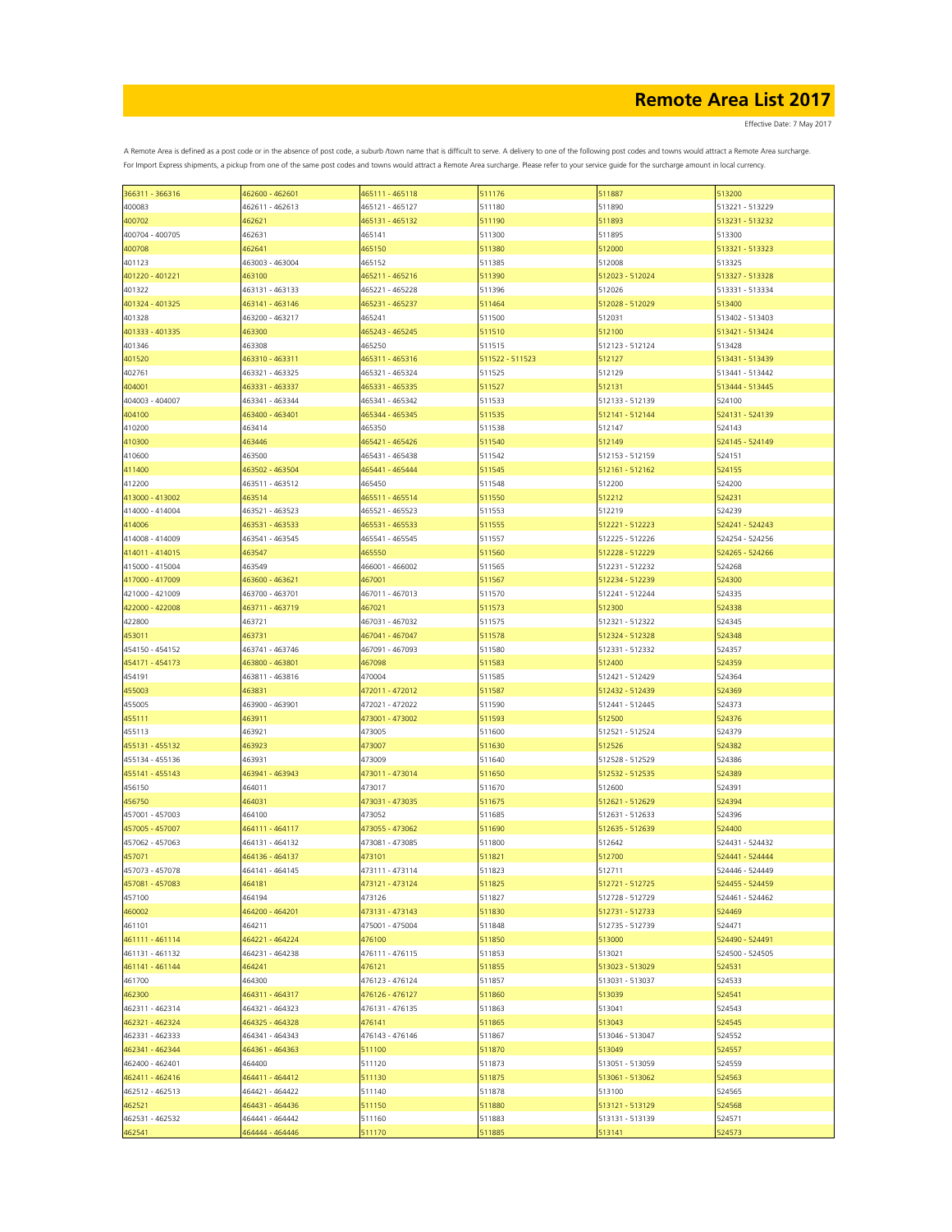Effective Date: 7 May 2017

| 366311 - 366316 | 462600 - 462601 | 465111 - 465118 | 511176          | 511887          | 513200          |
|-----------------|-----------------|-----------------|-----------------|-----------------|-----------------|
| 400083          | 462611 - 462613 | 465121 - 465127 | 511180          | 511890          | 513221 - 513229 |
| 400702          | 462621          | 465131 - 465132 | 511190          | 511893          | 513231 - 513232 |
|                 |                 |                 |                 |                 |                 |
| 400704 - 400705 | 462631          | 465141          | 511300          | 511895          | 513300          |
| 400708          | 462641          | 465150          | 511380          | 512000          | 513321 - 513323 |
| 401123          | 463003 - 463004 | 465152          | 511385          | 512008          | 513325          |
|                 | 463100          | 465211 - 465216 | 511390          |                 | 513327 - 513328 |
| 401220 - 401221 |                 |                 |                 | 512023 - 512024 |                 |
| 401322          | 463131 - 463133 | 465221 - 465228 | 511396          | 512026          | 513331 - 513334 |
| 401324 - 401325 | 463141 - 463146 | 465231 - 465237 | 511464          | 512028 - 512029 | 513400          |
| 401328          | 463200 - 463217 | 465241          | 511500          | 512031          | 513402 - 513403 |
|                 |                 |                 |                 |                 |                 |
| 401333 - 401335 | 463300          | 465243 - 465245 | 511510          | 512100          | 513421 - 513424 |
| 401346          | 463308          | 465250          | 511515          | 512123 - 512124 | 513428          |
| 401520          | 463310 - 463311 | 465311 - 465316 | 511522 - 511523 | 512127          | 513431 - 513439 |
| 402761          | 463321 - 463325 | 465321 - 465324 | 511525          | 512129          | 513441 - 513442 |
|                 |                 |                 |                 |                 |                 |
| 404001          | 463331 - 463337 | 465331 - 465335 | 511527          | 512131          | 513444 - 513445 |
| 404003 - 404007 | 463341 - 463344 | 465341 - 465342 | 511533          | 512133 - 512139 | 524100          |
| 404100          | 463400 - 463401 | 465344 - 465345 | 511535          | 512141 - 512144 | 524131 - 524139 |
|                 |                 |                 |                 |                 | 524143          |
| 410200          | 463414          | 465350          | 511538          | 512147          |                 |
| 410300          | 463446          | 465421 - 465426 | 511540          | 512149          | 524145 - 524149 |
| 410600          | 463500          | 465431 - 465438 | 511542          | 512153 - 512159 | 524151          |
| 411400          | 463502 - 463504 | 465441 - 465444 | 511545          | 512161 - 512162 | 524155          |
|                 |                 |                 |                 |                 |                 |
| 412200          | 463511 - 463512 | 465450          | 511548          | 512200          | 524200          |
| 413000 - 413002 | 463514          | 465511 - 465514 | 511550          | 512212          | 524231          |
| 414000 - 414004 | 463521 - 463523 | 465521 - 465523 | 511553          | 512219          | 524239          |
|                 | 463531 - 463533 | 465531 - 465533 |                 | 512221 - 512223 | 524241 - 524243 |
| 414006          |                 |                 | 511555          |                 |                 |
| 414008 - 414009 | 463541 - 463545 | 465541 - 465545 | 511557          | 512225 - 512226 | 524254 - 524256 |
| 414011 - 414015 | 463547          | 465550          | 511560          | 512228 - 512229 | 524265 - 524266 |
| 415000 - 415004 | 463549          | 466001 - 466002 | 511565          | 512231 - 512232 | 524268          |
|                 |                 |                 |                 |                 |                 |
| 417000 - 417009 | 463600 - 463621 | 467001          | 511567          | 512234 - 512239 | 524300          |
| 421000 - 421009 | 463700 - 463701 | 467011 - 467013 | 511570          | 512241 - 512244 | 524335          |
| 422000 - 422008 | 463711 - 463719 | 467021          | 511573          | 512300          | 524338          |
|                 |                 |                 |                 |                 |                 |
| 422800          | 463721          | 467031 - 467032 | 511575          | 512321 - 512322 | 524345          |
| 453011          | 463731          | 467041 - 467047 | 511578          | 512324 - 512328 | 524348          |
| 454150 - 454152 | 463741 - 463746 | 467091 - 467093 | 511580          | 512331 - 512332 | 524357          |
| 454171 - 454173 | 463800 - 463801 | 467098          | 511583          | 512400          | 524359          |
|                 |                 |                 |                 |                 |                 |
| 454191          | 463811 - 463816 | 470004          | 511585          | 512421 - 512429 | 524364          |
| 455003          | 463831          | 472011 - 472012 | 511587          | 512432 - 512439 | 524369          |
| 455005          | 463900 - 463901 | 472021 - 472022 | 511590          | 512441 - 512445 | 524373          |
|                 |                 |                 |                 |                 |                 |
| 455111          | 463911          | 473001 - 473002 | 511593          | 512500          | 524376          |
| 455113          | 463921          | 473005          | 511600          | 512521 - 512524 | 524379          |
| 455131 - 455132 | 463923          | 473007          | 511630          | 512526          | 524382          |
| 455134 - 455136 | 463931          | 473009          | 511640          | 512528 - 512529 | 524386          |
|                 |                 |                 |                 |                 |                 |
| 455141 - 455143 | 463941 - 463943 | 473011 - 473014 | 511650          | 512532 - 512535 | 524389          |
| 456150          | 464011          | 473017          | 511670          | 512600          | 524391          |
| 456750          | 464031          | 473031 - 473035 | 511675          | 512621 - 512629 | 524394          |
| 457001 - 457003 | 464100          | 473052          | 511685          | 512631 - 512633 | 524396          |
|                 |                 |                 |                 |                 |                 |
| 457005 - 457007 | 464111 - 464117 | 473055 - 473062 | 511690          | 512635 - 512639 | 524400          |
| 457062 - 457063 | 464131 - 464132 | 473081 - 473085 | 511800          | 512642          | 524431 - 524432 |
| 457071          | 464136 - 464137 | 473101          | 511821          | 512700          | 524441 - 524444 |
| 457073 - 457078 | 464141 - 464145 | 473111 - 473114 | 511823          | 512711          | 524446 - 524449 |
|                 |                 |                 |                 |                 |                 |
| 457081 - 457083 | 464181          | 473121 - 473124 | 511825          | 512721 - 512725 | 524455 - 524459 |
| 457100          | 464194          | 473126          | 511827          | 512728 - 512729 | 524461 - 524462 |
| 460002          | 464200 - 464201 | 473131 - 473143 | 511830          | 512731 - 512733 | 524469          |
|                 |                 |                 |                 |                 |                 |
| 461101          | 464211          | 475001 - 475004 | 511848          | 512735 - 512739 | 524471          |
| 461111 - 461114 | 464221 - 464224 | 476100          | 511850          | 513000          | 524490 - 524491 |
| 461131 - 461132 | 464231 - 464238 | 476111 - 476115 | 511853          | 513021          | 524500 - 524505 |
| 461141 - 461144 | 464241          | 476121          | 511855          | 513023 - 513029 | 524531          |
|                 |                 |                 |                 |                 |                 |
| 461700          | 464300          | 476123 - 476124 | 511857          | 513031 - 513037 | 524533          |
| 462300          | 464311 - 464317 | 476126 - 476127 | 511860          | 513039          | 524541          |
| 462311 - 462314 | 464321 - 464323 | 476131 - 476135 | 511863          | 513041          | 524543          |
|                 | 464325 - 464328 |                 |                 |                 |                 |
| 462321 - 462324 |                 | 476141          | 511865          | 513043          | 524545          |
| 462331 - 462333 | 464341 - 464343 | 476143 - 476146 | 511867          | 513046 - 513047 | 524552          |
| 462341 - 462344 | 464361 - 464363 | 511100          | 511870          | 513049          | 524557          |
| 462400 - 462401 | 464400          | 511120          | 511873          | 513051 - 513059 | 524559          |
|                 |                 |                 |                 |                 |                 |
| 462411 - 462416 | 464411 - 464412 | 511130          | 511875          | 513061 - 513062 | 524563          |
| 462512 - 462513 | 464421 - 464422 | 511140          | 511878          | 513100          | 524565          |
| 462521          | 464431 - 464436 | 511150          | 511880          | 513121 - 513129 | 524568          |
| 462531 - 462532 | 464441 - 464442 | 511160          | 511883          | 513131 - 513139 | 524571          |
|                 |                 |                 |                 |                 |                 |
| 462541          | 464444 - 464446 | 511170          | 511885          | 513141          | 524573          |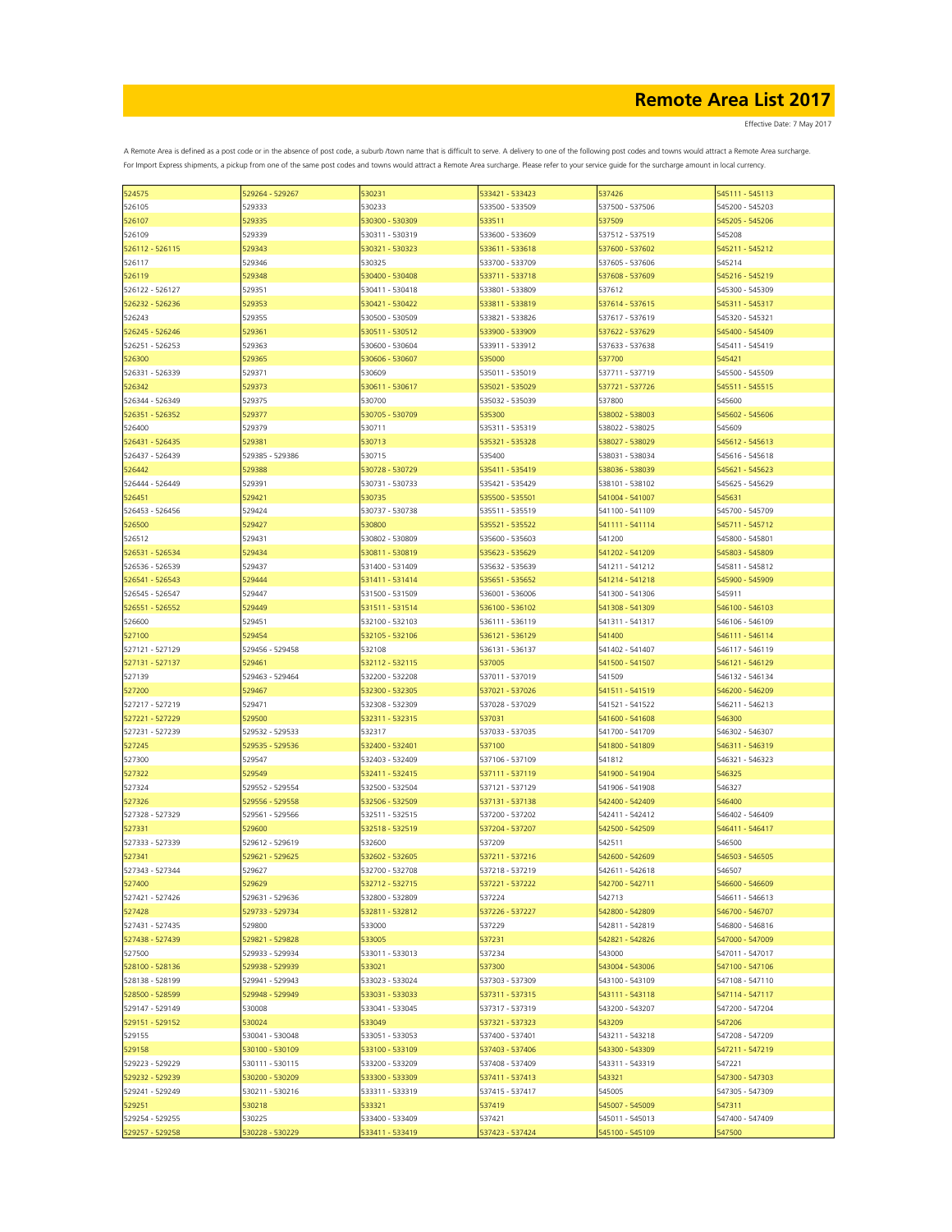| 524575          | 529264 - 529267 | 530231          | 533421 - 533423 | 537426          | 545111 - 545113 |
|-----------------|-----------------|-----------------|-----------------|-----------------|-----------------|
| 526105          | 529333          | 530233          | 533500 - 533509 | 537500 - 537506 | 545200 - 545203 |
| 526107          | 529335          | 530300 - 530309 | 533511          | 537509          | 545205 - 545206 |
|                 |                 |                 |                 |                 |                 |
| 526109          | 529339          | 530311 - 530319 | 533600 - 533609 | 537512 - 537519 | 545208          |
| 526112 - 526115 | 529343          | 530321 - 530323 | 533611 - 533618 | 537600 - 537602 | 545211 - 545212 |
| 526117          | 529346          | 530325          | 533700 - 533709 | 537605 - 537606 | 545214          |
|                 |                 |                 |                 |                 |                 |
| 526119          | 529348          | 530400 - 530408 | 533711 - 533718 | 537608 - 537609 | 545216 - 545219 |
| 526122 - 526127 | 529351          | 530411 - 530418 | 533801 - 533809 | 537612          | 545300 - 545309 |
| 526232 - 526236 | 529353          | 530421 - 530422 | 533811 - 533819 | 537614 - 537615 | 545311 - 545317 |
| 526243          | 529355          | 530500 - 530509 | 533821 - 533826 | 537617 - 537619 | 545320 - 545321 |
|                 |                 |                 |                 |                 |                 |
| 526245 - 526246 | 529361          | 530511 - 530512 | 533900 - 533909 | 537622 - 537629 | 545400 - 545409 |
| 526251 - 526253 | 529363          | 530600 - 530604 | 533911 - 533912 | 537633 - 537638 | 545411 - 545419 |
| 526300          | 529365          | 530606 - 530607 | 535000          | 537700          | 545421          |
|                 |                 |                 |                 |                 |                 |
| 526331 - 526339 | 529371          | 530609          | 535011 - 535019 | 537711 - 537719 | 545500 - 545509 |
| 526342          | 529373          | 530611 - 530617 | 535021 - 535029 | 537721 - 537726 | 545511 - 545515 |
| 526344 - 526349 | 529375          | 530700          | 535032 - 535039 | 537800          | 545600          |
| 526351 - 526352 | 529377          | 530705 - 530709 | 535300          | 538002 - 538003 | 545602 - 545606 |
|                 |                 |                 |                 |                 |                 |
| 526400          | 529379          | 530711          | 535311 - 535319 | 538022 - 538025 | 545609          |
| 526431 - 526435 | 529381          | 530713          | 535321 - 535328 | 538027 - 538029 | 545612 - 545613 |
| 526437 - 526439 | 529385 - 529386 | 530715          | 535400          | 538031 - 538034 | 545616 - 545618 |
|                 |                 |                 |                 |                 |                 |
| 526442          | 529388          | 530728 - 530729 | 535411 - 535419 | 538036 - 538039 | 545621 - 545623 |
| 526444 - 526449 | 529391          | 530731 - 530733 | 535421 - 535429 | 538101 - 538102 | 545625 - 545629 |
| 526451          | 529421          | 530735          | 535500 - 535501 | 541004 - 541007 | 545631          |
|                 |                 |                 |                 |                 |                 |
| 526453 - 526456 | 529424          | 530737 - 530738 | 535511 - 535519 | 541100 - 541109 | 545700 - 545709 |
| 526500          | 529427          | 530800          | 535521 - 535522 | 541111 - 541114 | 545711 - 545712 |
| 526512          | 529431          | 530802 - 530809 | 535600 - 535603 | 541200          | 545800 - 545801 |
| 526531 - 526534 |                 |                 |                 |                 |                 |
|                 | 529434          | 530811 - 530819 | 535623 - 535629 | 541202 - 541209 | 545803 - 545809 |
| 526536 - 526539 | 529437          | 531400 - 531409 | 535632 - 535639 | 541211 - 541212 | 545811 - 545812 |
| 526541 - 526543 | 529444          | 531411 - 531414 | 535651 - 535652 | 541214 - 541218 | 545900 - 545909 |
|                 |                 | 531500 - 531509 | 536001 - 536006 | 541300 - 541306 | 545911          |
| 526545 - 526547 | 529447          |                 |                 |                 |                 |
| 526551 - 526552 | 529449          | 531511 - 531514 | 536100 - 536102 | 541308 - 541309 | 546100 - 546103 |
| 526600          | 529451          | 532100 - 532103 | 536111 - 536119 | 541311 - 541317 | 546106 - 546109 |
| 527100          | 529454          | 532105 - 532106 | 536121 - 536129 | 541400          | 546111 - 546114 |
|                 |                 |                 |                 |                 |                 |
| 527121 - 527129 | 529456 - 529458 | 532108          | 536131 - 536137 | 541402 - 541407 | 546117 - 546119 |
| 527131 - 527137 | 529461          | 532112 - 532115 | 537005          | 541500 - 541507 | 546121 - 546129 |
| 527139          | 529463 - 529464 | 532200 - 532208 | 537011 - 537019 | 541509          | 546132 - 546134 |
|                 |                 |                 |                 |                 |                 |
| 527200          | 529467          | 532300 - 532305 | 537021 - 537026 | 541511 - 541519 | 546200 - 546209 |
| 527217 - 527219 | 529471          | 532308 - 532309 | 537028 - 537029 | 541521 - 541522 | 546211 - 546213 |
| 527221 - 527229 | 529500          | 532311 - 532315 | 537031          | 541600 - 541608 | 546300          |
|                 | 529532 - 529533 |                 | 537033 - 537035 |                 | 546302 - 546307 |
| 527231 - 527239 |                 | 532317          |                 | 541700 - 541709 |                 |
| 527245          | 529535 - 529536 | 532400 - 532401 | 537100          | 541800 - 541809 | 546311 - 546319 |
| 527300          | 529547          | 532403 - 532409 | 537106 - 537109 | 541812          | 546321 - 546323 |
| 527322          | 529549          | 532411 - 532415 | 537111 - 537119 | 541900 - 541904 | 546325          |
|                 |                 |                 |                 |                 |                 |
| 527324          | 529552 - 529554 | 532500 - 532504 | 537121 - 537129 | 541906 - 541908 | 546327          |
| 527326          | 529556 - 529558 | 532506 - 532509 | 537131 - 537138 | 542400 - 542409 | 546400          |
| 527328 - 527329 | 529561 - 529566 | 532511 - 532515 | 537200 - 537202 | 542411 - 542412 | 546402 - 546409 |
|                 |                 |                 |                 |                 |                 |
| 527331          | 529600          | 532518 - 532519 | 537204 - 537207 | 542500 - 542509 | 546411 - 546417 |
| 527333 - 527339 | 529612 - 529619 | 532600          | 537209          | 542511          | 546500          |
| 527341          | 529621 - 529625 | 532602 - 532605 | 537211 - 537216 | 542600 - 542609 | 546503 - 546505 |
| 527343 - 527344 | 529627          | 532700 - 532708 | 537218 - 537219 | 542611 - 542618 | 546507          |
|                 |                 |                 |                 |                 |                 |
| 527400          | 529629          | 532712 - 532715 | 537221 - 537222 | 542700 - 542711 | 546600 - 546609 |
| 527421 - 527426 | 529631 - 529636 | 532800 - 532809 | 537224          | 542713          | 546611 - 546613 |
| 527428          | 529733 - 529734 | 532811 - 532812 | 537226 - 537227 | 542800 - 542809 | 546700 - 546707 |
|                 |                 |                 |                 |                 |                 |
| 527431 - 527435 | 529800          | 533000          | 537229          | 542811 - 542819 | 546800 - 546816 |
| 527438 - 527439 | 529821 - 529828 | 533005          | 537231          | 542821 - 542826 | 547000 - 547009 |
| 527500          | 529933 - 529934 | 533011 - 533013 | 537234          | 543000          | 547011 - 547017 |
| 528100 - 528136 | 529938 - 529939 |                 |                 | 543004 - 543006 |                 |
|                 |                 | 533021          | 537300          |                 | 547100 - 547106 |
| 528138 - 528199 | 529941 - 529943 | 533023 - 533024 | 537303 - 537309 | 543100 - 543109 | 547108 - 547110 |
| 528500 - 528599 | 529948 - 529949 | 533031 - 533033 | 537311 - 537315 | 543111 - 543118 | 547114 - 547117 |
| 529147 - 529149 | 530008          | 533041 - 533045 | 537317 - 537319 | 543200 - 543207 | 547200 - 547204 |
|                 |                 |                 |                 |                 |                 |
| 529151 - 529152 | 530024          | 533049          | 537321 - 537323 | 543209          | 547206          |
| 529155          | 530041 - 530048 | 533051 - 533053 | 537400 - 537401 | 543211 - 543218 | 547208 - 547209 |
| 529158          | 530100 - 530109 | 533100 - 533109 | 537403 - 537406 | 543300 - 543309 | 547211 - 547219 |
|                 |                 |                 |                 |                 |                 |
| 529223 - 529229 | 530111 - 530115 | 533200 - 533209 | 537408 - 537409 | 543311 - 543319 | 547221          |
| 529232 - 529239 | 530200 - 530209 | 533300 - 533309 | 537411 - 537413 | 543321          | 547300 - 547303 |
| 529241 - 529249 | 530211 - 530216 | 533311 - 533319 | 537415 - 537417 | 545005          | 547305 - 547309 |
|                 |                 |                 |                 |                 |                 |
| 529251          | 530218          | 533321          | 537419          | 545007 - 545009 | 547311          |
| 529254 - 529255 | 530225          | 533400 - 533409 | 537421          | 545011 - 545013 | 547400 - 547409 |
| 529257 - 529258 | 530228 - 530229 | 533411 - 533419 | 537423 - 537424 | 545100 - 545109 | 547500          |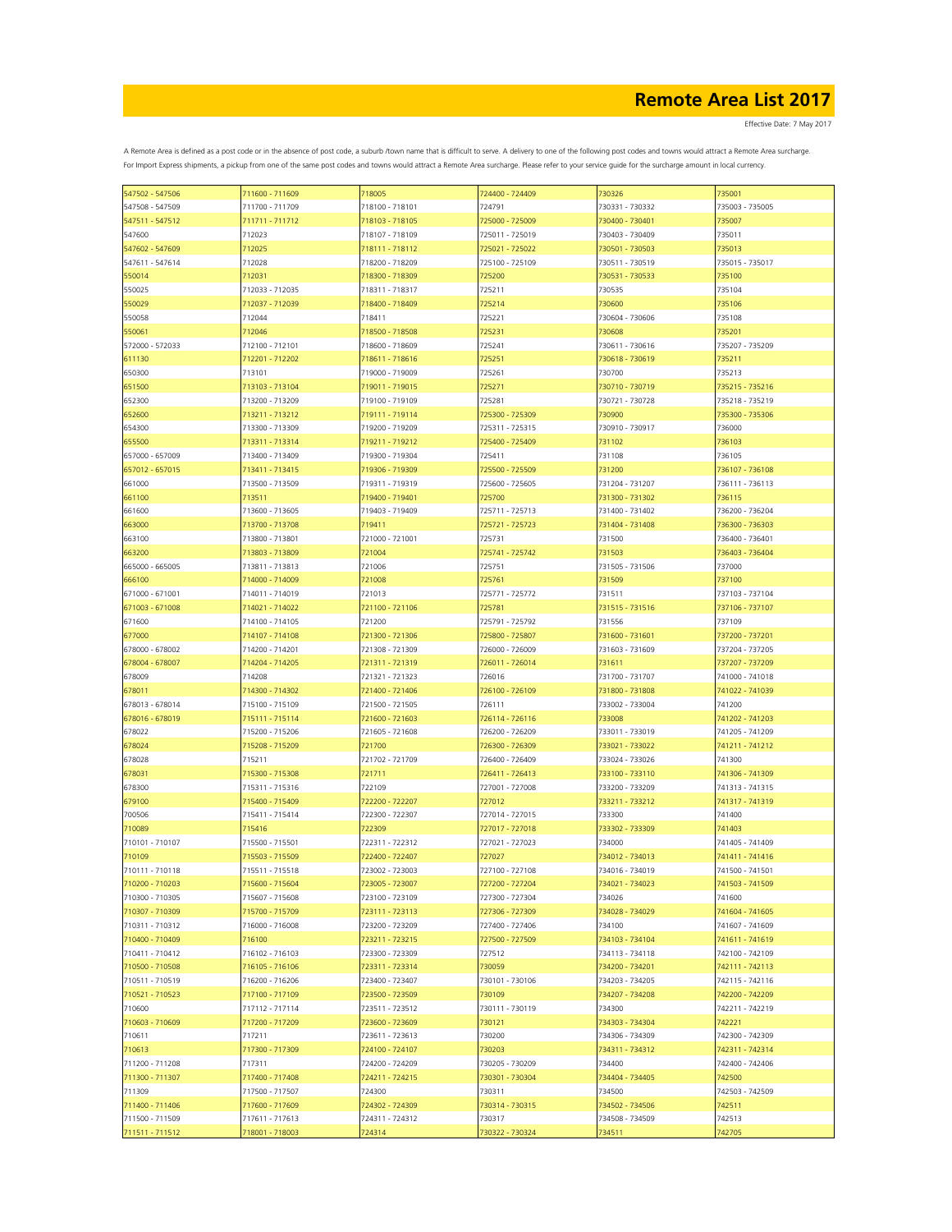| 547502 - 547506 | 711600 - 711609 | 718005          | 724400 - 724409 | 730326          | 735001          |
|-----------------|-----------------|-----------------|-----------------|-----------------|-----------------|
| 547508 - 547509 | 711700 - 711709 | 718100 - 718101 | 724791          | 730331 - 730332 | 735003 - 735005 |
| 547511 - 547512 | 711711 - 711712 | 718103 - 718105 | 725000 - 725009 | 730400 - 730401 | 735007          |
| 547600          | 712023          | 718107 - 718109 | 725011 - 725019 | 730403 - 730409 | 735011          |
| 547602 - 547609 | 712025          | 718111 - 718112 | 725021 - 725022 | 730501 - 730503 | 735013          |
|                 |                 | 718200 - 718209 |                 | 730511 - 730519 |                 |
| 547611 - 547614 | 712028          |                 | 725100 - 725109 |                 | 735015 - 735017 |
| 550014          | 712031          | 718300 - 718309 | 725200          | 730531 - 730533 | 735100          |
| 550025          | 712033 - 712035 | 718311 - 718317 | 725211          | 730535          | 735104          |
| 550029          | 712037 - 712039 | 718400 - 718409 | 725214          | 730600          | 735106          |
| 550058          | 712044          | 718411          | 725221          | 730604 - 730606 | 735108          |
| 550061          | 712046          | 718500 - 718508 | 725231          | 730608          | 735201          |
| 572000 - 572033 | 712100 - 712101 | 718600 - 718609 | 725241          | 730611 - 730616 | 735207 - 735209 |
| 611130          | 712201 - 712202 | 718611 - 718616 | 725251          | 730618 - 730619 | 735211          |
| 650300          | 713101          | 719000 - 719009 | 725261          | 730700          | 735213          |
|                 |                 |                 |                 |                 |                 |
| 651500          | 713103 - 713104 | 719011 - 719015 | 725271          | 730710 - 730719 | 735215 - 735216 |
| 652300          | 713200 - 713209 | 719100 - 719109 | 725281          | 730721 - 730728 | 735218 - 735219 |
| 652600          | 713211 - 713212 | 719111 - 719114 | 725300 - 725309 | 730900          | 735300 - 735306 |
| 654300          | 713300 - 713309 | 719200 - 719209 | 725311 - 725315 | 730910 - 730917 | 736000          |
| 655500          | 713311 - 713314 | 719211 - 719212 | 725400 - 725409 | 731102          | 736103          |
| 657000 - 657009 | 713400 - 713409 | 719300 - 719304 | 725411          | 731108          | 736105          |
| 657012 - 657015 | 713411 - 713415 | 719306 - 719309 | 725500 - 725509 | 731200          | 736107 - 736108 |
|                 |                 |                 |                 |                 | 736111 - 736113 |
| 661000          | 713500 - 713509 | 719311 - 719319 | 725600 - 725605 | 731204 - 731207 |                 |
| 661100          | 713511          | 719400 - 719401 | 725700          | 731300 - 731302 | 736115          |
| 661600          | 713600 - 713605 | 719403 - 719409 | 725711 - 725713 | 731400 - 731402 | 736200 - 736204 |
| 663000          | 713700 - 713708 | 719411          | 725721 - 725723 | 731404 - 731408 | 736300 - 736303 |
| 663100          | 713800 - 713801 | 721000 - 721001 | 725731          | 731500          | 736400 - 736401 |
| 663200          | 713803 - 713809 | 721004          | 725741 - 725742 | 731503          | 736403 - 736404 |
| 665000 - 665005 | 713811 - 713813 | 721006          | 725751          | 731505 - 731506 | 737000          |
| 666100          | 714000 - 714009 | 721008          | 725761          | 731509          | 737100          |
|                 |                 |                 |                 |                 |                 |
| 671000 - 671001 | 714011 - 714019 | 721013          | 725771 - 725772 | 731511          | 737103 - 737104 |
| 671003 - 671008 | 714021 - 714022 | 721100 - 721106 | 725781          | 731515 - 731516 | 737106 - 737107 |
| 671600          | 714100 - 714105 | 721200          | 725791 - 725792 | 731556          | 737109          |
| 677000          | 714107 - 714108 | 721300 - 721306 | 725800 - 725807 | 731600 - 731601 | 737200 - 737201 |
| 678000 - 678002 | 714200 - 714201 | 721308 - 721309 | 726000 - 726009 | 731603 - 731609 | 737204 - 737205 |
| 678004 - 678007 | 714204 - 714205 | 721311 - 721319 | 726011 - 726014 | 731611          | 737207 - 737209 |
| 678009          | 714208          | 721321 - 721323 | 726016          | 731700 - 731707 | 741000 - 741018 |
| 678011          | 714300 - 714302 | 721400 - 721406 | 726100 - 726109 | 731800 - 731808 | 741022 - 741039 |
|                 |                 |                 |                 |                 |                 |
| 678013 - 678014 | 715100 - 715109 | 721500 - 721505 | 726111          | 733002 - 733004 | 741200          |
| 678016 - 678019 | 715111 - 715114 | 721600 - 721603 | 726114 - 726116 | 733008          | 741202 - 741203 |
| 678022          | 715200 - 715206 | 721605 - 721608 | 726200 - 726209 | 733011 - 733019 | 741205 - 741209 |
| 678024          | 715208 - 715209 | 721700          | 726300 - 726309 | 733021 - 733022 | 741211 - 741212 |
| 678028          | 715211          | 721702 - 721709 | 726400 - 726409 | 733024 - 733026 | 741300          |
| 678031          | 715300 - 715308 | 721711          | 726411 - 726413 | 733100 - 733110 | 741306 - 741309 |
| 678300          | 715311 - 715316 | 722109          | 727001 - 727008 | 733200 - 733209 | 741313 - 741315 |
|                 | 715400 - 715409 | 722200 - 722207 | 727012          | 733211 - 733212 | 741317 - 741319 |
| 679100          |                 |                 |                 |                 |                 |
| 700506          | 715411 - 715414 | 722300 - 722307 | 727014 - 727015 | 733300          | 741400          |
| 710089          | 715416          | 722309          | 727017 - 727018 | 733302 - 733309 | 741403          |
| 710101 - 710107 | 715500 - 715501 | 722311 - 722312 | 727021 - 727023 | 734000          | 741405 - 741409 |
| 710109          | 715503 - 715509 | 722400 - 722407 | 727027          | 734012 - 734013 | 741411 - 741416 |
| 710111 - 710118 | 715511 - 715518 | 723002 - 723003 | 727100 - 727108 | 734016 - 734019 | 741500 - 741501 |
| 710200 - 710203 | 715600 - 715604 | 723005 - 723007 | 727200 - 727204 | 734021 - 734023 | 741503 - 741509 |
| 710300 - 710305 | 715607 - 715608 | 723100 - 723109 | 727300 - 727304 | 734026          | 741600          |
| 710307 - 710309 | 715700 - 715709 | 723111 - 723113 | 727306 - 727309 | 734028 - 734029 | 741604 - 741605 |
|                 |                 |                 |                 |                 |                 |
| 710311 - 710312 | 716000 - 716008 | 723200 - 723209 | 727400 - 727406 | 734100          | 741607 - 741609 |
| 710400 - 710409 | 716100          | 723211 - 723215 | 727500 - 727509 | 734103 - 734104 | 741611 - 741619 |
| 710411 - 710412 | 716102 - 716103 | 723300 - 723309 | 727512          | 734113 - 734118 | 742100 - 742109 |
| 710500 - 710508 | 716105 - 716106 | 723311 - 723314 | 730059          | 734200 - 734201 | 742111 - 742113 |
| 710511 - 710519 | 716200 - 716206 | 723400 - 723407 | 730101 - 730106 | 734203 - 734205 | 742115 - 742116 |
| 710521 - 710523 | 717100 - 717109 | 723500 - 723509 | 730109          | 734207 - 734208 | 742200 - 742209 |
| 710600          | 717112 - 717114 | 723511 - 723512 | 730111 - 730119 | 734300          | 742211 - 742219 |
| 710603 - 710609 | 717200 - 717209 | 723600 - 723609 | 730121          | 734303 - 734304 | 742221          |
|                 |                 |                 |                 |                 |                 |
| 710611          | 717211          | 723611 - 723613 | 730200          | 734306 - 734309 | 742300 - 742309 |
| 710613          | 717300 - 717309 | 724100 - 724107 | 730203          | 734311 - 734312 | 742311 - 742314 |
| 711200 - 711208 | 717311          | 724200 - 724209 | 730205 - 730209 | 734400          | 742400 - 742406 |
| 711300 - 711307 | 717400 - 717408 | 724211 - 724215 | 730301 - 730304 | 734404 - 734405 | 742500          |
| 711309          | 717500 - 717507 | 724300          | 730311          | 734500          | 742503 - 742509 |
| 711400 - 711406 | 717600 - 717609 | 724302 - 724309 | 730314 - 730315 | 734502 - 734506 | 742511          |
| 711500 - 711509 | 717611 - 717613 | 724311 - 724312 | 730317          | 734508 - 734509 | 742513          |
| 711511 - 711512 | 718001 - 718003 | 724314          | 730322 - 730324 | 734511          | 742705          |
|                 |                 |                 |                 |                 |                 |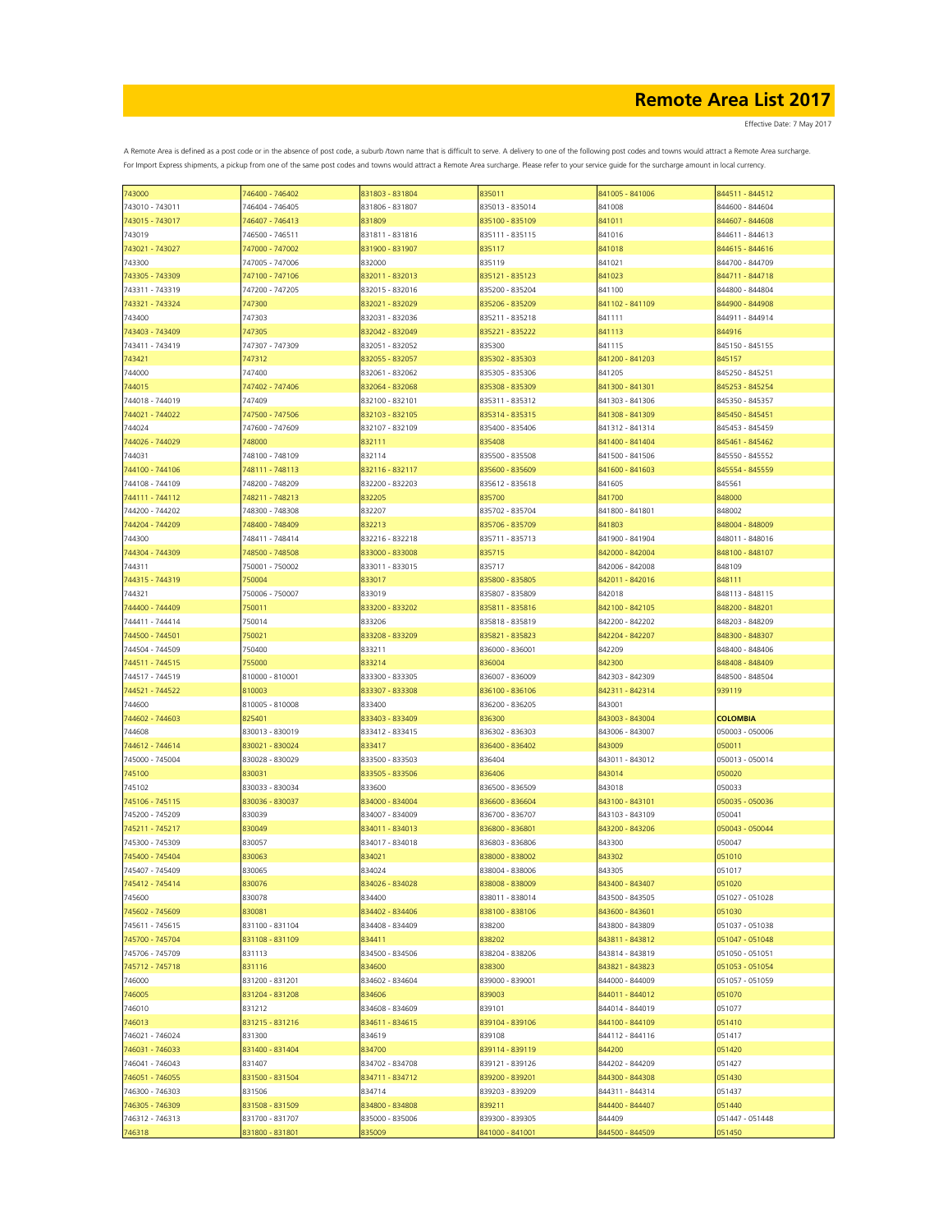| 743000          | 746400 - 746402 | 831803 - 831804 | 835011          | 841005 - 841006 | 844511 - 844512 |
|-----------------|-----------------|-----------------|-----------------|-----------------|-----------------|
| 743010 - 743011 | 746404 - 746405 | 831806 - 831807 | 835013 - 835014 | 841008          | 844600 - 844604 |
| 743015 - 743017 | 746407 - 746413 | 831809          | 835100 - 835109 | 841011          | 844607 - 844608 |
|                 |                 |                 |                 |                 |                 |
| 743019          | 746500 - 746511 | 831811 - 831816 | 835111 - 835115 | 841016          | 844611 - 844613 |
| 743021 - 743027 | 747000 - 747002 | 831900 - 831907 | 835117          | 841018          | 844615 - 844616 |
| 743300          | 747005 - 747006 | 832000          | 835119          | 841021          | 844700 - 844709 |
| 743305 - 743309 | 747100 - 747106 | 832011 - 832013 | 835121 - 835123 | 841023          | 844711 - 844718 |
|                 |                 |                 |                 |                 |                 |
| 743311 - 743319 | 747200 - 747205 | 832015 - 832016 | 835200 - 835204 | 841100          | 844800 - 844804 |
| 743321 - 743324 | 747300          | 832021 - 832029 | 835206 - 835209 | 841102 - 841109 | 844900 - 844908 |
| 743400          | 747303          | 832031 - 832036 | 835211 - 835218 | 841111          | 844911 - 844914 |
|                 |                 |                 |                 |                 |                 |
| 743403 - 743409 | 747305          | 832042 - 832049 | 835221 - 835222 | 841113          | 844916          |
| 743411 - 743419 | 747307 - 747309 | 832051 - 832052 | 835300          | 841115          | 845150 - 845155 |
| 743421          | 747312          | 832055 - 832057 | 835302 - 835303 | 841200 - 841203 | 845157          |
|                 |                 |                 |                 |                 |                 |
| 744000          | 747400          | 832061 - 832062 | 835305 - 835306 | 841205          | 845250 - 845251 |
| 744015          | 747402 - 747406 | 832064 - 832068 | 835308 - 835309 | 841300 - 841301 | 845253 - 845254 |
| 744018 - 744019 | 747409          | 832100 - 832101 | 835311 - 835312 | 841303 - 841306 | 845350 - 845357 |
| 744021 - 744022 | 747500 - 747506 | 832103 - 832105 | 835314 - 835315 | 841308 - 841309 | 845450 - 845451 |
|                 |                 |                 |                 |                 |                 |
| 744024          | 747600 - 747609 | 832107 - 832109 | 835400 - 835406 | 841312 - 841314 | 845453 - 845459 |
| 744026 - 744029 | 748000          | 832111          | 835408          | 841400 - 841404 | 845461 - 845462 |
| 744031          | 748100 - 748109 | 832114          | 835500 - 835508 | 841500 - 841506 | 845550 - 845552 |
|                 |                 |                 |                 |                 |                 |
| 744100 - 744106 | 748111 - 748113 | 832116 - 832117 | 835600 - 835609 | 841600 - 841603 | 845554 - 845559 |
| 744108 - 744109 | 748200 - 748209 | 832200 - 832203 | 835612 - 835618 | 841605          | 845561          |
| 744111 - 744112 | 748211 - 748213 | 832205          | 835700          | 841700          | 848000          |
|                 |                 |                 |                 |                 |                 |
| 744200 - 744202 | 748300 - 748308 | 832207          | 835702 - 835704 | 841800 - 841801 | 848002          |
| 744204 - 744209 | 748400 - 748409 | 832213          | 835706 - 835709 | 841803          | 848004 - 848009 |
| 744300          | 748411 - 748414 | 832216 - 832218 | 835711 - 835713 | 841900 - 841904 | 848011 - 848016 |
|                 |                 |                 |                 |                 | 848100 - 848107 |
| 744304 - 744309 | 748500 - 748508 | 833000 - 833008 | 835715          | 842000 - 842004 |                 |
| 744311          | 750001 - 750002 | 833011 - 833015 | 835717          | 842006 - 842008 | 848109          |
| 744315 - 744319 | 750004          | 833017          | 835800 - 835805 | 842011 - 842016 | 848111          |
|                 |                 |                 | 835807 - 835809 |                 |                 |
| 744321          | 750006 - 750007 | 833019          |                 | 842018          | 848113 - 848115 |
| 744400 - 744409 | 750011          | 833200 - 833202 | 835811 - 835816 | 842100 - 842105 | 848200 - 848201 |
| 744411 - 744414 | 750014          | 833206          | 835818 - 835819 | 842200 - 842202 | 848203 - 848209 |
| 744500 - 744501 | 750021          | 833208 - 833209 | 835821 - 835823 | 842204 - 842207 | 848300 - 848307 |
|                 |                 |                 |                 |                 |                 |
| 744504 - 744509 | 750400          | 833211          | 836000 - 836001 | 842209          | 848400 - 848406 |
| 744511 - 744515 | 755000          | 833214          | 836004          | 842300          | 848408 - 848409 |
| 744517 - 744519 | 810000 - 810001 | 833300 - 833305 | 836007 - 836009 | 842303 - 842309 | 848500 - 848504 |
|                 |                 |                 |                 |                 |                 |
| 744521 - 744522 | 810003          | 833307 - 833308 | 836100 - 836106 | 842311 - 842314 | 939119          |
| 744600          | 810005 - 810008 | 833400          | 836200 - 836205 | 843001          |                 |
| 744602 - 744603 | 825401          | 833403 - 833409 | 836300          | 843003 - 843004 | <b>COLOMBIA</b> |
|                 |                 |                 |                 |                 |                 |
| 744608          | 830013 - 830019 | 833412 - 833415 | 836302 - 836303 | 843006 - 843007 | 050003 - 050006 |
| 744612 - 744614 | 830021 - 830024 | 833417          | 836400 - 836402 | 843009          | 050011          |
| 745000 - 745004 | 830028 - 830029 | 833500 - 833503 | 836404          | 843011 - 843012 | 050013 - 050014 |
|                 |                 |                 |                 |                 |                 |
| 745100          | 830031          | 833505 - 833506 | 836406          | 843014          | 050020          |
| 745102          | 830033 - 830034 | 833600          | 836500 - 836509 | 843018          | 050033          |
| 745106 - 745115 | 830036 - 830037 | 834000 - 834004 | 836600 - 836604 | 843100 - 843101 | 050035 - 050036 |
|                 | 830039          |                 |                 | 843103 - 843109 | 050041          |
| 745200 - 745209 |                 | 834007 - 834009 | 836700 - 836707 |                 |                 |
| 745211 - 745217 | 830049          | 834011 - 834013 | 836800 - 836801 | 843200 - 843206 | 050043 - 050044 |
| 745300 - 745309 | 830057          | 834017 - 834018 | 836803 - 836806 | 843300          | 050047          |
| 745400 - 745404 | 830063          | 834021          | 838000 - 838002 | 843302          | 051010          |
|                 |                 |                 |                 |                 |                 |
| 745407 - 745409 | 830065          | 834024          | 838004 - 838006 | 843305          | 051017          |
| 745412 - 745414 | 830076          | 834026 - 834028 | 838008 - 838009 | 843400 - 843407 | 051020          |
| 745600          | 830078          | 834400          | 838011 - 838014 | 843500 - 843505 | 051027 - 051028 |
|                 |                 |                 |                 |                 | 051030          |
| 745602 - 745609 | 830081          | 834402 - 834406 | 838100 - 838106 | 843600 - 843601 |                 |
| 745611 - 745615 | 831100 - 831104 | 834408 - 834409 | 838200          | 843800 - 843809 | 051037 - 051038 |
| 745700 - 745704 | 831108 - 831109 | 834411          | 838202          | 843811 - 843812 | 051047 - 051048 |
| 745706 - 745709 | 831113          | 834500 - 834506 | 838204 - 838206 | 843814 - 843819 | 051050 - 051051 |
|                 |                 |                 |                 |                 |                 |
| 745712 - 745718 | 831116          | 834600          | 838300          | 843821 - 843823 | 051053 - 051054 |
| 746000          | 831200 - 831201 | 834602 - 834604 | 839000 - 839001 | 844000 - 844009 | 051057 - 051059 |
| 746005          | 831204 - 831208 | 834606          | 839003          | 844011 - 844012 | 051070          |
|                 |                 |                 |                 |                 |                 |
| 746010          | 831212          | 834608 - 834609 | 839101          | 844014 - 844019 | 051077          |
| 746013          | 831215 - 831216 | 834611 - 834615 | 839104 - 839106 | 844100 - 844109 | 051410          |
| 746021 - 746024 | 831300          | 834619          | 839108          | 844112 - 844116 | 051417          |
|                 |                 |                 |                 |                 |                 |
| 746031 - 746033 | 831400 - 831404 | 834700          | 839114 - 839119 | 844200          | 051420          |
| 746041 - 746043 | 831407          | 834702 - 834708 | 839121 - 839126 | 844202 - 844209 | 051427          |
| 746051 - 746055 | 831500 - 831504 | 834711 - 834712 | 839200 - 839201 | 844300 - 844308 | 051430          |
| 746300 - 746303 | 831506          | 834714          | 839203 - 839209 | 844311 - 844314 | 051437          |
|                 |                 |                 |                 |                 |                 |
| 746305 - 746309 | 831508 - 831509 | 834800 - 834808 | 839211          | 844400 - 844407 | 051440          |
| 746312 - 746313 | 831700 - 831707 | 835000 - 835006 | 839300 - 839305 | 844409          | 051447 - 051448 |
| 746318          | 831800 - 831801 | 835009          | 841000 - 841001 | 844500 - 844509 | 051450          |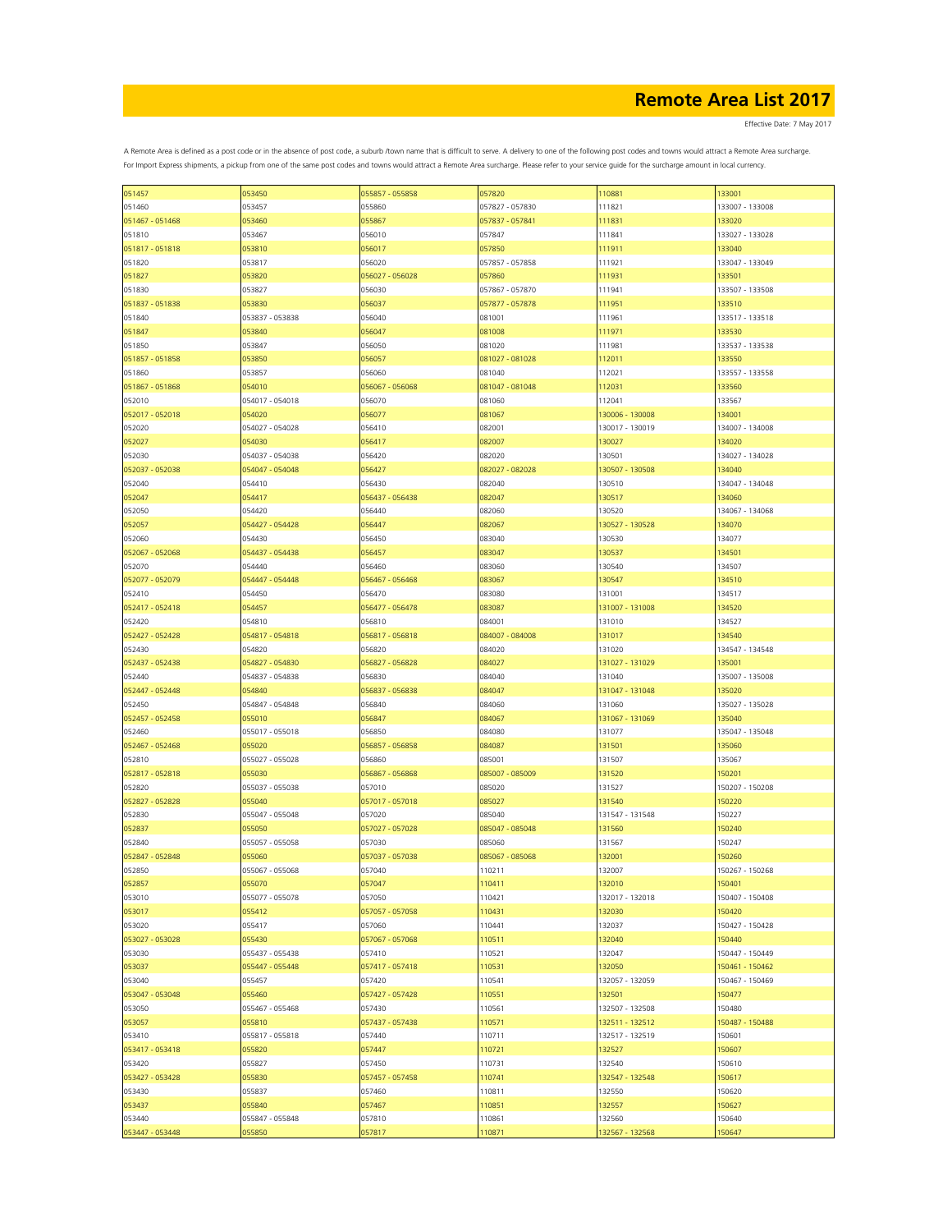Effective Date: 7 May 2017

| 051457          | 053450          | 055857 - 055858 | 057820          | 110881          | 133001          |
|-----------------|-----------------|-----------------|-----------------|-----------------|-----------------|
| 051460          | 053457          | 055860          | 057827 - 057830 | 111821          | 133007 - 133008 |
| 051467 - 051468 | 053460          | 055867          | 057837 - 057841 | 111831          | 133020          |
|                 |                 |                 |                 |                 |                 |
| 051810          | 053467          | 056010          | 057847          | 111841          | 133027 - 133028 |
| 051817 - 051818 | 053810          | 056017          | 057850          | 111911          | 133040          |
| 051820          | 053817          | 056020          | 057857 - 057858 | 111921          | 133047 - 133049 |
| 051827          | 053820          | 056027 - 056028 | 057860          | 111931          | 133501          |
|                 |                 |                 |                 |                 |                 |
| 051830          | 053827          | 056030          | 057867 - 057870 | 111941          | 133507 - 133508 |
| 051837 - 051838 | 053830          | 056037          | 057877 - 057878 | 111951          | 133510          |
| 051840          | 053837 - 053838 | 056040          | 081001          | 111961          | 133517 - 133518 |
|                 | 053840          | 056047          | 081008          | 111971          | 133530          |
| 051847          |                 |                 |                 |                 |                 |
| 051850          | 053847          | 056050          | 081020          | 111981          | 133537 - 133538 |
| 051857 - 051858 | 053850          | 056057          | 081027 - 081028 | 112011          | 133550          |
| 051860          | 053857          | 056060          | 081040          | 112021          | 133557 - 133558 |
|                 | 054010          |                 |                 |                 |                 |
| 051867 - 051868 |                 | 056067 - 056068 | 081047 - 081048 | 112031          | 133560          |
| 052010          | 054017 - 054018 | 056070          | 081060          | 112041          | 133567          |
| 052017 - 052018 | 054020          | 056077          | 081067          | 130006 - 130008 | 134001          |
| 052020          | 054027 - 054028 | 056410          | 082001          | 130017 - 130019 | 134007 - 134008 |
|                 |                 |                 |                 |                 |                 |
| 052027          | 054030          | 056417          | 082007          | 130027          | 134020          |
| 052030          | 054037 - 054038 | 056420          | 082020          | 130501          | 134027 - 134028 |
| 052037 - 052038 | 054047 - 054048 | 056427          | 082027 - 082028 | 130507 - 130508 | 134040          |
| 052040          | 054410          | 056430          | 082040          | 130510          | 134047 - 134048 |
|                 |                 |                 |                 |                 |                 |
| 052047          | 054417          | 056437 - 056438 | 082047          | 130517          | 134060          |
| 052050          | 054420          | 056440          | 082060          | 130520          | 134067 - 134068 |
| 052057          | 054427 - 054428 | 056447          | 082067          | 130527 - 130528 | 134070          |
| 052060          | 054430          | 056450          | 083040          | 130530          | 134077          |
|                 |                 |                 |                 |                 |                 |
| 052067 - 052068 | 054437 - 054438 | 056457          | 083047          | 130537          | 134501          |
| 052070          | 054440          | 056460          | 083060          | 130540          | 134507          |
| 052077 - 052079 | 054447 - 054448 | 056467 - 056468 | 083067          | 130547          | 134510          |
| 052410          | 054450          | 056470          | 083080          | 131001          | 134517          |
|                 |                 |                 |                 |                 |                 |
| 052417 - 052418 | 054457          | 056477 - 056478 | 083087          | 131007 - 131008 | 134520          |
| 052420          | 054810          | 056810          | 084001          | 131010          | 134527          |
| 052427 - 052428 | 054817 - 054818 | 056817 - 056818 | 084007 - 084008 | 131017          | 134540          |
|                 |                 |                 |                 |                 |                 |
| 052430          | 054820          | 056820          | 084020          | 131020          | 134547 - 134548 |
| 052437 - 052438 | 054827 - 054830 | 056827 - 056828 | 084027          | 131027 - 131029 | 135001          |
| 052440          | 054837 - 054838 | 056830          | 084040          | 131040          | 135007 - 135008 |
| 052447 - 052448 | 054840          | 056837 - 056838 | 084047          | 131047 - 131048 | 135020          |
|                 |                 |                 |                 |                 |                 |
| 052450          | 054847 - 054848 | 056840          | 084060          | 131060          | 135027 - 135028 |
| 052457 - 052458 | 055010          | 056847          | 084067          | 131067 - 131069 | 135040          |
| 052460          | 055017 - 055018 | 056850          | 084080          | 131077          | 135047 - 135048 |
| 052467 - 052468 | 055020          | 056857 - 056858 | 084087          | 131501          | 135060          |
|                 |                 |                 |                 |                 |                 |
| 052810          | 055027 - 055028 | 056860          | 085001          | 131507          | 135067          |
| 052817 - 052818 | 055030          | 056867 - 056868 | 085007 - 085009 | 131520          | 150201          |
| 052820          | 055037 - 055038 | 057010          | 085020          | 131527          | 150207 - 150208 |
| 052827 - 052828 | 055040          | 057017 - 057018 | 085027          | 131540          | 150220          |
|                 |                 |                 |                 |                 |                 |
| 052830          | 055047 - 055048 | 057020          | 085040          | 131547 - 131548 | 150227          |
| 052837          | 055050          | 057027 - 057028 | 085047 - 085048 | 131560          | 150240          |
| 052840          | 055057 - 055058 | 057030          | 085060          | 131567          | 150247          |
| 052847 - 052848 | 055060          | 057037 - 057038 | 085067 - 085068 | 132001          | 150260          |
|                 |                 |                 |                 |                 |                 |
| 052850          | 055067 - 055068 | 057040          | 110211          | 132007          | 150267 - 150268 |
| 052857          | 055070          | 057047          | 110411          | 132010          | 150401          |
| 053010          | 055077 - 055078 | 057050          | 110421          | 132017 - 132018 | 150407 - 150408 |
| 053017          | 055412          | 057057 - 057058 | 110431          | 132030          | 150420          |
|                 |                 |                 |                 |                 |                 |
| 053020          | 055417          | 057060          | 110441          | 132037          | 150427 - 150428 |
| 053027 - 053028 | 055430          | 057067 - 057068 | 110511          | 132040          | 150440          |
| 053030          | 055437 - 055438 | 057410          | 110521          | 132047          | 150447 - 150449 |
| 053037          | 055447 - 055448 | 057417 - 057418 | 110531          | 132050          | 150461 - 150462 |
|                 |                 |                 |                 |                 |                 |
| 053040          | 055457          | 057420          | 110541          | 132057 - 132059 | 150467 - 150469 |
| 053047 - 053048 | 055460          | 057427 - 057428 | 110551          | 132501          | 150477          |
| 053050          | 055467 - 055468 | 057430          | 110561          | 132507 - 132508 | 150480          |
| 053057          | 055810          | 057437 - 057438 | 110571          | 132511 - 132512 | 150487 - 150488 |
|                 |                 |                 |                 |                 |                 |
| 053410          | 055817 - 055818 | 057440          | 110711          | 132517 - 132519 | 150601          |
| 053417 - 053418 | 055820          | 057447          | 110721          | 132527          | 150607          |
| 053420          | 055827          | 057450          | 110731          | 132540          | 150610          |
| 053427 - 053428 | 055830          | 057457 - 057458 | 110741          | 132547 - 132548 | 150617          |
|                 |                 |                 |                 |                 |                 |
| 053430          | 055837          | 057460          | 110811          | 132550          | 150620          |
| 053437          | 055840          | 057467          | 110851          | 132557          | 150627          |
| 053440          | 055847 - 055848 | 057810          | 110861          | 132560          | 150640          |
| 053447 - 053448 | 055850          | 057817          | 110871          | 132567 - 132568 | 150647          |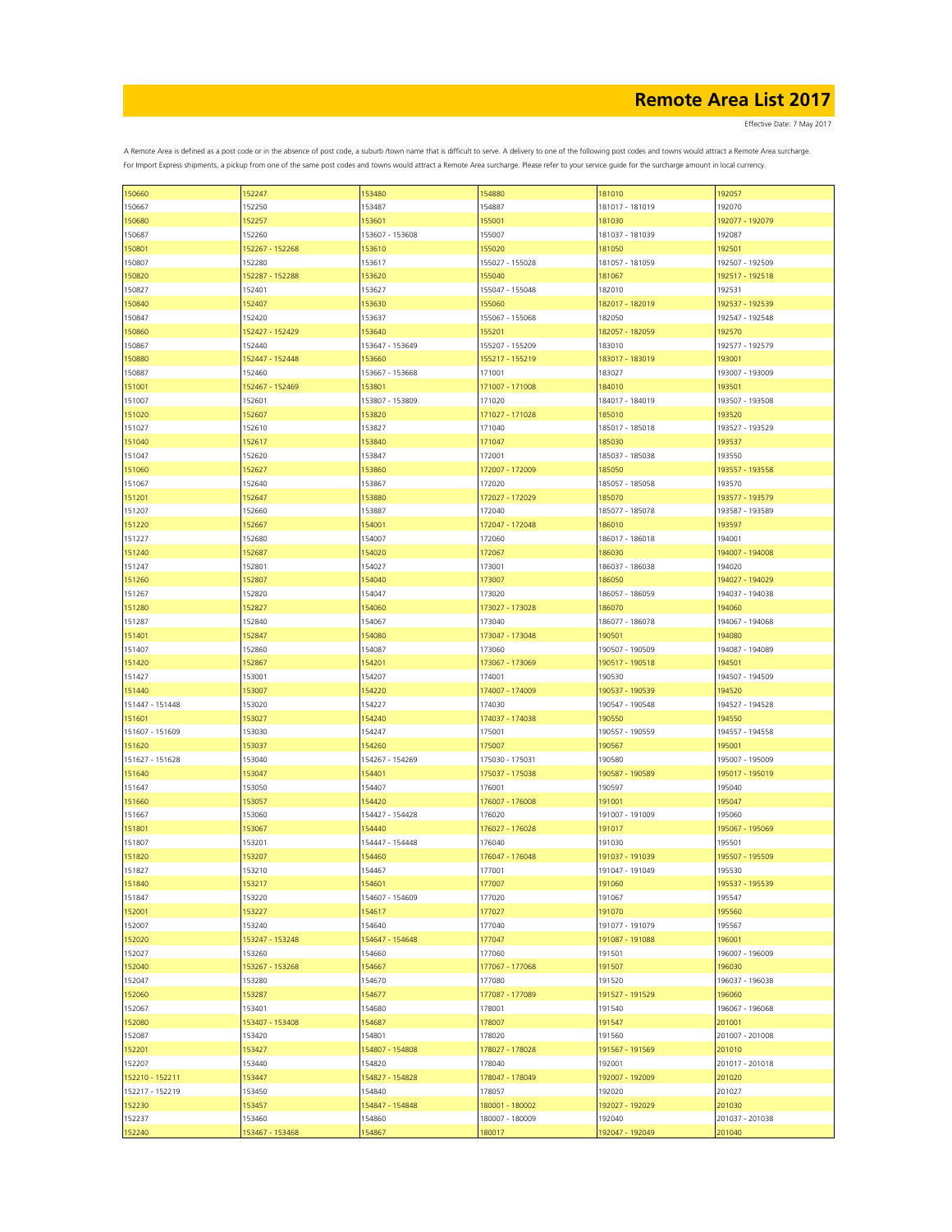| 150660          | 152247          | 153480          | 154880          | 181010          | 192057          |
|-----------------|-----------------|-----------------|-----------------|-----------------|-----------------|
| 150667          | 152250          | 153487          | 154887          | 181017 - 181019 | 192070          |
| 150680          | 152257          | 153601          | 155001          | 181030          | 192077 - 192079 |
| 150687          | 152260          | 153607 - 153608 | 155007          | 181037 - 181039 | 192087          |
|                 |                 |                 |                 |                 |                 |
| 150801          | 152267 - 152268 | 153610          | 155020          | 181050          | 192501          |
| 150807          | 152280          | 153617          | 155027 - 155028 | 181057 - 181059 | 192507 - 192509 |
| 150820          | 152287 - 152288 | 153620          | 155040          | 181067          | 192517 - 192518 |
|                 |                 |                 |                 |                 |                 |
| 150827          | 152401          | 153627          | 155047 - 155048 | 182010          | 192531          |
| 150840          | 152407          | 153630          | 155060          | 182017 - 182019 | 192537 - 192539 |
| 150847          | 152420          | 153637          | 155067 - 155068 | 182050          | 192547 - 192548 |
| 150860          | 152427 - 152429 | 153640          | 155201          | 182057 - 182059 | 192570          |
|                 |                 |                 |                 |                 |                 |
| 150867          | 152440          | 153647 - 153649 | 155207 - 155209 | 183010          | 192577 - 192579 |
| 150880          | 152447 - 152448 | 153660          | 155217 - 155219 | 183017 - 183019 | 193001          |
| 150887          | 152460          | 153667 - 153668 | 171001          | 183027          | 193007 - 193009 |
|                 |                 |                 |                 |                 |                 |
| 151001          | 152467 - 152469 | 153801          | 171007 - 171008 | 184010          | 193501          |
| 151007          | 152601          | 153807 - 153809 | 171020          | 184017 - 184019 | 193507 - 193508 |
| 151020          | 152607          | 153820          | 171027 - 171028 | 185010          | 193520          |
| 151027          | 152610          | 153827          | 171040          | 185017 - 185018 | 193527 - 193529 |
|                 |                 |                 |                 |                 |                 |
| 151040          | 152617          | 153840          | 171047          | 185030          | 193537          |
| 151047          | 152620          | 153847          | 172001          | 185037 - 185038 | 193550          |
| 151060          | 152627          | 153860          | 172007 - 172009 | 185050          | 193557 - 193558 |
|                 |                 |                 |                 |                 |                 |
| 151067          | 152640          | 153867          | 172020          | 185057 - 185058 | 193570          |
| 151201          | 152647          | 153880          | 172027 - 172029 | 185070          | 193577 - 193579 |
| 151207          | 152660          | 153887          | 172040          | 185077 - 185078 | 193587 - 193589 |
|                 |                 |                 |                 |                 |                 |
| 151220          | 152667          | 154001          | 172047 - 172048 | 186010          | 193597          |
| 151227          | 152680          | 154007          | 172060          | 186017 - 186018 | 194001          |
| 151240          | 152687          | 154020          | 172067          | 186030          | 194007 - 194008 |
| 151247          | 152801          | 154027          | 173001          | 186037 - 186038 | 194020          |
|                 |                 |                 |                 |                 |                 |
| 151260          | 152807          | 154040          | 173007          | 186050          | 194027 - 194029 |
| 151267          | 152820          | 154047          | 173020          | 186057 - 186059 | 194037 - 194038 |
| 151280          | 152827          | 154060          | 173027 - 173028 | 186070          | 194060          |
|                 |                 |                 |                 |                 |                 |
| 151287          | 152840          | 154067          | 173040          | 186077 - 186078 | 194067 - 194068 |
| 151401          | 152847          | 154080          | 173047 - 173048 | 190501          | 194080          |
| 151407          | 152860          | 154087          | 173060          | 190507 - 190509 | 194087 - 194089 |
| 151420          | 152867          | 154201          | 173067 - 173069 | 190517 - 190518 | 194501          |
|                 |                 |                 |                 |                 |                 |
| 151427          | 153001          | 154207          | 174001          | 190530          | 194507 - 194509 |
| 151440          | 153007          | 154220          | 174007 - 174009 | 190537 - 190539 | 194520          |
| 151447 - 151448 | 153020          | 154227          | 174030          | 190547 - 190548 | 194527 - 194528 |
|                 |                 |                 |                 |                 |                 |
| 151601          | 153027          | 154240          | 174037 - 174038 | 190550          | 194550          |
| 151607 - 151609 | 153030          | 154247          | 175001          | 190557 - 190559 | 194557 - 194558 |
| 151620          | 153037          | 154260          | 175007          | 190567          | 195001          |
|                 |                 |                 |                 |                 |                 |
| 151627 - 151628 | 153040          | 154267 - 154269 | 175030 - 175031 | 190580          | 195007 - 195009 |
| 151640          | 153047          | 154401          | 175037 - 175038 | 190587 - 190589 | 195017 - 195019 |
| 151647          | 153050          | 154407          | 176001          | 190597          | 195040          |
| 151660          | 153057          | 154420          | 176007 - 176008 | 191001          | 195047          |
|                 |                 |                 |                 |                 |                 |
| 151667          | 153060          | 154427 - 154428 | 176020          | 191007 - 191009 | 195060          |
| 151801          | 153067          | 154440          | 176027 - 176028 | 191017          | 195067 - 195069 |
| 151807          | 153201          | 154447 - 154448 | 176040          | 191030          | 195501          |
| 151820          | 153207          | 154460          | 176047 - 176048 | 191037 - 191039 | 195507 - 195509 |
|                 |                 |                 |                 |                 |                 |
| 151827          | 153210          | 154467          | 177001          | 191047 - 191049 | 195530          |
| 151840          | 153217          | 154601          | 177007          | 191060          | 195537 - 195539 |
| 151847          | 153220          | 154607 - 154609 | 177020          | 191067          | 195547          |
|                 |                 |                 |                 |                 |                 |
| 152001          | 153227          | 154617          | 177027          | 191070          | 195560          |
| 152007          | 153240          | 154640          | 177040          | 191077 - 191079 | 195567          |
| 152020          | 153247 - 153248 | 154647 - 154648 | 177047          | 191087 - 191088 | 196001          |
| 152027          | 153260          | 154660          | 177060          | 191501          | 196007 - 196009 |
|                 |                 |                 |                 |                 |                 |
| 152040          | 153267 - 153268 | 154667          | 177067 - 177068 | 191507          | 196030          |
| 152047          | 153280          | 154670          | 177080          | 191520          | 196037 - 196038 |
| 152060          | 153287          | 154677          | 177087 - 177089 | 191527 - 191529 | 196060          |
|                 |                 |                 |                 |                 |                 |
| 152067          | 153401          | 154680          | 178001          | 191540          | 196067 - 196068 |
| 152080          | 153407 - 153408 | 154687          | 178007          | 191547          | 201001          |
| 152087          | 153420          | 154801          | 178020          | 191560          | 201007 - 201008 |
| 152201          | 153427          | 154807 - 154808 | 178027 - 178028 | 191567 - 191569 | 201010          |
|                 |                 |                 |                 |                 |                 |
| 152207          | 153440          | 154820          | 178040          | 192001          | 201017 - 201018 |
| 152210 - 152211 | 153447          | 154827 - 154828 | 178047 - 178049 | 192007 - 192009 | 201020          |
| 152217 - 152219 | 153450          | 154840          | 178057          | 192020          | 201027          |
|                 |                 |                 |                 |                 |                 |
| 152230          | 153457          | 154847 - 154848 | 180001 - 180002 | 192027 - 192029 | 201030          |
| 152237          | 153460          | 154860          | 180007 - 180009 | 192040          | 201037 - 201038 |
| 152240          | 153467 - 153468 | 154867          | 180017          | 192047 - 192049 | 201040          |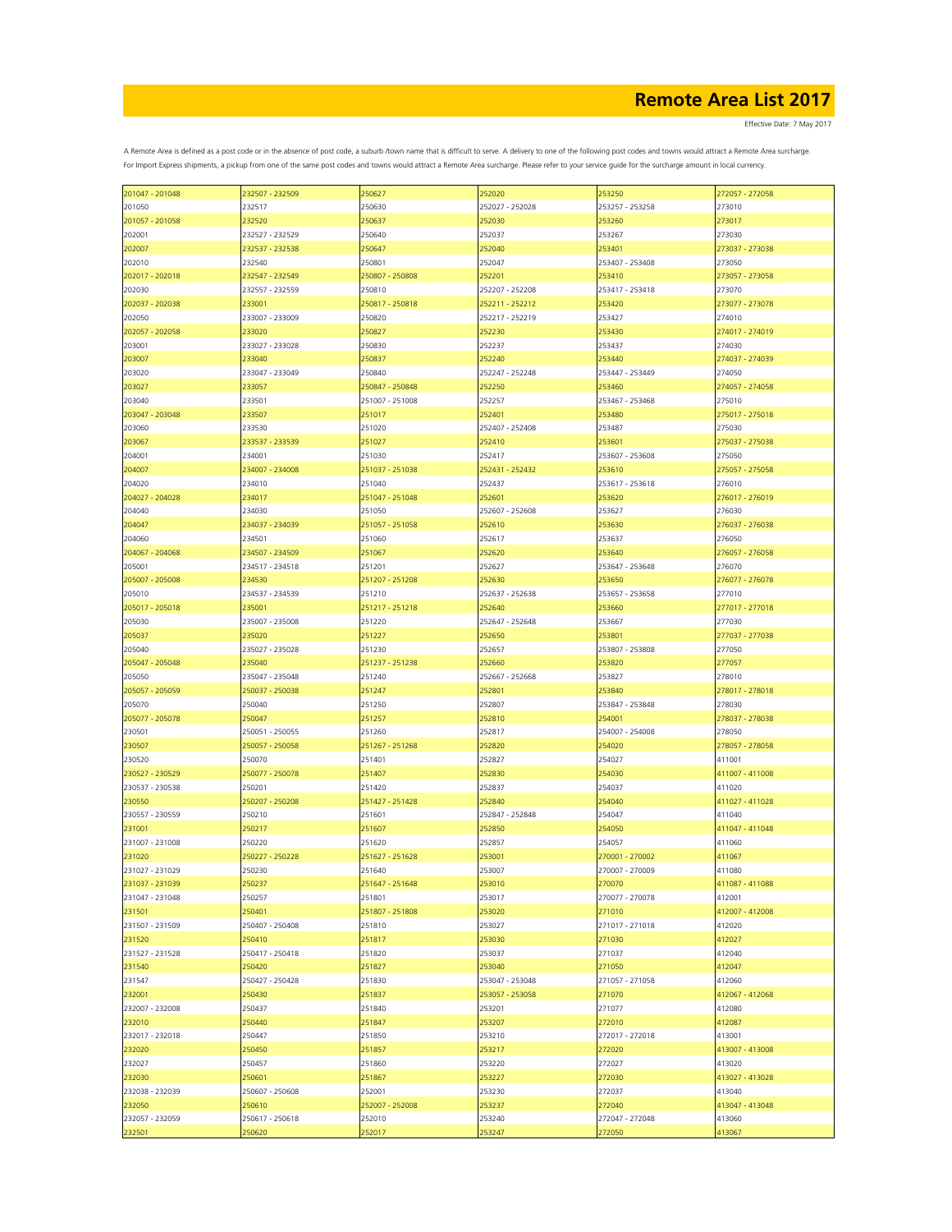| 201047 - 201048 | 232507 - 232509 | 250627          | 252020          | 253250          | 272057 - 272058 |
|-----------------|-----------------|-----------------|-----------------|-----------------|-----------------|
| 201050          | 232517          | 250630          | 252027 - 252028 | 253257 - 253258 | 273010          |
| 201057 - 201058 | 232520          | 250637          | 252030          | 253260          | 273017          |
|                 |                 |                 |                 |                 |                 |
| 202001          | 232527 - 232529 | 250640          | 252037          | 253267          | 273030          |
| 202007          | 232537 - 232538 | 250647          | 252040          | 253401          | 273037 - 273038 |
| 202010          | 232540          | 250801          | 252047          | 253407 - 253408 | 273050          |
|                 |                 |                 |                 |                 |                 |
| 202017 - 202018 | 232547 - 232549 | 250807 - 250808 | 252201          | 253410          | 273057 - 273058 |
| 202030          | 232557 - 232559 | 250810          | 252207 - 252208 | 253417 - 253418 | 273070          |
| 202037 - 202038 | 233001          | 250817 - 250818 | 252211 - 252212 | 253420          | 273077 - 273078 |
|                 |                 |                 |                 |                 |                 |
| 202050          | 233007 - 233009 | 250820          | 252217 - 252219 | 253427          | 274010          |
| 202057 - 202058 | 233020          | 250827          | 252230          | 253430          | 274017 - 274019 |
| 203001          | 233027 - 233028 | 250830          | 252237          | 253437          | 274030          |
| 203007          | 233040          | 250837          | 252240          | 253440          | 274037 - 274039 |
|                 |                 |                 |                 |                 |                 |
| 203020          | 233047 - 233049 | 250840          | 252247 - 252248 | 253447 - 253449 | 274050          |
| 203027          | 233057          | 250847 - 250848 | 252250          | 253460          | 274057 - 274058 |
| 203040          | 233501          | 251007 - 251008 | 252257          | 253467 - 253468 | 275010          |
|                 |                 |                 |                 |                 |                 |
| 203047 - 203048 | 233507          | 251017          | 252401          | 253480          | 275017 - 275018 |
| 203060          | 233530          | 251020          | 252407 - 252408 | 253487          | 275030          |
| 203067          | 233537 - 233539 | 251027          | 252410          | 253601          | 275037 - 275038 |
|                 |                 |                 |                 |                 |                 |
| 204001          | 234001          | 251030          | 252417          | 253607 - 253608 | 275050          |
| 204007          | 234007 - 234008 | 251037 - 251038 | 252431 - 252432 | 253610          | 275057 - 275058 |
| 204020          | 234010          | 251040          | 252437          | 253617 - 253618 | 276010          |
| 204027 - 204028 | 234017          | 251047 - 251048 | 252601          | 253620          | 276017 - 276019 |
|                 |                 |                 |                 |                 |                 |
| 204040          | 234030          | 251050          | 252607 - 252608 | 253627          | 276030          |
| 204047          | 234037 - 234039 | 251057 - 251058 | 252610          | 253630          | 276037 - 276038 |
| 204060          | 234501          | 251060          | 252617          | 253637          | 276050          |
| 204067 - 204068 |                 |                 |                 |                 |                 |
|                 | 234507 - 234509 | 251067          | 252620          | 253640          | 276057 - 276058 |
| 205001          | 234517 - 234518 | 251201          | 252627          | 253647 - 253648 | 276070          |
| 205007 - 205008 | 234530          | 251207 - 251208 | 252630          | 253650          | 276077 - 276078 |
|                 | 234537 - 234539 | 251210          | 252637 - 252638 | 253657 - 253658 | 277010          |
| 205010          |                 |                 |                 |                 |                 |
| 205017 - 205018 | 235001          | 251217 - 251218 | 252640          | 253660          | 277017 - 277018 |
| 205030          | 235007 - 235008 | 251220          | 252647 - 252648 | 253667          | 277030          |
| 205037          | 235020          | 251227          | 252650          | 253801          | 277037 - 277038 |
|                 |                 |                 |                 |                 |                 |
| 205040          | 235027 - 235028 | 251230          | 252657          | 253807 - 253808 | 277050          |
| 205047 - 205048 | 235040          | 251237 - 251238 | 252660          | 253820          | 277057          |
| 205050          | 235047 - 235048 | 251240          | 252667 - 252668 | 253827          | 278010          |
|                 |                 |                 |                 |                 |                 |
| 205057 - 205059 | 250037 - 250038 | 251247          | 252801          | 253840          | 278017 - 278018 |
| 205070          | 250040          | 251250          | 252807          | 253847 - 253848 | 278030          |
| 205077 - 205078 | 250047          | 251257          | 252810          | 254001          | 278037 - 278038 |
| 230501          | 250051 - 250055 | 251260          | 252817          | 254007 - 254008 | 278050          |
|                 |                 |                 |                 |                 |                 |
| 230507          | 250057 - 250058 | 251267 - 251268 | 252820          | 254020          | 278057 - 278058 |
| 230520          | 250070          | 251401          | 252827          | 254027          | 411001          |
| 230527 - 230529 | 250077 - 250078 | 251407          | 252830          | 254030          | 411007 - 411008 |
|                 |                 |                 |                 |                 |                 |
| 230537 - 230538 | 250201          | 251420          | 252837          | 254037          | 411020          |
| 230550          | 250207 - 250208 | 251427 - 251428 | 252840          | 254040          | 411027 - 411028 |
| 230557 - 230559 | 250210          | 251601          | 252847 - 252848 | 254047          | 411040          |
| 231001          | 250217          | 251607          | 252850          | 254050          | 411047 - 411048 |
|                 |                 |                 |                 |                 |                 |
| 231007 - 231008 | 250220          | 251620          | 252857          | 254057          | 411060          |
| 231020          | 250227 - 250228 | 251627 - 251628 | 253001          | 270001 - 270002 | 411067          |
| 231027 - 231029 | 250230          | 251640          | 253007          | 270007 - 270009 | 411080          |
|                 |                 |                 |                 |                 |                 |
| 231037 - 231039 | 250237          | 251647 - 251648 | 253010          | 270070          | 411087 - 411088 |
| 231047 - 231048 | 250257          | 251801          | 253017          | 270077 - 270078 | 412001          |
| 231501          | 250401          | 251807 - 251808 | 253020          | 271010          | 412007 - 412008 |
| 231507 - 231509 | 250407 - 250408 | 251810          | 253027          | 271017 - 271018 | 412020          |
|                 |                 |                 |                 |                 |                 |
| 231520          | 250410          | 251817          | 253030          | 271030          | 412027          |
| 231527 - 231528 | 250417 - 250418 | 251820          | 253037          | 271037          | 412040          |
| 231540          | 250420          | 251827          | 253040          | 271050          | 412047          |
|                 |                 |                 |                 |                 |                 |
| 231547          | 250427 - 250428 | 251830          | 253047 - 253048 | 271057 - 271058 | 412060          |
| 232001          | 250430          | 251837          | 253057 - 253058 | 271070          | 412067 - 412068 |
| 232007 - 232008 | 250437          | 251840          | 253201          | 271077          | 412080          |
| 232010          | 250440          | 251847          | 253207          | 272010          | 412087          |
|                 |                 |                 |                 |                 |                 |
| 232017 - 232018 | 250447          | 251850          | 253210          | 272017 - 272018 | 413001          |
| 232020          | 250450          | 251857          | 253217          | 272020          | 413007 - 413008 |
| 232027          | 250457          | 251860          | 253220          | 272027          | 413020          |
|                 |                 |                 |                 |                 |                 |
| 232030          | 250601          | 251867          | 253227          | 272030          | 413027 - 413028 |
| 232038 - 232039 | 250607 - 250608 | 252001          | 253230          | 272037          | 413040          |
| 232050          | 250610          | 252007 - 252008 | 253237          | 272040          | 413047 - 413048 |
| 232057 - 232059 | 250617 - 250618 | 252010          | 253240          | 272047 - 272048 | 413060          |
|                 |                 |                 |                 |                 |                 |
| 232501          | 250620          | 252017          | 253247          | 272050          | 413067          |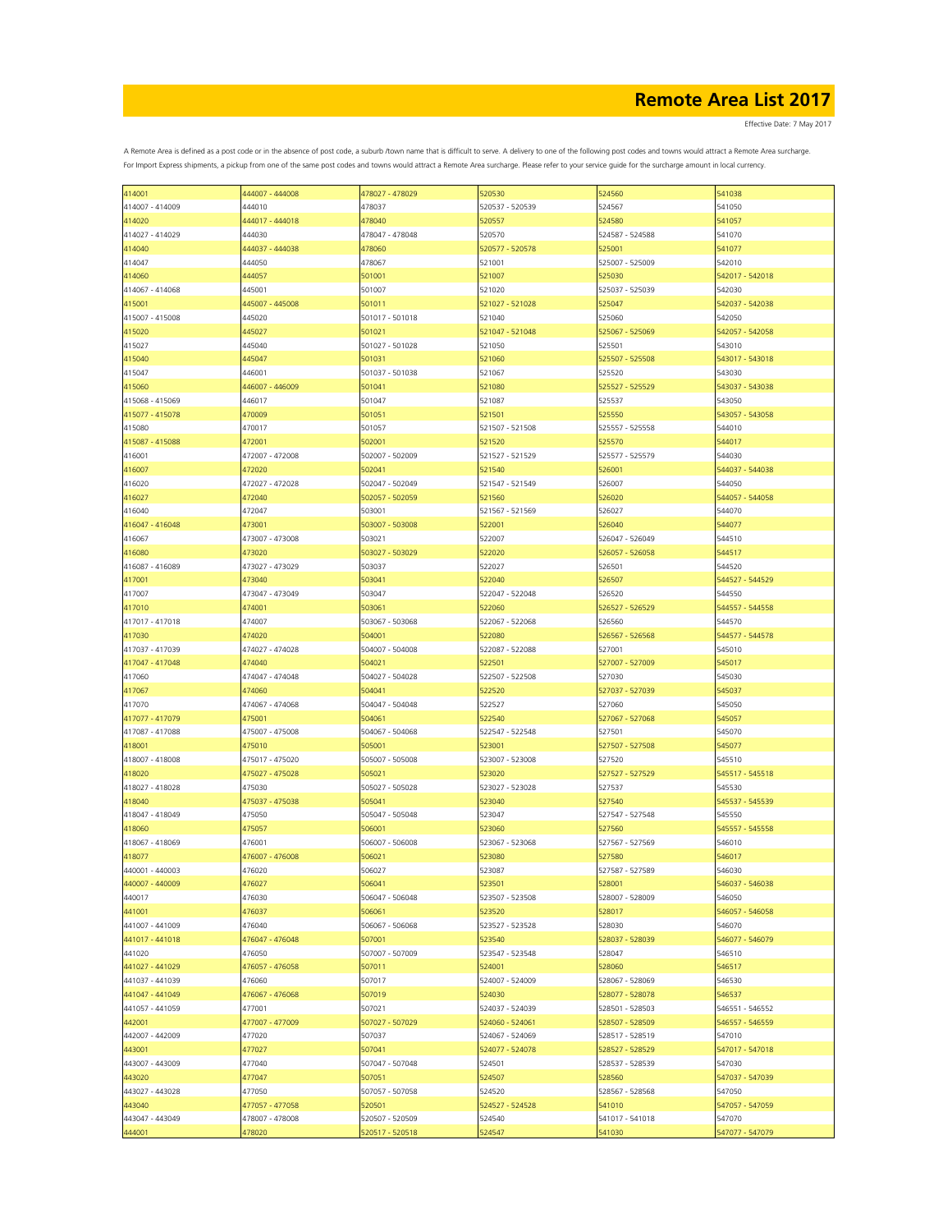Effective Date: 7 May 2017

| 414001          | 444007 - 444008 | 478027 - 478029 | 520530          | 524560          | 541038          |
|-----------------|-----------------|-----------------|-----------------|-----------------|-----------------|
| 414007 - 414009 | 444010          | 478037          | 520537 - 520539 | 524567          | 541050          |
|                 |                 |                 |                 |                 |                 |
| 414020          | 444017 - 444018 | 478040          | 520557          | 524580          | 541057          |
| 414027 - 414029 | 444030          | 478047 - 478048 | 520570          | 524587 - 524588 | 541070          |
|                 |                 |                 |                 |                 |                 |
| 414040          | 444037 - 444038 | 478060          | 520577 - 520578 | 525001          | 541077          |
| 414047          | 444050          | 478067          | 521001          | 525007 - 525009 | 542010          |
|                 | 444057          | 501001          | 521007          | 525030          | 542017 - 542018 |
| 414060          |                 |                 |                 |                 |                 |
| 414067 - 414068 | 445001          | 501007          | 521020          | 525037 - 525039 | 542030          |
| 415001          | 445007 - 445008 | 501011          | 521027 - 521028 | 525047          | 542037 - 542038 |
|                 |                 |                 |                 |                 |                 |
| 415007 - 415008 | 445020          | 501017 - 501018 | 521040          | 525060          | 542050          |
| 415020          | 445027          | 501021          | 521047 - 521048 | 525067 - 525069 | 542057 - 542058 |
|                 |                 |                 |                 |                 |                 |
| 415027          | 445040          | 501027 - 501028 | 521050          | 525501          | 543010          |
| 415040          | 445047          | 501031          | 521060          | 525507 - 525508 | 543017 - 543018 |
|                 |                 |                 |                 |                 |                 |
| 415047          | 446001          | 501037 - 501038 | 521067          | 525520          | 543030          |
| 415060          | 446007 - 446009 | 501041          | 521080          | 525527 - 525529 | 543037 - 543038 |
|                 |                 |                 | 521087          |                 |                 |
| 415068 - 415069 | 446017          | 501047          |                 | 525537          | 543050          |
| 415077 - 415078 | 470009          | 501051          | 521501          | 525550          | 543057 - 543058 |
| 415080          | 470017          | 501057          | 521507 - 521508 | 525557 - 525558 | 544010          |
|                 |                 |                 |                 |                 |                 |
| 415087 - 415088 | 472001          | 502001          | 521520          | 525570          | 544017          |
| 416001          | 472007 - 472008 | 502007 - 502009 | 521527 - 521529 | 525577 - 525579 | 544030          |
|                 |                 |                 |                 |                 |                 |
| 416007          | 472020          | 502041          | 521540          | 526001          | 544037 - 544038 |
| 416020          | 472027 - 472028 | 502047 - 502049 | 521547 - 521549 | 526007          | 544050          |
|                 |                 |                 |                 |                 |                 |
| 416027          | 472040          | 502057 - 502059 | 521560          | 526020          | 544057 - 544058 |
| 416040          | 472047          | 503001          | 521567 - 521569 | 526027          | 544070          |
|                 |                 |                 |                 |                 |                 |
| 416047 - 416048 | 473001          | 503007 - 503008 | 522001          | 526040          | 544077          |
| 416067          | 473007 - 473008 | 503021          | 522007          | 526047 - 526049 | 544510          |
|                 |                 |                 |                 |                 |                 |
| 416080          | 473020          | 503027 - 503029 | 522020          | 526057 - 526058 | 544517          |
| 416087 - 416089 | 473027 - 473029 | 503037          | 522027          | 526501          | 544520          |
|                 |                 |                 |                 |                 |                 |
| 417001          | 473040          | 503041          | 522040          | 526507          | 544527 - 544529 |
| 417007          | 473047 - 473049 | 503047          | 522047 - 522048 | 526520          | 544550          |
|                 |                 |                 |                 |                 |                 |
| 417010          | 474001          | 503061          | 522060          | 526527 - 526529 | 544557 - 544558 |
| 417017 - 417018 | 474007          | 503067 - 503068 | 522067 - 522068 | 526560          | 544570          |
|                 |                 |                 |                 |                 |                 |
| 417030          | 474020          | 504001          | 522080          | 526567 - 526568 | 544577 - 544578 |
| 417037 - 417039 | 474027 - 474028 | 504007 - 504008 | 522087 - 522088 | 527001          | 545010          |
|                 |                 |                 |                 |                 |                 |
| 417047 - 417048 | 474040          | 504021          | 522501          | 527007 - 527009 | 545017          |
| 417060          | 474047 - 474048 | 504027 - 504028 | 522507 - 522508 | 527030          | 545030          |
| 417067          | 474060          | 504041          | 522520          | 527037 - 527039 | 545037          |
|                 |                 |                 |                 |                 |                 |
| 417070          | 474067 - 474068 | 504047 - 504048 | 522527          | 527060          | 545050          |
| 417077 - 417079 | 475001          | 504061          | 522540          | 527067 - 527068 | 545057          |
|                 |                 |                 |                 |                 |                 |
| 417087 - 417088 | 475007 - 475008 | 504067 - 504068 | 522547 - 522548 | 527501          | 545070          |
| 418001          | 475010          | 505001          | 523001          | 527507 - 527508 | 545077          |
|                 |                 |                 |                 |                 |                 |
| 418007 - 418008 | 475017 - 475020 | 505007 - 505008 | 523007 - 523008 | 527520          | 545510          |
| 418020          | 475027 - 475028 | 505021          | 523020          | 527527 - 527529 | 545517 - 545518 |
|                 |                 |                 |                 |                 |                 |
| 418027 - 418028 | 475030          | 505027 - 505028 | 523027 - 523028 | 527537          | 545530          |
| 418040          | 475037 - 475038 | 505041          | 523040          | 527540          | 545537 - 545539 |
|                 |                 |                 |                 |                 |                 |
| 418047 - 418049 | 475050          | 505047 - 505048 | 523047          | 527547 - 527548 | 545550          |
| 418060          | 475057          | 506001          | 523060          | 527560          | 545557 - 545558 |
|                 |                 |                 |                 |                 |                 |
| 418067 - 418069 | 476001          | 506007 - 506008 | 523067 - 523068 | 527567 - 527569 | 546010          |
| 418077          | 476007 - 476008 | 506021          | 523080          | 527580          | 546017          |
|                 |                 |                 |                 |                 |                 |
| 440001 - 440003 | 476020          | 506027          | 523087          | 527587 - 527589 | 546030          |
| 440007 - 440009 | 476027          | 506041          | 523501          | 528001          | 546037 - 546038 |
| 440017          | 476030          | 506047 - 506048 | 523507 - 523508 | 528007 - 528009 | 546050          |
|                 |                 |                 |                 |                 |                 |
| 441001          | 476037          | 506061          | 523520          | 528017          | 546057 - 546058 |
| 441007 - 441009 | 476040          | 506067 - 506068 | 523527 - 523528 | 528030          | 546070          |
|                 |                 |                 |                 |                 |                 |
| 441017 - 441018 | 476047 - 476048 | 507001          | 523540          | 528037 - 528039 | 546077 - 546079 |
| 441020          | 476050          | 507007 - 507009 | 523547 - 523548 | 528047          | 546510          |
|                 |                 |                 |                 |                 |                 |
| 441027 - 441029 | 476057 - 476058 | 507011          | 524001          | 528060          | 546517          |
| 441037 - 441039 | 476060          | 507017          | 524007 - 524009 | 528067 - 528069 | 546530          |
|                 |                 |                 |                 |                 |                 |
| 441047 - 441049 | 476067 - 476068 | 507019          | 524030          | 528077 - 528078 | 546537          |
| 441057 - 441059 | 477001          | 507021          | 524037 - 524039 | 528501 - 528503 | 546551 - 546552 |
|                 |                 |                 |                 |                 |                 |
| 442001          | 477007 - 477009 | 507027 - 507029 | 524060 - 524061 | 528507 - 528509 | 546557 - 546559 |
| 442007 - 442009 | 477020          | 507037          | 524067 - 524069 | 528517 - 528519 | 547010          |
|                 |                 |                 |                 |                 |                 |
| 443001          | 477027          | 507041          | 524077 - 524078 | 528527 - 528529 | 547017 - 547018 |
| 443007 - 443009 | 477040          | 507047 - 507048 | 524501          | 528537 - 528539 | 547030          |
|                 |                 |                 |                 |                 |                 |
| 443020          | 477047          | 507051          | 524507          | 528560          | 547037 - 547039 |
| 443027 - 443028 | 477050          | 507057 - 507058 | 524520          | 528567 - 528568 | 547050          |
|                 |                 |                 |                 |                 |                 |
| 443040          | 477057 - 477058 | 520501          | 524527 - 524528 | 541010          | 547057 - 547059 |
| 443047 - 443049 | 478007 - 478008 | 520507 - 520509 | 524540          | 541017 - 541018 | 547070          |
|                 |                 |                 |                 |                 |                 |
| 444001          | 478020          | 520517 - 520518 | 524547          | 541030          | 547077 - 547079 |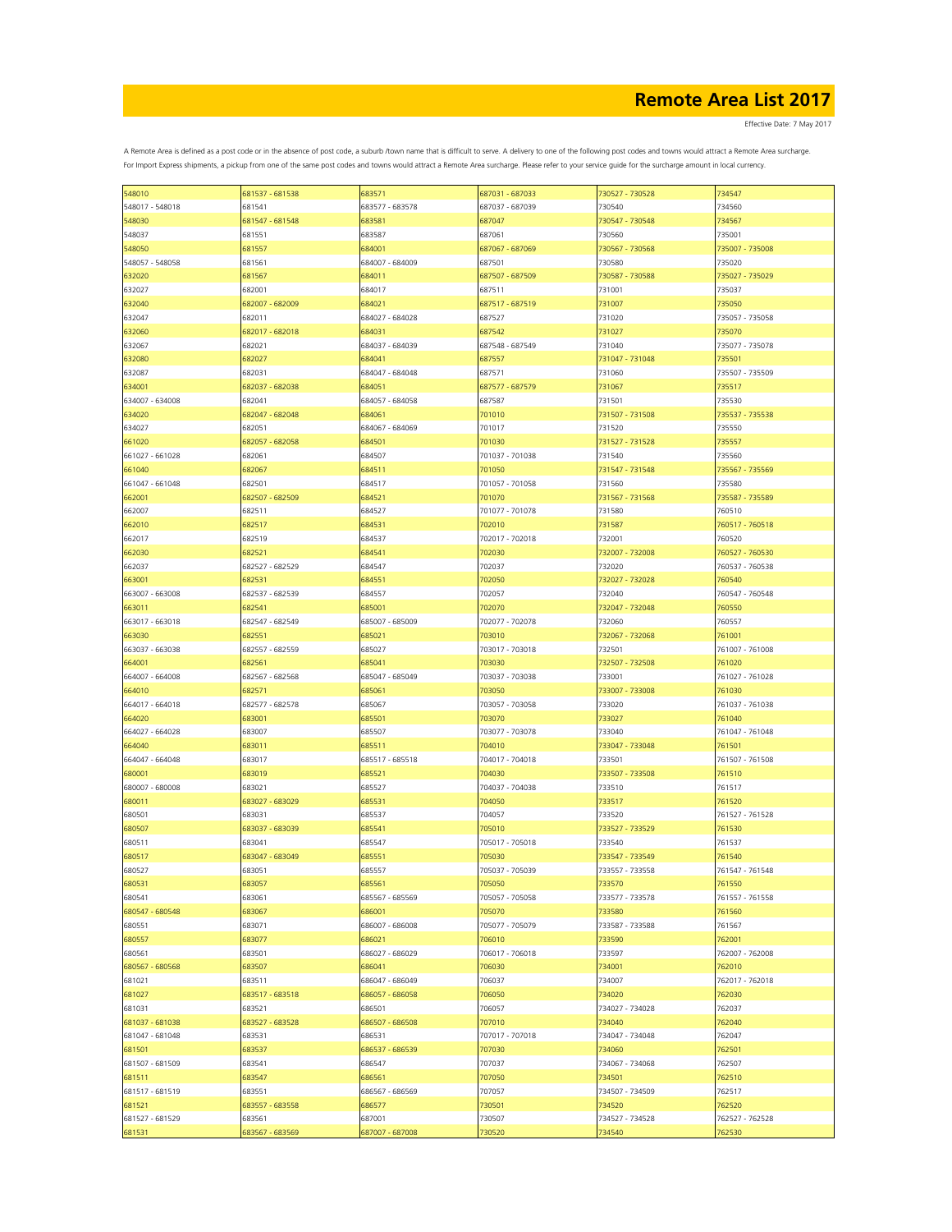Effective Date: 7 May 2017

| 548010          | 681537 - 681538 | 683571          | 687031 - 687033 | 730527 - 730528 | 734547          |
|-----------------|-----------------|-----------------|-----------------|-----------------|-----------------|
| 548017 - 548018 | 681541          | 683577 - 683578 | 687037 - 687039 | 730540          | 734560          |
|                 |                 |                 |                 |                 |                 |
| 548030          | 681547 - 681548 | 683581          | 687047          | 730547 - 730548 | 734567          |
| 548037          | 681551          | 683587          | 687061          | 730560          | 735001          |
|                 |                 |                 |                 |                 |                 |
| 548050          | 681557          | 684001          | 687067 - 687069 | 730567 - 730568 | 735007 - 735008 |
| 548057 - 548058 | 681561          | 684007 - 684009 | 687501          | 730580          | 735020          |
|                 | 681567          |                 | 687507 - 687509 | 730587 - 730588 | 735027 - 735029 |
| 632020          |                 | 684011          |                 |                 |                 |
| 632027          | 682001          | 684017          | 687511          | 731001          | 735037          |
| 632040          | 682007 - 682009 | 684021          | 687517 - 687519 | 731007          | 735050          |
|                 |                 |                 |                 |                 |                 |
| 632047          | 682011          | 684027 - 684028 | 687527          | 731020          | 735057 - 735058 |
| 632060          | 682017 - 682018 | 684031          | 687542          | 731027          | 735070          |
|                 |                 |                 |                 |                 |                 |
| 632067          | 682021          | 684037 - 684039 | 687548 - 687549 | 731040          | 735077 - 735078 |
| 632080          | 682027          | 684041          | 687557          | 731047 - 731048 | 735501          |
|                 |                 |                 |                 |                 |                 |
| 632087          | 682031          | 684047 - 684048 | 687571          | 731060          | 735507 - 735509 |
| 634001          | 682037 - 682038 | 684051          | 687577 - 687579 | 731067          | 735517          |
|                 |                 |                 |                 |                 |                 |
| 634007 - 634008 | 682041          | 684057 - 684058 | 687587          | 731501          | 735530          |
| 634020          | 682047 - 682048 | 684061          | 701010          | 731507 - 731508 | 735537 - 735538 |
| 634027          | 682051          | 684067 - 684069 | 701017          | 731520          | 735550          |
|                 |                 |                 |                 |                 |                 |
| 661020          | 682057 - 682058 | 684501          | 701030          | 731527 - 731528 | 735557          |
| 661027 - 661028 | 682061          | 684507          | 701037 - 701038 | 731540          | 735560          |
|                 |                 |                 |                 |                 |                 |
| 661040          | 682067          | 684511          | 701050          | 731547 - 731548 | 735567 - 735569 |
| 661047 - 661048 | 682501          | 684517          | 701057 - 701058 | 731560          | 735580          |
|                 |                 |                 |                 |                 |                 |
| 662001          | 682507 - 682509 | 684521          | 701070          | 731567 - 731568 | 735587 - 735589 |
| 662007          | 682511          | 684527          | 701077 - 701078 | 731580          | 760510          |
|                 |                 |                 |                 |                 |                 |
| 662010          | 682517          | 684531          | 702010          | 731587          | 760517 - 760518 |
| 662017          | 682519          | 684537          | 702017 - 702018 | 732001          | 760520          |
|                 |                 |                 |                 |                 |                 |
| 662030          | 682521          | 684541          | 702030          | 732007 - 732008 | 760527 - 760530 |
| 662037          | 682527 - 682529 | 684547          | 702037          | 732020          | 760537 - 760538 |
|                 |                 |                 |                 |                 |                 |
| 663001          | 682531          | 684551          | 702050          | 732027 - 732028 | 760540          |
| 663007 - 663008 | 682537 - 682539 | 684557          | 702057          | 732040          | 760547 - 760548 |
|                 |                 |                 |                 |                 |                 |
| 663011          | 682541          | 685001          | 702070          | 732047 - 732048 | 760550          |
| 663017 - 663018 | 682547 - 682549 | 685007 - 685009 | 702077 - 702078 | 732060          | 760557          |
|                 |                 |                 |                 |                 |                 |
| 663030          | 682551          | 685021          | 703010          | 732067 - 732068 | 761001          |
| 663037 - 663038 | 682557 - 682559 | 685027          | 703017 - 703018 | 732501          | 761007 - 761008 |
|                 |                 |                 |                 |                 |                 |
| 664001          | 682561          | 685041          | 703030          | 732507 - 732508 | 761020          |
| 664007 - 664008 | 682567 - 682568 | 685047 - 685049 | 703037 - 703038 | 733001          | 761027 - 761028 |
|                 |                 |                 |                 |                 |                 |
| 664010          | 682571          | 685061          | 703050          | 733007 - 733008 | 761030          |
| 664017 - 664018 | 682577 - 682578 | 685067          | 703057 - 703058 | 733020          | 761037 - 761038 |
|                 |                 |                 |                 |                 |                 |
| 664020          | 683001          | 685501          | 703070          | 733027          | 761040          |
| 664027 - 664028 | 683007          | 685507          | 703077 - 703078 | 733040          | 761047 - 761048 |
|                 |                 |                 |                 |                 |                 |
| 664040          | 683011          | 685511          | 704010          | 733047 - 733048 | 761501          |
| 664047 - 664048 | 683017          | 685517 - 685518 | 704017 - 704018 | 733501          | 761507 - 761508 |
| 680001          | 683019          | 685521          | 704030          | 733507 - 733508 | 761510          |
|                 |                 |                 |                 |                 |                 |
| 680007 - 680008 | 683021          | 685527          | 704037 - 704038 | 733510          | 761517          |
|                 | 683027 - 683029 |                 |                 |                 |                 |
| 680011          |                 | 685531          | 704050          | 733517          | 761520          |
| 680501          | 683031          | 685537          | 704057          | 733520          | 761527 - 761528 |
| 680507          | 683037 - 683039 | 685541          | 705010          | 733527 - 733529 | 761530          |
|                 |                 |                 |                 |                 |                 |
| 680511          | 683041          | 685547          | 705017 - 705018 | 733540          | 761537          |
| 680517          | 683047 - 683049 | 685551          | 705030          | 733547 - 733549 | 761540          |
|                 |                 |                 |                 |                 |                 |
| 680527          | 683051          | 685557          | 705037 - 705039 | 733557 - 733558 | 761547 - 761548 |
| 680531          | 683057          | 685561          | 705050          | 733570          | 761550          |
|                 |                 |                 |                 |                 |                 |
| 680541          | 683061          | 685567 - 685569 | 705057 - 705058 | 733577 - 733578 | 761557 - 761558 |
| 680547 - 680548 | 683067          | 686001          | 705070          | 733580          | 761560          |
|                 |                 |                 |                 |                 |                 |
| 680551          | 683071          | 686007 - 686008 | 705077 - 705079 | 733587 - 733588 | 761567          |
| 680557          | 683077          | 686021          | 706010          | 733590          | 762001          |
|                 |                 |                 |                 |                 |                 |
| 680561          | 683501          | 686027 - 686029 | 706017 - 706018 | 733597          | 762007 - 762008 |
| 680567 - 680568 | 683507          | 686041          | 706030          | 734001          | 762010          |
|                 |                 |                 |                 |                 |                 |
| 681021          | 683511          | 686047 - 686049 | 706037          | 734007          | 762017 - 762018 |
| 681027          | 683517 - 683518 | 686057 - 686058 | 706050          | 734020          | 762030          |
|                 |                 |                 |                 |                 | 762037          |
| 681031          | 683521          | 686501          | 706057          | 734027 - 734028 |                 |
| 681037 - 681038 | 683527 - 683528 | 686507 - 686508 | 707010          | 734040          | 762040          |
| 681047 - 681048 | 683531          | 686531          | 707017 - 707018 | 734047 - 734048 | 762047          |
|                 |                 |                 |                 |                 |                 |
| 681501          | 683537          | 686537 - 686539 | 707030          | 734060          | 762501          |
| 681507 - 681509 | 683541          | 686547          | 707037          | 734067 - 734068 | 762507          |
|                 |                 |                 |                 |                 |                 |
| 681511          | 683547          | 686561          | 707050          | 734501          | 762510          |
| 681517 - 681519 | 683551          | 686567 - 686569 | 707057          | 734507 - 734509 | 762517          |
|                 |                 |                 |                 |                 |                 |
| 681521          | 683557 - 683558 | 686577          | 730501          | 734520          | 762520          |
| 681527 - 681529 | 683561          | 687001          | 730507          | 734527 - 734528 | 762527 - 762528 |
|                 |                 |                 |                 |                 |                 |
| 681531          | 683567 - 683569 | 687007 - 687008 | 730520          | 734540          | 762530          |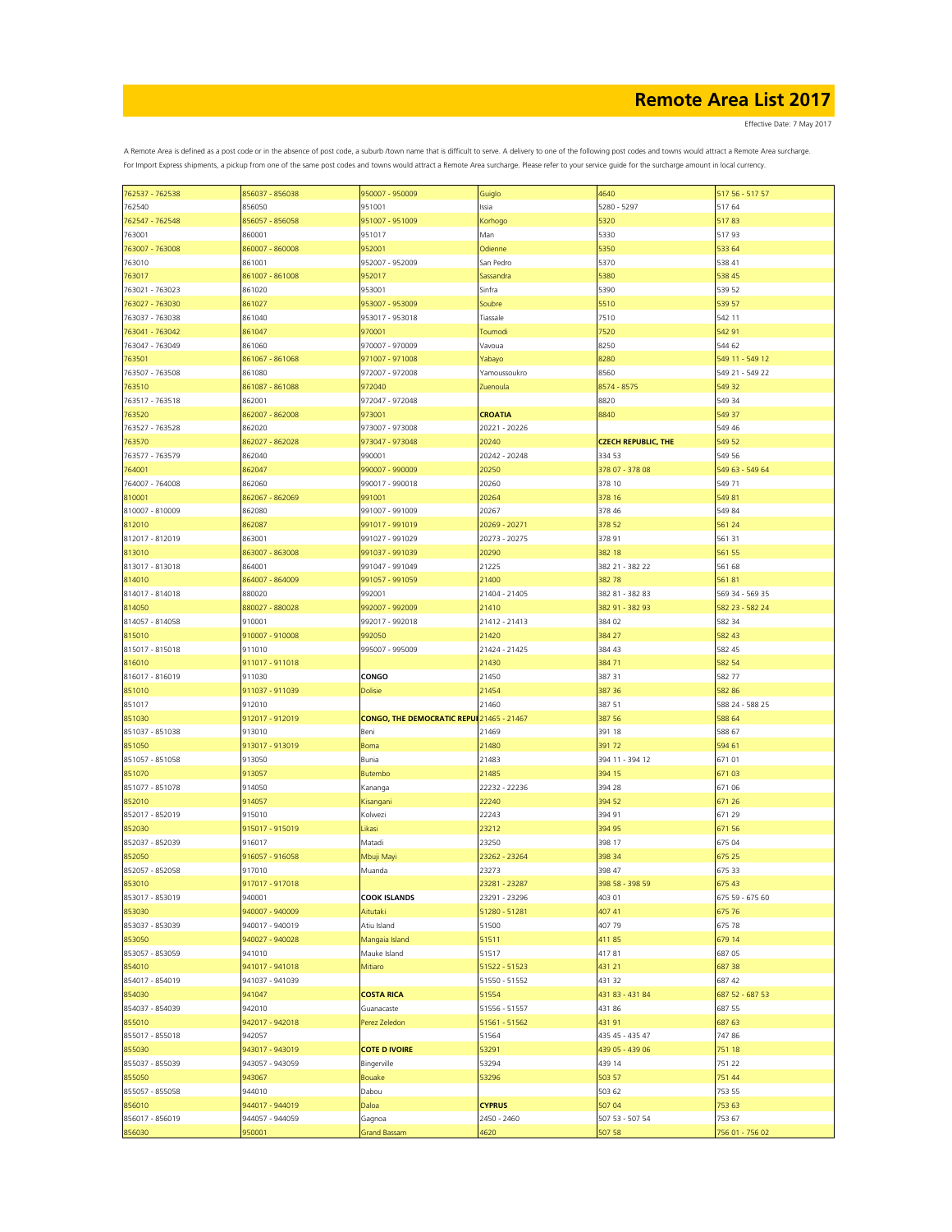Effective Date: 7 May 2017

| 762537 - 762538           |                           |                                           |                     |                            |                           |
|---------------------------|---------------------------|-------------------------------------------|---------------------|----------------------------|---------------------------|
|                           | 856037 - 856038           | 950007 - 950009                           | Guiglo              | 4640                       | 517 56 - 517 57           |
| 762540                    | 856050                    | 951001                                    | Issia               | 5280 - 5297                | 517 64                    |
|                           |                           |                                           |                     |                            |                           |
| 762547 - 762548           | 856057 - 856058           | 951007 - 951009                           | Korhogo             | 5320                       | 51783                     |
| 763001                    | 860001                    | 951017                                    | Man                 | 5330                       | 51793                     |
|                           |                           |                                           |                     |                            |                           |
| 763007 - 763008           | 860007 - 860008           | 952001                                    | Odienne             | 5350                       | 533 64                    |
| 763010                    | 861001                    | 952007 - 952009                           | San Pedro           | 5370                       | 538 41                    |
| 763017                    | 861007 - 861008           | 952017                                    | Sassandra           | 5380                       | 538 45                    |
|                           |                           |                                           |                     |                            |                           |
| 763021 - 763023           | 861020                    | 953001                                    | Sinfra              | 5390                       | 539 52                    |
| 763027 - 763030           | 861027                    | 953007 - 953009                           | Soubre              | 5510                       | 539 57                    |
|                           |                           |                                           |                     |                            |                           |
| 763037 - 763038           | 861040                    | 953017 - 953018                           | Tiassale            | 7510                       | 542 11                    |
| 763041 - 763042           | 861047                    | 970001                                    | Toumodi             | 7520                       | 542 91                    |
|                           |                           |                                           |                     |                            |                           |
| 763047 - 763049           | 861060                    | 970007 - 970009                           | Vavoua              | 8250                       | 544 62                    |
| 763501                    | 861067 - 861068           | 971007 - 971008                           | Yabayo              | 8280                       | 549 11 - 549 12           |
|                           |                           |                                           |                     |                            |                           |
| 763507 - 763508           | 861080                    | 972007 - 972008                           | Yamoussoukro        | 8560                       | 549 21 - 549 22           |
| 763510                    | 861087 - 861088           | 972040                                    | Zuenoula            | 8574 - 8575                | 549 32                    |
|                           |                           |                                           |                     |                            |                           |
| 763517 - 763518           | 862001                    | 972047 - 972048                           |                     | 8820                       | 549 34                    |
| 763520                    | 862007 - 862008           | 973001                                    | <b>CROATIA</b>      | 8840                       | 549 37                    |
|                           |                           |                                           |                     |                            |                           |
| 763527 - 763528           | 862020                    | 973007 - 973008                           | 20221 - 20226       |                            | 549 46                    |
| 763570                    | 862027 - 862028           | 973047 - 973048                           | 20240               | <b>CZECH REPUBLIC, THE</b> | 549 52                    |
|                           |                           |                                           |                     |                            |                           |
| 763577 - 763579           | 862040                    | 990001                                    | 20242 - 20248       | 334 53                     | 549 56                    |
| 764001                    | 862047                    | 990007 - 990009                           | 20250               | 378 07 - 378 08            | 549 63 - 549 64           |
|                           |                           |                                           |                     |                            |                           |
| 764007 - 764008           | 862060                    | 990017 - 990018                           | 20260               | 378 10                     | 549 71                    |
| 810001                    | 862067 - 862069           | 991001                                    | 20264               | 378 16                     | 549 81                    |
| 810007 - 810009           |                           | 991007 - 991009                           |                     | 378 46                     | 549 84                    |
|                           | 862080                    |                                           | 20267               |                            |                           |
| 812010                    | 862087                    | 991017 - 991019                           | 20269 - 20271       | 378 52                     | 561 24                    |
| 812017 - 812019           | 863001                    | 991027 - 991029                           | 20273 - 20275       | 378 91                     | 561 31                    |
|                           |                           |                                           |                     |                            |                           |
| 813010                    | 863007 - 863008           | 991037 - 991039                           | 20290               | 382 18                     | 561 55                    |
| 813017 - 813018           | 864001                    | 991047 - 991049                           | 21225               | 382 21 - 382 22            | 561 68                    |
|                           |                           |                                           |                     |                            |                           |
| 814010                    | 864007 - 864009           | 991057 - 991059                           | 21400               | 38278                      | 56181                     |
| 814017 - 814018           | 880020                    | 992001                                    | 21404 - 21405       | 382 81 - 382 83            | 569 34 - 569 35           |
|                           |                           |                                           |                     |                            |                           |
| 814050                    | 880027 - 880028           | 992007 - 992009                           | 21410               | 382 91 - 382 93            | 582 23 - 582 24           |
| 814057 - 814058           | 910001                    | 992017 - 992018                           | 21412 - 21413       | 384 02                     | 582 34                    |
|                           |                           |                                           |                     |                            |                           |
| 815010                    | 910007 - 910008           | 992050                                    | 21420               | 384 27                     | 582 43                    |
| 815017 - 815018           | 911010                    | 995007 - 995009                           | 21424 - 21425       | 384 43                     | 582 45                    |
|                           |                           |                                           |                     |                            |                           |
| 816010                    | 911017 - 911018           |                                           | 21430               | 38471                      | 582 54                    |
| 816017 - 816019           | 911030                    | <b>CONGO</b>                              | 21450               | 387 31                     | 582 77                    |
|                           |                           |                                           |                     |                            |                           |
| 851010                    | 911037 - 911039           | <b>Dolisie</b>                            | 21454               | 387 36                     | 582 86                    |
|                           |                           |                                           |                     |                            |                           |
|                           |                           |                                           |                     |                            |                           |
| 851017                    | 912010                    |                                           | 21460               | 387 51                     | 588 24 - 588 25           |
| 851030                    | 912017 - 912019           | CONGO, THE DEMOCRATIC REPUI 21465 - 21467 |                     | 387 56                     | 588 64                    |
|                           |                           |                                           |                     |                            |                           |
| 851037 - 851038           | 913010                    | Beni                                      | 21469               | 391 18                     | 588 67                    |
| 851050                    | 913017 - 913019           | Boma                                      | 21480               | 39172                      | 594 61                    |
|                           |                           |                                           |                     |                            |                           |
| 851057 - 851058           | 913050                    | Bunia                                     | 21483               | 394 11 - 394 12            | 67101                     |
| 851070                    | 913057                    | Butembo                                   | 21485               | 394 15                     | 67103                     |
| 851077 - 851078           | 914050                    |                                           | 22232 - 22236       | 394 28                     | 671 06                    |
|                           |                           | Kananga                                   |                     |                            |                           |
| 852010                    | 914057                    | Kisangani                                 | 22240               | 394 52                     | 671 26                    |
| 852017 - 852019           | 915010                    | Kolwezi                                   | 22243               | 394 91                     | 671 29                    |
|                           |                           |                                           |                     |                            |                           |
| 852030                    | 915017 - 915019           | Likasi                                    | 23212               | 394 95                     | 671 56                    |
| 852037 - 852039           | 916017                    | Matadi                                    | 23250               | 398 17                     | 675 04                    |
|                           |                           |                                           |                     |                            |                           |
| 852050                    | 916057 - 916058           | Mbuji Mayi                                | 23262 - 23264       | 398 34                     | 675 25                    |
| 852057 - 852058           | 917010                    | Muanda                                    | 23273               | 398 47                     | 675 33                    |
|                           |                           |                                           |                     |                            |                           |
| 853010                    | 917017 - 917018           |                                           | 23281 - 23287       | 398 58 - 398 59            | 675 43                    |
| 853017 - 853019           | 940001                    | <b>COOK ISLANDS</b>                       | 23291 - 23296       | 403 01                     | 675 59 - 675 60           |
|                           |                           |                                           |                     |                            |                           |
| 853030                    | 940007 - 940009           | Aitutaki                                  | 51280 - 51281       | 407 41                     | 675 76                    |
| 853037 - 853039           | 940017 - 940019           | Atiu Island                               | 51500               | 407 79                     | 675 78                    |
|                           | 940027 - 940028           |                                           | 51511               | 41185                      | 679 14                    |
| 853050                    |                           | Mangaia Island                            |                     |                            |                           |
| 853057 - 853059           | 941010                    | Mauke Island                              | 51517               | 41781                      | 687 05                    |
|                           | 941017 - 941018           | Mitiaro                                   | 51522 - 51523       | 431 21                     | 687 38                    |
| 854010                    |                           |                                           |                     |                            |                           |
| 854017 - 854019           | 941037 - 941039           |                                           | 51550 - 51552       | 431 32                     | 687 42                    |
| 854030                    | 941047                    | <b>COSTA RICA</b>                         | 51554               | 431 83 - 431 84            | 687 52 - 687 53           |
|                           |                           |                                           |                     |                            |                           |
| 854037 - 854039           | 942010                    | Guanacaste                                | 51556 - 51557       | 43186                      | 687 55                    |
| 855010                    | 942017 - 942018           | Perez Zeledon                             | 51561 - 51562       | 43191                      | 687 63                    |
|                           |                           |                                           |                     |                            |                           |
| 855017 - 855018           | 942057                    |                                           | 51564               | 435 45 - 435 47            | 74786                     |
| 855030                    | 943017 - 943019           | <b>COTE D IVOIRE</b>                      | 53291               | 439 05 - 439 06            | 751 18                    |
|                           |                           |                                           |                     |                            |                           |
| 855037 - 855039           | 943057 - 943059           | Bingerville                               | 53294               | 439 14                     | 751 22                    |
| 855050                    | 943067                    | Bouake                                    | 53296               | 503 57                     | 751 44                    |
|                           |                           |                                           |                     |                            |                           |
| 855057 - 855058           | 944010                    | Dabou                                     |                     | 503 62                     | 753 55                    |
| 856010                    | 944017 - 944019           | Daloa                                     | <b>CYPRUS</b>       | 507 04                     | 753 63                    |
|                           |                           |                                           |                     |                            |                           |
| 856017 - 856019<br>856030 | 944057 - 944059<br>950001 | Gagnoa<br><b>Grand Bassam</b>             | 2450 - 2460<br>4620 | 507 53 - 507 54<br>507 58  | 753 67<br>756 01 - 756 02 |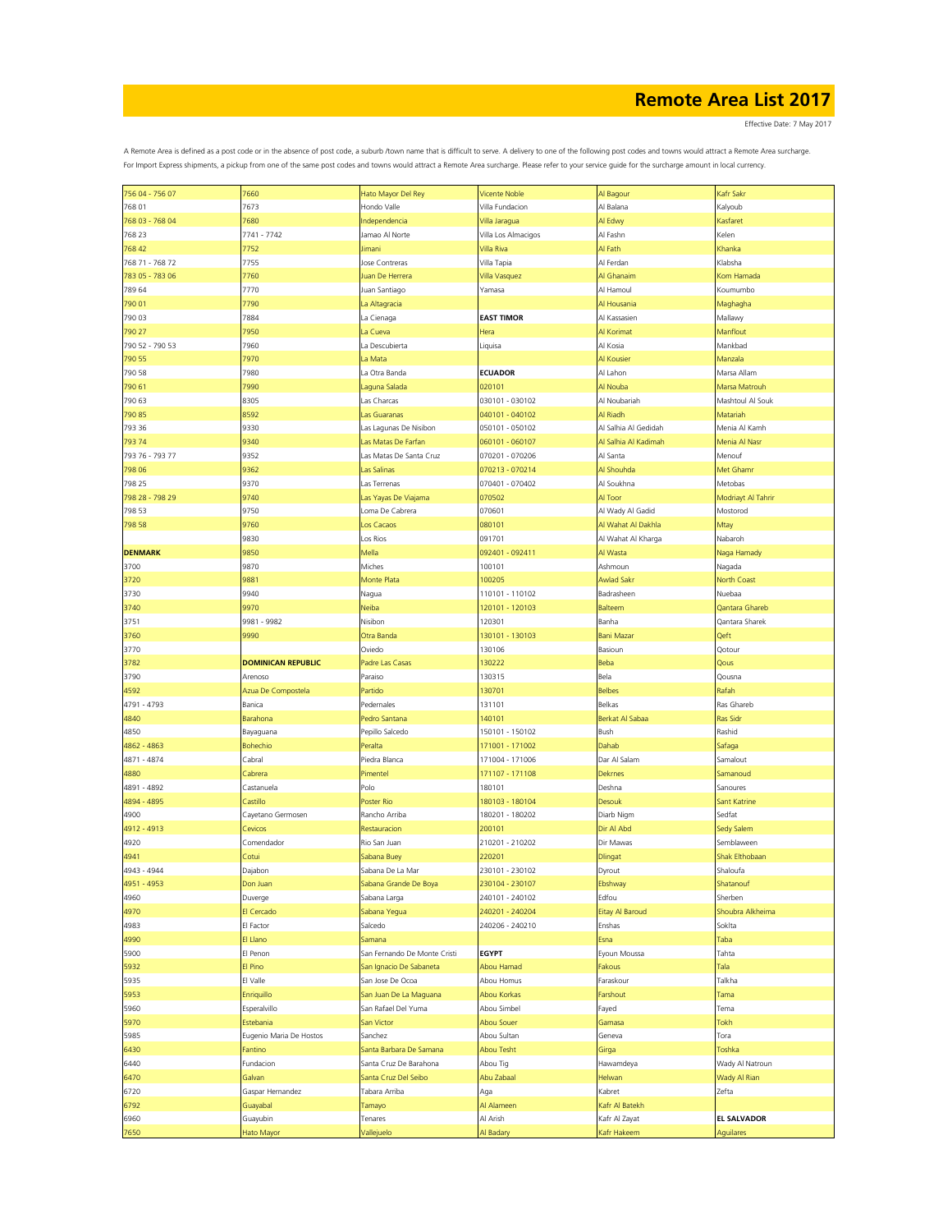Effective Date: 7 May 2017

| 756 04 - 756 07 | 7660                      | Hato Mayor Del Rey           | <b>Vicente Noble</b> | Al Bagour              | Kafr Sakr          |
|-----------------|---------------------------|------------------------------|----------------------|------------------------|--------------------|
| 768 01          | 7673                      | Hondo Valle                  | Villa Fundacion      | Al Balana              | Kalyoub            |
| 768 03 - 768 04 | 7680                      | Independencia                | Villa Jaragua        | Al Edwy                | Kasfaret           |
|                 |                           |                              |                      |                        |                    |
| 768 23          | 7741 - 7742               | Jamao Al Norte               | Villa Los Almacigos  | Al Fashn               | Kelen              |
| 768 42          | 7752                      | Jimani                       | Villa Riva           | Al Fath                | Khanka             |
| 768 71 - 768 72 | 7755                      | Jose Contreras               | Villa Tapia          | Al Ferdan              | Klabsha            |
| 783 05 - 783 06 | 7760                      | Juan De Herrera              | Villa Vasquez        | Al Ghanaim             | Kom Hamada         |
| 789 64          | 7770                      | Juan Santiago                | Yamasa               | Al Hamoul              | Koumumbo           |
|                 |                           |                              |                      |                        |                    |
| 790 01          | 7790                      | La Altagracia                |                      | Al Housania            | Maghagha           |
| 790 03          | 7884                      | La Cienaga                   | <b>EAST TIMOR</b>    | Al Kassasien           | Mallawy            |
| 790 27          | 7950                      | La Cueva                     | Hera                 | Al Korimat             | Manflout           |
| 790 52 - 790 53 | 7960                      | La Descubierta               | Liquisa              | Al Kosia               | Mankbad            |
| 790 55          | 7970                      | La Mata                      |                      | Al Kousier             | Manzala            |
|                 |                           |                              | <b>ECUADOR</b>       |                        |                    |
| 790 58          | 7980                      | La Otra Banda                |                      | Al Lahon               | Marsa Allam        |
| 790 61          | 7990                      | Laguna Salada                | 020101               | Al Nouba               | Marsa Matrouh      |
| 790 63          | 8305                      | Las Charcas                  | 030101 - 030102      | Al Noubariah           | Mashtoul Al Souk   |
| 790 85          | 8592                      | Las Guaranas                 | 040101 - 040102      | Al Riadh               | Matariah           |
| 793 36          | 9330                      | Las Lagunas De Nisibon       | 050101 - 050102      | Al Salhia Al Gedidah   | Menia Al Kamh      |
| 793 74          | 9340                      | Las Matas De Farfan          |                      | Al Salhia Al Kadimah   | Menia Al Nasi      |
|                 |                           |                              | 060101 - 060107      |                        |                    |
| 793 76 - 793 77 | 9352                      | Las Matas De Santa Cruz      | 070201 - 070206      | Al Santa               | Menouf             |
| 798 06          | 9362                      | Las Salinas                  | 070213 - 070214      | Al Shouhda             | Met Ghamr          |
| 798 25          | 9370                      | Las Terrenas                 | 070401 - 070402      | Al Soukhna             | Metobas            |
| 798 28 - 798 29 | 9740                      | Las Yayas De Viajama         | 070502               | Al Toor                | Modriayt Al Tahrir |
| 798 53          | 9750                      | Loma De Cabrera              | 070601               | Al Wady Al Gadid       |                    |
|                 |                           |                              |                      |                        | Mostorod           |
| 798 58          | 9760                      | Los Cacaos                   | 080101               | Al Wahat Al Dakhla     | Mtay               |
|                 | 9830                      | Los Rios                     | 091701               | Al Wahat Al Kharga     | Nabaroh            |
| <b>DENMARK</b>  | 9850                      | Mella                        | 092401 - 092411      | Al Wasta               | Naga Hamady        |
| 3700            | 9870                      | Miches                       | 100101               | Ashmoun                | Nagada             |
| 3720            | 9881                      | Monte Plata                  | 100205               | Awlad Sakı             | North Coast        |
|                 |                           |                              |                      |                        |                    |
| 3730            | 9940                      | Nagua                        | 110101 - 110102      | Badrasheen             | Nuebaa             |
| 3740            | 9970                      | Neiba                        | 120101 - 120103      | <b>Balteem</b>         | Qantara Ghareb     |
| 3751            | 9981 - 9982               | Nisibon                      | 120301               | Banha                  | Qantara Sharek     |
| 3760            | 9990                      | Otra Banda                   | 130101 - 130103      | <b>Bani Mazar</b>      | Qeft               |
| 3770            |                           | Oviedo                       | 130106               | Basioun                | Qotour             |
|                 |                           |                              |                      |                        |                    |
| 3782            | <b>DOMINICAN REPUBLIC</b> | Padre Las Casas              | 130222               | Beba                   | Qous               |
|                 |                           |                              |                      |                        |                    |
| 3790            | Arenoso                   | Paraiso                      | 130315               | Bela                   | Qousna             |
| 4592            | Azua De Compostela        | Partido                      | 130701               | <b>Belbes</b>          | Rafah              |
|                 |                           |                              |                      |                        |                    |
| 4791 - 4793     | Banica                    | Pedernales                   | 131101               | Belkas                 | Ras Ghareb         |
| 4840            | Barahona                  | Pedro Santana                | 140101               | Berkat Al Sabaa        | Ras Sidi           |
| 4850            | Bayaguana                 | Pepillo Salcedo              | 150101 - 150102      | Bush                   | Rashid             |
| 4862 - 4863     | <b>Bohechio</b>           | Peralta                      | 171001 - 171002      | Dahab                  | Safaga             |
| 4871 - 4874     | Cabral                    | Piedra Blanca                | 171004 - 171006      | Dar Al Salam           | Samalout           |
|                 | Cabrera                   |                              |                      |                        |                    |
| 4880            |                           | Pimentel                     | 171107 - 171108      | <b>Dekrnes</b>         | Samanoud           |
| 4891 - 4892     | Castanuela                | Polo                         | 180101               | Deshna                 | Sanoures           |
| 4894 - 4895     | Castillo                  | Poster Rio                   | 180103 - 180104      | Desouk                 | Sant Katrine       |
| 4900            | Cayetano Germosen         | Rancho Arriba                | 180201 - 180202      | Diarb Nigm             | Sedfat             |
| 4912 - 4913     | Cevicos                   | Restauracion                 | 200101               | Dir Al Abd             | Sedy Salem         |
| 4920            | Comendador                | Rio San Juan                 | 210201 - 210202      | Dir Mawas              | Semblaween         |
|                 |                           |                              |                      |                        | Shak Elthobaan     |
| 4941            | Cotui                     | Sabana Buey                  | 220201               | <b>Dlingat</b>         |                    |
| 4943 - 4944     | Dajabon                   | Sabana De La Mar             | 230101 - 230102      | Dyrout                 | Shaloufa           |
| 4951 - 4953     | Don Juan                  | Sabana Grande De Boya        | 230104 - 230107      | Ebshway                | Shatanouf          |
| 4960            | Duverge                   | Sabana Larga                 | 240101 - 240102      | Edfou                  | Sherben            |
| 4970            | El Cercado                | Sabana Yegua                 | 240201 - 240204      | <b>Eitay Al Baroud</b> | Shoubra Alkheima   |
| 4983            | El Factor                 | Salcedo                      |                      | Enshas                 | Soklta             |
|                 |                           |                              | 240206 - 240210      |                        |                    |
| 4990            | El Llano                  | Samana                       |                      | Esna                   | Taba               |
| 5900            | El Penon                  | San Fernando De Monte Cristi | <b>EGYPT</b>         | Eyoun Moussa           | Tahta              |
| 5932            | El Pino                   | San Ignacio De Sabaneta      | Abou Hamad           | Fakous                 | Tala               |
| 5935            | El Valle                  | San Jose De Ocoa             | Abou Homus           | Faraskour              | Talkha             |
| 5953            | Enriquillo                | San Juan De La Maguana       | Abou Korkas          | Farshout               | Tama               |
|                 |                           |                              |                      |                        |                    |
| 5960            | Esperalvillo              | San Rafael Del Yuma          | Abou Simbel          | Fayed                  | Tema               |
| 5970            | Estebania                 | San Victor                   | <b>Abou Souer</b>    | Gamasa                 | Tokh               |
| 5985            | Eugenio Maria De Hostos   | Sanchez                      | Abou Sultan          | Geneva                 | Tora               |
| 6430            | Fantino                   | Santa Barbara De Samana      | Abou Tesht           | Girga                  | Toshka             |
| 6440            | Fundacion                 | Santa Cruz De Barahona       | Abou Tig             | Hawamdeya              | Wady Al Natroun    |
|                 |                           |                              |                      |                        |                    |
| 6470            | Galvan                    | Santa Cruz Del Seibo         | Abu Zabaal           | Helwan                 | Wady Al Rian       |
| 6720            | Gaspar Hernandez          | Tabara Arriba                | Aga                  | Kabret                 | Zefta              |
| 6792            | Guayabal                  | Tamayo                       | Al Alameen           | Kafr Al Batekh         |                    |
| 6960            | Guayubin                  | Tenares                      | Al Arish             | Kafr Al Zayat          | <b>EL SALVADOR</b> |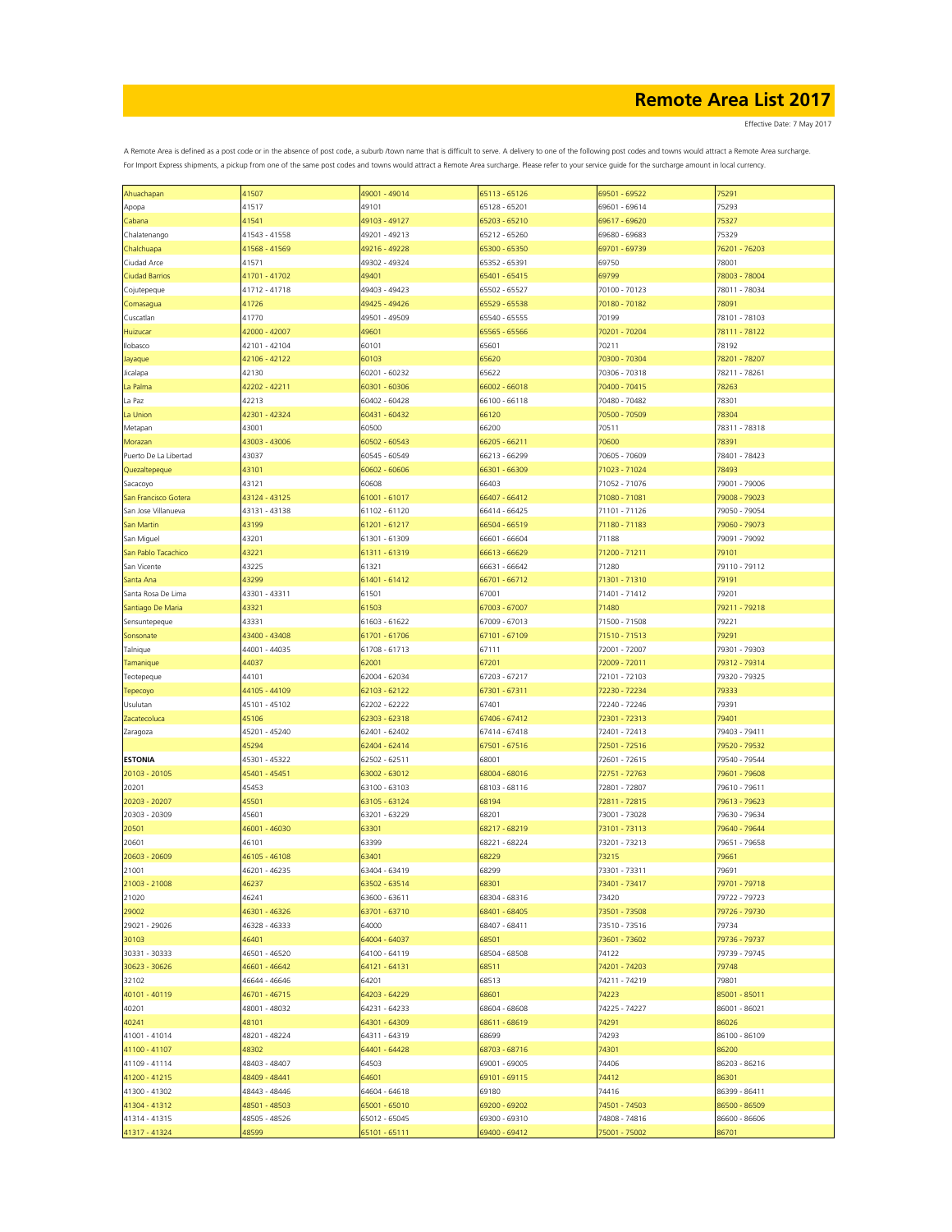Effective Date: 7 May 2017

| Ahuachapan            | 41507         | 49001 - 49014 | 65113 - 65126 | 69501 - 69522 | 75291         |
|-----------------------|---------------|---------------|---------------|---------------|---------------|
| Apopa                 | 41517         | 49101         | 65128 - 65201 | 69601 - 69614 | 75293         |
|                       | 41541         | 49103 - 49127 | 65203 - 65210 | 69617 - 69620 | 75327         |
| Cabana                |               |               |               |               |               |
| Chalatenango          | 41543 - 41558 | 49201 - 49213 | 65212 - 65260 | 69680 - 69683 | 75329         |
| Chalchuapa            | 41568 - 41569 | 49216 - 49228 | 65300 - 65350 | 69701 - 69739 | 76201 - 76203 |
| Ciudad Arce           | 41571         | 49302 - 49324 | 65352 - 65391 | 69750         | 78001         |
|                       |               |               |               |               |               |
| <b>Ciudad Barrios</b> | 41701 - 41702 | 49401         | 65401 - 65415 | 69799         | 78003 - 78004 |
| Cojutepeque           | 41712 - 41718 | 49403 - 49423 | 65502 - 65527 | 70100 - 70123 | 78011 - 78034 |
| Comasagua             | 41726         | 49425 - 49426 | 65529 - 65538 | 70180 - 70182 | 78091         |
|                       |               |               |               |               |               |
| Cuscatlan             | 41770         | 49501 - 49509 | 65540 - 65555 | 70199         | 78101 - 78103 |
| Huizucar              | 42000 - 42007 | 49601         | 65565 - 65566 | 70201 - 70204 | 78111 - 78122 |
| Ilobasco              | 42101 - 42104 | 60101         | 65601         | 70211         | 78192         |
|                       | 42106 - 42122 | 60103         |               | 70300 - 70304 | 78201 - 78207 |
| Jayaque               |               |               | 65620         |               |               |
| Jicalapa              | 42130         | 60201 - 60232 | 65622         | 70306 - 70318 | 78211 - 78261 |
| La Palma              | 42202 - 42211 | 60301 - 60306 | 66002 - 66018 | 70400 - 70415 | 78263         |
| La Paz                | 42213         | 60402 - 60428 | 66100 - 66118 | 70480 - 70482 | 78301         |
|                       |               |               |               |               |               |
| La Union              | 42301 - 42324 | 60431 - 60432 | 66120         | 70500 - 70509 | 78304         |
| Metapan               | 43001         | 60500         | 66200         | 70511         | 78311 - 78318 |
| Morazan               | 43003 - 43006 | 60502 - 60543 | 66205 - 66211 | 70600         | 78391         |
|                       |               |               |               |               |               |
| Puerto De La Libertad | 43037         | 60545 - 60549 | 66213 - 66299 | 70605 - 70609 | 78401 - 78423 |
| Quezaltepeque         | 43101         | 60602 - 60606 | 66301 - 66309 | 71023 - 71024 | 78493         |
| Sacacoyo              | 43121         | 60608         | 66403         | 71052 - 71076 | 79001 - 79006 |
| San Francisco Gotera  | 43124 - 43125 | 61001 - 61017 | 66407 - 66412 | 71080 - 71081 | 79008 - 79023 |
|                       |               |               |               |               |               |
| San Jose Villanueva   | 43131 - 43138 | 61102 - 61120 | 66414 - 66425 | 71101 - 71126 | 79050 - 79054 |
| San Martin            | 43199         | 61201 - 61217 | 66504 - 66519 | 71180 - 71183 | 79060 - 79073 |
| San Miguel            | 43201         | 61301 - 61309 | 66601 - 66604 | 71188         | 79091 - 79092 |
|                       |               |               |               |               |               |
| San Pablo Tacachico   | 43221         | 61311 - 61319 | 66613 - 66629 | 71200 - 71211 | 79101         |
| San Vicente           | 43225         | 61321         | 66631 - 66642 | 71280         | 79110 - 79112 |
| Santa Ana             | 43299         | 61401 - 61412 | 66701 - 66712 | 71301 - 71310 | 79191         |
|                       |               |               |               |               |               |
| Santa Rosa De Lima    | 43301 - 43311 | 61501         | 67001         | 71401 - 71412 | 79201         |
| Santiago De Maria     | 43321         | 61503         | 67003 - 67007 | 71480         | 79211 - 79218 |
| Sensuntepeque         | 43331         | 61603 - 61622 | 67009 - 67013 | 71500 - 71508 | 79221         |
|                       | 43400 - 43408 |               |               |               | 79291         |
| Sonsonate             |               | 61701 - 61706 | 67101 - 67109 | 71510 - 71513 |               |
| Talnique              | 44001 - 44035 | 61708 - 61713 | 67111         | 72001 - 72007 | 79301 - 79303 |
| Tamanique             | 44037         | 62001         | 67201         | 72009 - 72011 | 79312 - 79314 |
| Teotepeque            | 44101         | 62004 - 62034 | 67203 - 67217 | 72101 - 72103 | 79320 - 79325 |
|                       |               |               |               |               |               |
| Tepecoyo              | 44105 - 44109 | 62103 - 62122 | 67301 - 67311 | 72230 - 72234 | 79333         |
| Usulutan              | 45101 - 45102 | 62202 - 62222 | 67401         | 72240 - 72246 | 79391         |
| Zacatecoluca          | 45106         | 62303 - 62318 | 67406 - 67412 | 72301 - 72313 | 79401         |
|                       |               |               |               |               |               |
| Zaragoza              | 45201 - 45240 | 62401 - 62402 | 67414 - 67418 | 72401 - 72413 | 79403 - 79411 |
|                       | 45294         | 62404 - 62414 | 67501 - 67516 | 72501 - 72516 | 79520 - 79532 |
| <b>ESTONIA</b>        | 45301 - 45322 | 62502 - 62511 | 68001         | 72601 - 72615 | 79540 - 79544 |
| 20103 - 20105         | 45401 - 45451 | 63002 - 63012 | 68004 - 68016 | 72751 - 72763 | 79601 - 79608 |
|                       |               |               |               |               |               |
| 20201                 | 45453         | 63100 - 63103 | 68103 - 68116 | 72801 - 72807 | 79610 - 79611 |
| 20203 - 20207         | 45501         | 63105 - 63124 | 68194         | 72811 - 72815 | 79613 - 79623 |
| 20303 - 20309         | 45601         | 63201 - 63229 | 68201         | 73001 - 73028 | 79630 - 79634 |
|                       |               |               |               |               |               |
| 20501                 | 46001 - 46030 | 63301         | 68217 - 68219 | 73101 - 73113 | 79640 - 79644 |
| 20601                 | 46101         | 63399         | 68221 - 68224 | 73201 - 73213 | 79651 - 79658 |
| 20603 - 20609         | 46105 - 46108 | 63401         | 68229         | 73215         | 79661         |
| 21001                 | 46201 - 46235 | 63404 - 63419 | 68299         | 73301 - 73311 | 79691         |
|                       |               |               |               |               |               |
| 21003 - 21008         | 46237         | 63502 - 63514 | 68301         | 73401 - 73417 | 79701 - 79718 |
| 21020                 | 46241         | 63600 - 63611 | 68304 - 68316 | 73420         | 79722 - 79723 |
| 29002                 | 46301 - 46326 | 63701 - 63710 | 68401 - 68405 | 73501 - 73508 | 79726 - 79730 |
| 29021 - 29026         |               |               |               |               |               |
|                       | 46328 - 46333 | 64000         | 68407 - 68411 | 73510 - 73516 | 79734         |
| 30103                 | 46401         | 64004 - 64037 | 68501         | 73601 - 73602 | 79736 - 79737 |
| 30331 - 30333         | 46501 - 46520 | 64100 - 64119 | 68504 - 68508 | 74122         | 79739 - 79745 |
| 30623 - 30626         | 46601 - 46642 | 64121 - 64131 | 68511         | 74201 - 74203 | 79748         |
|                       |               |               |               |               |               |
| 32102                 | 46644 - 46646 | 64201         | 68513         | 74211 - 74219 | 79801         |
| 40101 - 40119         | 46701 - 46715 | 64203 - 64229 | 68601         | 74223         | 85001 - 85011 |
| 40201                 | 48001 - 48032 | 64231 - 64233 | 68604 - 68608 | 74225 - 74227 | 86001 - 86021 |
|                       |               |               |               |               |               |
| 40241                 | 48101         | 64301 - 64309 | 68611 - 68619 | 74291         | 86026         |
| 41001 - 41014         | 48201 - 48224 | 64311 - 64319 | 68699         | 74293         | 86100 - 86109 |
| 41100 - 41107         | 48302         | 64401 - 64428 | 68703 - 68716 | 74301         | 86200         |
|                       | 48403 - 48407 |               | 69001 - 69005 |               |               |
| 41109 - 41114         |               | 64503         |               | 74406         | 86203 - 86216 |
| 41200 - 41215         | 48409 - 48441 | 64601         | 69101 - 69115 | 74412         | 86301         |
| 41300 - 41302         | 48443 - 48446 | 64604 - 64618 | 69180         | 74416         | 86399 - 86411 |
| 41304 - 41312         | 48501 - 48503 | 65001 - 65010 | 69200 - 69202 | 74501 - 74503 | 86500 - 86509 |
|                       |               |               |               |               |               |
| 41314 - 41315         | 48505 - 48526 | 65012 - 65045 | 69300 - 69310 | 74808 - 74816 | 86600 - 86606 |
| 41317 - 41324         | 18599         | 65101 - 65111 | 69400 - 69412 | 75001 - 75002 | 86701         |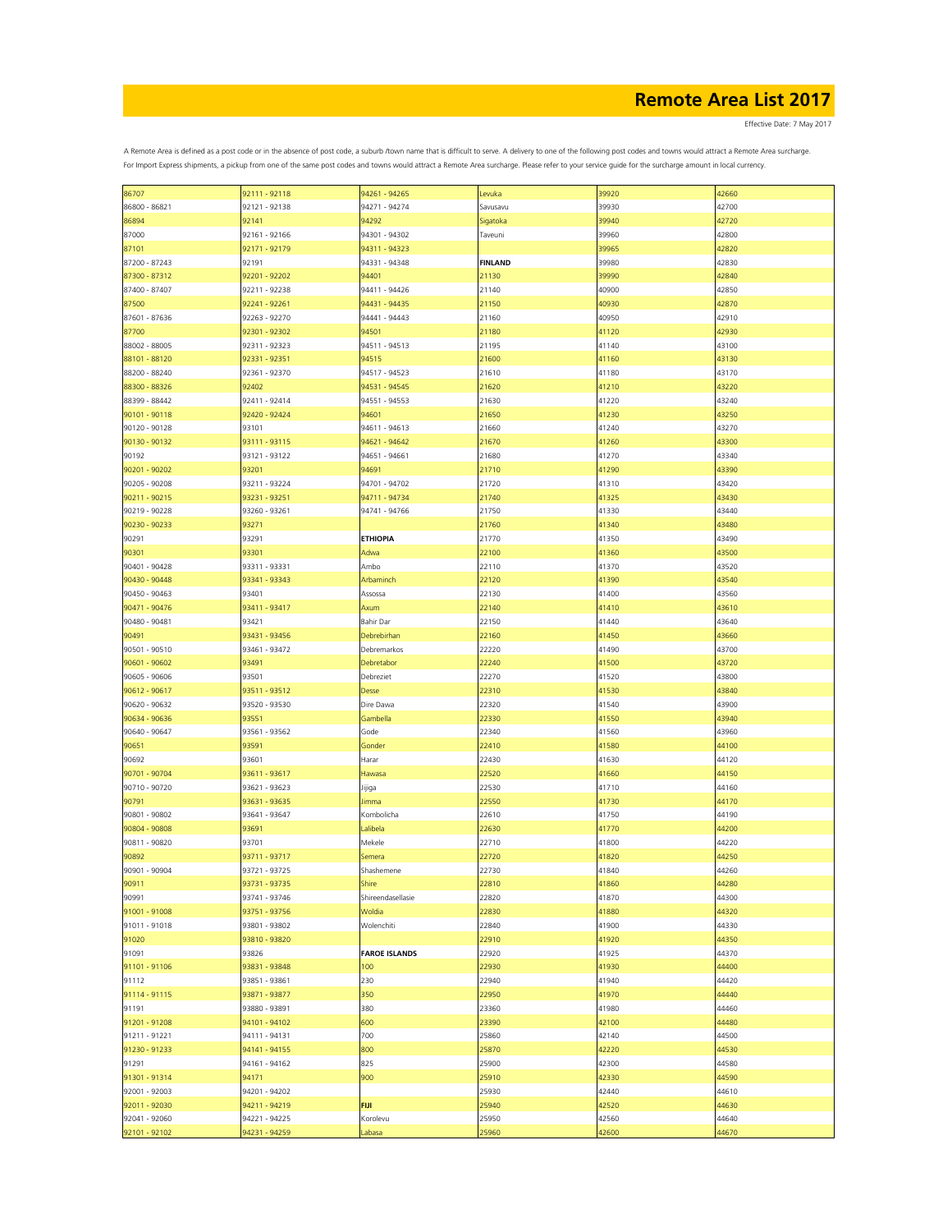Effective Date: 7 May 2017

| 86707         | 92111 - 92118 | 94261 - 94265        | Levuka          | 39920 | 42660 |
|---------------|---------------|----------------------|-----------------|-------|-------|
| 86800 - 86821 | 92121 - 92138 | 94271 - 94274        | Savusavu        | 39930 | 42700 |
|               |               |                      |                 |       |       |
| 86894         | 92141         | 94292                | <b>Sigatoka</b> | 39940 | 42720 |
| 87000         | 92161 - 92166 | 94301 - 94302        | Taveuni         | 39960 | 42800 |
| 87101         | 92171 - 92179 | 94311 - 94323        |                 | 39965 | 42820 |
|               |               |                      |                 |       |       |
| 87200 - 87243 | 92191         | 94331 - 94348        | <b>FINLAND</b>  | 39980 | 42830 |
| 87300 - 87312 | 92201 - 92202 | 94401                | 21130           | 39990 | 42840 |
|               |               |                      |                 |       |       |
| 87400 - 87407 | 92211 - 92238 | 94411 - 94426        | 21140           | 40900 | 42850 |
| 87500         | 92241 - 92261 | 94431 - 94435        | 21150           | 40930 | 42870 |
|               |               |                      |                 |       |       |
| 87601 - 87636 | 92263 - 92270 | 94441 - 94443        | 21160           | 40950 | 42910 |
| 87700         | 92301 - 92302 | 94501                | 21180           | 41120 | 42930 |
|               |               |                      |                 | 41140 | 43100 |
| 88002 - 88005 | 92311 - 92323 | 94511 - 94513        | 21195           |       |       |
| 88101 - 88120 | 92331 - 92351 | 94515                | 21600           | 41160 | 43130 |
| 88200 - 88240 | 92361 - 92370 | 94517 - 94523        | 21610           | 41180 | 43170 |
|               |               |                      |                 |       |       |
| 88300 - 88326 | 92402         | 94531 - 94545        | 21620           | 41210 | 43220 |
| 88399 - 88442 | 92411 - 92414 | 94551 - 94553        | 21630           | 41220 | 43240 |
|               |               |                      |                 |       |       |
| 90101 - 90118 | 92420 - 92424 | 94601                | 21650           | 41230 | 43250 |
| 90120 - 90128 | 93101         | 94611 - 94613        | 21660           | 41240 | 43270 |
|               |               |                      |                 |       |       |
| 90130 - 90132 | 93111 - 93115 | 94621 - 94642        | 21670           | 41260 | 43300 |
| 90192         | 93121 - 93122 | 94651 - 94661        | 21680           | 41270 | 43340 |
|               |               |                      |                 |       |       |
| 90201 - 90202 | 93201         | 94691                | 21710           | 41290 | 43390 |
| 90205 - 90208 | 93211 - 93224 | 94701 - 94702        | 21720           | 41310 | 43420 |
|               |               |                      |                 |       |       |
| 90211 - 90215 | 93231 - 93251 | 94711 - 94734        | 21740           | 41325 | 43430 |
| 90219 - 90228 | 93260 - 93261 | 94741 - 94766        | 21750           | 41330 | 43440 |
| 90230 - 90233 | 93271         |                      | 21760           | 41340 | 43480 |
|               |               |                      |                 |       |       |
| 90291         | 93291         | <b>ETHIOPIA</b>      | 21770           | 41350 | 43490 |
| 90301         | 93301         | Adwa                 | 22100           | 41360 | 43500 |
|               |               |                      |                 |       |       |
| 90401 - 90428 | 93311 - 93331 | Ambo                 | 22110           | 41370 | 43520 |
| 90430 - 90448 | 93341 - 93343 | Arbaminch            | 22120           | 41390 | 43540 |
|               |               |                      |                 |       |       |
| 90450 - 90463 | 93401         | Assossa              | 22130           | 41400 | 43560 |
| 90471 - 90476 | 93411 - 93417 | Axum                 | 22140           | 41410 | 43610 |
|               |               |                      |                 |       |       |
| 90480 - 90481 | 93421         | Bahir Dar            | 22150           | 41440 | 43640 |
| 90491         | 93431 - 93456 | Debrebirhan          | 22160           | 41450 | 43660 |
|               |               |                      |                 |       |       |
| 90501 - 90510 | 93461 - 93472 | Debremarkos          | 22220           | 41490 | 43700 |
| 90601 - 90602 | 93491         | Debretabor           | 22240           | 41500 | 43720 |
|               |               |                      |                 |       |       |
| 90605 - 90606 | 93501         | Debreziet            | 22270           | 41520 | 43800 |
| 90612 - 90617 | 93511 - 93512 | <b>Desse</b>         | 22310           | 41530 | 43840 |
|               |               |                      |                 |       |       |
| 90620 - 90632 | 93520 - 93530 | Dire Dawa            | 22320           | 41540 | 43900 |
| 90634 - 90636 | 93551         | Gambella             | 22330           | 41550 | 43940 |
|               |               |                      |                 |       |       |
| 90640 - 90647 | 93561 - 93562 | Gode                 | 22340           | 41560 | 43960 |
| 90651         | 93591         | Gonder               | 22410           | 41580 | 44100 |
|               |               |                      |                 |       |       |
| 90692         | 93601         | Harar                | 22430           | 41630 | 44120 |
| 90701 - 90704 | 93611 - 93617 | Hawasa               | 22520           | 41660 | 44150 |
|               |               |                      |                 |       |       |
| 90710 - 90720 | 93621 - 93623 | Jijiga               | 22530           | 41710 | 44160 |
| 90791         | 93631 - 93635 | Jimma                | 22550           | 41730 | 44170 |
| 90801 - 90802 | 93641 - 93647 | Kombolicha           | 22610           | 41750 | 44190 |
|               |               |                      |                 |       |       |
| 90804 - 90808 | 93691         | Lalibela             | 22630           | 41770 | 44200 |
| 90811 - 90820 | 93701         | Mekele               | 22710           | 41800 | 44220 |
|               |               |                      |                 |       |       |
| 90892         | 93711 - 93717 | Semera               | 22720           | 41820 | 44250 |
| 90901 - 90904 | 93721 - 93725 | Shashemene           | 22730           | 41840 | 44260 |
|               |               |                      |                 |       |       |
| 90911         | 93731 - 93735 | <b>Shire</b>         | 22810           | 41860 | 44280 |
| 90991         | 93741 - 93746 | Shireendasellasie    | 22820           | 41870 | 44300 |
| 91001 - 91008 | 93751 - 93756 | Woldia               | 22830           | 41880 | 44320 |
|               |               |                      |                 |       |       |
| 91011 - 91018 | 93801 - 93802 | Wolenchiti           | 22840           | 41900 | 44330 |
| 91020         | 93810 - 93820 |                      | 22910           | 41920 | 44350 |
|               |               |                      |                 |       |       |
| 91091         | 93826         | <b>FAROE ISLANDS</b> | 22920           | 41925 | 44370 |
| 91101 - 91106 | 93831 - 93848 | 100                  | 22930           | 41930 | 44400 |
|               |               |                      |                 |       |       |
| 91112         | 93851 - 93861 | 230                  | 22940           | 41940 | 44420 |
| 91114 - 91115 | 93871 - 93877 | 350                  | 22950           | 41970 | 44440 |
|               |               |                      |                 |       |       |
| 91191         | 93880 - 93891 | 380                  | 23360           | 41980 | 44460 |
| 91201 - 91208 | 94101 - 94102 | 600                  | 23390           | 42100 | 44480 |
|               |               |                      |                 |       |       |
| 91211 - 91221 | 94111 - 94131 | 700                  | 25860           | 42140 | 44500 |
| 91230 - 91233 | 94141 - 94155 | 800                  | 25870           | 42220 | 44530 |
| 91291         | 94161 - 94162 | 825                  | 25900           | 42300 | 44580 |
|               |               |                      |                 |       |       |
| 91301 - 91314 | 94171         | 900                  | 25910           | 42330 | 44590 |
| 92001 - 92003 | 94201 - 94202 |                      | 25930           | 42440 | 44610 |
|               |               |                      |                 |       |       |
| 92011 - 92030 | 94211 - 94219 | <b>FIJI</b>          | 25940           | 42520 | 44630 |
| 92041 - 92060 | 94221 - 94225 | Korolevu             | 25950           | 42560 | 44640 |
|               |               |                      |                 |       |       |
| 92101 - 92102 | 94231 - 94259 | Labasa               | 25960           | 42600 | 44670 |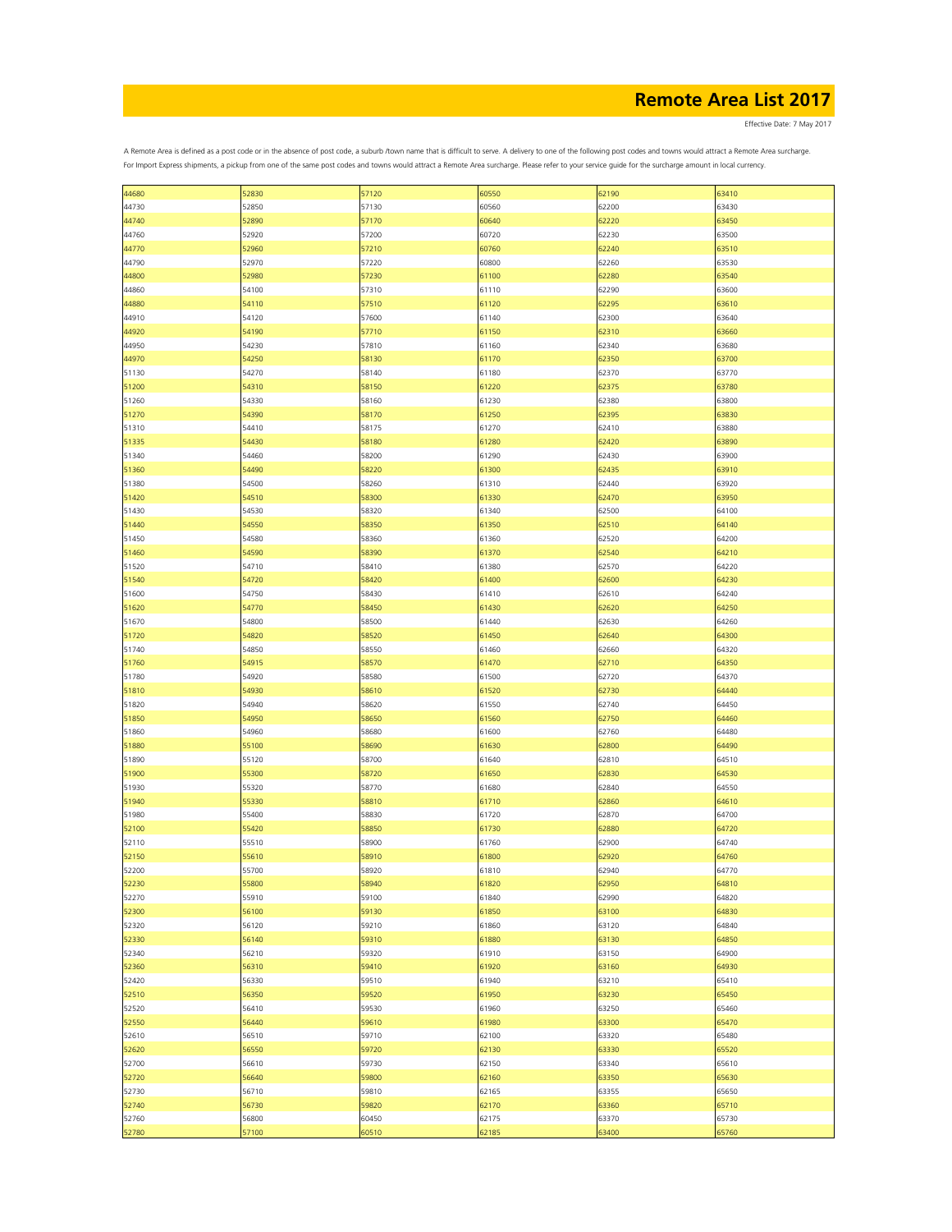Effective Date: 7 May 2017

| 44680 | 52830 | 57120 | 60550 | 62190 | 63410 |
|-------|-------|-------|-------|-------|-------|
| 44730 | 52850 | 57130 | 60560 | 62200 | 63430 |
| 44740 | 52890 | 57170 | 60640 | 62220 | 63450 |
| 44760 | 52920 | 57200 | 60720 | 62230 | 63500 |
| 44770 | 52960 | 57210 | 60760 | 62240 | 63510 |
| 44790 | 52970 | 57220 | 60800 | 62260 | 63530 |
| 44800 | 52980 | 57230 | 61100 | 62280 | 63540 |
|       |       |       |       |       |       |
| 44860 | 54100 | 57310 | 61110 | 62290 | 63600 |
| 44880 | 54110 | 57510 | 61120 | 62295 | 63610 |
| 44910 | 54120 | 57600 | 61140 | 62300 | 63640 |
| 44920 | 54190 | 57710 | 61150 | 62310 | 63660 |
| 44950 | 54230 | 57810 | 61160 | 62340 | 63680 |
| 44970 | 54250 | 58130 | 61170 | 62350 | 63700 |
| 51130 | 54270 | 58140 | 61180 | 62370 | 63770 |
| 51200 | 54310 | 58150 | 61220 |       | 63780 |
|       |       |       |       | 62375 |       |
| 51260 | 54330 | 58160 | 61230 | 62380 | 63800 |
| 51270 | 54390 | 58170 | 61250 | 62395 | 63830 |
| 51310 | 54410 | 58175 | 61270 | 62410 | 63880 |
| 51335 | 54430 | 58180 | 61280 | 62420 | 63890 |
| 51340 | 54460 | 58200 | 61290 | 62430 | 63900 |
| 51360 | 54490 | 58220 | 61300 | 62435 | 63910 |
| 51380 | 54500 | 58260 | 61310 | 62440 | 63920 |
|       |       |       |       |       |       |
| 51420 | 54510 | 58300 | 61330 | 62470 | 63950 |
| 51430 | 54530 | 58320 | 61340 | 62500 | 64100 |
| 51440 | 54550 | 58350 | 61350 | 62510 | 64140 |
| 51450 | 54580 | 58360 | 61360 | 62520 | 64200 |
| 51460 | 54590 | 58390 | 61370 | 62540 | 64210 |
| 51520 | 54710 | 58410 | 61380 | 62570 | 64220 |
| 51540 | 54720 | 58420 | 61400 | 62600 | 64230 |
| 51600 | 54750 | 58430 | 61410 | 62610 | 64240 |
| 51620 | 54770 | 58450 | 61430 | 62620 | 64250 |
| 51670 | 54800 | 58500 | 61440 | 62630 | 64260 |
|       |       |       |       |       |       |
| 51720 | 54820 | 58520 | 61450 | 62640 | 64300 |
| 51740 | 54850 | 58550 | 61460 | 62660 | 64320 |
| 51760 | 54915 | 58570 | 61470 | 62710 | 64350 |
| 51780 | 54920 | 58580 | 61500 | 62720 | 64370 |
| 51810 | 54930 | 58610 | 61520 | 62730 | 64440 |
| 51820 | 54940 | 58620 | 61550 | 62740 | 64450 |
| 51850 | 54950 | 58650 | 61560 | 62750 | 64460 |
| 51860 | 54960 | 58680 | 61600 | 62760 | 64480 |
| 51880 | 55100 | 58690 | 61630 | 62800 | 64490 |
| 51890 | 55120 | 58700 | 61640 | 62810 | 64510 |
| 51900 | 55300 | 58720 | 61650 | 62830 | 64530 |
|       |       |       |       |       |       |
| 51930 | 55320 | 58770 | 61680 | 62840 | 64550 |
| 51940 | 55330 | 58810 | 61710 | 62860 | 64610 |
| 51980 | 55400 | 58830 | 61720 | 62870 | 64700 |
| 52100 | 55420 | 58850 | 61730 | 62880 | 64720 |
| 52110 | 55510 | 58900 | 61760 | 62900 | 64740 |
| 52150 | 55610 | 58910 | 61800 | 62920 | 64760 |
| 52200 | 55700 | 58920 | 61810 | 62940 | 64770 |
| 52230 | 55800 | 58940 | 61820 | 62950 | 64810 |
| 52270 | 55910 | 59100 | 61840 | 62990 | 64820 |
| 52300 | 56100 | 59130 | 61850 | 63100 | 64830 |
| 52320 | 56120 | 59210 | 61860 | 63120 | 64840 |
|       |       |       |       |       |       |
| 52330 | 56140 | 59310 | 61880 | 63130 | 64850 |
| 52340 | 56210 | 59320 | 61910 | 63150 | 64900 |
| 52360 | 56310 | 59410 | 61920 | 63160 | 64930 |
| 52420 | 56330 | 59510 | 61940 | 63210 | 65410 |
| 52510 | 56350 | 59520 | 61950 | 63230 | 65450 |
| 52520 | 56410 | 59530 | 61960 | 63250 | 65460 |
| 52550 | 56440 | 59610 | 61980 | 63300 | 65470 |
| 52610 | 56510 | 59710 | 62100 | 63320 | 65480 |
| 52620 | 56550 | 59720 | 62130 | 63330 | 65520 |
| 52700 | 56610 | 59730 | 62150 | 63340 | 65610 |
| 52720 | 56640 | 59800 |       | 63350 | 65630 |
|       |       |       | 62160 |       |       |
| 52730 | 56710 | 59810 | 62165 | 63355 | 65650 |
| 52740 | 56730 | 59820 | 62170 | 63360 | 65710 |
| 52760 | 56800 | 60450 | 62175 | 63370 | 65730 |
| 52780 | 57100 | 60510 | 62185 | 63400 | 65760 |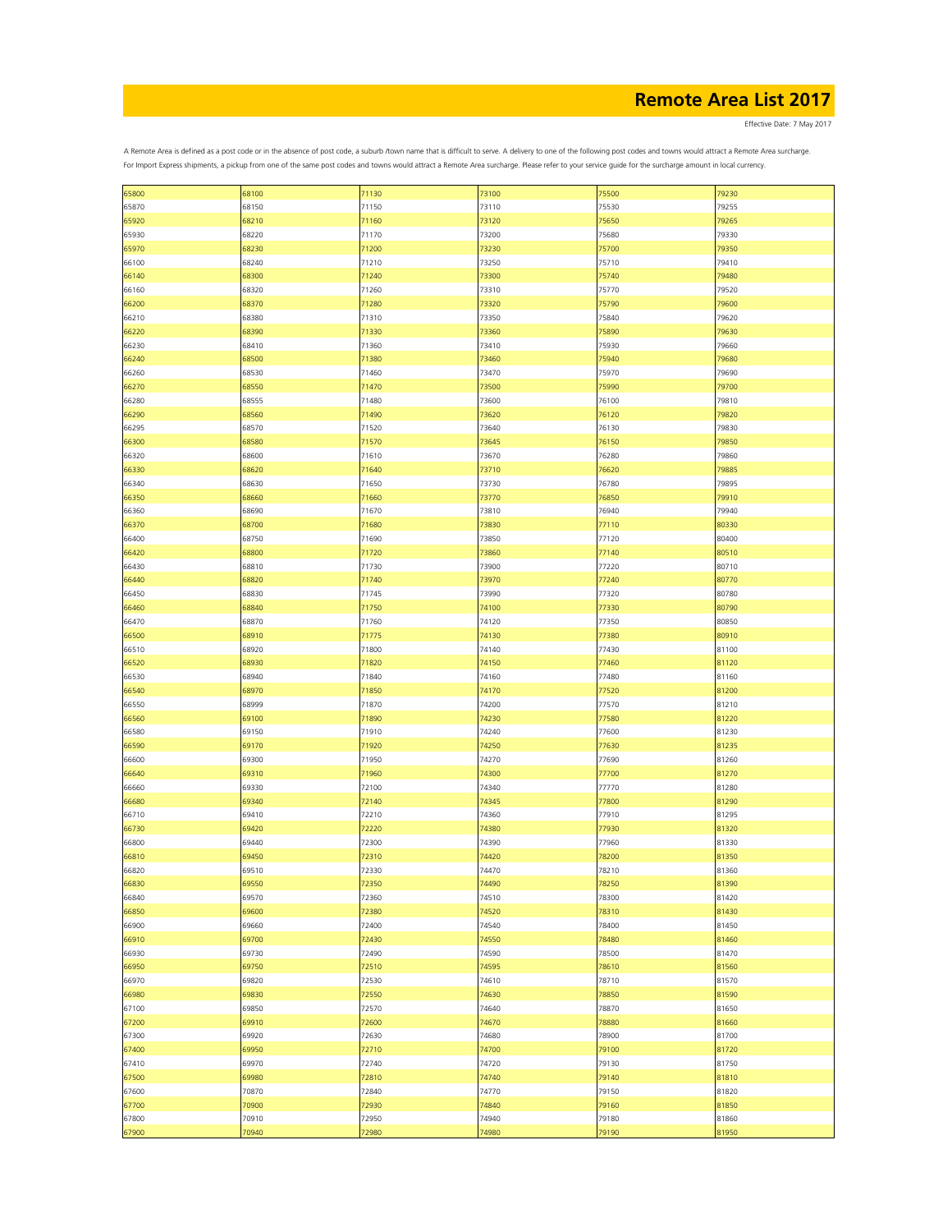Effective Date: 7 May 2017

|       | 68100 |       |       |       | 79230 |
|-------|-------|-------|-------|-------|-------|
| 65800 |       | 71130 | 73100 | 75500 |       |
| 65870 | 68150 | 71150 | 73110 | 75530 | 79255 |
| 65920 | 68210 | 71160 | 73120 | 75650 | 79265 |
| 65930 | 68220 | 71170 | 73200 | 75680 | 79330 |
| 65970 | 68230 | 71200 | 73230 | 75700 | 79350 |
| 66100 | 68240 | 71210 | 73250 | 75710 | 79410 |
| 66140 | 68300 | 71240 | 73300 | 75740 | 79480 |
|       |       |       |       |       |       |
| 66160 | 68320 | 71260 | 73310 | 75770 | 79520 |
| 66200 | 68370 | 71280 | 73320 | 75790 | 79600 |
| 66210 | 68380 | 71310 | 73350 | 75840 | 79620 |
| 66220 | 68390 | 71330 | 73360 | 75890 | 79630 |
| 66230 | 68410 | 71360 | 73410 | 75930 | 79660 |
| 66240 | 68500 | 71380 | 73460 | 75940 | 79680 |
| 66260 | 68530 | 71460 | 73470 | 75970 | 79690 |
|       | 68550 | 71470 | 73500 | 75990 | 79700 |
| 66270 |       |       |       |       |       |
| 66280 | 68555 | 71480 | 73600 | 76100 | 79810 |
| 66290 | 68560 | 71490 | 73620 | 76120 | 79820 |
| 66295 | 68570 | 71520 | 73640 | 76130 | 79830 |
| 66300 | 68580 | 71570 | 73645 | 76150 | 79850 |
| 66320 | 68600 | 71610 | 73670 | 76280 | 79860 |
| 66330 | 68620 | 71640 | 73710 | 76620 | 79885 |
| 66340 | 68630 | 71650 | 73730 | 76780 | 79895 |
|       |       |       |       |       |       |
| 66350 | 68660 | 71660 | 73770 | 76850 | 79910 |
| 66360 | 68690 | 71670 | 73810 | 76940 | 79940 |
| 66370 | 68700 | 71680 | 73830 | 77110 | 80330 |
| 66400 | 68750 | 71690 | 73850 | 77120 | 80400 |
| 66420 | 68800 | 71720 | 73860 | 77140 | 80510 |
| 66430 | 68810 | 71730 | 73900 | 77220 | 80710 |
| 66440 | 68820 | 71740 | 73970 | 77240 | 80770 |
| 66450 | 68830 | 71745 | 73990 | 77320 | 80780 |
| 66460 | 68840 | 71750 | 74100 | 77330 | 80790 |
| 66470 | 68870 | 71760 | 74120 | 77350 | 80850 |
|       |       | 71775 | 74130 |       |       |
| 66500 | 68910 |       |       | 77380 | 80910 |
| 66510 | 68920 | 71800 | 74140 | 77430 | 81100 |
| 66520 | 68930 | 71820 | 74150 | 77460 | 81120 |
| 66530 | 68940 | 71840 | 74160 | 77480 | 81160 |
| 66540 | 68970 | 71850 | 74170 | 77520 | 81200 |
| 66550 | 68999 | 71870 | 74200 | 77570 | 81210 |
| 66560 | 69100 | 71890 | 74230 | 77580 | 81220 |
| 66580 | 69150 | 71910 | 74240 | 77600 | 81230 |
| 66590 | 69170 | 71920 | 74250 | 77630 | 81235 |
| 66600 | 69300 | 71950 | 74270 | 77690 | 81260 |
| 66640 | 69310 | 71960 | 74300 | 77700 | 81270 |
|       | 69330 |       | 74340 | 77770 |       |
| 66660 |       | 72100 |       |       | 81280 |
| 66680 | 69340 | 72140 | 74345 | 77800 | 81290 |
| 66710 | 69410 | 72210 | 74360 | 77910 | 81295 |
| 66730 | 69420 | 72220 | 74380 | 77930 | 81320 |
| 66800 | 69440 | 72300 | 74390 | 77960 | 81330 |
| 66810 | 69450 | 72310 | 74420 | 78200 | 81350 |
| 66820 | 69510 | 72330 | 74470 | 78210 | 81360 |
| 66830 | 69550 | 72350 | 74490 | 78250 | 81390 |
| 66840 | 69570 | 72360 | 74510 | 78300 | 81420 |
| 66850 | 69600 | 72380 | 74520 | 78310 | 81430 |
| 66900 | 69660 | 72400 | 74540 | 78400 | 81450 |
| 66910 | 69700 | 72430 | 74550 | 78480 | 81460 |
|       |       |       |       |       |       |
| 66930 | 69730 | 72490 | 74590 | 78500 | 81470 |
| 66950 | 69750 | 72510 | 74595 | 78610 | 81560 |
| 66970 | 69820 | 72530 | 74610 | 78710 | 81570 |
| 66980 | 69830 | 72550 | 74630 | 78850 | 81590 |
| 67100 | 69850 | 72570 | 74640 | 78870 | 81650 |
| 67200 | 69910 | 72600 | 74670 | 78880 | 81660 |
| 67300 | 69920 | 72630 | 74680 | 78900 | 81700 |
| 67400 | 69950 | 72710 | 74700 | 79100 | 81720 |
| 67410 | 69970 | 72740 | 74720 | 79130 | 81750 |
| 67500 | 69980 | 72810 | 74740 | 79140 | 81810 |
|       |       |       |       |       |       |
| 67600 | 70870 | 72840 | 74770 | 79150 | 81820 |
| 67700 | 70900 | 72930 | 74840 | 79160 | 81850 |
| 67800 | 70910 | 72950 | 74940 | 79180 | 81860 |
| 67900 | 70940 | 72980 | 74980 | 79190 | 81950 |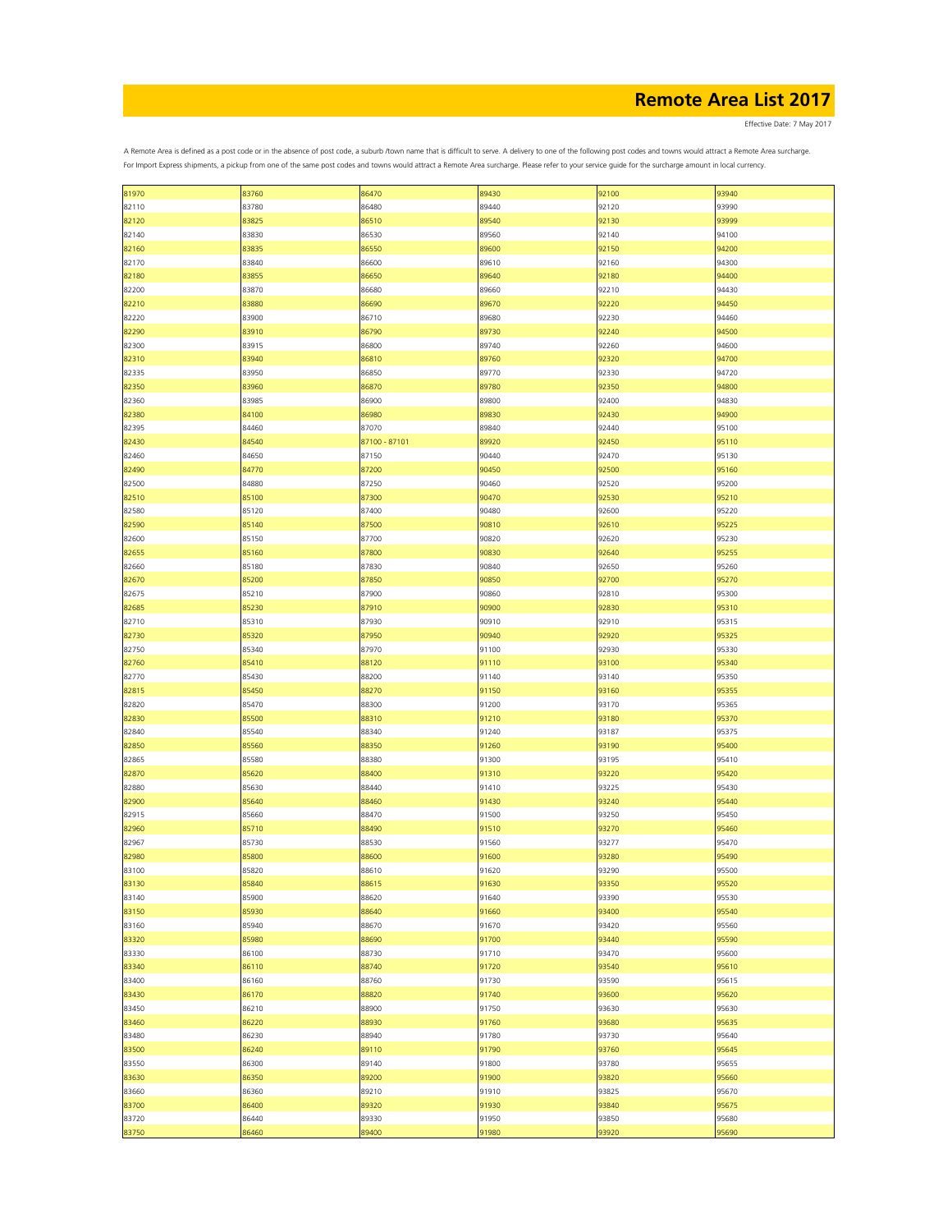Effective Date: 7 May 2017

| 81970 | 83760 | 86470         | 89430 | 92100 | 93940 |
|-------|-------|---------------|-------|-------|-------|
| 82110 | 83780 | 86480         | 89440 | 92120 | 93990 |
|       |       |               |       |       |       |
| 82120 | 83825 | 86510         | 89540 | 92130 | 93999 |
| 82140 | 83830 | 86530         | 89560 | 92140 | 94100 |
| 82160 | 83835 | 86550         | 89600 | 92150 | 94200 |
| 82170 | 83840 | 86600         | 89610 | 92160 | 94300 |
| 82180 | 83855 | 86650         | 89640 | 92180 | 94400 |
| 82200 | 83870 | 86680         | 89660 | 92210 | 94430 |
| 82210 | 83880 | 86690         | 89670 | 92220 | 94450 |
| 82220 | 83900 | 86710         | 89680 | 92230 | 94460 |
|       | 83910 | 86790         | 89730 | 92240 | 94500 |
| 82290 |       |               |       |       |       |
| 82300 | 83915 | 86800         | 89740 | 92260 | 94600 |
| 82310 | 83940 | 86810         | 89760 | 92320 | 94700 |
| 82335 | 83950 | 86850         | 89770 | 92330 | 94720 |
| 82350 | 83960 | 86870         | 89780 | 92350 | 94800 |
| 82360 | 83985 | 86900         | 89800 | 92400 | 94830 |
| 82380 | 84100 | 86980         | 89830 | 92430 | 94900 |
| 82395 | 84460 | 87070         | 89840 | 92440 | 95100 |
| 82430 | 84540 | 87100 - 87101 | 89920 | 92450 | 95110 |
| 82460 | 84650 | 87150         | 90440 | 92470 | 95130 |
|       |       |               |       | 92500 | 95160 |
| 82490 | 84770 | 87200         | 90450 |       |       |
| 82500 | 84880 | 87250         | 90460 | 92520 | 95200 |
| 82510 | 85100 | 87300         | 90470 | 92530 | 95210 |
| 82580 | 85120 | 87400         | 90480 | 92600 | 95220 |
| 82590 | 85140 | 87500         | 90810 | 92610 | 95225 |
| 82600 | 85150 | 87700         | 90820 | 92620 | 95230 |
| 82655 | 85160 | 87800         | 90830 | 92640 | 95255 |
| 82660 | 85180 | 87830         | 90840 | 92650 | 95260 |
| 82670 | 85200 | 87850         | 90850 | 92700 | 95270 |
| 82675 | 85210 | 87900         | 90860 |       | 95300 |
|       |       |               |       | 92810 |       |
| 82685 | 85230 | 87910         | 90900 | 92830 | 95310 |
| 82710 | 85310 | 87930         | 90910 | 92910 | 95315 |
| 82730 | 85320 | 87950         | 90940 | 92920 | 95325 |
| 82750 | 85340 | 87970         | 91100 | 92930 | 95330 |
| 82760 | 85410 | 88120         | 91110 | 93100 | 95340 |
| 82770 | 85430 | 88200         | 91140 | 93140 | 95350 |
| 82815 | 85450 | 88270         | 91150 | 93160 | 95355 |
| 82820 | 85470 | 88300         | 91200 | 93170 | 95365 |
|       | 85500 |               | 91210 |       | 95370 |
| 82830 |       | 88310         |       | 93180 |       |
| 82840 | 85540 | 88340         | 91240 | 93187 | 95375 |
| 82850 | 85560 | 88350         | 91260 | 93190 | 95400 |
| 82865 | 85580 | 88380         | 91300 | 93195 | 95410 |
| 82870 | 85620 | 88400         | 91310 | 93220 | 95420 |
| 82880 | 85630 | 88440         | 91410 | 93225 | 95430 |
| 82900 | 85640 | 88460         | 91430 | 93240 | 95440 |
| 82915 | 85660 | 88470         | 91500 | 93250 | 95450 |
| 82960 | 85710 | 88490         | 91510 | 93270 | 95460 |
|       |       |               |       |       |       |
| 82967 | 85730 | 88530         | 91560 | 93277 | 95470 |
| 82980 | 85800 | 88600         | 91600 | 93280 | 95490 |
| 83100 | 85820 | 88610         | 91620 | 93290 | 95500 |
| 83130 | 85840 | 88615         | 91630 | 93350 | 95520 |
| 83140 | 85900 | 88620         | 91640 | 93390 | 95530 |
| 83150 | 85930 | 88640         | 91660 | 93400 | 95540 |
| 83160 | 85940 | 88670         | 91670 | 93420 | 95560 |
| 83320 | 85980 | 88690         | 91700 | 93440 | 95590 |
| 83330 | 86100 | 88730         | 91710 | 93470 | 95600 |
| 83340 | 86110 | 88740         | 91720 | 93540 | 95610 |
| 83400 | 86160 | 88760         | 91730 | 93590 | 95615 |
|       |       |               |       |       |       |
| 83430 | 86170 | 88820         | 91740 | 93600 | 95620 |
| 83450 | 86210 | 88900         | 91750 | 93630 | 95630 |
| 83460 | 86220 | 88930         | 91760 | 93680 | 95635 |
| 83480 | 86230 | 88940         | 91780 | 93730 | 95640 |
| 83500 | 86240 | 89110         | 91790 | 93760 | 95645 |
| 83550 | 86300 | 89140         | 91800 | 93780 | 95655 |
| 83630 | 86350 | 89200         | 91900 | 93820 | 95660 |
| 83660 | 86360 | 89210         | 91910 | 93825 | 95670 |
| 83700 | 86400 | 89320         | 91930 | 93840 | 95675 |
|       |       |               |       |       |       |
| 83720 | 86440 | 89330         | 91950 | 93850 | 95680 |
| 83750 | 86460 | 89400         | 91980 | 93920 | 95690 |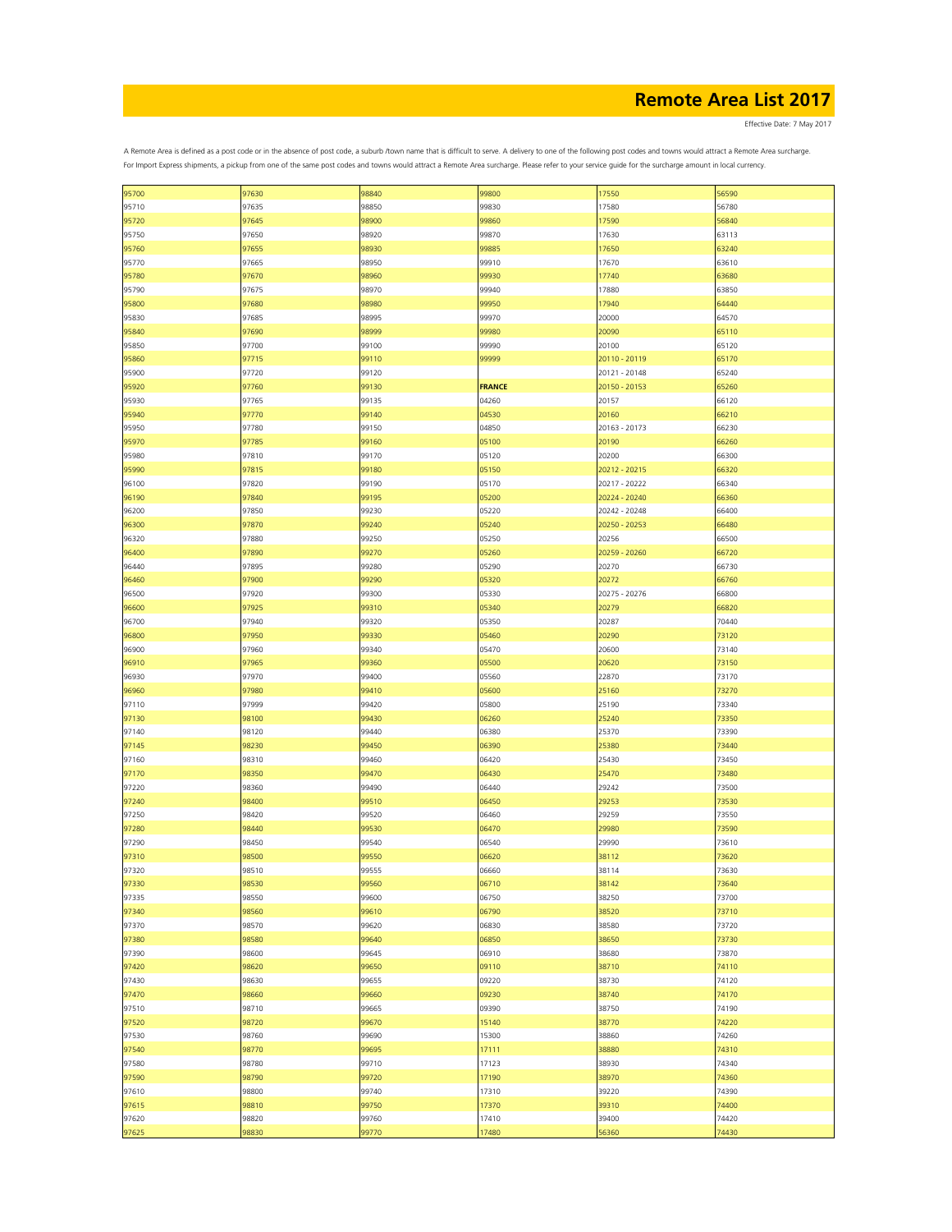Effective Date: 7 May 2017

| 95700 | 97630 | 98840 | 99800         | 17550         | 56590 |
|-------|-------|-------|---------------|---------------|-------|
|       |       |       |               |               |       |
| 95710 | 97635 | 98850 | 99830         | 17580         | 56780 |
| 95720 | 97645 | 98900 | 99860         | 17590         | 56840 |
| 95750 | 97650 | 98920 | 99870         | 17630         | 63113 |
| 95760 | 97655 | 98930 | 99885         | 17650         | 63240 |
| 95770 | 97665 | 98950 | 99910         | 17670         | 63610 |
| 95780 | 97670 | 98960 | 99930         | 17740         | 63680 |
| 95790 | 97675 | 98970 | 99940         | 17880         | 63850 |
| 95800 | 97680 | 98980 | 99950         | 17940         | 64440 |
| 95830 | 97685 | 98995 | 99970         | 20000         | 64570 |
|       |       |       |               |               | 65110 |
| 95840 | 97690 | 98999 | 99980         | 20090         |       |
| 95850 | 97700 | 99100 | 99990         | 20100         | 65120 |
| 95860 | 97715 | 99110 | 99999         | 20110 - 20119 | 65170 |
| 95900 | 97720 | 99120 |               | 20121 - 20148 | 65240 |
| 95920 | 97760 | 99130 | <b>FRANCE</b> | 20150 - 20153 | 65260 |
| 95930 | 97765 | 99135 | 04260         | 20157         | 66120 |
| 95940 | 97770 | 99140 | 04530         | 20160         | 66210 |
| 95950 | 97780 | 99150 | 04850         | 20163 - 20173 | 66230 |
| 95970 | 97785 | 99160 | 05100         | 20190         | 66260 |
|       |       |       |               | 20200         |       |
| 95980 | 97810 | 99170 | 05120         |               | 66300 |
| 95990 | 97815 | 99180 | 05150         | 20212 - 20215 | 66320 |
| 96100 | 97820 | 99190 | 05170         | 20217 - 20222 | 66340 |
| 96190 | 97840 | 99195 | 05200         | 20224 - 20240 | 66360 |
| 96200 | 97850 | 99230 | 05220         | 20242 - 20248 | 66400 |
| 96300 | 97870 | 99240 | 05240         | 20250 - 20253 | 66480 |
| 96320 | 97880 | 99250 | 05250         | 20256         | 66500 |
| 96400 | 97890 | 99270 | 05260         | 20259 - 20260 | 66720 |
| 96440 | 97895 | 99280 | 05290         | 20270         | 66730 |
| 96460 | 97900 | 99290 | 05320         | 20272         | 66760 |
|       | 97920 |       |               |               |       |
| 96500 |       | 99300 | 05330         | 20275 - 20276 | 66800 |
| 96600 | 97925 | 99310 | 05340         | 20279         | 66820 |
| 96700 | 97940 | 99320 | 05350         | 20287         | 70440 |
| 96800 | 97950 | 99330 | 05460         | 20290         | 73120 |
| 96900 | 97960 | 99340 | 05470         | 20600         | 73140 |
| 96910 | 97965 | 99360 | 05500         | 20620         | 73150 |
| 96930 | 97970 | 99400 | 05560         | 22870         | 73170 |
| 96960 | 97980 | 99410 | 05600         | 25160         | 73270 |
| 97110 | 97999 | 99420 | 05800         | 25190         | 73340 |
| 97130 | 98100 | 99430 | 06260         | 25240         | 73350 |
|       |       |       |               |               |       |
| 97140 | 98120 | 99440 | 06380         | 25370         | 73390 |
| 97145 | 98230 | 99450 | 06390         | 25380         | 73440 |
| 97160 | 98310 | 99460 | 06420         | 25430         | 73450 |
| 97170 | 98350 | 99470 | 06430         | 25470         | 73480 |
| 97220 | 98360 | 99490 | 06440         | 29242         | 73500 |
| 97240 | 98400 | 99510 | 06450         | 29253         | 73530 |
| 97250 | 98420 | 99520 | 06460         | 29259         | 73550 |
| 97280 | 98440 | 99530 | 06470         | 29980         | 73590 |
| 97290 | 98450 | 99540 | 06540         | 29990         | 73610 |
| 97310 | 98500 | 99550 | 06620         | 38112         | 73620 |
|       |       |       |               |               |       |
| 97320 | 98510 | 99555 | 06660         | 38114         | 73630 |
| 97330 | 98530 | 99560 | 06710         | 38142         | 73640 |
| 97335 | 98550 | 99600 | 06750         | 38250         | 73700 |
| 97340 | 98560 | 99610 | 06790         | 38520         | 73710 |
| 97370 | 98570 | 99620 | 06830         | 38580         | 73720 |
| 97380 | 98580 | 99640 | 06850         | 38650         | 73730 |
| 97390 | 98600 | 99645 | 06910         | 38680         | 73870 |
| 97420 | 98620 | 99650 | 09110         | 38710         | 74110 |
| 97430 | 98630 | 99655 | 09220         | 38730         | 74120 |
| 97470 | 98660 | 99660 | 09230         | 38740         | 74170 |
|       |       |       |               |               |       |
| 97510 | 98710 | 99665 | 09390         | 38750         | 74190 |
| 97520 | 98720 | 99670 | 15140         | 38770         | 74220 |
| 97530 | 98760 | 99690 | 15300         | 38860         | 74260 |
| 97540 | 98770 | 99695 | 17111         | 38880         | 74310 |
| 97580 | 98780 | 99710 | 17123         | 38930         | 74340 |
| 97590 | 98790 | 99720 | 17190         | 38970         | 74360 |
| 97610 | 98800 | 99740 | 17310         | 39220         | 74390 |
| 97615 | 98810 | 99750 | 17370         | 39310         | 74400 |
| 97620 | 98820 | 99760 | 17410         | 39400         | 74420 |
|       |       |       |               |               |       |
| 97625 | 98830 | 99770 | 17480         | 56360         | 74430 |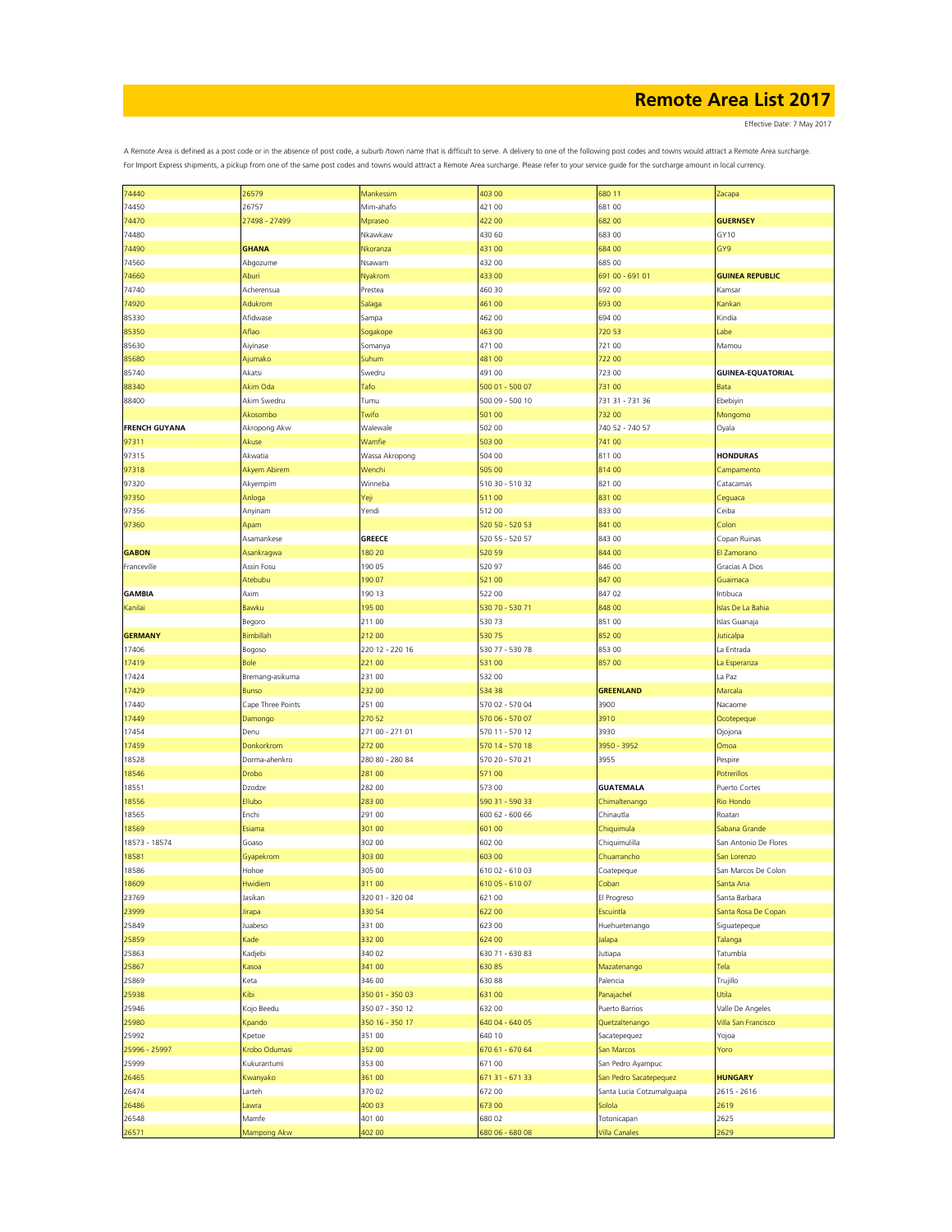Effective Date: 7 May 2017

| 74440                | 26579             | Mankessim       | 403 00          | 680 11                    | Zacapa                   |
|----------------------|-------------------|-----------------|-----------------|---------------------------|--------------------------|
| 74450                | 26757             | Mim-ahafo       | 421 00          | 681 00                    |                          |
| 74470                | 27498 - 27499     | Mpraseo         | 422 00          | 68200                     | <b>GUERNSEY</b>          |
| 74480                |                   | Nkawkaw         | 430 60          | 68300                     | GY10                     |
| 74490                | <b>GHANA</b>      | Nkoranza        | 431 00          | 684 00                    | GY9                      |
|                      |                   |                 |                 |                           |                          |
| 74560                | Abgozume          | Nsawam          | 432 00          | 685 00                    |                          |
| 74660                | Aburi             | Nyakrom         | 433 00          | 691 00 - 691 01           | <b>GUINEA REPUBLIC</b>   |
| 74740                | Acherensua        | Prestea         | 460 30          | 692 00                    | Kamsar                   |
| 74920                | Adukrom           | Salaga          | 461 00          | 69300                     | Kankan                   |
| 85330                | Afidwase          | Sampa           | 462 00          | 694 00                    | Kindia                   |
| 85350                | Aflao             | Sogakope        | 463 00          | 720 53                    | abe                      |
| 85630                | Aiyinase          | Somanya         | 471 00          | 721 00                    | Mamou                    |
| 85680                | Ajumako           | Suhum           | 481 00          | 72200                     |                          |
| 85740                | Akatsi            | Swedru          | 491 00          | 723 00                    | <b>GUINEA-EQUATORIAL</b> |
|                      |                   |                 |                 |                           |                          |
| 88340                | Akim Oda          | Tafo            | 500 01 - 500 07 | 731 00                    | <b>Bata</b>              |
| 88400                | Akim Swedru       | Tumu            | 500 09 - 500 10 | 731 31 - 731 36           | Ebebiyin                 |
|                      | Akosombo          | Twifo           | 501 00          | 732 00                    | Mongomo                  |
| <b>FRENCH GUYANA</b> | Akropong Akw      | Walewale        | 502 00          | 740 52 - 740 57           | Oyala                    |
| 97311                | Akuse             | Wamfie          | 503 00          | 741 00                    |                          |
| 97315                | Akwatia           | Wassa Akropong  | 504 00          | 811 00                    | <b>HONDURAS</b>          |
| 97318                | Akyem Abirem      | Wenchi          | 505 00          | 81400                     | Campamento               |
| 97320                | Akyempim          | Winneba         | 510 30 - 510 32 | 821 00                    | Catacamas                |
|                      |                   |                 |                 |                           |                          |
| 97350                | Anloga            | Yeji            | 51100           | 831 00                    | Ceguaca                  |
| 97356                | Anyinam           | Yendi           | 512 00          | 833 00                    | Ceiba                    |
| 97360                | Apam              |                 | 520 50 - 520 53 | 841 00                    | Colon                    |
|                      | Asamankese        | <b>GREECE</b>   | 520 55 - 520 57 | 843 00                    | Copan Ruinas             |
| <b>GABON</b>         | Asankragwa        | 180 20          | 520 59          | 844 00                    | El Zamorano              |
| Franceville          | Assin Fosu        | 190 05          | 520 97          | 846 00                    | Gracias A Dios           |
|                      | Atebubu           | 190 07          | 521 00          | 84700                     | Guaimaca                 |
| <b>GAMBIA</b>        | Axim              | 190 13          | 522 00          | 847 02                    | Intibuca                 |
| Kanilai              | Bawku             | 195 00          | 530 70 - 530 71 | 848 00                    | <b>Islas De La Bahia</b> |
|                      |                   |                 |                 |                           |                          |
|                      | Begoro            | 211 00          | 53073           | 851 00                    | Islas Guanaja            |
| <b>GERMANY</b>       | Bimbillah         | 21200           | 53075           | 852 00                    | Juticalpa                |
| 17406                | Bogoso            | 220 12 - 220 16 | 530 77 - 530 78 | 853 00                    | La Entrada               |
| 17419                | <b>Bole</b>       | 221 00          | 531 00          | 85700                     | La Esperanza             |
| 17424                | Bremang-asikuma   | 231 00          | 532 00          |                           | La Paz                   |
| 17429                | <b>Bunso</b>      | 232 00          | 534 38          | <b>GREENLAND</b>          | Marcala                  |
| 17440                | Cape Three Points | 251 00          | 570 02 - 570 04 | 3900                      | Nacaome                  |
| 17449                | Damongo           | 270 52          | 570 06 - 570 07 | 3910                      | Ocotepeque               |
| 17454                | Denu              | 271 00 - 271 01 | 570 11 - 570 12 | 3930                      | Ojojona                  |
| 17459                | Donkorkrom        | 272 00          | 570 14 - 570 18 | 3950 - 3952               | Omoa                     |
|                      |                   |                 |                 |                           |                          |
| 18528                | Dorma-ahenkro     | 280 80 - 280 84 | 570 20 - 570 21 | 3955                      | Pespire                  |
| 18546                | Drobo             | 281 00          | 57100           |                           | Potrerillos              |
| 18551                | Dzodze            | 282 00          | 573 00          | <b>GUATEMALA</b>          | Puerto Cortes            |
| 18556                | Ellubo            | 28300           | 590 31 - 590 33 | Chimaltenango             | <b>Rio Hondo</b>         |
| 18565                | Enchi             | 291 00          | 600 62 - 600 66 | Chinautla                 | Roatan                   |
| 18569                | Esiama            | 301 00          | 601 00          | Chiquimula                | Sabana Grande            |
| 18573 - 18574        | Goaso             | 302 00          | 602 00          | Chiquimulilla             | San Antonio De Flores    |
| 18581                | Gyapekrom         | 303 00          | 603 00          | Chuarrancho               | San Lorenzo              |
| 18586                | Hohoe             | 305 00          | 610 02 - 610 03 | Coatepeque                | San Marcos De Colon      |
|                      |                   |                 |                 |                           |                          |
| 18609                | Hwidiem           | 31100           | 610 05 - 610 07 | Coban                     | Santa Ana                |
| 23769                | Jasikan           | 320 01 - 320 04 | 621 00          | El Progreso               | Santa Barbara            |
| 23999                | Jirapa            | 330 54          | 622 00          | Escuintla                 | Santa Rosa De Copan      |
| 25849                | Juabeso           | 331 00          | 623 00          | Huehuetenango             | Siguatepeque             |
| 25859                | Kade              | 332 00          | 624 00          | Jalapa                    | Talanga                  |
| 25863                | Kadjebi           | 340 02          | 630 71 - 630 83 | Jutiapa                   | Tatumbla                 |
| 25867                | Kasoa             | 341 00          | 63085           | Mazatenango               | Tela                     |
| 25869                | Keta              | 346 00          | 630 88          | Palencia                  | Trujillo                 |
| 25938                | Kibi              | 350 01 - 350 03 | 63100           | Panajachel                | Utila                    |
| 25946                | Kojo Beedu        | 350 07 - 350 12 | 632 00          | Puerto Barrios            | Valle De Angeles         |
| 25980                | Kpando            | 350 16 - 350 17 | 640 04 - 640 05 | Quetzaltenango            | Villa San Francisco      |
|                      |                   |                 |                 |                           |                          |
| 25992                | Kpetoe            | 351 00          | 640 10          | Sacatepequez              | Yojoa                    |
| 25996 - 25997        | Krobo Odumasi     | 352 00          | 670 61 - 670 64 | San Marcos                | Yoro                     |
| 25999                | Kukurantumi       | 353 00          | 671 00          | San Pedro Ayampuc         |                          |
| 26465                | Kwanyako          | 361 00          | 671 31 - 671 33 | San Pedro Sacatepequez    | <b>HUNGARY</b>           |
| 26474                | Larteh            | 370 02          | 672 00          | Santa Lucia Cotzumalguapa | 2615 - 2616              |
| 26486                | Lawra             | 400 03          | 67300           | Solola                    | 2619                     |
| 26548                | Mamfe             | 401 00          | 680 02          | Totonicapan               | 2625                     |
|                      | Mampong Akw       | 402 00          | 680 06 - 680 08 | <b>Villa Canales</b>      | 2629                     |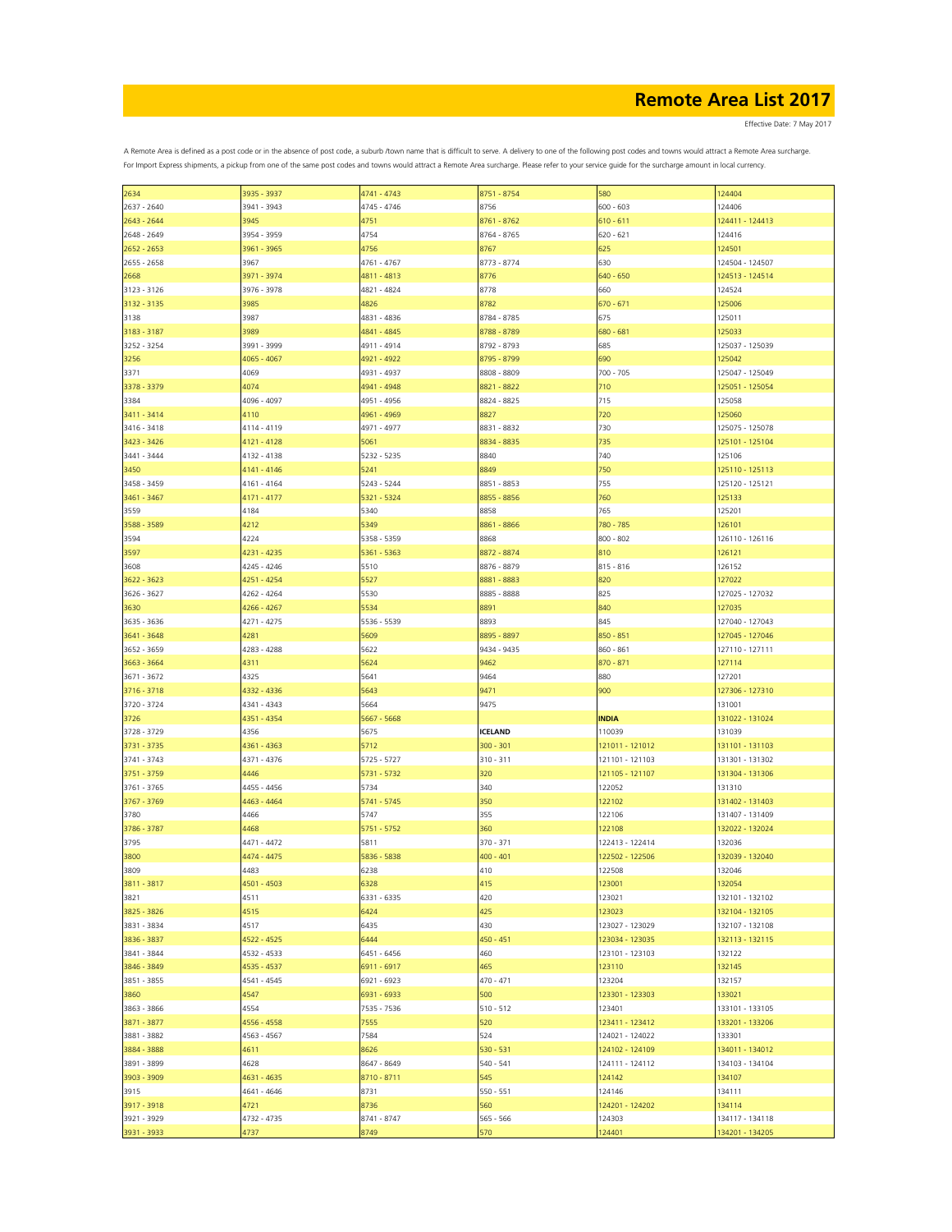Effective Date: 7 May 2017

| 2634        |             |             |                |                 |                 |
|-------------|-------------|-------------|----------------|-----------------|-----------------|
|             | 3935 - 3937 | 4741 - 4743 | 8751 - 8754    | 580             | 124404          |
| 2637 - 2640 | 3941 - 3943 | 4745 - 4746 | 8756           | $600 - 603$     | 124406          |
|             |             |             |                |                 |                 |
| 2643 - 2644 | 3945        | 4751        | 8761 - 8762    | $610 - 611$     | 124411 - 124413 |
| 2648 - 2649 | 3954 - 3959 | 4754        | 8764 - 8765    | $620 - 621$     | 124416          |
|             |             |             |                |                 |                 |
| 2652 - 2653 | 3961 - 3965 | 4756        | 8767           | 625             | 124501          |
| 2655 - 2658 | 3967        | 4761 - 4767 | 8773 - 8774    | 630             | 124504 - 124507 |
| 2668        | 3971 - 3974 | 4811 - 4813 | 8776           | 640 - 650       | 124513 - 124514 |
|             |             |             |                |                 |                 |
| 3123 - 3126 | 3976 - 3978 | 4821 - 4824 | 8778           | 660             | 124524          |
| 3132 - 3135 | 3985        | 4826        | 8782           | $670 - 671$     | 125006          |
|             |             |             |                | 675             |                 |
| 3138        | 3987        | 4831 - 4836 | 8784 - 8785    |                 | 125011          |
| 3183 - 3187 | 3989        | 4841 - 4845 | 8788 - 8789    | 680 - 681       | 125033          |
| 3252 - 3254 | 3991 - 3999 | 4911 - 4914 | 8792 - 8793    | 685             | 125037 - 125039 |
|             |             |             |                |                 |                 |
| 3256        | 4065 - 4067 | 4921 - 4922 | 8795 - 8799    | 690             | 125042          |
| 3371        | 4069        | 4931 - 4937 | 8808 - 8809    | 700 - 705       | 125047 - 125049 |
| 3378 - 3379 | 4074        | 4941 - 4948 | 8821 - 8822    | 710             | 125051 - 125054 |
|             |             |             |                |                 |                 |
| 3384        | 4096 - 4097 | 4951 - 4956 | 8824 - 8825    | 715             | 125058          |
| 3411 - 3414 | 4110        | 4961 - 4969 | 8827           | 720             | 125060          |
|             |             |             |                |                 |                 |
| 3416 - 3418 | 4114 - 4119 | 4971 - 4977 | 8831 - 8832    | 730             | 125075 - 125078 |
| 3423 - 3426 | 4121 - 4128 | 5061        | 8834 - 8835    | 735             | 125101 - 125104 |
| 3441 - 3444 | 4132 - 4138 | 5232 - 5235 | 8840           | 740             | 125106          |
|             |             |             |                |                 |                 |
| 3450        | 4141 - 4146 | 5241        | 8849           | 750             | 125110 - 125113 |
| 3458 - 3459 | 4161 - 4164 | 5243 - 5244 | 8851 - 8853    | 755             | 125120 - 125121 |
|             |             |             |                |                 |                 |
| 3461 - 3467 | 4171 - 4177 | 5321 - 5324 | 8855 - 8856    | 760             | 125133          |
| 3559        | 4184        | 5340        | 8858           | 765             | 125201          |
| 3588 - 3589 | 4212        | 5349        | 8861 - 8866    | 780 - 785       | 126101          |
|             |             |             |                |                 |                 |
| 3594        | 4224        | 5358 - 5359 | 8868           | $800 - 802$     | 126110 - 126116 |
| 3597        | 4231 - 4235 | 5361 - 5363 | 8872 - 8874    | 810             | 126121          |
|             |             |             | 8876 - 8879    |                 |                 |
| 3608        | 4245 - 4246 | 5510        |                | $815 - 816$     | 126152          |
| 3622 - 3623 | 4251 - 4254 | 5527        | 8881 - 8883    | 820             | 127022          |
| 3626 - 3627 | 4262 - 4264 | 5530        | 8885 - 8888    | 825             | 127025 - 127032 |
|             |             |             |                |                 |                 |
| 3630        | 4266 - 4267 | 5534        | 8891           | 840             | 127035          |
| 3635 - 3636 | 4271 - 4275 | 5536 - 5539 | 8893           | 845             | 127040 - 127043 |
|             |             |             |                |                 |                 |
| 3641 - 3648 | 4281        | 5609        | 8895 - 8897    | 850 - 851       | 127045 - 127046 |
| 3652 - 3659 | 4283 - 4288 | 5622        | 9434 - 9435    | 860 - 861       | 127110 - 127111 |
| 3663 - 3664 | 4311        | 5624        | 9462           | 870 - 871       | 127114          |
|             |             |             |                |                 |                 |
| 3671 - 3672 | 4325        | 5641        | 9464           | 880             | 127201          |
| 3716 - 3718 | 4332 - 4336 | 5643        | 9471           | 900             | 127306 - 127310 |
| 3720 - 3724 | 4341 - 4343 | 5664        | 9475           |                 | 131001          |
|             |             |             |                |                 |                 |
| 3726        | 4351 - 4354 | 5667 - 5668 |                | <b>INDIA</b>    | 131022 - 131024 |
|             |             |             |                |                 |                 |
|             |             |             |                |                 |                 |
| 3728 - 3729 | 4356        | 5675        | <b>ICELAND</b> | 110039          | 131039          |
| 3731 - 3735 | 4361 - 4363 | 5712        | $300 - 301$    | 121011 - 121012 | 131101 - 131103 |
| 3741 - 3743 | 4371 - 4376 | 5725 - 5727 | $310 - 311$    | 121101 - 121103 | 131301 - 131302 |
|             |             |             |                |                 |                 |
| 3751 - 3759 | 4446        | 5731 - 5732 | 320            | 121105 - 121107 | 131304 - 131306 |
| 3761 - 3765 | 4455 - 4456 | 5734        | 340            | 122052          | 131310          |
|             |             |             |                |                 |                 |
| 3767 - 3769 | 4463 - 4464 | 5741 - 5745 | 350            | 122102          | 131402 - 131403 |
| 3780        | 4466        | 5747        | 355            | 122106          | 131407 - 131409 |
| 3786 - 3787 | 4468        | 5751 - 5752 | 360            | 122108          | 132022 - 132024 |
|             |             |             |                |                 |                 |
| 3795        | 4471 - 4472 | 5811        | 370 - 371      | 122413 - 122414 | 132036          |
| 3800        | 4474 - 4475 | 5836 - 5838 | $400 - 401$    | 122502 - 122506 | 132039 - 132040 |
| 3809        | 4483        | 6238        | 410            | 122508          | 132046          |
|             |             |             |                |                 |                 |
| 3811 - 3817 | 4501 - 4503 | 6328        | 415            | 123001          | 132054          |
| 3821        | 4511        | 6331 - 6335 | 420            | 123021          | 132101 - 132102 |
|             | 4515        | 6424        | 425            | 123023          | 132104 - 132105 |
| 3825 - 3826 |             |             |                |                 |                 |
| 3831 - 3834 | 4517        | 6435        | 430            | 123027 - 123029 | 132107 - 132108 |
| 3836 - 3837 | 4522 - 4525 | 6444        | $450 - 451$    | 123034 - 123035 | 132113 - 132115 |
|             |             |             |                |                 |                 |
| 3841 - 3844 | 4532 - 4533 | 6451 - 6456 | 460            | 123101 - 123103 | 132122          |
| 3846 - 3849 | 4535 - 4537 | 6911 - 6917 | 465            | 123110          | 132145          |
| 3851 - 3855 | 4541 - 4545 | 6921 - 6923 | 470 - 471      | 123204          | 132157          |
|             |             |             |                |                 |                 |
| 3860        | 4547        | 6931 - 6933 | 500            | 123301 - 123303 | 133021          |
| 3863 - 3866 | 4554        | 7535 - 7536 | $510 - 512$    | 123401          | 133101 - 133105 |
|             |             |             |                |                 |                 |
| 3871 - 3877 | 4556 - 4558 | 7555        | 520            | 123411 - 123412 | 133201 - 133206 |
| 3881 - 3882 | 4563 - 4567 | 7584        | 524            | 124021 - 124022 | 133301          |
| 3884 - 3888 | 4611        | 8626        | $530 - 531$    | 124102 - 124109 | 134011 - 134012 |
|             |             |             |                |                 |                 |
| 3891 - 3899 | 4628        | 8647 - 8649 | $540 - 541$    | 124111 - 124112 | 134103 - 134104 |
| 3903 - 3909 | 4631 - 4635 | 8710 - 8711 | 545            | 124142          | 134107          |
| 3915        | 4641 - 4646 | 8731        | $550 - 551$    | 124146          | 134111          |
|             |             |             |                |                 |                 |
| 3917 - 3918 | 4721        | 8736        | 560            | 124201 - 124202 | 134114          |
| 3921 - 3929 | 4732 - 4735 | 8741 - 8747 | 565 - 566      | 124303          | 134117 - 134118 |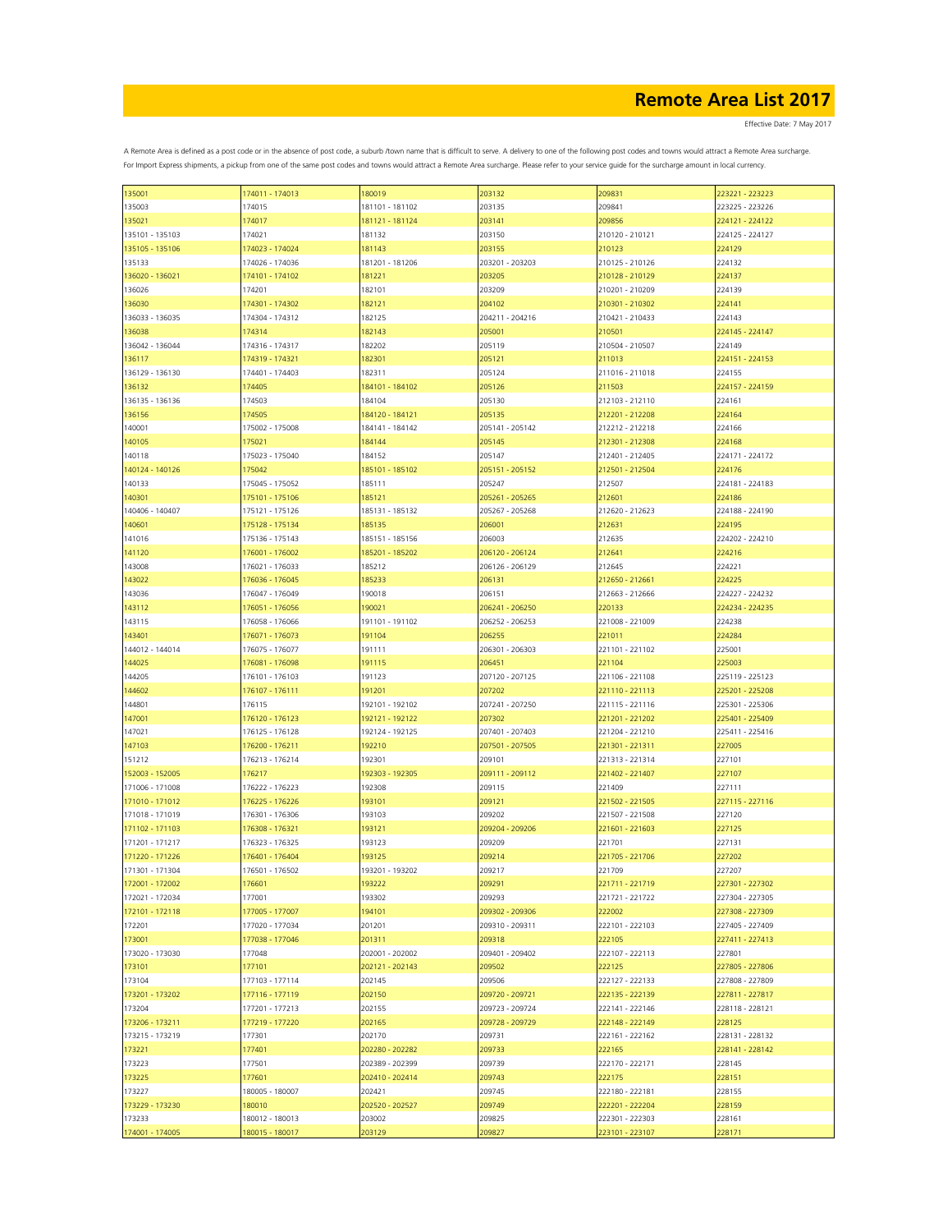| 135001          | 174011 - 174013 | 180019          | 203132          | 209831          | 223221 - 223223 |
|-----------------|-----------------|-----------------|-----------------|-----------------|-----------------|
| 135003          | 174015          | 181101 - 181102 | 203135          | 209841          | 223225 - 223226 |
|                 |                 |                 |                 |                 |                 |
| 135021          | 174017          | 181121 - 181124 | 203141          | 209856          | 224121 - 224122 |
| 135101 - 135103 | 174021          | 181132          | 203150          | 210120 - 210121 | 224125 - 224127 |
|                 | 174023 - 174024 |                 |                 | 210123          | 224129          |
| 135105 - 135106 |                 | 181143          | 203155          |                 |                 |
| 135133          | 174026 - 174036 | 181201 - 181206 | 203201 - 203203 | 210125 - 210126 | 224132          |
| 136020 - 136021 | 174101 - 174102 | 181221          | 203205          | 210128 - 210129 | 224137          |
|                 |                 |                 |                 |                 |                 |
| 136026          | 174201          | 182101          | 203209          | 210201 - 210209 | 224139          |
| 136030          | 174301 - 174302 | 182121          | 204102          | 210301 - 210302 | 224141          |
|                 |                 |                 |                 |                 |                 |
| 136033 - 136035 | 174304 - 174312 | 182125          | 204211 - 204216 | 210421 - 210433 | 224143          |
| 136038          | 174314          | 182143          | 205001          | 210501          | 224145 - 224147 |
|                 |                 |                 |                 |                 |                 |
| 136042 - 136044 | 174316 - 174317 | 182202          | 205119          | 210504 - 210507 | 224149          |
| 136117          | 174319 - 174321 | 182301          | 205121          | 211013          | 224151 - 224153 |
| 136129 - 136130 |                 | 182311          | 205124          | 211016 - 211018 | 224155          |
|                 | 174401 - 174403 |                 |                 |                 |                 |
| 136132          | 174405          | 184101 - 184102 | 205126          | 211503          | 224157 - 224159 |
| 136135 - 136136 | 174503          | 184104          | 205130          | 212103 - 212110 | 224161          |
|                 |                 |                 |                 |                 |                 |
| 136156          | 174505          | 184120 - 184121 | 205135          | 212201 - 212208 | 224164          |
| 140001          | 175002 - 175008 | 184141 - 184142 | 205141 - 205142 | 212212 - 212218 | 224166          |
|                 |                 |                 |                 |                 |                 |
| 140105          | 175021          | 184144          | 205145          | 212301 - 212308 | 224168          |
| 140118          | 175023 - 175040 | 184152          | 205147          | 212401 - 212405 | 224171 - 224172 |
|                 |                 |                 |                 |                 |                 |
| 140124 - 140126 | 175042          | 185101 - 185102 | 205151 - 205152 | 212501 - 212504 | 224176          |
| 140133          | 175045 - 175052 | 185111          | 205247          | 212507          | 224181 - 224183 |
|                 |                 |                 |                 |                 |                 |
| 140301          | 175101 - 175106 | 185121          | 205261 - 205265 | 212601          | 224186          |
| 140406 - 140407 | 175121 - 175126 | 185131 - 185132 | 205267 - 205268 | 212620 - 212623 | 224188 - 224190 |
|                 |                 |                 |                 |                 |                 |
| 140601          | 175128 - 175134 | 185135          | 206001          | 212631          | 224195          |
| 141016          | 175136 - 175143 | 185151 - 185156 | 206003          | 212635          | 224202 - 224210 |
| 141120          | 176001 - 176002 | 185201 - 185202 | 206120 - 206124 | 212641          | 224216          |
|                 |                 |                 |                 |                 |                 |
| 143008          | 176021 - 176033 | 185212          | 206126 - 206129 | 212645          | 224221          |
|                 | 176036 - 176045 | 185233          | 206131          | 212650 - 212661 | 224225          |
| 143022          |                 |                 |                 |                 |                 |
| 143036          | 176047 - 176049 | 190018          | 206151          | 212663 - 212666 | 224227 - 224232 |
| 143112          | 176051 - 176056 | 190021          | 206241 - 206250 | 220133          | 224234 - 224235 |
|                 |                 |                 |                 |                 |                 |
| 143115          | 176058 - 176066 | 191101 - 191102 | 206252 - 206253 | 221008 - 221009 | 224238          |
| 143401          | 176071 - 176073 | 191104          | 206255          | 221011          | 224284          |
|                 |                 |                 |                 |                 |                 |
| 144012 - 144014 | 176075 - 176077 | 191111          | 206301 - 206303 | 221101 - 221102 | 225001          |
| 144025          | 176081 - 176098 | 191115          | 206451          | 221104          | 225003          |
|                 |                 |                 |                 |                 |                 |
| 144205          | 176101 - 176103 | 191123          | 207120 - 207125 | 221106 - 221108 | 225119 - 225123 |
| 144602          | 176107 - 176111 | 191201          | 207202          | 221110 - 221113 | 225201 - 225208 |
|                 |                 |                 |                 |                 |                 |
| 144801          | 176115          | 192101 - 192102 | 207241 - 207250 | 221115 - 221116 | 225301 - 225306 |
| 147001          | 176120 - 176123 | 192121 - 192122 | 207302          | 221201 - 221202 | 225401 - 225409 |
|                 |                 |                 |                 |                 |                 |
| 147021          | 176125 - 176128 | 192124 - 192125 | 207401 - 207403 | 221204 - 221210 | 225411 - 225416 |
| 147103          | 176200 - 176211 | 192210          | 207501 - 207505 | 221301 - 221311 | 227005          |
|                 |                 |                 |                 |                 |                 |
| 151212          | 176213 - 176214 | 192301          | 209101          | 221313 - 221314 | 227101          |
| 152003 - 152005 | 176217          | 192303 - 192305 | 209111 - 209112 | 221402 - 221407 | 227107          |
|                 |                 |                 |                 |                 |                 |
| 171006 - 171008 | 176222 - 176223 | 192308          | 209115          | 221409          | 227111          |
| 171010 - 171012 | 176225 - 176226 | 193101          | 209121          | 221502 - 221505 | 227115 - 227116 |
| 171018 - 171019 | 176301 - 176306 | 193103          | 209202          | 221507 - 221508 | 227120          |
|                 |                 |                 |                 |                 |                 |
| 171102 - 171103 | 176308 - 176321 | 193121          | 209204 - 209206 | 221601 - 221603 | 227125          |
| 171201 - 171217 | 176323 - 176325 | 193123          | 209209          | 221701          | 227131          |
|                 |                 |                 |                 |                 |                 |
| 171220 - 171226 | 176401 - 176404 | 193125          | 209214          | 221705 - 221706 | 227202          |
| 171301 - 171304 | 176501 - 176502 | 193201 - 193202 | 209217          | 221709          | 227207          |
|                 |                 |                 |                 |                 |                 |
| 172001 - 172002 | 176601          | 193222          | 209291          | 221711 - 221719 | 227301 - 227302 |
| 172021 - 172034 | 177001          | 193302          | 209293          | 221721 - 221722 | 227304 - 227305 |
|                 |                 |                 |                 |                 |                 |
| 172101 - 172118 | 177005 - 177007 | 194101          | 209302 - 209306 | 222002          | 227308 - 227309 |
| 172201          | 177020 - 177034 | 201201          | 209310 - 209311 | 222101 - 222103 | 227405 - 227409 |
| 173001          | 177038 - 177046 | 201311          | 209318          | 222105          | 227411 - 227413 |
|                 |                 |                 |                 |                 |                 |
| 173020 - 173030 | 177048          | 202001 - 202002 | 209401 - 209402 | 222107 - 222113 | 227801          |
| 173101          | 177101          | 202121 - 202143 | 209502          | 222125          | 227805 - 227806 |
|                 |                 |                 |                 |                 |                 |
| 173104          | 177103 - 177114 | 202145          | 209506          | 222127 - 222133 | 227808 - 227809 |
| 173201 - 173202 | 177116 - 177119 | 202150          | 209720 - 209721 | 222135 - 222139 | 227811 - 227817 |
|                 |                 |                 |                 |                 |                 |
| 173204          | 177201 - 177213 | 202155          | 209723 - 209724 | 222141 - 222146 | 228118 - 228121 |
| 173206 - 173211 | 177219 - 177220 | 202165          | 209728 - 209729 | 222148 - 222149 | 228125          |
|                 |                 |                 |                 |                 |                 |
| 173215 - 173219 | 177301          | 202170          | 209731          | 222161 - 222162 | 228131 - 228132 |
| 173221          | 177401          | 202280 - 202282 | 209733          | 222165          | 228141 - 228142 |
|                 |                 |                 |                 |                 |                 |
| 173223          | 177501          | 202389 - 202399 | 209739          | 222170 - 222171 | 228145          |
| 173225          | 177601          | 202410 - 202414 | 209743          | 222175          | 228151          |
|                 |                 |                 |                 |                 |                 |
| 173227          | 180005 - 180007 | 202421          | 209745          | 222180 - 222181 | 228155          |
| 173229 - 173230 | 180010          | 202520 - 202527 | 209749          | 222201 - 222204 | 228159          |
|                 |                 |                 |                 |                 |                 |
| 173233          | 180012 - 180013 | 203002          | 209825          | 222301 - 222303 | 228161          |
| 174001 - 174005 | 180015 - 180017 | 203129          | 209827          | 223101 - 223107 | 228171          |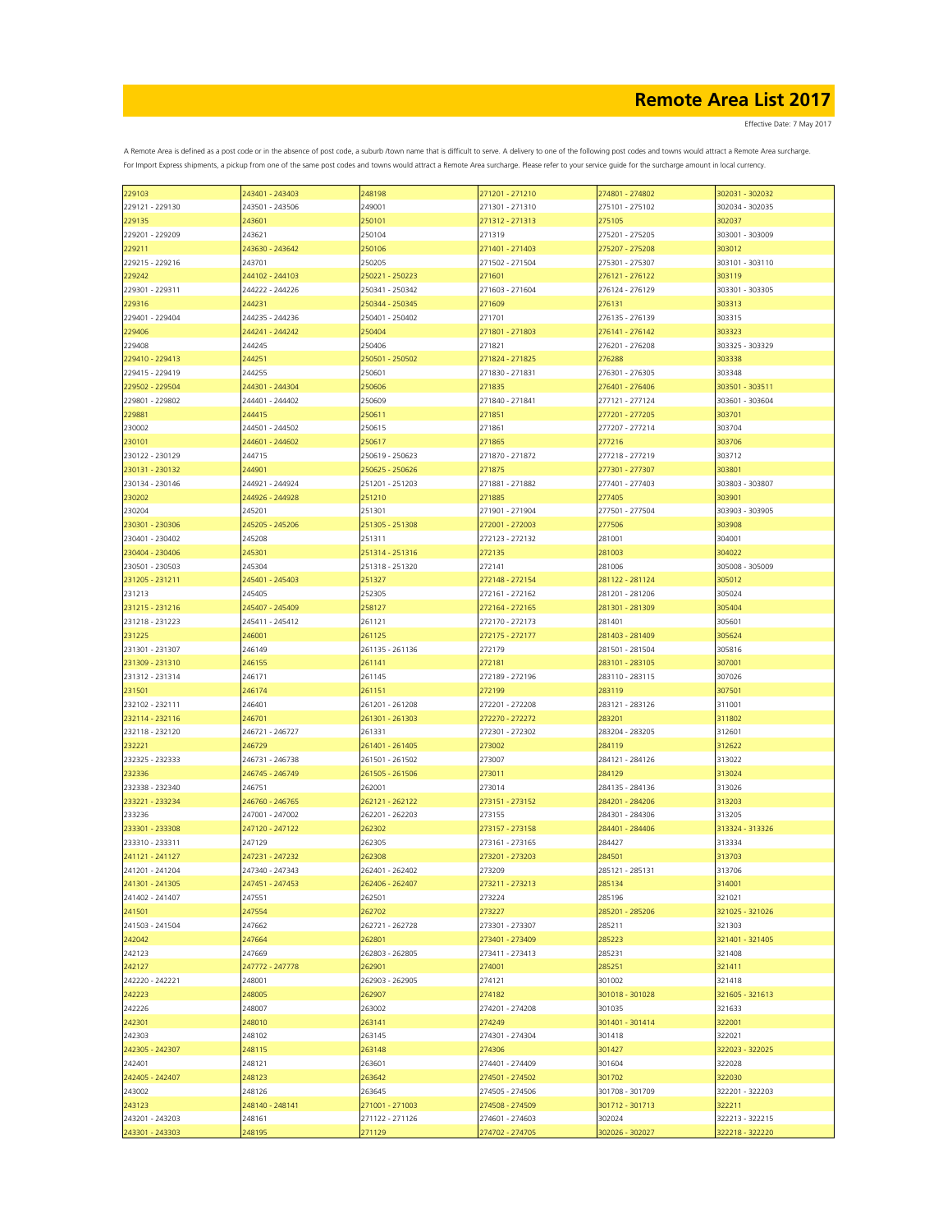| 229103          | 243401 - 243403 | 248198          | 271201 - 271210 | 274801 - 274802 | 302031 - 302032 |
|-----------------|-----------------|-----------------|-----------------|-----------------|-----------------|
| 229121 - 229130 | 243501 - 243506 | 249001          | 271301 - 271310 | 275101 - 275102 | 302034 - 302035 |
| 229135          | 243601          | 250101          | 271312 - 271313 | 275105          | 302037          |
| 229201 - 229209 | 243621          | 250104          | 271319          | 275201 - 275205 | 303001 - 303009 |
| 229211          | 243630 - 243642 | 250106          | 271401 - 271403 | 275207 - 275208 | 303012          |
| 229215 - 229216 | 243701          | 250205          | 271502 - 271504 | 275301 - 275307 | 303101 - 303110 |
|                 |                 |                 |                 |                 |                 |
| 229242          | 244102 - 244103 | 250221 - 250223 | 271601          | 276121 - 276122 | 303119          |
| 229301 - 229311 | 244222 - 244226 | 250341 - 250342 | 271603 - 271604 | 276124 - 276129 | 303301 - 303305 |
| 229316          | 244231          | 250344 - 250345 | 271609          | 276131          | 303313          |
| 229401 - 229404 | 244235 - 244236 | 250401 - 250402 | 271701          | 276135 - 276139 | 303315          |
| 229406          | 244241 - 244242 | 250404          | 271801 - 271803 | 276141 - 276142 | 303323          |
| 229408          | 244245          | 250406          | 271821          | 276201 - 276208 | 303325 - 303329 |
| 229410 - 229413 | 244251          | 250501 - 250502 | 271824 - 271825 | 276288          | 303338          |
| 229415 - 229419 | 244255          | 250601          | 271830 - 271831 | 276301 - 276305 | 303348          |
| 229502 - 229504 | 244301 - 244304 | 250606          | 271835          | 276401 - 276406 | 303501 - 303511 |
|                 |                 |                 |                 |                 |                 |
| 229801 - 229802 | 244401 - 244402 | 250609          | 271840 - 271841 | 277121 - 277124 | 303601 - 303604 |
| 229881          | 244415          | 250611          | 271851          | 277201 - 277205 | 303701          |
| 230002          | 244501 - 244502 | 250615          | 271861          | 277207 - 277214 | 303704          |
| 230101          | 244601 - 244602 | 250617          | 271865          | 277216          | 303706          |
| 230122 - 230129 | 244715          | 250619 - 250623 | 271870 - 271872 | 277218 - 277219 | 303712          |
| 230131 - 230132 | 244901          | 250625 - 250626 | 271875          | 277301 - 277307 | 303801          |
| 230134 - 230146 | 244921 - 244924 | 251201 - 251203 | 271881 - 271882 | 277401 - 277403 | 303803 - 303807 |
| 230202          | 244926 - 244928 | 251210          | 271885          | 277405          | 303901          |
| 230204          | 245201          | 251301          | 271901 - 271904 | 277501 - 277504 | 303903 - 303905 |
|                 |                 |                 |                 |                 |                 |
| 230301 - 230306 | 245205 - 245206 | 251305 - 251308 | 272001 - 272003 | 277506          | 303908          |
| 230401 - 230402 | 245208          | 251311          | 272123 - 272132 | 281001          | 304001          |
| 230404 - 230406 | 245301          | 251314 - 251316 | 272135          | 281003          | 304022          |
| 230501 - 230503 | 245304          | 251318 - 251320 | 272141          | 281006          | 305008 - 305009 |
| 231205 - 231211 | 245401 - 245403 | 251327          | 272148 - 272154 | 281122 - 281124 | 305012          |
| 231213          | 245405          | 252305          | 272161 - 272162 | 281201 - 281206 | 305024          |
| 231215 - 231216 | 245407 - 245409 | 258127          | 272164 - 272165 | 281301 - 281309 | 305404          |
| 231218 - 231223 | 245411 - 245412 | 261121          | 272170 - 272173 | 281401          | 305601          |
|                 |                 |                 |                 |                 |                 |
| 231225          | 246001          | 261125          | 272175 - 272177 | 281403 - 281409 | 305624          |
| 231301 - 231307 | 246149          | 261135 - 261136 | 272179          | 281501 - 281504 | 305816          |
| 231309 - 231310 | 246155          | 261141          | 272181          | 283101 - 283105 | 307001          |
| 231312 - 231314 | 246171          | 261145          | 272189 - 272196 | 283110 - 283115 | 307026          |
| 231501          | 246174          | 261151          | 272199          | 283119          | 307501          |
| 232102 - 232111 | 246401          | 261201 - 261208 | 272201 - 272208 | 283121 - 283126 | 311001          |
| 232114 - 232116 | 246701          | 261301 - 261303 | 272270 - 272272 | 283201          | 311802          |
| 232118 - 232120 | 246721 - 246727 | 261331          | 272301 - 272302 | 283204 - 283205 | 312601          |
|                 | 246729          |                 |                 |                 |                 |
| 232221          |                 | 261401 - 261405 | 273002          | 284119          | 312622          |
| 232325 - 232333 | 246731 - 246738 | 261501 - 261502 | 273007          | 284121 - 284126 | 313022          |
| 232336          | 246745 - 246749 | 261505 - 261506 | 273011          | 284129          | 313024          |
| 232338 - 232340 | 246751          | 262001          | 273014          | 284135 - 284136 | 313026          |
| 233221 - 233234 | 246760 - 246765 | 262121 - 262122 | 273151 - 273152 | 284201 - 284206 | 313203          |
| 233236          | 247001 - 247002 | 262201 - 262203 | 273155          | 284301 - 284306 | 313205          |
| 233301 - 233308 | 247120 - 247122 | 262302          | 273157 - 273158 | 284401 - 284406 | 313324 - 313326 |
| 233310 - 233311 | 247129          | 262305          | 273161 - 273165 | 284427          | 313334          |
| 241121 - 241127 | 247231 - 247232 | 262308          | 273201 - 273203 | 284501          | 313703          |
| 241201 - 241204 | 247340 - 247343 | 262401 - 262402 | 273209          | 285121 - 285131 | 313706          |
|                 |                 |                 |                 |                 |                 |
| 241301 - 241305 | 247451 - 247453 | 262406 - 262407 | 273211 - 273213 | 285134          | 314001          |
| 241402 - 241407 | 247551          | 262501          | 273224          | 285196          | 321021          |
| 241501          | 247554          | 262702          | 273227          | 285201 - 285206 | 321025 - 321026 |
| 241503 - 241504 | 247662          | 262721 - 262728 | 273301 - 273307 | 285211          | 321303          |
| 242042          | 247664          | 262801          | 273401 - 273409 | 285223          | 321401 - 321405 |
| 242123          | 247669          | 262803 - 262805 | 273411 - 273413 | 285231          | 321408          |
| 242127          | 247772 - 247778 | 262901          | 274001          | 285251          | 321411          |
| 242220 - 242221 | 248001          | 262903 - 262905 | 274121          | 301002          | 321418          |
| 242223          | 248005          | 262907          | 274182          | 301018 - 301028 | 321605 - 321613 |
|                 |                 |                 |                 |                 |                 |
| 242226          | 248007          | 263002          | 274201 - 274208 | 301035          | 321633          |
| 242301          | 248010          | 263141          | 274249          | 301401 - 301414 | 322001          |
| 242303          | 248102          | 263145          | 274301 - 274304 | 301418          | 322021          |
| 242305 - 242307 | 248115          | 263148          | 274306          | 301427          | 322023 - 322025 |
| 242401          | 248121          | 263601          | 274401 - 274409 | 301604          | 322028          |
| 242405 - 242407 | 248123          | 263642          | 274501 - 274502 | 301702          | 322030          |
| 243002          | 248126          | 263645          | 274505 - 274506 | 301708 - 301709 | 322201 - 322203 |
| 243123          | 248140 - 248141 | 271001 - 271003 | 274508 - 274509 | 301712 - 301713 | 322211          |
|                 |                 |                 |                 |                 |                 |
| 243201 - 243203 | 248161          | 271122 - 271126 | 274601 - 274603 | 302024          | 322213 - 322215 |
| 243301 - 243303 | 248195          | 271129          | 274702 - 274705 | 302026 - 302027 | 322218 - 322220 |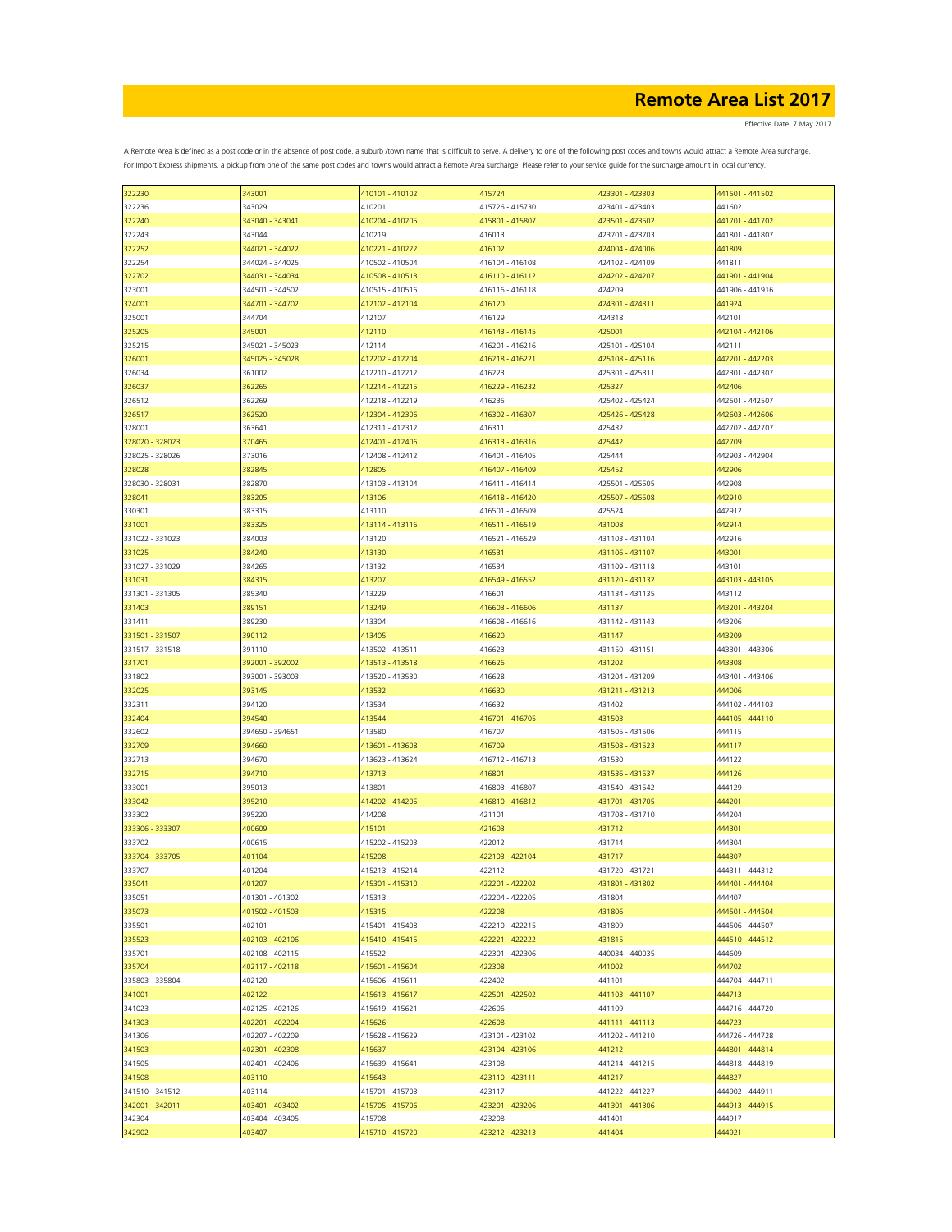| 322230          | 343001          | 410101 - 410102 | 415724          | 423301 - 423303 | 441501 - 441502 |
|-----------------|-----------------|-----------------|-----------------|-----------------|-----------------|
| 322236          | 343029          | 410201          | 415726 - 415730 | 423401 - 423403 | 441602          |
| 322240          | 343040 - 343041 | 410204 - 410205 | 415801 - 415807 | 423501 - 423502 | 441701 - 441702 |
|                 |                 |                 |                 |                 |                 |
| 322243          | 343044          | 410219          | 416013          | 423701 - 423703 | 441801 - 441807 |
| 322252          | 344021 - 344022 | 410221 - 410222 | 416102          | 424004 - 424006 | 441809          |
| 322254          | 344024 - 344025 | 410502 - 410504 | 416104 - 416108 | 424102 - 424109 | 441811          |
| 322702          | 344031 - 344034 | 410508 - 410513 | 416110 - 416112 | 424202 - 424207 | 441901 - 441904 |
| 323001          | 344501 - 344502 | 410515 - 410516 | 416116 - 416118 | 424209          | 441906 - 441916 |
|                 | 344701 - 344702 | 412102 - 412104 | 416120          | 424301 - 424311 | 441924          |
| 324001          |                 |                 |                 |                 |                 |
| 325001          | 344704          | 412107          | 416129          | 424318          | 442101          |
| 325205          | 345001          | 412110          | 416143 - 416145 | 425001          | 442104 - 442106 |
| 325215          | 345021 - 345023 | 412114          | 416201 - 416216 | 425101 - 425104 | 442111          |
| 326001          | 345025 - 345028 | 412202 - 412204 | 416218 - 416221 | 425108 - 425116 | 442201 - 442203 |
| 326034          | 361002          | 412210 - 412212 | 416223          | 425301 - 425311 | 442301 - 442307 |
|                 |                 |                 |                 |                 |                 |
| 326037          | 362265          | 412214 - 412215 | 416229 - 416232 | 425327          | 442406          |
| 326512          | 362269          | 412218 - 412219 | 416235          | 425402 - 425424 | 442501 - 442507 |
| 326517          | 362520          | 412304 - 412306 | 416302 - 416307 | 425426 - 425428 | 442603 - 442606 |
| 328001          | 363641          | 412311 - 412312 | 416311          | 425432          | 442702 - 442707 |
| 328020 - 328023 | 370465          | 412401 - 412406 | 416313 - 416316 | 425442          | 442709          |
|                 |                 |                 |                 |                 |                 |
| 328025 - 328026 | 373016          | 412408 - 412412 | 416401 - 416405 | 425444          | 442903 - 442904 |
| 328028          | 382845          | 412805          | 416407 - 416409 | 425452          | 442906          |
| 328030 - 328031 | 382870          | 413103 - 413104 | 416411 - 416414 | 425501 - 425505 | 442908          |
| 328041          | 383205          | 413106          | 416418 - 416420 | 425507 - 425508 | 442910          |
| 330301          | 383315          | 413110          | 416501 - 416509 | 425524          | 442912          |
|                 | 383325          | 413114 - 413116 |                 | 431008          | 442914          |
| 331001          |                 |                 | 416511 - 416519 |                 |                 |
| 331022 - 331023 | 384003          | 413120          | 416521 - 416529 | 431103 - 431104 | 442916          |
| 331025          | 384240          | 413130          | 416531          | 431106 - 431107 | 443001          |
| 331027 - 331029 | 384265          | 413132          | 416534          | 431109 - 431118 | 443101          |
| 331031          | 384315          | 413207          | 416549 - 416552 | 431120 - 431132 | 443103 - 443105 |
| 331301 - 331305 | 385340          | 413229          | 416601          | 431134 - 431135 | 443112          |
|                 |                 |                 |                 |                 |                 |
| 331403          | 389151          | 413249          | 416603 - 416606 | 431137          | 443201 - 443204 |
| 331411          | 389230          | 413304          | 416608 - 416616 | 431142 - 431143 | 443206          |
| 331501 - 331507 | 390112          | 413405          | 416620          | 431147          | 443209          |
| 331517 - 331518 | 391110          | 413502 - 413511 | 416623          | 431150 - 431151 | 443301 - 443306 |
| 331701          | 392001 - 392002 | 413513 - 413518 | 416626          | 431202          | 443308          |
|                 |                 |                 |                 |                 |                 |
| 331802          | 393001 - 393003 | 413520 - 413530 | 416628          | 431204 - 431209 | 443401 - 443406 |
| 332025          | 393145          | 413532          | 416630          | 431211 - 431213 | 444006          |
| 332311          | 394120          | 413534          | 416632          | 431402          | 444102 - 444103 |
| 332404          | 394540          | 413544          | 416701 - 416705 | 431503          | 444105 - 444110 |
| 332602          | 394650 - 394651 | 413580          | 416707          | 431505 - 431506 | 444115          |
|                 |                 |                 |                 |                 |                 |
| 332709          | 394660          | 413601 - 413608 | 416709          | 431508 - 431523 | 444117          |
| 332713          | 394670          | 413623 - 413624 | 416712 - 416713 | 431530          | 444122          |
| 332715          | 394710          | 413713          | 416801          | 431536 - 431537 | 444126          |
| 333001          | 395013          | 413801          | 416803 - 416807 | 431540 - 431542 | 444129          |
| 333042          | 395210          | 414202 - 414205 | 416810 - 416812 | 431701 - 431705 | 444201          |
| 333302          | 395220          | 414208          | 421101          |                 | 444204          |
|                 |                 |                 |                 | 431708 - 431710 |                 |
| 333306 - 333307 | 400609          | 415101          | 421603          | 431712          | 444301          |
| 333702          | 400615          | 415202 - 415203 | 422012          | 431714          | 444304          |
| 333704 - 333705 | 401104          | 415208          | 422103 - 422104 | 431717          | 444307          |
| 333707          | 401204          | 415213 - 415214 | 422112          | 431720 - 431721 | 444311 - 444312 |
| 335041          | 401207          | 415301 - 415310 | 422201 - 422202 | 431801 - 431802 | 444401 - 444404 |
|                 |                 |                 |                 |                 |                 |
| 335051          | 401301 - 401302 | 415313          | 422204 - 422205 | 431804          | 444407          |
| 335073          | 401502 - 401503 | 415315          | 422208          | 431806          | 444501 - 444504 |
| 335501          | 402101          | 415401 - 415408 | 422210 - 422215 | 431809          | 444506 - 444507 |
| 335523          | 402103 - 402106 | 415410 - 415415 | 422221 - 422222 | 431815          | 444510 - 444512 |
| 335701          | 402108 - 402115 | 415522          | 422301 - 422306 | 440034 - 440035 | 444609          |
|                 |                 |                 |                 | 441002          |                 |
| 335704          | 402117 - 402118 | 415601 - 415604 | 422308          |                 | 444702          |
| 335803 - 335804 | 402120          | 415606 - 415611 | 422402          | 441101          | 444704 - 444711 |
| 341001          | 402122          | 415613 - 415617 | 422501 - 422502 | 441103 - 441107 | 444713          |
| 341023          | 402125 - 402126 | 415619 - 415621 | 422606          | 441109          | 444716 - 444720 |
| 341303          | 402201 - 402204 | 415626          | 422608          | 441111 - 441113 | 444723          |
| 341306          | 402207 - 402209 | 415628 - 415629 | 423101 - 423102 | 441202 - 441210 | 444726 - 444728 |
|                 |                 |                 |                 |                 |                 |
| 341503          | 402301 - 402308 | 415637          | 423104 - 423106 | 441212          | 444801 - 444814 |
| 341505          | 402401 - 402406 | 415639 - 415641 | 423108          | 441214 - 441215 | 444818 - 444819 |
| 341508          | 403110          | 415643          | 423110 - 423111 | 441217          | 444827          |
| 341510 - 341512 | 403114          | 415701 - 415703 | 423117          | 441222 - 441227 | 444902 - 444911 |
| 342001 - 342011 | 403401 - 403402 | 415705 - 415706 | 423201 - 423206 | 441301 - 441306 | 444913 - 444915 |
|                 |                 |                 |                 |                 |                 |
| 342304          | 403404 - 403405 | 415708          | 423208          | 441401          | 444917          |
| 342902          | 403407          | 415710 - 415720 | 423212 - 423213 | 441404          | 444921          |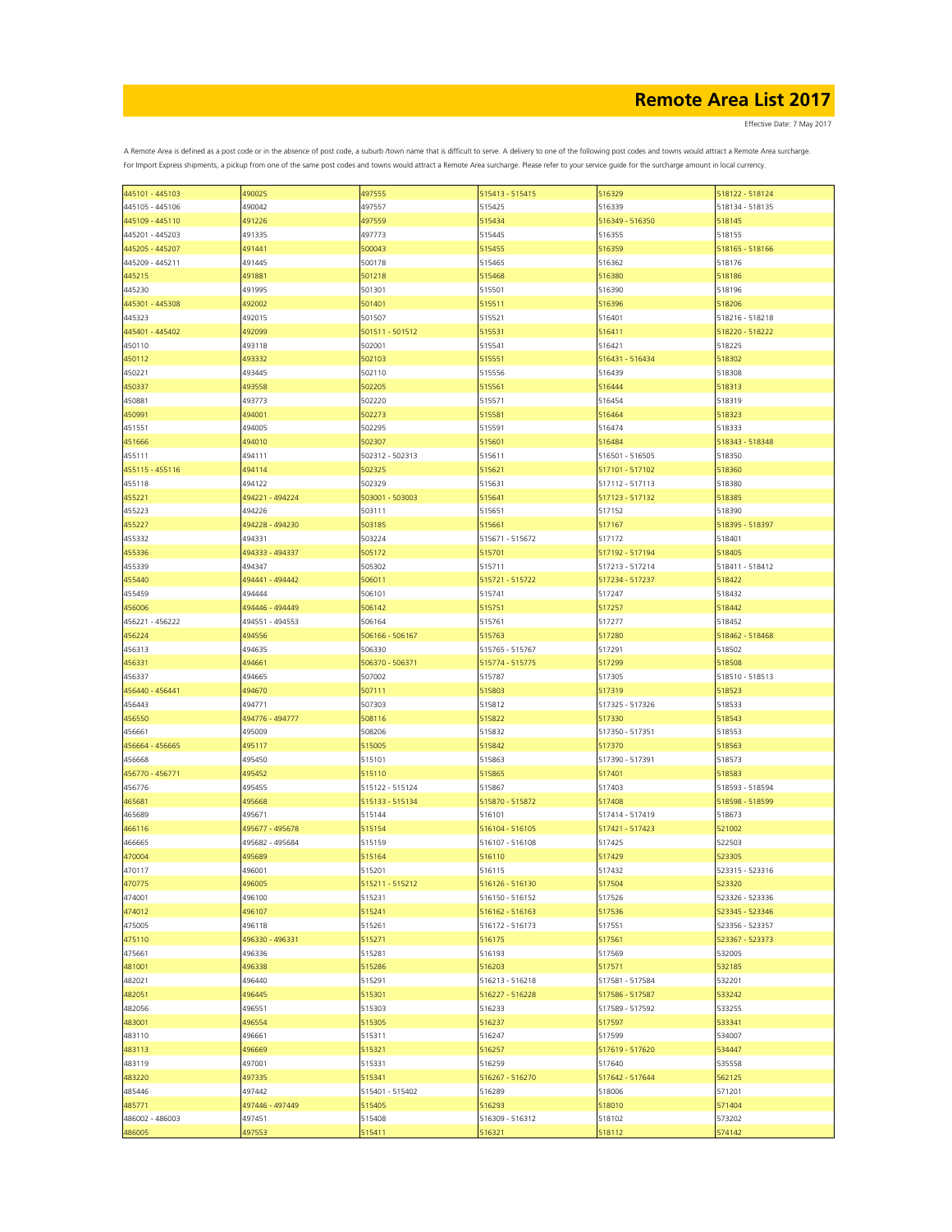Effective Date: 7 May 2017

| 445101 - 445103 | 490025          | 497555          | 515413 - 515415 | 516329          | 518122 - 518124 |
|-----------------|-----------------|-----------------|-----------------|-----------------|-----------------|
| 445105 - 445106 | 490042          | 497557          | 515425          | 516339          | 518134 - 518135 |
| 445109 - 445110 | 491226          | 497559          | 515434          | 516349 - 516350 | 518145          |
|                 |                 |                 |                 |                 |                 |
| 445201 - 445203 | 491335          | 497773          | 515445          | 516355          | 518155          |
| 445205 - 445207 | 491441          | 500043          | 515455          | 516359          | 518165 - 518166 |
| 445209 - 445211 | 491445          | 500178          | 515465          | 516362          | 518176          |
| 445215          | 491881          | 501218          | 515468          | 516380          | 518186          |
| 445230          | 491995          | 501301          | 515501          | 516390          | 518196          |
|                 |                 |                 |                 |                 |                 |
| 445301 - 445308 | 492002          | 501401          | 515511          | 516396          | 518206          |
| 445323          | 492015          | 501507          | 515521          | 516401          | 518216 - 518218 |
| 445401 - 445402 | 492099          | 501511 - 501512 | 515531          | 516411          | 518220 - 518222 |
| 450110          | 493118          | 502001          | 515541          | 516421          | 518225          |
| 450112          | 493332          | 502103          | 515551          | 516431 - 516434 | 518302          |
|                 |                 |                 |                 |                 |                 |
| 450221          | 493445          | 502110          | 515556          | 516439          | 518308          |
| 450337          | 493558          | 502205          | 515561          | 516444          | 518313          |
| 450881          | 493773          | 502220          | 515571          | 516454          | 518319          |
| 450991          | 494001          | 502273          | 515581          | 516464          | 518323          |
| 451551          | 494005          | 502295          | 515591          | 516474          | 518333          |
|                 | 494010          | 502307          | 515601          |                 | 518343 - 518348 |
| 451666          |                 |                 |                 | 516484          |                 |
| 455111          | 494111          | 502312 - 502313 | 515611          | 516501 - 516505 | 518350          |
| 455115 - 455116 | 494114          | 502325          | 515621          | 517101 - 517102 | 518360          |
| 455118          | 494122          | 502329          | 515631          | 517112 - 517113 | 518380          |
| 455221          | 494221 - 494224 | 503001 - 503003 | 515641          | 517123 - 517132 | 518385          |
|                 |                 |                 |                 |                 |                 |
| 455223          | 494226          | 503111          | 515651          | 517152          | 518390          |
| 455227          | 494228 - 494230 | 503185          | 515661          | 517167          | 518395 - 518397 |
| 455332          | 494331          | 503224          | 515671 - 515672 | 517172          | 518401          |
| 455336          | 494333 - 494337 | 505172          | 515701          | 517192 - 517194 | 518405          |
| 455339          | 494347          | 505302          | 515711          | 517213 - 517214 | 518411 - 518412 |
|                 |                 |                 |                 |                 |                 |
| 455440          | 494441 - 494442 | 506011          | 515721 - 515722 | 517234 - 517237 | 518422          |
| 455459          | 494444          | 506101          | 515741          | 517247          | 518432          |
| 456006          | 494446 - 494449 | 506142          | 515751          | 517257          | 518442          |
| 456221 - 456222 | 494551 - 494553 | 506164          | 515761          | 517277          | 518452          |
| 456224          | 494556          | 506166 - 506167 | 515763          | 517280          | 518462 - 518468 |
|                 |                 |                 |                 |                 |                 |
| 456313          | 494635          | 506330          | 515765 - 515767 | 517291          | 518502          |
| 456331          | 494661          | 506370 - 506371 | 515774 - 515775 | 517299          | 518508          |
| 456337          | 494665          | 507002          | 515787          | 517305          | 518510 - 518513 |
| 456440 - 456441 | 494670          | 507111          | 515803          | 517319          | 518523          |
|                 | 494771          |                 |                 |                 |                 |
| 456443          |                 | 507303          | 515812          | 517325 - 517326 | 518533          |
| 456550          | 494776 - 494777 | 508116          | 515822          | 517330          | 518543          |
| 456661          | 495009          | 508206          | 515832          | 517350 - 517351 | 518553          |
| 456664 - 456665 | 495117          | 515005          | 515842          | 517370          | 518563          |
| 456668          | 495450          | 515101          | 515863          | 517390 - 517391 | 518573          |
| 456770 - 456771 | 495452          | 515110          | 515865          | 517401          | 518583          |
|                 |                 |                 |                 |                 |                 |
| 456776          | 495455          | 515122 - 515124 | 515867          | 517403          | 518593 - 518594 |
| 465681          | 495668          | 515133 - 515134 | 515870 - 515872 | 517408          | 518598 - 518599 |
| 465689          | 495671          | 515144          | 516101          | 517414 - 517419 | 518673          |
| 466116          | 495677 - 495678 | 515154          | 516104 - 516105 | 517421 - 517423 | 521002          |
|                 |                 |                 |                 |                 |                 |
| 466665          | 495682 - 495684 | 515159          | 516107 - 516108 | 517425          | 522503          |
| 470004          | 495689          | 515164          | 516110          | 517429          | 523305          |
| 470117          | 496001          | 515201          | 516115          | 517432          | 523315 - 523316 |
| 470775          | 496005          | 515211 - 515212 | 516126 - 516130 | 517504          | 523320          |
| 474001          | 496100          | 515231          | 516150 - 516152 | 517526          | 523326 - 523336 |
| 474012          | 496107          | 515241          | 516162 - 516163 | 517536          | 523345 - 523346 |
|                 |                 |                 |                 |                 |                 |
| 475005          | 496118          | 515261          | 516172 - 516173 | 517551          | 523356 - 523357 |
| 475110          | 496330 - 496331 | 515271          | 516175          | 517561          | 523367 - 523373 |
| 475661          | 496336          | 515281          | 516193          | 517569          | 532005          |
| 481001          | 496338          | 515286          | 516203          | 517571          | 532185          |
| 482021          | 496440          | 515291          | 516213 - 516218 | 517581 - 517584 | 532201          |
|                 |                 |                 |                 |                 |                 |
| 482051          | 496445          | 515301          | 516227 - 516228 | 517586 - 517587 | 533242          |
| 482056          | 496551          | 515303          | 516233          | 517589 - 517592 | 533255          |
| 483001          | 496554          | 515305          | 516237          | 517597          | 533341          |
| 483110          | 496661          | 515311          | 516247          | 517599          | 534007          |
| 483113          | 496669          | 515321          | 516257          | 517619 - 517620 | 534447          |
|                 |                 |                 |                 |                 |                 |
| 483119          | 497001          | 515331          | 516259          | 517640          | 535558          |
| 483220          | 497335          | 515341          | 516267 - 516270 | 517642 - 517644 | 562125          |
| 485446          | 497442          | 515401 - 515402 | 516289          | 518006          | 571201          |
| 485771          | 497446 - 497449 | 515405          | 516293          | 518010          | 571404          |
| 486002 - 486003 | 497451          | 515408          | 516309 - 516312 | 518102          | 573202          |
|                 |                 |                 |                 |                 |                 |
| 486005          | 497553          | 515411          | 516321          | 518112          | 574142          |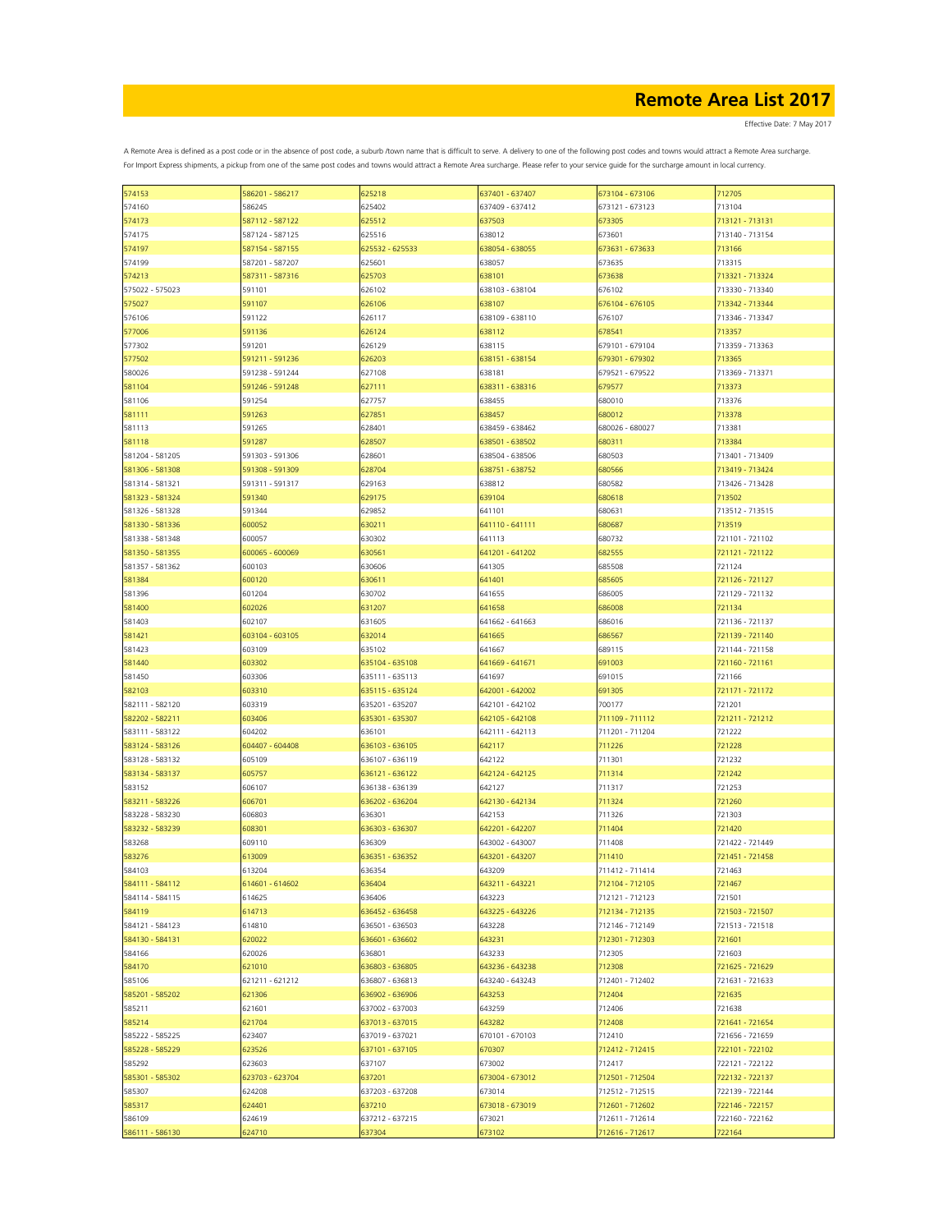Effective Date: 7 May 2017

| 574153          | 586201 - 586217 | 625218          | 637401 - 637407 | 673104 - 673106 | 712705          |
|-----------------|-----------------|-----------------|-----------------|-----------------|-----------------|
| 574160          | 586245          | 625402          | 637409 - 637412 | 673121 - 673123 | 713104          |
|                 |                 |                 |                 |                 |                 |
| 574173          | 587112 - 587122 | 625512          | 637503          | 673305          | 713121 - 713131 |
| 574175          | 587124 - 587125 | 625516          | 638012          | 673601          | 713140 - 713154 |
| 574197          | 587154 - 587155 | 625532 - 625533 | 638054 - 638055 | 673631 - 673633 | 713166          |
|                 |                 |                 |                 |                 |                 |
| 574199          | 587201 - 587207 | 625601          | 638057          | 673635          | 713315          |
| 574213          | 587311 - 587316 | 625703          | 638101          | 673638          | 713321 - 713324 |
|                 |                 |                 |                 |                 |                 |
| 575022 - 575023 | 591101          | 626102          | 638103 - 638104 | 676102          | 713330 - 713340 |
| 575027          | 591107          | 626106          | 638107          | 676104 - 676105 | 713342 - 713344 |
|                 |                 |                 |                 |                 |                 |
| 576106          | 591122          | 626117          | 638109 - 638110 | 676107          | 713346 - 713347 |
| 577006          | 591136          | 626124          | 638112          | 678541          | 713357          |
| 577302          | 591201          | 626129          | 638115          | 679101 - 679104 | 713359 - 713363 |
|                 |                 |                 |                 |                 |                 |
| 577502          | 591211 - 591236 | 626203          | 638151 - 638154 | 679301 - 679302 | 713365          |
| 580026          | 591238 - 591244 | 627108          | 638181          | 679521 - 679522 | 713369 - 713371 |
| 581104          | 591246 - 591248 | 627111          | 638311 - 638316 | 679577          | 713373          |
|                 |                 |                 |                 |                 |                 |
| 581106          | 591254          | 627757          | 638455          | 680010          | 713376          |
| 581111          | 591263          | 627851          | 638457          | 680012          | 713378          |
|                 |                 |                 |                 |                 |                 |
| 581113          | 591265          | 628401          | 638459 - 638462 | 680026 - 680027 | 713381          |
| 581118          | 591287          | 628507          | 638501 - 638502 | 680311          | 713384          |
|                 |                 |                 |                 |                 |                 |
| 581204 - 581205 | 591303 - 591306 | 628601          | 638504 - 638506 | 680503          | 713401 - 713409 |
| 581306 - 581308 | 591308 - 591309 | 628704          | 638751 - 638752 | 680566          | 713419 - 713424 |
| 581314 - 581321 | 591311 - 591317 | 629163          | 638812          | 680582          | 713426 - 713428 |
|                 |                 |                 |                 |                 |                 |
| 581323 - 581324 | 591340          | 629175          | 639104          | 680618          | 713502          |
| 581326 - 581328 | 591344          | 629852          | 641101          | 680631          | 713512 - 713515 |
|                 |                 |                 |                 |                 |                 |
| 581330 - 581336 | 600052          | 630211          | 641110 - 641111 | 680687          | 713519          |
| 581338 - 581348 | 600057          | 630302          | 641113          | 680732          | 721101 - 721102 |
| 581350 - 581355 | 600065 - 600069 | 630561          | 641201 - 641202 | 682555          | 721121 - 721122 |
|                 |                 |                 |                 |                 |                 |
| 581357 - 581362 | 600103          | 630606          | 641305          | 685508          | 721124          |
| 581384          | 600120          | 630611          | 641401          | 685605          | 721126 - 721127 |
|                 |                 |                 |                 |                 |                 |
| 581396          | 601204          | 630702          | 641655          | 686005          | 721129 - 721132 |
| 581400          | 602026          | 631207          | 641658          | 686008          | 721134          |
|                 |                 |                 |                 |                 |                 |
| 581403          | 602107          | 631605          | 641662 - 641663 | 686016          | 721136 - 721137 |
| 581421          | 603104 - 603105 | 632014          | 641665          | 686567          | 721139 - 721140 |
| 581423          | 603109          | 635102          | 641667          | 689115          | 721144 - 721158 |
|                 |                 |                 |                 |                 |                 |
| 581440          | 603302          | 635104 - 635108 | 641669 - 641671 | 691003          | 721160 - 721161 |
| 581450          | 603306          | 635111 - 635113 | 641697          | 691015          | 721166          |
|                 |                 |                 |                 |                 |                 |
| 582103          | 603310          | 635115 - 635124 | 642001 - 642002 | 691305          | 721171 - 721172 |
| 582111 - 582120 | 603319          | 635201 - 635207 | 642101 - 642102 | 700177          | 721201          |
|                 | 603406          |                 |                 | 711109 - 711112 | 721211 - 721212 |
| 582202 - 582211 |                 | 635301 - 635307 | 642105 - 642108 |                 |                 |
| 583111 - 583122 | 604202          | 636101          | 642111 - 642113 | 711201 - 711204 | 721222          |
| 583124 - 583126 | 604407 - 604408 | 636103 - 636105 | 642117          | 711226          | 721228          |
|                 |                 |                 |                 |                 |                 |
| 583128 - 583132 | 605109          | 636107 - 636119 | 642122          | 711301          | 721232          |
| 583134 - 583137 | 605757          | 636121 - 636122 | 642124 - 642125 | 711314          | 721242          |
|                 |                 |                 |                 |                 |                 |
| 583152          | 606107          | 636138 - 636139 | 642127          | 711317          | 721253          |
| 583211 - 583226 | 606701          | 636202 - 636204 | 642130 - 642134 | 711324          | 721260          |
| 583228 - 583230 | 606803          | 636301          | 642153          | 711326          | 721303          |
|                 |                 |                 |                 |                 |                 |
| 583232 - 583239 | 608301          | 636303 - 636307 | 642201 - 642207 | 711404          | 721420          |
| 583268          | 609110          | 636309          | 643002 - 643007 | 711408          | 721422 - 721449 |
|                 |                 |                 |                 |                 |                 |
| 583276          | 613009          | 636351 - 636352 | 643201 - 643207 | 711410          | 721451 - 721458 |
| 584103          | 613204          | 636354          | 643209          | 711412 - 711414 | 721463          |
| 584111 - 584112 | 614601 - 614602 | 636404          | 643211 - 643221 | 712104 - 712105 | 721467          |
|                 |                 |                 |                 |                 |                 |
| 584114 - 584115 | 614625          | 636406          | 643223          | 712121 - 712123 | 721501          |
| 584119          | 614713          | 636452 - 636458 | 643225 - 643226 | 712134 - 712135 | 721503 - 721507 |
|                 |                 |                 |                 |                 |                 |
| 584121 - 584123 | 614810          | 636501 - 636503 | 643228          | 712146 - 712149 | 721513 - 721518 |
| 584130 - 584131 | 620022          | 636601 - 636602 | 643231          | 712301 - 712303 | 721601          |
| 584166          | 620026          | 636801          | 643233          | 712305          | 721603          |
|                 |                 |                 |                 |                 |                 |
| 584170          | 621010          | 636803 - 636805 | 643236 - 643238 | 712308          | 721625 - 721629 |
| 585106          | 621211 - 621212 | 636807 - 636813 | 643240 - 643243 | 712401 - 712402 | 721631 - 721633 |
|                 |                 |                 |                 |                 |                 |
| 585201 - 585202 | 621306          | 636902 - 636906 | 643253          | 712404          | 721635          |
| 585211          | 621601          | 637002 - 637003 | 643259          | 712406          | 721638          |
|                 |                 |                 |                 |                 |                 |
| 585214          | 621704          | 637013 - 637015 | 643282          | 712408          | 721641 - 721654 |
| 585222 - 585225 | 623407          | 637019 - 637021 | 670101 - 670103 | 712410          | 721656 - 721659 |
| 585228 - 585229 | 623526          | 637101 - 637105 | 670307          | 712412 - 712415 | 722101 - 722102 |
|                 |                 |                 |                 |                 |                 |
| 585292          | 623603          | 637107          | 673002          | 712417          | 722121 - 722122 |
| 585301 - 585302 | 623703 - 623704 | 637201          | 673004 - 673012 | 712501 - 712504 | 722132 - 722137 |
|                 |                 |                 |                 |                 |                 |
| 585307          | 624208          | 637203 - 637208 | 673014          | 712512 - 712515 | 722139 - 722144 |
| 585317          | 624401          | 637210          | 673018 - 673019 | 712601 - 712602 | 722146 - 722157 |
|                 |                 |                 |                 | 712611 - 712614 | 722160 - 722162 |
| 586109          | 624619          | 637212 - 637215 | 673021          |                 |                 |
| 586111 - 586130 | 624710          | 637304          | 673102          | 712616 - 712617 | 722164          |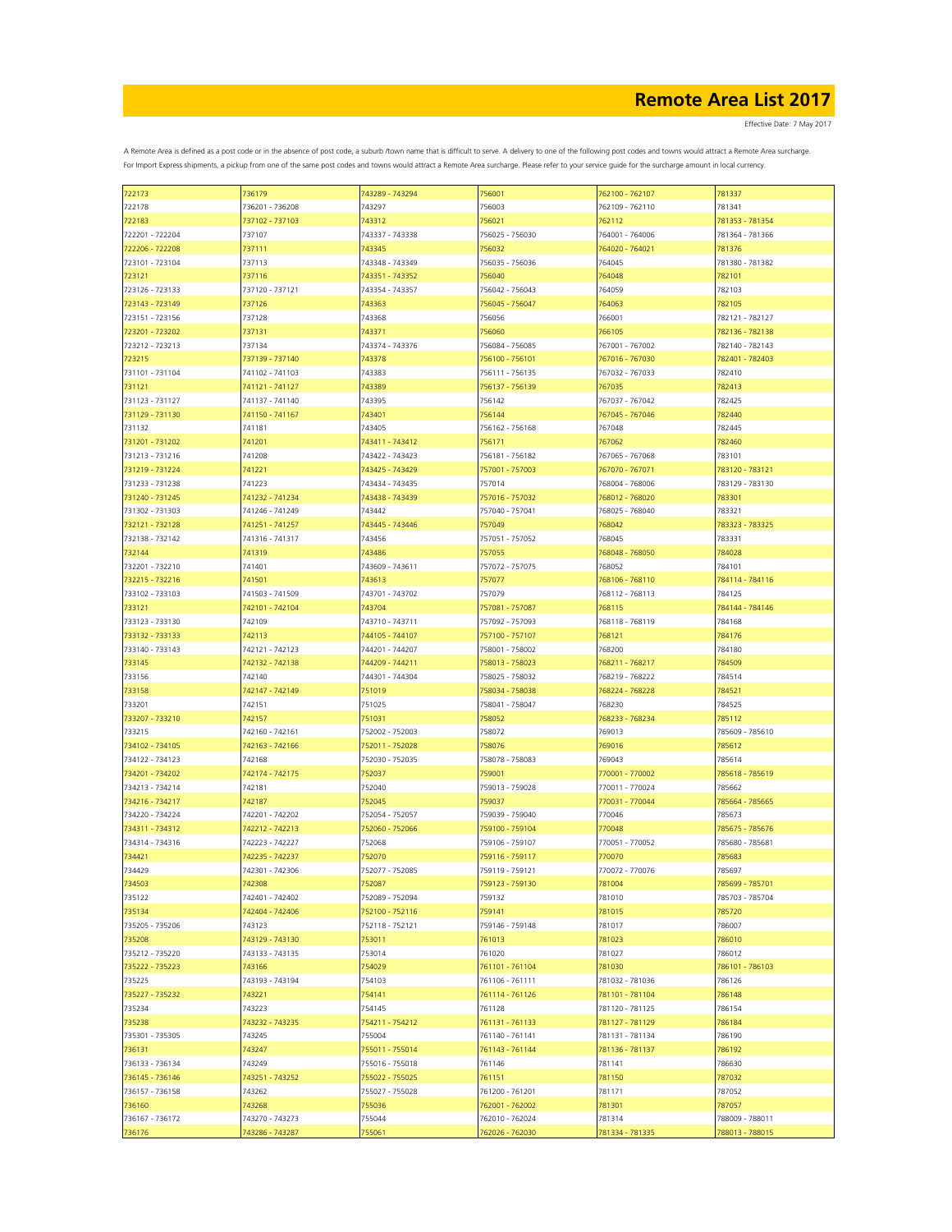| 722173          | 736179          | 743289 - 743294 | 756001          | 762100 - 762107 | 781337          |
|-----------------|-----------------|-----------------|-----------------|-----------------|-----------------|
| 722178          | 736201 - 736208 | 743297          | 756003          | 762109 - 762110 | 781341          |
| 722183          | 737102 - 737103 | 743312          | 756021          | 762112          | 781353 - 781354 |
|                 |                 |                 |                 |                 |                 |
| 722201 - 722204 | 737107          | 743337 - 743338 | 756025 - 756030 | 764001 - 764006 | 781364 - 781366 |
| 722206 - 722208 | 737111          | 743345          | 756032          | 764020 - 764021 | 781376          |
| 723101 - 723104 | 737113          | 743348 - 743349 | 756035 - 756036 | 764045          | 781380 - 781382 |
|                 |                 |                 |                 |                 |                 |
| 723121          | 737116          | 743351 - 743352 | 756040          | 764048          | 782101          |
| 723126 - 723133 | 737120 - 737121 | 743354 - 743357 | 756042 - 756043 | 764059          | 782103          |
| 723143 - 723149 | 737126          | 743363          | 756045 - 756047 | 764063          | 782105          |
| 723151 - 723156 | 737128          | 743368          | 756056          | 766001          | 782121 - 782127 |
|                 |                 |                 |                 |                 |                 |
| 723201 - 723202 | 737131          | 743371          | 756060          | 766105          | 782136 - 782138 |
| 723212 - 723213 | 737134          | 743374 - 743376 | 756084 - 756085 | 767001 - 767002 | 782140 - 782143 |
| 723215          | 737139 - 737140 | 743378          | 756100 - 756101 | 767016 - 767030 | 782401 - 782403 |
| 731101 - 731104 | 741102 - 741103 | 743383          | 756111 - 756135 | 767032 - 767033 | 782410          |
|                 |                 |                 |                 |                 |                 |
| 731121          | 741121 - 741127 | 743389          | 756137 - 756139 | 767035          | 782413          |
| 731123 - 731127 | 741137 - 741140 | 743395          | 756142          | 767037 - 767042 | 782425          |
| 731129 - 731130 | 741150 - 741167 | 743401          | 756144          | 767045 - 767046 | 782440          |
| 731132          | 741181          | 743405          | 756162 - 756168 | 767048          | 782445          |
|                 |                 |                 |                 |                 |                 |
| 731201 - 731202 | 741201          | 743411 - 743412 | 756171          | 767062          | 782460          |
| 731213 - 731216 | 741208          | 743422 - 743423 | 756181 - 756182 | 767065 - 767068 | 783101          |
| 731219 - 731224 | 741221          | 743425 - 743429 | 757001 - 757003 | 767070 - 767071 | 783120 - 783121 |
|                 |                 |                 |                 |                 |                 |
| 731233 - 731238 | 741223          | 743434 - 743435 | 757014          | 768004 - 768006 | 783129 - 783130 |
| 731240 - 731245 | 741232 - 741234 | 743438 - 743439 | 757016 - 757032 | 768012 - 768020 | 783301          |
| 731302 - 731303 | 741246 - 741249 | 743442          | 757040 - 757041 | 768025 - 768040 | 783321          |
| 732121 - 732128 | 741251 - 741257 | 743445 - 743446 | 757049          | 768042          | 783323 - 783325 |
|                 |                 |                 |                 |                 |                 |
| 732138 - 732142 | 741316 - 741317 | 743456          | 757051 - 757052 | 768045          | 783331          |
| 732144          | 741319          | 743486          | 757055          | 768048 - 768050 | 784028          |
| 732201 - 732210 | 741401          | 743609 - 743611 | 757072 - 757075 | 768052          | 784101          |
|                 |                 |                 | 757077          |                 |                 |
| 732215 - 732216 | 741501          | 743613          |                 | 768106 - 768110 | 784114 - 784116 |
| 733102 - 733103 | 741503 - 741509 | 743701 - 743702 | 757079          | 768112 - 768113 | 784125          |
| 733121          | 742101 - 742104 | 743704          | 757081 - 757087 | 768115          | 784144 - 784146 |
| 733123 - 733130 | 742109          | 743710 - 743711 | 757092 - 757093 | 768118 - 768119 | 784168          |
|                 |                 |                 |                 |                 |                 |
| 733132 - 733133 | 742113          | 744105 - 744107 | 757100 - 757107 | 768121          | 784176          |
| 733140 - 733143 | 742121 - 742123 | 744201 - 744207 | 758001 - 758002 | 768200          | 784180          |
| 733145          | 742132 - 742138 | 744209 - 744211 | 758013 - 758023 | 768211 - 768217 | 784509          |
| 733156          | 742140          | 744301 - 744304 | 758025 - 758032 | 768219 - 768222 | 784514          |
|                 |                 |                 |                 |                 |                 |
| 733158          | 742147 - 742149 | 751019          | 758034 - 758038 | 768224 - 768228 | 784521          |
| 733201          | 742151          | 751025          | 758041 - 758047 | 768230          | 784525          |
| 733207 - 733210 | 742157          | 751031          | 758052          | 768233 - 768234 | 785112          |
| 733215          | 742160 - 742161 | 752002 - 752003 | 758072          | 769013          | 785609 - 785610 |
|                 |                 |                 |                 |                 |                 |
| 734102 - 734105 | 742163 - 742166 | 752011 - 752028 | 758076          | 769016          | 785612          |
| 734122 - 734123 | 742168          | 752030 - 752035 | 758078 - 758083 | 769043          | 785614          |
| 734201 - 734202 | 742174 - 742175 | 752037          | 759001          | 770001 - 770002 | 785618 - 785619 |
|                 |                 |                 |                 |                 |                 |
| 734213 - 734214 | 742181          | 752040          | 759013 - 759028 | 770011 - 770024 | 785662          |
| 734216 - 734217 | 742187          | 752045          | 759037          | 770031 - 770044 | 785664 - 785665 |
| 734220 - 734224 | 742201 - 742202 | 752054 - 752057 | 759039 - 759040 | 770046          | 785673          |
| 734311 - 734312 | 742212 - 742213 | 752060 - 752066 | 759100 - 759104 | 770048          | 785675 - 785676 |
|                 |                 |                 |                 |                 |                 |
| 734314 - 734316 | 742223 - 742227 | 752068          | 759106 - 759107 | 770051 - 770052 | 785680 - 785681 |
| 734421          | 742235 - 742237 | 752070          | 759116 - 759117 | 770070          | 785683          |
| 734429          | 742301 - 742306 | 752077 - 752085 | 759119 - 759121 | 770072 - 770076 | 785697          |
| 734503          | 742308          | 752087          | 759123 - 759130 | 781004          | 785699 - 785701 |
| 735122          | 742401 - 742402 | 752089 - 752094 | 759132          | 781010          | 785703 - 785704 |
|                 |                 |                 |                 |                 |                 |
| 735134          | 742404 - 742406 | 752100 - 752116 | 759141          | 781015          | 785720          |
| 735205 - 735206 | 743123          | 752118 - 752121 | 759146 - 759148 | 781017          | 786007          |
| 735208          | 743129 - 743130 | 753011          | 761013          | 781023          | 786010          |
|                 |                 |                 |                 |                 |                 |
| 735212 - 735220 | 743133 - 743135 | 753014          | 761020          | 781027          | 786012          |
| 735222 - 735223 | 743166          | 754029          | 761101 - 761104 | 781030          | 786101 - 786103 |
| 735225          | 743193 - 743194 | 754103          | 761106 - 761111 | 781032 - 781036 | 786126          |
| 735227 - 735232 | 743221          | 754141          | 761114 - 761126 | 781101 - 781104 | 786148          |
|                 |                 |                 |                 |                 |                 |
| 735234          | 743223          | 754145          | 761128          | 781120 - 781125 | 786154          |
| 735238          | 743232 - 743235 | 754211 - 754212 | 761131 - 761133 | 781127 - 781129 | 786184          |
| 735301 - 735305 | 743245          | 755004          | 761140 - 761141 | 781131 - 781134 | 786190          |
| 736131          | 743247          | 755011 - 755014 | 761143 - 761144 | 781136 - 781137 | 786192          |
|                 |                 |                 |                 |                 |                 |
| 736133 - 736134 | 743249          | 755016 - 755018 | 761146          | 781141          | 786630          |
| 736145 - 736146 | 743251 - 743252 | 755022 - 755025 | 761151          | 781150          | 787032          |
| 736157 - 736158 | 743262          | 755027 - 755028 | 761200 - 761201 | 781171          | 787052          |
| 736160          | 743268          | 755036          | 762001 - 762002 | 781301          | 787057          |
|                 |                 |                 |                 |                 |                 |
| 736167 - 736172 | 743270 - 743273 | 755044          | 762010 - 762024 | 781314          | 788009 - 788011 |
| 736176          | 743286 - 743287 | 755061          | 762026 - 762030 | 781334 - 781335 | 788013 - 788015 |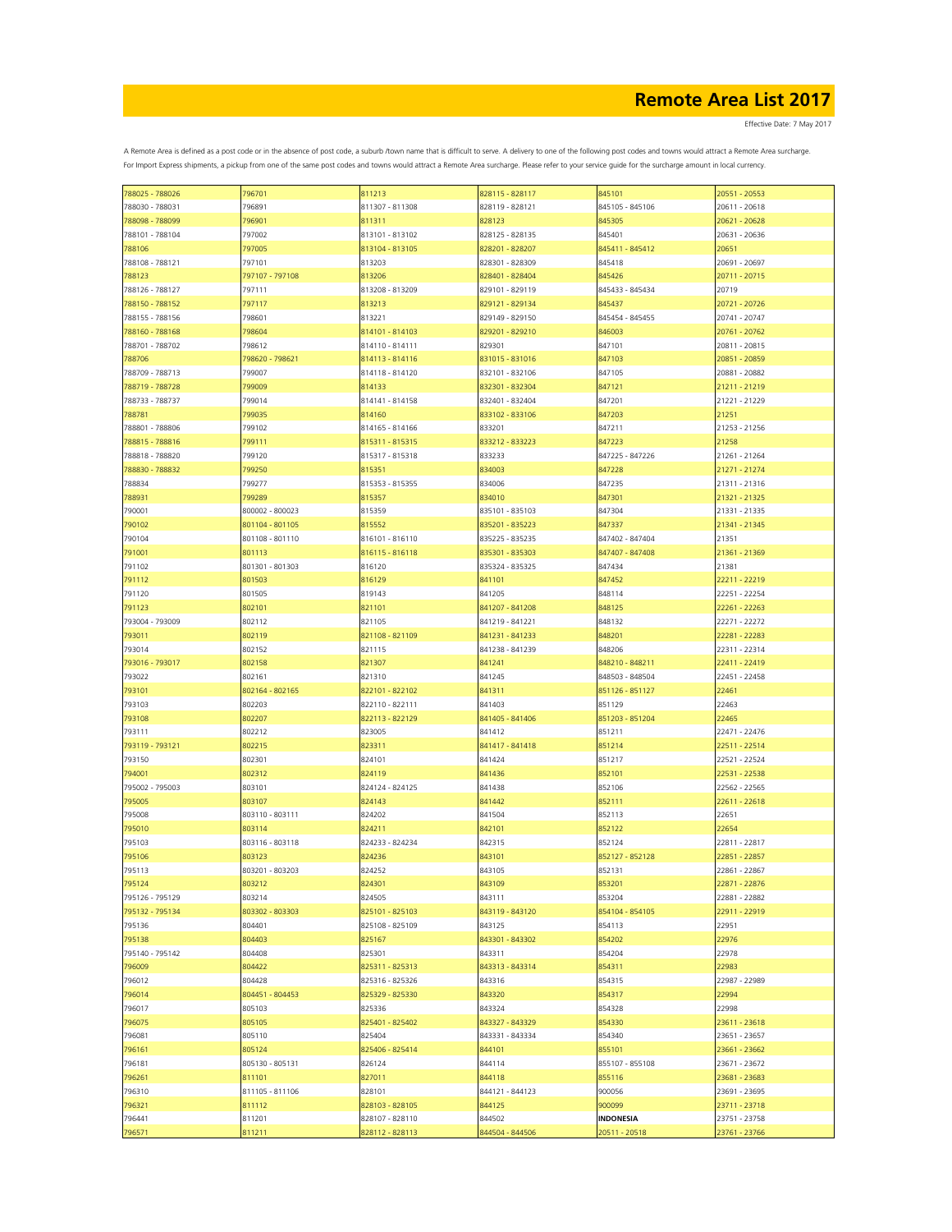| 788025 - 788026 | 796701          | 811213          | 828115 - 828117 | 845101           | 20551 - 20553 |
|-----------------|-----------------|-----------------|-----------------|------------------|---------------|
| 788030 - 788031 | 796891          | 811307 - 811308 | 828119 - 828121 | 845105 - 845106  | 20611 - 20618 |
| 788098 - 788099 | 796901          | 811311          | 828123          | 845305           | 20621 - 20628 |
|                 |                 |                 |                 |                  |               |
| 788101 - 788104 | 797002          | 813101 - 813102 | 828125 - 828135 | 845401           | 20631 - 20636 |
| 788106          | 797005          | 813104 - 813105 | 828201 - 828207 | 845411 - 845412  | 20651         |
| 788108 - 788121 | 797101          | 813203          | 828301 - 828309 | 845418           | 20691 - 20697 |
| 788123          | 797107 - 797108 | 813206          | 828401 - 828404 | 845426           | 20711 - 20715 |
|                 |                 |                 |                 |                  |               |
| 788126 - 788127 | 797111          | 813208 - 813209 | 829101 - 829119 | 845433 - 845434  | 20719         |
| 788150 - 788152 | 797117          | 813213          | 829121 - 829134 | 845437           | 20721 - 20726 |
| 788155 - 788156 | 798601          | 813221          | 829149 - 829150 | 845454 - 845455  | 20741 - 20747 |
|                 |                 |                 |                 |                  |               |
| 788160 - 788168 | 798604          | 814101 - 814103 | 829201 - 829210 | 846003           | 20761 - 20762 |
| 788701 - 788702 | 798612          | 814110 - 814111 | 829301          | 847101           | 20811 - 20815 |
| 788706          | 798620 - 798621 | 814113 - 814116 | 831015 - 831016 | 847103           | 20851 - 20859 |
| 788709 - 788713 | 799007          | 814118 - 814120 | 832101 - 832106 | 847105           | 20881 - 20882 |
|                 |                 |                 |                 |                  |               |
| 788719 - 788728 | 799009          | 814133          | 832301 - 832304 | 847121           | 21211 - 21219 |
| 788733 - 788737 | 799014          | 814141 - 814158 | 832401 - 832404 | 847201           | 21221 - 21229 |
| 788781          | 799035          | 814160          | 833102 - 833106 | 847203           | 21251         |
|                 |                 |                 |                 |                  |               |
| 788801 - 788806 | 799102          | 814165 - 814166 | 833201          | 847211           | 21253 - 21256 |
| 788815 - 788816 | 799111          | 815311 - 815315 | 833212 - 833223 | 847223           | 21258         |
| 788818 - 788820 | 799120          | 815317 - 815318 | 833233          | 847225 - 847226  | 21261 - 21264 |
|                 |                 |                 | 834003          |                  |               |
| 788830 - 788832 | 799250          | 815351          |                 | 847228           | 21271 - 21274 |
| 788834          | 799277          | 815353 - 815355 | 834006          | 847235           | 21311 - 21316 |
| 788931          | 799289          | 815357          | 834010          | 847301           | 21321 - 21325 |
| 790001          | 800002 - 800023 | 815359          | 835101 - 835103 | 847304           | 21331 - 21335 |
|                 |                 |                 |                 |                  |               |
| 790102          | 801104 - 801105 | 815552          | 835201 - 835223 | 847337           | 21341 - 21345 |
| 790104          | 801108 - 801110 | 816101 - 816110 | 835225 - 835235 | 847402 - 847404  | 21351         |
| 791001          | 801113          | 816115 - 816118 | 835301 - 835303 | 847407 - 847408  | 21361 - 21369 |
|                 |                 |                 |                 |                  |               |
| 791102          | 801301 - 801303 | 816120          | 835324 - 835325 | 847434           | 21381         |
| 791112          | 801503          | 816129          | 841101          | 847452           | 22211 - 22219 |
| 791120          | 801505          | 819143          | 841205          | 848114           | 22251 - 22254 |
|                 |                 |                 | 841207 - 841208 |                  | 22261 - 22263 |
| 791123          | 802101          | 821101          |                 | 848125           |               |
| 793004 - 793009 | 802112          | 821105          | 841219 - 841221 | 848132           | 22271 - 22272 |
| 793011          | 802119          | 821108 - 821109 | 841231 - 841233 | 848201           | 22281 - 22283 |
| 793014          | 802152          | 821115          | 841238 - 841239 | 848206           | 22311 - 22314 |
|                 |                 |                 |                 |                  |               |
| 793016 - 793017 | 802158          | 821307          | 841241          | 848210 - 848211  | 22411 - 22419 |
| 793022          | 802161          | 821310          | 841245          | 848503 - 848504  | 22451 - 22458 |
| 793101          | 802164 - 802165 | 822101 - 822102 | 841311          | 851126 - 851127  | 22461         |
|                 |                 |                 |                 |                  |               |
| 793103          | 802203          | 822110 - 822111 | 841403          | 851129           | 22463         |
| 793108          | 802207          | 822113 - 822129 | 841405 - 841406 | 851203 - 851204  | 22465         |
| 793111          | 802212          | 823005          | 841412          | 851211           | 22471 - 22476 |
|                 | 802215          |                 |                 | 851214           |               |
| 793119 - 793121 |                 | 823311          | 841417 - 841418 |                  | 22511 - 22514 |
| 793150          | 802301          | 824101          | 841424          | 851217           | 22521 - 22524 |
| 794001          | 802312          | 824119          | 841436          | 852101           | 22531 - 22538 |
| 795002 - 795003 | 803101          | 824124 - 824125 | 841438          | 852106           | 22562 - 22565 |
|                 |                 |                 |                 |                  |               |
| 795005          | 803107          | 824143          | 841442          | 852111           | 22611 - 22618 |
| 795008          | 803110 - 803111 | 824202          | 841504          | 852113           | 22651         |
| 795010          | 803114          | 824211          | 842101          | 852122           | 22654         |
|                 |                 |                 |                 |                  |               |
| 795103          | 803116 - 803118 | 824233 - 824234 | 842315          | 852124           | 22811 - 22817 |
| 795106          | 803123          | 824236          | 843101          | 852127 - 852128  | 22851 - 22857 |
| 795113          | 803201 - 803203 | 824252          | 843105          | 852131           | 22861 - 22867 |
| 795124          | 803212          | 824301          | 843109          | 853201           | 22871 - 22876 |
|                 |                 |                 |                 |                  |               |
| 795126 - 795129 | 803214          | 824505          | 843111          | 853204           | 22881 - 22882 |
| 795132 - 795134 | 803302 - 803303 | 825101 - 825103 | 843119 - 843120 | 854104 - 854105  | 22911 - 22919 |
| 795136          | 804401          | 825108 - 825109 | 843125          | 854113           | 22951         |
|                 | 804403          |                 |                 |                  | 22976         |
| 795138          |                 | 825167          | 843301 - 843302 | 854202           |               |
| 795140 - 795142 | 804408          | 825301          | 843311          | 854204           | 22978         |
| 796009          | 804422          | 825311 - 825313 | 843313 - 843314 | 854311           | 22983         |
| 796012          | 804428          | 825316 - 825326 | 843316          | 854315           | 22987 - 22989 |
|                 |                 |                 |                 |                  |               |
| 796014          | 804451 - 804453 | 825329 - 825330 | 843320          | 854317           | 22994         |
| 796017          | 805103          | 825336          | 843324          | 854328           | 22998         |
| 796075          | 805105          | 825401 - 825402 | 843327 - 843329 | 854330           | 23611 - 23618 |
|                 |                 | 825404          |                 |                  | 23651 - 23657 |
| 796081          | 805110          |                 | 843331 - 843334 | 854340           |               |
| 796161          | 805124          | 825406 - 825414 | 844101          | 855101           | 23661 - 23662 |
| 796181          | 805130 - 805131 | 826124          | 844114          | 855107 - 855108  | 23671 - 23672 |
| 796261          | 811101          | 827011          | 844118          | 855116           | 23681 - 23683 |
|                 |                 |                 |                 |                  |               |
| 796310          | 811105 - 811106 | 828101          | 844121 - 844123 | 900056           | 23691 - 23695 |
| 796321          | 811112          | 828103 - 828105 | 844125          | 900099           | 23711 - 23718 |
| 796441          | 811201          | 828107 - 828110 | 844502          | <b>INDONESIA</b> | 23751 - 23758 |
|                 |                 |                 |                 |                  |               |
| 796571          | 811211          | 828112 - 828113 | 844504 - 844506 | 20511 - 20518    | 23761 - 23766 |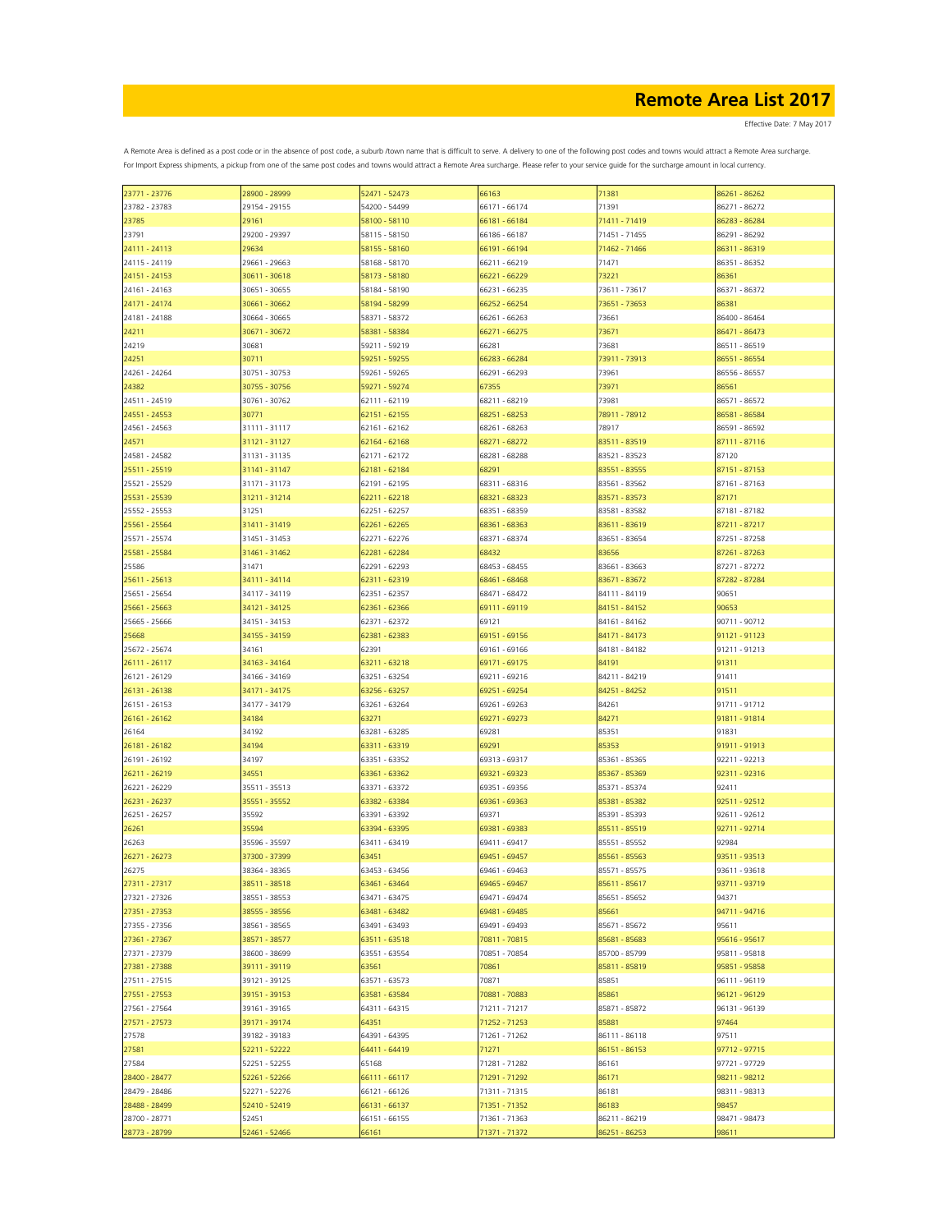Effective Date: 7 May 2017

| 23771 - 23776 | 28900 - 28999 | 52471 - 52473 | 66163         | 71381         | 86261 - 86262 |
|---------------|---------------|---------------|---------------|---------------|---------------|
| 23782 - 23783 | 29154 - 29155 | 54200 - 54499 | 66171 - 66174 | 71391         | 86271 - 86272 |
| 23785         | 29161         | 58100 - 58110 | 66181 - 66184 | 71411 - 71419 | 86283 - 86284 |
| 23791         | 29200 - 29397 | 58115 - 58150 | 66186 - 66187 | 71451 - 71455 | 86291 - 86292 |
|               |               |               |               |               |               |
| 24111 - 24113 | 29634         | 58155 - 58160 | 66191 - 66194 | 71462 - 71466 | 86311 - 86319 |
| 24115 - 24119 | 29661 - 29663 | 58168 - 58170 | 66211 - 66219 | 71471         | 86351 - 86352 |
| 24151 - 24153 | 30611 - 30618 | 58173 - 58180 | 66221 - 66229 | 73221         | 86361         |
| 24161 - 24163 | 30651 - 30655 | 58184 - 58190 | 66231 - 66235 | 73611 - 73617 | 86371 - 86372 |
| 24171 - 24174 | 30661 - 30662 | 58194 - 58299 | 66252 - 66254 | 73651 - 73653 | 86381         |
| 24181 - 24188 | 30664 - 30665 | 58371 - 58372 | 66261 - 66263 | 73661         | 86400 - 86464 |
| 24211         | 30671 - 30672 | 58381 - 58384 | 66271 - 66275 | 73671         | 86471 - 86473 |
| 24219         | 30681         | 59211 - 59219 | 66281         | 73681         | 86511 - 86519 |
| 24251         | 30711         | 59251 - 59255 | 66283 - 66284 | 73911 - 73913 | 86551 - 86554 |
|               |               |               |               | 73961         | 86556 - 86557 |
| 24261 - 24264 | 30751 - 30753 | 59261 - 59265 | 66291 - 66293 |               |               |
| 24382         | 30755 - 30756 | 59271 - 59274 | 67355         | 73971         | 86561         |
| 24511 - 24519 | 30761 - 30762 | 62111 - 62119 | 68211 - 68219 | 73981         | 86571 - 86572 |
| 24551 - 24553 | 30771         | 62151 - 62155 | 68251 - 68253 | 78911 - 78912 | 86581 - 86584 |
| 24561 - 24563 | 31111 - 31117 | 62161 - 62162 | 68261 - 68263 | 78917         | 86591 - 86592 |
| 24571         | 31121 - 31127 | 62164 - 62168 | 68271 - 68272 | 83511 - 83519 | 87111 - 87116 |
| 24581 - 24582 | 31131 - 31135 | 62171 - 62172 | 68281 - 68288 | 83521 - 83523 | 87120         |
| 25511 - 25519 | 31141 - 31147 | 62181 - 62184 | 68291         | 83551 - 83555 | 87151 - 87153 |
| 25521 - 25529 | 31171 - 31173 | 62191 - 62195 | 68311 - 68316 | 83561 - 83562 | 87161 - 87163 |
| 25531 - 25539 | 31211 - 31214 | 62211 - 62218 | 68321 - 68323 | 83571 - 83573 | 87171         |
|               | 31251         |               |               |               | 87181 - 87182 |
| 25552 - 25553 |               | 62251 - 62257 | 68351 - 68359 | 83581 - 83582 |               |
| 25561 - 25564 | 31411 - 31419 | 62261 - 62265 | 68361 - 68363 | 83611 - 83619 | 87211 - 87217 |
| 25571 - 25574 | 31451 - 31453 | 62271 - 62276 | 68371 - 68374 | 83651 - 83654 | 87251 - 87258 |
| 25581 - 25584 | 31461 - 31462 | 62281 - 62284 | 68432         | 83656         | 87261 - 87263 |
| 25586         | 31471         | 62291 - 62293 | 68453 - 68455 | 83661 - 83663 | 87271 - 87272 |
| 25611 - 25613 | 34111 - 34114 | 62311 - 62319 | 68461 - 68468 | 83671 - 83672 | 87282 - 87284 |
| 25651 - 25654 | 34117 - 34119 | 62351 - 62357 | 68471 - 68472 | 84111 - 84119 | 90651         |
| 25661 - 25663 | 34121 - 34125 | 62361 - 62366 | 69111 - 69119 | 84151 - 84152 | 90653         |
| 25665 - 25666 | 34151 - 34153 | 62371 - 62372 | 69121         | 84161 - 84162 | 90711 - 90712 |
| 25668         | 34155 - 34159 | 62381 - 62383 | 69151 - 69156 | 84171 - 84173 | 91121 - 91123 |
|               |               |               |               |               |               |
| 25672 - 25674 | 34161         | 62391         | 69161 - 69166 | 84181 - 84182 | 91211 - 91213 |
| 26111 - 26117 | 34163 - 34164 | 63211 - 63218 | 69171 - 69175 | 84191         | 91311         |
| 26121 - 26129 | 34166 - 34169 | 63251 - 63254 | 69211 - 69216 | 84211 - 84219 | 91411         |
| 26131 - 26138 | 34171 - 34175 | 63256 - 63257 | 69251 - 69254 | 84251 - 84252 | 91511         |
| 26151 - 26153 | 34177 - 34179 | 63261 - 63264 | 69261 - 69263 | 84261         | 91711 - 91712 |
| 26161 - 26162 | 34184         | 63271         | 69271 - 69273 | 84271         | 91811 - 91814 |
| 26164         | 34192         | 63281 - 63285 | 69281         | 85351         | 91831         |
| 26181 - 26182 | 34194         | 63311 - 63319 | 69291         | 85353         | 91911 - 91913 |
| 26191 - 26192 | 34197         | 63351 - 63352 | 69313 - 69317 | 85361 - 85365 | 92211 - 92213 |
| 26211 - 26219 | 34551         | 63361 - 63362 | 69321 - 69323 | 85367 - 85369 | 92311 - 92316 |
| 26221 - 26229 | 35511 - 35513 | 63371 - 63372 | 69351 - 69356 | 85371 - 85374 | 92411         |
|               |               |               |               |               |               |
| 26231 - 26237 | 35551 - 35552 | 63382 - 63384 | 69361 - 69363 | 85381 - 85382 | 92511 - 92512 |
| 26251 - 26257 | 35592         | 63391 - 63392 | 69371         | 85391 - 85393 | 92611 - 92612 |
| 26261         | 35594         | 63394 - 63395 | 69381 - 69383 | 85511 - 85519 | 92711 - 92714 |
| 26263         | 35596 - 35597 | 63411 - 63419 | 69411 - 69417 | 85551 - 85552 | 92984         |
| 26271 - 26273 | 37300 - 37399 | 63451         | 69451 - 69457 | 85561 - 85563 | 93511 - 93513 |
| 26275         | 38364 - 38365 | 63453 - 63456 | 69461 - 69463 | 85571 - 85575 | 93611 - 93618 |
| 27311 - 27317 | 38511 - 38518 | 63461 - 63464 | 69465 - 69467 | 85611 - 85617 | 93711 - 93719 |
| 27321 - 27326 | 38551 - 38553 | 63471 - 63475 | 69471 - 69474 | 85651 - 85652 | 94371         |
| 27351 - 27353 | 38555 - 38556 | 63481 - 63482 | 69481 - 69485 | 85661         | 94711 - 94716 |
| 27355 - 27356 | 38561 - 38565 | 63491 - 63493 | 69491 - 69493 | 85671 - 85672 | 95611         |
| 27361 - 27367 | 38571 - 38577 | 63511 - 63518 | 70811 - 70815 | 85681 - 85683 | 95616 - 95617 |
|               |               |               |               |               |               |
| 27371 - 27379 | 38600 - 38699 | 63551 - 63554 | 70851 - 70854 | 85700 - 85799 | 95811 - 95818 |
| 27381 - 27388 | 39111 - 39119 | 63561         | 70861         | 85811 - 85819 | 95851 - 95858 |
| 27511 - 27515 | 39121 - 39125 | 63571 - 63573 | 70871         | 85851         | 96111 - 96119 |
| 27551 - 27553 | 39151 - 39153 | 63581 - 63584 | 70881 - 70883 | 85861         | 96121 - 96129 |
| 27561 - 27564 | 39161 - 39165 | 64311 - 64315 | 71211 - 71217 | 85871 - 85872 | 96131 - 96139 |
| 27571 - 27573 | 39171 - 39174 | 64351         | 71252 - 71253 | 85881         | 97464         |
| 27578         | 39182 - 39183 | 64391 - 64395 | 71261 - 71262 | 86111 - 86118 | 97511         |
| 27581         | 52211 - 52222 | 64411 - 64419 | 71271         | 86151 - 86153 | 97712 - 97715 |
| 27584         | 52251 - 52255 | 65168         | 71281 - 71282 | 86161         | 97721 - 97729 |
| 28400 - 28477 | 52261 - 52266 | 66111 - 66117 | 71291 - 71292 | 86171         | 98211 - 98212 |
|               |               |               |               |               |               |
| 28479 - 28486 | 52271 - 52276 | 66121 - 66126 | 71311 - 71315 | 86181         | 98311 - 98313 |
| 28488 - 28499 | 52410 - 52419 | 66131 - 66137 | 71351 - 71352 | 86183         | 98457         |
| 28700 - 28771 | 52451         | 66151 - 66155 | 71361 - 71363 | 86211 - 86219 | 98471 - 98473 |
| 28773 - 28799 | 52461 - 52466 | 66161         | 71371 - 71372 | 86251 - 86253 | 98611         |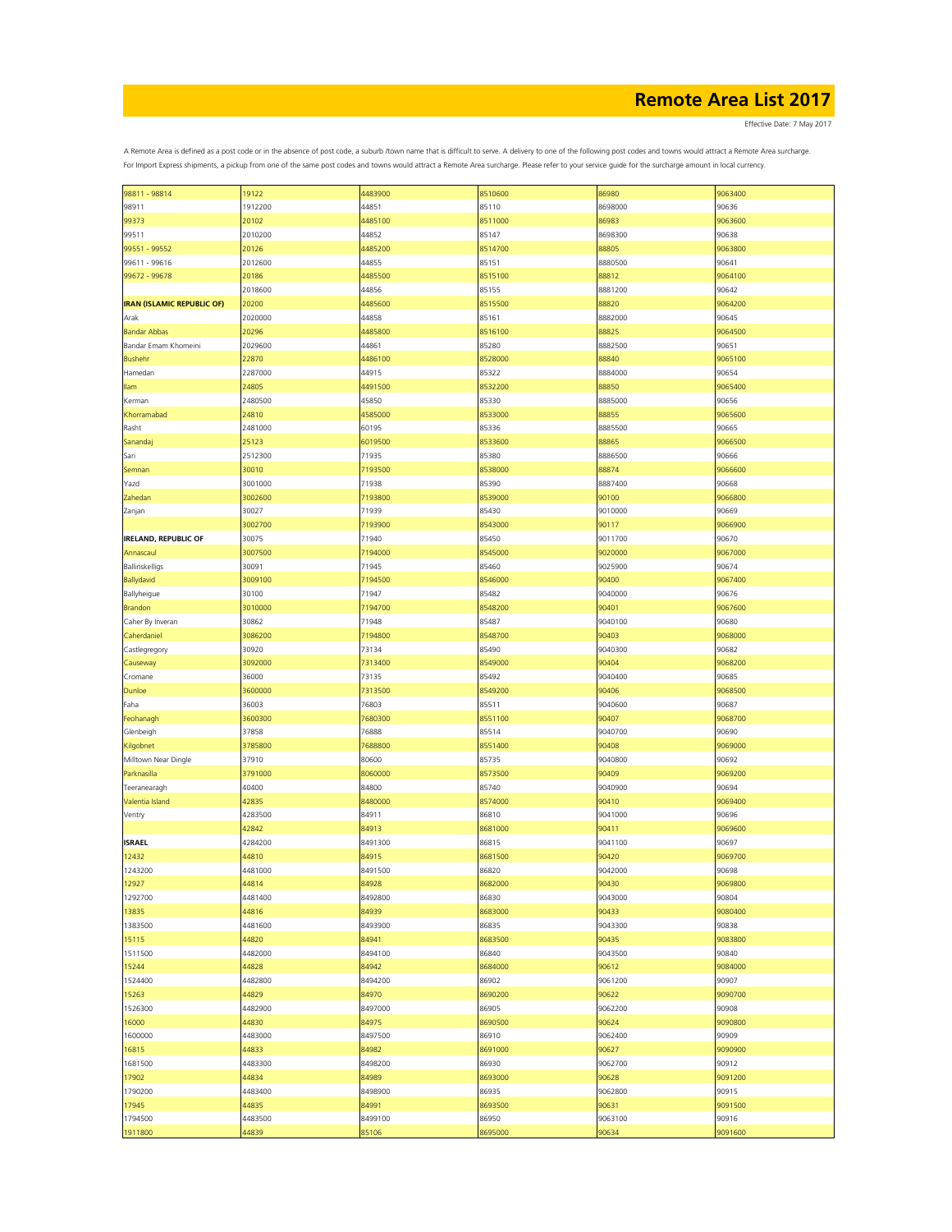Effective Date: 7 May 2017

| 98811 - 98814                     | 19122   | 4483900 | 8510600 | 86980   | 9063400 |
|-----------------------------------|---------|---------|---------|---------|---------|
| 98911                             | 1912200 | 44851   | 85110   | 8698000 | 90636   |
| 99373                             | 20102   | 4485100 | 8511000 | 86983   | 9063600 |
|                                   |         |         |         |         |         |
| 99511                             | 2010200 | 44852   | 85147   | 8698300 | 90638   |
| 99551 - 99552                     | 20126   | 4485200 | 8514700 | 88805   | 9063800 |
| 99611 - 99616                     | 2012600 | 44855   | 85151   | 8880500 | 90641   |
| 99672 - 99678                     | 20186   | 4485500 | 8515100 | 88812   | 9064100 |
|                                   | 2018600 | 44856   | 85155   | 8881200 | 90642   |
|                                   |         |         |         |         |         |
| <b>IRAN (ISLAMIC REPUBLIC OF)</b> | 20200   | 4485600 | 8515500 | 88820   | 9064200 |
| Arak                              | 2020000 | 44858   | 85161   | 8882000 | 90645   |
| <b>Bandar Abbas</b>               | 20296   | 4485800 | 8516100 | 88825   | 9064500 |
| Bandar Emam Khomeini              | 2029600 | 44861   | 85280   | 8882500 | 90651   |
|                                   |         |         |         |         |         |
| <b>Bushehr</b>                    | 22870   | 4486100 | 8528000 | 88840   | 9065100 |
| Hamedan                           | 2287000 | 44915   | 85322   | 8884000 | 90654   |
| Ilam                              | 24805   | 4491500 | 8532200 | 88850   | 9065400 |
| Kerman                            | 2480500 | 45850   | 85330   | 8885000 | 90656   |
|                                   |         |         |         |         |         |
| Khorramabad                       | 24810   | 4585000 | 8533000 | 88855   | 9065600 |
| Rasht                             | 2481000 | 60195   | 85336   | 8885500 | 90665   |
| Sanandaj                          | 25123   | 6019500 | 8533600 | 88865   | 9066500 |
| Sari                              | 2512300 | 71935   | 85380   | 8886500 | 90666   |
|                                   |         |         |         |         |         |
| Semnan                            | 30010   | 7193500 | 8538000 | 88874   | 9066600 |
| Yazd                              | 3001000 | 71938   | 85390   | 8887400 | 90668   |
| Zahedan                           | 3002600 | 7193800 | 8539000 | 90100   | 9066800 |
| Zanjan                            | 30027   | 71939   | 85430   | 9010000 | 90669   |
|                                   |         |         |         | 90117   |         |
|                                   | 3002700 | 7193900 | 8543000 |         | 9066900 |
| <b>IRELAND, REPUBLIC OF</b>       | 30075   | 71940   | 85450   | 9011700 | 90670   |
| Annascaul                         | 3007500 | 7194000 | 8545000 | 9020000 | 9067000 |
| Ballinskelligs                    | 30091   | 71945   | 85460   | 9025900 | 90674   |
| Ballydavid                        | 3009100 | 7194500 | 8546000 | 90400   | 9067400 |
|                                   |         |         |         |         |         |
| Ballyheigue                       | 30100   | 71947   | 85482   | 9040000 | 90676   |
| <b>Brandon</b>                    | 3010000 | 7194700 | 8548200 | 90401   | 9067600 |
| Caher By Inveran                  | 30862   | 71948   | 85487   | 9040100 | 90680   |
| Caherdaniel                       | 3086200 | 7194800 | 8548700 | 90403   | 9068000 |
|                                   |         |         |         |         |         |
| Castlegregory                     | 30920   | 73134   | 85490   | 9040300 | 90682   |
| Causeway                          | 3092000 | 7313400 | 8549000 | 90404   | 9068200 |
| Cromane                           | 36000   | 73135   | 85492   | 9040400 | 90685   |
| Dunloe                            | 3600000 | 7313500 | 8549200 | 90406   | 9068500 |
|                                   |         |         |         |         |         |
| Faha                              | 36003   | 76803   | 85511   | 9040600 | 90687   |
| Feohanagh                         | 3600300 | 7680300 | 8551100 | 90407   | 9068700 |
| Glenbeigh                         | 37858   | 76888   | 85514   | 9040700 | 90690   |
| Kilgobnet                         | 3785800 | 7688800 | 8551400 | 90408   | 9069000 |
|                                   | 37910   |         |         |         | 90692   |
| Milltown Near Dingle              |         | 80600   | 85735   | 9040800 |         |
| Parknasilla                       | 3791000 | 8060000 | 8573500 | 90409   | 9069200 |
| Teeranearagh                      | 40400   | 84800   | 85740   | 9040900 | 90694   |
| Valentia Island                   | 42835   | 8480000 | 8574000 | 90410   | 9069400 |
| Ventry                            | 4283500 | 84911   | 86810   | 9041000 | 90696   |
|                                   |         |         |         |         |         |
|                                   | 42842   | 84913   | 8681000 | 90411   | 9069600 |
| <b>ISRAEL</b>                     | 4284200 | 8491300 | 86815   | 9041100 | 90697   |
| 12432                             | 44810   | 84915   | 8681500 | 90420   | 9069700 |
| 1243200                           | 4481000 | 8491500 | 86820   | 9042000 | 90698   |
|                                   |         |         |         |         |         |
| 12927                             | 44814   | 84928   | 8682000 | 90430   | 9069800 |
| 1292700                           | 4481400 | 8492800 | 86830   | 9043000 | 90804   |
| 13835                             | 44816   | 84939   | 8683000 | 90433   | 9080400 |
| 1383500                           | 4481600 | 8493900 | 86835   | 9043300 | 90838   |
| 15115                             | 44820   | 84941   | 8683500 | 90435   | 9083800 |
|                                   |         |         |         |         |         |
| 1511500                           | 4482000 | 8494100 | 86840   | 9043500 | 90840   |
| 15244                             | 44828   | 84942   | 8684000 | 90612   | 9084000 |
| 1524400                           | 4482800 | 8494200 | 86902   | 9061200 | 90907   |
| 15263                             | 44829   | 84970   | 8690200 | 90622   | 9090700 |
|                                   |         |         |         |         |         |
| 1526300                           | 4482900 | 8497000 | 86905   | 9062200 | 90908   |
| 16000                             | 44830   | 84975   | 8690500 | 90624   | 9090800 |
| 1600000                           | 4483000 | 8497500 | 86910   | 9062400 | 90909   |
| 16815                             | 44833   | 84982   | 8691000 | 90627   | 9090900 |
|                                   | 4483300 |         |         |         |         |
| 1681500                           |         | 8498200 | 86930   | 9062700 | 90912   |
| 17902                             | 44834   | 84989   | 8693000 | 90628   | 9091200 |
| 1790200                           | 4483400 | 8498900 | 86935   | 9062800 | 90915   |
| 17945                             | 44835   | 84991   | 8693500 | 90631   | 9091500 |
| 1794500                           | 4483500 | 8499100 | 86950   | 9063100 | 90916   |
|                                   |         |         |         |         |         |
| 1911800                           | 44839   | 85106   | 8695000 | 90634   | 9091600 |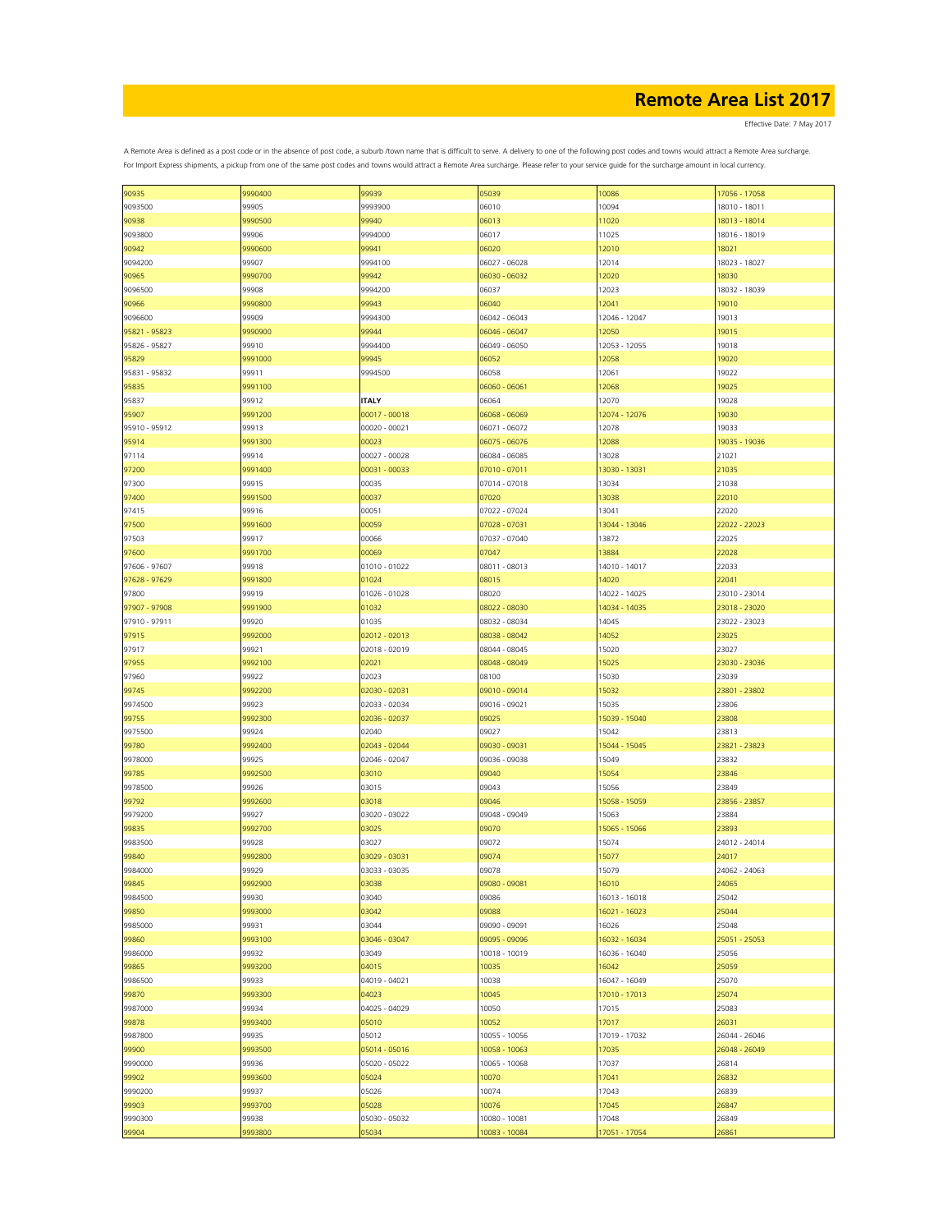Effective Date: 7 May 2017

| 90935         | 9990400 | 99939         | 05039         | 10086         | 17056 - 17058 |
|---------------|---------|---------------|---------------|---------------|---------------|
| 9093500       | 99905   | 9993900       | 06010         | 10094         | 18010 - 18011 |
| 90938         | 9990500 | 99940         | 06013         | 11020         | 18013 - 18014 |
|               |         |               |               |               |               |
| 9093800       | 99906   | 9994000       | 06017         | 11025         | 18016 - 18019 |
| 90942         | 9990600 | 99941         | 06020         | 12010         | 18021         |
| 9094200       | 99907   | 9994100       | 06027 - 06028 | 12014         | 18023 - 18027 |
|               |         |               |               |               |               |
| 90965         | 9990700 | 99942         | 06030 - 06032 | 12020         | 18030         |
| 9096500       | 99908   | 9994200       | 06037         | 12023         | 18032 - 18039 |
| 90966         | 9990800 | 99943         | 06040         | 12041         | 19010         |
|               |         |               |               |               |               |
| 9096600       | 99909   | 9994300       | 06042 - 06043 | 12046 - 12047 | 19013         |
| 95821 - 95823 | 9990900 | 99944         | 06046 - 06047 | 12050         | 19015         |
| 95826 - 95827 | 99910   | 9994400       | 06049 - 06050 | 12053 - 12055 | 19018         |
|               |         |               |               |               |               |
| 95829         | 9991000 | 99945         | 06052         | 12058         | 19020         |
| 95831 - 95832 | 99911   | 9994500       | 06058         | 12061         | 19022         |
| 95835         | 9991100 |               | 06060 - 06061 | 12068         | 19025         |
| 95837         | 99912   | <b>ITALY</b>  | 06064         | 12070         | 19028         |
|               |         |               |               |               |               |
| 95907         | 9991200 | 00017 - 00018 | 06068 - 06069 | 12074 - 12076 | 19030         |
| 95910 - 95912 | 99913   | 00020 - 00021 | 06071 - 06072 | 12078         | 19033         |
|               | 9991300 | 00023         | 06075 - 06076 | 12088         | 19035 - 19036 |
| 95914         |         |               |               |               |               |
| 97114         | 99914   | 00027 - 00028 | 06084 - 06085 | 13028         | 21021         |
| 97200         | 9991400 | 00031 - 00033 | 07010 - 07011 | 13030 - 13031 | 21035         |
| 97300         | 99915   | 00035         | 07014 - 07018 | 13034         | 21038         |
|               |         |               |               |               |               |
| 97400         | 9991500 | 00037         | 07020         | 13038         | 22010         |
| 97415         | 99916   | 00051         | 07022 - 07024 | 13041         | 22020         |
| 97500         | 9991600 | 00059         |               |               | 22022 - 22023 |
|               |         |               | 07028 - 07031 | 13044 - 13046 |               |
| 97503         | 99917   | 00066         | 07037 - 07040 | 13872         | 22025         |
| 97600         | 9991700 | 00069         | 07047         | 13884         | 22028         |
|               |         |               |               |               |               |
| 97606 - 97607 | 99918   | 01010 - 01022 | 08011 - 08013 | 14010 - 14017 | 22033         |
| 97628 - 97629 | 9991800 | 01024         | 08015         | 14020         | 22041         |
| 97800         | 99919   | 01026 - 01028 | 08020         | 14022 - 14025 | 23010 - 23014 |
|               |         |               |               |               |               |
| 97907 - 97908 | 9991900 | 01032         | 08022 - 08030 | 14034 - 14035 | 23018 - 23020 |
| 97910 - 97911 | 99920   | 01035         | 08032 - 08034 | 14045         | 23022 - 23023 |
| 97915         | 9992000 | 02012 - 02013 | 08038 - 08042 | 14052         | 23025         |
|               |         |               |               |               |               |
| 97917         | 99921   | 02018 - 02019 | 08044 - 08045 | 15020         | 23027         |
| 97955         | 9992100 | 02021         | 08048 - 08049 | 15025         | 23030 - 23036 |
| 97960         | 99922   | 02023         | 08100         | 15030         | 23039         |
|               |         |               |               |               |               |
| 99745         | 9992200 | 02030 - 02031 | 09010 - 09014 | 15032         | 23801 - 23802 |
| 9974500       | 99923   | 02033 - 02034 | 09016 - 09021 | 15035         | 23806         |
| 99755         | 9992300 | 02036 - 02037 | 09025         | 15039 - 15040 | 23808         |
| 9975500       | 99924   | 02040         | 09027         | 15042         | 23813         |
|               |         |               |               |               |               |
| 99780         | 9992400 | 02043 - 02044 | 09030 - 09031 | 15044 - 15045 | 23821 - 23823 |
| 9978000       | 99925   | 02046 - 02047 | 09036 - 09038 | 15049         | 23832         |
|               |         |               |               | 15054         |               |
| 99785         | 9992500 | 03010         | 09040         |               | 23846         |
| 9978500       | 99926   | 03015         | 09043         | 15056         | 23849         |
| 99792         | 9992600 | 03018         | 09046         | 15058 - 15059 | 23856 - 23857 |
|               | 99927   |               | 09048 - 09049 | 15063         | 23884         |
| 9979200       |         | 03020 - 03022 |               |               |               |
| 99835         | 9992700 | 03025         | 09070         | 15065 - 15066 | 23893         |
| 9983500       | 99928   | 03027         | 09072         | 15074         | 24012 - 24014 |
| 99840         | 9992800 | 03029 - 03031 | 09074         | 15077         | 24017         |
|               |         |               |               |               |               |
| 9984000       | 99929   | 03033 - 03035 | 09078         | 15079         | 24062 - 24063 |
| 99845         | 9992900 | 03038         | 09080 - 09081 | 16010         | 24065         |
| 9984500       | 99930   | 03040         | 09086         | 16013 - 16018 | 25042         |
|               |         |               |               |               |               |
| 99850         | 9993000 | 03042         | 09088         | 16021 - 16023 | 25044         |
| 9985000       | 99931   | 03044         | 09090 - 09091 | 16026         | 25048         |
| 99860         | 9993100 | 03046 - 03047 | 09095 - 09096 | 16032 - 16034 | 25051 - 25053 |
|               |         |               |               |               |               |
| 9986000       | 99932   | 03049         | 10018 - 10019 | 16036 - 16040 | 25056         |
| 99865         | 9993200 | 04015         | 10035         | 16042         | 25059         |
| 9986500       | 99933   | 04019 - 04021 | 10038         | 16047 - 16049 | 25070         |
|               |         |               |               |               |               |
| 99870         | 9993300 | 04023         | 10045         | 17010 - 17013 | 25074         |
| 9987000       | 99934   | 04025 - 04029 | 10050         | 17015         | 25083         |
| 99878         | 9993400 | 05010         | 10052         | 17017         | 26031         |
|               |         |               |               |               |               |
| 9987800       | 99935   | 05012         | 10055 - 10056 | 17019 - 17032 | 26044 - 26046 |
| 99900         | 9993500 | 05014 - 05016 | 10058 - 10063 | 17035         | 26048 - 26049 |
| 9990000       | 99936   | 05020 - 05022 | 10065 - 10068 | 17037         | 26814         |
|               |         |               |               |               |               |
| 99902         | 9993600 | 05024         | 10070         | 17041         | 26832         |
| 9990200       | 99937   | 05026         | 10074         | 17043         | 26839         |
| 99903         | 9993700 | 05028         | 10076         | 17045         | 26847         |
|               |         |               |               |               |               |
| 9990300       | 99938   | 05030 - 05032 | 10080 - 10081 | 17048         | 26849         |
| 99904         | 9993800 | 05034         | 10083 - 10084 | 17051 - 17054 | 26861         |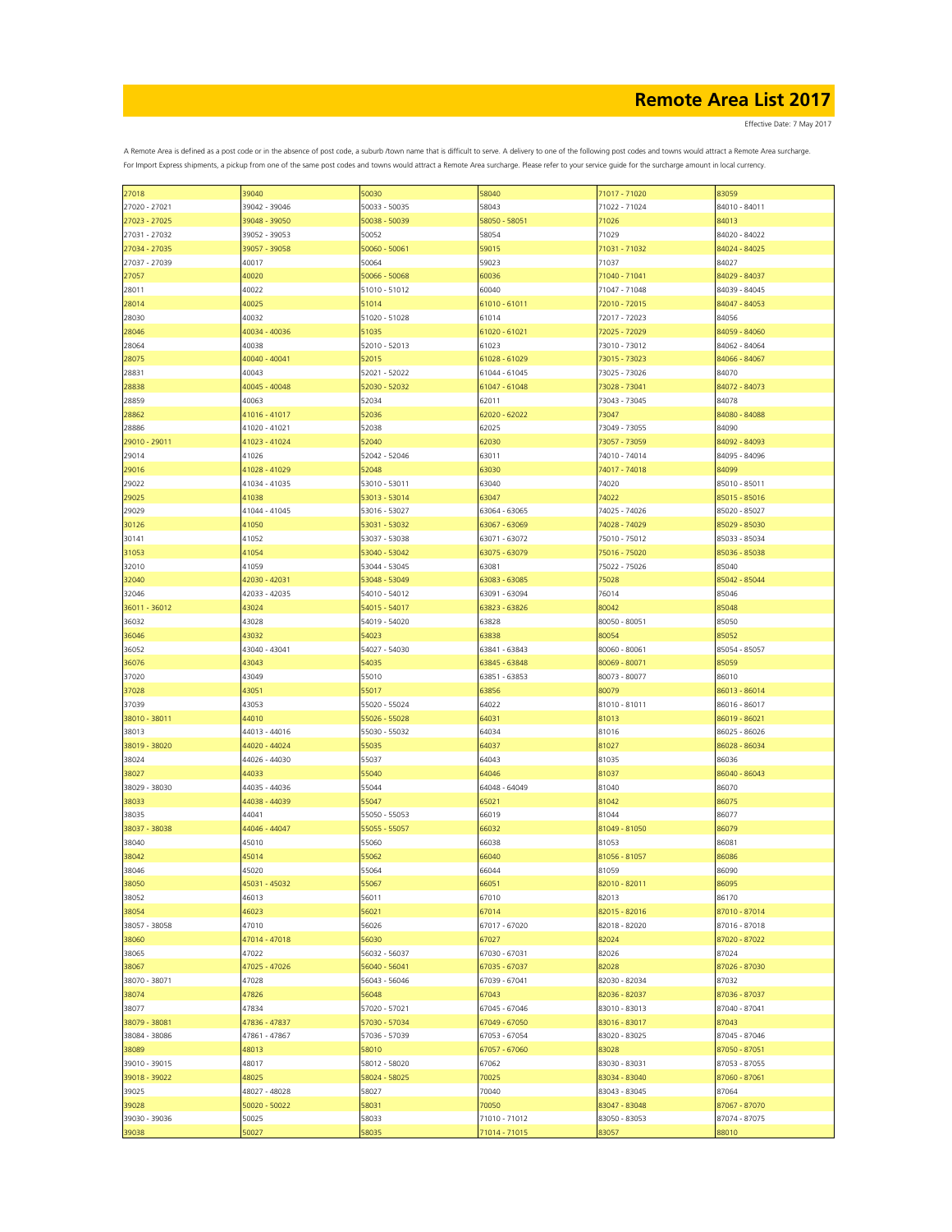Effective Date: 7 May 2017

| 27018         | 39040         | 50030         | 58040         | 71017 - 71020 | 83059         |
|---------------|---------------|---------------|---------------|---------------|---------------|
| 27020 - 27021 | 39042 - 39046 | 50033 - 50035 | 58043         | 71022 - 71024 | 84010 - 84011 |
|               |               |               |               |               |               |
| 27023 - 27025 | 39048 - 39050 | 50038 - 50039 | 58050 - 58051 | 71026         | 84013         |
| 27031 - 27032 | 39052 - 39053 | 50052         | 58054         | 71029         | 84020 - 84022 |
|               |               |               |               |               |               |
| 27034 - 27035 | 39057 - 39058 | 50060 - 50061 | 59015         | 71031 - 71032 | 84024 - 84025 |
| 27037 - 27039 | 40017         | 50064         | 59023         | 71037         | 84027         |
|               |               |               |               |               |               |
| 27057         | 40020         | 50066 - 50068 | 60036         | 71040 - 71041 | 84029 - 84037 |
| 28011         | 40022         | 51010 - 51012 | 60040         | 71047 - 71048 | 84039 - 84045 |
|               |               |               |               |               |               |
| 28014         | 40025         | 51014         | 61010 - 61011 | 72010 - 72015 | 84047 - 84053 |
| 28030         | 40032         | 51020 - 51028 | 61014         | 72017 - 72023 | 84056         |
|               |               |               |               |               |               |
| 28046         | 40034 - 40036 | 51035         | 61020 - 61021 | 72025 - 72029 | 84059 - 84060 |
| 28064         | 40038         | 52010 - 52013 | 61023         | 73010 - 73012 | 84062 - 84064 |
|               | 40040 - 40041 |               | 61028 - 61029 |               |               |
| 28075         |               | 52015         |               | 73015 - 73023 | 84066 - 84067 |
| 28831         | 40043         | 52021 - 52022 | 61044 - 61045 | 73025 - 73026 | 84070         |
| 28838         | 40045 - 40048 | 52030 - 52032 | 61047 - 61048 | 73028 - 73041 | 84072 - 84073 |
|               |               |               |               |               |               |
| 28859         | 40063         | 52034         | 62011         | 73043 - 73045 | 84078         |
|               |               |               |               |               | 84080 - 84088 |
| 28862         | 41016 - 41017 | 52036         | 62020 - 62022 | 73047         |               |
| 28886         | 41020 - 41021 | 52038         | 62025         | 73049 - 73055 | 84090         |
|               |               |               |               |               |               |
| 29010 - 29011 | 41023 - 41024 | 52040         | 62030         | 73057 - 73059 | 84092 - 84093 |
| 29014         | 41026         | 52042 - 52046 | 63011         | 74010 - 74014 | 84095 - 84096 |
|               |               |               |               |               |               |
| 29016         | 41028 - 41029 | 52048         | 63030         | 74017 - 74018 | 84099         |
| 29022         | 41034 - 41035 | 53010 - 53011 | 63040         | 74020         | 85010 - 85011 |
|               |               |               |               |               |               |
| 29025         | 41038         | 53013 - 53014 | 63047         | 74022         | 85015 - 85016 |
| 29029         | 41044 - 41045 | 53016 - 53027 | 63064 - 63065 | 74025 - 74026 | 85020 - 85027 |
|               |               |               |               |               |               |
| 30126         | 41050         | 53031 - 53032 | 63067 - 63069 | 74028 - 74029 | 85029 - 85030 |
| 30141         | 41052         | 53037 - 53038 | 63071 - 63072 | 75010 - 75012 | 85033 - 85034 |
|               |               |               |               |               |               |
| 31053         | 41054         | 53040 - 53042 | 63075 - 63079 | 75016 - 75020 | 85036 - 85038 |
| 32010         | 41059         | 53044 - 53045 | 63081         | 75022 - 75026 | 85040         |
|               |               |               |               |               |               |
| 32040         | 42030 - 42031 | 53048 - 53049 | 63083 - 63085 | 75028         | 85042 - 85044 |
| 32046         | 42033 - 42035 | 54010 - 54012 | 63091 - 63094 | 76014         | 85046         |
|               |               |               |               |               |               |
| 36011 - 36012 | 43024         | 54015 - 54017 | 63823 - 63826 | 80042         | 85048         |
| 36032         | 43028         | 54019 - 54020 | 63828         | 80050 - 80051 | 85050         |
|               |               |               |               |               |               |
| 36046         | 43032         | 54023         | 63838         | 80054         | 85052         |
| 36052         | 43040 - 43041 | 54027 - 54030 | 63841 - 63843 | 80060 - 80061 | 85054 - 85057 |
|               |               |               |               |               |               |
| 36076         | 43043         | 54035         | 63845 - 63848 | 80069 - 80071 | 85059         |
| 37020         | 43049         | 55010         | 63851 - 63853 | 80073 - 80077 | 86010         |
|               |               |               |               |               |               |
| 37028         | 43051         | 55017         | 63856         | 80079         | 86013 - 86014 |
| 37039         | 43053         | 55020 - 55024 | 64022         | 81010 - 81011 | 86016 - 86017 |
|               |               |               |               |               |               |
| 38010 - 38011 | 44010         | 55026 - 55028 | 64031         | 81013         | 86019 - 86021 |
| 38013         | 44013 - 44016 | 55030 - 55032 | 64034         | 81016         | 86025 - 86026 |
|               |               |               |               |               |               |
| 38019 - 38020 | 44020 - 44024 | 55035         | 64037         | 81027         | 86028 - 86034 |
| 38024         | 44026 - 44030 | 55037         | 64043         | 81035         | 86036         |
|               |               |               |               |               |               |
| 38027         | 44033         | 55040         | 64046         | 81037         | 86040 - 86043 |
| 38029 - 38030 | 44035 - 44036 | 55044         | 64048 - 64049 | 81040         | 86070         |
|               |               |               |               |               |               |
| 38033         | 44038 - 44039 | 55047         | 65021         | 81042         | 86075         |
| 38035         | 44041         | 55050 - 55053 | 66019         | 81044         | 86077         |
|               |               |               |               |               |               |
| 38037 - 38038 | 44046 - 44047 | 55055 - 55057 | 66032         | 81049 - 81050 | 86079         |
| 38040         | 45010         | 55060         | 66038         | 81053         | 86081         |
|               |               |               |               |               |               |
| 38042         | 45014         | 55062         | 66040         | 81056 - 81057 | 86086         |
| 38046         | 45020         | 55064         | 66044         | 81059         | 86090         |
|               |               |               |               |               |               |
| 38050         | 45031 - 45032 | 55067         | 66051         | 82010 - 82011 | 86095         |
| 38052         | 46013         | 56011         | 67010         | 82013         | 86170         |
|               |               |               |               |               |               |
| 38054         | 46023         | 56021         | 67014         | 82015 - 82016 | 87010 - 87014 |
| 38057 - 38058 | 47010         | 56026         | 67017 - 67020 | 82018 - 82020 | 87016 - 87018 |
|               |               |               |               |               |               |
| 38060         | 47014 - 47018 | 56030         | 67027         | 82024         | 87020 - 87022 |
| 38065         | 47022         | 56032 - 56037 | 67030 - 67031 | 82026         | 87024         |
|               |               |               |               |               |               |
| 38067         | 47025 - 47026 | 56040 - 56041 | 67035 - 67037 | 82028         | 87026 - 87030 |
| 38070 - 38071 | 47028         | 56043 - 56046 | 67039 - 67041 | 82030 - 82034 | 87032         |
|               |               |               |               |               |               |
| 38074         | 47826         | 56048         | 67043         | 82036 - 82037 | 87036 - 87037 |
| 38077         | 47834         | 57020 - 57021 | 67045 - 67046 | 83010 - 83013 | 87040 - 87041 |
|               |               |               |               |               |               |
| 38079 - 38081 | 47836 - 47837 | 57030 - 57034 | 67049 - 67050 | 83016 - 83017 | 87043         |
| 38084 - 38086 | 47861 - 47867 | 57036 - 57039 | 67053 - 67054 | 83020 - 83025 | 87045 - 87046 |
|               |               |               |               |               |               |
| 38089         | 48013         | 58010         | 67057 - 67060 | 83028         | 87050 - 87051 |
| 39010 - 39015 | 48017         | 58012 - 58020 | 67062         | 83030 - 83031 | 87053 - 87055 |
|               |               |               |               |               |               |
| 39018 - 39022 | 48025         | 58024 - 58025 | 70025         | 83034 - 83040 | 87060 - 87061 |
| 39025         | 48027 - 48028 | 58027         | 70040         | 83043 - 83045 | 87064         |
|               |               |               |               |               |               |
| 39028         | 50020 - 50022 | 58031         | 70050         | 83047 - 83048 | 87067 - 87070 |
| 39030 - 39036 | 50025         | 58033         | 71010 - 71012 | 83050 - 83053 | 87074 - 87075 |
|               |               |               |               |               | 88010         |
| 39038         | 50027         | 58035         | 71014 - 71015 | 83057         |               |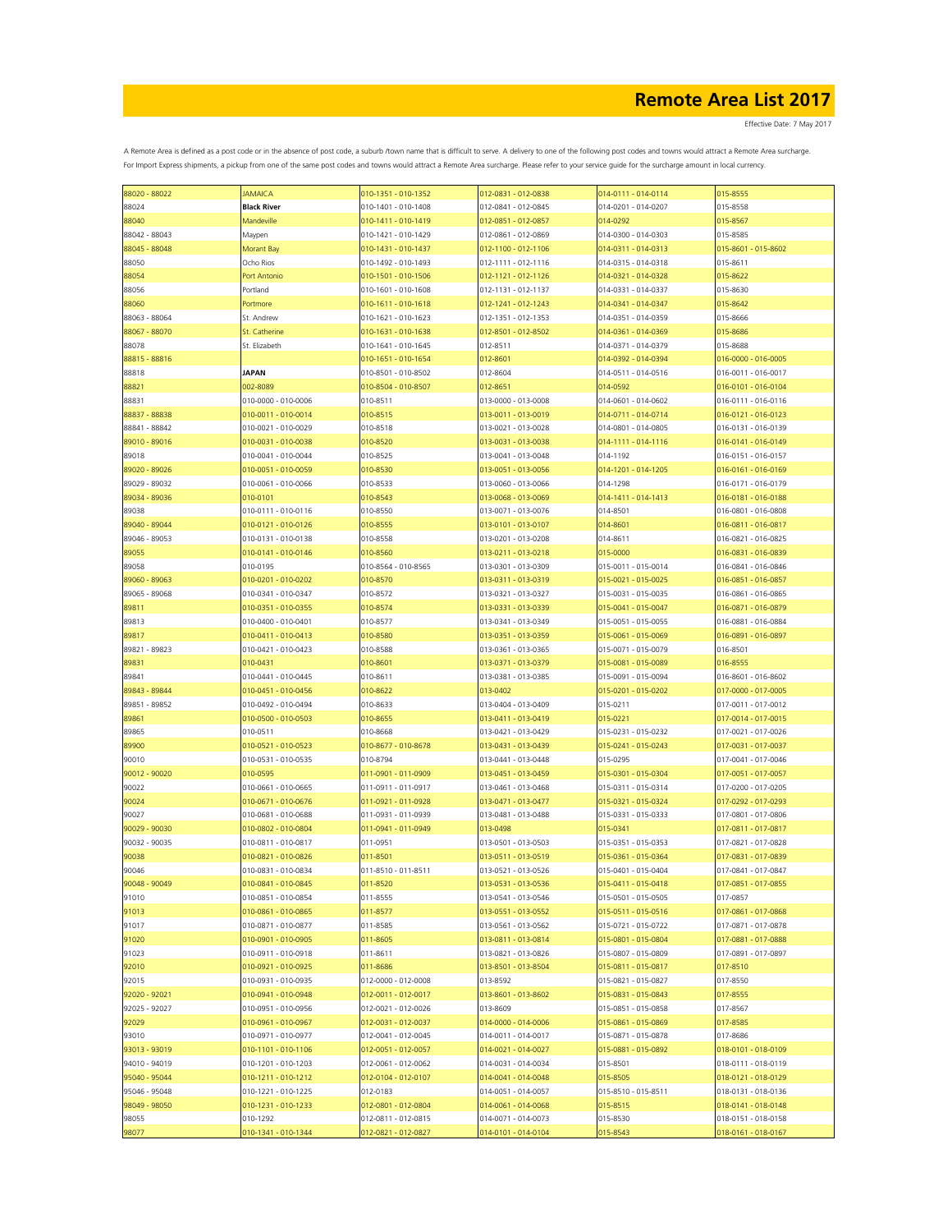Effective Date: 7 May 2017

| 88020 - 88022 | <b>JAMAICA</b>      | 010-1351 - 010-1352 | 012-0831 - 012-0838 | 014-0111 - 014-0114 | 015-8555            |
|---------------|---------------------|---------------------|---------------------|---------------------|---------------------|
| 88024         | <b>Black River</b>  | 010-1401 - 010-1408 | 012-0841 - 012-0845 | 014-0201 - 014-0207 | 015-8558            |
| 88040         | Mandeville          | 010-1411 - 010-1419 | 012-0851 - 012-0857 | 014-0292            | 015-8567            |
| 88042 - 88043 | Maypen              | 010-1421 - 010-1429 | 012-0861 - 012-0869 | 014-0300 - 014-0303 | 015-8585            |
|               |                     |                     |                     |                     |                     |
| 88045 - 88048 | Morant Bay          | 010-1431 - 010-1437 | 012-1100 - 012-1106 | 014-0311 - 014-0313 | 015-8601 - 015-8602 |
| 88050         | Ocho Rios           | 010-1492 - 010-1493 | 012-1111 - 012-1116 | 014-0315 - 014-0318 | 015-8611            |
| 88054         | Port Antonio        | 010-1501 - 010-1506 | 012-1121 - 012-1126 | 014-0321 - 014-0328 | 015-8622            |
| 88056         | Portland            | 010-1601 - 010-1608 | 012-1131 - 012-1137 | 014-0331 - 014-0337 | 015-8630            |
| 88060         | Portmore            | 010-1611 - 010-1618 | 012-1241 - 012-1243 | 014-0341 - 014-0347 | 015-8642            |
|               |                     |                     |                     |                     |                     |
| 88063 - 88064 | St. Andrew          | 010-1621 - 010-1623 | 012-1351 - 012-1353 | 014-0351 - 014-0359 | 015-8666            |
| 88067 - 88070 | St. Catherine       | 010-1631 - 010-1638 | 012-8501 - 012-8502 | 014-0361 - 014-0369 | 015-8686            |
| 88078         | St. Elizabeth       | 010-1641 - 010-1645 | 012-8511            | 014-0371 - 014-0379 | 015-8688            |
| 88815 - 88816 |                     | 010-1651 - 010-1654 | 012-8601            | 014-0392 - 014-0394 | 016-0000 - 016-0005 |
| 88818         | JAPAN               | 010-8501 - 010-8502 | 012-8604            | 014-0511 - 014-0516 | 016-0011 - 016-0017 |
| 88821         | 002-8089            | 010-8504 - 010-8507 | 012-8651            | 014-0592            | 016-0101 - 016-0104 |
|               |                     |                     |                     |                     |                     |
| 88831         | 010-0000 - 010-0006 | 010-8511            | 013-0000 - 013-0008 | 014-0601 - 014-0602 | 016-0111 - 016-0116 |
| 88837 - 88838 | 010-0011 - 010-0014 | 010-8515            | 013-0011 - 013-0019 | 014-0711 - 014-0714 | 016-0121 - 016-0123 |
| 88841 - 88842 | 010-0021 - 010-0029 | 010-8518            | 013-0021 - 013-0028 | 014-0801 - 014-0805 | 016-0131 - 016-0139 |
| 89010 - 89016 | 010-0031 - 010-0038 | 010-8520            | 013-0031 - 013-0038 | 014-1111 - 014-1116 | 016-0141 - 016-0149 |
| 89018         | 010-0041 - 010-0044 | 010-8525            | 013-0041 - 013-0048 | 014-1192            | 016-0151 - 016-0157 |
|               |                     |                     |                     |                     |                     |
| 89020 - 89026 | 010-0051 - 010-0059 | 010-8530            | 013-0051 - 013-0056 | 014-1201 - 014-1205 | 016-0161 - 016-0169 |
| 89029 - 89032 | 010-0061 - 010-0066 | 010-8533            | 013-0060 - 013-0066 | 014-1298            | 016-0171 - 016-0179 |
| 89034 - 89036 | 010-0101            | 010-8543            | 013-0068 - 013-0069 | 014-1411 - 014-1413 | 016-0181 - 016-0188 |
| 89038         | 010-0111 - 010-0116 | 010-8550            | 013-0071 - 013-0076 | 014-8501            | 016-0801 - 016-0808 |
|               | 010-0121 - 010-0126 | 010-8555            | 013-0101 - 013-0107 | 014-8601            | 016-0811 - 016-0817 |
| 89040 - 89044 |                     |                     |                     |                     |                     |
| 89046 - 89053 | 010-0131 - 010-0138 | 010-8558            | 013-0201 - 013-0208 | 014-8611            | 016-0821 - 016-0825 |
| 89055         | 010-0141 - 010-0146 | 010-8560            | 013-0211 - 013-0218 | 015-0000            | 016-0831 - 016-0839 |
| 89058         | 010-0195            | 010-8564 - 010-8565 | 013-0301 - 013-0309 | 015-0011 - 015-0014 | 016-0841 - 016-0846 |
| 89060 - 89063 | 010-0201 - 010-0202 | 010-8570            | 013-0311 - 013-0319 | 015-0021 - 015-0025 | 016-0851 - 016-0857 |
| 89065 - 89068 | 010-0341 - 010-0347 | 010-8572            | 013-0321 - 013-0327 | 015-0031 - 015-0035 | 016-0861 - 016-0865 |
|               |                     |                     |                     |                     |                     |
| 89811         | 010-0351 - 010-0355 | 010-8574            | 013-0331 - 013-0339 | 015-0041 - 015-0047 | 016-0871 - 016-0879 |
| 89813         | 010-0400 - 010-0401 | 010-8577            | 013-0341 - 013-0349 | 015-0051 - 015-0055 | 016-0881 - 016-0884 |
| 89817         | 010-0411 - 010-0413 | 010-8580            | 013-0351 - 013-0359 | 015-0061 - 015-0069 | 016-0891 - 016-0897 |
| 89821 - 89823 | 010-0421 - 010-0423 | 010-8588            | 013-0361 - 013-0365 | 015-0071 - 015-0079 | 016-8501            |
| 89831         | 010-0431            | 010-8601            | 013-0371 - 013-0379 | 015-0081 - 015-0089 | 016-8555            |
|               |                     |                     |                     |                     |                     |
| 89841         | 010-0441 - 010-0445 | 010-8611            | 013-0381 - 013-0385 | 015-0091 - 015-0094 | 016-8601 - 016-8602 |
| 89843 - 89844 | 010-0451 - 010-0456 | 010-8622            | 013-0402            | 015-0201 - 015-0202 | 017-0000 - 017-0005 |
| 89851 - 89852 | 010-0492 - 010-0494 | 010-8633            | 013-0404 - 013-0409 | 015-0211            | 017-0011 - 017-0012 |
| 89861         | 010-0500 - 010-0503 | 010-8655            | 013-0411 - 013-0419 | 015-0221            | 017-0014 - 017-0015 |
| 89865         | 010-0511            | 010-8668            | 013-0421 - 013-0429 | 015-0231 - 015-0232 | 017-0021 - 017-0026 |
|               |                     |                     |                     |                     |                     |
| 89900         | 010-0521 - 010-0523 | 010-8677 - 010-8678 | 013-0431 - 013-0439 | 015-0241 - 015-0243 | 017-0031 - 017-0037 |
| 90010         | 010-0531 - 010-0535 | 010-8794            | 013-0441 - 013-0448 | 015-0295            | 017-0041 - 017-0046 |
| 90012 - 90020 | 010-0595            | 011-0901 - 011-0909 | 013-0451 - 013-0459 | 015-0301 - 015-0304 | 017-0051 - 017-0057 |
| 90022         | 010-0661 - 010-0665 | 011-0911 - 011-0917 | 013-0461 - 013-0468 | 015-0311 - 015-0314 | 017-0200 - 017-0205 |
| 90024         | 010-0671 - 010-0676 | 011-0921 - 011-0928 | 013-0471 - 013-0477 | 015-0321 - 015-0324 | 017-0292 - 017-0293 |
| 90027         | 010-0681 - 010-0688 | 011-0931 - 011-0939 | 013-0481 - 013-0488 | 015-0331 - 015-0333 | 017-0801 - 017-0806 |
|               |                     |                     |                     |                     |                     |
| 90029 - 90030 | 010-0802 - 010-0804 | 011-0941 - 011-0949 | 013-0498            | 015-0341            | 017-0811 - 017-0817 |
| 90032 - 90035 | 010-0811 - 010-0817 | 011-0951            | 013-0501 - 013-0503 | 015-0351 - 015-0353 | 017-0821 - 017-0828 |
| 90038         | 010-0821 - 010-0826 | 011-8501            | 013-0511 - 013-0519 | 015-0361 - 015-0364 | 017-0831 - 017-0839 |
| 90046         | 010-0831 - 010-0834 | 011-8510 - 011-8511 | 013-0521 - 013-0526 | 015-0401 - 015-0404 | 017-0841 - 017-0847 |
| 90048 - 90049 | 010-0841 - 010-0845 | 011-8520            | 013-0531 - 013-0536 | 015-0411 - 015-0418 | 017-0851 - 017-0855 |
|               | 010-0851 - 010-0854 | 011-8555            | 013-0541 - 013-0546 |                     |                     |
| 91010         |                     |                     |                     | 015-0501 - 015-0505 | 017-0857            |
| 91013         | 010-0861 - 010-0865 | 011-8577            | 013-0551 - 013-0552 | 015-0511 - 015-0516 | 017-0861 - 017-0868 |
| 91017         | 010-0871 - 010-0877 | 011-8585            | 013-0561 - 013-0562 | 015-0721 - 015-0722 | 017-0871 - 017-0878 |
| 91020         | 010-0901 - 010-0905 | 011-8605            | 013-0811 - 013-0814 | 015-0801 - 015-0804 | 017-0881 - 017-0888 |
| 91023         | 010-0911 - 010-0918 | 011-8611            | 013-0821 - 013-0826 | 015-0807 - 015-0809 | 017-0891 - 017-0897 |
| 92010         | 010-0921 - 010-0925 | 011-8686            | 013-8501 - 013-8504 | 015-0811 - 015-0817 | 017-8510            |
|               |                     |                     |                     |                     |                     |
| 92015         | 010-0931 - 010-0935 | 012-0000 - 012-0008 | 013-8592            | 015-0821 - 015-0827 | 017-8550            |
| 92020 - 92021 | 010-0941 - 010-0948 | 012-0011 - 012-0017 | 013-8601 - 013-8602 | 015-0831 - 015-0843 | 017-8555            |
| 92025 - 92027 | 010-0951 - 010-0956 | 012-0021 - 012-0026 | 013-8609            | 015-0851 - 015-0858 | 017-8567            |
| 92029         | 010-0961 - 010-0967 | 012-0031 - 012-0037 | 014-0000 - 014-0006 | 015-0861 - 015-0869 | 017-8585            |
| 93010         | 010-0971 - 010-0977 | 012-0041 - 012-0045 | 014-0011 - 014-0017 | 015-0871 - 015-0878 | 017-8686            |
|               |                     |                     |                     |                     |                     |
| 93013 - 93019 | 010-1101 - 010-1106 | 012-0051 - 012-0057 | 014-0021 - 014-0027 | 015-0881 - 015-0892 | 018-0101 - 018-0109 |
| 94010 - 94019 | 010-1201 - 010-1203 | 012-0061 - 012-0062 | 014-0031 - 014-0034 | 015-8501            | 018-0111 - 018-0119 |
| 95040 - 95044 | 010-1211 - 010-1212 | 012-0104 - 012-0107 | 014-0041 - 014-0048 | 015-8505            | 018-0121 - 018-0129 |
| 95046 - 95048 | 010-1221 - 010-1225 | 012-0183            | 014-0051 - 014-0057 | 015-8510 - 015-8511 | 018-0131 - 018-0136 |
| 98049 - 98050 | 010-1231 - 010-1233 | 012-0801 - 012-0804 | 014-0061 - 014-0068 | 015-8515            | 018-0141 - 018-0148 |
|               |                     |                     |                     |                     |                     |
| 98055         | 010-1292            | 012-0811 - 012-0815 | 014-0071 - 014-0073 | 015-8530            | 018-0151 - 018-0158 |
| 98077         | 010-1341 - 010-1344 | 012-0821 - 012-0827 | 014-0101 - 014-0104 | 015-8543            | 018-0161 - 018-0167 |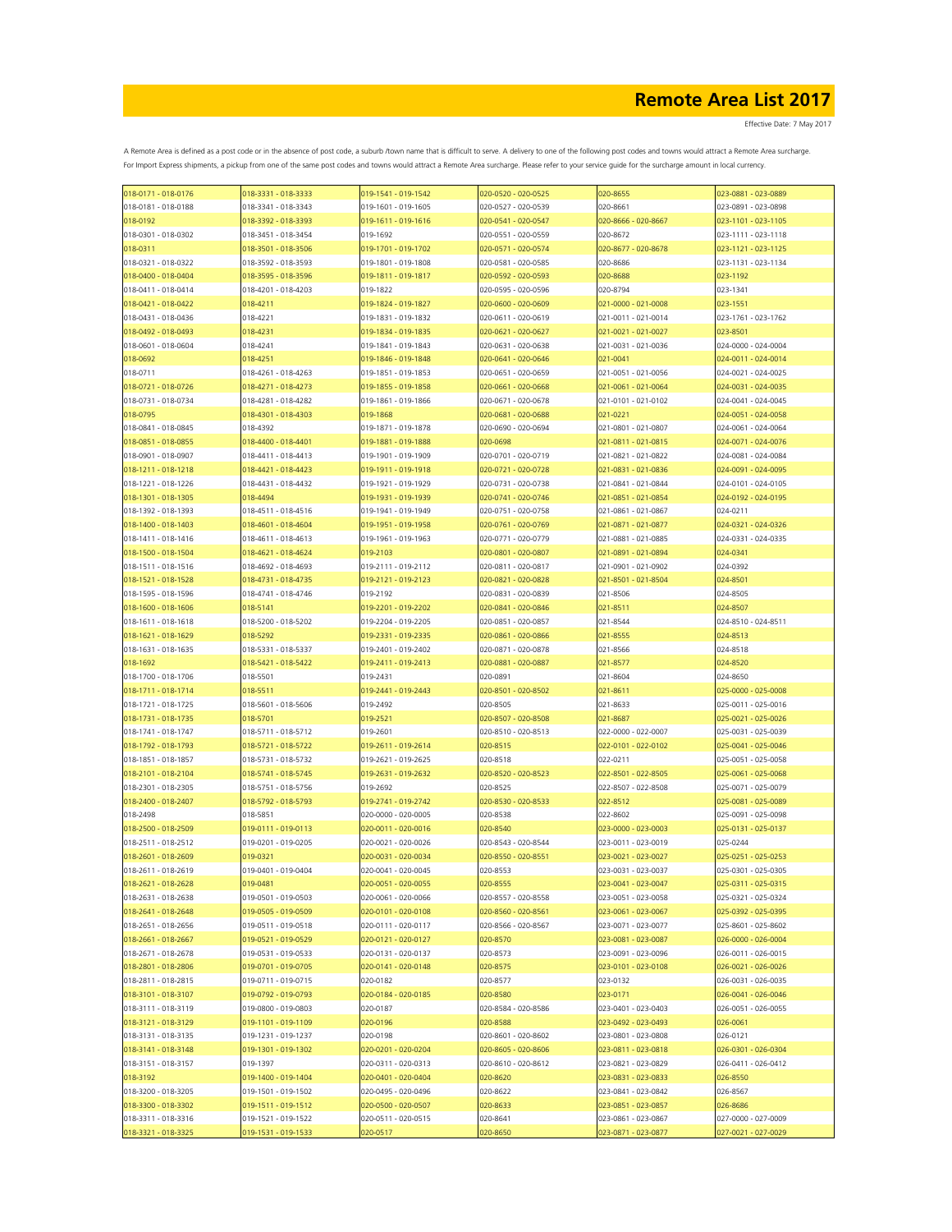Effective Date: 7 May 2017

| 018-0171 - 018-0176                        | 018-3331 - 018-3333             | 019-1541 - 019-1542                        | 020-0520 - 020-0525                        | 020-8655                                   | 023-0881 - 023-0889                        |
|--------------------------------------------|---------------------------------|--------------------------------------------|--------------------------------------------|--------------------------------------------|--------------------------------------------|
| 018-0181 - 018-0188                        | 018-3341 - 018-3343             | 019-1601 - 019-1605                        | 020-0527 - 020-0539                        | 020-8661                                   | 023-0891 - 023-0898                        |
| 018-0192                                   | 018-3392 - 018-3393             | 019-1611 - 019-1616                        | 020-0541 - 020-0547                        | 020-8666 - 020-8667                        | 023-1101 - 023-1105                        |
| 018-0301 - 018-0302                        | 018-3451 - 018-3454             | 019-1692                                   | 020-0551 - 020-0559                        | 020-8672                                   | 023-1111 - 023-1118                        |
| 018-0311                                   | 018-3501 - 018-3506             | 019-1701 - 019-1702                        | 020-0571 - 020-0574                        | 020-8677 - 020-8678                        | 023-1121 - 023-1125                        |
| 018-0321 - 018-0322                        | 018-3592 - 018-3593             | 019-1801 - 019-1808                        | 020-0581 - 020-0585                        | 020-8686                                   | 023-1131 - 023-1134                        |
| 018-0400 - 018-0404                        | 018-3595 - 018-3596             | 019-1811 - 019-1817                        | 020-0592 - 020-0593                        | 020-8688                                   | 023-1192                                   |
| 018-0411 - 018-0414                        | 018-4201 - 018-4203             | 019-1822                                   | 020-0595 - 020-0596                        | 020-8794                                   | 023-1341                                   |
| 018-0421 - 018-0422                        | 018-4211                        | 019-1824 - 019-1827                        | 020-0600 - 020-0609                        | 021-0000 - 021-0008                        | 023-1551                                   |
| 018-0431 - 018-0436                        | 018-4221                        | 019-1831 - 019-1832                        | 020-0611 - 020-0619                        | 021-0011 - 021-0014                        | 023-1761 - 023-1762                        |
| 018-0492 - 018-0493                        | 018-4231                        | 019-1834 - 019-1835                        | 020-0621 - 020-0627                        | 021-0021 - 021-0027                        | 023-8501                                   |
| 018-0601 - 018-0604                        | 018-4241                        | 019-1841 - 019-1843                        | 020-0631 - 020-0638                        | 021-0031 - 021-0036                        | 024-0000 - 024-0004                        |
| 018-0692                                   | 018-4251                        | 019-1846 - 019-1848                        | 020-0641 - 020-0646                        | 021-0041                                   | 024-0011 - 024-0014                        |
| 018-0711                                   | 018-4261 - 018-4263             | 019-1851 - 019-1853                        | 020-0651 - 020-0659                        | 021-0051 - 021-0056                        | 024-0021 - 024-0025                        |
| 018-0721 - 018-0726                        | 018-4271 - 018-4273             | 019-1855 - 019-1858                        | 020-0661 - 020-0668                        | 021-0061 - 021-0064                        | 024-0031 - 024-0035                        |
| 018-0731 - 018-0734                        | 018-4281 - 018-4282             | 019-1861 - 019-1866                        | 020-0671 - 020-0678                        | 021-0101 - 021-0102                        | 024-0041 - 024-0045                        |
| 018-0795                                   | 018-4301 - 018-4303             | 019-1868                                   | 020-0681 - 020-0688                        | 021-0221                                   | 024-0051 - 024-0058                        |
| 018-0841 - 018-0845                        | 018-4392                        | 019-1871 - 019-1878                        | 020-0690 - 020-0694                        | 021-0801 - 021-0807                        | 024-0061 - 024-0064                        |
| 018-0851 - 018-0855                        | 018-4400 - 018-4401             | 019-1881 - 019-1888                        | 020-0698                                   | 021-0811 - 021-0815                        | 024-0071 - 024-0076                        |
| 018-0901 - 018-0907                        | 018-4411 - 018-4413             | 019-1901 - 019-1909                        | 020-0701 - 020-0719                        | 021-0821 - 021-0822                        | 024-0081 - 024-0084                        |
| 018-1211 - 018-1218                        | 018-4421 - 018-4423             | 019-1911 - 019-1918                        | 020-0721 - 020-0728                        | 021-0831 - 021-0836                        | 024-0091 - 024-0095                        |
| 018-1221 - 018-1226                        | 018-4431 - 018-4432             | 019-1921 - 019-1929                        | 020-0731 - 020-0738                        | 021-0841 - 021-0844                        | 024-0101 - 024-0105                        |
| 018-1301 - 018-1305                        | 018-4494                        | 019-1931 - 019-1939                        | 020-0741 - 020-0746                        | 021-0851 - 021-0854                        | 024-0192 - 024-0195                        |
| 018-1392 - 018-1393                        | 018-4511 - 018-4516             | 019-1941 - 019-1949                        | 020-0751 - 020-0758                        | 021-0861 - 021-0867                        | 024-0211                                   |
| 018-1400 - 018-1403                        | 018-4601 - 018-4604             | 019-1951 - 019-1958                        | 020-0761 - 020-0769                        | 021-0871 - 021-0877                        | 024-0321 - 024-0326                        |
| 018-1411 - 018-1416                        | 018-4611 - 018-4613             | 019-1961 - 019-1963                        | 020-0771 - 020-0779                        | 021-0881 - 021-0885                        | 024-0331 - 024-0335                        |
| 018-1500 - 018-1504                        | 018-4621 - 018-4624             | 019-2103                                   | 020-0801 - 020-0807                        | 021-0891 - 021-0894                        | 024-0341                                   |
| 018-1511 - 018-1516                        | 018-4692 - 018-4693             | 019-2111 - 019-2112                        | 020-0811 - 020-0817                        | 021-0901 - 021-0902                        | 024-0392                                   |
| 018-1521 - 018-1528                        | 018-4731 - 018-4735             | 019-2121 - 019-2123                        | 020-0821 - 020-0828                        | 021-8501 - 021-8504                        | 024-8501                                   |
| 018-1595 - 018-1596                        | 018-4741 - 018-4746             | 019-2192                                   | 020-0831 - 020-0839                        | 021-8506                                   | 024-8505                                   |
| 018-1600 - 018-1606                        | 018-5141                        | 019-2201 - 019-2202                        | 020-0841 - 020-0846                        | 021-8511                                   | 024-8507                                   |
| 018-1611 - 018-1618                        | 018-5200 - 018-5202             | 019-2204 - 019-2205                        | 020-0851 - 020-0857                        | 021-8544                                   | 024-8510 - 024-8511                        |
| 018-1621 - 018-1629                        | 018-5292                        | 019-2331 - 019-2335                        | 020-0861 - 020-0866                        | 021-8555                                   | 024-8513                                   |
| 018-1631 - 018-1635                        | 018-5331 - 018-5337             | 019-2401 - 019-2402                        | 020-0871 - 020-0878                        | 021-8566                                   | 024-8518                                   |
| 018-1692                                   | 018-5421 - 018-5422             | 019-2411 - 019-2413                        | 020-0881 - 020-0887                        | 021-8577                                   | 024-8520                                   |
| 018-1700 - 018-1706                        | 018-5501                        | 019-2431                                   | 020-0891                                   | 021-8604                                   | 024-8650                                   |
| 018-1711 - 018-1714                        | 018-5511                        | 019-2441 - 019-2443                        | 020-8501 - 020-8502                        | 021-8611                                   | 025-0000 - 025-0008                        |
| 018-1721 - 018-1725                        | 018-5601 - 018-5606             | 019-2492                                   | 020-8505                                   | 021-8633                                   | 025-0011 - 025-0016                        |
| 018-1731 - 018-1735                        | 018-5701                        | 019-2521                                   | 020-8507 - 020-8508                        | 021-8687                                   | 025-0021 - 025-0026                        |
| 018-1741 - 018-1747                        | 018-5711 - 018-5712             | 019-2601                                   | 020-8510 - 020-8513                        | 022-0000 - 022-0007                        | 025-0031 - 025-0039                        |
| 018-1792 - 018-1793                        | 018-5721 - 018-5722             | 019-2611 - 019-2614                        | 020-8515                                   | 022-0101 - 022-0102                        | 025-0041 - 025-0046                        |
| 018-1851 - 018-1857                        | 018-5731 - 018-5732             | 019-2621 - 019-2625                        | 020-8518                                   | 022-0211                                   | 025-0051 - 025-0058                        |
| 018-2101 - 018-2104                        | 018-5741 - 018-5745             | 019-2631 - 019-2632                        | 020-8520 - 020-8523                        | 022-8501 - 022-8505                        | 025-0061 - 025-0068                        |
| 018-2301 - 018-2305                        | 018-5751 - 018-5756             | 019-2692                                   | 020-8525                                   | 022-8507 - 022-8508                        | 025-0071 - 025-0079                        |
| 018-2400 - 018-2407                        | 018-5792 - 018-5793             | 019-2741 - 019-2742                        | 020-8530 - 020-8533                        | 022-8512                                   | 025-0081 - 025-0089                        |
| 018-2498                                   | 018-5851                        | 020-0000 - 020-0005                        | 020-8538                                   | 022-8602                                   | 025-0091 - 025-0098                        |
| 018-2500 - 018-2509                        | 019-0111 - 019-0113             | 020-0011 - 020-0016                        | 020-8540                                   | 023-0000 - 023-0003                        | 025-0131 - 025-0137                        |
| 018-2511 - 018-2512                        | 019-0201 - 019-0205             | 020-0021 - 020-0026                        | 020-8543 - 020-8544                        | 023-0011 - 023-0019                        | 025-0244                                   |
| 018-2601 - 018-2609                        | 019-0321                        | 020-0031 - 020-0034                        | 020-8550 - 020-8551                        | 023-0021 - 023-0027                        | 025-0251 - 025-0253                        |
| 018-2611 - 018-2619                        | 019-0401 - 019-0404             | 020-0041 - 020-0045                        | 020-8553                                   | 023-0031 - 023-0037                        | 025-0301 - 025-0305                        |
| 018-2621 - 018-2628                        | 019-0481                        | 020-0051 - 020-0055                        | 020-8555                                   | 023-0041 - 023-0047                        | 025-0311 - 025-0315                        |
| 018-2631 - 018-2638                        | 019-0501 - 019-0503             | 020-0061 - 020-0066                        | 020-8557 - 020-8558                        | 023-0051 - 023-0058                        | 025-0321 - 025-0324                        |
| 018-2641 - 018-2648                        | 019-0505 - 019-0509             | 020-0101 - 020-0108                        | 020-8560 - 020-8561                        | 023-0061 - 023-0067                        | 025-0392 - 025-0395                        |
| 018-2651 - 018-2656                        | 019-0511 - 019-0518             | 020-0111 - 020-0117                        | 020-8566 - 020-8567                        | 023-0071 - 023-0077                        | 025-8601 - 025-8602                        |
| 018-2661 - 018-2667                        | 019-0521 - 019-0529             | 020-0121 - 020-0127                        | 020-8570                                   | 023-0081 - 023-0087                        | 026-0000 - 026-0004                        |
| 018-2671 - 018-2678                        | 019-0531 - 019-0533             | 020-0131 - 020-0137                        | 020-8573                                   | 023-0091 - 023-0096                        | 026-0011 - 026-0015                        |
| 018-2801 - 018-2806                        | 019-0701 - 019-0705             | 020-0141 - 020-0148                        | 020-8575                                   | 023-0101 - 023-0108                        | 026-0021 - 026-0026                        |
| 018-2811 - 018-2815                        | 019-0711 - 019-0715             | 020-0182                                   | 020-8577                                   | 023-0132                                   | 026-0031 - 026-0035                        |
| 018-3101 - 018-3107                        | 019-0792 - 019-0793             | 020-0184 - 020-0185                        | 020-8580                                   | 023-0171                                   | 026-0041 - 026-0046                        |
| 018-3111 - 018-3119                        | 019-0800 - 019-0803             | 020-0187                                   | 020-8584 - 020-8586                        | 023-0401 - 023-0403                        | 026-0051 - 026-0055                        |
| 018-3121 - 018-3129                        | 019-1101 - 019-1109             | 020-0196                                   | 020-8588                                   | 023-0492 - 023-0493                        | 026-0061                                   |
| 018-3131 - 018-3135                        | 019-1231 - 019-1237             | 020-0198                                   | 020-8601 - 020-8602                        | 023-0801 - 023-0808                        | 026-0121                                   |
| 018-3141 - 018-3148                        | 019-1301 - 019-1302<br>019-1397 | 020-0201 - 020-0204<br>020-0311 - 020-0313 | 020-8605 - 020-8606<br>020-8610 - 020-8612 | 023-0811 - 023-0818<br>023-0821 - 023-0829 | 026-0301 - 026-0304<br>026-0411 - 026-0412 |
| 018-3151 - 018-3157<br>018-3192            | 019-1400 - 019-1404             | 020-0401 - 020-0404                        | 020-8620                                   |                                            | 026-8550                                   |
|                                            | 019-1501 - 019-1502             |                                            |                                            | 023-0831 - 023-0833<br>023-0841 - 023-0842 |                                            |
| 018-3200 - 018-3205<br>018-3300 - 018-3302 | 019-1511 - 019-1512             | 020-0495 - 020-0496<br>020-0500 - 020-0507 | 020-8622<br>020-8633                       | 023-0851 - 023-0857                        | 026-8567                                   |
| 018-3311 - 018-3316                        | 019-1521 - 019-1522             | 020-0511 - 020-0515                        | 020-8641                                   | 023-0861 - 023-0867                        | 026-8686<br>027-0000 - 027-0009            |
| 018-3321 - 018-3325                        | 019-1531 - 019-1533             | 020-0517                                   | 020-8650                                   | 023-0871 - 023-0877                        | 027-0021 - 027-0029                        |
|                                            |                                 |                                            |                                            |                                            |                                            |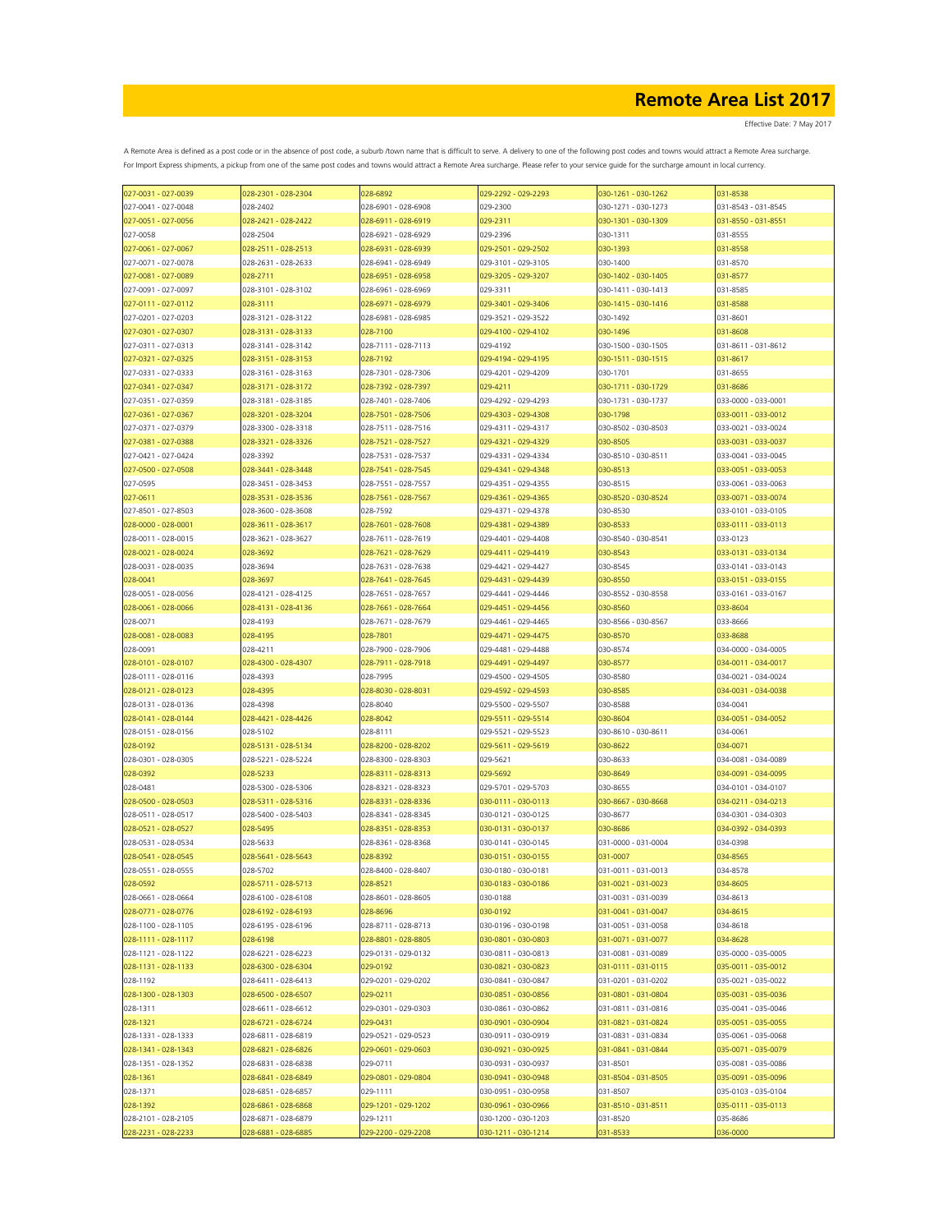| 027-0031 - 027-0039 | 028-2301 - 028-2304 | 028-6892            | 029-2292 - 029-2293 | 030-1261 - 030-1262 | 031-8538            |
|---------------------|---------------------|---------------------|---------------------|---------------------|---------------------|
| 027-0041 - 027-0048 | 028-2402            | 028-6901 - 028-6908 | 029-2300            | 030-1271 - 030-1273 | 031-8543 - 031-8545 |
| 027-0051 - 027-0056 | 028-2421 - 028-2422 | 028-6911 - 028-6919 | 029-2311            | 030-1301 - 030-1309 | 031-8550 - 031-8551 |
| 027-0058            | 028-2504            | 028-6921 - 028-6929 | 029-2396            | 030-1311            | 031-8555            |
|                     |                     |                     |                     |                     |                     |
| 027-0061 - 027-0067 | 028-2511 - 028-2513 | 028-6931 - 028-6939 | 029-2501 - 029-2502 | 030-1393            | 031-8558            |
| 027-0071 - 027-0078 | 028-2631 - 028-2633 | 028-6941 - 028-6949 | 029-3101 - 029-3105 | 030-1400            | 031-8570            |
| 027-0081 - 027-0089 | 028-2711            | 028-6951 - 028-6958 | 029-3205 - 029-3207 | 030-1402 - 030-1405 | 031-8577            |
| 027-0091 - 027-0097 | 028-3101 - 028-3102 | 028-6961 - 028-6969 | 029-3311            | 030-1411 - 030-1413 | 031-8585            |
| 027-0111 - 027-0112 | 028-3111            | 028-6971 - 028-6979 | 029-3401 - 029-3406 | 030-1415 - 030-1416 | 031-8588            |
|                     |                     |                     |                     |                     |                     |
| 027-0201 - 027-0203 | 028-3121 - 028-3122 | 028-6981 - 028-6985 | 029-3521 - 029-3522 | 030-1492            | 031-8601            |
| 027-0301 - 027-0307 | 028-3131 - 028-3133 | 028-7100            | 029-4100 - 029-4102 | 030-1496            | 031-8608            |
| 027-0311 - 027-0313 | 028-3141 - 028-3142 | 028-7111 - 028-7113 | 029-4192            | 030-1500 - 030-1505 | 031-8611 - 031-8612 |
| 027-0321 - 027-0325 | 028-3151 - 028-3153 | 028-7192            | 029-4194 - 029-4195 | 030-1511 - 030-1515 | 031-8617            |
| 027-0331 - 027-0333 | 028-3161 - 028-3163 | 028-7301 - 028-7306 | 029-4201 - 029-4209 | 030-1701            | 031-8655            |
| 027-0341 - 027-0347 | 028-3171 - 028-3172 | 028-7392 - 028-7397 | 029-4211            | 030-1711 - 030-1729 | 031-8686            |
|                     |                     |                     |                     |                     |                     |
| 027-0351 - 027-0359 | 028-3181 - 028-3185 | 028-7401 - 028-7406 | 029-4292 - 029-4293 | 030-1731 - 030-1737 | 033-0000 - 033-0001 |
| 027-0361 - 027-0367 | 028-3201 - 028-3204 | 028-7501 - 028-7506 | 029-4303 - 029-4308 | 030-1798            | 033-0011 - 033-0012 |
| 027-0371 - 027-0379 | 028-3300 - 028-3318 | 028-7511 - 028-7516 | 029-4311 - 029-4317 | 030-8502 - 030-8503 | 033-0021 - 033-0024 |
| 027-0381 - 027-0388 | 028-3321 - 028-3326 | 028-7521 - 028-7527 | 029-4321 - 029-4329 | 030-8505            | 033-0031 - 033-0037 |
| 027-0421 - 027-0424 | 028-3392            | 028-7531 - 028-7537 | 029-4331 - 029-4334 | 030-8510 - 030-8511 | 033-0041 - 033-0045 |
|                     |                     |                     |                     |                     |                     |
| 027-0500 - 027-0508 | 028-3441 - 028-3448 | 028-7541 - 028-7545 | 029-4341 - 029-4348 | 030-8513            | 033-0051 - 033-0053 |
| 027-0595            | 028-3451 - 028-3453 | 028-7551 - 028-7557 | 029-4351 - 029-4355 | 030-8515            | 033-0061 - 033-0063 |
| 027-0611            | 028-3531 - 028-3536 | 028-7561 - 028-7567 | 029-4361 - 029-4365 | 030-8520 - 030-8524 | 033-0071 - 033-0074 |
| 027-8501 - 027-8503 | 028-3600 - 028-3608 | 028-7592            | 029-4371 - 029-4378 | 030-8530            | 033-0101 - 033-0105 |
| 028-0000 - 028-0001 | 028-3611 - 028-3617 | 028-7601 - 028-7608 | 029-4381 - 029-4389 | 030-8533            | 033-0111 - 033-0113 |
|                     |                     |                     |                     |                     |                     |
| 028-0011 - 028-0015 | 028-3621 - 028-3627 | 028-7611 - 028-7619 | 029-4401 - 029-4408 | 030-8540 - 030-8541 | 033-0123            |
| 028-0021 - 028-0024 | 028-3692            | 028-7621 - 028-7629 | 029-4411 - 029-4419 | 030-8543            | 033-0131 - 033-0134 |
| 028-0031 - 028-0035 | 028-3694            | 028-7631 - 028-7638 | 029-4421 - 029-4427 | 030-8545            | 033-0141 - 033-0143 |
| 028-0041            | 028-3697            | 028-7641 - 028-7645 | 029-4431 - 029-4439 | 030-8550            | 033-0151 - 033-0155 |
| 028-0051 - 028-0056 | 028-4121 - 028-4125 | 028-7651 - 028-7657 | 029-4441 - 029-4446 | 030-8552 - 030-8558 | 033-0161 - 033-0167 |
|                     |                     |                     |                     |                     |                     |
| 028-0061 - 028-0066 | 028-4131 - 028-4136 | 028-7661 - 028-7664 | 029-4451 - 029-4456 | 030-8560            | 033-8604            |
| 028-0071            | 028-4193            | 028-7671 - 028-7679 | 029-4461 - 029-4465 | 030-8566 - 030-8567 | 033-8666            |
| 028-0081 - 028-0083 | 028-4195            | 028-7801            | 029-4471 - 029-4475 | 030-8570            | 033-8688            |
| 028-0091            | 028-4211            | 028-7900 - 028-7906 | 029-4481 - 029-4488 | 030-8574            | 034-0000 - 034-0005 |
| 028-0101 - 028-0107 | 028-4300 - 028-4307 | 028-7911 - 028-7918 | 029-4491 - 029-4497 | 030-8577            | 034-0011 - 034-0017 |
|                     |                     |                     |                     |                     |                     |
| 028-0111 - 028-0116 | 028-4393            | 028-7995            | 029-4500 - 029-4505 | 030-8580            | 034-0021 - 034-0024 |
| 028-0121 - 028-0123 | 028-4395            | 028-8030 - 028-8031 | 029-4592 - 029-4593 | 030-8585            | 034-0031 - 034-0038 |
| 028-0131 - 028-0136 | 028-4398            | 028-8040            | 029-5500 - 029-5507 | 030-8588            | 034-0041            |
| 028-0141 - 028-0144 | 028-4421 - 028-4426 | 028-8042            | 029-5511 - 029-5514 | 030-8604            | 034-0051 - 034-0052 |
| 028-0151 - 028-0156 | 028-5102            | 028-8111            | 029-5521 - 029-5523 | 030-8610 - 030-8611 | 034-0061            |
|                     |                     |                     |                     |                     |                     |
| 028-0192            | 028-5131 - 028-5134 | 028-8200 - 028-8202 | 029-5611 - 029-5619 | 030-8622            | 034-0071            |
| 028-0301 - 028-0305 | 028-5221 - 028-5224 | 028-8300 - 028-8303 | 029-5621            | 030-8633            | 034-0081 - 034-0089 |
| 028-0392            | 028-5233            | 028-8311 - 028-8313 | 029-5692            | 030-8649            | 034-0091 - 034-0095 |
| 028-0481            | 028-5300 - 028-5306 | 028-8321 - 028-8323 | 029-5701 - 029-5703 | 030-8655            | 034-0101 - 034-0107 |
| 028-0500 - 028-0503 | 028-5311 - 028-5316 | 028-8331 - 028-8336 | 030-0111 - 030-0113 | 030-8667 - 030-8668 | 034-0211 - 034-0213 |
| 028-0511 - 028-0517 | 028-5400 - 028-5403 | 028-8341 - 028-8345 |                     |                     |                     |
|                     |                     |                     | 030-0121 - 030-0125 | 030-8677            | 034-0301 - 034-0303 |
| 028-0521 - 028-0527 | 028-5495            | 028-8351 - 028-8353 | 030-0131 - 030-0137 | 030-8686            | 034-0392 - 034-0393 |
| 028-0531 - 028-0534 | 028-5633            | 028-8361 - 028-8368 | 030-0141 - 030-0145 | 031-0000 - 031-0004 | 034-0398            |
| 028-0541 - 028-0545 | 028-5641 - 028-5643 | 028-8392            | 030-0151 - 030-0155 | 031-0007            | 034-8565            |
| 028-0551 - 028-0555 | 028-5702            | 028-8400 - 028-8407 | 030-0180 - 030-0181 | 031-0011 - 031-0013 | 034-8578            |
| 028-0592            | 028-5711 - 028-5713 | 028-8521            | 030-0183 - 030-0186 | 031-0021 - 031-0023 | 034-8605            |
|                     |                     |                     |                     |                     |                     |
| 028-0661 - 028-0664 | 028-6100 - 028-6108 | 028-8601 - 028-8605 | 030-0188            | 031-0031 - 031-0039 | 034-8613            |
| 028-0771 - 028-0776 | 028-6192 - 028-6193 | 028-8696            | 030-0192            | 031-0041 - 031-0047 | 034-8615            |
| 028-1100 - 028-1105 | 028-6195 - 028-6196 | 028-8711 - 028-8713 | 030-0196 - 030-0198 | 031-0051 - 031-0058 | 034-8618            |
| 028-1111 - 028-1117 | 028-6198            | 028-8801 - 028-8805 | 030-0801 - 030-0803 | 031-0071 - 031-0077 | 034-8628            |
| 028-1121 - 028-1122 | 028-6221 - 028-6223 | 029-0131 - 029-0132 | 030-0811 - 030-0813 | 031-0081 - 031-0089 | 035-0000 - 035-0005 |
|                     | 028-6300 - 028-6304 |                     | 030-0821 - 030-0823 | 031-0111 - 031-0115 |                     |
| 028-1131 - 028-1133 |                     | 029-0192            |                     |                     | 035-0011 - 035-0012 |
| 028-1192            | 028-6411 - 028-6413 | 029-0201 - 029-0202 | 030-0841 - 030-0847 | 031-0201 - 031-0202 | 035-0021 - 035-0022 |
| 028-1300 - 028-1303 | 028-6500 - 028-6507 | 029-0211            | 030-0851 - 030-0856 | 031-0801 - 031-0804 | 035-0031 - 035-0036 |
| 028-1311            | 028-6611 - 028-6612 | 029-0301 - 029-0303 | 030-0861 - 030-0862 | 031-0811 - 031-0816 | 035-0041 - 035-0046 |
| 028-1321            | 028-6721 - 028-6724 | 029-0431            | 030-0901 - 030-0904 | 031-0821 - 031-0824 | 035-0051 - 035-0055 |
| 028-1331 - 028-1333 | 028-6811 - 028-6819 | 029-0521 - 029-0523 | 030-0911 - 030-0919 | 031-0831 - 031-0834 | 035-0061 - 035-0068 |
|                     |                     |                     |                     |                     |                     |
| 028-1341 - 028-1343 | 028-6821 - 028-6826 | 029-0601 - 029-0603 | 030-0921 - 030-0925 | 031-0841 - 031-0844 | 035-0071 - 035-0079 |
| 028-1351 - 028-1352 | 028-6831 - 028-6838 | 029-0711            | 030-0931 - 030-0937 | 031-8501            | 035-0081 - 035-0086 |
| 028-1361            | 028-6841 - 028-6849 | 029-0801 - 029-0804 | 030-0941 - 030-0948 | 031-8504 - 031-8505 | 035-0091 - 035-0096 |
| 028-1371            | 028-6851 - 028-6857 | 029-1111            | 030-0951 - 030-0958 | 031-8507            | 035-0103 - 035-0104 |
| 028-1392            | 028-6861 - 028-6868 | 029-1201 - 029-1202 | 030-0961 - 030-0966 | 031-8510 - 031-8511 | 035-0111 - 035-0113 |
|                     |                     |                     |                     |                     |                     |
| 028-2101 - 028-2105 | 028-6871 - 028-6879 | 029-1211            | 030-1200 - 030-1203 | 031-8520            | 035-8686            |
| 028-2231 - 028-2233 | 028-6881 - 028-6885 | 029-2200 - 029-2208 | 030-1211 - 030-1214 | 031-8533            | 036-0000            |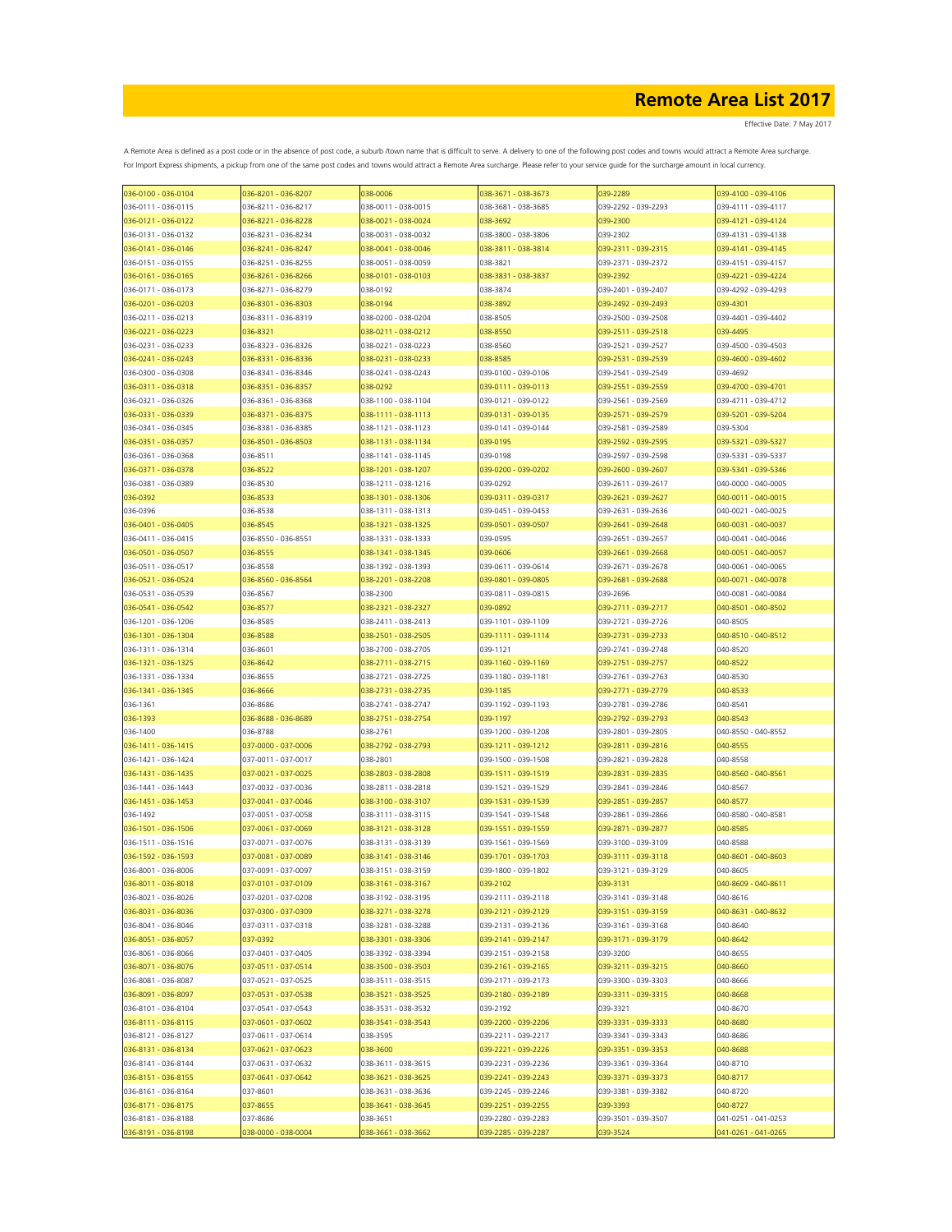| 036-0100 - 036-0104 | 036-8201 - 036-8207 | 038-0006                                   | 038-3671 - 038-3673 | 039-2289                        | 039-4100 - 039-4106 |
|---------------------|---------------------|--------------------------------------------|---------------------|---------------------------------|---------------------|
| 036-0111 - 036-0115 | 036-8211 - 036-8217 | 038-0011 - 038-0015                        | 038-3681 - 038-3685 | 039-2292 - 039-2293             | 039-4111 - 039-4117 |
| 036-0121 - 036-0122 | 036-8221 - 036-8228 | 038-0021 - 038-0024                        | 038-3692            | 039-2300                        | 039-4121 - 039-4124 |
| 036-0131 - 036-0132 | 036-8231 - 036-8234 | 038-0031 - 038-0032                        | 038-3800 - 038-3806 | 039-2302                        | 039-4131 - 039-4138 |
| 036-0141 - 036-0146 | 036-8241 - 036-8247 | 038-0041 - 038-0046                        | 038-3811 - 038-3814 | 039-2311 - 039-2315             | 039-4141 - 039-4145 |
| 036-0151 - 036-0155 | 036-8251 - 036-8255 | 038-0051 - 038-0059                        | 038-3821            | 039-2371 - 039-2372             | 039-4151 - 039-4157 |
| 036-0161 - 036-0165 | 036-8261 - 036-8266 | 038-0101 - 038-0103                        | 038-3831 - 038-3837 | 039-2392                        | 039-4221 - 039-4224 |
| 036-0171 - 036-0173 | 036-8271 - 036-8279 | 038-0192                                   | 038-3874            | 039-2401 - 039-2407             | 039-4292 - 039-4293 |
| 036-0201 - 036-0203 | 036-8301 - 036-8303 | 038-0194                                   | 038-3892            | 039-2492 - 039-2493             | 039-4301            |
| 036-0211 - 036-0213 | 036-8311 - 036-8319 | 038-0200 - 038-0204                        |                     | 039-2500 - 039-2508             | 039-4401 - 039-4402 |
|                     |                     |                                            | 038-8505            |                                 |                     |
| 036-0221 - 036-0223 | 036-8321            | 038-0211 - 038-0212                        | 038-8550            | 039-2511 - 039-2518             | 039-4495            |
| 036-0231 - 036-0233 | 036-8323 - 036-8326 | 038-0221 - 038-0223                        | 038-8560            | 039-2521 - 039-2527             | 039-4500 - 039-4503 |
| 036-0241 - 036-0243 | 036-8331 - 036-8336 | 038-0231 - 038-0233                        | 038-8585            | 039-2531 - 039-2539             | 039-4600 - 039-4602 |
| 036-0300 - 036-0308 | 036-8341 - 036-8346 | 038-0241 - 038-0243                        | 039-0100 - 039-0106 | 039-2541 - 039-2549             | 039-4692            |
| 036-0311 - 036-0318 | 036-8351 - 036-8357 | 038-0292                                   | 039-0111 - 039-0113 | 039-2551 - 039-2559             | 039-4700 - 039-4701 |
| 036-0321 - 036-0326 | 036-8361 - 036-8368 | 038-1100 - 038-1104                        | 039-0121 - 039-0122 | 039-2561 - 039-2569             | 039-4711 - 039-4712 |
| 036-0331 - 036-0339 | 036-8371 - 036-8375 | 038-1111 - 038-1113                        | 039-0131 - 039-0135 | 039-2571 - 039-2579             | 039-5201 - 039-5204 |
| 036-0341 - 036-0345 | 036-8381 - 036-8385 | 038-1121 - 038-1123                        | 039-0141 - 039-0144 | 039-2581 - 039-2589             | 039-5304            |
| 036-0351 - 036-0357 | 036-8501 - 036-8503 | 038-1131 - 038-1134                        | 039-0195            | 039-2592 - 039-2595             | 039-5321 - 039-5327 |
| 036-0361 - 036-0368 | 036-8511            | 038-1141 - 038-1145                        | 039-0198            | 039-2597 - 039-2598             | 039-5331 - 039-5337 |
| 036-0371 - 036-0378 | 036-8522            | 038-1201 - 038-1207                        | 039-0200 - 039-0202 | 039-2600 - 039-2607             | 039-5341 - 039-5346 |
| 036-0381 - 036-0389 | 036-8530            | 038-1211 - 038-1216                        | 039-0292            | 039-2611 - 039-2617             | 040-0000 - 040-0005 |
| 036-0392            | 036-8533            | 038-1301 - 038-1306                        | 039-0311 - 039-0317 | 039-2621 - 039-2627             | 040-0011 - 040-0015 |
| 036-0396            | 036-8538            | 038-1311 - 038-1313                        | 039-0451 - 039-0453 | 039-2631 - 039-2636             | 040-0021 - 040-0025 |
| 036-0401 - 036-0405 | 036-8545            | 038-1321 - 038-1325                        | 039-0501 - 039-0507 | 039-2641 - 039-2648             | 040-0031 - 040-0037 |
| 036-0411 - 036-0415 | 036-8550 - 036-8551 | 038-1331 - 038-1333                        | 039-0595            | 039-2651 - 039-2657             | 040-0041 - 040-0046 |
| 036-0501 - 036-0507 | 036-8555            | 038-1341 - 038-1345                        | 039-0606            | 039-2661 - 039-2668             | 040-0051 - 040-0057 |
| 036-0511 - 036-0517 | 036-8558            | 038-1392 - 038-1393                        | 039-0611 - 039-0614 | 039-2671 - 039-2678             | 040-0061 - 040-0065 |
|                     |                     |                                            |                     |                                 | 040-0071 - 040-0078 |
| 036-0521 - 036-0524 | 036-8560 - 036-8564 | 038-2201 - 038-2208                        | 039-0801 - 039-0805 | 039-2681 - 039-2688             |                     |
| 036-0531 - 036-0539 | 036-8567            | 038-2300                                   | 039-0811 - 039-0815 | 039-2696                        | 040-0081 - 040-0084 |
| 036-0541 - 036-0542 | 036-8577            | 038-2321 - 038-2327                        | 039-0892            | 039-2711 - 039-2717             | 040-8501 - 040-8502 |
| 036-1201 - 036-1206 | 036-8585            | 038-2411 - 038-2413                        | 039-1101 - 039-1109 | 039-2721 - 039-2726             | 040-8505            |
| 036-1301 - 036-1304 | 036-8588            | 038-2501 - 038-2505                        | 039-1111 - 039-1114 | 039-2731 - 039-2733             | 040-8510 - 040-8512 |
| 036-1311 - 036-1314 | 036-8601            | 038-2700 - 038-2705                        | 039-1121            | 039-2741 - 039-2748             | 040-8520            |
| 036-1321 - 036-1325 | 036-8642            | 038-2711 - 038-2715                        | 039-1160 - 039-1169 | 039-2751 - 039-2757             | 040-8522            |
| 036-1331 - 036-1334 | 036-8655            | 038-2721 - 038-2725                        | 039-1180 - 039-1181 | 039-2761 - 039-2763             | 040-8530            |
| 036-1341 - 036-1345 | 036-8666            | 038-2731 - 038-2735                        | 039-1185            | 039-2771 - 039-2779             | 040-8533            |
| 036-1361            | 036-8686            | 038-2741 - 038-2747                        | 039-1192 - 039-1193 | 039-2781 - 039-2786             | 040-8541            |
| 036-1393            | 036-8688 - 036-8689 | 038-2751 - 038-2754                        | 039-1197            | 039-2792 - 039-2793             | 040-8543            |
| 036-1400            | 036-8788            | 038-2761                                   | 039-1200 - 039-1208 | 039-2801 - 039-2805             | 040-8550 - 040-8552 |
| 036-1411 - 036-1415 | 037-0000 - 037-0006 | 038-2792 - 038-2793                        | 039-1211 - 039-1212 | 039-2811 - 039-2816             | 040-8555            |
| 036-1421 - 036-1424 | 037-0011 - 037-0017 | 038-2801                                   | 039-1500 - 039-1508 | 039-2821 - 039-2828             | 040-8558            |
| 036-1431 - 036-1435 | 037-0021 - 037-0025 | 038-2803 - 038-2808                        | 039-1511 - 039-1519 | 039-2831 - 039-2835             | 040-8560 - 040-8561 |
| 036-1441 - 036-1443 | 037-0032 - 037-0036 | 038-2811 - 038-2818                        | 039-1521 - 039-1529 | 039-2841 - 039-2846             | 040-8567            |
| 036-1451 - 036-1453 | 037-0041 - 037-0046 | 038-3100 - 038-3107                        | 039-1531 - 039-1539 | 039-2851 - 039-2857             | 040-8577            |
| 036-1492            | 037-0051 - 037-0058 | 038-3111 - 038-3115                        | 039-1541 - 039-1548 | 039-2861 - 039-2866             | 040-8580 - 040-8581 |
| 036-1501 - 036-1506 | 037-0061 - 037-0069 | 038-3121 - 038-3128                        | 039-1551 - 039-1559 | 039-2871 - 039-2877             | 040-8585            |
| 036-1511 - 036-1516 | 037-0071 - 037-0076 | 038-3131 - 038-3139                        | 039-1561 - 039-1569 | 039-3100 - 039-3109             | 040-8588            |
| 036-1592 - 036-1593 | 037-0081 - 037-0089 | 038-3141 - 038-3146                        | 039-1701 - 039-1703 | 039-3111 - 039-3118             | 040-8601 - 040-8603 |
| 036-8001 - 036-8006 | 037-0091 - 037-0097 | 038-3151 - 038-3159                        | 039-1800 - 039-1802 | 039-3121 - 039-3129             | 040-8605            |
|                     |                     |                                            |                     |                                 |                     |
| 036-8011 - 036-8018 | 037-0101 - 037-0109 | 038-3161 - 038-3167<br>038-3192 - 038-3195 | 039-2102            | 039-3131<br>039-3141 - 039-3148 | 040-8609 - 040-8611 |
| 036-8021 - 036-8026 | 037-0201 - 037-0208 |                                            | 039-2111 - 039-2118 |                                 | 040-8616            |
| 036-8031 - 036-8036 | 037-0300 - 037-0309 | 038-3271 - 038-3278                        | 039-2121 - 039-2129 | 039-3151 - 039-3159             | 040-8631 - 040-8632 |
| 036-8041 - 036-8046 | 037-0311 - 037-0318 | 038-3281 - 038-3288                        | 039-2131 - 039-2136 | 039-3161 - 039-3168             | 040-8640            |
| 036-8051 - 036-8057 | 037-0392            | 038-3301 - 038-3306                        | 039-2141 - 039-2147 | 039-3171 - 039-3179             | 040-8642            |
| 036-8061 - 036-8066 | 037-0401 - 037-0405 | 038-3392 - 038-3394                        | 039-2151 - 039-2158 | 039-3200                        | 040-8655            |
| 036-8071 - 036-8076 | 037-0511 - 037-0514 | 038-3500 - 038-3503                        | 039-2161 - 039-2165 | 039-3211 - 039-3215             | 040-8660            |
| 036-8081 - 036-8087 | 037-0521 - 037-0525 | 038-3511 - 038-3515                        | 039-2171 - 039-2173 | 039-3300 - 039-3303             | 040-8666            |
| 036-8091 - 036-8097 | 037-0531 - 037-0538 | 038-3521 - 038-3525                        | 039-2180 - 039-2189 | 039-3311 - 039-3315             | 040-8668            |
| 036-8101 - 036-8104 | 037-0541 - 037-0543 | 038-3531 - 038-3532                        | 039-2192            | 039-3321                        | 040-8670            |
| 036-8111 - 036-8115 | 037-0601 - 037-0602 | 038-3541 - 038-3543                        | 039-2200 - 039-2206 | 039-3331 - 039-3333             | 040-8680            |
| 036-8121 - 036-8127 | 037-0611 - 037-0614 | 038-3595                                   | 039-2211 - 039-2217 | 039-3341 - 039-3343             | 040-8686            |
| 036-8131 - 036-8134 | 037-0621 - 037-0623 | 038-3600                                   | 039-2221 - 039-2226 | 039-3351 - 039-3353             | 040-8688            |
| 036-8141 - 036-8144 | 037-0631 - 037-0632 | 038-3611 - 038-3615                        | 039-2231 - 039-2236 | 039-3361 - 039-3364             | 040-8710            |
| 036-8151 - 036-8155 | 037-0641 - 037-0642 | 038-3621 - 038-3625                        | 039-2241 - 039-2243 | 039-3371 - 039-3373             | 040-8717            |
| 036-8161 - 036-8164 | 037-8601            | 038-3631 - 038-3636                        | 039-2245 - 039-2246 | 039-3381 - 039-3382             | 040-8720            |
| 036-8171 - 036-8175 | 037-8655            | 038-3641 - 038-3645                        | 039-2251 - 039-2255 | 039-3393                        | 040-8727            |
| 036-8181 - 036-8188 | 037-8686            | 038-3651                                   | 039-2280 - 039-2283 | 039-3501 - 039-3507             | 041-0251 - 041-0253 |
| 036-8191 - 036-8198 | 038-0000 - 038-0004 | 038-3661 - 038-3662                        | 039-2285 - 039-2287 | 039-3524                        | 041-0261 - 041-0265 |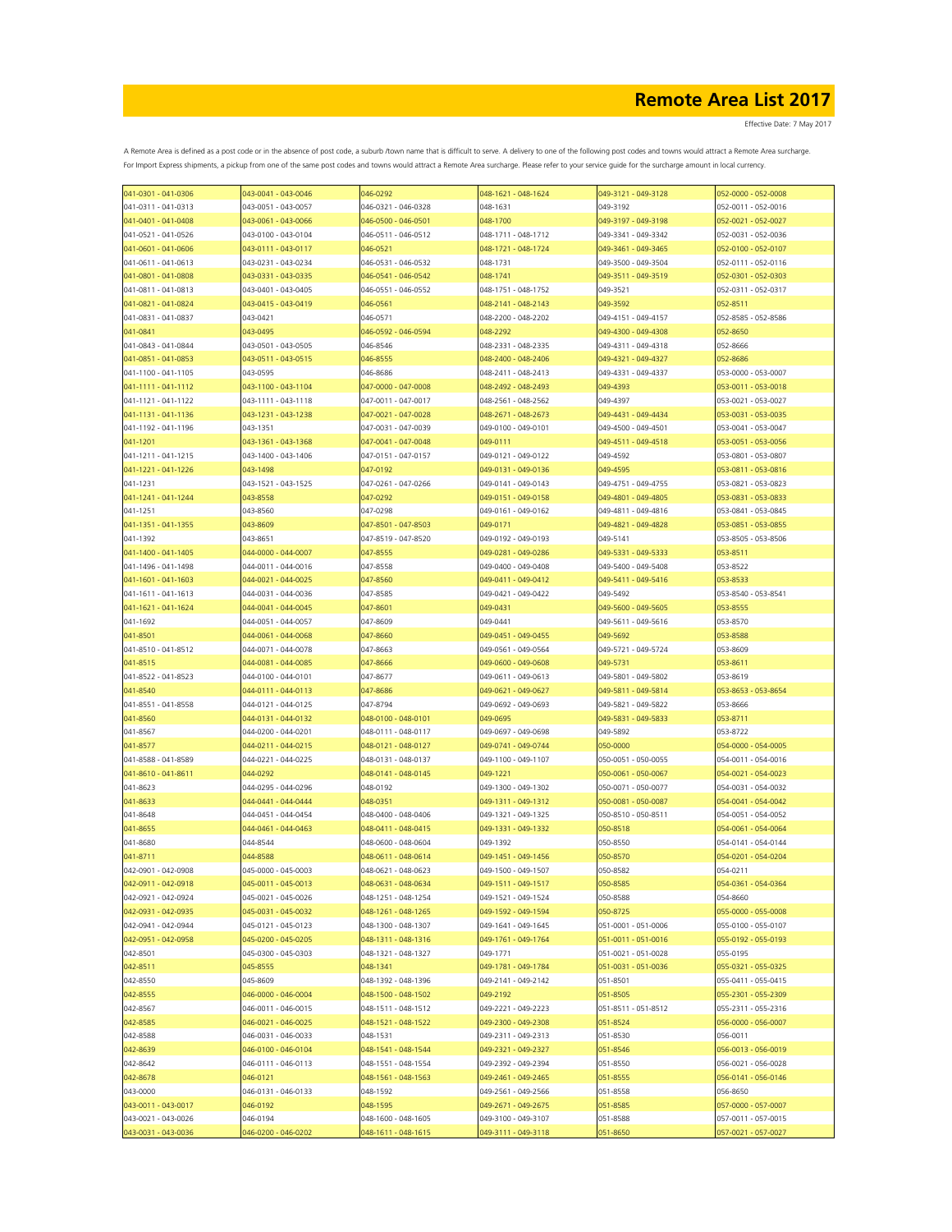| 041-0301 - 041-0306 | 043-0041 - 043-0046 | 046-0292            | 048-1621 - 048-1624 | 049-3121 - 049-3128 | 052-0000 - 052-0008 |
|---------------------|---------------------|---------------------|---------------------|---------------------|---------------------|
| 041-0311 - 041-0313 | 043-0051 - 043-0057 | 046-0321 - 046-0328 | 048-1631            | 049-3192            | 052-0011 - 052-0016 |
| 041-0401 - 041-0408 | 043-0061 - 043-0066 | 046-0500 - 046-0501 | 048-1700            | 049-3197 - 049-3198 | 052-0021 - 052-0027 |
| 041-0521 - 041-0526 | 043-0100 - 043-0104 | 046-0511 - 046-0512 | 048-1711 - 048-1712 | 049-3341 - 049-3342 | 052-0031 - 052-0036 |
| 041-0601 - 041-0606 | 043-0111 - 043-0117 | 046-0521            | 048-1721 - 048-1724 | 049-3461 - 049-3465 | 052-0100 - 052-0107 |
| 041-0611 - 041-0613 | 043-0231 - 043-0234 | 046-0531 - 046-0532 | 048-1731            | 049-3500 - 049-3504 | 052-0111 - 052-0116 |
| 041-0801 - 041-0808 | 043-0331 - 043-0335 | 046-0541 - 046-0542 | 048-1741            | 049-3511 - 049-3519 | 052-0301 - 052-0303 |
| 041-0811 - 041-0813 | 043-0401 - 043-0405 | 046-0551 - 046-0552 | 048-1751 - 048-1752 | 049-3521            | 052-0311 - 052-0317 |
| 041-0821 - 041-0824 | 043-0415 - 043-0419 | 046-0561            | 048-2141 - 048-2143 | 049-3592            | 052-8511            |
| 041-0831 - 041-0837 | 043-0421            | 046-0571            | 048-2200 - 048-2202 | 049-4151 - 049-4157 | 052-8585 - 052-8586 |
| 041-0841            | 043-0495            | 046-0592 - 046-0594 | 048-2292            | 049-4300 - 049-4308 | 052-8650            |
| 041-0843 - 041-0844 | 043-0501 - 043-0505 | 046-8546            | 048-2331 - 048-2335 | 049-4311 - 049-4318 | 052-8666            |
| 041-0851 - 041-0853 | 043-0511 - 043-0515 | 046-8555            | 048-2400 - 048-2406 | 049-4321 - 049-4327 | 052-8686            |
| 041-1100 - 041-1105 | 043-0595            | 046-8686            | 048-2411 - 048-2413 | 049-4331 - 049-4337 | 053-0000 - 053-0007 |
|                     |                     |                     |                     |                     |                     |
| 041-1111 - 041-1112 | 043-1100 - 043-1104 | 047-0000 - 047-0008 | 048-2492 - 048-2493 | 049-4393            | 053-0011 - 053-0018 |
| 041-1121 - 041-1122 | 043-1111 - 043-1118 | 047-0011 - 047-0017 | 048-2561 - 048-2562 | 049-4397            | 053-0021 - 053-0027 |
| 041-1131 - 041-1136 | 043-1231 - 043-1238 | 047-0021 - 047-0028 | 048-2671 - 048-2673 | 049-4431 - 049-4434 | 053-0031 - 053-0035 |
| 041-1192 - 041-1196 | 043-1351            | 047-0031 - 047-0039 | 049-0100 - 049-0101 | 049-4500 - 049-4501 | 053-0041 - 053-0047 |
| 041-1201            | 043-1361 - 043-1368 | 047-0041 - 047-0048 | 049-0111            | 049-4511 - 049-4518 | 053-0051 - 053-0056 |
| 041-1211 - 041-1215 | 043-1400 - 043-1406 | 047-0151 - 047-0157 | 049-0121 - 049-0122 | 049-4592            | 053-0801 - 053-0807 |
| 041-1221 - 041-1226 | 043-1498            | 047-0192            | 049-0131 - 049-0136 | 049-4595            | 053-0811 - 053-0816 |
| 041-1231            | 043-1521 - 043-1525 | 047-0261 - 047-0266 | 049-0141 - 049-0143 | 049-4751 - 049-4755 | 053-0821 - 053-0823 |
| 041-1241 - 041-1244 | 043-8558            | 047-0292            | 049-0151 - 049-0158 | 049-4801 - 049-4805 | 053-0831 - 053-0833 |
| 041-1251            | 043-8560            | 047-0298            | 049-0161 - 049-0162 | 049-4811 - 049-4816 | 053-0841 - 053-0845 |
| 041-1351 - 041-1355 | 043-8609            | 047-8501 - 047-8503 | 049-0171            | 049-4821 - 049-4828 | 053-0851 - 053-0855 |
| 041-1392            | 043-8651            | 047-8519 - 047-8520 | 049-0192 - 049-0193 | 049-5141            | 053-8505 - 053-8506 |
| 041-1400 - 041-1405 | 044-0000 - 044-0007 | 047-8555            | 049-0281 - 049-0286 | 049-5331 - 049-5333 | 053-8511            |
| 041-1496 - 041-1498 | 044-0011 - 044-0016 | 047-8558            | 049-0400 - 049-0408 | 049-5400 - 049-5408 | 053-8522            |
| 041-1601 - 041-1603 | 044-0021 - 044-0025 | 047-8560            | 049-0411 - 049-0412 | 049-5411 - 049-5416 | 053-8533            |
| 041-1611 - 041-1613 | 044-0031 - 044-0036 | 047-8585            | 049-0421 - 049-0422 | 049-5492            | 053-8540 - 053-8541 |
| 041-1621 - 041-1624 | 044-0041 - 044-0045 | 047-8601            | 049-0431            | 049-5600 - 049-5605 | 053-8555            |
| 041-1692            | 044-0051 - 044-0057 | 047-8609            | 049-0441            | 049-5611 - 049-5616 | 053-8570            |
| 041-8501            | 044-0061 - 044-0068 | 047-8660            | 049-0451 - 049-0455 | 049-5692            | 053-8588            |
| 041-8510 - 041-8512 | 044-0071 - 044-0078 | 047-8663            | 049-0561 - 049-0564 | 049-5721 - 049-5724 | 053-8609            |
| 041-8515            | 044-0081 - 044-0085 | 047-8666            | 049-0600 - 049-0608 | 049-5731            | 053-8611            |
| 041-8522 - 041-8523 | 044-0100 - 044-0101 | 047-8677            | 049-0611 - 049-0613 | 049-5801 - 049-5802 | 053-8619            |
| 041-8540            | 044-0111 - 044-0113 | 047-8686            | 049-0621 - 049-0627 | 049-5811 - 049-5814 | 053-8653 - 053-8654 |
| 041-8551 - 041-8558 | 044-0121 - 044-0125 | 047-8794            | 049-0692 - 049-0693 | 049-5821 - 049-5822 | 053-8666            |
|                     |                     |                     |                     |                     |                     |
| 041-8560            | 044-0131 - 044-0132 | 048-0100 - 048-0101 | 049-0695            | 049-5831 - 049-5833 | 053-8711            |
| 041-8567            | 044-0200 - 044-0201 | 048-0111 - 048-0117 | 049-0697 - 049-0698 | 049-5892            | 053-8722            |
| 041-8577            | 044-0211 - 044-0215 | 048-0121 - 048-0127 | 049-0741 - 049-0744 | 050-0000            | 054-0000 - 054-0005 |
| 041-8588 - 041-8589 | 044-0221 - 044-0225 | 048-0131 - 048-0137 | 049-1100 - 049-1107 | 050-0051 - 050-0055 | 054-0011 - 054-0016 |
| 041-8610 - 041-8611 | 044-0292            | 048-0141 - 048-0145 | 049-1221            | 050-0061 - 050-0067 | 054-0021 - 054-0023 |
| 041-8623            | 044-0295 - 044-0296 | 048-0192            | 049-1300 - 049-1302 | 050-0071 - 050-0077 | 054-0031 - 054-0032 |
| 041-8633            | 044-0441 - 044-0444 | 048-0351            | 049-1311 - 049-1312 | 050-0081 - 050-0087 | 054-0041 - 054-0042 |
| 041-8648            | 044-0451 - 044-0454 | 048-0400 - 048-0406 | 049-1321 - 049-1325 | 050-8510 - 050-8511 | 054-0051 - 054-0052 |
| 041-8655            | 044-0461 - 044-0463 | 048-0411 - 048-0415 | 049-1331 - 049-1332 | 050-8518            | 054-0061 - 054-0064 |
| 041-8680            | 044-8544            | 048-0600 - 048-0604 | 049-1392            | 050-8550            | 054-0141 - 054-0144 |
| 041-8711            | 044-8588            | 048-0611 - 048-0614 | 049-1451 - 049-1456 | 050-8570            | 054-0201 - 054-0204 |
| 042-0901 - 042-0908 | 045-0000 - 045-0003 | 048-0621 - 048-0623 | 049-1500 - 049-1507 | 050-8582            | 054-0211            |
| 042-0911 - 042-0918 | 045-0011 - 045-0013 | 048-0631 - 048-0634 | 049-1511 - 049-1517 | 050-8585            | 054-0361 - 054-0364 |
| 042-0921 - 042-0924 | 045-0021 - 045-0026 | 048-1251 - 048-1254 | 049-1521 - 049-1524 | 050-8588            | 054-8660            |
| 042-0931 - 042-0935 | 045-0031 - 045-0032 | 048-1261 - 048-1265 | 049-1592 - 049-1594 | 050-8725            | 055-0000 - 055-0008 |
| 042-0941 - 042-0944 | 045-0121 - 045-0123 | 048-1300 - 048-1307 | 049-1641 - 049-1645 | 051-0001 - 051-0006 | 055-0100 - 055-0107 |
| 042-0951 - 042-0958 | 045-0200 - 045-0205 | 048-1311 - 048-1316 | 049-1761 - 049-1764 | 051-0011 - 051-0016 | 055-0192 - 055-0193 |
| 042-8501            | 045-0300 - 045-0303 | 048-1321 - 048-1327 | 049-1771            | 051-0021 - 051-0028 | 055-0195            |
| 042-8511            | 045-8555            | 048-1341            | 049-1781 - 049-1784 | 051-0031 - 051-0036 | 055-0321 - 055-0325 |
| 042-8550            | 045-8609            | 048-1392 - 048-1396 | 049-2141 - 049-2142 | 051-8501            | 055-0411 - 055-0415 |
| 042-8555            | 046-0000 - 046-0004 | 048-1500 - 048-1502 | 049-2192            | 051-8505            | 055-2301 - 055-2309 |
| 042-8567            | 046-0011 - 046-0015 | 048-1511 - 048-1512 | 049-2221 - 049-2223 | 051-8511 - 051-8512 | 055-2311 - 055-2316 |
| 042-8585            | 046-0021 - 046-0025 | 048-1521 - 048-1522 | 049-2300 - 049-2308 | 051-8524            | 056-0000 - 056-0007 |
| 042-8588            | 046-0031 - 046-0033 | 048-1531            | 049-2311 - 049-2313 | 051-8530            | 056-0011            |
| 042-8639            | 046-0100 - 046-0104 | 048-1541 - 048-1544 | 049-2321 - 049-2327 | 051-8546            | 056-0013 - 056-0019 |
| 042-8642            | 046-0111 - 046-0113 | 048-1551 - 048-1554 | 049-2392 - 049-2394 | 051-8550            | 056-0021 - 056-0028 |
| 042-8678            | 046-0121            | 048-1561 - 048-1563 | 049-2461 - 049-2465 | 051-8555            | 056-0141 - 056-0146 |
| 043-0000            | 046-0131 - 046-0133 | 048-1592            | 049-2561 - 049-2566 | 051-8558            | 056-8650            |
| 043-0011 - 043-0017 | 046-0192            | 048-1595            | 049-2671 - 049-2675 | 051-8585            | 057-0000 - 057-0007 |
| 043-0021 - 043-0026 | 046-0194            | 048-1600 - 048-1605 | 049-3100 - 049-3107 | 051-8588            | 057-0011 - 057-0015 |
| 043-0031 - 043-0036 | 046-0200 - 046-0202 | 048-1611 - 048-1615 | 049-3111 - 049-3118 | 051-8650            | 057-0021 - 057-0027 |
|                     |                     |                     |                     |                     |                     |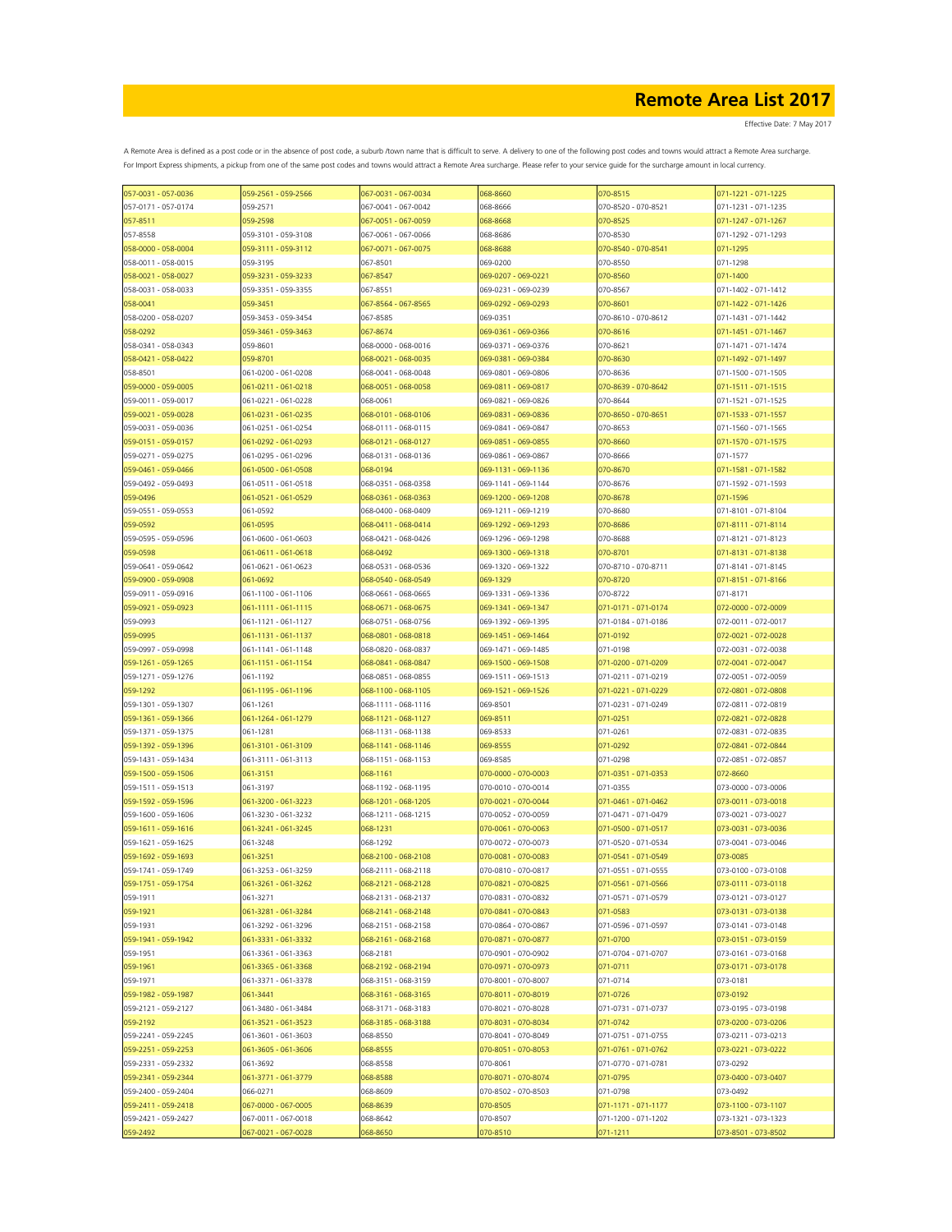Effective Date: 7 May 2017

| 057-0031 - 057-0036 | 059-2561 - 059-2566 | 067-0031 - 067-0034 | 068-8660            | 070-8515            | 071-1221 - 071-1225 |
|---------------------|---------------------|---------------------|---------------------|---------------------|---------------------|
| 057-0171 - 057-0174 | 059-2571            | 067-0041 - 067-0042 | 068-8666            | 070-8520 - 070-8521 | 071-1231 - 071-1235 |
| 057-8511            | 059-2598            | 067-0051 - 067-0059 | 068-8668            | 070-8525            | 071-1247 - 071-1267 |
| 057-8558            | 059-3101 - 059-3108 | 067-0061 - 067-0066 | 068-8686            | 070-8530            | 071-1292 - 071-1293 |
| 058-0000 - 058-0004 | 059-3111 - 059-3112 | 067-0071 - 067-0075 | 068-8688            | 070-8540 - 070-8541 | 071-1295            |
|                     |                     |                     |                     |                     | 071-1298            |
| 058-0011 - 058-0015 | 059-3195            | 067-8501            | 069-0200            | 070-8550            |                     |
| 058-0021 - 058-0027 | 059-3231 - 059-3233 | 067-8547            | 069-0207 - 069-0221 | 070-8560            | 071-1400            |
| 058-0031 - 058-0033 | 059-3351 - 059-3355 | 067-8551            | 069-0231 - 069-0239 | 070-8567            | 071-1402 - 071-1412 |
| 058-0041            | 059-3451            | 067-8564 - 067-8565 | 069-0292 - 069-0293 | 070-8601            | 071-1422 - 071-1426 |
| 058-0200 - 058-0207 | 059-3453 - 059-3454 | 067-8585            | 069-0351            | 070-8610 - 070-8612 | 071-1431 - 071-1442 |
| 058-0292            | 059-3461 - 059-3463 | 067-8674            | 069-0361 - 069-0366 | 070-8616            | 071-1451 - 071-1467 |
| 058-0341 - 058-0343 | 059-8601            | 068-0000 - 068-0016 | 069-0371 - 069-0376 | 070-8621            | 071-1471 - 071-1474 |
| 058-0421 - 058-0422 | 059-8701            | 068-0021 - 068-0035 | 069-0381 - 069-0384 | 070-8630            | 071-1492 - 071-1497 |
| 058-8501            | 061-0200 - 061-0208 | 068-0041 - 068-0048 | 069-0801 - 069-0806 | 070-8636            | 071-1500 - 071-1505 |
| 059-0000 - 059-0005 | 061-0211 - 061-0218 | 068-0051 - 068-0058 | 069-0811 - 069-0817 | 070-8639 - 070-8642 | 071-1511 - 071-1515 |
| 059-0011 - 059-0017 | 061-0221 - 061-0228 | 068-0061            | 069-0821 - 069-0826 | 070-8644            | 071-1521 - 071-1525 |
|                     |                     |                     |                     |                     |                     |
| 059-0021 - 059-0028 | 061-0231 - 061-0235 | 068-0101 - 068-0106 | 069-0831 - 069-0836 | 070-8650 - 070-8651 | 071-1533 - 071-1557 |
| 059-0031 - 059-0036 | 061-0251 - 061-0254 | 068-0111 - 068-0115 | 069-0841 - 069-0847 | 070-8653            | 071-1560 - 071-1565 |
| 059-0151 - 059-0157 | 061-0292 - 061-0293 | 068-0121 - 068-0127 | 069-0851 - 069-0855 | 070-8660            | 071-1570 - 071-1575 |
| 059-0271 - 059-0275 | 061-0295 - 061-0296 | 068-0131 - 068-0136 | 069-0861 - 069-0867 | 070-8666            | 071-1577            |
| 059-0461 - 059-0466 | 061-0500 - 061-0508 | 068-0194            | 069-1131 - 069-1136 | 070-8670            | 071-1581 - 071-1582 |
| 059-0492 - 059-0493 | 061-0511 - 061-0518 | 068-0351 - 068-0358 | 069-1141 - 069-1144 | 070-8676            | 071-1592 - 071-1593 |
| 059-0496            | 061-0521 - 061-0529 | 068-0361 - 068-0363 | 069-1200 - 069-1208 | 070-8678            | 071-1596            |
| 059-0551 - 059-0553 | 061-0592            | 068-0400 - 068-0409 | 069-1211 - 069-1219 | 070-8680            | 071-8101 - 071-8104 |
| 059-0592            | 061-0595            | 068-0411 - 068-0414 | 069-1292 - 069-1293 | 070-8686            | 071-8111 - 071-8114 |
| 059-0595 - 059-0596 | 061-0600 - 061-0603 | 068-0421 - 068-0426 | 069-1296 - 069-1298 | 070-8688            | 071-8121 - 071-8123 |
| 059-0598            | 061-0611 - 061-0618 | 068-0492            | 069-1300 - 069-1318 | 070-8701            | 071-8131 - 071-8138 |
|                     |                     |                     |                     |                     |                     |
| 059-0641 - 059-0642 | 061-0621 - 061-0623 | 068-0531 - 068-0536 | 069-1320 - 069-1322 | 070-8710 - 070-8711 | 071-8141 - 071-8145 |
| 059-0900 - 059-0908 | 061-0692            | 068-0540 - 068-0549 | 069-1329            | 070-8720            | 071-8151 - 071-8166 |
| 059-0911 - 059-0916 | 061-1100 - 061-1106 | 068-0661 - 068-0665 | 069-1331 - 069-1336 | 070-8722            | 071-8171            |
| 059-0921 - 059-0923 | 061-1111 - 061-1115 | 068-0671 - 068-0675 | 069-1341 - 069-1347 | 071-0171 - 071-0174 | 072-0000 - 072-0009 |
| 059-0993            | 061-1121 - 061-1127 | 068-0751 - 068-0756 | 069-1392 - 069-1395 | 071-0184 - 071-0186 | 072-0011 - 072-0017 |
| 059-0995            | 061-1131 - 061-1137 | 068-0801 - 068-0818 | 069-1451 - 069-1464 | 071-0192            | 072-0021 - 072-0028 |
| 059-0997 - 059-0998 | 061-1141 - 061-1148 | 068-0820 - 068-0837 | 069-1471 - 069-1485 | 071-0198            | 072-0031 - 072-0038 |
| 059-1261 - 059-1265 | 061-1151 - 061-1154 | 068-0841 - 068-0847 | 069-1500 - 069-1508 | 071-0200 - 071-0209 | 072-0041 - 072-0047 |
| 059-1271 - 059-1276 | 061-1192            | 068-0851 - 068-0855 | 069-1511 - 069-1513 | 071-0211 - 071-0219 | 072-0051 - 072-0059 |
| 059-1292            | 061-1195 - 061-1196 | 068-1100 - 068-1105 | 069-1521 - 069-1526 | 071-0221 - 071-0229 | 072-0801 - 072-0808 |
|                     |                     |                     |                     |                     |                     |
| 059-1301 - 059-1307 | 061-1261            | 068-1111 - 068-1116 | 069-8501            | 071-0231 - 071-0249 | 072-0811 - 072-0819 |
| 059-1361 - 059-1366 | 061-1264 - 061-1279 | 068-1121 - 068-1127 | 069-8511            | 071-0251            | 072-0821 - 072-0828 |
| 059-1371 - 059-1375 | 061-1281            | 068-1131 - 068-1138 | 069-8533            | 071-0261            | 072-0831 - 072-0835 |
| 059-1392 - 059-1396 | 061-3101 - 061-3109 | 068-1141 - 068-1146 | 069-8555            | 071-0292            | 072-0841 - 072-0844 |
| 059-1431 - 059-1434 | 061-3111 - 061-3113 | 068-1151 - 068-1153 | 069-8585            | 071-0298            | 072-0851 - 072-0857 |
| 059-1500 - 059-1506 | 061-3151            | 068-1161            | 070-0000 - 070-0003 | 071-0351 - 071-0353 | 072-8660            |
| 059-1511 - 059-1513 | 061-3197            | 068-1192 - 068-1195 | 070-0010 - 070-0014 | 071-0355            | 073-0000 - 073-0006 |
| 059-1592 - 059-1596 | 061-3200 - 061-3223 | 068-1201 - 068-1205 | 070-0021 - 070-0044 | 071-0461 - 071-0462 | 073-0011 - 073-0018 |
| 059-1600 - 059-1606 | 061-3230 - 061-3232 | 068-1211 - 068-1215 | 070-0052 - 070-0059 | 071-0471 - 071-0479 | 073-0021 - 073-0027 |
| 059-1611 - 059-1616 | 061-3241 - 061-3245 | 068-1231            | 070-0061 - 070-0063 | 071-0500 - 071-0517 | 073-0031 - 073-0036 |
|                     |                     |                     |                     |                     |                     |
| 059-1621 - 059-1625 | 061-3248            | 068-1292            | 070-0072 - 070-0073 | 071-0520 - 071-0534 | 073-0041 - 073-0046 |
| 059-1692 - 059-1693 | 061-3251            | 068-2100 - 068-2108 | 070-0081 - 070-0083 | 071-0541 - 071-0549 | 073-0085            |
| 059-1741 - 059-1749 | 061-3253 - 061-3259 | 068-2111 - 068-2118 | 070-0810 - 070-0817 | 071-0551 - 071-0555 | 073-0100 - 073-0108 |
| 059-1751 - 059-1754 | 061-3261 - 061-3262 | 068-2121 - 068-2128 | 070-0821 - 070-0825 | 071-0561 - 071-0566 | 073-0111 - 073-0118 |
| 059-1911            | 061-3271            | 068-2131 - 068-2137 | 070-0831 - 070-0832 | 071-0571 - 071-0579 | 073-0121 - 073-0127 |
| 059-1921            | 061-3281 - 061-3284 | 068-2141 - 068-2148 | 070-0841 - 070-0843 | 071-0583            | 073-0131 - 073-0138 |
| 059-1931            | 061-3292 - 061-3296 | 068-2151 - 068-2158 | 070-0864 - 070-0867 | 071-0596 - 071-0597 | 073-0141 - 073-0148 |
| 059-1941 - 059-1942 | 061-3331 - 061-3332 | 068-2161 - 068-2168 | 070-0871 - 070-0877 | 071-0700            | 073-0151 - 073-0159 |
| 059-1951            | 061-3361 - 061-3363 | 068-2181            | 070-0901 - 070-0902 | 071-0704 - 071-0707 | 073-0161 - 073-0168 |
| 059-1961            | 061-3365 - 061-3368 | 068-2192 - 068-2194 | 070-0971 - 070-0973 | 071-0711            | 073-0171 - 073-0178 |
| 059-1971            | 061-3371 - 061-3378 | 068-3151 - 068-3159 | 070-8001 - 070-8007 | 071-0714            | 073-0181            |
| 059-1982 - 059-1987 | 061-3441            | 068-3161 - 068-3165 | 070-8011 - 070-8019 | 071-0726            | 073-0192            |
|                     |                     |                     |                     |                     |                     |
| 059-2121 - 059-2127 | 061-3480 - 061-3484 | 068-3171 - 068-3183 | 070-8021 - 070-8028 | 071-0731 - 071-0737 | 073-0195 - 073-0198 |
| 059-2192            | 061-3521 - 061-3523 | 068-3185 - 068-3188 | 070-8031 - 070-8034 | 071-0742            | 073-0200 - 073-0206 |
| 059-2241 - 059-2245 | 061-3601 - 061-3603 | 068-8550            | 070-8041 - 070-8049 | 071-0751 - 071-0755 | 073-0211 - 073-0213 |
| 059-2251 - 059-2253 | 061-3605 - 061-3606 | 068-8555            | 070-8051 - 070-8053 | 071-0761 - 071-0762 | 073-0221 - 073-0222 |
| 059-2331 - 059-2332 | 061-3692            | 068-8558            | 070-8061            | 071-0770 - 071-0781 | 073-0292            |
| 059-2341 - 059-2344 | 061-3771 - 061-3779 | 068-8588            | 070-8071 - 070-8074 | 071-0795            | 073-0400 - 073-0407 |
| 059-2400 - 059-2404 | 066-0271            | 068-8609            | 070-8502 - 070-8503 | 071-0798            | 073-0492            |
| 059-2411 - 059-2418 | 067-0000 - 067-0005 | 068-8639            | 070-8505            | 071-1171 - 071-1177 | 073-1100 - 073-1107 |
| 059-2421 - 059-2427 | 067-0011 - 067-0018 | 068-8642            | 070-8507            | 071-1200 - 071-1202 | 073-1321 - 073-1323 |
| 059-2492            | 067-0021 - 067-0028 | 068-8650            | 070-8510            | 071-1211            | 073-8501 - 073-8502 |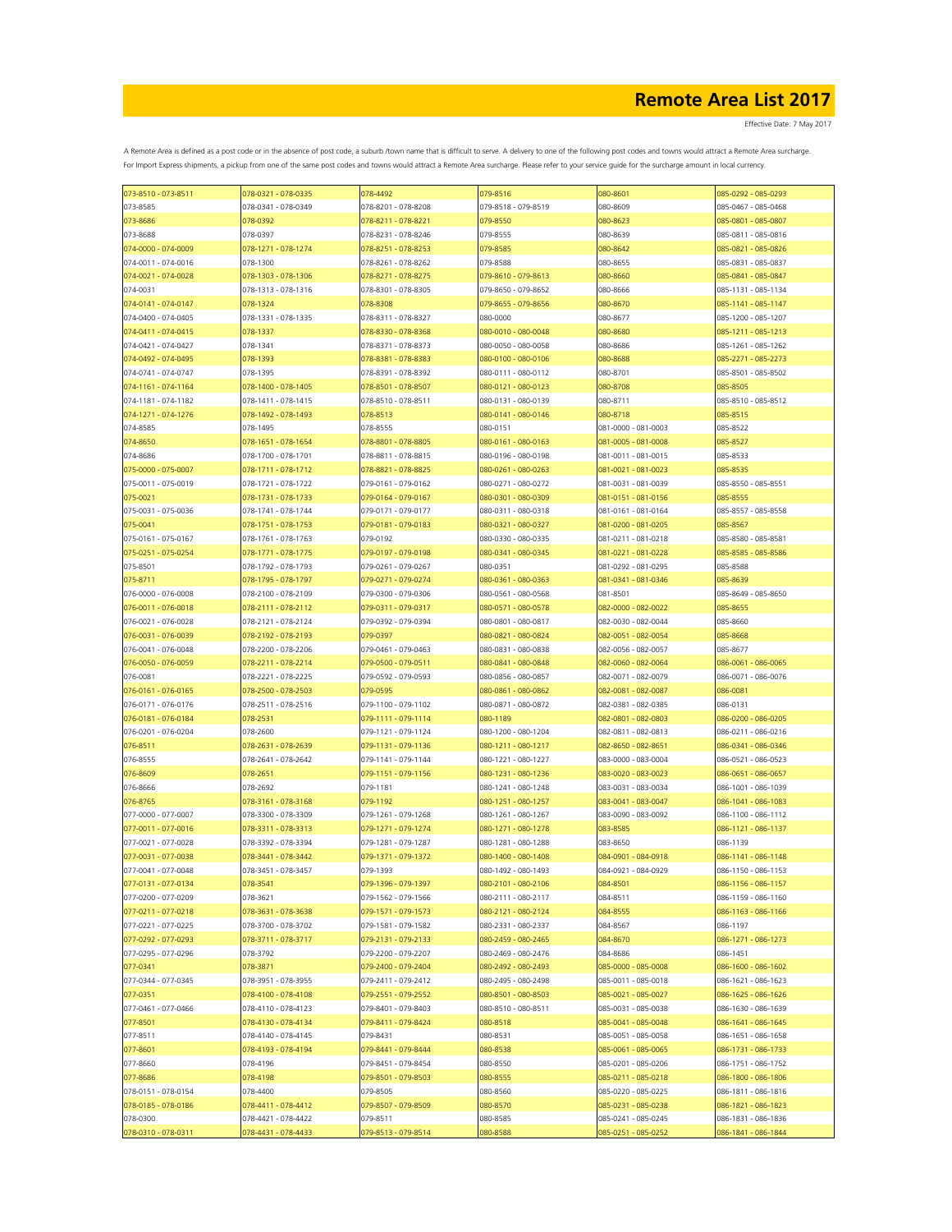Effective Date: 7 May 2017

| 073-8510 - 073-8511 | 078-0321 - 078-0335 | 078-4492            | 079-8516            | 080-8601            | 085-0292 - 085-0293 |
|---------------------|---------------------|---------------------|---------------------|---------------------|---------------------|
| 073-8585            | 078-0341 - 078-0349 | 078-8201 - 078-8208 | 079-8518 - 079-8519 | 080-8609            | 085-0467 - 085-0468 |
| 073-8686            | 078-0392            | 078-8211 - 078-8221 | 079-8550            | 080-8623            | 085-0801 - 085-0807 |
| 073-8688            | 078-0397            | 078-8231 - 078-8246 | 079-8555            | 080-8639            | 085-0811 - 085-0816 |
| 074-0000 - 074-0009 | 078-1271 - 078-1274 | 078-8251 - 078-8253 | 079-8585            | 080-8642            | 085-0821 - 085-0826 |
| 074-0011 - 074-0016 | 078-1300            | 078-8261 - 078-8262 | 079-8588            | 080-8655            | 085-0831 - 085-0837 |
|                     |                     |                     |                     |                     |                     |
| 074-0021 - 074-0028 | 078-1303 - 078-1306 | 078-8271 - 078-8275 | 079-8610 - 079-8613 | 080-8660            | 085-0841 - 085-0847 |
| 074-0031            | 078-1313 - 078-1316 | 078-8301 - 078-8305 | 079-8650 - 079-8652 | 080-8666            | 085-1131 - 085-1134 |
| 074-0141 - 074-0147 | 078-1324            | 078-8308            | 079-8655 - 079-8656 | 080-8670            | 085-1141 - 085-1147 |
| 074-0400 - 074-0405 | 078-1331 - 078-1335 | 078-8311 - 078-8327 | 080-0000            | 080-8677            | 085-1200 - 085-1207 |
| 074-0411 - 074-0415 | 078-1337            | 078-8330 - 078-8368 | 080-0010 - 080-0048 | 080-8680            | 085-1211 - 085-1213 |
| 074-0421 - 074-0427 | 078-1341            | 078-8371 - 078-8373 | 080-0050 - 080-0058 | 080-8686            | 085-1261 - 085-1262 |
| 074-0492 - 074-0495 | 078-1393            | 078-8381 - 078-8383 | 080-0100 - 080-0106 | 080-8688            | 085-2271 - 085-2273 |
|                     |                     |                     | 080-0111 - 080-0112 |                     |                     |
| 074-0741 - 074-0747 | 078-1395            | 078-8391 - 078-8392 |                     | 080-8701            | 085-8501 - 085-8502 |
| 074-1161 - 074-1164 | 078-1400 - 078-1405 | 078-8501 - 078-8507 | 080-0121 - 080-0123 | 080-8708            | 085-8505            |
| 074-1181 - 074-1182 | 078-1411 - 078-1415 | 078-8510 - 078-8511 | 080-0131 - 080-0139 | 080-8711            | 085-8510 - 085-8512 |
| 074-1271 - 074-1276 | 078-1492 - 078-1493 | 078-8513            | 080-0141 - 080-0146 | 080-8718            | 085-8515            |
| 074-8585            | 078-1495            | 078-8555            | 080-0151            | 081-0000 - 081-0003 | 085-8522            |
| 074-8650            | 078-1651 - 078-1654 | 078-8801 - 078-8805 | 080-0161 - 080-0163 | 081-0005 - 081-0008 | 085-8527            |
| 074-8686            | 078-1700 - 078-1701 | 078-8811 - 078-8815 | 080-0196 - 080-0198 | 081-0011 - 081-0015 | 085-8533            |
| 075-0000 - 075-0007 | 078-1711 - 078-1712 | 078-8821 - 078-8825 | 080-0261 - 080-0263 | 081-0021 - 081-0023 | 085-8535            |
|                     |                     |                     |                     |                     |                     |
| 075-0011 - 075-0019 | 078-1721 - 078-1722 | 079-0161 - 079-0162 | 080-0271 - 080-0272 | 081-0031 - 081-0039 | 085-8550 - 085-8551 |
| 075-0021            | 078-1731 - 078-1733 | 079-0164 - 079-0167 | 080-0301 - 080-0309 | 081-0151 - 081-0156 | 085-8555            |
| 075-0031 - 075-0036 | 078-1741 - 078-1744 | 079-0171 - 079-0177 | 080-0311 - 080-0318 | 081-0161 - 081-0164 | 085-8557 - 085-8558 |
| 075-0041            | 078-1751 - 078-1753 | 079-0181 - 079-0183 | 080-0321 - 080-0327 | 081-0200 - 081-0205 | 085-8567            |
| 075-0161 - 075-0167 | 078-1761 - 078-1763 | 079-0192            | 080-0330 - 080-0335 | 081-0211 - 081-0218 | 085-8580 - 085-8581 |
| 075-0251 - 075-0254 | 078-1771 - 078-1775 | 079-0197 - 079-0198 | 080-0341 - 080-0345 | 081-0221 - 081-0228 | 085-8585 - 085-8586 |
| 075-8501            | 078-1792 - 078-1793 | 079-0261 - 079-0267 | 080-0351            | 081-0292 - 081-0295 | 085-8588            |
|                     |                     |                     |                     |                     |                     |
| 075-8711            | 078-1795 - 078-1797 | 079-0271 - 079-0274 | 080-0361 - 080-0363 | 081-0341 - 081-0346 | 085-8639            |
| 076-0000 - 076-0008 | 078-2100 - 078-2109 | 079-0300 - 079-0306 | 080-0561 - 080-0568 | 081-8501            | 085-8649 - 085-8650 |
| 076-0011 - 076-0018 | 078-2111 - 078-2112 | 079-0311 - 079-0317 | 080-0571 - 080-0578 | 082-0000 - 082-0022 | 085-8655            |
| 076-0021 - 076-0028 | 078-2121 - 078-2124 | 079-0392 - 079-0394 | 080-0801 - 080-0817 | 082-0030 - 082-0044 | 085-8660            |
| 076-0031 - 076-0039 | 078-2192 - 078-2193 | 079-0397            | 080-0821 - 080-0824 | 082-0051 - 082-0054 | 085-8668            |
| 076-0041 - 076-0048 | 078-2200 - 078-2206 | 079-0461 - 079-0463 | 080-0831 - 080-0838 | 082-0056 - 082-0057 | 085-8677            |
| 076-0050 - 076-0059 | 078-2211 - 078-2214 | 079-0500 - 079-0511 | 080-0841 - 080-0848 | 082-0060 - 082-0064 | 086-0061 - 086-0065 |
| 076-0081            |                     |                     |                     |                     |                     |
|                     | 078-2221 - 078-2225 | 079-0592 - 079-0593 | 080-0856 - 080-0857 | 082-0071 - 082-0079 | 086-0071 - 086-0076 |
| 076-0161 - 076-0165 | 078-2500 - 078-2503 | 079-0595            | 080-0861 - 080-0862 | 082-0081 - 082-0087 | 086-0081            |
| 076-0171 - 076-0176 | 078-2511 - 078-2516 | 079-1100 - 079-1102 | 080-0871 - 080-0872 | 082-0381 - 082-0385 | 086-0131            |
| 076-0181 - 076-0184 | 078-2531            | 079-1111 - 079-1114 | 080-1189            | 082-0801 - 082-0803 | 086-0200 - 086-0205 |
| 076-0201 - 076-0204 | 078-2600            | 079-1121 - 079-1124 | 080-1200 - 080-1204 | 082-0811 - 082-0813 | 086-0211 - 086-0216 |
| 076-8511            | 078-2631 - 078-2639 | 079-1131 - 079-1136 | 080-1211 - 080-1217 | 082-8650 - 082-8651 | 086-0341 - 086-0346 |
| 076-8555            | 078-2641 - 078-2642 | 079-1141 - 079-1144 | 080-1221 - 080-1227 | 083-0000 - 083-0004 | 086-0521 - 086-0523 |
|                     |                     |                     |                     |                     | 086-0651 - 086-0657 |
| 076-8609            | 078-2651            | 079-1151 - 079-1156 | 080-1231 - 080-1236 | 083-0020 - 083-0023 |                     |
| 076-8666            | 078-2692            | 079-1181            | 080-1241 - 080-1248 | 083-0031 - 083-0034 | 086-1001 - 086-1039 |
| 076-8765            | 078-3161 - 078-3168 | 079-1192            | 080-1251 - 080-1257 | 083-0041 - 083-0047 | 086-1041 - 086-1083 |
| 077-0000 - 077-0007 | 078-3300 - 078-3309 | 079-1261 - 079-1268 | 080-1261 - 080-1267 | 083-0090 - 083-0092 | 086-1100 - 086-1112 |
| 077-0011 - 077-0016 | 078-3311 - 078-3313 | 079-1271 - 079-1274 | 080-1271 - 080-1278 | 083-8585            | 086-1121 - 086-1137 |
| 077-0021 - 077-0028 | 078-3392 - 078-3394 | 079-1281 - 079-1287 | 080-1281 - 080-1288 | 083-8650            | 086-1139            |
| 077-0031 - 077-0038 | 078-3441 - 078-3442 | 079-1371 - 079-1372 | 080-1400 - 080-1408 | 084-0901 - 084-0918 | 086-1141 - 086-1148 |
| 077-0041 - 077-0048 | 078-3451 - 078-3457 | 079-1393            | 080-1492 - 080-1493 | 084-0921 - 084-0929 | 086-1150 - 086-1153 |
|                     |                     |                     |                     |                     |                     |
| 077-0131 - 077-0134 | 078-3541            | 079-1396 - 079-1397 | 080-2101 - 080-2106 | 084-8501            | 086-1156 - 086-1157 |
| 077-0200 - 077-0209 | 078-3621            | 079-1562 - 079-1566 | 080-2111 - 080-2117 | 084-8511            | 086-1159 - 086-1160 |
| 077-0211 - 077-0218 | 078-3631 - 078-3638 | 079-1571 - 079-1573 | 080-2121 - 080-2124 | 084-8555            | 086-1163 - 086-1166 |
| 077-0221 - 077-0225 | 078-3700 - 078-3702 | 079-1581 - 079-1582 | 080-2331 - 080-2337 | 084-8567            | 086-1197            |
| 077-0292 - 077-0293 | 078-3711 - 078-3717 | 079-2131 - 079-2133 | 080-2459 - 080-2465 | 084-8670            | 086-1271 - 086-1273 |
| 077-0295 - 077-0296 | 078-3792            | 079-2200 - 079-2207 | 080-2469 - 080-2476 | 084-8686            | 086-1451            |
| 077-0341            | 078-3871            | 079-2400 - 079-2404 | 080-2492 - 080-2493 | 085-0000 - 085-0008 | 086-1600 - 086-1602 |
| 077-0344 - 077-0345 | 078-3951 - 078-3955 | 079-2411 - 079-2412 | 080-2495 - 080-2498 | 085-0011 - 085-0018 | 086-1621 - 086-1623 |
|                     |                     |                     |                     |                     |                     |
| 077-0351            | 078-4100 - 078-4108 | 079-2551 - 079-2552 | 080-8501 - 080-8503 | 085-0021 - 085-0027 | 086-1625 - 086-1626 |
| 077-0461 - 077-0466 | 078-4110 - 078-4123 | 079-8401 - 079-8403 | 080-8510 - 080-8511 | 085-0031 - 085-0038 | 086-1630 - 086-1639 |
| 077-8501            | 078-4130 - 078-4134 | 079-8411 - 079-8424 | 080-8518            | 085-0041 - 085-0048 | 086-1641 - 086-1645 |
| 077-8511            | 078-4140 - 078-4145 | 079-8431            | 080-8531            | 085-0051 - 085-0058 | 086-1651 - 086-1658 |
| 077-8601            | 078-4193 - 078-4194 | 079-8441 - 079-8444 | 080-8538            | 085-0061 - 085-0065 | 086-1731 - 086-1733 |
| 077-8660            | 078-4196            | 079-8451 - 079-8454 | 080-8550            | 085-0201 - 085-0206 | 086-1751 - 086-1752 |
| 077-8686            | 078-4198            | 079-8501 - 079-8503 | 080-8555            | 085-0211 - 085-0218 | 086-1800 - 086-1806 |
|                     |                     |                     |                     |                     |                     |
| 078-0151 - 078-0154 | 078-4400            | 079-8505            | 080-8560            | 085-0220 - 085-0225 | 086-1811 - 086-1816 |
| 078-0185 - 078-0186 | 078-4411 - 078-4412 | 079-8507 - 079-8509 | 080-8570            | 085-0231 - 085-0238 | 086-1821 - 086-1823 |
| 078-0300            | 078-4421 - 078-4422 | 079-8511            | 080-8585            | 085-0241 - 085-0245 | 086-1831 - 086-1836 |
| 078-0310 - 078-0311 | 078-4431 - 078-4433 | 079-8513 - 079-8514 | 080-8588            | 085-0251 - 085-0252 | 086-1841 - 086-1844 |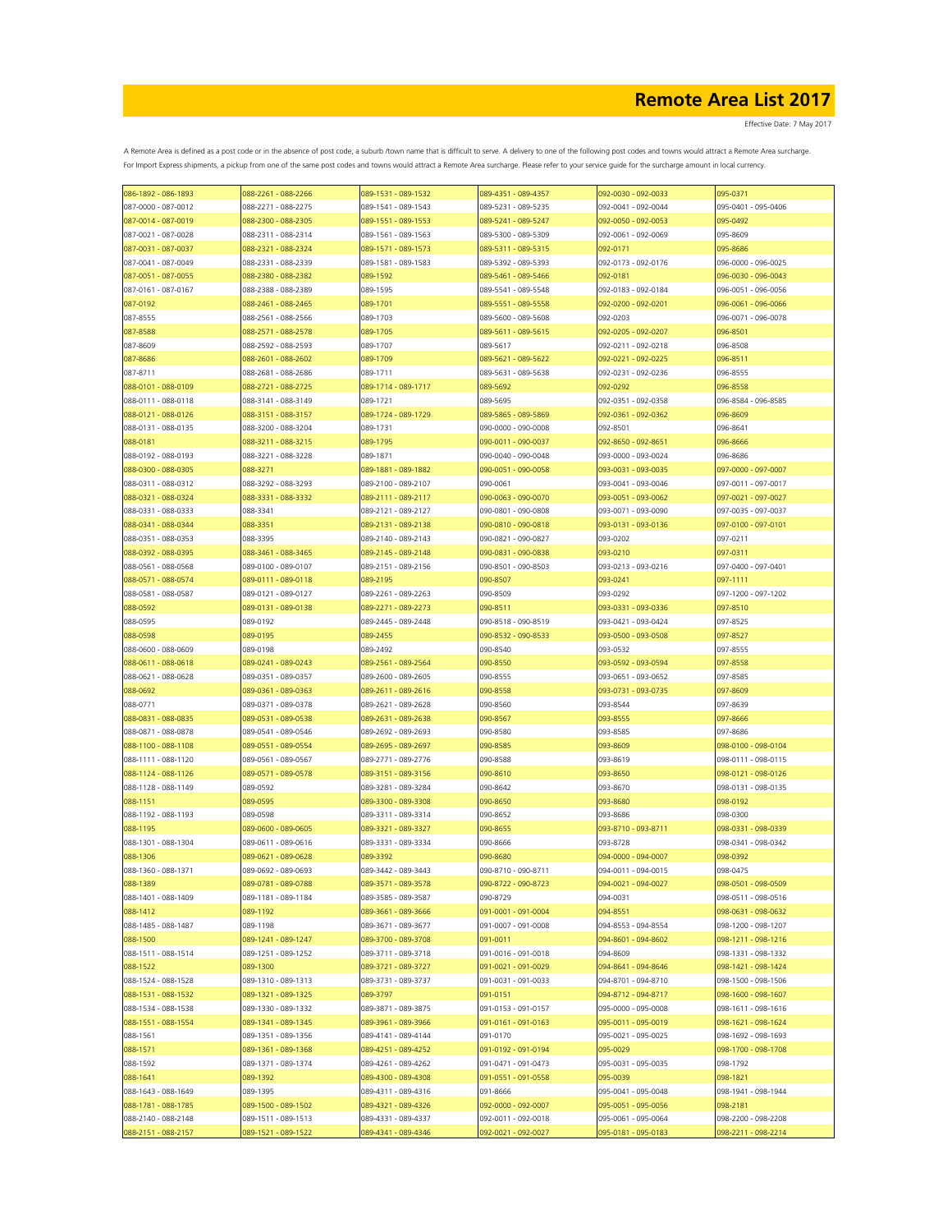| 086-1892 - 086-1893 | 088-2261 - 088-2266 | 089-1531 - 089-1532 | 089-4351 - 089-4357 | 092-0030 - 092-0033 | 095-0371            |
|---------------------|---------------------|---------------------|---------------------|---------------------|---------------------|
| 087-0000 - 087-0012 | 088-2271 - 088-2275 | 089-1541 - 089-1543 | 089-5231 - 089-5235 | 092-0041 - 092-0044 | 095-0401 - 095-0406 |
| 087-0014 - 087-0019 | 088-2300 - 088-2305 | 089-1551 - 089-1553 | 089-5241 - 089-5247 | 092-0050 - 092-0053 | 095-0492            |
| 087-0021 - 087-0028 | 088-2311 - 088-2314 | 089-1561 - 089-1563 | 089-5300 - 089-5309 | 092-0061 - 092-0069 | 095-8609            |
| 087-0031 - 087-0037 | 088-2321 - 088-2324 | 089-1571 - 089-1573 | 089-5311 - 089-5315 | 092-0171            | 095-8686            |
| 087-0041 - 087-0049 | 088-2331 - 088-2339 | 089-1581 - 089-1583 | 089-5392 - 089-5393 | 092-0173 - 092-0176 | 096-0000 - 096-0025 |
|                     |                     |                     |                     |                     |                     |
| 087-0051 - 087-0055 | 088-2380 - 088-2382 | 089-1592            | 089-5461 - 089-5466 | 092-0181            | 096-0030 - 096-0043 |
| 087-0161 - 087-0167 | 088-2388 - 088-2389 | 089-1595            | 089-5541 - 089-5548 | 092-0183 - 092-0184 | 096-0051 - 096-0056 |
| 087-0192            | 088-2461 - 088-2465 | 089-1701            | 089-5551 - 089-5558 | 092-0200 - 092-0201 | 096-0061 - 096-0066 |
| 087-8555            | 088-2561 - 088-2566 | 089-1703            | 089-5600 - 089-5608 | 092-0203            | 096-0071 - 096-0078 |
| 087-8588            | 088-2571 - 088-2578 | 089-1705            | 089-5611 - 089-5615 | 092-0205 - 092-0207 | 096-8501            |
| 087-8609            | 088-2592 - 088-2593 | 089-1707            | 089-5617            | 092-0211 - 092-0218 | 096-8508            |
| 087-8686            | 088-2601 - 088-2602 | 089-1709            | 089-5621 - 089-5622 | 092-0221 - 092-0225 | 096-8511            |
| 087-8711            | 088-2681 - 088-2686 | 089-1711            | 089-5631 - 089-5638 | 092-0231 - 092-0236 | 096-8555            |
| 088-0101 - 088-0109 | 088-2721 - 088-2725 | 089-1714 - 089-1717 | 089-5692            | 092-0292            | 096-8558            |
| 088-0111 - 088-0118 | 088-3141 - 088-3149 | 089-1721            | 089-5695            | 092-0351 - 092-0358 | 096-8584 - 096-8585 |
| 088-0121 - 088-0126 | 088-3151 - 088-3157 | 089-1724 - 089-1729 | 089-5865 - 089-5869 | 092-0361 - 092-0362 | 096-8609            |
|                     |                     |                     |                     |                     |                     |
| 088-0131 - 088-0135 | 088-3200 - 088-3204 | 089-1731            | 090-0000 - 090-0008 | 092-8501            | 096-8641            |
| 088-0181            | 088-3211 - 088-3215 | 089-1795            | 090-0011 - 090-0037 | 092-8650 - 092-8651 | 096-8666            |
| 088-0192 - 088-0193 | 088-3221 - 088-3228 | 089-1871            | 090-0040 - 090-0048 | 093-0000 - 093-0024 | 096-8686            |
| 088-0300 - 088-0305 | 088-3271            | 089-1881 - 089-1882 | 090-0051 - 090-0058 | 093-0031 - 093-0035 | 097-0000 - 097-0007 |
| 088-0311 - 088-0312 | 088-3292 - 088-3293 | 089-2100 - 089-2107 | 090-0061            | 093-0041 - 093-0046 | 097-0011 - 097-0017 |
| 088-0321 - 088-0324 | 088-3331 - 088-3332 | 089-2111 - 089-2117 | 090-0063 - 090-0070 | 093-0051 - 093-0062 | 097-0021 - 097-0027 |
| 088-0331 - 088-0333 | 088-3341            | 089-2121 - 089-2127 | 090-0801 - 090-0808 | 093-0071 - 093-0090 | 097-0035 - 097-0037 |
| 088-0341 - 088-0344 | 088-3351            | 089-2131 - 089-2138 | 090-0810 - 090-0818 | 093-0131 - 093-0136 | 097-0100 - 097-0101 |
| 088-0351 - 088-0353 | 088-3395            | 089-2140 - 089-2143 | 090-0821 - 090-0827 | 093-0202            | 097-0211            |
| 088-0392 - 088-0395 | 088-3461 - 088-3465 | 089-2145 - 089-2148 | 090-0831 - 090-0838 | 093-0210            | 097-0311            |
|                     |                     |                     |                     |                     |                     |
| 088-0561 - 088-0568 | 089-0100 - 089-0107 | 089-2151 - 089-2156 | 090-8501 - 090-8503 | 093-0213 - 093-0216 | 097-0400 - 097-0401 |
| 088-0571 - 088-0574 | 089-0111 - 089-0118 | 089-2195            | 090-8507            | 093-0241            | 097-1111            |
| 088-0581 - 088-0587 | 089-0121 - 089-0127 | 089-2261 - 089-2263 | 090-8509            | 093-0292            | 097-1200 - 097-1202 |
| 088-0592            | 089-0131 - 089-0138 | 089-2271 - 089-2273 | 090-8511            | 093-0331 - 093-0336 | 097-8510            |
| 088-0595            | 089-0192            | 089-2445 - 089-2448 | 090-8518 - 090-8519 | 093-0421 - 093-0424 | 097-8525            |
| 088-0598            | 089-0195            | 089-2455            | 090-8532 - 090-8533 | 093-0500 - 093-0508 | 097-8527            |
| 088-0600 - 088-0609 | 089-0198            | 089-2492            | 090-8540            | 093-0532            | 097-8555            |
| 088-0611 - 088-0618 | 089-0241 - 089-0243 | 089-2561 - 089-2564 | 090-8550            | 093-0592 - 093-0594 | 097-8558            |
| 088-0621 - 088-0628 | 089-0351 - 089-0357 | 089-2600 - 089-2605 | 090-8555            | 093-0651 - 093-0652 | 097-8585            |
| 088-0692            | 089-0361 - 089-0363 | 089-2611 - 089-2616 | 090-8558            | 093-0731 - 093-0735 | 097-8609            |
| 088-0771            | 089-0371 - 089-0378 | 089-2621 - 089-2628 | 090-8560            | 093-8544            | 097-8639            |
|                     |                     |                     |                     |                     |                     |
| 088-0831 - 088-0835 | 089-0531 - 089-0538 | 089-2631 - 089-2638 | 090-8567            | 093-8555            | 097-8666            |
| 088-0871 - 088-0878 | 089-0541 - 089-0546 | 089-2692 - 089-2693 | 090-8580            | 093-8585            | 097-8686            |
| 088-1100 - 088-1108 | 089-0551 - 089-0554 | 089-2695 - 089-2697 | 090-8585            | 093-8609            | 098-0100 - 098-0104 |
| 088-1111 - 088-1120 | 089-0561 - 089-0567 | 089-2771 - 089-2776 | 090-8588            | 093-8619            | 098-0111 - 098-0115 |
| 088-1124 - 088-1126 | 089-0571 - 089-0578 | 089-3151 - 089-3156 | 090-8610            | 093-8650            | 098-0121 - 098-0126 |
| 088-1128 - 088-1149 | 089-0592            | 089-3281 - 089-3284 | 090-8642            | 093-8670            | 098-0131 - 098-0135 |
| 088-1151            | 089-0595            | 089-3300 - 089-3308 | 090-8650            | 093-8680            | 098-0192            |
| 088-1192 - 088-1193 | 089-0598            | 089-3311 - 089-3314 | 090-8652            | 093-8686            | 098-0300            |
| 088-1195            | 089-0600 - 089-0605 | 089-3321 - 089-3327 | 090-8655            | 093-8710 - 093-8711 | 098-0331 - 098-0339 |
| 088-1301 - 088-1304 | 089-0611 - 089-0616 | 089-3331 - 089-3334 | 090-8666            | 093-8728            | 098-0341 - 098-0342 |
| 088-1306            | 089-0621 - 089-0628 | 089-3392            | 090-8680            | 094-0000 - 094-0007 | 098-0392            |
| 088-1360 - 088-1371 | 089-0692 - 089-0693 | 089-3442 - 089-3443 | 090-8710 - 090-8711 | 094-0011 - 094-0015 | 098-0475            |
|                     |                     |                     |                     |                     |                     |
| 088-1389            | 089-0781 - 089-0788 | 089-3571 - 089-3578 | 090-8722 - 090-8723 | 094-0021 - 094-0027 | 098-0501 - 098-0509 |
| 088-1401 - 088-1409 | 089-1181 - 089-1184 | 089-3585 - 089-3587 | 090-8729            | 094-0031            | 098-0511 - 098-0516 |
| 088-1412            | 089-1192            | 089-3661 - 089-3666 | 091-0001 - 091-0004 | 094-8551            | 098-0631 - 098-0632 |
| 088-1485 - 088-1487 | 089-1198            | 089-3671 - 089-3677 | 091-0007 - 091-0008 | 094-8553 - 094-8554 | 098-1200 - 098-1207 |
| 088-1500            | 089-1241 - 089-1247 | 089-3700 - 089-3708 | 091-0011            | 094-8601 - 094-8602 | 098-1211 - 098-1216 |
| 088-1511 - 088-1514 | 089-1251 - 089-1252 | 089-3711 - 089-3718 | 091-0016 - 091-0018 | 094-8609            | 098-1331 - 098-1332 |
| 088-1522            | 089-1300            | 089-3721 - 089-3727 | 091-0021 - 091-0029 | 094-8641 - 094-8646 | 098-1421 - 098-1424 |
| 088-1524 - 088-1528 | 089-1310 - 089-1313 | 089-3731 - 089-3737 | 091-0031 - 091-0033 | 094-8701 - 094-8710 | 098-1500 - 098-1506 |
| 088-1531 - 088-1532 | 089-1321 - 089-1325 | 089-3797            | 091-0151            | 094-8712 - 094-8717 | 098-1600 - 098-1607 |
| 088-1534 - 088-1538 | 089-1330 - 089-1332 | 089-3871 - 089-3875 | 091-0153 - 091-0157 | 095-0000 - 095-0008 | 098-1611 - 098-1616 |
| 088-1551 - 088-1554 | 089-1341 - 089-1345 | 089-3961 - 089-3966 | 091-0161 - 091-0163 | 095-0011 - 095-0019 | 098-1621 - 098-1624 |
|                     |                     |                     |                     | 095-0021 - 095-0025 |                     |
| 088-1561            | 089-1351 - 089-1356 | 089-4141 - 089-4144 | 091-0170            |                     | 098-1692 - 098-1693 |
| 088-1571            | 089-1361 - 089-1368 | 089-4251 - 089-4252 | 091-0192 - 091-0194 | 095-0029            | 098-1700 - 098-1708 |
| 088-1592            | 089-1371 - 089-1374 | 089-4261 - 089-4262 | 091-0471 - 091-0473 | 095-0031 - 095-0035 | 098-1792            |
| 088-1641            | 089-1392            | 089-4300 - 089-4308 | 091-0551 - 091-0558 | 095-0039            | 098-1821            |
| 088-1643 - 088-1649 | 089-1395            | 089-4311 - 089-4316 | 091-8666            | 095-0041 - 095-0048 | 098-1941 - 098-1944 |
| 088-1781 - 088-1785 | 089-1500 - 089-1502 | 089-4321 - 089-4326 | 092-0000 - 092-0007 | 095-0051 - 095-0056 | 098-2181            |
| 088-2140 - 088-2148 | 089-1511 - 089-1513 | 089-4331 - 089-4337 | 092-0011 - 092-0018 | 095-0061 - 095-0064 | 098-2200 - 098-2208 |
| 088-2151 - 088-2157 | 089-1521 - 089-1522 | 089-4341 - 089-4346 | 092-0021 - 092-0027 | 095-0181 - 095-0183 | 098-2211 - 098-2214 |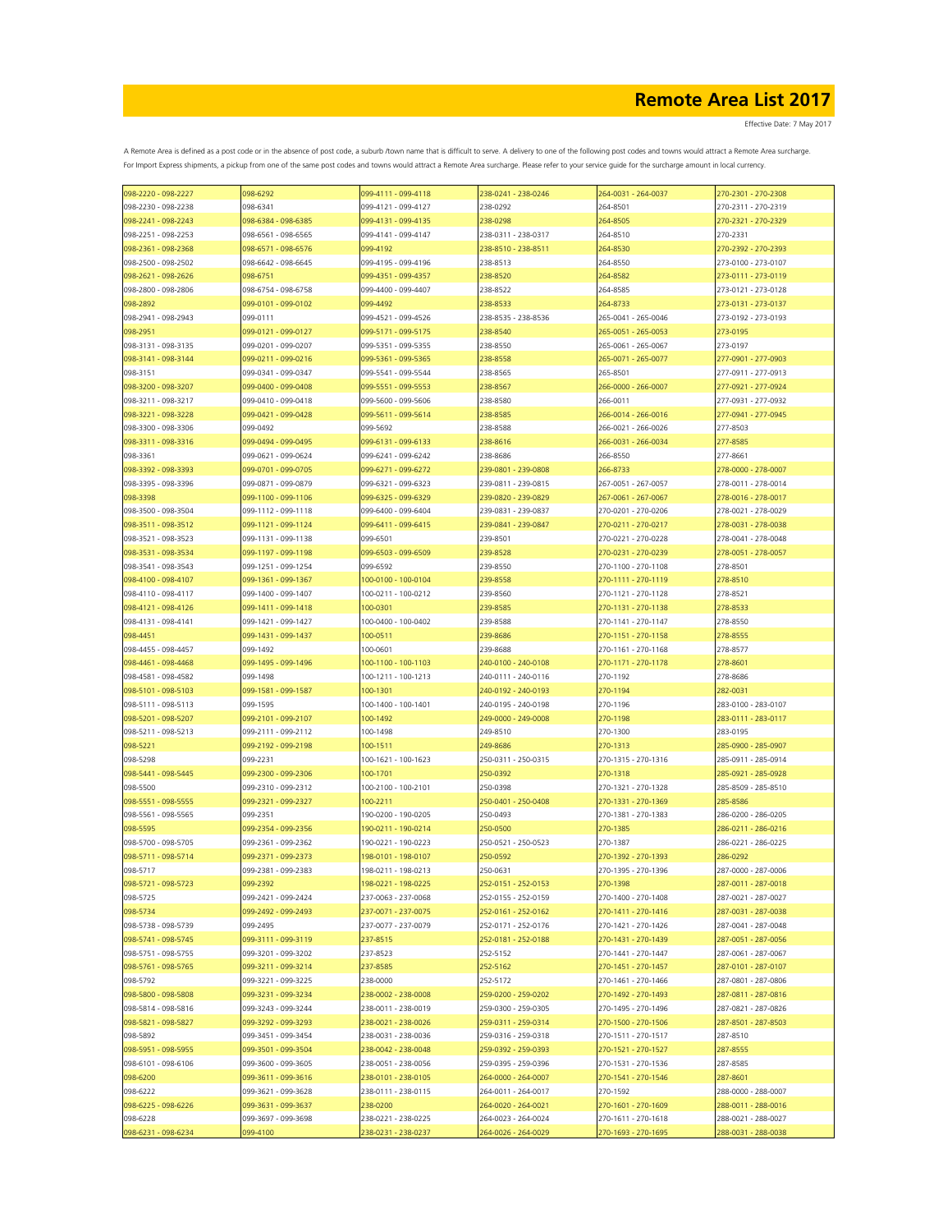Effective Date: 7 May 2017

| 098-2220 - 098-2227                        | 098-6292                                   | 099-4111 - 099-4118             | 238-0241 - 238-0246  | 264-0031 - 264-0037                        | 270-2301 - 270-2308                        |
|--------------------------------------------|--------------------------------------------|---------------------------------|----------------------|--------------------------------------------|--------------------------------------------|
| 098-2230 - 098-2238                        | 098-6341                                   | 099-4121 - 099-4127             | 238-0292             | 264-8501                                   | 270-2311 - 270-2319                        |
| 098-2241 - 098-2243                        | 098-6384 - 098-6385                        | 099-4131 - 099-4135             | 238-0298             | 264-8505                                   | 270-2321 - 270-2329                        |
| 098-2251 - 098-2253                        | 098-6561 - 098-6565                        | 099-4141 - 099-4147             | 238-0311 - 238-0317  | 264-8510                                   | 270-2331                                   |
| 098-2361 - 098-2368                        | 098-6571 - 098-6576                        | 099-4192                        | 238-8510 - 238-8511  | 264-8530                                   | 270-2392 - 270-2393                        |
| 098-2500 - 098-2502                        | 098-6642 - 098-6645                        | 099-4195 - 099-4196             | 238-8513             | 264-8550                                   | 273-0100 - 273-0107                        |
| 098-2621 - 098-2626                        | 098-6751                                   | 099-4351 - 099-4357             | 238-8520             | 264-8582                                   | 273-0111 - 273-0119                        |
| 098-2800 - 098-2806                        | 098-6754 - 098-6758                        | 099-4400 - 099-4407             | 238-8522             | 264-8585                                   | 273-0121 - 273-0128                        |
| 098-2892                                   | 099-0101 - 099-0102                        | 099-4492                        | 238-8533             | 264-8733                                   | 273-0131 - 273-0137                        |
| 098-2941 - 098-2943                        | 099-0111                                   | 099-4521 - 099-4526             | 238-8535 - 238-8536  | 265-0041 - 265-0046                        | 273-0192 - 273-0193                        |
| 098-2951                                   | 099-0121 - 099-0127                        | 099-5171 - 099-5175             | 238-8540             | 265-0051 - 265-0053                        | 273-0195                                   |
| 098-3131 - 098-3135                        | 099-0201 - 099-0207                        | 099-5351 - 099-5355             | 238-8550             | 265-0061 - 265-0067                        | 273-0197                                   |
| 098-3141 - 098-3144                        | 099-0211 - 099-0216                        | 099-5361 - 099-5365             | 238-8558             | 265-0071 - 265-0077                        | 277-0901 - 277-0903                        |
| 098-3151                                   | 099-0341 - 099-0347                        | 099-5541 - 099-5544             | 238-8565             | 265-8501                                   | 277-0911 - 277-0913                        |
| 098-3200 - 098-3207                        | 099-0400 - 099-0408                        | 099-5551 - 099-5553             | 238-8567             | 266-0000 - 266-0007                        | 277-0921 - 277-0924                        |
| 098-3211 - 098-3217                        | 099-0410 - 099-0418                        | 099-5600 - 099-5606             | 238-8580             | 266-0011                                   | 277-0931 - 277-0932                        |
| 098-3221 - 098-3228                        | 099-0421 - 099-0428                        | 099-5611 - 099-5614             | 238-8585             | 266-0014 - 266-0016                        | 277-0941 - 277-0945                        |
| 098-3300 - 098-3306                        | 099-0492                                   | 099-5692                        | 238-8588             | 266-0021 - 266-0026                        | 277-8503                                   |
| 098-3311 - 098-3316                        | 099-0494 - 099-0495                        | 099-6131 - 099-6133             | 238-8616             | 266-0031 - 266-0034                        | 277-8585                                   |
| 098-3361                                   | 099-0621 - 099-0624                        | 099-6241 - 099-6242             | 238-8686             | 266-8550                                   | 277-8661                                   |
| 098-3392 - 098-3393                        | 099-0701 - 099-0705                        | 099-6271 - 099-6272             | 239-0801 - 239-0808  | 266-8733                                   | 278-0000 - 278-0007                        |
| 098-3395 - 098-3396                        | 099-0871 - 099-0879                        | 099-6321 - 099-6323             | 239-0811 - 239-0815  | 267-0051 - 267-0057                        | 278-0011 - 278-0014                        |
| 098-3398                                   | 099-1100 - 099-1106                        | 099-6325 - 099-6329             | 239-0820 - 239-0829  | 267-0061 - 267-0067<br>270-0201 - 270-0206 | 278-0016 - 278-0017                        |
| 098-3500 - 098-3504                        | 099-1112 - 099-1118<br>099-1121 - 099-1124 | 099-6400 - 099-6404             | 239-0831 - 239-0837  |                                            | 278-0021 - 278-0029                        |
| 098-3511 - 098-3512                        | 099-1131 - 099-1138                        | 099-6411 - 099-6415<br>099-6501 | 239-0841 - 239-0847  | 270-0211 - 270-0217<br>270-0221 - 270-0228 | 278-0031 - 278-0038<br>278-0041 - 278-0048 |
| 098-3521 - 098-3523<br>098-3531 - 098-3534 | 099-1197 - 099-1198                        | 099-6503 - 099-6509             | 239-8501<br>239-8528 | 270-0231 - 270-0239                        | 278-0051 - 278-0057                        |
| 098-3541 - 098-3543                        | 099-1251 - 099-1254                        | 099-6592                        | 239-8550             | 270-1100 - 270-1108                        | 278-8501                                   |
| 098-4100 - 098-4107                        | 099-1361 - 099-1367                        | 100-0100 - 100-0104             | 239-8558             | 270-1111 - 270-1119                        | 278-8510                                   |
| 098-4110 - 098-4117                        | 099-1400 - 099-1407                        | 100-0211 - 100-0212             | 239-8560             | 270-1121 - 270-1128                        | 278-8521                                   |
| 098-4121 - 098-4126                        | 099-1411 - 099-1418                        | 100-0301                        | 239-8585             | 270-1131 - 270-1138                        | 278-8533                                   |
| 098-4131 - 098-4141                        | 099-1421 - 099-1427                        | 100-0400 - 100-0402             | 239-8588             | 270-1141 - 270-1147                        | 278-8550                                   |
| 098-4451                                   | 099-1431 - 099-1437                        | 100-0511                        | 239-8686             | 270-1151 - 270-1158                        | 278-8555                                   |
| 098-4455 - 098-4457                        | 099-1492                                   | 100-0601                        | 239-8688             | 270-1161 - 270-1168                        | 278-8577                                   |
| 098-4461 - 098-4468                        | 099-1495 - 099-1496                        | 100-1100 - 100-1103             | 240-0100 - 240-0108  | 270-1171 - 270-1178                        | 278-8601                                   |
| 098-4581 - 098-4582                        | 099-1498                                   | 100-1211 - 100-1213             | 240-0111 - 240-0116  | 270-1192                                   | 278-8686                                   |
| 098-5101 - 098-5103                        | 099-1581 - 099-1587                        | 100-1301                        | 240-0192 - 240-0193  | 270-1194                                   | 282-0031                                   |
| 098-5111 - 098-5113                        | 099-1595                                   | 100-1400 - 100-1401             | 240-0195 - 240-0198  | 270-1196                                   | 283-0100 - 283-0107                        |
| 098-5201 - 098-5207                        | 099-2101 - 099-2107                        | 100-1492                        | 249-0000 - 249-0008  | 270-1198                                   | 283-0111 - 283-0117                        |
| 098-5211 - 098-5213                        | 099-2111 - 099-2112                        | 100-1498                        | 249-8510             | 270-1300                                   | 283-0195                                   |
| 098-5221                                   | 099-2192 - 099-2198                        | 100-1511                        | 249-8686             | 270-1313                                   | 285-0900 - 285-0907                        |
| 098-5298                                   | 099-2231                                   | 100-1621 - 100-1623             | 250-0311 - 250-0315  | 270-1315 - 270-1316                        | 285-0911 - 285-0914                        |
| 098-5441 - 098-5445                        | 099-2300 - 099-2306                        | 100-1701                        | 250-0392             | 270-1318                                   | 285-0921 - 285-0928                        |
| 098-5500                                   | 099-2310 - 099-2312                        | 100-2100 - 100-2101             | 250-0398             | 270-1321 - 270-1328                        | 285-8509 - 285-8510                        |
| 098-5551 - 098-5555                        | 099-2321 - 099-2327                        | 100-2211                        | 250-0401 - 250-0408  | 270-1331 - 270-1369                        | 285-8586                                   |
| 098-5561 - 098-5565                        | 099-2351                                   | 190-0200 - 190-0205             | 250-0493             | 270-1381 - 270-1383                        | 286-0200 - 286-0205                        |
| 098-5595                                   | 099-2354 - 099-2356                        | 190-0211 - 190-0214             | 250-0500             | 270-1385                                   | 286-0211 - 286-0216                        |
| 098-5700 - 098-5705                        | 099-2361 - 099-2362                        | 190-0221 - 190-0223             | 250-0521 - 250-0523  | 270-1387                                   | 286-0221 - 286-0225                        |
| 098-5711 - 098-5714                        | 099-2371 - 099-2373                        | 198-0101 - 198-0107             | 250-0592             | 270-1392 - 270-1393                        | 286-0292                                   |
| 098-5717                                   | 099-2381 - 099-2383                        | 198-0211 - 198-0213             | 250-0631             | 270-1395 - 270-1396                        | 287-0000 - 287-0006                        |
| 098-5721 - 098-5723                        | 099-2392                                   | 198-0221 - 198-0225             | 252-0151 - 252-0153  | 270-1398                                   | 287-0011 - 287-0018                        |
| 098-5725                                   | 099-2421 - 099-2424                        | 237-0063 - 237-0068             | 252-0155 - 252-0159  | 270-1400 - 270-1408                        | 287-0021 - 287-0027                        |
| 098-5734                                   | 099-2492 - 099-2493                        | 237-0071 - 237-0075             | 252-0161 - 252-0162  | 270-1411 - 270-1416                        | 287-0031 - 287-0038                        |
| 098-5738 - 098-5739                        | 099-2495                                   | 237-0077 - 237-0079             | 252-0171 - 252-0176  | 270-1421 - 270-1426                        | 287-0041 - 287-0048                        |
| 098-5741 - 098-5745                        | 099-3111 - 099-3119                        | 237-8515                        | 252-0181 - 252-0188  | 270-1431 - 270-1439                        | 287-0051 - 287-0056                        |
| 098-5751 - 098-5755                        | 099-3201 - 099-3202                        | 237-8523                        | 252-5152             | 270-1441 - 270-1447                        | 287-0061 - 287-0067                        |
| 098-5761 - 098-5765                        | 099-3211 - 099-3214                        | 237-8585                        | 252-5162             | 270-1451 - 270-1457                        | 287-0101 - 287-0107                        |
| 098-5792                                   | 099-3221 - 099-3225                        | 238-0000                        | 252-5172             | 270-1461 - 270-1466                        | 287-0801 - 287-0806                        |
| 098-5800 - 098-5808                        | 099-3231 - 099-3234                        | 238-0002 - 238-0008             | 259-0200 - 259-0202  | 270-1492 - 270-1493                        | 287-0811 - 287-0816                        |
| 098-5814 - 098-5816                        | 099-3243 - 099-3244                        | 238-0011 - 238-0019             | 259-0300 - 259-0305  | 270-1495 - 270-1496                        | 287-0821 - 287-0826                        |
| 098-5821 - 098-5827                        | 099-3292 - 099-3293                        | 238-0021 - 238-0026             | 259-0311 - 259-0314  | 270-1500 - 270-1506                        | 287-8501 - 287-8503                        |
| 098-5892                                   | 099-3451 - 099-3454                        | 238-0031 - 238-0036             | 259-0316 - 259-0318  | 270-1511 - 270-1517                        | 287-8510                                   |
| 098-5951 - 098-5955                        | 099-3501 - 099-3504                        | 238-0042 - 238-0048             | 259-0392 - 259-0393  | 270-1521 - 270-1527                        | 287-8555                                   |
| 098-6101 - 098-6106                        | 099-3600 - 099-3605                        | 238-0051 - 238-0056             | 259-0395 - 259-0396  | 270-1531 - 270-1536                        | 287-8585                                   |
| 098-6200                                   | 099-3611 - 099-3616                        | 238-0101 - 238-0105             | 264-0000 - 264-0007  | 270-1541 - 270-1546                        | 287-8601                                   |
| 098-6222                                   | 099-3621 - 099-3628                        | 238-0111 - 238-0115             | 264-0011 - 264-0017  | 270-1592                                   | 288-0000 - 288-0007                        |
| 098-6225 - 098-6226                        | 099-3631 - 099-3637                        | 238-0200                        | 264-0020 - 264-0021  | 270-1601 - 270-1609                        | 288-0011 - 288-0016                        |
| 098-6228                                   | 099-3697 - 099-3698                        | 238-0221 - 238-0225             | 264-0023 - 264-0024  | 270-1611 - 270-1618                        | 288-0021 - 288-0027                        |
| 098-6231 - 098-6234                        | 099-4100                                   | 238-0231 - 238-0237             | 264-0026 - 264-0029  | 270-1693 - 270-1695                        | 288-0031 - 288-0038                        |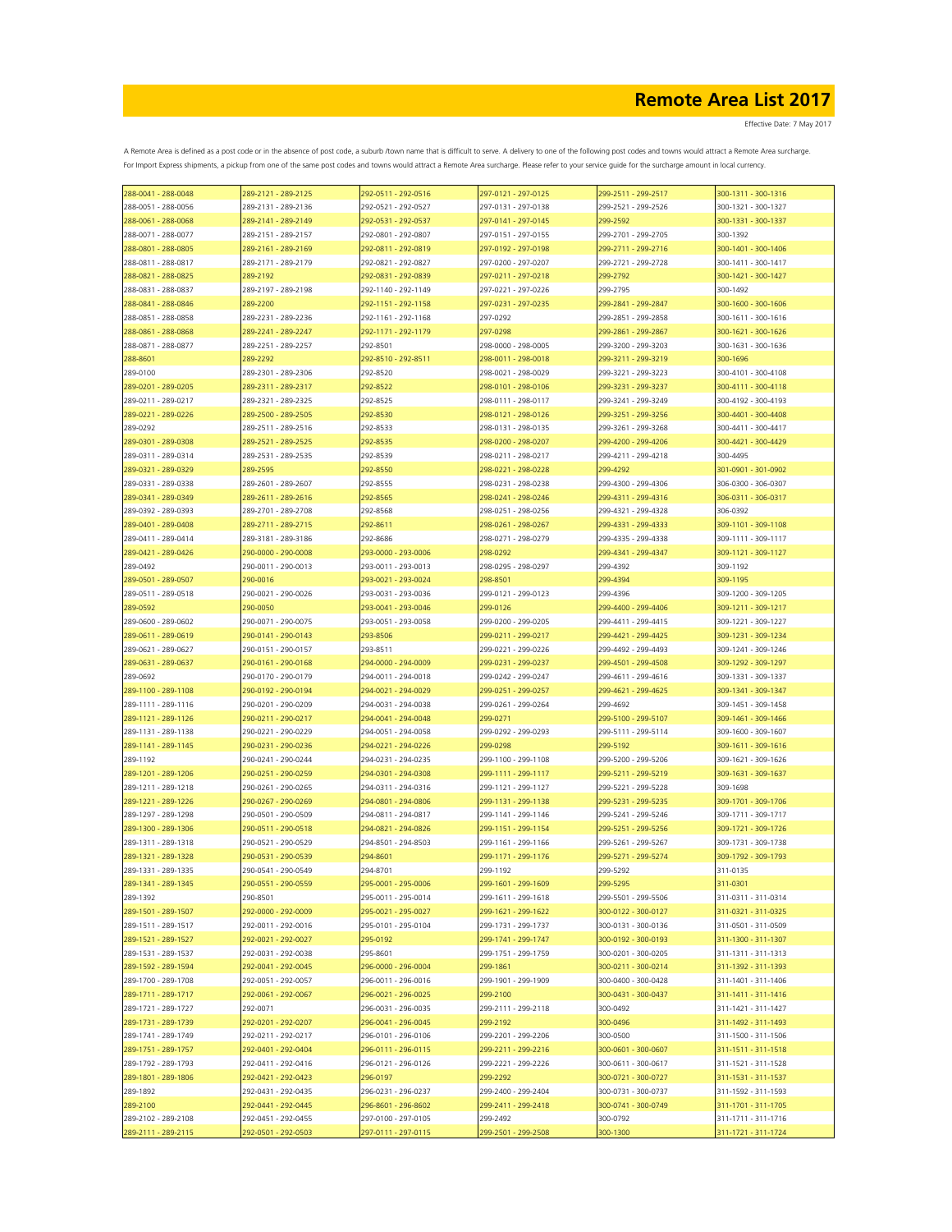| 288-0041 - 288-0048 | 289-2121 - 289-2125 | 292-0511 - 292-0516 | 297-0121 - 297-0125 | 299-2511 - 299-2517 | 300-1311 - 300-1316 |
|---------------------|---------------------|---------------------|---------------------|---------------------|---------------------|
| 288-0051 - 288-0056 | 289-2131 - 289-2136 | 292-0521 - 292-0527 | 297-0131 - 297-0138 | 299-2521 - 299-2526 | 300-1321 - 300-1327 |
| 288-0061 - 288-0068 | 289-2141 - 289-2149 | 292-0531 - 292-0537 | 297-0141 - 297-0145 | 299-2592            | 300-1331 - 300-1337 |
| 288-0071 - 288-0077 | 289-2151 - 289-2157 | 292-0801 - 292-0807 | 297-0151 - 297-0155 | 299-2701 - 299-2705 | 300-1392            |
| 288-0801 - 288-0805 | 289-2161 - 289-2169 | 292-0811 - 292-0819 | 297-0192 - 297-0198 | 299-2711 - 299-2716 | 300-1401 - 300-1406 |
| 288-0811 - 288-0817 | 289-2171 - 289-2179 | 292-0821 - 292-0827 | 297-0200 - 297-0207 | 299-2721 - 299-2728 | 300-1411 - 300-1417 |
|                     |                     |                     |                     | 299-2792            |                     |
| 288-0821 - 288-0825 | 289-2192            | 292-0831 - 292-0839 | 297-0211 - 297-0218 |                     | 300-1421 - 300-1427 |
| 288-0831 - 288-0837 | 289-2197 - 289-2198 | 292-1140 - 292-1149 | 297-0221 - 297-0226 | 299-2795            | 300-1492            |
| 288-0841 - 288-0846 | 289-2200            | 292-1151 - 292-1158 | 297-0231 - 297-0235 | 299-2841 - 299-2847 | 300-1600 - 300-1606 |
| 288-0851 - 288-0858 | 289-2231 - 289-2236 | 292-1161 - 292-1168 | 297-0292            | 299-2851 - 299-2858 | 300-1611 - 300-1616 |
| 288-0861 - 288-0868 | 289-2241 - 289-2247 | 292-1171 - 292-1179 | 297-0298            | 299-2861 - 299-2867 | 300-1621 - 300-1626 |
| 288-0871 - 288-0877 | 289-2251 - 289-2257 | 292-8501            | 298-0000 - 298-0005 | 299-3200 - 299-3203 | 300-1631 - 300-1636 |
| 288-8601            | 289-2292            | 292-8510 - 292-8511 | 298-0011 - 298-0018 | 299-3211 - 299-3219 | 300-1696            |
| 289-0100            | 289-2301 - 289-2306 | 292-8520            | 298-0021 - 298-0029 | 299-3221 - 299-3223 | 300-4101 - 300-4108 |
| 289-0201 - 289-0205 | 289-2311 - 289-2317 | 292-8522            | 298-0101 - 298-0106 | 299-3231 - 299-3237 | 300-4111 - 300-4118 |
| 289-0211 - 289-0217 | 289-2321 - 289-2325 | 292-8525            | 298-0111 - 298-0117 | 299-3241 - 299-3249 | 300-4192 - 300-4193 |
|                     | 289-2500 - 289-2505 | 292-8530            | 298-0121 - 298-0126 | 299-3251 - 299-3256 | 300-4401 - 300-4408 |
| 289-0221 - 289-0226 | 289-2511 - 289-2516 |                     |                     | 299-3261 - 299-3268 | 300-4411 - 300-4417 |
| 289-0292            |                     | 292-8533            | 298-0131 - 298-0135 |                     |                     |
| 289-0301 - 289-0308 | 289-2521 - 289-2525 | 292-8535            | 298-0200 - 298-0207 | 299-4200 - 299-4206 | 300-4421 - 300-4429 |
| 289-0311 - 289-0314 | 289-2531 - 289-2535 | 292-8539            | 298-0211 - 298-0217 | 299-4211 - 299-4218 | 300-4495            |
| 289-0321 - 289-0329 | 289-2595            | 292-8550            | 298-0221 - 298-0228 | 299-4292            | 301-0901 - 301-0902 |
| 289-0331 - 289-0338 | 289-2601 - 289-2607 | 292-8555            | 298-0231 - 298-0238 | 299-4300 - 299-4306 | 306-0300 - 306-0307 |
| 289-0341 - 289-0349 | 289-2611 - 289-2616 | 292-8565            | 298-0241 - 298-0246 | 299-4311 - 299-4316 | 306-0311 - 306-0317 |
| 289-0392 - 289-0393 | 289-2701 - 289-2708 | 292-8568            | 298-0251 - 298-0256 | 299-4321 - 299-4328 | 306-0392            |
| 289-0401 - 289-0408 | 289-2711 - 289-2715 | 292-8611            | 298-0261 - 298-0267 | 299-4331 - 299-4333 | 309-1101 - 309-1108 |
| 289-0411 - 289-0414 | 289-3181 - 289-3186 | 292-8686            | 298-0271 - 298-0279 | 299-4335 - 299-4338 | 309-1111 - 309-1117 |
| 289-0421 - 289-0426 | 290-0000 - 290-0008 | 293-0000 - 293-0006 | 298-0292            | 299-4341 - 299-4347 | 309-1121 - 309-1127 |
|                     |                     | 293-0011 - 293-0013 | 298-0295 - 298-0297 |                     | 309-1192            |
| 289-0492            | 290-0011 - 290-0013 |                     |                     | 299-4392            |                     |
| 289-0501 - 289-0507 | 290-0016            | 293-0021 - 293-0024 | 298-8501            | 299-4394            | 309-1195            |
| 289-0511 - 289-0518 | 290-0021 - 290-0026 | 293-0031 - 293-0036 | 299-0121 - 299-0123 | 299-4396            | 309-1200 - 309-1205 |
| 289-0592            | 290-0050            | 293-0041 - 293-0046 | 299-0126            | 299-4400 - 299-4406 | 309-1211 - 309-1217 |
| 289-0600 - 289-0602 | 290-0071 - 290-0075 | 293-0051 - 293-0058 | 299-0200 - 299-0205 | 299-4411 - 299-4415 | 309-1221 - 309-1227 |
| 289-0611 - 289-0619 | 290-0141 - 290-0143 | 293-8506            | 299-0211 - 299-0217 | 299-4421 - 299-4425 | 309-1231 - 309-1234 |
| 289-0621 - 289-0627 | 290-0151 - 290-0157 | 293-8511            | 299-0221 - 299-0226 | 299-4492 - 299-4493 | 309-1241 - 309-1246 |
| 289-0631 - 289-0637 | 290-0161 - 290-0168 | 294-0000 - 294-0009 | 299-0231 - 299-0237 | 299-4501 - 299-4508 | 309-1292 - 309-1297 |
| 289-0692            | 290-0170 - 290-0179 | 294-0011 - 294-0018 | 299-0242 - 299-0247 | 299-4611 - 299-4616 | 309-1331 - 309-1337 |
| 289-1100 - 289-1108 | 290-0192 - 290-0194 | 294-0021 - 294-0029 | 299-0251 - 299-0257 | 299-4621 - 299-4625 | 309-1341 - 309-1347 |
|                     |                     |                     |                     |                     |                     |
| 289-1111 - 289-1116 | 290-0201 - 290-0209 | 294-0031 - 294-0038 | 299-0261 - 299-0264 | 299-4692            | 309-1451 - 309-1458 |
| 289-1121 - 289-1126 | 290-0211 - 290-0217 | 294-0041 - 294-0048 | 299-0271            | 299-5100 - 299-5107 | 309-1461 - 309-1466 |
| 289-1131 - 289-1138 | 290-0221 - 290-0229 | 294-0051 - 294-0058 | 299-0292 - 299-0293 | 299-5111 - 299-5114 | 309-1600 - 309-1607 |
| 289-1141 - 289-1145 | 290-0231 - 290-0236 | 294-0221 - 294-0226 | 299-0298            | 299-5192            | 309-1611 - 309-1616 |
| 289-1192            | 290-0241 - 290-0244 | 294-0231 - 294-0235 | 299-1100 - 299-1108 | 299-5200 - 299-5206 | 309-1621 - 309-1626 |
| 289-1201 - 289-1206 | 290-0251 - 290-0259 | 294-0301 - 294-0308 | 299-1111 - 299-1117 | 299-5211 - 299-5219 | 309-1631 - 309-1637 |
| 289-1211 - 289-1218 | 290-0261 - 290-0265 | 294-0311 - 294-0316 | 299-1121 - 299-1127 | 299-5221 - 299-5228 | 309-1698            |
| 289-1221 - 289-1226 | 290-0267 - 290-0269 | 294-0801 - 294-0806 | 299-1131 - 299-1138 | 299-5231 - 299-5235 | 309-1701 - 309-1706 |
| 289-1297 - 289-1298 | 290-0501 - 290-0509 | 294-0811 - 294-0817 | 299-1141 - 299-1146 | 299-5241 - 299-5246 | 309-1711 - 309-1717 |
| 289-1300 - 289-1306 | 290-0511 - 290-0518 | 294-0821 - 294-0826 | 299-1151 - 299-1154 | 299-5251 - 299-5256 | 309-1721 - 309-1726 |
| 289-1311 - 289-1318 | 290-0521 - 290-0529 | 294-8501 - 294-8503 | 299-1161 - 299-1166 | 299-5261 - 299-5267 | 309-1731 - 309-1738 |
| 289-1321 - 289-1328 | 290-0531 - 290-0539 | 294-8601            | 299-1171 - 299-1176 | 299-5271 - 299-5274 | 309-1792 - 309-1793 |
| 289-1331 - 289-1335 | 290-0541 - 290-0549 | 294-8701            | 299-1192            | 299-5292            | 311-0135            |
|                     |                     |                     |                     |                     |                     |
| 289-1341 - 289-1345 | 290-0551 - 290-0559 | 295-0001 - 295-0006 | 299-1601 - 299-1609 | 299-5295            | 311-0301            |
| 289-1392            | 290-8501            | 295-0011 - 295-0014 | 299-1611 - 299-1618 | 299-5501 - 299-5506 | 311-0311 - 311-0314 |
| 289-1501 - 289-1507 | 292-0000 - 292-0009 | 295-0021 - 295-0027 | 299-1621 - 299-1622 | 300-0122 - 300-0127 | 311-0321 - 311-0325 |
| 289-1511 - 289-1517 | 292-0011 - 292-0016 | 295-0101 - 295-0104 | 299-1731 - 299-1737 | 300-0131 - 300-0136 | 311-0501 - 311-0509 |
| 289-1521 - 289-1527 | 292-0021 - 292-0027 | 295-0192            | 299-1741 - 299-1747 | 300-0192 - 300-0193 | 311-1300 - 311-1307 |
| 289-1531 - 289-1537 | 292-0031 - 292-0038 | 295-8601            | 299-1751 - 299-1759 | 300-0201 - 300-0205 | 311-1311 - 311-1313 |
| 289-1592 - 289-1594 | 292-0041 - 292-0045 | 296-0000 - 296-0004 | 299-1861            | 300-0211 - 300-0214 | 311-1392 - 311-1393 |
| 289-1700 - 289-1708 | 292-0051 - 292-0057 | 296-0011 - 296-0016 | 299-1901 - 299-1909 | 300-0400 - 300-0428 | 311-1401 - 311-1406 |
| 289-1711 - 289-1717 | 292-0061 - 292-0067 | 296-0021 - 296-0025 | 299-2100            | 300-0431 - 300-0437 | 311-1411 - 311-1416 |
| 289-1721 - 289-1727 | 292-0071            | 296-0031 - 296-0035 | 299-2111 - 299-2118 | 300-0492            | 311-1421 - 311-1427 |
|                     |                     | 296-0041 - 296-0045 | 299-2192            |                     |                     |
| 289-1731 - 289-1739 | 292-0201 - 292-0207 |                     |                     | 300-0496            | 311-1492 - 311-1493 |
| 289-1741 - 289-1749 | 292-0211 - 292-0217 | 296-0101 - 296-0106 | 299-2201 - 299-2206 | 300-0500            | 311-1500 - 311-1506 |
| 289-1751 - 289-1757 | 292-0401 - 292-0404 | 296-0111 - 296-0115 | 299-2211 - 299-2216 | 300-0601 - 300-0607 | 311-1511 - 311-1518 |
| 289-1792 - 289-1793 | 292-0411 - 292-0416 | 296-0121 - 296-0126 | 299-2221 - 299-2226 | 300-0611 - 300-0617 | 311-1521 - 311-1528 |
| 289-1801 - 289-1806 | 292-0421 - 292-0423 | 296-0197            | 299-2292            | 300-0721 - 300-0727 | 311-1531 - 311-1537 |
| 289-1892            | 292-0431 - 292-0435 | 296-0231 - 296-0237 | 299-2400 - 299-2404 | 300-0731 - 300-0737 | 311-1592 - 311-1593 |
| 289-2100            | 292-0441 - 292-0445 | 296-8601 - 296-8602 | 299-2411 - 299-2418 | 300-0741 - 300-0749 | 311-1701 - 311-1705 |
| 289-2102 - 289-2108 | 292-0451 - 292-0455 | 297-0100 - 297-0105 | 299-2492            | 300-0792            | 311-1711 - 311-1716 |
| 289-2111 - 289-2115 | 292-0501 - 292-0503 | 297-0111 - 297-0115 | 299-2501 - 299-2508 | 300-1300            | 311-1721 - 311-1724 |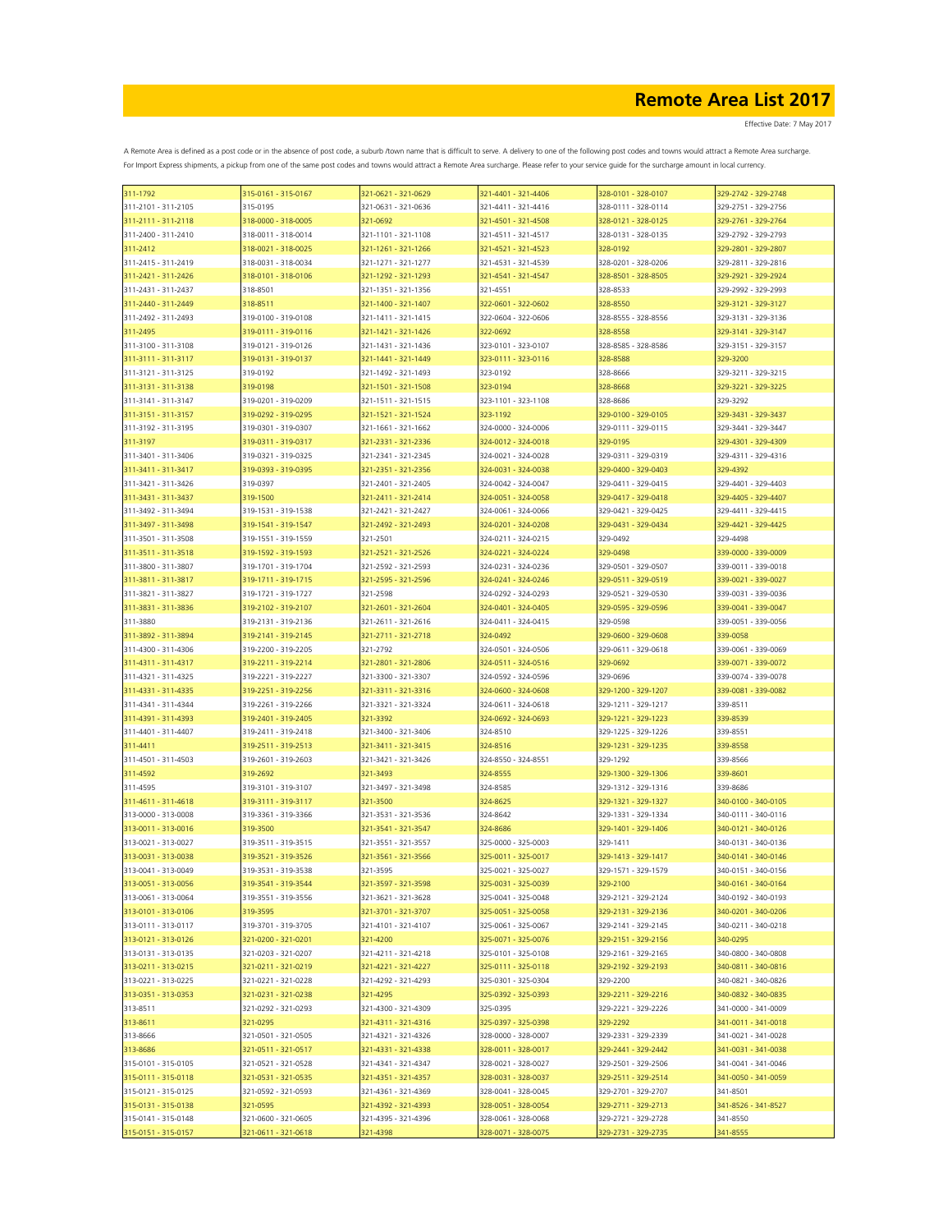| 311-1792                                   | 315-0161 - 315-0167             | 321-0621 - 321-0629                        | 321-4401 - 321-4406                        | 328-0101 - 328-0107                        | 329-2742 - 329-2748                        |
|--------------------------------------------|---------------------------------|--------------------------------------------|--------------------------------------------|--------------------------------------------|--------------------------------------------|
| 311-2101 - 311-2105                        | 315-0195                        | 321-0631 - 321-0636                        | 321-4411 - 321-4416                        | 328-0111 - 328-0114                        | 329-2751 - 329-2756                        |
| 311-2111 - 311-2118                        | 318-0000 - 318-0005             | 321-0692                                   | 321-4501 - 321-4508                        | 328-0121 - 328-0125                        | 329-2761 - 329-2764                        |
| 311-2400 - 311-2410                        | 318-0011 - 318-0014             | 321-1101 - 321-1108                        | 321-4511 - 321-4517                        | 328-0131 - 328-0135                        | 329-2792 - 329-2793                        |
| 311-2412                                   | 318-0021 - 318-0025             | 321-1261 - 321-1266                        | 321-4521 - 321-4523                        | 328-0192                                   | 329-2801 - 329-2807                        |
| 311-2415 - 311-2419                        | 318-0031 - 318-0034             | 321-1271 - 321-1277                        | 321-4531 - 321-4539                        | 328-0201 - 328-0206                        | 329-2811 - 329-2816                        |
| 311-2421 - 311-2426                        | 318-0101 - 318-0106             | 321-1292 - 321-1293                        | 321-4541 - 321-4547                        | 328-8501 - 328-8505                        | 329-2921 - 329-2924                        |
| 311-2431 - 311-2437                        | 318-8501                        | 321-1351 - 321-1356                        | 321-4551                                   | 328-8533                                   | 329-2992 - 329-2993                        |
| 311-2440 - 311-2449                        | 318-8511                        | 321-1400 - 321-1407                        | 322-0601 - 322-0602                        | 328-8550                                   | 329-3121 - 329-3127                        |
| 311-2492 - 311-2493                        | 319-0100 - 319-0108             | 321-1411 - 321-1415                        | 322-0604 - 322-0606                        | 328-8555 - 328-8556                        | 329-3131 - 329-3136                        |
| 311-2495                                   | 319-0111 - 319-0116             | 321-1421 - 321-1426                        | 322-0692                                   | 328-8558                                   | 329-3141 - 329-3147                        |
| 311-3100 - 311-3108                        | 319-0121 - 319-0126             | 321-1431 - 321-1436                        | 323-0101 - 323-0107                        | 328-8585 - 328-8586                        | 329-3151 - 329-3157                        |
| 311-3111 - 311-3117                        | 319-0131 - 319-0137             | 321-1441 - 321-1449                        | 323-0111 - 323-0116                        | 328-8588                                   | 329-3200                                   |
| 311-3121 - 311-3125                        | 319-0192                        | 321-1492 - 321-1493                        | 323-0192                                   | 328-8666                                   | 329-3211 - 329-3215                        |
| 311-3131 - 311-3138                        | 319-0198                        | 321-1501 - 321-1508                        | 323-0194                                   | 328-8668                                   | 329-3221 - 329-3225                        |
| 311-3141 - 311-3147                        | 319-0201 - 319-0209             | 321-1511 - 321-1515                        | 323-1101 - 323-1108                        | 328-8686                                   | 329-3292                                   |
| 311-3151 - 311-3157                        | 319-0292 - 319-0295             | 321-1521 - 321-1524                        | 323-1192                                   | 329-0100 - 329-0105                        | 329-3431 - 329-3437                        |
| 311-3192 - 311-3195                        | 319-0301 - 319-0307             | 321-1661 - 321-1662                        | 324-0000 - 324-0006                        | 329-0111 - 329-0115                        | 329-3441 - 329-3447                        |
| 311-3197                                   | 319-0311 - 319-0317             | 321-2331 - 321-2336                        | 324-0012 - 324-0018                        | 329-0195                                   | 329-4301 - 329-4309                        |
| 311-3401 - 311-3406                        | 319-0321 - 319-0325             | 321-2341 - 321-2345                        | 324-0021 - 324-0028                        | 329-0311 - 329-0319                        | 329-4311 - 329-4316                        |
| 311-3411 - 311-3417                        | 319-0393 - 319-0395             | 321-2351 - 321-2356                        | 324-0031 - 324-0038                        | 329-0400 - 329-0403                        | 329-4392                                   |
| 311-3421 - 311-3426                        | 319-0397                        | 321-2401 - 321-2405                        | 324-0042 - 324-0047                        | 329-0411 - 329-0415                        | 329-4401 - 329-4403                        |
| 311-3431 - 311-3437                        | 319-1500                        | 321-2411 - 321-2414                        | 324-0051 - 324-0058                        | 329-0417 - 329-0418                        | 329-4405 - 329-4407                        |
| 311-3492 - 311-3494                        | 319-1531 - 319-1538             | 321-2421 - 321-2427                        | 324-0061 - 324-0066                        | 329-0421 - 329-0425                        | 329-4411 - 329-4415                        |
| 311-3497 - 311-3498                        | 319-1541 - 319-1547             | 321-2492 - 321-2493                        | 324-0201 - 324-0208                        | 329-0431 - 329-0434                        | 329-4421 - 329-4425                        |
| 311-3501 - 311-3508                        | 319-1551 - 319-1559             | 321-2501                                   | 324-0211 - 324-0215                        | 329-0492                                   | 329-4498                                   |
| 311-3511 - 311-3518                        | 319-1592 - 319-1593             | 321-2521 - 321-2526                        | 324-0221 - 324-0224                        | 329-0498                                   | 339-0000 - 339-0009                        |
| 311-3800 - 311-3807                        | 319-1701 - 319-1704             | 321-2592 - 321-2593                        | 324-0231 - 324-0236                        | 329-0501 - 329-0507                        | 339-0011 - 339-0018                        |
| 311-3811 - 311-3817                        | 319-1711 - 319-1715             | 321-2595 - 321-2596                        | 324-0241 - 324-0246                        | 329-0511 - 329-0519                        | 339-0021 - 339-0027                        |
| 311-3821 - 311-3827                        | 319-1721 - 319-1727             | 321-2598                                   | 324-0292 - 324-0293                        | 329-0521 - 329-0530                        | 339-0031 - 339-0036                        |
| 311-3831 - 311-3836                        | 319-2102 - 319-2107             | 321-2601 - 321-2604                        | 324-0401 - 324-0405                        | 329-0595 - 329-0596                        | 339-0041 - 339-0047                        |
| 311-3880                                   | 319-2131 - 319-2136             | 321-2611 - 321-2616                        | 324-0411 - 324-0415                        | 329-0598                                   | 339-0051 - 339-0056                        |
| 311-3892 - 311-3894                        | 319-2141 - 319-2145             | 321-2711 - 321-2718                        | 324-0492                                   | 329-0600 - 329-0608                        | 339-0058                                   |
| 311-4300 - 311-4306                        | 319-2200 - 319-2205             | 321-2792                                   | 324-0501 - 324-0506                        | 329-0611 - 329-0618                        | 339-0061 - 339-0069                        |
| 311-4311 - 311-4317                        | 319-2211 - 319-2214             | 321-2801 - 321-2806                        | 324-0511 - 324-0516                        | 329-0692                                   | 339-0071 - 339-0072                        |
| 311-4321 - 311-4325                        | 319-2221 - 319-2227             | 321-3300 - 321-3307                        | 324-0592 - 324-0596                        | 329-0696                                   | 339-0074 - 339-0078                        |
| 311-4331 - 311-4335                        | 319-2251 - 319-2256             | 321-3311 - 321-3316                        | 324-0600 - 324-0608                        | 329-1200 - 329-1207                        | 339-0081 - 339-0082                        |
| 311-4341 - 311-4344                        | 319-2261 - 319-2266             | 321-3321 - 321-3324                        | 324-0611 - 324-0618                        | 329-1211 - 329-1217                        | 339-8511                                   |
| 311-4391 - 311-4393                        | 319-2401 - 319-2405             | 321-3392                                   | 324-0692 - 324-0693                        | 329-1221 - 329-1223                        | 339-8539                                   |
| 311-4401 - 311-4407                        | 319-2411 - 319-2418             | 321-3400 - 321-3406                        | 324-8510                                   | 329-1225 - 329-1226                        | 339-8551                                   |
| 311-4411                                   | 319-2511 - 319-2513             | 321-3411 - 321-3415                        | 324-8516                                   | 329-1231 - 329-1235                        | 339-8558                                   |
| 311-4501 - 311-4503                        | 319-2601 - 319-2603             | 321-3421 - 321-3426                        | 324-8550 - 324-8551                        | 329-1292                                   | 339-8566                                   |
| 311-4592                                   | 319-2692                        | 321-3493                                   | 324-8555                                   | 329-1300 - 329-1306                        | 339-8601                                   |
| 311-4595                                   | 319-3101 - 319-3107             | 321-3497 - 321-3498                        | 324-8585                                   | 329-1312 - 329-1316                        | 339-8686                                   |
| 311-4611 - 311-4618                        | 319-3111 - 319-3117             | 321-3500                                   | 324-8625                                   | 329-1321 - 329-1327                        | 340-0100 - 340-0105                        |
| 313-0000 - 313-0008                        | 319-3361 - 319-3366             | 321-3531 - 321-3536                        | 324-8642                                   | 329-1331 - 329-1334                        | 340-0111 - 340-0116                        |
| 313-0011 - 313-0016                        | 319-3500                        | 321-3541 - 321-3547                        | 324-8686                                   | 329-1401 - 329-1406                        | 340-0121 - 340-0126                        |
| 313-0021 - 313-0027                        | 319-3511 - 319-3515             |                                            | 325-0000 - 325-0003                        |                                            | 340-0131 - 340-0136                        |
| 313-0031 - 313-0038                        | 319-3521 - 319-3526             | 321-3551 - 321-3557<br>321-3561 - 321-3566 | 325-0011 - 325-0017                        | 329-1411<br>329-1413 - 329-1417            | 340-0141 - 340-0146                        |
| 313-0041 - 313-0049                        | 319-3531 - 319-3538             | 321-3595                                   | 325-0021 - 325-0027                        | 329-1571 - 329-1579                        | 340-0151 - 340-0156                        |
|                                            | 319-3541 - 319-3544             |                                            |                                            |                                            | 340-0161 - 340-0164                        |
| 313-0051 - 313-0056<br>313-0061 - 313-0064 | 319-3551 - 319-3556             | 321-3597 - 321-3598<br>321-3621 - 321-3628 | 325-0031 - 325-0039<br>325-0041 - 325-0048 | 329-2100<br>329-2121 - 329-2124            | 340-0192 - 340-0193                        |
|                                            |                                 |                                            |                                            |                                            |                                            |
| 313-0101 - 313-0106                        | 319-3595                        | 321-3701 - 321-3707<br>321-4101 - 321-4107 | 325-0051 - 325-0058                        | 329-2131 - 329-2136<br>329-2141 - 329-2145 | 340-0201 - 340-0206                        |
| 313-0111 - 313-0117                        | 319-3701 - 319-3705             |                                            | 325-0061 - 325-0067                        |                                            | 340-0211 - 340-0218                        |
| 313-0121 - 313-0126<br>313-0131 - 313-0135 | 321-0200 - 321-0201             | 321-4200<br>321-4211 - 321-4218            | 325-0071 - 325-0076<br>325-0101 - 325-0108 | 329-2151 - 329-2156                        | 340-0295                                   |
|                                            | 321-0203 - 321-0207             | 321-4221 - 321-4227                        |                                            | 329-2161 - 329-2165                        | 340-0800 - 340-0808                        |
| 313-0211 - 313-0215                        | 321-0211 - 321-0219             |                                            | 325-0111 - 325-0118                        | 329-2192 - 329-2193                        | 340-0811 - 340-0816                        |
| 313-0221 - 313-0225<br>313-0351 - 313-0353 | 321-0221 - 321-0228             | 321-4292 - 321-4293<br>321-4295            | 325-0301 - 325-0304                        | 329-2200                                   | 340-0821 - 340-0826<br>340-0832 - 340-0835 |
|                                            | 321-0231 - 321-0238             |                                            | 325-0392 - 325-0393                        | 329-2211 - 329-2216                        |                                            |
| 313-8511                                   | 321-0292 - 321-0293<br>321-0295 | 321-4300 - 321-4309<br>321-4311 - 321-4316 | 325-0395<br>325-0397 - 325-0398            | 329-2221 - 329-2226<br>329-2292            | 341-0000 - 341-0009<br>341-0011 - 341-0018 |
| 313-8611                                   | 321-0501 - 321-0505             |                                            |                                            |                                            |                                            |
| 313-8666                                   |                                 | 321-4321 - 321-4326                        | 328-0000 - 328-0007                        | 329-2331 - 329-2339                        | 341-0021 - 341-0028                        |
| 313-8686                                   | 321-0511 - 321-0517             | 321-4331 - 321-4338                        | 328-0011 - 328-0017                        | 329-2441 - 329-2442                        | 341-0031 - 341-0038                        |
| 315-0101 - 315-0105                        | 321-0521 - 321-0528             | 321-4341 - 321-4347                        | 328-0021 - 328-0027                        | 329-2501 - 329-2506                        | 341-0041 - 341-0046                        |
| 315-0111 - 315-0118                        | 321-0531 - 321-0535             | 321-4351 - 321-4357                        | 328-0031 - 328-0037                        | 329-2511 - 329-2514                        | 341-0050 - 341-0059                        |
| 315-0121 - 315-0125                        | 321-0592 - 321-0593             | 321-4361 - 321-4369                        | 328-0041 - 328-0045                        | 329-2701 - 329-2707                        | 341-8501                                   |
| 315-0131 - 315-0138                        | 321-0595                        | 321-4392 - 321-4393                        | 328-0051 - 328-0054                        | 329-2711 - 329-2713                        | 341-8526 - 341-8527                        |
| 315-0141 - 315-0148                        | 321-0600 - 321-0605             | 321-4395 - 321-4396                        | 328-0061 - 328-0068                        | 329-2721 - 329-2728                        | 341-8550                                   |
| 315-0151 - 315-0157                        | 321-0611 - 321-0618             | 321-4398                                   | 328-0071 - 328-0075                        | 329-2731 - 329-2735                        | 341-8555                                   |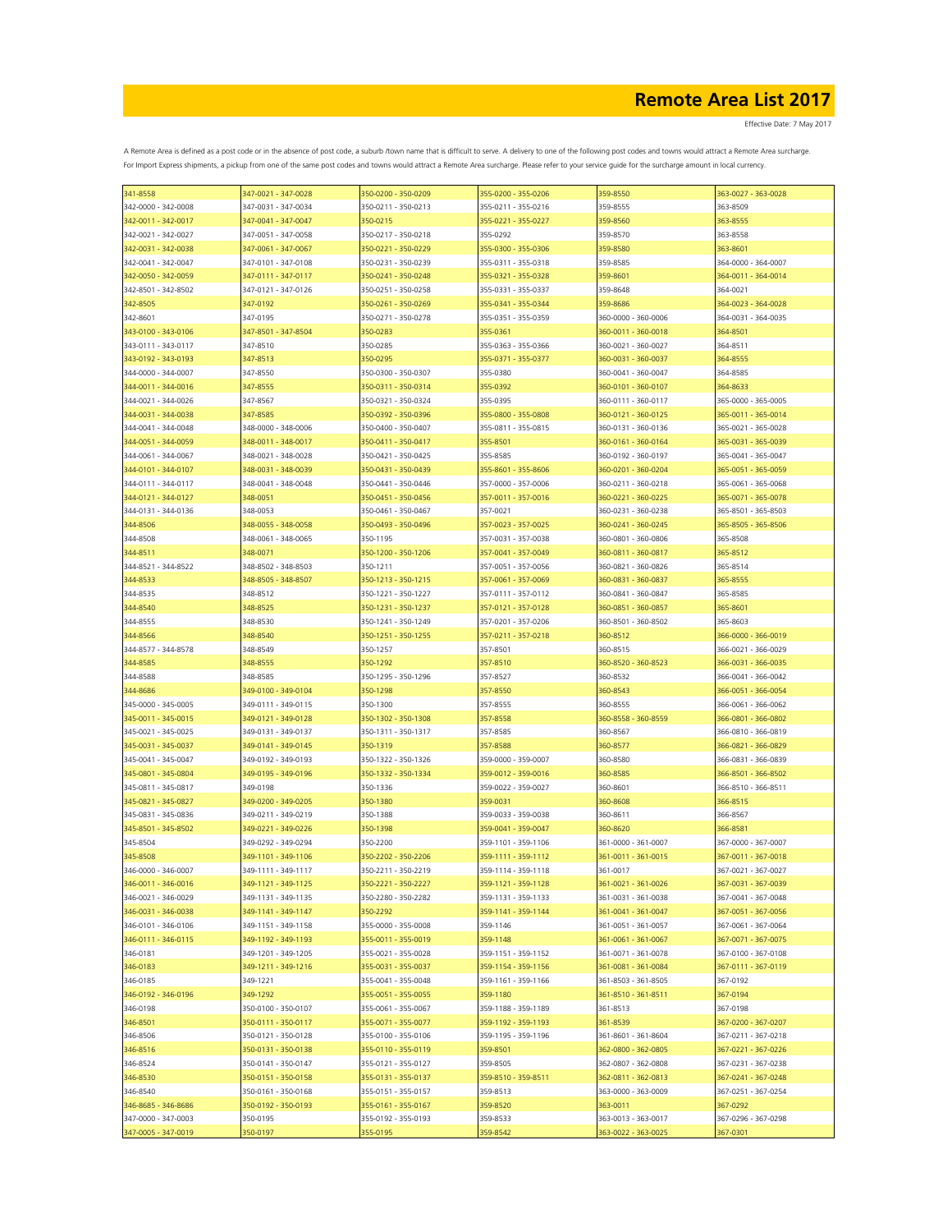Effective Date: 7 May 2017

| 341-8558            | 347-0021 - 347-0028 | 350-0200 - 350-0209 | 355-0200 - 355-0206 | 359-8550            | 363-0027 - 363-0028 |
|---------------------|---------------------|---------------------|---------------------|---------------------|---------------------|
| 342-0000 - 342-0008 | 347-0031 - 347-0034 | 350-0211 - 350-0213 | 355-0211 - 355-0216 | 359-8555            | 363-8509            |
| 342-0011 - 342-0017 | 347-0041 - 347-0047 | 350-0215            | 355-0221 - 355-0227 | 359-8560            | 363-8555            |
| 342-0021 - 342-0027 | 347-0051 - 347-0058 | 350-0217 - 350-0218 | 355-0292            | 359-8570            | 363-8558            |
| 342-0031 - 342-0038 | 347-0061 - 347-0067 | 350-0221 - 350-0229 | 355-0300 - 355-0306 | 359-8580            | 363-8601            |
| 342-0041 - 342-0047 | 347-0101 - 347-0108 | 350-0231 - 350-0239 | 355-0311 - 355-0318 | 359-8585            | 364-0000 - 364-0007 |
|                     |                     |                     |                     |                     |                     |
| 342-0050 - 342-0059 | 347-0111 - 347-0117 | 350-0241 - 350-0248 | 355-0321 - 355-0328 | 359-8601            | 364-0011 - 364-0014 |
| 342-8501 - 342-8502 | 347-0121 - 347-0126 | 350-0251 - 350-0258 | 355-0331 - 355-0337 | 359-8648            | 364-0021            |
| 342-8505            | 347-0192            | 350-0261 - 350-0269 | 355-0341 - 355-0344 | 359-8686            | 364-0023 - 364-0028 |
| 342-8601            | 347-0195            | 350-0271 - 350-0278 | 355-0351 - 355-0359 | 360-0000 - 360-0006 | 364-0031 - 364-0035 |
| 343-0100 - 343-0106 | 347-8501 - 347-8504 | 350-0283            | 355-0361            | 360-0011 - 360-0018 | 364-8501            |
| 343-0111 - 343-0117 | 347-8510            | 350-0285            | 355-0363 - 355-0366 | 360-0021 - 360-0027 | 364-8511            |
| 343-0192 - 343-0193 | 347-8513            | 350-0295            | 355-0371 - 355-0377 | 360-0031 - 360-0037 | 364-8555            |
| 344-0000 - 344-0007 | 347-8550            | 350-0300 - 350-0307 | 355-0380            | 360-0041 - 360-0047 | 364-8585            |
| 344-0011 - 344-0016 | 347-8555            | 350-0311 - 350-0314 | 355-0392            | 360-0101 - 360-0107 | 364-8633            |
| 344-0021 - 344-0026 | 347-8567            | 350-0321 - 350-0324 | 355-0395            | 360-0111 - 360-0117 | 365-0000 - 365-0005 |
| 344-0031 - 344-0038 | 347-8585            | 350-0392 - 350-0396 | 355-0800 - 355-0808 | 360-0121 - 360-0125 | 365-0011 - 365-0014 |
|                     |                     |                     |                     |                     |                     |
| 344-0041 - 344-0048 | 348-0000 - 348-0006 | 350-0400 - 350-0407 | 355-0811 - 355-0815 | 360-0131 - 360-0136 | 365-0021 - 365-0028 |
| 344-0051 - 344-0059 | 348-0011 - 348-0017 | 350-0411 - 350-0417 | 355-8501            | 360-0161 - 360-0164 | 365-0031 - 365-0039 |
| 344-0061 - 344-0067 | 348-0021 - 348-0028 | 350-0421 - 350-0425 | 355-8585            | 360-0192 - 360-0197 | 365-0041 - 365-0047 |
| 344-0101 - 344-0107 | 348-0031 - 348-0039 | 350-0431 - 350-0439 | 355-8601 - 355-8606 | 360-0201 - 360-0204 | 365-0051 - 365-0059 |
| 344-0111 - 344-0117 | 348-0041 - 348-0048 | 350-0441 - 350-0446 | 357-0000 - 357-0006 | 360-0211 - 360-0218 | 365-0061 - 365-0068 |
| 344-0121 - 344-0127 | 348-0051            | 350-0451 - 350-0456 | 357-0011 - 357-0016 | 360-0221 - 360-0225 | 365-0071 - 365-0078 |
| 344-0131 - 344-0136 | 348-0053            | 350-0461 - 350-0467 | 357-0021            | 360-0231 - 360-0238 | 365-8501 - 365-8503 |
| 344-8506            | 348-0055 - 348-0058 | 350-0493 - 350-0496 | 357-0023 - 357-0025 | 360-0241 - 360-0245 | 365-8505 - 365-8506 |
| 344-8508            | 348-0061 - 348-0065 | 350-1195            | 357-0031 - 357-0038 | 360-0801 - 360-0806 | 365-8508            |
|                     | 348-0071            | 350-1200 - 350-1206 | 357-0041 - 357-0049 | 360-0811 - 360-0817 |                     |
| 344-8511            |                     |                     |                     |                     | 365-8512            |
| 344-8521 - 344-8522 | 348-8502 - 348-8503 | 350-1211            | 357-0051 - 357-0056 | 360-0821 - 360-0826 | 365-8514            |
| 344-8533            | 348-8505 - 348-8507 | 350-1213 - 350-1215 | 357-0061 - 357-0069 | 360-0831 - 360-0837 | 365-8555            |
| 344-8535            | 348-8512            | 350-1221 - 350-1227 | 357-0111 - 357-0112 | 360-0841 - 360-0847 | 365-8585            |
| 344-8540            | 348-8525            | 350-1231 - 350-1237 | 357-0121 - 357-0128 | 360-0851 - 360-0857 | 365-8601            |
| 344-8555            | 348-8530            | 350-1241 - 350-1249 | 357-0201 - 357-0206 | 360-8501 - 360-8502 | 365-8603            |
| 344-8566            | 348-8540            | 350-1251 - 350-1255 | 357-0211 - 357-0218 | 360-8512            | 366-0000 - 366-0019 |
| 344-8577 - 344-8578 | 348-8549            | 350-1257            | 357-8501            | 360-8515            | 366-0021 - 366-0029 |
| 344-8585            | 348-8555            | 350-1292            | 357-8510            | 360-8520 - 360-8523 | 366-0031 - 366-0035 |
| 344-8588            | 348-8585            | 350-1295 - 350-1296 | 357-8527            | 360-8532            | 366-0041 - 366-0042 |
|                     |                     |                     |                     |                     |                     |
| 344-8686            | 349-0100 - 349-0104 | 350-1298            | 357-8550            | 360-8543            | 366-0051 - 366-0054 |
| 345-0000 - 345-0005 | 349-0111 - 349-0115 | 350-1300            | 357-8555            | 360-8555            | 366-0061 - 366-0062 |
| 345-0011 - 345-0015 | 349-0121 - 349-0128 | 350-1302 - 350-1308 | 357-8558            | 360-8558 - 360-8559 | 366-0801 - 366-0802 |
| 345-0021 - 345-0025 | 349-0131 - 349-0137 | 350-1311 - 350-1317 | 357-8585            | 360-8567            | 366-0810 - 366-0819 |
| 345-0031 - 345-0037 | 349-0141 - 349-0145 | 350-1319            | 357-8588            | 360-8577            | 366-0821 - 366-0829 |
| 345-0041 - 345-0047 | 349-0192 - 349-0193 | 350-1322 - 350-1326 | 359-0000 - 359-0007 | 360-8580            | 366-0831 - 366-0839 |
| 345-0801 - 345-0804 | 349-0195 - 349-0196 | 350-1332 - 350-1334 | 359-0012 - 359-0016 | 360-8585            | 366-8501 - 366-8502 |
| 345-0811 - 345-0817 | 349-0198            | 350-1336            | 359-0022 - 359-0027 | 360-8601            | 366-8510 - 366-8511 |
| 345-0821 - 345-0827 | 349-0200 - 349-0205 | 350-1380            | 359-0031            | 360-8608            | 366-8515            |
| 345-0831 - 345-0836 | 349-0211 - 349-0219 | 350-1388            | 359-0033 - 359-0038 | 360-8611            | 366-8567            |
|                     | 349-0221 - 349-0226 |                     |                     |                     |                     |
| 345-8501 - 345-8502 |                     | 350-1398            | 359-0041 - 359-0047 | 360-8620            | 366-8581            |
| 345-8504            | 349-0292 - 349-0294 | 350-2200            | 359-1101 - 359-1106 | 361-0000 - 361-0007 | 367-0000 - 367-0007 |
| 345-8508            | 349-1101 - 349-1106 | 350-2202 - 350-2206 | 359-1111 - 359-1112 | 361-0011 - 361-0015 | 367-0011 - 367-0018 |
| 346-0000 - 346-0007 | 349-1111 - 349-1117 | 350-2211 - 350-2219 | 359-1114 - 359-1118 | 361-0017            | 367-0021 - 367-0027 |
| 346-0011 - 346-0016 | 349-1121 - 349-1125 | 350-2221 - 350-2227 | 359-1121 - 359-1128 | 361-0021 - 361-0026 | 367-0031 - 367-0039 |
| 346-0021 - 346-0029 | 349-1131 - 349-1135 | 350-2280 - 350-2282 | 359-1131 - 359-1133 | 361-0031 - 361-0038 | 367-0041 - 367-0048 |
| 346-0031 - 346-0038 | 349-1141 - 349-1147 | 350-2292            | 359-1141 - 359-1144 | 361-0041 - 361-0047 | 367-0051 - 367-0056 |
| 346-0101 - 346-0106 | 349-1151 - 349-1158 | 355-0000 - 355-0008 | 359-1146            | 361-0051 - 361-0057 | 367-0061 - 367-0064 |
| 346-0111 - 346-0115 | 349-1192 - 349-1193 | 355-0011 - 355-0019 | 359-1148            | 361-0061 - 361-0067 | 367-0071 - 367-0075 |
| 346-0181            | 349-1201 - 349-1205 | 355-0021 - 355-0028 | 359-1151 - 359-1152 | 361-0071 - 361-0078 | 367-0100 - 367-0108 |
| 346-0183            | 349-1211 - 349-1216 | 355-0031 - 355-0037 | 359-1154 - 359-1156 | 361-0081 - 361-0084 | 367-0111 - 367-0119 |
| 346-0185            | 349-1221            | 355-0041 - 355-0048 | 359-1161 - 359-1166 | 361-8503 - 361-8505 | 367-0192            |
|                     |                     |                     |                     |                     |                     |
| 346-0192 - 346-0196 | 349-1292            | 355-0051 - 355-0055 | 359-1180            | 361-8510 - 361-8511 | 367-0194            |
| 346-0198            | 350-0100 - 350-0107 | 355-0061 - 355-0067 | 359-1188 - 359-1189 | 361-8513            | 367-0198            |
| 346-8501            | 350-0111 - 350-0117 | 355-0071 - 355-0077 | 359-1192 - 359-1193 | 361-8539            | 367-0200 - 367-0207 |
| 346-8506            | 350-0121 - 350-0128 | 355-0100 - 355-0106 | 359-1195 - 359-1196 | 361-8601 - 361-8604 | 367-0211 - 367-0218 |
| 346-8516            | 350-0131 - 350-0138 | 355-0110 - 355-0119 | 359-8501            | 362-0800 - 362-0805 | 367-0221 - 367-0226 |
| 346-8524            | 350-0141 - 350-0147 | 355-0121 - 355-0127 | 359-8505            | 362-0807 - 362-0808 | 367-0231 - 367-0238 |
| 346-8530            | 350-0151 - 350-0158 | 355-0131 - 355-0137 | 359-8510 - 359-8511 | 362-0811 - 362-0813 | 367-0241 - 367-0248 |
| 346-8540            | 350-0161 - 350-0168 | 355-0151 - 355-0157 | 359-8513            | 363-0000 - 363-0009 | 367-0251 - 367-0254 |
| 346-8685 - 346-8686 | 350-0192 - 350-0193 | 355-0161 - 355-0167 | 359-8520            | 363-0011            | 367-0292            |
| 347-0000 - 347-0003 | 350-0195            |                     | 359-8533            | 363-0013 - 363-0017 | 367-0296 - 367-0298 |
|                     |                     | 355-0192 - 355-0193 |                     |                     |                     |
| 347-0005 - 347-0019 | 350-0197            | 355-0195            | 359-8542            | 363-0022 - 363-0025 | 367-0301            |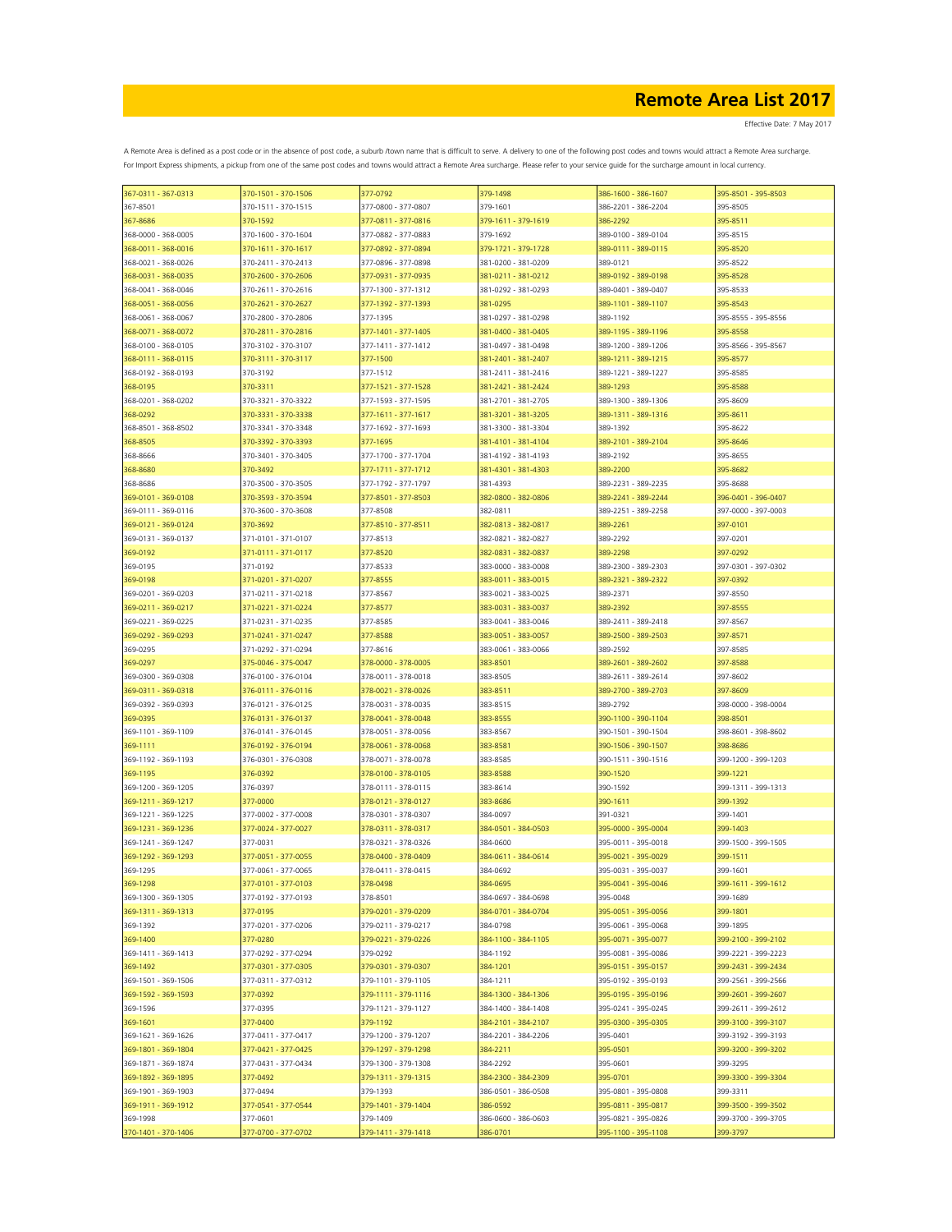Effective Date: 7 May 2017

| 367-0311 - 367-0313 | 370-1501 - 370-1506 | 377-0792            | 379-1498            | 386-1600 - 386-1607 | 395-8501 - 395-8503 |
|---------------------|---------------------|---------------------|---------------------|---------------------|---------------------|
| 367-8501            | 370-1511 - 370-1515 | 377-0800 - 377-0807 | 379-1601            | 386-2201 - 386-2204 | 395-8505            |
| 367-8686            | 370-1592            | 377-0811 - 377-0816 | 379-1611 - 379-1619 | 386-2292            | 395-8511            |
| 368-0000 - 368-0005 | 370-1600 - 370-1604 | 377-0882 - 377-0883 | 379-1692            | 389-0100 - 389-0104 | 395-8515            |
| 368-0011 - 368-0016 | 370-1611 - 370-1617 | 377-0892 - 377-0894 | 379-1721 - 379-1728 | 389-0111 - 389-0115 | 395-8520            |
| 368-0021 - 368-0026 | 370-2411 - 370-2413 | 377-0896 - 377-0898 | 381-0200 - 381-0209 | 389-0121            | 395-8522            |
| 368-0031 - 368-0035 | 370-2600 - 370-2606 | 377-0931 - 377-0935 | 381-0211 - 381-0212 | 389-0192 - 389-0198 | 395-8528            |
|                     |                     |                     |                     |                     |                     |
| 368-0041 - 368-0046 | 370-2611 - 370-2616 | 377-1300 - 377-1312 | 381-0292 - 381-0293 | 389-0401 - 389-0407 | 395-8533            |
| 368-0051 - 368-0056 | 370-2621 - 370-2627 | 377-1392 - 377-1393 | 381-0295            | 389-1101 - 389-1107 | 395-8543            |
| 368-0061 - 368-0067 | 370-2800 - 370-2806 | 377-1395            | 381-0297 - 381-0298 | 389-1192            | 395-8555 - 395-8556 |
| 368-0071 - 368-0072 | 370-2811 - 370-2816 | 377-1401 - 377-1405 | 381-0400 - 381-0405 | 389-1195 - 389-1196 | 395-8558            |
| 368-0100 - 368-0105 | 370-3102 - 370-3107 | 377-1411 - 377-1412 | 381-0497 - 381-0498 | 389-1200 - 389-1206 | 395-8566 - 395-8567 |
| 368-0111 - 368-0115 | 370-3111 - 370-3117 | 377-1500            | 381-2401 - 381-2407 | 389-1211 - 389-1215 | 395-8577            |
| 368-0192 - 368-0193 | 370-3192            | 377-1512            | 381-2411 - 381-2416 | 389-1221 - 389-1227 | 395-8585            |
| 368-0195            | 370-3311            | 377-1521 - 377-1528 | 381-2421 - 381-2424 | 389-1293            | 395-8588            |
| 368-0201 - 368-0202 | 370-3321 - 370-3322 | 377-1593 - 377-1595 | 381-2701 - 381-2705 | 389-1300 - 389-1306 | 395-8609            |
| 368-0292            | 370-3331 - 370-3338 | 377-1611 - 377-1617 | 381-3201 - 381-3205 | 389-1311 - 389-1316 | 395-8611            |
| 368-8501 - 368-8502 | 370-3341 - 370-3348 | 377-1692 - 377-1693 | 381-3300 - 381-3304 | 389-1392            | 395-8622            |
| 368-8505            | 370-3392 - 370-3393 | 377-1695            | 381-4101 - 381-4104 | 389-2101 - 389-2104 | 395-8646            |
| 368-8666            | 370-3401 - 370-3405 | 377-1700 - 377-1704 | 381-4192 - 381-4193 | 389-2192            | 395-8655            |
|                     | 370-3492            |                     |                     |                     |                     |
| 368-8680            |                     | 377-1711 - 377-1712 | 381-4301 - 381-4303 | 389-2200            | 395-8682            |
| 368-8686            | 370-3500 - 370-3505 | 377-1792 - 377-1797 | 381-4393            | 389-2231 - 389-2235 | 395-8688            |
| 369-0101 - 369-0108 | 370-3593 - 370-3594 | 377-8501 - 377-8503 | 382-0800 - 382-0806 | 389-2241 - 389-2244 | 396-0401 - 396-0407 |
| 369-0111 - 369-0116 | 370-3600 - 370-3608 | 377-8508            | 382-0811            | 389-2251 - 389-2258 | 397-0000 - 397-0003 |
| 369-0121 - 369-0124 | 370-3692            | 377-8510 - 377-8511 | 382-0813 - 382-0817 | 389-2261            | 397-0101            |
| 369-0131 - 369-0137 | 371-0101 - 371-0107 | 377-8513            | 382-0821 - 382-0827 | 389-2292            | 397-0201            |
| 369-0192            | 371-0111 - 371-0117 | 377-8520            | 382-0831 - 382-0837 | 389-2298            | 397-0292            |
| 369-0195            | 371-0192            | 377-8533            | 383-0000 - 383-0008 | 389-2300 - 389-2303 | 397-0301 - 397-0302 |
| 369-0198            | 371-0201 - 371-0207 | 377-8555            | 383-0011 - 383-0015 | 389-2321 - 389-2322 | 397-0392            |
| 369-0201 - 369-0203 | 371-0211 - 371-0218 | 377-8567            | 383-0021 - 383-0025 | 389-2371            | 397-8550            |
| 369-0211 - 369-0217 | 371-0221 - 371-0224 | 377-8577            | 383-0031 - 383-0037 | 389-2392            | 397-8555            |
| 369-0221 - 369-0225 | 371-0231 - 371-0235 | 377-8585            | 383-0041 - 383-0046 | 389-2411 - 389-2418 | 397-8567            |
| 369-0292 - 369-0293 | 371-0241 - 371-0247 | 377-8588            | 383-0051 - 383-0057 | 389-2500 - 389-2503 | 397-8571            |
|                     | 371-0292 - 371-0294 |                     | 383-0061 - 383-0066 | 389-2592            |                     |
| 369-0295            |                     | 377-8616            |                     |                     | 397-8585            |
| 369-0297            | 375-0046 - 375-0047 | 378-0000 - 378-0005 | 383-8501            | 389-2601 - 389-2602 | 397-8588            |
| 369-0300 - 369-0308 | 376-0100 - 376-0104 | 378-0011 - 378-0018 | 383-8505            | 389-2611 - 389-2614 | 397-8602            |
| 369-0311 - 369-0318 | 376-0111 - 376-0116 | 378-0021 - 378-0026 | 383-8511            | 389-2700 - 389-2703 | 397-8609            |
| 369-0392 - 369-0393 | 376-0121 - 376-0125 | 378-0031 - 378-0035 | 383-8515            | 389-2792            | 398-0000 - 398-0004 |
| 369-0395            | 376-0131 - 376-0137 | 378-0041 - 378-0048 | 383-8555            | 390-1100 - 390-1104 | 398-8501            |
| 369-1101 - 369-1109 | 376-0141 - 376-0145 | 378-0051 - 378-0056 | 383-8567            | 390-1501 - 390-1504 | 398-8601 - 398-8602 |
| 369-1111            | 376-0192 - 376-0194 | 378-0061 - 378-0068 | 383-8581            | 390-1506 - 390-1507 | 398-8686            |
| 369-1192 - 369-1193 | 376-0301 - 376-0308 | 378-0071 - 378-0078 | 383-8585            | 390-1511 - 390-1516 | 399-1200 - 399-1203 |
| 369-1195            | 376-0392            | 378-0100 - 378-0105 | 383-8588            | 390-1520            | 399-1221            |
| 369-1200 - 369-1205 | 376-0397            | 378-0111 - 378-0115 | 383-8614            | 390-1592            | 399-1311 - 399-1313 |
| 369-1211 - 369-1217 | 377-0000            | 378-0121 - 378-0127 | 383-8686            | 390-1611            | 399-1392            |
| 369-1221 - 369-1225 | 377-0002 - 377-0008 | 378-0301 - 378-0307 | 384-0097            | 391-0321            | 399-1401            |
| 369-1231 - 369-1236 | 377-0024 - 377-0027 | 378-0311 - 378-0317 | 384-0501 - 384-0503 | 395-0000 - 395-0004 | 399-1403            |
|                     | 377-0031            |                     | 384-0600            |                     | 399-1500 - 399-1505 |
| 369-1241 - 369-1247 |                     | 378-0321 - 378-0326 |                     | 395-0011 - 395-0018 |                     |
| 369-1292 - 369-1293 | 377-0051 - 377-0055 | 378-0400 - 378-0409 | 384-0611 - 384-0614 | 395-0021 - 395-0029 | 399-1511            |
| 369-1295            | 377-0061 - 377-0065 | 378-0411 - 378-0415 | 384-0692            | 395-0031 - 395-0037 | 399-1601            |
| 369-1298            | 377-0101 - 377-0103 | 378-0498            | 384-0695            | 395-0041 - 395-0046 | 399-1611 - 399-1612 |
| 369-1300 - 369-1305 | 377-0192 - 377-0193 | 378-8501            | 384-0697 - 384-0698 | 395-0048            | 399-1689            |
| 369-1311 - 369-1313 | 377-0195            | 379-0201 - 379-0209 | 384-0701 - 384-0704 | 395-0051 - 395-0056 | 399-1801            |
| 369-1392            | 377-0201 - 377-0206 | 379-0211 - 379-0217 | 384-0798            | 395-0061 - 395-0068 | 399-1895            |
| 369-1400            | 377-0280            | 379-0221 - 379-0226 | 384-1100 - 384-1105 | 395-0071 - 395-0077 | 399-2100 - 399-2102 |
| 369-1411 - 369-1413 | 377-0292 - 377-0294 | 379-0292            | 384-1192            | 395-0081 - 395-0086 | 399-2221 - 399-2223 |
| 369-1492            | 377-0301 - 377-0305 | 379-0301 - 379-0307 | 384-1201            | 395-0151 - 395-0157 | 399-2431 - 399-2434 |
| 369-1501 - 369-1506 | 377-0311 - 377-0312 | 379-1101 - 379-1105 | 384-1211            | 395-0192 - 395-0193 | 399-2561 - 399-2566 |
| 369-1592 - 369-1593 | 377-0392            | 379-1111 - 379-1116 | 384-1300 - 384-1306 | 395-0195 - 395-0196 | 399-2601 - 399-2607 |
| 369-1596            | 377-0395            | 379-1121 - 379-1127 | 384-1400 - 384-1408 | 395-0241 - 395-0245 | 399-2611 - 399-2612 |
| 369-1601            | 377-0400            | 379-1192            | 384-2101 - 384-2107 | 395-0300 - 395-0305 | 399-3100 - 399-3107 |
| 369-1621 - 369-1626 | 377-0411 - 377-0417 | 379-1200 - 379-1207 | 384-2201 - 384-2206 | 395-0401            | 399-3192 - 399-3193 |
| 369-1801 - 369-1804 | 377-0421 - 377-0425 | 379-1297 - 379-1298 | 384-2211            | 395-0501            | 399-3200 - 399-3202 |
| 369-1871 - 369-1874 |                     |                     |                     |                     |                     |
|                     | 377-0431 - 377-0434 | 379-1300 - 379-1308 | 384-2292            | 395-0601            | 399-3295            |
| 369-1892 - 369-1895 | 377-0492            | 379-1311 - 379-1315 | 384-2300 - 384-2309 | 395-0701            | 399-3300 - 399-3304 |
| 369-1901 - 369-1903 | 377-0494            | 379-1393            | 386-0501 - 386-0508 | 395-0801 - 395-0808 | 399-3311            |
| 369-1911 - 369-1912 | 377-0541 - 377-0544 | 379-1401 - 379-1404 | 386-0592            | 395-0811 - 395-0817 | 399-3500 - 399-3502 |
| 369-1998            | 377-0601            | 379-1409            | 386-0600 - 386-0603 | 395-0821 - 395-0826 | 399-3700 - 399-3705 |
| 370-1401 - 370-1406 | 377-0700 - 377-0702 | 379-1411 - 379-1418 | 386-0701            | 395-1100 - 395-1108 | 399-3797            |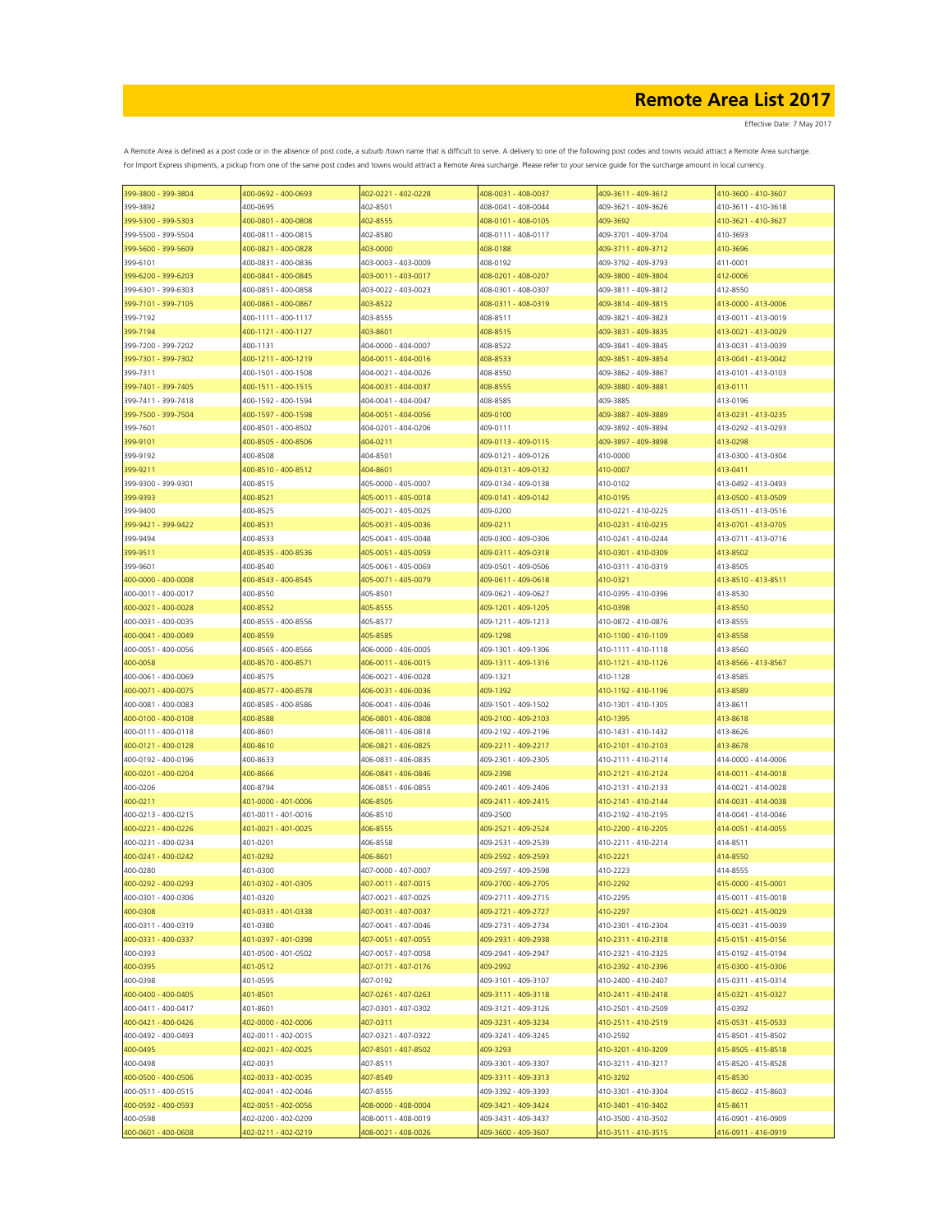| 399-3800 - 399-3804 | 400-0692 - 400-0693             | 402-0221 - 402-0228                        | 408-0031 - 408-0037                        | 409-3611 - 409-3612                        | 410-3600 - 410-3607 |
|---------------------|---------------------------------|--------------------------------------------|--------------------------------------------|--------------------------------------------|---------------------|
| 399-3892            | 400-0695                        | 402-8501                                   | 408-0041 - 408-0044                        | 409-3621 - 409-3626                        | 410-3611 - 410-3618 |
| 399-5300 - 399-5303 | 400-0801 - 400-0808             | 402-8555                                   | 408-0101 - 408-0105                        | 409-3692                                   | 410-3621 - 410-3627 |
| 399-5500 - 399-5504 | 400-0811 - 400-0815             | 402-8580                                   | 408-0111 - 408-0117                        | 409-3701 - 409-3704                        | 410-3693            |
| 399-5600 - 399-5609 | 400-0821 - 400-0828             | 403-0000                                   | 408-0188                                   | 409-3711 - 409-3712                        | 410-3696            |
| 399-6101            | 400-0831 - 400-0836             | 403-0003 - 403-0009                        | 408-0192                                   | 409-3792 - 409-3793                        | 411-0001            |
| 399-6200 - 399-6203 | 400-0841 - 400-0845             | 403-0011 - 403-0017                        | 408-0201 - 408-0207                        | 409-3800 - 409-3804                        | 412-0006            |
| 399-6301 - 399-6303 | 400-0851 - 400-0858             | 403-0022 - 403-0023                        | 408-0301 - 408-0307                        | 409-3811 - 409-3812                        | 412-8550            |
| 399-7101 - 399-7105 | 400-0861 - 400-0867             | 403-8522                                   | 408-0311 - 408-0319                        | 409-3814 - 409-3815                        | 413-0000 - 413-0006 |
| 399-7192            | 400-1111 - 400-1117             | 403-8555                                   | 408-8511                                   | 409-3821 - 409-3823                        | 413-0011 - 413-0019 |
| 399-7194            | 400-1121 - 400-1127             | 403-8601                                   | 408-8515                                   | 409-3831 - 409-3835                        | 413-0021 - 413-0029 |
| 399-7200 - 399-7202 | 400-1131                        | 404-0000 - 404-0007                        | 408-8522                                   | 409-3841 - 409-3845                        | 413-0031 - 413-0039 |
| 399-7301 - 399-7302 | 400-1211 - 400-1219             | 404-0011 - 404-0016                        | 408-8533                                   | 409-3851 - 409-3854                        | 413-0041 - 413-0042 |
| 399-7311            | 400-1501 - 400-1508             | 404-0021 - 404-0026                        | 408-8550                                   | 409-3862 - 409-3867                        | 413-0101 - 413-0103 |
| 399-7401 - 399-7405 | 400-1511 - 400-1515             | 404-0031 - 404-0037                        | 408-8555                                   | 409-3880 - 409-3881                        | 413-0111            |
| 399-7411 - 399-7418 | 400-1592 - 400-1594             | 404-0041 - 404-0047                        | 408-8585                                   | 409-3885                                   | 413-0196            |
| 399-7500 - 399-7504 | 400-1597 - 400-1598             | 404-0051 - 404-0056                        | 409-0100                                   | 409-3887 - 409-3889                        | 413-0231 - 413-0235 |
| 399-7601            | 400-8501 - 400-8502             | 404-0201 - 404-0206                        | 409-0111                                   | 409-3892 - 409-3894                        | 413-0292 - 413-0293 |
| 399-9101            | 400-8505 - 400-8506             | 404-0211                                   | 409-0113 - 409-0115                        | 409-3897 - 409-3898                        | 413-0298            |
| 399-9192            | 400-8508                        | 404-8501                                   | 409-0121 - 409-0126                        | 410-0000                                   | 413-0300 - 413-0304 |
| 399-9211            | 400-8510 - 400-8512             | 404-8601                                   | 409-0131 - 409-0132                        | 410-0007                                   | 413-0411            |
| 399-9300 - 399-9301 | 400-8515                        | 405-0000 - 405-0007                        | 409-0134 - 409-0138                        | 410-0102                                   | 413-0492 - 413-0493 |
| 399-9393            | 400-8521                        | 405-0011 - 405-0018                        | 409-0141 - 409-0142                        | 410-0195                                   | 413-0500 - 413-0509 |
| 399-9400            | 400-8525                        | 405-0021 - 405-0025                        | 409-0200                                   | 410-0221 - 410-0225                        | 413-0511 - 413-0516 |
| 399-9421 - 399-9422 | 400-8531                        | 405-0031 - 405-0036                        | 409-0211                                   | 410-0231 - 410-0235                        | 413-0701 - 413-0705 |
|                     |                                 |                                            |                                            |                                            |                     |
| 399-9494            | 400-8533                        | 405-0041 - 405-0048<br>405-0051 - 405-0059 | 409-0300 - 409-0306<br>409-0311 - 409-0318 | 410-0241 - 410-0244<br>410-0301 - 410-0309 | 413-0711 - 413-0716 |
| 399-9511            | 400-8535 - 400-8536<br>400-8540 | 405-0061 - 405-0069                        |                                            |                                            | 413-8502            |
| 399-9601            |                                 |                                            | 409-0501 - 409-0506                        | 410-0311 - 410-0319                        | 413-8505            |
| 400-0000 - 400-0008 | 400-8543 - 400-8545             | 405-0071 - 405-0079                        | 409-0611 - 409-0618                        | 410-0321                                   | 413-8510 - 413-8511 |
| 400-0011 - 400-0017 | 400-8550                        | 405-8501                                   | 409-0621 - 409-0627                        | 410-0395 - 410-0396                        | 413-8530            |
| 400-0021 - 400-0028 | 400-8552                        | 405-8555                                   | 409-1201 - 409-1205                        | 410-0398                                   | 413-8550            |
| 400-0031 - 400-0035 | 400-8555 - 400-8556             | 405-8577                                   | 409-1211 - 409-1213                        | 410-0872 - 410-0876                        | 413-8555            |
| 400-0041 - 400-0049 | 400-8559                        | 405-8585                                   | 409-1298                                   | 410-1100 - 410-1109                        | 413-8558            |
| 400-0051 - 400-0056 | 400-8565 - 400-8566             | 406-0000 - 406-0005                        | 409-1301 - 409-1306                        | 410-1111 - 410-1118                        | 413-8560            |
| 400-0058            | 400-8570 - 400-8571             | 406-0011 - 406-0015                        | 409-1311 - 409-1316                        | 410-1121 - 410-1126                        | 413-8566 - 413-8567 |
| 400-0061 - 400-0069 | 400-8575                        | 406-0021 - 406-0028                        | 409-1321                                   | 410-1128                                   | 413-8585            |
| 400-0071 - 400-0075 | 400-8577 - 400-8578             | 406-0031 - 406-0036                        | 409-1392                                   | 410-1192 - 410-1196                        | 413-8589            |
| 400-0081 - 400-0083 | 400-8585 - 400-8586             | 406-0041 - 406-0046                        | 409-1501 - 409-1502                        | 410-1301 - 410-1305                        | 413-8611            |
| 400-0100 - 400-0108 | 400-8588                        | 406-0801 - 406-0808                        | 409-2100 - 409-2103                        | 410-1395                                   | 413-8618            |
| 400-0111 - 400-0118 | 400-8601                        | 406-0811 - 406-0818                        | 409-2192 - 409-2196                        | 410-1431 - 410-1432                        | 413-8626            |
| 400-0121 - 400-0128 | 400-8610                        | 406-0821 - 406-0825                        | 409-2211 - 409-2217                        | 410-2101 - 410-2103                        | 413-8678            |
| 400-0192 - 400-0196 | 400-8633                        | 406-0831 - 406-0835                        | 409-2301 - 409-2305                        | 410-2111 - 410-2114                        | 414-0000 - 414-0006 |
| 400-0201 - 400-0204 | 400-8666                        | 406-0841 - 406-0846                        | 409-2398                                   | 410-2121 - 410-2124                        | 414-0011 - 414-0018 |
| 400-0206            | 400-8794                        | 406-0851 - 406-0855                        | 409-2401 - 409-2406                        | 410-2131 - 410-2133                        | 414-0021 - 414-0028 |
| 400-0211            | 401-0000 - 401-0006             | 406-8505                                   | 409-2411 - 409-2415                        | 410-2141 - 410-2144                        | 414-0031 - 414-0038 |
| 400-0213 - 400-0215 | 401-0011 - 401-0016             | 406-8510                                   | 409-2500                                   | 410-2192 - 410-2195                        | 414-0041 - 414-0046 |
| 400-0221 - 400-0226 | 401-0021 - 401-0025             | 406-8555                                   | 409-2521 - 409-2524                        | 410-2200 - 410-2205                        | 414-0051 - 414-0055 |
| 400-0231 - 400-0234 | 401-0201                        | 406-8558                                   | 409-2531 - 409-2539                        | 410-2211 - 410-2214                        | 414-8511            |
| 400-0241 - 400-0242 | 401-0292                        | 406-8601                                   | 409-2592 - 409-2593                        | 410-2221                                   | 414-8550            |
| 400-0280            | 401-0300                        | 407-0000 - 407-0007                        | 409-2597 - 409-2598                        | 410-2223                                   | 414-8555            |
| 400-0292 - 400-0293 | 401-0302 - 401-0305             | 407-0011 - 407-0015                        | 409-2700 - 409-2705                        | 410-2292                                   | 415-0000 - 415-0001 |
| 400-0301 - 400-0306 | 401-0320                        | 407-0021 - 407-0025                        | 409-2711 - 409-2715                        | 410-2295                                   | 415-0011 - 415-0018 |
| 400-0308            | 401-0331 - 401-0338             | 407-0031 - 407-0037                        | 409-2721 - 409-2727                        | 410-2297                                   | 415-0021 - 415-0029 |
| 400-0311 - 400-0319 | 401-0380                        | 407-0041 - 407-0046                        | 409-2731 - 409-2734                        | 410-2301 - 410-2304                        | 415-0031 - 415-0039 |
| 400-0331 - 400-0337 | 401-0397 - 401-0398             | 407-0051 - 407-0055                        | 409-2931 - 409-2938                        | 410-2311 - 410-2318                        | 415-0151 - 415-0156 |
| 400-0393            | 401-0500 - 401-0502             | 407-0057 - 407-0058                        | 409-2941 - 409-2947                        | 410-2321 - 410-2325                        | 415-0192 - 415-0194 |
| 400-0395            | 401-0512                        | 407-0171 - 407-0176                        | 409-2992                                   | 410-2392 - 410-2396                        | 415-0300 - 415-0306 |
| 400-0398            | 401-0595                        | 407-0192                                   | 409-3101 - 409-3107                        | 410-2400 - 410-2407                        | 415-0311 - 415-0314 |
| 400-0400 - 400-0405 | 401-8501                        | 407-0261 - 407-0263                        | 409-3111 - 409-3118                        | 410-2411 - 410-2418                        | 415-0321 - 415-0327 |
| 400-0411 - 400-0417 | 401-8601                        | 407-0301 - 407-0302                        | 409-3121 - 409-3126                        | 410-2501 - 410-2509                        | 415-0392            |
| 400-0421 - 400-0426 | 402-0000 - 402-0006             | 407-0311                                   | 409-3231 - 409-3234                        | 410-2511 - 410-2519                        | 415-0531 - 415-0533 |
| 400-0492 - 400-0493 | 402-0011 - 402-0015             | 407-0321 - 407-0322                        | 409-3241 - 409-3245                        | 410-2592                                   | 415-8501 - 415-8502 |
| 400-0495            | 402-0021 - 402-0025             | 407-8501 - 407-8502                        | 409-3293                                   | 410-3201 - 410-3209                        | 415-8505 - 415-8518 |
| 400-0498            | 402-0031                        | 407-8511                                   | 409-3301 - 409-3307                        | 410-3211 - 410-3217                        | 415-8520 - 415-8528 |
| 400-0500 - 400-0506 | 402-0033 - 402-0035             | 407-8549                                   | 409-3311 - 409-3313                        | 410-3292                                   | 415-8530            |
| 400-0511 - 400-0515 | 402-0041 - 402-0046             | 407-8555                                   | 409-3392 - 409-3393                        | 410-3301 - 410-3304                        | 415-8602 - 415-8603 |
| 400-0592 - 400-0593 | 402-0051 - 402-0056             | 408-0000 - 408-0004                        | 409-3421 - 409-3424                        | 410-3401 - 410-3402                        | 415-8611            |
| 400-0598            | 402-0200 - 402-0209             | 408-0011 - 408-0019                        | 409-3431 - 409-3437                        | 410-3500 - 410-3502                        | 416-0901 - 416-0909 |
| 400-0601 - 400-0608 | 402-0211 - 402-0219             | 408-0021 - 408-0026                        | 409-3600 - 409-3607                        | 410-3511 - 410-3515                        | 416-0911 - 416-0919 |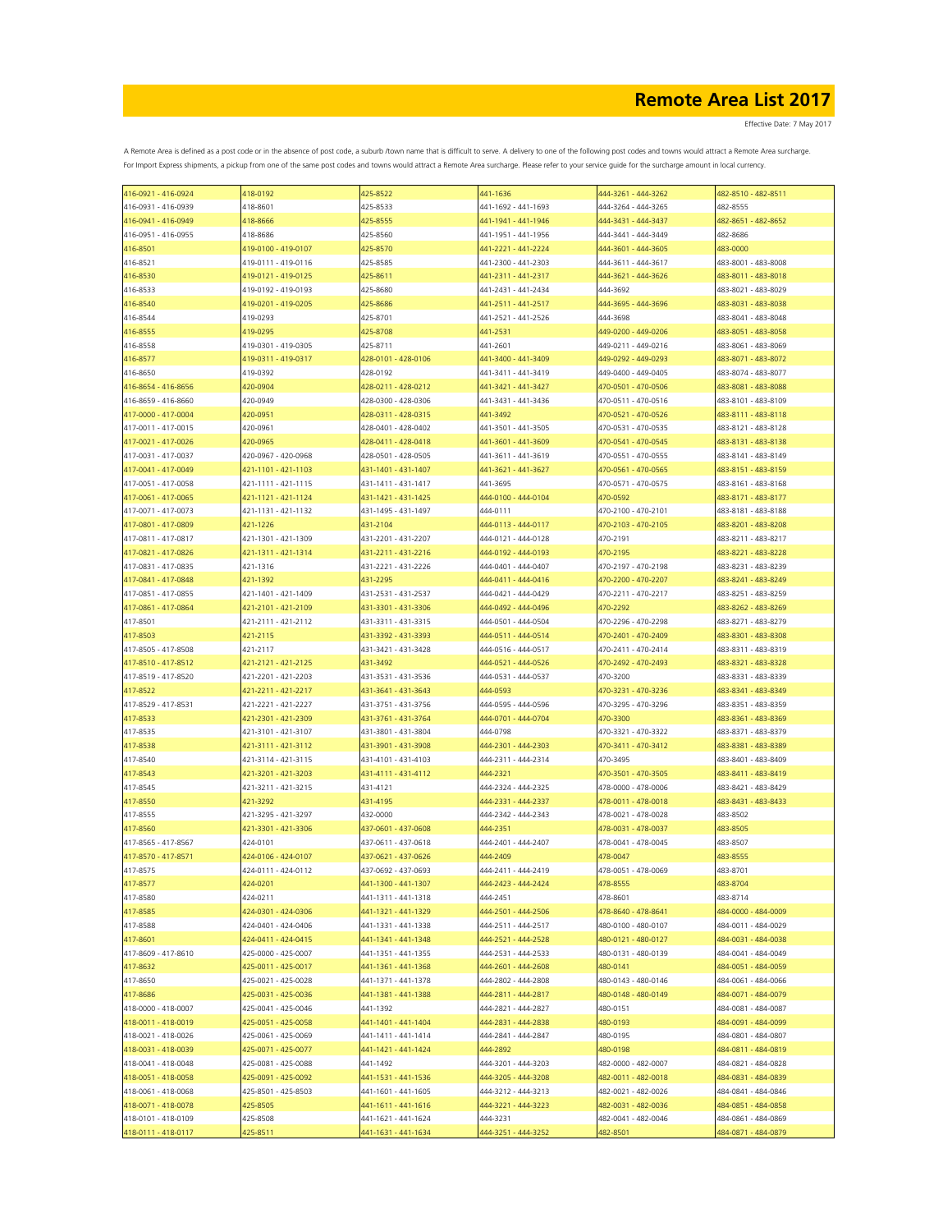Effective Date: 7 May 2017

| 416-0921 - 416-0924 | 418-0192            | 425-8522            | 441-1636            | 444-3261 - 444-3262 | 482-8510 - 482-8511 |
|---------------------|---------------------|---------------------|---------------------|---------------------|---------------------|
| 416-0931 - 416-0939 | 418-8601            | 425-8533            | 441-1692 - 441-1693 | 444-3264 - 444-3265 | 482-8555            |
| 416-0941 - 416-0949 | 418-8666            | 425-8555            | 441-1941 - 441-1946 | 444-3431 - 444-3437 | 482-8651 - 482-8652 |
| 416-0951 - 416-0955 | 418-8686            | 425-8560            | 441-1951 - 441-1956 | 444-3441 - 444-3449 | 482-8686            |
| 416-8501            | 419-0100 - 419-0107 | 425-8570            | 441-2221 - 441-2224 | 444-3601 - 444-3605 | 483-0000            |
|                     | 419-0111 - 419-0116 | 425-8585            | 441-2300 - 441-2303 | 444-3611 - 444-3617 | 483-8001 - 483-8008 |
| 416-8521            |                     |                     |                     |                     |                     |
| 416-8530            | 419-0121 - 419-0125 | 425-8611            | 441-2311 - 441-2317 | 444-3621 - 444-3626 | 483-8011 - 483-8018 |
| 416-8533            | 419-0192 - 419-0193 | 425-8680            | 441-2431 - 441-2434 | 444-3692            | 483-8021 - 483-8029 |
| 416-8540            | 419-0201 - 419-0205 | 425-8686            | 441-2511 - 441-2517 | 444-3695 - 444-3696 | 483-8031 - 483-8038 |
| 416-8544            | 419-0293            | 425-8701            | 441-2521 - 441-2526 | 444-3698            | 483-8041 - 483-8048 |
| 416-8555            | 419-0295            | 425-8708            | 441-2531            | 449-0200 - 449-0206 | 483-8051 - 483-8058 |
| 416-8558            | 419-0301 - 419-0305 | 425-8711            | 441-2601            | 449-0211 - 449-0216 | 483-8061 - 483-8069 |
| 416-8577            | 419-0311 - 419-0317 | 428-0101 - 428-0106 | 441-3400 - 441-3409 | 449-0292 - 449-0293 | 483-8071 - 483-8072 |
| 416-8650            | 419-0392            | 428-0192            | 441-3411 - 441-3419 | 449-0400 - 449-0405 | 483-8074 - 483-8077 |
|                     |                     |                     |                     | 470-0501 - 470-0506 |                     |
| 416-8654 - 416-8656 | 420-0904            | 428-0211 - 428-0212 | 441-3421 - 441-3427 |                     | 483-8081 - 483-8088 |
| 416-8659 - 416-8660 | 420-0949            | 428-0300 - 428-0306 | 441-3431 - 441-3436 | 470-0511 - 470-0516 | 483-8101 - 483-8109 |
| 417-0000 - 417-0004 | 420-0951            | 428-0311 - 428-0315 | 441-3492            | 470-0521 - 470-0526 | 483-8111 - 483-8118 |
| 417-0011 - 417-0015 | 420-0961            | 428-0401 - 428-0402 | 441-3501 - 441-3505 | 470-0531 - 470-0535 | 483-8121 - 483-8128 |
| 417-0021 - 417-0026 | 420-0965            | 428-0411 - 428-0418 | 441-3601 - 441-3609 | 470-0541 - 470-0545 | 483-8131 - 483-8138 |
| 417-0031 - 417-0037 | 420-0967 - 420-0968 | 428-0501 - 428-0505 | 441-3611 - 441-3619 | 470-0551 - 470-0555 | 483-8141 - 483-8149 |
| 417-0041 - 417-0049 | 421-1101 - 421-1103 | 431-1401 - 431-1407 | 441-3621 - 441-3627 | 470-0561 - 470-0565 | 483-8151 - 483-8159 |
| 417-0051 - 417-0058 | 421-1111 - 421-1115 | 431-1411 - 431-1417 | 441-3695            | 470-0571 - 470-0575 | 483-8161 - 483-8168 |
|                     |                     |                     |                     |                     |                     |
| 417-0061 - 417-0065 | 421-1121 - 421-1124 | 431-1421 - 431-1425 | 444-0100 - 444-0104 | 470-0592            | 483-8171 - 483-8177 |
| 417-0071 - 417-0073 | 421-1131 - 421-1132 | 431-1495 - 431-1497 | 444-0111            | 470-2100 - 470-2101 | 483-8181 - 483-8188 |
| 417-0801 - 417-0809 | 421-1226            | 431-2104            | 444-0113 - 444-0117 | 470-2103 - 470-2105 | 483-8201 - 483-8208 |
| 417-0811 - 417-0817 | 421-1301 - 421-1309 | 431-2201 - 431-2207 | 444-0121 - 444-0128 | 470-2191            | 483-8211 - 483-8217 |
| 417-0821 - 417-0826 | 421-1311 - 421-1314 | 431-2211 - 431-2216 | 444-0192 - 444-0193 | 470-2195            | 483-8221 - 483-8228 |
| 417-0831 - 417-0835 | 421-1316            | 431-2221 - 431-2226 | 444-0401 - 444-0407 | 470-2197 - 470-2198 | 483-8231 - 483-8239 |
| 417-0841 - 417-0848 | 421-1392            | 431-2295            | 444-0411 - 444-0416 | 470-2200 - 470-2207 | 483-8241 - 483-8249 |
|                     |                     |                     |                     |                     |                     |
| 417-0851 - 417-0855 | 421-1401 - 421-1409 | 431-2531 - 431-2537 | 444-0421 - 444-0429 | 470-2211 - 470-2217 | 483-8251 - 483-8259 |
| 417-0861 - 417-0864 | 421-2101 - 421-2109 | 431-3301 - 431-3306 | 444-0492 - 444-0496 | 470-2292            | 483-8262 - 483-8269 |
| 417-8501            | 421-2111 - 421-2112 | 431-3311 - 431-3315 | 444-0501 - 444-0504 | 470-2296 - 470-2298 | 483-8271 - 483-8279 |
| 417-8503            | 421-2115            | 431-3392 - 431-3393 | 444-0511 - 444-0514 | 470-2401 - 470-2409 | 483-8301 - 483-8308 |
| 417-8505 - 417-8508 | 421-2117            | 431-3421 - 431-3428 | 444-0516 - 444-0517 | 470-2411 - 470-2414 | 483-8311 - 483-8319 |
| 417-8510 - 417-8512 | 421-2121 - 421-2125 | 431-3492            | 444-0521 - 444-0526 | 470-2492 - 470-2493 | 483-8321 - 483-8328 |
| 417-8519 - 417-8520 | 421-2201 - 421-2203 | 431-3531 - 431-3536 | 444-0531 - 444-0537 | 470-3200            | 483-8331 - 483-8339 |
| 417-8522            | 421-2211 - 421-2217 | 431-3641 - 431-3643 | 444-0593            | 470-3231 - 470-3236 | 483-8341 - 483-8349 |
|                     |                     |                     |                     |                     |                     |
| 417-8529 - 417-8531 | 421-2221 - 421-2227 | 431-3751 - 431-3756 | 444-0595 - 444-0596 | 470-3295 - 470-3296 | 483-8351 - 483-8359 |
| 417-8533            | 421-2301 - 421-2309 | 431-3761 - 431-3764 | 444-0701 - 444-0704 | 470-3300            | 483-8361 - 483-8369 |
| 417-8535            | 421-3101 - 421-3107 | 431-3801 - 431-3804 | 444-0798            | 470-3321 - 470-3322 | 483-8371 - 483-8379 |
| 417-8538            | 421-3111 - 421-3112 | 431-3901 - 431-3908 | 444-2301 - 444-2303 | 470-3411 - 470-3412 | 483-8381 - 483-8389 |
| 417-8540            | 421-3114 - 421-3115 | 431-4101 - 431-4103 | 444-2311 - 444-2314 | 470-3495            | 483-8401 - 483-8409 |
| 417-8543            | 421-3201 - 421-3203 | 431-4111 - 431-4112 | 444-2321            | 470-3501 - 470-3505 | 483-8411 - 483-8419 |
| 417-8545            | 421-3211 - 421-3215 | 431-4121            | 444-2324 - 444-2325 | 478-0000 - 478-0006 | 483-8421 - 483-8429 |
| 417-8550            | 421-3292            | 431-4195            | 444-2331 - 444-2337 | 478-0011 - 478-0018 | 483-8431 - 483-8433 |
| 417-8555            | 421-3295 - 421-3297 | 432-0000            | 444-2342 - 444-2343 | 478-0021 - 478-0028 | 483-8502            |
|                     |                     |                     |                     |                     |                     |
| 417-8560            | 421-3301 - 421-3306 | 437-0601 - 437-0608 | 444-2351            | 478-0031 - 478-0037 | 483-8505            |
| 417-8565 - 417-8567 | 424-0101            | 437-0611 - 437-0618 | 444-2401 - 444-2407 | 478-0041 - 478-0045 | 483-8507            |
| 417-8570 - 417-8571 | 424-0106 - 424-0107 | 437-0621 - 437-0626 | 444-2409            | 478-0047            | 483-8555            |
| 417-8575            | 424-0111 - 424-0112 | 437-0692 - 437-0693 | 444-2411 - 444-2419 | 478-0051 - 478-0069 | 483-8701            |
| 417-8577            | 424-0201            | 441-1300 - 441-1307 | 444-2423 - 444-2424 | 478-8555            | 483-8704            |
| 417-8580            | 424-0211            | 441-1311 - 441-1318 | 444-2451            | 478-8601            | 483-8714            |
| 417-8585            | 424-0301 - 424-0306 | 441-1321 - 441-1329 | 444-2501 - 444-2506 | 478-8640 - 478-8641 | 484-0000 - 484-0009 |
| 417-8588            | 424-0401 - 424-0406 | 441-1331 - 441-1338 | 444-2511 - 444-2517 | 480-0100 - 480-0107 | 484-0011 - 484-0029 |
| 417-8601            | 424-0411 - 424-0415 | 441-1341 - 441-1348 | 444-2521 - 444-2528 | 480-0121 - 480-0127 | 484-0031 - 484-0038 |
|                     |                     |                     |                     |                     |                     |
| 417-8609 - 417-8610 | 425-0000 - 425-0007 | 441-1351 - 441-1355 | 444-2531 - 444-2533 | 480-0131 - 480-0139 | 484-0041 - 484-0049 |
| 417-8632            | 425-0011 - 425-0017 | 441-1361 - 441-1368 | 444-2601 - 444-2608 | 480-0141            | 484-0051 - 484-0059 |
| 417-8650            | 425-0021 - 425-0028 | 441-1371 - 441-1378 | 444-2802 - 444-2808 | 480-0143 - 480-0146 | 484-0061 - 484-0066 |
| 417-8686            | 425-0031 - 425-0036 | 441-1381 - 441-1388 | 444-2811 - 444-2817 | 480-0148 - 480-0149 | 484-0071 - 484-0079 |
| 418-0000 - 418-0007 | 425-0041 - 425-0046 | 441-1392            | 444-2821 - 444-2827 | 480-0151            | 484-0081 - 484-0087 |
| 418-0011 - 418-0019 | 425-0051 - 425-0058 | 441-1401 - 441-1404 | 444-2831 - 444-2838 | 480-0193            | 484-0091 - 484-0099 |
| 418-0021 - 418-0026 | 425-0061 - 425-0069 | 441-1411 - 441-1414 | 444-2841 - 444-2847 | 480-0195            | 484-0801 - 484-0807 |
| 418-0031 - 418-0039 | 425-0071 - 425-0077 | 441-1421 - 441-1424 | 444-2892            | 480-0198            | 484-0811 - 484-0819 |
| 418-0041 - 418-0048 | 425-0081 - 425-0088 | 441-1492            | 444-3201 - 444-3203 | 482-0000 - 482-0007 | 484-0821 - 484-0828 |
|                     |                     |                     |                     |                     |                     |
| 418-0051 - 418-0058 | 425-0091 - 425-0092 | 441-1531 - 441-1536 | 444-3205 - 444-3208 | 482-0011 - 482-0018 | 484-0831 - 484-0839 |
| 418-0061 - 418-0068 | 425-8501 - 425-8503 | 441-1601 - 441-1605 | 444-3212 - 444-3213 | 482-0021 - 482-0026 | 484-0841 - 484-0846 |
| 418-0071 - 418-0078 | 425-8505            | 441-1611 - 441-1616 | 444-3221 - 444-3223 | 482-0031 - 482-0036 | 484-0851 - 484-0858 |
| 418-0101 - 418-0109 | 425-8508            | 441-1621 - 441-1624 | 444-3231            | 482-0041 - 482-0046 | 484-0861 - 484-0869 |
| 418-0111 - 418-0117 | 425-8511            | 441-1631 - 441-1634 | 444-3251 - 444-3252 | 482-8501            | 484-0871 - 484-0879 |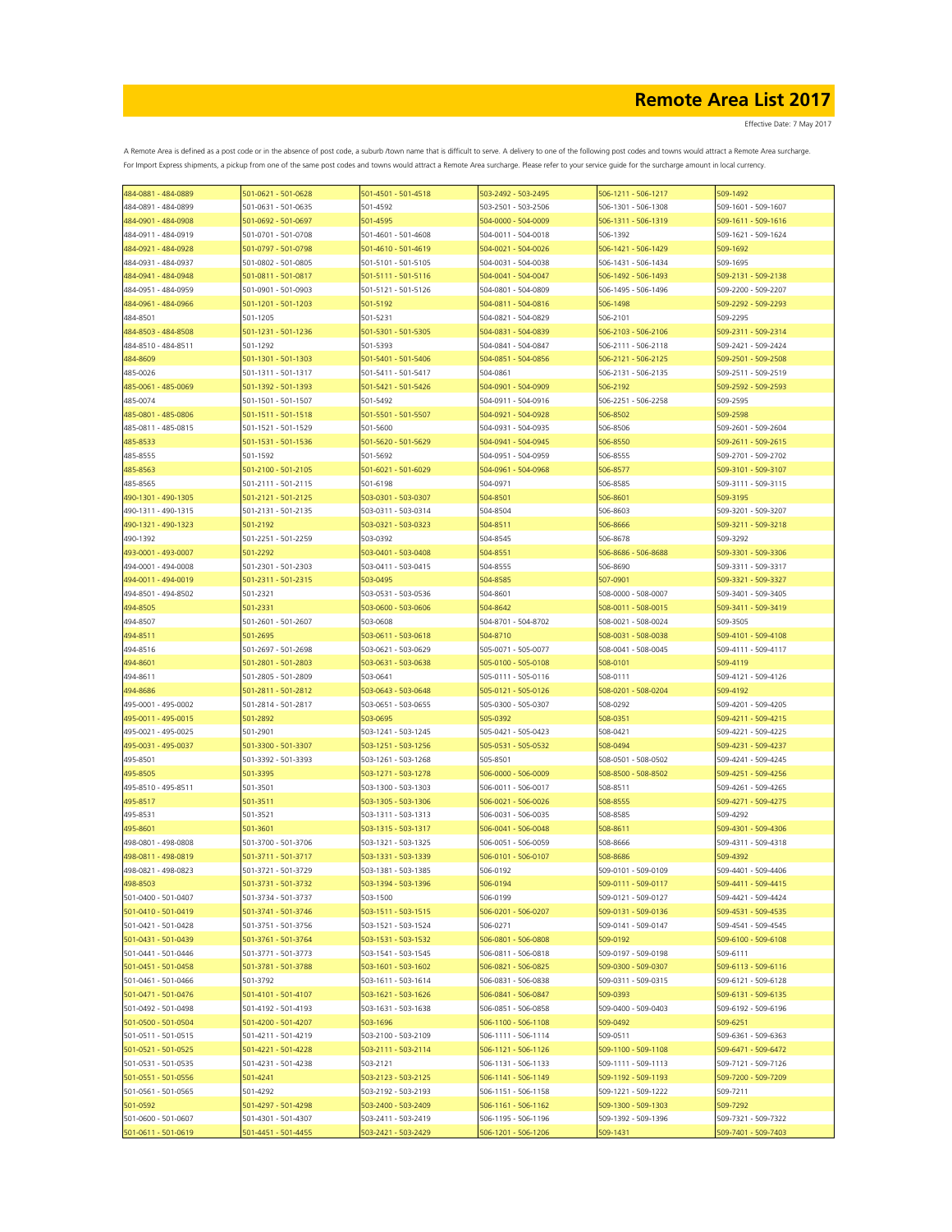| 484-0881 - 484-0889                        | 501-0621 - 501-0628                        | 501-4501 - 501-4518                        | 503-2492 - 503-2495                        | 506-1211 - 506-1217                        | 509-1492                                   |
|--------------------------------------------|--------------------------------------------|--------------------------------------------|--------------------------------------------|--------------------------------------------|--------------------------------------------|
| 484-0891 - 484-0899                        | 501-0631 - 501-0635                        | 501-4592                                   | 503-2501 - 503-2506                        | 506-1301 - 506-1308                        | 509-1601 - 509-1607                        |
| 484-0901 - 484-0908                        | 501-0692 - 501-0697                        | 501-4595                                   | 504-0000 - 504-0009                        | 506-1311 - 506-1319                        | 509-1611 - 509-1616                        |
| 484-0911 - 484-0919                        | 501-0701 - 501-0708                        | 501-4601 - 501-4608                        | 504-0011 - 504-0018                        | 506-1392                                   | 509-1621 - 509-1624                        |
| 484-0921 - 484-0928                        | 501-0797 - 501-0798                        | 501-4610 - 501-4619                        | 504-0021 - 504-0026                        | 506-1421 - 506-1429                        | 509-1692                                   |
| 484-0931 - 484-0937                        | 501-0802 - 501-0805                        | 501-5101 - 501-5105                        | 504-0031 - 504-0038                        | 506-1431 - 506-1434                        | 509-1695                                   |
| 484-0941 - 484-0948                        | 501-0811 - 501-0817                        | 501-5111 - 501-5116                        | 504-0041 - 504-0047                        | 506-1492 - 506-1493                        | 509-2131 - 509-2138                        |
| 484-0951 - 484-0959                        | 501-0901 - 501-0903                        | 501-5121 - 501-5126                        | 504-0801 - 504-0809                        | 506-1495 - 506-1496                        | 509-2200 - 509-2207                        |
| 484-0961 - 484-0966                        | 501-1201 - 501-1203                        | 501-5192                                   | 504-0811 - 504-0816                        | 506-1498                                   | 509-2292 - 509-2293                        |
| 484-8501                                   | 501-1205                                   | 501-5231                                   | 504-0821 - 504-0829                        | 506-2101                                   | 509-2295                                   |
| 484-8503 - 484-8508                        | 501-1231 - 501-1236                        | 501-5301 - 501-5305                        | 504-0831 - 504-0839                        | 506-2103 - 506-2106                        | 509-2311 - 509-2314                        |
| 484-8510 - 484-8511                        | 501-1292                                   | 501-5393                                   | 504-0841 - 504-0847                        | 506-2111 - 506-2118                        | 509-2421 - 509-2424                        |
| 484-8609                                   | 501-1301 - 501-1303                        | 501-5401 - 501-5406                        | 504-0851 - 504-0856                        | 506-2121 - 506-2125                        | 509-2501 - 509-2508                        |
| 485-0026                                   | 501-1311 - 501-1317                        | 501-5411 - 501-5417                        | 504-0861                                   | 506-2131 - 506-2135                        | 509-2511 - 509-2519                        |
| 485-0061 - 485-0069                        | 501-1392 - 501-1393                        | 501-5421 - 501-5426                        | 504-0901 - 504-0909                        | 506-2192                                   | 509-2592 - 509-2593                        |
| 485-0074                                   | 501-1501 - 501-1507                        | 501-5492                                   | 504-0911 - 504-0916                        | 506-2251 - 506-2258                        | 509-2595                                   |
| 485-0801 - 485-0806                        | 501-1511 - 501-1518                        | 501-5501 - 501-5507                        | 504-0921 - 504-0928                        | 506-8502                                   | 509-2598                                   |
| 485-0811 - 485-0815                        | 501-1521 - 501-1529                        | 501-5600                                   | 504-0931 - 504-0935                        | 506-8506                                   | 509-2601 - 509-2604                        |
| 485-8533                                   | 501-1531 - 501-1536                        | 501-5620 - 501-5629                        | 504-0941 - 504-0945                        | 506-8550                                   | 509-2611 - 509-2615                        |
| 485-8555                                   | 501-1592                                   | 501-5692                                   | 504-0951 - 504-0959                        | 506-8555                                   | 509-2701 - 509-2702                        |
| 485-8563                                   | 501-2100 - 501-2105                        | 501-6021 - 501-6029                        | 504-0961 - 504-0968                        | 506-8577                                   | 509-3101 - 509-3107                        |
| 485-8565                                   | 501-2111 - 501-2115                        | 501-6198                                   | 504-0971                                   | 506-8585                                   | 509-3111 - 509-3115                        |
| 490-1301 - 490-1305                        | 501-2121 - 501-2125                        | 503-0301 - 503-0307                        | 504-8501                                   | 506-8601                                   | 509-3195                                   |
| 490-1311 - 490-1315                        | 501-2131 - 501-2135                        | 503-0311 - 503-0314                        | 504-8504                                   | 506-8603                                   | 509-3201 - 509-3207                        |
| 490-1321 - 490-1323                        | 501-2192                                   | 503-0321 - 503-0323                        | 504-8511                                   | 506-8666                                   | 509-3211 - 509-3218                        |
| 490-1392                                   | 501-2251 - 501-2259                        | 503-0392                                   | 504-8545                                   | 506-8678                                   | 509-3292                                   |
| 493-0001 - 493-0007                        | 501-2292                                   | 503-0401 - 503-0408                        | 504-8551                                   | 506-8686 - 506-8688                        | 509-3301 - 509-3306                        |
| 494-0001 - 494-0008                        | 501-2301 - 501-2303                        | 503-0411 - 503-0415                        | 504-8555                                   | 506-8690                                   | 509-3311 - 509-3317                        |
| 494-0011 - 494-0019                        | 501-2311 - 501-2315                        | 503-0495                                   | 504-8585                                   | 507-0901                                   | 509-3321 - 509-3327                        |
| 494-8501 - 494-8502                        | 501-2321                                   | 503-0531 - 503-0536                        | 504-8601                                   | 508-0000 - 508-0007                        | 509-3401 - 509-3405                        |
| 494-8505                                   | 501-2331                                   | 503-0600 - 503-0606                        | 504-8642                                   | 508-0011 - 508-0015                        | 509-3411 - 509-3419                        |
| 494-8507                                   | 501-2601 - 501-2607                        | 503-0608                                   | 504-8701 - 504-8702                        | 508-0021 - 508-0024                        | 509-3505                                   |
| 494-8511                                   | 501-2695                                   | 503-0611 - 503-0618                        | 504-8710                                   | 508-0031 - 508-0038                        | 509-4101 - 509-4108                        |
| 494-8516                                   | 501-2697 - 501-2698                        | 503-0621 - 503-0629                        | 505-0071 - 505-0077                        | 508-0041 - 508-0045                        | 509-4111 - 509-4117                        |
| 494-8601                                   | 501-2801 - 501-2803                        | 503-0631 - 503-0638                        | 505-0100 - 505-0108                        | 508-0101                                   | 509-4119                                   |
| 494-8611                                   | 501-2805 - 501-2809                        | 503-0641                                   | 505-0111 - 505-0116                        | 508-0111                                   | 509-4121 - 509-4126                        |
| 494-8686                                   | 501-2811 - 501-2812                        | 503-0643 - 503-0648                        | 505-0121 - 505-0126                        | 508-0201 - 508-0204                        | 509-4192                                   |
| 495-0001 - 495-0002                        | 501-2814 - 501-2817                        | 503-0651 - 503-0655                        | 505-0300 - 505-0307                        | 508-0292                                   | 509-4201 - 509-4205                        |
| 495-0011 - 495-0015                        | 501-2892                                   | 503-0695                                   | 505-0392                                   | 508-0351                                   | 509-4211 - 509-4215                        |
| 495-0021 - 495-0025                        | 501-2901                                   | 503-1241 - 503-1245                        | 505-0421 - 505-0423                        | 508-0421                                   | 509-4221 - 509-4225                        |
| 495-0031 - 495-0037                        | 501-3300 - 501-3307                        | 503-1251 - 503-1256                        | 505-0531 - 505-0532                        | 508-0494                                   | 509-4231 - 509-4237                        |
| 495-8501                                   |                                            | 503-1261 - 503-1268                        | 505-8501                                   | 508-0501 - 508-0502                        | 509-4241 - 509-4245                        |
| 495-8505                                   | 501-3392 - 501-3393                        |                                            |                                            |                                            |                                            |
| 495-8510 - 495-8511                        | 501-3395                                   | 503-1271 - 503-1278                        | 506-0000 - 506-0009                        | 508-8500 - 508-8502                        | 509-4251 - 509-4256                        |
| 495-8517                                   | 501-3501                                   | 503-1300 - 503-1303                        | 506-0011 - 506-0017                        | 508-8511                                   | 509-4261 - 509-4265                        |
|                                            | 501-3511                                   | 503-1305 - 503-1306                        | 506-0021 - 506-0026                        | 508-8555                                   | 509-4271 - 509-4275                        |
| 495-8531                                   | 501-3521                                   | 503-1311 - 503-1313                        | 506-0031 - 506-0035                        | 508-8585                                   | 509-4292                                   |
| 495-8601                                   | 501-3601                                   | 503-1315 - 503-1317                        | 506-0041 - 506-0048                        | 508-8611                                   | 509-4301 - 509-4306                        |
| 498-0801 - 498-0808                        | 501-3700 - 501-3706<br>501-3711 - 501-3717 | 503-1321 - 503-1325<br>503-1331 - 503-1339 | 506-0051 - 506-0059<br>506-0101 - 506-0107 | 508-8666                                   | 509-4311 - 509-4318                        |
| 498-0811 - 498-0819                        |                                            |                                            |                                            | 508-8686                                   | 509-4392                                   |
| 498-0821 - 498-0823                        | 501-3721 - 501-3729                        | 503-1381 - 503-1385                        | 506-0192                                   | 509-0101 - 509-0109                        | 509-4401 - 509-4406                        |
| 498-8503<br>501-0400 - 501-0407            | 501-3731 - 501-3732                        | 503-1394 - 503-1396                        | 506-0194<br>506-0199                       | 509-0111 - 509-0117                        | 509-4411 - 509-4415<br>509-4421 - 509-4424 |
| 501-0410 - 501-0419                        | 501-3734 - 501-3737<br>501-3741 - 501-3746 | 503-1500<br>503-1511 - 503-1515            | 506-0201 - 506-0207                        | 509-0121 - 509-0127<br>509-0131 - 509-0136 | 509-4531 - 509-4535                        |
|                                            |                                            |                                            |                                            |                                            |                                            |
| 501-0421 - 501-0428<br>501-0431 - 501-0439 | 501-3751 - 501-3756                        | 503-1521 - 503-1524<br>503-1531 - 503-1532 | 506-0271<br>506-0801 - 506-0808            | 509-0141 - 509-0147<br>509-0192            | 509-4541 - 509-4545                        |
|                                            | 501-3761 - 501-3764                        |                                            |                                            |                                            | 509-6100 - 509-6108                        |
| 501-0441 - 501-0446                        | 501-3771 - 501-3773                        | 503-1541 - 503-1545                        | 506-0811 - 506-0818                        | 509-0197 - 509-0198                        | 509-6111                                   |
| 501-0451 - 501-0458                        | 501-3781 - 501-3788                        | 503-1601 - 503-1602                        | 506-0821 - 506-0825                        | 509-0300 - 509-0307                        | 509-6113 - 509-6116                        |
| 501-0461 - 501-0466                        | 501-3792                                   | 503-1611 - 503-1614                        | 506-0831 - 506-0838                        | 509-0311 - 509-0315                        | 509-6121 - 509-6128                        |
| 501-0471 - 501-0476                        | 501-4101 - 501-4107                        | 503-1621 - 503-1626                        | 506-0841 - 506-0847                        | 509-0393                                   | 509-6131 - 509-6135                        |
| 501-0492 - 501-0498                        | 501-4192 - 501-4193                        | 503-1631 - 503-1638                        | 506-0851 - 506-0858                        | 509-0400 - 509-0403                        | 509-6192 - 509-6196                        |
| 501-0500 - 501-0504                        | 501-4200 - 501-4207                        | 503-1696                                   | 506-1100 - 506-1108                        | 509-0492                                   | 509-6251                                   |
| 501-0511 - 501-0515                        | 501-4211 - 501-4219                        | 503-2100 - 503-2109                        | 506-1111 - 506-1114                        | 509-0511                                   | 509-6361 - 509-6363                        |
| 501-0521 - 501-0525                        | 501-4221 - 501-4228                        | 503-2111 - 503-2114                        | 506-1121 - 506-1126                        | 509-1100 - 509-1108                        | 509-6471 - 509-6472                        |
| 501-0531 - 501-0535                        | 501-4231 - 501-4238                        | 503-2121                                   | 506-1131 - 506-1133                        | 509-1111 - 509-1113                        | 509-7121 - 509-7126                        |
| 501-0551 - 501-0556                        | 501-4241                                   | 503-2123 - 503-2125                        | 506-1141 - 506-1149                        | 509-1192 - 509-1193                        | 509-7200 - 509-7209                        |
| 501-0561 - 501-0565                        | 501-4292                                   | 503-2192 - 503-2193                        | 506-1151 - 506-1158                        | 509-1221 - 509-1222                        | 509-7211                                   |
| 501-0592                                   | 501-4297 - 501-4298                        | 503-2400 - 503-2409                        | 506-1161 - 506-1162                        | 509-1300 - 509-1303                        | 509-7292                                   |
| 501-0600 - 501-0607                        | 501-4301 - 501-4307                        | 503-2411 - 503-2419                        | 506-1195 - 506-1196                        | 509-1392 - 509-1396                        | 509-7321 - 509-7322                        |
| 501-0611 - 501-0619                        | 501-4451 - 501-4455                        | 503-2421 - 503-2429                        | 506-1201 - 506-1206                        | 509-1431                                   | 509-7401 - 509-7403                        |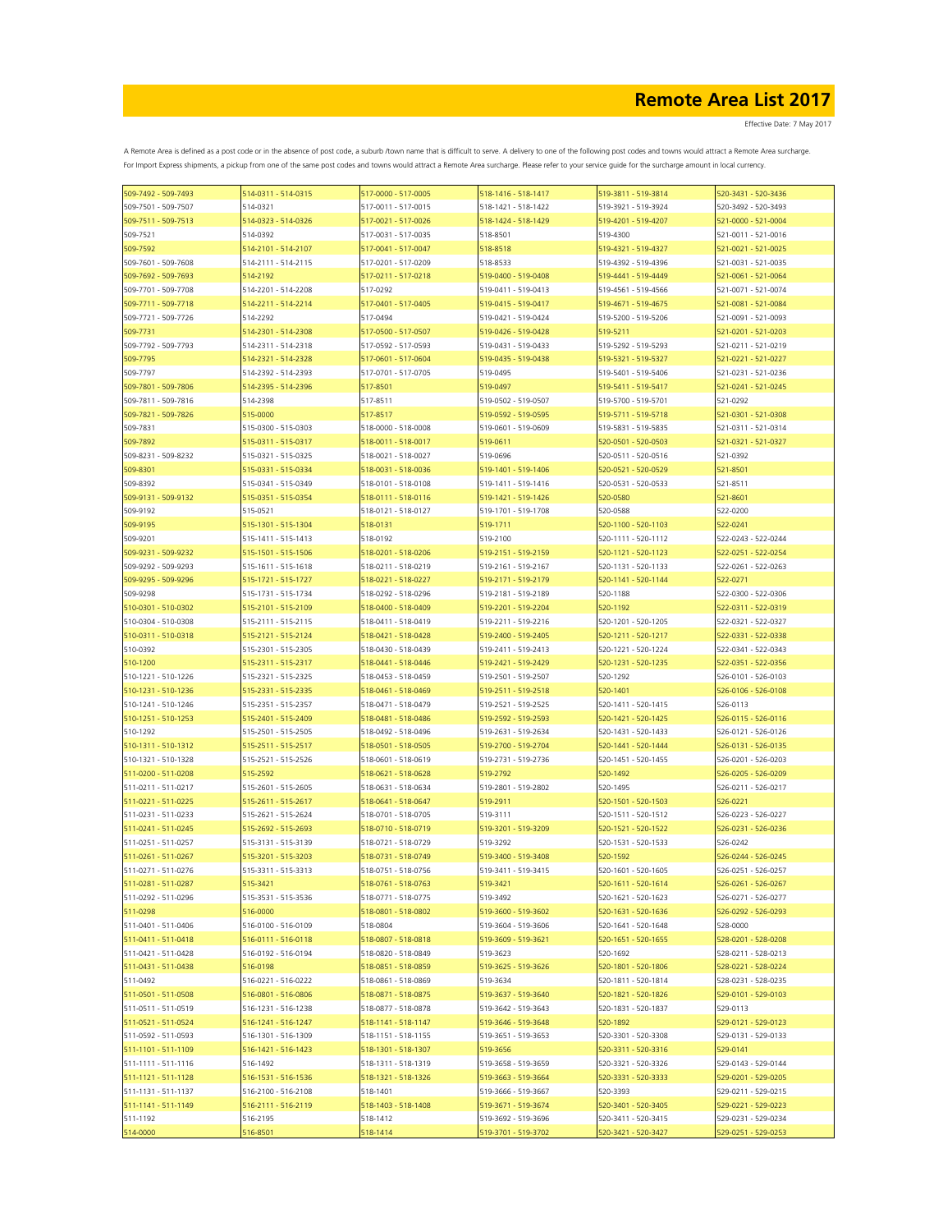| 509-7492 - 509-7493 | 514-0311 - 514-0315 | 517-0000 - 517-0005 | 518-1416 - 518-1417 | 519-3811 - 519-3814 | 520-3431 - 520-3436 |
|---------------------|---------------------|---------------------|---------------------|---------------------|---------------------|
| 509-7501 - 509-7507 | 514-0321            | 517-0011 - 517-0015 | 518-1421 - 518-1422 | 519-3921 - 519-3924 | 520-3492 - 520-3493 |
| 509-7511 - 509-7513 | 514-0323 - 514-0326 | 517-0021 - 517-0026 | 518-1424 - 518-1429 | 519-4201 - 519-4207 | 521-0000 - 521-0004 |
| 509-7521            | 514-0392            | 517-0031 - 517-0035 | 518-8501            | 519-4300            | 521-0011 - 521-0016 |
| 509-7592            | 514-2101 - 514-2107 | 517-0041 - 517-0047 | 518-8518            | 519-4321 - 519-4327 | 521-0021 - 521-0025 |
| 509-7601 - 509-7608 | 514-2111 - 514-2115 | 517-0201 - 517-0209 | 518-8533            | 519-4392 - 519-4396 | 521-0031 - 521-0035 |
|                     |                     |                     |                     | 519-4441 - 519-4449 |                     |
| 509-7692 - 509-7693 | 514-2192            | 517-0211 - 517-0218 | 519-0400 - 519-0408 |                     | 521-0061 - 521-0064 |
| 509-7701 - 509-7708 | 514-2201 - 514-2208 | 517-0292            | 519-0411 - 519-0413 | 519-4561 - 519-4566 | 521-0071 - 521-0074 |
| 509-7711 - 509-7718 | 514-2211 - 514-2214 | 517-0401 - 517-0405 | 519-0415 - 519-0417 | 519-4671 - 519-4675 | 521-0081 - 521-0084 |
| 509-7721 - 509-7726 | 514-2292            | 517-0494            | 519-0421 - 519-0424 | 519-5200 - 519-5206 | 521-0091 - 521-0093 |
| 509-7731            | 514-2301 - 514-2308 | 517-0500 - 517-0507 | 519-0426 - 519-0428 | 519-5211            | 521-0201 - 521-0203 |
| 509-7792 - 509-7793 | 514-2311 - 514-2318 | 517-0592 - 517-0593 | 519-0431 - 519-0433 | 519-5292 - 519-5293 | 521-0211 - 521-0219 |
| 509-7795            | 514-2321 - 514-2328 | 517-0601 - 517-0604 | 519-0435 - 519-0438 | 519-5321 - 519-5327 | 521-0221 - 521-0227 |
| 509-7797            | 514-2392 - 514-2393 | 517-0701 - 517-0705 | 519-0495            | 519-5401 - 519-5406 | 521-0231 - 521-0236 |
| 509-7801 - 509-7806 | 514-2395 - 514-2396 | 517-8501            | 519-0497            | 519-5411 - 519-5417 | 521-0241 - 521-0245 |
| 509-7811 - 509-7816 | 514-2398            | 517-8511            | 519-0502 - 519-0507 | 519-5700 - 519-5701 | 521-0292            |
| 509-7821 - 509-7826 | 515-0000            | 517-8517            | 519-0592 - 519-0595 | 519-5711 - 519-5718 | 521-0301 - 521-0308 |
| 509-7831            | 515-0300 - 515-0303 | 518-0000 - 518-0008 | 519-0601 - 519-0609 | 519-5831 - 519-5835 | 521-0311 - 521-0314 |
| 509-7892            | 515-0311 - 515-0317 | 518-0011 - 518-0017 | 519-0611            | 520-0501 - 520-0503 | 521-0321 - 521-0327 |
|                     |                     |                     |                     |                     |                     |
| 509-8231 - 509-8232 | 515-0321 - 515-0325 | 518-0021 - 518-0027 | 519-0696            | 520-0511 - 520-0516 | 521-0392            |
| 509-8301            | 515-0331 - 515-0334 | 518-0031 - 518-0036 | 519-1401 - 519-1406 | 520-0521 - 520-0529 | 521-8501            |
| 509-8392            | 515-0341 - 515-0349 | 518-0101 - 518-0108 | 519-1411 - 519-1416 | 520-0531 - 520-0533 | 521-8511            |
| 509-9131 - 509-9132 | 515-0351 - 515-0354 | 518-0111 - 518-0116 | 519-1421 - 519-1426 | 520-0580            | 521-8601            |
| 509-9192            | 515-0521            | 518-0121 - 518-0127 | 519-1701 - 519-1708 | 520-0588            | 522-0200            |
| 509-9195            | 515-1301 - 515-1304 | 518-0131            | 519-1711            | 520-1100 - 520-1103 | 522-0241            |
| 509-9201            | 515-1411 - 515-1413 | 518-0192            | 519-2100            | 520-1111 - 520-1112 | 522-0243 - 522-0244 |
| 509-9231 - 509-9232 | 515-1501 - 515-1506 | 518-0201 - 518-0206 | 519-2151 - 519-2159 | 520-1121 - 520-1123 | 522-0251 - 522-0254 |
| 509-9292 - 509-9293 | 515-1611 - 515-1618 | 518-0211 - 518-0219 | 519-2161 - 519-2167 | 520-1131 - 520-1133 | 522-0261 - 522-0263 |
| 509-9295 - 509-9296 | 515-1721 - 515-1727 | 518-0221 - 518-0227 | 519-2171 - 519-2179 | 520-1141 - 520-1144 | 522-0271            |
| 509-9298            | 515-1731 - 515-1734 | 518-0292 - 518-0296 | 519-2181 - 519-2189 | 520-1188            | 522-0300 - 522-0306 |
| 510-0301 - 510-0302 | 515-2101 - 515-2109 | 518-0400 - 518-0409 | 519-2201 - 519-2204 | 520-1192            | 522-0311 - 522-0319 |
| 510-0304 - 510-0308 | 515-2111 - 515-2115 | 518-0411 - 518-0419 | 519-2211 - 519-2216 | 520-1201 - 520-1205 | 522-0321 - 522-0327 |
|                     |                     | 518-0421 - 518-0428 | 519-2400 - 519-2405 |                     | 522-0331 - 522-0338 |
| 510-0311 - 510-0318 | 515-2121 - 515-2124 |                     |                     | 520-1211 - 520-1217 |                     |
| 510-0392            | 515-2301 - 515-2305 | 518-0430 - 518-0439 | 519-2411 - 519-2413 | 520-1221 - 520-1224 | 522-0341 - 522-0343 |
| 510-1200            | 515-2311 - 515-2317 | 518-0441 - 518-0446 | 519-2421 - 519-2429 | 520-1231 - 520-1235 | 522-0351 - 522-0356 |
| 510-1221 - 510-1226 | 515-2321 - 515-2325 | 518-0453 - 518-0459 | 519-2501 - 519-2507 | 520-1292            | 526-0101 - 526-0103 |
| 510-1231 - 510-1236 | 515-2331 - 515-2335 | 518-0461 - 518-0469 | 519-2511 - 519-2518 | 520-1401            | 526-0106 - 526-0108 |
| 510-1241 - 510-1246 | 515-2351 - 515-2357 | 518-0471 - 518-0479 | 519-2521 - 519-2525 | 520-1411 - 520-1415 | 526-0113            |
| 510-1251 - 510-1253 | 515-2401 - 515-2409 | 518-0481 - 518-0486 | 519-2592 - 519-2593 | 520-1421 - 520-1425 | 526-0115 - 526-0116 |
| 510-1292            | 515-2501 - 515-2505 | 518-0492 - 518-0496 | 519-2631 - 519-2634 | 520-1431 - 520-1433 | 526-0121 - 526-0126 |
| 510-1311 - 510-1312 | 515-2511 - 515-2517 | 518-0501 - 518-0505 | 519-2700 - 519-2704 | 520-1441 - 520-1444 | 526-0131 - 526-0135 |
| 510-1321 - 510-1328 | 515-2521 - 515-2526 | 518-0601 - 518-0619 | 519-2731 - 519-2736 | 520-1451 - 520-1455 | 526-0201 - 526-0203 |
| 511-0200 - 511-0208 | 515-2592            | 518-0621 - 518-0628 | 519-2792            | 520-1492            | 526-0205 - 526-0209 |
| 511-0211 - 511-0217 | 515-2601 - 515-2605 | 518-0631 - 518-0634 | 519-2801 - 519-2802 | 520-1495            | 526-0211 - 526-0217 |
| 511-0221 - 511-0225 | 515-2611 - 515-2617 | 518-0641 - 518-0647 | 519-2911            | 520-1501 - 520-1503 | 526-0221            |
| 511-0231 - 511-0233 | 515-2621 - 515-2624 | 518-0701 - 518-0705 | 519-3111            | 520-1511 - 520-1512 | 526-0223 - 526-0227 |
|                     | 515-2692 - 515-2693 | 518-0710 - 518-0719 | 519-3201 - 519-3209 | 520-1521 - 520-1522 | 526-0231 - 526-0236 |
| 511-0241 - 511-0245 |                     |                     |                     |                     |                     |
| 511-0251 - 511-0257 | 515-3131 - 515-3139 | 518-0721 - 518-0729 | 519-3292            | 520-1531 - 520-1533 | 526-0242            |
| 511-0261 - 511-0267 | 515-3201 - 515-3203 | 518-0731 - 518-0749 | 519-3400 - 519-3408 | 520-1592            | 526-0244 - 526-0245 |
| 511-0271 - 511-0276 | 515-3311 - 515-3313 | 518-0751 - 518-0756 | 519-3411 - 519-3415 | 520-1601 - 520-1605 | 526-0251 - 526-0257 |
| 511-0281 - 511-0287 | 515-3421            | 518-0761 - 518-0763 | 519-3421            | 520-1611 - 520-1614 | 526-0261 - 526-0267 |
| 511-0292 - 511-0296 | 515-3531 - 515-3536 | 518-0771 - 518-0775 | 519-3492            | 520-1621 - 520-1623 | 526-0271 - 526-0277 |
| 511-0298            | 516-0000            | 518-0801 - 518-0802 | 519-3600 - 519-3602 | 520-1631 - 520-1636 | 526-0292 - 526-0293 |
| 511-0401 - 511-0406 | 516-0100 - 516-0109 | 518-0804            | 519-3604 - 519-3606 | 520-1641 - 520-1648 | 528-0000            |
| 511-0411 - 511-0418 | 516-0111 - 516-0118 | 518-0807 - 518-0818 | 519-3609 - 519-3621 | 520-1651 - 520-1655 | 528-0201 - 528-0208 |
| 511-0421 - 511-0428 | 516-0192 - 516-0194 | 518-0820 - 518-0849 | 519-3623            | 520-1692            | 528-0211 - 528-0213 |
| 511-0431 - 511-0438 | 516-0198            | 518-0851 - 518-0859 | 519-3625 - 519-3626 | 520-1801 - 520-1806 | 528-0221 - 528-0224 |
| 511-0492            | 516-0221 - 516-0222 | 518-0861 - 518-0869 | 519-3634            | 520-1811 - 520-1814 | 528-0231 - 528-0235 |
| 511-0501 - 511-0508 | 516-0801 - 516-0806 | 518-0871 - 518-0875 | 519-3637 - 519-3640 | 520-1821 - 520-1826 | 529-0101 - 529-0103 |
| 511-0511 - 511-0519 | 516-1231 - 516-1238 | 518-0877 - 518-0878 | 519-3642 - 519-3643 | 520-1831 - 520-1837 | 529-0113            |
| 511-0521 - 511-0524 | 516-1241 - 516-1247 | 518-1141 - 518-1147 | 519-3646 - 519-3648 | 520-1892            | 529-0121 - 529-0123 |
| 511-0592 - 511-0593 | 516-1301 - 516-1309 |                     | 519-3651 - 519-3653 | 520-3301 - 520-3308 | 529-0131 - 529-0133 |
|                     |                     | 518-1151 - 518-1155 |                     |                     |                     |
| 511-1101 - 511-1109 | 516-1421 - 516-1423 | 518-1301 - 518-1307 | 519-3656            | 520-3311 - 520-3316 | 529-0141            |
| 511-1111 - 511-1116 | 516-1492            | 518-1311 - 518-1319 | 519-3658 - 519-3659 | 520-3321 - 520-3326 | 529-0143 - 529-0144 |
| 511-1121 - 511-1128 | 516-1531 - 516-1536 | 518-1321 - 518-1326 | 519-3663 - 519-3664 | 520-3331 - 520-3333 | 529-0201 - 529-0205 |
| 511-1131 - 511-1137 | 516-2100 - 516-2108 | 518-1401            | 519-3666 - 519-3667 | 520-3393            | 529-0211 - 529-0215 |
| 511-1141 - 511-1149 | 516-2111 - 516-2119 | 518-1403 - 518-1408 | 519-3671 - 519-3674 | 520-3401 - 520-3405 | 529-0221 - 529-0223 |
| 511-1192            | 516-2195            | 518-1412            | 519-3692 - 519-3696 | 520-3411 - 520-3415 | 529-0231 - 529-0234 |
| 514-0000            | 516-8501            | 518-1414            | 519-3701 - 519-3702 | 520-3421 - 520-3427 | 529-0251 - 529-0253 |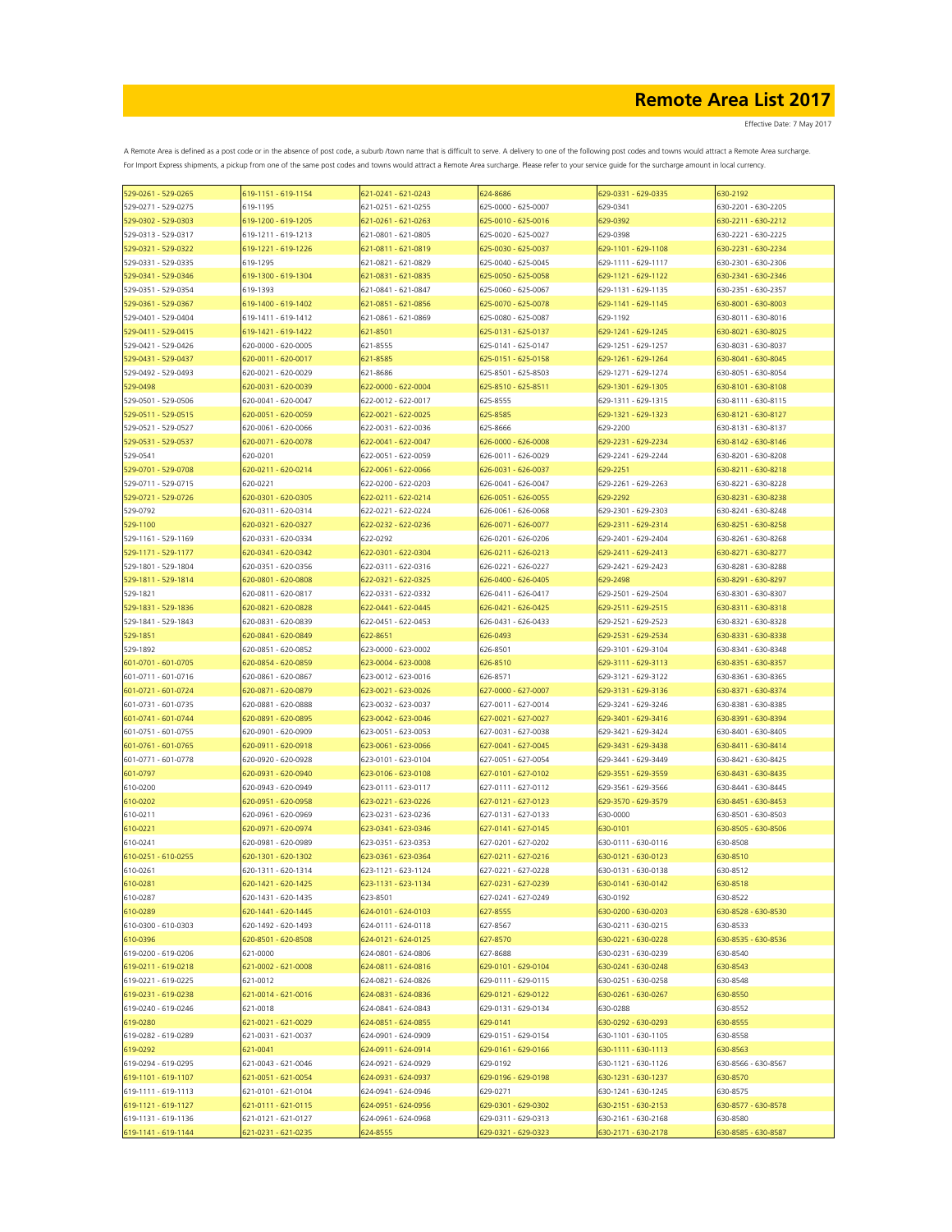| 529-0261 - 529-0265 | 619-1151 - 619-1154 | 621-0241 - 621-0243 | 624-8686            | 529-0331 - 629-0335 | 630-2192            |
|---------------------|---------------------|---------------------|---------------------|---------------------|---------------------|
| 529-0271 - 529-0275 | 619-1195            | 621-0251 - 621-0255 | 625-0000 - 625-0007 | 629-0341            | 630-2201 - 630-2205 |
| 529-0302 - 529-0303 | 619-1200 - 619-1205 | 621-0261 - 621-0263 | 625-0010 - 625-0016 | 629-0392            | 630-2211 - 630-2212 |
| 529-0313 - 529-0317 | 619-1211 - 619-1213 | 621-0801 - 621-0805 | 625-0020 - 625-0027 | 629-0398            | 630-2221 - 630-2225 |
| 529-0321 - 529-0322 | 619-1221 - 619-1226 | 621-0811 - 621-0819 | 625-0030 - 625-0037 | 629-1101 - 629-1108 | 630-2231 - 630-2234 |
| 529-0331 - 529-0335 | 619-1295            | 621-0821 - 621-0829 | 625-0040 - 625-0045 | 629-1111 - 629-1117 | 630-2301 - 630-2306 |
| 529-0341 - 529-0346 | 619-1300 - 619-1304 | 621-0831 - 621-0835 | 625-0050 - 625-0058 | 629-1121 - 629-1122 | 630-2341 - 630-2346 |
| 529-0351 - 529-0354 | 619-1393            | 621-0841 - 621-0847 | 625-0060 - 625-0067 | 629-1131 - 629-1135 | 630-2351 - 630-2357 |
| 529-0361 - 529-0367 | 619-1400 - 619-1402 | 621-0851 - 621-0856 | 625-0070 - 625-0078 | 629-1141 - 629-1145 | 630-8001 - 630-8003 |
| 529-0401 - 529-0404 | 619-1411 - 619-1412 | 621-0861 - 621-0869 | 625-0080 - 625-0087 | 629-1192            | 630-8011 - 630-8016 |
| 529-0411 - 529-0415 | 619-1421 - 619-1422 | 621-8501            | 625-0131 - 625-0137 | 529-1241 - 629-1245 | 630-8021 - 630-8025 |
| 529-0421 - 529-0426 | 620-0000 - 620-0005 | 621-8555            | 625-0141 - 625-0147 | 629-1251 - 629-1257 | 630-8031 - 630-8037 |
| 529-0431 - 529-0437 | 620-0011 - 620-0017 | 621-8585            | 625-0151 - 625-0158 | 529-1261 - 629-1264 | 630-8041 - 630-8045 |
|                     | 620-0021 - 620-0029 | 621-8686            | 625-8501 - 625-8503 | 629-1271 - 629-1274 | 630-8051 - 630-8054 |
| 529-0492 - 529-0493 |                     |                     | 625-8510 - 625-8511 | 629-1301 - 629-1305 |                     |
| 529-0498            | 620-0031 - 620-0039 | 622-0000 - 622-0004 |                     |                     | 630-8101 - 630-8108 |
| 529-0501 - 529-0506 | 620-0041 - 620-0047 | 622-0012 - 622-0017 | 625-8555            | 629-1311 - 629-1315 | 630-8111 - 630-8115 |
| 529-0511 - 529-0515 | 620-0051 - 620-0059 | 622-0021 - 622-0025 | 625-8585            | 629-1321 - 629-1323 | 630-8121 - 630-8127 |
| 529-0521 - 529-0527 | 620-0061 - 620-0066 | 622-0031 - 622-0036 | 625-8666            | 629-2200            | 630-8131 - 630-8137 |
| 529-0531 - 529-0537 | 620-0071 - 620-0078 | 622-0041 - 622-0047 | 626-0000 - 626-0008 | 629-2231 - 629-2234 | 630-8142 - 630-8146 |
| 529-0541            | 620-0201            | 622-0051 - 622-0059 | 626-0011 - 626-0029 | 629-2241 - 629-2244 | 630-8201 - 630-8208 |
| 529-0701 - 529-0708 | 620-0211 - 620-0214 | 622-0061 - 622-0066 | 626-0031 - 626-0037 | 629-2251            | 630-8211 - 630-8218 |
| 529-0711 - 529-0715 | 620-0221            | 622-0200 - 622-0203 | 626-0041 - 626-0047 | 629-2261 - 629-2263 | 630-8221 - 630-8228 |
| 529-0721 - 529-0726 | 620-0301 - 620-0305 | 622-0211 - 622-0214 | 626-0051 - 626-0055 | 629-2292            | 630-8231 - 630-8238 |
| 529-0792            | 620-0311 - 620-0314 | 622-0221 - 622-0224 | 626-0061 - 626-0068 | 629-2301 - 629-2303 | 630-8241 - 630-8248 |
| 529-1100            | 520-0321 - 620-0327 | 622-0232 - 622-0236 | 626-0071 - 626-0077 | 529-2311 - 629-2314 | 530-8251 - 630-8258 |
| 529-1161 - 529-1169 | 620-0331 - 620-0334 | 622-0292            | 626-0201 - 626-0206 | 629-2401 - 629-2404 | 630-8261 - 630-8268 |
| 529-1171 - 529-1177 | 620-0341 - 620-0342 | 622-0301 - 622-0304 | 626-0211 - 626-0213 | 529-2411 - 629-2413 | 630-8271 - 630-8277 |
| 529-1801 - 529-1804 | 620-0351 - 620-0356 | 622-0311 - 622-0316 | 626-0221 - 626-0227 | 629-2421 - 629-2423 | 630-8281 - 630-8288 |
| 529-1811 - 529-1814 | 620-0801 - 620-0808 | 622-0321 - 622-0325 | 626-0400 - 626-0405 | 629-2498            | 630-8291 - 630-8297 |
| 529-1821            | 620-0811 - 620-0817 | 622-0331 - 622-0332 | 626-0411 - 626-0417 | 629-2501 - 629-2504 | 630-8301 - 630-8307 |
| 529-1831 - 529-1836 | 620-0821 - 620-0828 | 622-0441 - 622-0445 | 626-0421 - 626-0425 | 629-2511 - 629-2515 | 630-8311 - 630-8318 |
| 529-1841 - 529-1843 | 620-0831 - 620-0839 | 622-0451 - 622-0453 | 626-0431 - 626-0433 | 629-2521 - 629-2523 | 630-8321 - 630-8328 |
| 529-1851            | 620-0841 - 620-0849 | 622-8651            | 626-0493            | 629-2531 - 629-2534 | 630-8331 - 630-8338 |
| 529-1892            | 620-0851 - 620-0852 | 623-0000 - 623-0002 | 626-8501            | 629-3101 - 629-3104 | 630-8341 - 630-8348 |
| 601-0701 - 601-0705 | 620-0854 - 620-0859 | 623-0004 - 623-0008 | 626-8510            | 629-3111 - 629-3113 | 630-8351 - 630-8357 |
| 601-0711 - 601-0716 | 620-0861 - 620-0867 | 623-0012 - 623-0016 | 626-8571            | 629-3121 - 629-3122 | 630-8361 - 630-8365 |
| 601-0721 - 601-0724 | 620-0871 - 620-0879 | 623-0021 - 623-0026 | 627-0000 - 627-0007 | 629-3131 - 629-3136 | 630-8371 - 630-8374 |
| 601-0731 - 601-0735 | 620-0881 - 620-0888 | 623-0032 - 623-0037 | 627-0011 - 627-0014 | 629-3241 - 629-3246 | 630-8381 - 630-8385 |
|                     |                     |                     |                     |                     |                     |
| 601-0741 - 601-0744 | 620-0891 - 620-0895 | 623-0042 - 623-0046 | 627-0021 - 627-0027 | 629-3401 - 629-3416 | 630-8391 - 630-8394 |
| 601-0751 - 601-0755 | 620-0901 - 620-0909 | 623-0051 - 623-0053 | 627-0031 - 627-0038 | 629-3421 - 629-3424 | 630-8401 - 630-8405 |
| 601-0761 - 601-0765 | 620-0911 - 620-0918 | 623-0061 - 623-0066 | 627-0041 - 627-0045 | 629-3431 - 629-3438 | 630-8411 - 630-8414 |
| 601-0771 - 601-0778 | 620-0920 - 620-0928 | 623-0101 - 623-0104 | 627-0051 - 627-0054 | 629-3441 - 629-3449 | 630-8421 - 630-8425 |
| 601-0797            | 620-0931 - 620-0940 | 623-0106 - 623-0108 | 627-0101 - 627-0102 | 629-3551 - 629-3559 | 630-8431 - 630-8435 |
| 610-0200            | 620-0943 - 620-0949 | 623-0111 - 623-0117 | 627-0111 - 627-0112 | 629-3561 - 629-3566 | 630-8441 - 630-8445 |
| 610-0202            | 620-0951 - 620-0958 | 623-0221 - 623-0226 | 627-0121 - 627-0123 | 629-3570 - 629-3579 | 630-8451 - 630-8453 |
| 610-0211            | 620-0961 - 620-0969 | 623-0231 - 623-0236 | 627-0131 - 627-0133 | 630-0000            | 630-8501 - 630-8503 |
| 610-0221            | 620-0971 - 620-0974 | 623-0341 - 623-0346 | 627-0141 - 627-0145 | 630-0101            | 630-8505 - 630-8506 |
| 610-0241            | 620-0981 - 620-0989 | 623-0351 - 623-0353 | 627-0201 - 627-0202 | 630-0111 - 630-0116 | 630-8508            |
| 610-0251 - 610-0255 | 620-1301 - 620-1302 | 523-0361 - 623-0364 | 627-0211 - 627-0216 | 530-0121 - 630-0123 | 630-8510            |
| 610-0261            | 620-1311 - 620-1314 | 623-1121 - 623-1124 | 627-0221 - 627-0228 | 630-0131 - 630-0138 | 630-8512            |
| 610-0281            | 620-1421 - 620-1425 | 623-1131 - 623-1134 | 627-0231 - 627-0239 | 630-0141 - 630-0142 | 630-8518            |
| 610-0287            | 620-1431 - 620-1435 | 623-8501            | 627-0241 - 627-0249 | 630-0192            | 630-8522            |
| 610-0289            | 620-1441 - 620-1445 | 624-0101 - 624-0103 | 627-8555            | 630-0200 - 630-0203 | 630-8528 - 630-8530 |
| 610-0300 - 610-0303 | 620-1492 - 620-1493 | 624-0111 - 624-0118 | 627-8567            | 630-0211 - 630-0215 | 630-8533            |
| 610-0396            | 620-8501 - 620-8508 | 624-0121 - 624-0125 | 627-8570            | 630-0221 - 630-0228 | 630-8535 - 630-8536 |
| 619-0200 - 619-0206 | 621-0000            | 624-0801 - 624-0806 | 627-8688            | 630-0231 - 630-0239 | 630-8540            |
| 619-0211 - 619-0218 | 621-0002 - 621-0008 | 624-0811 - 624-0816 | 629-0101 - 629-0104 | 630-0241 - 630-0248 | 630-8543            |
| 619-0221 - 619-0225 | 621-0012            | 624-0821 - 624-0826 | 629-0111 - 629-0115 | 630-0251 - 630-0258 | 630-8548            |
| 619-0231 - 619-0238 | 621-0014 - 621-0016 | 624-0831 - 624-0836 | 629-0121 - 629-0122 | 630-0261 - 630-0267 | 630-8550            |
| 619-0240 - 619-0246 | 621-0018            | 624-0841 - 624-0843 | 629-0131 - 629-0134 | 630-0288            | 630-8552            |
| 619-0280            | 621-0021 - 621-0029 | 624-0851 - 624-0855 | 629-0141            | 630-0292 - 630-0293 | 630-8555            |
| 619-0282 - 619-0289 | 621-0031 - 621-0037 | 624-0901 - 624-0909 | 629-0151 - 629-0154 | 630-1101 - 630-1105 | 630-8558            |
| 619-0292            | 621-0041            | 624-0911 - 624-0914 | 629-0161 - 629-0166 | 630-1111 - 630-1113 | 630-8563            |
|                     | 621-0043 - 621-0046 | 624-0921 - 624-0929 |                     |                     | 630-8566 - 630-8567 |
| 619-0294 - 619-0295 |                     |                     | 629-0192            | 630-1121 - 630-1126 |                     |
| 619-1101 - 619-1107 | 621-0051 - 621-0054 | 524-0931 - 624-0937 | 629-0196 - 629-0198 | 630-1231 - 630-1237 | 630-8570            |
| 619-1111 - 619-1113 | 621-0101 - 621-0104 | 624-0941 - 624-0946 | 629-0271            | 630-1241 - 630-1245 | 630-8575            |
| 619-1121 - 619-1127 | 621-0111 - 621-0115 | 624-0951 - 624-0956 | 629-0301 - 629-0302 | 630-2151 - 630-2153 | 630-8577 - 630-8578 |
| 619-1131 - 619-1136 | 621-0121 - 621-0127 | 624-0961 - 624-0968 | 629-0311 - 629-0313 | 630-2161 - 630-2168 | 630-8580            |
| 619-1141 - 619-1144 | 621-0231 - 621-0235 | 524-8555            | 629-0321 - 629-0323 | 630-2171 - 630-2178 | 630-8585 - 630-8587 |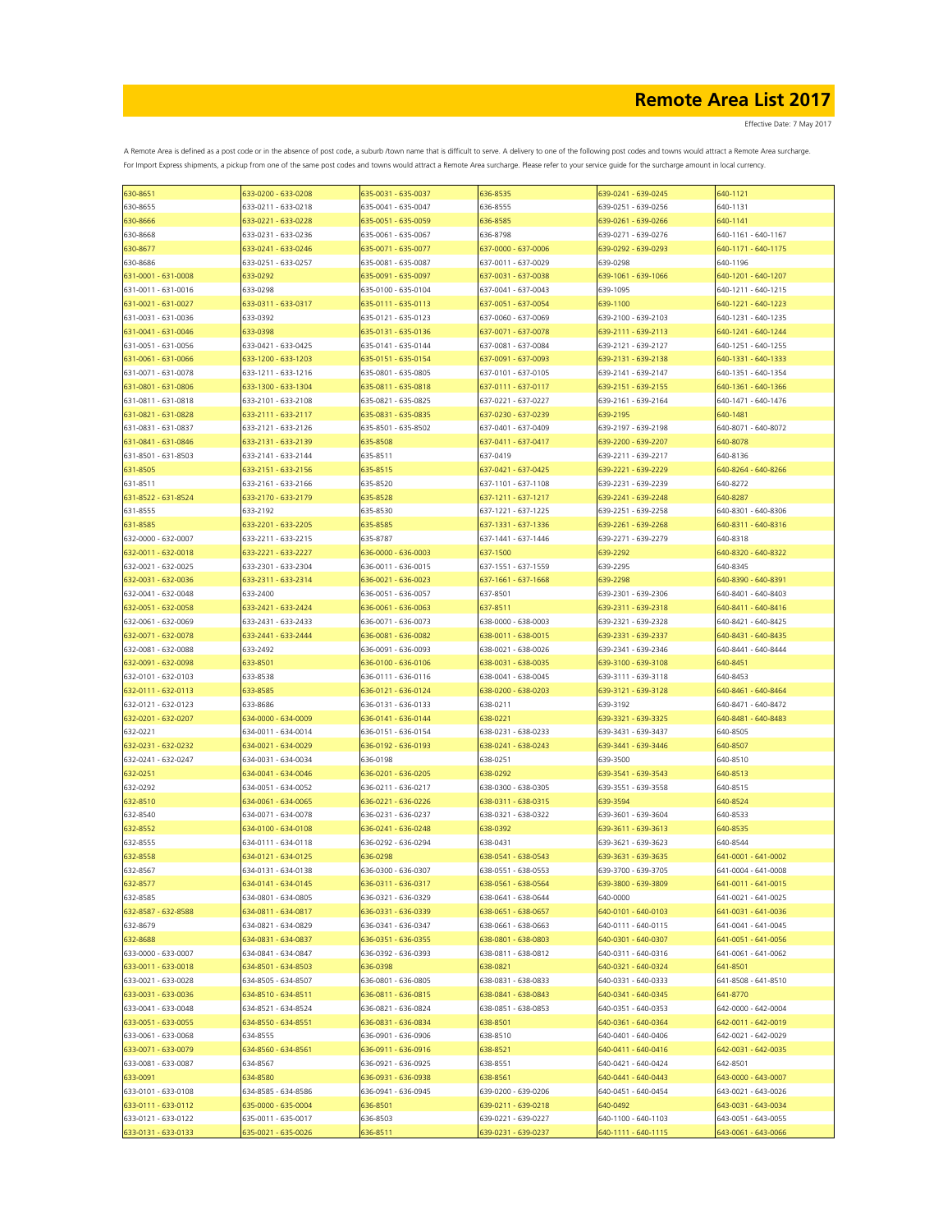| 630-8651            | 633-0200 - 633-0208 | 635-0031 - 635-0037 | 636-8535            | 639-0241 - 639-0245 | 640-1121            |
|---------------------|---------------------|---------------------|---------------------|---------------------|---------------------|
| 630-8655            | 633-0211 - 633-0218 | 635-0041 - 635-0047 | 636-8555            | 639-0251 - 639-0256 | 640-1131            |
| 630-8666            | 633-0221 - 633-0228 | 635-0051 - 635-0059 | 636-8585            | 639-0261 - 639-0266 | 640-1141            |
| 630-8668            | 633-0231 - 633-0236 | 635-0061 - 635-0067 | 636-8798            | 639-0271 - 639-0276 | 640-1161 - 640-1167 |
|                     |                     |                     |                     |                     |                     |
| 630-8677            | 633-0241 - 633-0246 | 635-0071 - 635-0077 | 637-0000 - 637-0006 | 639-0292 - 639-0293 | 640-1171 - 640-1175 |
| 630-8686            | 633-0251 - 633-0257 | 635-0081 - 635-0087 | 637-0011 - 637-0029 | 639-0298            | 640-1196            |
| 631-0001 - 631-0008 | 633-0292            | 635-0091 - 635-0097 | 637-0031 - 637-0038 | 639-1061 - 639-1066 | 640-1201 - 640-1207 |
| 631-0011 - 631-0016 | 633-0298            | 635-0100 - 635-0104 | 637-0041 - 637-0043 | 639-1095            | 640-1211 - 640-1215 |
| 631-0021 - 631-0027 | 633-0311 - 633-0317 | 635-0111 - 635-0113 | 637-0051 - 637-0054 | 639-1100            | 640-1221 - 640-1223 |
|                     |                     |                     |                     |                     |                     |
| 631-0031 - 631-0036 | 633-0392            | 635-0121 - 635-0123 | 637-0060 - 637-0069 | 639-2100 - 639-2103 | 640-1231 - 640-1235 |
| 631-0041 - 631-0046 | 633-0398            | 635-0131 - 635-0136 | 637-0071 - 637-0078 | 639-2111 - 639-2113 | 640-1241 - 640-1244 |
| 631-0051 - 631-0056 | 633-0421 - 633-0425 | 635-0141 - 635-0144 | 637-0081 - 637-0084 | 639-2121 - 639-2127 | 640-1251 - 640-1255 |
| 631-0061 - 631-0066 | 633-1200 - 633-1203 | 635-0151 - 635-0154 | 637-0091 - 637-0093 | 639-2131 - 639-2138 | 640-1331 - 640-1333 |
| 631-0071 - 631-0078 | 633-1211 - 633-1216 | 635-0801 - 635-0805 | 637-0101 - 637-0105 | 639-2141 - 639-2147 | 640-1351 - 640-1354 |
| 631-0801 - 631-0806 | 633-1300 - 633-1304 | 535-0811 - 635-0818 | 637-0111 - 637-0117 | 539-2151 - 639-2155 | 640-1361 - 640-1366 |
|                     |                     |                     |                     |                     |                     |
| 631-0811 - 631-0818 | 633-2101 - 633-2108 | 635-0821 - 635-0825 | 637-0221 - 637-0227 | 639-2161 - 639-2164 | 640-1471 - 640-1476 |
| 631-0821 - 631-0828 | 633-2111 - 633-2117 | 635-0831 - 635-0835 | 637-0230 - 637-0239 | 639-2195            | 640-1481            |
| 631-0831 - 631-0837 | 633-2121 - 633-2126 | 635-8501 - 635-8502 | 637-0401 - 637-0409 | 639-2197 - 639-2198 | 640-8071 - 640-8072 |
| 631-0841 - 631-0846 | 633-2131 - 633-2139 | 635-8508            | 637-0411 - 637-0417 | 639-2200 - 639-2207 | 640-8078            |
| 631-8501 - 631-8503 | 633-2141 - 633-2144 | 635-8511            | 637-0419            | 639-2211 - 639-2217 | 640-8136            |
|                     |                     |                     |                     |                     |                     |
| 631-8505            | 633-2151 - 633-2156 | 635-8515            | 637-0421 - 637-0425 | 639-2221 - 639-2229 | 640-8264 - 640-8266 |
| 631-8511            | 633-2161 - 633-2166 | 635-8520            | 637-1101 - 637-1108 | 639-2231 - 639-2239 | 640-8272            |
| 631-8522 - 631-8524 | 633-2170 - 633-2179 | 635-8528            | 637-1211 - 637-1217 | 639-2241 - 639-2248 | 640-8287            |
| 631-8555            | 633-2192            | 635-8530            | 637-1221 - 637-1225 | 639-2251 - 639-2258 | 640-8301 - 640-8306 |
| 631-8585            | 633-2201 - 633-2205 | 635-8585            | 637-1331 - 637-1336 | 639-2261 - 639-2268 | 640-8311 - 640-8316 |
|                     |                     |                     |                     |                     |                     |
| 632-0000 - 632-0007 | 633-2211 - 633-2215 | 635-8787            | 637-1441 - 637-1446 | 639-2271 - 639-2279 | 640-8318            |
| 632-0011 - 632-0018 | 633-2221 - 633-2227 | 636-0000 - 636-0003 | 637-1500            | 639-2292            | 640-8320 - 640-8322 |
| 632-0021 - 632-0025 | 633-2301 - 633-2304 | 636-0011 - 636-0015 | 637-1551 - 637-1559 | 639-2295            | 640-8345            |
| 632-0031 - 632-0036 | 633-2311 - 633-2314 | 636-0021 - 636-0023 | 637-1661 - 637-1668 | 639-2298            | 640-8390 - 640-8391 |
| 632-0041 - 632-0048 | 633-2400            | 636-0051 - 636-0057 | 637-8501            | 639-2301 - 639-2306 | 640-8401 - 640-8403 |
| 632-0051 - 632-0058 | 633-2421 - 633-2424 | 636-0061 - 636-0063 | 637-8511            | 639-2311 - 639-2318 | 640-8411 - 640-8416 |
|                     |                     |                     |                     |                     |                     |
| 632-0061 - 632-0069 | 633-2431 - 633-2433 | 636-0071 - 636-0073 | 638-0000 - 638-0003 | 639-2321 - 639-2328 | 640-8421 - 640-8425 |
| 632-0071 - 632-0078 | 633-2441 - 633-2444 | 636-0081 - 636-0082 | 638-0011 - 638-0015 | 639-2331 - 639-2337 | 640-8431 - 640-8435 |
| 632-0081 - 632-0088 | 633-2492            | 636-0091 - 636-0093 | 638-0021 - 638-0026 | 639-2341 - 639-2346 | 640-8441 - 640-8444 |
| 632-0091 - 632-0098 | 633-8501            | 636-0100 - 636-0106 | 638-0031 - 638-0035 | 639-3100 - 639-3108 | 640-8451            |
| 632-0101 - 632-0103 | 633-8538            | 636-0111 - 636-0116 | 638-0041 - 638-0045 | 639-3111 - 639-3118 | 640-8453            |
|                     |                     |                     |                     |                     |                     |
| 632-0111 - 632-0113 | 633-8585            | 636-0121 - 636-0124 | 638-0200 - 638-0203 | 639-3121 - 639-3128 | 640-8461 - 640-8464 |
| 632-0121 - 632-0123 | 633-8686            | 636-0131 - 636-0133 | 638-0211            | 639-3192            | 640-8471 - 640-8472 |
| 632-0201 - 632-0207 | 634-0000 - 634-0009 | 636-0141 - 636-0144 | 638-0221            | 639-3321 - 639-3325 | 640-8481 - 640-8483 |
| 632-0221            | 634-0011 - 634-0014 | 636-0151 - 636-0154 | 638-0231 - 638-0233 | 639-3431 - 639-3437 | 640-8505            |
| 632-0231 - 632-0232 | 634-0021 - 634-0029 | 636-0192 - 636-0193 | 638-0241 - 638-0243 | 639-3441 - 639-3446 | 640-8507            |
|                     | 634-0031 - 634-0034 | 636-0198            | 638-0251            | 639-3500            |                     |
| 632-0241 - 632-0247 |                     |                     |                     |                     | 640-8510            |
| 632-0251            | 634-0041 - 634-0046 | 636-0201 - 636-0205 | 638-0292            | 639-3541 - 639-3543 | 640-8513            |
| 632-0292            | 634-0051 - 634-0052 | 636-0211 - 636-0217 | 638-0300 - 638-0305 | 639-3551 - 639-3558 | 640-8515            |
| 632-8510            | 634-0061 - 634-0065 | 636-0221 - 636-0226 | 638-0311 - 638-0315 | 639-3594            | 640-8524            |
| 632-8540            | 634-0071 - 634-0078 | 636-0231 - 636-0237 | 638-0321 - 638-0322 | 639-3601 - 639-3604 | 640-8533            |
| 632-8552            | 634-0100 - 634-0108 | 636-0241 - 636-0248 | 638-0392            | 639-3611 - 639-3613 | 640-8535            |
|                     | 634-0111 - 634-0118 |                     |                     |                     |                     |
| 632-8555            |                     | 636-0292 - 636-0294 | 638-0431            | 639-3621 - 639-3623 | 640-8544            |
| 632-8558            | 634-0121 - 634-0125 | 636-0298            | 638-0541 - 638-0543 | 639-3631 - 639-3635 | 641-0001 - 641-0002 |
| 632-8567            | 634-0131 - 634-0138 | 636-0300 - 636-0307 | 638-0551 - 638-0553 | 639-3700 - 639-3705 | 641-0004 - 641-0008 |
| 632-8577            | 634-0141 - 634-0145 | 636-0311 - 636-0317 | 638-0561 - 638-0564 | 639-3800 - 639-3809 | 641-0011 - 641-0015 |
| 632-8585            | 634-0801 - 634-0805 | 636-0321 - 636-0329 | 638-0641 - 638-0644 | 640-0000            | 641-0021 - 641-0025 |
| 632-8587 - 632-8588 | 634-0811 - 634-0817 | 636-0331 - 636-0339 | 638-0651 - 638-0657 | 640-0101 - 640-0103 | 641-0031 - 641-0036 |
|                     |                     |                     |                     |                     |                     |
| 632-8679            | 634-0821 - 634-0829 | 636-0341 - 636-0347 | 638-0661 - 638-0663 | 640-0111 - 640-0115 | 641-0041 - 641-0045 |
| 632-8688            | 634-0831 - 634-0837 | 636-0351 - 636-0355 | 638-0801 - 638-0803 | 640-0301 - 640-0307 | 641-0051 - 641-0056 |
| 633-0000 - 633-0007 | 634-0841 - 634-0847 | 636-0392 - 636-0393 | 638-0811 - 638-0812 | 640-0311 - 640-0316 | 641-0061 - 641-0062 |
| 633-0011 - 633-0018 | 634-8501 - 634-8503 | 636-0398            | 638-0821            | 640-0321 - 640-0324 | 641-8501            |
| 633-0021 - 633-0028 | 634-8505 - 634-8507 | 636-0801 - 636-0805 | 638-0831 - 638-0833 | 640-0331 - 640-0333 | 641-8508 - 641-8510 |
| 633-0031 - 633-0036 | 634-8510 - 634-8511 | 636-0811 - 636-0815 | 638-0841 - 638-0843 | 640-0341 - 640-0345 | 641-8770            |
|                     |                     |                     |                     |                     |                     |
| 633-0041 - 633-0048 | 634-8521 - 634-8524 | 636-0821 - 636-0824 | 638-0851 - 638-0853 | 640-0351 - 640-0353 | 642-0000 - 642-0004 |
| 633-0051 - 633-0055 | 634-8550 - 634-8551 | 636-0831 - 636-0834 | 638-8501            | 640-0361 - 640-0364 | 642-0011 - 642-0019 |
| 633-0061 - 633-0068 | 634-8555            | 636-0901 - 636-0906 | 638-8510            | 640-0401 - 640-0406 | 642-0021 - 642-0029 |
| 633-0071 - 633-0079 | 634-8560 - 634-8561 | 636-0911 - 636-0916 | 638-8521            | 640-0411 - 640-0416 | 642-0031 - 642-0035 |
| 633-0081 - 633-0087 | 634-8567            | 636-0921 - 636-0925 | 638-8551            | 640-0421 - 640-0424 | 642-8501            |
|                     |                     |                     |                     |                     |                     |
| 633-0091            | 634-8580            | 636-0931 - 636-0938 | 638-8561            | 640-0441 - 640-0443 | 643-0000 - 643-0007 |
| 633-0101 - 633-0108 | 634-8585 - 634-8586 | 636-0941 - 636-0945 | 639-0200 - 639-0206 | 640-0451 - 640-0454 | 643-0021 - 643-0026 |
| 633-0111 - 633-0112 | 635-0000 - 635-0004 | 636-8501            | 639-0211 - 639-0218 | 640-0492            | 643-0031 - 643-0034 |
| 633-0121 - 633-0122 | 635-0011 - 635-0017 | 636-8503            | 639-0221 - 639-0227 | 640-1100 - 640-1103 | 643-0051 - 643-0055 |
| 633-0131 - 633-0133 | 635-0021 - 635-0026 | 636-8511            | 639-0231 - 639-0237 | 640-1111 - 640-1115 | 643-0061 - 643-0066 |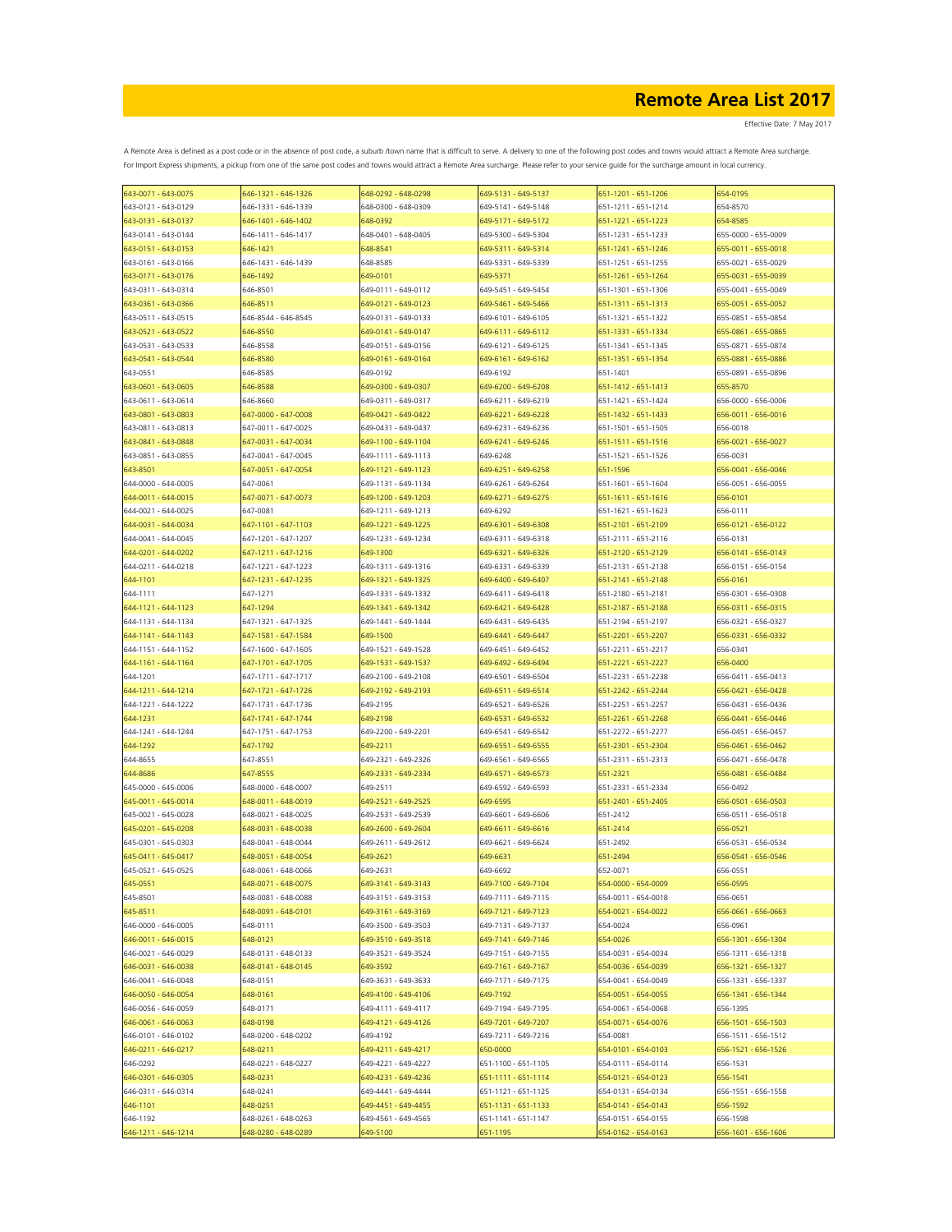| 643-0071 - 643-0075 | 646-1321 - 646-1326 | 648-0292 - 648-0298 | 649-5131 - 649-5137 | 651-1201 - 651-1206 | 654-0195            |
|---------------------|---------------------|---------------------|---------------------|---------------------|---------------------|
| 643-0121 - 643-0129 | 646-1331 - 646-1339 | 648-0300 - 648-0309 | 649-5141 - 649-5148 | 651-1211 - 651-1214 | 654-8570            |
| 643-0131 - 643-0137 | 646-1401 - 646-1402 | 648-0392            | 649-5171 - 649-5172 | 651-1221 - 651-1223 | 654-8585            |
| 643-0141 - 643-0144 | 646-1411 - 646-1417 | 648-0401 - 648-0405 | 649-5300 - 649-5304 | 651-1231 - 651-1233 | 655-0000 - 655-0009 |
| 643-0151 - 643-0153 | 646-1421            | 648-8541            | 649-5311 - 649-5314 | 651-1241 - 651-1246 | 655-0011 - 655-0018 |
|                     |                     |                     |                     |                     |                     |
| 643-0161 - 643-0166 | 646-1431 - 646-1439 | 648-8585            | 649-5331 - 649-5339 | 651-1251 - 651-1255 | 655-0021 - 655-0029 |
| 643-0171 - 643-0176 | 646-1492            | 649-0101            | 649-5371            | 651-1261 - 651-1264 | 655-0031 - 655-0039 |
| 643-0311 - 643-0314 | 646-8501            | 649-0111 - 649-0112 | 649-5451 - 649-5454 | 651-1301 - 651-1306 | 655-0041 - 655-0049 |
| 643-0361 - 643-0366 | 646-8511            | 649-0121 - 649-0123 | 649-5461 - 649-5466 | 651-1311 - 651-1313 | 655-0051 - 655-0052 |
| 643-0511 - 643-0515 | 646-8544 - 646-8545 | 649-0131 - 649-0133 | 649-6101 - 649-6105 | 651-1321 - 651-1322 | 655-0851 - 655-0854 |
| 643-0521 - 643-0522 | 646-8550            | 649-0141 - 649-0147 | 649-6111 - 649-6112 | 651-1331 - 651-1334 | 655-0861 - 655-0865 |
| 643-0531 - 643-0533 | 646-8558            | 649-0151 - 649-0156 | 649-6121 - 649-6125 | 651-1341 - 651-1345 | 655-0871 - 655-0874 |
|                     | 646-8580            | 649-0161 - 649-0164 | 649-6161 - 649-6162 |                     | 655-0881 - 655-0886 |
| 643-0541 - 643-0544 |                     |                     |                     | 651-1351 - 651-1354 |                     |
| 643-0551            | 646-8585            | 649-0192            | 649-6192            | 651-1401            | 655-0891 - 655-0896 |
| 643-0601 - 643-0605 | 646-8588            | 649-0300 - 649-0307 | 649-6200 - 649-6208 | 651-1412 - 651-1413 | 655-8570            |
| 643-0611 - 643-0614 | 646-8660            | 649-0311 - 649-0317 | 649-6211 - 649-6219 | 651-1421 - 651-1424 | 656-0000 - 656-0006 |
| 643-0801 - 643-0803 | 647-0000 - 647-0008 | 649-0421 - 649-0422 | 649-6221 - 649-6228 | 651-1432 - 651-1433 | 656-0011 - 656-0016 |
| 643-0811 - 643-0813 | 647-0011 - 647-0025 | 649-0431 - 649-0437 | 649-6231 - 649-6236 | 651-1501 - 651-1505 | 656-0018            |
| 643-0841 - 643-0848 | 647-0031 - 647-0034 | 649-1100 - 649-1104 | 649-6241 - 649-6246 | 651-1511 - 651-1516 | 656-0021 - 656-0027 |
|                     |                     |                     |                     |                     |                     |
| 643-0851 - 643-0855 | 647-0041 - 647-0045 | 649-1111 - 649-1113 | 649-6248            | 651-1521 - 651-1526 | 656-0031            |
| 643-8501            | 647-0051 - 647-0054 | 649-1121 - 649-1123 | 649-6251 - 649-6258 | 651-1596            | 656-0041 - 656-0046 |
| 644-0000 - 644-0005 | 647-0061            | 649-1131 - 649-1134 | 649-6261 - 649-6264 | 651-1601 - 651-1604 | 656-0051 - 656-0055 |
| 644-0011 - 644-0015 | 647-0071 - 647-0073 | 649-1200 - 649-1203 | 649-6271 - 649-6275 | 651-1611 - 651-1616 | 656-0101            |
| 644-0021 - 644-0025 | 647-0081            | 649-1211 - 649-1213 | 649-6292            | 651-1621 - 651-1623 | 656-0111            |
| 644-0031 - 644-0034 | 647-1101 - 647-1103 | 649-1221 - 649-1225 | 649-6301 - 649-6308 | 651-2101 - 651-2109 | 656-0121 - 656-0122 |
| 644-0041 - 644-0045 | 647-1201 - 647-1207 | 649-1231 - 649-1234 | 649-6311 - 649-6318 | 651-2111 - 651-2116 | 656-0131            |
| 644-0201 - 644-0202 | 647-1211 - 647-1216 | 649-1300            | 649-6321 - 649-6326 | 651-2120 - 651-2129 | 656-0141 - 656-0143 |
|                     |                     |                     |                     |                     |                     |
| 644-0211 - 644-0218 | 647-1221 - 647-1223 | 649-1311 - 649-1316 | 649-6331 - 649-6339 | 651-2131 - 651-2138 | 656-0151 - 656-0154 |
| 644-1101            | 647-1231 - 647-1235 | 649-1321 - 649-1325 | 649-6400 - 649-6407 | 651-2141 - 651-2148 | 656-0161            |
| 644-1111            | 647-1271            | 649-1331 - 649-1332 | 649-6411 - 649-6418 | 651-2180 - 651-2181 | 656-0301 - 656-0308 |
| 644-1121 - 644-1123 | 647-1294            | 649-1341 - 649-1342 | 649-6421 - 649-6428 | 651-2187 - 651-2188 | 656-0311 - 656-0315 |
| 644-1131 - 644-1134 | 647-1321 - 647-1325 | 649-1441 - 649-1444 | 649-6431 - 649-6435 | 651-2194 - 651-2197 | 656-0321 - 656-0327 |
| 644-1141 - 644-1143 | 647-1581 - 647-1584 | 649-1500            | 649-6441 - 649-6447 | 651-2201 - 651-2207 | 656-0331 - 656-0332 |
| 644-1151 - 644-1152 | 647-1600 - 647-1605 | 649-1521 - 649-1528 | 649-6451 - 649-6452 | 651-2211 - 651-2217 | 656-0341            |
|                     |                     |                     |                     |                     |                     |
| 644-1161 - 644-1164 | 647-1701 - 647-1705 | 649-1531 - 649-1537 | 649-6492 - 649-6494 | 651-2221 - 651-2227 | 656-0400            |
| 644-1201            | 647-1711 - 647-1717 | 649-2100 - 649-2108 | 649-6501 - 649-6504 | 651-2231 - 651-2238 | 656-0411 - 656-0413 |
| 644-1211 - 644-1214 | 647-1721 - 647-1726 | 649-2192 - 649-2193 | 649-6511 - 649-6514 | 651-2242 - 651-2244 | 656-0421 - 656-0428 |
| 644-1221 - 644-1222 | 647-1731 - 647-1736 | 649-2195            | 649-6521 - 649-6526 | 651-2251 - 651-2257 | 656-0431 - 656-0436 |
| 644-1231            | 647-1741 - 647-1744 | 649-2198            | 649-6531 - 649-6532 | 651-2261 - 651-2268 | 656-0441 - 656-0446 |
| 644-1241 - 644-1244 | 647-1751 - 647-1753 | 649-2200 - 649-2201 | 649-6541 - 649-6542 | 651-2272 - 651-2277 | 656-0451 - 656-0457 |
| 644-1292            | 647-1792            | 649-2211            | 649-6551 - 649-6555 | 651-2301 - 651-2304 | 656-0461 - 656-0462 |
|                     |                     |                     |                     |                     |                     |
| 644-8655            | 647-8551            | 649-2321 - 649-2326 | 649-6561 - 649-6565 | 651-2311 - 651-2313 | 656-0471 - 656-0478 |
| 644-8686            | 647-8555            | 649-2331 - 649-2334 | 649-6571 - 649-6573 | 651-2321            | 656-0481 - 656-0484 |
| 645-0000 - 645-0006 | 648-0000 - 648-0007 | 649-2511            | 649-6592 - 649-6593 | 651-2331 - 651-2334 | 656-0492            |
| 645-0011 - 645-0014 | 648-0011 - 648-0019 | 649-2521 - 649-2525 | 649-6595            | 651-2401 - 651-2405 | 656-0501 - 656-0503 |
| 645-0021 - 645-0028 | 648-0021 - 648-0025 | 649-2531 - 649-2539 | 649-6601 - 649-6606 | 651-2412            | 656-0511 - 656-0518 |
| 645-0201 - 645-0208 | 648-0031 - 648-0038 | 649-2600 - 649-2604 | 649-6611 - 649-6616 | 651-2414            | 656-0521            |
| 645-0301 - 645-0303 | 648-0041 - 648-0044 | 649-2611 - 649-2612 | 649-6621 - 649-6624 | 651-2492            | 656-0531 - 656-0534 |
| 645-0411 - 645-0417 | 648-0051 - 648-0054 | 649-2621            | 649-6631            | 651-2494            | 656-0541 - 656-0546 |
|                     |                     |                     |                     |                     |                     |
| 645-0521 - 645-0525 | 648-0061 - 648-0066 | 649-2631            | 649-6692            | 652-0071            | 656-0551            |
| 645-0551            | 648-0071 - 648-0075 | 649-3141 - 649-3143 | 649-7100 - 649-7104 | 654-0000 - 654-0009 | 656-0595            |
| 645-8501            | 648-0081 - 648-0088 | 649-3151 - 649-3153 | 649-7111 - 649-7115 | 654-0011 - 654-0018 | 656-0651            |
| 645-8511            | 648-0091 - 648-0101 | 649-3161 - 649-3169 | 649-7121 - 649-7123 | 654-0021 - 654-0022 | 656-0661 - 656-0663 |
| 646-0000 - 646-0005 | 648-0111            | 649-3500 - 649-3503 | 649-7131 - 649-7137 | 654-0024            | 656-0961            |
| 646-0011 - 646-0015 | 648-0121            | 649-3510 - 649-3518 | 649-7141 - 649-7146 | 654-0026            | 656-1301 - 656-1304 |
| 646-0021 - 646-0029 | 648-0131 - 648-0133 | 649-3521 - 649-3524 | 649-7151 - 649-7155 | 654-0031 - 654-0034 | 656-1311 - 656-1318 |
|                     |                     |                     |                     | 654-0036 - 654-0039 | 656-1321 - 656-1327 |
| 646-0031 - 646-0038 | 648-0141 - 648-0145 | 649-3592            | 649-7161 - 649-7167 |                     |                     |
| 646-0041 - 646-0048 | 648-0151            | 649-3631 - 649-3633 | 649-7171 - 649-7175 | 654-0041 - 654-0049 | 656-1331 - 656-1337 |
| 646-0050 - 646-0054 | 648-0161            | 649-4100 - 649-4106 | 649-7192            | 654-0051 - 654-0055 | 656-1341 - 656-1344 |
| 646-0056 - 646-0059 | 648-0171            | 649-4111 - 649-4117 | 649-7194 - 649-7195 | 654-0061 - 654-0068 | 656-1395            |
| 646-0061 - 646-0063 | 648-0198            | 649-4121 - 649-4126 | 649-7201 - 649-7207 | 654-0071 - 654-0076 | 656-1501 - 656-1503 |
| 646-0101 - 646-0102 | 648-0200 - 648-0202 | 649-4192            | 649-7211 - 649-7216 | 654-0081            | 656-1511 - 656-1512 |
| 646-0211 - 646-0217 | 648-0211            | 649-4211 - 649-4217 | 650-0000            | 654-0101 - 654-0103 | 656-1521 - 656-1526 |
| 646-0292            | 648-0221 - 648-0227 | 649-4221 - 649-4227 | 651-1100 - 651-1105 | 654-0111 - 654-0114 |                     |
|                     |                     |                     |                     |                     | 656-1531            |
| 646-0301 - 646-0305 | 648-0231            | 649-4231 - 649-4236 | 651-1111 - 651-1114 | 654-0121 - 654-0123 | 656-1541            |
| 646-0311 - 646-0314 | 648-0241            | 649-4441 - 649-4444 | 651-1121 - 651-1125 | 654-0131 - 654-0134 | 656-1551 - 656-1558 |
| 646-1101            | 648-0251            | 649-4451 - 649-4455 | 651-1131 - 651-1133 | 654-0141 - 654-0143 | 656-1592            |
| 646-1192            | 648-0261 - 648-0263 | 649-4561 - 649-4565 | 651-1141 - 651-1147 | 654-0151 - 654-0155 | 656-1598            |
| 646-1211 - 646-1214 | 648-0280 - 648-0289 | 549-5100            | 651-1195            | 654-0162 - 654-0163 | 656-1601 - 656-1606 |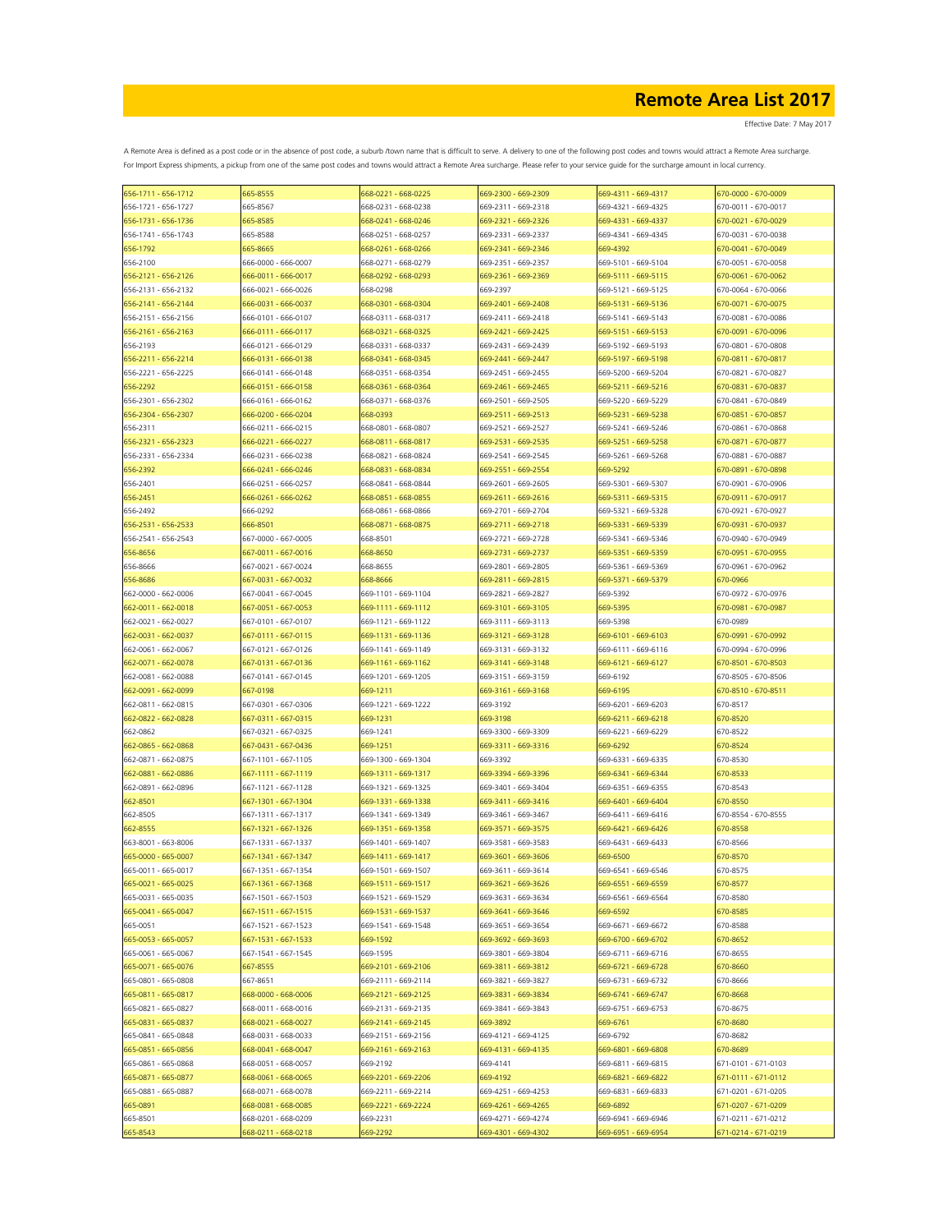Effective Date: 7 May 2017

| 656-1711 - 656-1712 | 665-8555            | 668-0221 - 668-0225 | 669-2300 - 669-2309 | 669-4311 - 669-4317 | 670-0000 - 670-0009 |
|---------------------|---------------------|---------------------|---------------------|---------------------|---------------------|
| 656-1721 - 656-1727 | 665-8567            | 668-0231 - 668-0238 | 669-2311 - 669-2318 | 669-4321 - 669-4325 | 670-0011 - 670-0017 |
| 656-1731 - 656-1736 | 665-8585            | 668-0241 - 668-0246 | 669-2321 - 669-2326 | 669-4331 - 669-4337 | 670-0021 - 670-0029 |
| 656-1741 - 656-1743 | 665-8588            | 668-0251 - 668-0257 | 669-2331 - 669-2337 | 669-4341 - 669-4345 | 670-0031 - 670-0038 |
| 656-1792            | 665-8665            | 668-0261 - 668-0266 | 669-2341 - 669-2346 | 669-4392            | 670-0041 - 670-0049 |
| 656-2100            | 666-0000 - 666-0007 | 668-0271 - 668-0279 | 669-2351 - 669-2357 | 669-5101 - 669-5104 | 670-0051 - 670-0058 |
|                     |                     |                     |                     |                     |                     |
| 656-2121 - 656-2126 | 666-0011 - 666-0017 | 668-0292 - 668-0293 | 669-2361 - 669-2369 | 669-5111 - 669-5115 | 670-0061 - 670-0062 |
| 656-2131 - 656-2132 | 666-0021 - 666-0026 | 668-0298            | 669-2397            | 669-5121 - 669-5125 | 670-0064 - 670-0066 |
| 656-2141 - 656-2144 | 666-0031 - 666-0037 | 668-0301 - 668-0304 | 669-2401 - 669-2408 | 669-5131 - 669-5136 | 670-0071 - 670-0075 |
| 656-2151 - 656-2156 | 666-0101 - 666-0107 | 668-0311 - 668-0317 | 669-2411 - 669-2418 | 669-5141 - 669-5143 | 670-0081 - 670-0086 |
| 656-2161 - 656-2163 | 666-0111 - 666-0117 | 568-0321 - 668-0325 | 669-2421 - 669-2425 | 669-5151 - 669-5153 | 670-0091 - 670-0096 |
| 656-2193            | 666-0121 - 666-0129 | 668-0331 - 668-0337 | 669-2431 - 669-2439 | 669-5192 - 669-5193 | 670-0801 - 670-0808 |
| 656-2211 - 656-2214 | 666-0131 - 666-0138 | 568-0341 - 668-0345 | 669-2441 - 669-2447 | 669-5197 - 669-5198 | 670-0811 - 670-0817 |
| 656-2221 - 656-2225 | 666-0141 - 666-0148 | 668-0351 - 668-0354 | 669-2451 - 669-2455 | 669-5200 - 669-5204 | 670-0821 - 670-0827 |
| 656-2292            | 666-0151 - 666-0158 | 668-0361 - 668-0364 | 669-2461 - 669-2465 | 669-5211 - 669-5216 | 570-0831 - 670-0837 |
| 656-2301 - 656-2302 | 666-0161 - 666-0162 | 668-0371 - 668-0376 | 669-2501 - 669-2505 | 669-5220 - 669-5229 | 670-0841 - 670-0849 |
| 656-2304 - 656-2307 | 666-0200 - 666-0204 | 668-0393            | 669-2511 - 669-2513 | 669-5231 - 669-5238 | 570-0851 - 670-0857 |
| 656-2311            | 666-0211 - 666-0215 | 668-0801 - 668-0807 | 669-2521 - 669-2527 | 669-5241 - 669-5246 | 670-0861 - 670-0868 |
| 656-2321 - 656-2323 | 666-0221 - 666-0227 |                     |                     | 669-5251 - 669-5258 | 670-0871 - 670-0877 |
|                     |                     | 668-0811 - 668-0817 | 669-2531 - 669-2535 |                     |                     |
| 656-2331 - 656-2334 | 666-0231 - 666-0238 | 668-0821 - 668-0824 | 669-2541 - 669-2545 | 669-5261 - 669-5268 | 670-0881 - 670-0887 |
| 656-2392            | 666-0241 - 666-0246 | 668-0831 - 668-0834 | 669-2551 - 669-2554 | 669-5292            | 670-0891 - 670-0898 |
| 656-2401            | 666-0251 - 666-0257 | 668-0841 - 668-0844 | 669-2601 - 669-2605 | 669-5301 - 669-5307 | 670-0901 - 670-0906 |
| 656-2451            | 666-0261 - 666-0262 | 668-0851 - 668-0855 | 669-2611 - 669-2616 | 669-5311 - 669-5315 | 670-0911 - 670-0917 |
| 656-2492            | 666-0292            | 668-0861 - 668-0866 | 669-2701 - 669-2704 | 669-5321 - 669-5328 | 670-0921 - 670-0927 |
| 656-2531 - 656-2533 | 666-8501            | 568-0871 - 668-0875 | 669-2711 - 669-2718 | 669-5331 - 669-5339 | 670-0931 - 670-0937 |
| 656-2541 - 656-2543 | 667-0000 - 667-0005 | 668-8501            | 669-2721 - 669-2728 | 669-5341 - 669-5346 | 670-0940 - 670-0949 |
| 656-8656            | 667-0011 - 667-0016 | 668-8650            | 669-2731 - 669-2737 | 669-5351 - 669-5359 | 670-0951 - 670-0955 |
| 656-8666            | 667-0021 - 667-0024 | 668-8655            | 669-2801 - 669-2805 | 669-5361 - 669-5369 | 670-0961 - 670-0962 |
| 656-8686            | 667-0031 - 667-0032 | 668-8666            | 669-2811 - 669-2815 | 669-5371 - 669-5379 | 670-0966            |
| 662-0000 - 662-0006 | 667-0041 - 667-0045 | 669-1101 - 669-1104 | 669-2821 - 669-2827 | 669-5392            | 670-0972 - 670-0976 |
|                     |                     |                     |                     |                     |                     |
| 662-0011 - 662-0018 | 667-0051 - 667-0053 | 669-1111 - 669-1112 | 669-3101 - 669-3105 | 669-5395            | 670-0981 - 670-0987 |
| 662-0021 - 662-0027 | 667-0101 - 667-0107 | 669-1121 - 669-1122 | 669-3111 - 669-3113 | 669-5398            | 670-0989            |
| 662-0031 - 662-0037 | 667-0111 - 667-0115 | 669-1131 - 669-1136 | 669-3121 - 669-3128 | 669-6101 - 669-6103 | 670-0991 - 670-0992 |
| 662-0061 - 662-0067 | 667-0121 - 667-0126 | 669-1141 - 669-1149 | 669-3131 - 669-3132 | 669-6111 - 669-6116 | 670-0994 - 670-0996 |
| 662-0071 - 662-0078 | 667-0131 - 667-0136 | 669-1161 - 669-1162 | 669-3141 - 669-3148 | 669-6121 - 669-6127 | 670-8501 - 670-8503 |
| 662-0081 - 662-0088 | 667-0141 - 667-0145 | 669-1201 - 669-1205 | 669-3151 - 669-3159 | 669-6192            | 670-8505 - 670-8506 |
| 662-0091 - 662-0099 | 667-0198            | 669-1211            | 669-3161 - 669-3168 | 669-6195            | 670-8510 - 670-8511 |
| 662-0811 - 662-0815 | 667-0301 - 667-0306 | 669-1221 - 669-1222 | 669-3192            | 669-6201 - 669-6203 | 670-8517            |
| 662-0822 - 662-0828 | 667-0311 - 667-0315 | 669-1231            | 669-3198            | 669-6211 - 669-6218 | 670-8520            |
| 662-0862            | 667-0321 - 667-0325 | 669-1241            | 669-3300 - 669-3309 | 669-6221 - 669-6229 | 670-8522            |
| 662-0865 - 662-0868 | 667-0431 - 667-0436 | 669-1251            | 669-3311 - 669-3316 | 669-6292            | 670-8524            |
|                     |                     |                     | 669-3392            |                     |                     |
| 662-0871 - 662-0875 | 667-1101 - 667-1105 | 669-1300 - 669-1304 |                     | 669-6331 - 669-6335 | 670-8530            |
| 662-0881 - 662-0886 | 667-1111 - 667-1119 | 669-1311 - 669-1317 | 669-3394 - 669-3396 | 669-6341 - 669-6344 | 670-8533            |
| 662-0891 - 662-0896 | 667-1121 - 667-1128 | 669-1321 - 669-1325 | 669-3401 - 669-3404 | 669-6351 - 669-6355 | 670-8543            |
| 662-8501            | 667-1301 - 667-1304 | 669-1331 - 669-1338 | 669-3411 - 669-3416 | 669-6401 - 669-6404 | 670-8550            |
| 662-8505            | 667-1311 - 667-1317 | 669-1341 - 669-1349 | 669-3461 - 669-3467 | 669-6411 - 669-6416 | 670-8554 - 670-8555 |
| 662-8555            | 667-1321 - 667-1326 | 669-1351 - 669-1358 | 669-3571 - 669-3575 | 669-6421 - 669-6426 | 670-8558            |
| 663-8001 - 663-8006 | 667-1331 - 667-1337 | 669-1401 - 669-1407 | 669-3581 - 669-3583 | 669-6431 - 669-6433 | 670-8566            |
| 665-0000 - 665-0007 | 667-1341 - 667-1347 | 569-1411 - 669-1417 | 669-3601 - 669-3606 | 669-6500            | 670-8570            |
| 665-0011 - 665-0017 | 667-1351 - 667-1354 | 669-1501 - 669-1507 | 669-3611 - 669-3614 | 669-6541 - 669-6546 | 670-8575            |
| 665-0021 - 665-0025 | 667-1361 - 667-1368 | 669-1511 - 669-1517 | 669-3621 - 669-3626 | 669-6551 - 669-6559 | 670-8577            |
| 665-0031 - 665-0035 | 667-1501 - 667-1503 | 669-1521 - 669-1529 | 669-3631 - 669-3634 | 669-6561 - 669-6564 | 670-8580            |
| 665-0041 - 665-0047 | 667-1511 - 667-1515 | 669-1531 - 669-1537 | 669-3641 - 669-3646 | 669-6592            | 670-8585            |
| 665-0051            | 667-1521 - 667-1523 | 669-1541 - 669-1548 | 669-3651 - 669-3654 | 669-6671 - 669-6672 | 670-8588            |
| 665-0053 - 665-0057 | 667-1531 - 667-1533 | 669-1592            | 669-3692 - 669-3693 | 669-6700 - 669-6702 | 670-8652            |
|                     |                     |                     |                     |                     |                     |
| 665-0061 - 665-0067 | 667-1541 - 667-1545 | 669-1595            | 669-3801 - 669-3804 | 669-6711 - 669-6716 | 670-8655            |
| 665-0071 - 665-0076 | 667-8555            | 669-2101 - 669-2106 | 669-3811 - 669-3812 | 669-6721 - 669-6728 | 670-8660            |
| 665-0801 - 665-0808 | 667-8651            | 669-2111 - 669-2114 | 669-3821 - 669-3827 | 669-6731 - 669-6732 | 670-8666            |
| 665-0811 - 665-0817 | 668-0000 - 668-0006 | 669-2121 - 669-2125 | 669-3831 - 669-3834 | 669-6741 - 669-6747 | 670-8668            |
| 665-0821 - 665-0827 | 668-0011 - 668-0016 | 669-2131 - 669-2135 | 669-3841 - 669-3843 | 669-6751 - 669-6753 | 670-8675            |
| 665-0831 - 665-0837 | 668-0021 - 668-0027 | 669-2141 - 669-2145 | 669-3892            | 669-6761            | 670-8680            |
| 665-0841 - 665-0848 | 668-0031 - 668-0033 | 669-2151 - 669-2156 | 669-4121 - 669-4125 | 669-6792            | 670-8682            |
| 665-0851 - 665-0856 | 668-0041 - 668-0047 | 669-2161 - 669-2163 | 669-4131 - 669-4135 | 669-6801 - 669-6808 | 670-8689            |
| 665-0861 - 665-0868 | 668-0051 - 668-0057 | 669-2192            | 669-4141            | 669-6811 - 669-6815 | 671-0101 - 671-0103 |
| 665-0871 - 665-0877 | 668-0061 - 668-0065 | 669-2201 - 669-2206 | 669-4192            | 669-6821 - 669-6822 | 671-0111 - 671-0112 |
| 665-0881 - 665-0887 | 668-0071 - 668-0078 | 669-2211 - 669-2214 | 669-4251 - 669-4253 | 669-6831 - 669-6833 | 671-0201 - 671-0205 |
|                     |                     |                     |                     |                     |                     |
| 665-0891            | 668-0081 - 668-0085 | 669-2221 - 669-2224 | 669-4261 - 669-4265 | 669-6892            | 671-0207 - 671-0209 |
| 665-8501            | 668-0201 - 668-0209 | 669-2231            | 669-4271 - 669-4274 | 669-6941 - 669-6946 | 671-0211 - 671-0212 |
| 665-8543            | 668-0211 - 668-0218 | 569-2292            | 669-4301 - 669-4302 | 669-6951 - 669-6954 | 671-0214 - 671-0219 |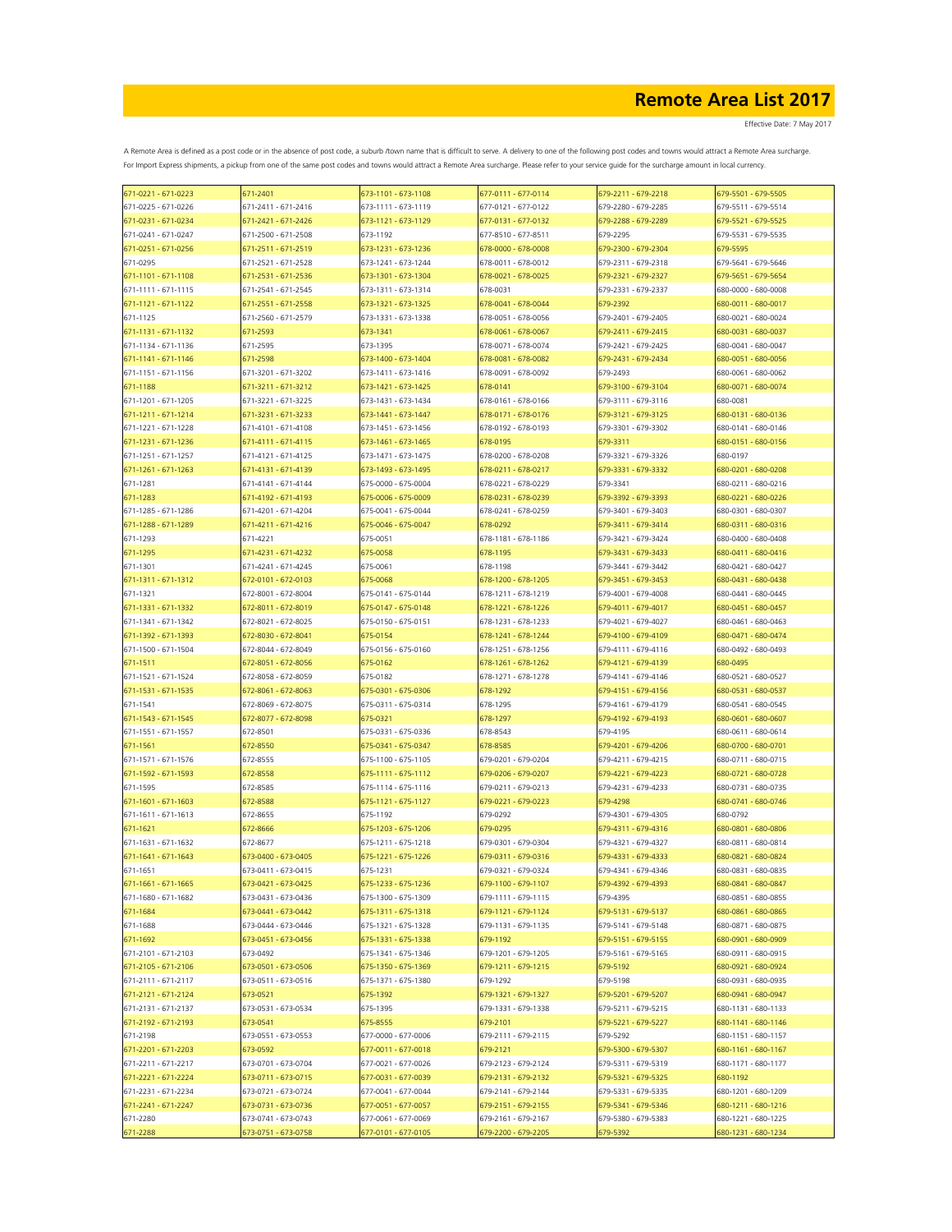| 671-0221 - 671-0223             | 671-2401                                   | 673-1101 - 673-1108                        | 677-0111 - 677-0114                        | 679-2211 - 679-2218                        | 679-5501 - 679-5505                        |
|---------------------------------|--------------------------------------------|--------------------------------------------|--------------------------------------------|--------------------------------------------|--------------------------------------------|
| 671-0225 - 671-0226             | 671-2411 - 671-2416                        | 673-1111 - 673-1119                        | 677-0121 - 677-0122                        | 679-2280 - 679-2285                        | 679-5511 - 679-5514                        |
| 671-0231 - 671-0234             | 671-2421 - 671-2426                        | 673-1121 - 673-1129                        | 677-0131 - 677-0132                        | 679-2288 - 679-2289                        | 679-5521 - 679-5525                        |
| 671-0241 - 671-0247             | 671-2500 - 671-2508                        | 673-1192                                   | 677-8510 - 677-8511                        | 679-2295                                   | 679-5531 - 679-5535                        |
| 671-0251 - 671-0256             | 671-2511 - 671-2519                        | 673-1231 - 673-1236                        | 678-0000 - 678-0008                        | 679-2300 - 679-2304                        | 679-5595                                   |
| 671-0295                        | 671-2521 - 671-2528                        | 673-1241 - 673-1244                        | 678-0011 - 678-0012                        | 679-2311 - 679-2318                        | 679-5641 - 679-5646                        |
| 671-1101 - 671-1108             | 671-2531 - 671-2536                        | 673-1301 - 673-1304                        | 678-0021 - 678-0025                        | 679-2321 - 679-2327                        | 679-5651 - 679-5654                        |
| 671-1111 - 671-1115             | 671-2541 - 671-2545                        | 673-1311 - 673-1314                        | 678-0031                                   | 679-2331 - 679-2337                        | 680-0000 - 680-0008                        |
| 671-1121 - 671-1122             | 671-2551 - 671-2558                        | 673-1321 - 673-1325                        | 678-0041 - 678-0044                        | 679-2392                                   | 680-0011 - 680-0017                        |
| 671-1125<br>671-1131 - 671-1132 | 671-2560 - 671-2579<br>671-2593            | 673-1331 - 673-1338<br>673-1341            | 678-0051 - 678-0056<br>678-0061 - 678-0067 | 679-2401 - 679-2405<br>679-2411 - 679-2415 | 680-0021 - 680-0024<br>680-0031 - 680-0037 |
| 671-1134 - 671-1136             | 671-2595                                   | 673-1395                                   | 678-0071 - 678-0074                        | 679-2421 - 679-2425                        | 680-0041 - 680-0047                        |
| 671-1141 - 671-1146             | 671-2598                                   | 673-1400 - 673-1404                        | 678-0081 - 678-0082                        | 679-2431 - 679-2434                        | 680-0051 - 680-0056                        |
| 671-1151 - 671-1156             | 671-3201 - 671-3202                        | 673-1411 - 673-1416                        | 678-0091 - 678-0092                        | 679-2493                                   | 680-0061 - 680-0062                        |
| 671-1188                        | 671-3211 - 671-3212                        | 673-1421 - 673-1425                        | 678-0141                                   | 679-3100 - 679-3104                        | 680-0071 - 680-0074                        |
| 671-1201 - 671-1205             | 671-3221 - 671-3225                        | 673-1431 - 673-1434                        | 678-0161 - 678-0166                        | 679-3111 - 679-3116                        | 680-0081                                   |
| 671-1211 - 671-1214             | 671-3231 - 671-3233                        | 673-1441 - 673-1447                        | 678-0171 - 678-0176                        | 679-3121 - 679-3125                        | 680-0131 - 680-0136                        |
| 671-1221 - 671-1228             | 671-4101 - 671-4108                        | 673-1451 - 673-1456                        | 678-0192 - 678-0193                        | 679-3301 - 679-3302                        | 680-0141 - 680-0146                        |
| 671-1231 - 671-1236             | 671-4111 - 671-4115                        | 673-1461 - 673-1465                        | 678-0195                                   | 679-3311                                   | 680-0151 - 680-0156                        |
| 671-1251 - 671-1257             | 671-4121 - 671-4125                        | 673-1471 - 673-1475                        | 678-0200 - 678-0208                        | 679-3321 - 679-3326                        | 680-0197                                   |
| 671-1261 - 671-1263             | 671-4131 - 671-4139                        | 673-1493 - 673-1495                        | 678-0211 - 678-0217                        | 679-3331 - 679-3332                        | 680-0201 - 680-0208                        |
| 671-1281                        | 671-4141 - 671-4144                        | 675-0000 - 675-0004                        | 678-0221 - 678-0229                        | 679-3341                                   | 680-0211 - 680-0216                        |
| 671-1283                        | 671-4192 - 671-4193                        | 675-0006 - 675-0009                        | 678-0231 - 678-0239                        | 679-3392 - 679-3393                        | 680-0221 - 680-0226                        |
| 671-1285 - 671-1286             | 671-4201 - 671-4204                        | 675-0041 - 675-0044                        | 678-0241 - 678-0259                        | 679-3401 - 679-3403                        | 680-0301 - 680-0307                        |
| 671-1288 - 671-1289             | 671-4211 - 671-4216                        | 675-0046 - 675-0047                        | 678-0292                                   | 679-3411 - 679-3414                        | 680-0311 - 680-0316                        |
| 671-1293                        | 671-4221                                   | 675-0051                                   | 678-1181 - 678-1186                        | 679-3421 - 679-3424                        | 680-0400 - 680-0408                        |
| 671-1295                        | 671-4231 - 671-4232                        | 675-0058                                   | 678-1195                                   | 579-3431 - 679-3433                        | 580-0411 - 680-0416                        |
| 671-1301                        | 671-4241 - 671-4245                        | 675-0061                                   | 678-1198                                   | 679-3441 - 679-3442                        | 680-0421 - 680-0427                        |
| 671-1311 - 671-1312             | 672-0101 - 672-0103                        | 675-0068                                   | 678-1200 - 678-1205                        | 579-3451 - 679-3453                        | 580-0431 - 680-0438                        |
| 671-1321                        | 672-8001 - 672-8004                        | 675-0141 - 675-0144                        | 678-1211 - 678-1219                        | 679-4001 - 679-4008                        | 680-0441 - 680-0445                        |
| 671-1331 - 671-1332             | 672-8011 - 672-8019                        | 675-0147 - 675-0148                        | 678-1221 - 678-1226                        | 679-4011 - 679-4017                        | 680-0451 - 680-0457                        |
| 671-1341 - 671-1342             | 672-8021 - 672-8025                        | 675-0150 - 675-0151                        | 678-1231 - 678-1233                        | 679-4021 - 679-4027                        | 680-0461 - 680-0463                        |
| 671-1392 - 671-1393             | 672-8030 - 672-8041                        | 675-0154<br>675-0156 - 675-0160            | 678-1241 - 678-1244                        | 679-4100 - 679-4109                        | 680-0471 - 680-0474                        |
| 671-1500 - 671-1504<br>671-1511 | 672-8044 - 672-8049<br>672-8051 - 672-8056 | 675-0162                                   | 678-1251 - 678-1256<br>678-1261 - 678-1262 | 679-4111 - 679-4116<br>679-4121 - 679-4139 | 680-0492 - 680-0493<br>680-0495            |
| 671-1521 - 671-1524             | 672-8058 - 672-8059                        | 675-0182                                   | 678-1271 - 678-1278                        | 679-4141 - 679-4146                        | 680-0521 - 680-0527                        |
| 671-1531 - 671-1535             | 672-8061 - 672-8063                        | 675-0301 - 675-0306                        | 678-1292                                   | 679-4151 - 679-4156                        | 680-0531 - 680-0537                        |
| 671-1541                        | 672-8069 - 672-8075                        | 675-0311 - 675-0314                        | 678-1295                                   | 679-4161 - 679-4179                        | 680-0541 - 680-0545                        |
| 671-1543 - 671-1545             | 672-8077 - 672-8098                        | 675-0321                                   | 678-1297                                   | 679-4192 - 679-4193                        | 680-0601 - 680-0607                        |
| 671-1551 - 671-1557             | 672-8501                                   | 675-0331 - 675-0336                        | 678-8543                                   | 679-4195                                   | 680-0611 - 680-0614                        |
| 671-1561                        | 672-8550                                   | 675-0341 - 675-0347                        | 678-8585                                   | 679-4201 - 679-4206                        | 680-0700 - 680-0701                        |
| 671-1571 - 671-1576             | 672-8555                                   | 675-1100 - 675-1105                        | 679-0201 - 679-0204                        | 679-4211 - 679-4215                        | 680-0711 - 680-0715                        |
| 671-1592 - 671-1593             | 672-8558                                   | 675-1111 - 675-1112                        | 679-0206 - 679-0207                        | 679-4221 - 679-4223                        | 680-0721 - 680-0728                        |
| 671-1595                        | 672-8585                                   | 675-1114 - 675-1116                        | 679-0211 - 679-0213                        | 679-4231 - 679-4233                        | 680-0731 - 680-0735                        |
| 671-1601 - 671-1603             | 672-8588                                   | 675-1121 - 675-1127                        | 679-0221 - 679-0223                        | 679-4298                                   | 680-0741 - 680-0746                        |
| 671-1611 - 671-1613             | 672-8655                                   | 675-1192                                   | 679-0292                                   | 679-4301 - 679-4305                        | 680-0792                                   |
| 671-1621                        | 672-8666                                   | 675-1203 - 675-1206                        | 679-0295                                   | 679-4311 - 679-4316                        | 680-0801 - 680-0806                        |
| 671-1631 - 671-1632             | 672-8677                                   | 675-1211 - 675-1218                        | 679-0301 - 679-0304                        | 679-4321 - 679-4327                        | 680-0811 - 680-0814                        |
| 671-1641 - 671-1643             | 673-0400 - 673-0405                        | 675-1221 - 675-1226                        | 679-0311 - 679-0316                        | 679-4331 - 679-4333                        | 680-0821 - 680-0824                        |
| 671-1651                        | 673-0411 - 673-0415                        | 675-1231                                   | 679-0321 - 679-0324                        | 679-4341 - 679-4346                        | 680-0831 - 680-0835                        |
| 671-1661 - 671-1665             | 673-0421 - 673-0425                        | 675-1233 - 675-1236                        | 679-1100 - 679-1107                        | 679-4392 - 679-4393                        | 680-0841 - 680-0847                        |
| 671-1680 - 671-1682             | 673-0431 - 673-0436                        | 675-1300 - 675-1309                        | 679-1111 - 679-1115                        | 679-4395                                   | 680-0851 - 680-0855                        |
| 671-1684                        | 673-0441 - 673-0442                        | 675-1311 - 675-1318                        | 679-1121 - 679-1124                        | 679-5131 - 679-5137                        | 680-0861 - 680-0865                        |
| 671-1688                        | 673-0444 - 673-0446                        | 675-1321 - 675-1328<br>675-1331 - 675-1338 | 679-1131 - 679-1135                        | 679-5141 - 679-5148                        | 680-0871 - 680-0875                        |
| 671-1692<br>671-2101 - 671-2103 | 673-0451 - 673-0456<br>673-0492            | 675-1341 - 675-1346                        | 679-1192<br>679-1201 - 679-1205            | 679-5151 - 679-5155<br>679-5161 - 679-5165 | 680-0901 - 680-0909<br>680-0911 - 680-0915 |
| 671-2105 - 671-2106             | 673-0501 - 673-0506                        | 675-1350 - 675-1369                        | 679-1211 - 679-1215                        | 679-5192                                   | 680-0921 - 680-0924                        |
| 671-2111 - 671-2117             | 673-0511 - 673-0516                        | 675-1371 - 675-1380                        | 679-1292                                   | 679-5198                                   | 680-0931 - 680-0935                        |
| 671-2121 - 671-2124             | 673-0521                                   | 675-1392                                   | 679-1321 - 679-1327                        | 679-5201 - 679-5207                        | 680-0941 - 680-0947                        |
| 671-2131 - 671-2137             | 673-0531 - 673-0534                        | 675-1395                                   | 679-1331 - 679-1338                        | 679-5211 - 679-5215                        | 680-1131 - 680-1133                        |
| 671-2192 - 671-2193             | 673-0541                                   | 675-8555                                   | 679-2101                                   | 679-5221 - 679-5227                        | 680-1141 - 680-1146                        |
| 671-2198                        | 673-0551 - 673-0553                        | 677-0000 - 677-0006                        | 679-2111 - 679-2115                        | 679-5292                                   | 680-1151 - 680-1157                        |
| 671-2201 - 671-2203             | 673-0592                                   | 677-0011 - 677-0018                        | 679-2121                                   | 679-5300 - 679-5307                        | 680-1161 - 680-1167                        |
| 671-2211 - 671-2217             | 673-0701 - 673-0704                        | 677-0021 - 677-0026                        | 679-2123 - 679-2124                        | 679-5311 - 679-5319                        | 680-1171 - 680-1177                        |
| 671-2221 - 671-2224             | 673-0711 - 673-0715                        | 677-0031 - 677-0039                        | 679-2131 - 679-2132                        | 679-5321 - 679-5325                        | 680-1192                                   |
| 671-2231 - 671-2234             | 673-0721 - 673-0724                        | 677-0041 - 677-0044                        | 679-2141 - 679-2144                        | 679-5331 - 679-5335                        | 680-1201 - 680-1209                        |
| 671-2241 - 671-2247             | 673-0731 - 673-0736                        | 677-0051 - 677-0057                        | 679-2151 - 679-2155                        | 679-5341 - 679-5346                        | 680-1211 - 680-1216                        |
| 671-2280                        | 673-0741 - 673-0743                        | 677-0061 - 677-0069                        | 679-2161 - 679-2167                        | 679-5380 - 679-5383                        | 680-1221 - 680-1225                        |
| 671-2288                        | 673-0751 - 673-0758                        | 677-0101 - 677-0105                        | 679-2200 - 679-2205                        | 679-5392                                   | 680-1231 - 680-1234                        |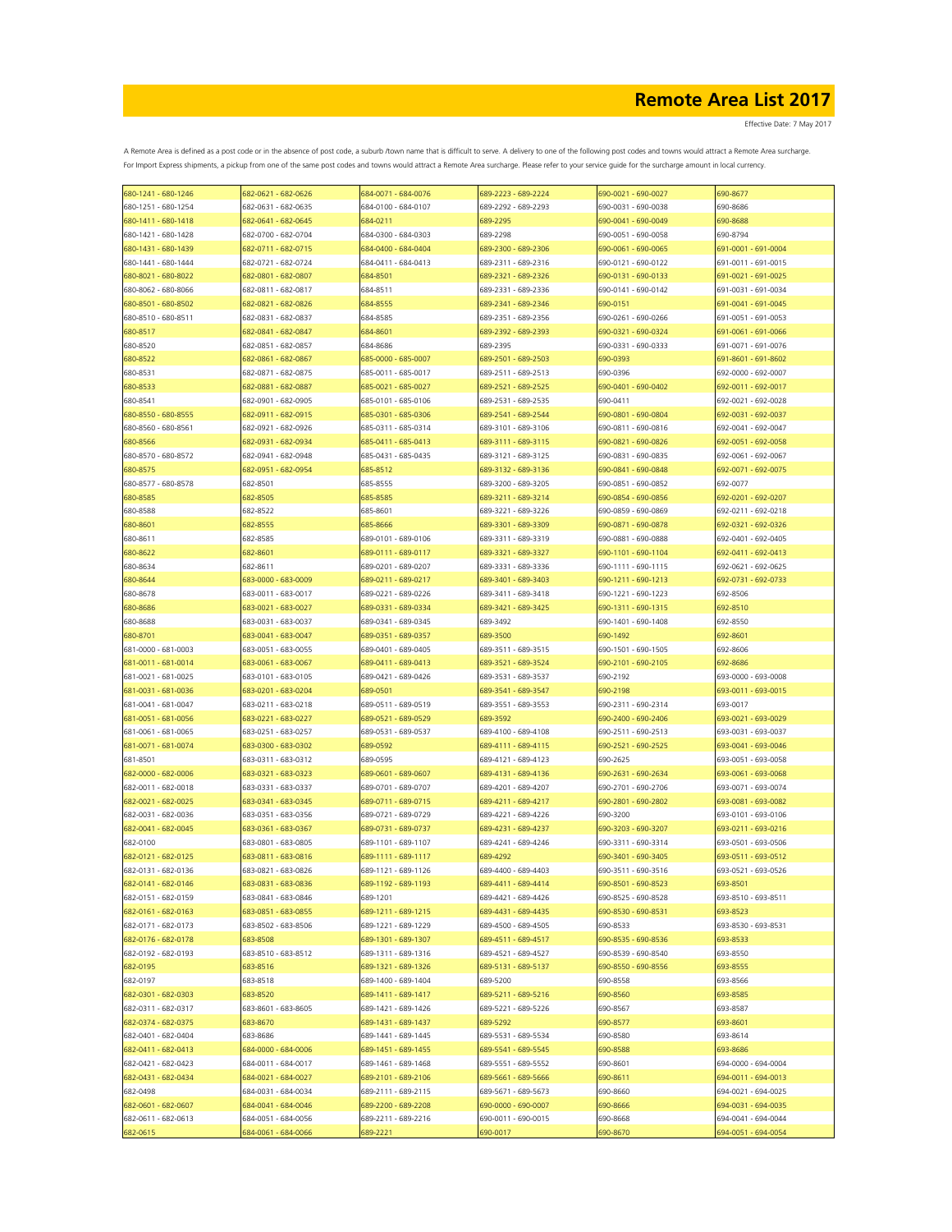Effective Date: 7 May 2017

| 680-1241 - 680-1246 | 682-0621 - 682-0626 | 684-0071 - 684-0076 | 689-2223 - 689-2224 | 690-0021 - 690-0027 | 690-8677            |
|---------------------|---------------------|---------------------|---------------------|---------------------|---------------------|
| 680-1251 - 680-1254 | 682-0631 - 682-0635 | 684-0100 - 684-0107 | 689-2292 - 689-2293 | 690-0031 - 690-0038 | 690-8686            |
| 680-1411 - 680-1418 | 682-0641 - 682-0645 | 684-0211            | 689-2295            | 690-0041 - 690-0049 | 690-8688            |
| 680-1421 - 680-1428 | 682-0700 - 682-0704 | 684-0300 - 684-0303 | 689-2298            | 690-0051 - 690-0058 | 690-8794            |
| 680-1431 - 680-1439 | 682-0711 - 682-0715 | 684-0400 - 684-0404 | 689-2300 - 689-2306 | 690-0061 - 690-0065 | 691-0001 - 691-0004 |
|                     |                     |                     |                     |                     |                     |
| 680-1441 - 680-1444 | 682-0721 - 682-0724 | 684-0411 - 684-0413 | 689-2311 - 689-2316 | 690-0121 - 690-0122 | 691-0011 - 691-0015 |
| 680-8021 - 680-8022 | 682-0801 - 682-0807 | 684-8501            | 689-2321 - 689-2326 | 690-0131 - 690-0133 | 691-0021 - 691-0025 |
| 680-8062 - 680-8066 | 682-0811 - 682-0817 | 684-8511            | 689-2331 - 689-2336 | 690-0141 - 690-0142 | 691-0031 - 691-0034 |
| 680-8501 - 680-8502 | 682-0821 - 682-0826 | 684-8555            | 689-2341 - 689-2346 | 690-0151            | 691-0041 - 691-0045 |
| 680-8510 - 680-8511 | 682-0831 - 682-0837 | 684-8585            | 689-2351 - 689-2356 | 690-0261 - 690-0266 | 691-0051 - 691-0053 |
| 680-8517            | 682-0841 - 682-0847 | 684-8601            | 689-2392 - 689-2393 | 690-0321 - 690-0324 | 691-0061 - 691-0066 |
| 680-8520            | 682-0851 - 682-0857 | 684-8686            | 689-2395            | 690-0331 - 690-0333 | 691-0071 - 691-0076 |
| 680-8522            | 682-0861 - 682-0867 | 685-0000 - 685-0007 | 689-2501 - 689-2503 | 690-0393            | 691-8601 - 691-8602 |
| 680-8531            | 682-0871 - 682-0875 | 685-0011 - 685-0017 | 689-2511 - 689-2513 | 690-0396            | 692-0000 - 692-0007 |
| 680-8533            | 582-0881 - 682-0887 | 685-0021 - 685-0027 | 689-2521 - 689-2525 | 690-0401 - 690-0402 | 692-0011 - 692-0017 |
|                     |                     |                     |                     |                     |                     |
| 680-8541            | 682-0901 - 682-0905 | 685-0101 - 685-0106 | 689-2531 - 689-2535 | 690-0411            | 692-0021 - 692-0028 |
| 680-8550 - 680-8555 | 682-0911 - 682-0915 | 685-0301 - 685-0306 | 689-2541 - 689-2544 | 690-0801 - 690-0804 | 692-0031 - 692-0037 |
| 680-8560 - 680-8561 | 682-0921 - 682-0926 | 685-0311 - 685-0314 | 689-3101 - 689-3106 | 690-0811 - 690-0816 | 692-0041 - 692-0047 |
| 680-8566            | 582-0931 - 682-0934 | 585-0411 - 685-0413 | 689-3111 - 689-3115 | 690-0821 - 690-0826 | 692-0051 - 692-0058 |
| 680-8570 - 680-8572 | 682-0941 - 682-0948 | 685-0431 - 685-0435 | 689-3121 - 689-3125 | 690-0831 - 690-0835 | 692-0061 - 692-0067 |
| 680-8575            | 682-0951 - 682-0954 | 685-8512            | 689-3132 - 689-3136 | 690-0841 - 690-0848 | 692-0071 - 692-0075 |
| 680-8577 - 680-8578 | 682-8501            | 685-8555            | 689-3200 - 689-3205 | 690-0851 - 690-0852 | 692-0077            |
| 680-8585            | 682-8505            | 685-8585            | 689-3211 - 689-3214 | 690-0854 - 690-0856 | 692-0201 - 692-0207 |
| 680-8588            | 682-8522            | 685-8601            | 689-3221 - 689-3226 | 690-0859 - 690-0869 | 692-0211 - 692-0218 |
|                     |                     |                     |                     |                     | 692-0321 - 692-0326 |
| 680-8601            | 682-8555            | 685-8666            | 689-3301 - 689-3309 | 690-0871 - 690-0878 |                     |
| 680-8611            | 682-8585            | 689-0101 - 689-0106 | 689-3311 - 689-3319 | 690-0881 - 690-0888 | 692-0401 - 692-0405 |
| 680-8622            | 682-8601            | 689-0111 - 689-0117 | 689-3321 - 689-3327 | 690-1101 - 690-1104 | 692-0411 - 692-0413 |
| 680-8634            | 682-8611            | 689-0201 - 689-0207 | 689-3331 - 689-3336 | 690-1111 - 690-1115 | 692-0621 - 692-0625 |
| 680-8644            | 683-0000 - 683-0009 | 689-0211 - 689-0217 | 689-3401 - 689-3403 | 690-1211 - 690-1213 | 692-0731 - 692-0733 |
| 680-8678            | 683-0011 - 683-0017 | 689-0221 - 689-0226 | 689-3411 - 689-3418 | 690-1221 - 690-1223 | 692-8506            |
| 680-8686            | 683-0021 - 683-0027 | 689-0331 - 689-0334 | 689-3421 - 689-3425 | 690-1311 - 690-1315 | 692-8510            |
| 680-8688            | 683-0031 - 683-0037 | 689-0341 - 689-0345 | 689-3492            | 690-1401 - 690-1408 | 692-8550            |
| 680-8701            | 683-0041 - 683-0047 | 689-0351 - 689-0357 | 689-3500            | 690-1492            | 692-8601            |
|                     |                     |                     |                     |                     |                     |
| 681-0000 - 681-0003 | 683-0051 - 683-0055 | 689-0401 - 689-0405 | 689-3511 - 689-3515 | 690-1501 - 690-1505 | 692-8606            |
| 681-0011 - 681-0014 | 683-0061 - 683-0067 | 689-0411 - 689-0413 | 689-3521 - 689-3524 | 690-2101 - 690-2105 | 692-8686            |
| 681-0021 - 681-0025 | 683-0101 - 683-0105 | 689-0421 - 689-0426 | 689-3531 - 689-3537 | 690-2192            | 693-0000 - 693-0008 |
| 681-0031 - 681-0036 | 683-0201 - 683-0204 | 689-0501            | 689-3541 - 689-3547 | 690-2198            | 693-0011 - 693-0015 |
| 681-0041 - 681-0047 | 683-0211 - 683-0218 | 689-0511 - 689-0519 | 689-3551 - 689-3553 | 690-2311 - 690-2314 | 693-0017            |
| 681-0051 - 681-0056 | 683-0221 - 683-0227 | 689-0521 - 689-0529 | 689-3592            | 690-2400 - 690-2406 | 693-0021 - 693-0029 |
| 681-0061 - 681-0065 | 683-0251 - 683-0257 | 689-0531 - 689-0537 | 689-4100 - 689-4108 | 690-2511 - 690-2513 | 693-0031 - 693-0037 |
| 681-0071 - 681-0074 | 683-0300 - 683-0302 | 689-0592            | 689-4111 - 689-4115 | 690-2521 - 690-2525 | 693-0041 - 693-0046 |
| 681-8501            | 683-0311 - 683-0312 | 689-0595            | 689-4121 - 689-4123 | 690-2625            | 693-0051 - 693-0058 |
| 682-0000 - 682-0006 | 683-0321 - 683-0323 | 589-0601 - 689-0607 | 689-4131 - 689-4136 | 690-2631 - 690-2634 | 693-0061 - 693-0068 |
|                     |                     |                     |                     |                     | 693-0071 - 693-0074 |
| 682-0011 - 682-0018 | 683-0331 - 683-0337 | 689-0701 - 689-0707 | 689-4201 - 689-4207 | 690-2701 - 690-2706 |                     |
| 682-0021 - 682-0025 | 683-0341 - 683-0345 | 589-0711 - 689-0715 | 689-4211 - 689-4217 | 690-2801 - 690-2802 | 693-0081 - 693-0082 |
| 682-0031 - 682-0036 | 683-0351 - 683-0356 | 689-0721 - 689-0729 | 689-4221 - 689-4226 | 690-3200            | 693-0101 - 693-0106 |
| 682-0041 - 682-0045 | 683-0361 - 683-0367 | 689-0731 - 689-0737 | 689-4231 - 689-4237 | 690-3203 - 690-3207 | 693-0211 - 693-0216 |
| 682-0100            | 683-0801 - 683-0805 | 689-1101 - 689-1107 | 689-4241 - 689-4246 | 690-3311 - 690-3314 | 693-0501 - 693-0506 |
| 682-0121 - 682-0125 | 683-0811 - 683-0816 | 689-1111 - 689-1117 | 689-4292            | 690-3401 - 690-3405 | 693-0511 - 693-0512 |
| 682-0131 - 682-0136 | 683-0821 - 683-0826 | 689-1121 - 689-1126 | 689-4400 - 689-4403 | 690-3511 - 690-3516 | 693-0521 - 693-0526 |
| 682-0141 - 682-0146 | 683-0831 - 683-0836 | 689-1192 - 689-1193 | 689-4411 - 689-4414 | 690-8501 - 690-8523 | 693-8501            |
| 682-0151 - 682-0159 | 683-0841 - 683-0846 | 689-1201            | 689-4421 - 689-4426 | 690-8525 - 690-8528 | 693-8510 - 693-8511 |
| 682-0161 - 682-0163 | 683-0851 - 683-0855 | 689-1211 - 689-1215 | 689-4431 - 689-4435 | 690-8530 - 690-8531 | 693-8523            |
| 682-0171 - 682-0173 | 683-8502 - 683-8506 |                     | 689-4500 - 689-4505 | 690-8533            | 693-8530 - 693-8531 |
|                     |                     | 689-1221 - 689-1229 |                     |                     |                     |
| 682-0176 - 682-0178 | 683-8508            | 689-1301 - 689-1307 | 689-4511 - 689-4517 | 690-8535 - 690-8536 | 693-8533            |
| 682-0192 - 682-0193 | 683-8510 - 683-8512 | 689-1311 - 689-1316 | 689-4521 - 689-4527 | 690-8539 - 690-8540 | 693-8550            |
| 682-0195            | 683-8516            | 689-1321 - 689-1326 | 689-5131 - 689-5137 | 690-8550 - 690-8556 | 693-8555            |
| 682-0197            | 683-8518            | 689-1400 - 689-1404 | 689-5200            | 690-8558            | 693-8566            |
| 682-0301 - 682-0303 | 683-8520            | 689-1411 - 689-1417 | 689-5211 - 689-5216 | 690-8560            | 693-8585            |
| 682-0311 - 682-0317 | 683-8601 - 683-8605 | 689-1421 - 689-1426 | 689-5221 - 689-5226 | 690-8567            | 693-8587            |
| 682-0374 - 682-0375 | 683-8670            | 689-1431 - 689-1437 | 689-5292            | 690-8577            | 693-8601            |
| 682-0401 - 682-0404 | 683-8686            | 689-1441 - 689-1445 | 689-5531 - 689-5534 | 690-8580            | 693-8614            |
| 682-0411 - 682-0413 | 684-0000 - 684-0006 | 689-1451 - 689-1455 | 689-5541 - 689-5545 | 690-8588            | 693-8686            |
| 682-0421 - 682-0423 | 684-0011 - 684-0017 | 689-1461 - 689-1468 | 689-5551 - 689-5552 | 690-8601            | 694-0000 - 694-0004 |
|                     |                     |                     |                     |                     |                     |
| 682-0431 - 682-0434 | 684-0021 - 684-0027 | 689-2101 - 689-2106 | 689-5661 - 689-5666 | 690-8611            | 694-0011 - 694-0013 |
| 682-0498            | 684-0031 - 684-0034 | 689-2111 - 689-2115 | 689-5671 - 689-5673 | 690-8660            | 694-0021 - 694-0025 |
| 682-0601 - 682-0607 | 684-0041 - 684-0046 | 689-2200 - 689-2208 | 690-0000 - 690-0007 | 690-8666            | 694-0031 - 694-0035 |
| 682-0611 - 682-0613 | 684-0051 - 684-0056 | 689-2211 - 689-2216 | 690-0011 - 690-0015 | 690-8668            | 694-0041 - 694-0044 |
| 682-0615            | 584-0061 - 684-0066 | 589-2221            | 690-0017            | 690-8670            | 694-0051 - 694-0054 |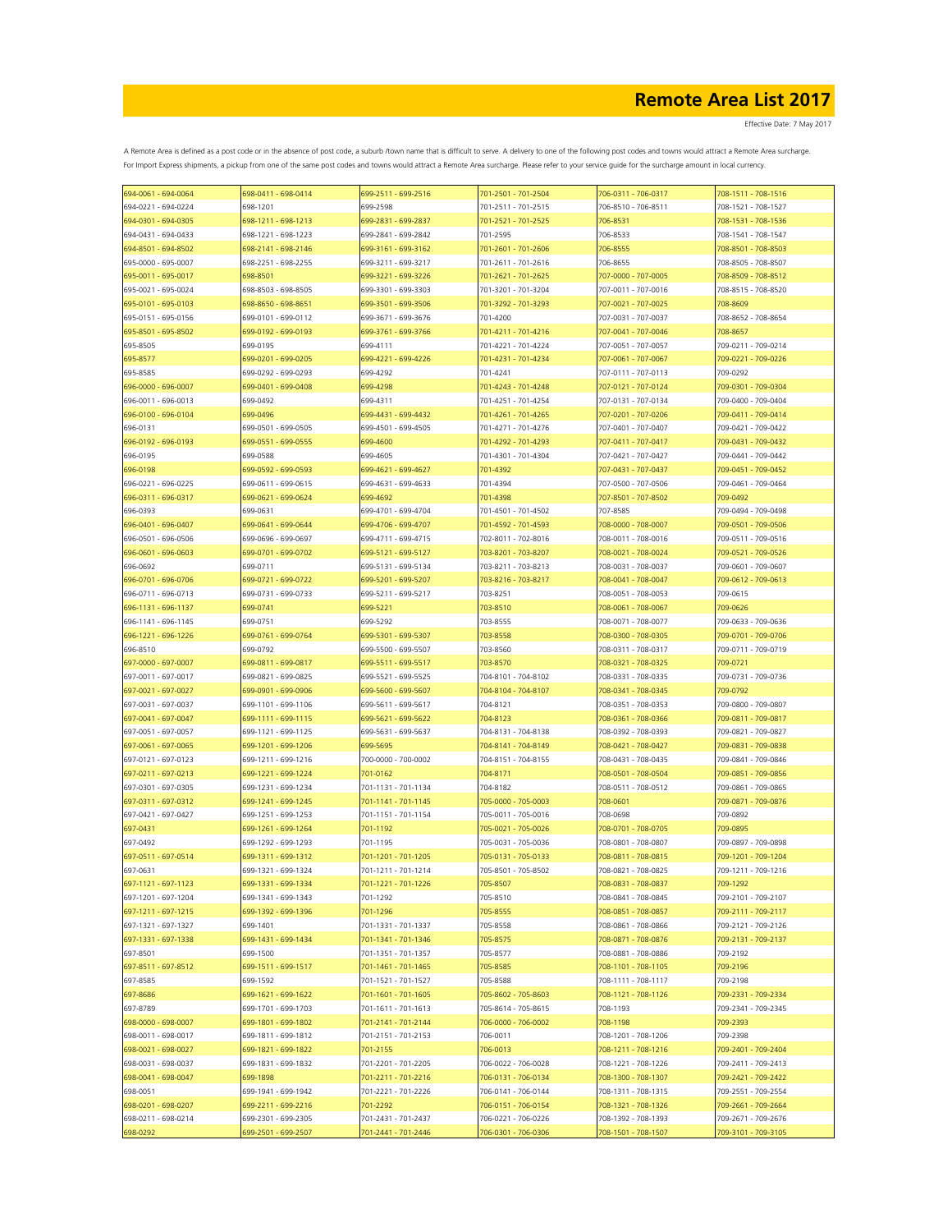| 694-0061 - 694-0064                        | 698-0411 - 698-0414                        | 699-2511 - 699-2516                        | 701-2501 - 701-2504                        | 706-0311 - 706-0317                        | 708-1511 - 708-1516                        |
|--------------------------------------------|--------------------------------------------|--------------------------------------------|--------------------------------------------|--------------------------------------------|--------------------------------------------|
| 694-0221 - 694-0224                        | 698-1201                                   | 699-2598                                   | 701-2511 - 701-2515                        | 706-8510 - 706-8511                        | 708-1521 - 708-1527                        |
| 694-0301 - 694-0305                        | 698-1211 - 698-1213                        | 699-2831 - 699-2837                        | 701-2521 - 701-2525                        | 706-8531                                   | 708-1531 - 708-1536                        |
| 694-0431 - 694-0433                        | 698-1221 - 698-1223                        | 699-2841 - 699-2842                        | 701-2595                                   | 706-8533                                   | 708-1541 - 708-1547                        |
| 694-8501 - 694-8502                        | 698-2141 - 698-2146                        | 699-3161 - 699-3162                        | 701-2601 - 701-2606                        | 706-8555                                   | 708-8501 - 708-8503                        |
| 695-0000 - 695-0007                        | 698-2251 - 698-2255                        | 699-3211 - 699-3217                        | 701-2611 - 701-2616                        | 706-8655                                   | 708-8505 - 708-8507                        |
| 695-0011 - 695-0017                        | 698-8501                                   | 699-3221 - 699-3226                        | 701-2621 - 701-2625                        | 707-0000 - 707-0005                        | 708-8509 - 708-8512                        |
| 695-0021 - 695-0024                        | 698-8503 - 698-8505                        | 699-3301 - 699-3303                        | 701-3201 - 701-3204                        | 707-0011 - 707-0016                        | 708-8515 - 708-8520                        |
| 695-0101 - 695-0103                        | 698-8650 - 698-8651                        | 599-3501 - 699-3506                        | 701-3292 - 701-3293                        | 707-0021 - 707-0025                        | 708-8609                                   |
| 695-0151 - 695-0156                        | 699-0101 - 699-0112                        | 699-3671 - 699-3676                        | 701-4200                                   | 707-0031 - 707-0037                        | 708-8652 - 708-8654                        |
| 695-8501 - 695-8502                        | 699-0192 - 699-0193                        | 699-3761 - 699-3766                        | 701-4211 - 701-4216                        | 707-0041 - 707-0046                        | 708-8657                                   |
| 695-8505                                   | 699-0195                                   | 699-4111                                   | 701-4221 - 701-4224                        | 707-0051 - 707-0057                        | 709-0211 - 709-0214                        |
| 695-8577                                   | 699-0201 - 699-0205                        | 699-4221 - 699-4226                        | 701-4231 - 701-4234                        | 707-0061 - 707-0067                        | 709-0221 - 709-0226                        |
| 695-8585                                   | 699-0292 - 699-0293                        | 699-4292                                   | 701-4241                                   | 707-0111 - 707-0113                        | 709-0292                                   |
| 696-0000 - 696-0007                        | 699-0401 - 699-0408                        | 699-4298                                   | 701-4243 - 701-4248                        | 707-0121 - 707-0124                        | 709-0301 - 709-0304                        |
| 696-0011 - 696-0013                        | 699-0492                                   | 699-4311                                   | 701-4251 - 701-4254                        | 707-0131 - 707-0134                        | 709-0400 - 709-0404                        |
| 696-0100 - 696-0104                        | 699-0496                                   | 699-4431 - 699-4432                        | 701-4261 - 701-4265                        | 707-0201 - 707-0206                        | 709-0411 - 709-0414                        |
| 696-0131                                   | 699-0501 - 699-0505                        | 699-4501 - 699-4505                        | 701-4271 - 701-4276                        | 707-0401 - 707-0407                        | 709-0421 - 709-0422                        |
| 696-0192 - 696-0193                        | 699-0551 - 699-0555                        | 699-4600                                   | 701-4292 - 701-4293                        | 707-0411 - 707-0417                        | 709-0431 - 709-0432                        |
| 696-0195                                   | 699-0588                                   | 699-4605                                   | 701-4301 - 701-4304                        | 707-0421 - 707-0427                        | 709-0441 - 709-0442                        |
| 696-0198                                   | 699-0592 - 699-0593                        | 599-4621 - 699-4627                        | 701-4392                                   | 707-0431 - 707-0437                        | 709-0451 - 709-0452                        |
| 696-0221 - 696-0225                        | 699-0611 - 699-0615                        | 699-4631 - 699-4633                        | 701-4394                                   | 707-0500 - 707-0506                        | 709-0461 - 709-0464                        |
| 696-0311 - 696-0317                        | 699-0621 - 699-0624                        | 599-4692                                   | 701-4398                                   | 707-8501 - 707-8502                        | 709-0492                                   |
| 696-0393                                   | 699-0631                                   | 699-4701 - 699-4704                        | 701-4501 - 701-4502                        | 707-8585                                   | 709-0494 - 709-0498                        |
| 696-0401 - 696-0407                        | 699-0641 - 699-0644                        | 699-4706 - 699-4707                        | 701-4592 - 701-4593                        | 708-0000 - 708-0007                        | 709-0501 - 709-0506                        |
| 696-0501 - 696-0506                        | 699-0696 - 699-0697                        | 699-4711 - 699-4715                        | 702-8011 - 702-8016                        | 708-0011 - 708-0016                        | 709-0511 - 709-0516                        |
| 696-0601 - 696-0603                        | 699-0701 - 699-0702                        | 699-5121 - 699-5127                        | 703-8201 - 703-8207                        | 708-0021 - 708-0024                        | 709-0521 - 709-0526                        |
| 696-0692                                   | 699-0711                                   | 699-5131 - 699-5134                        | 703-8211 - 703-8213                        | 708-0031 - 708-0037                        | 709-0601 - 709-0607                        |
| 696-0701 - 696-0706                        | 699-0721 - 699-0722                        | 699-5201 - 699-5207                        | 703-8216 - 703-8217                        | 708-0041 - 708-0047                        | 709-0612 - 709-0613                        |
| 696-0711 - 696-0713                        | 699-0731 - 699-0733                        | 699-5211 - 699-5217                        | 703-8251                                   | 708-0051 - 708-0053                        | 709-0615                                   |
| 696-1131 - 696-1137                        | 699-0741                                   | 699-5221                                   | 703-8510                                   | 708-0061 - 708-0067                        | 709-0626                                   |
| 696-1141 - 696-1145                        | 699-0751                                   | 699-5292                                   | 703-8555                                   | 708-0071 - 708-0077                        | 709-0633 - 709-0636                        |
| 696-1221 - 696-1226                        | 699-0761 - 699-0764                        | 699-5301 - 699-5307                        | 703-8558                                   | 708-0300 - 708-0305                        | 709-0701 - 709-0706                        |
| 696-8510                                   | 699-0792                                   | 699-5500 - 699-5507                        | 703-8560                                   | 708-0311 - 708-0317                        | 709-0711 - 709-0719                        |
| 697-0000 - 697-0007                        | 699-0811 - 699-0817                        | 699-5511 - 699-5517                        | 703-8570                                   | 708-0321 - 708-0325                        | 709-0721                                   |
| 697-0011 - 697-0017                        | 699-0821 - 699-0825                        | 699-5521 - 699-5525                        | 704-8101 - 704-8102                        | 708-0331 - 708-0335                        | 709-0731 - 709-0736                        |
| 697-0021 - 697-0027                        | 699-0901 - 699-0906                        | 699-5600 - 699-5607                        | 704-8104 - 704-8107                        | 708-0341 - 708-0345                        | 709-0792                                   |
| 697-0031 - 697-0037                        | 699-1101 - 699-1106                        | 699-5611 - 699-5617                        | 704-8121                                   | 708-0351 - 708-0353                        | 709-0800 - 709-0807                        |
| 697-0041 - 697-0047                        | 699-1111 - 699-1115                        | 699-5621 - 699-5622                        | 704-8123                                   | 708-0361 - 708-0366                        | 709-0811 - 709-0817                        |
| 697-0051 - 697-0057                        | 699-1121 - 699-1125                        | 699-5631 - 699-5637                        | 704-8131 - 704-8138                        | 708-0392 - 708-0393                        | 709-0821 - 709-0827                        |
| 697-0061 - 697-0065                        | 699-1201 - 699-1206                        | 699-5695                                   | 704-8141 - 704-8149                        | 708-0421 - 708-0427                        | 709-0831 - 709-0838                        |
| 697-0121 - 697-0123                        | 699-1211 - 699-1216                        | 700-0000 - 700-0002                        | 704-8151 - 704-8155                        | 708-0431 - 708-0435                        | 709-0841 - 709-0846                        |
| 697-0211 - 697-0213                        | 699-1221 - 699-1224                        | 701-0162                                   | 704-8171                                   | 708-0501 - 708-0504                        | 709-0851 - 709-0856                        |
|                                            |                                            |                                            | 704-8182                                   |                                            |                                            |
| 697-0301 - 697-0305<br>697-0311 - 697-0312 | 699-1231 - 699-1234                        | 701-1131 - 701-1134                        |                                            | 708-0511 - 708-0512                        | 709-0861 - 709-0865                        |
|                                            | 699-1241 - 699-1245                        | 701-1141 - 701-1145                        | 705-0000 - 705-0003                        | 708-0601                                   | 709-0871 - 709-0876                        |
| 697-0421 - 697-0427<br>697-0431            | 699-1251 - 699-1253                        | 701-1151 - 701-1154                        | 705-0011 - 705-0016                        | 708-0698                                   | 709-0892                                   |
|                                            | 699-1261 - 699-1264                        | 701-1192                                   | 705-0021 - 705-0026                        | 708-0701 - 708-0705                        | 709-0895                                   |
| 697-0492                                   | 699-1292 - 699-1293                        | 701-1195                                   | 705-0031 - 705-0036<br>705-0131 - 705-0133 | 708-0801 - 708-0807<br>708-0811 - 708-0815 | 709-0897 - 709-0898<br>709-1201 - 709-1204 |
| 697-0511 - 697-0514                        | 699-1311 - 699-1312                        | 701-1201 - 701-1205                        | 705-8501 - 705-8502                        |                                            |                                            |
| 697-0631                                   | 699-1321 - 699-1324                        | 701-1211 - 701-1214                        |                                            | 708-0821 - 708-0825                        | 709-1211 - 709-1216                        |
| 697-1121 - 697-1123<br>697-1201 - 697-1204 | 699-1331 - 699-1334<br>699-1341 - 699-1343 | 701-1221 - 701-1226<br>701-1292            | 705-8507<br>705-8510                       | 708-0831 - 708-0837<br>708-0841 - 708-0845 | 709-1292<br>709-2101 - 709-2107            |
|                                            |                                            |                                            | 705-8555                                   |                                            |                                            |
| 697-1211 - 697-1215                        | 699-1392 - 699-1396<br>699-1401            | 701-1296<br>701-1331 - 701-1337            |                                            | 708-0851 - 708-0857<br>708-0861 - 708-0866 | 709-2111 - 709-2117                        |
| 697-1321 - 697-1327<br>697-1331 - 697-1338 | 699-1431 - 699-1434                        |                                            | 705-8558                                   | 708-0871 - 708-0876                        | 709-2121 - 709-2126<br>709-2131 - 709-2137 |
|                                            |                                            | 701-1341 - 701-1346<br>701-1351 - 701-1357 | 705-8575                                   | 708-0881 - 708-0886                        |                                            |
| 697-8501                                   | 699-1500<br>699-1511 - 699-1517            | 701-1461 - 701-1465                        | 705-8577<br>705-8585                       | 708-1101 - 708-1105                        | 709-2192<br>709-2196                       |
| 697-8511 - 697-8512                        |                                            |                                            |                                            |                                            | 709-2198                                   |
| 697-8585                                   | 699-1592                                   | 701-1521 - 701-1527                        | 705-8588                                   | 708-1111 - 708-1117                        |                                            |
| 697-8686                                   | 699-1621 - 699-1622                        | 701-1601 - 701-1605                        | 705-8602 - 705-8603                        | 708-1121 - 708-1126                        | 709-2331 - 709-2334                        |
| 697-8789                                   | 699-1701 - 699-1703<br>699-1801 - 699-1802 | 701-1611 - 701-1613                        | 705-8614 - 705-8615<br>706-0000 - 706-0002 | 708-1193                                   | 709-2341 - 709-2345                        |
| 698-0000 - 698-0007                        |                                            | 701-2141 - 701-2144                        |                                            | 708-1198                                   | 709-2393                                   |
| 698-0011 - 698-0017                        | 699-1811 - 699-1812                        | 701-2151 - 701-2153                        | 706-0011                                   | 708-1201 - 708-1206                        | 709-2398                                   |
| 698-0021 - 698-0027                        | 699-1821 - 699-1822                        | 701-2155                                   | 706-0013                                   | 708-1211 - 708-1216                        | 709-2401 - 709-2404                        |
| 698-0031 - 698-0037                        | 699-1831 - 699-1832                        | 701-2201 - 701-2205                        | 706-0022 - 706-0028                        | 708-1221 - 708-1226                        | 709-2411 - 709-2413                        |
| 698-0041 - 698-0047                        | 699-1898                                   | 701-2211 - 701-2216                        | 706-0131 - 706-0134                        | 708-1300 - 708-1307                        | 709-2421 - 709-2422                        |
| 698-0051                                   | 699-1941 - 699-1942                        | 701-2221 - 701-2226                        | 706-0141 - 706-0144                        | 708-1311 - 708-1315                        | 709-2551 - 709-2554                        |
| 698-0201 - 698-0207                        | 699-2211 - 699-2216                        | 701-2292                                   | 706-0151 - 706-0154                        | 708-1321 - 708-1326                        | 709-2661 - 709-2664                        |
| 698-0211 - 698-0214                        | 699-2301 - 699-2305                        | 701-2431 - 701-2437                        | 706-0221 - 706-0226                        | 708-1392 - 708-1393                        | 709-2671 - 709-2676                        |
| 698-0292                                   | 699-2501 - 699-2507                        | 701-2441 - 701-2446                        | 706-0301 - 706-0306                        | 708-1501 - 708-1507                        | 709-3101 - 709-3105                        |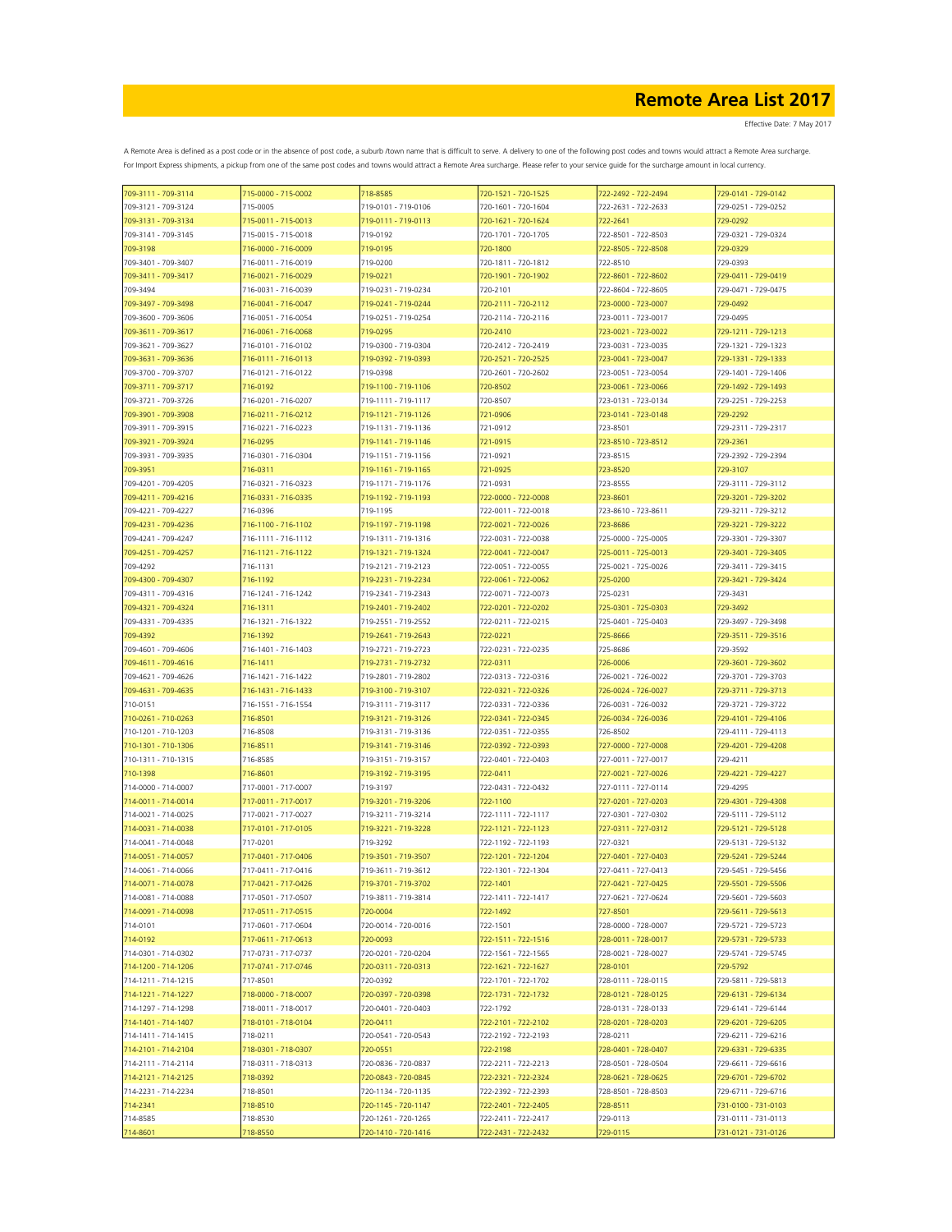| 709-3111 - 709-3114 | 715-0000 - 715-0002 | 718-8585            | 720-1521 - 720-1525 | 722-2492 - 722-2494 | 729-0141 - 729-0142 |
|---------------------|---------------------|---------------------|---------------------|---------------------|---------------------|
| 709-3121 - 709-3124 | 715-0005            | 719-0101 - 719-0106 | 720-1601 - 720-1604 | 722-2631 - 722-2633 | 729-0251 - 729-0252 |
| 709-3131 - 709-3134 | 715-0011 - 715-0013 | 719-0111 - 719-0113 | 720-1621 - 720-1624 | 722-2641            | 729-0292            |
| 709-3141 - 709-3145 | 715-0015 - 715-0018 | 719-0192            | 720-1701 - 720-1705 | 722-8501 - 722-8503 | 729-0321 - 729-0324 |
| 709-3198            | 716-0000 - 716-0009 | 719-0195            | 720-1800            | 722-8505 - 722-8508 | 729-0329            |
|                     |                     |                     |                     |                     |                     |
| 709-3401 - 709-3407 | 716-0011 - 716-0019 | 719-0200            | 720-1811 - 720-1812 | 722-8510            | 729-0393            |
| 709-3411 - 709-3417 | 716-0021 - 716-0029 | 719-0221            | 720-1901 - 720-1902 | 722-8601 - 722-8602 | 729-0411 - 729-0419 |
| 709-3494            | 716-0031 - 716-0039 | 719-0231 - 719-0234 | 720-2101            | 722-8604 - 722-8605 | 729-0471 - 729-0475 |
| 709-3497 - 709-3498 | 716-0041 - 716-0047 | 719-0241 - 719-0244 | 720-2111 - 720-2112 | 723-0000 - 723-0007 | 729-0492            |
| 709-3600 - 709-3606 | 716-0051 - 716-0054 | 719-0251 - 719-0254 | 720-2114 - 720-2116 | 723-0011 - 723-0017 | 729-0495            |
| 709-3611 - 709-3617 | 716-0061 - 716-0068 | 719-0295            | 720-2410            | 723-0021 - 723-0022 | 729-1211 - 729-1213 |
| 709-3621 - 709-3627 | 716-0101 - 716-0102 | 719-0300 - 719-0304 | 720-2412 - 720-2419 | 723-0031 - 723-0035 | 729-1321 - 729-1323 |
|                     | 716-0111 - 716-0113 |                     | 720-2521 - 720-2525 |                     | 729-1331 - 729-1333 |
| 709-3631 - 709-3636 |                     | 719-0392 - 719-0393 |                     | 723-0041 - 723-0047 |                     |
| 709-3700 - 709-3707 | 716-0121 - 716-0122 | 719-0398            | 720-2601 - 720-2602 | 723-0051 - 723-0054 | 729-1401 - 729-1406 |
| 709-3711 - 709-3717 | 716-0192            | 719-1100 - 719-1106 | 720-8502            | 723-0061 - 723-0066 | 729-1492 - 729-1493 |
| 709-3721 - 709-3726 | 716-0201 - 716-0207 | 719-1111 - 719-1117 | 720-8507            | 723-0131 - 723-0134 | 729-2251 - 729-2253 |
| 709-3901 - 709-3908 | 716-0211 - 716-0212 | 719-1121 - 719-1126 | 721-0906            | 723-0141 - 723-0148 | 729-2292            |
| 709-3911 - 709-3915 | 716-0221 - 716-0223 | 719-1131 - 719-1136 | 721-0912            | 723-8501            | 729-2311 - 729-2317 |
| 709-3921 - 709-3924 | 716-0295            | 719-1141 - 719-1146 | 721-0915            | 723-8510 - 723-8512 | 729-2361            |
| 709-3931 - 709-3935 | 716-0301 - 716-0304 | 719-1151 - 719-1156 | 721-0921            | 723-8515            | 729-2392 - 729-2394 |
|                     |                     |                     |                     |                     |                     |
| 709-3951            | 716-0311            | 719-1161 - 719-1165 | 721-0925            | 723-8520            | 729-3107            |
| 709-4201 - 709-4205 | 716-0321 - 716-0323 | 719-1171 - 719-1176 | 721-0931            | 723-8555            | 729-3111 - 729-3112 |
| 709-4211 - 709-4216 | 716-0331 - 716-0335 | 719-1192 - 719-1193 | 722-0000 - 722-0008 | 723-8601            | 729-3201 - 729-3202 |
| 709-4221 - 709-4227 | 716-0396            | 719-1195            | 722-0011 - 722-0018 | 723-8610 - 723-8611 | 729-3211 - 729-3212 |
| 709-4231 - 709-4236 | 716-1100 - 716-1102 | 719-1197 - 719-1198 | 722-0021 - 722-0026 | 723-8686            | 729-3221 - 729-3222 |
| 709-4241 - 709-4247 | 716-1111 - 716-1112 | 719-1311 - 719-1316 | 722-0031 - 722-0038 | 725-0000 - 725-0005 | 729-3301 - 729-3307 |
| 709-4251 - 709-4257 | 716-1121 - 716-1122 | 719-1321 - 719-1324 | 722-0041 - 722-0047 | 725-0011 - 725-0013 | 729-3401 - 729-3405 |
| 709-4292            | 716-1131            | 719-2121 - 719-2123 | 722-0051 - 722-0055 | 725-0021 - 725-0026 | 729-3411 - 729-3415 |
|                     |                     |                     |                     |                     |                     |
| 709-4300 - 709-4307 | 716-1192            | 719-2231 - 719-2234 | 722-0061 - 722-0062 | 725-0200            | 729-3421 - 729-3424 |
| 709-4311 - 709-4316 | 716-1241 - 716-1242 | 719-2341 - 719-2343 | 722-0071 - 722-0073 | 725-0231            | 729-3431            |
| 709-4321 - 709-4324 | 716-1311            | 719-2401 - 719-2402 | 722-0201 - 722-0202 | 725-0301 - 725-0303 | 729-3492            |
| 709-4331 - 709-4335 | 716-1321 - 716-1322 | 719-2551 - 719-2552 | 722-0211 - 722-0215 | 725-0401 - 725-0403 | 729-3497 - 729-3498 |
| 709-4392            | 716-1392            | 719-2641 - 719-2643 | 722-0221            | 725-8666            | 729-3511 - 729-3516 |
| 709-4601 - 709-4606 | 716-1401 - 716-1403 | 719-2721 - 719-2723 | 722-0231 - 722-0235 | 725-8686            | 729-3592            |
| 709-4611 - 709-4616 | 716-1411            | 719-2731 - 719-2732 | 722-0311            | 726-0006            | 729-3601 - 729-3602 |
|                     |                     |                     |                     |                     |                     |
| 709-4621 - 709-4626 | 716-1421 - 716-1422 | 719-2801 - 719-2802 | 722-0313 - 722-0316 | 726-0021 - 726-0022 | 729-3701 - 729-3703 |
| 709-4631 - 709-4635 | 716-1431 - 716-1433 | 719-3100 - 719-3107 | 722-0321 - 722-0326 | 726-0024 - 726-0027 | 729-3711 - 729-3713 |
| 710-0151            | 716-1551 - 716-1554 | 719-3111 - 719-3117 | 722-0331 - 722-0336 | 726-0031 - 726-0032 | 729-3721 - 729-3722 |
| 710-0261 - 710-0263 | 716-8501            | 719-3121 - 719-3126 | 722-0341 - 722-0345 | 726-0034 - 726-0036 | 729-4101 - 729-4106 |
| 710-1201 - 710-1203 | 716-8508            | 719-3131 - 719-3136 | 722-0351 - 722-0355 | 726-8502            | 729-4111 - 729-4113 |
| 710-1301 - 710-1306 | 716-8511            | 719-3141 - 719-3146 | 722-0392 - 722-0393 | 727-0000 - 727-0008 | 729-4201 - 729-4208 |
| 710-1311 - 710-1315 | 716-8585            | 719-3151 - 719-3157 | 722-0401 - 722-0403 | 727-0011 - 727-0017 | 729-4211            |
| 710-1398            | 716-8601            | 719-3192 - 719-3195 | 722-0411            | 727-0021 - 727-0026 | 729-4221 - 729-4227 |
|                     |                     |                     |                     |                     |                     |
| 714-0000 - 714-0007 | 717-0001 - 717-0007 | 719-3197            | 722-0431 - 722-0432 | 727-0111 - 727-0114 | 729-4295            |
| 714-0011 - 714-0014 | 717-0011 - 717-0017 | 719-3201 - 719-3206 | 722-1100            | 727-0201 - 727-0203 | 729-4301 - 729-4308 |
| 714-0021 - 714-0025 | 717-0021 - 717-0027 | 719-3211 - 719-3214 | 722-1111 - 722-1117 | 727-0301 - 727-0302 | 729-5111 - 729-5112 |
| 714-0031 - 714-0038 | 717-0101 - 717-0105 | 719-3221 - 719-3228 | 722-1121 - 722-1123 | 727-0311 - 727-0312 | 729-5121 - 729-5128 |
| 714-0041 - 714-0048 | 717-0201            | 719-3292            | 722-1192 - 722-1193 | 727-0321            | 729-5131 - 729-5132 |
| 714-0051 - 714-0057 | 717-0401 - 717-0406 | 719-3501 - 719-3507 | 722-1201 - 722-1204 | 727-0401 - 727-0403 | 729-5241 - 729-5244 |
| 714-0061 - 714-0066 | 717-0411 - 717-0416 | 719-3611 - 719-3612 | 722-1301 - 722-1304 | 727-0411 - 727-0413 | 729-5451 - 729-5456 |
|                     |                     |                     |                     |                     |                     |
| 714-0071 - 714-0078 | 717-0421 - 717-0426 | 719-3701 - 719-3702 | 722-1401            | 727-0421 - 727-0425 | 729-5501 - 729-5506 |
| 714-0081 - 714-0088 | 717-0501 - 717-0507 | 719-3811 - 719-3814 | 722-1411 - 722-1417 | 727-0621 - 727-0624 | 729-5601 - 729-5603 |
| 714-0091 - 714-0098 | 717-0511 - 717-0515 | 720-0004            | 722-1492            | 727-8501            | 729-5611 - 729-5613 |
| 714-0101            | 717-0601 - 717-0604 | 720-0014 - 720-0016 | 722-1501            | 728-0000 - 728-0007 | 729-5721 - 729-5723 |
| 714-0192            | 717-0611 - 717-0613 | 720-0093            | 722-1511 - 722-1516 | 728-0011 - 728-0017 | 729-5731 - 729-5733 |
| 714-0301 - 714-0302 | 717-0731 - 717-0737 | 720-0201 - 720-0204 | 722-1561 - 722-1565 | 728-0021 - 728-0027 | 729-5741 - 729-5745 |
| 714-1200 - 714-1206 | 717-0741 - 717-0746 | 720-0311 - 720-0313 | 722-1621 - 722-1627 | 728-0101            | 729-5792            |
| 714-1211 - 714-1215 | 717-8501            | 720-0392            | 722-1701 - 722-1702 | 728-0111 - 728-0115 | 729-5811 - 729-5813 |
|                     |                     | 720-0397 - 720-0398 | 722-1731 - 722-1732 |                     |                     |
| 714-1221 - 714-1227 | 718-0000 - 718-0007 |                     |                     | 728-0121 - 728-0125 | 729-6131 - 729-6134 |
| 714-1297 - 714-1298 | 718-0011 - 718-0017 | 720-0401 - 720-0403 | 722-1792            | 728-0131 - 728-0133 | 729-6141 - 729-6144 |
| 714-1401 - 714-1407 | 718-0101 - 718-0104 | 720-0411            | 722-2101 - 722-2102 | 728-0201 - 728-0203 | 729-6201 - 729-6205 |
| 714-1411 - 714-1415 | 718-0211            | 720-0541 - 720-0543 | 722-2192 - 722-2193 | 728-0211            | 729-6211 - 729-6216 |
| 714-2101 - 714-2104 | 718-0301 - 718-0307 | 720-0551            | 722-2198            | 728-0401 - 728-0407 | 729-6331 - 729-6335 |
| 714-2111 - 714-2114 | 718-0311 - 718-0313 | 720-0836 - 720-0837 | 722-2211 - 722-2213 | 728-0501 - 728-0504 | 729-6611 - 729-6616 |
| 714-2121 - 714-2125 | 718-0392            | 720-0843 - 720-0845 | 722-2321 - 722-2324 | 728-0621 - 728-0625 | 729-6701 - 729-6702 |
|                     | 718-8501            | 720-1134 - 720-1135 | 722-2392 - 722-2393 | 728-8501 - 728-8503 | 729-6711 - 729-6716 |
| 714-2231 - 714-2234 |                     |                     |                     |                     |                     |
| 714-2341            | 718-8510            | 720-1145 - 720-1147 | 722-2401 - 722-2405 | 728-8511            | 731-0100 - 731-0103 |
| 714-8585            | 718-8530            | 720-1261 - 720-1265 | 722-2411 - 722-2417 | 729-0113            | 731-0111 - 731-0113 |
| 714-8601            | 718-8550            | 720-1410 - 720-1416 | 722-2431 - 722-2432 | 729-0115            | 731-0121 - 731-0126 |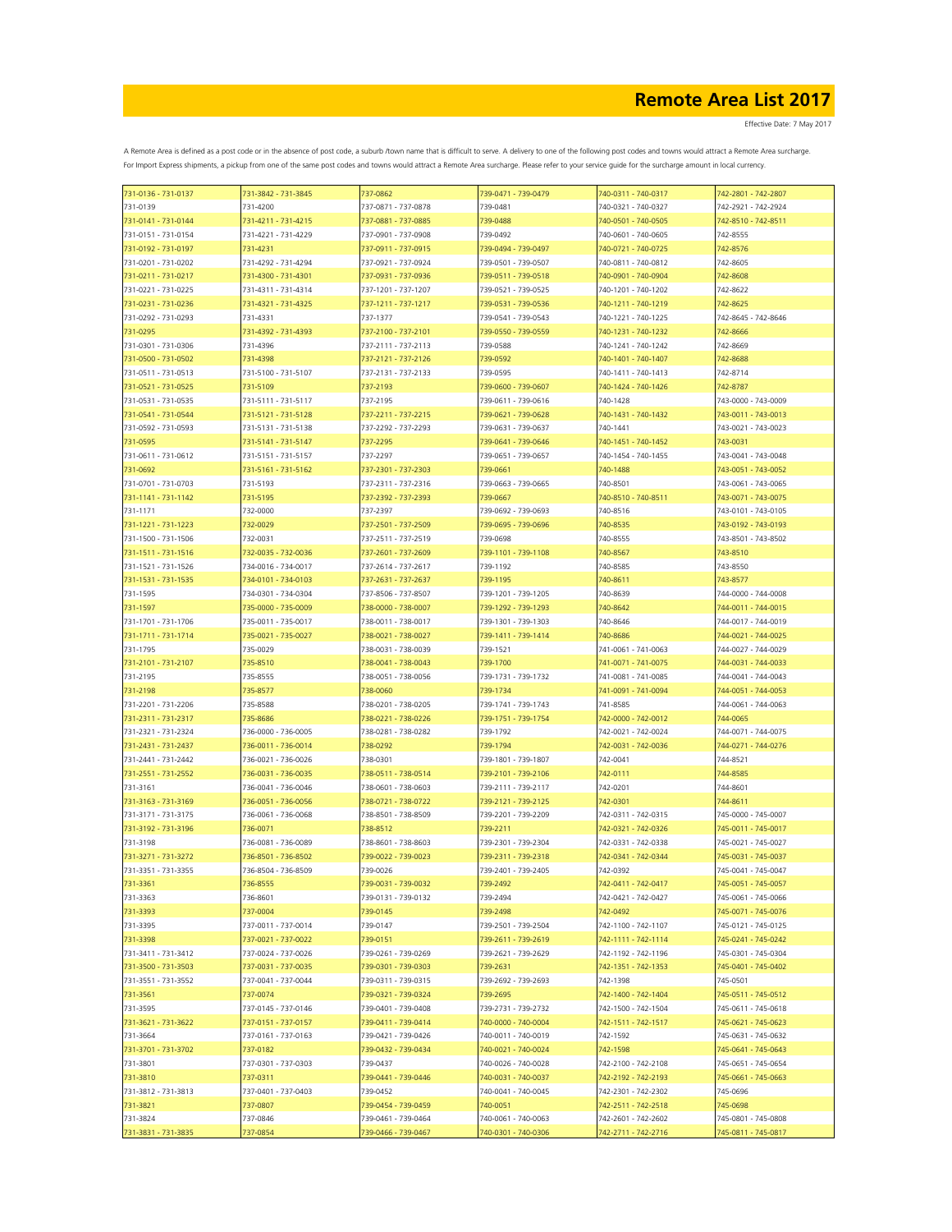| 731-0136 - 731-0137                        | 731-3842 - 731-3845             | 737-0862                                   | 739-0471 - 739-0479             | 740-0311 - 740-0317  | 742-2801 - 742-2807             |
|--------------------------------------------|---------------------------------|--------------------------------------------|---------------------------------|----------------------|---------------------------------|
| 731-0139                                   | 731-4200                        | 737-0871 - 737-0878                        | 739-0481                        | 740-0321 - 740-0327  | 742-2921 - 742-2924             |
| 731-0141 - 731-0144                        | 731-4211 - 731-4215             | 737-0881 - 737-0885                        | 739-0488                        | 740-0501 - 740-0505  | 742-8510 - 742-8511             |
| 731-0151 - 731-0154                        | 731-4221 - 731-4229             | 737-0901 - 737-0908                        | 739-0492                        | 740-0601 - 740-0605  | 742-8555                        |
| 731-0192 - 731-0197                        | 731-4231                        | 737-0911 - 737-0915                        | 739-0494 - 739-0497             | 740-0721 - 740-0725  | 742-8576                        |
| 731-0201 - 731-0202                        | 731-4292 - 731-4294             | 737-0921 - 737-0924                        | 739-0501 - 739-0507             | 740-0811 - 740-0812  | 742-8605                        |
| 731-0211 - 731-0217                        | 731-4300 - 731-4301             | 737-0931 - 737-0936                        | 739-0511 - 739-0518             | 740-0901 - 740-0904  | 742-8608                        |
| 731-0221 - 731-0225                        | 731-4311 - 731-4314             | 737-1201 - 737-1207                        | 739-0521 - 739-0525             | 740-1201 - 740-1202  | 742-8622                        |
| 731-0231 - 731-0236                        | 731-4321 - 731-4325             | 737-1211 - 737-1217                        | 739-0531 - 739-0536             | 740-1211 - 740-1219  | 742-8625                        |
| 731-0292 - 731-0293                        | 731-4331                        | 737-1377                                   | 739-0541 - 739-0543             | 740-1221 - 740-1225  | 742-8645 - 742-8646             |
| 731-0295                                   | 731-4392 - 731-4393             | 737-2100 - 737-2101                        | 739-0550 - 739-0559             | 740-1231 - 740-1232  | 742-8666                        |
| 731-0301 - 731-0306                        | 731-4396                        | 737-2111 - 737-2113                        | 739-0588                        | 740-1241 - 740-1242  | 742-8669                        |
| 731-0500 - 731-0502                        | 731-4398                        | 737-2121 - 737-2126                        | 739-0592                        | 740-1401 - 740-1407  | 742-8688                        |
| 731-0511 - 731-0513                        | 731-5100 - 731-5107             | 737-2131 - 737-2133                        | 739-0595                        | 740-1411 - 740-1413  | 742-8714                        |
| 731-0521 - 731-0525                        | 731-5109                        | 737-2193                                   | 739-0600 - 739-0607             | 740-1424 - 740-1426  | 742-8787                        |
| 731-0531 - 731-0535                        | 731-5111 - 731-5117             | 737-2195                                   | 739-0611 - 739-0616             | 740-1428             | 743-0000 - 743-0009             |
| 731-0541 - 731-0544                        | 731-5121 - 731-5128             | 737-2211 - 737-2215                        | 739-0621 - 739-0628             | 740-1431 - 740-1432  | 743-0011 - 743-0013             |
| 731-0592 - 731-0593                        | 731-5131 - 731-5138             | 737-2292 - 737-2293                        | 739-0631 - 739-0637             | 740-1441             | 743-0021 - 743-0023             |
| 731-0595                                   | 731-5141 - 731-5147             | 737-2295                                   | 739-0641 - 739-0646             | 740-1451 - 740-1452  | 743-0031                        |
| 731-0611 - 731-0612                        | 731-5151 - 731-5157             | 737-2297                                   | 739-0651 - 739-0657             | 740-1454 - 740-1455  | 743-0041 - 743-0048             |
| 731-0692                                   | 731-5161 - 731-5162             | 737-2301 - 737-2303                        | 739-0661                        | 740-1488             | 743-0051 - 743-0052             |
| 731-0701 - 731-0703                        | 731-5193                        | 737-2311 - 737-2316                        | 739-0663 - 739-0665             | 740-8501             | 743-0061 - 743-0065             |
| 731-1141 - 731-1142                        | 731-5195                        | 737-2392 - 737-2393                        | 739-0667                        | 740-8510 - 740-8511  | 743-0071 - 743-0075             |
| 731-1171                                   | 732-0000                        | 737-2397                                   | 739-0692 - 739-0693             | 740-8516             | 743-0101 - 743-0105             |
| 731-1221 - 731-1223                        | 732-0029                        | 737-2501 - 737-2509                        | 739-0695 - 739-0696             | 740-8535             | 743-0192 - 743-0193             |
| 731-1500 - 731-1506<br>731-1511 - 731-1516 | 732-0031<br>732-0035 - 732-0036 | 737-2511 - 737-2519<br>737-2601 - 737-2609 | 739-0698<br>739-1101 - 739-1108 | 740-8555<br>740-8567 | 743-8501 - 743-8502<br>743-8510 |
| 731-1521 - 731-1526                        | 734-0016 - 734-0017             | 737-2614 - 737-2617                        | 739-1192                        | 740-8585             | 743-8550                        |
| 731-1531 - 731-1535                        | 734-0101 - 734-0103             | 737-2631 - 737-2637                        | 739-1195                        | 740-8611             | 743-8577                        |
| 731-1595                                   | 734-0301 - 734-0304             | 737-8506 - 737-8507                        | 739-1201 - 739-1205             | 740-8639             | 744-0000 - 744-0008             |
| 731-1597                                   | 735-0000 - 735-0009             | 738-0000 - 738-0007                        | 739-1292 - 739-1293             | 740-8642             | 744-0011 - 744-0015             |
| 731-1701 - 731-1706                        | 735-0011 - 735-0017             | 738-0011 - 738-0017                        | 739-1301 - 739-1303             | 740-8646             | 744-0017 - 744-0019             |
| 731-1711 - 731-1714                        | 735-0021 - 735-0027             | 738-0021 - 738-0027                        | 739-1411 - 739-1414             | 740-8686             | 744-0021 - 744-0025             |
| 731-1795                                   | 735-0029                        | 738-0031 - 738-0039                        | 739-1521                        | 741-0061 - 741-0063  | 744-0027 - 744-0029             |
| 731-2101 - 731-2107                        | 735-8510                        | 738-0041 - 738-0043                        | 739-1700                        | 741-0071 - 741-0075  | 744-0031 - 744-0033             |
| 731-2195                                   | 735-8555                        | 738-0051 - 738-0056                        | 739-1731 - 739-1732             | 741-0081 - 741-0085  | 744-0041 - 744-0043             |
| 731-2198                                   | 735-8577                        | 738-0060                                   | 739-1734                        | 741-0091 - 741-0094  | 744-0051 - 744-0053             |
| 731-2201 - 731-2206                        | 735-8588                        | 738-0201 - 738-0205                        | 739-1741 - 739-1743             | 741-8585             | 744-0061 - 744-0063             |
| 731-2311 - 731-2317                        | 735-8686                        | 738-0221 - 738-0226                        | 739-1751 - 739-1754             | 742-0000 - 742-0012  | 744-0065                        |
| 731-2321 - 731-2324                        | 736-0000 - 736-0005             | 738-0281 - 738-0282                        | 739-1792                        | 742-0021 - 742-0024  | 744-0071 - 744-0075             |
| 731-2431 - 731-2437                        | 736-0011 - 736-0014             | 738-0292                                   | 739-1794                        | 742-0031 - 742-0036  | 744-0271 - 744-0276             |
| 731-2441 - 731-2442                        | 736-0021 - 736-0026             | 738-0301                                   | 739-1801 - 739-1807             | 742-0041             | 744-8521                        |
| 731-2551 - 731-2552                        | 736-0031 - 736-0035             | 738-0511 - 738-0514                        | 739-2101 - 739-2106             | 742-0111             | 744-8585                        |
| 731-3161                                   | 736-0041 - 736-0046             | 738-0601 - 738-0603                        | 739-2111 - 739-2117             | 742-0201             | 744-8601                        |
| 731-3163 - 731-3169                        | 736-0051 - 736-0056             | 738-0721 - 738-0722                        | 739-2121 - 739-2125             | 742-0301             | 744-8611                        |
| 731-3171 - 731-3175                        | 736-0061 - 736-0068             | 738-8501 - 738-8509                        | 739-2201 - 739-2209             | 742-0311 - 742-0315  | 745-0000 - 745-0007             |
| 731-3192 - 731-3196                        | 736-0071                        | 738-8512                                   | 739-2211                        | 742-0321 - 742-0326  | 745-0011 - 745-0017             |
| 731-3198                                   | 736-0081 - 736-0089             | 738-8601 - 738-8603                        | 739-2301 - 739-2304             | 742-0331 - 742-0338  | 745-0021 - 745-0027             |
| 731-3271 - 731-3272                        | 736-8501 - 736-8502             | 739-0022 - 739-0023                        | 739-2311 - 739-2318             | 742-0341 - 742-0344  | 745-0031 - 745-0037             |
| 731-3351 - 731-3355                        | 736-8504 - 736-8509             | 739-0026                                   | 739-2401 - 739-2405             | 742-0392             | 745-0041 - 745-0047             |
| 731-3361                                   | 736-8555                        | 739-0031 - 739-0032                        | 739-2492                        | 742-0411 - 742-0417  | 745-0051 - 745-0057             |
| 731-3363                                   | 736-8601                        | 739-0131 - 739-0132                        | 739-2494                        | 742-0421 - 742-0427  | 745-0061 - 745-0066             |
| 731-3393                                   | 737-0004                        | 739-0145                                   | 739-2498                        | 742-0492             | 745-0071 - 745-0076             |
| 731-3395                                   | 737-0011 - 737-0014             | 739-0147                                   | 739-2501 - 739-2504             | 742-1100 - 742-1107  | 745-0121 - 745-0125             |
| 731-3398                                   | 737-0021 - 737-0022             | 739-0151                                   | 739-2611 - 739-2619             | 742-1111 - 742-1114  | 745-0241 - 745-0242             |
| 731-3411 - 731-3412                        | 737-0024 - 737-0026             | 739-0261 - 739-0269                        | 739-2621 - 739-2629             | 742-1192 - 742-1196  | 745-0301 - 745-0304             |
| 731-3500 - 731-3503                        | 737-0031 - 737-0035             | 739-0301 - 739-0303                        | 739-2631                        | 742-1351 - 742-1353  | 745-0401 - 745-0402             |
| 731-3551 - 731-3552                        | 737-0041 - 737-0044             | 739-0311 - 739-0315                        | 739-2692 - 739-2693             | 742-1398             | 745-0501                        |
| 731-3561                                   | 737-0074                        | 739-0321 - 739-0324                        | 739-2695                        | 742-1400 - 742-1404  | 745-0511 - 745-0512             |
| 731-3595                                   | 737-0145 - 737-0146             | 739-0401 - 739-0408                        | 739-2731 - 739-2732             | 742-1500 - 742-1504  | 745-0611 - 745-0618             |
| 731-3621 - 731-3622                        | 737-0151 - 737-0157             | 739-0411 - 739-0414                        | 740-0000 - 740-0004             | 742-1511 - 742-1517  | 745-0621 - 745-0623             |
| 731-3664                                   | 737-0161 - 737-0163             | 739-0421 - 739-0426                        | 740-0011 - 740-0019             | 742-1592             | 745-0631 - 745-0632             |
| 731-3701 - 731-3702                        | 737-0182                        | 739-0432 - 739-0434                        | 740-0021 - 740-0024             | 742-1598             | 745-0641 - 745-0643             |
| 731-3801                                   | 737-0301 - 737-0303             | 739-0437                                   | 740-0026 - 740-0028             | 742-2100 - 742-2108  | 745-0651 - 745-0654             |
| 731-3810                                   | 737-0311                        | 739-0441 - 739-0446                        | 740-0031 - 740-0037             | 742-2192 - 742-2193  | 745-0661 - 745-0663             |
| 731-3812 - 731-3813                        | 737-0401 - 737-0403             | 739-0452                                   | 740-0041 - 740-0045             | 742-2301 - 742-2302  | 745-0696                        |
| 731-3821                                   | 737-0807                        | 739-0454 - 739-0459                        | 740-0051                        | 742-2511 - 742-2518  | 745-0698                        |
| 731-3824                                   | 737-0846                        | 739-0461 - 739-0464                        | 740-0061 - 740-0063             | 742-2601 - 742-2602  | 745-0801 - 745-0808             |
| 731-3831 - 731-3835                        | 737-0854                        | 739-0466 - 739-0467                        | 740-0301 - 740-0306             | 742-2711 - 742-2716  | 745-0811 - 745-0817             |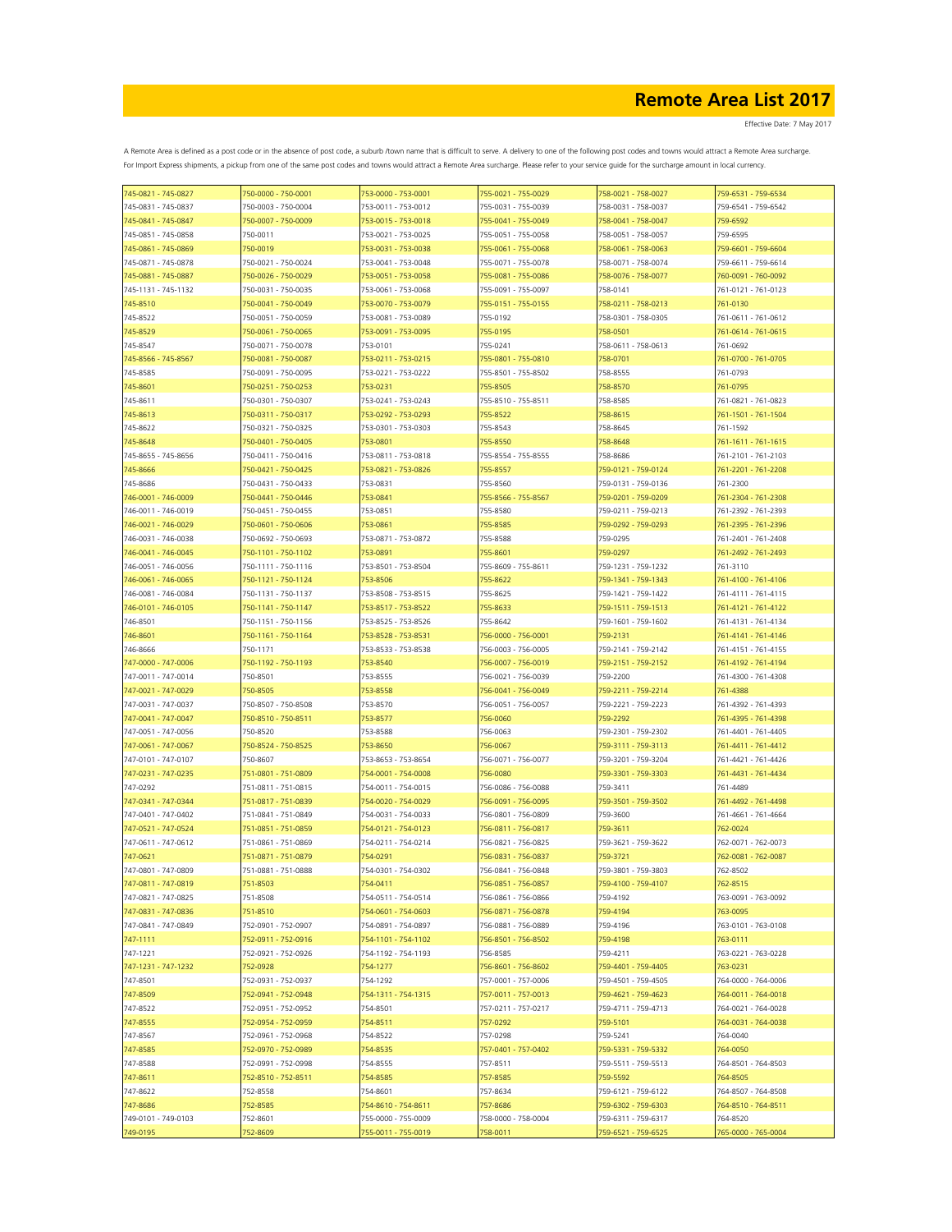Effective Date: 7 May 2017

| 745-0821 - 745-0827 | 750-0000 - 750-0001 | 753-0000 - 753-0001 | 755-0021 - 755-0029 | 758-0021 - 758-0027 | 759-6531 - 759-6534 |
|---------------------|---------------------|---------------------|---------------------|---------------------|---------------------|
| 745-0831 - 745-0837 | 750-0003 - 750-0004 | 753-0011 - 753-0012 | 755-0031 - 755-0039 | 758-0031 - 758-0037 | 759-6541 - 759-6542 |
| 745-0841 - 745-0847 | 750-0007 - 750-0009 | 753-0015 - 753-0018 | 755-0041 - 755-0049 | 758-0041 - 758-0047 | 759-6592            |
| 745-0851 - 745-0858 | 750-0011            | 753-0021 - 753-0025 | 755-0051 - 755-0058 | 758-0051 - 758-0057 | 759-6595            |
| 745-0861 - 745-0869 | 750-0019            | 753-0031 - 753-0038 | 755-0061 - 755-0068 | 758-0061 - 758-0063 | 759-6601 - 759-6604 |
|                     |                     |                     |                     |                     | 759-6611 - 759-6614 |
| 745-0871 - 745-0878 | 750-0021 - 750-0024 | 753-0041 - 753-0048 | 755-0071 - 755-0078 | 758-0071 - 758-0074 |                     |
| 745-0881 - 745-0887 | 750-0026 - 750-0029 | 753-0051 - 753-0058 | 755-0081 - 755-0086 | 758-0076 - 758-0077 | 760-0091 - 760-0092 |
| 745-1131 - 745-1132 | 750-0031 - 750-0035 | 753-0061 - 753-0068 | 755-0091 - 755-0097 | 758-0141            | 761-0121 - 761-0123 |
| 745-8510            | 750-0041 - 750-0049 | 753-0070 - 753-0079 | 755-0151 - 755-0155 | 758-0211 - 758-0213 | 761-0130            |
| 745-8522            | 750-0051 - 750-0059 | 753-0081 - 753-0089 | 755-0192            | 758-0301 - 758-0305 | 761-0611 - 761-0612 |
| 745-8529            | 750-0061 - 750-0065 | 753-0091 - 753-0095 | 755-0195            | 758-0501            | 761-0614 - 761-0615 |
| 745-8547            | 750-0071 - 750-0078 | 753-0101            | 755-0241            | 758-0611 - 758-0613 | 761-0692            |
| 745-8566 - 745-8567 | 750-0081 - 750-0087 | 753-0211 - 753-0215 | 755-0801 - 755-0810 | 758-0701            | 761-0700 - 761-0705 |
| 745-8585            | 750-0091 - 750-0095 | 753-0221 - 753-0222 | 755-8501 - 755-8502 | 758-8555            | 761-0793            |
|                     | 750-0251 - 750-0253 |                     |                     |                     |                     |
| 745-8601            |                     | 753-0231            | 755-8505            | 758-8570            | 761-0795            |
| 745-8611            | 750-0301 - 750-0307 | 753-0241 - 753-0243 | 755-8510 - 755-8511 | 758-8585            | 761-0821 - 761-0823 |
| 745-8613            | 750-0311 - 750-0317 | 753-0292 - 753-0293 | 755-8522            | 758-8615            | 761-1501 - 761-1504 |
| 745-8622            | 750-0321 - 750-0325 | 753-0301 - 753-0303 | 755-8543            | 758-8645            | 761-1592            |
| 745-8648            | 750-0401 - 750-0405 | 753-0801            | 755-8550            | 758-8648            | 761-1611 - 761-1615 |
| 745-8655 - 745-8656 | 750-0411 - 750-0416 | 753-0811 - 753-0818 | 755-8554 - 755-8555 | 758-8686            | 761-2101 - 761-2103 |
| 745-8666            | 750-0421 - 750-0425 | 753-0821 - 753-0826 | 755-8557            | 759-0121 - 759-0124 | 761-2201 - 761-2208 |
| 745-8686            | 750-0431 - 750-0433 | 753-0831            | 755-8560            | 759-0131 - 759-0136 | 761-2300            |
|                     |                     |                     |                     |                     |                     |
| 746-0001 - 746-0009 | 750-0441 - 750-0446 | 753-0841            | 755-8566 - 755-8567 | 759-0201 - 759-0209 | 761-2304 - 761-2308 |
| 746-0011 - 746-0019 | 750-0451 - 750-0455 | 753-0851            | 755-8580            | 759-0211 - 759-0213 | 761-2392 - 761-2393 |
| 746-0021 - 746-0029 | 750-0601 - 750-0606 | 753-0861            | 755-8585            | 759-0292 - 759-0293 | 761-2395 - 761-2396 |
| 746-0031 - 746-0038 | 750-0692 - 750-0693 | 753-0871 - 753-0872 | 755-8588            | 759-0295            | 761-2401 - 761-2408 |
| 746-0041 - 746-0045 | 750-1101 - 750-1102 | 753-0891            | 755-8601            | 759-0297            | 761-2492 - 761-2493 |
| 746-0051 - 746-0056 | 750-1111 - 750-1116 | 753-8501 - 753-8504 | 755-8609 - 755-8611 | 759-1231 - 759-1232 | 761-3110            |
| 746-0061 - 746-0065 | 750-1121 - 750-1124 | 753-8506            | 755-8622            | 759-1341 - 759-1343 | 761-4100 - 761-4106 |
| 746-0081 - 746-0084 | 750-1131 - 750-1137 | 753-8508 - 753-8515 | 755-8625            | 759-1421 - 759-1422 | 761-4111 - 761-4115 |
| 746-0101 - 746-0105 | 750-1141 - 750-1147 | 753-8517 - 753-8522 | 755-8633            | 759-1511 - 759-1513 | 761-4121 - 761-4122 |
|                     |                     |                     |                     |                     |                     |
| 746-8501            | 750-1151 - 750-1156 | 753-8525 - 753-8526 | 755-8642            | 759-1601 - 759-1602 | 761-4131 - 761-4134 |
| 746-8601            | 750-1161 - 750-1164 | 753-8528 - 753-8531 | 756-0000 - 756-0001 | 759-2131            | 761-4141 - 761-4146 |
| 746-8666            | 750-1171            | 753-8533 - 753-8538 | 756-0003 - 756-0005 | 759-2141 - 759-2142 | 761-4151 - 761-4155 |
| 747-0000 - 747-0006 | 750-1192 - 750-1193 | 753-8540            | 756-0007 - 756-0019 | 759-2151 - 759-2152 | 761-4192 - 761-4194 |
| 747-0011 - 747-0014 | 750-8501            | 753-8555            | 756-0021 - 756-0039 | 759-2200            | 761-4300 - 761-4308 |
| 747-0021 - 747-0029 | 750-8505            | 753-8558            | 756-0041 - 756-0049 | 759-2211 - 759-2214 | 761-4388            |
| 747-0031 - 747-0037 | 750-8507 - 750-8508 | 753-8570            | 756-0051 - 756-0057 | 759-2221 - 759-2223 | 761-4392 - 761-4393 |
| 747-0041 - 747-0047 | 750-8510 - 750-8511 | 753-8577            | 756-0060            | 759-2292            | 761-4395 - 761-4398 |
|                     |                     |                     |                     |                     |                     |
| 747-0051 - 747-0056 | 750-8520            | 753-8588            | 756-0063            | 759-2301 - 759-2302 | 761-4401 - 761-4405 |
| 747-0061 - 747-0067 | 750-8524 - 750-8525 | 753-8650            | 756-0067            | 759-3111 - 759-3113 | 761-4411 - 761-4412 |
| 747-0101 - 747-0107 | 750-8607            | 753-8653 - 753-8654 | 756-0071 - 756-0077 | 759-3201 - 759-3204 | 761-4421 - 761-4426 |
| 747-0231 - 747-0235 | 751-0801 - 751-0809 | 754-0001 - 754-0008 | 756-0080            | 759-3301 - 759-3303 | 761-4431 - 761-4434 |
| 747-0292            | 751-0811 - 751-0815 | 754-0011 - 754-0015 | 756-0086 - 756-0088 | 759-3411            | 761-4489            |
| 747-0341 - 747-0344 | 751-0817 - 751-0839 | 754-0020 - 754-0029 | 756-0091 - 756-0095 | 759-3501 - 759-3502 | 761-4492 - 761-4498 |
| 747-0401 - 747-0402 | 751-0841 - 751-0849 | 754-0031 - 754-0033 | 756-0801 - 756-0809 | 759-3600            | 761-4661 - 761-4664 |
| 747-0521 - 747-0524 | 751-0851 - 751-0859 | 754-0121 - 754-0123 | 756-0811 - 756-0817 | 759-3611            | 762-0024            |
|                     |                     |                     |                     |                     |                     |
| 747-0611 - 747-0612 | 751-0861 - 751-0869 | 754-0211 - 754-0214 | 756-0821 - 756-0825 | 759-3621 - 759-3622 | 762-0071 - 762-0073 |
| 747-0621            | 751-0871 - 751-0879 | 754-0291            | 756-0831 - 756-0837 | 759-3721            | 762-0081 - 762-0087 |
| 747-0801 - 747-0809 | 751-0881 - 751-0888 | 754-0301 - 754-0302 | 756-0841 - 756-0848 | 759-3801 - 759-3803 | 762-8502            |
| 747-0811 - 747-0819 | 751-8503            | 754-0411            | 756-0851 - 756-0857 | 759-4100 - 759-4107 | 762-8515            |
| 747-0821 - 747-0825 | 751-8508            | 754-0511 - 754-0514 | 756-0861 - 756-0866 | 759-4192            | 763-0091 - 763-0092 |
| 747-0831 - 747-0836 | 751-8510            | 754-0601 - 754-0603 | 756-0871 - 756-0878 | 759-4194            | 763-0095            |
| 747-0841 - 747-0849 | 752-0901 - 752-0907 | 754-0891 - 754-0897 | 756-0881 - 756-0889 | 759-4196            | 763-0101 - 763-0108 |
| 747-1111            | 752-0911 - 752-0916 | 754-1101 - 754-1102 | 756-8501 - 756-8502 | 759-4198            | 763-0111            |
| 747-1221            | 752-0921 - 752-0926 | 754-1192 - 754-1193 | 756-8585            | 759-4211            | 763-0221 - 763-0228 |
| 747-1231 - 747-1232 | 752-0928            | 754-1277            | 756-8601 - 756-8602 | 759-4401 - 759-4405 | 763-0231            |
|                     |                     |                     |                     |                     |                     |
| 747-8501            | 752-0931 - 752-0937 | 754-1292            | 757-0001 - 757-0006 | 759-4501 - 759-4505 | 764-0000 - 764-0006 |
| 747-8509            | 752-0941 - 752-0948 | 754-1311 - 754-1315 | 757-0011 - 757-0013 | 759-4621 - 759-4623 | 764-0011 - 764-0018 |
| 747-8522            | 752-0951 - 752-0952 | 754-8501            | 757-0211 - 757-0217 | 759-4711 - 759-4713 | 764-0021 - 764-0028 |
| 747-8555            | 752-0954 - 752-0959 | 754-8511            | 757-0292            | 759-5101            | 764-0031 - 764-0038 |
| 747-8567            | 752-0961 - 752-0968 | 754-8522            | 757-0298            | 759-5241            | 764-0040            |
| 747-8585            | 752-0970 - 752-0989 | 754-8535            | 757-0401 - 757-0402 | 759-5331 - 759-5332 | 764-0050            |
| 747-8588            | 752-0991 - 752-0998 | 754-8555            | 757-8511            | 759-5511 - 759-5513 | 764-8501 - 764-8503 |
| 747-8611            | 752-8510 - 752-8511 | 754-8585            | 757-8585            | 759-5592            | 764-8505            |
|                     |                     |                     |                     |                     |                     |
| 747-8622            | 752-8558            | 754-8601            | 757-8634            | 759-6121 - 759-6122 | 764-8507 - 764-8508 |
| 747-8686            | 752-8585            | 754-8610 - 754-8611 | 757-8686            | 759-6302 - 759-6303 | 764-8510 - 764-8511 |
| 749-0101 - 749-0103 | 752-8601            | 755-0000 - 755-0009 | 758-0000 - 758-0004 | 759-6311 - 759-6317 | 764-8520            |
| 749-0195            | 752-8609            | 755-0011 - 755-0019 | 758-0011            | 759-6521 - 759-6525 | 765-0000 - 765-0004 |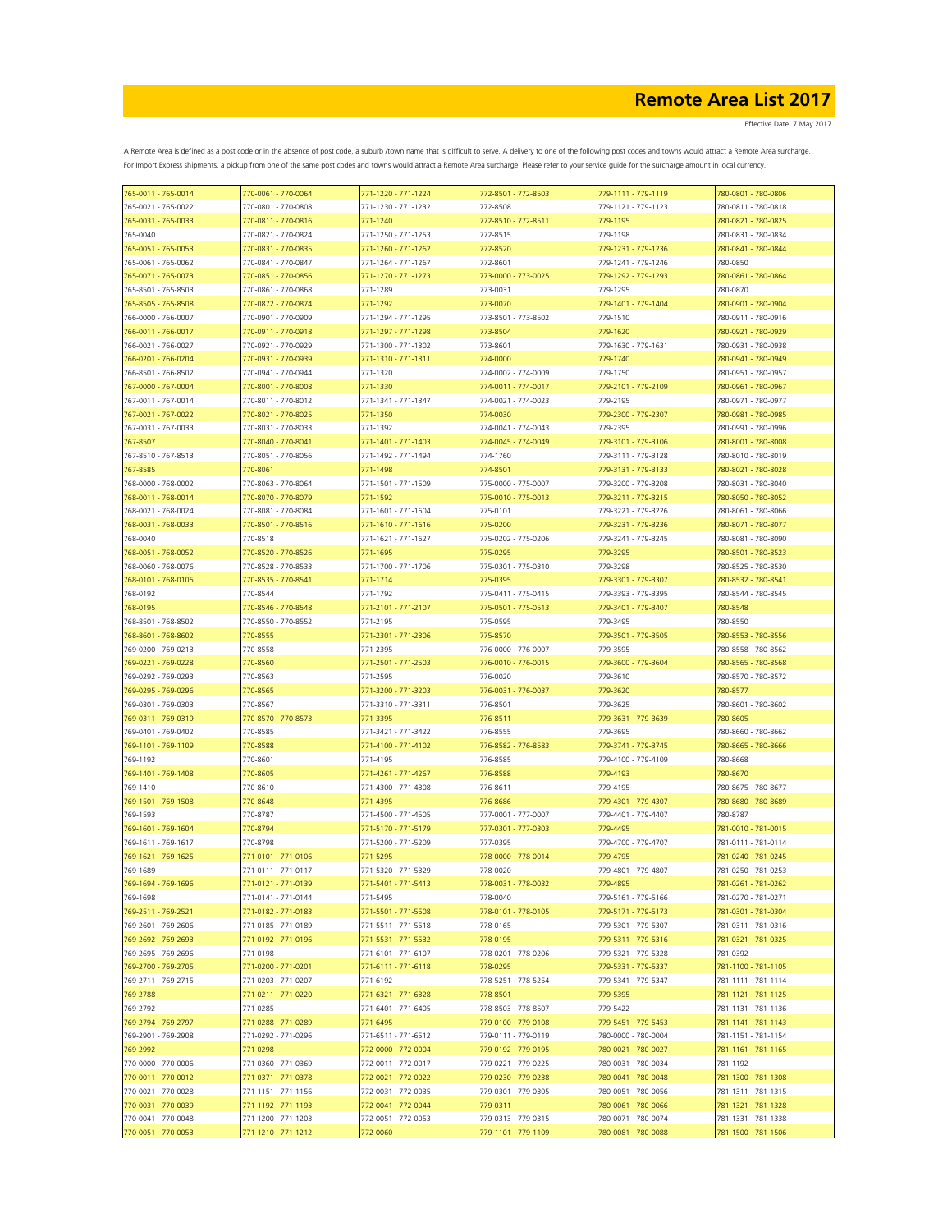| 765-0011 - 765-0014                        | 770-0061 - 770-0064                        | 771-1220 - 771-1224                        | 772-8501 - 772-8503             | 779-1111 - 779-1119                        | 780-0801 - 780-0806                        |
|--------------------------------------------|--------------------------------------------|--------------------------------------------|---------------------------------|--------------------------------------------|--------------------------------------------|
| 765-0021 - 765-0022                        | 770-0801 - 770-0808                        | 771-1230 - 771-1232                        | 772-8508                        | 779-1121 - 779-1123                        | 780-0811 - 780-0818                        |
| 765-0031 - 765-0033                        | 770-0811 - 770-0816                        | 771-1240                                   | 772-8510 - 772-8511             | 779-1195                                   | 780-0821 - 780-0825                        |
| 765-0040                                   | 770-0821 - 770-0824                        | 771-1250 - 771-1253                        | 772-8515                        | 779-1198                                   | 780-0831 - 780-0834                        |
| 765-0051 - 765-0053                        | 770-0831 - 770-0835                        | 771-1260 - 771-1262                        | 772-8520                        | 779-1231 - 779-1236                        | 780-0841 - 780-0844                        |
| 765-0061 - 765-0062                        | 770-0841 - 770-0847                        | 771-1264 - 771-1267                        | 772-8601                        | 779-1241 - 779-1246                        | 780-0850                                   |
| 765-0071 - 765-0073                        | 770-0851 - 770-0856                        | 771-1270 - 771-1273                        | 773-0000 - 773-0025             | 779-1292 - 779-1293                        | 780-0861 - 780-0864                        |
| 765-8501 - 765-8503                        | 770-0861 - 770-0868                        | 771-1289                                   | 773-0031                        | 779-1295                                   | 780-0870                                   |
| 765-8505 - 765-8508                        | 770-0872 - 770-0874                        | 771-1292                                   | 773-0070                        | 779-1401 - 779-1404                        | 780-0901 - 780-0904                        |
| 766-0000 - 766-0007                        | 770-0901 - 770-0909                        | 771-1294 - 771-1295                        | 773-8501 - 773-8502             | 779-1510                                   | 780-0911 - 780-0916                        |
| 766-0011 - 766-0017                        | 770-0911 - 770-0918                        | 771-1297 - 771-1298                        | 773-8504                        | 779-1620                                   | 780-0921 - 780-0929                        |
| 766-0021 - 766-0027                        | 770-0921 - 770-0929                        | 771-1300 - 771-1302                        | 773-8601                        | 779-1630 - 779-1631                        | 780-0931 - 780-0938                        |
| 766-0201 - 766-0204                        | 770-0931 - 770-0939                        | 771-1310 - 771-1311                        | 774-0000                        | 779-1740                                   | 780-0941 - 780-0949                        |
| 766-8501 - 766-8502                        | 770-0941 - 770-0944                        | 771-1320                                   | 774-0002 - 774-0009             | 779-1750                                   | 780-0951 - 780-0957                        |
| 767-0000 - 767-0004                        | 770-8001 - 770-8008                        | 771-1330                                   | 774-0011 - 774-0017             | 779-2101 - 779-2109                        | 780-0961 - 780-0967                        |
| 767-0011 - 767-0014                        | 770-8011 - 770-8012                        | 771-1341 - 771-1347                        | 774-0021 - 774-0023             | 779-2195                                   | 780-0971 - 780-0977                        |
| 767-0021 - 767-0022                        | 770-8021 - 770-8025                        | 771-1350                                   | 774-0030                        | 779-2300 - 779-2307                        | 780-0981 - 780-0985                        |
| 767-0031 - 767-0033                        | 770-8031 - 770-8033                        | 771-1392                                   | 774-0041 - 774-0043             | 779-2395                                   | 780-0991 - 780-0996                        |
| 767-8507                                   | 770-8040 - 770-8041                        | 771-1401 - 771-1403                        | 774-0045 - 774-0049             | 779-3101 - 779-3106                        | 780-8001 - 780-8008                        |
| 767-8510 - 767-8513                        | 770-8051 - 770-8056                        | 771-1492 - 771-1494                        | 774-1760                        | 779-3111 - 779-3128                        | 780-8010 - 780-8019                        |
| 767-8585                                   | 770-8061                                   | 771-1498                                   | 774-8501                        | 779-3131 - 779-3133                        | 780-8021 - 780-8028                        |
| 768-0000 - 768-0002                        | 770-8063 - 770-8064                        | 771-1501 - 771-1509                        | 775-0000 - 775-0007             | 779-3200 - 779-3208                        | 780-8031 - 780-8040                        |
| 768-0011 - 768-0014                        | 770-8070 - 770-8079                        | 771-1592                                   | 775-0010 - 775-0013             | 779-3211 - 779-3215                        | 780-8050 - 780-8052                        |
| 768-0021 - 768-0024                        | 770-8081 - 770-8084                        | 771-1601 - 771-1604                        | 775-0101                        | 779-3221 - 779-3226                        | 780-8061 - 780-8066                        |
| 768-0031 - 768-0033                        | 770-8501 - 770-8516                        | 771-1610 - 771-1616                        | 775-0200                        | 779-3231 - 779-3236                        | 780-8071 - 780-8077                        |
| 768-0040                                   | 770-8518                                   | 771-1621 - 771-1627                        | 775-0202 - 775-0206             | 779-3241 - 779-3245                        | 780-8081 - 780-8090                        |
| 768-0051 - 768-0052                        | 770-8520 - 770-8526                        | 771-1695                                   | 775-0295                        | 779-3295                                   | 780-8501 - 780-8523                        |
| 768-0060 - 768-0076                        | 770-8528 - 770-8533                        | 771-1700 - 771-1706                        | 775-0301 - 775-0310             | 779-3298                                   | 780-8525 - 780-8530                        |
| 768-0101 - 768-0105                        | 770-8535 - 770-8541                        | 771-1714                                   | 775-0395                        | 779-3301 - 779-3307                        | 780-8532 - 780-8541                        |
| 768-0192                                   | 770-8544                                   | 771-1792                                   | 775-0411 - 775-0415             | 779-3393 - 779-3395                        | 780-8544 - 780-8545                        |
| 768-0195                                   | 770-8546 - 770-8548                        | 771-2101 - 771-2107                        | 775-0501 - 775-0513             | 779-3401 - 779-3407                        | 780-8548                                   |
| 768-8501 - 768-8502                        | 770-8550 - 770-8552                        | 771-2195                                   | 775-0595                        | 779-3495                                   | 780-8550                                   |
| 768-8601 - 768-8602                        | 770-8555                                   | 771-2301 - 771-2306                        | 775-8570                        | 779-3501 - 779-3505                        | 780-8553 - 780-8556                        |
| 769-0200 - 769-0213                        | 770-8558                                   | 771-2395                                   | 776-0000 - 776-0007             | 779-3595                                   | 780-8558 - 780-8562                        |
| 769-0221 - 769-0228                        | 770-8560                                   | 771-2501 - 771-2503                        | 776-0010 - 776-0015             | 779-3600 - 779-3604                        | 780-8565 - 780-8568                        |
| 769-0292 - 769-0293                        | 770-8563                                   | 771-2595                                   | 776-0020                        | 779-3610                                   | 780-8570 - 780-8572                        |
| 769-0295 - 769-0296                        | 770-8565                                   | 771-3200 - 771-3203                        | 776-0031 - 776-0037             | 779-3620                                   | 780-8577                                   |
| 769-0301 - 769-0303                        | 770-8567                                   | 771-3310 - 771-3311                        | 776-8501                        | 779-3625                                   | 780-8601 - 780-8602                        |
| 769-0311 - 769-0319                        | 770-8570 - 770-8573                        | 771-3395                                   | 776-8511                        | 779-3631 - 779-3639                        | 780-8605                                   |
| 769-0401 - 769-0402                        | 770-8585                                   | 771-3421 - 771-3422                        | 776-8555                        | 779-3695                                   | 780-8660 - 780-8662                        |
| 769-1101 - 769-1109                        | 770-8588                                   | 771-4100 - 771-4102                        | 776-8582 - 776-8583             | 779-3741 - 779-3745                        | 780-8665 - 780-8666                        |
| 769-1192                                   | 770-8601                                   | 771-4195                                   | 776-8585                        | 779-4100 - 779-4109                        | 780-8668                                   |
| 769-1401 - 769-1408                        | 770-8605                                   | 771-4261 - 771-4267                        | 776-8588                        | 779-4193                                   | 780-8670                                   |
|                                            |                                            | 771-4300 - 771-4308                        | 776-8611                        |                                            | 780-8675 - 780-8677                        |
| 769-1410                                   | 770-8610                                   | 771-4395                                   |                                 | 779-4195                                   | 780-8680 - 780-8689                        |
| 769-1501 - 769-1508                        | 770-8648                                   |                                            | 776-8686<br>777-0001 - 777-0007 | 779-4301 - 779-4307                        |                                            |
| 769-1593                                   | 770-8787                                   | 771-4500 - 771-4505<br>771-5170 - 771-5179 |                                 | 779-4401 - 779-4407<br>779-4495            | 780-8787                                   |
| 769-1601 - 769-1604                        | 770-8794                                   |                                            | 777-0301 - 777-0303             |                                            | 781-0010 - 781-0015                        |
| 769-1611 - 769-1617<br>769-1621 - 769-1625 | 770-8798<br>771-0101 - 771-0106            | 771-5200 - 771-5209<br>771-5295            | 777-0395<br>778-0000 - 778-0014 | 779-4700 - 779-4707<br>779-4795            | 781-0111 - 781-0114<br>781-0240 - 781-0245 |
|                                            |                                            |                                            |                                 |                                            |                                            |
| 769-1689                                   | 771-0111 - 771-0117                        | 771-5320 - 771-5329                        | 778-0020                        | 779-4801 - 779-4807                        | 781-0250 - 781-0253                        |
| 769-1694 - 769-1696                        | 771-0121 - 771-0139                        | 771-5401 - 771-5413                        | 778-0031 - 778-0032             | 779-4895                                   | 781-0261 - 781-0262                        |
| 769-1698<br>769-2511 - 769-2521            | 771-0141 - 771-0144<br>771-0182 - 771-0183 | 771-5495<br>771-5501 - 771-5508            | 778-0040<br>778-0101 - 778-0105 | 779-5161 - 779-5166<br>779-5171 - 779-5173 | 781-0270 - 781-0271<br>781-0301 - 781-0304 |
|                                            |                                            |                                            |                                 |                                            |                                            |
| 769-2601 - 769-2606                        | 771-0185 - 771-0189                        | 771-5511 - 771-5518                        | 778-0165                        | 779-5301 - 779-5307                        | 781-0311 - 781-0316<br>781-0321 - 781-0325 |
| 769-2692 - 769-2693                        | 771-0192 - 771-0196                        | 771-5531 - 771-5532                        | 778-0195                        | 779-5311 - 779-5316<br>779-5321 - 779-5328 |                                            |
| 769-2695 - 769-2696                        | 771-0198                                   | 771-6101 - 771-6107                        | 778-0201 - 778-0206             |                                            | 781-0392                                   |
| 769-2700 - 769-2705<br>769-2711 - 769-2715 | 771-0200 - 771-0201                        | 771-6111 - 771-6118<br>771-6192            | 778-0295<br>778-5251 - 778-5254 | 779-5331 - 779-5337                        | 781-1100 - 781-1105                        |
|                                            | 771-0203 - 771-0207                        |                                            |                                 | 779-5341 - 779-5347                        | 781-1111 - 781-1114                        |
| 769-2788                                   | 771-0211 - 771-0220                        | 771-6321 - 771-6328                        | 778-8501                        | 779-5395                                   | 781-1121 - 781-1125                        |
| 769-2792                                   | 771-0285                                   | 771-6401 - 771-6405                        | 778-8503 - 778-8507             | 779-5422                                   | 781-1131 - 781-1136                        |
| 769-2794 - 769-2797                        | 771-0288 - 771-0289                        | 771-6495                                   | 779-0100 - 779-0108             | 779-5451 - 779-5453                        | 781-1141 - 781-1143                        |
| 769-2901 - 769-2908                        | 771-0292 - 771-0296                        | 771-6511 - 771-6512                        | 779-0111 - 779-0119             | 780-0000 - 780-0004                        | 781-1151 - 781-1154                        |
| 769-2992                                   | 771-0298                                   | 772-0000 - 772-0004                        | 779-0192 - 779-0195             | 780-0021 - 780-0027                        | 781-1161 - 781-1165                        |
| 770-0000 - 770-0006                        | 771-0360 - 771-0369                        | 772-0011 - 772-0017                        | 779-0221 - 779-0225             | 780-0031 - 780-0034                        | 781-1192                                   |
| 770-0011 - 770-0012                        | 771-0371 - 771-0378                        | 772-0021 - 772-0022                        | 779-0230 - 779-0238             | 780-0041 - 780-0048                        | 781-1300 - 781-1308                        |
| 770-0021 - 770-0028                        | 771-1151 - 771-1156                        | 772-0031 - 772-0035                        | 779-0301 - 779-0305             | 780-0051 - 780-0056                        | 781-1311 - 781-1315                        |
| 770-0031 - 770-0039                        | 771-1192 - 771-1193                        | 772-0041 - 772-0044                        | 779-0311                        | 780-0061 - 780-0066                        | 781-1321 - 781-1328                        |
| 770-0041 - 770-0048                        | 771-1200 - 771-1203                        | 772-0051 - 772-0053                        | 779-0313 - 779-0315             | 780-0071 - 780-0074                        | 781-1331 - 781-1338                        |
| 770-0051 - 770-0053                        | 771-1210 - 771-1212                        | 772-0060                                   | 779-1101 - 779-1109             | 780-0081 - 780-0088                        | 781-1500 - 781-1506                        |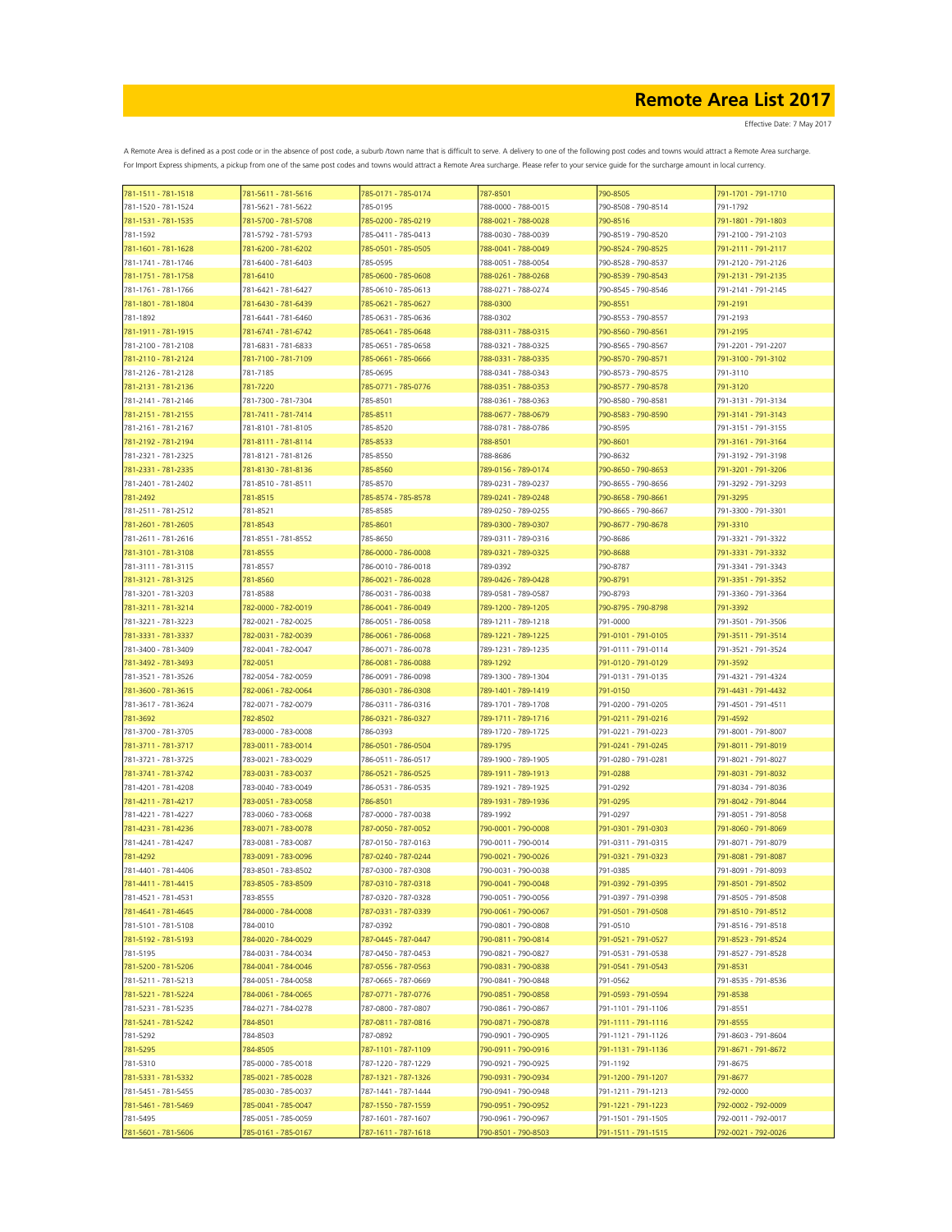Effective Date: 7 May 2017

| 781-1511 - 781-1518             | 781-5611 - 781-5616 | 785-0171 - 785-0174             | 787-8501            | 790-8505            | 791-1701 - 791-1710 |
|---------------------------------|---------------------|---------------------------------|---------------------|---------------------|---------------------|
| 781-1520 - 781-1524             | 781-5621 - 781-5622 | 785-0195                        | 788-0000 - 788-0015 | 790-8508 - 790-8514 | 791-1792            |
| 781-1531 - 781-1535             | 781-5700 - 781-5708 | 785-0200 - 785-0219             | 788-0021 - 788-0028 | 790-8516            | 791-1801 - 791-1803 |
| 781-1592                        | 781-5792 - 781-5793 | 785-0411 - 785-0413             | 788-0030 - 788-0039 | 790-8519 - 790-8520 | 791-2100 - 791-2103 |
| 781-1601 - 781-1628             | 781-6200 - 781-6202 | 785-0501 - 785-0505             | 788-0041 - 788-0049 | 790-8524 - 790-8525 | 791-2111 - 791-2117 |
| 781-1741 - 781-1746             | 781-6400 - 781-6403 | 785-0595                        | 788-0051 - 788-0054 | 790-8528 - 790-8537 | 791-2120 - 791-2126 |
| 781-1751 - 781-1758             | 781-6410            | 785-0600 - 785-0608             | 788-0261 - 788-0268 | 790-8539 - 790-8543 | 791-2131 - 791-2135 |
| 781-1761 - 781-1766             | 781-6421 - 781-6427 | 785-0610 - 785-0613             | 788-0271 - 788-0274 | 790-8545 - 790-8546 | 791-2141 - 791-2145 |
| 781-1801 - 781-1804             | 781-6430 - 781-6439 | 785-0621 - 785-0627             | 788-0300            | 790-8551            | 791-2191            |
| 781-1892                        | 781-6441 - 781-6460 | 785-0631 - 785-0636             | 788-0302            | 790-8553 - 790-8557 | 791-2193            |
| 781-1911 - 781-1915             | 781-6741 - 781-6742 | 785-0641 - 785-0648             | 788-0311 - 788-0315 | 790-8560 - 790-8561 | 791-2195            |
| 781-2100 - 781-2108             | 781-6831 - 781-6833 | 785-0651 - 785-0658             | 788-0321 - 788-0325 | 790-8565 - 790-8567 | 791-2201 - 791-2207 |
| 781-2110 - 781-2124             | 781-7100 - 781-7109 | 785-0661 - 785-0666             | 788-0331 - 788-0335 | 790-8570 - 790-8571 | 791-3100 - 791-3102 |
| 781-2126 - 781-2128             | 781-7185            | 785-0695                        | 788-0341 - 788-0343 | 790-8573 - 790-8575 | 791-3110            |
| 781-2131 - 781-2136             | 781-7220            | 785-0771 - 785-0776             | 788-0351 - 788-0353 | 790-8577 - 790-8578 | 791-3120            |
| 781-2141 - 781-2146             | 781-7300 - 781-7304 | 785-8501                        | 788-0361 - 788-0363 | 790-8580 - 790-8581 | 791-3131 - 791-3134 |
| 781-2151 - 781-2155             | 781-7411 - 781-7414 | 785-8511                        | 788-0677 - 788-0679 | 790-8583 - 790-8590 | 791-3141 - 791-3143 |
| 781-2161 - 781-2167             | 781-8101 - 781-8105 | 785-8520                        | 788-0781 - 788-0786 | 790-8595            | 791-3151 - 791-3155 |
| 781-2192 - 781-2194             | 781-8111 - 781-8114 | 785-8533                        | 788-8501            | 790-8601            | 791-3161 - 791-3164 |
| 781-2321 - 781-2325             | 781-8121 - 781-8126 | 785-8550                        | 788-8686            | 790-8632            | 791-3192 - 791-3198 |
| 781-2331 - 781-2335             | 781-8130 - 781-8136 | 785-8560                        | 789-0156 - 789-0174 | 790-8650 - 790-8653 | 791-3201 - 791-3206 |
| 781-2401 - 781-2402             | 781-8510 - 781-8511 | 785-8570                        | 789-0231 - 789-0237 | 790-8655 - 790-8656 | 791-3292 - 791-3293 |
|                                 | 781-8515            |                                 | 789-0241 - 789-0248 | 790-8658 - 790-8661 | 791-3295            |
| 781-2492<br>781-2511 - 781-2512 | 781-8521            | 785-8574 - 785-8578<br>785-8585 | 789-0250 - 789-0255 | 790-8665 - 790-8667 | 791-3300 - 791-3301 |
|                                 |                     |                                 |                     |                     |                     |
| 781-2601 - 781-2605             | 781-8543            | 785-8601                        | 789-0300 - 789-0307 | 790-8677 - 790-8678 | 791-3310            |
| 781-2611 - 781-2616             | 781-8551 - 781-8552 | 785-8650                        | 789-0311 - 789-0316 | 790-8686            | 791-3321 - 791-3322 |
| 781-3101 - 781-3108             | 781-8555            | 786-0000 - 786-0008             | 789-0321 - 789-0325 | 790-8688            | 791-3331 - 791-3332 |
| 781-3111 - 781-3115             | 781-8557            | 786-0010 - 786-0018             | 789-0392            | 790-8787            | 791-3341 - 791-3343 |
| 781-3121 - 781-3125             | 781-8560            | 786-0021 - 786-0028             | 789-0426 - 789-0428 | 790-8791            | 791-3351 - 791-3352 |
| 781-3201 - 781-3203             | 781-8588            | 786-0031 - 786-0038             | 789-0581 - 789-0587 | 790-8793            | 791-3360 - 791-3364 |
| 781-3211 - 781-3214             | 782-0000 - 782-0019 | 786-0041 - 786-0049             | 789-1200 - 789-1205 | 790-8795 - 790-8798 | 791-3392            |
| 781-3221 - 781-3223             | 782-0021 - 782-0025 | 786-0051 - 786-0058             | 789-1211 - 789-1218 | 791-0000            | 791-3501 - 791-3506 |
| 781-3331 - 781-3337             | 782-0031 - 782-0039 | 786-0061 - 786-0068             | 789-1221 - 789-1225 | 791-0101 - 791-0105 | 791-3511 - 791-3514 |
| 781-3400 - 781-3409             | 782-0041 - 782-0047 | 786-0071 - 786-0078             | 789-1231 - 789-1235 | 791-0111 - 791-0114 | 791-3521 - 791-3524 |
| 781-3492 - 781-3493             | 782-0051            | 786-0081 - 786-0088             | 789-1292            | 791-0120 - 791-0129 | 791-3592            |
| 781-3521 - 781-3526             | 782-0054 - 782-0059 | 786-0091 - 786-0098             | 789-1300 - 789-1304 | 791-0131 - 791-0135 | 791-4321 - 791-4324 |
| 781-3600 - 781-3615             | 782-0061 - 782-0064 | 786-0301 - 786-0308             | 789-1401 - 789-1419 | 791-0150            | 791-4431 - 791-4432 |
| 781-3617 - 781-3624             | 782-0071 - 782-0079 | 786-0311 - 786-0316             | 789-1701 - 789-1708 | 791-0200 - 791-0205 | 791-4501 - 791-4511 |
| 781-3692                        | 782-8502            | 786-0321 - 786-0327             | 789-1711 - 789-1716 | 791-0211 - 791-0216 | 791-4592            |
| 781-3700 - 781-3705             | 783-0000 - 783-0008 | 786-0393                        | 789-1720 - 789-1725 | 791-0221 - 791-0223 | 791-8001 - 791-8007 |
| 781-3711 - 781-3717             | 783-0011 - 783-0014 | 786-0501 - 786-0504             | 789-1795            | 791-0241 - 791-0245 | 791-8011 - 791-8019 |
| 781-3721 - 781-3725             | 783-0021 - 783-0029 | 786-0511 - 786-0517             | 789-1900 - 789-1905 | 791-0280 - 791-0281 | 791-8021 - 791-8027 |
| 781-3741 - 781-3742             | 783-0031 - 783-0037 | 786-0521 - 786-0525             | 789-1911 - 789-1913 | 791-0288            | 791-8031 - 791-8032 |
| 781-4201 - 781-4208             | 783-0040 - 783-0049 | 786-0531 - 786-0535             | 789-1921 - 789-1925 | 791-0292            | 791-8034 - 791-8036 |
| 781-4211 - 781-4217             | 783-0051 - 783-0058 | 786-8501                        | 789-1931 - 789-1936 | 791-0295            | 791-8042 - 791-8044 |
| 781-4221 - 781-4227             | 783-0060 - 783-0068 | 787-0000 - 787-0038             | 789-1992            | 791-0297            | 791-8051 - 791-8058 |
| 781-4231 - 781-4236             | 783-0071 - 783-0078 | 787-0050 - 787-0052             | 790-0001 - 790-0008 | 791-0301 - 791-0303 | 791-8060 - 791-8069 |
| 781-4241 - 781-4247             | 783-0081 - 783-0087 | 787-0150 - 787-0163             | 790-0011 - 790-0014 | 791-0311 - 791-0315 | 791-8071 - 791-8079 |
| 781-4292                        | 783-0091 - 783-0096 | 787-0240 - 787-0244             | 790-0021 - 790-0026 | 791-0321 - 791-0323 | 791-8081 - 791-8087 |
| 781-4401 - 781-4406             | 783-8501 - 783-8502 | 787-0300 - 787-0308             | 790-0031 - 790-0038 | 791-0385            | 791-8091 - 791-8093 |
| 781-4411 - 781-4415             | 783-8505 - 783-8509 | 787-0310 - 787-0318             | 790-0041 - 790-0048 | 791-0392 - 791-0395 | 791-8501 - 791-8502 |
| 781-4521 - 781-4531             | 783-8555            | 787-0320 - 787-0328             | 790-0051 - 790-0056 | 791-0397 - 791-0398 | 791-8505 - 791-8508 |
| 781-4641 - 781-4645             | 784-0000 - 784-0008 | 787-0331 - 787-0339             | 790-0061 - 790-0067 | 791-0501 - 791-0508 | 791-8510 - 791-8512 |
| 781-5101 - 781-5108             | 784-0010            | 787-0392                        | 790-0801 - 790-0808 | 791-0510            | 791-8516 - 791-8518 |
| 781-5192 - 781-5193             | 784-0020 - 784-0029 | 787-0445 - 787-0447             | 790-0811 - 790-0814 | 791-0521 - 791-0527 | 791-8523 - 791-8524 |
| 781-5195                        | 784-0031 - 784-0034 | 787-0450 - 787-0453             | 790-0821 - 790-0827 | 791-0531 - 791-0538 | 791-8527 - 791-8528 |
| 781-5200 - 781-5206             | 784-0041 - 784-0046 | 787-0556 - 787-0563             | 790-0831 - 790-0838 | 791-0541 - 791-0543 | 791-8531            |
| 781-5211 - 781-5213             | 784-0051 - 784-0058 | 787-0665 - 787-0669             | 790-0841 - 790-0848 | 791-0562            | 791-8535 - 791-8536 |
| 781-5221 - 781-5224             | 784-0061 - 784-0065 | 787-0771 - 787-0776             | 790-0851 - 790-0858 | 791-0593 - 791-0594 | 791-8538            |
| 781-5231 - 781-5235             | 784-0271 - 784-0278 | 787-0800 - 787-0807             | 790-0861 - 790-0867 | 791-1101 - 791-1106 | 791-8551            |
| 781-5241 - 781-5242             | 784-8501            | 787-0811 - 787-0816             | 790-0871 - 790-0878 | 791-1111 - 791-1116 | 791-8555            |
| 781-5292                        | 784-8503            | 787-0892                        | 790-0901 - 790-0905 | 791-1121 - 791-1126 | 791-8603 - 791-8604 |
| 781-5295                        | 784-8505            | 787-1101 - 787-1109             | 790-0911 - 790-0916 | 791-1131 - 791-1136 | 791-8671 - 791-8672 |
| 781-5310                        | 785-0000 - 785-0018 | 787-1220 - 787-1229             | 790-0921 - 790-0925 | 791-1192            | 791-8675            |
| 781-5331 - 781-5332             | 785-0021 - 785-0028 | 787-1321 - 787-1326             | 790-0931 - 790-0934 | 791-1200 - 791-1207 | 791-8677            |
| 781-5451 - 781-5455             | 785-0030 - 785-0037 | 787-1441 - 787-1444             | 790-0941 - 790-0948 | 791-1211 - 791-1213 | 792-0000            |
| 781-5461 - 781-5469             | 785-0041 - 785-0047 | 787-1550 - 787-1559             | 790-0951 - 790-0952 | 791-1221 - 791-1223 | 792-0002 - 792-0009 |
| 781-5495                        | 785-0051 - 785-0059 | 787-1601 - 787-1607             | 790-0961 - 790-0967 | 791-1501 - 791-1505 | 792-0011 - 792-0017 |
| 781-5601 - 781-5606             | 785-0161 - 785-0167 | 787-1611 - 787-1618             | 790-8501 - 790-8503 | 791-1511 - 791-1515 | 792-0021 - 792-0026 |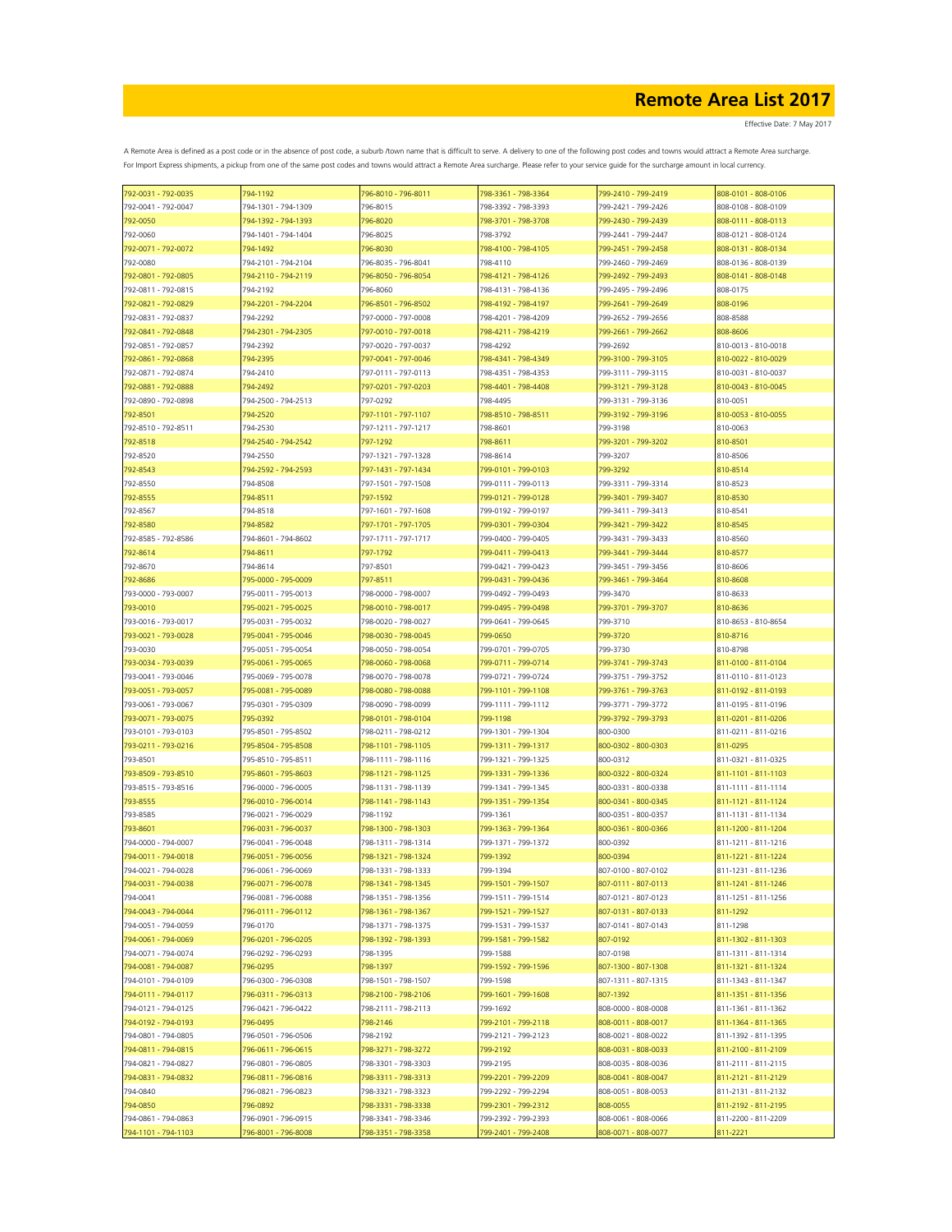| 792-0031 - 792-0035 | 794-1192                                   | 796-8010 - 796-8011 | 798-3361 - 798-3364 | 799-2410 - 799-2419 | 808-0101 - 808-0106                        |
|---------------------|--------------------------------------------|---------------------|---------------------|---------------------|--------------------------------------------|
| 792-0041 - 792-0047 | 794-1301 - 794-1309                        | 796-8015            | 798-3392 - 798-3393 | 799-2421 - 799-2426 | 808-0108 - 808-0109                        |
| 792-0050            | 794-1392 - 794-1393                        | 796-8020            | 798-3701 - 798-3708 | 799-2430 - 799-2439 | 808-0111 - 808-0113                        |
| 792-0060            | 794-1401 - 794-1404                        | 796-8025            | 798-3792            | 799-2441 - 799-2447 | 808-0121 - 808-0124                        |
| 792-0071 - 792-0072 | 794-1497                                   | 796-8030            | 798-4100 - 798-4105 | 799-2451 - 799-2458 | 808-0131 - 808-0134                        |
| 792-0080            | 794-2101 - 794-2104                        | 796-8035 - 796-8041 | 798-4110            | 799-2460 - 799-2469 | 808-0136 - 808-0139                        |
|                     |                                            | 796-8050 - 796-8054 | 798-4121 - 798-4126 | 799-2492 - 799-2493 | 808-0141 - 808-0148                        |
| 792-0801 - 792-0805 | 794-2110 - 794-2119                        |                     |                     |                     |                                            |
| 792-0811 - 792-0815 | 794-2192                                   | 796-8060            | 798-4131 - 798-4136 | 799-2495 - 799-2496 | 808-0175                                   |
| 792-0821 - 792-0829 | 794-2201 - 794-2204                        | 796-8501 - 796-8502 | 798-4192 - 798-4197 | 799-2641 - 799-2649 | 808-0196                                   |
| 792-0831 - 792-0837 | 794-2292                                   | 797-0000 - 797-0008 | 798-4201 - 798-4209 | 799-2652 - 799-2656 | 808-8588                                   |
| 792-0841 - 792-0848 | 794-2301 - 794-2305                        | 797-0010 - 797-0018 | 798-4211 - 798-4219 | 799-2661 - 799-2662 | 808-8606                                   |
| 792-0851 - 792-0857 | 794-2392                                   | 797-0020 - 797-0037 | 798-4292            | 799-2692            | 810-0013 - 810-0018                        |
| 792-0861 - 792-0868 | 794-2395                                   | 797-0041 - 797-0046 | 798-4341 - 798-4349 | 799-3100 - 799-3105 | 810-0022 - 810-0029                        |
| 792-0871 - 792-0874 | 794-2410                                   | 797-0111 - 797-0113 | 798-4351 - 798-4353 | 799-3111 - 799-3115 | 810-0031 - 810-0037                        |
| 792-0881 - 792-0888 | 794-2492                                   | 797-0201 - 797-0203 | 798-4401 - 798-4408 | 799-3121 - 799-3128 | 810-0043 - 810-0045                        |
| 792-0890 - 792-0898 | 794-2500 - 794-2513                        | 797-0292            | 798-4495            | 799-3131 - 799-3136 | 810-0051                                   |
| 792-8501            | 794-2520                                   | 797-1101 - 797-1107 | 798-8510 - 798-8511 | 799-3192 - 799-3196 | 810-0053 - 810-0055                        |
|                     |                                            |                     |                     | 799-3198            |                                            |
| 792-8510 - 792-8511 | 794-2530                                   | 797-1211 - 797-1217 | 798-8601            |                     | 810-0063                                   |
| 792-8518            | 794-2540 - 794-2542                        | 797-1292            | 798-8611            | 799-3201 - 799-3202 | 810-8501                                   |
| 792-8520            | 794-2550                                   | 797-1321 - 797-1328 | 798-8614            | 799-3207            | 810-8506                                   |
| 792-8543            | 794-2592 - 794-2593                        | 797-1431 - 797-1434 | 799-0101 - 799-0103 | 799-3292            | 810-8514                                   |
| 792-8550            | 794-8508                                   | 797-1501 - 797-1508 | 799-0111 - 799-0113 | 799-3311 - 799-3314 | 810-8523                                   |
| 792-8555            | 794-8511                                   | 797-1592            | 799-0121 - 799-0128 | 799-3401 - 799-3407 | 810-8530                                   |
| 792-8567            | 794-8518                                   | 797-1601 - 797-1608 | 799-0192 - 799-0197 | 799-3411 - 799-3413 | 810-8541                                   |
| 792-8580            | 794-8582                                   | 797-1701 - 797-1705 | 799-0301 - 799-0304 | 799-3421 - 799-3422 | 810-8545                                   |
| 792-8585 - 792-8586 | 794-8601 - 794-8602                        | 797-1711 - 797-1717 | 799-0400 - 799-0405 | 799-3431 - 799-3433 | 810-8560                                   |
| 792-8614            | 794-8611                                   | 797-1792            | 799-0411 - 799-0413 | 799-3441 - 799-3444 | 810-8577                                   |
|                     |                                            |                     |                     |                     |                                            |
| 792-8670            | 794-8614                                   | 797-8501            | 799-0421 - 799-0423 | 799-3451 - 799-3456 | 810-8606                                   |
| 792-8686            | 795-0000 - 795-0009                        | 797-8511            | 799-0431 - 799-0436 | 799-3461 - 799-3464 | 810-8608                                   |
| 793-0000 - 793-0007 | 795-0011 - 795-0013                        | 798-0000 - 798-0007 | 799-0492 - 799-0493 | 799-3470            | 810-8633                                   |
| 793-0010            | 795-0021 - 795-0025                        | 798-0010 - 798-0017 | 799-0495 - 799-0498 | 799-3701 - 799-3707 | 810-8636                                   |
| 793-0016 - 793-0017 | 795-0031 - 795-0032                        | 798-0020 - 798-0027 | 799-0641 - 799-0645 | 799-3710            | 810-8653 - 810-8654                        |
| 793-0021 - 793-0028 | 795-0041 - 795-0046                        | 798-0030 - 798-0045 | 799-0650            | 799-3720            | 810-8716                                   |
| 793-0030            | 795-0051 - 795-0054                        | 798-0050 - 798-0054 | 799-0701 - 799-0705 | 799-3730            | 810-8798                                   |
| 793-0034 - 793-0039 | 795-0061 - 795-0065                        | 798-0060 - 798-0068 | 799-0711 - 799-0714 | 799-3741 - 799-3743 | 811-0100 - 811-0104                        |
| 793-0041 - 793-0046 | 795-0069 - 795-0078                        | 798-0070 - 798-0078 | 799-0721 - 799-0724 | 799-3751 - 799-3752 | 811-0110 - 811-0123                        |
| 793-0051 - 793-0057 | 795-0081 - 795-0089                        | 798-0080 - 798-0088 | 799-1101 - 799-1108 | 799-3761 - 799-3763 | 811-0192 - 811-0193                        |
|                     |                                            |                     |                     |                     |                                            |
| 793-0061 - 793-0067 | 795-0301 - 795-0309                        | 798-0090 - 798-0099 | 799-1111 - 799-1112 | 799-3771 - 799-3772 | 811-0195 - 811-0196                        |
| 793-0071 - 793-0075 | 795-0392                                   | 798-0101 - 798-0104 | 799-1198            | 799-3792 - 799-3793 | 811-0201 - 811-0206                        |
| 793-0101 - 793-0103 | 795-8501 - 795-8502                        | 798-0211 - 798-0212 | 799-1301 - 799-1304 | 800-0300            | 811-0211 - 811-0216                        |
| 793-0211 - 793-0216 | 795-8504 - 795-8508                        | 798-1101 - 798-1105 | 799-1311 - 799-1317 | 800-0302 - 800-0303 | 811-0295                                   |
| 793-8501            | 795-8510 - 795-8511                        | 798-1111 - 798-1116 | 799-1321 - 799-1325 | 800-0312            | 811-0321 - 811-0325                        |
| 793-8509 - 793-8510 | 795-8601 - 795-8603                        | 798-1121 - 798-1125 | 799-1331 - 799-1336 | 800-0322 - 800-0324 | 811-1101 - 811-1103                        |
| 793-8515 - 793-8516 | 796-0000 - 796-0005                        | 798-1131 - 798-1139 | 799-1341 - 799-1345 | 800-0331 - 800-0338 | 811-1111 - 811-1114                        |
| 793-8555            | 796-0010 - 796-0014                        | 798-1141 - 798-1143 | 799-1351 - 799-1354 | 800-0341 - 800-0345 | 811-1121 - 811-1124                        |
| 793-8585            | 796-0021 - 796-0029                        | 798-1192            | 799-1361            | 800-0351 - 800-0357 | 811-1131 - 811-1134                        |
| 793-8601            | 796-0031 - 796-0037                        | 798-1300 - 798-1303 | 799-1363 - 799-1364 | 800-0361 - 800-0366 | 811-1200 - 811-1204                        |
| 794-0000 - 794-0007 |                                            |                     |                     |                     |                                            |
|                     | 796-0041 - 796-0048<br>796-0051 - 796-0056 | 798-1311 - 798-1314 | 799-1371 - 799-1372 | 800-0392            | 811-1211 - 811-1216<br>811-1221 - 811-1224 |
| 794-0011 - 794-0018 |                                            | 798-1321 - 798-1324 | 799-1392            | 800-0394            |                                            |
| 794-0021 - 794-0028 | 796-0061 - 796-0069                        | 798-1331 - 798-1333 | 799-1394            | 807-0100 - 807-0102 | 811-1231 - 811-1236                        |
| 794-0031 - 794-0038 | 796-0071 - 796-0078                        | 798-1341 - 798-1345 | 799-1501 - 799-1507 | 807-0111 - 807-0113 | 811-1241 - 811-1246                        |
| 794-0041            | 796-0081 - 796-0088                        | 798-1351 - 798-1356 | 799-1511 - 799-1514 | 807-0121 - 807-0123 | 811-1251 - 811-1256                        |
| 794-0043 - 794-0044 | 796-0111 - 796-0112                        | 798-1361 - 798-1367 | 799-1521 - 799-1527 | 807-0131 - 807-0133 | 811-1292                                   |
| 794-0051 - 794-0059 | 796-0170                                   | 798-1371 - 798-1375 | 799-1531 - 799-1537 | 807-0141 - 807-0143 | 811-1298                                   |
| 794-0061 - 794-0069 | 796-0201 - 796-0205                        | 798-1392 - 798-1393 | 799-1581 - 799-1582 | 807-0192            | 811-1302 - 811-1303                        |
| 794-0071 - 794-0074 | 796-0292 - 796-0293                        | 798-1395            | 799-1588            | 807-0198            | 811-1311 - 811-1314                        |
| 794-0081 - 794-0087 | 796-0295                                   | 798-1397            | 799-1592 - 799-1596 | 807-1300 - 807-1308 | 811-1321 - 811-1324                        |
| 794-0101 - 794-0109 | 796-0300 - 796-0308                        | 798-1501 - 798-1507 | 799-1598            | 807-1311 - 807-1315 | 811-1343 - 811-1347                        |
| 794-0111 - 794-0117 | 796-0311 - 796-0313                        | 798-2100 - 798-2106 | 799-1601 - 799-1608 | 807-1392            | 811-1351 - 811-1356                        |
|                     |                                            |                     | 799-1692            | 808-0000 - 808-0008 |                                            |
| 794-0121 - 794-0125 | 796-0421 - 796-0422                        | 798-2111 - 798-2113 |                     |                     | 811-1361 - 811-1362                        |
| 794-0192 - 794-0193 | 796-0495                                   | 798-2146            | 799-2101 - 799-2118 | 808-0011 - 808-0017 | 811-1364 - 811-1365                        |
| 794-0801 - 794-0805 | 796-0501 - 796-0506                        | 798-2192            | 799-2121 - 799-2123 | 808-0021 - 808-0022 | 811-1392 - 811-1395                        |
| 794-0811 - 794-0815 | 796-0611 - 796-0615                        | 798-3271 - 798-3272 | 799-2192            | 808-0031 - 808-0033 | 811-2100 - 811-2109                        |
| 794-0821 - 794-0827 | 796-0801 - 796-0805                        | 798-3301 - 798-3303 | 799-2195            | 808-0035 - 808-0036 | 811-2111 - 811-2115                        |
| 794-0831 - 794-0832 | 796-0811 - 796-0816                        | 798-3311 - 798-3313 | 799-2201 - 799-2209 | 808-0041 - 808-0047 | 811-2121 - 811-2129                        |
| 794-0840            | 796-0821 - 796-0823                        | 798-3321 - 798-3323 | 799-2292 - 799-2294 | 808-0051 - 808-0053 | 811-2131 - 811-2132                        |
| 794-0850            | 796-0892                                   | 798-3331 - 798-3338 | 799-2301 - 799-2312 | 808-0055            | 811-2192 - 811-2195                        |
| 794-0861 - 794-0863 | 796-0901 - 796-0915                        | 798-3341 - 798-3346 | 799-2392 - 799-2393 | 808-0061 - 808-0066 | 811-2200 - 811-2209                        |
| 794-1101 - 794-1103 | 796-8001 - 796-8008                        | 798-3351 - 798-3358 | 799-2401 - 799-2408 | 808-0071 - 808-0077 | 811-2221                                   |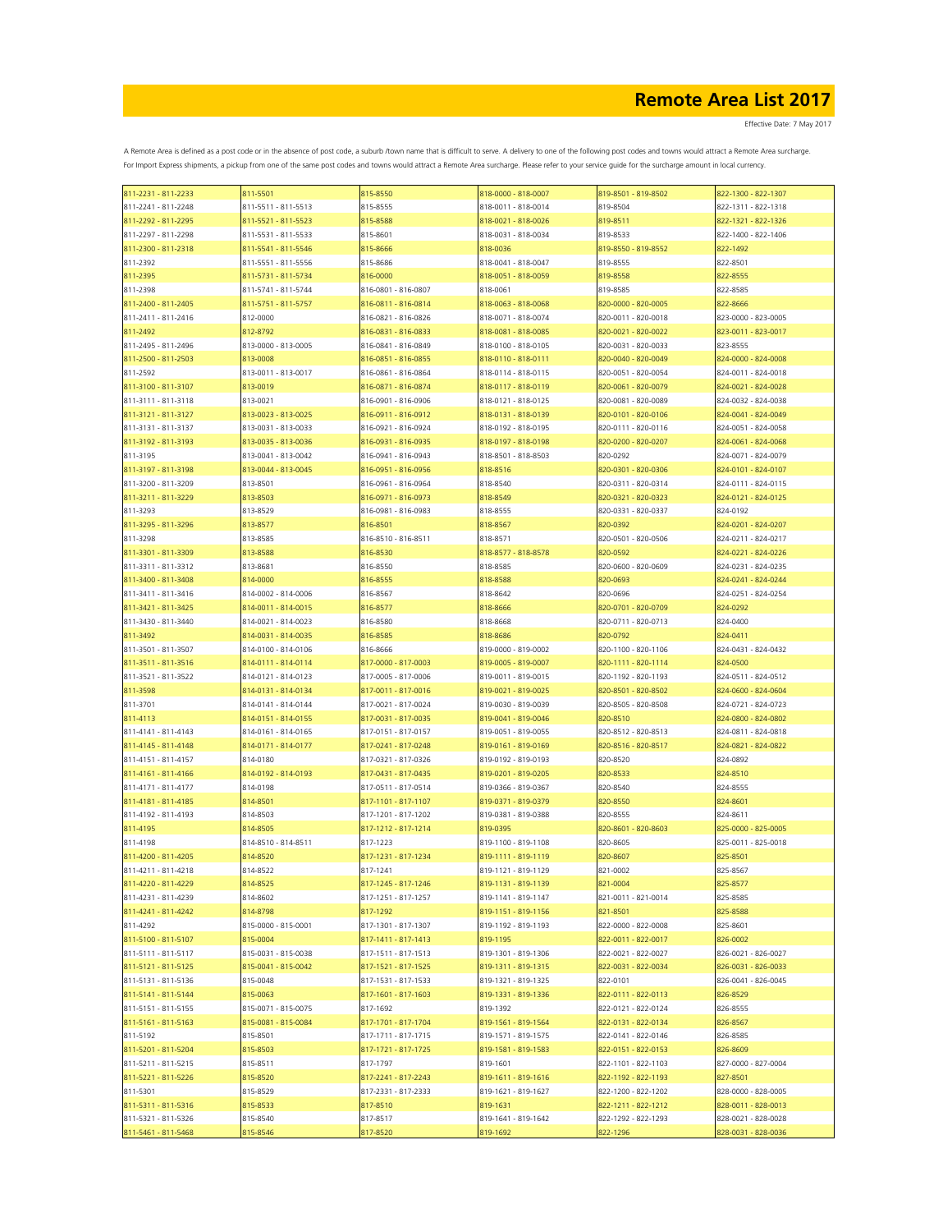| 811-2231 - 811-2233 | 811-5501            | 815-8550            | 818-0000 - 818-0007 | 819-8501 - 819-8502 | 822-1300 - 822-1307 |
|---------------------|---------------------|---------------------|---------------------|---------------------|---------------------|
| 811-2241 - 811-2248 | 811-5511 - 811-5513 | 815-8555            | 818-0011 - 818-0014 | 819-8504            | 822-1311 - 822-1318 |
| 811-2292 - 811-2295 | 811-5521 - 811-5523 | 815-8588            | 818-0021 - 818-0026 | 819-8511            | 822-1321 - 822-1326 |
| 811-2297 - 811-2298 | 811-5531 - 811-5533 | 815-8601            | 818-0031 - 818-0034 | 819-8533            | 822-1400 - 822-1406 |
| 811-2300 - 811-2318 | 811-5541 - 811-5546 | 815-8666            | 818-0036            | 819-8550 - 819-8552 | 822-1492            |
|                     |                     |                     |                     | 819-8555            |                     |
| 811-2392            | 811-5551 - 811-5556 | 815-8686            | 818-0041 - 818-0047 |                     | 822-8501            |
| 811-2395            | 811-5731 - 811-5734 | 816-0000            | 818-0051 - 818-0059 | 819-8558            | 822-8555            |
| 811-2398            | 811-5741 - 811-5744 | 816-0801 - 816-0807 | 818-0061            | 819-8585            | 822-8585            |
| 811-2400 - 811-2405 | 811-5751 - 811-5757 | 816-0811 - 816-0814 | 818-0063 - 818-0068 | 820-0000 - 820-0005 | 822-8666            |
| 811-2411 - 811-2416 | 812-0000            | 816-0821 - 816-0826 | 818-0071 - 818-0074 | 820-0011 - 820-0018 | 823-0000 - 823-0005 |
| 811-2492            | 812-8792            | 816-0831 - 816-0833 | 818-0081 - 818-0085 | 820-0021 - 820-0022 | 823-0011 - 823-0017 |
| 811-2495 - 811-2496 | 813-0000 - 813-0005 | 816-0841 - 816-0849 | 818-0100 - 818-0105 | 820-0031 - 820-0033 | 823-8555            |
| 811-2500 - 811-2503 | 813-0008            | 816-0851 - 816-0855 | 818-0110 - 818-0111 | 820-0040 - 820-0049 | 824-0000 - 824-0008 |
| 811-2592            | 813-0011 - 813-0017 | 816-0861 - 816-0864 | 818-0114 - 818-0115 | 820-0051 - 820-0054 | 824-0011 - 824-0018 |
|                     |                     |                     |                     |                     |                     |
| 811-3100 - 811-3107 | 813-0019            | 816-0871 - 816-0874 | 818-0117 - 818-0119 | 820-0061 - 820-0079 | 824-0021 - 824-0028 |
| 811-3111 - 811-3118 | 813-0021            | 816-0901 - 816-0906 | 818-0121 - 818-0125 | 820-0081 - 820-0089 | 824-0032 - 824-0038 |
| 811-3121 - 811-3127 | 813-0023 - 813-0025 | 816-0911 - 816-0912 | 818-0131 - 818-0139 | 820-0101 - 820-0106 | 824-0041 - 824-0049 |
| 811-3131 - 811-3137 | 813-0031 - 813-0033 | 816-0921 - 816-0924 | 818-0192 - 818-0195 | 820-0111 - 820-0116 | 824-0051 - 824-0058 |
| 811-3192 - 811-3193 | 813-0035 - 813-0036 | 816-0931 - 816-0935 | 818-0197 - 818-0198 | 820-0200 - 820-0207 | 824-0061 - 824-0068 |
| 811-3195            | 813-0041 - 813-0042 | 816-0941 - 816-0943 | 818-8501 - 818-8503 | 820-0292            | 824-0071 - 824-0079 |
| 811-3197 - 811-3198 | 813-0044 - 813-0045 | 816-0951 - 816-0956 | 818-8516            | 820-0301 - 820-0306 | 824-0101 - 824-0107 |
| 811-3200 - 811-3209 | 813-8501            | 816-0961 - 816-0964 |                     | 820-0311 - 820-0314 | 824-0111 - 824-0115 |
|                     |                     |                     | 818-8540            |                     |                     |
| 811-3211 - 811-3229 | 813-8503            | 816-0971 - 816-0973 | 818-8549            | 820-0321 - 820-0323 | 824-0121 - 824-0125 |
| 811-3293            | 813-8529            | 816-0981 - 816-0983 | 818-8555            | 820-0331 - 820-0337 | 824-0192            |
| 811-3295 - 811-3296 | 813-8577            | 816-8501            | 818-8567            | 820-0392            | 824-0201 - 824-0207 |
| 811-3298            | 813-8585            | 816-8510 - 816-8511 | 818-8571            | 820-0501 - 820-0506 | 824-0211 - 824-0217 |
| 811-3301 - 811-3309 | 813-8588            | 816-8530            | 818-8577 - 818-8578 | 820-0592            | 824-0221 - 824-0226 |
| 811-3311 - 811-3312 | 813-8681            | 816-8550            | 818-8585            | 820-0600 - 820-0609 | 824-0231 - 824-0235 |
| 811-3400 - 811-3408 | 814-0000            | 816-8555            | 818-8588            | 820-0693            | 824-0241 - 824-0244 |
|                     |                     |                     |                     |                     |                     |
| 811-3411 - 811-3416 | 814-0002 - 814-0006 | 816-8567            | 818-8642            | 820-0696            | 824-0251 - 824-0254 |
| 811-3421 - 811-3425 | 814-0011 - 814-0015 | 816-8577            | 818-8666            | 820-0701 - 820-0709 | 824-0292            |
| 811-3430 - 811-3440 | 814-0021 - 814-0023 | 816-8580            | 818-8668            | 820-0711 - 820-0713 | 824-0400            |
| 811-3492            | 814-0031 - 814-0035 | 816-8585            | 818-8686            | 820-0792            | 824-0411            |
| 811-3501 - 811-3507 | 814-0100 - 814-0106 | 816-8666            | 819-0000 - 819-0002 | 820-1100 - 820-1106 | 824-0431 - 824-0432 |
| 811-3511 - 811-3516 | 814-0111 - 814-0114 | 817-0000 - 817-0003 | 819-0005 - 819-0007 | 820-1111 - 820-1114 | 824-0500            |
| 811-3521 - 811-3522 | 814-0121 - 814-0123 | 817-0005 - 817-0006 | 819-0011 - 819-0015 | 820-1192 - 820-1193 | 824-0511 - 824-0512 |
| 811-3598            | 814-0131 - 814-0134 | 817-0011 - 817-0016 | 819-0021 - 819-0025 | 820-8501 - 820-8502 | 824-0600 - 824-0604 |
|                     |                     |                     |                     |                     |                     |
| 811-3701            | 814-0141 - 814-0144 | 817-0021 - 817-0024 | 819-0030 - 819-0039 | 820-8505 - 820-8508 | 824-0721 - 824-0723 |
| 811-4113            | 814-0151 - 814-0155 | 817-0031 - 817-0035 | 819-0041 - 819-0046 | 820-8510            | 824-0800 - 824-0802 |
| 811-4141 - 811-4143 | 814-0161 - 814-0165 | 817-0151 - 817-0157 | 819-0051 - 819-0055 | 820-8512 - 820-8513 | 824-0811 - 824-0818 |
| 811-4145 - 811-4148 | 814-0171 - 814-0177 | 817-0241 - 817-0248 | 819-0161 - 819-0169 | 820-8516 - 820-8517 | 824-0821 - 824-0822 |
| 811-4151 - 811-4157 | 814-0180            | 817-0321 - 817-0326 | 819-0192 - 819-0193 | 820-8520            | 824-0892            |
| 811-4161 - 811-4166 | 814-0192 - 814-0193 | 817-0431 - 817-0435 | 819-0201 - 819-0205 | 820-8533            | 824-8510            |
| 811-4171 - 811-4177 | 814-0198            | 817-0511 - 817-0514 | 819-0366 - 819-0367 | 820-8540            | 824-8555            |
| 811-4181 - 811-4185 | 814-8501            | 817-1101 - 817-1107 | 819-0371 - 819-0379 | 820-8550            | 824-8601            |
| 811-4192 - 811-4193 | 814-8503            | 817-1201 - 817-1202 | 819-0381 - 819-0388 | 820-8555            | 824-8611            |
|                     |                     |                     |                     |                     |                     |
| 811-4195            | 814-8505            | 817-1212 - 817-1214 | 819-0395            | 820-8601 - 820-8603 | 825-0000 - 825-0005 |
| 811-4198            | 814-8510 - 814-8511 | 817-1223            | 819-1100 - 819-1108 | 820-8605            | 825-0011 - 825-0018 |
| 811-4200 - 811-4205 | 814-8520            | 817-1231 - 817-1234 | 819-1111 - 819-1119 | 820-8607            | 825-8501            |
| 811-4211 - 811-4218 | 814-8522            | 817-1241            | 819-1121 - 819-1129 | 821-0002            | 825-8567            |
| 811-4220 - 811-4229 | 814-8525            | 817-1245 - 817-1246 | 819-1131 - 819-1139 | 821-0004            | 825-8577            |
| 811-4231 - 811-4239 | 814-8602            | 817-1251 - 817-1257 | 819-1141 - 819-1147 | 821-0011 - 821-0014 | 825-8585            |
| 811-4241 - 811-4242 | 814-8798            | 817-1292            | 819-1151 - 819-1156 | 821-8501            | 825-8588            |
| 811-4292            | 815-0000 - 815-0001 | 817-1301 - 817-1307 | 819-1192 - 819-1193 | 822-0000 - 822-0008 | 825-8601            |
| 811-5100 - 811-5107 | 815-0004            | 817-1411 - 817-1413 | 819-1195            | 822-0011 - 822-0017 | 826-0002            |
|                     |                     |                     |                     |                     |                     |
| 811-5111 - 811-5117 | 815-0031 - 815-0038 | 817-1511 - 817-1513 | 819-1301 - 819-1306 | 822-0021 - 822-0027 | 826-0021 - 826-0027 |
| 811-5121 - 811-5125 | 815-0041 - 815-0042 | 817-1521 - 817-1525 | 819-1311 - 819-1315 | 822-0031 - 822-0034 | 826-0031 - 826-0033 |
| 811-5131 - 811-5136 | 815-0048            | 817-1531 - 817-1533 | 819-1321 - 819-1325 | 822-0101            | 826-0041 - 826-0045 |
| 811-5141 - 811-5144 | 815-0063            | 817-1601 - 817-1603 | 819-1331 - 819-1336 | 822-0111 - 822-0113 | 826-8529            |
| 811-5151 - 811-5155 | 815-0071 - 815-0075 | 817-1692            | 819-1392            | 822-0121 - 822-0124 | 826-8555            |
| 811-5161 - 811-5163 | 815-0081 - 815-0084 | 817-1701 - 817-1704 | 819-1561 - 819-1564 | 822-0131 - 822-0134 | 826-8567            |
| 811-5192            | 815-8501            | 817-1711 - 817-1715 | 819-1571 - 819-1575 | 822-0141 - 822-0146 | 826-8585            |
|                     |                     |                     |                     |                     |                     |
| 811-5201 - 811-5204 | 815-8503            | 817-1721 - 817-1725 | 819-1581 - 819-1583 | 822-0151 - 822-0153 | 826-8609            |
| 811-5211 - 811-5215 | 815-8511            | 817-1797            | 819-1601            | 822-1101 - 822-1103 | 827-0000 - 827-0004 |
| 811-5221 - 811-5226 | 815-8520            | 817-2241 - 817-2243 | 819-1611 - 819-1616 | 822-1192 - 822-1193 | 827-8501            |
| 811-5301            | 815-8529            | 817-2331 - 817-2333 | 819-1621 - 819-1627 | 822-1200 - 822-1202 | 828-0000 - 828-0005 |
| 811-5311 - 811-5316 | 815-8533            | 817-8510            | 819-1631            | 822-1211 - 822-1212 | 828-0011 - 828-0013 |
| 811-5321 - 811-5326 | 815-8540            | 817-8517            | 819-1641 - 819-1642 | 822-1292 - 822-1293 | 828-0021 - 828-0028 |
| 811-5461 - 811-5468 | 815-8546            | 817-8520            | 819-1692            | 822-1296            | 828-0031 - 828-0036 |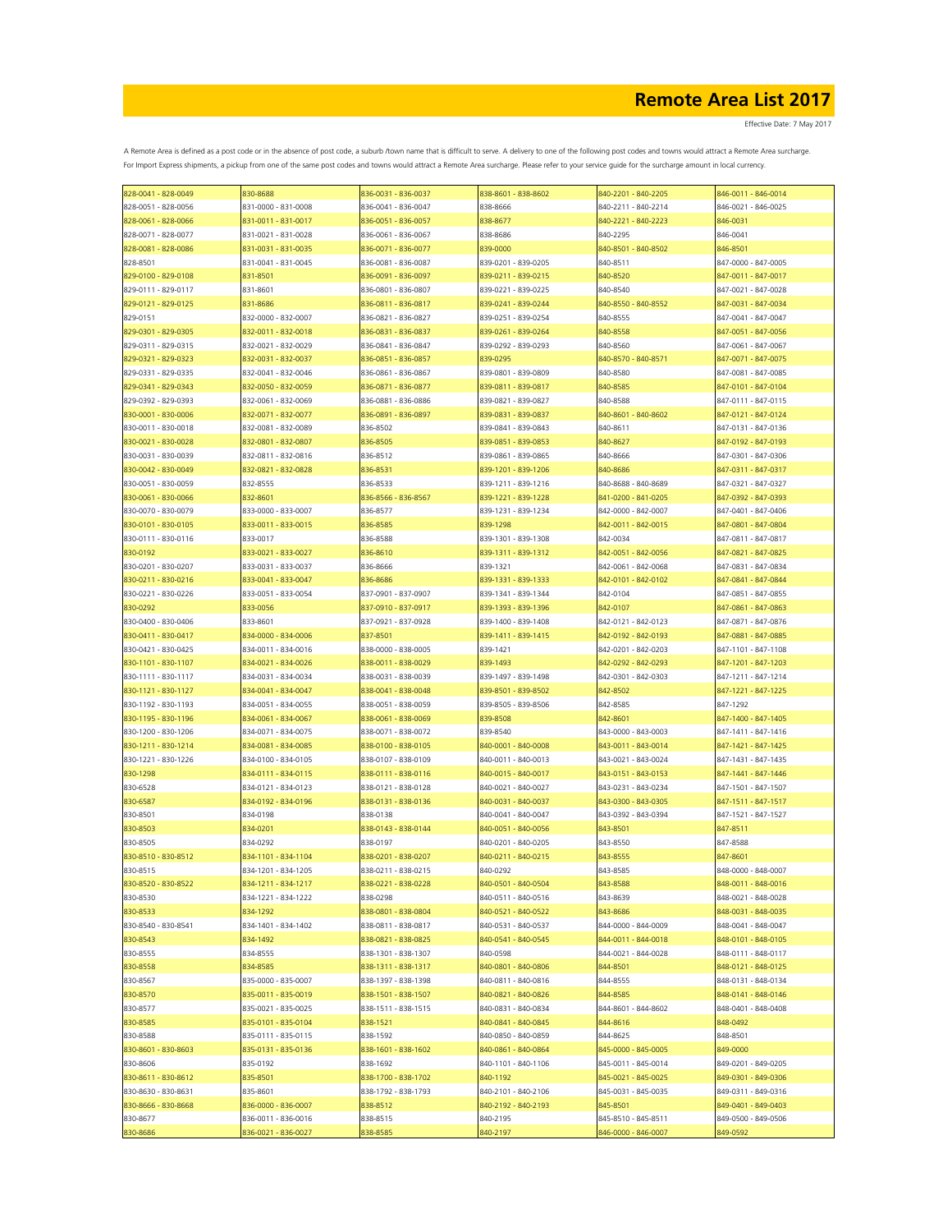| 828-0041 - 828-0049 | 830-8688            | 836-0031 - 836-0037 | 838-8601 - 838-8602 | 840-2201 - 840-2205 | 846-0011 - 846-0014 |
|---------------------|---------------------|---------------------|---------------------|---------------------|---------------------|
| 828-0051 - 828-0056 | 831-0000 - 831-0008 | 836-0041 - 836-0047 | 838-8666            | 840-2211 - 840-2214 | 846-0021 - 846-0025 |
| 828-0061 - 828-0066 | 831-0011 - 831-0017 | 836-0051 - 836-0057 | 838-8677            | 840-2221 - 840-2223 | 846-0031            |
| 828-0071 - 828-0077 | 831-0021 - 831-0028 | 836-0061 - 836-0067 | 838-8686            | 840-2295            | 846-0041            |
|                     |                     |                     |                     |                     |                     |
| 828-0081 - 828-0086 | 831-0031 - 831-0035 | 836-0071 - 836-0077 | 839-0000            | 840-8501 - 840-8502 | 846-8501            |
| 828-8501            | 831-0041 - 831-0045 | 836-0081 - 836-0087 | 839-0201 - 839-0205 | 840-8511            | 847-0000 - 847-0005 |
| 829-0100 - 829-0108 | 831-8501            | 836-0091 - 836-0097 | 839-0211 - 839-0215 | 840-8520            | 847-0011 - 847-0017 |
| 829-0111 - 829-0117 | 831-8601            | 836-0801 - 836-0807 | 839-0221 - 839-0225 | 840-8540            | 847-0021 - 847-0028 |
| 829-0121 - 829-0125 | 831-8686            | 836-0811 - 836-0817 | 839-0241 - 839-0244 | 840-8550 - 840-8552 | 847-0031 - 847-0034 |
| 829-0151            | 832-0000 - 832-0007 | 836-0821 - 836-0827 | 839-0251 - 839-0254 | 840-8555            | 847-0041 - 847-0047 |
|                     |                     |                     |                     |                     |                     |
| 829-0301 - 829-0305 | 832-0011 - 832-0018 | 836-0831 - 836-0837 | 839-0261 - 839-0264 | 840-8558            | 847-0051 - 847-0056 |
| 829-0311 - 829-0315 | 832-0021 - 832-0029 | 836-0841 - 836-0847 | 839-0292 - 839-0293 | 840-8560            | 847-0061 - 847-0067 |
| 829-0321 - 829-0323 | 832-0031 - 832-0037 | 836-0851 - 836-0857 | 839-0295            | 840-8570 - 840-8571 | 847-0071 - 847-0075 |
| 829-0331 - 829-0335 | 832-0041 - 832-0046 | 836-0861 - 836-0867 | 839-0801 - 839-0809 | 840-8580            | 847-0081 - 847-0085 |
| 829-0341 - 829-0343 | 832-0050 - 832-0059 | 836-0871 - 836-0877 | 839-0811 - 839-0817 | 840-8585            | 847-0101 - 847-0104 |
| 829-0392 - 829-0393 | 832-0061 - 832-0069 | 836-0881 - 836-0886 | 839-0821 - 839-0827 | 840-8588            | 847-0111 - 847-0115 |
|                     |                     |                     |                     |                     |                     |
| 830-0001 - 830-0006 | 832-0071 - 832-0077 | 836-0891 - 836-0897 | 839-0831 - 839-0837 | 840-8601 - 840-8602 | 847-0121 - 847-0124 |
| 830-0011 - 830-0018 | 832-0081 - 832-0089 | 836-8502            | 839-0841 - 839-0843 | 840-8611            | 847-0131 - 847-0136 |
| 830-0021 - 830-0028 | 832-0801 - 832-0807 | 836-8505            | 839-0851 - 839-0853 | 840-8627            | 847-0192 - 847-0193 |
| 830-0031 - 830-0039 | 832-0811 - 832-0816 | 836-8512            | 839-0861 - 839-0865 | 840-8666            | 847-0301 - 847-0306 |
| 830-0042 - 830-0049 | 832-0821 - 832-0828 | 836-8531            | 839-1201 - 839-1206 | 840-8686            | 847-0311 - 847-0317 |
| 830-0051 - 830-0059 | 832-8555            | 836-8533            | 839-1211 - 839-1216 | 840-8688 - 840-8689 | 847-0321 - 847-0327 |
|                     |                     |                     |                     |                     |                     |
| 830-0061 - 830-0066 | 832-8601            | 836-8566 - 836-8567 | 839-1221 - 839-1228 | 841-0200 - 841-0205 | 847-0392 - 847-0393 |
| 830-0070 - 830-0079 | 833-0000 - 833-0007 | 836-8577            | 839-1231 - 839-1234 | 842-0000 - 842-0007 | 847-0401 - 847-0406 |
| 830-0101 - 830-0105 | 833-0011 - 833-0015 | 836-8585            | 839-1298            | 842-0011 - 842-0015 | 847-0801 - 847-0804 |
| 830-0111 - 830-0116 | 833-0017            | 836-8588            | 839-1301 - 839-1308 | 842-0034            | 847-0811 - 847-0817 |
| 830-0192            | 833-0021 - 833-0027 | 836-8610            | 839-1311 - 839-1312 | 842-0051 - 842-0056 | 847-0821 - 847-0825 |
| 830-0201 - 830-0207 | 833-0031 - 833-0037 | 836-8666            | 839-1321            | 842-0061 - 842-0068 | 847-0831 - 847-0834 |
|                     |                     |                     |                     |                     |                     |
| 830-0211 - 830-0216 | 833-0041 - 833-0047 | 836-8686            | 839-1331 - 839-1333 | 842-0101 - 842-0102 | 847-0841 - 847-0844 |
| 830-0221 - 830-0226 | 833-0051 - 833-0054 | 837-0901 - 837-0907 | 839-1341 - 839-1344 | 842-0104            | 847-0851 - 847-0855 |
| 830-0292            | 833-0056            | 837-0910 - 837-0917 | 839-1393 - 839-1396 | 842-0107            | 847-0861 - 847-0863 |
| 830-0400 - 830-0406 | 833-8601            | 837-0921 - 837-0928 | 839-1400 - 839-1408 | 842-0121 - 842-0123 | 847-0871 - 847-0876 |
| 830-0411 - 830-0417 | 834-0000 - 834-0006 | 837-8501            | 839-1411 - 839-1415 | 842-0192 - 842-0193 | 847-0881 - 847-0885 |
| 830-0421 - 830-0425 | 834-0011 - 834-0016 | 838-0000 - 838-0005 | 839-1421            | 842-0201 - 842-0203 | 847-1101 - 847-1108 |
|                     |                     |                     |                     |                     |                     |
| 830-1101 - 830-1107 | 834-0021 - 834-0026 | 838-0011 - 838-0029 | 839-1493            | 842-0292 - 842-0293 | 847-1201 - 847-1203 |
| 830-1111 - 830-1117 | 834-0031 - 834-0034 | 838-0031 - 838-0039 | 839-1497 - 839-1498 | 842-0301 - 842-0303 | 847-1211 - 847-1214 |
| 830-1121 - 830-1127 | 834-0041 - 834-0047 | 838-0041 - 838-0048 | 839-8501 - 839-8502 | 842-8502            | 847-1221 - 847-1225 |
| 830-1192 - 830-1193 | 834-0051 - 834-0055 | 838-0051 - 838-0059 | 839-8505 - 839-8506 | 842-8585            | 847-1292            |
| 830-1195 - 830-1196 | 834-0061 - 834-0067 | 838-0061 - 838-0069 | 839-8508            | 842-8601            | 847-1400 - 847-1405 |
|                     | 834-0071 - 834-0075 | 838-0071 - 838-0072 | 839-8540            | 843-0000 - 843-0003 | 847-1411 - 847-1416 |
| 830-1200 - 830-1206 |                     |                     |                     |                     |                     |
| 830-1211 - 830-1214 | 834-0081 - 834-0085 | 838-0100 - 838-0105 | 840-0001 - 840-0008 | 843-0011 - 843-0014 | 847-1421 - 847-1425 |
| 830-1221 - 830-1226 | 834-0100 - 834-0105 | 838-0107 - 838-0109 | 840-0011 - 840-0013 | 843-0021 - 843-0024 | 847-1431 - 847-1435 |
| 830-1298            | 834-0111 - 834-0115 | 838-0111 - 838-0116 | 840-0015 - 840-0017 | 843-0151 - 843-0153 | 847-1441 - 847-1446 |
| 830-6528            | 834-0121 - 834-0123 | 838-0121 - 838-0128 | 840-0021 - 840-0027 | 843-0231 - 843-0234 | 847-1501 - 847-1507 |
| 830-6587            | 834-0192 - 834-0196 | 838-0131 - 838-0136 | 840-0031 - 840-0037 | 843-0300 - 843-0305 | 847-1511 - 847-1517 |
| 830-8501            | 834-0198            | 838-0138            | 840-0041 - 840-0047 | 843-0392 - 843-0394 | 847-1521 - 847-1527 |
|                     |                     |                     |                     |                     |                     |
| 830-8503            | 834-0201            | 838-0143 - 838-0144 | 840-0051 - 840-0056 | 843-8501            | 847-8511            |
| 830-8505            | 834-0292            | 838-0197            | 840-0201 - 840-0205 | 843-8550            | 847-8588            |
| 830-8510 - 830-8512 | 834-1101 - 834-1104 | 838-0201 - 838-0207 | 840-0211 - 840-0215 | 843-8555            | 847-8601            |
| 830-8515            | 834-1201 - 834-1205 | 838-0211 - 838-0215 | 840-0292            | 843-8585            | 848-0000 - 848-0007 |
| 830-8520 - 830-8522 | 834-1211 - 834-1217 | 838-0221 - 838-0228 | 840-0501 - 840-0504 | 843-8588            | 848-0011 - 848-0016 |
| 830-8530            | 834-1221 - 834-1222 | 838-0298            | 840-0511 - 840-0516 | 843-8639            | 848-0021 - 848-0028 |
|                     |                     |                     |                     |                     |                     |
| 830-8533            | 834-1292            | 838-0801 - 838-0804 | 840-0521 - 840-0522 | 843-8686            | 848-0031 - 848-0035 |
| 830-8540 - 830-8541 | 834-1401 - 834-1402 | 838-0811 - 838-0817 | 840-0531 - 840-0537 | 844-0000 - 844-0009 | 848-0041 - 848-0047 |
| 830-8543            | 834-1492            | 838-0821 - 838-0825 | 840-0541 - 840-0545 | 844-0011 - 844-0018 | 848-0101 - 848-0105 |
| 830-8555            | 834-8555            | 838-1301 - 838-1307 | 840-0598            | 844-0021 - 844-0028 | 848-0111 - 848-0117 |
| 830-8558            | 834-8585            | 838-1311 - 838-1317 | 840-0801 - 840-0806 | 844-8501            | 848-0121 - 848-0125 |
| 830-8567            | 835-0000 - 835-0007 | 838-1397 - 838-1398 | 840-0811 - 840-0816 | 844-8555            | 848-0131 - 848-0134 |
|                     | 835-0011 - 835-0019 |                     | 840-0821 - 840-0826 | 844-8585            | 848-0141 - 848-0146 |
| 830-8570            |                     | 838-1501 - 838-1507 |                     |                     |                     |
| 830-8577            | 835-0021 - 835-0025 | 838-1511 - 838-1515 | 840-0831 - 840-0834 | 844-8601 - 844-8602 | 848-0401 - 848-0408 |
| 830-8585            | 835-0101 - 835-0104 | 838-1521            | 840-0841 - 840-0845 | 844-8616            | 848-0492            |
| 830-8588            | 835-0111 - 835-0115 | 838-1592            | 840-0850 - 840-0859 | 844-8625            | 848-8501            |
| 830-8601 - 830-8603 | 835-0131 - 835-0136 | 838-1601 - 838-1602 | 840-0861 - 840-0864 | 845-0000 - 845-0005 | 849-0000            |
| 830-8606            | 835-0192            | 838-1692            | 840-1101 - 840-1106 | 845-0011 - 845-0014 | 849-0201 - 849-0205 |
| 830-8611 - 830-8612 | 835-8501            | 838-1700 - 838-1702 | 840-1192            | 845-0021 - 845-0025 | 849-0301 - 849-0306 |
|                     |                     |                     |                     |                     |                     |
| 830-8630 - 830-8631 | 835-8601            | 838-1792 - 838-1793 | 840-2101 - 840-2106 | 845-0031 - 845-0035 | 849-0311 - 849-0316 |
| 830-8666 - 830-8668 | 836-0000 - 836-0007 | 838-8512            | 840-2192 - 840-2193 | 845-8501            | 849-0401 - 849-0403 |
| 830-8677            | 836-0011 - 836-0016 | 838-8515            | 840-2195            | 845-8510 - 845-8511 | 849-0500 - 849-0506 |
| 830-8686            | 836-0021 - 836-0027 | 838-8585            | 840-2197            | 846-0000 - 846-0007 | 849-0592            |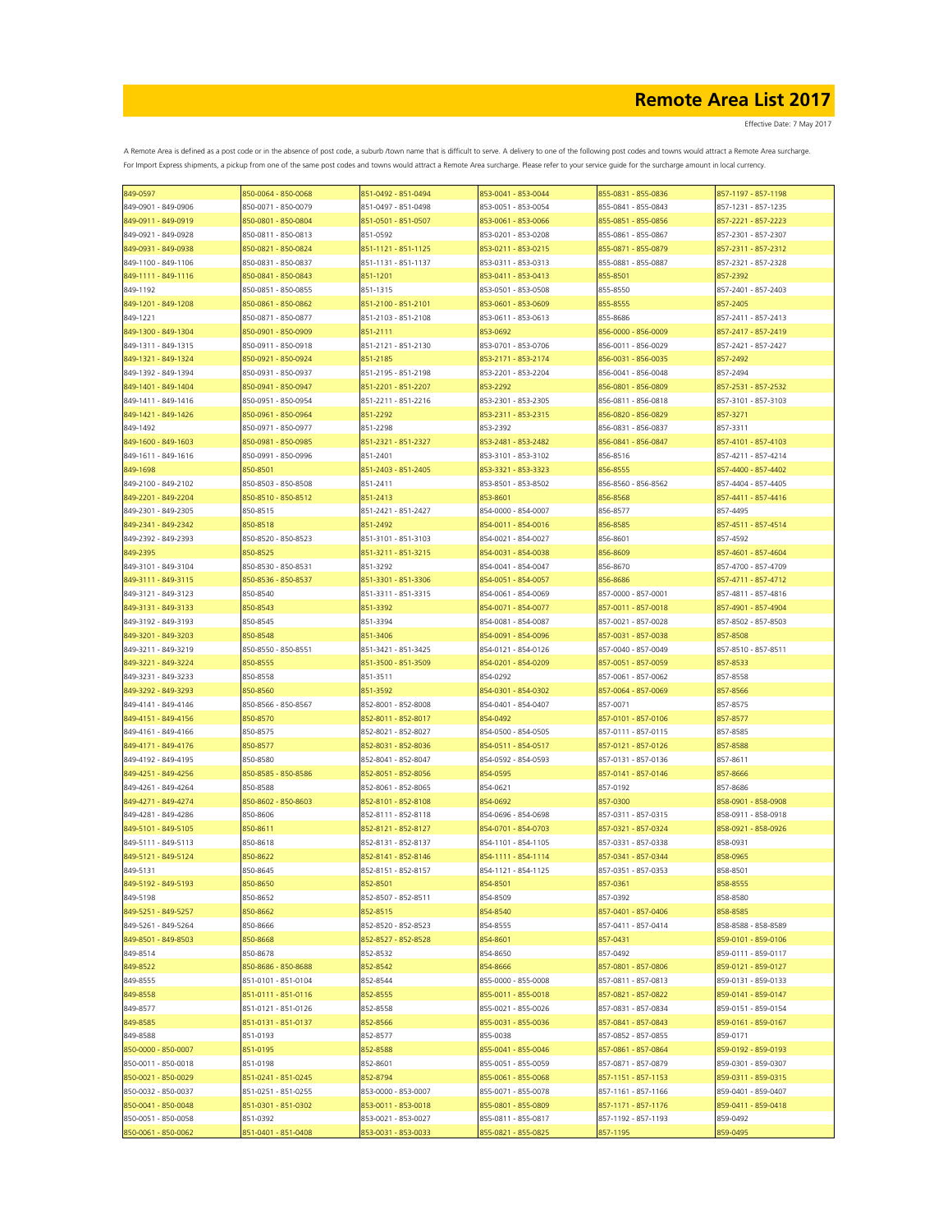Effective Date: 7 May 2017

| 849-0597                                   | 850-0064 - 850-0068 | 851-0492 - 851-0494             | 853-0041 - 853-0044                        | 855-0831 - 855-0836                        | 857-1197 - 857-1198  |
|--------------------------------------------|---------------------|---------------------------------|--------------------------------------------|--------------------------------------------|----------------------|
| 849-0901 - 849-0906                        | 850-0071 - 850-0079 | 851-0497 - 851-0498             | 853-0051 - 853-0054                        | 855-0841 - 855-0843                        | 857-1231 - 857-1235  |
| 849-0911 - 849-0919                        | 850-0801 - 850-0804 | 851-0501 - 851-0507             | 853-0061 - 853-0066                        | 855-0851 - 855-0856                        | 857-2221 - 857-2223  |
| 849-0921 - 849-0928                        | 850-0811 - 850-0813 | 851-0592                        | 853-0201 - 853-0208                        | 855-0861 - 855-0867                        | 857-2301 - 857-2307  |
| 849-0931 - 849-0938                        | 850-0821 - 850-0824 | 851-1121 - 851-1125             | 853-0211 - 853-0215                        | 855-0871 - 855-0879                        | 857-2311 - 857-2312  |
| 849-1100 - 849-1106                        | 850-0831 - 850-0837 | 851-1131 - 851-1137             | 853-0311 - 853-0313                        | 855-0881 - 855-0887                        | 857-2321 - 857-2328  |
| 849-1111 - 849-1116                        | 850-0841 - 850-0843 | 851-1201                        | 853-0411 - 853-0413                        | 855-8501                                   | 857-2392             |
| 849-1192                                   | 850-0851 - 850-0855 | 851-1315                        | 853-0501 - 853-0508                        | 855-8550                                   | 857-2401 - 857-2403  |
| 849-1201 - 849-1208                        | 850-0861 - 850-0862 | 851-2100 - 851-2101             | 853-0601 - 853-0609                        | 855-8555                                   | 857-2405             |
| 849-1221                                   | 850-0871 - 850-0877 | 851-2103 - 851-2108             | 853-0611 - 853-0613                        | 855-8686                                   | 857-2411 - 857-2413  |
| 849-1300 - 849-1304                        | 850-0901 - 850-0909 | 851-2111                        | 853-0692                                   | 856-0000 - 856-0009                        | 857-2417 - 857-2419  |
| 849-1311 - 849-1315                        | 850-0911 - 850-0918 | 851-2121 - 851-2130             | 853-0701 - 853-0706                        | 856-0011 - 856-0029                        | 857-2421 - 857-2427  |
|                                            | 850-0921 - 850-0924 |                                 |                                            |                                            |                      |
| 849-1321 - 849-1324<br>849-1392 - 849-1394 | 850-0931 - 850-0937 | 851-2185<br>851-2195 - 851-2198 | 853-2171 - 853-2174<br>853-2201 - 853-2204 | 856-0031 - 856-0035<br>856-0041 - 856-0048 | 857-2492<br>857-2494 |
| 849-1401 - 849-1404                        |                     |                                 |                                            |                                            |                      |
|                                            | 850-0941 - 850-0947 | 851-2201 - 851-2207             | 853-2292                                   | 856-0801 - 856-0809                        | 857-2531 - 857-2532  |
| 849-1411 - 849-1416                        | 850-0951 - 850-0954 | 851-2211 - 851-2216             | 853-2301 - 853-2305                        | 856-0811 - 856-0818                        | 857-3101 - 857-3103  |
| 849-1421 - 849-1426                        | 850-0961 - 850-0964 | 851-2292                        | 853-2311 - 853-2315                        | 856-0820 - 856-0829                        | 857-3271             |
| 849-1492                                   | 850-0971 - 850-0977 | 851-2298                        | 853-2392                                   | 856-0831 - 856-0837                        | 857-3311             |
| 849-1600 - 849-1603                        | 850-0981 - 850-0985 | 851-2321 - 851-2327             | 853-2481 - 853-2482                        | 856-0841 - 856-0847                        | 857-4101 - 857-4103  |
| 849-1611 - 849-1616                        | 850-0991 - 850-0996 | 851-2401                        | 853-3101 - 853-3102                        | 856-8516                                   | 857-4211 - 857-4214  |
| 849-1698                                   | 850-8501            | 851-2403 - 851-2405             | 853-3321 - 853-3323                        | 856-8555                                   | 857-4400 - 857-4402  |
| 849-2100 - 849-2102                        | 850-8503 - 850-8508 | 851-2411                        | 853-8501 - 853-8502                        | 856-8560 - 856-8562                        | 857-4404 - 857-4405  |
| 849-2201 - 849-2204                        | 850-8510 - 850-8512 | 851-2413                        | 853-8601                                   | 856-8568                                   | 857-4411 - 857-4416  |
| 849-2301 - 849-2305                        | 850-8515            | 851-2421 - 851-2427             | 854-0000 - 854-0007                        | 856-8577                                   | 857-4495             |
| 849-2341 - 849-2342                        | 850-8518            | 851-2492                        | 854-0011 - 854-0016                        | 856-8585                                   | 857-4511 - 857-4514  |
| 849-2392 - 849-2393                        | 850-8520 - 850-8523 | 851-3101 - 851-3103             | 854-0021 - 854-0027                        | 856-8601                                   | 857-4592             |
| 849-2395                                   | 850-8525            | 851-3211 - 851-3215             | 854-0031 - 854-0038                        | 856-8609                                   | 857-4601 - 857-4604  |
| 849-3101 - 849-3104                        | 850-8530 - 850-8531 | 851-3292                        | 854-0041 - 854-0047                        | 856-8670                                   | 857-4700 - 857-4709  |
| 849-3111 - 849-3115                        | 850-8536 - 850-8537 | 851-3301 - 851-3306             | 854-0051 - 854-0057                        | 856-8686                                   | 857-4711 - 857-4712  |
| 849-3121 - 849-3123                        | 850-8540            | 851-3311 - 851-3315             | 854-0061 - 854-0069                        | 857-0000 - 857-0001                        | 857-4811 - 857-4816  |
| 849-3131 - 849-3133                        | 850-8543            | 851-3392                        | 854-0071 - 854-0077                        | 857-0011 - 857-0018                        | 857-4901 - 857-4904  |
| 849-3192 - 849-3193                        | 850-8545            | 851-3394                        | 854-0081 - 854-0087                        | 857-0021 - 857-0028                        | 857-8502 - 857-8503  |
| 849-3201 - 849-3203                        | 850-8548            | 851-3406                        | 854-0091 - 854-0096                        | 857-0031 - 857-0038                        | 857-8508             |
| 849-3211 - 849-3219                        | 850-8550 - 850-8551 | 851-3421 - 851-3425             | 854-0121 - 854-0126                        | 857-0040 - 857-0049                        | 857-8510 - 857-8511  |
| 849-3221 - 849-3224                        | 850-8555            | 851-3500 - 851-3509             | 854-0201 - 854-0209                        | 857-0051 - 857-0059                        | 857-8533             |
| 849-3231 - 849-3233                        | 850-8558            | 851-3511                        | 854-0292                                   | 857-0061 - 857-0062                        | 857-8558             |
| 849-3292 - 849-3293                        | 850-8560            | 851-3592                        | 854-0301 - 854-0302                        | 857-0064 - 857-0069                        | 857-8566             |
| 849-4141 - 849-4146                        | 850-8566 - 850-8567 | 852-8001 - 852-8008             | 854-0401 - 854-0407                        | 857-0071                                   | 857-8575             |
| 849-4151 - 849-4156                        | 850-8570            | 852-8011 - 852-8017             | 854-0492                                   | 857-0101 - 857-0106                        | 857-8577             |
| 849-4161 - 849-4166                        | 850-8575            | 852-8021 - 852-8027             | 854-0500 - 854-0505                        | 857-0111 - 857-0115                        | 857-8585             |
|                                            |                     |                                 |                                            |                                            |                      |
| 849-4171 - 849-4176                        | 850-8577            | 852-8031 - 852-8036             | 854-0511 - 854-0517                        | 857-0121 - 857-0126                        | 857-8588             |
| 849-4192 - 849-4195                        | 850-8580            | 852-8041 - 852-8047             | 854-0592 - 854-0593                        | 857-0131 - 857-0136                        | 857-8611             |
| 849-4251 - 849-4256                        | 850-8585 - 850-8586 | 852-8051 - 852-8056             | 854-0595                                   | 857-0141 - 857-0146                        | 857-8666             |
| 849-4261 - 849-4264                        | 850-8588            | 852-8061 - 852-8065             | 854-0621                                   | 857-0192                                   | 857-8686             |
| 849-4271 - 849-4274                        | 850-8602 - 850-8603 | 852-8101 - 852-8108             | 854-0692                                   | 857-0300                                   | 858-0901 - 858-0908  |
| 849-4281 - 849-4286                        | 850-8606            | 852-8111 - 852-8118             | 854-0696 - 854-0698                        | 857-0311 - 857-0315                        | 858-0911 - 858-0918  |
| 849-5101 - 849-5105                        | 850-8611            | 852-8121 - 852-8127             | 854-0701 - 854-0703                        | 857-0321 - 857-0324                        | 858-0921 - 858-0926  |
| 849-5111 - 849-5113                        | 850-8618            | 852-8131 - 852-8137             | 854-1101 - 854-1105                        | 857-0331 - 857-0338                        | 858-0931             |
| 849-5121 - 849-5124                        | 850-8622            | 852-8141 - 852-8146             | 854-1111 - 854-1114                        | 857-0341 - 857-0344                        | 858-0965             |
| 849-5131                                   | 850-8645            | 852-8151 - 852-8157             | 854-1121 - 854-1125                        | 857-0351 - 857-0353                        | 858-8501             |
| 849-5192 - 849-5193                        | 850-8650            | 852-8501                        | 854-8501                                   | 857-0361                                   | 858-8555             |
| 849-5198                                   | 850-8652            | 852-8507 - 852-8511             | 854-8509                                   | 857-0392                                   | 858-8580             |
| 849-5251 - 849-5257                        | 850-8662            | 852-8515                        | 854-8540                                   | 857-0401 - 857-0406                        | 858-8585             |
| 849-5261 - 849-5264                        | 850-8666            | 852-8520 - 852-8523             | 854-8555                                   | 857-0411 - 857-0414                        | 858-8588 - 858-8589  |
| 849-8501 - 849-8503                        | 850-8668            | 852-8527 - 852-8528             | 854-8601                                   | 857-0431                                   | 859-0101 - 859-0106  |
| 849-8514                                   | 850-8678            | 852-8532                        | 854-8650                                   | 857-0492                                   | 859-0111 - 859-0117  |
| 849-8522                                   | 850-8686 - 850-8688 | 852-8542                        | 854-8666                                   | 857-0801 - 857-0806                        | 859-0121 - 859-0127  |
| 849-8555                                   | 851-0101 - 851-0104 | 852-8544                        | 855-0000 - 855-0008                        | 857-0811 - 857-0813                        | 859-0131 - 859-0133  |
| 849-8558                                   | 851-0111 - 851-0116 | 852-8555                        | 855-0011 - 855-0018                        | 857-0821 - 857-0822                        | 859-0141 - 859-0147  |
| 849-8577                                   | 851-0121 - 851-0126 | 852-8558                        | 855-0021 - 855-0026                        | 857-0831 - 857-0834                        | 859-0151 - 859-0154  |
| 849-8585                                   | 851-0131 - 851-0137 | 852-8566                        | 855-0031 - 855-0036                        | 857-0841 - 857-0843                        | 859-0161 - 859-0167  |
| 849-8588                                   | 851-0193            | 852-8577                        | 855-0038                                   | 857-0852 - 857-0855                        | 859-0171             |
| 850-0000 - 850-0007                        | 851-0195            | 852-8588                        | 855-0041 - 855-0046                        | 857-0861 - 857-0864                        | 859-0192 - 859-0193  |
| 850-0011 - 850-0018                        | 851-0198            | 852-8601                        | 855-0051 - 855-0059                        | 857-0871 - 857-0879                        | 859-0301 - 859-0307  |
| 850-0021 - 850-0029                        | 851-0241 - 851-0245 | 852-8794                        | 855-0061 - 855-0068                        | 857-1151 - 857-1153                        | 859-0311 - 859-0315  |
| 850-0032 - 850-0037                        | 851-0251 - 851-0255 | 853-0000 - 853-0007             | 855-0071 - 855-0078                        | 857-1161 - 857-1166                        | 859-0401 - 859-0407  |
| 850-0041 - 850-0048                        | 851-0301 - 851-0302 | 853-0011 - 853-0018             | 855-0801 - 855-0809                        | 857-1171 - 857-1176                        | 859-0411 - 859-0418  |
| 850-0051 - 850-0058                        | 851-0392            | 853-0021 - 853-0027             | 855-0811 - 855-0817                        | 857-1192 - 857-1193                        | 859-0492             |
| 850-0061 - 850-0062                        | 851-0401 - 851-0408 | 853-0031 - 853-0033             | 855-0821 - 855-0825                        | 857-1195                                   | 859-0495             |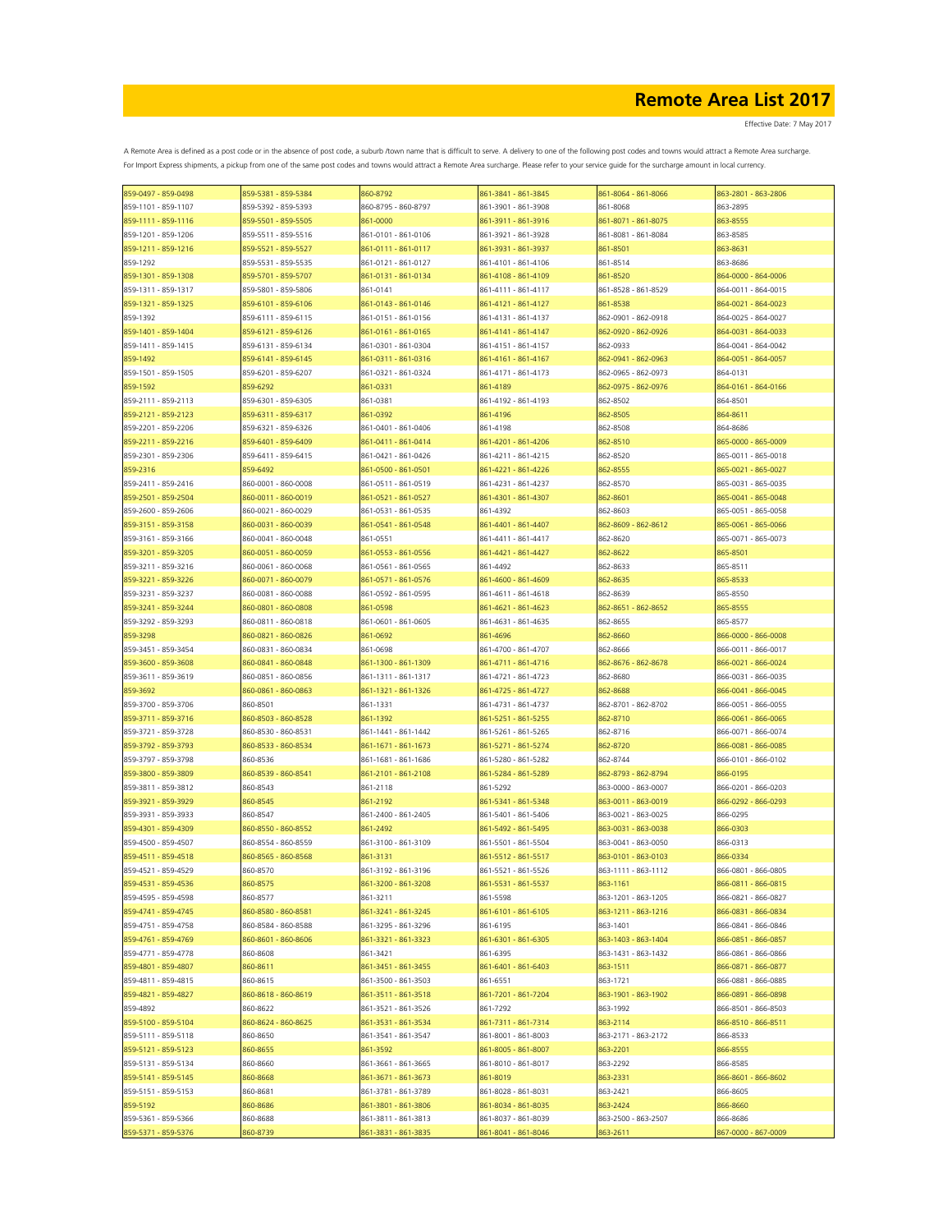| 859-0497 - 859-0498 | 859-5381 - 859-5384 | 860-8792            | 861-3841 - 861-3845 | 861-8064 - 861-8066 | 863-2801 - 863-2806 |
|---------------------|---------------------|---------------------|---------------------|---------------------|---------------------|
| 859-1101 - 859-1107 | 859-5392 - 859-5393 | 860-8795 - 860-8797 | 861-3901 - 861-3908 | 861-8068            | 863-2895            |
| 859-1111 - 859-1116 | 859-5501 - 859-5505 | 861-0000            | 861-3911 - 861-3916 | 861-8071 - 861-8075 | 863-8555            |
| 859-1201 - 859-1206 | 859-5511 - 859-5516 | 861-0101 - 861-0106 | 861-3921 - 861-3928 | 861-8081 - 861-8084 | 863-8585            |
| 859-1211 - 859-1216 | 859-5521 - 859-5527 | 861-0111 - 861-0117 | 861-3931 - 861-3937 | 861-8501            | 863-8631            |
| 859-1292            |                     |                     |                     |                     | 863-8686            |
|                     | 859-5531 - 859-5535 | 861-0121 - 861-0127 | 861-4101 - 861-4106 | 861-8514            |                     |
| 859-1301 - 859-1308 | 859-5701 - 859-5707 | 861-0131 - 861-0134 | 861-4108 - 861-4109 | 861-8520            | 864-0000 - 864-0006 |
| 859-1311 - 859-1317 | 859-5801 - 859-5806 | 861-0141            | 861-4111 - 861-4117 | 861-8528 - 861-8529 | 864-0011 - 864-0015 |
| 859-1321 - 859-1325 | 859-6101 - 859-6106 | 861-0143 - 861-0146 | 861-4121 - 861-4127 | 861-8538            | 864-0021 - 864-0023 |
| 859-1392            | 859-6111 - 859-6115 | 861-0151 - 861-0156 | 861-4131 - 861-4137 | 862-0901 - 862-0918 | 864-0025 - 864-0027 |
| 859-1401 - 859-1404 | 859-6121 - 859-6126 | 861-0161 - 861-0165 | 861-4141 - 861-4147 | 862-0920 - 862-0926 | 864-0031 - 864-0033 |
| 859-1411 - 859-1415 | 859-6131 - 859-6134 | 861-0301 - 861-0304 | 861-4151 - 861-4157 | 862-0933            | 864-0041 - 864-0042 |
| 859-1492            | 859-6141 - 859-6145 | 861-0311 - 861-0316 | 861-4161 - 861-4167 | 862-0941 - 862-0963 | 864-0051 - 864-0057 |
| 859-1501 - 859-1505 | 859-6201 - 859-6207 | 861-0321 - 861-0324 | 861-4171 - 861-4173 | 862-0965 - 862-0973 | 864-0131            |
|                     |                     |                     |                     |                     |                     |
| 859-1592            | 859-6292            | 861-0331            | 861-4189            | 862-0975 - 862-0976 | 864-0161 - 864-0166 |
| 859-2111 - 859-2113 | 859-6301 - 859-6305 | 861-0381            | 861-4192 - 861-4193 | 862-8502            | 864-8501            |
| 859-2121 - 859-2123 | 859-6311 - 859-6317 | 861-0392            | 861-4196            | 862-8505            | 864-8611            |
| 859-2201 - 859-2206 | 859-6321 - 859-6326 | 861-0401 - 861-0406 | 861-4198            | 862-8508            | 864-8686            |
| 859-2211 - 859-2216 | 859-6401 - 859-6409 | 861-0411 - 861-0414 | 861-4201 - 861-4206 | 862-8510            | 865-0000 - 865-0009 |
| 859-2301 - 859-2306 | 859-6411 - 859-6415 | 861-0421 - 861-0426 | 861-4211 - 861-4215 | 862-8520            | 865-0011 - 865-0018 |
| 859-2316            | 859-6492            | 361-0500 - 861-0501 | 861-4221 - 861-4226 | 862-8555            | 865-0021 - 865-0027 |
|                     |                     | 861-0511 - 861-0519 | 861-4231 - 861-4237 |                     |                     |
| 859-2411 - 859-2416 | 860-0001 - 860-0008 |                     |                     | 862-8570            | 865-0031 - 865-0035 |
| 859-2501 - 859-2504 | 860-0011 - 860-0019 | 861-0521 - 861-0527 | 861-4301 - 861-4307 | 862-8601            | 865-0041 - 865-0048 |
| 859-2600 - 859-2606 | 860-0021 - 860-0029 | 861-0531 - 861-0535 | 861-4392            | 862-8603            | 865-0051 - 865-0058 |
| 859-3151 - 859-3158 | 860-0031 - 860-0039 | 861-0541 - 861-0548 | 861-4401 - 861-4407 | 862-8609 - 862-8612 | 865-0061 - 865-0066 |
| 859-3161 - 859-3166 | 860-0041 - 860-0048 | 861-0551            | 861-4411 - 861-4417 | 862-8620            | 865-0071 - 865-0073 |
| 859-3201 - 859-3205 | 860-0051 - 860-0059 | 861-0553 - 861-0556 | 861-4421 - 861-4427 | 862-8622            | 865-8501            |
| 859-3211 - 859-3216 | 860-0061 - 860-0068 | 861-0561 - 861-0565 | 861-4492            | 862-8633            | 865-8511            |
| 859-3221 - 859-3226 | 860-0071 - 860-0079 | 861-0571 - 861-0576 | 861-4600 - 861-4609 | 862-8635            | 865-8533            |
| 859-3231 - 859-3237 | 860-0081 - 860-0088 | 861-0592 - 861-0595 | 861-4611 - 861-4618 | 862-8639            | 865-8550            |
|                     |                     |                     |                     |                     |                     |
| 859-3241 - 859-3244 | 860-0801 - 860-0808 | 861-0598            | 861-4621 - 861-4623 | 862-8651 - 862-8652 | 865-8555            |
| 859-3292 - 859-3293 | 860-0811 - 860-0818 | 861-0601 - 861-0605 | 861-4631 - 861-4635 | 862-8655            | 865-8577            |
| 859-3298            | 860-0821 - 860-0826 | 861-0692            | 861-4696            | 862-8660            | 866-0000 - 866-0008 |
| 859-3451 - 859-3454 | 860-0831 - 860-0834 | 861-0698            | 861-4700 - 861-4707 | 862-8666            | 866-0011 - 866-0017 |
| 859-3600 - 859-3608 | 860-0841 - 860-0848 | 861-1300 - 861-1309 | 861-4711 - 861-4716 | 862-8676 - 862-8678 | 866-0021 - 866-0024 |
| 859-3611 - 859-3619 | 860-0851 - 860-0856 | 861-1311 - 861-1317 | 861-4721 - 861-4723 | 862-8680            | 866-0031 - 866-0035 |
| 859-3692            | 860-0861 - 860-0863 | 861-1321 - 861-1326 | 861-4725 - 861-4727 | 862-8688            | 866-0041 - 866-0045 |
|                     |                     |                     |                     |                     |                     |
| 859-3700 - 859-3706 | 860-8501            | 861-1331            | 861-4731 - 861-4737 | 862-8701 - 862-8702 | 866-0051 - 866-0055 |
| 859-3711 - 859-3716 | 860-8503 - 860-8528 | 861-1392            | 861-5251 - 861-5255 | 862-8710            | 866-0061 - 866-0065 |
| 859-3721 - 859-3728 | 860-8530 - 860-8531 | 861-1441 - 861-1442 | 861-5261 - 861-5265 | 862-8716            | 866-0071 - 866-0074 |
| 859-3792 - 859-3793 | 860-8533 - 860-8534 | 861-1671 - 861-1673 | 861-5271 - 861-5274 | 862-8720            | 866-0081 - 866-0085 |
| 859-3797 - 859-3798 | 860-8536            | 861-1681 - 861-1686 | 861-5280 - 861-5282 | 862-8744            | 866-0101 - 866-0102 |
| 859-3800 - 859-3809 | 860-8539 - 860-8541 | 861-2101 - 861-2108 | 861-5284 - 861-5289 | 862-8793 - 862-8794 | 866-0195            |
| 859-3811 - 859-3812 | 860-8543            | 861-2118            | 861-5292            | 863-0000 - 863-0007 | 866-0201 - 866-0203 |
|                     |                     |                     |                     |                     |                     |
| 859-3921 - 859-3929 | 860-8545            | 861-2192            | 861-5341 - 861-5348 | 863-0011 - 863-0019 | 866-0292 - 866-0293 |
| 859-3931 - 859-3933 | 860-8547            | 861-2400 - 861-2405 | 861-5401 - 861-5406 | 863-0021 - 863-0025 | 866-0295            |
| 859-4301 - 859-4309 | 860-8550 - 860-8552 | 861-2492            | 861-5492 - 861-5495 | 863-0031 - 863-0038 | 866-0303            |
| 859-4500 - 859-4507 | 860-8554 - 860-8559 | 861-3100 - 861-3109 | 861-5501 - 861-5504 | 863-0041 - 863-0050 | 866-0313            |
| 859-4511 - 859-4518 | 860-8565 - 860-8568 | 861-3131            | 861-5512 - 861-5517 | 863-0101 - 863-0103 | 866-0334            |
| 859-4521 - 859-4529 | 860-8570            | 861-3192 - 861-3196 | 861-5521 - 861-5526 | 863-1111 - 863-1112 | 866-0801 - 866-0805 |
| 859-4531 - 859-4536 | 860-8575            | 861-3200 - 861-3208 | 861-5531 - 861-5537 | 863-1161            | 866-0811 - 866-0815 |
| 859-4595 - 859-4598 | 860-8577            | 861-3211            | 861-5598            | 863-1201 - 863-1205 | 866-0821 - 866-0827 |
| 859-4741 - 859-4745 | 860-8580 - 860-8581 | 861-3241 - 861-3245 | 861-6101 - 861-6105 | 863-1211 - 863-1216 | 866-0831 - 866-0834 |
|                     |                     |                     |                     |                     |                     |
| 859-4751 - 859-4758 | 860-8584 - 860-8588 | 861-3295 - 861-3296 | 861-6195            | 863-1401            | 866-0841 - 866-0846 |
| 859-4761 - 859-4769 | 860-8601 - 860-8606 | 861-3321 - 861-3323 | 861-6301 - 861-6305 | 863-1403 - 863-1404 | 866-0851 - 866-0857 |
| 859-4771 - 859-4778 | 860-8608            | 861-3421            | 861-6395            | 863-1431 - 863-1432 | 866-0861 - 866-0866 |
| 859-4801 - 859-4807 | 860-8611            | 861-3451 - 861-3455 | 861-6401 - 861-6403 | 863-1511            | 866-0871 - 866-0877 |
| 859-4811 - 859-4815 | 860-8615            | 861-3500 - 861-3503 | 861-6551            | 863-1721            | 866-0881 - 866-0885 |
| 859-4821 - 859-4827 | 860-8618 - 860-8619 | 861-3511 - 861-3518 | 861-7201 - 861-7204 | 863-1901 - 863-1902 | 866-0891 - 866-0898 |
| 859-4892            | 860-8622            | 861-3521 - 861-3526 | 861-7292            | 863-1992            | 866-8501 - 866-8503 |
|                     |                     |                     |                     |                     |                     |
| 859-5100 - 859-5104 | 860-8624 - 860-8625 | 861-3531 - 861-3534 | 861-7311 - 861-7314 | 863-2114            | 866-8510 - 866-8511 |
| 859-5111 - 859-5118 | 860-8650            | 861-3541 - 861-3547 | 861-8001 - 861-8003 | 863-2171 - 863-2172 | 866-8533            |
| 859-5121 - 859-5123 | 860-8655            | 861-3592            | 861-8005 - 861-8007 | 863-2201            | 866-8555            |
| 859-5131 - 859-5134 | 860-8660            | 861-3661 - 861-3665 | 861-8010 - 861-8017 | 863-2292            | 866-8585            |
| 859-5141 - 859-5145 | 860-8668            | 861-3671 - 861-3673 | 861-8019            | 863-2331            | 866-8601 - 866-8602 |
| 859-5151 - 859-5153 | 860-8681            | 861-3781 - 861-3789 | 861-8028 - 861-8031 | 863-2421            | 866-8605            |
| 859-5192            | 860-8686            | 861-3801 - 861-3806 | 861-8034 - 861-8035 | 863-2424            | 866-8660            |
| 859-5361 - 859-5366 | 860-8688            | 861-3811 - 861-3813 | 861-8037 - 861-8039 | 863-2500 - 863-2507 | 866-8686            |
|                     |                     |                     |                     |                     |                     |
| 859-5371 - 859-5376 | 860-8739            | 861-3831 - 861-3835 | 861-8041 - 861-8046 | 863-2611            | 867-0000 - 867-0009 |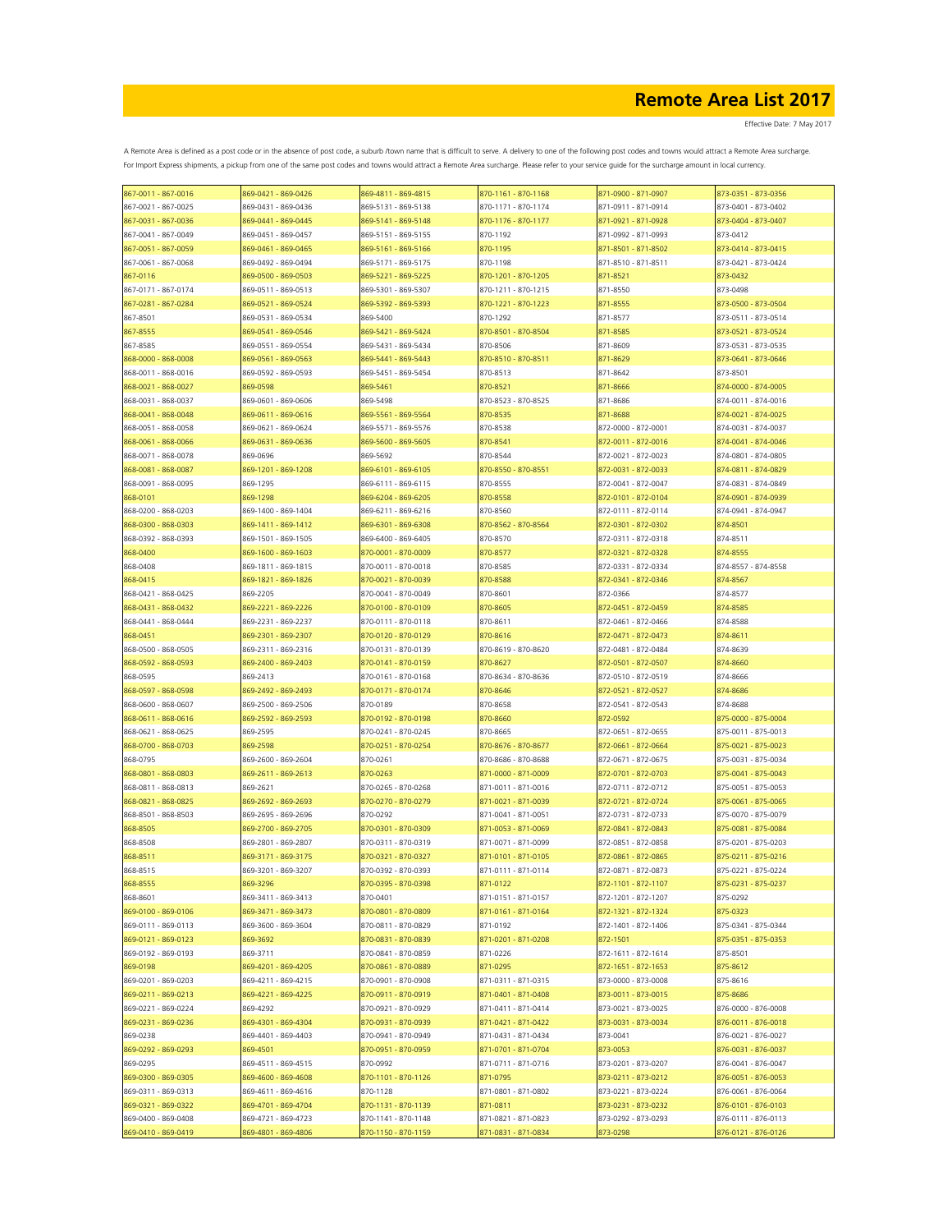| 867-0011 - 867-0016 | 869-0421 - 869-0426 | 869-4811 - 869-4815 | 870-1161 - 870-1168 | 871-0900 - 871-0907 | 873-0351 - 873-0356 |
|---------------------|---------------------|---------------------|---------------------|---------------------|---------------------|
| 867-0021 - 867-0025 | 869-0431 - 869-0436 | 869-5131 - 869-5138 | 870-1171 - 870-1174 | 871-0911 - 871-0914 | 873-0401 - 873-0402 |
| 867-0031 - 867-0036 | 869-0441 - 869-0445 | 869-5141 - 869-5148 | 870-1176 - 870-1177 | 871-0921 - 871-0928 | 873-0404 - 873-0407 |
| 867-0041 - 867-0049 | 869-0451 - 869-0457 | 869-5151 - 869-5155 | 870-1192            | 871-0992 - 871-0993 | 873-0412            |
| 867-0051 - 867-0059 | 869-0461 - 869-0465 | 869-5161 - 869-5166 | 870-1195            | 871-8501 - 871-8502 | 873-0414 - 873-0415 |
| 867-0061 - 867-0068 | 869-0492 - 869-0494 | 869-5171 - 869-5175 | 870-1198            | 871-8510 - 871-8511 | 873-0421 - 873-0424 |
| 867-0116            | 869-0500 - 869-0503 | 869-5221 - 869-5225 | 870-1201 - 870-1205 | 871-8521            | 873-0432            |
| 867-0171 - 867-0174 | 869-0511 - 869-0513 | 869-5301 - 869-5307 | 870-1211 - 870-1215 | 871-8550            | 873-0498            |
| 867-0281 - 867-0284 | 869-0521 - 869-0524 | 869-5392 - 869-5393 | 870-1221 - 870-1223 | 871-8555            | 873-0500 - 873-0504 |
| 867-8501            | 869-0531 - 869-0534 | 869-5400            | 870-1292            | 871-8577            | 873-0511 - 873-0514 |
| 867-8555            | 869-0541 - 869-0546 | 869-5421 - 869-5424 | 870-8501 - 870-8504 | 871-8585            | 873-0521 - 873-0524 |
| 867-8585            | 869-0551 - 869-0554 | 869-5431 - 869-5434 | 870-8506            | 871-8609            | 873-0531 - 873-0535 |
| 868-0000 - 868-0008 | 869-0561 - 869-0563 | 869-5441 - 869-5443 | 870-8510 - 870-8511 | 871-8629            | 873-0641 - 873-0646 |
| 868-0011 - 868-0016 | 869-0592 - 869-0593 | 869-5451 - 869-5454 | 870-8513            | 871-8642            | 873-8501            |
| 868-0021 - 868-0027 | 869-0598            | 869-5461            | 870-8521            | 871-8666            | 874-0000 - 874-0005 |
| 868-0031 - 868-0037 | 869-0601 - 869-0606 | 869-5498            | 870-8523 - 870-8525 | 871-8686            | 874-0011 - 874-0016 |
| 868-0041 - 868-0048 | 869-0611 - 869-0616 | 869-5561 - 869-5564 | 870-8535            | 871-8688            | 874-0021 - 874-0025 |
| 868-0051 - 868-0058 | 869-0621 - 869-0624 | 869-5571 - 869-5576 | 870-8538            | 872-0000 - 872-0001 | 874-0031 - 874-0037 |
| 868-0061 - 868-0066 | 869-0631 - 869-0636 | 869-5600 - 869-5605 | 870-8541            | 872-0011 - 872-0016 | 874-0041 - 874-0046 |
| 868-0071 - 868-0078 | 869-0696            | 869-5692            | 870-8544            | 872-0021 - 872-0023 | 874-0801 - 874-0805 |
| 868-0081 - 868-0087 | 869-1201 - 869-1208 | 869-6101 - 869-6105 | 870-8550 - 870-8551 | 872-0031 - 872-0033 | 874-0811 - 874-0829 |
| 868-0091 - 868-0095 | 869-1295            | 869-6111 - 869-6115 | 870-8555            | 872-0041 - 872-0047 | 874-0831 - 874-0849 |
| 868-0101            | 869-1298            | 869-6204 - 869-6205 | 870-8558            | 872-0101 - 872-0104 | 874-0901 - 874-0939 |
| 868-0200 - 868-0203 | 869-1400 - 869-1404 | 869-6211 - 869-6216 | 870-8560            | 872-0111 - 872-0114 | 874-0941 - 874-0947 |
| 868-0300 - 868-0303 | 869-1411 - 869-1412 | 869-6301 - 869-6308 | 870-8562 - 870-8564 | 872-0301 - 872-0302 | 874-8501            |
| 868-0392 - 868-0393 | 869-1501 - 869-1505 | 869-6400 - 869-6405 | 870-8570            | 872-0311 - 872-0318 | 874-8511            |
| 868-0400            | 369-1600 - 869-1603 | 870-0001 - 870-0009 | 870-8577            | 872-0321 - 872-0328 | 874-8555            |
| 868-0408            | 869-1811 - 869-1815 | 870-0011 - 870-0018 | 870-8585            | 872-0331 - 872-0334 | 874-8557 - 874-8558 |
| 868-0415            | 869-1821 - 869-1826 | 870-0021 - 870-0039 | 870-8588            | 872-0341 - 872-0346 | 874-8567            |
| 868-0421 - 868-0425 | 869-2205            | 870-0041 - 870-0049 | 870-8601            | 872-0366            | 874-8577            |
| 868-0431 - 868-0432 | 869-2221 - 869-2226 | 870-0100 - 870-0109 | 870-8605            | 872-0451 - 872-0459 | 874-8585            |
| 868-0441 - 868-0444 | 869-2231 - 869-2237 | 870-0111 - 870-0118 | 870-8611            | 872-0461 - 872-0466 | 874-8588            |
| 868-0451            | 869-2301 - 869-2307 | 870-0120 - 870-0129 | 870-8616            | 872-0471 - 872-0473 | 874-8611            |
| 868-0500 - 868-0505 | 869-2311 - 869-2316 | 870-0131 - 870-0139 | 870-8619 - 870-8620 | 872-0481 - 872-0484 | 874-8639            |
| 868-0592 - 868-0593 | 869-2400 - 869-2403 | 870-0141 - 870-0159 | 870-8627            | 872-0501 - 872-0507 | 874-8660            |
| 868-0595            | 869-2413            | 870-0161 - 870-0168 | 870-8634 - 870-8636 | 872-0510 - 872-0519 | 874-8666            |
| 868-0597 - 868-0598 | 869-2492 - 869-2493 | 870-0171 - 870-0174 | 870-8646            | 872-0521 - 872-0527 | 874-8686            |
| 868-0600 - 868-0607 | 869-2500 - 869-2506 | 870-0189            | 870-8658            | 872-0541 - 872-0543 | 874-8688            |
| 868-0611 - 868-0616 | 869-2592 - 869-2593 | 870-0192 - 870-0198 | 870-8660            | 872-0592            | 875-0000 - 875-0004 |
| 868-0621 - 868-0625 | 869-2595            | 870-0241 - 870-0245 | 870-8665            | 872-0651 - 872-0655 | 875-0011 - 875-0013 |
| 868-0700 - 868-0703 | 869-2598            | 870-0251 - 870-0254 | 870-8676 - 870-8677 | 872-0661 - 872-0664 | 875-0021 - 875-0023 |
| 868-0795            | 869-2600 - 869-2604 | 870-0261            | 870-8686 - 870-8688 | 872-0671 - 872-0675 | 875-0031 - 875-0034 |
| 868-0801 - 868-0803 | 869-2611 - 869-2613 | 870-0263            | 871-0000 - 871-0009 | 872-0701 - 872-0703 | 875-0041 - 875-0043 |
| 868-0811 - 868-0813 | 869-2621            | 870-0265 - 870-0268 | 871-0011 - 871-0016 | 872-0711 - 872-0712 | 875-0051 - 875-0053 |
| 868-0821 - 868-0825 | 869-2692 - 869-2693 | 870-0270 - 870-0279 | 871-0021 - 871-0039 | 872-0721 - 872-0724 | 875-0061 - 875-0065 |
| 868-8501 - 868-8503 | 869-2695 - 869-2696 | 870-0292            | 871-0041 - 871-0051 | 872-0731 - 872-0733 | 875-0070 - 875-0079 |
| 868-8505            | 869-2700 - 869-2705 | 870-0301 - 870-0309 | 871-0053 - 871-0069 | 872-0841 - 872-0843 | 875-0081 - 875-0084 |
| 868-8508            | 869-2801 - 869-2807 | 870-0311 - 870-0319 | 871-0071 - 871-0099 | 872-0851 - 872-0858 | 875-0201 - 875-0203 |
| 868-8511            | 869-3171 - 869-3175 | 870-0321 - 870-0327 | 871-0101 - 871-0105 | 872-0861 - 872-0865 | 875-0211 - 875-0216 |
| 868-8515            | 869-3201 - 869-3207 | 870-0392 - 870-0393 | 871-0111 - 871-0114 | 872-0871 - 872-0873 | 875-0221 - 875-0224 |
| 868-8555            | 869-3296            | 870-0395 - 870-0398 | 871-0122            | 872-1101 - 872-1107 | 875-0231 - 875-0237 |
| 868-8601            | 869-3411 - 869-3413 | 870-0401            | 871-0151 - 871-0157 | 872-1201 - 872-1207 | 875-0292            |
| 869-0100 - 869-0106 | 869-3471 - 869-3473 | 870-0801 - 870-0809 | 871-0161 - 871-0164 | 872-1321 - 872-1324 | 875-0323            |
| 869-0111 - 869-0113 | 869-3600 - 869-3604 | 870-0811 - 870-0829 | 871-0192            | 872-1401 - 872-1406 | 875-0341 - 875-0344 |
| 869-0121 - 869-0123 | 869-3692            | 870-0831 - 870-0839 | 871-0201 - 871-0208 | 872-1501            | 875-0351 - 875-0353 |
| 869-0192 - 869-0193 | 869-3711            | 870-0841 - 870-0859 | 871-0226            | 872-1611 - 872-1614 | 875-8501            |
| 869-0198            | 869-4201 - 869-4205 | 870-0861 - 870-0889 | 871-0295            | 872-1651 - 872-1653 | 875-8612            |
| 869-0201 - 869-0203 | 869-4211 - 869-4215 | 870-0901 - 870-0908 | 871-0311 - 871-0315 | 873-0000 - 873-0008 | 875-8616            |
| 869-0211 - 869-0213 | 869-4221 - 869-4225 | 870-0911 - 870-0919 | 871-0401 - 871-0408 | 873-0011 - 873-0015 | 875-8686            |
| 869-0221 - 869-0224 | 869-4292            | 870-0921 - 870-0929 | 871-0411 - 871-0414 | 873-0021 - 873-0025 | 876-0000 - 876-0008 |
| 869-0231 - 869-0236 | 869-4301 - 869-4304 | 870-0931 - 870-0939 | 871-0421 - 871-0422 | 873-0031 - 873-0034 | 876-0011 - 876-0018 |
| 869-0238            | 869-4401 - 869-4403 | 870-0941 - 870-0949 | 871-0431 - 871-0434 | 873-0041            | 876-0021 - 876-0027 |
| 869-0292 - 869-0293 | 869-4501            | 870-0951 - 870-0959 | 871-0701 - 871-0704 | 873-0053            | 876-0031 - 876-0037 |
| 869-0295            | 869-4511 - 869-4515 | 870-0992            | 871-0711 - 871-0716 | 873-0201 - 873-0207 | 876-0041 - 876-0047 |
| 869-0300 - 869-0305 | 869-4600 - 869-4608 | 870-1101 - 870-1126 | 871-0795            | 873-0211 - 873-0212 | 876-0051 - 876-0053 |
| 869-0311 - 869-0313 | 869-4611 - 869-4616 | 870-1128            | 871-0801 - 871-0802 | 873-0221 - 873-0224 | 876-0061 - 876-0064 |
| 869-0321 - 869-0322 | 869-4701 - 869-4704 | 870-1131 - 870-1139 | 871-0811            | 873-0231 - 873-0232 | 876-0101 - 876-0103 |
| 869-0400 - 869-0408 | 869-4721 - 869-4723 | 870-1141 - 870-1148 | 871-0821 - 871-0823 | 873-0292 - 873-0293 | 876-0111 - 876-0113 |
| 869-0410 - 869-0419 | 869-4801 - 869-4806 | 870-1150 - 870-1159 | 871-0831 - 871-0834 | 873-0298            | 876-0121 - 876-0126 |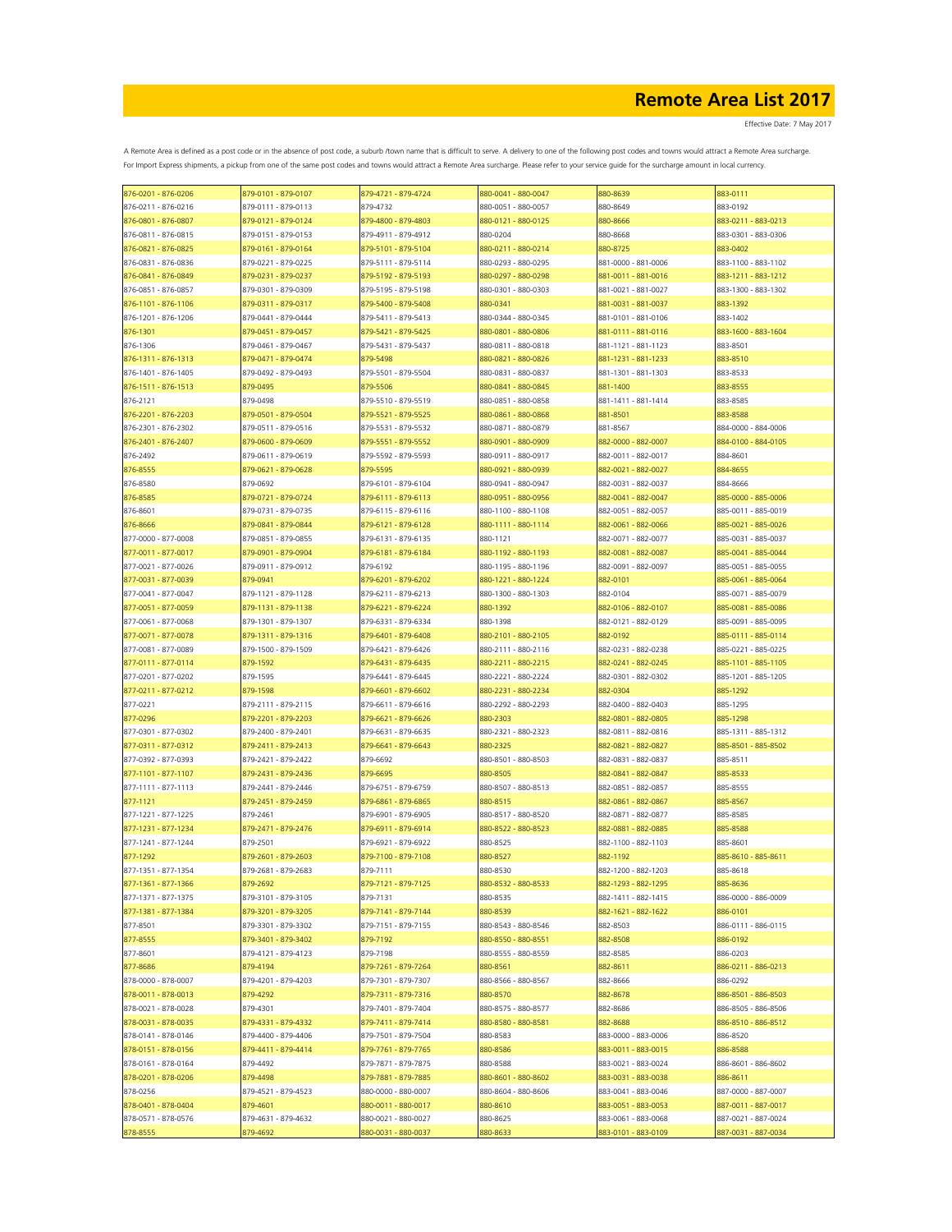| 876-0201 - 876-0206 | 879-0101 - 879-0107 | 879-4721 - 879-4724 | 880-0041 - 880-0047 | 880-8639            | 883-0111            |
|---------------------|---------------------|---------------------|---------------------|---------------------|---------------------|
| 876-0211 - 876-0216 | 879-0111 - 879-0113 | 879-4732            | 880-0051 - 880-0057 | 880-8649            | 883-0192            |
| 876-0801 - 876-0807 | 879-0121 - 879-0124 | 879-4800 - 879-4803 | 880-0121 - 880-0125 | 880-8666            | 883-0211 - 883-0213 |
| 876-0811 - 876-0815 | 879-0151 - 879-0153 | 879-4911 - 879-4912 | 880-0204            | 880-8668            | 883-0301 - 883-0306 |
| 876-0821 - 876-0825 | 879-0161 - 879-0164 | 879-5101 - 879-5104 | 880-0211 - 880-0214 | 880-8725            | 883-0402            |
| 876-0831 - 876-0836 | 879-0221 - 879-0225 | 879-5111 - 879-5114 | 880-0293 - 880-0295 | 881-0000 - 881-0006 | 883-1100 - 883-1102 |
| 876-0841 - 876-0849 | 879-0231 - 879-0237 | 879-5192 - 879-5193 | 880-0297 - 880-0298 | 881-0011 - 881-0016 | 883-1211 - 883-1212 |
| 876-0851 - 876-0857 | 879-0301 - 879-0309 | 879-5195 - 879-5198 | 880-0301 - 880-0303 | 881-0021 - 881-0027 | 883-1300 - 883-1302 |
| 876-1101 - 876-1106 | 879-0311 - 879-0317 | 879-5400 - 879-5408 | 880-0341            | 881-0031 - 881-0037 | 883-1392            |
| 876-1201 - 876-1206 | 879-0441 - 879-0444 | 879-5411 - 879-5413 | 880-0344 - 880-0345 | 881-0101 - 881-0106 | 883-1402            |
| 876-1301            | 879-0451 - 879-0457 | 879-5421 - 879-5425 | 880-0801 - 880-0806 | 881-0111 - 881-0116 | 883-1600 - 883-1604 |
| 876-1306            | 879-0461 - 879-0467 | 879-5431 - 879-5437 | 880-0811 - 880-0818 | 881-1121 - 881-1123 | 883-8501            |
| 876-1311 - 876-1313 | 879-0471 - 879-0474 | 879-5498            | 880-0821 - 880-0826 | 881-1231 - 881-1233 | 883-8510            |
| 876-1401 - 876-1405 | 879-0492 - 879-0493 | 879-5501 - 879-5504 | 880-0831 - 880-0837 | 881-1301 - 881-1303 | 883-8533            |
| 876-1511 - 876-1513 | 879-0495            | 879-5506            | 880-0841 - 880-0845 | 881-1400            | 883-8555            |
| 876-2121            | 879-0498            | 879-5510 - 879-5519 | 880-0851 - 880-0858 | 881-1411 - 881-1414 | 883-8585            |
| 876-2201 - 876-2203 | 879-0501 - 879-0504 | 879-5521 - 879-5525 | 880-0861 - 880-0868 | 881-8501            | 883-8588            |
| 876-2301 - 876-2302 | 879-0511 - 879-0516 | 879-5531 - 879-5532 | 880-0871 - 880-0879 | 881-8567            | 884-0000 - 884-0006 |
| 876-2401 - 876-2407 | 879-0600 - 879-0609 | 879-5551 - 879-5552 | 880-0901 - 880-0909 | 882-0000 - 882-0007 | 884-0100 - 884-0105 |
| 876-2492            | 879-0611 - 879-0619 | 879-5592 - 879-5593 | 880-0911 - 880-0917 | 882-0011 - 882-0017 | 884-8601            |
| 876-8555            | 879-0621 - 879-0628 | 879-5595            | 880-0921 - 880-0939 | 882-0021 - 882-0027 | 884-8655            |
| 876-8580            | 879-0692            | 879-6101 - 879-6104 | 880-0941 - 880-0947 | 882-0031 - 882-0037 | 884-8666            |
| 876-8585            | 879-0721 - 879-0724 | 879-6111 - 879-6113 | 880-0951 - 880-0956 | 882-0041 - 882-0047 | 885-0000 - 885-0006 |
| 876-8601            | 879-0731 - 879-0735 | 879-6115 - 879-6116 | 880-1100 - 880-1108 | 882-0051 - 882-0057 | 885-0011 - 885-0019 |
| 876-8666            | 879-0841 - 879-0844 | 879-6121 - 879-6128 | 880-1111 - 880-1114 | 882-0061 - 882-0066 | 885-0021 - 885-0026 |
| 877-0000 - 877-0008 | 879-0851 - 879-0855 | 879-6131 - 879-6135 | 880-1121            | 882-0071 - 882-0077 | 885-0031 - 885-0037 |
| 877-0011 - 877-0017 | 879-0901 - 879-0904 | 879-6181 - 879-6184 | 880-1192 - 880-1193 | 882-0081 - 882-0087 | 885-0041 - 885-0044 |
| 877-0021 - 877-0026 | 879-0911 - 879-0912 | 879-6192            | 880-1195 - 880-1196 | 882-0091 - 882-0097 | 885-0051 - 885-0055 |
| 877-0031 - 877-0039 | 879-0941            | 879-6201 - 879-6202 | 880-1221 - 880-1224 | 882-0101            | 885-0061 - 885-0064 |
| 877-0041 - 877-0047 | 879-1121 - 879-1128 | 879-6211 - 879-6213 | 880-1300 - 880-1303 | 882-0104            | 885-0071 - 885-0079 |
|                     |                     |                     | 880-1392            |                     |                     |
| 877-0051 - 877-0059 | 879-1131 - 879-1138 | 879-6221 - 879-6224 |                     | 882-0106 - 882-0107 | 885-0081 - 885-0086 |
| 877-0061 - 877-0068 | 879-1301 - 879-1307 | 879-6331 - 879-6334 | 880-1398            | 882-0121 - 882-0129 | 885-0091 - 885-0095 |
| 877-0071 - 877-0078 | 879-1311 - 879-1316 | 879-6401 - 879-6408 | 880-2101 - 880-2105 | 882-0192            | 885-0111 - 885-0114 |
| 877-0081 - 877-0089 | 879-1500 - 879-1509 | 879-6421 - 879-6426 | 880-2111 - 880-2116 | 882-0231 - 882-0238 | 885-0221 - 885-0225 |
| 877-0111 - 877-0114 | 879-1592            | 879-6431 - 879-6435 | 880-2211 - 880-2215 | 882-0241 - 882-0245 | 885-1101 - 885-1105 |
| 877-0201 - 877-0202 | 879-1595            | 879-6441 - 879-6445 | 880-2221 - 880-2224 | 882-0301 - 882-0302 | 885-1201 - 885-1205 |
| 877-0211 - 877-0212 | 879-1598            | 879-6601 - 879-6602 | 880-2231 - 880-2234 | 882-0304            | 885-1292            |
| 877-0221            | 879-2111 - 879-2115 | 879-6611 - 879-6616 | 880-2292 - 880-2293 | 882-0400 - 882-0403 | 885-1295            |
| 877-0296            | 879-2201 - 879-2203 | 879-6621 - 879-6626 | 880-2303            | 882-0801 - 882-0805 | 885-1298            |
| 877-0301 - 877-0302 | 879-2400 - 879-2401 | 879-6631 - 879-6635 | 880-2321 - 880-2323 | 882-0811 - 882-0816 | 885-1311 - 885-1312 |
| 877-0311 - 877-0312 | 879-2411 - 879-2413 | 879-6641 - 879-6643 | 880-2325            | 882-0821 - 882-0827 | 885-8501 - 885-8502 |
| 877-0392 - 877-0393 | 879-2421 - 879-2422 | 879-6692            | 880-8501 - 880-8503 | 882-0831 - 882-0837 | 885-8511            |
| 877-1101 - 877-1107 | 879-2431 - 879-2436 | 879-6695            | 880-8505            | 882-0841 - 882-0847 | 885-8533            |
| 877-1111 - 877-1113 | 879-2441 - 879-2446 | 879-6751 - 879-6759 | 880-8507 - 880-8513 | 882-0851 - 882-0857 | 885-8555            |
| 877-1121            | 879-2451 - 879-2459 | 879-6861 - 879-6865 | 880-8515            | 882-0861 - 882-0867 | 885-8567            |
| 877-1221 - 877-1225 | 879-2461            | 879-6901 - 879-6905 | 880-8517 - 880-8520 | 882-0871 - 882-0877 | 885-8585            |
| 877-1231 - 877-1234 | 879-2471 - 879-2476 | 879-6911 - 879-6914 | 880-8522 - 880-8523 | 882-0881 - 882-0885 | 885-8588            |
| 877-1241 - 877-1244 | 879-2501            | 879-6921 - 879-6922 | 880-8525            | 882-1100 - 882-1103 | 885-8601            |
| 877-1292            | 879-2601 - 879-2603 | 879-7100 - 879-7108 | 880-8527            | 882-1192            | 885-8610 - 885-8611 |
| 877-1351 - 877-1354 | 879-2681 - 879-2683 | 879-7111            | 880-8530            | 882-1200 - 882-1203 | 885-8618            |
| 877-1361 - 877-1366 | 879-2692            | 879-7121 - 879-7125 | 880-8532 - 880-8533 | 882-1293 - 882-1295 | 885-8636            |
| 877-1371 - 877-1375 | 879-3101 - 879-3105 | 879-7131            | 880-8535            | 882-1411 - 882-1415 | 886-0000 - 886-0009 |
| 877-1381 - 877-1384 | 879-3201 - 879-3205 | 879-7141 - 879-7144 | 880-8539            | 882-1621 - 882-1622 | 886-0101            |
| 877-8501            | 879-3301 - 879-3302 | 879-7151 - 879-7155 | 880-8543 - 880-8546 | 882-8503            | 886-0111 - 886-0115 |
| 877-8555            | 879-3401 - 879-3402 | 879-7192            | 880-8550 - 880-8551 | 882-8508            | 886-0192            |
| 877-8601            | 879-4121 - 879-4123 | 879-7198            | 880-8555 - 880-8559 | 882-8585            | 886-0203            |
| 877-8686            | 879-4194            | 879-7261 - 879-7264 | 880-8561            | 882-8611            | 886-0211 - 886-0213 |
| 878-0000 - 878-0007 | 879-4201 - 879-4203 | 879-7301 - 879-7307 | 880-8566 - 880-8567 | 882-8666            | 886-0292            |
| 878-0011 - 878-0013 | 879-4292            | 879-7311 - 879-7316 | 880-8570            | 882-8678            | 886-8501 - 886-8503 |
| 878-0021 - 878-0028 | 879-4301            | 879-7401 - 879-7404 | 880-8575 - 880-8577 | 882-8686            | 886-8505 - 886-8506 |
| 878-0031 - 878-0035 | 879-4331 - 879-4332 | 879-7411 - 879-7414 | 880-8580 - 880-8581 | 882-8688            | 886-8510 - 886-8512 |
| 878-0141 - 878-0146 | 879-4400 - 879-4406 | 879-7501 - 879-7504 | 880-8583            | 883-0000 - 883-0006 | 886-8520            |
| 878-0151 - 878-0156 | 879-4411 - 879-4414 | 879-7761 - 879-7765 | 880-8586            | 883-0011 - 883-0015 | 886-8588            |
| 878-0161 - 878-0164 | 879-4492            | 879-7871 - 879-7875 | 880-8588            | 883-0021 - 883-0024 | 886-8601 - 886-8602 |
| 878-0201 - 878-0206 | 879-4498            | 879-7881 - 879-7885 | 880-8601 - 880-8602 | 883-0031 - 883-0038 | 886-8611            |
| 878-0256            | 879-4521 - 879-4523 | 880-0000 - 880-0007 | 880-8604 - 880-8606 | 883-0041 - 883-0046 | 887-0000 - 887-0007 |
| 878-0401 - 878-0404 | 879-4601            | 880-0011 - 880-0017 | 880-8610            | 883-0051 - 883-0053 | 887-0011 - 887-0017 |
| 878-0571 - 878-0576 | 879-4631 - 879-4632 | 880-0021 - 880-0027 | 880-8625            | 883-0061 - 883-0068 | 887-0021 - 887-0024 |
| 878-8555            | 879-4692            | 880-0031 - 880-0037 | 880-8633            | 883-0101 - 883-0109 | 887-0031 - 887-0034 |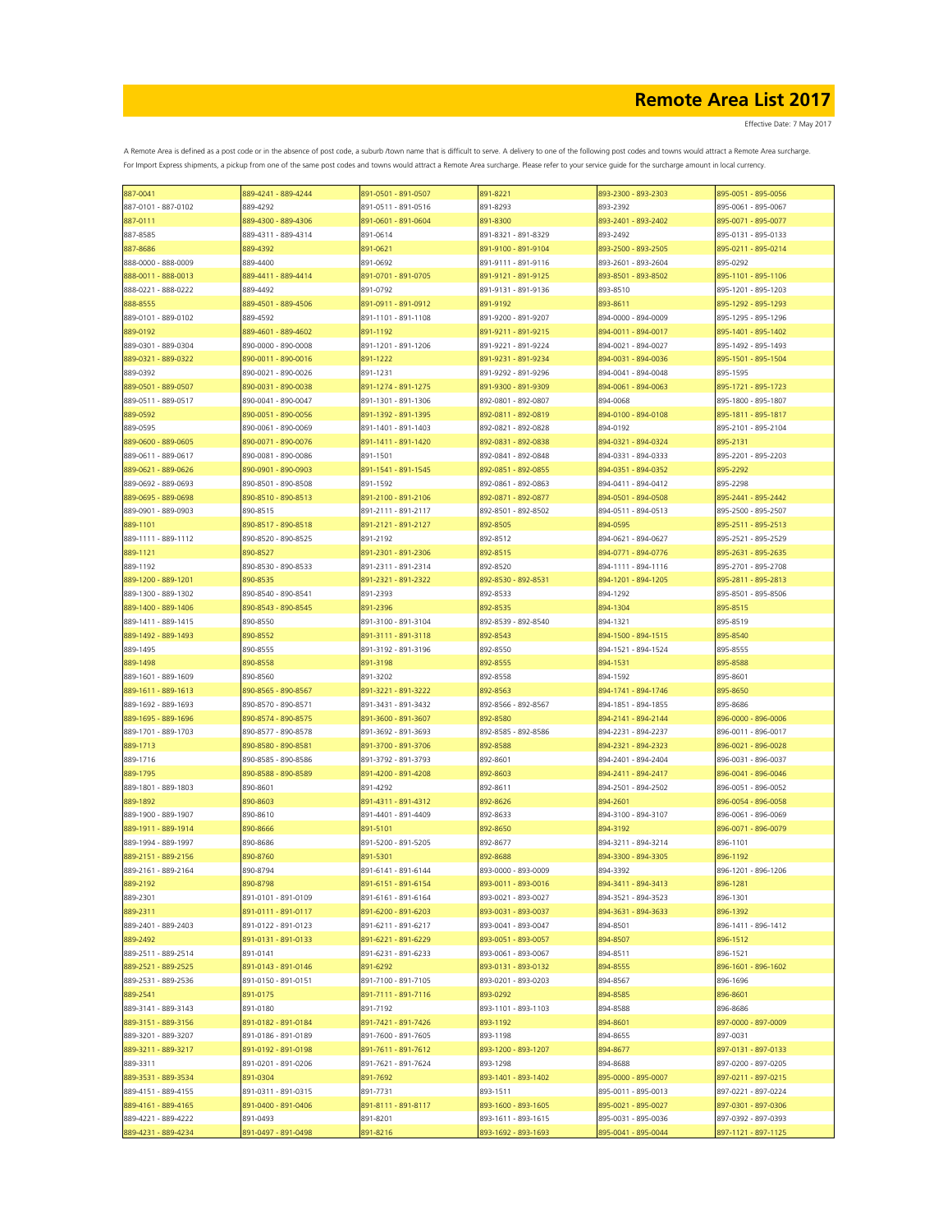| 887-0041            | 889-4241 - 889-4244 | 891-0501 - 891-0507 | 891-8221            | 893-2300 - 893-2303                        | 895-0051 - 895-0056 |
|---------------------|---------------------|---------------------|---------------------|--------------------------------------------|---------------------|
| 887-0101 - 887-0102 | 889-4292            | 891-0511 - 891-0516 | 891-8293            | 893-2392                                   | 895-0061 - 895-0067 |
| 887-0111            | 889-4300 - 889-4306 | 891-0601 - 891-0604 | 891-8300            | 893-2401 - 893-2402                        | 895-0071 - 895-0077 |
| 887-8585            | 889-4311 - 889-4314 | 891-0614            | 891-8321 - 891-8329 | 893-2492                                   | 895-0131 - 895-0133 |
| 887-8686            | 889-4392            | 891-0621            | 891-9100 - 891-9104 | 893-2500 - 893-2505                        | 895-0211 - 895-0214 |
| 888-0000 - 888-0009 | 889-4400            | 891-0692            | 891-9111 - 891-9116 | 893-2601 - 893-2604                        | 895-0292            |
|                     |                     |                     |                     |                                            |                     |
| 888-0011 - 888-0013 | 889-4411 - 889-4414 | 891-0701 - 891-0705 | 891-9121 - 891-9125 | 893-8501 - 893-8502                        | 895-1101 - 895-1106 |
| 888-0221 - 888-0222 | 889-4492            | 891-0792            | 891-9131 - 891-9136 | 893-8510                                   | 895-1201 - 895-1203 |
| 888-8555            | 889-4501 - 889-4506 | 891-0911 - 891-0912 | 891-9192            | 893-8611                                   | 895-1292 - 895-1293 |
| 889-0101 - 889-0102 | 889-4592            | 891-1101 - 891-1108 | 891-9200 - 891-9207 | 894-0000 - 894-0009                        | 895-1295 - 895-1296 |
| 889-0192            | 889-4601 - 889-4602 | 891-1192            | 891-9211 - 891-9215 | 894-0011 - 894-0017                        | 895-1401 - 895-1402 |
| 889-0301 - 889-0304 | 890-0000 - 890-0008 | 891-1201 - 891-1206 | 891-9221 - 891-9224 | 894-0021 - 894-0027                        | 895-1492 - 895-1493 |
| 889-0321 - 889-0322 | 890-0011 - 890-0016 | 891-1222            | 891-9231 - 891-9234 | 894-0031 - 894-0036                        | 895-1501 - 895-1504 |
| 889-0392            | 890-0021 - 890-0026 | 891-1231            | 891-9292 - 891-9296 | 894-0041 - 894-0048                        | 895-1595            |
| 889-0501 - 889-0507 | 890-0031 - 890-0038 | 891-1274 - 891-1275 | 891-9300 - 891-9309 | 894-0061 - 894-0063                        | 895-1721 - 895-1723 |
| 889-0511 - 889-0517 | 890-0041 - 890-0047 | 891-1301 - 891-1306 | 892-0801 - 892-0807 | 894-0068                                   | 895-1800 - 895-1807 |
| 889-0592            | 890-0051 - 890-0056 | 891-1392 - 891-1395 | 892-0811 - 892-0819 | 894-0100 - 894-0108                        | 895-1811 - 895-1817 |
|                     |                     |                     |                     |                                            |                     |
| 889-0595            | 890-0061 - 890-0069 | 891-1401 - 891-1403 | 892-0821 - 892-0828 | 894-0192                                   | 895-2101 - 895-2104 |
| 889-0600 - 889-0605 | 890-0071 - 890-0076 | 891-1411 - 891-1420 | 892-0831 - 892-0838 | 894-0321 - 894-0324                        | 895-2131            |
| 889-0611 - 889-0617 | 890-0081 - 890-0086 | 891-1501            | 892-0841 - 892-0848 | 894-0331 - 894-0333                        | 895-2201 - 895-2203 |
| 889-0621 - 889-0626 | 890-0901 - 890-0903 | 891-1541 - 891-1545 | 892-0851 - 892-0855 | 894-0351 - 894-0352                        | 895-2292            |
| 889-0692 - 889-0693 | 890-8501 - 890-8508 | 891-1592            | 892-0861 - 892-0863 | 894-0411 - 894-0412                        | 895-2298            |
| 889-0695 - 889-0698 | 890-8510 - 890-8513 | 891-2100 - 891-2106 | 892-0871 - 892-0877 | 894-0501 - 894-0508                        | 895-2441 - 895-2442 |
| 889-0901 - 889-0903 | 890-8515            | 891-2111 - 891-2117 | 892-8501 - 892-8502 | 894-0511 - 894-0513                        | 895-2500 - 895-2507 |
| 889-1101            | 890-8517 - 890-8518 | 891-2121 - 891-2127 | 892-8505            | 894-0595                                   | 895-2511 - 895-2513 |
| 889-1111 - 889-1112 | 890-8520 - 890-8525 | 891-2192            | 892-8512            | 894-0621 - 894-0627                        | 895-2521 - 895-2529 |
| 889-1121            | 890-8527            | 891-2301 - 891-2306 | 892-8515            | 894-0771 - 894-0776                        | 895-2631 - 895-2635 |
|                     |                     |                     |                     |                                            |                     |
| 889-1192            | 890-8530 - 890-8533 | 891-2311 - 891-2314 | 892-8520            | 894-1111 - 894-1116                        | 895-2701 - 895-2708 |
| 889-1200 - 889-1201 | 890-8535            | 891-2321 - 891-2322 | 892-8530 - 892-8531 | 894-1201 - 894-1205                        | 895-2811 - 895-2813 |
| 889-1300 - 889-1302 | 890-8540 - 890-8541 | 891-2393            | 892-8533            | 894-1292                                   | 895-8501 - 895-8506 |
| 889-1400 - 889-1406 | 890-8543 - 890-8545 | 891-2396            | 892-8535            | 894-1304                                   | 895-8515            |
| 889-1411 - 889-1415 | 890-8550            | 891-3100 - 891-3104 | 892-8539 - 892-8540 | 894-1321                                   | 895-8519            |
| 889-1492 - 889-1493 | 890-8552            | 891-3111 - 891-3118 | 892-8543            | 894-1500 - 894-1515                        | 895-8540            |
| 889-1495            | 890-8555            | 891-3192 - 891-3196 | 892-8550            | 894-1521 - 894-1524                        | 895-8555            |
| 889-1498            | 890-8558            | 891-3198            | 892-8555            | 894-1531                                   | 895-8588            |
| 889-1601 - 889-1609 | 890-8560            | 891-3202            | 892-8558            | 894-1592                                   | 895-8601            |
| 889-1611 - 889-1613 | 890-8565 - 890-8567 | 891-3221 - 891-3222 | 892-8563            | 894-1741 - 894-1746                        | 895-8650            |
| 889-1692 - 889-1693 | 890-8570 - 890-8571 | 891-3431 - 891-3432 | 892-8566 - 892-8567 | 894-1851 - 894-1855                        | 895-8686            |
|                     |                     |                     |                     |                                            |                     |
| 889-1695 - 889-1696 | 890-8574 - 890-8575 | 891-3600 - 891-3607 | 892-8580            | 894-2141 - 894-2144                        | 896-0000 - 896-0006 |
| 889-1701 - 889-1703 | 890-8577 - 890-8578 | 891-3692 - 891-3693 | 892-8585 - 892-8586 | 894-2231 - 894-2237                        | 896-0011 - 896-0017 |
| 889-1713            | 890-8580 - 890-8581 | 891-3700 - 891-3706 | 892-8588            | 894-2321 - 894-2323                        | 896-0021 - 896-0028 |
| 889-1716            | 890-8585 - 890-8586 | 891-3792 - 891-3793 | 892-8601            | 894-2401 - 894-2404                        | 896-0031 - 896-0037 |
| 889-1795            | 890-8588 - 890-8589 | 891-4200 - 891-4208 | 892-8603            | 894-2411 - 894-2417                        | 896-0041 - 896-0046 |
| 889-1801 - 889-1803 | 890-8601            | 891-4292            | 892-8611            | 894-2501 - 894-2502                        | 896-0051 - 896-0052 |
| 889-1892            | 890-8603            | 891-4311 - 891-4312 | 892-8626            | 894-2601                                   | 896-0054 - 896-0058 |
| 889-1900 - 889-1907 | 890-8610            | 891-4401 - 891-4409 | 892-8633            | 894-3100 - 894-3107                        | 896-0061 - 896-0069 |
| 889-1911 - 889-1914 | 890-8666            | 891-5101            | 892-8650            | 894-3192                                   | 896-0071 - 896-0079 |
| 889-1994 - 889-1997 | 890-8686            | 891-5200 - 891-5205 |                     |                                            |                     |
| 889-2151 - 889-2156 |                     |                     | 892-8677            | 894-3211 - 894-3214<br>894-3300 - 894-3305 | 896-1101            |
|                     | 890-8760            | 891-5301            | 892-8688            |                                            | 896-1192            |
| 889-2161 - 889-2164 | 890-8794            | 891-6141 - 891-6144 | 893-0000 - 893-0009 | 894-3392                                   | 896-1201 - 896-1206 |
| 889-2192            | 890-8798            | 891-6151 - 891-6154 | 893-0011 - 893-0016 | 894-3411 - 894-3413                        | 896-1281            |
| 889-2301            | 891-0101 - 891-0109 | 891-6161 - 891-6164 | 893-0021 - 893-0027 | 894-3521 - 894-3523                        | 896-1301            |
| 889-2311            | 891-0111 - 891-0117 | 891-6200 - 891-6203 | 893-0031 - 893-0037 | 894-3631 - 894-3633                        | 896-1392            |
| 889-2401 - 889-2403 | 891-0122 - 891-0123 | 891-6211 - 891-6217 | 893-0041 - 893-0047 | 894-8501                                   | 896-1411 - 896-1412 |
| 889-2492            | 891-0131 - 891-0133 | 891-6221 - 891-6229 | 893-0051 - 893-0057 | 894-8507                                   | 896-1512            |
| 889-2511 - 889-2514 | 891-0141            | 891-6231 - 891-6233 | 893-0061 - 893-0067 | 894-8511                                   | 896-1521            |
| 889-2521 - 889-2525 | 891-0143 - 891-0146 | 891-6292            | 893-0131 - 893-0132 | 894-8555                                   | 896-1601 - 896-1602 |
| 889-2531 - 889-2536 | 891-0150 - 891-0151 | 891-7100 - 891-7105 | 893-0201 - 893-0203 | 894-8567                                   | 896-1696            |
| 889-2541            | 891-0175            | 891-7111 - 891-7116 | 893-0292            | 894-8585                                   | 896-8601            |
|                     |                     |                     | 893-1101 - 893-1103 | 894-8588                                   | 896-8686            |
| 889-3141 - 889-3143 | 891-0180            | 891-7192            |                     |                                            |                     |
| 889-3151 - 889-3156 | 891-0182 - 891-0184 | 891-7421 - 891-7426 | 893-1192            | 894-8601                                   | 897-0000 - 897-0009 |
| 889-3201 - 889-3207 | 891-0186 - 891-0189 | 891-7600 - 891-7605 | 893-1198            | 894-8655                                   | 897-0031            |
| 889-3211 - 889-3217 | 891-0192 - 891-0198 | 891-7611 - 891-7612 | 893-1200 - 893-1207 | 894-8677                                   | 897-0131 - 897-0133 |
| 889-3311            | 891-0201 - 891-0206 | 891-7621 - 891-7624 | 893-1298            | 894-8688                                   | 897-0200 - 897-0205 |
| 889-3531 - 889-3534 | 891-0304            | 891-7692            | 893-1401 - 893-1402 | 895-0000 - 895-0007                        | 897-0211 - 897-0215 |
| 889-4151 - 889-4155 | 891-0311 - 891-0315 | 891-7731            | 893-1511            | 895-0011 - 895-0013                        | 897-0221 - 897-0224 |
| 889-4161 - 889-4165 | 891-0400 - 891-0406 | 891-8111 - 891-8117 | 893-1600 - 893-1605 | 895-0021 - 895-0027                        | 897-0301 - 897-0306 |
| 889-4221 - 889-4222 | 891-0493            | 891-8201            | 893-1611 - 893-1615 | 895-0031 - 895-0036                        | 897-0392 - 897-0393 |
| 889-4231 - 889-4234 | 891-0497 - 891-0498 | 891-8216            | 893-1692 - 893-1693 | 895-0041 - 895-0044                        | 897-1121 - 897-1125 |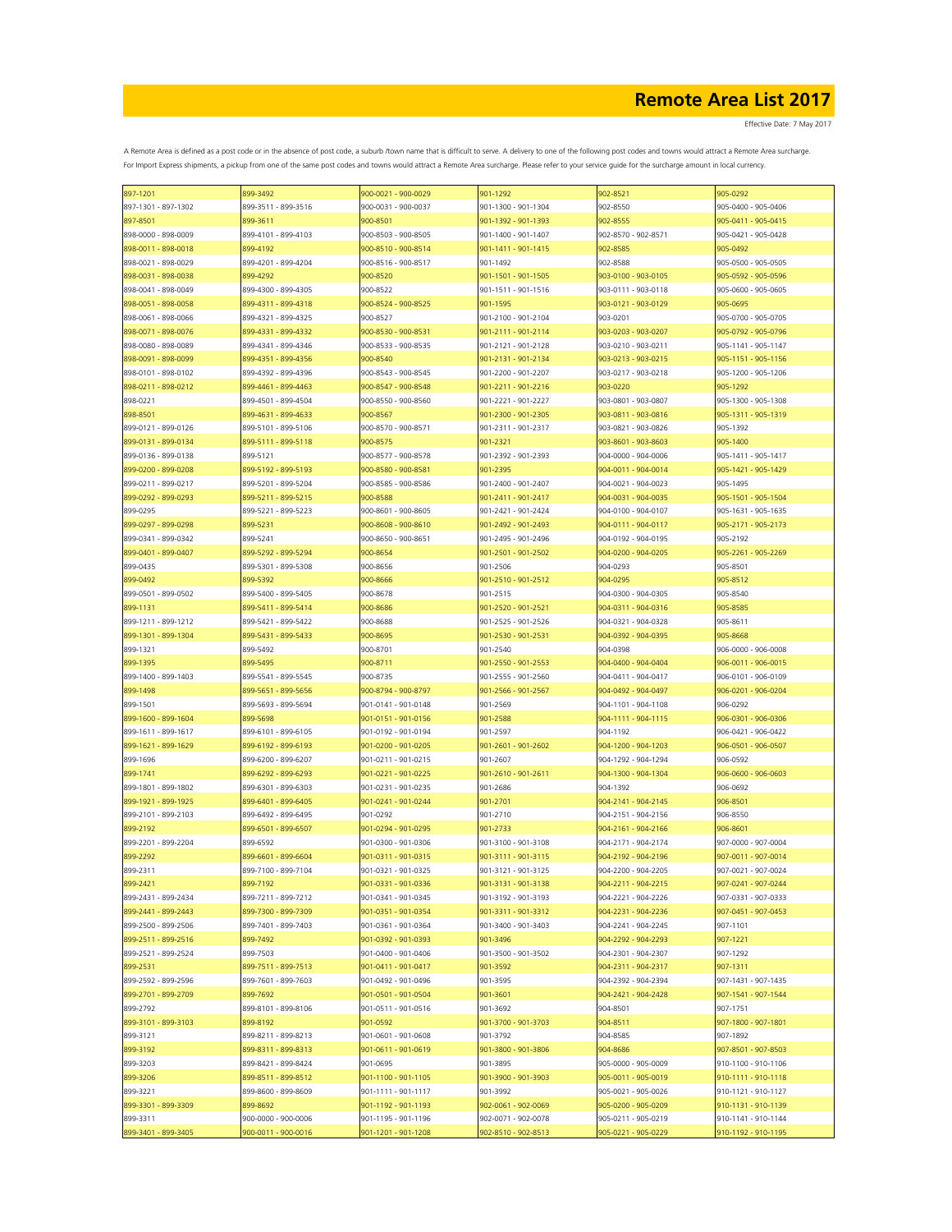| 897-1201            | 899-3492            | 900-0021 - 900-0029 | 901-1292            | 902-8521            | 905-0292            |
|---------------------|---------------------|---------------------|---------------------|---------------------|---------------------|
| 897-1301 - 897-1302 | 899-3511 - 899-3516 | 900-0031 - 900-0037 | 901-1300 - 901-1304 | 902-8550            | 905-0400 - 905-0406 |
| 897-8501            | 899-3611            | 900-8501            | 901-1392 - 901-1393 | 902-8555            | 905-0411 - 905-0415 |
| 898-0000 - 898-0009 | 899-4101 - 899-4103 | 900-8503 - 900-8505 | 901-1400 - 901-1407 | 902-8570 - 902-8571 | 905-0421 - 905-0428 |
| 898-0011 - 898-0018 | 899-4192            | 900-8510 - 900-8514 | 901-1411 - 901-1415 | 902-8585            | 905-0492            |
| 898-0021 - 898-0029 | 899-4201 - 899-4204 | 900-8516 - 900-8517 | 901-1492            | 902-8588            | 905-0500 - 905-0505 |
| 898-0031 - 898-0038 | 899-4292            | 900-8520            | 901-1501 - 901-1505 | 903-0100 - 903-0105 | 905-0592 - 905-0596 |
|                     |                     |                     |                     |                     |                     |
| 898-0041 - 898-0049 | 899-4300 - 899-4305 | 900-8522            | 901-1511 - 901-1516 | 903-0111 - 903-0118 | 905-0600 - 905-0605 |
| 898-0051 - 898-0058 | 899-4311 - 899-4318 | 900-8524 - 900-8525 | 901-1595            | 903-0121 - 903-0129 | 905-0695            |
| 898-0061 - 898-0066 | 899-4321 - 899-4325 | 900-8527            | 901-2100 - 901-2104 | 903-0201            | 905-0700 - 905-0705 |
| 898-0071 - 898-0076 | 899-4331 - 899-4332 | 900-8530 - 900-8531 | 901-2111 - 901-2114 | 903-0203 - 903-0207 | 905-0792 - 905-0796 |
| 898-0080 - 898-0089 | 899-4341 - 899-4346 | 900-8533 - 900-8535 | 901-2121 - 901-2128 | 903-0210 - 903-0211 | 905-1141 - 905-1147 |
| 898-0091 - 898-0099 | 899-4351 - 899-4356 | 900-8540            | 901-2131 - 901-2134 | 903-0213 - 903-0215 | 905-1151 - 905-1156 |
| 898-0101 - 898-0102 | 899-4392 - 899-4396 | 900-8543 - 900-8545 | 901-2200 - 901-2207 | 903-0217 - 903-0218 | 905-1200 - 905-1206 |
| 898-0211 - 898-0212 | 899-4461 - 899-4463 | 900-8547 - 900-8548 | 901-2211 - 901-2216 | 903-0220            | 905-1292            |
| 898-0221            | 899-4501 - 899-4504 | 900-8550 - 900-8560 | 901-2221 - 901-2227 | 903-0801 - 903-0807 | 905-1300 - 905-1308 |
| 898-8501            | 899-4631 - 899-4633 | 900-8567            | 901-2300 - 901-2305 | 903-0811 - 903-0816 | 905-1311 - 905-1319 |
| 899-0121 - 899-0126 | 899-5101 - 899-5106 | 900-8570 - 900-8571 | 901-2311 - 901-2317 | 903-0821 - 903-0826 | 905-1392            |
|                     |                     |                     |                     |                     |                     |
| 899-0131 - 899-0134 | 899-5111 - 899-5118 | 900-8575            | 901-2321            | 903-8601 - 903-8603 | 905-1400            |
| 899-0136 - 899-0138 | 899-5121            | 900-8577 - 900-8578 | 901-2392 - 901-2393 | 904-0000 - 904-0006 | 905-1411 - 905-1417 |
| 899-0200 - 899-0208 | 899-5192 - 899-5193 | 900-8580 - 900-8581 | 901-2395            | 904-0011 - 904-0014 | 905-1421 - 905-1429 |
| 899-0211 - 899-0217 | 899-5201 - 899-5204 | 900-8585 - 900-8586 | 901-2400 - 901-2407 | 904-0021 - 904-0023 | 905-1495            |
| 899-0292 - 899-0293 | 899-5211 - 899-5215 | 900-8588            | 901-2411 - 901-2417 | 904-0031 - 904-0035 | 905-1501 - 905-1504 |
| 899-0295            | 899-5221 - 899-5223 | 900-8601 - 900-8605 | 901-2421 - 901-2424 | 904-0100 - 904-0107 | 905-1631 - 905-1635 |
| 899-0297 - 899-0298 | 899-5231            | 900-8608 - 900-8610 | 901-2492 - 901-2493 | 904-0111 - 904-0117 | 905-2171 - 905-2173 |
| 899-0341 - 899-0342 | 899-5241            | 900-8650 - 900-8651 | 901-2495 - 901-2496 | 904-0192 - 904-0195 | 905-2192            |
| 899-0401 - 899-0407 | 899-5292 - 899-5294 | 900-8654            | 901-2501 - 901-2502 | 904-0200 - 904-0205 | 905-2261 - 905-2269 |
| 899-0435            | 899-5301 - 899-5308 | 900-8656            | 901-2506            | 904-0293            | 905-8501            |
| 899-0492            | 899-5392            | 900-8666            | 901-2510 - 901-2512 | 904-0295            | 905-8512            |
| 899-0501 - 899-0502 | 899-5400 - 899-5405 |                     |                     |                     |                     |
|                     |                     | 900-8678            | 901-2515            | 904-0300 - 904-0305 | 905-8540            |
| 899-1131            | 899-5411 - 899-5414 | 900-8686            | 901-2520 - 901-2521 | 904-0311 - 904-0316 | 905-8585            |
| 899-1211 - 899-1212 | 899-5421 - 899-5422 | 900-8688            | 901-2525 - 901-2526 | 904-0321 - 904-0328 | 905-8611            |
| 899-1301 - 899-1304 | 899-5431 - 899-5433 | 900-8695            | 901-2530 - 901-2531 | 904-0392 - 904-0395 | 905-8668            |
| 899-1321            | 899-5492            | 900-8701            | 901-2540            | 904-0398            | 906-0000 - 906-0008 |
| 899-1395            | 899-5495            | 900-8711            | 901-2550 - 901-2553 | 904-0400 - 904-0404 | 906-0011 - 906-0015 |
| 899-1400 - 899-1403 | 899-5541 - 899-5545 | 900-8735            | 901-2555 - 901-2560 | 904-0411 - 904-0417 | 906-0101 - 906-0109 |
| 899-1498            | 899-5651 - 899-5656 | 900-8794 - 900-8797 | 901-2566 - 901-2567 | 904-0492 - 904-0497 | 906-0201 - 906-0204 |
| 899-1501            | 899-5693 - 899-5694 | 901-0141 - 901-0148 | 901-2569            | 904-1101 - 904-1108 | 906-0292            |
| 899-1600 - 899-1604 | 899-5698            | 901-0151 - 901-0156 | 901-2588            | 904-1111 - 904-1115 | 906-0301 - 906-0306 |
| 899-1611 - 899-1617 | 899-6101 - 899-6105 | 901-0192 - 901-0194 | 901-2597            | 904-1192            | 906-0421 - 906-0422 |
|                     |                     |                     |                     |                     |                     |
| 899-1621 - 899-1629 | 899-6192 - 899-6193 | 901-0200 - 901-0205 | 901-2601 - 901-2602 | 904-1200 - 904-1203 | 906-0501 - 906-0507 |
| 899-1696            | 899-6200 - 899-6207 | 901-0211 - 901-0215 | 901-2607            | 904-1292 - 904-1294 | 906-0592            |
| 899-1741            | 899-6292 - 899-6293 | 901-0221 - 901-0225 | 901-2610 - 901-2611 | 904-1300 - 904-1304 | 906-0600 - 906-0603 |
| 899-1801 - 899-1802 | 899-6301 - 899-6303 | 901-0231 - 901-0235 | 901-2686            | 904-1392            | 906-0692            |
| 899-1921 - 899-1925 | 899-6401 - 899-6405 | 901-0241 - 901-0244 | 901-2701            | 904-2141 - 904-2145 | 906-8501            |
| 899-2101 - 899-2103 | 899-6492 - 899-6495 | 901-0292            | 901-2710            | 904-2151 - 904-2156 | 906-8550            |
| 899-2192            | 899-6501 - 899-6507 | 901-0294 - 901-0295 | 901-2733            | 904-2161 - 904-2166 | 906-8601            |
| 899-2201 - 899-2204 | 899-6592            | 901-0300 - 901-0306 | 901-3100 - 901-3108 | 904-2171 - 904-2174 | 907-0000 - 907-0004 |
| 899-2292            | 899-6601 - 899-6604 | 901-0311 - 901-0315 | 901-3111 - 901-3115 | 904-2192 - 904-2196 | 907-0011 - 907-0014 |
| 899-2311            | 899-7100 - 899-7104 | 901-0321 - 901-0325 | 901-3121 - 901-3125 | 904-2200 - 904-2205 | 907-0021 - 907-0024 |
| 899-2421            | 899-7192            | 901-0331 - 901-0336 | 901-3131 - 901-3138 | 904-2211 - 904-2215 | 907-0241 - 907-0244 |
| 899-2431 - 899-2434 | 899-7211 - 899-7212 | 901-0341 - 901-0345 | 901-3192 - 901-3193 | 904-2221 - 904-2226 | 907-0331 - 907-0333 |
|                     |                     |                     |                     |                     |                     |
| 899-2441 - 899-2443 | 899-7300 - 899-7309 | 901-0351 - 901-0354 | 901-3311 - 901-3312 | 904-2231 - 904-2236 | 907-0451 - 907-0453 |
| 899-2500 - 899-2506 | 899-7401 - 899-7403 | 901-0361 - 901-0364 | 901-3400 - 901-3403 | 904-2241 - 904-2245 | 907-1101            |
| 899-2511 - 899-2516 | 899-7492            | 901-0392 - 901-0393 | 901-3496            | 904-2292 - 904-2293 | 907-1221            |
| 899-2521 - 899-2524 | 899-7503            | 901-0400 - 901-0406 | 901-3500 - 901-3502 | 904-2301 - 904-2307 | 907-1292            |
| 899-2531            | 899-7511 - 899-7513 | 901-0411 - 901-0417 | 901-3592            | 904-2311 - 904-2317 | 907-1311            |
| 899-2592 - 899-2596 | 899-7601 - 899-7603 | 901-0492 - 901-0496 | 901-3595            | 904-2392 - 904-2394 | 907-1431 - 907-1435 |
| 899-2701 - 899-2709 | 899-7692            | 901-0501 - 901-0504 | 901-3601            | 904-2421 - 904-2428 | 907-1541 - 907-1544 |
| 899-2792            | 899-8101 - 899-8106 | 901-0511 - 901-0516 | 901-3692            | 904-8501            | 907-1751            |
| 899-3101 - 899-3103 | 899-8192            | 901-0592            | 901-3700 - 901-3703 | 904-8511            | 907-1800 - 907-1801 |
| 899-3121            | 899-8211 - 899-8213 | 901-0601 - 901-0608 | 901-3792            | 904-8585            | 907-1892            |
| 899-3192            | 899-8311 - 899-8313 | 901-0611 - 901-0619 | 901-3800 - 901-3806 | 904-8686            | 907-8501 - 907-8503 |
| 899-3203            |                     | 901-0695            | 901-3895            | 905-0000 - 905-0009 | 910-1100 - 910-1106 |
|                     | 899-8421 - 899-8424 |                     |                     |                     |                     |
| 899-3206            | 899-8511 - 899-8512 | 901-1100 - 901-1105 | 901-3900 - 901-3903 | 905-0011 - 905-0019 | 910-1111 - 910-1118 |
| 899-3221            | 899-8600 - 899-8609 | 901-1111 - 901-1117 | 901-3992            | 905-0021 - 905-0026 | 910-1121 - 910-1127 |
| 899-3301 - 899-3309 | 899-8692            | 901-1192 - 901-1193 | 902-0061 - 902-0069 | 905-0200 - 905-0209 | 910-1131 - 910-1139 |
| 899-3311            | 900-0000 - 900-0006 | 901-1195 - 901-1196 | 902-0071 - 902-0078 | 905-0211 - 905-0219 | 910-1141 - 910-1144 |
| 899-3401 - 899-3405 | 900-0011 - 900-0016 | 901-1201 - 901-1208 | 902-8510 - 902-8513 | 905-0221 - 905-0229 | 910-1192 - 910-1195 |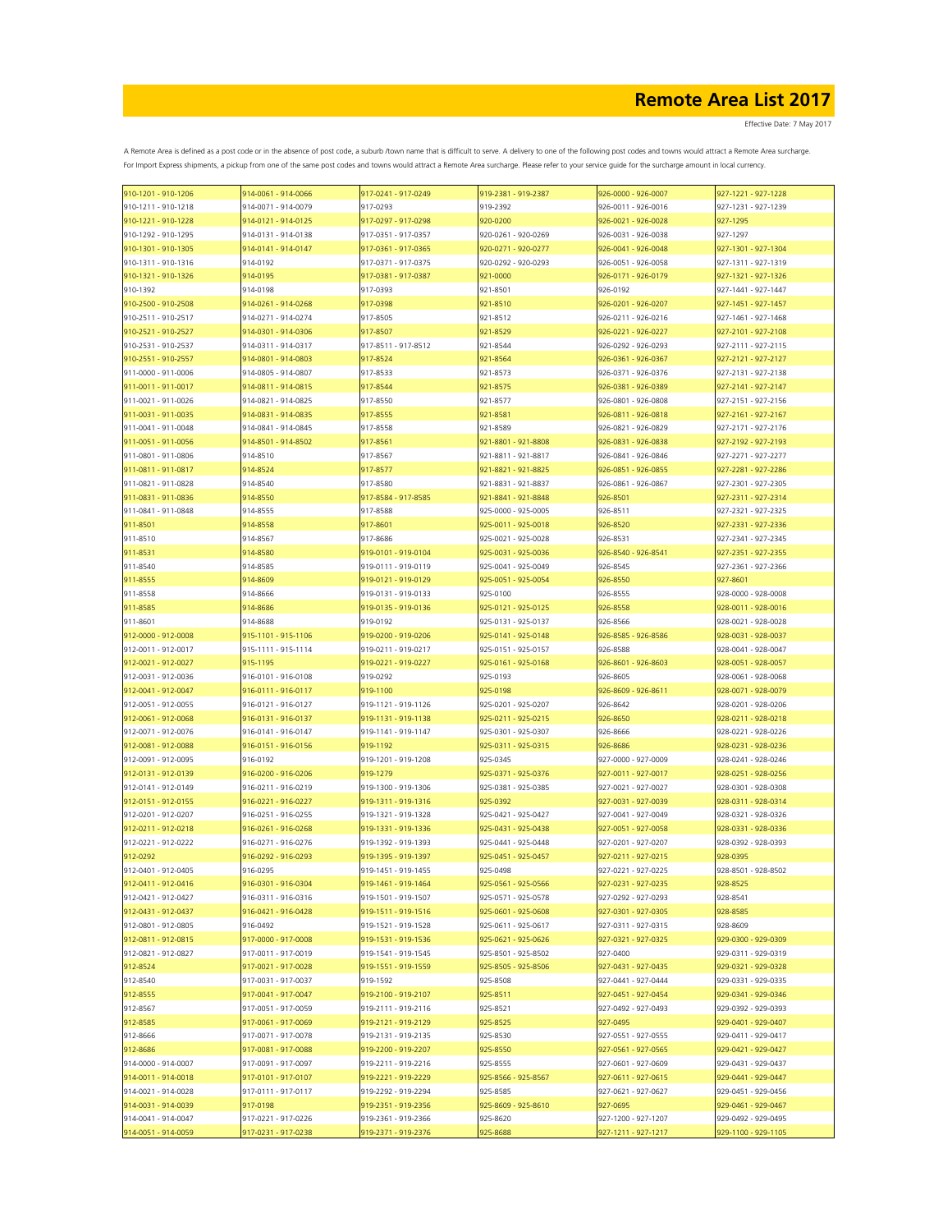Effective Date: 7 May 2017

| 910-1201 - 910-1206 | 914-0061 - 914-0066 | 917-0241 - 917-0249 | 919-2381 - 919-2387 | 926-0000 - 926-0007 | 927-1221 - 927-1228 |
|---------------------|---------------------|---------------------|---------------------|---------------------|---------------------|
| 910-1211 - 910-1218 | 914-0071 - 914-0079 | 917-0293            | 919-2392            | 926-0011 - 926-0016 | 927-1231 - 927-1239 |
| 910-1221 - 910-1228 | 914-0121 - 914-0125 | 917-0297 - 917-0298 | 920-0200            | 926-0021 - 926-0028 | 927-1295            |
| 910-1292 - 910-1295 | 914-0131 - 914-0138 | 917-0351 - 917-0357 | 920-0261 - 920-0269 | 926-0031 - 926-0038 | 927-1297            |
|                     |                     |                     |                     |                     |                     |
| 910-1301 - 910-1305 | 914-0141 - 914-0147 | 917-0361 - 917-0365 | 920-0271 - 920-0277 | 926-0041 - 926-0048 | 927-1301 - 927-1304 |
| 910-1311 - 910-1316 | 914-0192            | 917-0371 - 917-0375 | 920-0292 - 920-0293 | 926-0051 - 926-0058 | 927-1311 - 927-1319 |
| 910-1321 - 910-1326 | 914-0195            | 917-0381 - 917-0387 | 921-0000            | 926-0171 - 926-0179 | 927-1321 - 927-1326 |
| 910-1392            | 914-0198            | 917-0393            | 921-8501            | 926-0192            | 927-1441 - 927-1447 |
| 910-2500 - 910-2508 | 914-0261 - 914-0268 | 917-0398            | 921-8510            | 926-0201 - 926-0207 | 927-1451 - 927-1457 |
| 910-2511 - 910-2517 | 914-0271 - 914-0274 | 917-8505            | 921-8512            | 926-0211 - 926-0216 | 927-1461 - 927-1468 |
|                     |                     |                     |                     |                     |                     |
| 910-2521 - 910-2527 | 914-0301 - 914-0306 | 917-8507            | 921-8529            | 926-0221 - 926-0227 | 927-2101 - 927-2108 |
| 910-2531 - 910-2537 | 914-0311 - 914-0317 | 917-8511 - 917-8512 | 921-8544            | 926-0292 - 926-0293 | 927-2111 - 927-2115 |
| 910-2551 - 910-2557 | 914-0801 - 914-0803 | 917-8524            | 921-8564            | 926-0361 - 926-0367 | 927-2121 - 927-2127 |
| 911-0000 - 911-0006 | 914-0805 - 914-0807 | 917-8533            | 921-8573            | 926-0371 - 926-0376 | 927-2131 - 927-2138 |
| 911-0011 - 911-0017 | 914-0811 - 914-0815 | 917-8544            | 921-8575            | 926-0381 - 926-0389 | 927-2141 - 927-2147 |
| 911-0021 - 911-0026 | 914-0821 - 914-0825 | 917-8550            | 921-8577            | 926-0801 - 926-0808 | 927-2151 - 927-2156 |
|                     |                     |                     |                     |                     |                     |
| 911-0031 - 911-0035 | 914-0831 - 914-0835 | 917-8555            | 921-8581            | 926-0811 - 926-0818 | 927-2161 - 927-2167 |
| 911-0041 - 911-0048 | 914-0841 - 914-0845 | 917-8558            | 921-8589            | 926-0821 - 926-0829 | 927-2171 - 927-2176 |
| 911-0051 - 911-0056 | 914-8501 - 914-8502 | 917-8561            | 921-8801 - 921-8808 | 926-0831 - 926-0838 | 927-2192 - 927-2193 |
| 911-0801 - 911-0806 | 914-8510            | 917-8567            | 921-8811 - 921-8817 | 926-0841 - 926-0846 | 927-2271 - 927-2277 |
| 911-0811 - 911-0817 | 914-8524            | 917-8577            | 921-8821 - 921-8825 | 926-0851 - 926-0855 | 927-2281 - 927-2286 |
|                     |                     |                     | 921-8831 - 921-8837 |                     | 927-2301 - 927-2305 |
| 911-0821 - 911-0828 | 914-8540            | 917-8580            |                     | 926-0861 - 926-0867 |                     |
| 911-0831 - 911-0836 | 914-8550            | 917-8584 - 917-8585 | 921-8841 - 921-8848 | 926-8501            | 927-2311 - 927-2314 |
| 911-0841 - 911-0848 | 914-8555            | 917-8588            | 925-0000 - 925-0005 | 926-8511            | 927-2321 - 927-2325 |
| 911-8501            | 914-8558            | 917-8601            | 925-0011 - 925-0018 | 926-8520            | 927-2331 - 927-2336 |
| 911-8510            | 914-8567            | 917-8686            | 925-0021 - 925-0028 | 926-8531            | 927-2341 - 927-2345 |
| 911-8531            | 914-8580            | 919-0101 - 919-0104 | 925-0031 - 925-0036 | 926-8540 - 926-8541 | 927-2351 - 927-2355 |
|                     |                     |                     |                     |                     |                     |
| 911-8540            | 914-8585            | 919-0111 - 919-0119 | 925-0041 - 925-0049 | 926-8545            | 927-2361 - 927-2366 |
| 911-8555            | 914-8609            | 919-0121 - 919-0129 | 925-0051 - 925-0054 | 926-8550            | 927-8601            |
| 911-8558            | 914-8666            | 919-0131 - 919-0133 | 925-0100            | 926-8555            | 928-0000 - 928-0008 |
| 911-8585            | 914-8686            | 919-0135 - 919-0136 | 925-0121 - 925-0125 | 926-8558            | 928-0011 - 928-0016 |
| 911-8601            | 914-8688            | 919-0192            | 925-0131 - 925-0137 | 926-8566            | 928-0021 - 928-0028 |
| 912-0000 - 912-0008 | 915-1101 - 915-1106 | 919-0200 - 919-0206 | 925-0141 - 925-0148 | 926-8585 - 926-8586 | 928-0031 - 928-0037 |
|                     |                     |                     |                     |                     |                     |
| 912-0011 - 912-0017 | 915-1111 - 915-1114 | 919-0211 - 919-0217 | 925-0151 - 925-0157 | 926-8588            | 928-0041 - 928-0047 |
| 912-0021 - 912-0027 | 915-1195            | 919-0221 - 919-0227 | 925-0161 - 925-0168 | 926-8601 - 926-8603 | 928-0051 - 928-0057 |
| 912-0031 - 912-0036 | 916-0101 - 916-0108 | 919-0292            | 925-0193            | 926-8605            | 928-0061 - 928-0068 |
| 912-0041 - 912-0047 | 916-0111 - 916-0117 | 919-1100            | 925-0198            | 926-8609 - 926-8611 | 928-0071 - 928-0079 |
| 912-0051 - 912-0055 | 916-0121 - 916-0127 | 919-1121 - 919-1126 | 925-0201 - 925-0207 | 926-8642            | 928-0201 - 928-0206 |
| 912-0061 - 912-0068 | 916-0131 - 916-0137 | 919-1131 - 919-1138 | 925-0211 - 925-0215 | 926-8650            | 928-0211 - 928-0218 |
|                     |                     |                     |                     |                     |                     |
| 912-0071 - 912-0076 | 916-0141 - 916-0147 | 919-1141 - 919-1147 | 925-0301 - 925-0307 | 926-8666            | 928-0221 - 928-0226 |
| 912-0081 - 912-0088 | 916-0151 - 916-0156 | 919-1192            | 925-0311 - 925-0315 | 926-8686            | 928-0231 - 928-0236 |
| 912-0091 - 912-0095 | 916-0192            | 919-1201 - 919-1208 | 925-0345            | 927-0000 - 927-0009 | 928-0241 - 928-0246 |
| 912-0131 - 912-0139 | 916-0200 - 916-0206 | 919-1279            | 925-0371 - 925-0376 | 927-0011 - 927-0017 | 928-0251 - 928-0256 |
| 912-0141 - 912-0149 | 916-0211 - 916-0219 | 919-1300 - 919-1306 | 925-0381 - 925-0385 | 927-0021 - 927-0027 | 928-0301 - 928-0308 |
| 912-0151 - 912-0155 | 916-0221 - 916-0227 | 919-1311 - 919-1316 | 925-0392            |                     | 928-0311 - 928-0314 |
|                     |                     |                     |                     | 927-0031 - 927-0039 |                     |
| 912-0201 - 912-0207 | 916-0251 - 916-0255 | 919-1321 - 919-1328 | 925-0421 - 925-0427 | 927-0041 - 927-0049 | 928-0321 - 928-0326 |
| 912-0211 - 912-0218 | 916-0261 - 916-0268 | 919-1331 - 919-1336 | 925-0431 - 925-0438 | 927-0051 - 927-0058 | 928-0331 - 928-0336 |
| 912-0221 - 912-0222 | 916-0271 - 916-0276 | 919-1392 - 919-1393 | 925-0441 - 925-0448 | 927-0201 - 927-0207 | 928-0392 - 928-0393 |
| 912-0292            | 916-0292 - 916-0293 | 919-1395 - 919-1397 | 925-0451 - 925-0457 | 927-0211 - 927-0215 | 928-0395            |
| 912-0401 - 912-0405 | 916-0295            | 919-1451 - 919-1455 | 925-0498            | 927-0221 - 927-0225 | 928-8501 - 928-8502 |
| 912-0411 - 912-0416 | 916-0301 - 916-0304 | 919-1461 - 919-1464 | 925-0561 - 925-0566 |                     | 928-8525            |
|                     |                     |                     |                     | 927-0231 - 927-0235 |                     |
| 912-0421 - 912-0427 | 916-0311 - 916-0316 | 919-1501 - 919-1507 | 925-0571 - 925-0578 | 927-0292 - 927-0293 | 928-8541            |
| 912-0431 - 912-0437 | 916-0421 - 916-0428 | 919-1511 - 919-1516 | 925-0601 - 925-0608 | 927-0301 - 927-0305 | 928-8585            |
| 912-0801 - 912-0805 | 916-0492            | 919-1521 - 919-1528 | 925-0611 - 925-0617 | 927-0311 - 927-0315 | 928-8609            |
| 912-0811 - 912-0815 | 917-0000 - 917-0008 | 919-1531 - 919-1536 | 925-0621 - 925-0626 | 927-0321 - 927-0325 | 929-0300 - 929-0309 |
| 912-0821 - 912-0827 | 917-0011 - 917-0019 | 919-1541 - 919-1545 | 925-8501 - 925-8502 | 927-0400            | 929-0311 - 929-0319 |
| 912-8524            | 917-0021 - 917-0028 | 919-1551 - 919-1559 | 925-8505 - 925-8506 | 927-0431 - 927-0435 | 929-0321 - 929-0328 |
|                     | 917-0031 - 917-0037 |                     |                     |                     |                     |
| 912-8540            |                     | 919-1592            | 925-8508            | 927-0441 - 927-0444 | 929-0331 - 929-0335 |
| 912-8555            | 917-0041 - 917-0047 | 919-2100 - 919-2107 | 925-8511            | 927-0451 - 927-0454 | 929-0341 - 929-0346 |
| 912-8567            | 917-0051 - 917-0059 | 919-2111 - 919-2116 | 925-8521            | 927-0492 - 927-0493 | 929-0392 - 929-0393 |
| 912-8585            | 917-0061 - 917-0069 | 919-2121 - 919-2129 | 925-8525            | 927-0495            | 929-0401 - 929-0407 |
| 912-8666            | 917-0071 - 917-0078 | 919-2131 - 919-2135 | 925-8530            | 927-0551 - 927-0555 | 929-0411 - 929-0417 |
| 912-8686            | 917-0081 - 917-0088 | 919-2200 - 919-2207 | 925-8550            | 927-0561 - 927-0565 | 929-0421 - 929-0427 |
|                     |                     |                     |                     |                     |                     |
| 914-0000 - 914-0007 | 917-0091 - 917-0097 | 919-2211 - 919-2216 | 925-8555            | 927-0601 - 927-0609 | 929-0431 - 929-0437 |
| 914-0011 - 914-0018 | 917-0101 - 917-0107 | 919-2221 - 919-2229 | 925-8566 - 925-8567 | 927-0611 - 927-0615 | 929-0441 - 929-0447 |
| 914-0021 - 914-0028 | 917-0111 - 917-0117 | 919-2292 - 919-2294 | 925-8585            | 927-0621 - 927-0627 | 929-0451 - 929-0456 |
| 914-0031 - 914-0039 | 917-0198            | 919-2351 - 919-2356 | 925-8609 - 925-8610 | 927-0695            | 929-0461 - 929-0467 |
| 914-0041 - 914-0047 | 917-0221 - 917-0226 | 919-2361 - 919-2366 | 925-8620            | 927-1200 - 927-1207 | 929-0492 - 929-0495 |
| 914-0051 - 914-0059 | 917-0231 - 917-0238 | 919-2371 - 919-2376 | 925-8688            | 927-1211 - 927-1217 | 929-1100 - 929-1105 |
|                     |                     |                     |                     |                     |                     |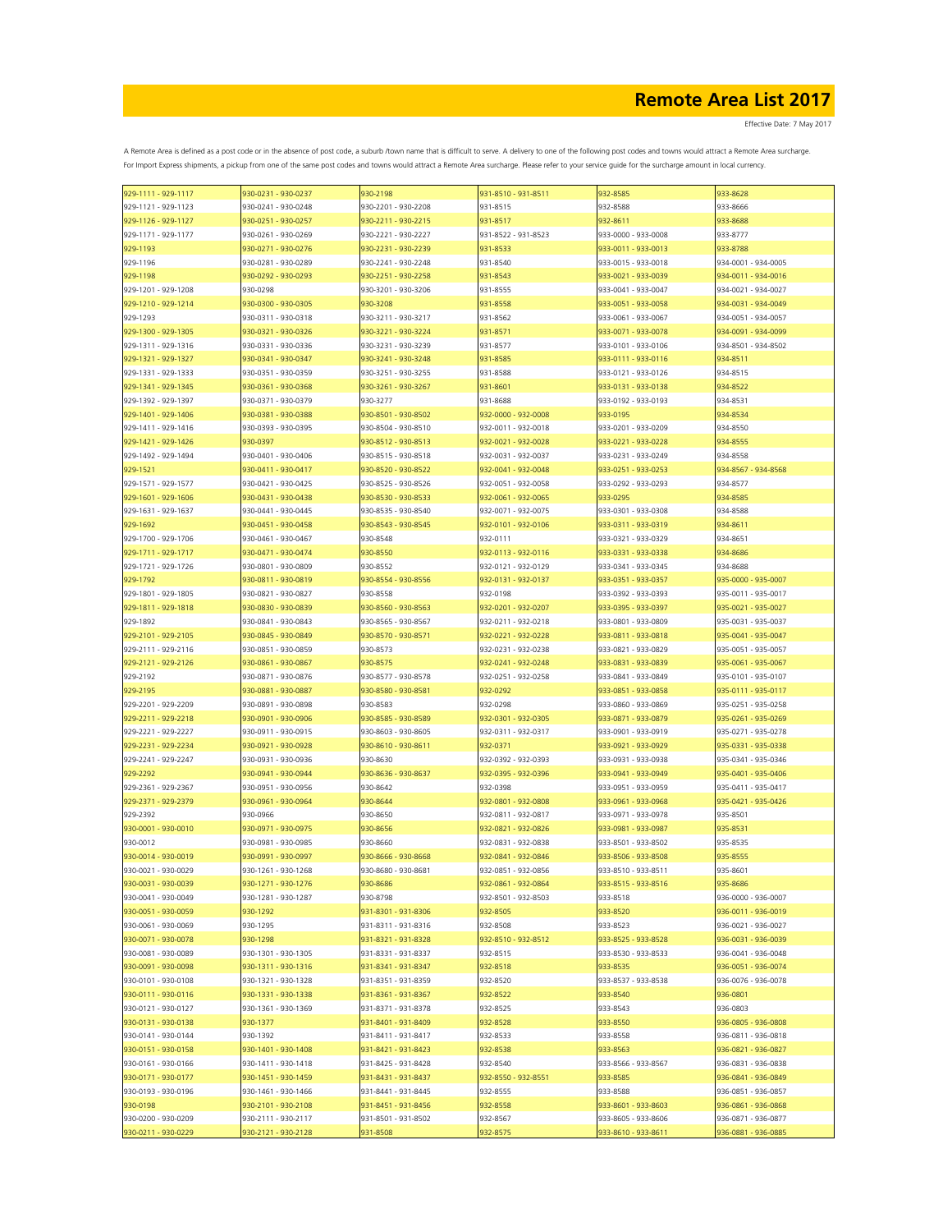Effective Date: 7 May 2017

| 929-1111 - 929-1117 | 930-0231 - 930-0237 | 930-2198            | 931-8510 - 931-8511 | 932-8585            | 933-8628            |
|---------------------|---------------------|---------------------|---------------------|---------------------|---------------------|
| 929-1121 - 929-1123 | 930-0241 - 930-0248 | 930-2201 - 930-2208 | 931-8515            | 932-8588            | 933-8666            |
| 929-1126 - 929-1127 | 930-0251 - 930-0257 | 930-2211 - 930-2215 | 931-8517            | 932-8611            | 933-8688            |
|                     |                     |                     |                     |                     |                     |
| 929-1171 - 929-1177 | 930-0261 - 930-0269 | 930-2221 - 930-2227 | 931-8522 - 931-8523 | 933-0000 - 933-0008 | 933-8777            |
| 929-1193            | 930-0271 - 930-0276 | 930-2231 - 930-2239 | 931-8533            | 933-0011 - 933-0013 | 933-8788            |
| 929-1196            | 930-0281 - 930-0289 | 930-2241 - 930-2248 | 931-8540            | 933-0015 - 933-0018 | 934-0001 - 934-0005 |
| 929-1198            | 930-0292 - 930-0293 | 930-2251 - 930-2258 | 931-8543            | 933-0021 - 933-0039 | 934-0011 - 934-0016 |
|                     |                     |                     |                     |                     |                     |
| 929-1201 - 929-1208 | 930-0298            | 930-3201 - 930-3206 | 931-8555            | 933-0041 - 933-0047 | 934-0021 - 934-0027 |
| 929-1210 - 929-1214 | 930-0300 - 930-0305 | 930-3208            | 931-8558            | 933-0051 - 933-0058 | 934-0031 - 934-0049 |
| 929-1293            | 930-0311 - 930-0318 | 930-3211 - 930-3217 | 931-8562            | 933-0061 - 933-0067 | 934-0051 - 934-0057 |
| 929-1300 - 929-1305 | 930-0321 - 930-0326 | 930-3221 - 930-3224 | 931-8571            | 933-0071 - 933-0078 | 934-0091 - 934-0099 |
|                     |                     |                     |                     |                     |                     |
| 929-1311 - 929-1316 | 930-0331 - 930-0336 | 930-3231 - 930-3239 | 931-8577            | 933-0101 - 933-0106 | 934-8501 - 934-8502 |
| 929-1321 - 929-1327 | 930-0341 - 930-0347 | 930-3241 - 930-3248 | 931-8585            | 933-0111 - 933-0116 | 934-8511            |
| 929-1331 - 929-1333 | 930-0351 - 930-0359 | 930-3251 - 930-3255 | 931-8588            | 933-0121 - 933-0126 | 934-8515            |
|                     |                     |                     |                     |                     |                     |
| 929-1341 - 929-1345 | 930-0361 - 930-0368 | 930-3261 - 930-3267 | 931-8601            | 933-0131 - 933-0138 | 934-8522            |
| 929-1392 - 929-1397 | 930-0371 - 930-0379 | 930-3277            | 931-8688            | 933-0192 - 933-0193 | 934-8531            |
| 929-1401 - 929-1406 | 930-0381 - 930-0388 | 930-8501 - 930-8502 | 932-0000 - 932-0008 | 933-0195            | 934-8534            |
| 929-1411 - 929-1416 | 930-0393 - 930-0395 | 930-8504 - 930-8510 | 932-0011 - 932-0018 | 933-0201 - 933-0209 | 934-8550            |
|                     |                     |                     |                     |                     |                     |
| 929-1421 - 929-1426 | 930-0397            | 930-8512 - 930-8513 | 932-0021 - 932-0028 | 933-0221 - 933-0228 | 934-8555            |
| 929-1492 - 929-1494 | 930-0401 - 930-0406 | 930-8515 - 930-8518 | 932-0031 - 932-0037 | 933-0231 - 933-0249 | 934-8558            |
| 929-1521            | 930-0411 - 930-0417 | 930-8520 - 930-8522 | 932-0041 - 932-0048 | 933-0251 - 933-0253 | 934-8567 - 934-8568 |
|                     |                     |                     |                     |                     |                     |
| 929-1571 - 929-1577 | 930-0421 - 930-0425 | 930-8525 - 930-8526 | 932-0051 - 932-0058 | 933-0292 - 933-0293 | 934-8577            |
| 929-1601 - 929-1606 | 930-0431 - 930-0438 | 930-8530 - 930-8533 | 932-0061 - 932-0065 | 933-0295            | 934-8585            |
| 929-1631 - 929-1637 | 930-0441 - 930-0445 | 930-8535 - 930-8540 | 932-0071 - 932-0075 | 933-0301 - 933-0308 | 934-8588            |
| 929-1692            | 930-0451 - 930-0458 | 930-8543 - 930-8545 | 932-0101 - 932-0106 | 933-0311 - 933-0319 | 934-8611            |
|                     |                     |                     |                     |                     |                     |
| 929-1700 - 929-1706 | 930-0461 - 930-0467 | 930-8548            | 932-0111            | 933-0321 - 933-0329 | 934-8651            |
| 929-1711 - 929-1717 | 930-0471 - 930-0474 | 930-8550            | 932-0113 - 932-0116 | 933-0331 - 933-0338 | 934-8686            |
| 929-1721 - 929-1726 | 930-0801 - 930-0809 | 930-8552            | 932-0121 - 932-0129 | 933-0341 - 933-0345 | 934-8688            |
| 929-1792            | 930-0811 - 930-0819 | 930-8554 - 930-8556 | 932-0131 - 932-0137 | 933-0351 - 933-0357 | 935-0000 - 935-0007 |
|                     |                     |                     |                     |                     |                     |
| 929-1801 - 929-1805 | 930-0821 - 930-0827 | 930-8558            | 932-0198            | 933-0392 - 933-0393 | 935-0011 - 935-0017 |
| 929-1811 - 929-1818 | 930-0830 - 930-0839 | 930-8560 - 930-8563 | 932-0201 - 932-0207 | 933-0395 - 933-0397 | 935-0021 - 935-0027 |
| 929-1892            | 930-0841 - 930-0843 | 930-8565 - 930-8567 | 932-0211 - 932-0218 | 933-0801 - 933-0809 | 935-0031 - 935-0037 |
|                     |                     |                     |                     |                     |                     |
| 929-2101 - 929-2105 | 930-0845 - 930-0849 | 930-8570 - 930-8571 | 932-0221 - 932-0228 | 933-0811 - 933-0818 | 935-0041 - 935-0047 |
| 929-2111 - 929-2116 | 930-0851 - 930-0859 | 930-8573            | 932-0231 - 932-0238 | 933-0821 - 933-0829 | 935-0051 - 935-0057 |
| 929-2121 - 929-2126 | 930-0861 - 930-0867 | 930-8575            | 932-0241 - 932-0248 | 933-0831 - 933-0839 | 935-0061 - 935-0067 |
| 929-2192            | 930-0871 - 930-0876 | 930-8577 - 930-8578 | 932-0251 - 932-0258 | 933-0841 - 933-0849 | 935-0101 - 935-0107 |
|                     |                     |                     |                     |                     |                     |
| 929-2195            | 930-0881 - 930-0887 | 930-8580 - 930-8581 | 932-0292            | 933-0851 - 933-0858 | 935-0111 - 935-0117 |
| 929-2201 - 929-2209 | 930-0891 - 930-0898 | 930-8583            | 932-0298            | 933-0860 - 933-0869 | 935-0251 - 935-0258 |
| 929-2211 - 929-2218 | 930-0901 - 930-0906 | 930-8585 - 930-8589 | 932-0301 - 932-0305 | 933-0871 - 933-0879 | 935-0261 - 935-0269 |
| 929-2221 - 929-2227 | 930-0911 - 930-0915 | 930-8603 - 930-8605 | 932-0311 - 932-0317 | 933-0901 - 933-0919 | 935-0271 - 935-0278 |
|                     |                     |                     |                     |                     |                     |
| 929-2231 - 929-2234 | 930-0921 - 930-0928 | 930-8610 - 930-8611 | 932-0371            | 933-0921 - 933-0929 | 935-0331 - 935-0338 |
| 929-2241 - 929-2247 | 930-0931 - 930-0936 | 930-8630            | 932-0392 - 932-0393 | 933-0931 - 933-0938 | 935-0341 - 935-0346 |
| 929-2292            | 930-0941 - 930-0944 | 930-8636 - 930-8637 | 932-0395 - 932-0396 | 933-0941 - 933-0949 | 935-0401 - 935-0406 |
|                     | 930-0951 - 930-0956 |                     |                     | 933-0951 - 933-0959 | 935-0411 - 935-0417 |
| 929-2361 - 929-2367 |                     | 930-8642            | 932-0398            |                     |                     |
| 929-2371 - 929-2379 | 930-0961 - 930-0964 | 930-8644            | 932-0801 - 932-0808 | 933-0961 - 933-0968 | 935-0421 - 935-0426 |
| 929-2392            | 930-0966            | 930-8650            | 932-0811 - 932-0817 | 933-0971 - 933-0978 | 935-8501            |
| 930-0001 - 930-0010 | 930-0971 - 930-0975 | 930-8656            | 932-0821 - 932-0826 | 933-0981 - 933-0987 | 935-8531            |
|                     |                     |                     |                     |                     |                     |
| 930-0012            | 930-0981 - 930-0985 | 930-8660            | 932-0831 - 932-0838 | 933-8501 - 933-8502 | 935-8535            |
| 930-0014 - 930-0019 | 930-0991 - 930-0997 | 930-8666 - 930-8668 | 932-0841 - 932-0846 | 933-8506 - 933-8508 | 935-8555            |
| 930-0021 - 930-0029 | 930-1261 - 930-1268 | 930-8680 - 930-8681 | 932-0851 - 932-0856 | 933-8510 - 933-8511 | 935-8601            |
| 930-0031 - 930-0039 | 930-1271 - 930-1276 | 930-8686            | 932-0861 - 932-0864 | 933-8515 - 933-8516 | 935-8686            |
| 930-0041 - 930-0049 | 930-1281 - 930-1287 | 930-8798            | 932-8501 - 932-8503 | 933-8518            | 936-0000 - 936-0007 |
|                     |                     |                     |                     |                     |                     |
| 930-0051 - 930-0059 | 930-1292            | 931-8301 - 931-8306 | 932-8505            | 933-8520            | 936-0011 - 936-0019 |
| 930-0061 - 930-0069 | 930-1295            | 931-8311 - 931-8316 | 932-8508            | 933-8523            | 936-0021 - 936-0027 |
| 930-0071 - 930-0078 | 930-1298            | 931-8321 - 931-8328 | 932-8510 - 932-8512 | 933-8525 - 933-8528 | 936-0031 - 936-0039 |
|                     |                     |                     |                     |                     |                     |
| 930-0081 - 930-0089 | 930-1301 - 930-1305 | 931-8331 - 931-8337 | 932-8515            | 933-8530 - 933-8533 | 936-0041 - 936-0048 |
| 930-0091 - 930-0098 | 930-1311 - 930-1316 | 931-8341 - 931-8347 | 932-8518            | 933-8535            | 936-0051 - 936-0074 |
| 930-0101 - 930-0108 | 930-1321 - 930-1328 | 931-8351 - 931-8359 | 932-8520            | 933-8537 - 933-8538 | 936-0076 - 936-0078 |
| 930-0111 - 930-0116 | 930-1331 - 930-1338 | 931-8361 - 931-8367 | 932-8522            | 933-8540            | 936-0801            |
|                     |                     |                     |                     |                     |                     |
| 930-0121 - 930-0127 | 930-1361 - 930-1369 | 931-8371 - 931-8378 | 932-8525            | 933-8543            | 936-0803            |
| 930-0131 - 930-0138 | 930-1377            | 931-8401 - 931-8409 | 932-8528            | 933-8550            | 936-0805 - 936-0808 |
| 930-0141 - 930-0144 | 930-1392            | 931-8411 - 931-8417 | 932-8533            | 933-8558            | 936-0811 - 936-0818 |
| 930-0151 - 930-0158 | 930-1401 - 930-1408 | 931-8421 - 931-8423 | 932-8538            | 933-8563            | 936-0821 - 936-0827 |
|                     |                     |                     |                     |                     |                     |
| 930-0161 - 930-0166 | 930-1411 - 930-1418 | 931-8425 - 931-8428 | 932-8540            | 933-8566 - 933-8567 | 936-0831 - 936-0838 |
| 930-0171 - 930-0177 | 930-1451 - 930-1459 | 931-8431 - 931-8437 | 932-8550 - 932-8551 | 933-8585            | 936-0841 - 936-0849 |
| 930-0193 - 930-0196 | 930-1461 - 930-1466 | 931-8441 - 931-8445 | 932-8555            | 933-8588            | 936-0851 - 936-0857 |
| 930-0198            | 930-2101 - 930-2108 | 931-8451 - 931-8456 | 932-8558            | 933-8601 - 933-8603 | 936-0861 - 936-0868 |
|                     |                     |                     |                     |                     |                     |
| 930-0200 - 930-0209 | 930-2111 - 930-2117 | 931-8501 - 931-8502 | 932-8567            | 933-8605 - 933-8606 | 936-0871 - 936-0877 |
| 930-0211 - 930-0229 | 930-2121 - 930-2128 | 931-8508            | 932-8575            | 933-8610 - 933-8611 | 936-0881 - 936-0885 |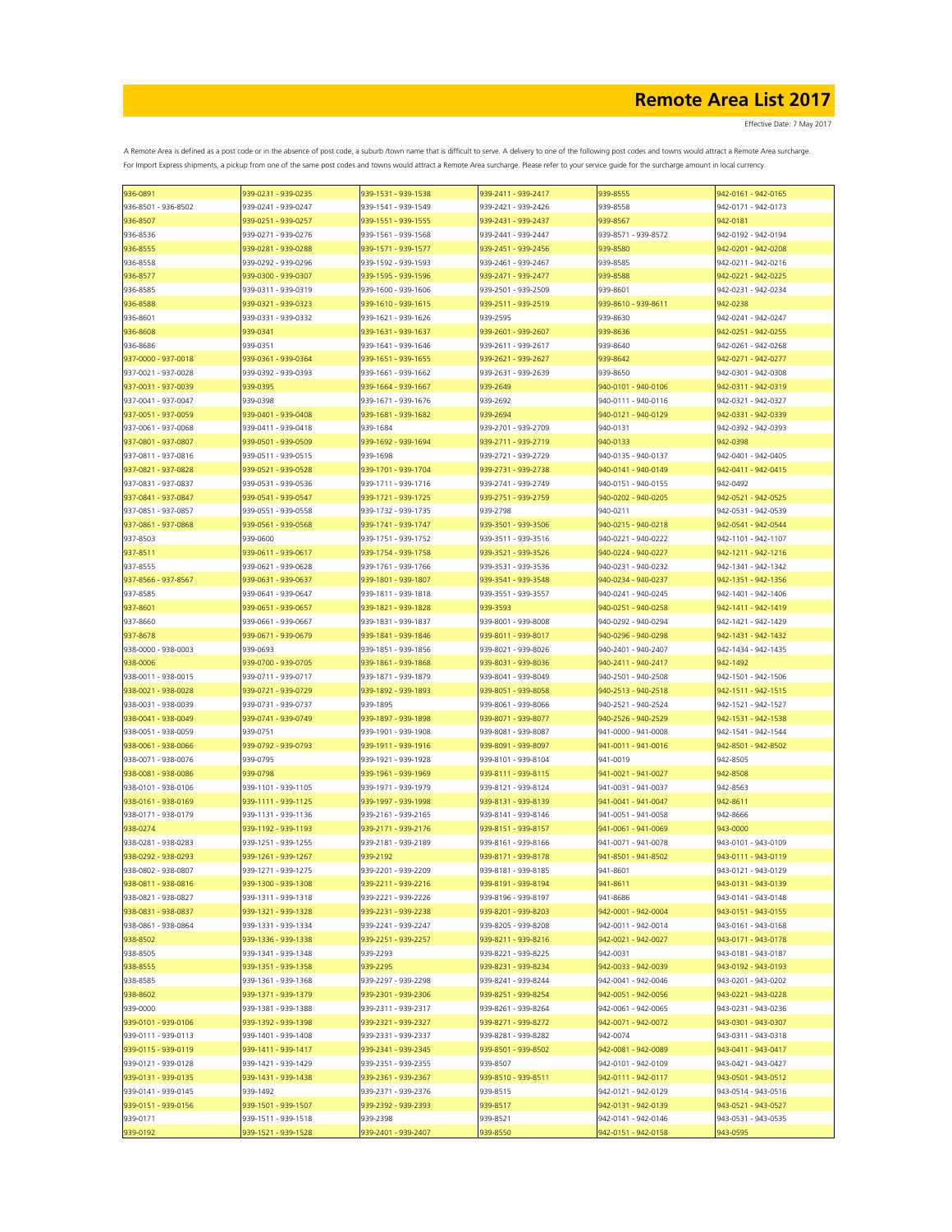Effective Date: 7 May 2017

| 936-0891            | 939-0231 - 939-0235 | 939-1531 - 939-1538 | 939-2411 - 939-2417 | 939-8555            | 942-0161 - 942-0165 |
|---------------------|---------------------|---------------------|---------------------|---------------------|---------------------|
| 936-8501 - 936-8502 | 939-0241 - 939-0247 | 939-1541 - 939-1549 | 939-2421 - 939-2426 | 939-8558            | 942-0171 - 942-0173 |
| 936-8507            | 939-0251 - 939-0257 | 939-1551 - 939-1555 | 939-2431 - 939-2437 | 939-8567            | 942-0181            |
|                     |                     |                     |                     |                     |                     |
| 936-8536            | 939-0271 - 939-0276 | 939-1561 - 939-1568 | 939-2441 - 939-2447 | 939-8571 - 939-8572 | 942-0192 - 942-0194 |
| 936-8555            | 939-0281 - 939-0288 | 939-1571 - 939-1577 | 939-2451 - 939-2456 | 939-8580            | 942-0201 - 942-0208 |
| 936-8558            | 939-0292 - 939-0296 | 939-1592 - 939-1593 | 939-2461 - 939-2467 | 939-8585            | 942-0211 - 942-0216 |
| 936-8577            | 939-0300 - 939-0307 | 939-1595 - 939-1596 | 939-2471 - 939-2477 | 939-8588            | 942-0221 - 942-0225 |
|                     |                     |                     |                     |                     |                     |
| 936-8585            | 939-0311 - 939-0319 | 939-1600 - 939-1606 | 939-2501 - 939-2509 | 939-8601            | 942-0231 - 942-0234 |
| 936-8588            | 939-0321 - 939-0323 | 939-1610 - 939-1615 | 939-2511 - 939-2519 | 939-8610 - 939-8611 | 942-0238            |
| 936-8601            | 939-0331 - 939-0332 | 939-1621 - 939-1626 | 939-2595            | 939-8630            | 942-0241 - 942-0247 |
|                     | 939-0341            | 939-1631 - 939-1637 | 939-2601 - 939-2607 |                     | 942-0251 - 942-0255 |
| 936-8608            |                     |                     |                     | 939-8636            |                     |
| 936-8686            | 939-0351            | 939-1641 - 939-1646 | 939-2611 - 939-2617 | 939-8640            | 942-0261 - 942-0268 |
| 937-0000 - 937-0018 | 939-0361 - 939-0364 | 939-1651 - 939-1655 | 939-2621 - 939-2627 | 939-8642            | 942-0271 - 942-0277 |
| 937-0021 - 937-0028 | 939-0392 - 939-0393 | 939-1661 - 939-1662 | 939-2631 - 939-2639 | 939-8650            | 942-0301 - 942-0308 |
|                     |                     |                     |                     |                     |                     |
| 937-0031 - 937-0039 | 939-0395            | 939-1664 - 939-1667 | 939-2649            | 940-0101 - 940-0106 | 942-0311 - 942-0319 |
| 937-0041 - 937-0047 | 939-0398            | 939-1671 - 939-1676 | 939-2692            | 940-0111 - 940-0116 | 942-0321 - 942-0327 |
| 937-0051 - 937-0059 | 939-0401 - 939-0408 | 939-1681 - 939-1682 | 939-2694            | 940-0121 - 940-0129 | 942-0331 - 942-0339 |
| 937-0061 - 937-0068 | 939-0411 - 939-0418 | 939-1684            | 939-2701 - 939-2709 | 940-0131            | 942-0392 - 942-0393 |
|                     |                     |                     |                     |                     |                     |
| 937-0801 - 937-0807 | 939-0501 - 939-0509 | 939-1692 - 939-1694 | 939-2711 - 939-2719 | 940-0133            | 942-0398            |
| 937-0811 - 937-0816 | 939-0511 - 939-0515 | 939-1698            | 939-2721 - 939-2729 | 940-0135 - 940-0137 | 942-0401 - 942-0405 |
| 937-0821 - 937-0828 | 939-0521 - 939-0528 | 939-1701 - 939-1704 | 939-2731 - 939-2738 | 940-0141 - 940-0149 | 942-0411 - 942-0415 |
|                     |                     |                     |                     |                     |                     |
| 937-0831 - 937-0837 | 939-0531 - 939-0536 | 939-1711 - 939-1716 | 939-2741 - 939-2749 | 940-0151 - 940-0155 | 942-0492            |
| 937-0841 - 937-0847 | 939-0541 - 939-0547 | 939-1721 - 939-1725 | 939-2751 - 939-2759 | 940-0202 - 940-0205 | 942-0521 - 942-0525 |
| 937-0851 - 937-0857 | 939-0551 - 939-0558 | 939-1732 - 939-1735 | 939-2798            | 940-0211            | 942-0531 - 942-0539 |
| 937-0861 - 937-0868 | 939-0561 - 939-0568 | 939-1741 - 939-1747 | 939-3501 - 939-3506 | 940-0215 - 940-0218 | 942-0541 - 942-0544 |
|                     |                     |                     |                     |                     |                     |
| 937-8503            | 939-0600            | 939-1751 - 939-1752 | 939-3511 - 939-3516 | 940-0221 - 940-0222 | 942-1101 - 942-1107 |
| 937-8511            | 939-0611 - 939-0617 | 939-1754 - 939-1758 | 939-3521 - 939-3526 | 940-0224 - 940-0227 | 942-1211 - 942-1216 |
| 937-8555            | 939-0621 - 939-0628 | 939-1761 - 939-1766 | 939-3531 - 939-3536 | 940-0231 - 940-0232 | 942-1341 - 942-1342 |
|                     |                     |                     |                     |                     |                     |
| 937-8566 - 937-8567 | 939-0631 - 939-0637 | 939-1801 - 939-1807 | 939-3541 - 939-3548 | 940-0234 - 940-0237 | 942-1351 - 942-1356 |
| 937-8585            | 939-0641 - 939-0647 | 939-1811 - 939-1818 | 939-3551 - 939-3557 | 940-0241 - 940-0245 | 942-1401 - 942-1406 |
| 937-8601            | 939-0651 - 939-0657 | 939-1821 - 939-1828 | 939-3593            | 940-0251 - 940-0258 | 942-1411 - 942-1419 |
| 937-8660            | 939-0661 - 939-0667 | 939-1831 - 939-1837 | 939-8001 - 939-8008 | 940-0292 - 940-0294 | 942-1421 - 942-1429 |
|                     |                     |                     |                     |                     |                     |
| 937-8678            | 939-0671 - 939-0679 | 939-1841 - 939-1846 | 939-8011 - 939-8017 | 940-0296 - 940-0298 | 942-1431 - 942-1432 |
| 938-0000 - 938-0003 | 939-0693            | 939-1851 - 939-1856 | 939-8021 - 939-8026 | 940-2401 - 940-2407 | 942-1434 - 942-1435 |
| 938-0006            | 939-0700 - 939-0705 | 939-1861 - 939-1868 | 939-8031 - 939-8036 | 940-2411 - 940-2417 | 942-1492            |
|                     |                     |                     |                     |                     |                     |
| 938-0011 - 938-0015 | 939-0711 - 939-0717 | 939-1871 - 939-1879 | 939-8041 - 939-8049 | 940-2501 - 940-2508 | 942-1501 - 942-1506 |
| 938-0021 - 938-0028 | 939-0721 - 939-0729 | 939-1892 - 939-1893 | 939-8051 - 939-8058 | 940-2513 - 940-2518 | 942-1511 - 942-1515 |
| 938-0031 - 938-0039 | 939-0731 - 939-0737 | 939-1895            | 939-8061 - 939-8066 | 940-2521 - 940-2524 | 942-1521 - 942-1527 |
| 938-0041 - 938-0049 | 939-0741 - 939-0749 | 939-1897 - 939-1898 | 939-8071 - 939-8077 | 940-2526 - 940-2529 | 942-1531 - 942-1538 |
|                     |                     |                     |                     |                     |                     |
| 938-0051 - 938-0059 | 939-0751            | 939-1901 - 939-1908 | 939-8081 - 939-8087 | 941-0000 - 941-0008 | 942-1541 - 942-1544 |
| 938-0061 - 938-0066 | 939-0792 - 939-0793 | 939-1911 - 939-1916 | 939-8091 - 939-8097 | 941-0011 - 941-0016 | 942-8501 - 942-8502 |
| 938-0071 - 938-0076 | 939-0795            | 939-1921 - 939-1928 | 939-8101 - 939-8104 | 941-0019            | 942-8505            |
|                     |                     |                     |                     |                     |                     |
| 938-0081 - 938-0086 | 939-0798            | 939-1961 - 939-1969 | 939-8111 - 939-8115 | 941-0021 - 941-0027 | 942-8508            |
| 938-0101 - 938-0106 | 939-1101 - 939-1105 | 939-1971 - 939-1979 | 939-8121 - 939-8124 | 941-0031 - 941-0037 | 942-8563            |
| 938-0161 - 938-0169 | 939-1111 - 939-1125 | 939-1997 - 939-1998 | 939-8131 - 939-8139 | 941-0041 - 941-0047 | 942-8611            |
| 938-0171 - 938-0179 | 939-1131 - 939-1136 | 939-2161 - 939-2165 | 939-8141 - 939-8146 | 941-0051 - 941-0058 | 942-8666            |
|                     |                     |                     |                     |                     |                     |
| 938-0274            | 939-1192 - 939-1193 | 939-2171 - 939-2176 | 939-8151 - 939-8157 | 941-0061 - 941-0069 | 943-0000            |
| 938-0281 - 938-0283 | 939-1251 - 939-1255 | 939-2181 - 939-2189 | 939-8161 - 939-8166 | 941-0071 - 941-0078 | 943-0101 - 943-0109 |
| 938-0292 - 938-0293 | 939-1261 - 939-1267 | 939-2192            | 939-8171 - 939-8178 | 941-8501 - 941-8502 | 943-0111 - 943-0119 |
| 938-0802 - 938-0807 | 939-1271 - 939-1275 | 939-2201 - 939-2209 | 939-8181 - 939-8185 | 941-8601            | 943-0121 - 943-0129 |
|                     |                     |                     |                     |                     |                     |
| 938-0811 - 938-0816 | 939-1300 - 939-1308 | 939-2211 - 939-2216 | 939-8191 - 939-8194 | 941-8611            | 943-0131 - 943-0139 |
| 938-0821 - 938-0827 | 939-1311 - 939-1318 | 939-2221 - 939-2226 | 939-8196 - 939-8197 | 941-8686            | 943-0141 - 943-0148 |
| 938-0831 - 938-0837 | 939-1321 - 939-1328 | 939-2231 - 939-2238 | 939-8201 - 939-8203 | 942-0001 - 942-0004 | 943-0151 - 943-0155 |
| 938-0861 - 938-0864 | 939-1331 - 939-1334 | 939-2241 - 939-2247 | 939-8205 - 939-8208 | 942-0011 - 942-0014 | 943-0161 - 943-0168 |
|                     |                     |                     |                     |                     |                     |
| 938-8502            | 939-1336 - 939-1338 | 939-2251 - 939-2257 | 939-8211 - 939-8216 | 942-0021 - 942-0027 | 943-0171 - 943-0178 |
| 938-8505            | 939-1341 - 939-1348 | 939-2293            | 939-8221 - 939-8225 | 942-0031            | 943-0181 - 943-0187 |
| 938-8555            | 939-1351 - 939-1358 | 939-2295            | 939-8231 - 939-8234 | 942-0033 - 942-0039 | 943-0192 - 943-0193 |
|                     |                     |                     | 939-8241 - 939-8244 |                     |                     |
| 938-8585            | 939-1361 - 939-1368 | 939-2297 - 939-2298 |                     | 942-0041 - 942-0046 | 943-0201 - 943-0202 |
| 938-8602            | 939-1371 - 939-1379 | 939-2301 - 939-2306 | 939-8251 - 939-8254 | 942-0051 - 942-0056 | 943-0221 - 943-0228 |
| 939-0000            | 939-1381 - 939-1388 | 939-2311 - 939-2317 | 939-8261 - 939-8264 | 942-0061 - 942-0065 | 943-0231 - 943-0236 |
| 939-0101 - 939-0106 | 939-1392 - 939-1398 | 939-2321 - 939-2327 | 939-8271 - 939-8272 | 942-0071 - 942-0072 | 943-0301 - 943-0307 |
|                     |                     |                     |                     |                     |                     |
| 939-0111 - 939-0113 | 939-1401 - 939-1408 | 939-2331 - 939-2337 | 939-8281 - 939-8282 | 942-0074            | 943-0311 - 943-0318 |
| 939-0115 - 939-0119 | 939-1411 - 939-1417 | 939-2341 - 939-2345 | 939-8501 - 939-8502 | 942-0081 - 942-0089 | 943-0411 - 943-0417 |
| 939-0121 - 939-0128 | 939-1421 - 939-1429 | 939-2351 - 939-2355 | 939-8507            | 942-0101 - 942-0109 | 943-0421 - 943-0427 |
| 939-0131 - 939-0135 | 939-1431 - 939-1438 | 939-2361 - 939-2367 | 939-8510 - 939-8511 | 942-0111 - 942-0117 | 943-0501 - 943-0512 |
|                     |                     |                     |                     |                     |                     |
| 939-0141 - 939-0145 | 939-1492            | 939-2371 - 939-2376 | 939-8515            | 942-0121 - 942-0129 | 943-0514 - 943-0516 |
| 939-0151 - 939-0156 | 939-1501 - 939-1507 | 939-2392 - 939-2393 | 939-8517            | 942-0131 - 942-0139 | 943-0521 - 943-0527 |
| 939-0171            | 939-1511 - 939-1518 | 939-2398            | 939-8521            | 942-0141 - 942-0146 | 943-0531 - 943-0535 |
|                     |                     |                     |                     |                     |                     |
| 939-0192            | 939-1521 - 939-1528 | 939-2401 - 939-2407 | 939-8550            | 942-0151 - 942-0158 | 943-0595            |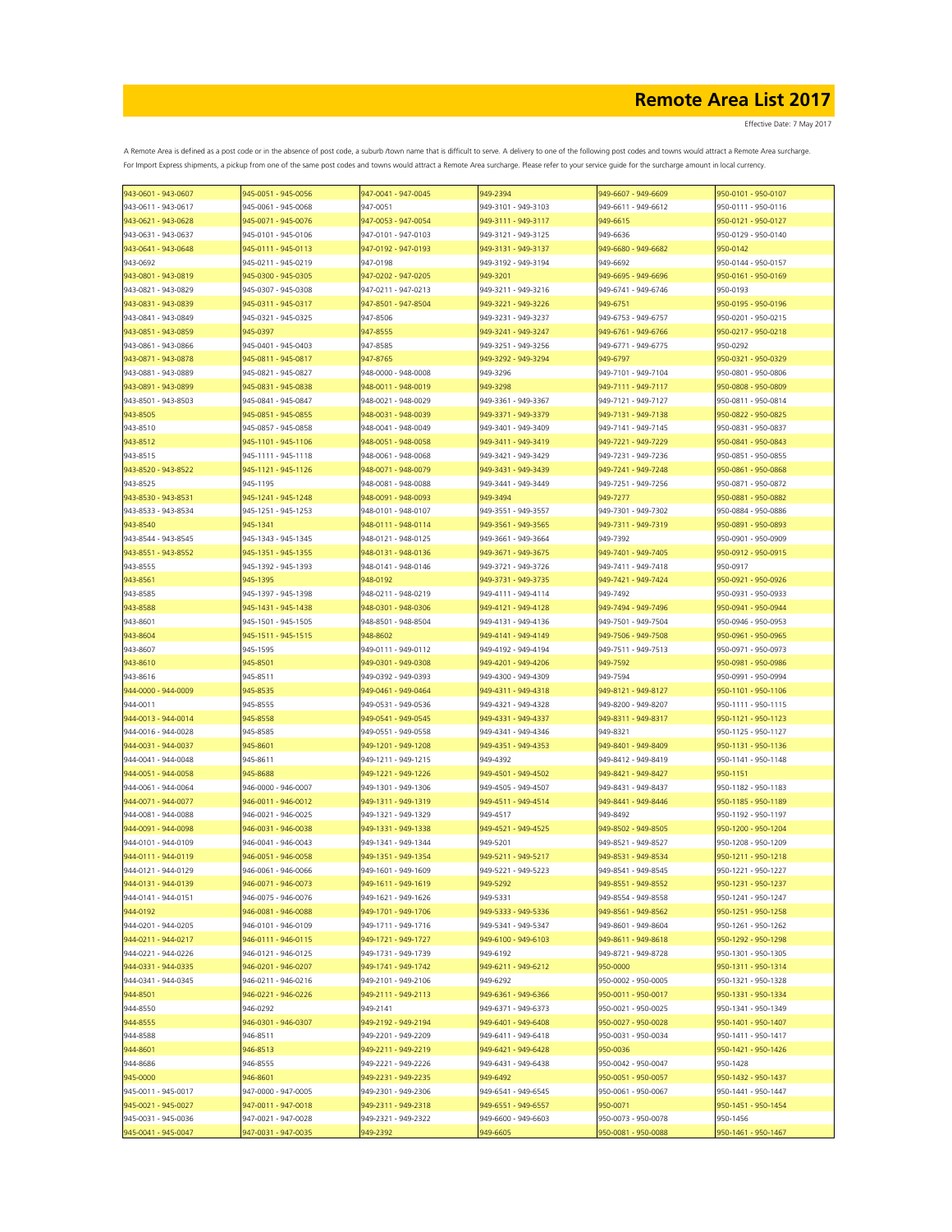| 943-0601 - 943-0607 | 945-0051 - 945-0056 | 947-0041 - 947-0045 | 949-2394            | 949-6607 - 949-6609 | 950-0101 - 950-0107 |
|---------------------|---------------------|---------------------|---------------------|---------------------|---------------------|
| 943-0611 - 943-0617 | 945-0061 - 945-0068 | 947-0051            | 949-3101 - 949-3103 | 949-6611 - 949-6612 | 950-0111 - 950-0116 |
| 943-0621 - 943-0628 | 945-0071 - 945-0076 | 947-0053 - 947-0054 | 949-3111 - 949-3117 | 949-6615            | 950-0121 - 950-0127 |
| 943-0631 - 943-0637 | 945-0101 - 945-0106 | 947-0101 - 947-0103 | 949-3121 - 949-3125 | 949-6636            | 950-0129 - 950-0140 |
| 943-0641 - 943-0648 | 945-0111 - 945-0113 | 947-0192 - 947-0193 | 949-3131 - 949-3137 | 949-6680 - 949-6682 | 950-0142            |
|                     |                     |                     |                     |                     |                     |
| 943-0692            | 945-0211 - 945-0219 | 947-0198            | 949-3192 - 949-3194 | 949-6692            | 950-0144 - 950-0157 |
| 943-0801 - 943-0819 | 945-0300 - 945-0305 | 947-0202 - 947-0205 | 949-3201            | 949-6695 - 949-6696 | 950-0161 - 950-0169 |
| 943-0821 - 943-0829 | 945-0307 - 945-0308 | 947-0211 - 947-0213 | 949-3211 - 949-3216 | 949-6741 - 949-6746 | 950-0193            |
| 943-0831 - 943-0839 | 945-0311 - 945-0317 | 947-8501 - 947-8504 | 949-3221 - 949-3226 | 949-6751            | 950-0195 - 950-0196 |
| 943-0841 - 943-0849 | 945-0321 - 945-0325 | 947-8506            | 949-3231 - 949-3237 | 949-6753 - 949-6757 | 950-0201 - 950-0215 |
| 943-0851 - 943-0859 | 945-0397            | 947-8555            | 949-3241 - 949-3247 | 949-6761 - 949-6766 | 950-0217 - 950-0218 |
| 943-0861 - 943-0866 | 945-0401 - 945-0403 | 947-8585            | 949-3251 - 949-3256 | 949-6771 - 949-6775 | 950-0292            |
|                     |                     |                     |                     |                     |                     |
| 943-0871 - 943-0878 | 945-0811 - 945-0817 | 947-8765            | 949-3292 - 949-3294 | 949-6797            | 950-0321 - 950-0329 |
| 943-0881 - 943-0889 | 945-0821 - 945-0827 | 948-0000 - 948-0008 | 949-3296            | 949-7101 - 949-7104 | 950-0801 - 950-0806 |
| 943-0891 - 943-0899 | 945-0831 - 945-0838 | 948-0011 - 948-0019 | 949-3298            | 949-7111 - 949-7117 | 950-0808 - 950-0809 |
| 943-8501 - 943-8503 | 945-0841 - 945-0847 | 948-0021 - 948-0029 | 949-3361 - 949-3367 | 949-7121 - 949-7127 | 950-0811 - 950-0814 |
| 943-8505            | 945-0851 - 945-0855 | 948-0031 - 948-0039 | 949-3371 - 949-3379 | 949-7131 - 949-7138 | 950-0822 - 950-0825 |
| 943-8510            | 945-0857 - 945-0858 | 948-0041 - 948-0049 | 949-3401 - 949-3409 | 949-7141 - 949-7145 | 950-0831 - 950-0837 |
| 943-8512            | 945-1101 - 945-1106 | 948-0051 - 948-0058 | 949-3411 - 949-3419 | 949-7221 - 949-7229 | 950-0841 - 950-0843 |
|                     |                     |                     |                     |                     |                     |
| 943-8515            | 945-1111 - 945-1118 | 948-0061 - 948-0068 | 949-3421 - 949-3429 | 949-7231 - 949-7236 | 950-0851 - 950-0855 |
| 943-8520 - 943-8522 | 945-1121 - 945-1126 | 948-0071 - 948-0079 | 949-3431 - 949-3439 | 949-7241 - 949-7248 | 950-0861 - 950-0868 |
| 943-8525            | 945-1195            | 948-0081 - 948-0088 | 949-3441 - 949-3449 | 949-7251 - 949-7256 | 950-0871 - 950-0872 |
| 943-8530 - 943-8531 | 945-1241 - 945-1248 | 948-0091 - 948-0093 | 949-3494            | 949-7277            | 950-0881 - 950-0882 |
| 943-8533 - 943-8534 | 945-1251 - 945-1253 | 948-0101 - 948-0107 | 949-3551 - 949-3557 | 949-7301 - 949-7302 | 950-0884 - 950-0886 |
| 943-8540            | 945-1341            | 948-0111 - 948-0114 | 949-3561 - 949-3565 | 949-7311 - 949-7319 | 950-0891 - 950-0893 |
| 943-8544 - 943-8545 | 945-1343 - 945-1345 | 948-0121 - 948-0125 | 949-3661 - 949-3664 | 949-7392            | 950-0901 - 950-0909 |
|                     |                     |                     |                     |                     |                     |
| 943-8551 - 943-8552 | 945-1351 - 945-1355 | 948-0131 - 948-0136 | 949-3671 - 949-3675 | 949-7401 - 949-7405 | 950-0912 - 950-0915 |
| 943-8555            | 945-1392 - 945-1393 | 948-0141 - 948-0146 | 949-3721 - 949-3726 | 949-7411 - 949-7418 | 950-0917            |
| 943-8561            | 945-1395            | 948-0192            | 949-3731 - 949-3735 | 949-7421 - 949-7424 | 950-0921 - 950-0926 |
| 943-8585            | 945-1397 - 945-1398 | 948-0211 - 948-0219 | 949-4111 - 949-4114 | 949-7492            | 950-0931 - 950-0933 |
| 943-8588            | 945-1431 - 945-1438 | 948-0301 - 948-0306 | 949-4121 - 949-4128 | 949-7494 - 949-7496 | 950-0941 - 950-0944 |
| 943-8601            | 945-1501 - 945-1505 | 948-8501 - 948-8504 | 949-4131 - 949-4136 | 949-7501 - 949-7504 | 950-0946 - 950-0953 |
| 943-8604            | 945-1511 - 945-1515 | 948-8602            | 949-4141 - 949-4149 | 949-7506 - 949-7508 | 950-0961 - 950-0965 |
| 943-8607            | 945-1595            | 949-0111 - 949-0112 | 949-4192 - 949-4194 | 949-7511 - 949-7513 | 950-0971 - 950-0973 |
|                     |                     |                     |                     |                     |                     |
| 943-8610            | 945-8501            | 949-0301 - 949-0308 | 949-4201 - 949-4206 | 949-7592            | 950-0981 - 950-0986 |
| 943-8616            | 945-8511            | 949-0392 - 949-0393 | 949-4300 - 949-4309 | 949-7594            | 950-0991 - 950-0994 |
| 944-0000 - 944-0009 | 945-8535            | 949-0461 - 949-0464 | 949-4311 - 949-4318 | 949-8121 - 949-8127 | 950-1101 - 950-1106 |
| 944-0011            | 945-8555            | 949-0531 - 949-0536 | 949-4321 - 949-4328 | 949-8200 - 949-8207 | 950-1111 - 950-1115 |
| 944-0013 - 944-0014 | 945-8558            | 949-0541 - 949-0545 | 949-4331 - 949-4337 | 949-8311 - 949-8317 | 950-1121 - 950-1123 |
| 944-0016 - 944-0028 | 945-8585            | 949-0551 - 949-0558 | 949-4341 - 949-4346 | 949-8321            | 950-1125 - 950-1127 |
| 944-0031 - 944-0037 | 945-8601            | 949-1201 - 949-1208 | 949-4351 - 949-4353 | 949-8401 - 949-8409 | 950-1131 - 950-1136 |
|                     |                     |                     |                     |                     |                     |
| 944-0041 - 944-0048 | 945-8611            | 949-1211 - 949-1215 | 949-4392            | 949-8412 - 949-8419 | 950-1141 - 950-1148 |
| 944-0051 - 944-0058 | 945-8688            | 949-1221 - 949-1226 | 949-4501 - 949-4502 | 949-8421 - 949-8427 | 950-1151            |
| 944-0061 - 944-0064 | 946-0000 - 946-0007 | 949-1301 - 949-1306 | 949-4505 - 949-4507 | 949-8431 - 949-8437 | 950-1182 - 950-1183 |
| 944-0071 - 944-0077 | 946-0011 - 946-0012 | 949-1311 - 949-1319 | 949-4511 - 949-4514 | 949-8441 - 949-8446 | 950-1185 - 950-1189 |
| 944-0081 - 944-0088 | 946-0021 - 946-0025 | 949-1321 - 949-1329 | 949-4517            | 949-8492            | 950-1192 - 950-1197 |
| 944-0091 - 944-0098 | 946-0031 - 946-0038 | 949-1331 - 949-1338 | 949-4521 - 949-4525 | 949-8502 - 949-8505 | 950-1200 - 950-1204 |
| 944-0101 - 944-0109 | 946-0041 - 946-0043 | 949-1341 - 949-1344 | 949-5201            | 949-8521 - 949-8527 | 950-1208 - 950-1209 |
|                     |                     |                     |                     |                     |                     |
| 944-0111 - 944-0119 | 946-0051 - 946-0058 | 949-1351 - 949-1354 | 949-5211 - 949-5217 | 949-8531 - 949-8534 | 950-1211 - 950-1218 |
| 944-0121 - 944-0129 | 946-0061 - 946-0066 | 949-1601 - 949-1609 | 949-5221 - 949-5223 | 949-8541 - 949-8545 | 950-1221 - 950-1227 |
| 944-0131 - 944-0139 | 946-0071 - 946-0073 | 949-1611 - 949-1619 | 949-5292            | 949-8551 - 949-8552 | 950-1231 - 950-1237 |
| 944-0141 - 944-0151 | 946-0075 - 946-0076 | 949-1621 - 949-1626 | 949-5331            | 949-8554 - 949-8558 | 950-1241 - 950-1247 |
| 944-0192            | 946-0081 - 946-0088 | 949-1701 - 949-1706 | 949-5333 - 949-5336 | 949-8561 - 949-8562 | 950-1251 - 950-1258 |
| 944-0201 - 944-0205 | 946-0101 - 946-0109 | 949-1711 - 949-1716 | 949-5341 - 949-5347 | 949-8601 - 949-8604 | 950-1261 - 950-1262 |
| 944-0211 - 944-0217 | 946-0111 - 946-0115 | 949-1721 - 949-1727 | 949-6100 - 949-6103 | 949-8611 - 949-8618 | 950-1292 - 950-1298 |
| 944-0221 - 944-0226 | 946-0121 - 946-0125 | 949-1731 - 949-1739 | 949-6192            | 949-8721 - 949-8728 | 950-1301 - 950-1305 |
|                     |                     |                     |                     |                     |                     |
| 944-0331 - 944-0335 | 946-0201 - 946-0207 | 949-1741 - 949-1742 | 949-6211 - 949-6212 | 950-0000            | 950-1311 - 950-1314 |
| 944-0341 - 944-0345 | 946-0211 - 946-0216 | 949-2101 - 949-2106 | 949-6292            | 950-0002 - 950-0005 | 950-1321 - 950-1328 |
| 944-8501            | 946-0221 - 946-0226 | 949-2111 - 949-2113 | 949-6361 - 949-6366 | 950-0011 - 950-0017 | 950-1331 - 950-1334 |
| 944-8550            | 946-0292            | 949-2141            | 949-6371 - 949-6373 | 950-0021 - 950-0025 | 950-1341 - 950-1349 |
| 944-8555            | 946-0301 - 946-0307 | 949-2192 - 949-2194 | 949-6401 - 949-6408 | 950-0027 - 950-0028 | 950-1401 - 950-1407 |
| 944-8588            | 946-8511            | 949-2201 - 949-2209 | 949-6411 - 949-6418 | 950-0031 - 950-0034 | 950-1411 - 950-1417 |
| 944-8601            | 946-8513            | 949-2211 - 949-2219 | 949-6421 - 949-6428 | 950-0036            | 950-1421 - 950-1426 |
|                     |                     |                     |                     |                     |                     |
| 944-8686            | 946-8555            | 949-2221 - 949-2226 | 949-6431 - 949-6438 | 950-0042 - 950-0047 | 950-1428            |
| 945-0000            | 946-8601            | 949-2231 - 949-2235 | 949-6492            | 950-0051 - 950-0057 | 950-1432 - 950-1437 |
| 945-0011 - 945-0017 | 947-0000 - 947-0005 | 949-2301 - 949-2306 | 949-6541 - 949-6545 | 950-0061 - 950-0067 | 950-1441 - 950-1447 |
| 945-0021 - 945-0027 | 947-0011 - 947-0018 | 949-2311 - 949-2318 | 949-6551 - 949-6557 | 950-0071            | 950-1451 - 950-1454 |
| 945-0031 - 945-0036 | 947-0021 - 947-0028 | 949-2321 - 949-2322 | 949-6600 - 949-6603 | 950-0073 - 950-0078 | 950-1456            |
| 945-0041 - 945-0047 | 947-0031 - 947-0035 | 949-2392            | 949-6605            | 950-0081 - 950-0088 | 950-1461 - 950-1467 |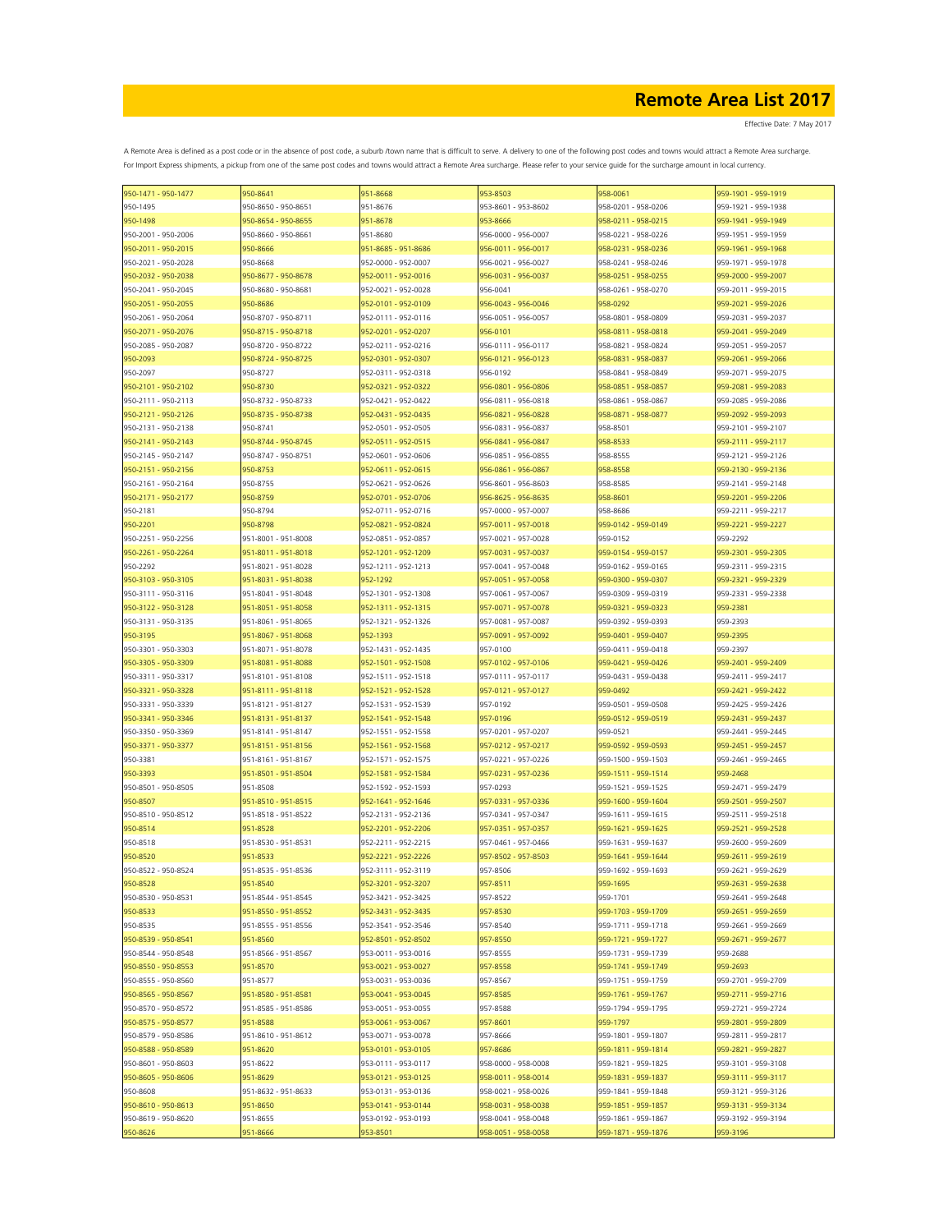Effective Date: 7 May 2017

| 950-1471 - 950-1477 | 950-8641            | 951-8668            | 953-8503            | 958-0061            | 959-1901 - 959-1919 |
|---------------------|---------------------|---------------------|---------------------|---------------------|---------------------|
| 950-1495            | 950-8650 - 950-8651 | 951-8676            | 953-8601 - 953-8602 | 958-0201 - 958-0206 | 959-1921 - 959-1938 |
| 950-1498            | 950-8654 - 950-8655 | 951-8678            | 953-8666            | 958-0211 - 958-0215 | 959-1941 - 959-1949 |
| 950-2001 - 950-2006 | 950-8660 - 950-8661 | 951-8680            | 956-0000 - 956-0007 | 958-0221 - 958-0226 | 959-1951 - 959-1959 |
| 950-2011 - 950-2015 | 950-8666            | 951-8685 - 951-8686 | 956-0011 - 956-0017 | 958-0231 - 958-0236 | 959-1961 - 959-1968 |
| 950-2021 - 950-2028 | 950-8668            | 952-0000 - 952-0007 | 956-0021 - 956-0027 | 958-0241 - 958-0246 | 959-1971 - 959-1978 |
|                     |                     |                     |                     |                     |                     |
| 950-2032 - 950-2038 | 950-8677 - 950-8678 | 952-0011 - 952-0016 | 956-0031 - 956-0037 | 958-0251 - 958-0255 | 959-2000 - 959-2007 |
| 950-2041 - 950-2045 | 950-8680 - 950-8681 | 952-0021 - 952-0028 | 956-0041            | 958-0261 - 958-0270 | 959-2011 - 959-2015 |
| 950-2051 - 950-2055 | 950-8686            | 952-0101 - 952-0109 | 956-0043 - 956-0046 | 958-0292            | 959-2021 - 959-2026 |
| 950-2061 - 950-2064 | 950-8707 - 950-8711 | 952-0111 - 952-0116 | 956-0051 - 956-0057 | 958-0801 - 958-0809 | 959-2031 - 959-2037 |
| 950-2071 - 950-2076 | 950-8715 - 950-8718 | 952-0201 - 952-0207 | 956-0101            | 958-0811 - 958-0818 | 959-2041 - 959-2049 |
| 950-2085 - 950-2087 | 950-8720 - 950-8722 | 952-0211 - 952-0216 | 956-0111 - 956-0117 | 958-0821 - 958-0824 | 959-2051 - 959-2057 |
| 950-2093            | 950-8724 - 950-8725 | 952-0301 - 952-0307 | 956-0121 - 956-0123 | 958-0831 - 958-0837 | 959-2061 - 959-2066 |
| 950-2097            | 950-8727            | 952-0311 - 952-0318 | 956-0192            | 958-0841 - 958-0849 | 959-2071 - 959-2075 |
| 950-2101 - 950-2102 | 950-8730            | 952-0321 - 952-0322 | 956-0801 - 956-0806 | 958-0851 - 958-0857 | 959-2081 - 959-2083 |
| 950-2111 - 950-2113 | 950-8732 - 950-8733 | 952-0421 - 952-0422 | 956-0811 - 956-0818 | 958-0861 - 958-0867 | 959-2085 - 959-2086 |
|                     |                     |                     |                     |                     |                     |
| 950-2121 - 950-2126 | 950-8735 - 950-8738 | 952-0431 - 952-0435 | 956-0821 - 956-0828 | 958-0871 - 958-0877 | 959-2092 - 959-2093 |
| 950-2131 - 950-2138 | 950-8741            | 952-0501 - 952-0505 | 956-0831 - 956-0837 | 958-8501            | 959-2101 - 959-2107 |
| 950-2141 - 950-2143 | 950-8744 - 950-8745 | 952-0511 - 952-0515 | 956-0841 - 956-0847 | 958-8533            | 959-2111 - 959-2117 |
| 950-2145 - 950-2147 | 950-8747 - 950-8751 | 952-0601 - 952-0606 | 956-0851 - 956-0855 | 958-8555            | 959-2121 - 959-2126 |
| 950-2151 - 950-2156 | 950-8753            | 952-0611 - 952-0615 | 956-0861 - 956-0867 | 958-8558            | 959-2130 - 959-2136 |
| 950-2161 - 950-2164 | 950-8755            | 952-0621 - 952-0626 | 956-8601 - 956-8603 | 958-8585            | 959-2141 - 959-2148 |
| 950-2171 - 950-2177 | 950-8759            | 952-0701 - 952-0706 | 956-8625 - 956-8635 | 958-8601            | 959-2201 - 959-2206 |
| 950-2181            | 950-8794            | 952-0711 - 952-0716 | 957-0000 - 957-0007 | 958-8686            | 959-2211 - 959-2217 |
| 950-2201            | 950-8798            | 952-0821 - 952-0824 | 957-0011 - 957-0018 | 959-0142 - 959-0149 | 959-2221 - 959-2227 |
| 950-2251 - 950-2256 | 951-8001 - 951-8008 | 952-0851 - 952-0857 | 957-0021 - 957-0028 | 959-0152            | 959-2292            |
| 950-2261 - 950-2264 | 951-8011 - 951-8018 | 952-1201 - 952-1209 | 957-0031 - 957-0037 | 959-0154 - 959-0157 | 959-2301 - 959-2305 |
|                     |                     |                     |                     |                     |                     |
| 950-2292            | 951-8021 - 951-8028 | 952-1211 - 952-1213 | 957-0041 - 957-0048 | 959-0162 - 959-0165 | 959-2311 - 959-2315 |
| 950-3103 - 950-3105 | 951-8031 - 951-8038 | 952-1292            | 957-0051 - 957-0058 | 959-0300 - 959-0307 | 959-2321 - 959-2329 |
| 950-3111 - 950-3116 | 951-8041 - 951-8048 | 952-1301 - 952-1308 | 957-0061 - 957-0067 | 959-0309 - 959-0319 | 959-2331 - 959-2338 |
| 950-3122 - 950-3128 | 951-8051 - 951-8058 | 952-1311 - 952-1315 | 957-0071 - 957-0078 | 959-0321 - 959-0323 | 959-2381            |
| 950-3131 - 950-3135 | 951-8061 - 951-8065 | 952-1321 - 952-1326 | 957-0081 - 957-0087 | 959-0392 - 959-0393 | 959-2393            |
| 950-3195            | 951-8067 - 951-8068 | 952-1393            | 957-0091 - 957-0092 | 959-0401 - 959-0407 | 959-2395            |
| 950-3301 - 950-3303 | 951-8071 - 951-8078 | 952-1431 - 952-1435 | 957-0100            | 959-0411 - 959-0418 | 959-2397            |
| 950-3305 - 950-3309 | 951-8081 - 951-8088 | 952-1501 - 952-1508 | 957-0102 - 957-0106 | 959-0421 - 959-0426 | 959-2401 - 959-2409 |
| 950-3311 - 950-3317 | 951-8101 - 951-8108 | 952-1511 - 952-1518 | 957-0111 - 957-0117 | 959-0431 - 959-0438 | 959-2411 - 959-2417 |
| 950-3321 - 950-3328 | 951-8111 - 951-8118 | 952-1521 - 952-1528 | 957-0121 - 957-0127 | 959-0492            | 959-2421 - 959-2422 |
|                     |                     |                     |                     |                     |                     |
| 950-3331 - 950-3339 | 951-8121 - 951-8127 | 952-1531 - 952-1539 | 957-0192            | 959-0501 - 959-0508 | 959-2425 - 959-2426 |
| 950-3341 - 950-3346 | 951-8131 - 951-8137 | 952-1541 - 952-1548 | 957-0196            | 959-0512 - 959-0519 | 959-2431 - 959-2437 |
| 950-3350 - 950-3369 | 951-8141 - 951-8147 | 952-1551 - 952-1558 | 957-0201 - 957-0207 | 959-0521            | 959-2441 - 959-2445 |
| 950-3371 - 950-3377 | 951-8151 - 951-8156 | 952-1561 - 952-1568 | 957-0212 - 957-0217 | 959-0592 - 959-0593 | 959-2451 - 959-2457 |
| 950-3381            | 951-8161 - 951-8167 | 952-1571 - 952-1575 | 957-0221 - 957-0226 | 959-1500 - 959-1503 | 959-2461 - 959-2465 |
| 950-3393            | 951-8501 - 951-8504 | 952-1581 - 952-1584 | 957-0231 - 957-0236 | 959-1511 - 959-1514 | 959-2468            |
| 950-8501 - 950-8505 | 951-8508            | 952-1592 - 952-1593 | 957-0293            | 959-1521 - 959-1525 | 959-2471 - 959-2479 |
| 950-8507            | 951-8510 - 951-8515 | 952-1641 - 952-1646 | 957-0331 - 957-0336 | 959-1600 - 959-1604 | 959-2501 - 959-2507 |
| 950-8510 - 950-8512 | 951-8518 - 951-8522 | 952-2131 - 952-2136 | 957-0341 - 957-0347 | 959-1611 - 959-1615 | 959-2511 - 959-2518 |
| 950-8514            | 951-8528            | 952-2201 - 952-2206 | 957-0351 - 957-0357 | 959-1621 - 959-1625 | 959-2521 - 959-2528 |
|                     |                     |                     |                     |                     |                     |
| 950-8518            | 951-8530 - 951-8531 | 952-2211 - 952-2215 | 957-0461 - 957-0466 | 959-1631 - 959-1637 | 959-2600 - 959-2609 |
| 950-8520            | 951-8533            | 952-2221 - 952-2226 | 957-8502 - 957-8503 | 959-1641 - 959-1644 | 959-2611 - 959-2619 |
| 950-8522 - 950-8524 | 951-8535 - 951-8536 | 952-3111 - 952-3119 | 957-8506            | 959-1692 - 959-1693 | 959-2621 - 959-2629 |
| 950-8528            | 951-8540            | 952-3201 - 952-3207 | 957-8511            | 959-1695            | 959-2631 - 959-2638 |
| 950-8530 - 950-8531 | 951-8544 - 951-8545 | 952-3421 - 952-3425 | 957-8522            | 959-1701            | 959-2641 - 959-2648 |
| 950-8533            | 951-8550 - 951-8552 | 952-3431 - 952-3435 | 957-8530            | 959-1703 - 959-1709 | 959-2651 - 959-2659 |
| 950-8535            | 951-8555 - 951-8556 | 952-3541 - 952-3546 | 957-8540            | 959-1711 - 959-1718 | 959-2661 - 959-2669 |
| 950-8539 - 950-8541 | 951-8560            | 952-8501 - 952-8502 | 957-8550            | 959-1721 - 959-1727 | 959-2671 - 959-2677 |
| 950-8544 - 950-8548 | 951-8566 - 951-8567 | 953-0011 - 953-0016 | 957-8555            | 959-1731 - 959-1739 | 959-2688            |
| 950-8550 - 950-8553 | 951-8570            | 953-0021 - 953-0027 | 957-8558            | 959-1741 - 959-1749 | 959-2693            |
| 950-8555 - 950-8560 | 951-8577            | 953-0031 - 953-0036 | 957-8567            | 959-1751 - 959-1759 | 959-2701 - 959-2709 |
|                     |                     |                     |                     |                     |                     |
| 950-8565 - 950-8567 | 951-8580 - 951-8581 | 953-0041 - 953-0045 | 957-8585            | 959-1761 - 959-1767 | 959-2711 - 959-2716 |
| 950-8570 - 950-8572 | 951-8585 - 951-8586 | 953-0051 - 953-0055 | 957-8588            | 959-1794 - 959-1795 | 959-2721 - 959-2724 |
| 950-8575 - 950-8577 | 951-8588            | 953-0061 - 953-0067 | 957-8601            | 959-1797            | 959-2801 - 959-2809 |
| 950-8579 - 950-8586 | 951-8610 - 951-8612 | 953-0071 - 953-0078 | 957-8666            | 959-1801 - 959-1807 | 959-2811 - 959-2817 |
| 950-8588 - 950-8589 | 951-8620            | 953-0101 - 953-0105 | 957-8686            | 959-1811 - 959-1814 | 959-2821 - 959-2827 |
| 950-8601 - 950-8603 | 951-8622            | 953-0111 - 953-0117 | 958-0000 - 958-0008 | 959-1821 - 959-1825 | 959-3101 - 959-3108 |
| 950-8605 - 950-8606 | 951-8629            | 953-0121 - 953-0125 | 958-0011 - 958-0014 | 959-1831 - 959-1837 | 959-3111 - 959-3117 |
| 950-8608            | 951-8632 - 951-8633 | 953-0131 - 953-0136 | 958-0021 - 958-0026 | 959-1841 - 959-1848 | 959-3121 - 959-3126 |
| 950-8610 - 950-8613 | 951-8650            | 953-0141 - 953-0144 | 958-0031 - 958-0038 | 959-1851 - 959-1857 | 959-3131 - 959-3134 |
| 950-8619 - 950-8620 | 951-8655            | 953-0192 - 953-0193 | 958-0041 - 958-0048 | 959-1861 - 959-1867 | 959-3192 - 959-3194 |
| 950-8626            | 951-8666            | 953-8501            | 958-0051 - 958-0058 | 959-1871 - 959-1876 | 959-3196            |
|                     |                     |                     |                     |                     |                     |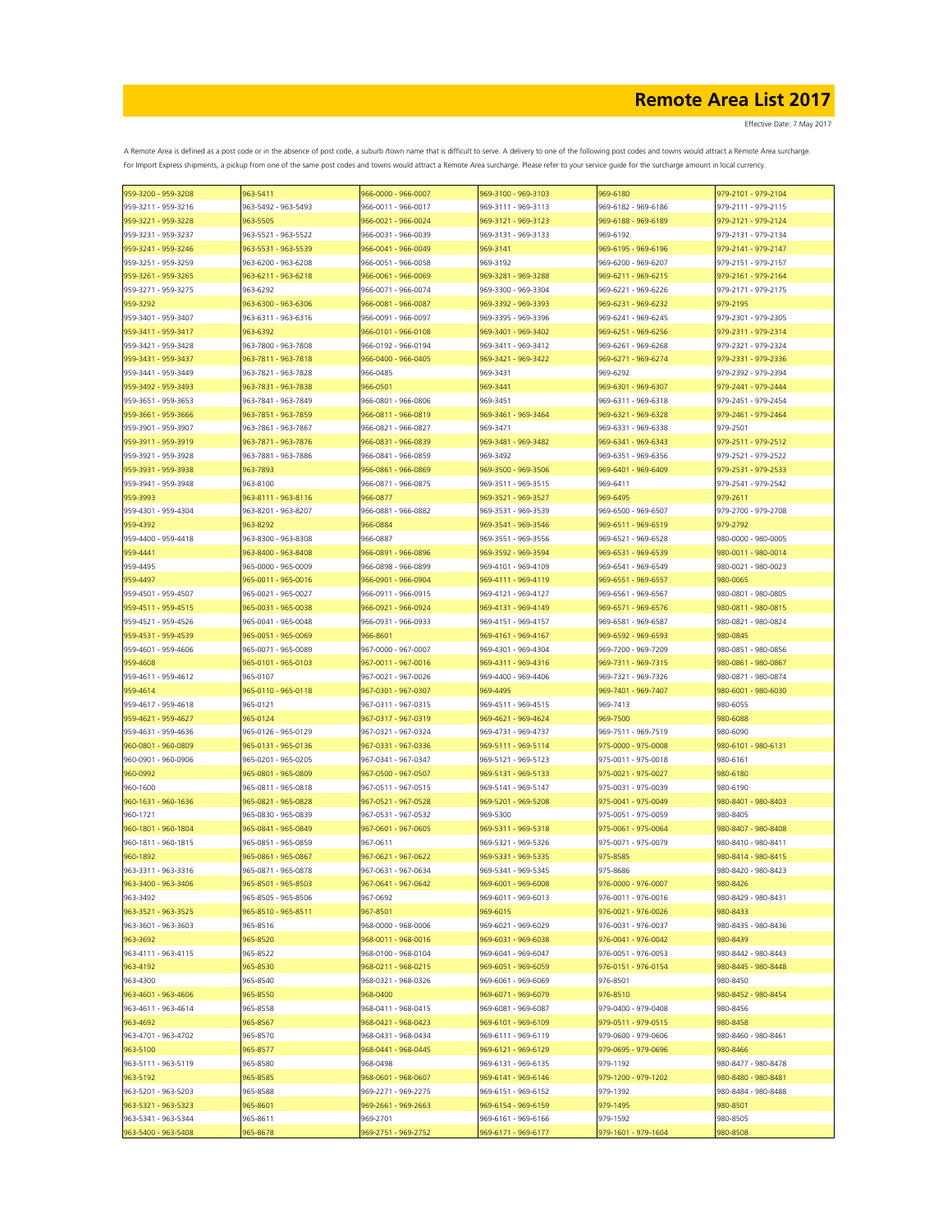| 959-3200 - 959-3208 | 963-5411            | 966-0000 - 966-0007 | 969-3100 - 969-3103 | 969-6180            | 979-2101 - 979-2104 |
|---------------------|---------------------|---------------------|---------------------|---------------------|---------------------|
| 959-3211 - 959-3216 | 963-5492 - 963-5493 | 966-0011 - 966-0017 | 969-3111 - 969-3113 | 969-6182 - 969-6186 | 979-2111 - 979-2115 |
| 959-3221 - 959-3228 | 963-5505            | 966-0021 - 966-0024 | 969-3121 - 969-3123 | 969-6188 - 969-6189 | 979-2121 - 979-2124 |
| 959-3231 - 959-3237 | 963-5521 - 963-5522 | 966-0031 - 966-0039 | 969-3131 - 969-3133 | 969-6192            | 979-2131 - 979-2134 |
| 959-3241 - 959-3246 | 963-5531 - 963-5539 | 966-0041 - 966-0049 | 969-3141            | 969-6195 - 969-6196 | 979-2141 - 979-2147 |
|                     |                     |                     |                     |                     |                     |
| 959-3251 - 959-3259 | 963-6200 - 963-6208 | 966-0051 - 966-0058 | 969-3192            | 969-6200 - 969-6207 | 979-2151 - 979-2157 |
| 959-3261 - 959-3265 | 963-6211 - 963-6218 | 966-0061 - 966-0069 | 969-3281 - 969-3288 | 969-6211 - 969-6215 | 979-2161 - 979-2164 |
| 959-3271 - 959-3275 | 963-6292            | 966-0071 - 966-0074 | 969-3300 - 969-3304 | 969-6221 - 969-6226 | 979-2171 - 979-2175 |
| 959-3292            | 963-6300 - 963-6306 | 966-0081 - 966-0087 | 969-3392 - 969-3393 | 969-6231 - 969-6232 | 979-2195            |
| 959-3401 - 959-3407 | 963-6311 - 963-6316 | 966-0091 - 966-0097 | 969-3395 - 969-3396 | 969-6241 - 969-6245 | 979-2301 - 979-2305 |
| 959-3411 - 959-3417 | 963-6392            | 966-0101 - 966-0108 | 969-3401 - 969-3402 | 969-6251 - 969-6256 | 979-2311 - 979-2314 |
| 959-3421 - 959-3428 | 963-7800 - 963-7808 | 966-0192 - 966-0194 | 969-3411 - 969-3412 | 969-6261 - 969-6268 | 979-2321 - 979-2324 |
| 959-3431 - 959-3437 | 963-7811 - 963-7818 | 966-0400 - 966-0405 | 969-3421 - 969-3422 | 969-6271 - 969-6274 | 979-2331 - 979-2336 |
| 959-3441 - 959-3449 | 963-7821 - 963-7828 | 966-0485            | 969-3431            | 969-6292            | 979-2392 - 979-2394 |
|                     |                     |                     |                     |                     |                     |
| 959-3492 - 959-3493 | 963-7831 - 963-7838 | 966-0501            | 969-3441            | 969-6301 - 969-6307 | 979-2441 - 979-2444 |
| 959-3651 - 959-3653 | 963-7841 - 963-7849 | 966-0801 - 966-0806 | 969-3451            | 969-6311 - 969-6318 | 979-2451 - 979-2454 |
| 959-3661 - 959-3666 | 963-7851 - 963-7859 | 966-0811 - 966-0819 | 969-3461 - 969-3464 | 969-6321 - 969-6328 | 979-2461 - 979-2464 |
| 959-3901 - 959-3907 | 963-7861 - 963-7867 | 966-0821 - 966-0827 | 969-3471            | 969-6331 - 969-6338 | 979-2501            |
| 959-3911 - 959-3919 | 963-7871 - 963-7876 | 966-0831 - 966-0839 | 969-3481 - 969-3482 | 969-6341 - 969-6343 | 979-2511 - 979-2512 |
| 959-3921 - 959-3928 | 963-7881 - 963-7886 | 966-0841 - 966-0859 | 969-3492            | 969-6351 - 969-6356 | 979-2521 - 979-2522 |
| 959-3931 - 959-3938 | 963-7893            | 966-0861 - 966-0869 | 969-3500 - 969-3506 | 969-6401 - 969-6409 | 979-2531 - 979-2533 |
| 959-3941 - 959-3948 | 963-8100            | 966-0871 - 966-0875 | 969-3511 - 969-3515 | 969-6411            | 979-2541 - 979-2542 |
|                     |                     |                     | 969-3521 - 969-3527 |                     |                     |
| 959-3993            | 963-8111 - 963-8116 | 966-0877            |                     | 969-6495            | 979-2611            |
| 959-4301 - 959-4304 | 963-8201 - 963-8207 | 966-0881 - 966-0882 | 969-3531 - 969-3539 | 969-6500 - 969-6507 | 979-2700 - 979-2708 |
| 959-4392            | 963-8292            | 966-0884            | 969-3541 - 969-3546 | 969-6511 - 969-6519 | 979-2792            |
| 959-4400 - 959-4418 | 963-8300 - 963-8308 | 966-0887            | 969-3551 - 969-3556 | 969-6521 - 969-6528 | 980-0000 - 980-0005 |
| 959-4441            | 963-8400 - 963-8408 | 966-0891 - 966-0896 | 969-3592 - 969-3594 | 969-6531 - 969-6539 | 980-0011 - 980-0014 |
| 959-4495            | 965-0000 - 965-0009 | 966-0898 - 966-0899 | 969-4101 - 969-4109 | 969-6541 - 969-6549 | 980-0021 - 980-0023 |
| 959-4497            | 965-0011 - 965-0016 | 966-0901 - 966-0904 | 969-4111 - 969-4119 | 969-6551 - 969-6557 | 980-0065            |
| 959-4501 - 959-4507 | 965-0021 - 965-0027 | 966-0911 - 966-0915 | 969-4121 - 969-4127 | 969-6561 - 969-6567 | 980-0801 - 980-0805 |
| 959-4511 - 959-4515 | 965-0031 - 965-0038 | 966-0921 - 966-0924 | 969-4131 - 969-4149 | 969-6571 - 969-6576 | 980-0811 - 980-0815 |
|                     |                     |                     |                     |                     |                     |
| 959-4521 - 959-4526 | 965-0041 - 965-0048 | 966-0931 - 966-0933 | 969-4151 - 969-4157 | 969-6581 - 969-6587 | 980-0821 - 980-0824 |
| 959-4531 - 959-4539 | 965-0051 - 965-0069 | 966-8601            | 969-4161 - 969-4167 | 969-6592 - 969-6593 | 980-0845            |
| 959-4601 - 959-4606 | 965-0071 - 965-0089 | 967-0000 - 967-0007 | 969-4301 - 969-4304 | 969-7200 - 969-7209 | 980-0851 - 980-0856 |
| 959-4608            | 965-0101 - 965-0103 | 967-0011 - 967-0016 | 969-4311 - 969-4316 | 969-7311 - 969-7315 | 980-0861 - 980-0867 |
| 959-4611 - 959-4612 | 965-0107            | 967-0021 - 967-0026 | 969-4400 - 969-4406 | 969-7321 - 969-7326 | 980-0871 - 980-0874 |
| 959-4614            | 965-0110 - 965-0118 | 967-0301 - 967-0307 | 969-4495            | 969-7401 - 969-7407 | 980-6001 - 980-6030 |
| 959-4617 - 959-4618 | 965-0121            | 967-0311 - 967-0315 | 969-4511 - 969-4515 | 969-7413            | 980-6055            |
| 959-4621 - 959-4627 | 965-0124            | 967-0317 - 967-0319 | 969-4621 - 969-4624 | 969-7500            | 980-6088            |
| 959-4631 - 959-4636 | 965-0126 - 965-0129 | 967-0321 - 967-0324 | 969-4731 - 969-4737 | 969-7511 - 969-7519 | 980-6090            |
|                     |                     |                     |                     |                     |                     |
| 960-0801 - 960-0809 | 965-0131 - 965-0136 | 967-0331 - 967-0336 | 969-5111 - 969-5114 | 975-0000 - 975-0008 | 980-6101 - 980-6131 |
| 960-0901 - 960-0906 | 965-0201 - 965-0205 | 967-0341 - 967-0347 | 969-5121 - 969-5123 | 975-0011 - 975-0018 | 980-6161            |
| 960-0992            | 965-0801 - 965-0809 | 967-0500 - 967-0507 | 969-5131 - 969-5133 | 975-0021 - 975-0027 | 980-6180            |
| 960-1600            | 965-0811 - 965-0818 | 967-0511 - 967-0515 | 969-5141 - 969-5147 | 975-0031 - 975-0039 | 980-6190            |
| 960-1631 - 960-1636 | 965-0821 - 965-0828 | 967-0521 - 967-0528 | 969-5201 - 969-5208 | 975-0041 - 975-0049 | 980-8401 - 980-8403 |
| 960-1721            | 965-0830 - 965-0839 | 967-0531 - 967-0532 | 969-5300            | 975-0051 - 975-0059 | 980-8405            |
| 960-1801 - 960-1804 | 965-0841 - 965-0849 | 967-0601 - 967-0605 | 969-5311 - 969-5318 | 975-0061 - 975-0064 | 980-8407 - 980-8408 |
| 960-1811 - 960-1815 | 965-0851 - 965-0859 | 967-0611            | 969-5321 - 969-5326 | 975-0071 - 975-0079 | 980-8410 - 980-8411 |
| 960-1892            | 965-0861 - 965-0867 | 967-0621 - 967-0622 | 969-5331 - 969-5335 | 975-8585            | 980-8414 - 980-8415 |
|                     |                     |                     |                     |                     |                     |
| 963-3311 - 963-3316 | 965-0871 - 965-0878 | 967-0631 - 967-0634 | 969-5341 - 969-5345 | 975-8686            | 980-8420 - 980-8423 |
| 963-3400 - 963-3406 | 965-8501 - 965-8503 | 967-0641 - 967-0642 | 969-6001 - 969-6008 | 976-0000 - 976-0007 | 980-8426            |
| 963-3492            | 965-8505 - 965-8506 | 967-0692            | 969-6011 - 969-6013 | 976-0011 - 976-0016 | 980-8429 - 980-8431 |
| 963-3521 - 963-3525 | 965-8510 - 965-8511 | 967-8501            | 969-6015            | 976-0021 - 976-0026 | 980-8433            |
| 963-3601 - 963-3603 | 965-8516            | 968-0000 - 968-0006 | 969-6021 - 969-6029 | 976-0031 - 976-0037 | 980-8435 - 980-8436 |
| 963-3692            | 965-8520            | 968-0011 - 968-0016 | 969-6031 - 969-6038 | 976-0041 - 976-0042 | 980-8439            |
| 963-4111 - 963-4115 | 965-8522            | 968-0100 - 968-0104 | 969-6041 - 969-6047 | 976-0051 - 976-0053 | 980-8442 - 980-8443 |
| 963-4192            | 965-8530            | 968-0211 - 968-0215 | 969-6051 - 969-6059 | 976-0151 - 976-0154 | 980-8445 - 980-8448 |
| 963-4300            | 965-8540            | 968-0321 - 968-0326 | 969-6061 - 969-6069 | 976-8501            | 980-8450            |
|                     |                     |                     |                     |                     |                     |
| 963-4601 - 963-4606 | 965-8550            | 968-0400            | 969-6071 - 969-6079 | 976-8510            | 980-8452 - 980-8454 |
| 963-4611 - 963-4614 | 965-8558            | 968-0411 - 968-0415 | 969-6081 - 969-6087 | 979-0400 - 979-0408 | 980-8456            |
| 963-4692            | 965-8567            | 968-0421 - 968-0423 | 969-6101 - 969-6109 | 979-0511 - 979-0515 | 980-8458            |
| 963-4701 - 963-4702 | 965-8570            | 968-0431 - 968-0434 | 969-6111 - 969-6119 | 979-0600 - 979-0606 | 980-8460 - 980-8461 |
| 963-5100            | 965-8577            | 968-0441 - 968-0445 | 969-6121 - 969-6129 | 979-0695 - 979-0696 | 980-8466            |
| 963-5111 - 963-5119 | 965-8580            | 968-0498            | 969-6131 - 969-6135 | 979-1192            | 980-8477 - 980-8478 |
| 963-5192            | 965-8585            | 968-0601 - 968-0607 | 969-6141 - 969-6146 | 979-1200 - 979-1202 | 980-8480 - 980-8481 |
| 963-5201 - 963-5203 | 965-8588            | 969-2271 - 969-2275 | 969-6151 - 969-6152 | 979-1392            | 980-8484 - 980-8488 |
|                     |                     |                     | 969-6154 - 969-6159 |                     |                     |
| 963-5321 - 963-5323 | 965-8601            | 969-2661 - 969-2663 |                     | 979-1495            | 980-8501            |
| 963-5341 - 963-5344 | 965-8611            | 969-2701            | 969-6161 - 969-6166 | 979-1592            | 980-8505            |
| 963-5400 - 963-5408 | 965-8678            | 969-2751 - 969-2752 | 969-6171 - 969-6177 | 979-1601 - 979-1604 | 980-8508            |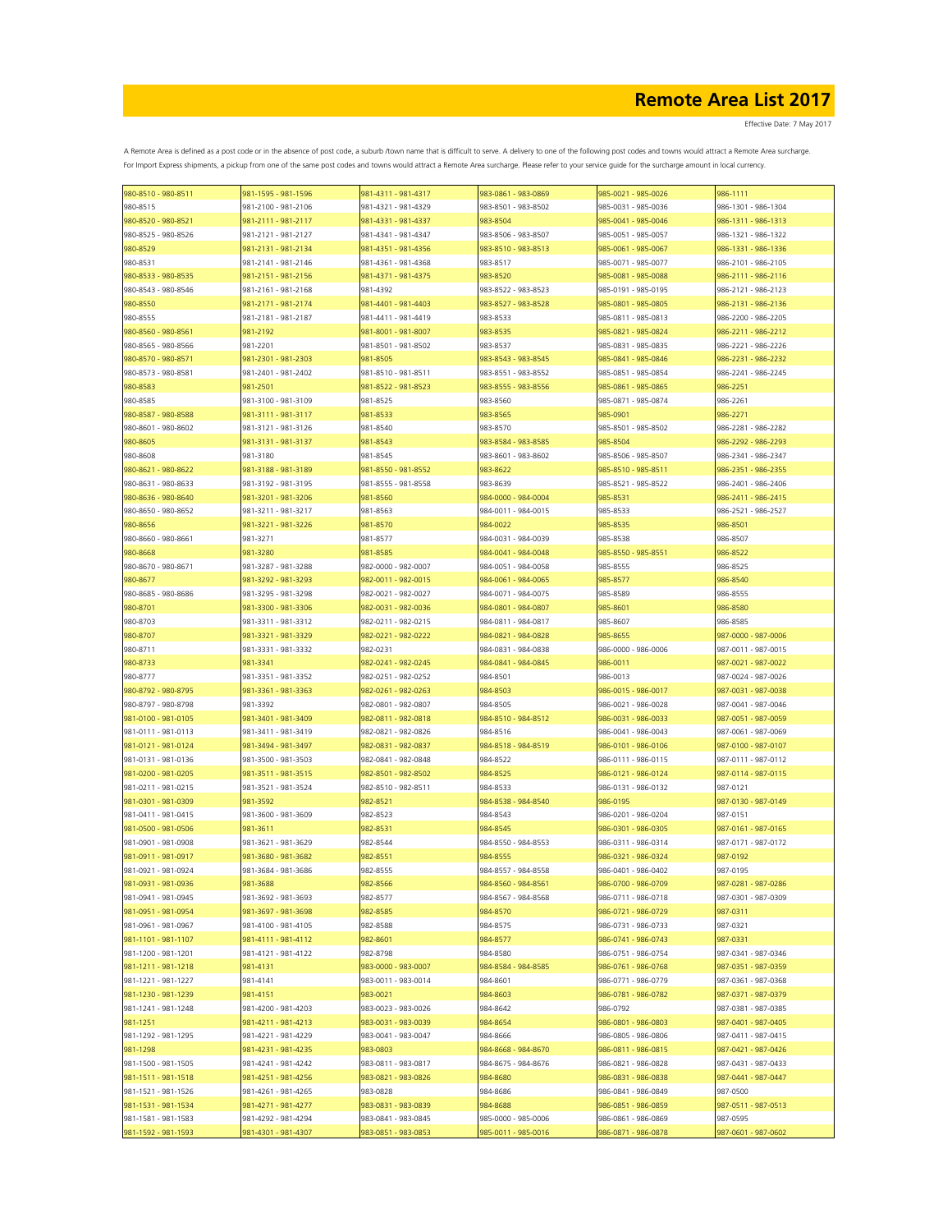Effective Date: 7 May 2017

| 980-8510 - 980-8511 | 981-1595 - 981-1596 | 981-4311 - 981-4317 | 983-0861 - 983-0869 | 985-0021 - 985-0026 | 986-1111            |
|---------------------|---------------------|---------------------|---------------------|---------------------|---------------------|
| 980-8515            | 981-2100 - 981-2106 | 981-4321 - 981-4329 | 983-8501 - 983-8502 | 985-0031 - 985-0036 | 986-1301 - 986-1304 |
| 980-8520 - 980-8521 | 981-2111 - 981-2117 | 981-4331 - 981-4337 | 983-8504            | 985-0041 - 985-0046 | 986-1311 - 986-1313 |
| 980-8525 - 980-8526 | 981-2121 - 981-2127 | 981-4341 - 981-4347 | 983-8506 - 983-8507 | 985-0051 - 985-0057 | 986-1321 - 986-1322 |
| 980-8529            | 981-2131 - 981-2134 | 981-4351 - 981-4356 | 983-8510 - 983-8513 | 985-0061 - 985-0067 | 986-1331 - 986-1336 |
| 980-8531            | 981-2141 - 981-2146 | 981-4361 - 981-4368 | 983-8517            | 985-0071 - 985-0077 | 986-2101 - 986-2105 |
|                     |                     |                     |                     |                     |                     |
| 980-8533 - 980-8535 | 981-2151 - 981-2156 | 981-4371 - 981-4375 | 983-8520            | 985-0081 - 985-0088 | 986-2111 - 986-2116 |
| 980-8543 - 980-8546 | 981-2161 - 981-2168 | 981-4392            | 983-8522 - 983-8523 | 985-0191 - 985-0195 | 986-2121 - 986-2123 |
| 980-8550            | 981-2171 - 981-2174 | 981-4401 - 981-4403 | 983-8527 - 983-8528 | 985-0801 - 985-0805 | 986-2131 - 986-2136 |
| 980-8555            | 981-2181 - 981-2187 | 981-4411 - 981-4419 | 983-8533            | 985-0811 - 985-0813 | 986-2200 - 986-2205 |
| 980-8560 - 980-8561 | 981-2192            | 981-8001 - 981-8007 | 983-8535            | 985-0821 - 985-0824 | 986-2211 - 986-2212 |
| 980-8565 - 980-8566 | 981-2201            | 981-8501 - 981-8502 | 983-8537            | 985-0831 - 985-0835 | 986-2221 - 986-2226 |
| 980-8570 - 980-8571 | 981-2301 - 981-2303 | 981-8505            | 983-8543 - 983-8545 | 985-0841 - 985-0846 | 986-2231 - 986-2232 |
| 980-8573 - 980-8581 | 981-2401 - 981-2402 | 981-8510 - 981-8511 | 983-8551 - 983-8552 | 985-0851 - 985-0854 | 986-2241 - 986-2245 |
| 980-8583            | 981-2501            | 981-8522 - 981-8523 | 983-8555 - 983-8556 | 985-0861 - 985-0865 | 986-2251            |
| 980-8585            | 981-3100 - 981-3109 | 981-8525            | 983-8560            | 985-0871 - 985-0874 | 986-2261            |
| 980-8587 - 980-8588 | 981-3111 - 981-3117 | 981-8533            | 983-8565            | 985-0901            | 986-2271            |
|                     | 981-3121 - 981-3126 |                     |                     |                     | 986-2281 - 986-2282 |
| 980-8601 - 980-8602 |                     | 981-8540            | 983-8570            | 985-8501 - 985-8502 |                     |
| 980-8605            | 981-3131 - 981-3137 | 981-8543            | 983-8584 - 983-8585 | 985-8504            | 986-2292 - 986-2293 |
| 980-8608            | 981-3180            | 981-8545            | 983-8601 - 983-8602 | 985-8506 - 985-8507 | 986-2341 - 986-2347 |
| 980-8621 - 980-8622 | 981-3188 - 981-3189 | 981-8550 - 981-8552 | 983-8622            | 985-8510 - 985-8511 | 986-2351 - 986-2355 |
| 980-8631 - 980-8633 | 981-3192 - 981-3195 | 981-8555 - 981-8558 | 983-8639            | 985-8521 - 985-8522 | 986-2401 - 986-2406 |
| 980-8636 - 980-8640 | 981-3201 - 981-3206 | 981-8560            | 984-0000 - 984-0004 | 985-8531            | 986-2411 - 986-2415 |
| 980-8650 - 980-8652 | 981-3211 - 981-3217 | 981-8563            | 984-0011 - 984-0015 | 985-8533            | 986-2521 - 986-2527 |
| 980-8656            | 981-3221 - 981-3226 | 981-8570            | 984-0022            | 985-8535            | 986-8501            |
| 980-8660 - 980-8661 | 981-3271            | 981-8577            | 984-0031 - 984-0039 | 985-8538            | 986-8507            |
| 980-8668            | 981-3280            | 981-8585            | 984-0041 - 984-0048 | 985-8550 - 985-8551 | 986-8522            |
|                     | 981-3287 - 981-3288 | 982-0000 - 982-0007 | 984-0051 - 984-0058 | 985-8555            |                     |
| 980-8670 - 980-8671 |                     |                     |                     |                     | 986-8525            |
| 980-8677            | 981-3292 - 981-3293 | 982-0011 - 982-0015 | 984-0061 - 984-0065 | 985-8577            | 986-8540            |
| 980-8685 - 980-8686 | 981-3295 - 981-3298 | 982-0021 - 982-0027 | 984-0071 - 984-0075 | 985-8589            | 986-8555            |
| 980-8701            | 981-3300 - 981-3306 | 982-0031 - 982-0036 | 984-0801 - 984-0807 | 985-8601            | 986-8580            |
| 980-8703            | 981-3311 - 981-3312 | 982-0211 - 982-0215 | 984-0811 - 984-0817 | 985-8607            | 986-8585            |
| 980-8707            | 981-3321 - 981-3329 | 982-0221 - 982-0222 | 984-0821 - 984-0828 | 985-8655            | 987-0000 - 987-0006 |
| 980-8711            | 981-3331 - 981-3332 | 982-0231            | 984-0831 - 984-0838 | 986-0000 - 986-0006 | 987-0011 - 987-0015 |
| 980-8733            | 981-3341            | 982-0241 - 982-0245 | 984-0841 - 984-0845 | 986-0011            | 987-0021 - 987-0022 |
| 980-8777            | 981-3351 - 981-3352 | 982-0251 - 982-0252 | 984-8501            | 986-0013            | 987-0024 - 987-0026 |
| 980-8792 - 980-8795 | 981-3361 - 981-3363 | 982-0261 - 982-0263 | 984-8503            | 986-0015 - 986-0017 | 987-0031 - 987-0038 |
| 980-8797 - 980-8798 | 981-3392            | 982-0801 - 982-0807 | 984-8505            | 986-0021 - 986-0028 | 987-0041 - 987-0046 |
| 981-0100 - 981-0105 | 981-3401 - 981-3409 | 982-0811 - 982-0818 | 984-8510 - 984-8512 | 986-0031 - 986-0033 | 987-0051 - 987-0059 |
|                     |                     |                     |                     |                     |                     |
| 981-0111 - 981-0113 | 981-3411 - 981-3419 | 982-0821 - 982-0826 | 984-8516            | 986-0041 - 986-0043 | 987-0061 - 987-0069 |
| 981-0121 - 981-0124 | 981-3494 - 981-3497 | 982-0831 - 982-0837 | 984-8518 - 984-8519 | 986-0101 - 986-0106 | 987-0100 - 987-0107 |
| 981-0131 - 981-0136 | 981-3500 - 981-3503 | 982-0841 - 982-0848 | 984-8522            | 986-0111 - 986-0115 | 987-0111 - 987-0112 |
| 981-0200 - 981-0205 | 981-3511 - 981-3515 | 982-8501 - 982-8502 | 984-8525            | 986-0121 - 986-0124 | 987-0114 - 987-0115 |
| 981-0211 - 981-0215 | 981-3521 - 981-3524 | 982-8510 - 982-8511 | 984-8533            | 986-0131 - 986-0132 | 987-0121            |
| 981-0301 - 981-0309 | 981-3592            | 982-8521            | 984-8538 - 984-8540 | 986-0195            | 987-0130 - 987-0149 |
| 981-0411 - 981-0415 | 981-3600 - 981-3609 | 982-8523            | 984-8543            | 986-0201 - 986-0204 | 987-0151            |
| 981-0500 - 981-0506 | 981-3611            | 982-8531            | 984-8545            | 986-0301 - 986-0305 | 987-0161 - 987-0165 |
| 981-0901 - 981-0908 | 981-3621 - 981-3629 | 982-8544            | 984-8550 - 984-8553 | 986-0311 - 986-0314 | 987-0171 - 987-0172 |
| 981-0911 - 981-0917 | 981-3680 - 981-3682 | 982-8551            | 984-8555            | 986-0321 - 986-0324 | 987-0192            |
| 981-0921 - 981-0924 | 981-3684 - 981-3686 | 982-8555            | 984-8557 - 984-8558 | 986-0401 - 986-0402 | 987-0195            |
| 981-0931 - 981-0936 | 981-3688            | 982-8566            | 984-8560 - 984-8561 | 986-0700 - 986-0709 | 987-0281 - 987-0286 |
|                     |                     |                     |                     |                     |                     |
| 981-0941 - 981-0945 | 981-3692 - 981-3693 | 982-8577            | 984-8567 - 984-8568 | 986-0711 - 986-0718 | 987-0301 - 987-0309 |
| 981-0951 - 981-0954 | 981-3697 - 981-3698 | 982-8585            | 984-8570            | 986-0721 - 986-0729 | 987-0311            |
| 981-0961 - 981-0967 | 981-4100 - 981-4105 | 982-8588            | 984-8575            | 986-0731 - 986-0733 | 987-0321            |
| 981-1101 - 981-1107 | 981-4111 - 981-4112 | 982-8601            | 984-8577            | 986-0741 - 986-0743 | 987-0331            |
| 981-1200 - 981-1201 | 981-4121 - 981-4122 | 982-8798            | 984-8580            | 986-0751 - 986-0754 | 987-0341 - 987-0346 |
| 981-1211 - 981-1218 | 981-4131            | 983-0000 - 983-0007 | 984-8584 - 984-8585 | 986-0761 - 986-0768 | 987-0351 - 987-0359 |
| 981-1221 - 981-1227 | 981-4141            | 983-0011 - 983-0014 | 984-8601            | 986-0771 - 986-0779 | 987-0361 - 987-0368 |
| 981-1230 - 981-1239 | 981-4151            | 983-0021            | 984-8603            | 986-0781 - 986-0782 | 987-0371 - 987-0379 |
| 981-1241 - 981-1248 | 981-4200 - 981-4203 | 983-0023 - 983-0026 | 984-8642            | 986-0792            | 987-0381 - 987-0385 |
| 981-1251            | 981-4211 - 981-4213 | 983-0031 - 983-0039 | 984-8654            | 986-0801 - 986-0803 | 987-0401 - 987-0405 |
| 981-1292 - 981-1295 | 981-4221 - 981-4229 | 983-0041 - 983-0047 | 984-8666            | 986-0805 - 986-0806 | 987-0411 - 987-0415 |
|                     | 981-4231 - 981-4235 |                     |                     |                     |                     |
| 981-1298            |                     | 983-0803            | 984-8668 - 984-8670 | 986-0811 - 986-0815 | 987-0421 - 987-0426 |
| 981-1500 - 981-1505 | 981-4241 - 981-4242 | 983-0811 - 983-0817 | 984-8675 - 984-8676 | 986-0821 - 986-0828 | 987-0431 - 987-0433 |
| 981-1511 - 981-1518 | 981-4251 - 981-4256 | 983-0821 - 983-0826 | 984-8680            | 986-0831 - 986-0838 | 987-0441 - 987-0447 |
| 981-1521 - 981-1526 | 981-4261 - 981-4265 | 983-0828            | 984-8686            | 986-0841 - 986-0849 | 987-0500            |
| 981-1531 - 981-1534 | 981-4271 - 981-4277 | 983-0831 - 983-0839 | 984-8688            | 986-0851 - 986-0859 | 987-0511 - 987-0513 |
| 981-1581 - 981-1583 | 981-4292 - 981-4294 | 983-0841 - 983-0845 | 985-0000 - 985-0006 | 986-0861 - 986-0869 | 987-0595            |
| 981-1592 - 981-1593 | 981-4301 - 981-4307 | 983-0851 - 983-0853 | 985-0011 - 985-0016 | 986-0871 - 986-0878 | 987-0601 - 987-0602 |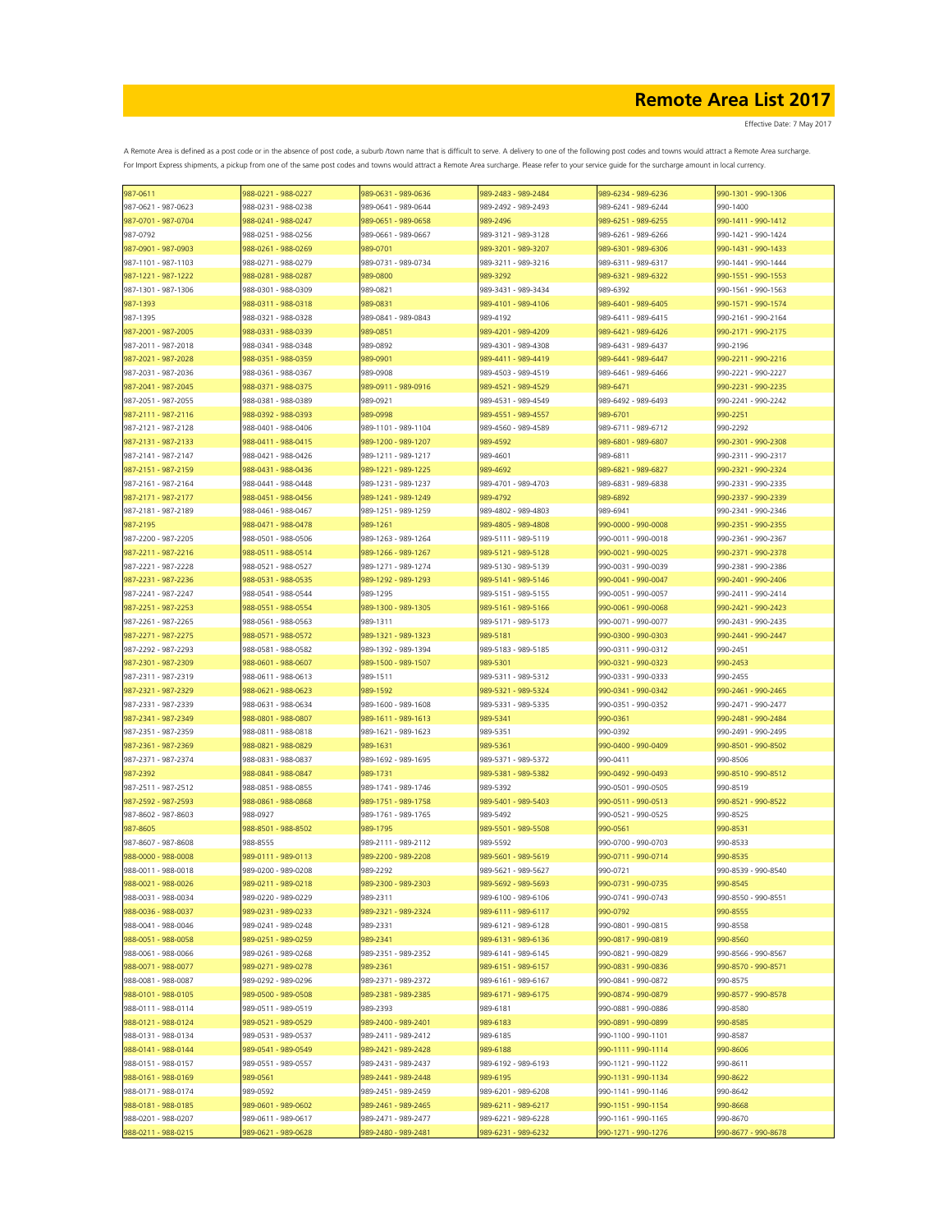Effective Date: 7 May 2017

| 987-0611            | 988-0221 - 988-0227 | 989-0631 - 989-0636 | 989-2483 - 989-2484 | 989-6234 - 989-6236 | 990-1301 - 990-1306 |
|---------------------|---------------------|---------------------|---------------------|---------------------|---------------------|
| 987-0621 - 987-0623 | 988-0231 - 988-0238 | 989-0641 - 989-0644 | 989-2492 - 989-2493 | 989-6241 - 989-6244 | 990-1400            |
| 987-0701 - 987-0704 | 988-0241 - 988-0247 | 989-0651 - 989-0658 | 989-2496            | 989-6251 - 989-6255 | 990-1411 - 990-1412 |
| 987-0792            | 988-0251 - 988-0256 | 989-0661 - 989-0667 | 989-3121 - 989-3128 | 989-6261 - 989-6266 | 990-1421 - 990-1424 |
| 987-0901 - 987-0903 | 988-0261 - 988-0269 | 989-0701            | 989-3201 - 989-3207 | 989-6301 - 989-6306 | 990-1431 - 990-1433 |
|                     |                     |                     |                     | 989-6311 - 989-6317 | 990-1441 - 990-1444 |
| 987-1101 - 987-1103 | 988-0271 - 988-0279 | 989-0731 - 989-0734 | 989-3211 - 989-3216 |                     |                     |
| 987-1221 - 987-1222 | 988-0281 - 988-0287 | 989-0800            | 989-3292            | 989-6321 - 989-6322 | 990-1551 - 990-1553 |
| 987-1301 - 987-1306 | 988-0301 - 988-0309 | 989-0821            | 989-3431 - 989-3434 | 989-6392            | 990-1561 - 990-1563 |
| 987-1393            | 988-0311 - 988-0318 | 989-0831            | 989-4101 - 989-4106 | 989-6401 - 989-6405 | 990-1571 - 990-1574 |
| 987-1395            | 988-0321 - 988-0328 | 989-0841 - 989-0843 | 989-4192            | 989-6411 - 989-6415 | 990-2161 - 990-2164 |
| 987-2001 - 987-2005 | 988-0331 - 988-0339 | 989-0851            | 989-4201 - 989-4209 | 989-6421 - 989-6426 | 990-2171 - 990-2175 |
| 987-2011 - 987-2018 | 988-0341 - 988-0348 | 989-0892            | 989-4301 - 989-4308 | 989-6431 - 989-6437 | 990-2196            |
| 987-2021 - 987-2028 | 988-0351 - 988-0359 | 989-0901            | 989-4411 - 989-4419 | 989-6441 - 989-6447 | 990-2211 - 990-2216 |
| 987-2031 - 987-2036 | 988-0361 - 988-0367 | 989-0908            | 989-4503 - 989-4519 | 989-6461 - 989-6466 | 990-2221 - 990-2227 |
|                     |                     |                     |                     |                     |                     |
| 987-2041 - 987-2045 | 988-0371 - 988-0375 | 989-0911 - 989-0916 | 989-4521 - 989-4529 | 989-6471            | 990-2231 - 990-2235 |
| 987-2051 - 987-2055 | 988-0381 - 988-0389 | 989-0921            | 989-4531 - 989-4549 | 989-6492 - 989-6493 | 990-2241 - 990-2242 |
| 987-2111 - 987-2116 | 988-0392 - 988-0393 | 989-0998            | 989-4551 - 989-4557 | 989-6701            | 990-2251            |
| 987-2121 - 987-2128 | 988-0401 - 988-0406 | 989-1101 - 989-1104 | 989-4560 - 989-4589 | 989-6711 - 989-6712 | 990-2292            |
| 987-2131 - 987-2133 | 988-0411 - 988-0415 | 989-1200 - 989-1207 | 989-4592            | 989-6801 - 989-6807 | 990-2301 - 990-2308 |
| 987-2141 - 987-2147 | 988-0421 - 988-0426 | 989-1211 - 989-1217 | 989-4601            | 989-6811            | 990-2311 - 990-2317 |
| 987-2151 - 987-2159 | 988-0431 - 988-0436 | 989-1221 - 989-1225 | 989-4692            | 989-6821 - 989-6827 | 990-2321 - 990-2324 |
| 987-2161 - 987-2164 | 988-0441 - 988-0448 | 989-1231 - 989-1237 | 989-4701 - 989-4703 | 989-6831 - 989-6838 | 990-2331 - 990-2335 |
|                     |                     |                     |                     |                     |                     |
| 987-2171 - 987-2177 | 988-0451 - 988-0456 | 989-1241 - 989-1249 | 989-4792            | 989-6892            | 990-2337 - 990-2339 |
| 987-2181 - 987-2189 | 988-0461 - 988-0467 | 989-1251 - 989-1259 | 989-4802 - 989-4803 | 989-6941            | 990-2341 - 990-2346 |
| 987-2195            | 988-0471 - 988-0478 | 989-1261            | 989-4805 - 989-4808 | 990-0000 - 990-0008 | 990-2351 - 990-2355 |
| 987-2200 - 987-2205 | 988-0501 - 988-0506 | 989-1263 - 989-1264 | 989-5111 - 989-5119 | 990-0011 - 990-0018 | 990-2361 - 990-2367 |
| 987-2211 - 987-2216 | 988-0511 - 988-0514 | 989-1266 - 989-1267 | 989-5121 - 989-5128 | 990-0021 - 990-0025 | 990-2371 - 990-2378 |
| 987-2221 - 987-2228 | 988-0521 - 988-0527 | 989-1271 - 989-1274 | 989-5130 - 989-5139 | 990-0031 - 990-0039 | 990-2381 - 990-2386 |
| 987-2231 - 987-2236 | 988-0531 - 988-0535 | 989-1292 - 989-1293 | 989-5141 - 989-5146 | 990-0041 - 990-0047 | 990-2401 - 990-2406 |
| 987-2241 - 987-2247 | 988-0541 - 988-0544 | 989-1295            | 989-5151 - 989-5155 | 990-0051 - 990-0057 | 990-2411 - 990-2414 |
| 987-2251 - 987-2253 | 988-0551 - 988-0554 |                     |                     | 990-0061 - 990-0068 | 990-2421 - 990-2423 |
|                     |                     | 989-1300 - 989-1305 | 989-5161 - 989-5166 |                     |                     |
| 987-2261 - 987-2265 | 988-0561 - 988-0563 | 989-1311            | 989-5171 - 989-5173 | 990-0071 - 990-0077 | 990-2431 - 990-2435 |
| 987-2271 - 987-2275 | 988-0571 - 988-0572 | 989-1321 - 989-1323 | 989-5181            | 990-0300 - 990-0303 | 990-2441 - 990-2447 |
| 987-2292 - 987-2293 | 988-0581 - 988-0582 | 989-1392 - 989-1394 | 989-5183 - 989-5185 | 990-0311 - 990-0312 | 990-2451            |
| 987-2301 - 987-2309 | 988-0601 - 988-0607 | 989-1500 - 989-1507 | 989-5301            | 990-0321 - 990-0323 | 990-2453            |
| 987-2311 - 987-2319 | 988-0611 - 988-0613 | 989-1511            | 989-5311 - 989-5312 | 990-0331 - 990-0333 | 990-2455            |
| 987-2321 - 987-2329 | 988-0621 - 988-0623 | 989-1592            | 989-5321 - 989-5324 | 990-0341 - 990-0342 | 990-2461 - 990-2465 |
| 987-2331 - 987-2339 | 988-0631 - 988-0634 | 989-1600 - 989-1608 | 989-5331 - 989-5335 | 990-0351 - 990-0352 | 990-2471 - 990-2477 |
| 987-2341 - 987-2349 | 988-0801 - 988-0807 | 989-1611 - 989-1613 | 989-5341            | 990-0361            | 990-2481 - 990-2484 |
|                     |                     |                     |                     |                     |                     |
| 987-2351 - 987-2359 | 988-0811 - 988-0818 | 989-1621 - 989-1623 | 989-5351            | 990-0392            | 990-2491 - 990-2495 |
| 987-2361 - 987-2369 | 988-0821 - 988-0829 | 989-1631            | 989-5361            | 990-0400 - 990-0409 | 990-8501 - 990-8502 |
| 987-2371 - 987-2374 | 988-0831 - 988-0837 | 989-1692 - 989-1695 | 989-5371 - 989-5372 | 990-0411            | 990-8506            |
| 987-2392            | 988-0841 - 988-0847 | 989-1731            | 989-5381 - 989-5382 | 990-0492 - 990-0493 | 990-8510 - 990-8512 |
| 987-2511 - 987-2512 | 988-0851 - 988-0855 | 989-1741 - 989-1746 | 989-5392            | 990-0501 - 990-0505 | 990-8519            |
| 987-2592 - 987-2593 | 988-0861 - 988-0868 | 989-1751 - 989-1758 | 989-5401 - 989-5403 | 990-0511 - 990-0513 | 990-8521 - 990-8522 |
| 987-8602 - 987-8603 | 988-0927            | 989-1761 - 989-1765 | 989-5492            | 990-0521 - 990-0525 | 990-8525            |
| 987-8605            | 988-8501 - 988-8502 | 989-1795            | 989-5501 - 989-5508 | 990-0561            | 990-8531            |
|                     |                     |                     |                     |                     |                     |
| 987-8607 - 987-8608 | 988-8555            | 989-2111 - 989-2112 | 989-5592            | 990-0700 - 990-0703 | 990-8533            |
| 988-0000 - 988-0008 | 989-0111 - 989-0113 | 989-2200 - 989-2208 | 989-5601 - 989-5619 | 990-0711 - 990-0714 | 990-8535            |
| 988-0011 - 988-0018 | 989-0200 - 989-0208 | 989-2292            | 989-5621 - 989-5627 | 990-0721            | 990-8539 - 990-8540 |
| 988-0021 - 988-0026 | 989-0211 - 989-0218 | 989-2300 - 989-2303 | 989-5692 - 989-5693 | 990-0731 - 990-0735 | 990-8545            |
| 988-0031 - 988-0034 | 989-0220 - 989-0229 | 989-2311            | 989-6100 - 989-6106 | 990-0741 - 990-0743 | 990-8550 - 990-8551 |
| 988-0036 - 988-0037 | 989-0231 - 989-0233 | 989-2321 - 989-2324 | 989-6111 - 989-6117 | 990-0792            | 990-8555            |
| 988-0041 - 988-0046 | 989-0241 - 989-0248 | 989-2331            | 989-6121 - 989-6128 | 990-0801 - 990-0815 | 990-8558            |
| 988-0051 - 988-0058 | 989-0251 - 989-0259 | 989-2341            | 989-6131 - 989-6136 | 990-0817 - 990-0819 | 990-8560            |
|                     |                     |                     | 989-6141 - 989-6145 |                     | 990-8566 - 990-8567 |
| 988-0061 - 988-0066 | 989-0261 - 989-0268 | 989-2351 - 989-2352 |                     | 990-0821 - 990-0829 |                     |
| 988-0071 - 988-0077 | 989-0271 - 989-0278 | 989-2361            | 989-6151 - 989-6157 | 990-0831 - 990-0836 | 990-8570 - 990-8571 |
| 988-0081 - 988-0087 | 989-0292 - 989-0296 | 989-2371 - 989-2372 | 989-6161 - 989-6167 | 990-0841 - 990-0872 | 990-8575            |
| 988-0101 - 988-0105 | 989-0500 - 989-0508 | 989-2381 - 989-2385 | 989-6171 - 989-6175 | 990-0874 - 990-0879 | 990-8577 - 990-8578 |
| 988-0111 - 988-0114 | 989-0511 - 989-0519 | 989-2393            | 989-6181            | 990-0881 - 990-0886 | 990-8580            |
| 988-0121 - 988-0124 | 989-0521 - 989-0529 | 989-2400 - 989-2401 | 989-6183            | 990-0891 - 990-0899 | 990-8585            |
| 988-0131 - 988-0134 | 989-0531 - 989-0537 | 989-2411 - 989-2412 | 989-6185            | 990-1100 - 990-1101 | 990-8587            |
| 988-0141 - 988-0144 | 989-0541 - 989-0549 | 989-2421 - 989-2428 | 989-6188            | 990-1111 - 990-1114 | 990-8606            |
| 988-0151 - 988-0157 | 989-0551 - 989-0557 | 989-2431 - 989-2437 | 989-6192 - 989-6193 | 990-1121 - 990-1122 | 990-8611            |
|                     | 989-0561            | 989-2441 - 989-2448 | 989-6195            |                     | 990-8622            |
| 988-0161 - 988-0169 |                     |                     |                     | 990-1131 - 990-1134 |                     |
| 988-0171 - 988-0174 | 989-0592            | 989-2451 - 989-2459 | 989-6201 - 989-6208 | 990-1141 - 990-1146 | 990-8642            |
| 988-0181 - 988-0185 | 989-0601 - 989-0602 | 989-2461 - 989-2465 | 989-6211 - 989-6217 | 990-1151 - 990-1154 | 990-8668            |
| 988-0201 - 988-0207 | 989-0611 - 989-0617 | 989-2471 - 989-2477 | 989-6221 - 989-6228 | 990-1161 - 990-1165 | 990-8670            |
| 988-0211 - 988-0215 | 989-0621 - 989-0628 | 989-2480 - 989-2481 | 989-6231 - 989-6232 | 990-1271 - 990-1276 | 990-8677 - 990-8678 |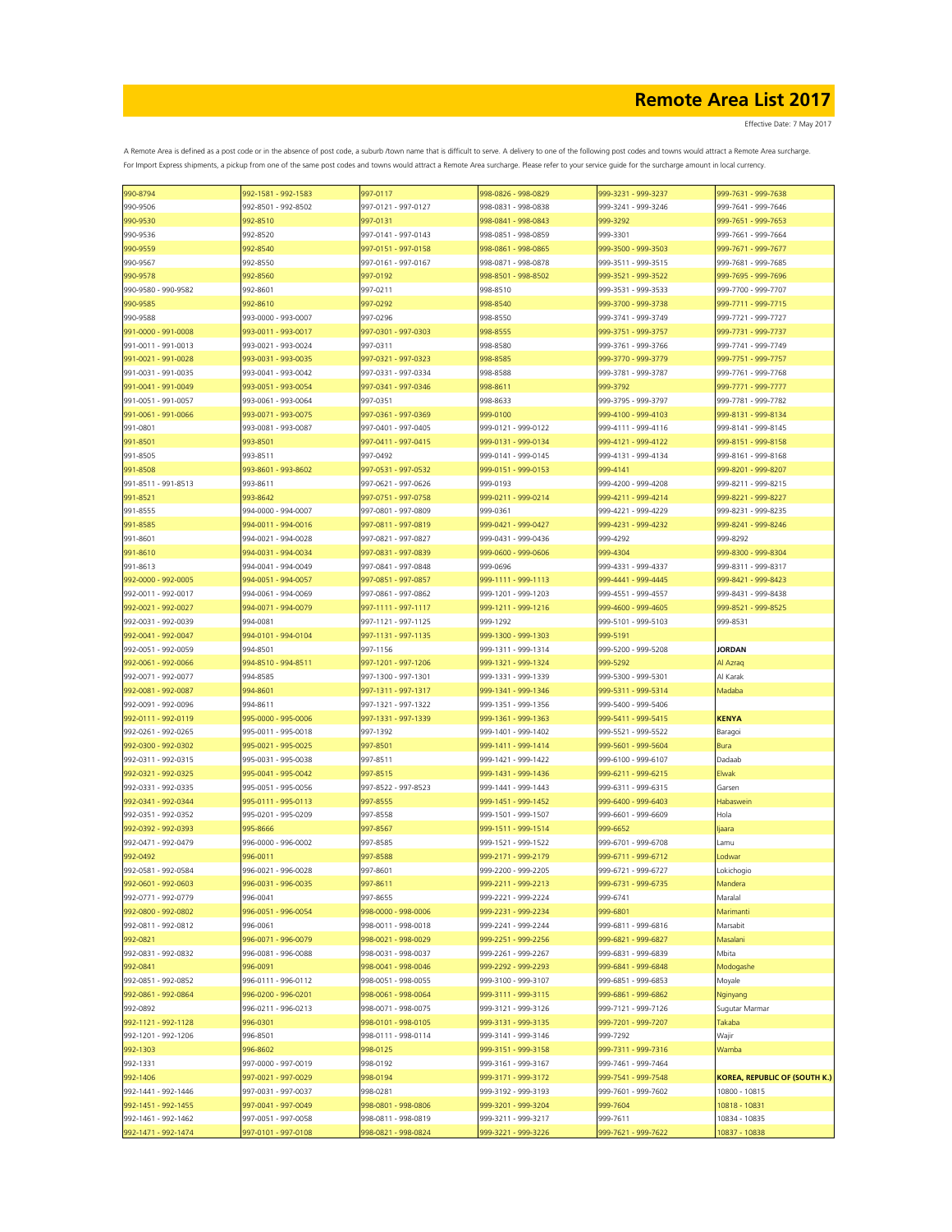| 990-8794            | 992-1581 - 992-1583 | 997-0117            | 998-0826 - 998-0829 | 999-3231 - 999-3237 | 999-7631 - 999-7638                  |
|---------------------|---------------------|---------------------|---------------------|---------------------|--------------------------------------|
| 990-9506            | 992-8501 - 992-8502 | 997-0121 - 997-0127 | 998-0831 - 998-0838 | 999-3241 - 999-3246 | 999-7641 - 999-7646                  |
| 990-9530            | 992-8510            | 997-0131            | 998-0841 - 998-0843 | 999-3292            | 999-7651 - 999-7653                  |
|                     | 992-8520            | 997-0141 - 997-0143 | 998-0851 - 998-0859 | 999-3301            | 999-7661 - 999-7664                  |
| 990-9536            |                     |                     |                     |                     |                                      |
| 990-9559            | 992-8540            | 997-0151 - 997-0158 | 998-0861 - 998-0865 | 999-3500 - 999-3503 | 999-7671 - 999-7677                  |
| 990-9567            | 992-8550            | 997-0161 - 997-0167 | 998-0871 - 998-0878 | 999-3511 - 999-3515 | 999-7681 - 999-7685                  |
| 990-9578            | 992-8560            | 997-0192            | 998-8501 - 998-8502 | 999-3521 - 999-3522 | 999-7695 - 999-7696                  |
| 990-9580 - 990-9582 | 992-8601            | 997-0211            | 998-8510            | 999-3531 - 999-3533 | 999-7700 - 999-7707                  |
| 990-9585            | 992-8610            | 997-0292            | 998-8540            | 999-3700 - 999-3738 | 999-7711 - 999-7715                  |
|                     |                     |                     |                     |                     |                                      |
| 990-9588            | 993-0000 - 993-0007 | 997-0296            | 998-8550            | 999-3741 - 999-3749 | 999-7721 - 999-7727                  |
| 991-0000 - 991-0008 | 993-0011 - 993-0017 | 997-0301 - 997-0303 | 998-8555            | 999-3751 - 999-3757 | 999-7731 - 999-7737                  |
| 991-0011 - 991-0013 | 993-0021 - 993-0024 | 997-0311            | 998-8580            | 999-3761 - 999-3766 | 999-7741 - 999-7749                  |
| 991-0021 - 991-0028 | 993-0031 - 993-0035 | 997-0321 - 997-0323 | 998-8585            | 999-3770 - 999-3779 | 999-7751 - 999-7757                  |
| 991-0031 - 991-0035 | 993-0041 - 993-0042 | 997-0331 - 997-0334 | 998-8588            | 999-3781 - 999-3787 | 999-7761 - 999-7768                  |
| 991-0041 - 991-0049 |                     |                     | 998-8611            | 999-3792            |                                      |
|                     | 993-0051 - 993-0054 | 997-0341 - 997-0346 |                     |                     | 999-7771 - 999-7777                  |
| 991-0051 - 991-0057 | 993-0061 - 993-0064 | 997-0351            | 998-8633            | 999-3795 - 999-3797 | 999-7781 - 999-7782                  |
| 991-0061 - 991-0066 | 993-0071 - 993-0075 | 997-0361 - 997-0369 | 999-0100            | 999-4100 - 999-4103 | 999-8131 - 999-8134                  |
| 991-0801            | 993-0081 - 993-0087 | 997-0401 - 997-0405 | 999-0121 - 999-0122 | 999-4111 - 999-4116 | 999-8141 - 999-8145                  |
| 991-8501            | 993-8501            | 997-0411 - 997-0415 | 999-0131 - 999-0134 | 999-4121 - 999-4122 | 999-8151 - 999-8158                  |
|                     |                     |                     |                     |                     |                                      |
| 991-8505            | 993-8511            | 997-0492            | 999-0141 - 999-0145 | 999-4131 - 999-4134 | 999-8161 - 999-8168                  |
| 991-8508            | 993-8601 - 993-8602 | 997-0531 - 997-0532 | 999-0151 - 999-0153 | 999-4141            | 999-8201 - 999-8207                  |
| 991-8511 - 991-8513 | 993-8611            | 997-0621 - 997-0626 | 999-0193            | 999-4200 - 999-4208 | 999-8211 - 999-8215                  |
| 991-8521            | 993-8642            | 997-0751 - 997-0758 | 999-0211 - 999-0214 | 999-4211 - 999-4214 | 999-8221 - 999-8227                  |
| 991-8555            | 994-0000 - 994-0007 | 997-0801 - 997-0809 | 999-0361            | 999-4221 - 999-4229 | 999-8231 - 999-8235                  |
| 991-8585            | 994-0011 - 994-0016 | 997-0811 - 997-0819 | 999-0421 - 999-0427 | 999-4231 - 999-4232 | 999-8241 - 999-8246                  |
|                     |                     |                     |                     |                     |                                      |
| 991-8601            | 994-0021 - 994-0028 | 997-0821 - 997-0827 | 999-0431 - 999-0436 | 999-4292            | 999-8292                             |
| 991-8610            | 994-0031 - 994-0034 | 997-0831 - 997-0839 | 999-0600 - 999-0606 | 999-4304            | 999-8300 - 999-8304                  |
| 991-8613            | 994-0041 - 994-0049 | 997-0841 - 997-0848 | 999-0696            | 999-4331 - 999-4337 | 999-8311 - 999-8317                  |
| 992-0000 - 992-0005 | 994-0051 - 994-0057 | 997-0851 - 997-0857 | 999-1111 - 999-1113 | 999-4441 - 999-4445 | 999-8421 - 999-8423                  |
| 992-0011 - 992-0017 | 994-0061 - 994-0069 | 997-0861 - 997-0862 | 999-1201 - 999-1203 | 999-4551 - 999-4557 | 999-8431 - 999-8438                  |
|                     |                     |                     |                     |                     |                                      |
| 992-0021 - 992-0027 | 994-0071 - 994-0079 | 997-1111 - 997-1117 | 999-1211 - 999-1216 | 999-4600 - 999-4605 | 999-8521 - 999-8525                  |
| 992-0031 - 992-0039 | 994-0081            | 997-1121 - 997-1125 | 999-1292            | 999-5101 - 999-5103 | 999-8531                             |
| 992-0041 - 992-0047 | 994-0101 - 994-0104 | 997-1131 - 997-1135 | 999-1300 - 999-1303 | 999-5191            |                                      |
| 992-0051 - 992-0059 | 994-8501            | 997-1156            | 999-1311 - 999-1314 | 999-5200 - 999-5208 | <b>JORDAN</b>                        |
| 992-0061 - 992-0066 | 994-8510 - 994-8511 | 997-1201 - 997-1206 | 999-1321 - 999-1324 | 999-5292            | Al Azraq                             |
|                     |                     |                     |                     |                     |                                      |
| 992-0071 - 992-0077 | 994-8585            | 997-1300 - 997-1301 | 999-1331 - 999-1339 | 999-5300 - 999-5301 | Al Karak                             |
| 992-0081 - 992-0087 | 994-8601            | 997-1311 - 997-1317 | 999-1341 - 999-1346 | 999-5311 - 999-5314 | Madaba                               |
| 992-0091 - 992-0096 | 994-8611            | 997-1321 - 997-1322 | 999-1351 - 999-1356 | 999-5400 - 999-5406 |                                      |
| 992-0111 - 992-0119 | 995-0000 - 995-0006 | 997-1331 - 997-1339 | 999-1361 - 999-1363 | 999-5411 - 999-5415 | <b>KENYA</b>                         |
| 992-0261 - 992-0265 | 995-0011 - 995-0018 | 997-1392            | 999-1401 - 999-1402 | 999-5521 - 999-5522 | Baragoi                              |
|                     |                     |                     |                     |                     |                                      |
| 992-0300 - 992-0302 | 995-0021 - 995-0025 | 997-8501            | 999-1411 - 999-1414 | 999-5601 - 999-5604 | Bura                                 |
| 992-0311 - 992-0315 | 995-0031 - 995-0038 | 997-8511            | 999-1421 - 999-1422 | 999-6100 - 999-6107 | Dadaab                               |
| 992-0321 - 992-0325 | 995-0041 - 995-0042 | 997-8515            | 999-1431 - 999-1436 | 999-6211 - 999-6215 | Elwak                                |
| 992-0331 - 992-0335 | 995-0051 - 995-0056 | 997-8522 - 997-8523 | 999-1441 - 999-1443 | 999-6311 - 999-6315 | Garsen                               |
| 992-0341 - 992-0344 | 995-0111 - 995-0113 | 997-8555            | 999-1451 - 999-1452 | 999-6400 - 999-6403 | Habaswein                            |
|                     |                     |                     |                     |                     |                                      |
| 992-0351 - 992-0352 | 995-0201 - 995-0209 | 997-8558            | 999-1501 - 999-1507 | 999-6601 - 999-6609 | Hola                                 |
| 992-0392 - 992-0393 | 995-8666            | 997-8567            | 999-1511 - 999-1514 | 999-6652            | ljaara                               |
| 992-0471 - 992-0479 | 996-0000 - 996-0002 | 997-8585            | 999-1521 - 999-1522 | 999-6701 - 999-6708 | Lamu                                 |
| 992-0492            | 996-0011            | 997-8588            | 999-2171 - 999-2179 | 999-6711 - 999-6712 | Lodwar                               |
| 992-0581 - 992-0584 | 996-0021 - 996-0028 | 997-8601            | 999-2200 - 999-2205 | 999-6721 - 999-6727 | Lokichogio                           |
| 992-0601 - 992-0603 | 996-0031 - 996-0035 | 997-8611            | 999-2211 - 999-2213 | 999-6731 - 999-6735 | Mandera                              |
|                     |                     |                     |                     |                     |                                      |
| 992-0771 - 992-0779 | 996-0041            | 997-8655            | 999-2221 - 999-2224 | 999-6741            | Maralal                              |
| 992-0800 - 992-0802 | 996-0051 - 996-0054 | 998-0000 - 998-0006 | 999-2231 - 999-2234 | 999-6801            | Marimanti                            |
| 992-0811 - 992-0812 | 996-0061            | 998-0011 - 998-0018 | 999-2241 - 999-2244 | 999-6811 - 999-6816 | Marsabit                             |
| 992-0821            | 996-0071 - 996-0079 | 998-0021 - 998-0029 | 999-2251 - 999-2256 | 999-6821 - 999-6827 | Masalani                             |
| 992-0831 - 992-0832 | 996-0081 - 996-0088 | 998-0031 - 998-0037 | 999-2261 - 999-2267 | 999-6831 - 999-6839 | Mbita                                |
|                     |                     |                     |                     |                     |                                      |
| 992-0841            | 996-0091            | 998-0041 - 998-0046 | 999-2292 - 999-2293 | 999-6841 - 999-6848 | Modogashe                            |
| 992-0851 - 992-0852 | 996-0111 - 996-0112 | 998-0051 - 998-0055 | 999-3100 - 999-3107 | 999-6851 - 999-6853 | Moyale                               |
| 992-0861 - 992-0864 | 996-0200 - 996-0201 | 998-0061 - 998-0064 | 999-3111 - 999-3115 | 999-6861 - 999-6862 | Nginyang                             |
| 992-0892            | 996-0211 - 996-0213 | 998-0071 - 998-0075 | 999-3121 - 999-3126 | 999-7121 - 999-7126 | Sugutar Marmar                       |
| 992-1121 - 992-1128 | 996-0301            | 998-0101 - 998-0105 | 999-3131 - 999-3135 | 999-7201 - 999-7207 | Takaba                               |
|                     |                     |                     |                     |                     |                                      |
| 992-1201 - 992-1206 | 996-8501            | 998-0111 - 998-0114 | 999-3141 - 999-3146 | 999-7292            | Wajir                                |
| 992-1303            | 996-8602            | 998-0125            | 999-3151 - 999-3158 | 999-7311 - 999-7316 | Wamba                                |
| 992-1331            | 997-0000 - 997-0019 | 998-0192            | 999-3161 - 999-3167 | 999-7461 - 999-7464 |                                      |
| 992-1406            | 997-0021 - 997-0029 | 998-0194            | 999-3171 - 999-3172 | 999-7541 - 999-7548 | <b>KOREA, REPUBLIC OF (SOUTH K.)</b> |
| 992-1441 - 992-1446 | 997-0031 - 997-0037 | 998-0281            | 999-3192 - 999-3193 | 999-7601 - 999-7602 | 10800 - 10815                        |
|                     |                     |                     |                     |                     |                                      |
| 992-1451 - 992-1455 | 997-0041 - 997-0049 | 998-0801 - 998-0806 | 999-3201 - 999-3204 | 999-7604            | 10818 - 10831                        |
| 992-1461 - 992-1462 | 997-0051 - 997-0058 | 998-0811 - 998-0819 | 999-3211 - 999-3217 | 999-7611            | 10834 - 10835                        |
| 992-1471 - 992-1474 | 997-0101 - 997-0108 | 998-0821 - 998-0824 | 999-3221 - 999-3226 | 999-7621 - 999-7622 | 10837 - 10838                        |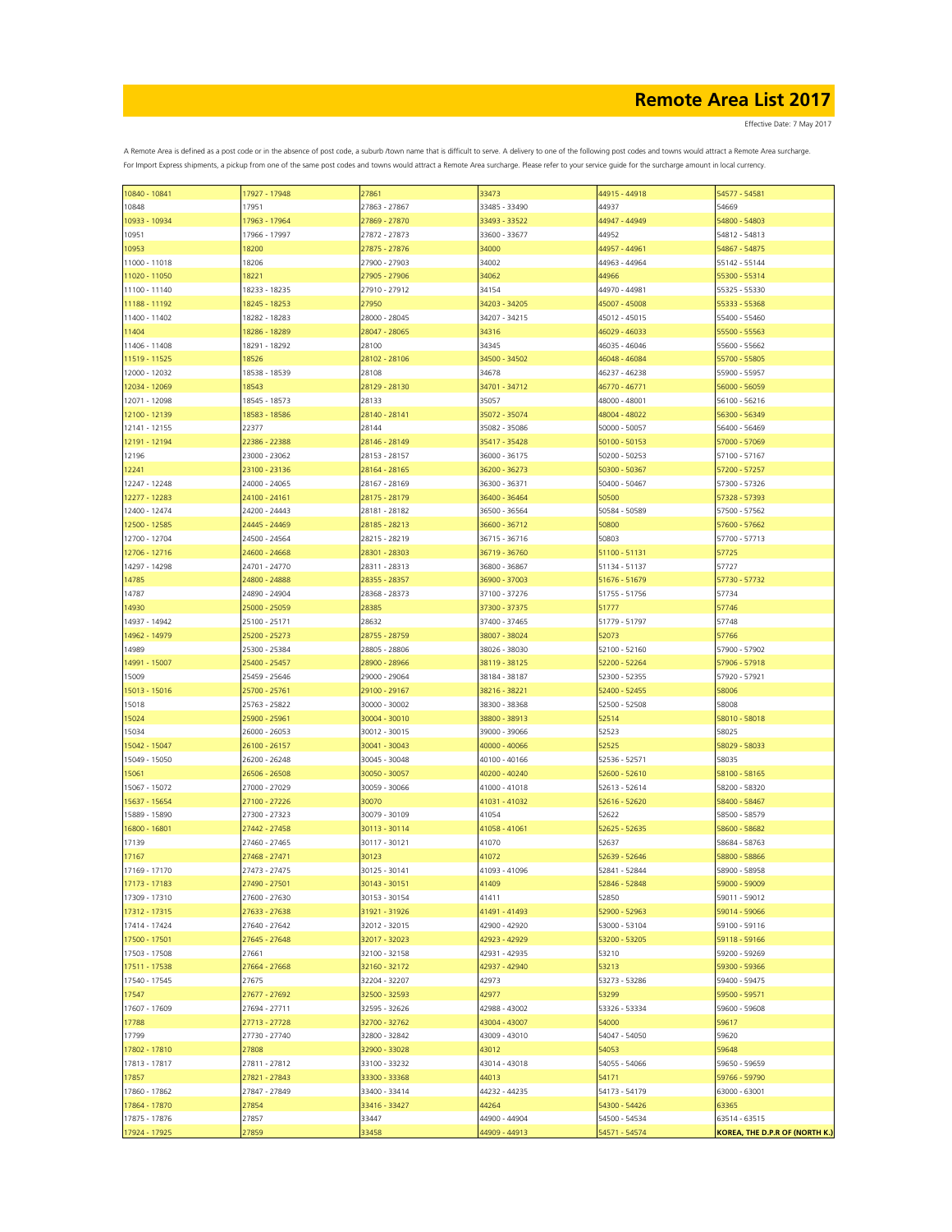Effective Date: 7 May 2017

| 10840 - 10841 | 17927 - 17948 | 27861         | 33473         | 44915 - 44918 | 54577 - 54581                  |
|---------------|---------------|---------------|---------------|---------------|--------------------------------|
| 10848         | 17951         | 27863 - 27867 | 33485 - 33490 | 44937         | 54669                          |
| 10933 - 10934 | 17963 - 17964 | 27869 - 27870 | 33493 - 33522 | 44947 - 44949 | 54800 - 54803                  |
|               |               |               |               |               |                                |
| 10951         | 17966 - 17997 | 27872 - 27873 | 33600 - 33677 | 44952         | 54812 - 54813                  |
| 10953         | 18200         | 27875 - 27876 | 34000         | 44957 - 44961 | 54867 - 54875                  |
|               |               | 27900 - 27903 |               |               |                                |
| 11000 - 11018 | 18206         |               | 34002         | 44963 - 44964 | 55142 - 55144                  |
| 11020 - 11050 | 18221         | 27905 - 27906 | 34062         | 44966         | 55300 - 55314                  |
| 11100 - 11140 | 18233 - 18235 | 27910 - 27912 | 34154         | 44970 - 44981 | 55325 - 55330                  |
| 11188 - 11192 | 18245 - 18253 | 27950         | 34203 - 34205 | 45007 - 45008 | 55333 - 55368                  |
|               |               |               |               |               |                                |
| 11400 - 11402 | 18282 - 18283 | 28000 - 28045 | 34207 - 34215 | 45012 - 45015 | 55400 - 55460                  |
| 11404         | 18286 - 18289 | 28047 - 28065 | 34316         | 46029 - 46033 | 55500 - 55563                  |
| 11406 - 11408 | 18291 - 18292 | 28100         | 34345         | 46035 - 46046 | 55600 - 55662                  |
| 11519 - 11525 | 18526         | 28102 - 28106 | 34500 - 34502 | 46048 - 46084 | 55700 - 55805                  |
|               |               |               |               |               |                                |
| 12000 - 12032 | 18538 - 18539 | 28108         | 34678         | 46237 - 46238 | 55900 - 55957                  |
| 12034 - 12069 | 18543         | 28129 - 28130 | 34701 - 34712 | 46770 - 46771 | 56000 - 56059                  |
| 12071 - 12098 | 18545 - 18573 | 28133         | 35057         | 48000 - 48001 | 56100 - 56216                  |
|               |               |               |               |               |                                |
| 12100 - 12139 | 18583 - 18586 | 28140 - 28141 | 35072 - 35074 | 48004 - 48022 | 56300 - 56349                  |
| 12141 - 12155 | 22377         | 28144         | 35082 - 35086 | 50000 - 50057 | 56400 - 56469                  |
| 12191 - 12194 | 22386 - 22388 | 28146 - 28149 | 35417 - 35428 | 50100 - 50153 | 57000 - 57069                  |
|               |               |               |               |               |                                |
| 12196         | 23000 - 23062 | 28153 - 28157 | 36000 - 36175 | 50200 - 50253 | 57100 - 57167                  |
| 12241         | 23100 - 23136 | 28164 - 28165 | 36200 - 36273 | 50300 - 50367 | 57200 - 57257                  |
| 12247 - 12248 | 24000 - 24065 | 28167 - 28169 | 36300 - 36371 | 50400 - 50467 | 57300 - 57326                  |
| 12277 - 12283 | 24100 - 24161 | 28175 - 28179 | 36400 - 36464 | 50500         | 57328 - 57393                  |
|               |               |               |               |               |                                |
| 12400 - 12474 | 24200 - 24443 | 28181 - 28182 | 36500 - 36564 | 50584 - 50589 | 57500 - 57562                  |
| 12500 - 12585 | 24445 - 24469 | 28185 - 28213 | 36600 - 36712 | 50800         | 57600 - 57662                  |
| 12700 - 12704 | 24500 - 24564 | 28215 - 28219 | 36715 - 36716 | 50803         | 57700 - 57713                  |
| 12706 - 12716 | 24600 - 24668 | 28301 - 28303 | 36719 - 36760 | 51100 - 51131 | 57725                          |
|               |               |               |               |               |                                |
| 14297 - 14298 | 24701 - 24770 | 28311 - 28313 | 36800 - 36867 | 51134 - 51137 | 57727                          |
| 14785         | 24800 - 24888 | 28355 - 28357 | 36900 - 37003 | 51676 - 51679 | 57730 - 57732                  |
| 14787         | 24890 - 24904 | 28368 - 28373 | 37100 - 37276 | 51755 - 51756 | 57734                          |
|               |               |               |               |               |                                |
| 14930         | 25000 - 25059 | 28385         | 37300 - 37375 | 51777         | 57746                          |
| 14937 - 14942 | 25100 - 25171 | 28632         | 37400 - 37465 | 51779 - 51797 | 57748                          |
| 14962 - 14979 | 25200 - 25273 | 28755 - 28759 | 38007 - 38024 | 52073         | 57766                          |
|               |               |               |               |               |                                |
| 14989         | 25300 - 25384 | 28805 - 28806 | 38026 - 38030 | 52100 - 52160 | 57900 - 57902                  |
| 14991 - 15007 | 25400 - 25457 | 28900 - 28966 | 38119 - 38125 | 52200 - 52264 | 57906 - 57918                  |
| 15009         | 25459 - 25646 | 29000 - 29064 | 38184 - 38187 | 52300 - 52355 | 57920 - 57921                  |
| 15013 - 15016 | 25700 - 25761 | 29100 - 29167 | 38216 - 38221 | 52400 - 52455 | 58006                          |
|               |               |               |               |               |                                |
| 15018         | 25763 - 25822 | 30000 - 30002 | 38300 - 38368 | 52500 - 52508 | 58008                          |
| 15024         | 25900 - 25961 | 30004 - 30010 | 38800 - 38913 | 52514         | 58010 - 58018                  |
| 15034         | 26000 - 26053 | 30012 - 30015 | 39000 - 39066 | 52523         | 58025                          |
|               |               |               |               |               |                                |
| 15042 - 15047 | 26100 - 26157 | 30041 - 30043 | 40000 - 40066 | 52525         | 58029 - 58033                  |
| 15049 - 15050 | 26200 - 26248 | 30045 - 30048 | 40100 - 40166 | 52536 - 52571 | 58035                          |
| 15061         | 26506 - 26508 | 30050 - 30057 | 40200 - 40240 | 52600 - 52610 | 58100 - 58165                  |
|               |               | 30059 - 30066 |               |               |                                |
| 15067 - 15072 | 27000 - 27029 |               | 41000 - 41018 | 52613 - 52614 | 58200 - 58320                  |
| 15637 - 15654 | 27100 - 27226 | 30070         | 41031 - 41032 | 52616 - 52620 | 58400 - 58467                  |
| 15889 - 15890 | 27300 - 27323 | 30079 - 30109 | 41054         | 52622         | 58500 - 58579                  |
| 16800 - 16801 | 27442 - 27458 | 30113 - 30114 | 41058 - 41061 | 52625 - 52635 | 58600 - 58682                  |
|               |               |               |               |               |                                |
| 17139         | 27460 - 27465 | 30117 - 30121 | 41070         | 52637         | 58684 - 58763                  |
| 17167         | 27468 - 27471 | 30123         | 41072         | 52639 - 52646 | 58800 - 58866                  |
| 17169 - 17170 | 27473 - 27475 | 30125 - 30141 | 41093 - 41096 | 52841 - 52844 | 58900 - 58958                  |
| 17173 - 17183 | 27490 - 27501 | 30143 - 30151 | 41409         | 52846 - 52848 | 59000 - 59009                  |
|               |               |               |               |               |                                |
| 17309 - 17310 | 27600 - 27630 | 30153 - 30154 | 41411         | 52850         | 59011 - 59012                  |
| 17312 - 17315 | 27633 - 27638 | 31921 - 31926 | 41491 - 41493 | 52900 - 52963 | 59014 - 59066                  |
| 17414 - 17424 | 27640 - 27642 | 32012 - 32015 | 42900 - 42920 | 53000 - 53104 | 59100 - 59116                  |
| 17500 - 17501 | 27645 - 27648 | 32017 - 32023 | 42923 - 42929 | 53200 - 53205 | 59118 - 59166                  |
|               |               |               |               |               |                                |
| 17503 - 17508 | 27661         | 32100 - 32158 | 42931 - 42935 | 53210         | 59200 - 59269                  |
| 17511 - 17538 | 27664 - 27668 | 32160 - 32172 | 42937 - 42940 | 53213         | 59300 - 59366                  |
| 17540 - 17545 | 27675         | 32204 - 32207 | 42973         | 53273 - 53286 | 59400 - 59475                  |
|               | 27677 - 27692 | 32500 - 32593 |               |               | 59500 - 59571                  |
| 17547         |               |               | 42977         | 53299         |                                |
| 17607 - 17609 | 27694 - 27711 | 32595 - 32626 | 42988 - 43002 | 53326 - 53334 | 59600 - 59608                  |
| 17788         | 27713 - 27728 | 32700 - 32762 | 43004 - 43007 | 54000         | 59617                          |
| 17799         | 27730 - 27740 | 32800 - 32842 | 43009 - 43010 | 54047 - 54050 | 59620                          |
|               |               |               |               |               |                                |
| 17802 - 17810 | 27808         | 32900 - 33028 | 43012         | 54053         | 59648                          |
| 17813 - 17817 | 27811 - 27812 | 33100 - 33232 | 43014 - 43018 | 54055 - 54066 | 59650 - 59659                  |
| 17857         | 27821 - 27843 | 33300 - 33368 | 44013         | 54171         | 59766 - 59790                  |
| 17860 - 17862 | 27847 - 27849 | 33400 - 33414 | 44232 - 44235 | 54173 - 54179 | 63000 - 63001                  |
|               |               |               |               |               |                                |
| 17864 - 17870 | 27854         | 33416 - 33427 | 44264         | 54300 - 54426 | 63365                          |
| 17875 - 17876 | 27857         | 33447         | 44900 - 44904 | 54500 - 54534 | 63514 - 63515                  |
| 17924 - 17925 | 27859         | 33458         | 44909 - 44913 | 54571 - 54574 | KOREA, THE D.P.R OF (NORTH K.) |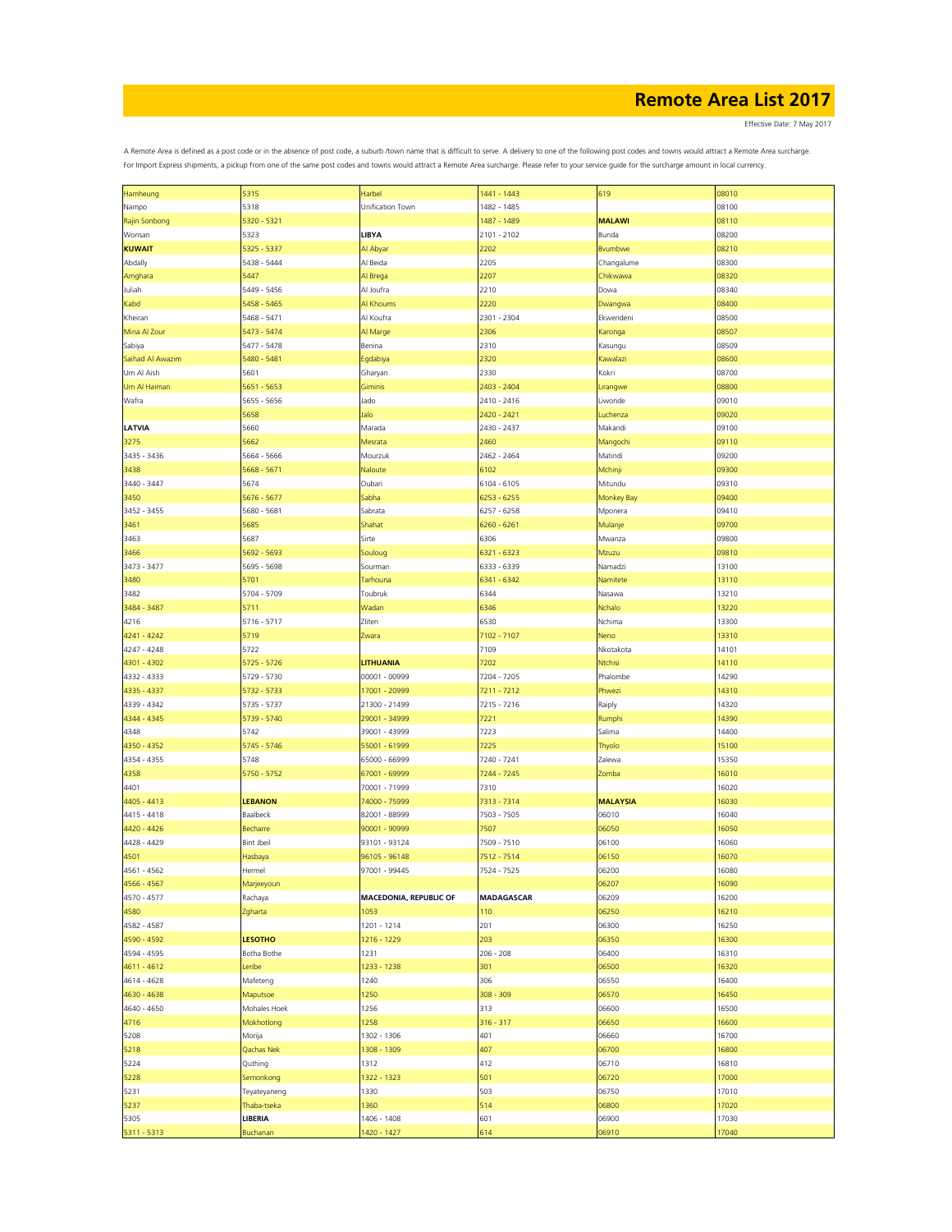Effective Date: 7 May 2017

| Hamheung         | 5315              | Harbel                 | 1441 - 1443       | 619             | 08010 |
|------------------|-------------------|------------------------|-------------------|-----------------|-------|
| Nampo            | 5318              | Unification Town       | 1482 - 1485       |                 | 08100 |
|                  | 5320 - 5321       |                        | 1487 - 1489       | <b>MALAWI</b>   | 08110 |
| Rajin Sonbong    |                   |                        |                   |                 |       |
| Wonsan           | 5323              | LIBYA                  | 2101 - 2102       | Bunda           | 08200 |
| <b>KUWAIT</b>    | 5325 - 5337       | Al Abyar               | 2202              | Bvumbwe         | 08210 |
| Abdally          | 5438 - 5444       | Al Beida               | 2205              | Changalume      | 08300 |
|                  |                   |                        |                   |                 |       |
| Amghara          | 5447              | Al Brega               | 2207              | Chikwawa        | 08320 |
| Juliah           | 5449 - 5456       | Al Joufra              | 2210              | Dowa            | 08340 |
| Kabd             | 5458 - 5465       | Al Khoums              | 2220              | Dwangwa         | 08400 |
| Kheiran          | 5468 - 5471       | Al Koufra              | 2301 - 2304       | Ekwendeni       | 08500 |
|                  |                   |                        |                   |                 |       |
| Mina Al Zour     | 5473 - 5474       | Al Marge               | 2306              | Karonga         | 08507 |
| Sabiya           | 5477 - 5478       | Benina                 | 2310              | Kasungu         | 08509 |
| Saihad Al Awazim | 5480 - 5481       | Egdabiya               | 2320              | Kawalazi        | 08600 |
| Um Al Aish       | 5601              | Gharyan                | 2330              | Kokri           | 08700 |
|                  |                   |                        |                   |                 |       |
| Um Al Haiman     | 5651 - 5653       | Giminis                | 2403 - 2404       | Lirangwe        | 08800 |
| Wafra            | 5655 - 5656       | Jado                   | 2410 - 2416       | Liwonde         | 09010 |
|                  | 5658              | Jalo                   | 2420 - 2421       | Luchenza        | 09020 |
|                  |                   |                        |                   |                 |       |
| LATVIA           | 5660              | Marada                 | 2430 - 2437       | Makandi         | 09100 |
| 3275             | 5662              | Mesrata                | 2460              | Mangochi        | 09110 |
| 3435 - 3436      | 5664 - 5666       | Mourzuk                | 2462 - 2464       | Matindi         | 09200 |
| 3438             | 5668 - 5671       | Naloute                | 6102              | Mchinji         | 09300 |
|                  |                   |                        |                   |                 |       |
| 3440 - 3447      | 5674              | Oubari                 | 6104 - 6105       | Mitundu         | 09310 |
| 3450             | 5676 - 5677       | Sabha                  | 6253 - 6255       | Monkey Bay      | 09400 |
| 3452 - 3455      | 5680 - 5681       | Sabrata                | 6257 - 6258       | Mponera         | 09410 |
|                  |                   |                        |                   |                 |       |
| 3461             | 5685              | Shahat                 | 6260 - 6261       | Mulanje         | 09700 |
| 3463             | 5687              | Sirte                  | 6306              | Mwanza          | 09800 |
| 3466             | 5692 - 5693       | Souloug                | 6321 - 6323       | Mzuzu           | 09810 |
| 3473 - 3477      | 5695 - 5698       | Sourman                | 6333 - 6339       | Namadzi         | 13100 |
|                  |                   |                        |                   |                 |       |
| 3480             | 5701              | Tarhouna               | 6341 - 6342       | Namitete        | 13110 |
| 3482             | 5704 - 5709       | Toubruk                | 6344              | Nasawa          | 13210 |
| 3484 - 3487      | 5711              | Wadan                  | 6346              | Nchalo          | 13220 |
|                  |                   |                        |                   |                 |       |
| 4216             | 5716 - 5717       | Zliten                 | 6530              | Nchima          | 13300 |
| 4241 - 4242      | 5719              | Zwara                  | 7102 - 7107       | Neno            | 13310 |
| 4247 - 4248      | 5722              |                        | 7109              | Nkotakota       | 14101 |
| 4301 - 4302      | 5725 - 5726       | <b>LITHUANIA</b>       | 7202              | Ntchisi         | 14110 |
|                  |                   |                        |                   |                 |       |
| 4332 - 4333      | 5729 - 5730       | 00001 - 00999          | 7204 - 7205       | Phalombe        | 14290 |
| 4335 - 4337      | 5732 - 5733       | 17001 - 20999          | 7211 - 7212       | Phwezi          | 14310 |
| 4339 - 4342      | 5735 - 5737       | 21300 - 21499          | 7215 - 7216       | Raiply          | 14320 |
|                  |                   |                        |                   |                 | 14390 |
| 4344 - 4345      | 5739 - 5740       | 29001 - 34999          | 7221              | Rumphi          |       |
| 4348             | 5742              | 39001 - 43999          | 7223              | Salima          | 14400 |
| 4350 - 4352      | 5745 - 5746       | 55001 - 61999          | 7225              | Thyolo          | 15100 |
| 4354 - 4355      | 5748              | 65000 - 66999          | 7240 - 7241       | Zalewa          | 15350 |
|                  |                   |                        |                   |                 |       |
| 4358             | 5750 - 5752       | 67001 - 69999          | 7244 - 7245       | Zomba           | 16010 |
| 4401             |                   | 70001 - 71999          | 7310              |                 | 16020 |
| 4405 - 4413      | <b>LEBANON</b>    | 74000 - 75999          | 7313 - 7314       | <b>MALAYSIA</b> | 16030 |
| 4415 - 4418      | Baalbeck          | 82001 - 88999          | 7503 - 7505       | 06010           | 16040 |
|                  |                   |                        |                   |                 |       |
| 4420 - 4426      | Becharre          | 90001 - 90999          | 7507              | 06050           | 16050 |
| 4428 - 4429      | <b>Bint Jbeil</b> | 93101 - 93124          | 7509 - 7510       | 06100           | 16060 |
| 4501             | Hasbaya           | 96105 - 96148          | 7512 - 7514       | 06150           | 16070 |
| 4561 - 4562      | Hermel            | 97001 - 99445          | 7524 - 7525       | 06200           | 16080 |
|                  |                   |                        |                   |                 |       |
| 4566 - 4567      | Marjeeyoun        |                        |                   | 06207           | 16090 |
| 4570 - 4577      | Rachaya           | MACEDONIA, REPUBLIC OF | <b>MADAGASCAR</b> | 06209           | 16200 |
| 4580             | Zgharta           | 1053                   | 110               | 06250           | 16210 |
|                  |                   |                        |                   |                 |       |
| 4582 - 4587      |                   | 1201 - 1214            | 201               | 06300           | 16250 |
| 4590 - 4592      | <b>LESOTHO</b>    | 1216 - 1229            | 203               | 06350           | 16300 |
| 4594 - 4595      | Botha Bothe       | 1231                   | $206 - 208$       | 06400           | 16310 |
| 4611 - 4612      | Leribe            | 1233 - 1238            | 301               | 06500           | 16320 |
|                  |                   |                        |                   |                 |       |
| 4614 - 4628      | Mafeteng          | 1240                   | 306               | 06550           | 16400 |
| 4630 - 4638      | Maputsoe          | 1250                   | $308 - 309$       | 06570           | 16450 |
| 4640 - 4650      | Mohales Hoek      | 1256                   | 313               | 06600           | 16500 |
| 4716             | Mokhotlong        | 1258                   | $316 - 317$       | 06650           | 16600 |
|                  |                   |                        |                   |                 |       |
| 5208             | Morija            | 1302 - 1306            | 401               | 06660           | 16700 |
| 5218             | Qachas Nek        | 1308 - 1309            | 407               | 06700           | 16800 |
| 5224             | Quthing           | 1312                   | 412               | 06710           | 16810 |
|                  |                   |                        |                   |                 |       |
| 5228             | Semonkong         | 1322 - 1323            | 501               | 06720           | 17000 |
| 5231             | Teyateyaneng      | 1330                   | 503               | 06750           | 17010 |
| 5237             | Thaba-tseka       | 1360                   | 514               | 06800           | 17020 |
| 5305             | LIBERIA           | 1406 - 1408            | 601               | 06900           | 17030 |
|                  |                   |                        |                   |                 |       |
| 5311 - 5313      | Buchanan          | 1420 - 1427            | 614               | 06910           | 17040 |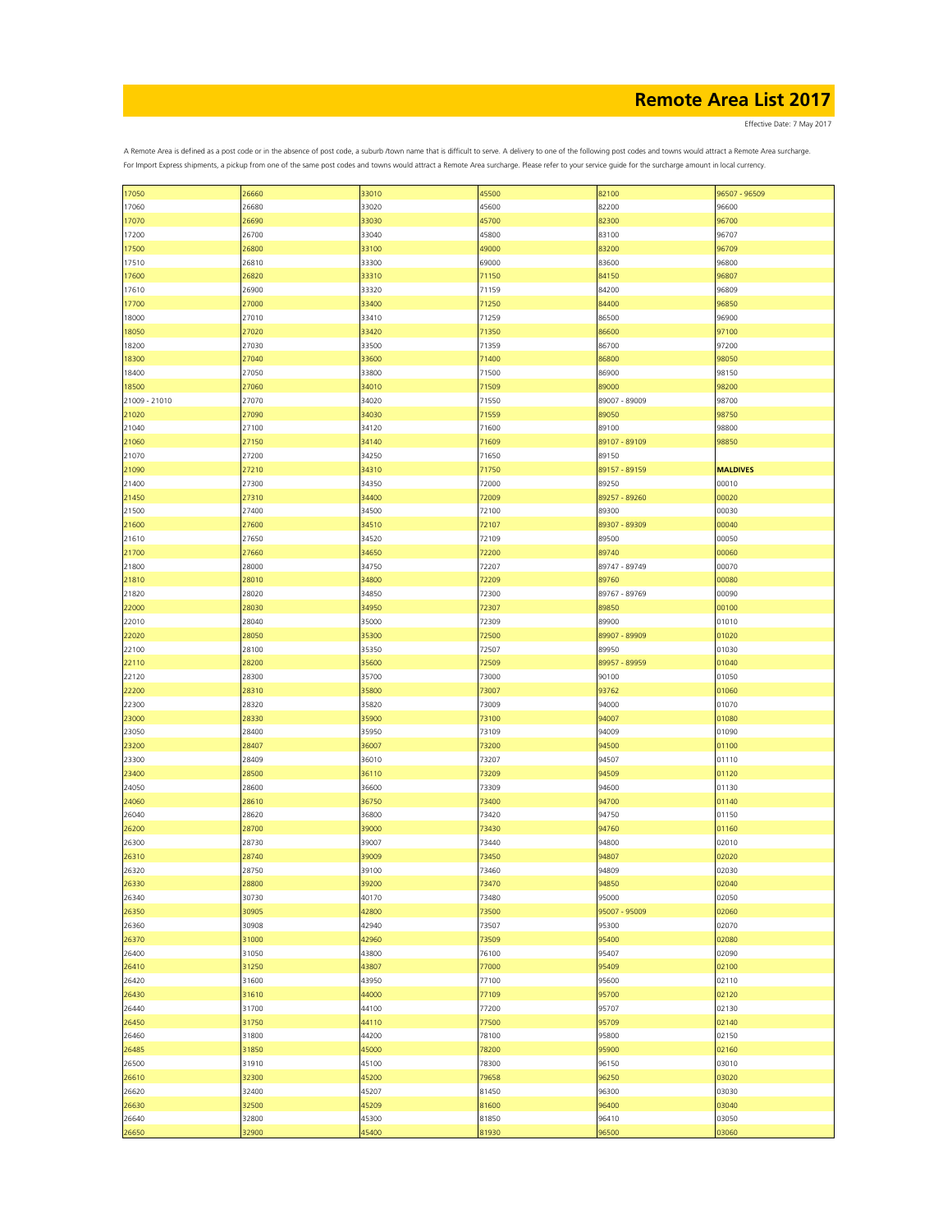Effective Date: 7 May 2017

| 17050         | 26660 | 33010 | 45500 | 82100         | 96507 - 96509   |
|---------------|-------|-------|-------|---------------|-----------------|
| 17060         | 26680 | 33020 | 45600 | 82200         | 96600           |
| 17070         | 26690 | 33030 | 45700 | 82300         | 96700           |
| 17200         | 26700 | 33040 | 45800 | 83100         | 96707           |
| 17500         | 26800 | 33100 | 49000 | 83200         | 96709           |
|               |       |       |       |               |                 |
| 17510         | 26810 | 33300 | 69000 | 83600         | 96800           |
| 17600         | 26820 | 33310 | 71150 | 84150         | 96807           |
| 17610         | 26900 | 33320 | 71159 | 84200         | 96809           |
| 17700         | 27000 | 33400 | 71250 | 84400         | 96850           |
| 18000         | 27010 | 33410 | 71259 | 86500         | 96900           |
|               |       |       |       |               |                 |
| 18050         | 27020 | 33420 | 71350 | 86600         | 97100           |
| 18200         | 27030 | 33500 | 71359 | 86700         | 97200           |
| 18300         | 27040 | 33600 | 71400 | 86800         | 98050           |
| 18400         | 27050 | 33800 | 71500 | 86900         | 98150           |
| 18500         | 27060 | 34010 | 71509 | 89000         | 98200           |
|               |       |       |       |               | 98700           |
| 21009 - 21010 | 27070 | 34020 | 71550 | 89007 - 89009 |                 |
| 21020         | 27090 | 34030 | 71559 | 89050         | 98750           |
| 21040         | 27100 | 34120 | 71600 | 89100         | 98800           |
| 21060         | 27150 | 34140 | 71609 | 89107 - 89109 | 98850           |
| 21070         | 27200 | 34250 | 71650 | 89150         |                 |
| 21090         | 27210 | 34310 | 71750 | 89157 - 89159 | <b>MALDIVES</b> |
|               |       |       |       |               |                 |
| 21400         | 27300 | 34350 | 72000 | 89250         | 00010           |
| 21450         | 27310 | 34400 | 72009 | 89257 - 89260 | 00020           |
| 21500         | 27400 | 34500 | 72100 | 89300         | 00030           |
| 21600         | 27600 | 34510 | 72107 | 89307 - 89309 | 00040           |
| 21610         | 27650 | 34520 | 72109 | 89500         | 00050           |
|               |       |       |       |               |                 |
| 21700         | 27660 | 34650 | 72200 | 89740         | 00060           |
| 21800         | 28000 | 34750 | 72207 | 89747 - 89749 | 00070           |
| 21810         | 28010 | 34800 | 72209 | 89760         | 00080           |
| 21820         | 28020 | 34850 | 72300 | 89767 - 89769 | 00090           |
| 22000         | 28030 | 34950 | 72307 | 89850         | 00100           |
|               |       |       |       |               |                 |
| 22010         | 28040 | 35000 | 72309 | 89900         | 01010           |
| 22020         | 28050 | 35300 | 72500 | 89907 - 89909 | 01020           |
| 22100         | 28100 | 35350 | 72507 | 89950         | 01030           |
| 22110         | 28200 | 35600 | 72509 | 89957 - 89959 | 01040           |
| 22120         | 28300 | 35700 | 73000 | 90100         | 01050           |
|               |       |       |       |               |                 |
| 22200         | 28310 | 35800 | 73007 | 93762         | 01060           |
| 22300         | 28320 | 35820 | 73009 | 94000         | 01070           |
| 23000         | 28330 | 35900 | 73100 | 94007         | 01080           |
| 23050         | 28400 | 35950 | 73109 | 94009         | 01090           |
| 23200         | 28407 | 36007 | 73200 | 94500         | 01100           |
|               |       |       |       |               |                 |
| 23300         | 28409 | 36010 | 73207 | 94507         | 01110           |
| 23400         | 28500 | 36110 | 73209 | 94509         | 01120           |
| 24050         | 28600 | 36600 | 73309 | 94600         | 01130           |
| 24060         | 28610 | 36750 | 73400 | 94700         | 01140           |
| 26040         | 28620 | 36800 | 73420 | 94750         | 01150           |
|               |       |       |       |               |                 |
| 26200         | 28700 | 39000 | 73430 | 94760         | 01160           |
| 26300         | 28730 | 39007 | 73440 | 94800         | 02010           |
| 26310         | 28740 | 39009 | 73450 | 94807         | 02020           |
| 26320         | 28750 | 39100 | 73460 | 94809         | 02030           |
| 26330         | 28800 | 39200 | 73470 | 94850         | 02040           |
| 26340         | 30730 | 40170 | 73480 | 95000         | 02050           |
|               |       |       |       |               |                 |
| 26350         | 30905 | 42800 | 73500 | 95007 - 95009 | 02060           |
| 26360         | 30908 | 42940 | 73507 | 95300         | 02070           |
| 26370         | 31000 | 42960 | 73509 | 95400         | 02080           |
| 26400         | 31050 | 43800 | 76100 | 95407         | 02090           |
| 26410         | 31250 | 43807 | 77000 | 95409         | 02100           |
|               |       |       |       |               |                 |
| 26420         | 31600 | 43950 | 77100 | 95600         | 02110           |
| 26430         | 31610 | 44000 | 77109 | 95700         | 02120           |
| 26440         | 31700 | 44100 | 77200 | 95707         | 02130           |
| 26450         | 31750 | 44110 | 77500 | 95709         | 02140           |
| 26460         | 31800 | 44200 | 78100 | 95800         | 02150           |
|               |       |       |       |               |                 |
| 26485         | 31850 | 45000 | 78200 | 95900         | 02160           |
| 26500         | 31910 | 45100 | 78300 | 96150         | 03010           |
| 26610         | 32300 | 45200 | 79658 | 96250         | 03020           |
| 26620         | 32400 | 45207 | 81450 | 96300         | 03030           |
| 26630         | 32500 | 45209 | 81600 | 96400         | 03040           |
|               |       |       |       |               |                 |
| 26640         | 32800 | 45300 | 81850 | 96410         | 03050           |
| 26650         | 32900 | 45400 | 81930 | 96500         | 03060           |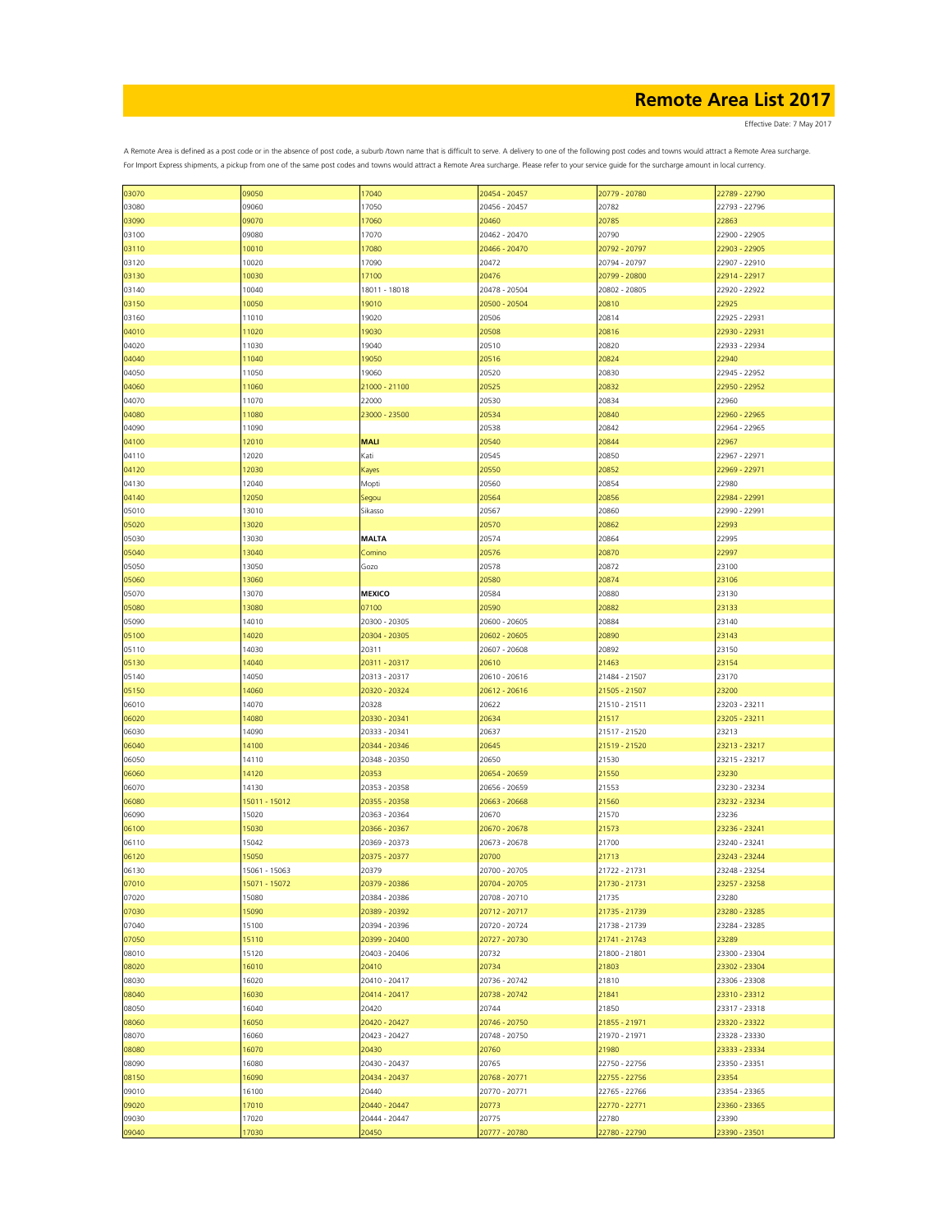Effective Date: 7 May 2017

| 03070 | 09050         | 17040         | 20454 - 20457 | 20779 - 20780 | 22789 - 22790 |
|-------|---------------|---------------|---------------|---------------|---------------|
| 03080 | 09060         | 17050         | 20456 - 20457 | 20782         | 22793 - 22796 |
|       |               |               |               |               |               |
| 03090 | 09070         | 17060         | 20460         | 20785         | 22863         |
| 03100 | 09080         | 17070         | 20462 - 20470 | 20790         | 22900 - 22905 |
|       |               |               |               |               |               |
| 03110 | 10010         | 17080         | 20466 - 20470 | 20792 - 20797 | 22903 - 22905 |
| 03120 | 10020         | 17090         | 20472         | 20794 - 20797 | 22907 - 22910 |
|       |               |               |               |               |               |
| 03130 | 10030         | 17100         | 20476         | 20799 - 20800 | 22914 - 22917 |
| 03140 | 10040         | 18011 - 18018 | 20478 - 20504 | 20802 - 20805 | 22920 - 22922 |
|       |               | 19010         | 20500 - 20504 | 20810         |               |
| 03150 | 10050         |               |               |               | 22925         |
| 03160 | 11010         | 19020         | 20506         | 20814         | 22925 - 22931 |
| 04010 | 11020         | 19030         | 20508         | 20816         | 22930 - 22931 |
|       |               |               |               |               |               |
| 04020 | 11030         | 19040         | 20510         | 20820         | 22933 - 22934 |
| 04040 | 11040         | 19050         | 20516         | 20824         | 22940         |
|       |               |               |               |               |               |
| 04050 | 11050         | 19060         | 20520         | 20830         | 22945 - 22952 |
| 04060 | 11060         | 21000 - 21100 | 20525         | 20832         | 22950 - 22952 |
|       |               | 22000         |               |               |               |
| 04070 | 11070         |               | 20530         | 20834         | 22960         |
| 04080 | 11080         | 23000 - 23500 | 20534         | 20840         | 22960 - 22965 |
| 04090 | 11090         |               | 20538         | 20842         | 22964 - 22965 |
|       |               |               |               |               |               |
| 04100 | 12010         | <b>MALI</b>   | 20540         | 20844         | 22967         |
| 04110 | 12020         | Kati          | 20545         | 20850         | 22967 - 22971 |
|       |               |               |               |               |               |
| 04120 | 12030         | Kayes         | 20550         | 20852         | 22969 - 22971 |
| 04130 | 12040         | Mopti         | 20560         | 20854         | 22980         |
|       |               |               |               |               |               |
| 04140 | 12050         | Segou         | 20564         | 20856         | 22984 - 22991 |
| 05010 | 13010         | Sikasso       | 20567         | 20860         | 22990 - 22991 |
|       |               |               |               |               |               |
| 05020 | 13020         |               | 20570         | 20862         | 22993         |
| 05030 | 13030         | <b>MALTA</b>  | 20574         | 20864         | 22995         |
|       |               |               |               |               |               |
| 05040 | 13040         | Comino        | 20576         | 20870         | 22997         |
| 05050 | 13050         | Gozo          | 20578         | 20872         | 23100         |
|       |               |               |               |               |               |
| 05060 | 13060         |               | 20580         | 20874         | 23106         |
| 05070 | 13070         | <b>MEXICO</b> | 20584         | 20880         | 23130         |
|       |               |               |               |               |               |
| 05080 | 13080         | 07100         | 20590         | 20882         | 23133         |
| 05090 | 14010         | 20300 - 20305 | 20600 - 20605 | 20884         | 23140         |
|       |               |               |               |               |               |
| 05100 | 14020         | 20304 - 20305 | 20602 - 20605 | 20890         | 23143         |
| 05110 | 14030         | 20311         | 20607 - 20608 | 20892         | 23150         |
|       |               |               |               |               |               |
| 05130 | 14040         | 20311 - 20317 | 20610         | 21463         | 23154         |
| 05140 | 14050         | 20313 - 20317 | 20610 - 20616 | 21484 - 21507 | 23170         |
|       |               |               |               |               |               |
| 05150 | 14060         | 20320 - 20324 | 20612 - 20616 | 21505 - 21507 | 23200         |
| 06010 | 14070         | 20328         | 20622         | 21510 - 21511 | 23203 - 23211 |
| 06020 | 14080         | 20330 - 20341 | 20634         | 21517         | 23205 - 23211 |
|       |               |               |               |               |               |
| 06030 | 14090         | 20333 - 20341 | 20637         | 21517 - 21520 | 23213         |
|       | 14100         | 20344 - 20346 | 20645         | 21519 - 21520 | 23213 - 23217 |
| 06040 |               |               |               |               |               |
| 06050 | 14110         | 20348 - 20350 | 20650         | 21530         | 23215 - 23217 |
| 06060 | 14120         | 20353         | 20654 - 20659 | 21550         | 23230         |
|       |               |               |               |               |               |
| 06070 | 14130         | 20353 - 20358 | 20656 - 20659 | 21553         | 23230 - 23234 |
| 06080 | 15011 - 15012 | 20355 - 20358 | 20663 - 20668 | 21560         | 23232 - 23234 |
|       |               |               |               |               |               |
| 06090 | 15020         | 20363 - 20364 | 20670         | 21570         | 23236         |
| 06100 | 15030         | 20366 - 20367 | 20670 - 20678 | 21573         | 23236 - 23241 |
|       |               |               |               |               |               |
| 06110 | 15042         | 20369 - 20373 | 20673 - 20678 | 21700         | 23240 - 23241 |
| 06120 | 15050         | 20375 - 20377 | 20700         | 21713         | 23243 - 23244 |
|       |               |               | 20700 - 20705 |               |               |
| 06130 | 15061 - 15063 | 20379         |               | 21722 - 21731 | 23248 - 23254 |
| 07010 | 15071 - 15072 | 20379 - 20386 | 20704 - 20705 | 21730 - 21731 | 23257 - 23258 |
| 07020 | 15080         | 20384 - 20386 | 20708 - 20710 | 21735         | 23280         |
|       |               |               |               |               |               |
| 07030 | 15090         | 20389 - 20392 | 20712 - 20717 | 21735 - 21739 | 23280 - 23285 |
| 07040 | 15100         | 20394 - 20396 | 20720 - 20724 | 21738 - 21739 | 23284 - 23285 |
|       |               |               |               |               |               |
| 07050 | 15110         | 20399 - 20400 | 20727 - 20730 | 21741 - 21743 | 23289         |
| 08010 | 15120         | 20403 - 20406 | 20732         | 21800 - 21801 | 23300 - 23304 |
|       |               |               |               |               |               |
| 08020 | 16010         | 20410         | 20734         | 21803         | 23302 - 23304 |
| 08030 | 16020         | 20410 - 20417 | 20736 - 20742 | 21810         | 23306 - 23308 |
|       |               |               | 20738 - 20742 |               | 23310 - 23312 |
| 08040 | 16030         | 20414 - 20417 |               | 21841         |               |
| 08050 | 16040         | 20420         | 20744         | 21850         | 23317 - 23318 |
| 08060 | 16050         | 20420 - 20427 | 20746 - 20750 | 21855 - 21971 | 23320 - 23322 |
|       |               |               |               |               |               |
| 08070 | 16060         | 20423 - 20427 | 20748 - 20750 | 21970 - 21971 | 23328 - 23330 |
| 08080 | 16070         | 20430         | 20760         | 21980         | 23333 - 23334 |
|       |               |               |               |               |               |
| 08090 | 16080         | 20430 - 20437 | 20765         | 22750 - 22756 | 23350 - 23351 |
| 08150 | 16090         | 20434 - 20437 | 20768 - 20771 | 22755 - 22756 | 23354         |
|       |               |               |               |               |               |
| 09010 | 16100         | 20440         | 20770 - 20771 | 22765 - 22766 | 23354 - 23365 |
| 09020 | 17010         | 20440 - 20447 | 20773         | 22770 - 22771 | 23360 - 23365 |
|       |               |               |               |               |               |
| 09030 | 17020         | 20444 - 20447 | 20775         | 22780         | 23390         |
| 09040 | 17030         | 20450         | 20777 - 20780 | 22780 - 22790 | 23390 - 23501 |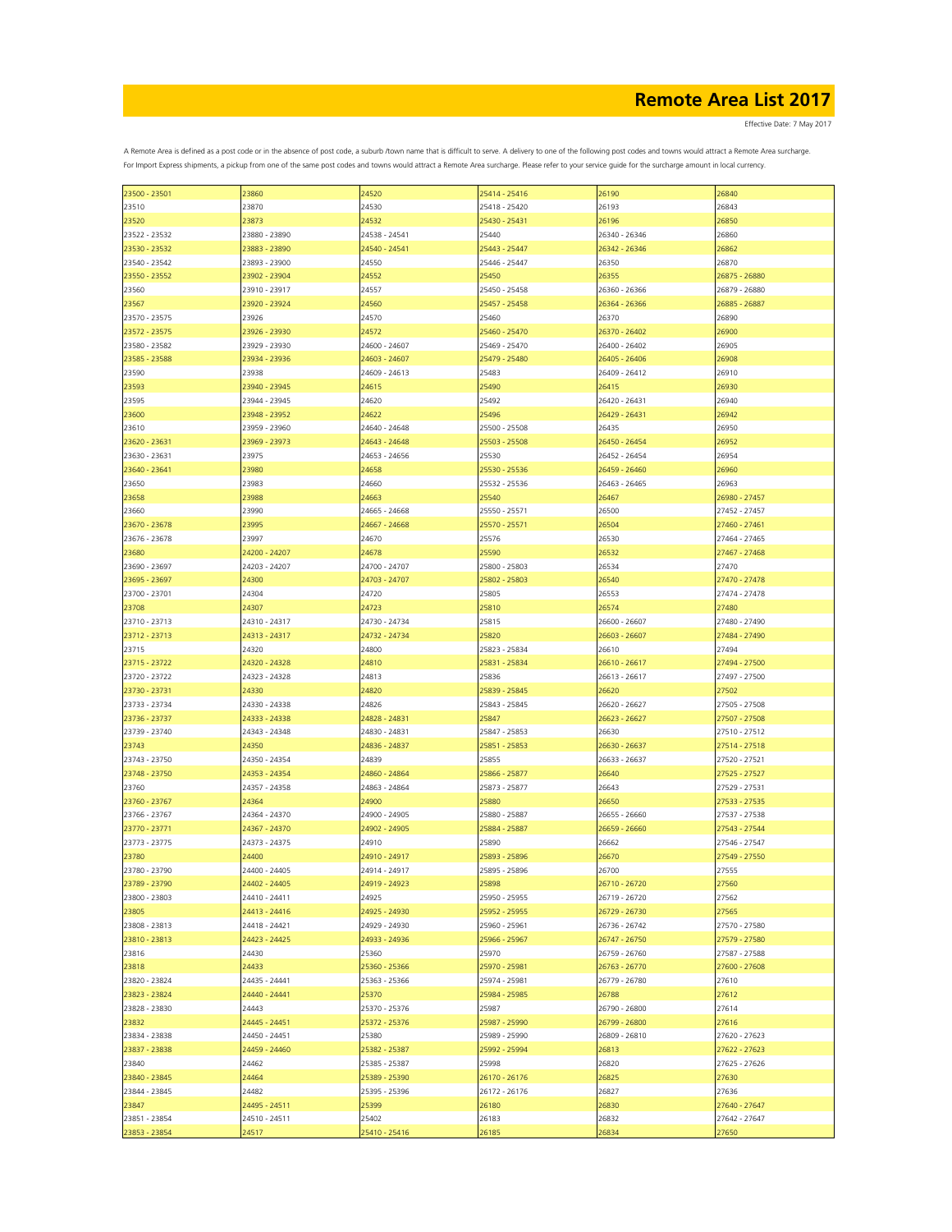Effective Date: 7 May 2017

| 23500 - 23501 | 23860         | 24520         | 25414 - 25416 | 26190         | 26840         |
|---------------|---------------|---------------|---------------|---------------|---------------|
| 23510         | 23870         | 24530         | 25418 - 25420 | 26193         | 26843         |
|               |               |               |               |               |               |
| 23520         | 23873         | 24532         | 25430 - 25431 | 26196         | 26850         |
| 23522 - 23532 | 23880 - 23890 | 24538 - 24541 | 25440         | 26340 - 26346 | 26860         |
| 23530 - 23532 | 23883 - 23890 | 24540 - 24541 | 25443 - 25447 | 26342 - 26346 | 26862         |
|               |               |               |               |               |               |
| 23540 - 23542 | 23893 - 23900 | 24550         | 25446 - 25447 | 26350         | 26870         |
| 23550 - 23552 | 23902 - 23904 | 24552         | 25450         | 26355         | 26875 - 26880 |
|               |               |               |               |               |               |
| 23560         | 23910 - 23917 | 24557         | 25450 - 25458 | 26360 - 26366 | 26879 - 26880 |
| 23567         | 23920 - 23924 | 24560         | 25457 - 25458 | 26364 - 26366 | 26885 - 26887 |
|               |               |               |               |               |               |
| 23570 - 23575 | 23926         | 24570         | 25460         | 26370         | 26890         |
| 23572 - 23575 | 23926 - 23930 | 24572         | 25460 - 25470 | 26370 - 26402 | 26900         |
| 23580 - 23582 | 23929 - 23930 | 24600 - 24607 | 25469 - 25470 | 26400 - 26402 | 26905         |
|               |               |               |               |               |               |
| 23585 - 23588 | 23934 - 23936 | 24603 - 24607 | 25479 - 25480 | 26405 - 26406 | 26908         |
| 23590         | 23938         | 24609 - 24613 | 25483         | 26409 - 26412 | 26910         |
|               |               |               |               |               |               |
| 23593         | 23940 - 23945 | 24615         | 25490         | 26415         | 26930         |
| 23595         | 23944 - 23945 | 24620         | 25492         | 26420 - 26431 | 26940         |
|               |               |               |               |               | 26942         |
| 23600         | 23948 - 23952 | 24622         | 25496         | 26429 - 26431 |               |
| 23610         | 23959 - 23960 | 24640 - 24648 | 25500 - 25508 | 26435         | 26950         |
| 23620 - 23631 | 23969 - 23973 | 24643 - 24648 | 25503 - 25508 | 26450 - 26454 | 26952         |
|               |               |               |               |               |               |
| 23630 - 23631 | 23975         | 24653 - 24656 | 25530         | 26452 - 26454 | 26954         |
| 23640 - 23641 | 23980         | 24658         | 25530 - 25536 | 26459 - 26460 | 26960         |
|               |               |               |               |               |               |
| 23650         | 23983         | 24660         | 25532 - 25536 | 26463 - 26465 | 26963         |
| 23658         | 23988         | 24663         | 25540         | 26467         | 26980 - 27457 |
|               |               | 24665 - 24668 |               |               |               |
| 23660         | 23990         |               | 25550 - 25571 | 26500         | 27452 - 27457 |
| 23670 - 23678 | 23995         | 24667 - 24668 | 25570 - 25571 | 26504         | 27460 - 27461 |
| 23676 - 23678 | 23997         | 24670         | 25576         | 26530         | 27464 - 27465 |
|               |               |               |               |               |               |
| 23680         | 24200 - 24207 | 24678         | 25590         | 26532         | 27467 - 27468 |
| 23690 - 23697 | 24203 - 24207 | 24700 - 24707 | 25800 - 25803 | 26534         | 27470         |
|               |               |               |               |               |               |
| 23695 - 23697 | 24300         | 24703 - 24707 | 25802 - 25803 | 26540         | 27470 - 27478 |
| 23700 - 23701 | 24304         | 24720         | 25805         | 26553         | 27474 - 27478 |
|               |               |               |               |               |               |
| 23708         | 24307         | 24723         | 25810         | 26574         | 27480         |
| 23710 - 23713 | 24310 - 24317 | 24730 - 24734 | 25815         | 26600 - 26607 | 27480 - 27490 |
|               |               |               |               |               |               |
| 23712 - 23713 | 24313 - 24317 | 24732 - 24734 | 25820         | 26603 - 26607 | 27484 - 27490 |
| 23715         | 24320         | 24800         | 25823 - 25834 | 26610         | 27494         |
| 23715 - 23722 | 24320 - 24328 | 24810         | 25831 - 25834 | 26610 - 26617 | 27494 - 27500 |
|               |               |               |               |               |               |
| 23720 - 23722 | 24323 - 24328 | 24813         | 25836         | 26613 - 26617 | 27497 - 27500 |
| 23730 - 23731 | 24330         | 24820         | 25839 - 25845 | 26620         | 27502         |
|               |               |               |               |               |               |
| 23733 - 23734 | 24330 - 24338 | 24826         | 25843 - 25845 | 26620 - 26627 | 27505 - 27508 |
| 23736 - 23737 | 24333 - 24338 | 24828 - 24831 | 25847         | 26623 - 26627 | 27507 - 27508 |
|               |               |               |               |               |               |
| 23739 - 23740 | 24343 - 24348 | 24830 - 24831 | 25847 - 25853 | 26630         | 27510 - 27512 |
| 23743         | 24350         | 24836 - 24837 | 25851 - 25853 | 26630 - 26637 | 27514 - 27518 |
|               |               |               |               |               |               |
| 23743 - 23750 | 24350 - 24354 | 24839         | 25855         | 26633 - 26637 | 27520 - 27521 |
| 23748 - 23750 | 24353 - 24354 | 24860 - 24864 | 25866 - 25877 | 26640         | 27525 - 27527 |
| 23760         | 24357 - 24358 | 24863 - 24864 | 25873 - 25877 | 26643         | 27529 - 27531 |
|               |               |               |               |               |               |
| 23760 - 23767 | 24364         | 24900         | 25880         | 26650         | 27533 - 27535 |
| 23766 - 23767 | 24364 - 24370 | 24900 - 24905 | 25880 - 25887 | 26655 - 26660 | 27537 - 27538 |
|               |               |               |               |               |               |
| 23770 - 23771 | 24367 - 24370 | 24902 - 24905 | 25884 - 25887 | 26659 - 26660 | 27543 - 27544 |
| 23773 - 23775 | 24373 - 24375 | 24910         | 25890         | 26662         | 27546 - 27547 |
|               |               |               |               |               | 27549 - 27550 |
| 23780         | 24400         | 24910 - 24917 | 25893 - 25896 | 26670         |               |
| 23780 - 23790 | 24400 - 24405 | 24914 - 24917 | 25895 - 25896 | 26700         | 27555         |
| 23789 - 23790 | 24402 - 24405 | 24919 - 24923 | 25898         | 26710 - 26720 | 27560         |
|               |               |               |               |               |               |
| 23800 - 23803 | 24410 - 24411 | 24925         | 25950 - 25955 | 26719 - 26720 | 27562         |
| 23805         | 24413 - 24416 | 24925 - 24930 | 25952 - 25955 | 26729 - 26730 | 27565         |
|               |               |               |               |               |               |
| 23808 - 23813 | 24418 - 24421 | 24929 - 24930 | 25960 - 25961 | 26736 - 26742 | 27570 - 27580 |
| 23810 - 23813 | 24423 - 24425 | 24933 - 24936 | 25966 - 25967 | 26747 - 26750 | 27579 - 27580 |
| 23816         | 24430         | 25360         | 25970         | 26759 - 26760 | 27587 - 27588 |
|               |               |               |               |               |               |
| 23818         | 24433         | 25360 - 25366 | 25970 - 25981 | 26763 - 26770 | 27600 - 27608 |
| 23820 - 23824 | 24435 - 24441 | 25363 - 25366 | 25974 - 25981 | 26779 - 26780 | 27610         |
|               |               |               |               |               |               |
| 23823 - 23824 | 24440 - 24441 | 25370         | 25984 - 25985 | 26788         | 27612         |
| 23828 - 23830 | 24443         | 25370 - 25376 | 25987         | 26790 - 26800 | 27614         |
|               |               |               |               |               |               |
| 23832         | 24445 - 24451 | 25372 - 25376 | 25987 - 25990 | 26799 - 26800 | 27616         |
| 23834 - 23838 | 24450 - 24451 | 25380         | 25989 - 25990 | 26809 - 26810 | 27620 - 27623 |
|               | 24459 - 24460 |               |               |               |               |
| 23837 - 23838 |               | 25382 - 25387 | 25992 - 25994 | 26813         | 27622 - 27623 |
| 23840         | 24462         | 25385 - 25387 | 25998         | 26820         | 27625 - 27626 |
| 23840 - 23845 | 24464         | 25389 - 25390 | 26170 - 26176 | 26825         | 27630         |
|               |               |               |               |               |               |
| 23844 - 23845 | 24482         | 25395 - 25396 | 26172 - 26176 | 26827         | 27636         |
| 23847         | 24495 - 24511 | 25399         | 26180         | 26830         | 27640 - 27647 |
|               |               |               |               |               |               |
| 23851 - 23854 | 24510 - 24511 | 25402         | 26183         | 26832         | 27642 - 27647 |
| 23853 - 23854 | 24517         | 25410 - 25416 | 26185         | 26834         | 27650         |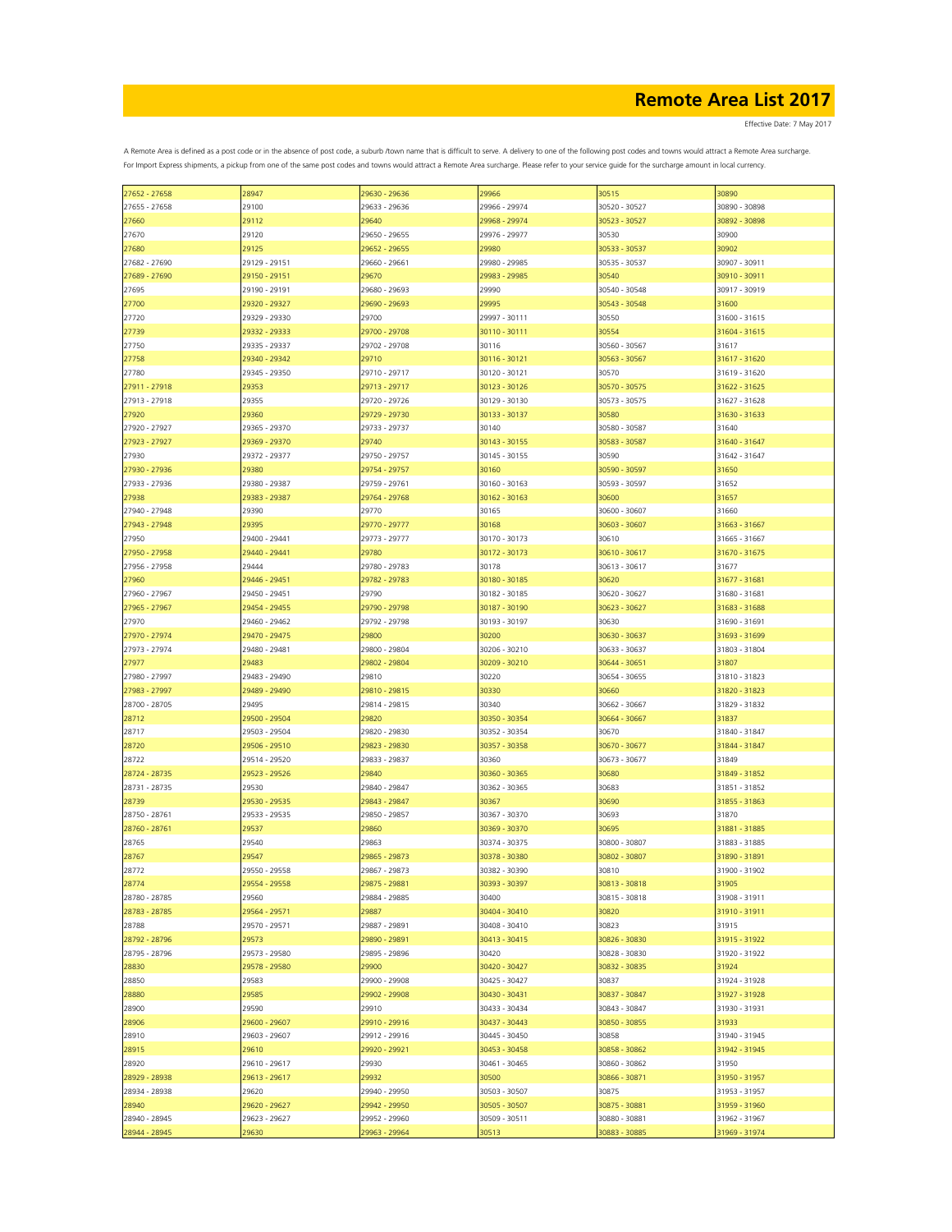Effective Date: 7 May 2017

| 27652 - 27658 | 28947         | 29630 - 29636 | 29966         | 30515         | 30890         |
|---------------|---------------|---------------|---------------|---------------|---------------|
| 27655 - 27658 | 29100         | 29633 - 29636 | 29966 - 29974 | 30520 - 30527 | 30890 - 30898 |
| 27660         | 29112         | 29640         | 29968 - 29974 | 30523 - 30527 | 30892 - 30898 |
|               |               |               |               |               |               |
| 27670         | 29120         | 29650 - 29655 | 29976 - 29977 | 30530         | 30900         |
| 27680         | 29125         | 29652 - 29655 | 29980         | 30533 - 30537 | 30902         |
| 27682 - 27690 | 29129 - 29151 | 29660 - 29661 | 29980 - 29985 | 30535 - 30537 | 30907 - 30911 |
|               |               |               |               |               |               |
| 27689 - 27690 | 29150 - 29151 | 29670         | 29983 - 29985 | 30540         | 30910 - 30911 |
| 27695         | 29190 - 29191 | 29680 - 29693 | 29990         | 30540 - 30548 | 30917 - 30919 |
| 27700         | 29320 - 29327 | 29690 - 29693 | 29995         | 30543 - 30548 | 31600         |
|               |               |               |               |               |               |
| 27720         | 29329 - 29330 | 29700         | 29997 - 30111 | 30550         | 31600 - 31615 |
| 27739         | 29332 - 29333 | 29700 - 29708 | 30110 - 30111 | 30554         | 31604 - 31615 |
| 27750         | 29335 - 29337 | 29702 - 29708 | 30116         | 30560 - 30567 | 31617         |
|               | 29340 - 29342 | 29710         | 30116 - 30121 | 30563 - 30567 | 31617 - 31620 |
| 27758         |               |               |               |               |               |
| 27780         | 29345 - 29350 | 29710 - 29717 | 30120 - 30121 | 30570         | 31619 - 31620 |
| 27911 - 27918 | 29353         | 29713 - 29717 | 30123 - 30126 | 30570 - 30575 | 31622 - 31625 |
| 27913 - 27918 | 29355         | 29720 - 29726 | 30129 - 30130 | 30573 - 30575 | 31627 - 31628 |
|               |               |               |               |               |               |
| 27920         | 29360         | 29729 - 29730 | 30133 - 30137 | 30580         | 31630 - 31633 |
| 27920 - 27927 | 29365 - 29370 | 29733 - 29737 | 30140         | 30580 - 30587 | 31640         |
| 27923 - 27927 | 29369 - 29370 | 29740         | 30143 - 30155 | 30583 - 30587 | 31640 - 31647 |
|               |               |               |               |               |               |
| 27930         | 29372 - 29377 | 29750 - 29757 | 30145 - 30155 | 30590         | 31642 - 31647 |
| 27930 - 27936 | 29380         | 29754 - 29757 | 30160         | 30590 - 30597 | 31650         |
| 27933 - 27936 | 29380 - 29387 | 29759 - 29761 | 30160 - 30163 | 30593 - 30597 | 31652         |
| 27938         | 29383 - 29387 | 29764 - 29768 | 30162 - 30163 | 30600         | 31657         |
|               |               |               |               |               |               |
| 27940 - 27948 | 29390         | 29770         | 30165         | 30600 - 30607 | 31660         |
| 27943 - 27948 | 29395         | 29770 - 29777 | 30168         | 30603 - 30607 | 31663 - 31667 |
| 27950         | 29400 - 29441 | 29773 - 29777 | 30170 - 30173 | 30610         | 31665 - 31667 |
| 27950 - 27958 | 29440 - 29441 | 29780         | 30172 - 30173 | 30610 - 30617 | 31670 - 31675 |
|               |               |               |               |               |               |
| 27956 - 27958 | 29444         | 29780 - 29783 | 30178         | 30613 - 30617 | 31677         |
| 27960         | 29446 - 29451 | 29782 - 29783 | 30180 - 30185 | 30620         | 31677 - 31681 |
| 27960 - 27967 | 29450 - 29451 | 29790         | 30182 - 30185 | 30620 - 30627 | 31680 - 31681 |
|               |               |               |               |               |               |
| 27965 - 27967 | 29454 - 29455 | 29790 - 29798 | 30187 - 30190 | 30623 - 30627 | 31683 - 31688 |
| 27970         | 29460 - 29462 | 29792 - 29798 | 30193 - 30197 | 30630         | 31690 - 31691 |
| 27970 - 27974 | 29470 - 29475 | 29800         | 30200         | 30630 - 30637 | 31693 - 31699 |
|               |               |               |               |               |               |
| 27973 - 27974 | 29480 - 29481 | 29800 - 29804 | 30206 - 30210 | 30633 - 30637 | 31803 - 31804 |
| 27977         | 29483         | 29802 - 29804 | 30209 - 30210 | 30644 - 30651 | 31807         |
| 27980 - 27997 | 29483 - 29490 | 29810         | 30220         | 30654 - 30655 | 31810 - 31823 |
| 27983 - 27997 | 29489 - 29490 | 29810 - 29815 | 30330         | 30660         | 31820 - 31823 |
|               |               |               |               |               |               |
| 28700 - 28705 | 29495         | 29814 - 29815 | 30340         | 30662 - 30667 | 31829 - 31832 |
| 28712         | 29500 - 29504 | 29820         | 30350 - 30354 | 30664 - 30667 | 31837         |
| 28717         | 29503 - 29504 | 29820 - 29830 | 30352 - 30354 | 30670         | 31840 - 31847 |
|               |               | 29823 - 29830 |               |               |               |
| 28720         | 29506 - 29510 |               | 30357 - 30358 | 30670 - 30677 | 31844 - 31847 |
| 28722         | 29514 - 29520 | 29833 - 29837 | 30360         | 30673 - 30677 | 31849         |
| 28724 - 28735 | 29523 - 29526 | 29840         | 30360 - 30365 | 30680         | 31849 - 31852 |
| 28731 - 28735 | 29530         | 29840 - 29847 | 30362 - 30365 | 30683         | 31851 - 31852 |
|               |               |               |               |               |               |
| 28739         | 29530 - 29535 | 29843 - 29847 | 30367         | 30690         | 31855 - 31863 |
| 28750 - 28761 | 29533 - 29535 | 29850 - 29857 | 30367 - 30370 | 30693         | 31870         |
| 28760 - 28761 | 29537         | 29860         | 30369 - 30370 | 30695         | 31881 - 31885 |
| 28765         | 29540         | 29863         | 30374 - 30375 | 30800 - 30807 | 31883 - 31885 |
|               |               |               |               |               |               |
| 28767         | 29547         | 29865 - 29873 | 30378 - 30380 | 30802 - 30807 | 31890 - 31891 |
| 28772         | 29550 - 29558 | 29867 - 29873 | 30382 - 30390 | 30810         | 31900 - 31902 |
| 28774         | 29554 - 29558 | 29875 - 29881 | 30393 - 30397 | 30813 - 30818 | 31905         |
| 28780 - 28785 | 29560         | 29884 - 29885 | 30400         | 30815 - 30818 | 31908 - 31911 |
|               |               |               |               |               |               |
| 28783 - 28785 | 29564 - 29571 | 29887         | 30404 - 30410 | 30820         | 31910 - 31911 |
| 28788         | 29570 - 29571 | 29887 - 29891 | 30408 - 30410 | 30823         | 31915         |
| 28792 - 28796 | 29573         | 29890 - 29891 | 30413 - 30415 | 30826 - 30830 | 31915 - 31922 |
|               |               | 29895 - 29896 |               | 30828 - 30830 | 31920 - 31922 |
| 28795 - 28796 | 29573 - 29580 |               | 30420         |               |               |
| 28830         | 29578 - 29580 | 29900         | 30420 - 30427 | 30832 - 30835 | 31924         |
| 28850         | 29583         | 29900 - 29908 | 30425 - 30427 | 30837         | 31924 - 31928 |
| 28880         | 29585         | 29902 - 29908 | 30430 - 30431 | 30837 - 30847 | 31927 - 31928 |
|               |               |               |               |               |               |
| 28900         | 29590         | 29910         | 30433 - 30434 | 30843 - 30847 | 31930 - 31931 |
| 28906         | 29600 - 29607 | 29910 - 29916 | 30437 - 30443 | 30850 - 30855 | 31933         |
| 28910         | 29603 - 29607 | 29912 - 29916 | 30445 - 30450 | 30858         | 31940 - 31945 |
| 28915         | 29610         | 29920 - 29921 | 30453 - 30458 | 30858 - 30862 | 31942 - 31945 |
|               |               |               |               |               |               |
| 28920         | 29610 - 29617 | 29930         | 30461 - 30465 | 30860 - 30862 | 31950         |
| 28929 - 28938 | 29613 - 29617 | 29932         | 30500         | 30866 - 30871 | 31950 - 31957 |
| 28934 - 28938 | 29620         | 29940 - 29950 | 30503 - 30507 | 30875         | 31953 - 31957 |
|               |               |               |               |               |               |
| 28940         | 29620 - 29627 | 29942 - 29950 | 30505 - 30507 | 30875 - 30881 | 31959 - 31960 |
| 28940 - 28945 | 29623 - 29627 | 29952 - 29960 | 30509 - 30511 | 30880 - 30881 | 31962 - 31967 |
| 28944 - 28945 | 29630         | 29963 - 29964 | 30513         | 30883 - 30885 | 31969 - 31974 |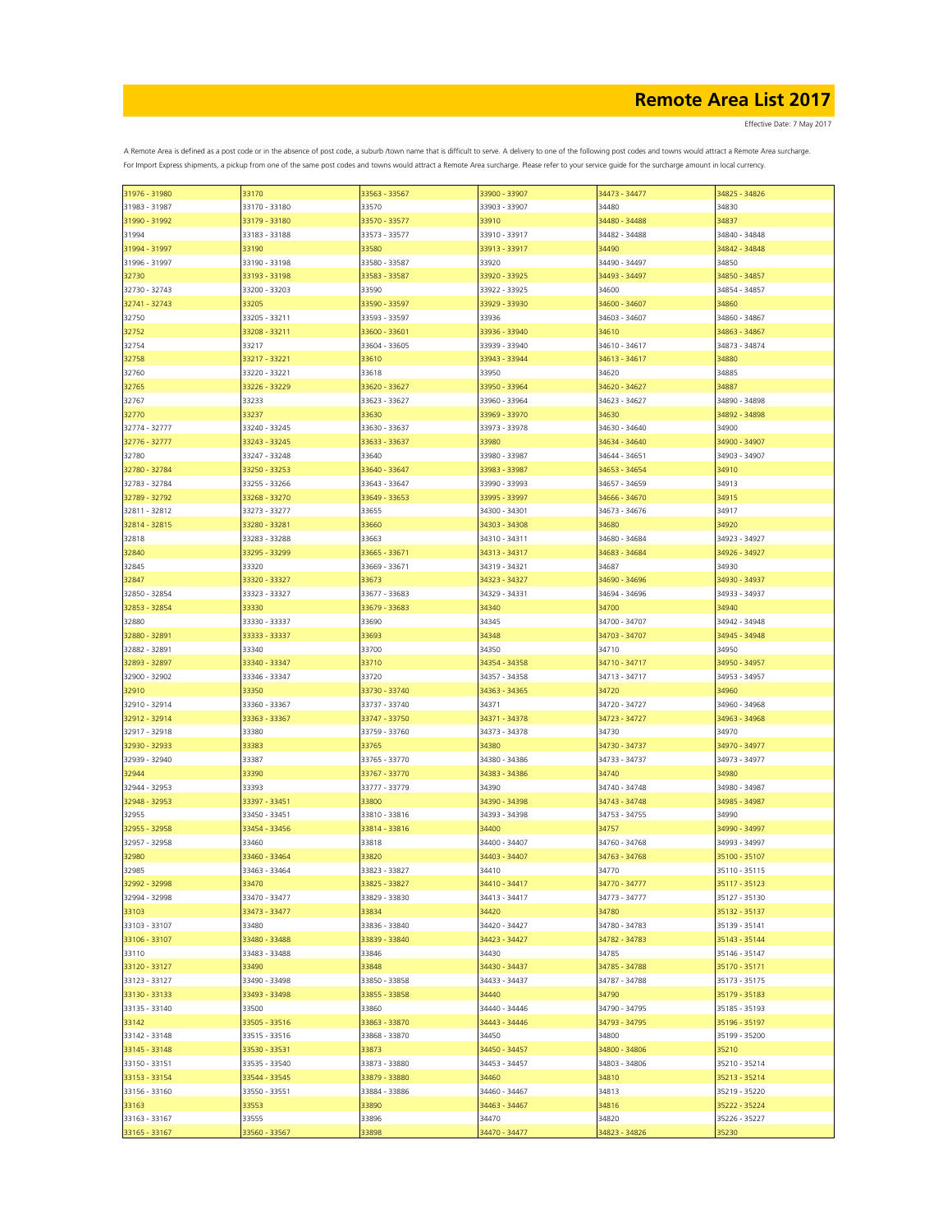| 31976 - 31980<br>33170<br>33563 - 33567<br>33900 - 33907<br>34473 - 34477<br>34825 - 34826<br>31983 - 31987<br>33170 - 33180<br>33570<br>34480<br>34830<br>33903 - 33907<br>33910<br>34837<br>31990 - 31992<br>33179 - 33180<br>33570 - 33577<br>34480 - 34488<br>33910 - 33917<br>34840 - 34848<br>31994<br>33183 - 33188<br>33573 - 33577<br>34482 - 34488<br>33190<br>33580<br>34490<br>31994 - 31997<br>33913 - 33917<br>34842 - 34848<br>33190 - 33198<br>33580 - 33587<br>33920<br>34490 - 34497<br>34850<br>31996 - 31997<br>32730<br>33193 - 33198<br>33583 - 33587<br>33920 - 33925<br>34493 - 34497<br>34850 - 34857<br>34600<br>32730 - 32743<br>33200 - 33203<br>33590<br>33922 - 33925<br>34854 - 34857<br>33590 - 33597<br>34600 - 34607<br>32741 - 32743<br>33205<br>33929 - 33930<br>34860<br>34860 - 34867<br>32750<br>33205 - 33211<br>33593 - 33597<br>33936<br>34603 - 34607<br>32752<br>33208 - 33211<br>33600 - 33601<br>33936 - 33940<br>34610<br>34863 - 34867<br>32754<br>33217<br>33604 - 33605<br>33939 - 33940<br>34610 - 34617<br>34873 - 34874<br>32758<br>33217 - 33221<br>33610<br>33943 - 33944<br>34613 - 34617<br>34880<br>33950<br>34620<br>34885<br>32760<br>33220 - 33221<br>33618<br>32765<br>33620 - 33627<br>33950 - 33964<br>34620 - 34627<br>34887<br>33226 - 33229<br>32767<br>33233<br>33623 - 33627<br>33960 - 33964<br>34623 - 34627<br>34890 - 34898<br>32770<br>33237<br>33630<br>33969 - 33970<br>34630<br>34892 - 34898<br>34900<br>32774 - 32777<br>33240 - 33245<br>33630 - 33637<br>33973 - 33978<br>34630 - 34640<br>32776 - 32777<br>33243 - 33245<br>33633 - 33637<br>34900 - 34907<br>33980<br>34634 - 34640<br>32780<br>33247 - 33248<br>33640<br>33980 - 33987<br>34644 - 34651<br>34903 - 34907<br>34910<br>32780 - 32784<br>33250 - 33253<br>33640 - 33647<br>33983 - 33987<br>34653 - 34654<br>32783 - 32784<br>33990 - 33993<br>34913<br>33255 - 33266<br>33643 - 33647<br>34657 - 34659<br>34915<br>32789 - 32792<br>33268 - 33270<br>33649 - 33653<br>33995 - 33997<br>34666 - 34670<br>32811 - 32812<br>33273 - 33277<br>33655<br>34300 - 34301<br>34673 - 34676<br>34917<br>34680<br>32814 - 32815<br>33280 - 33281<br>33660<br>34303 - 34308<br>34920<br>32818<br>33283 - 33288<br>33663<br>34310 - 34311<br>34680 - 34684<br>34923 - 34927<br>32840<br>33295 - 33299<br>33665 - 33671<br>34313 - 34317<br>34683 - 34684<br>34926 - 34927<br>33320<br>34687<br>32845<br>33669 - 33671<br>34319 - 34321<br>34930<br>32847<br>33320 - 33327<br>33673<br>34690 - 34696<br>34930 - 34937<br>34323 - 34327<br>32850 - 32854<br>33677 - 33683<br>34329 - 34331<br>33323 - 33327<br>34694 - 34696<br>34933 - 34937<br>33330<br>34340<br>34700<br>34940<br>32853 - 32854<br>33679 - 33683<br>34345<br>34700 - 34707<br>34942 - 34948<br>32880<br>33330 - 33337<br>33690<br>34703 - 34707<br>34945 - 34948<br>32880 - 32891<br>33333 - 33337<br>33693<br>34348<br>34710<br>32882 - 32891<br>33340<br>33700<br>34350<br>34950<br>33710<br>34354 - 34358<br>32893 - 32897<br>33340 - 33347<br>34710 - 34717<br>34950 - 34957<br>32900 - 32902<br>33346 - 33347<br>33720<br>34357 - 34358<br>34713 - 34717<br>34953 - 34957<br>32910<br>33350<br>33730 - 33740<br>34363 - 34365<br>34720<br>34960<br>32910 - 32914<br>33360 - 33367<br>33737 - 33740<br>34371<br>34720 - 34727<br>34960 - 34968<br>32912 - 32914<br>33363 - 33367<br>33747 - 33750<br>34371 - 34378<br>34723 - 34727<br>34963 - 34968<br>32917 - 32918<br>33380<br>34730<br>34970<br>33759 - 33760<br>34373 - 34378<br>33383<br>34380<br>32930 - 32933<br>33765<br>34730 - 34737<br>34970 - 34977<br>34973 - 34977<br>32939 - 32940<br>33387<br>33765 - 33770<br>34380 - 34386<br>34733 - 34737<br>33390<br>33767 - 33770<br>34740<br>32944<br>34383 - 34386<br>34980<br>32944 - 32953<br>33393<br>33777 - 33779<br>34390<br>34740 - 34748<br>34980 - 34987<br>33800<br>32948 - 32953<br>33397 - 33451<br>34390 - 34398<br>34743 - 34748<br>34985 - 34987<br>34393 - 34398<br>32955<br>33450 - 33451<br>33810 - 33816<br>34753 - 34755<br>34990<br>34757<br>32955 - 32958<br>33454 - 33456<br>33814 - 33816<br>34400<br>34990 - 34997<br>32957 - 32958<br>33460<br>33818<br>34400 - 34407<br>34760 - 34768<br>34993 - 34997<br>32980<br>33460 - 33464<br>33820<br>34403 - 34407<br>34763 - 34768<br>35100 - 35107<br>34770<br>34410<br>32985<br>33463 - 33464<br>33823 - 33827<br>35110 - 35115<br>32992 - 32998<br>33470<br>33825 - 33827<br>34410 - 34417<br>34770 - 34777<br>35117 - 35123<br>32994 - 32998<br>33470 - 33477<br>33829 - 33830<br>34413 - 34417<br>34773 - 34777<br>35127 - 35130<br>33103<br>33834<br>34780<br>33473 - 33477<br>34420<br>35132 - 35137<br>33480<br>33103 - 33107<br>33836 - 33840<br>34420 - 34427<br>34780 - 34783<br>35139 - 35141<br>33106 - 33107<br>33480 - 33488<br>33839 - 33840<br>34423 - 34427<br>34782 - 34783<br>35143 - 35144<br>33483 - 33488<br>33846<br>34430<br>34785<br>33110<br>35146 - 35147<br>33848<br>34430 - 34437<br>34785 - 34788<br>33120 - 33127<br>33490<br>35170 - 35171<br>33490 - 33498<br>33850 - 33858<br>34433 - 34437<br>34787 - 34788<br>35173 - 35175<br>33123 - 33127<br>33130 - 33133<br>33493 - 33498<br>33855 - 33858<br>34440<br>34790<br>35179 - 35183<br>33135 - 33140<br>33500<br>33860<br>34440 - 34446<br>34790 - 34795<br>35185 - 35193<br>33142<br>33505 - 33516<br>33863 - 33870<br>34443 - 34446<br>34793 - 34795<br>35196 - 35197<br>33142 - 33148<br>33515 - 33516<br>33868 - 33870<br>34450<br>34800<br>35199 - 35200<br>33145 - 33148<br>33530 - 33531<br>33873<br>34450 - 34457<br>34800 - 34806<br>35210<br>34803 - 34806<br>33150 - 33151<br>33535 - 33540<br>33873 - 33880<br>34453 - 34457<br>35210 - 35214<br>34810<br>33153 - 33154<br>33544 - 33545<br>33879 - 33880<br>34460<br>35213 - 35214<br>33156 - 33160<br>34813<br>35219 - 35220<br>33550 - 33551<br>33884 - 33886<br>34460 - 34467<br>34816<br>35222 - 35224<br>33163<br>33553<br>33890<br>34463 - 34467<br>33163 - 33167<br>33555<br>33896<br>34470<br>34820<br>35226 - 35227<br>33165 - 33167<br>33560 - 33567<br>33898<br>34470 - 34477<br>34823 - 34826<br>35230 |  |  |  |
|------------------------------------------------------------------------------------------------------------------------------------------------------------------------------------------------------------------------------------------------------------------------------------------------------------------------------------------------------------------------------------------------------------------------------------------------------------------------------------------------------------------------------------------------------------------------------------------------------------------------------------------------------------------------------------------------------------------------------------------------------------------------------------------------------------------------------------------------------------------------------------------------------------------------------------------------------------------------------------------------------------------------------------------------------------------------------------------------------------------------------------------------------------------------------------------------------------------------------------------------------------------------------------------------------------------------------------------------------------------------------------------------------------------------------------------------------------------------------------------------------------------------------------------------------------------------------------------------------------------------------------------------------------------------------------------------------------------------------------------------------------------------------------------------------------------------------------------------------------------------------------------------------------------------------------------------------------------------------------------------------------------------------------------------------------------------------------------------------------------------------------------------------------------------------------------------------------------------------------------------------------------------------------------------------------------------------------------------------------------------------------------------------------------------------------------------------------------------------------------------------------------------------------------------------------------------------------------------------------------------------------------------------------------------------------------------------------------------------------------------------------------------------------------------------------------------------------------------------------------------------------------------------------------------------------------------------------------------------------------------------------------------------------------------------------------------------------------------------------------------------------------------------------------------------------------------------------------------------------------------------------------------------------------------------------------------------------------------------------------------------------------------------------------------------------------------------------------------------------------------------------------------------------------------------------------------------------------------------------------------------------------------------------------------------------------------------------------------------------------------------------------------------------------------------------------------------------------------------------------------------------------------------------------------------------------------------------------------------------------------------------------------------------------------------------------------------------------------------------------------------------------------------------------------------------------------------------------------------------------------------------------------------------------------------------------------------------------------------------------------------------------------------------------------------------------------------------------------------------------------------------------------------------------------------------------------------------------------------------------------------------------------------------------------------------------------------------------------------------------------------------------------------------------------------------------------------------------------------------------------------------------------------------------------------------------------------------------------------------------------------------------------------------------------------------------------------------------------------------------------------------------------------------------------------------------------------------------------------------------------------------------------------------------------------------------------------------------------------------------------------------------------------------------------------------------------------------------------------------------------------------------------------------------------------------------------------------------------------------------------------------------------------------------------------------------------------------------------------------------------------------------------------------------------------------------------------------------------------------------------------------------------------------------------------------------------------------------------------------------------------------------------------------------------------------------------------------------------------------------------------------------------------------|--|--|--|
|                                                                                                                                                                                                                                                                                                                                                                                                                                                                                                                                                                                                                                                                                                                                                                                                                                                                                                                                                                                                                                                                                                                                                                                                                                                                                                                                                                                                                                                                                                                                                                                                                                                                                                                                                                                                                                                                                                                                                                                                                                                                                                                                                                                                                                                                                                                                                                                                                                                                                                                                                                                                                                                                                                                                                                                                                                                                                                                                                                                                                                                                                                                                                                                                                                                                                                                                                                                                                                                                                                                                                                                                                                                                                                                                                                                                                                                                                                                                                                                                                                                                                                                                                                                                                                                                                                                                                                                                                                                                                                                                                                                                                                                                                                                                                                                                                                                                                                                                                                                                                                                                                                                                                                                                                                                                                                                                                                                                                                                                                                                                                                                                                                                                                                                                                                                                                                                                                                                                                                                                                                                                                                                                                            |  |  |  |
|                                                                                                                                                                                                                                                                                                                                                                                                                                                                                                                                                                                                                                                                                                                                                                                                                                                                                                                                                                                                                                                                                                                                                                                                                                                                                                                                                                                                                                                                                                                                                                                                                                                                                                                                                                                                                                                                                                                                                                                                                                                                                                                                                                                                                                                                                                                                                                                                                                                                                                                                                                                                                                                                                                                                                                                                                                                                                                                                                                                                                                                                                                                                                                                                                                                                                                                                                                                                                                                                                                                                                                                                                                                                                                                                                                                                                                                                                                                                                                                                                                                                                                                                                                                                                                                                                                                                                                                                                                                                                                                                                                                                                                                                                                                                                                                                                                                                                                                                                                                                                                                                                                                                                                                                                                                                                                                                                                                                                                                                                                                                                                                                                                                                                                                                                                                                                                                                                                                                                                                                                                                                                                                                                            |  |  |  |
|                                                                                                                                                                                                                                                                                                                                                                                                                                                                                                                                                                                                                                                                                                                                                                                                                                                                                                                                                                                                                                                                                                                                                                                                                                                                                                                                                                                                                                                                                                                                                                                                                                                                                                                                                                                                                                                                                                                                                                                                                                                                                                                                                                                                                                                                                                                                                                                                                                                                                                                                                                                                                                                                                                                                                                                                                                                                                                                                                                                                                                                                                                                                                                                                                                                                                                                                                                                                                                                                                                                                                                                                                                                                                                                                                                                                                                                                                                                                                                                                                                                                                                                                                                                                                                                                                                                                                                                                                                                                                                                                                                                                                                                                                                                                                                                                                                                                                                                                                                                                                                                                                                                                                                                                                                                                                                                                                                                                                                                                                                                                                                                                                                                                                                                                                                                                                                                                                                                                                                                                                                                                                                                                                            |  |  |  |
|                                                                                                                                                                                                                                                                                                                                                                                                                                                                                                                                                                                                                                                                                                                                                                                                                                                                                                                                                                                                                                                                                                                                                                                                                                                                                                                                                                                                                                                                                                                                                                                                                                                                                                                                                                                                                                                                                                                                                                                                                                                                                                                                                                                                                                                                                                                                                                                                                                                                                                                                                                                                                                                                                                                                                                                                                                                                                                                                                                                                                                                                                                                                                                                                                                                                                                                                                                                                                                                                                                                                                                                                                                                                                                                                                                                                                                                                                                                                                                                                                                                                                                                                                                                                                                                                                                                                                                                                                                                                                                                                                                                                                                                                                                                                                                                                                                                                                                                                                                                                                                                                                                                                                                                                                                                                                                                                                                                                                                                                                                                                                                                                                                                                                                                                                                                                                                                                                                                                                                                                                                                                                                                                                            |  |  |  |
|                                                                                                                                                                                                                                                                                                                                                                                                                                                                                                                                                                                                                                                                                                                                                                                                                                                                                                                                                                                                                                                                                                                                                                                                                                                                                                                                                                                                                                                                                                                                                                                                                                                                                                                                                                                                                                                                                                                                                                                                                                                                                                                                                                                                                                                                                                                                                                                                                                                                                                                                                                                                                                                                                                                                                                                                                                                                                                                                                                                                                                                                                                                                                                                                                                                                                                                                                                                                                                                                                                                                                                                                                                                                                                                                                                                                                                                                                                                                                                                                                                                                                                                                                                                                                                                                                                                                                                                                                                                                                                                                                                                                                                                                                                                                                                                                                                                                                                                                                                                                                                                                                                                                                                                                                                                                                                                                                                                                                                                                                                                                                                                                                                                                                                                                                                                                                                                                                                                                                                                                                                                                                                                                                            |  |  |  |
|                                                                                                                                                                                                                                                                                                                                                                                                                                                                                                                                                                                                                                                                                                                                                                                                                                                                                                                                                                                                                                                                                                                                                                                                                                                                                                                                                                                                                                                                                                                                                                                                                                                                                                                                                                                                                                                                                                                                                                                                                                                                                                                                                                                                                                                                                                                                                                                                                                                                                                                                                                                                                                                                                                                                                                                                                                                                                                                                                                                                                                                                                                                                                                                                                                                                                                                                                                                                                                                                                                                                                                                                                                                                                                                                                                                                                                                                                                                                                                                                                                                                                                                                                                                                                                                                                                                                                                                                                                                                                                                                                                                                                                                                                                                                                                                                                                                                                                                                                                                                                                                                                                                                                                                                                                                                                                                                                                                                                                                                                                                                                                                                                                                                                                                                                                                                                                                                                                                                                                                                                                                                                                                                                            |  |  |  |
|                                                                                                                                                                                                                                                                                                                                                                                                                                                                                                                                                                                                                                                                                                                                                                                                                                                                                                                                                                                                                                                                                                                                                                                                                                                                                                                                                                                                                                                                                                                                                                                                                                                                                                                                                                                                                                                                                                                                                                                                                                                                                                                                                                                                                                                                                                                                                                                                                                                                                                                                                                                                                                                                                                                                                                                                                                                                                                                                                                                                                                                                                                                                                                                                                                                                                                                                                                                                                                                                                                                                                                                                                                                                                                                                                                                                                                                                                                                                                                                                                                                                                                                                                                                                                                                                                                                                                                                                                                                                                                                                                                                                                                                                                                                                                                                                                                                                                                                                                                                                                                                                                                                                                                                                                                                                                                                                                                                                                                                                                                                                                                                                                                                                                                                                                                                                                                                                                                                                                                                                                                                                                                                                                            |  |  |  |
|                                                                                                                                                                                                                                                                                                                                                                                                                                                                                                                                                                                                                                                                                                                                                                                                                                                                                                                                                                                                                                                                                                                                                                                                                                                                                                                                                                                                                                                                                                                                                                                                                                                                                                                                                                                                                                                                                                                                                                                                                                                                                                                                                                                                                                                                                                                                                                                                                                                                                                                                                                                                                                                                                                                                                                                                                                                                                                                                                                                                                                                                                                                                                                                                                                                                                                                                                                                                                                                                                                                                                                                                                                                                                                                                                                                                                                                                                                                                                                                                                                                                                                                                                                                                                                                                                                                                                                                                                                                                                                                                                                                                                                                                                                                                                                                                                                                                                                                                                                                                                                                                                                                                                                                                                                                                                                                                                                                                                                                                                                                                                                                                                                                                                                                                                                                                                                                                                                                                                                                                                                                                                                                                                            |  |  |  |
|                                                                                                                                                                                                                                                                                                                                                                                                                                                                                                                                                                                                                                                                                                                                                                                                                                                                                                                                                                                                                                                                                                                                                                                                                                                                                                                                                                                                                                                                                                                                                                                                                                                                                                                                                                                                                                                                                                                                                                                                                                                                                                                                                                                                                                                                                                                                                                                                                                                                                                                                                                                                                                                                                                                                                                                                                                                                                                                                                                                                                                                                                                                                                                                                                                                                                                                                                                                                                                                                                                                                                                                                                                                                                                                                                                                                                                                                                                                                                                                                                                                                                                                                                                                                                                                                                                                                                                                                                                                                                                                                                                                                                                                                                                                                                                                                                                                                                                                                                                                                                                                                                                                                                                                                                                                                                                                                                                                                                                                                                                                                                                                                                                                                                                                                                                                                                                                                                                                                                                                                                                                                                                                                                            |  |  |  |
|                                                                                                                                                                                                                                                                                                                                                                                                                                                                                                                                                                                                                                                                                                                                                                                                                                                                                                                                                                                                                                                                                                                                                                                                                                                                                                                                                                                                                                                                                                                                                                                                                                                                                                                                                                                                                                                                                                                                                                                                                                                                                                                                                                                                                                                                                                                                                                                                                                                                                                                                                                                                                                                                                                                                                                                                                                                                                                                                                                                                                                                                                                                                                                                                                                                                                                                                                                                                                                                                                                                                                                                                                                                                                                                                                                                                                                                                                                                                                                                                                                                                                                                                                                                                                                                                                                                                                                                                                                                                                                                                                                                                                                                                                                                                                                                                                                                                                                                                                                                                                                                                                                                                                                                                                                                                                                                                                                                                                                                                                                                                                                                                                                                                                                                                                                                                                                                                                                                                                                                                                                                                                                                                                            |  |  |  |
|                                                                                                                                                                                                                                                                                                                                                                                                                                                                                                                                                                                                                                                                                                                                                                                                                                                                                                                                                                                                                                                                                                                                                                                                                                                                                                                                                                                                                                                                                                                                                                                                                                                                                                                                                                                                                                                                                                                                                                                                                                                                                                                                                                                                                                                                                                                                                                                                                                                                                                                                                                                                                                                                                                                                                                                                                                                                                                                                                                                                                                                                                                                                                                                                                                                                                                                                                                                                                                                                                                                                                                                                                                                                                                                                                                                                                                                                                                                                                                                                                                                                                                                                                                                                                                                                                                                                                                                                                                                                                                                                                                                                                                                                                                                                                                                                                                                                                                                                                                                                                                                                                                                                                                                                                                                                                                                                                                                                                                                                                                                                                                                                                                                                                                                                                                                                                                                                                                                                                                                                                                                                                                                                                            |  |  |  |
|                                                                                                                                                                                                                                                                                                                                                                                                                                                                                                                                                                                                                                                                                                                                                                                                                                                                                                                                                                                                                                                                                                                                                                                                                                                                                                                                                                                                                                                                                                                                                                                                                                                                                                                                                                                                                                                                                                                                                                                                                                                                                                                                                                                                                                                                                                                                                                                                                                                                                                                                                                                                                                                                                                                                                                                                                                                                                                                                                                                                                                                                                                                                                                                                                                                                                                                                                                                                                                                                                                                                                                                                                                                                                                                                                                                                                                                                                                                                                                                                                                                                                                                                                                                                                                                                                                                                                                                                                                                                                                                                                                                                                                                                                                                                                                                                                                                                                                                                                                                                                                                                                                                                                                                                                                                                                                                                                                                                                                                                                                                                                                                                                                                                                                                                                                                                                                                                                                                                                                                                                                                                                                                                                            |  |  |  |
|                                                                                                                                                                                                                                                                                                                                                                                                                                                                                                                                                                                                                                                                                                                                                                                                                                                                                                                                                                                                                                                                                                                                                                                                                                                                                                                                                                                                                                                                                                                                                                                                                                                                                                                                                                                                                                                                                                                                                                                                                                                                                                                                                                                                                                                                                                                                                                                                                                                                                                                                                                                                                                                                                                                                                                                                                                                                                                                                                                                                                                                                                                                                                                                                                                                                                                                                                                                                                                                                                                                                                                                                                                                                                                                                                                                                                                                                                                                                                                                                                                                                                                                                                                                                                                                                                                                                                                                                                                                                                                                                                                                                                                                                                                                                                                                                                                                                                                                                                                                                                                                                                                                                                                                                                                                                                                                                                                                                                                                                                                                                                                                                                                                                                                                                                                                                                                                                                                                                                                                                                                                                                                                                                            |  |  |  |
|                                                                                                                                                                                                                                                                                                                                                                                                                                                                                                                                                                                                                                                                                                                                                                                                                                                                                                                                                                                                                                                                                                                                                                                                                                                                                                                                                                                                                                                                                                                                                                                                                                                                                                                                                                                                                                                                                                                                                                                                                                                                                                                                                                                                                                                                                                                                                                                                                                                                                                                                                                                                                                                                                                                                                                                                                                                                                                                                                                                                                                                                                                                                                                                                                                                                                                                                                                                                                                                                                                                                                                                                                                                                                                                                                                                                                                                                                                                                                                                                                                                                                                                                                                                                                                                                                                                                                                                                                                                                                                                                                                                                                                                                                                                                                                                                                                                                                                                                                                                                                                                                                                                                                                                                                                                                                                                                                                                                                                                                                                                                                                                                                                                                                                                                                                                                                                                                                                                                                                                                                                                                                                                                                            |  |  |  |
|                                                                                                                                                                                                                                                                                                                                                                                                                                                                                                                                                                                                                                                                                                                                                                                                                                                                                                                                                                                                                                                                                                                                                                                                                                                                                                                                                                                                                                                                                                                                                                                                                                                                                                                                                                                                                                                                                                                                                                                                                                                                                                                                                                                                                                                                                                                                                                                                                                                                                                                                                                                                                                                                                                                                                                                                                                                                                                                                                                                                                                                                                                                                                                                                                                                                                                                                                                                                                                                                                                                                                                                                                                                                                                                                                                                                                                                                                                                                                                                                                                                                                                                                                                                                                                                                                                                                                                                                                                                                                                                                                                                                                                                                                                                                                                                                                                                                                                                                                                                                                                                                                                                                                                                                                                                                                                                                                                                                                                                                                                                                                                                                                                                                                                                                                                                                                                                                                                                                                                                                                                                                                                                                                            |  |  |  |
|                                                                                                                                                                                                                                                                                                                                                                                                                                                                                                                                                                                                                                                                                                                                                                                                                                                                                                                                                                                                                                                                                                                                                                                                                                                                                                                                                                                                                                                                                                                                                                                                                                                                                                                                                                                                                                                                                                                                                                                                                                                                                                                                                                                                                                                                                                                                                                                                                                                                                                                                                                                                                                                                                                                                                                                                                                                                                                                                                                                                                                                                                                                                                                                                                                                                                                                                                                                                                                                                                                                                                                                                                                                                                                                                                                                                                                                                                                                                                                                                                                                                                                                                                                                                                                                                                                                                                                                                                                                                                                                                                                                                                                                                                                                                                                                                                                                                                                                                                                                                                                                                                                                                                                                                                                                                                                                                                                                                                                                                                                                                                                                                                                                                                                                                                                                                                                                                                                                                                                                                                                                                                                                                                            |  |  |  |
|                                                                                                                                                                                                                                                                                                                                                                                                                                                                                                                                                                                                                                                                                                                                                                                                                                                                                                                                                                                                                                                                                                                                                                                                                                                                                                                                                                                                                                                                                                                                                                                                                                                                                                                                                                                                                                                                                                                                                                                                                                                                                                                                                                                                                                                                                                                                                                                                                                                                                                                                                                                                                                                                                                                                                                                                                                                                                                                                                                                                                                                                                                                                                                                                                                                                                                                                                                                                                                                                                                                                                                                                                                                                                                                                                                                                                                                                                                                                                                                                                                                                                                                                                                                                                                                                                                                                                                                                                                                                                                                                                                                                                                                                                                                                                                                                                                                                                                                                                                                                                                                                                                                                                                                                                                                                                                                                                                                                                                                                                                                                                                                                                                                                                                                                                                                                                                                                                                                                                                                                                                                                                                                                                            |  |  |  |
|                                                                                                                                                                                                                                                                                                                                                                                                                                                                                                                                                                                                                                                                                                                                                                                                                                                                                                                                                                                                                                                                                                                                                                                                                                                                                                                                                                                                                                                                                                                                                                                                                                                                                                                                                                                                                                                                                                                                                                                                                                                                                                                                                                                                                                                                                                                                                                                                                                                                                                                                                                                                                                                                                                                                                                                                                                                                                                                                                                                                                                                                                                                                                                                                                                                                                                                                                                                                                                                                                                                                                                                                                                                                                                                                                                                                                                                                                                                                                                                                                                                                                                                                                                                                                                                                                                                                                                                                                                                                                                                                                                                                                                                                                                                                                                                                                                                                                                                                                                                                                                                                                                                                                                                                                                                                                                                                                                                                                                                                                                                                                                                                                                                                                                                                                                                                                                                                                                                                                                                                                                                                                                                                                            |  |  |  |
|                                                                                                                                                                                                                                                                                                                                                                                                                                                                                                                                                                                                                                                                                                                                                                                                                                                                                                                                                                                                                                                                                                                                                                                                                                                                                                                                                                                                                                                                                                                                                                                                                                                                                                                                                                                                                                                                                                                                                                                                                                                                                                                                                                                                                                                                                                                                                                                                                                                                                                                                                                                                                                                                                                                                                                                                                                                                                                                                                                                                                                                                                                                                                                                                                                                                                                                                                                                                                                                                                                                                                                                                                                                                                                                                                                                                                                                                                                                                                                                                                                                                                                                                                                                                                                                                                                                                                                                                                                                                                                                                                                                                                                                                                                                                                                                                                                                                                                                                                                                                                                                                                                                                                                                                                                                                                                                                                                                                                                                                                                                                                                                                                                                                                                                                                                                                                                                                                                                                                                                                                                                                                                                                                            |  |  |  |
|                                                                                                                                                                                                                                                                                                                                                                                                                                                                                                                                                                                                                                                                                                                                                                                                                                                                                                                                                                                                                                                                                                                                                                                                                                                                                                                                                                                                                                                                                                                                                                                                                                                                                                                                                                                                                                                                                                                                                                                                                                                                                                                                                                                                                                                                                                                                                                                                                                                                                                                                                                                                                                                                                                                                                                                                                                                                                                                                                                                                                                                                                                                                                                                                                                                                                                                                                                                                                                                                                                                                                                                                                                                                                                                                                                                                                                                                                                                                                                                                                                                                                                                                                                                                                                                                                                                                                                                                                                                                                                                                                                                                                                                                                                                                                                                                                                                                                                                                                                                                                                                                                                                                                                                                                                                                                                                                                                                                                                                                                                                                                                                                                                                                                                                                                                                                                                                                                                                                                                                                                                                                                                                                                            |  |  |  |
|                                                                                                                                                                                                                                                                                                                                                                                                                                                                                                                                                                                                                                                                                                                                                                                                                                                                                                                                                                                                                                                                                                                                                                                                                                                                                                                                                                                                                                                                                                                                                                                                                                                                                                                                                                                                                                                                                                                                                                                                                                                                                                                                                                                                                                                                                                                                                                                                                                                                                                                                                                                                                                                                                                                                                                                                                                                                                                                                                                                                                                                                                                                                                                                                                                                                                                                                                                                                                                                                                                                                                                                                                                                                                                                                                                                                                                                                                                                                                                                                                                                                                                                                                                                                                                                                                                                                                                                                                                                                                                                                                                                                                                                                                                                                                                                                                                                                                                                                                                                                                                                                                                                                                                                                                                                                                                                                                                                                                                                                                                                                                                                                                                                                                                                                                                                                                                                                                                                                                                                                                                                                                                                                                            |  |  |  |
|                                                                                                                                                                                                                                                                                                                                                                                                                                                                                                                                                                                                                                                                                                                                                                                                                                                                                                                                                                                                                                                                                                                                                                                                                                                                                                                                                                                                                                                                                                                                                                                                                                                                                                                                                                                                                                                                                                                                                                                                                                                                                                                                                                                                                                                                                                                                                                                                                                                                                                                                                                                                                                                                                                                                                                                                                                                                                                                                                                                                                                                                                                                                                                                                                                                                                                                                                                                                                                                                                                                                                                                                                                                                                                                                                                                                                                                                                                                                                                                                                                                                                                                                                                                                                                                                                                                                                                                                                                                                                                                                                                                                                                                                                                                                                                                                                                                                                                                                                                                                                                                                                                                                                                                                                                                                                                                                                                                                                                                                                                                                                                                                                                                                                                                                                                                                                                                                                                                                                                                                                                                                                                                                                            |  |  |  |
|                                                                                                                                                                                                                                                                                                                                                                                                                                                                                                                                                                                                                                                                                                                                                                                                                                                                                                                                                                                                                                                                                                                                                                                                                                                                                                                                                                                                                                                                                                                                                                                                                                                                                                                                                                                                                                                                                                                                                                                                                                                                                                                                                                                                                                                                                                                                                                                                                                                                                                                                                                                                                                                                                                                                                                                                                                                                                                                                                                                                                                                                                                                                                                                                                                                                                                                                                                                                                                                                                                                                                                                                                                                                                                                                                                                                                                                                                                                                                                                                                                                                                                                                                                                                                                                                                                                                                                                                                                                                                                                                                                                                                                                                                                                                                                                                                                                                                                                                                                                                                                                                                                                                                                                                                                                                                                                                                                                                                                                                                                                                                                                                                                                                                                                                                                                                                                                                                                                                                                                                                                                                                                                                                            |  |  |  |
|                                                                                                                                                                                                                                                                                                                                                                                                                                                                                                                                                                                                                                                                                                                                                                                                                                                                                                                                                                                                                                                                                                                                                                                                                                                                                                                                                                                                                                                                                                                                                                                                                                                                                                                                                                                                                                                                                                                                                                                                                                                                                                                                                                                                                                                                                                                                                                                                                                                                                                                                                                                                                                                                                                                                                                                                                                                                                                                                                                                                                                                                                                                                                                                                                                                                                                                                                                                                                                                                                                                                                                                                                                                                                                                                                                                                                                                                                                                                                                                                                                                                                                                                                                                                                                                                                                                                                                                                                                                                                                                                                                                                                                                                                                                                                                                                                                                                                                                                                                                                                                                                                                                                                                                                                                                                                                                                                                                                                                                                                                                                                                                                                                                                                                                                                                                                                                                                                                                                                                                                                                                                                                                                                            |  |  |  |
|                                                                                                                                                                                                                                                                                                                                                                                                                                                                                                                                                                                                                                                                                                                                                                                                                                                                                                                                                                                                                                                                                                                                                                                                                                                                                                                                                                                                                                                                                                                                                                                                                                                                                                                                                                                                                                                                                                                                                                                                                                                                                                                                                                                                                                                                                                                                                                                                                                                                                                                                                                                                                                                                                                                                                                                                                                                                                                                                                                                                                                                                                                                                                                                                                                                                                                                                                                                                                                                                                                                                                                                                                                                                                                                                                                                                                                                                                                                                                                                                                                                                                                                                                                                                                                                                                                                                                                                                                                                                                                                                                                                                                                                                                                                                                                                                                                                                                                                                                                                                                                                                                                                                                                                                                                                                                                                                                                                                                                                                                                                                                                                                                                                                                                                                                                                                                                                                                                                                                                                                                                                                                                                                                            |  |  |  |
|                                                                                                                                                                                                                                                                                                                                                                                                                                                                                                                                                                                                                                                                                                                                                                                                                                                                                                                                                                                                                                                                                                                                                                                                                                                                                                                                                                                                                                                                                                                                                                                                                                                                                                                                                                                                                                                                                                                                                                                                                                                                                                                                                                                                                                                                                                                                                                                                                                                                                                                                                                                                                                                                                                                                                                                                                                                                                                                                                                                                                                                                                                                                                                                                                                                                                                                                                                                                                                                                                                                                                                                                                                                                                                                                                                                                                                                                                                                                                                                                                                                                                                                                                                                                                                                                                                                                                                                                                                                                                                                                                                                                                                                                                                                                                                                                                                                                                                                                                                                                                                                                                                                                                                                                                                                                                                                                                                                                                                                                                                                                                                                                                                                                                                                                                                                                                                                                                                                                                                                                                                                                                                                                                            |  |  |  |
|                                                                                                                                                                                                                                                                                                                                                                                                                                                                                                                                                                                                                                                                                                                                                                                                                                                                                                                                                                                                                                                                                                                                                                                                                                                                                                                                                                                                                                                                                                                                                                                                                                                                                                                                                                                                                                                                                                                                                                                                                                                                                                                                                                                                                                                                                                                                                                                                                                                                                                                                                                                                                                                                                                                                                                                                                                                                                                                                                                                                                                                                                                                                                                                                                                                                                                                                                                                                                                                                                                                                                                                                                                                                                                                                                                                                                                                                                                                                                                                                                                                                                                                                                                                                                                                                                                                                                                                                                                                                                                                                                                                                                                                                                                                                                                                                                                                                                                                                                                                                                                                                                                                                                                                                                                                                                                                                                                                                                                                                                                                                                                                                                                                                                                                                                                                                                                                                                                                                                                                                                                                                                                                                                            |  |  |  |
|                                                                                                                                                                                                                                                                                                                                                                                                                                                                                                                                                                                                                                                                                                                                                                                                                                                                                                                                                                                                                                                                                                                                                                                                                                                                                                                                                                                                                                                                                                                                                                                                                                                                                                                                                                                                                                                                                                                                                                                                                                                                                                                                                                                                                                                                                                                                                                                                                                                                                                                                                                                                                                                                                                                                                                                                                                                                                                                                                                                                                                                                                                                                                                                                                                                                                                                                                                                                                                                                                                                                                                                                                                                                                                                                                                                                                                                                                                                                                                                                                                                                                                                                                                                                                                                                                                                                                                                                                                                                                                                                                                                                                                                                                                                                                                                                                                                                                                                                                                                                                                                                                                                                                                                                                                                                                                                                                                                                                                                                                                                                                                                                                                                                                                                                                                                                                                                                                                                                                                                                                                                                                                                                                            |  |  |  |
|                                                                                                                                                                                                                                                                                                                                                                                                                                                                                                                                                                                                                                                                                                                                                                                                                                                                                                                                                                                                                                                                                                                                                                                                                                                                                                                                                                                                                                                                                                                                                                                                                                                                                                                                                                                                                                                                                                                                                                                                                                                                                                                                                                                                                                                                                                                                                                                                                                                                                                                                                                                                                                                                                                                                                                                                                                                                                                                                                                                                                                                                                                                                                                                                                                                                                                                                                                                                                                                                                                                                                                                                                                                                                                                                                                                                                                                                                                                                                                                                                                                                                                                                                                                                                                                                                                                                                                                                                                                                                                                                                                                                                                                                                                                                                                                                                                                                                                                                                                                                                                                                                                                                                                                                                                                                                                                                                                                                                                                                                                                                                                                                                                                                                                                                                                                                                                                                                                                                                                                                                                                                                                                                                            |  |  |  |
|                                                                                                                                                                                                                                                                                                                                                                                                                                                                                                                                                                                                                                                                                                                                                                                                                                                                                                                                                                                                                                                                                                                                                                                                                                                                                                                                                                                                                                                                                                                                                                                                                                                                                                                                                                                                                                                                                                                                                                                                                                                                                                                                                                                                                                                                                                                                                                                                                                                                                                                                                                                                                                                                                                                                                                                                                                                                                                                                                                                                                                                                                                                                                                                                                                                                                                                                                                                                                                                                                                                                                                                                                                                                                                                                                                                                                                                                                                                                                                                                                                                                                                                                                                                                                                                                                                                                                                                                                                                                                                                                                                                                                                                                                                                                                                                                                                                                                                                                                                                                                                                                                                                                                                                                                                                                                                                                                                                                                                                                                                                                                                                                                                                                                                                                                                                                                                                                                                                                                                                                                                                                                                                                                            |  |  |  |
|                                                                                                                                                                                                                                                                                                                                                                                                                                                                                                                                                                                                                                                                                                                                                                                                                                                                                                                                                                                                                                                                                                                                                                                                                                                                                                                                                                                                                                                                                                                                                                                                                                                                                                                                                                                                                                                                                                                                                                                                                                                                                                                                                                                                                                                                                                                                                                                                                                                                                                                                                                                                                                                                                                                                                                                                                                                                                                                                                                                                                                                                                                                                                                                                                                                                                                                                                                                                                                                                                                                                                                                                                                                                                                                                                                                                                                                                                                                                                                                                                                                                                                                                                                                                                                                                                                                                                                                                                                                                                                                                                                                                                                                                                                                                                                                                                                                                                                                                                                                                                                                                                                                                                                                                                                                                                                                                                                                                                                                                                                                                                                                                                                                                                                                                                                                                                                                                                                                                                                                                                                                                                                                                                            |  |  |  |
|                                                                                                                                                                                                                                                                                                                                                                                                                                                                                                                                                                                                                                                                                                                                                                                                                                                                                                                                                                                                                                                                                                                                                                                                                                                                                                                                                                                                                                                                                                                                                                                                                                                                                                                                                                                                                                                                                                                                                                                                                                                                                                                                                                                                                                                                                                                                                                                                                                                                                                                                                                                                                                                                                                                                                                                                                                                                                                                                                                                                                                                                                                                                                                                                                                                                                                                                                                                                                                                                                                                                                                                                                                                                                                                                                                                                                                                                                                                                                                                                                                                                                                                                                                                                                                                                                                                                                                                                                                                                                                                                                                                                                                                                                                                                                                                                                                                                                                                                                                                                                                                                                                                                                                                                                                                                                                                                                                                                                                                                                                                                                                                                                                                                                                                                                                                                                                                                                                                                                                                                                                                                                                                                                            |  |  |  |
|                                                                                                                                                                                                                                                                                                                                                                                                                                                                                                                                                                                                                                                                                                                                                                                                                                                                                                                                                                                                                                                                                                                                                                                                                                                                                                                                                                                                                                                                                                                                                                                                                                                                                                                                                                                                                                                                                                                                                                                                                                                                                                                                                                                                                                                                                                                                                                                                                                                                                                                                                                                                                                                                                                                                                                                                                                                                                                                                                                                                                                                                                                                                                                                                                                                                                                                                                                                                                                                                                                                                                                                                                                                                                                                                                                                                                                                                                                                                                                                                                                                                                                                                                                                                                                                                                                                                                                                                                                                                                                                                                                                                                                                                                                                                                                                                                                                                                                                                                                                                                                                                                                                                                                                                                                                                                                                                                                                                                                                                                                                                                                                                                                                                                                                                                                                                                                                                                                                                                                                                                                                                                                                                                            |  |  |  |
|                                                                                                                                                                                                                                                                                                                                                                                                                                                                                                                                                                                                                                                                                                                                                                                                                                                                                                                                                                                                                                                                                                                                                                                                                                                                                                                                                                                                                                                                                                                                                                                                                                                                                                                                                                                                                                                                                                                                                                                                                                                                                                                                                                                                                                                                                                                                                                                                                                                                                                                                                                                                                                                                                                                                                                                                                                                                                                                                                                                                                                                                                                                                                                                                                                                                                                                                                                                                                                                                                                                                                                                                                                                                                                                                                                                                                                                                                                                                                                                                                                                                                                                                                                                                                                                                                                                                                                                                                                                                                                                                                                                                                                                                                                                                                                                                                                                                                                                                                                                                                                                                                                                                                                                                                                                                                                                                                                                                                                                                                                                                                                                                                                                                                                                                                                                                                                                                                                                                                                                                                                                                                                                                                            |  |  |  |
|                                                                                                                                                                                                                                                                                                                                                                                                                                                                                                                                                                                                                                                                                                                                                                                                                                                                                                                                                                                                                                                                                                                                                                                                                                                                                                                                                                                                                                                                                                                                                                                                                                                                                                                                                                                                                                                                                                                                                                                                                                                                                                                                                                                                                                                                                                                                                                                                                                                                                                                                                                                                                                                                                                                                                                                                                                                                                                                                                                                                                                                                                                                                                                                                                                                                                                                                                                                                                                                                                                                                                                                                                                                                                                                                                                                                                                                                                                                                                                                                                                                                                                                                                                                                                                                                                                                                                                                                                                                                                                                                                                                                                                                                                                                                                                                                                                                                                                                                                                                                                                                                                                                                                                                                                                                                                                                                                                                                                                                                                                                                                                                                                                                                                                                                                                                                                                                                                                                                                                                                                                                                                                                                                            |  |  |  |
|                                                                                                                                                                                                                                                                                                                                                                                                                                                                                                                                                                                                                                                                                                                                                                                                                                                                                                                                                                                                                                                                                                                                                                                                                                                                                                                                                                                                                                                                                                                                                                                                                                                                                                                                                                                                                                                                                                                                                                                                                                                                                                                                                                                                                                                                                                                                                                                                                                                                                                                                                                                                                                                                                                                                                                                                                                                                                                                                                                                                                                                                                                                                                                                                                                                                                                                                                                                                                                                                                                                                                                                                                                                                                                                                                                                                                                                                                                                                                                                                                                                                                                                                                                                                                                                                                                                                                                                                                                                                                                                                                                                                                                                                                                                                                                                                                                                                                                                                                                                                                                                                                                                                                                                                                                                                                                                                                                                                                                                                                                                                                                                                                                                                                                                                                                                                                                                                                                                                                                                                                                                                                                                                                            |  |  |  |
|                                                                                                                                                                                                                                                                                                                                                                                                                                                                                                                                                                                                                                                                                                                                                                                                                                                                                                                                                                                                                                                                                                                                                                                                                                                                                                                                                                                                                                                                                                                                                                                                                                                                                                                                                                                                                                                                                                                                                                                                                                                                                                                                                                                                                                                                                                                                                                                                                                                                                                                                                                                                                                                                                                                                                                                                                                                                                                                                                                                                                                                                                                                                                                                                                                                                                                                                                                                                                                                                                                                                                                                                                                                                                                                                                                                                                                                                                                                                                                                                                                                                                                                                                                                                                                                                                                                                                                                                                                                                                                                                                                                                                                                                                                                                                                                                                                                                                                                                                                                                                                                                                                                                                                                                                                                                                                                                                                                                                                                                                                                                                                                                                                                                                                                                                                                                                                                                                                                                                                                                                                                                                                                                                            |  |  |  |
|                                                                                                                                                                                                                                                                                                                                                                                                                                                                                                                                                                                                                                                                                                                                                                                                                                                                                                                                                                                                                                                                                                                                                                                                                                                                                                                                                                                                                                                                                                                                                                                                                                                                                                                                                                                                                                                                                                                                                                                                                                                                                                                                                                                                                                                                                                                                                                                                                                                                                                                                                                                                                                                                                                                                                                                                                                                                                                                                                                                                                                                                                                                                                                                                                                                                                                                                                                                                                                                                                                                                                                                                                                                                                                                                                                                                                                                                                                                                                                                                                                                                                                                                                                                                                                                                                                                                                                                                                                                                                                                                                                                                                                                                                                                                                                                                                                                                                                                                                                                                                                                                                                                                                                                                                                                                                                                                                                                                                                                                                                                                                                                                                                                                                                                                                                                                                                                                                                                                                                                                                                                                                                                                                            |  |  |  |
|                                                                                                                                                                                                                                                                                                                                                                                                                                                                                                                                                                                                                                                                                                                                                                                                                                                                                                                                                                                                                                                                                                                                                                                                                                                                                                                                                                                                                                                                                                                                                                                                                                                                                                                                                                                                                                                                                                                                                                                                                                                                                                                                                                                                                                                                                                                                                                                                                                                                                                                                                                                                                                                                                                                                                                                                                                                                                                                                                                                                                                                                                                                                                                                                                                                                                                                                                                                                                                                                                                                                                                                                                                                                                                                                                                                                                                                                                                                                                                                                                                                                                                                                                                                                                                                                                                                                                                                                                                                                                                                                                                                                                                                                                                                                                                                                                                                                                                                                                                                                                                                                                                                                                                                                                                                                                                                                                                                                                                                                                                                                                                                                                                                                                                                                                                                                                                                                                                                                                                                                                                                                                                                                                            |  |  |  |
|                                                                                                                                                                                                                                                                                                                                                                                                                                                                                                                                                                                                                                                                                                                                                                                                                                                                                                                                                                                                                                                                                                                                                                                                                                                                                                                                                                                                                                                                                                                                                                                                                                                                                                                                                                                                                                                                                                                                                                                                                                                                                                                                                                                                                                                                                                                                                                                                                                                                                                                                                                                                                                                                                                                                                                                                                                                                                                                                                                                                                                                                                                                                                                                                                                                                                                                                                                                                                                                                                                                                                                                                                                                                                                                                                                                                                                                                                                                                                                                                                                                                                                                                                                                                                                                                                                                                                                                                                                                                                                                                                                                                                                                                                                                                                                                                                                                                                                                                                                                                                                                                                                                                                                                                                                                                                                                                                                                                                                                                                                                                                                                                                                                                                                                                                                                                                                                                                                                                                                                                                                                                                                                                                            |  |  |  |
|                                                                                                                                                                                                                                                                                                                                                                                                                                                                                                                                                                                                                                                                                                                                                                                                                                                                                                                                                                                                                                                                                                                                                                                                                                                                                                                                                                                                                                                                                                                                                                                                                                                                                                                                                                                                                                                                                                                                                                                                                                                                                                                                                                                                                                                                                                                                                                                                                                                                                                                                                                                                                                                                                                                                                                                                                                                                                                                                                                                                                                                                                                                                                                                                                                                                                                                                                                                                                                                                                                                                                                                                                                                                                                                                                                                                                                                                                                                                                                                                                                                                                                                                                                                                                                                                                                                                                                                                                                                                                                                                                                                                                                                                                                                                                                                                                                                                                                                                                                                                                                                                                                                                                                                                                                                                                                                                                                                                                                                                                                                                                                                                                                                                                                                                                                                                                                                                                                                                                                                                                                                                                                                                                            |  |  |  |
|                                                                                                                                                                                                                                                                                                                                                                                                                                                                                                                                                                                                                                                                                                                                                                                                                                                                                                                                                                                                                                                                                                                                                                                                                                                                                                                                                                                                                                                                                                                                                                                                                                                                                                                                                                                                                                                                                                                                                                                                                                                                                                                                                                                                                                                                                                                                                                                                                                                                                                                                                                                                                                                                                                                                                                                                                                                                                                                                                                                                                                                                                                                                                                                                                                                                                                                                                                                                                                                                                                                                                                                                                                                                                                                                                                                                                                                                                                                                                                                                                                                                                                                                                                                                                                                                                                                                                                                                                                                                                                                                                                                                                                                                                                                                                                                                                                                                                                                                                                                                                                                                                                                                                                                                                                                                                                                                                                                                                                                                                                                                                                                                                                                                                                                                                                                                                                                                                                                                                                                                                                                                                                                                                            |  |  |  |
|                                                                                                                                                                                                                                                                                                                                                                                                                                                                                                                                                                                                                                                                                                                                                                                                                                                                                                                                                                                                                                                                                                                                                                                                                                                                                                                                                                                                                                                                                                                                                                                                                                                                                                                                                                                                                                                                                                                                                                                                                                                                                                                                                                                                                                                                                                                                                                                                                                                                                                                                                                                                                                                                                                                                                                                                                                                                                                                                                                                                                                                                                                                                                                                                                                                                                                                                                                                                                                                                                                                                                                                                                                                                                                                                                                                                                                                                                                                                                                                                                                                                                                                                                                                                                                                                                                                                                                                                                                                                                                                                                                                                                                                                                                                                                                                                                                                                                                                                                                                                                                                                                                                                                                                                                                                                                                                                                                                                                                                                                                                                                                                                                                                                                                                                                                                                                                                                                                                                                                                                                                                                                                                                                            |  |  |  |
|                                                                                                                                                                                                                                                                                                                                                                                                                                                                                                                                                                                                                                                                                                                                                                                                                                                                                                                                                                                                                                                                                                                                                                                                                                                                                                                                                                                                                                                                                                                                                                                                                                                                                                                                                                                                                                                                                                                                                                                                                                                                                                                                                                                                                                                                                                                                                                                                                                                                                                                                                                                                                                                                                                                                                                                                                                                                                                                                                                                                                                                                                                                                                                                                                                                                                                                                                                                                                                                                                                                                                                                                                                                                                                                                                                                                                                                                                                                                                                                                                                                                                                                                                                                                                                                                                                                                                                                                                                                                                                                                                                                                                                                                                                                                                                                                                                                                                                                                                                                                                                                                                                                                                                                                                                                                                                                                                                                                                                                                                                                                                                                                                                                                                                                                                                                                                                                                                                                                                                                                                                                                                                                                                            |  |  |  |
|                                                                                                                                                                                                                                                                                                                                                                                                                                                                                                                                                                                                                                                                                                                                                                                                                                                                                                                                                                                                                                                                                                                                                                                                                                                                                                                                                                                                                                                                                                                                                                                                                                                                                                                                                                                                                                                                                                                                                                                                                                                                                                                                                                                                                                                                                                                                                                                                                                                                                                                                                                                                                                                                                                                                                                                                                                                                                                                                                                                                                                                                                                                                                                                                                                                                                                                                                                                                                                                                                                                                                                                                                                                                                                                                                                                                                                                                                                                                                                                                                                                                                                                                                                                                                                                                                                                                                                                                                                                                                                                                                                                                                                                                                                                                                                                                                                                                                                                                                                                                                                                                                                                                                                                                                                                                                                                                                                                                                                                                                                                                                                                                                                                                                                                                                                                                                                                                                                                                                                                                                                                                                                                                                            |  |  |  |
|                                                                                                                                                                                                                                                                                                                                                                                                                                                                                                                                                                                                                                                                                                                                                                                                                                                                                                                                                                                                                                                                                                                                                                                                                                                                                                                                                                                                                                                                                                                                                                                                                                                                                                                                                                                                                                                                                                                                                                                                                                                                                                                                                                                                                                                                                                                                                                                                                                                                                                                                                                                                                                                                                                                                                                                                                                                                                                                                                                                                                                                                                                                                                                                                                                                                                                                                                                                                                                                                                                                                                                                                                                                                                                                                                                                                                                                                                                                                                                                                                                                                                                                                                                                                                                                                                                                                                                                                                                                                                                                                                                                                                                                                                                                                                                                                                                                                                                                                                                                                                                                                                                                                                                                                                                                                                                                                                                                                                                                                                                                                                                                                                                                                                                                                                                                                                                                                                                                                                                                                                                                                                                                                                            |  |  |  |
|                                                                                                                                                                                                                                                                                                                                                                                                                                                                                                                                                                                                                                                                                                                                                                                                                                                                                                                                                                                                                                                                                                                                                                                                                                                                                                                                                                                                                                                                                                                                                                                                                                                                                                                                                                                                                                                                                                                                                                                                                                                                                                                                                                                                                                                                                                                                                                                                                                                                                                                                                                                                                                                                                                                                                                                                                                                                                                                                                                                                                                                                                                                                                                                                                                                                                                                                                                                                                                                                                                                                                                                                                                                                                                                                                                                                                                                                                                                                                                                                                                                                                                                                                                                                                                                                                                                                                                                                                                                                                                                                                                                                                                                                                                                                                                                                                                                                                                                                                                                                                                                                                                                                                                                                                                                                                                                                                                                                                                                                                                                                                                                                                                                                                                                                                                                                                                                                                                                                                                                                                                                                                                                                                            |  |  |  |
|                                                                                                                                                                                                                                                                                                                                                                                                                                                                                                                                                                                                                                                                                                                                                                                                                                                                                                                                                                                                                                                                                                                                                                                                                                                                                                                                                                                                                                                                                                                                                                                                                                                                                                                                                                                                                                                                                                                                                                                                                                                                                                                                                                                                                                                                                                                                                                                                                                                                                                                                                                                                                                                                                                                                                                                                                                                                                                                                                                                                                                                                                                                                                                                                                                                                                                                                                                                                                                                                                                                                                                                                                                                                                                                                                                                                                                                                                                                                                                                                                                                                                                                                                                                                                                                                                                                                                                                                                                                                                                                                                                                                                                                                                                                                                                                                                                                                                                                                                                                                                                                                                                                                                                                                                                                                                                                                                                                                                                                                                                                                                                                                                                                                                                                                                                                                                                                                                                                                                                                                                                                                                                                                                            |  |  |  |
|                                                                                                                                                                                                                                                                                                                                                                                                                                                                                                                                                                                                                                                                                                                                                                                                                                                                                                                                                                                                                                                                                                                                                                                                                                                                                                                                                                                                                                                                                                                                                                                                                                                                                                                                                                                                                                                                                                                                                                                                                                                                                                                                                                                                                                                                                                                                                                                                                                                                                                                                                                                                                                                                                                                                                                                                                                                                                                                                                                                                                                                                                                                                                                                                                                                                                                                                                                                                                                                                                                                                                                                                                                                                                                                                                                                                                                                                                                                                                                                                                                                                                                                                                                                                                                                                                                                                                                                                                                                                                                                                                                                                                                                                                                                                                                                                                                                                                                                                                                                                                                                                                                                                                                                                                                                                                                                                                                                                                                                                                                                                                                                                                                                                                                                                                                                                                                                                                                                                                                                                                                                                                                                                                            |  |  |  |
|                                                                                                                                                                                                                                                                                                                                                                                                                                                                                                                                                                                                                                                                                                                                                                                                                                                                                                                                                                                                                                                                                                                                                                                                                                                                                                                                                                                                                                                                                                                                                                                                                                                                                                                                                                                                                                                                                                                                                                                                                                                                                                                                                                                                                                                                                                                                                                                                                                                                                                                                                                                                                                                                                                                                                                                                                                                                                                                                                                                                                                                                                                                                                                                                                                                                                                                                                                                                                                                                                                                                                                                                                                                                                                                                                                                                                                                                                                                                                                                                                                                                                                                                                                                                                                                                                                                                                                                                                                                                                                                                                                                                                                                                                                                                                                                                                                                                                                                                                                                                                                                                                                                                                                                                                                                                                                                                                                                                                                                                                                                                                                                                                                                                                                                                                                                                                                                                                                                                                                                                                                                                                                                                                            |  |  |  |
|                                                                                                                                                                                                                                                                                                                                                                                                                                                                                                                                                                                                                                                                                                                                                                                                                                                                                                                                                                                                                                                                                                                                                                                                                                                                                                                                                                                                                                                                                                                                                                                                                                                                                                                                                                                                                                                                                                                                                                                                                                                                                                                                                                                                                                                                                                                                                                                                                                                                                                                                                                                                                                                                                                                                                                                                                                                                                                                                                                                                                                                                                                                                                                                                                                                                                                                                                                                                                                                                                                                                                                                                                                                                                                                                                                                                                                                                                                                                                                                                                                                                                                                                                                                                                                                                                                                                                                                                                                                                                                                                                                                                                                                                                                                                                                                                                                                                                                                                                                                                                                                                                                                                                                                                                                                                                                                                                                                                                                                                                                                                                                                                                                                                                                                                                                                                                                                                                                                                                                                                                                                                                                                                                            |  |  |  |
|                                                                                                                                                                                                                                                                                                                                                                                                                                                                                                                                                                                                                                                                                                                                                                                                                                                                                                                                                                                                                                                                                                                                                                                                                                                                                                                                                                                                                                                                                                                                                                                                                                                                                                                                                                                                                                                                                                                                                                                                                                                                                                                                                                                                                                                                                                                                                                                                                                                                                                                                                                                                                                                                                                                                                                                                                                                                                                                                                                                                                                                                                                                                                                                                                                                                                                                                                                                                                                                                                                                                                                                                                                                                                                                                                                                                                                                                                                                                                                                                                                                                                                                                                                                                                                                                                                                                                                                                                                                                                                                                                                                                                                                                                                                                                                                                                                                                                                                                                                                                                                                                                                                                                                                                                                                                                                                                                                                                                                                                                                                                                                                                                                                                                                                                                                                                                                                                                                                                                                                                                                                                                                                                                            |  |  |  |
|                                                                                                                                                                                                                                                                                                                                                                                                                                                                                                                                                                                                                                                                                                                                                                                                                                                                                                                                                                                                                                                                                                                                                                                                                                                                                                                                                                                                                                                                                                                                                                                                                                                                                                                                                                                                                                                                                                                                                                                                                                                                                                                                                                                                                                                                                                                                                                                                                                                                                                                                                                                                                                                                                                                                                                                                                                                                                                                                                                                                                                                                                                                                                                                                                                                                                                                                                                                                                                                                                                                                                                                                                                                                                                                                                                                                                                                                                                                                                                                                                                                                                                                                                                                                                                                                                                                                                                                                                                                                                                                                                                                                                                                                                                                                                                                                                                                                                                                                                                                                                                                                                                                                                                                                                                                                                                                                                                                                                                                                                                                                                                                                                                                                                                                                                                                                                                                                                                                                                                                                                                                                                                                                                            |  |  |  |
|                                                                                                                                                                                                                                                                                                                                                                                                                                                                                                                                                                                                                                                                                                                                                                                                                                                                                                                                                                                                                                                                                                                                                                                                                                                                                                                                                                                                                                                                                                                                                                                                                                                                                                                                                                                                                                                                                                                                                                                                                                                                                                                                                                                                                                                                                                                                                                                                                                                                                                                                                                                                                                                                                                                                                                                                                                                                                                                                                                                                                                                                                                                                                                                                                                                                                                                                                                                                                                                                                                                                                                                                                                                                                                                                                                                                                                                                                                                                                                                                                                                                                                                                                                                                                                                                                                                                                                                                                                                                                                                                                                                                                                                                                                                                                                                                                                                                                                                                                                                                                                                                                                                                                                                                                                                                                                                                                                                                                                                                                                                                                                                                                                                                                                                                                                                                                                                                                                                                                                                                                                                                                                                                                            |  |  |  |
|                                                                                                                                                                                                                                                                                                                                                                                                                                                                                                                                                                                                                                                                                                                                                                                                                                                                                                                                                                                                                                                                                                                                                                                                                                                                                                                                                                                                                                                                                                                                                                                                                                                                                                                                                                                                                                                                                                                                                                                                                                                                                                                                                                                                                                                                                                                                                                                                                                                                                                                                                                                                                                                                                                                                                                                                                                                                                                                                                                                                                                                                                                                                                                                                                                                                                                                                                                                                                                                                                                                                                                                                                                                                                                                                                                                                                                                                                                                                                                                                                                                                                                                                                                                                                                                                                                                                                                                                                                                                                                                                                                                                                                                                                                                                                                                                                                                                                                                                                                                                                                                                                                                                                                                                                                                                                                                                                                                                                                                                                                                                                                                                                                                                                                                                                                                                                                                                                                                                                                                                                                                                                                                                                            |  |  |  |
|                                                                                                                                                                                                                                                                                                                                                                                                                                                                                                                                                                                                                                                                                                                                                                                                                                                                                                                                                                                                                                                                                                                                                                                                                                                                                                                                                                                                                                                                                                                                                                                                                                                                                                                                                                                                                                                                                                                                                                                                                                                                                                                                                                                                                                                                                                                                                                                                                                                                                                                                                                                                                                                                                                                                                                                                                                                                                                                                                                                                                                                                                                                                                                                                                                                                                                                                                                                                                                                                                                                                                                                                                                                                                                                                                                                                                                                                                                                                                                                                                                                                                                                                                                                                                                                                                                                                                                                                                                                                                                                                                                                                                                                                                                                                                                                                                                                                                                                                                                                                                                                                                                                                                                                                                                                                                                                                                                                                                                                                                                                                                                                                                                                                                                                                                                                                                                                                                                                                                                                                                                                                                                                                                            |  |  |  |
|                                                                                                                                                                                                                                                                                                                                                                                                                                                                                                                                                                                                                                                                                                                                                                                                                                                                                                                                                                                                                                                                                                                                                                                                                                                                                                                                                                                                                                                                                                                                                                                                                                                                                                                                                                                                                                                                                                                                                                                                                                                                                                                                                                                                                                                                                                                                                                                                                                                                                                                                                                                                                                                                                                                                                                                                                                                                                                                                                                                                                                                                                                                                                                                                                                                                                                                                                                                                                                                                                                                                                                                                                                                                                                                                                                                                                                                                                                                                                                                                                                                                                                                                                                                                                                                                                                                                                                                                                                                                                                                                                                                                                                                                                                                                                                                                                                                                                                                                                                                                                                                                                                                                                                                                                                                                                                                                                                                                                                                                                                                                                                                                                                                                                                                                                                                                                                                                                                                                                                                                                                                                                                                                                            |  |  |  |
|                                                                                                                                                                                                                                                                                                                                                                                                                                                                                                                                                                                                                                                                                                                                                                                                                                                                                                                                                                                                                                                                                                                                                                                                                                                                                                                                                                                                                                                                                                                                                                                                                                                                                                                                                                                                                                                                                                                                                                                                                                                                                                                                                                                                                                                                                                                                                                                                                                                                                                                                                                                                                                                                                                                                                                                                                                                                                                                                                                                                                                                                                                                                                                                                                                                                                                                                                                                                                                                                                                                                                                                                                                                                                                                                                                                                                                                                                                                                                                                                                                                                                                                                                                                                                                                                                                                                                                                                                                                                                                                                                                                                                                                                                                                                                                                                                                                                                                                                                                                                                                                                                                                                                                                                                                                                                                                                                                                                                                                                                                                                                                                                                                                                                                                                                                                                                                                                                                                                                                                                                                                                                                                                                            |  |  |  |
|                                                                                                                                                                                                                                                                                                                                                                                                                                                                                                                                                                                                                                                                                                                                                                                                                                                                                                                                                                                                                                                                                                                                                                                                                                                                                                                                                                                                                                                                                                                                                                                                                                                                                                                                                                                                                                                                                                                                                                                                                                                                                                                                                                                                                                                                                                                                                                                                                                                                                                                                                                                                                                                                                                                                                                                                                                                                                                                                                                                                                                                                                                                                                                                                                                                                                                                                                                                                                                                                                                                                                                                                                                                                                                                                                                                                                                                                                                                                                                                                                                                                                                                                                                                                                                                                                                                                                                                                                                                                                                                                                                                                                                                                                                                                                                                                                                                                                                                                                                                                                                                                                                                                                                                                                                                                                                                                                                                                                                                                                                                                                                                                                                                                                                                                                                                                                                                                                                                                                                                                                                                                                                                                                            |  |  |  |
|                                                                                                                                                                                                                                                                                                                                                                                                                                                                                                                                                                                                                                                                                                                                                                                                                                                                                                                                                                                                                                                                                                                                                                                                                                                                                                                                                                                                                                                                                                                                                                                                                                                                                                                                                                                                                                                                                                                                                                                                                                                                                                                                                                                                                                                                                                                                                                                                                                                                                                                                                                                                                                                                                                                                                                                                                                                                                                                                                                                                                                                                                                                                                                                                                                                                                                                                                                                                                                                                                                                                                                                                                                                                                                                                                                                                                                                                                                                                                                                                                                                                                                                                                                                                                                                                                                                                                                                                                                                                                                                                                                                                                                                                                                                                                                                                                                                                                                                                                                                                                                                                                                                                                                                                                                                                                                                                                                                                                                                                                                                                                                                                                                                                                                                                                                                                                                                                                                                                                                                                                                                                                                                                                            |  |  |  |
|                                                                                                                                                                                                                                                                                                                                                                                                                                                                                                                                                                                                                                                                                                                                                                                                                                                                                                                                                                                                                                                                                                                                                                                                                                                                                                                                                                                                                                                                                                                                                                                                                                                                                                                                                                                                                                                                                                                                                                                                                                                                                                                                                                                                                                                                                                                                                                                                                                                                                                                                                                                                                                                                                                                                                                                                                                                                                                                                                                                                                                                                                                                                                                                                                                                                                                                                                                                                                                                                                                                                                                                                                                                                                                                                                                                                                                                                                                                                                                                                                                                                                                                                                                                                                                                                                                                                                                                                                                                                                                                                                                                                                                                                                                                                                                                                                                                                                                                                                                                                                                                                                                                                                                                                                                                                                                                                                                                                                                                                                                                                                                                                                                                                                                                                                                                                                                                                                                                                                                                                                                                                                                                                                            |  |  |  |
|                                                                                                                                                                                                                                                                                                                                                                                                                                                                                                                                                                                                                                                                                                                                                                                                                                                                                                                                                                                                                                                                                                                                                                                                                                                                                                                                                                                                                                                                                                                                                                                                                                                                                                                                                                                                                                                                                                                                                                                                                                                                                                                                                                                                                                                                                                                                                                                                                                                                                                                                                                                                                                                                                                                                                                                                                                                                                                                                                                                                                                                                                                                                                                                                                                                                                                                                                                                                                                                                                                                                                                                                                                                                                                                                                                                                                                                                                                                                                                                                                                                                                                                                                                                                                                                                                                                                                                                                                                                                                                                                                                                                                                                                                                                                                                                                                                                                                                                                                                                                                                                                                                                                                                                                                                                                                                                                                                                                                                                                                                                                                                                                                                                                                                                                                                                                                                                                                                                                                                                                                                                                                                                                                            |  |  |  |
|                                                                                                                                                                                                                                                                                                                                                                                                                                                                                                                                                                                                                                                                                                                                                                                                                                                                                                                                                                                                                                                                                                                                                                                                                                                                                                                                                                                                                                                                                                                                                                                                                                                                                                                                                                                                                                                                                                                                                                                                                                                                                                                                                                                                                                                                                                                                                                                                                                                                                                                                                                                                                                                                                                                                                                                                                                                                                                                                                                                                                                                                                                                                                                                                                                                                                                                                                                                                                                                                                                                                                                                                                                                                                                                                                                                                                                                                                                                                                                                                                                                                                                                                                                                                                                                                                                                                                                                                                                                                                                                                                                                                                                                                                                                                                                                                                                                                                                                                                                                                                                                                                                                                                                                                                                                                                                                                                                                                                                                                                                                                                                                                                                                                                                                                                                                                                                                                                                                                                                                                                                                                                                                                                            |  |  |  |
|                                                                                                                                                                                                                                                                                                                                                                                                                                                                                                                                                                                                                                                                                                                                                                                                                                                                                                                                                                                                                                                                                                                                                                                                                                                                                                                                                                                                                                                                                                                                                                                                                                                                                                                                                                                                                                                                                                                                                                                                                                                                                                                                                                                                                                                                                                                                                                                                                                                                                                                                                                                                                                                                                                                                                                                                                                                                                                                                                                                                                                                                                                                                                                                                                                                                                                                                                                                                                                                                                                                                                                                                                                                                                                                                                                                                                                                                                                                                                                                                                                                                                                                                                                                                                                                                                                                                                                                                                                                                                                                                                                                                                                                                                                                                                                                                                                                                                                                                                                                                                                                                                                                                                                                                                                                                                                                                                                                                                                                                                                                                                                                                                                                                                                                                                                                                                                                                                                                                                                                                                                                                                                                                                            |  |  |  |
|                                                                                                                                                                                                                                                                                                                                                                                                                                                                                                                                                                                                                                                                                                                                                                                                                                                                                                                                                                                                                                                                                                                                                                                                                                                                                                                                                                                                                                                                                                                                                                                                                                                                                                                                                                                                                                                                                                                                                                                                                                                                                                                                                                                                                                                                                                                                                                                                                                                                                                                                                                                                                                                                                                                                                                                                                                                                                                                                                                                                                                                                                                                                                                                                                                                                                                                                                                                                                                                                                                                                                                                                                                                                                                                                                                                                                                                                                                                                                                                                                                                                                                                                                                                                                                                                                                                                                                                                                                                                                                                                                                                                                                                                                                                                                                                                                                                                                                                                                                                                                                                                                                                                                                                                                                                                                                                                                                                                                                                                                                                                                                                                                                                                                                                                                                                                                                                                                                                                                                                                                                                                                                                                                            |  |  |  |
|                                                                                                                                                                                                                                                                                                                                                                                                                                                                                                                                                                                                                                                                                                                                                                                                                                                                                                                                                                                                                                                                                                                                                                                                                                                                                                                                                                                                                                                                                                                                                                                                                                                                                                                                                                                                                                                                                                                                                                                                                                                                                                                                                                                                                                                                                                                                                                                                                                                                                                                                                                                                                                                                                                                                                                                                                                                                                                                                                                                                                                                                                                                                                                                                                                                                                                                                                                                                                                                                                                                                                                                                                                                                                                                                                                                                                                                                                                                                                                                                                                                                                                                                                                                                                                                                                                                                                                                                                                                                                                                                                                                                                                                                                                                                                                                                                                                                                                                                                                                                                                                                                                                                                                                                                                                                                                                                                                                                                                                                                                                                                                                                                                                                                                                                                                                                                                                                                                                                                                                                                                                                                                                                                            |  |  |  |
|                                                                                                                                                                                                                                                                                                                                                                                                                                                                                                                                                                                                                                                                                                                                                                                                                                                                                                                                                                                                                                                                                                                                                                                                                                                                                                                                                                                                                                                                                                                                                                                                                                                                                                                                                                                                                                                                                                                                                                                                                                                                                                                                                                                                                                                                                                                                                                                                                                                                                                                                                                                                                                                                                                                                                                                                                                                                                                                                                                                                                                                                                                                                                                                                                                                                                                                                                                                                                                                                                                                                                                                                                                                                                                                                                                                                                                                                                                                                                                                                                                                                                                                                                                                                                                                                                                                                                                                                                                                                                                                                                                                                                                                                                                                                                                                                                                                                                                                                                                                                                                                                                                                                                                                                                                                                                                                                                                                                                                                                                                                                                                                                                                                                                                                                                                                                                                                                                                                                                                                                                                                                                                                                                            |  |  |  |
|                                                                                                                                                                                                                                                                                                                                                                                                                                                                                                                                                                                                                                                                                                                                                                                                                                                                                                                                                                                                                                                                                                                                                                                                                                                                                                                                                                                                                                                                                                                                                                                                                                                                                                                                                                                                                                                                                                                                                                                                                                                                                                                                                                                                                                                                                                                                                                                                                                                                                                                                                                                                                                                                                                                                                                                                                                                                                                                                                                                                                                                                                                                                                                                                                                                                                                                                                                                                                                                                                                                                                                                                                                                                                                                                                                                                                                                                                                                                                                                                                                                                                                                                                                                                                                                                                                                                                                                                                                                                                                                                                                                                                                                                                                                                                                                                                                                                                                                                                                                                                                                                                                                                                                                                                                                                                                                                                                                                                                                                                                                                                                                                                                                                                                                                                                                                                                                                                                                                                                                                                                                                                                                                                            |  |  |  |
|                                                                                                                                                                                                                                                                                                                                                                                                                                                                                                                                                                                                                                                                                                                                                                                                                                                                                                                                                                                                                                                                                                                                                                                                                                                                                                                                                                                                                                                                                                                                                                                                                                                                                                                                                                                                                                                                                                                                                                                                                                                                                                                                                                                                                                                                                                                                                                                                                                                                                                                                                                                                                                                                                                                                                                                                                                                                                                                                                                                                                                                                                                                                                                                                                                                                                                                                                                                                                                                                                                                                                                                                                                                                                                                                                                                                                                                                                                                                                                                                                                                                                                                                                                                                                                                                                                                                                                                                                                                                                                                                                                                                                                                                                                                                                                                                                                                                                                                                                                                                                                                                                                                                                                                                                                                                                                                                                                                                                                                                                                                                                                                                                                                                                                                                                                                                                                                                                                                                                                                                                                                                                                                                                            |  |  |  |
|                                                                                                                                                                                                                                                                                                                                                                                                                                                                                                                                                                                                                                                                                                                                                                                                                                                                                                                                                                                                                                                                                                                                                                                                                                                                                                                                                                                                                                                                                                                                                                                                                                                                                                                                                                                                                                                                                                                                                                                                                                                                                                                                                                                                                                                                                                                                                                                                                                                                                                                                                                                                                                                                                                                                                                                                                                                                                                                                                                                                                                                                                                                                                                                                                                                                                                                                                                                                                                                                                                                                                                                                                                                                                                                                                                                                                                                                                                                                                                                                                                                                                                                                                                                                                                                                                                                                                                                                                                                                                                                                                                                                                                                                                                                                                                                                                                                                                                                                                                                                                                                                                                                                                                                                                                                                                                                                                                                                                                                                                                                                                                                                                                                                                                                                                                                                                                                                                                                                                                                                                                                                                                                                                            |  |  |  |
|                                                                                                                                                                                                                                                                                                                                                                                                                                                                                                                                                                                                                                                                                                                                                                                                                                                                                                                                                                                                                                                                                                                                                                                                                                                                                                                                                                                                                                                                                                                                                                                                                                                                                                                                                                                                                                                                                                                                                                                                                                                                                                                                                                                                                                                                                                                                                                                                                                                                                                                                                                                                                                                                                                                                                                                                                                                                                                                                                                                                                                                                                                                                                                                                                                                                                                                                                                                                                                                                                                                                                                                                                                                                                                                                                                                                                                                                                                                                                                                                                                                                                                                                                                                                                                                                                                                                                                                                                                                                                                                                                                                                                                                                                                                                                                                                                                                                                                                                                                                                                                                                                                                                                                                                                                                                                                                                                                                                                                                                                                                                                                                                                                                                                                                                                                                                                                                                                                                                                                                                                                                                                                                                                            |  |  |  |
|                                                                                                                                                                                                                                                                                                                                                                                                                                                                                                                                                                                                                                                                                                                                                                                                                                                                                                                                                                                                                                                                                                                                                                                                                                                                                                                                                                                                                                                                                                                                                                                                                                                                                                                                                                                                                                                                                                                                                                                                                                                                                                                                                                                                                                                                                                                                                                                                                                                                                                                                                                                                                                                                                                                                                                                                                                                                                                                                                                                                                                                                                                                                                                                                                                                                                                                                                                                                                                                                                                                                                                                                                                                                                                                                                                                                                                                                                                                                                                                                                                                                                                                                                                                                                                                                                                                                                                                                                                                                                                                                                                                                                                                                                                                                                                                                                                                                                                                                                                                                                                                                                                                                                                                                                                                                                                                                                                                                                                                                                                                                                                                                                                                                                                                                                                                                                                                                                                                                                                                                                                                                                                                                                            |  |  |  |
|                                                                                                                                                                                                                                                                                                                                                                                                                                                                                                                                                                                                                                                                                                                                                                                                                                                                                                                                                                                                                                                                                                                                                                                                                                                                                                                                                                                                                                                                                                                                                                                                                                                                                                                                                                                                                                                                                                                                                                                                                                                                                                                                                                                                                                                                                                                                                                                                                                                                                                                                                                                                                                                                                                                                                                                                                                                                                                                                                                                                                                                                                                                                                                                                                                                                                                                                                                                                                                                                                                                                                                                                                                                                                                                                                                                                                                                                                                                                                                                                                                                                                                                                                                                                                                                                                                                                                                                                                                                                                                                                                                                                                                                                                                                                                                                                                                                                                                                                                                                                                                                                                                                                                                                                                                                                                                                                                                                                                                                                                                                                                                                                                                                                                                                                                                                                                                                                                                                                                                                                                                                                                                                                                            |  |  |  |
|                                                                                                                                                                                                                                                                                                                                                                                                                                                                                                                                                                                                                                                                                                                                                                                                                                                                                                                                                                                                                                                                                                                                                                                                                                                                                                                                                                                                                                                                                                                                                                                                                                                                                                                                                                                                                                                                                                                                                                                                                                                                                                                                                                                                                                                                                                                                                                                                                                                                                                                                                                                                                                                                                                                                                                                                                                                                                                                                                                                                                                                                                                                                                                                                                                                                                                                                                                                                                                                                                                                                                                                                                                                                                                                                                                                                                                                                                                                                                                                                                                                                                                                                                                                                                                                                                                                                                                                                                                                                                                                                                                                                                                                                                                                                                                                                                                                                                                                                                                                                                                                                                                                                                                                                                                                                                                                                                                                                                                                                                                                                                                                                                                                                                                                                                                                                                                                                                                                                                                                                                                                                                                                                                            |  |  |  |
|                                                                                                                                                                                                                                                                                                                                                                                                                                                                                                                                                                                                                                                                                                                                                                                                                                                                                                                                                                                                                                                                                                                                                                                                                                                                                                                                                                                                                                                                                                                                                                                                                                                                                                                                                                                                                                                                                                                                                                                                                                                                                                                                                                                                                                                                                                                                                                                                                                                                                                                                                                                                                                                                                                                                                                                                                                                                                                                                                                                                                                                                                                                                                                                                                                                                                                                                                                                                                                                                                                                                                                                                                                                                                                                                                                                                                                                                                                                                                                                                                                                                                                                                                                                                                                                                                                                                                                                                                                                                                                                                                                                                                                                                                                                                                                                                                                                                                                                                                                                                                                                                                                                                                                                                                                                                                                                                                                                                                                                                                                                                                                                                                                                                                                                                                                                                                                                                                                                                                                                                                                                                                                                                                            |  |  |  |
|                                                                                                                                                                                                                                                                                                                                                                                                                                                                                                                                                                                                                                                                                                                                                                                                                                                                                                                                                                                                                                                                                                                                                                                                                                                                                                                                                                                                                                                                                                                                                                                                                                                                                                                                                                                                                                                                                                                                                                                                                                                                                                                                                                                                                                                                                                                                                                                                                                                                                                                                                                                                                                                                                                                                                                                                                                                                                                                                                                                                                                                                                                                                                                                                                                                                                                                                                                                                                                                                                                                                                                                                                                                                                                                                                                                                                                                                                                                                                                                                                                                                                                                                                                                                                                                                                                                                                                                                                                                                                                                                                                                                                                                                                                                                                                                                                                                                                                                                                                                                                                                                                                                                                                                                                                                                                                                                                                                                                                                                                                                                                                                                                                                                                                                                                                                                                                                                                                                                                                                                                                                                                                                                                            |  |  |  |
|                                                                                                                                                                                                                                                                                                                                                                                                                                                                                                                                                                                                                                                                                                                                                                                                                                                                                                                                                                                                                                                                                                                                                                                                                                                                                                                                                                                                                                                                                                                                                                                                                                                                                                                                                                                                                                                                                                                                                                                                                                                                                                                                                                                                                                                                                                                                                                                                                                                                                                                                                                                                                                                                                                                                                                                                                                                                                                                                                                                                                                                                                                                                                                                                                                                                                                                                                                                                                                                                                                                                                                                                                                                                                                                                                                                                                                                                                                                                                                                                                                                                                                                                                                                                                                                                                                                                                                                                                                                                                                                                                                                                                                                                                                                                                                                                                                                                                                                                                                                                                                                                                                                                                                                                                                                                                                                                                                                                                                                                                                                                                                                                                                                                                                                                                                                                                                                                                                                                                                                                                                                                                                                                                            |  |  |  |
|                                                                                                                                                                                                                                                                                                                                                                                                                                                                                                                                                                                                                                                                                                                                                                                                                                                                                                                                                                                                                                                                                                                                                                                                                                                                                                                                                                                                                                                                                                                                                                                                                                                                                                                                                                                                                                                                                                                                                                                                                                                                                                                                                                                                                                                                                                                                                                                                                                                                                                                                                                                                                                                                                                                                                                                                                                                                                                                                                                                                                                                                                                                                                                                                                                                                                                                                                                                                                                                                                                                                                                                                                                                                                                                                                                                                                                                                                                                                                                                                                                                                                                                                                                                                                                                                                                                                                                                                                                                                                                                                                                                                                                                                                                                                                                                                                                                                                                                                                                                                                                                                                                                                                                                                                                                                                                                                                                                                                                                                                                                                                                                                                                                                                                                                                                                                                                                                                                                                                                                                                                                                                                                                                            |  |  |  |
|                                                                                                                                                                                                                                                                                                                                                                                                                                                                                                                                                                                                                                                                                                                                                                                                                                                                                                                                                                                                                                                                                                                                                                                                                                                                                                                                                                                                                                                                                                                                                                                                                                                                                                                                                                                                                                                                                                                                                                                                                                                                                                                                                                                                                                                                                                                                                                                                                                                                                                                                                                                                                                                                                                                                                                                                                                                                                                                                                                                                                                                                                                                                                                                                                                                                                                                                                                                                                                                                                                                                                                                                                                                                                                                                                                                                                                                                                                                                                                                                                                                                                                                                                                                                                                                                                                                                                                                                                                                                                                                                                                                                                                                                                                                                                                                                                                                                                                                                                                                                                                                                                                                                                                                                                                                                                                                                                                                                                                                                                                                                                                                                                                                                                                                                                                                                                                                                                                                                                                                                                                                                                                                                                            |  |  |  |
|                                                                                                                                                                                                                                                                                                                                                                                                                                                                                                                                                                                                                                                                                                                                                                                                                                                                                                                                                                                                                                                                                                                                                                                                                                                                                                                                                                                                                                                                                                                                                                                                                                                                                                                                                                                                                                                                                                                                                                                                                                                                                                                                                                                                                                                                                                                                                                                                                                                                                                                                                                                                                                                                                                                                                                                                                                                                                                                                                                                                                                                                                                                                                                                                                                                                                                                                                                                                                                                                                                                                                                                                                                                                                                                                                                                                                                                                                                                                                                                                                                                                                                                                                                                                                                                                                                                                                                                                                                                                                                                                                                                                                                                                                                                                                                                                                                                                                                                                                                                                                                                                                                                                                                                                                                                                                                                                                                                                                                                                                                                                                                                                                                                                                                                                                                                                                                                                                                                                                                                                                                                                                                                                                            |  |  |  |
|                                                                                                                                                                                                                                                                                                                                                                                                                                                                                                                                                                                                                                                                                                                                                                                                                                                                                                                                                                                                                                                                                                                                                                                                                                                                                                                                                                                                                                                                                                                                                                                                                                                                                                                                                                                                                                                                                                                                                                                                                                                                                                                                                                                                                                                                                                                                                                                                                                                                                                                                                                                                                                                                                                                                                                                                                                                                                                                                                                                                                                                                                                                                                                                                                                                                                                                                                                                                                                                                                                                                                                                                                                                                                                                                                                                                                                                                                                                                                                                                                                                                                                                                                                                                                                                                                                                                                                                                                                                                                                                                                                                                                                                                                                                                                                                                                                                                                                                                                                                                                                                                                                                                                                                                                                                                                                                                                                                                                                                                                                                                                                                                                                                                                                                                                                                                                                                                                                                                                                                                                                                                                                                                                            |  |  |  |
|                                                                                                                                                                                                                                                                                                                                                                                                                                                                                                                                                                                                                                                                                                                                                                                                                                                                                                                                                                                                                                                                                                                                                                                                                                                                                                                                                                                                                                                                                                                                                                                                                                                                                                                                                                                                                                                                                                                                                                                                                                                                                                                                                                                                                                                                                                                                                                                                                                                                                                                                                                                                                                                                                                                                                                                                                                                                                                                                                                                                                                                                                                                                                                                                                                                                                                                                                                                                                                                                                                                                                                                                                                                                                                                                                                                                                                                                                                                                                                                                                                                                                                                                                                                                                                                                                                                                                                                                                                                                                                                                                                                                                                                                                                                                                                                                                                                                                                                                                                                                                                                                                                                                                                                                                                                                                                                                                                                                                                                                                                                                                                                                                                                                                                                                                                                                                                                                                                                                                                                                                                                                                                                                                            |  |  |  |
|                                                                                                                                                                                                                                                                                                                                                                                                                                                                                                                                                                                                                                                                                                                                                                                                                                                                                                                                                                                                                                                                                                                                                                                                                                                                                                                                                                                                                                                                                                                                                                                                                                                                                                                                                                                                                                                                                                                                                                                                                                                                                                                                                                                                                                                                                                                                                                                                                                                                                                                                                                                                                                                                                                                                                                                                                                                                                                                                                                                                                                                                                                                                                                                                                                                                                                                                                                                                                                                                                                                                                                                                                                                                                                                                                                                                                                                                                                                                                                                                                                                                                                                                                                                                                                                                                                                                                                                                                                                                                                                                                                                                                                                                                                                                                                                                                                                                                                                                                                                                                                                                                                                                                                                                                                                                                                                                                                                                                                                                                                                                                                                                                                                                                                                                                                                                                                                                                                                                                                                                                                                                                                                                                            |  |  |  |
|                                                                                                                                                                                                                                                                                                                                                                                                                                                                                                                                                                                                                                                                                                                                                                                                                                                                                                                                                                                                                                                                                                                                                                                                                                                                                                                                                                                                                                                                                                                                                                                                                                                                                                                                                                                                                                                                                                                                                                                                                                                                                                                                                                                                                                                                                                                                                                                                                                                                                                                                                                                                                                                                                                                                                                                                                                                                                                                                                                                                                                                                                                                                                                                                                                                                                                                                                                                                                                                                                                                                                                                                                                                                                                                                                                                                                                                                                                                                                                                                                                                                                                                                                                                                                                                                                                                                                                                                                                                                                                                                                                                                                                                                                                                                                                                                                                                                                                                                                                                                                                                                                                                                                                                                                                                                                                                                                                                                                                                                                                                                                                                                                                                                                                                                                                                                                                                                                                                                                                                                                                                                                                                                                            |  |  |  |
|                                                                                                                                                                                                                                                                                                                                                                                                                                                                                                                                                                                                                                                                                                                                                                                                                                                                                                                                                                                                                                                                                                                                                                                                                                                                                                                                                                                                                                                                                                                                                                                                                                                                                                                                                                                                                                                                                                                                                                                                                                                                                                                                                                                                                                                                                                                                                                                                                                                                                                                                                                                                                                                                                                                                                                                                                                                                                                                                                                                                                                                                                                                                                                                                                                                                                                                                                                                                                                                                                                                                                                                                                                                                                                                                                                                                                                                                                                                                                                                                                                                                                                                                                                                                                                                                                                                                                                                                                                                                                                                                                                                                                                                                                                                                                                                                                                                                                                                                                                                                                                                                                                                                                                                                                                                                                                                                                                                                                                                                                                                                                                                                                                                                                                                                                                                                                                                                                                                                                                                                                                                                                                                                                            |  |  |  |
|                                                                                                                                                                                                                                                                                                                                                                                                                                                                                                                                                                                                                                                                                                                                                                                                                                                                                                                                                                                                                                                                                                                                                                                                                                                                                                                                                                                                                                                                                                                                                                                                                                                                                                                                                                                                                                                                                                                                                                                                                                                                                                                                                                                                                                                                                                                                                                                                                                                                                                                                                                                                                                                                                                                                                                                                                                                                                                                                                                                                                                                                                                                                                                                                                                                                                                                                                                                                                                                                                                                                                                                                                                                                                                                                                                                                                                                                                                                                                                                                                                                                                                                                                                                                                                                                                                                                                                                                                                                                                                                                                                                                                                                                                                                                                                                                                                                                                                                                                                                                                                                                                                                                                                                                                                                                                                                                                                                                                                                                                                                                                                                                                                                                                                                                                                                                                                                                                                                                                                                                                                                                                                                                                            |  |  |  |
|                                                                                                                                                                                                                                                                                                                                                                                                                                                                                                                                                                                                                                                                                                                                                                                                                                                                                                                                                                                                                                                                                                                                                                                                                                                                                                                                                                                                                                                                                                                                                                                                                                                                                                                                                                                                                                                                                                                                                                                                                                                                                                                                                                                                                                                                                                                                                                                                                                                                                                                                                                                                                                                                                                                                                                                                                                                                                                                                                                                                                                                                                                                                                                                                                                                                                                                                                                                                                                                                                                                                                                                                                                                                                                                                                                                                                                                                                                                                                                                                                                                                                                                                                                                                                                                                                                                                                                                                                                                                                                                                                                                                                                                                                                                                                                                                                                                                                                                                                                                                                                                                                                                                                                                                                                                                                                                                                                                                                                                                                                                                                                                                                                                                                                                                                                                                                                                                                                                                                                                                                                                                                                                                                            |  |  |  |
|                                                                                                                                                                                                                                                                                                                                                                                                                                                                                                                                                                                                                                                                                                                                                                                                                                                                                                                                                                                                                                                                                                                                                                                                                                                                                                                                                                                                                                                                                                                                                                                                                                                                                                                                                                                                                                                                                                                                                                                                                                                                                                                                                                                                                                                                                                                                                                                                                                                                                                                                                                                                                                                                                                                                                                                                                                                                                                                                                                                                                                                                                                                                                                                                                                                                                                                                                                                                                                                                                                                                                                                                                                                                                                                                                                                                                                                                                                                                                                                                                                                                                                                                                                                                                                                                                                                                                                                                                                                                                                                                                                                                                                                                                                                                                                                                                                                                                                                                                                                                                                                                                                                                                                                                                                                                                                                                                                                                                                                                                                                                                                                                                                                                                                                                                                                                                                                                                                                                                                                                                                                                                                                                                            |  |  |  |
|                                                                                                                                                                                                                                                                                                                                                                                                                                                                                                                                                                                                                                                                                                                                                                                                                                                                                                                                                                                                                                                                                                                                                                                                                                                                                                                                                                                                                                                                                                                                                                                                                                                                                                                                                                                                                                                                                                                                                                                                                                                                                                                                                                                                                                                                                                                                                                                                                                                                                                                                                                                                                                                                                                                                                                                                                                                                                                                                                                                                                                                                                                                                                                                                                                                                                                                                                                                                                                                                                                                                                                                                                                                                                                                                                                                                                                                                                                                                                                                                                                                                                                                                                                                                                                                                                                                                                                                                                                                                                                                                                                                                                                                                                                                                                                                                                                                                                                                                                                                                                                                                                                                                                                                                                                                                                                                                                                                                                                                                                                                                                                                                                                                                                                                                                                                                                                                                                                                                                                                                                                                                                                                                                            |  |  |  |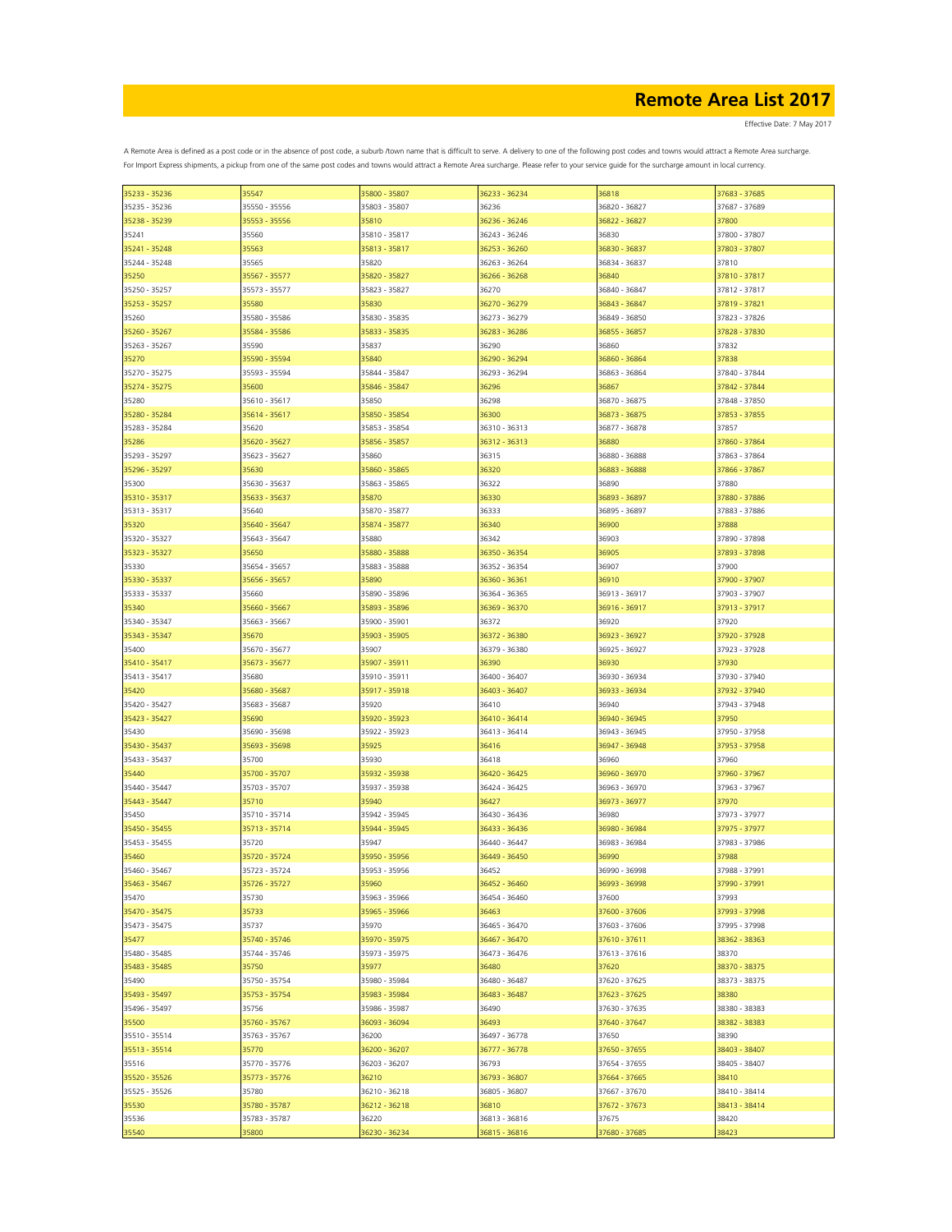Effective Date: 7 May 2017

| 35233 - 35236 | 35547         | 35800 - 35807 | 36233 - 36234 | 36818         | 37683 - 37685 |
|---------------|---------------|---------------|---------------|---------------|---------------|
| 35235 - 35236 | 35550 - 35556 | 35803 - 35807 | 36236         | 36820 - 36827 | 37687 - 37689 |
| 35238 - 35239 | 35553 - 35556 | 35810         | 36236 - 36246 | 36822 - 36827 | 37800         |
|               |               |               |               |               |               |
| 35241         | 35560         | 35810 - 35817 | 36243 - 36246 | 36830         | 37800 - 37807 |
| 35241 - 35248 | 35563         | 35813 - 35817 | 36253 - 36260 | 36830 - 36837 | 37803 - 37807 |
| 35244 - 35248 | 35565         | 35820         | 36263 - 36264 | 36834 - 36837 | 37810         |
|               |               |               |               |               |               |
| 35250         | 35567 - 35577 | 35820 - 35827 | 36266 - 36268 | 36840         | 37810 - 37817 |
| 35250 - 35257 | 35573 - 35577 | 35823 - 35827 | 36270         | 36840 - 36847 | 37812 - 37817 |
| 35253 - 35257 | 35580         | 35830         | 36270 - 36279 | 36843 - 36847 | 37819 - 37821 |
| 35260         | 35580 - 35586 | 35830 - 35835 | 36273 - 36279 | 36849 - 36850 | 37823 - 37826 |
| 35260 - 35267 | 35584 - 35586 | 35833 - 35835 | 36283 - 36286 | 36855 - 36857 | 37828 - 37830 |
|               |               |               |               |               |               |
| 35263 - 35267 | 35590         | 35837         | 36290         | 36860         | 37832         |
| 35270         | 35590 - 35594 | 35840         | 36290 - 36294 | 36860 - 36864 | 37838         |
| 35270 - 35275 | 35593 - 35594 | 35844 - 35847 | 36293 - 36294 | 36863 - 36864 | 37840 - 37844 |
| 35274 - 35275 | 35600         | 35846 - 35847 | 36296         | 36867         | 37842 - 37844 |
|               |               |               |               |               |               |
| 35280         | 35610 - 35617 | 35850         | 36298         | 36870 - 36875 | 37848 - 37850 |
| 35280 - 35284 | 35614 - 35617 | 35850 - 35854 | 36300         | 36873 - 36875 | 37853 - 37855 |
| 35283 - 35284 | 35620         | 35853 - 35854 | 36310 - 36313 | 36877 - 36878 | 37857         |
| 35286         | 35620 - 35627 | 35856 - 35857 | 36312 - 36313 | 36880         | 37860 - 37864 |
|               |               |               |               |               |               |
| 35293 - 35297 | 35623 - 35627 | 35860         | 36315         | 36880 - 36888 | 37863 - 37864 |
| 35296 - 35297 | 35630         | 35860 - 35865 | 36320         | 36883 - 36888 | 37866 - 37867 |
| 35300         | 35630 - 35637 | 35863 - 35865 | 36322         | 36890         | 37880         |
| 35310 - 35317 | 35633 - 35637 | 35870         | 36330         | 36893 - 36897 | 37880 - 37886 |
|               | 35640         | 35870 - 35877 |               |               |               |
| 35313 - 35317 |               |               | 36333         | 36895 - 36897 | 37883 - 37886 |
| 35320         | 35640 - 35647 | 35874 - 35877 | 36340         | 36900         | 37888         |
| 35320 - 35327 | 35643 - 35647 | 35880         | 36342         | 36903         | 37890 - 37898 |
| 35323 - 35327 | 35650         | 35880 - 35888 | 36350 - 36354 | 36905         | 37893 - 37898 |
|               |               | 35883 - 35888 |               | 36907         | 37900         |
| 35330         | 35654 - 35657 |               | 36352 - 36354 |               |               |
| 35330 - 35337 | 35656 - 35657 | 35890         | 36360 - 36361 | 36910         | 37900 - 37907 |
| 35333 - 35337 | 35660         | 35890 - 35896 | 36364 - 36365 | 36913 - 36917 | 37903 - 37907 |
| 35340         | 35660 - 35667 | 35893 - 35896 | 36369 - 36370 | 36916 - 36917 | 37913 - 37917 |
| 35340 - 35347 | 35663 - 35667 | 35900 - 35901 | 36372         | 36920         | 37920         |
|               |               |               |               |               |               |
| 35343 - 35347 | 35670         | 35903 - 35905 | 36372 - 36380 | 36923 - 36927 | 37920 - 37928 |
| 35400         | 35670 - 35677 | 35907         | 36379 - 36380 | 36925 - 36927 | 37923 - 37928 |
| 35410 - 35417 | 35673 - 35677 | 35907 - 35911 | 36390         | 36930         | 37930         |
| 35413 - 35417 | 35680         | 35910 - 35911 | 36400 - 36407 | 36930 - 36934 | 37930 - 37940 |
|               |               |               |               |               |               |
| 35420         | 35680 - 35687 | 35917 - 35918 | 36403 - 36407 | 36933 - 36934 | 37932 - 37940 |
| 35420 - 35427 | 35683 - 35687 | 35920         | 36410         | 36940         | 37943 - 37948 |
| 35423 - 35427 | 35690         | 35920 - 35923 | 36410 - 36414 | 36940 - 36945 | 37950         |
| 35430         | 35690 - 35698 | 35922 - 35923 | 36413 - 36414 | 36943 - 36945 | 37950 - 37958 |
| 35430 - 35437 | 35693 - 35698 | 35925         | 36416         | 36947 - 36948 | 37953 - 37958 |
|               |               |               |               |               |               |
| 35433 - 35437 | 35700         | 35930         | 36418         | 36960         | 37960         |
| 35440         | 35700 - 35707 | 35932 - 35938 | 36420 - 36425 | 36960 - 36970 | 37960 - 37967 |
| 35440 - 35447 | 35703 - 35707 | 35937 - 35938 | 36424 - 36425 | 36963 - 36970 | 37963 - 37967 |
| 35443 - 35447 | 35710         | 35940         | 36427         | 36973 - 36977 | 37970         |
|               | 35710 - 35714 |               |               |               |               |
| 35450         |               | 35942 - 35945 | 36430 - 36436 | 36980         | 37973 - 37977 |
| 35450 - 35455 | 35713 - 35714 | 35944 - 35945 | 36433 - 36436 | 36980 - 36984 | 37975 - 37977 |
| 35453 - 35455 | 35720         | 35947         | 36440 - 36447 | 36983 - 36984 | 37983 - 37986 |
| 35460         | 35720 - 35724 | 35950 - 35956 | 36449 - 36450 | 36990         | 37988         |
| 35460 - 35467 | 35723 - 35724 | 35953 - 35956 | 36452         | 36990 - 36998 | 37988 - 37991 |
|               |               |               |               |               |               |
| 35463 - 35467 | 35726 - 35727 | 35960         | 36452 - 36460 | 36993 - 36998 | 37990 - 37991 |
| 35470         | 35730         | 35963 - 35966 | 36454 - 36460 | 37600         | 37993         |
| 35470 - 35475 | 35733         | 35965 - 35966 | 36463         | 37600 - 37606 | 37993 - 37998 |
| 35473 - 35475 | 35737         | 35970         | 36465 - 36470 | 37603 - 37606 | 37995 - 37998 |
|               |               | 35970 - 35975 |               |               |               |
| 35477         | 35740 - 35746 |               | 36467 - 36470 | 37610 - 37611 | 38362 - 38363 |
| 35480 - 35485 | 35744 - 35746 | 35973 - 35975 | 36473 - 36476 | 37613 - 37616 | 38370         |
| 35483 - 35485 | 35750         | 35977         | 36480         | 37620         | 38370 - 38375 |
| 35490         | 35750 - 35754 | 35980 - 35984 | 36480 - 36487 | 37620 - 37625 | 38373 - 38375 |
|               |               | 35983 - 35984 |               |               |               |
| 35493 - 35497 | 35753 - 35754 |               | 36483 - 36487 | 37623 - 37625 | 38380         |
| 35496 - 35497 | 35756         | 35986 - 35987 | 36490         | 37630 - 37635 | 38380 - 38383 |
| 35500         | 35760 - 35767 | 36093 - 36094 | 36493         | 37640 - 37647 | 38382 - 38383 |
| 35510 - 35514 | 35763 - 35767 | 36200         | 36497 - 36778 | 37650         | 38390         |
| 35513 - 35514 | 35770         | 36200 - 36207 | 36777 - 36778 | 37650 - 37655 | 38403 - 38407 |
|               |               |               |               |               |               |
| 35516         | 35770 - 35776 | 36203 - 36207 | 36793         | 37654 - 37655 | 38405 - 38407 |
| 35520 - 35526 | 35773 - 35776 | 36210         | 36793 - 36807 | 37664 - 37665 | 38410         |
| 35525 - 35526 | 35780         | 36210 - 36218 | 36805 - 36807 | 37667 - 37670 | 38410 - 38414 |
| 35530         | 35780 - 35787 | 36212 - 36218 | 36810         | 37672 - 37673 | 38413 - 38414 |
|               |               |               |               |               |               |
| 35536         | 35783 - 35787 | 36220         | 36813 - 36816 | 37675         | 38420         |
| 35540         | 35800         | 36230 - 36234 | 36815 - 36816 | 37680 - 37685 | 38423         |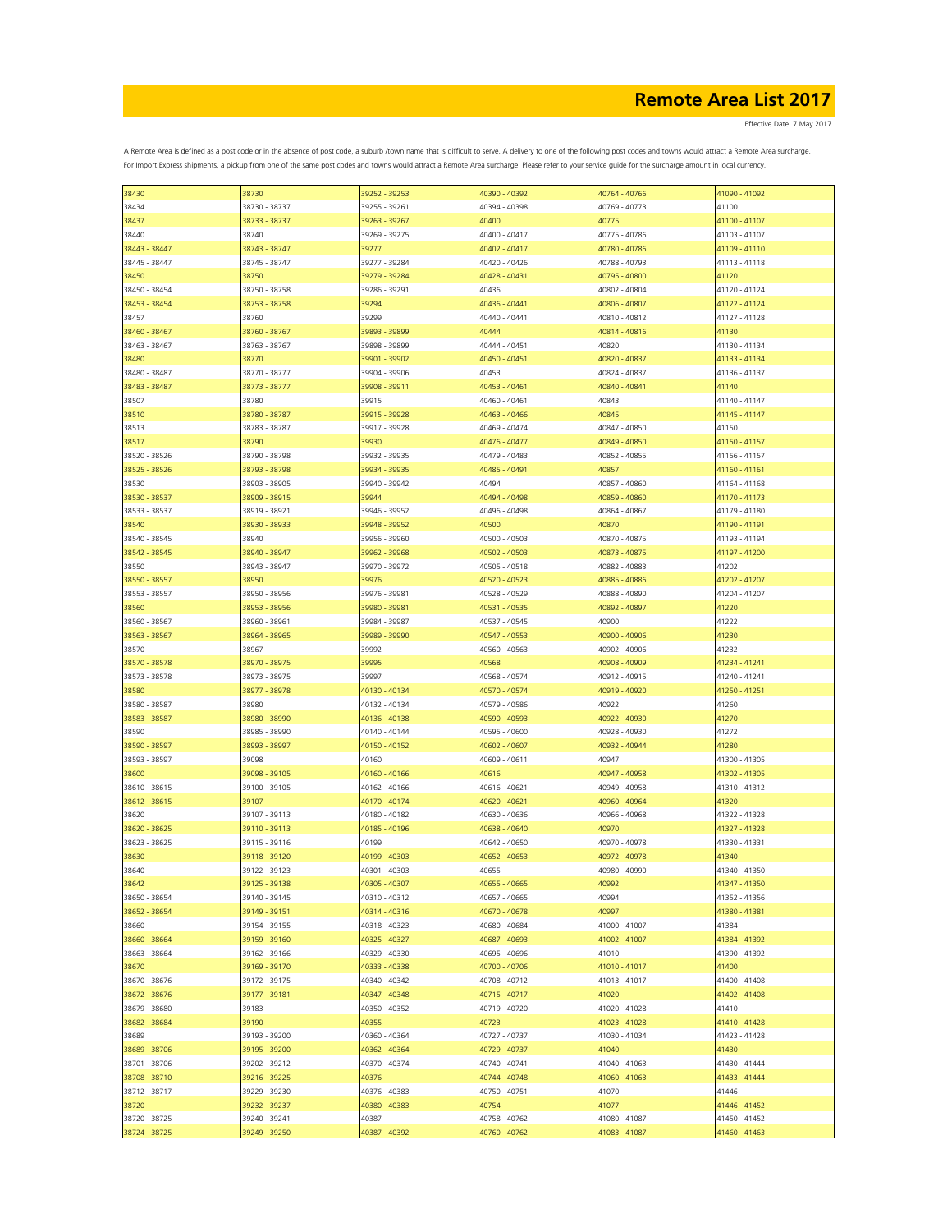Effective Date: 7 May 2017

| 38430         | 38730         | 39252 - 39253 | 40390 - 40392 | 40764 - 40766 | 41090 - 41092 |
|---------------|---------------|---------------|---------------|---------------|---------------|
| 38434         | 38730 - 38737 | 39255 - 39261 | 40394 - 40398 | 40769 - 40773 | 41100         |
|               |               |               |               | 40775         | 41100 - 41107 |
| 38437         | 38733 - 38737 | 39263 - 39267 | 40400         |               |               |
| 38440         | 38740         | 39269 - 39275 | 40400 - 40417 | 40775 - 40786 | 41103 - 41107 |
| 38443 - 38447 | 38743 - 38747 | 39277         | 40402 - 40417 | 40780 - 40786 | 41109 - 41110 |
| 38445 - 38447 | 38745 - 38747 | 39277 - 39284 | 40420 - 40426 | 40788 - 40793 | 41113 - 41118 |
|               |               |               |               |               |               |
| 38450         | 38750         | 39279 - 39284 | 40428 - 40431 | 40795 - 40800 | 41120         |
| 38450 - 38454 | 38750 - 38758 | 39286 - 39291 | 40436         | 40802 - 40804 | 41120 - 41124 |
| 38453 - 38454 | 38753 - 38758 | 39294         | 40436 - 40441 | 40806 - 40807 | 41122 - 41124 |
| 38457         | 38760         | 39299         | 40440 - 40441 | 40810 - 40812 | 41127 - 41128 |
|               |               |               |               |               |               |
| 38460 - 38467 | 38760 - 38767 | 39893 - 39899 | 40444         | 40814 - 40816 | 41130         |
| 38463 - 38467 | 38763 - 38767 | 39898 - 39899 | 40444 - 40451 | 40820         | 41130 - 41134 |
| 38480         | 38770         | 39901 - 39902 | 40450 - 40451 | 40820 - 40837 | 41133 - 41134 |
|               |               |               |               |               |               |
| 38480 - 38487 | 38770 - 38777 | 39904 - 39906 | 40453         | 40824 - 40837 | 41136 - 41137 |
| 38483 - 38487 | 38773 - 38777 | 39908 - 39911 | 40453 - 40461 | 40840 - 40841 | 41140         |
| 38507         | 38780         | 39915         | 40460 - 40461 | 40843         | 41140 - 41147 |
| 38510         | 38780 - 38787 | 39915 - 39928 | 40463 - 40466 | 40845         | 41145 - 41147 |
|               |               |               |               |               |               |
| 38513         | 38783 - 38787 | 39917 - 39928 | 40469 - 40474 | 40847 - 40850 | 41150         |
| 38517         | 38790         | 39930         | 40476 - 40477 | 40849 - 40850 | 41150 - 41157 |
| 38520 - 38526 | 38790 - 38798 | 39932 - 39935 | 40479 - 40483 | 40852 - 40855 | 41156 - 41157 |
|               |               |               |               |               |               |
| 38525 - 38526 | 38793 - 38798 | 39934 - 39935 | 40485 - 40491 | 40857         | 41160 - 41161 |
| 38530         | 38903 - 38905 | 39940 - 39942 | 40494         | 40857 - 40860 | 41164 - 41168 |
| 38530 - 38537 | 38909 - 38915 | 39944         | 40494 - 40498 | 40859 - 40860 | 41170 - 41173 |
| 38533 - 38537 | 38919 - 38921 | 39946 - 39952 | 40496 - 40498 | 40864 - 40867 | 41179 - 41180 |
|               |               |               |               |               |               |
| 38540         | 38930 - 38933 | 39948 - 39952 | 40500         | 40870         | 41190 - 41191 |
| 38540 - 38545 | 38940         | 39956 - 39960 | 40500 - 40503 | 40870 - 40875 | 41193 - 41194 |
| 38542 - 38545 | 38940 - 38947 | 39962 - 39968 | 40502 - 40503 | 40873 - 40875 | 41197 - 41200 |
|               |               |               |               |               |               |
| 38550         | 38943 - 38947 | 39970 - 39972 | 40505 - 40518 | 40882 - 40883 | 41202         |
| 38550 - 38557 | 38950         | 39976         | 40520 - 40523 | 40885 - 40886 | 41202 - 41207 |
| 38553 - 38557 | 38950 - 38956 | 39976 - 39981 | 40528 - 40529 | 40888 - 40890 | 41204 - 41207 |
| 38560         | 38953 - 38956 | 39980 - 39981 | 40531 - 40535 | 40892 - 40897 | 41220         |
|               |               |               |               |               |               |
| 38560 - 38567 | 38960 - 38961 | 39984 - 39987 | 40537 - 40545 | 40900         | 41222         |
| 38563 - 38567 | 38964 - 38965 | 39989 - 39990 | 40547 - 40553 | 40900 - 40906 | 41230         |
| 38570         | 38967         | 39992         | 40560 - 40563 | 40902 - 40906 | 41232         |
|               |               |               |               |               |               |
| 38570 - 38578 | 38970 - 38975 | 39995         | 40568         | 40908 - 40909 | 41234 - 41241 |
| 38573 - 38578 | 38973 - 38975 | 39997         | 40568 - 40574 | 40912 - 40915 | 41240 - 41241 |
| 38580         | 38977 - 38978 | 40130 - 40134 | 40570 - 40574 | 40919 - 40920 | 41250 - 41251 |
| 38580 - 38587 | 38980         | 40132 - 40134 | 40579 - 40586 | 40922         | 41260         |
|               |               |               |               |               |               |
| 38583 - 38587 | 38980 - 38990 | 40136 - 40138 | 40590 - 40593 | 40922 - 40930 | 41270         |
| 38590         | 38985 - 38990 | 40140 - 40144 | 40595 - 40600 | 40928 - 40930 | 41272         |
| 38590 - 38597 | 38993 - 38997 | 40150 - 40152 | 40602 - 40607 | 40932 - 40944 | 41280         |
| 38593 - 38597 | 39098         | 40160         | 40609 - 40611 | 40947         | 41300 - 41305 |
|               |               |               |               |               |               |
| 38600         | 39098 - 39105 | 40160 - 40166 | 40616         | 40947 - 40958 | 41302 - 41305 |
| 38610 - 38615 | 39100 - 39105 | 40162 - 40166 | 40616 - 40621 | 40949 - 40958 | 41310 - 41312 |
| 38612 - 38615 | 39107         | 40170 - 40174 | 40620 - 40621 | 40960 - 40964 | 41320         |
|               |               |               |               |               |               |
| 38620         | 39107 - 39113 | 40180 - 40182 | 40630 - 40636 | 40966 - 40968 | 41322 - 41328 |
| 38620 - 38625 | 39110 - 39113 | 40185 - 40196 | 40638 - 40640 | 40970         | 41327 - 41328 |
| 38623 - 38625 | 39115 - 39116 | 40199         | 40642 - 40650 | 40970 - 40978 | 41330 - 41331 |
| 38630         | 39118 - 39120 | 40199 - 40303 | 40652 - 40653 | 40972 - 40978 | 41340         |
|               |               |               |               | 40980 - 40990 |               |
| 38640         | 39122 - 39123 | 40301 - 40303 | 40655         |               | 41340 - 41350 |
| 38642         | 39125 - 39138 | 40305 - 40307 | 40655 - 40665 | 40992         | 41347 - 41350 |
| 38650 - 38654 | 39140 - 39145 | 40310 - 40312 | 40657 - 40665 | 40994         | 41352 - 41356 |
| 38652 - 38654 | 39149 - 39151 | 40314 - 40316 | 40670 - 40678 | 40997         | 41380 - 41381 |
|               |               |               |               |               |               |
| 38660         | 39154 - 39155 | 40318 - 40323 | 40680 - 40684 | 41000 - 41007 | 41384         |
| 38660 - 38664 | 39159 - 39160 | 40325 - 40327 | 40687 - 40693 | 41002 - 41007 | 41384 - 41392 |
| 38663 - 38664 | 39162 - 39166 | 40329 - 40330 | 40695 - 40696 | 41010         | 41390 - 41392 |
| 38670         | 39169 - 39170 | 40333 - 40338 | 40700 - 40706 | 41010 - 41017 | 41400         |
|               |               |               |               |               |               |
| 38670 - 38676 | 39172 - 39175 | 40340 - 40342 | 40708 - 40712 | 41013 - 41017 | 41400 - 41408 |
| 38672 - 38676 | 39177 - 39181 | 40347 - 40348 | 40715 - 40717 | 41020         | 41402 - 41408 |
| 38679 - 38680 | 39183         | 40350 - 40352 | 40719 - 40720 | 41020 - 41028 | 41410         |
|               |               |               |               |               |               |
| 38682 - 38684 | 39190         | 40355         | 40723         | 41023 - 41028 | 41410 - 41428 |
| 38689         | 39193 - 39200 | 40360 - 40364 | 40727 - 40737 | 41030 - 41034 | 41423 - 41428 |
| 38689 - 38706 | 39195 - 39200 | 40362 - 40364 | 40729 - 40737 | 41040         | 41430         |
| 38701 - 38706 | 39202 - 39212 | 40370 - 40374 | 40740 - 40741 | 41040 - 41063 | 41430 - 41444 |
|               |               |               |               |               |               |
| 38708 - 38710 | 39216 - 39225 | 40376         | 40744 - 40748 | 41060 - 41063 | 41433 - 41444 |
| 38712 - 38717 | 39229 - 39230 | 40376 - 40383 | 40750 - 40751 | 41070         | 41446         |
| 38720         | 39232 - 39237 | 40380 - 40383 | 40754         | 41077         | 41446 - 41452 |
| 38720 - 38725 | 39240 - 39241 | 40387         | 40758 - 40762 | 41080 - 41087 | 41450 - 41452 |
|               |               |               |               |               |               |
| 38724 - 38725 | 39249 - 39250 | 40387 - 40392 | 40760 - 40762 | 41083 - 41087 | 41460 - 41463 |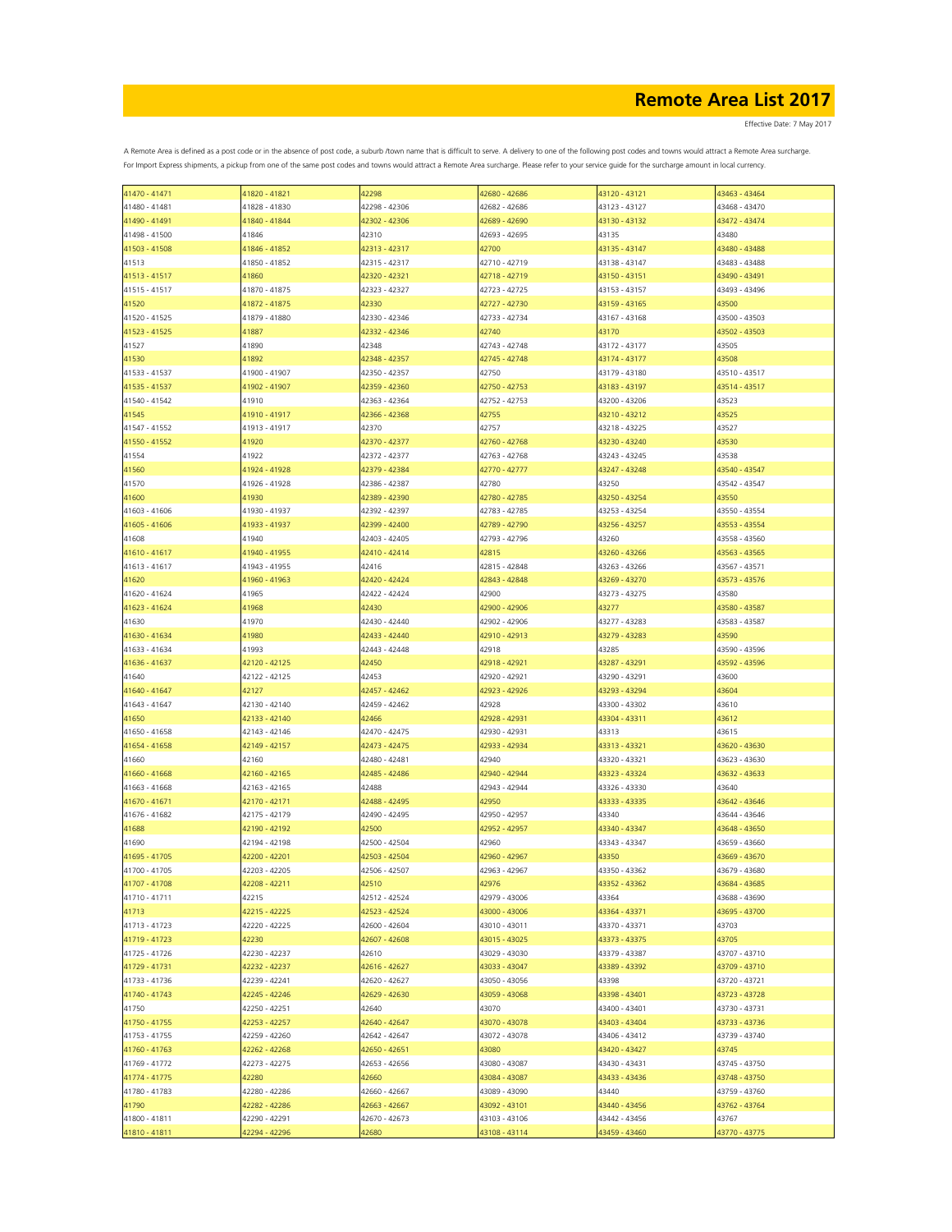| 41470 - 41471 | 41820 - 41821 | 42298         | 42680 - 42686 | 43120 - 43121 | 43463 - 43464 |
|---------------|---------------|---------------|---------------|---------------|---------------|
| 41480 - 41481 | 41828 - 41830 | 42298 - 42306 | 42682 - 42686 | 43123 - 43127 | 43468 - 43470 |
| 41490 - 41491 | 41840 - 41844 | 42302 - 42306 | 42689 - 42690 | 43130 - 43132 | 43472 - 43474 |
|               |               |               |               |               |               |
| 41498 - 41500 | 41846         | 42310         | 42693 - 42695 | 43135         | 43480         |
| 41503 - 41508 | 41846 - 41852 | 42313 - 42317 | 42700         | 43135 - 43147 | 43480 - 43488 |
| 41513         | 41850 - 41852 | 42315 - 42317 | 42710 - 42719 | 43138 - 43147 | 43483 - 43488 |
|               | 41860         | 42320 - 42321 | 42718 - 42719 | 43150 - 43151 | 43490 - 43491 |
| 41513 - 41517 |               |               |               |               |               |
| 41515 - 41517 | 41870 - 41875 | 42323 - 42327 | 42723 - 42725 | 43153 - 43157 | 43493 - 43496 |
| 41520         | 41872 - 41875 | 42330         | 42727 - 42730 | 43159 - 43165 | 43500         |
| 41520 - 41525 | 41879 - 41880 | 42330 - 42346 | 42733 - 42734 | 43167 - 43168 | 43500 - 43503 |
|               | 41887         |               |               |               |               |
| 41523 - 41525 |               | 42332 - 42346 | 42740         | 43170         | 43502 - 43503 |
| 41527         | 41890         | 42348         | 42743 - 42748 | 43172 - 43177 | 43505         |
| 41530         | 41892         | 42348 - 42357 | 42745 - 42748 | 43174 - 43177 | 43508         |
| 41533 - 41537 | 41900 - 41907 | 42350 - 42357 | 42750         | 43179 - 43180 | 43510 - 43517 |
|               | 41902 - 41907 |               |               |               |               |
| 41535 - 41537 |               | 42359 - 42360 | 42750 - 42753 | 43183 - 43197 | 43514 - 43517 |
| 41540 - 41542 | 41910         | 42363 - 42364 | 42752 - 42753 | 43200 - 43206 | 43523         |
| 41545         | 41910 - 41917 | 42366 - 42368 | 42755         | 43210 - 43212 | 43525         |
| 41547 - 41552 | 41913 - 41917 | 42370         | 42757         | 43218 - 43225 | 43527         |
|               |               |               |               |               |               |
| 41550 - 41552 | 41920         | 42370 - 42377 | 42760 - 42768 | 43230 - 43240 | 43530         |
| 41554         | 41922         | 42372 - 42377 | 42763 - 42768 | 43243 - 43245 | 43538         |
| 41560         | 41924 - 41928 | 42379 - 42384 | 42770 - 42777 | 43247 - 43248 | 43540 - 43547 |
| 41570         | 41926 - 41928 | 42386 - 42387 | 42780         | 43250         | 43542 - 43547 |
|               |               |               |               |               |               |
| 41600         | 41930         | 42389 - 42390 | 42780 - 42785 | 43250 - 43254 | 43550         |
| 41603 - 41606 | 41930 - 41937 | 42392 - 42397 | 42783 - 42785 | 43253 - 43254 | 43550 - 43554 |
| 41605 - 41606 | 41933 - 41937 | 42399 - 42400 | 42789 - 42790 | 43256 - 43257 | 43553 - 43554 |
|               |               |               |               |               |               |
| 41608         | 41940         | 42403 - 42405 | 42793 - 42796 | 43260         | 43558 - 43560 |
| 41610 - 41617 | 41940 - 41955 | 42410 - 42414 | 42815         | 43260 - 43266 | 43563 - 43565 |
| 41613 - 41617 | 41943 - 41955 | 42416         | 42815 - 42848 | 43263 - 43266 | 43567 - 43571 |
| 41620         | 41960 - 41963 | 42420 - 42424 | 42843 - 42848 | 43269 - 43270 | 43573 - 43576 |
|               |               |               |               |               |               |
| 41620 - 41624 | 41965         | 42422 - 42424 | 42900         | 43273 - 43275 | 43580         |
| 41623 - 41624 | 41968         | 42430         | 42900 - 42906 | 43277         | 43580 - 43587 |
| 41630         | 41970         | 42430 - 42440 | 42902 - 42906 | 43277 - 43283 | 43583 - 43587 |
| 41630 - 41634 | 41980         | 42433 - 42440 | 42910 - 42913 | 43279 - 43283 | 43590         |
|               |               |               |               |               |               |
| 41633 - 41634 | 41993         | 42443 - 42448 | 42918         | 43285         | 43590 - 43596 |
| 41636 - 41637 | 42120 - 42125 | 42450         | 42918 - 42921 | 43287 - 43291 | 43592 - 43596 |
| 41640         | 42122 - 42125 | 42453         | 42920 - 42921 | 43290 - 43291 | 43600         |
| 41640 - 41647 | 42127         | 42457 - 42462 | 42923 - 42926 | 43293 - 43294 | 43604         |
|               |               |               |               |               |               |
| 41643 - 41647 | 42130 - 42140 | 42459 - 42462 | 42928         | 43300 - 43302 | 43610         |
| 41650         | 42133 - 42140 | 42466         | 42928 - 42931 | 43304 - 43311 | 43612         |
| 41650 - 41658 | 42143 - 42146 | 42470 - 42475 | 42930 - 42931 | 43313         | 43615         |
| 41654 - 41658 |               |               | 42933 - 42934 |               |               |
|               | 42149 - 42157 | 42473 - 42475 |               | 43313 - 43321 | 43620 - 43630 |
| 41660         | 42160         | 42480 - 42481 | 42940         | 43320 - 43321 | 43623 - 43630 |
| 41660 - 41668 | 42160 - 42165 | 42485 - 42486 | 42940 - 42944 | 43323 - 43324 | 43632 - 43633 |
| 41663 - 41668 | 42163 - 42165 | 42488         | 42943 - 42944 | 43326 - 43330 | 43640         |
|               |               |               |               |               |               |
| 41670 - 41671 | 42170 - 42171 | 42488 - 42495 | 42950         | 43333 - 43335 | 43642 - 43646 |
| 41676 - 41682 | 42175 - 42179 | 42490 - 42495 | 42950 - 42957 | 43340         | 43644 - 43646 |
| 41688         | 42190 - 42192 | 42500         | 42952 - 42957 | 43340 - 43347 | 43648 - 43650 |
| 41690         | 42194 - 42198 | 42500 - 42504 | 42960         | 43343 - 43347 | 43659 - 43660 |
| 41695 - 41705 | 42200 - 42201 | 42503 - 42504 | 42960 - 42967 | 43350         | 43669 - 43670 |
|               |               |               |               |               |               |
| 41700 - 41705 | 42203 - 42205 | 42506 - 42507 | 42963 - 42967 | 43350 - 43362 | 43679 - 43680 |
| 41707 - 41708 | 42208 - 42211 | 42510         | 42976         | 43352 - 43362 | 43684 - 43685 |
| 41710 - 41711 | 42215         | 42512 - 42524 | 42979 - 43006 | 43364         | 43688 - 43690 |
| 41713         | 42215 - 42225 | 42523 - 42524 | 43000 - 43006 | 43364 - 43371 | 43695 - 43700 |
|               |               |               |               |               |               |
| 41713 - 41723 | 42220 - 42225 | 42600 - 42604 | 43010 - 43011 | 43370 - 43371 | 43703         |
| 41719 - 41723 | 42230         | 42607 - 42608 | 43015 - 43025 | 43373 - 43375 | 43705         |
| 41725 - 41726 | 42230 - 42237 | 42610         | 43029 - 43030 | 43379 - 43387 | 43707 - 43710 |
| 41729 - 41731 | 42232 - 42237 | 42616 - 42627 | 43033 - 43047 | 43389 - 43392 | 43709 - 43710 |
|               |               |               |               |               |               |
| 41733 - 41736 | 42239 - 42241 | 42620 - 42627 | 43050 - 43056 | 43398         | 43720 - 43721 |
| 41740 - 41743 | 42245 - 42246 | 42629 - 42630 | 43059 - 43068 | 43398 - 43401 | 43723 - 43728 |
| 41750         | 42250 - 42251 | 42640         | 43070         | 43400 - 43401 | 43730 - 43731 |
| 41750 - 41755 | 42253 - 42257 | 42640 - 42647 | 43070 - 43078 | 43403 - 43404 | 43733 - 43736 |
|               |               |               |               |               |               |
| 41753 - 41755 | 42259 - 42260 | 42642 - 42647 | 43072 - 43078 | 43406 - 43412 | 43739 - 43740 |
| 41760 - 41763 | 42262 - 42268 | 42650 - 42651 | 43080         | 43420 - 43427 | 43745         |
| 41769 - 41772 | 42273 - 42275 | 42653 - 42656 | 43080 - 43087 | 43430 - 43431 | 43745 - 43750 |
| 41774 - 41775 | 42280         | 42660         | 43084 - 43087 | 43433 - 43436 | 43748 - 43750 |
|               |               |               |               |               |               |
| 41780 - 41783 | 42280 - 42286 | 42660 - 42667 | 43089 - 43090 | 43440         | 43759 - 43760 |
| 41790         | 42282 - 42286 | 42663 - 42667 | 43092 - 43101 | 43440 - 43456 | 43762 - 43764 |
| 41800 - 41811 | 42290 - 42291 | 42670 - 42673 | 43103 - 43106 | 43442 - 43456 | 43767         |
|               |               |               |               |               |               |
| 41810 - 41811 | 42294 - 42296 | 42680         | 43108 - 43114 | 43459 - 43460 | 43770 - 43775 |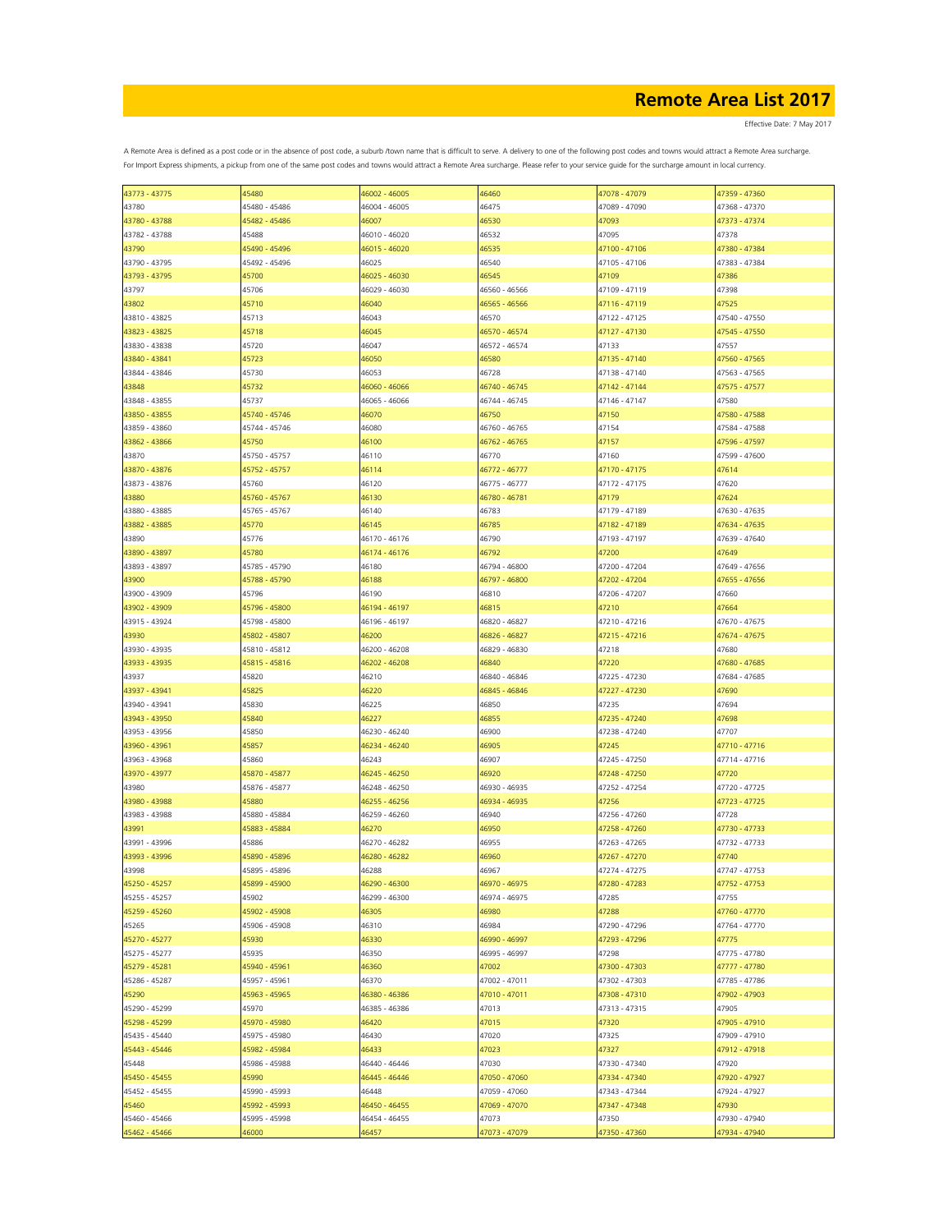Effective Date: 7 May 2017

| 43773 - 43775 | 45480         | 46002 - 46005 | 46460         | 47078 - 47079 | 47359 - 47360 |
|---------------|---------------|---------------|---------------|---------------|---------------|
| 43780         | 45480 - 45486 | 46004 - 46005 | 46475         | 47089 - 47090 | 47368 - 47370 |
|               | 45482 - 45486 | 46007         | 46530         | 47093         | 47373 - 47374 |
| 43780 - 43788 |               |               |               |               |               |
| 43782 - 43788 | 45488         | 46010 - 46020 | 46532         | 47095         | 47378         |
| 43790         | 45490 - 45496 | 46015 - 46020 | 46535         | 47100 - 47106 | 47380 - 47384 |
| 43790 - 43795 | 45492 - 45496 | 46025         | 46540         | 47105 - 47106 | 47383 - 47384 |
|               |               |               |               |               |               |
| 43793 - 43795 | 45700         | 46025 - 46030 | 46545         | 47109         | 47386         |
| 43797         | 45706         | 46029 - 46030 | 46560 - 46566 | 47109 - 47119 | 47398         |
| 43802         | 45710         | 46040         | 46565 - 46566 | 47116 - 47119 | 47525         |
|               |               |               |               |               |               |
| 43810 - 43825 | 45713         | 46043         | 46570         | 47122 - 47125 | 47540 - 47550 |
| 43823 - 43825 | 45718         | 46045         | 46570 - 46574 | 47127 - 47130 | 47545 - 47550 |
| 43830 - 43838 | 45720         | 46047         | 46572 - 46574 | 47133         | 47557         |
|               |               |               |               |               |               |
| 43840 - 43841 | 45723         | 46050         | 46580         | 47135 - 47140 | 47560 - 47565 |
| 43844 - 43846 | 45730         | 46053         | 46728         | 47138 - 47140 | 47563 - 47565 |
| 43848         | 45732         | 46060 - 46066 | 46740 - 46745 | 47142 - 47144 | 47575 - 47577 |
| 43848 - 43855 | 45737         | 46065 - 46066 | 46744 - 46745 | 47146 - 47147 | 47580         |
|               |               |               |               |               |               |
| 43850 - 43855 | 45740 - 45746 | 46070         | 46750         | 47150         | 47580 - 47588 |
| 43859 - 43860 | 45744 - 45746 | 46080         | 46760 - 46765 | 47154         | 47584 - 47588 |
| 43862 - 43866 | 45750         | 46100         | 46762 - 46765 | 47157         | 47596 - 47597 |
|               |               |               |               |               |               |
| 43870         | 45750 - 45757 | 46110         | 46770         | 47160         | 47599 - 47600 |
| 43870 - 43876 | 45752 - 45757 | 46114         | 46772 - 46777 | 47170 - 47175 | 47614         |
| 43873 - 43876 | 45760         | 46120         | 46775 - 46777 | 47172 - 47175 | 47620         |
|               |               |               |               |               |               |
| 43880         | 45760 - 45767 | 46130         | 46780 - 46781 | 47179         | 47624         |
| 43880 - 43885 | 45765 - 45767 | 46140         | 46783         | 47179 - 47189 | 47630 - 47635 |
| 43882 - 43885 | 45770         | 46145         | 46785         | 47182 - 47189 | 47634 - 47635 |
|               |               |               |               |               |               |
| 43890         | 45776         | 46170 - 46176 | 46790         | 47193 - 47197 | 47639 - 47640 |
| 43890 - 43897 | 45780         | 46174 - 46176 | 46792         | 47200         | 47649         |
| 43893 - 43897 | 45785 - 45790 | 46180         | 46794 - 46800 | 47200 - 47204 | 47649 - 47656 |
|               |               |               |               |               |               |
| 43900         | 45788 - 45790 | 46188         | 46797 - 46800 | 47202 - 47204 | 47655 - 47656 |
| 43900 - 43909 | 45796         | 46190         | 46810         | 47206 - 47207 | 47660         |
| 43902 - 43909 | 45796 - 45800 | 46194 - 46197 | 46815         | 47210         | 47664         |
|               |               |               |               |               |               |
| 43915 - 43924 | 45798 - 45800 | 46196 - 46197 | 46820 - 46827 | 47210 - 47216 | 47670 - 47675 |
| 43930         | 45802 - 45807 | 46200         | 46826 - 46827 | 47215 - 47216 | 47674 - 47675 |
| 43930 - 43935 | 45810 - 45812 | 46200 - 46208 | 46829 - 46830 | 47218         | 47680         |
|               |               |               |               |               |               |
| 43933 - 43935 | 45815 - 45816 | 46202 - 46208 | 46840         | 47220         | 47680 - 47685 |
| 43937         | 45820         | 46210         | 46840 - 46846 | 47225 - 47230 | 47684 - 47685 |
| 43937 - 43941 | 45825         | 46220         | 46845 - 46846 | 47227 - 47230 | 47690         |
| 43940 - 43941 |               |               |               |               |               |
|               | 45830         | 46225         | 46850         | 47235         | 47694         |
| 43943 - 43950 | 45840         | 46227         | 46855         | 47235 - 47240 | 47698         |
| 43953 - 43956 | 45850         | 46230 - 46240 | 46900         | 47238 - 47240 | 47707         |
| 43960 - 43961 | 45857         | 46234 - 46240 | 46905         | 47245         | 47710 - 47716 |
|               |               |               |               |               |               |
| 43963 - 43968 | 45860         | 46243         | 46907         | 47245 - 47250 | 47714 - 47716 |
| 43970 - 43977 | 45870 - 45877 | 46245 - 46250 | 46920         | 47248 - 47250 | 47720         |
| 43980         | 45876 - 45877 | 46248 - 46250 | 46930 - 46935 | 47252 - 47254 | 47720 - 47725 |
|               |               |               |               |               |               |
| 43980 - 43988 | 45880         | 46255 - 46256 | 46934 - 46935 | 47256         | 47723 - 47725 |
| 43983 - 43988 | 45880 - 45884 | 46259 - 46260 | 46940         | 47256 - 47260 | 47728         |
| 43991         | 45883 - 45884 | 46270         | 46950         | 47258 - 47260 | 47730 - 47733 |
|               |               |               |               |               |               |
| 43991 - 43996 | 45886         | 46270 - 46282 | 46955         | 47263 - 47265 | 47732 - 47733 |
| 43993 - 43996 | 45890 - 45896 | 46280 - 46282 | 46960         | 47267 - 47270 | 47740         |
| 43998         | 45895 - 45896 | 46288         | 46967         | 47274 - 47275 | 47747 - 47753 |
| 45250 - 45257 | 45899 - 45900 | 46290 - 46300 | 46970 - 46975 | 47280 - 47283 | 47752 - 47753 |
|               |               |               |               |               |               |
| 45255 - 45257 | 45902         | 46299 - 46300 | 46974 - 46975 | 47285         | 47755         |
| 45259 - 45260 | 45902 - 45908 | 46305         | 46980         | 47288         | 47760 - 47770 |
| 45265         | 45906 - 45908 | 46310         | 46984         | 47290 - 47296 | 47764 - 47770 |
|               |               |               |               |               |               |
| 45270 - 45277 | 45930         | 46330         | 46990 - 46997 | 47293 - 47296 | 47775         |
| 45275 - 45277 | 45935         | 46350         | 46995 - 46997 | 47298         | 47775 - 47780 |
| 45279 - 45281 | 45940 - 45961 | 46360         | 47002         | 47300 - 47303 | 47777 - 47780 |
|               | 45957 - 45961 | 46370         | 47002 - 47011 | 47302 - 47303 | 47785 - 47786 |
| 45286 - 45287 |               |               |               |               |               |
| 45290         | 45963 - 45965 | 46380 - 46386 | 47010 - 47011 | 47308 - 47310 | 47902 - 47903 |
| 45290 - 45299 | 45970         | 46385 - 46386 | 47013         | 47313 - 47315 | 47905         |
| 45298 - 45299 | 45970 - 45980 | 46420         | 47015         | 47320         | 47905 - 47910 |
|               |               |               |               |               |               |
| 45435 - 45440 | 45975 - 45980 | 46430         | 47020         | 47325         | 47909 - 47910 |
| 45443 - 45446 | 45982 - 45984 | 46433         | 47023         | 47327         | 47912 - 47918 |
| 45448         | 45986 - 45988 | 46440 - 46446 | 47030         | 47330 - 47340 | 47920         |
|               |               |               |               |               |               |
| 45450 - 45455 | 45990         | 46445 - 46446 | 47050 - 47060 | 47334 - 47340 | 47920 - 47927 |
| 45452 - 45455 | 45990 - 45993 | 46448         | 47059 - 47060 | 47343 - 47344 | 47924 - 47927 |
| 45460         | 45992 - 45993 | 46450 - 46455 | 47069 - 47070 | 47347 - 47348 | 47930         |
|               |               |               |               |               |               |
| 45460 - 45466 | 45995 - 45998 | 46454 - 46455 | 47073         | 47350         | 47930 - 47940 |
| 45462 - 45466 | 46000         | 46457         | 47073 - 47079 | 47350 - 47360 | 47934 - 47940 |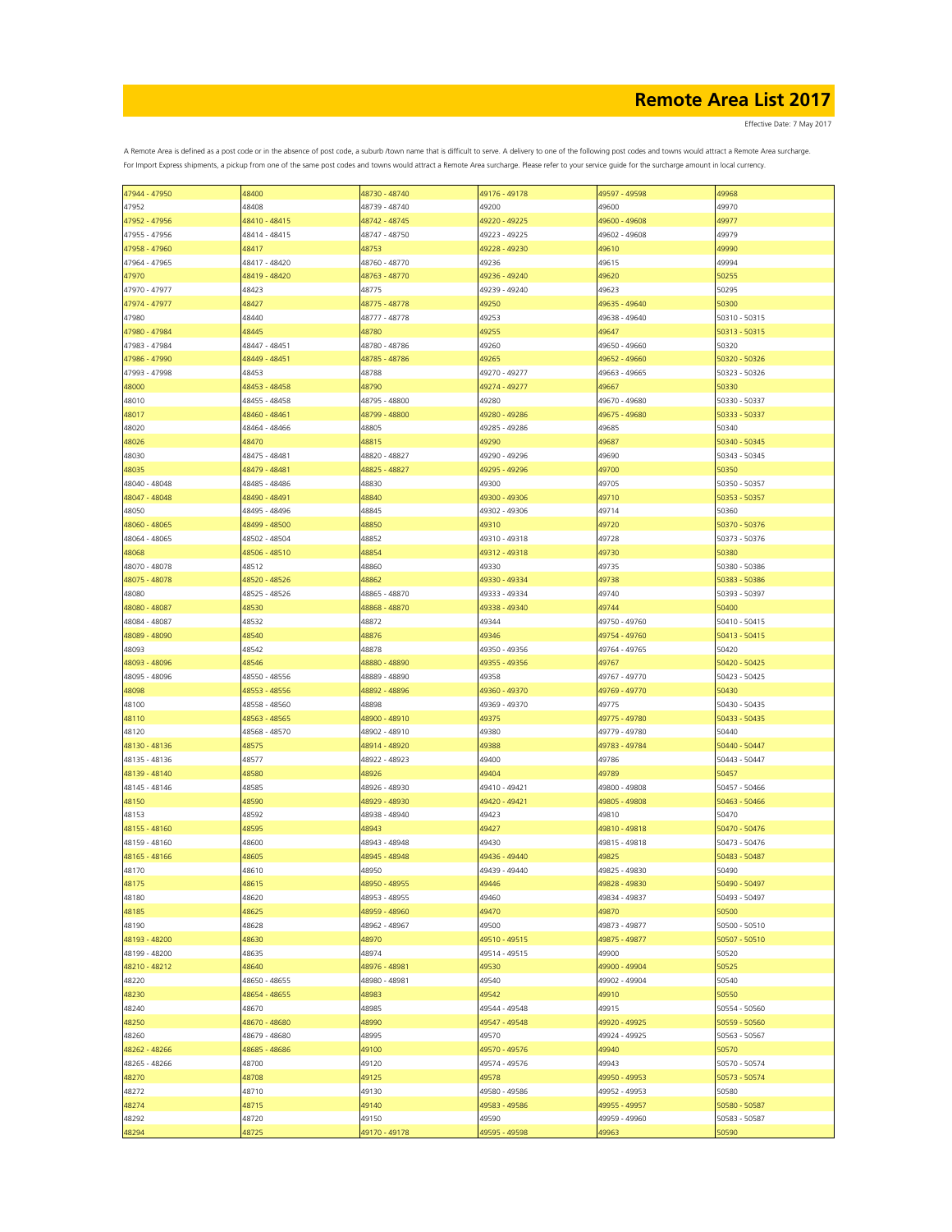Effective Date: 7 May 2017

| 47944 - 47950 | 48400         | 48730 - 48740 | 49176 - 49178 | 49597 - 49598 | 49968         |
|---------------|---------------|---------------|---------------|---------------|---------------|
| 47952         | 48408         | 48739 - 48740 | 49200         | 49600         | 49970         |
| 47952 - 47956 | 48410 - 48415 | 48742 - 48745 | 49220 - 49225 | 49600 - 49608 | 49977         |
|               |               |               |               |               |               |
| 47955 - 47956 | 48414 - 48415 | 48747 - 48750 | 49223 - 49225 | 49602 - 49608 | 49979         |
| 47958 - 47960 | 48417         | 48753         | 49228 - 49230 | 49610         | 49990         |
| 47964 - 47965 | 48417 - 48420 | 48760 - 48770 | 49236         | 49615         | 49994         |
| 47970         | 48419 - 48420 | 48763 - 48770 | 49236 - 49240 | 49620         | 50255         |
|               |               |               |               |               |               |
| 47970 - 47977 | 48423         | 48775         | 49239 - 49240 | 49623         | 50295         |
| 47974 - 47977 | 48427         | 48775 - 48778 | 49250         | 49635 - 49640 | 50300         |
| 47980         | 48440         | 48777 - 48778 | 49253         | 49638 - 49640 | 50310 - 50315 |
| 47980 - 47984 | 48445         | 48780         | 49255         | 49647         | 50313 - 50315 |
| 47983 - 47984 | 48447 - 48451 | 48780 - 48786 | 49260         | 49650 - 49660 | 50320         |
|               |               |               |               |               |               |
| 47986 - 47990 | 48449 - 48451 | 48785 - 48786 | 49265         | 49652 - 49660 | 50320 - 50326 |
| 47993 - 47998 | 48453         | 48788         | 49270 - 49277 | 49663 - 49665 | 50323 - 50326 |
| 48000         | 48453 - 48458 | 48790         | 49274 - 49277 | 49667         | 50330         |
| 48010         | 48455 - 48458 | 48795 - 48800 | 49280         | 49670 - 49680 | 50330 - 50337 |
| 48017         | 48460 - 48461 | 48799 - 48800 | 49280 - 49286 | 49675 - 49680 | 50333 - 50337 |
|               |               |               |               |               |               |
| 48020         | 48464 - 48466 | 48805         | 49285 - 49286 | 49685         | 50340         |
| 48026         | 48470         | 48815         | 49290         | 49687         | 50340 - 50345 |
| 48030         | 48475 - 48481 | 48820 - 48827 | 49290 - 49296 | 49690         | 50343 - 50345 |
| 48035         | 18479 - 48481 | 48825 - 48827 | 49295 - 49296 | 49700         | 50350         |
|               |               |               |               |               |               |
| 48040 - 48048 | 48485 - 48486 | 48830         | 49300         | 49705         | 50350 - 50357 |
| 48047 - 48048 | 18490 - 48491 | 48840         | 49300 - 49306 | 49710         | 50353 - 50357 |
| 48050         | 48495 - 48496 | 48845         | 49302 - 49306 | 49714         | 50360         |
| 48060 - 48065 | 48499 - 48500 | 48850         | 49310         | 49720         | 50370 - 50376 |
|               |               |               |               |               |               |
| 48064 - 48065 | 48502 - 48504 | 48852         | 49310 - 49318 | 49728         | 50373 - 50376 |
| 48068         | 48506 - 48510 | 48854         | 49312 - 49318 | 49730         | 50380         |
| 48070 - 48078 | 48512         | 48860         | 49330         | 49735         | 50380 - 50386 |
| 48075 - 48078 | 48520 - 48526 | 48862         | 49330 - 49334 | 49738         | 50383 - 50386 |
| 48080         | 48525 - 48526 | 48865 - 48870 | 49333 - 49334 | 49740         | 50393 - 50397 |
|               |               |               |               |               |               |
| 48080 - 48087 | 48530         | 48868 - 48870 | 49338 - 49340 | 49744         | 50400         |
| 48084 - 48087 | 48532         | 48872         | 49344         | 49750 - 49760 | 50410 - 50415 |
| 48089 - 48090 | 48540         | 48876         | 49346         | 49754 - 49760 | 50413 - 50415 |
| 48093         | 48542         | 48878         | 49350 - 49356 | 49764 - 49765 | 50420         |
|               |               |               |               |               |               |
| 48093 - 48096 | 48546         | 48880 - 48890 | 49355 - 49356 | 49767         | 50420 - 50425 |
| 48095 - 48096 | 48550 - 48556 | 48889 - 48890 | 49358         | 49767 - 49770 | 50423 - 50425 |
| 48098         | 48553 - 48556 | 48892 - 48896 | 49360 - 49370 | 49769 - 49770 | 50430         |
| 48100         | 48558 - 48560 | 48898         | 49369 - 49370 | 49775         | 50430 - 50435 |
| 48110         | 48563 - 48565 | 48900 - 48910 | 49375         | 49775 - 49780 | 50433 - 50435 |
|               |               |               |               |               |               |
| 48120         | 48568 - 48570 | 48902 - 48910 | 49380         | 49779 - 49780 | 50440         |
| 48130 - 48136 | 48575         | 48914 - 48920 | 49388         | 49783 - 49784 | 50440 - 50447 |
| 48135 - 48136 | 48577         | 48922 - 48923 | 49400         | 49786         | 50443 - 50447 |
| 48139 - 48140 | 48580         | 48926         | 49404         | 49789         | 50457         |
|               |               |               |               |               |               |
| 48145 - 48146 | 48585         | 48926 - 48930 | 49410 - 49421 | 49800 - 49808 | 50457 - 50466 |
| 48150         | 48590         | 48929 - 48930 | 49420 - 49421 | 49805 - 49808 | 50463 - 50466 |
| 48153         | 48592         | 48938 - 48940 | 49423         | 49810         | 50470         |
| 48155 - 48160 | 48595         | 48943         | 49427         | 49810 - 49818 | 50470 - 50476 |
| 48159 - 48160 | 48600         | 48943 - 48948 | 49430         | 49815 - 49818 | 50473 - 50476 |
|               |               |               |               |               |               |
| 48165 - 48166 | 48605         | 48945 - 48948 | 49436 - 49440 | 49825         | 50483 - 50487 |
| 48170         | 48610         | 48950         | 49439 - 49440 | 49825 - 49830 | 50490         |
| 48175         | 48615         | 48950 - 48955 | 49446         | 49828 - 49830 | 50490 - 50497 |
| 48180         | 48620         | 48953 - 48955 | 49460         | 49834 - 49837 | 50493 - 50497 |
| 48185         | 48625         | 48959 - 48960 | 49470         | 49870         | 50500         |
|               |               |               |               |               |               |
| 48190         | 48628         | 48962 - 48967 | 49500         | 49873 - 49877 | 50500 - 50510 |
| 48193 - 48200 | 48630         | 48970         | 49510 - 49515 | 49875 - 49877 | 50507 - 50510 |
| 48199 - 48200 | 48635         | 48974         | 49514 - 49515 | 49900         | 50520         |
| 48210 - 48212 | 48640         | 48976 - 48981 | 49530         | 49900 - 49904 | 50525         |
|               |               |               |               | 49902 - 49904 |               |
| 48220         | 48650 - 48655 | 48980 - 48981 | 49540         |               | 50540         |
| 48230         | 48654 - 48655 | 48983         | 49542         | 49910         | 50550         |
| 48240         | 48670         | 48985         | 49544 - 49548 | 49915         | 50554 - 50560 |
| 48250         | 48670 - 48680 | 48990         | 49547 - 49548 | 49920 - 49925 | 50559 - 50560 |
| 48260         | 48679 - 48680 | 48995         | 49570         | 49924 - 49925 | 50563 - 50567 |
|               |               |               |               |               |               |
| 48262 - 48266 | 48685 - 48686 | 49100         | 49570 - 49576 | 49940         | 50570         |
| 48265 - 48266 | 48700         | 49120         | 49574 - 49576 | 49943         | 50570 - 50574 |
| 48270         | 48708         | 49125         | 49578         | 49950 - 49953 | 50573 - 50574 |
| 48272         | 48710         | 49130         | 49580 - 49586 | 49952 - 49953 | 50580         |
|               |               |               |               |               |               |
| 48274         | 48715         | 49140         | 49583 - 49586 | 49955 - 49957 | 50580 - 50587 |
| 48292         | 48720         | 49150         | 49590         | 49959 - 49960 | 50583 - 50587 |
| 48294         | 48725         | 49170 - 49178 | 49595 - 49598 | 49963         | 50590         |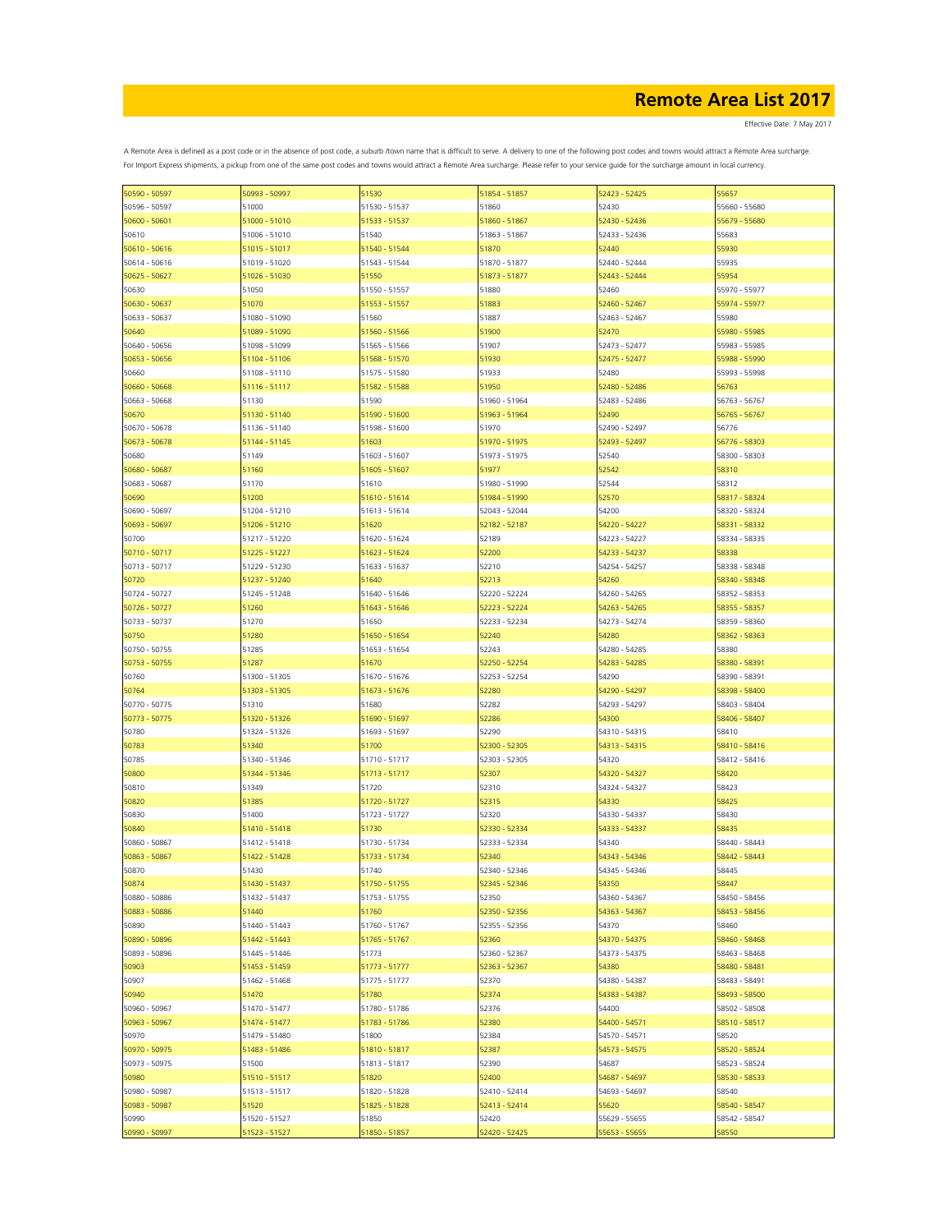Effective Date: 7 May 2017

| 55657<br>50590 - 50597<br>50993 - 50997<br>51530<br>52423 - 52425<br>51854 - 51857<br>51000<br>52430<br>55660 - 55680<br>50596 - 50597<br>51530 - 51537<br>51860<br>51000 - 51010<br>51860 - 51867<br>52430 - 52436<br>50600 - 50601<br>51533 - 51537<br>55679 - 55680<br>51006 - 51010<br>51540<br>55683<br>50610<br>51863 - 51867<br>52433 - 52436<br>55930<br>50610 - 50616<br>51015 - 51017<br>51540 - 51544<br>51870<br>52440<br>51019 - 51020<br>55935<br>50614 - 50616<br>51543 - 51544<br>51870 - 51877<br>52440 - 52444<br>50625 - 50627<br>51026 - 51030<br>51550<br>51873 - 51877<br>52443 - 52444<br>55954<br>50630<br>51050<br>51550 - 51557<br>51880<br>52460<br>55970 - 55977<br>50630 - 50637<br>51070<br>51553 - 51557<br>51883<br>52460 - 52467<br>55974 - 55977<br>50633 - 50637<br>51080 - 51090<br>51560<br>51887<br>52463 - 52467<br>55980<br>55980 - 55985<br>51089 - 51090<br>51560 - 51566<br>51900<br>52470<br>50640<br>51907<br>50640 - 50656<br>51098 - 51099<br>51565 - 51566<br>52473 - 52477<br>55983 - 55985<br>51930<br>52475 - 52477<br>55988 - 55990<br>50653 - 50656<br>51104 - 51106<br>51568 - 51570<br>51108 - 51110<br>51575 - 51580<br>51933<br>52480<br>55993 - 55998<br>50660<br>50660 - 50668<br>51116 - 51117<br>51582 - 51588<br>51950<br>52480 - 52486<br>56763<br>51130<br>51590<br>52483 - 52486<br>56763 - 56767<br>50663 - 50668<br>51960 - 51964<br>51130 - 51140<br>51590 - 51600<br>52490<br>50670<br>51963 - 51964<br>56765 - 56767<br>50670 - 50678<br>51136 - 51140<br>51598 - 51600<br>51970<br>52490 - 52497<br>56776<br>50673 - 50678<br>51144 - 51145<br>51603<br>51970 - 51975<br>52493 - 52497<br>56776 - 58303<br>51149<br>51603 - 51607<br>51973 - 51975<br>52540<br>58300 - 58303<br>50680<br>52542<br>50680 - 50687<br>51160<br>51605 - 51607<br>51977<br>58310<br>52544<br>50683 - 50687<br>51170<br>51610<br>51980 - 51990<br>58312<br>52570<br>50690<br>51200<br>51610 - 51614<br>51984 - 51990<br>58317 - 58324<br>54200<br>50690 - 50697<br>51204 - 51210<br>52043 - 52044<br>51613 - 51614<br>58320 - 58324<br>51620<br>50693 - 50697<br>52182 - 52187<br>54220 - 54227<br>58331 - 58332<br>51206 - 51210<br>50700<br>51620 - 51624<br>52189<br>54223 - 54227<br>58334 - 58335<br>51217 - 51220<br>50710 - 50717<br>52200<br>58338<br>51225 - 51227<br>51623 - 51624<br>54233 - 54237<br>52210<br>58338 - 58348<br>50713 - 50717<br>51229 - 51230<br>51633 - 51637<br>54254 - 54257<br>51640<br>52213<br>54260<br>50720<br>51237 - 51240<br>58340 - 58348<br>52220 - 52224<br>50724 - 50727<br>51245 - 51248<br>51640 - 51646<br>54260 - 54265<br>58352 - 58353<br>51260<br>50726 - 50727<br>51643 - 51646<br>52223 - 52224<br>54263 - 54265<br>58355 - 58357<br>51270<br>50733 - 50737<br>51650<br>52233 - 52234<br>54273 - 54274<br>58359 - 58360<br>54280<br>50750<br>51280<br>51650 - 51654<br>52240<br>58362 - 58363<br>50750 - 50755<br>51285<br>51653 - 51654<br>52243<br>54280 - 54285<br>58380<br>50753 - 50755<br>51287<br>51670<br>52250 - 52254<br>54283 - 54285<br>58380 - 58391<br>50760<br>51300 - 51305<br>51670 - 51676<br>52253 - 52254<br>54290<br>58390 - 58391<br>50764<br>51303 - 51305<br>51673 - 51676<br>52280<br>54290 - 54297<br>58398 - 58400<br>50770 - 50775<br>51310<br>51680<br>52282<br>54293 - 54297<br>58403 - 58404<br>50773 - 50775<br>54300<br>58406 - 58407<br>51320 - 51326<br>51690 - 51697<br>52286<br>52290<br>50780<br>51324 - 51326<br>51693 - 51697<br>54310 - 54315<br>58410<br>50783<br>51340<br>51700<br>52300 - 52305<br>54313 - 54315<br>58410 - 58416<br>50785<br>51340 - 51346<br>51710 - 51717<br>52303 - 52305<br>54320<br>58412 - 58416<br>58420<br>50800<br>51344 - 51346<br>51713 - 51717<br>52307<br>54320 - 54327<br>50810<br>51349<br>51720<br>52310<br>54324 - 54327<br>58423<br>54330<br>50820<br>51385<br>51720 - 51727<br>52315<br>58425<br>50830<br>51400<br>51723 - 51727<br>52320<br>54330 - 54337<br>58430<br>50840<br>51410 - 51418<br>51730<br>52330 - 52334<br>54333 - 54337<br>58435<br>50860 - 50867<br>51412 - 51418<br>51730 - 51734<br>52333 - 52334<br>54340<br>58440 - 58443<br>52340<br>50863 - 50867<br>51422 - 51428<br>51733 - 51734<br>54343 - 54346<br>58442 - 58443<br>51430<br>50870<br>51740<br>52340 - 52346<br>54345 - 54346<br>58445<br>50874<br>58447<br>52345 - 52346<br>54350<br>51430 - 51437<br>51750 - 51755<br>50880 - 50886<br>52350<br>54360 - 54367<br>58450 - 58456<br>51432 - 51437<br>51753 - 51755<br>50883 - 50886<br>51760<br>52350 - 52356<br>58453 - 58456<br>51440<br>54363 - 54367<br>50890<br>51440 - 51443<br>51760 - 51767<br>54370<br>58460<br>52355 - 52356<br>50890 - 50896<br>54370 - 54375<br>58460 - 58468<br>51442 - 51443<br>51765 - 51767<br>52360<br>50893 - 50896<br>51445 - 51446<br>52360 - 52367<br>54373 - 54375<br>58463 - 58468<br>51773<br>50903<br>58480 - 58481<br>51453 - 51459<br>51773 - 51777<br>52363 - 52367<br>54380<br>50907<br>51462 - 51468<br>51775 - 51777<br>52370<br>54380 - 54387<br>58483 - 58491<br>50940<br>51470<br>51780<br>52374<br>54383 - 54387<br>58493 - 58500<br>54400<br>50960 - 50967<br>51470 - 51477<br>51780 - 51786<br>52376<br>58502 - 58508<br>50963 - 50967<br>51474 - 51477<br>51783 - 51786<br>52380<br>54400 - 54571<br>58510 - 58517<br>50970<br>51479 - 51480<br>51800<br>52384<br>54570 - 54571<br>58520<br>50970 - 50975<br>54573 - 54575<br>58520 - 58524<br>51483 - 51486<br>51810 - 51817<br>52387<br>50973 - 50975<br>51500<br>51813 - 51817<br>52390<br>54687<br>58523 - 58524<br>50980<br>51510 - 51517<br>58530 - 58533<br>51820<br>52400<br>54687 - 54697<br>50980 - 50987<br>51513 - 51517<br>51820 - 51828<br>52410 - 52414<br>54693 - 54697<br>58540<br>50983 - 50987<br>58540 - 58547<br>51520<br>51825 - 51828<br>52413 - 52414<br>55620<br>50990<br>51520 - 51527<br>51850<br>52420<br>55629 - 55655<br>58542 - 58547 |               |               |               |               |               |       |
|----------------------------------------------------------------------------------------------------------------------------------------------------------------------------------------------------------------------------------------------------------------------------------------------------------------------------------------------------------------------------------------------------------------------------------------------------------------------------------------------------------------------------------------------------------------------------------------------------------------------------------------------------------------------------------------------------------------------------------------------------------------------------------------------------------------------------------------------------------------------------------------------------------------------------------------------------------------------------------------------------------------------------------------------------------------------------------------------------------------------------------------------------------------------------------------------------------------------------------------------------------------------------------------------------------------------------------------------------------------------------------------------------------------------------------------------------------------------------------------------------------------------------------------------------------------------------------------------------------------------------------------------------------------------------------------------------------------------------------------------------------------------------------------------------------------------------------------------------------------------------------------------------------------------------------------------------------------------------------------------------------------------------------------------------------------------------------------------------------------------------------------------------------------------------------------------------------------------------------------------------------------------------------------------------------------------------------------------------------------------------------------------------------------------------------------------------------------------------------------------------------------------------------------------------------------------------------------------------------------------------------------------------------------------------------------------------------------------------------------------------------------------------------------------------------------------------------------------------------------------------------------------------------------------------------------------------------------------------------------------------------------------------------------------------------------------------------------------------------------------------------------------------------------------------------------------------------------------------------------------------------------------------------------------------------------------------------------------------------------------------------------------------------------------------------------------------------------------------------------------------------------------------------------------------------------------------------------------------------------------------------------------------------------------------------------------------------------------------------------------------------------------------------------------------------------------------------------------------------------------------------------------------------------------------------------------------------------------------------------------------------------------------------------------------------------------------------------------------------------------------------------------------------------------------------------------------------------------------------------------------------------------------------------------------------------------------------------------------------------------------------------------------------------------------------------------------------------------------------------------------------------------------------------------------------------------------------------------------------------------------------------------------------------------------------------------------------------------------------------------------------------------------------------------------------------------------------------------------------------------------------------------------------------------------------------------------------------------------------------------------------------------------------------------------------------------------------------------------------------------------------------------------------------------------------------------------------------------------------------------------------------------------------------------------------------------------------------------------------------------------------------------------------------------------------------------------------------------------------------------------------------------------------------------------------------------------------------------------------------------------------------------------------------------------------------------------------------------------------------------------------------------------------------------------------------------------------------------------------------------------------------------|---------------|---------------|---------------|---------------|---------------|-------|
|                                                                                                                                                                                                                                                                                                                                                                                                                                                                                                                                                                                                                                                                                                                                                                                                                                                                                                                                                                                                                                                                                                                                                                                                                                                                                                                                                                                                                                                                                                                                                                                                                                                                                                                                                                                                                                                                                                                                                                                                                                                                                                                                                                                                                                                                                                                                                                                                                                                                                                                                                                                                                                                                                                                                                                                                                                                                                                                                                                                                                                                                                                                                                                                                                                                                                                                                                                                                                                                                                                                                                                                                                                                                                                                                                                                                                                                                                                                                                                                                                                                                                                                                                                                                                                                                                                                                                                                                                                                                                                                                                                                                                                                                                                                                                                                                                                                                                                                                                                                                                                                                                                                                                                                                                                                                                                                                                                                                                                                                                                                                                                                                                                                                                                                                                                                                                                                                                              |               |               |               |               |               |       |
|                                                                                                                                                                                                                                                                                                                                                                                                                                                                                                                                                                                                                                                                                                                                                                                                                                                                                                                                                                                                                                                                                                                                                                                                                                                                                                                                                                                                                                                                                                                                                                                                                                                                                                                                                                                                                                                                                                                                                                                                                                                                                                                                                                                                                                                                                                                                                                                                                                                                                                                                                                                                                                                                                                                                                                                                                                                                                                                                                                                                                                                                                                                                                                                                                                                                                                                                                                                                                                                                                                                                                                                                                                                                                                                                                                                                                                                                                                                                                                                                                                                                                                                                                                                                                                                                                                                                                                                                                                                                                                                                                                                                                                                                                                                                                                                                                                                                                                                                                                                                                                                                                                                                                                                                                                                                                                                                                                                                                                                                                                                                                                                                                                                                                                                                                                                                                                                                                              |               |               |               |               |               |       |
|                                                                                                                                                                                                                                                                                                                                                                                                                                                                                                                                                                                                                                                                                                                                                                                                                                                                                                                                                                                                                                                                                                                                                                                                                                                                                                                                                                                                                                                                                                                                                                                                                                                                                                                                                                                                                                                                                                                                                                                                                                                                                                                                                                                                                                                                                                                                                                                                                                                                                                                                                                                                                                                                                                                                                                                                                                                                                                                                                                                                                                                                                                                                                                                                                                                                                                                                                                                                                                                                                                                                                                                                                                                                                                                                                                                                                                                                                                                                                                                                                                                                                                                                                                                                                                                                                                                                                                                                                                                                                                                                                                                                                                                                                                                                                                                                                                                                                                                                                                                                                                                                                                                                                                                                                                                                                                                                                                                                                                                                                                                                                                                                                                                                                                                                                                                                                                                                                              |               |               |               |               |               |       |
|                                                                                                                                                                                                                                                                                                                                                                                                                                                                                                                                                                                                                                                                                                                                                                                                                                                                                                                                                                                                                                                                                                                                                                                                                                                                                                                                                                                                                                                                                                                                                                                                                                                                                                                                                                                                                                                                                                                                                                                                                                                                                                                                                                                                                                                                                                                                                                                                                                                                                                                                                                                                                                                                                                                                                                                                                                                                                                                                                                                                                                                                                                                                                                                                                                                                                                                                                                                                                                                                                                                                                                                                                                                                                                                                                                                                                                                                                                                                                                                                                                                                                                                                                                                                                                                                                                                                                                                                                                                                                                                                                                                                                                                                                                                                                                                                                                                                                                                                                                                                                                                                                                                                                                                                                                                                                                                                                                                                                                                                                                                                                                                                                                                                                                                                                                                                                                                                                              |               |               |               |               |               |       |
|                                                                                                                                                                                                                                                                                                                                                                                                                                                                                                                                                                                                                                                                                                                                                                                                                                                                                                                                                                                                                                                                                                                                                                                                                                                                                                                                                                                                                                                                                                                                                                                                                                                                                                                                                                                                                                                                                                                                                                                                                                                                                                                                                                                                                                                                                                                                                                                                                                                                                                                                                                                                                                                                                                                                                                                                                                                                                                                                                                                                                                                                                                                                                                                                                                                                                                                                                                                                                                                                                                                                                                                                                                                                                                                                                                                                                                                                                                                                                                                                                                                                                                                                                                                                                                                                                                                                                                                                                                                                                                                                                                                                                                                                                                                                                                                                                                                                                                                                                                                                                                                                                                                                                                                                                                                                                                                                                                                                                                                                                                                                                                                                                                                                                                                                                                                                                                                                                              |               |               |               |               |               |       |
|                                                                                                                                                                                                                                                                                                                                                                                                                                                                                                                                                                                                                                                                                                                                                                                                                                                                                                                                                                                                                                                                                                                                                                                                                                                                                                                                                                                                                                                                                                                                                                                                                                                                                                                                                                                                                                                                                                                                                                                                                                                                                                                                                                                                                                                                                                                                                                                                                                                                                                                                                                                                                                                                                                                                                                                                                                                                                                                                                                                                                                                                                                                                                                                                                                                                                                                                                                                                                                                                                                                                                                                                                                                                                                                                                                                                                                                                                                                                                                                                                                                                                                                                                                                                                                                                                                                                                                                                                                                                                                                                                                                                                                                                                                                                                                                                                                                                                                                                                                                                                                                                                                                                                                                                                                                                                                                                                                                                                                                                                                                                                                                                                                                                                                                                                                                                                                                                                              |               |               |               |               |               |       |
|                                                                                                                                                                                                                                                                                                                                                                                                                                                                                                                                                                                                                                                                                                                                                                                                                                                                                                                                                                                                                                                                                                                                                                                                                                                                                                                                                                                                                                                                                                                                                                                                                                                                                                                                                                                                                                                                                                                                                                                                                                                                                                                                                                                                                                                                                                                                                                                                                                                                                                                                                                                                                                                                                                                                                                                                                                                                                                                                                                                                                                                                                                                                                                                                                                                                                                                                                                                                                                                                                                                                                                                                                                                                                                                                                                                                                                                                                                                                                                                                                                                                                                                                                                                                                                                                                                                                                                                                                                                                                                                                                                                                                                                                                                                                                                                                                                                                                                                                                                                                                                                                                                                                                                                                                                                                                                                                                                                                                                                                                                                                                                                                                                                                                                                                                                                                                                                                                              |               |               |               |               |               |       |
|                                                                                                                                                                                                                                                                                                                                                                                                                                                                                                                                                                                                                                                                                                                                                                                                                                                                                                                                                                                                                                                                                                                                                                                                                                                                                                                                                                                                                                                                                                                                                                                                                                                                                                                                                                                                                                                                                                                                                                                                                                                                                                                                                                                                                                                                                                                                                                                                                                                                                                                                                                                                                                                                                                                                                                                                                                                                                                                                                                                                                                                                                                                                                                                                                                                                                                                                                                                                                                                                                                                                                                                                                                                                                                                                                                                                                                                                                                                                                                                                                                                                                                                                                                                                                                                                                                                                                                                                                                                                                                                                                                                                                                                                                                                                                                                                                                                                                                                                                                                                                                                                                                                                                                                                                                                                                                                                                                                                                                                                                                                                                                                                                                                                                                                                                                                                                                                                                              |               |               |               |               |               |       |
|                                                                                                                                                                                                                                                                                                                                                                                                                                                                                                                                                                                                                                                                                                                                                                                                                                                                                                                                                                                                                                                                                                                                                                                                                                                                                                                                                                                                                                                                                                                                                                                                                                                                                                                                                                                                                                                                                                                                                                                                                                                                                                                                                                                                                                                                                                                                                                                                                                                                                                                                                                                                                                                                                                                                                                                                                                                                                                                                                                                                                                                                                                                                                                                                                                                                                                                                                                                                                                                                                                                                                                                                                                                                                                                                                                                                                                                                                                                                                                                                                                                                                                                                                                                                                                                                                                                                                                                                                                                                                                                                                                                                                                                                                                                                                                                                                                                                                                                                                                                                                                                                                                                                                                                                                                                                                                                                                                                                                                                                                                                                                                                                                                                                                                                                                                                                                                                                                              |               |               |               |               |               |       |
|                                                                                                                                                                                                                                                                                                                                                                                                                                                                                                                                                                                                                                                                                                                                                                                                                                                                                                                                                                                                                                                                                                                                                                                                                                                                                                                                                                                                                                                                                                                                                                                                                                                                                                                                                                                                                                                                                                                                                                                                                                                                                                                                                                                                                                                                                                                                                                                                                                                                                                                                                                                                                                                                                                                                                                                                                                                                                                                                                                                                                                                                                                                                                                                                                                                                                                                                                                                                                                                                                                                                                                                                                                                                                                                                                                                                                                                                                                                                                                                                                                                                                                                                                                                                                                                                                                                                                                                                                                                                                                                                                                                                                                                                                                                                                                                                                                                                                                                                                                                                                                                                                                                                                                                                                                                                                                                                                                                                                                                                                                                                                                                                                                                                                                                                                                                                                                                                                              |               |               |               |               |               |       |
|                                                                                                                                                                                                                                                                                                                                                                                                                                                                                                                                                                                                                                                                                                                                                                                                                                                                                                                                                                                                                                                                                                                                                                                                                                                                                                                                                                                                                                                                                                                                                                                                                                                                                                                                                                                                                                                                                                                                                                                                                                                                                                                                                                                                                                                                                                                                                                                                                                                                                                                                                                                                                                                                                                                                                                                                                                                                                                                                                                                                                                                                                                                                                                                                                                                                                                                                                                                                                                                                                                                                                                                                                                                                                                                                                                                                                                                                                                                                                                                                                                                                                                                                                                                                                                                                                                                                                                                                                                                                                                                                                                                                                                                                                                                                                                                                                                                                                                                                                                                                                                                                                                                                                                                                                                                                                                                                                                                                                                                                                                                                                                                                                                                                                                                                                                                                                                                                                              |               |               |               |               |               |       |
|                                                                                                                                                                                                                                                                                                                                                                                                                                                                                                                                                                                                                                                                                                                                                                                                                                                                                                                                                                                                                                                                                                                                                                                                                                                                                                                                                                                                                                                                                                                                                                                                                                                                                                                                                                                                                                                                                                                                                                                                                                                                                                                                                                                                                                                                                                                                                                                                                                                                                                                                                                                                                                                                                                                                                                                                                                                                                                                                                                                                                                                                                                                                                                                                                                                                                                                                                                                                                                                                                                                                                                                                                                                                                                                                                                                                                                                                                                                                                                                                                                                                                                                                                                                                                                                                                                                                                                                                                                                                                                                                                                                                                                                                                                                                                                                                                                                                                                                                                                                                                                                                                                                                                                                                                                                                                                                                                                                                                                                                                                                                                                                                                                                                                                                                                                                                                                                                                              |               |               |               |               |               |       |
|                                                                                                                                                                                                                                                                                                                                                                                                                                                                                                                                                                                                                                                                                                                                                                                                                                                                                                                                                                                                                                                                                                                                                                                                                                                                                                                                                                                                                                                                                                                                                                                                                                                                                                                                                                                                                                                                                                                                                                                                                                                                                                                                                                                                                                                                                                                                                                                                                                                                                                                                                                                                                                                                                                                                                                                                                                                                                                                                                                                                                                                                                                                                                                                                                                                                                                                                                                                                                                                                                                                                                                                                                                                                                                                                                                                                                                                                                                                                                                                                                                                                                                                                                                                                                                                                                                                                                                                                                                                                                                                                                                                                                                                                                                                                                                                                                                                                                                                                                                                                                                                                                                                                                                                                                                                                                                                                                                                                                                                                                                                                                                                                                                                                                                                                                                                                                                                                                              |               |               |               |               |               |       |
|                                                                                                                                                                                                                                                                                                                                                                                                                                                                                                                                                                                                                                                                                                                                                                                                                                                                                                                                                                                                                                                                                                                                                                                                                                                                                                                                                                                                                                                                                                                                                                                                                                                                                                                                                                                                                                                                                                                                                                                                                                                                                                                                                                                                                                                                                                                                                                                                                                                                                                                                                                                                                                                                                                                                                                                                                                                                                                                                                                                                                                                                                                                                                                                                                                                                                                                                                                                                                                                                                                                                                                                                                                                                                                                                                                                                                                                                                                                                                                                                                                                                                                                                                                                                                                                                                                                                                                                                                                                                                                                                                                                                                                                                                                                                                                                                                                                                                                                                                                                                                                                                                                                                                                                                                                                                                                                                                                                                                                                                                                                                                                                                                                                                                                                                                                                                                                                                                              |               |               |               |               |               |       |
|                                                                                                                                                                                                                                                                                                                                                                                                                                                                                                                                                                                                                                                                                                                                                                                                                                                                                                                                                                                                                                                                                                                                                                                                                                                                                                                                                                                                                                                                                                                                                                                                                                                                                                                                                                                                                                                                                                                                                                                                                                                                                                                                                                                                                                                                                                                                                                                                                                                                                                                                                                                                                                                                                                                                                                                                                                                                                                                                                                                                                                                                                                                                                                                                                                                                                                                                                                                                                                                                                                                                                                                                                                                                                                                                                                                                                                                                                                                                                                                                                                                                                                                                                                                                                                                                                                                                                                                                                                                                                                                                                                                                                                                                                                                                                                                                                                                                                                                                                                                                                                                                                                                                                                                                                                                                                                                                                                                                                                                                                                                                                                                                                                                                                                                                                                                                                                                                                              |               |               |               |               |               |       |
|                                                                                                                                                                                                                                                                                                                                                                                                                                                                                                                                                                                                                                                                                                                                                                                                                                                                                                                                                                                                                                                                                                                                                                                                                                                                                                                                                                                                                                                                                                                                                                                                                                                                                                                                                                                                                                                                                                                                                                                                                                                                                                                                                                                                                                                                                                                                                                                                                                                                                                                                                                                                                                                                                                                                                                                                                                                                                                                                                                                                                                                                                                                                                                                                                                                                                                                                                                                                                                                                                                                                                                                                                                                                                                                                                                                                                                                                                                                                                                                                                                                                                                                                                                                                                                                                                                                                                                                                                                                                                                                                                                                                                                                                                                                                                                                                                                                                                                                                                                                                                                                                                                                                                                                                                                                                                                                                                                                                                                                                                                                                                                                                                                                                                                                                                                                                                                                                                              |               |               |               |               |               |       |
|                                                                                                                                                                                                                                                                                                                                                                                                                                                                                                                                                                                                                                                                                                                                                                                                                                                                                                                                                                                                                                                                                                                                                                                                                                                                                                                                                                                                                                                                                                                                                                                                                                                                                                                                                                                                                                                                                                                                                                                                                                                                                                                                                                                                                                                                                                                                                                                                                                                                                                                                                                                                                                                                                                                                                                                                                                                                                                                                                                                                                                                                                                                                                                                                                                                                                                                                                                                                                                                                                                                                                                                                                                                                                                                                                                                                                                                                                                                                                                                                                                                                                                                                                                                                                                                                                                                                                                                                                                                                                                                                                                                                                                                                                                                                                                                                                                                                                                                                                                                                                                                                                                                                                                                                                                                                                                                                                                                                                                                                                                                                                                                                                                                                                                                                                                                                                                                                                              |               |               |               |               |               |       |
|                                                                                                                                                                                                                                                                                                                                                                                                                                                                                                                                                                                                                                                                                                                                                                                                                                                                                                                                                                                                                                                                                                                                                                                                                                                                                                                                                                                                                                                                                                                                                                                                                                                                                                                                                                                                                                                                                                                                                                                                                                                                                                                                                                                                                                                                                                                                                                                                                                                                                                                                                                                                                                                                                                                                                                                                                                                                                                                                                                                                                                                                                                                                                                                                                                                                                                                                                                                                                                                                                                                                                                                                                                                                                                                                                                                                                                                                                                                                                                                                                                                                                                                                                                                                                                                                                                                                                                                                                                                                                                                                                                                                                                                                                                                                                                                                                                                                                                                                                                                                                                                                                                                                                                                                                                                                                                                                                                                                                                                                                                                                                                                                                                                                                                                                                                                                                                                                                              |               |               |               |               |               |       |
|                                                                                                                                                                                                                                                                                                                                                                                                                                                                                                                                                                                                                                                                                                                                                                                                                                                                                                                                                                                                                                                                                                                                                                                                                                                                                                                                                                                                                                                                                                                                                                                                                                                                                                                                                                                                                                                                                                                                                                                                                                                                                                                                                                                                                                                                                                                                                                                                                                                                                                                                                                                                                                                                                                                                                                                                                                                                                                                                                                                                                                                                                                                                                                                                                                                                                                                                                                                                                                                                                                                                                                                                                                                                                                                                                                                                                                                                                                                                                                                                                                                                                                                                                                                                                                                                                                                                                                                                                                                                                                                                                                                                                                                                                                                                                                                                                                                                                                                                                                                                                                                                                                                                                                                                                                                                                                                                                                                                                                                                                                                                                                                                                                                                                                                                                                                                                                                                                              |               |               |               |               |               |       |
|                                                                                                                                                                                                                                                                                                                                                                                                                                                                                                                                                                                                                                                                                                                                                                                                                                                                                                                                                                                                                                                                                                                                                                                                                                                                                                                                                                                                                                                                                                                                                                                                                                                                                                                                                                                                                                                                                                                                                                                                                                                                                                                                                                                                                                                                                                                                                                                                                                                                                                                                                                                                                                                                                                                                                                                                                                                                                                                                                                                                                                                                                                                                                                                                                                                                                                                                                                                                                                                                                                                                                                                                                                                                                                                                                                                                                                                                                                                                                                                                                                                                                                                                                                                                                                                                                                                                                                                                                                                                                                                                                                                                                                                                                                                                                                                                                                                                                                                                                                                                                                                                                                                                                                                                                                                                                                                                                                                                                                                                                                                                                                                                                                                                                                                                                                                                                                                                                              |               |               |               |               |               |       |
|                                                                                                                                                                                                                                                                                                                                                                                                                                                                                                                                                                                                                                                                                                                                                                                                                                                                                                                                                                                                                                                                                                                                                                                                                                                                                                                                                                                                                                                                                                                                                                                                                                                                                                                                                                                                                                                                                                                                                                                                                                                                                                                                                                                                                                                                                                                                                                                                                                                                                                                                                                                                                                                                                                                                                                                                                                                                                                                                                                                                                                                                                                                                                                                                                                                                                                                                                                                                                                                                                                                                                                                                                                                                                                                                                                                                                                                                                                                                                                                                                                                                                                                                                                                                                                                                                                                                                                                                                                                                                                                                                                                                                                                                                                                                                                                                                                                                                                                                                                                                                                                                                                                                                                                                                                                                                                                                                                                                                                                                                                                                                                                                                                                                                                                                                                                                                                                                                              |               |               |               |               |               |       |
|                                                                                                                                                                                                                                                                                                                                                                                                                                                                                                                                                                                                                                                                                                                                                                                                                                                                                                                                                                                                                                                                                                                                                                                                                                                                                                                                                                                                                                                                                                                                                                                                                                                                                                                                                                                                                                                                                                                                                                                                                                                                                                                                                                                                                                                                                                                                                                                                                                                                                                                                                                                                                                                                                                                                                                                                                                                                                                                                                                                                                                                                                                                                                                                                                                                                                                                                                                                                                                                                                                                                                                                                                                                                                                                                                                                                                                                                                                                                                                                                                                                                                                                                                                                                                                                                                                                                                                                                                                                                                                                                                                                                                                                                                                                                                                                                                                                                                                                                                                                                                                                                                                                                                                                                                                                                                                                                                                                                                                                                                                                                                                                                                                                                                                                                                                                                                                                                                              |               |               |               |               |               |       |
|                                                                                                                                                                                                                                                                                                                                                                                                                                                                                                                                                                                                                                                                                                                                                                                                                                                                                                                                                                                                                                                                                                                                                                                                                                                                                                                                                                                                                                                                                                                                                                                                                                                                                                                                                                                                                                                                                                                                                                                                                                                                                                                                                                                                                                                                                                                                                                                                                                                                                                                                                                                                                                                                                                                                                                                                                                                                                                                                                                                                                                                                                                                                                                                                                                                                                                                                                                                                                                                                                                                                                                                                                                                                                                                                                                                                                                                                                                                                                                                                                                                                                                                                                                                                                                                                                                                                                                                                                                                                                                                                                                                                                                                                                                                                                                                                                                                                                                                                                                                                                                                                                                                                                                                                                                                                                                                                                                                                                                                                                                                                                                                                                                                                                                                                                                                                                                                                                              |               |               |               |               |               |       |
|                                                                                                                                                                                                                                                                                                                                                                                                                                                                                                                                                                                                                                                                                                                                                                                                                                                                                                                                                                                                                                                                                                                                                                                                                                                                                                                                                                                                                                                                                                                                                                                                                                                                                                                                                                                                                                                                                                                                                                                                                                                                                                                                                                                                                                                                                                                                                                                                                                                                                                                                                                                                                                                                                                                                                                                                                                                                                                                                                                                                                                                                                                                                                                                                                                                                                                                                                                                                                                                                                                                                                                                                                                                                                                                                                                                                                                                                                                                                                                                                                                                                                                                                                                                                                                                                                                                                                                                                                                                                                                                                                                                                                                                                                                                                                                                                                                                                                                                                                                                                                                                                                                                                                                                                                                                                                                                                                                                                                                                                                                                                                                                                                                                                                                                                                                                                                                                                                              |               |               |               |               |               |       |
|                                                                                                                                                                                                                                                                                                                                                                                                                                                                                                                                                                                                                                                                                                                                                                                                                                                                                                                                                                                                                                                                                                                                                                                                                                                                                                                                                                                                                                                                                                                                                                                                                                                                                                                                                                                                                                                                                                                                                                                                                                                                                                                                                                                                                                                                                                                                                                                                                                                                                                                                                                                                                                                                                                                                                                                                                                                                                                                                                                                                                                                                                                                                                                                                                                                                                                                                                                                                                                                                                                                                                                                                                                                                                                                                                                                                                                                                                                                                                                                                                                                                                                                                                                                                                                                                                                                                                                                                                                                                                                                                                                                                                                                                                                                                                                                                                                                                                                                                                                                                                                                                                                                                                                                                                                                                                                                                                                                                                                                                                                                                                                                                                                                                                                                                                                                                                                                                                              |               |               |               |               |               |       |
|                                                                                                                                                                                                                                                                                                                                                                                                                                                                                                                                                                                                                                                                                                                                                                                                                                                                                                                                                                                                                                                                                                                                                                                                                                                                                                                                                                                                                                                                                                                                                                                                                                                                                                                                                                                                                                                                                                                                                                                                                                                                                                                                                                                                                                                                                                                                                                                                                                                                                                                                                                                                                                                                                                                                                                                                                                                                                                                                                                                                                                                                                                                                                                                                                                                                                                                                                                                                                                                                                                                                                                                                                                                                                                                                                                                                                                                                                                                                                                                                                                                                                                                                                                                                                                                                                                                                                                                                                                                                                                                                                                                                                                                                                                                                                                                                                                                                                                                                                                                                                                                                                                                                                                                                                                                                                                                                                                                                                                                                                                                                                                                                                                                                                                                                                                                                                                                                                              |               |               |               |               |               |       |
|                                                                                                                                                                                                                                                                                                                                                                                                                                                                                                                                                                                                                                                                                                                                                                                                                                                                                                                                                                                                                                                                                                                                                                                                                                                                                                                                                                                                                                                                                                                                                                                                                                                                                                                                                                                                                                                                                                                                                                                                                                                                                                                                                                                                                                                                                                                                                                                                                                                                                                                                                                                                                                                                                                                                                                                                                                                                                                                                                                                                                                                                                                                                                                                                                                                                                                                                                                                                                                                                                                                                                                                                                                                                                                                                                                                                                                                                                                                                                                                                                                                                                                                                                                                                                                                                                                                                                                                                                                                                                                                                                                                                                                                                                                                                                                                                                                                                                                                                                                                                                                                                                                                                                                                                                                                                                                                                                                                                                                                                                                                                                                                                                                                                                                                                                                                                                                                                                              |               |               |               |               |               |       |
|                                                                                                                                                                                                                                                                                                                                                                                                                                                                                                                                                                                                                                                                                                                                                                                                                                                                                                                                                                                                                                                                                                                                                                                                                                                                                                                                                                                                                                                                                                                                                                                                                                                                                                                                                                                                                                                                                                                                                                                                                                                                                                                                                                                                                                                                                                                                                                                                                                                                                                                                                                                                                                                                                                                                                                                                                                                                                                                                                                                                                                                                                                                                                                                                                                                                                                                                                                                                                                                                                                                                                                                                                                                                                                                                                                                                                                                                                                                                                                                                                                                                                                                                                                                                                                                                                                                                                                                                                                                                                                                                                                                                                                                                                                                                                                                                                                                                                                                                                                                                                                                                                                                                                                                                                                                                                                                                                                                                                                                                                                                                                                                                                                                                                                                                                                                                                                                                                              |               |               |               |               |               |       |
|                                                                                                                                                                                                                                                                                                                                                                                                                                                                                                                                                                                                                                                                                                                                                                                                                                                                                                                                                                                                                                                                                                                                                                                                                                                                                                                                                                                                                                                                                                                                                                                                                                                                                                                                                                                                                                                                                                                                                                                                                                                                                                                                                                                                                                                                                                                                                                                                                                                                                                                                                                                                                                                                                                                                                                                                                                                                                                                                                                                                                                                                                                                                                                                                                                                                                                                                                                                                                                                                                                                                                                                                                                                                                                                                                                                                                                                                                                                                                                                                                                                                                                                                                                                                                                                                                                                                                                                                                                                                                                                                                                                                                                                                                                                                                                                                                                                                                                                                                                                                                                                                                                                                                                                                                                                                                                                                                                                                                                                                                                                                                                                                                                                                                                                                                                                                                                                                                              |               |               |               |               |               |       |
|                                                                                                                                                                                                                                                                                                                                                                                                                                                                                                                                                                                                                                                                                                                                                                                                                                                                                                                                                                                                                                                                                                                                                                                                                                                                                                                                                                                                                                                                                                                                                                                                                                                                                                                                                                                                                                                                                                                                                                                                                                                                                                                                                                                                                                                                                                                                                                                                                                                                                                                                                                                                                                                                                                                                                                                                                                                                                                                                                                                                                                                                                                                                                                                                                                                                                                                                                                                                                                                                                                                                                                                                                                                                                                                                                                                                                                                                                                                                                                                                                                                                                                                                                                                                                                                                                                                                                                                                                                                                                                                                                                                                                                                                                                                                                                                                                                                                                                                                                                                                                                                                                                                                                                                                                                                                                                                                                                                                                                                                                                                                                                                                                                                                                                                                                                                                                                                                                              |               |               |               |               |               |       |
|                                                                                                                                                                                                                                                                                                                                                                                                                                                                                                                                                                                                                                                                                                                                                                                                                                                                                                                                                                                                                                                                                                                                                                                                                                                                                                                                                                                                                                                                                                                                                                                                                                                                                                                                                                                                                                                                                                                                                                                                                                                                                                                                                                                                                                                                                                                                                                                                                                                                                                                                                                                                                                                                                                                                                                                                                                                                                                                                                                                                                                                                                                                                                                                                                                                                                                                                                                                                                                                                                                                                                                                                                                                                                                                                                                                                                                                                                                                                                                                                                                                                                                                                                                                                                                                                                                                                                                                                                                                                                                                                                                                                                                                                                                                                                                                                                                                                                                                                                                                                                                                                                                                                                                                                                                                                                                                                                                                                                                                                                                                                                                                                                                                                                                                                                                                                                                                                                              |               |               |               |               |               |       |
|                                                                                                                                                                                                                                                                                                                                                                                                                                                                                                                                                                                                                                                                                                                                                                                                                                                                                                                                                                                                                                                                                                                                                                                                                                                                                                                                                                                                                                                                                                                                                                                                                                                                                                                                                                                                                                                                                                                                                                                                                                                                                                                                                                                                                                                                                                                                                                                                                                                                                                                                                                                                                                                                                                                                                                                                                                                                                                                                                                                                                                                                                                                                                                                                                                                                                                                                                                                                                                                                                                                                                                                                                                                                                                                                                                                                                                                                                                                                                                                                                                                                                                                                                                                                                                                                                                                                                                                                                                                                                                                                                                                                                                                                                                                                                                                                                                                                                                                                                                                                                                                                                                                                                                                                                                                                                                                                                                                                                                                                                                                                                                                                                                                                                                                                                                                                                                                                                              |               |               |               |               |               |       |
|                                                                                                                                                                                                                                                                                                                                                                                                                                                                                                                                                                                                                                                                                                                                                                                                                                                                                                                                                                                                                                                                                                                                                                                                                                                                                                                                                                                                                                                                                                                                                                                                                                                                                                                                                                                                                                                                                                                                                                                                                                                                                                                                                                                                                                                                                                                                                                                                                                                                                                                                                                                                                                                                                                                                                                                                                                                                                                                                                                                                                                                                                                                                                                                                                                                                                                                                                                                                                                                                                                                                                                                                                                                                                                                                                                                                                                                                                                                                                                                                                                                                                                                                                                                                                                                                                                                                                                                                                                                                                                                                                                                                                                                                                                                                                                                                                                                                                                                                                                                                                                                                                                                                                                                                                                                                                                                                                                                                                                                                                                                                                                                                                                                                                                                                                                                                                                                                                              |               |               |               |               |               |       |
|                                                                                                                                                                                                                                                                                                                                                                                                                                                                                                                                                                                                                                                                                                                                                                                                                                                                                                                                                                                                                                                                                                                                                                                                                                                                                                                                                                                                                                                                                                                                                                                                                                                                                                                                                                                                                                                                                                                                                                                                                                                                                                                                                                                                                                                                                                                                                                                                                                                                                                                                                                                                                                                                                                                                                                                                                                                                                                                                                                                                                                                                                                                                                                                                                                                                                                                                                                                                                                                                                                                                                                                                                                                                                                                                                                                                                                                                                                                                                                                                                                                                                                                                                                                                                                                                                                                                                                                                                                                                                                                                                                                                                                                                                                                                                                                                                                                                                                                                                                                                                                                                                                                                                                                                                                                                                                                                                                                                                                                                                                                                                                                                                                                                                                                                                                                                                                                                                              |               |               |               |               |               |       |
|                                                                                                                                                                                                                                                                                                                                                                                                                                                                                                                                                                                                                                                                                                                                                                                                                                                                                                                                                                                                                                                                                                                                                                                                                                                                                                                                                                                                                                                                                                                                                                                                                                                                                                                                                                                                                                                                                                                                                                                                                                                                                                                                                                                                                                                                                                                                                                                                                                                                                                                                                                                                                                                                                                                                                                                                                                                                                                                                                                                                                                                                                                                                                                                                                                                                                                                                                                                                                                                                                                                                                                                                                                                                                                                                                                                                                                                                                                                                                                                                                                                                                                                                                                                                                                                                                                                                                                                                                                                                                                                                                                                                                                                                                                                                                                                                                                                                                                                                                                                                                                                                                                                                                                                                                                                                                                                                                                                                                                                                                                                                                                                                                                                                                                                                                                                                                                                                                              |               |               |               |               |               |       |
|                                                                                                                                                                                                                                                                                                                                                                                                                                                                                                                                                                                                                                                                                                                                                                                                                                                                                                                                                                                                                                                                                                                                                                                                                                                                                                                                                                                                                                                                                                                                                                                                                                                                                                                                                                                                                                                                                                                                                                                                                                                                                                                                                                                                                                                                                                                                                                                                                                                                                                                                                                                                                                                                                                                                                                                                                                                                                                                                                                                                                                                                                                                                                                                                                                                                                                                                                                                                                                                                                                                                                                                                                                                                                                                                                                                                                                                                                                                                                                                                                                                                                                                                                                                                                                                                                                                                                                                                                                                                                                                                                                                                                                                                                                                                                                                                                                                                                                                                                                                                                                                                                                                                                                                                                                                                                                                                                                                                                                                                                                                                                                                                                                                                                                                                                                                                                                                                                              |               |               |               |               |               |       |
|                                                                                                                                                                                                                                                                                                                                                                                                                                                                                                                                                                                                                                                                                                                                                                                                                                                                                                                                                                                                                                                                                                                                                                                                                                                                                                                                                                                                                                                                                                                                                                                                                                                                                                                                                                                                                                                                                                                                                                                                                                                                                                                                                                                                                                                                                                                                                                                                                                                                                                                                                                                                                                                                                                                                                                                                                                                                                                                                                                                                                                                                                                                                                                                                                                                                                                                                                                                                                                                                                                                                                                                                                                                                                                                                                                                                                                                                                                                                                                                                                                                                                                                                                                                                                                                                                                                                                                                                                                                                                                                                                                                                                                                                                                                                                                                                                                                                                                                                                                                                                                                                                                                                                                                                                                                                                                                                                                                                                                                                                                                                                                                                                                                                                                                                                                                                                                                                                              |               |               |               |               |               |       |
|                                                                                                                                                                                                                                                                                                                                                                                                                                                                                                                                                                                                                                                                                                                                                                                                                                                                                                                                                                                                                                                                                                                                                                                                                                                                                                                                                                                                                                                                                                                                                                                                                                                                                                                                                                                                                                                                                                                                                                                                                                                                                                                                                                                                                                                                                                                                                                                                                                                                                                                                                                                                                                                                                                                                                                                                                                                                                                                                                                                                                                                                                                                                                                                                                                                                                                                                                                                                                                                                                                                                                                                                                                                                                                                                                                                                                                                                                                                                                                                                                                                                                                                                                                                                                                                                                                                                                                                                                                                                                                                                                                                                                                                                                                                                                                                                                                                                                                                                                                                                                                                                                                                                                                                                                                                                                                                                                                                                                                                                                                                                                                                                                                                                                                                                                                                                                                                                                              |               |               |               |               |               |       |
|                                                                                                                                                                                                                                                                                                                                                                                                                                                                                                                                                                                                                                                                                                                                                                                                                                                                                                                                                                                                                                                                                                                                                                                                                                                                                                                                                                                                                                                                                                                                                                                                                                                                                                                                                                                                                                                                                                                                                                                                                                                                                                                                                                                                                                                                                                                                                                                                                                                                                                                                                                                                                                                                                                                                                                                                                                                                                                                                                                                                                                                                                                                                                                                                                                                                                                                                                                                                                                                                                                                                                                                                                                                                                                                                                                                                                                                                                                                                                                                                                                                                                                                                                                                                                                                                                                                                                                                                                                                                                                                                                                                                                                                                                                                                                                                                                                                                                                                                                                                                                                                                                                                                                                                                                                                                                                                                                                                                                                                                                                                                                                                                                                                                                                                                                                                                                                                                                              |               |               |               |               |               |       |
|                                                                                                                                                                                                                                                                                                                                                                                                                                                                                                                                                                                                                                                                                                                                                                                                                                                                                                                                                                                                                                                                                                                                                                                                                                                                                                                                                                                                                                                                                                                                                                                                                                                                                                                                                                                                                                                                                                                                                                                                                                                                                                                                                                                                                                                                                                                                                                                                                                                                                                                                                                                                                                                                                                                                                                                                                                                                                                                                                                                                                                                                                                                                                                                                                                                                                                                                                                                                                                                                                                                                                                                                                                                                                                                                                                                                                                                                                                                                                                                                                                                                                                                                                                                                                                                                                                                                                                                                                                                                                                                                                                                                                                                                                                                                                                                                                                                                                                                                                                                                                                                                                                                                                                                                                                                                                                                                                                                                                                                                                                                                                                                                                                                                                                                                                                                                                                                                                              |               |               |               |               |               |       |
|                                                                                                                                                                                                                                                                                                                                                                                                                                                                                                                                                                                                                                                                                                                                                                                                                                                                                                                                                                                                                                                                                                                                                                                                                                                                                                                                                                                                                                                                                                                                                                                                                                                                                                                                                                                                                                                                                                                                                                                                                                                                                                                                                                                                                                                                                                                                                                                                                                                                                                                                                                                                                                                                                                                                                                                                                                                                                                                                                                                                                                                                                                                                                                                                                                                                                                                                                                                                                                                                                                                                                                                                                                                                                                                                                                                                                                                                                                                                                                                                                                                                                                                                                                                                                                                                                                                                                                                                                                                                                                                                                                                                                                                                                                                                                                                                                                                                                                                                                                                                                                                                                                                                                                                                                                                                                                                                                                                                                                                                                                                                                                                                                                                                                                                                                                                                                                                                                              |               |               |               |               |               |       |
|                                                                                                                                                                                                                                                                                                                                                                                                                                                                                                                                                                                                                                                                                                                                                                                                                                                                                                                                                                                                                                                                                                                                                                                                                                                                                                                                                                                                                                                                                                                                                                                                                                                                                                                                                                                                                                                                                                                                                                                                                                                                                                                                                                                                                                                                                                                                                                                                                                                                                                                                                                                                                                                                                                                                                                                                                                                                                                                                                                                                                                                                                                                                                                                                                                                                                                                                                                                                                                                                                                                                                                                                                                                                                                                                                                                                                                                                                                                                                                                                                                                                                                                                                                                                                                                                                                                                                                                                                                                                                                                                                                                                                                                                                                                                                                                                                                                                                                                                                                                                                                                                                                                                                                                                                                                                                                                                                                                                                                                                                                                                                                                                                                                                                                                                                                                                                                                                                              |               |               |               |               |               |       |
|                                                                                                                                                                                                                                                                                                                                                                                                                                                                                                                                                                                                                                                                                                                                                                                                                                                                                                                                                                                                                                                                                                                                                                                                                                                                                                                                                                                                                                                                                                                                                                                                                                                                                                                                                                                                                                                                                                                                                                                                                                                                                                                                                                                                                                                                                                                                                                                                                                                                                                                                                                                                                                                                                                                                                                                                                                                                                                                                                                                                                                                                                                                                                                                                                                                                                                                                                                                                                                                                                                                                                                                                                                                                                                                                                                                                                                                                                                                                                                                                                                                                                                                                                                                                                                                                                                                                                                                                                                                                                                                                                                                                                                                                                                                                                                                                                                                                                                                                                                                                                                                                                                                                                                                                                                                                                                                                                                                                                                                                                                                                                                                                                                                                                                                                                                                                                                                                                              |               |               |               |               |               |       |
|                                                                                                                                                                                                                                                                                                                                                                                                                                                                                                                                                                                                                                                                                                                                                                                                                                                                                                                                                                                                                                                                                                                                                                                                                                                                                                                                                                                                                                                                                                                                                                                                                                                                                                                                                                                                                                                                                                                                                                                                                                                                                                                                                                                                                                                                                                                                                                                                                                                                                                                                                                                                                                                                                                                                                                                                                                                                                                                                                                                                                                                                                                                                                                                                                                                                                                                                                                                                                                                                                                                                                                                                                                                                                                                                                                                                                                                                                                                                                                                                                                                                                                                                                                                                                                                                                                                                                                                                                                                                                                                                                                                                                                                                                                                                                                                                                                                                                                                                                                                                                                                                                                                                                                                                                                                                                                                                                                                                                                                                                                                                                                                                                                                                                                                                                                                                                                                                                              |               |               |               |               |               |       |
|                                                                                                                                                                                                                                                                                                                                                                                                                                                                                                                                                                                                                                                                                                                                                                                                                                                                                                                                                                                                                                                                                                                                                                                                                                                                                                                                                                                                                                                                                                                                                                                                                                                                                                                                                                                                                                                                                                                                                                                                                                                                                                                                                                                                                                                                                                                                                                                                                                                                                                                                                                                                                                                                                                                                                                                                                                                                                                                                                                                                                                                                                                                                                                                                                                                                                                                                                                                                                                                                                                                                                                                                                                                                                                                                                                                                                                                                                                                                                                                                                                                                                                                                                                                                                                                                                                                                                                                                                                                                                                                                                                                                                                                                                                                                                                                                                                                                                                                                                                                                                                                                                                                                                                                                                                                                                                                                                                                                                                                                                                                                                                                                                                                                                                                                                                                                                                                                                              |               |               |               |               |               |       |
|                                                                                                                                                                                                                                                                                                                                                                                                                                                                                                                                                                                                                                                                                                                                                                                                                                                                                                                                                                                                                                                                                                                                                                                                                                                                                                                                                                                                                                                                                                                                                                                                                                                                                                                                                                                                                                                                                                                                                                                                                                                                                                                                                                                                                                                                                                                                                                                                                                                                                                                                                                                                                                                                                                                                                                                                                                                                                                                                                                                                                                                                                                                                                                                                                                                                                                                                                                                                                                                                                                                                                                                                                                                                                                                                                                                                                                                                                                                                                                                                                                                                                                                                                                                                                                                                                                                                                                                                                                                                                                                                                                                                                                                                                                                                                                                                                                                                                                                                                                                                                                                                                                                                                                                                                                                                                                                                                                                                                                                                                                                                                                                                                                                                                                                                                                                                                                                                                              |               |               |               |               |               |       |
|                                                                                                                                                                                                                                                                                                                                                                                                                                                                                                                                                                                                                                                                                                                                                                                                                                                                                                                                                                                                                                                                                                                                                                                                                                                                                                                                                                                                                                                                                                                                                                                                                                                                                                                                                                                                                                                                                                                                                                                                                                                                                                                                                                                                                                                                                                                                                                                                                                                                                                                                                                                                                                                                                                                                                                                                                                                                                                                                                                                                                                                                                                                                                                                                                                                                                                                                                                                                                                                                                                                                                                                                                                                                                                                                                                                                                                                                                                                                                                                                                                                                                                                                                                                                                                                                                                                                                                                                                                                                                                                                                                                                                                                                                                                                                                                                                                                                                                                                                                                                                                                                                                                                                                                                                                                                                                                                                                                                                                                                                                                                                                                                                                                                                                                                                                                                                                                                                              |               |               |               |               |               |       |
|                                                                                                                                                                                                                                                                                                                                                                                                                                                                                                                                                                                                                                                                                                                                                                                                                                                                                                                                                                                                                                                                                                                                                                                                                                                                                                                                                                                                                                                                                                                                                                                                                                                                                                                                                                                                                                                                                                                                                                                                                                                                                                                                                                                                                                                                                                                                                                                                                                                                                                                                                                                                                                                                                                                                                                                                                                                                                                                                                                                                                                                                                                                                                                                                                                                                                                                                                                                                                                                                                                                                                                                                                                                                                                                                                                                                                                                                                                                                                                                                                                                                                                                                                                                                                                                                                                                                                                                                                                                                                                                                                                                                                                                                                                                                                                                                                                                                                                                                                                                                                                                                                                                                                                                                                                                                                                                                                                                                                                                                                                                                                                                                                                                                                                                                                                                                                                                                                              |               |               |               |               |               |       |
|                                                                                                                                                                                                                                                                                                                                                                                                                                                                                                                                                                                                                                                                                                                                                                                                                                                                                                                                                                                                                                                                                                                                                                                                                                                                                                                                                                                                                                                                                                                                                                                                                                                                                                                                                                                                                                                                                                                                                                                                                                                                                                                                                                                                                                                                                                                                                                                                                                                                                                                                                                                                                                                                                                                                                                                                                                                                                                                                                                                                                                                                                                                                                                                                                                                                                                                                                                                                                                                                                                                                                                                                                                                                                                                                                                                                                                                                                                                                                                                                                                                                                                                                                                                                                                                                                                                                                                                                                                                                                                                                                                                                                                                                                                                                                                                                                                                                                                                                                                                                                                                                                                                                                                                                                                                                                                                                                                                                                                                                                                                                                                                                                                                                                                                                                                                                                                                                                              |               |               |               |               |               |       |
|                                                                                                                                                                                                                                                                                                                                                                                                                                                                                                                                                                                                                                                                                                                                                                                                                                                                                                                                                                                                                                                                                                                                                                                                                                                                                                                                                                                                                                                                                                                                                                                                                                                                                                                                                                                                                                                                                                                                                                                                                                                                                                                                                                                                                                                                                                                                                                                                                                                                                                                                                                                                                                                                                                                                                                                                                                                                                                                                                                                                                                                                                                                                                                                                                                                                                                                                                                                                                                                                                                                                                                                                                                                                                                                                                                                                                                                                                                                                                                                                                                                                                                                                                                                                                                                                                                                                                                                                                                                                                                                                                                                                                                                                                                                                                                                                                                                                                                                                                                                                                                                                                                                                                                                                                                                                                                                                                                                                                                                                                                                                                                                                                                                                                                                                                                                                                                                                                              |               |               |               |               |               |       |
|                                                                                                                                                                                                                                                                                                                                                                                                                                                                                                                                                                                                                                                                                                                                                                                                                                                                                                                                                                                                                                                                                                                                                                                                                                                                                                                                                                                                                                                                                                                                                                                                                                                                                                                                                                                                                                                                                                                                                                                                                                                                                                                                                                                                                                                                                                                                                                                                                                                                                                                                                                                                                                                                                                                                                                                                                                                                                                                                                                                                                                                                                                                                                                                                                                                                                                                                                                                                                                                                                                                                                                                                                                                                                                                                                                                                                                                                                                                                                                                                                                                                                                                                                                                                                                                                                                                                                                                                                                                                                                                                                                                                                                                                                                                                                                                                                                                                                                                                                                                                                                                                                                                                                                                                                                                                                                                                                                                                                                                                                                                                                                                                                                                                                                                                                                                                                                                                                              |               |               |               |               |               |       |
|                                                                                                                                                                                                                                                                                                                                                                                                                                                                                                                                                                                                                                                                                                                                                                                                                                                                                                                                                                                                                                                                                                                                                                                                                                                                                                                                                                                                                                                                                                                                                                                                                                                                                                                                                                                                                                                                                                                                                                                                                                                                                                                                                                                                                                                                                                                                                                                                                                                                                                                                                                                                                                                                                                                                                                                                                                                                                                                                                                                                                                                                                                                                                                                                                                                                                                                                                                                                                                                                                                                                                                                                                                                                                                                                                                                                                                                                                                                                                                                                                                                                                                                                                                                                                                                                                                                                                                                                                                                                                                                                                                                                                                                                                                                                                                                                                                                                                                                                                                                                                                                                                                                                                                                                                                                                                                                                                                                                                                                                                                                                                                                                                                                                                                                                                                                                                                                                                              |               |               |               |               |               |       |
|                                                                                                                                                                                                                                                                                                                                                                                                                                                                                                                                                                                                                                                                                                                                                                                                                                                                                                                                                                                                                                                                                                                                                                                                                                                                                                                                                                                                                                                                                                                                                                                                                                                                                                                                                                                                                                                                                                                                                                                                                                                                                                                                                                                                                                                                                                                                                                                                                                                                                                                                                                                                                                                                                                                                                                                                                                                                                                                                                                                                                                                                                                                                                                                                                                                                                                                                                                                                                                                                                                                                                                                                                                                                                                                                                                                                                                                                                                                                                                                                                                                                                                                                                                                                                                                                                                                                                                                                                                                                                                                                                                                                                                                                                                                                                                                                                                                                                                                                                                                                                                                                                                                                                                                                                                                                                                                                                                                                                                                                                                                                                                                                                                                                                                                                                                                                                                                                                              |               |               |               |               |               |       |
|                                                                                                                                                                                                                                                                                                                                                                                                                                                                                                                                                                                                                                                                                                                                                                                                                                                                                                                                                                                                                                                                                                                                                                                                                                                                                                                                                                                                                                                                                                                                                                                                                                                                                                                                                                                                                                                                                                                                                                                                                                                                                                                                                                                                                                                                                                                                                                                                                                                                                                                                                                                                                                                                                                                                                                                                                                                                                                                                                                                                                                                                                                                                                                                                                                                                                                                                                                                                                                                                                                                                                                                                                                                                                                                                                                                                                                                                                                                                                                                                                                                                                                                                                                                                                                                                                                                                                                                                                                                                                                                                                                                                                                                                                                                                                                                                                                                                                                                                                                                                                                                                                                                                                                                                                                                                                                                                                                                                                                                                                                                                                                                                                                                                                                                                                                                                                                                                                              |               |               |               |               |               |       |
|                                                                                                                                                                                                                                                                                                                                                                                                                                                                                                                                                                                                                                                                                                                                                                                                                                                                                                                                                                                                                                                                                                                                                                                                                                                                                                                                                                                                                                                                                                                                                                                                                                                                                                                                                                                                                                                                                                                                                                                                                                                                                                                                                                                                                                                                                                                                                                                                                                                                                                                                                                                                                                                                                                                                                                                                                                                                                                                                                                                                                                                                                                                                                                                                                                                                                                                                                                                                                                                                                                                                                                                                                                                                                                                                                                                                                                                                                                                                                                                                                                                                                                                                                                                                                                                                                                                                                                                                                                                                                                                                                                                                                                                                                                                                                                                                                                                                                                                                                                                                                                                                                                                                                                                                                                                                                                                                                                                                                                                                                                                                                                                                                                                                                                                                                                                                                                                                                              |               |               |               |               |               |       |
|                                                                                                                                                                                                                                                                                                                                                                                                                                                                                                                                                                                                                                                                                                                                                                                                                                                                                                                                                                                                                                                                                                                                                                                                                                                                                                                                                                                                                                                                                                                                                                                                                                                                                                                                                                                                                                                                                                                                                                                                                                                                                                                                                                                                                                                                                                                                                                                                                                                                                                                                                                                                                                                                                                                                                                                                                                                                                                                                                                                                                                                                                                                                                                                                                                                                                                                                                                                                                                                                                                                                                                                                                                                                                                                                                                                                                                                                                                                                                                                                                                                                                                                                                                                                                                                                                                                                                                                                                                                                                                                                                                                                                                                                                                                                                                                                                                                                                                                                                                                                                                                                                                                                                                                                                                                                                                                                                                                                                                                                                                                                                                                                                                                                                                                                                                                                                                                                                              |               |               |               |               |               |       |
|                                                                                                                                                                                                                                                                                                                                                                                                                                                                                                                                                                                                                                                                                                                                                                                                                                                                                                                                                                                                                                                                                                                                                                                                                                                                                                                                                                                                                                                                                                                                                                                                                                                                                                                                                                                                                                                                                                                                                                                                                                                                                                                                                                                                                                                                                                                                                                                                                                                                                                                                                                                                                                                                                                                                                                                                                                                                                                                                                                                                                                                                                                                                                                                                                                                                                                                                                                                                                                                                                                                                                                                                                                                                                                                                                                                                                                                                                                                                                                                                                                                                                                                                                                                                                                                                                                                                                                                                                                                                                                                                                                                                                                                                                                                                                                                                                                                                                                                                                                                                                                                                                                                                                                                                                                                                                                                                                                                                                                                                                                                                                                                                                                                                                                                                                                                                                                                                                              |               |               |               |               |               |       |
|                                                                                                                                                                                                                                                                                                                                                                                                                                                                                                                                                                                                                                                                                                                                                                                                                                                                                                                                                                                                                                                                                                                                                                                                                                                                                                                                                                                                                                                                                                                                                                                                                                                                                                                                                                                                                                                                                                                                                                                                                                                                                                                                                                                                                                                                                                                                                                                                                                                                                                                                                                                                                                                                                                                                                                                                                                                                                                                                                                                                                                                                                                                                                                                                                                                                                                                                                                                                                                                                                                                                                                                                                                                                                                                                                                                                                                                                                                                                                                                                                                                                                                                                                                                                                                                                                                                                                                                                                                                                                                                                                                                                                                                                                                                                                                                                                                                                                                                                                                                                                                                                                                                                                                                                                                                                                                                                                                                                                                                                                                                                                                                                                                                                                                                                                                                                                                                                                              |               |               |               |               |               |       |
|                                                                                                                                                                                                                                                                                                                                                                                                                                                                                                                                                                                                                                                                                                                                                                                                                                                                                                                                                                                                                                                                                                                                                                                                                                                                                                                                                                                                                                                                                                                                                                                                                                                                                                                                                                                                                                                                                                                                                                                                                                                                                                                                                                                                                                                                                                                                                                                                                                                                                                                                                                                                                                                                                                                                                                                                                                                                                                                                                                                                                                                                                                                                                                                                                                                                                                                                                                                                                                                                                                                                                                                                                                                                                                                                                                                                                                                                                                                                                                                                                                                                                                                                                                                                                                                                                                                                                                                                                                                                                                                                                                                                                                                                                                                                                                                                                                                                                                                                                                                                                                                                                                                                                                                                                                                                                                                                                                                                                                                                                                                                                                                                                                                                                                                                                                                                                                                                                              |               |               |               |               |               |       |
|                                                                                                                                                                                                                                                                                                                                                                                                                                                                                                                                                                                                                                                                                                                                                                                                                                                                                                                                                                                                                                                                                                                                                                                                                                                                                                                                                                                                                                                                                                                                                                                                                                                                                                                                                                                                                                                                                                                                                                                                                                                                                                                                                                                                                                                                                                                                                                                                                                                                                                                                                                                                                                                                                                                                                                                                                                                                                                                                                                                                                                                                                                                                                                                                                                                                                                                                                                                                                                                                                                                                                                                                                                                                                                                                                                                                                                                                                                                                                                                                                                                                                                                                                                                                                                                                                                                                                                                                                                                                                                                                                                                                                                                                                                                                                                                                                                                                                                                                                                                                                                                                                                                                                                                                                                                                                                                                                                                                                                                                                                                                                                                                                                                                                                                                                                                                                                                                                              |               |               |               |               |               |       |
|                                                                                                                                                                                                                                                                                                                                                                                                                                                                                                                                                                                                                                                                                                                                                                                                                                                                                                                                                                                                                                                                                                                                                                                                                                                                                                                                                                                                                                                                                                                                                                                                                                                                                                                                                                                                                                                                                                                                                                                                                                                                                                                                                                                                                                                                                                                                                                                                                                                                                                                                                                                                                                                                                                                                                                                                                                                                                                                                                                                                                                                                                                                                                                                                                                                                                                                                                                                                                                                                                                                                                                                                                                                                                                                                                                                                                                                                                                                                                                                                                                                                                                                                                                                                                                                                                                                                                                                                                                                                                                                                                                                                                                                                                                                                                                                                                                                                                                                                                                                                                                                                                                                                                                                                                                                                                                                                                                                                                                                                                                                                                                                                                                                                                                                                                                                                                                                                                              |               |               |               |               |               |       |
|                                                                                                                                                                                                                                                                                                                                                                                                                                                                                                                                                                                                                                                                                                                                                                                                                                                                                                                                                                                                                                                                                                                                                                                                                                                                                                                                                                                                                                                                                                                                                                                                                                                                                                                                                                                                                                                                                                                                                                                                                                                                                                                                                                                                                                                                                                                                                                                                                                                                                                                                                                                                                                                                                                                                                                                                                                                                                                                                                                                                                                                                                                                                                                                                                                                                                                                                                                                                                                                                                                                                                                                                                                                                                                                                                                                                                                                                                                                                                                                                                                                                                                                                                                                                                                                                                                                                                                                                                                                                                                                                                                                                                                                                                                                                                                                                                                                                                                                                                                                                                                                                                                                                                                                                                                                                                                                                                                                                                                                                                                                                                                                                                                                                                                                                                                                                                                                                                              |               |               |               |               |               |       |
|                                                                                                                                                                                                                                                                                                                                                                                                                                                                                                                                                                                                                                                                                                                                                                                                                                                                                                                                                                                                                                                                                                                                                                                                                                                                                                                                                                                                                                                                                                                                                                                                                                                                                                                                                                                                                                                                                                                                                                                                                                                                                                                                                                                                                                                                                                                                                                                                                                                                                                                                                                                                                                                                                                                                                                                                                                                                                                                                                                                                                                                                                                                                                                                                                                                                                                                                                                                                                                                                                                                                                                                                                                                                                                                                                                                                                                                                                                                                                                                                                                                                                                                                                                                                                                                                                                                                                                                                                                                                                                                                                                                                                                                                                                                                                                                                                                                                                                                                                                                                                                                                                                                                                                                                                                                                                                                                                                                                                                                                                                                                                                                                                                                                                                                                                                                                                                                                                              |               |               |               |               |               |       |
|                                                                                                                                                                                                                                                                                                                                                                                                                                                                                                                                                                                                                                                                                                                                                                                                                                                                                                                                                                                                                                                                                                                                                                                                                                                                                                                                                                                                                                                                                                                                                                                                                                                                                                                                                                                                                                                                                                                                                                                                                                                                                                                                                                                                                                                                                                                                                                                                                                                                                                                                                                                                                                                                                                                                                                                                                                                                                                                                                                                                                                                                                                                                                                                                                                                                                                                                                                                                                                                                                                                                                                                                                                                                                                                                                                                                                                                                                                                                                                                                                                                                                                                                                                                                                                                                                                                                                                                                                                                                                                                                                                                                                                                                                                                                                                                                                                                                                                                                                                                                                                                                                                                                                                                                                                                                                                                                                                                                                                                                                                                                                                                                                                                                                                                                                                                                                                                                                              |               |               |               |               |               |       |
|                                                                                                                                                                                                                                                                                                                                                                                                                                                                                                                                                                                                                                                                                                                                                                                                                                                                                                                                                                                                                                                                                                                                                                                                                                                                                                                                                                                                                                                                                                                                                                                                                                                                                                                                                                                                                                                                                                                                                                                                                                                                                                                                                                                                                                                                                                                                                                                                                                                                                                                                                                                                                                                                                                                                                                                                                                                                                                                                                                                                                                                                                                                                                                                                                                                                                                                                                                                                                                                                                                                                                                                                                                                                                                                                                                                                                                                                                                                                                                                                                                                                                                                                                                                                                                                                                                                                                                                                                                                                                                                                                                                                                                                                                                                                                                                                                                                                                                                                                                                                                                                                                                                                                                                                                                                                                                                                                                                                                                                                                                                                                                                                                                                                                                                                                                                                                                                                                              |               |               |               |               |               |       |
|                                                                                                                                                                                                                                                                                                                                                                                                                                                                                                                                                                                                                                                                                                                                                                                                                                                                                                                                                                                                                                                                                                                                                                                                                                                                                                                                                                                                                                                                                                                                                                                                                                                                                                                                                                                                                                                                                                                                                                                                                                                                                                                                                                                                                                                                                                                                                                                                                                                                                                                                                                                                                                                                                                                                                                                                                                                                                                                                                                                                                                                                                                                                                                                                                                                                                                                                                                                                                                                                                                                                                                                                                                                                                                                                                                                                                                                                                                                                                                                                                                                                                                                                                                                                                                                                                                                                                                                                                                                                                                                                                                                                                                                                                                                                                                                                                                                                                                                                                                                                                                                                                                                                                                                                                                                                                                                                                                                                                                                                                                                                                                                                                                                                                                                                                                                                                                                                                              |               |               |               |               |               |       |
|                                                                                                                                                                                                                                                                                                                                                                                                                                                                                                                                                                                                                                                                                                                                                                                                                                                                                                                                                                                                                                                                                                                                                                                                                                                                                                                                                                                                                                                                                                                                                                                                                                                                                                                                                                                                                                                                                                                                                                                                                                                                                                                                                                                                                                                                                                                                                                                                                                                                                                                                                                                                                                                                                                                                                                                                                                                                                                                                                                                                                                                                                                                                                                                                                                                                                                                                                                                                                                                                                                                                                                                                                                                                                                                                                                                                                                                                                                                                                                                                                                                                                                                                                                                                                                                                                                                                                                                                                                                                                                                                                                                                                                                                                                                                                                                                                                                                                                                                                                                                                                                                                                                                                                                                                                                                                                                                                                                                                                                                                                                                                                                                                                                                                                                                                                                                                                                                                              |               |               |               |               |               |       |
|                                                                                                                                                                                                                                                                                                                                                                                                                                                                                                                                                                                                                                                                                                                                                                                                                                                                                                                                                                                                                                                                                                                                                                                                                                                                                                                                                                                                                                                                                                                                                                                                                                                                                                                                                                                                                                                                                                                                                                                                                                                                                                                                                                                                                                                                                                                                                                                                                                                                                                                                                                                                                                                                                                                                                                                                                                                                                                                                                                                                                                                                                                                                                                                                                                                                                                                                                                                                                                                                                                                                                                                                                                                                                                                                                                                                                                                                                                                                                                                                                                                                                                                                                                                                                                                                                                                                                                                                                                                                                                                                                                                                                                                                                                                                                                                                                                                                                                                                                                                                                                                                                                                                                                                                                                                                                                                                                                                                                                                                                                                                                                                                                                                                                                                                                                                                                                                                                              |               |               |               |               |               |       |
|                                                                                                                                                                                                                                                                                                                                                                                                                                                                                                                                                                                                                                                                                                                                                                                                                                                                                                                                                                                                                                                                                                                                                                                                                                                                                                                                                                                                                                                                                                                                                                                                                                                                                                                                                                                                                                                                                                                                                                                                                                                                                                                                                                                                                                                                                                                                                                                                                                                                                                                                                                                                                                                                                                                                                                                                                                                                                                                                                                                                                                                                                                                                                                                                                                                                                                                                                                                                                                                                                                                                                                                                                                                                                                                                                                                                                                                                                                                                                                                                                                                                                                                                                                                                                                                                                                                                                                                                                                                                                                                                                                                                                                                                                                                                                                                                                                                                                                                                                                                                                                                                                                                                                                                                                                                                                                                                                                                                                                                                                                                                                                                                                                                                                                                                                                                                                                                                                              |               |               |               |               |               |       |
|                                                                                                                                                                                                                                                                                                                                                                                                                                                                                                                                                                                                                                                                                                                                                                                                                                                                                                                                                                                                                                                                                                                                                                                                                                                                                                                                                                                                                                                                                                                                                                                                                                                                                                                                                                                                                                                                                                                                                                                                                                                                                                                                                                                                                                                                                                                                                                                                                                                                                                                                                                                                                                                                                                                                                                                                                                                                                                                                                                                                                                                                                                                                                                                                                                                                                                                                                                                                                                                                                                                                                                                                                                                                                                                                                                                                                                                                                                                                                                                                                                                                                                                                                                                                                                                                                                                                                                                                                                                                                                                                                                                                                                                                                                                                                                                                                                                                                                                                                                                                                                                                                                                                                                                                                                                                                                                                                                                                                                                                                                                                                                                                                                                                                                                                                                                                                                                                                              |               |               |               |               |               |       |
|                                                                                                                                                                                                                                                                                                                                                                                                                                                                                                                                                                                                                                                                                                                                                                                                                                                                                                                                                                                                                                                                                                                                                                                                                                                                                                                                                                                                                                                                                                                                                                                                                                                                                                                                                                                                                                                                                                                                                                                                                                                                                                                                                                                                                                                                                                                                                                                                                                                                                                                                                                                                                                                                                                                                                                                                                                                                                                                                                                                                                                                                                                                                                                                                                                                                                                                                                                                                                                                                                                                                                                                                                                                                                                                                                                                                                                                                                                                                                                                                                                                                                                                                                                                                                                                                                                                                                                                                                                                                                                                                                                                                                                                                                                                                                                                                                                                                                                                                                                                                                                                                                                                                                                                                                                                                                                                                                                                                                                                                                                                                                                                                                                                                                                                                                                                                                                                                                              |               |               |               |               |               |       |
|                                                                                                                                                                                                                                                                                                                                                                                                                                                                                                                                                                                                                                                                                                                                                                                                                                                                                                                                                                                                                                                                                                                                                                                                                                                                                                                                                                                                                                                                                                                                                                                                                                                                                                                                                                                                                                                                                                                                                                                                                                                                                                                                                                                                                                                                                                                                                                                                                                                                                                                                                                                                                                                                                                                                                                                                                                                                                                                                                                                                                                                                                                                                                                                                                                                                                                                                                                                                                                                                                                                                                                                                                                                                                                                                                                                                                                                                                                                                                                                                                                                                                                                                                                                                                                                                                                                                                                                                                                                                                                                                                                                                                                                                                                                                                                                                                                                                                                                                                                                                                                                                                                                                                                                                                                                                                                                                                                                                                                                                                                                                                                                                                                                                                                                                                                                                                                                                                              |               |               |               |               |               |       |
|                                                                                                                                                                                                                                                                                                                                                                                                                                                                                                                                                                                                                                                                                                                                                                                                                                                                                                                                                                                                                                                                                                                                                                                                                                                                                                                                                                                                                                                                                                                                                                                                                                                                                                                                                                                                                                                                                                                                                                                                                                                                                                                                                                                                                                                                                                                                                                                                                                                                                                                                                                                                                                                                                                                                                                                                                                                                                                                                                                                                                                                                                                                                                                                                                                                                                                                                                                                                                                                                                                                                                                                                                                                                                                                                                                                                                                                                                                                                                                                                                                                                                                                                                                                                                                                                                                                                                                                                                                                                                                                                                                                                                                                                                                                                                                                                                                                                                                                                                                                                                                                                                                                                                                                                                                                                                                                                                                                                                                                                                                                                                                                                                                                                                                                                                                                                                                                                                              |               |               |               |               |               |       |
|                                                                                                                                                                                                                                                                                                                                                                                                                                                                                                                                                                                                                                                                                                                                                                                                                                                                                                                                                                                                                                                                                                                                                                                                                                                                                                                                                                                                                                                                                                                                                                                                                                                                                                                                                                                                                                                                                                                                                                                                                                                                                                                                                                                                                                                                                                                                                                                                                                                                                                                                                                                                                                                                                                                                                                                                                                                                                                                                                                                                                                                                                                                                                                                                                                                                                                                                                                                                                                                                                                                                                                                                                                                                                                                                                                                                                                                                                                                                                                                                                                                                                                                                                                                                                                                                                                                                                                                                                                                                                                                                                                                                                                                                                                                                                                                                                                                                                                                                                                                                                                                                                                                                                                                                                                                                                                                                                                                                                                                                                                                                                                                                                                                                                                                                                                                                                                                                                              |               |               |               |               |               |       |
|                                                                                                                                                                                                                                                                                                                                                                                                                                                                                                                                                                                                                                                                                                                                                                                                                                                                                                                                                                                                                                                                                                                                                                                                                                                                                                                                                                                                                                                                                                                                                                                                                                                                                                                                                                                                                                                                                                                                                                                                                                                                                                                                                                                                                                                                                                                                                                                                                                                                                                                                                                                                                                                                                                                                                                                                                                                                                                                                                                                                                                                                                                                                                                                                                                                                                                                                                                                                                                                                                                                                                                                                                                                                                                                                                                                                                                                                                                                                                                                                                                                                                                                                                                                                                                                                                                                                                                                                                                                                                                                                                                                                                                                                                                                                                                                                                                                                                                                                                                                                                                                                                                                                                                                                                                                                                                                                                                                                                                                                                                                                                                                                                                                                                                                                                                                                                                                                                              |               |               |               |               |               |       |
|                                                                                                                                                                                                                                                                                                                                                                                                                                                                                                                                                                                                                                                                                                                                                                                                                                                                                                                                                                                                                                                                                                                                                                                                                                                                                                                                                                                                                                                                                                                                                                                                                                                                                                                                                                                                                                                                                                                                                                                                                                                                                                                                                                                                                                                                                                                                                                                                                                                                                                                                                                                                                                                                                                                                                                                                                                                                                                                                                                                                                                                                                                                                                                                                                                                                                                                                                                                                                                                                                                                                                                                                                                                                                                                                                                                                                                                                                                                                                                                                                                                                                                                                                                                                                                                                                                                                                                                                                                                                                                                                                                                                                                                                                                                                                                                                                                                                                                                                                                                                                                                                                                                                                                                                                                                                                                                                                                                                                                                                                                                                                                                                                                                                                                                                                                                                                                                                                              |               |               |               |               |               |       |
|                                                                                                                                                                                                                                                                                                                                                                                                                                                                                                                                                                                                                                                                                                                                                                                                                                                                                                                                                                                                                                                                                                                                                                                                                                                                                                                                                                                                                                                                                                                                                                                                                                                                                                                                                                                                                                                                                                                                                                                                                                                                                                                                                                                                                                                                                                                                                                                                                                                                                                                                                                                                                                                                                                                                                                                                                                                                                                                                                                                                                                                                                                                                                                                                                                                                                                                                                                                                                                                                                                                                                                                                                                                                                                                                                                                                                                                                                                                                                                                                                                                                                                                                                                                                                                                                                                                                                                                                                                                                                                                                                                                                                                                                                                                                                                                                                                                                                                                                                                                                                                                                                                                                                                                                                                                                                                                                                                                                                                                                                                                                                                                                                                                                                                                                                                                                                                                                                              |               |               |               |               |               |       |
|                                                                                                                                                                                                                                                                                                                                                                                                                                                                                                                                                                                                                                                                                                                                                                                                                                                                                                                                                                                                                                                                                                                                                                                                                                                                                                                                                                                                                                                                                                                                                                                                                                                                                                                                                                                                                                                                                                                                                                                                                                                                                                                                                                                                                                                                                                                                                                                                                                                                                                                                                                                                                                                                                                                                                                                                                                                                                                                                                                                                                                                                                                                                                                                                                                                                                                                                                                                                                                                                                                                                                                                                                                                                                                                                                                                                                                                                                                                                                                                                                                                                                                                                                                                                                                                                                                                                                                                                                                                                                                                                                                                                                                                                                                                                                                                                                                                                                                                                                                                                                                                                                                                                                                                                                                                                                                                                                                                                                                                                                                                                                                                                                                                                                                                                                                                                                                                                                              |               |               |               |               |               |       |
|                                                                                                                                                                                                                                                                                                                                                                                                                                                                                                                                                                                                                                                                                                                                                                                                                                                                                                                                                                                                                                                                                                                                                                                                                                                                                                                                                                                                                                                                                                                                                                                                                                                                                                                                                                                                                                                                                                                                                                                                                                                                                                                                                                                                                                                                                                                                                                                                                                                                                                                                                                                                                                                                                                                                                                                                                                                                                                                                                                                                                                                                                                                                                                                                                                                                                                                                                                                                                                                                                                                                                                                                                                                                                                                                                                                                                                                                                                                                                                                                                                                                                                                                                                                                                                                                                                                                                                                                                                                                                                                                                                                                                                                                                                                                                                                                                                                                                                                                                                                                                                                                                                                                                                                                                                                                                                                                                                                                                                                                                                                                                                                                                                                                                                                                                                                                                                                                                              |               |               |               |               |               |       |
|                                                                                                                                                                                                                                                                                                                                                                                                                                                                                                                                                                                                                                                                                                                                                                                                                                                                                                                                                                                                                                                                                                                                                                                                                                                                                                                                                                                                                                                                                                                                                                                                                                                                                                                                                                                                                                                                                                                                                                                                                                                                                                                                                                                                                                                                                                                                                                                                                                                                                                                                                                                                                                                                                                                                                                                                                                                                                                                                                                                                                                                                                                                                                                                                                                                                                                                                                                                                                                                                                                                                                                                                                                                                                                                                                                                                                                                                                                                                                                                                                                                                                                                                                                                                                                                                                                                                                                                                                                                                                                                                                                                                                                                                                                                                                                                                                                                                                                                                                                                                                                                                                                                                                                                                                                                                                                                                                                                                                                                                                                                                                                                                                                                                                                                                                                                                                                                                                              |               |               |               |               |               |       |
|                                                                                                                                                                                                                                                                                                                                                                                                                                                                                                                                                                                                                                                                                                                                                                                                                                                                                                                                                                                                                                                                                                                                                                                                                                                                                                                                                                                                                                                                                                                                                                                                                                                                                                                                                                                                                                                                                                                                                                                                                                                                                                                                                                                                                                                                                                                                                                                                                                                                                                                                                                                                                                                                                                                                                                                                                                                                                                                                                                                                                                                                                                                                                                                                                                                                                                                                                                                                                                                                                                                                                                                                                                                                                                                                                                                                                                                                                                                                                                                                                                                                                                                                                                                                                                                                                                                                                                                                                                                                                                                                                                                                                                                                                                                                                                                                                                                                                                                                                                                                                                                                                                                                                                                                                                                                                                                                                                                                                                                                                                                                                                                                                                                                                                                                                                                                                                                                                              |               |               |               |               |               |       |
|                                                                                                                                                                                                                                                                                                                                                                                                                                                                                                                                                                                                                                                                                                                                                                                                                                                                                                                                                                                                                                                                                                                                                                                                                                                                                                                                                                                                                                                                                                                                                                                                                                                                                                                                                                                                                                                                                                                                                                                                                                                                                                                                                                                                                                                                                                                                                                                                                                                                                                                                                                                                                                                                                                                                                                                                                                                                                                                                                                                                                                                                                                                                                                                                                                                                                                                                                                                                                                                                                                                                                                                                                                                                                                                                                                                                                                                                                                                                                                                                                                                                                                                                                                                                                                                                                                                                                                                                                                                                                                                                                                                                                                                                                                                                                                                                                                                                                                                                                                                                                                                                                                                                                                                                                                                                                                                                                                                                                                                                                                                                                                                                                                                                                                                                                                                                                                                                                              |               |               |               |               |               |       |
|                                                                                                                                                                                                                                                                                                                                                                                                                                                                                                                                                                                                                                                                                                                                                                                                                                                                                                                                                                                                                                                                                                                                                                                                                                                                                                                                                                                                                                                                                                                                                                                                                                                                                                                                                                                                                                                                                                                                                                                                                                                                                                                                                                                                                                                                                                                                                                                                                                                                                                                                                                                                                                                                                                                                                                                                                                                                                                                                                                                                                                                                                                                                                                                                                                                                                                                                                                                                                                                                                                                                                                                                                                                                                                                                                                                                                                                                                                                                                                                                                                                                                                                                                                                                                                                                                                                                                                                                                                                                                                                                                                                                                                                                                                                                                                                                                                                                                                                                                                                                                                                                                                                                                                                                                                                                                                                                                                                                                                                                                                                                                                                                                                                                                                                                                                                                                                                                                              |               |               |               |               |               |       |
|                                                                                                                                                                                                                                                                                                                                                                                                                                                                                                                                                                                                                                                                                                                                                                                                                                                                                                                                                                                                                                                                                                                                                                                                                                                                                                                                                                                                                                                                                                                                                                                                                                                                                                                                                                                                                                                                                                                                                                                                                                                                                                                                                                                                                                                                                                                                                                                                                                                                                                                                                                                                                                                                                                                                                                                                                                                                                                                                                                                                                                                                                                                                                                                                                                                                                                                                                                                                                                                                                                                                                                                                                                                                                                                                                                                                                                                                                                                                                                                                                                                                                                                                                                                                                                                                                                                                                                                                                                                                                                                                                                                                                                                                                                                                                                                                                                                                                                                                                                                                                                                                                                                                                                                                                                                                                                                                                                                                                                                                                                                                                                                                                                                                                                                                                                                                                                                                                              | 50990 - 50997 | 51523 - 51527 | 51850 - 51857 | 52420 - 52425 | 55653 - 55655 | 58550 |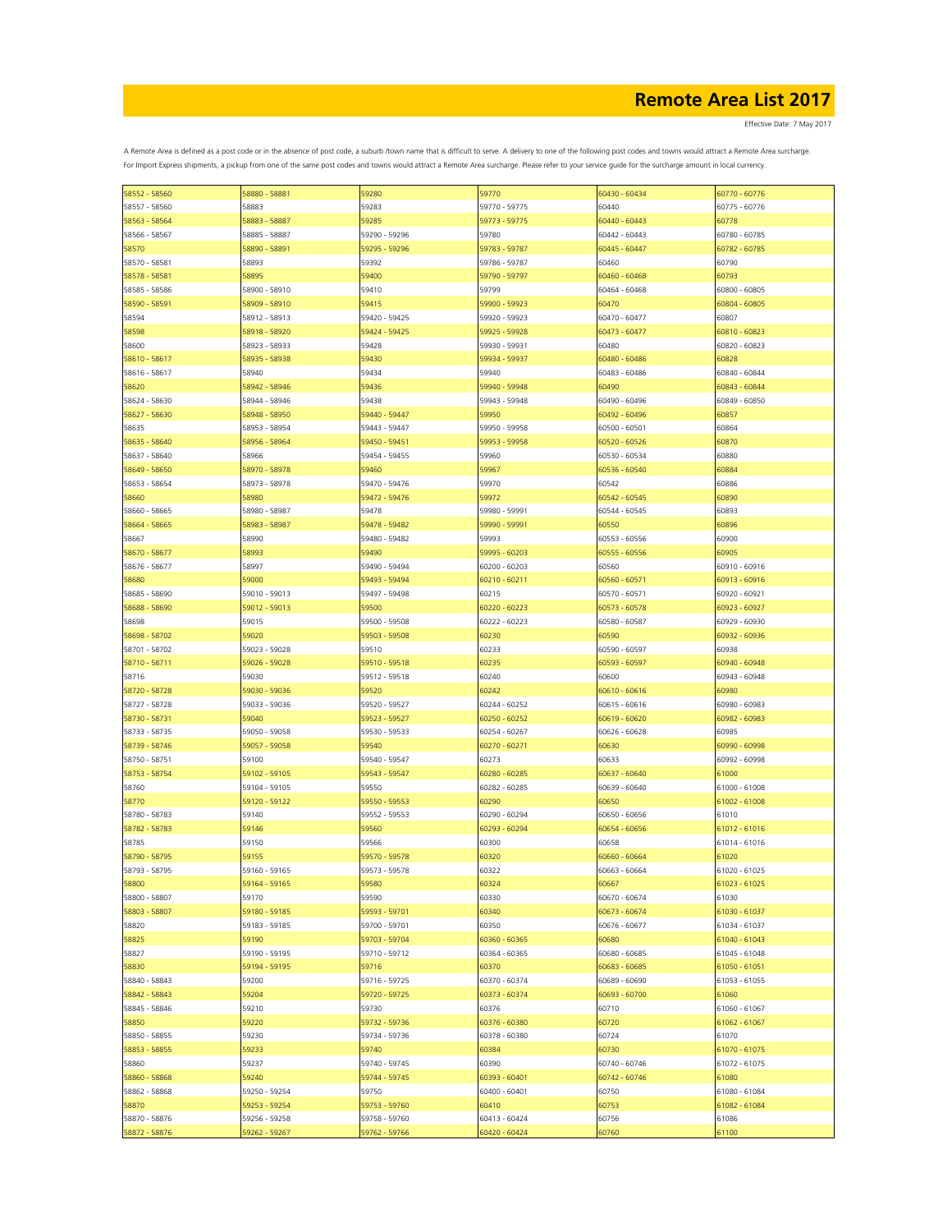Effective Date: 7 May 2017

| 58552 - 58560 | 58880 - 58881 | 59280         | 59770         | 60430 - 60434 | 60770 - 60776 |
|---------------|---------------|---------------|---------------|---------------|---------------|
| 58557 - 58560 | 58883         | 59283         | 59770 - 59775 | 60440         | 60775 - 60776 |
| 58563 - 58564 | 58883 - 58887 | 59285         | 59773 - 59775 | 60440 - 60443 | 60778         |
| 58566 - 58567 | 58885 - 58887 | 59290 - 59296 | 59780         | 60442 - 60443 | 60780 - 60785 |
| 58570         | 58890 - 58891 | 59295 - 59296 | 59783 - 59787 | 60445 - 60447 | 60782 - 60785 |
|               |               |               |               |               |               |
| 58570 - 58581 | 58893         | 59392         | 59786 - 59787 | 60460         | 60790         |
| 58578 - 58581 | 58895         | 59400         | 59790 - 59797 | 60460 - 60468 | 60793         |
| 58585 - 58586 | 58900 - 58910 | 59410         | 59799         | 60464 - 60468 | 60800 - 60805 |
| 58590 - 58591 | 58909 - 58910 | 59415         | 59900 - 59923 | 60470         | 60804 - 60805 |
| 58594         | 58912 - 58913 | 59420 - 59425 | 59920 - 59923 | 60470 - 60477 | 60807         |
| 58598         | 58918 - 58920 | 59424 - 59425 | 59925 - 59928 | 60473 - 60477 | 60810 - 60823 |
| 58600         | 58923 - 58933 | 59428         | 59930 - 59931 | 60480         | 60820 - 60823 |
| 58610 - 58617 | 58935 - 58938 | 59430         | 59934 - 59937 | 60480 - 60486 | 60828         |
| 58616 - 58617 |               | 59434         | 59940         |               |               |
|               | 58940         |               |               | 60483 - 60486 | 60840 - 60844 |
| 58620         | 58942 - 58946 | 59436         | 59940 - 59948 | 60490         | 60843 - 60844 |
| 58624 - 58630 | 58944 - 58946 | 59438         | 59943 - 59948 | 60490 - 60496 | 60849 - 60850 |
| 58627 - 58630 | 58948 - 58950 | 59440 - 59447 | 59950         | 60492 - 60496 | 60857         |
| 58635         | 58953 - 58954 | 59443 - 59447 | 59950 - 59958 | 60500 - 60501 | 60864         |
| 58635 - 58640 | 58956 - 58964 | 59450 - 59451 | 59953 - 59958 | 60520 - 60526 | 60870         |
| 58637 - 58640 | 58966         | 59454 - 59455 | 59960         | 60530 - 60534 | 60880         |
| 58649 - 58650 | 58970 - 58978 | 59460         | 59967         | 60536 - 60540 | 60884         |
|               |               |               |               |               |               |
| 58653 - 58654 | 58973 - 58978 | 59470 - 59476 | 59970         | 60542         | 60886         |
| 58660         | 58980         | 59472 - 59476 | 59972         | 60542 - 60545 | 60890         |
| 58660 - 58665 | 58980 - 58987 | 59478         | 59980 - 59991 | 60544 - 60545 | 60893         |
| 58664 - 58665 | 58983 - 58987 | 59478 - 59482 | 59990 - 59991 | 60550         | 60896         |
| 58667         | 58990         | 59480 - 59482 | 59993         | 60553 - 60556 | 60900         |
| 58670 - 58677 | 58993         | 59490         | 59995 - 60203 | 60555 - 60556 | 60905         |
| 58676 - 58677 | 58997         | 59490 - 59494 | 60200 - 60203 | 60560         | 60910 - 60916 |
|               |               |               |               |               |               |
| 58680         | 59000         | 59493 - 59494 | 60210 - 60211 | 60560 - 60571 | 60913 - 60916 |
| 58685 - 58690 | 59010 - 59013 | 59497 - 59498 | 60215         | 60570 - 60571 | 60920 - 60921 |
| 58688 - 58690 | 59012 - 59013 | 59500         | 60220 - 60223 | 60573 - 60578 | 60923 - 60927 |
| 58698         | 59015         | 59500 - 59508 | 60222 - 60223 | 60580 - 60587 | 60929 - 60930 |
| 58698 - 58702 | 59020         | 59503 - 59508 | 60230         | 60590         | 60932 - 60936 |
| 58701 - 58702 | 59023 - 59028 | 59510         | 60233         | 60590 - 60597 | 60938         |
| 58710 - 58711 | 59026 - 59028 | 59510 - 59518 | 60235         | 60593 - 60597 | 60940 - 60948 |
|               | 59030         |               |               |               |               |
| 58716         |               | 59512 - 59518 | 60240         | 60600         | 60943 - 60948 |
| 58720 - 58728 | 59030 - 59036 | 59520         | 60242         | 60610 - 60616 | 60980         |
| 58727 - 58728 | 59033 - 59036 | 59520 - 59527 | 60244 - 60252 | 60615 - 60616 | 60980 - 60983 |
| 58730 - 58731 | 59040         | 59523 - 59527 | 60250 - 60252 | 60619 - 60620 | 60982 - 60983 |
| 58733 - 58735 | 59050 - 59058 | 59530 - 59533 | 60254 - 60267 | 60626 - 60628 | 60985         |
| 58739 - 58746 | 59057 - 59058 | 59540         | 60270 - 60271 | 60630         | 60990 - 60998 |
| 58750 - 58751 | 59100         | 59540 - 59547 | 60273         | 60633         | 60992 - 60998 |
| 58753 - 58754 | 59102 - 59105 | 59543 - 59547 | 60280 - 60285 | 60637 - 60640 | 61000         |
|               | 59104 - 59105 | 59550         | 60282 - 60285 | 60639 - 60640 | 61000 - 61008 |
| 58760         |               |               |               |               |               |
| 58770         | 59120 - 59122 | 59550 - 59553 | 60290         | 60650         | 61002 - 61008 |
| 58780 - 58783 | 59140         | 59552 - 59553 | 60290 - 60294 | 60650 - 60656 | 61010         |
| 58782 - 58783 | 59146         | 59560         | 60293 - 60294 | 60654 - 60656 | 61012 - 61016 |
| 58785         | 59150         | 59566         | 60300         | 60658         | 61014 - 61016 |
| 58790 - 58795 | 59155         | 59570 - 59578 | 60320         | 60660 - 60664 | 61020         |
| 58793 - 58795 | 59160 - 59165 | 59573 - 59578 | 60322         | 60663 - 60664 | 61020 - 61025 |
| 58800         | 59164 - 59165 | 59580         | 60324         | 60667         | 61023 - 61025 |
| 58800 - 58807 | 59170         | 59590         | 60330         | 60670 - 60674 | 61030         |
|               |               |               |               |               |               |
| 58803 - 58807 | 59180 - 59185 | 59593 - 59701 | 60340         | 60673 - 60674 | 61030 - 61037 |
| 58820         | 59183 - 59185 | 59700 - 59701 | 60350         | 60676 - 60677 | 61034 - 61037 |
| 58825         | 59190         | 59703 - 59704 | 60360 - 60365 | 60680         | 61040 - 61043 |
| 58827         | 59190 - 59195 | 59710 - 59712 | 60364 - 60365 | 60680 - 60685 | 61045 - 61048 |
| 58830         | 59194 - 59195 | 59716         | 60370         | 60683 - 60685 | 61050 - 61051 |
| 58840 - 58843 | 59200         | 59716 - 59725 | 60370 - 60374 | 60689 - 60690 | 61053 - 61055 |
| 58842 - 58843 | 59204         | 59720 - 59725 | 60373 - 60374 | 60693 - 60700 | 61060         |
| 58845 - 58846 | 59210         | 59730         | 60376         | 60710         | 61060 - 61067 |
|               |               |               |               |               |               |
| 58850         | 59220         | 59732 - 59736 | 60376 - 60380 | 60720         | 61062 - 61067 |
| 58850 - 58855 | 59230         | 59734 - 59736 | 60378 - 60380 | 60724         | 61070         |
| 58853 - 58855 | 59233         | 59740         | 60384         | 60730         | 61070 - 61075 |
| 58860         | 59237         | 59740 - 59745 | 60390         | 60740 - 60746 | 61072 - 61075 |
| 58860 - 58868 | 59240         | 59744 - 59745 | 60393 - 60401 | 60742 - 60746 | 61080         |
| 58862 - 58868 | 59250 - 59254 | 59750         | 60400 - 60401 | 60750         | 61080 - 61084 |
| 58870         | 59253 - 59254 | 59753 - 59760 | 60410         | 60753         | 61082 - 61084 |
|               |               |               |               |               | 61086         |
| 58870 - 58876 | 59256 - 59258 | 59758 - 59760 | 60413 - 60424 | 60756         |               |
| 58872 - 58876 | 59262 - 59267 | 59762 - 59766 | 60420 - 60424 | 60760         | 61100         |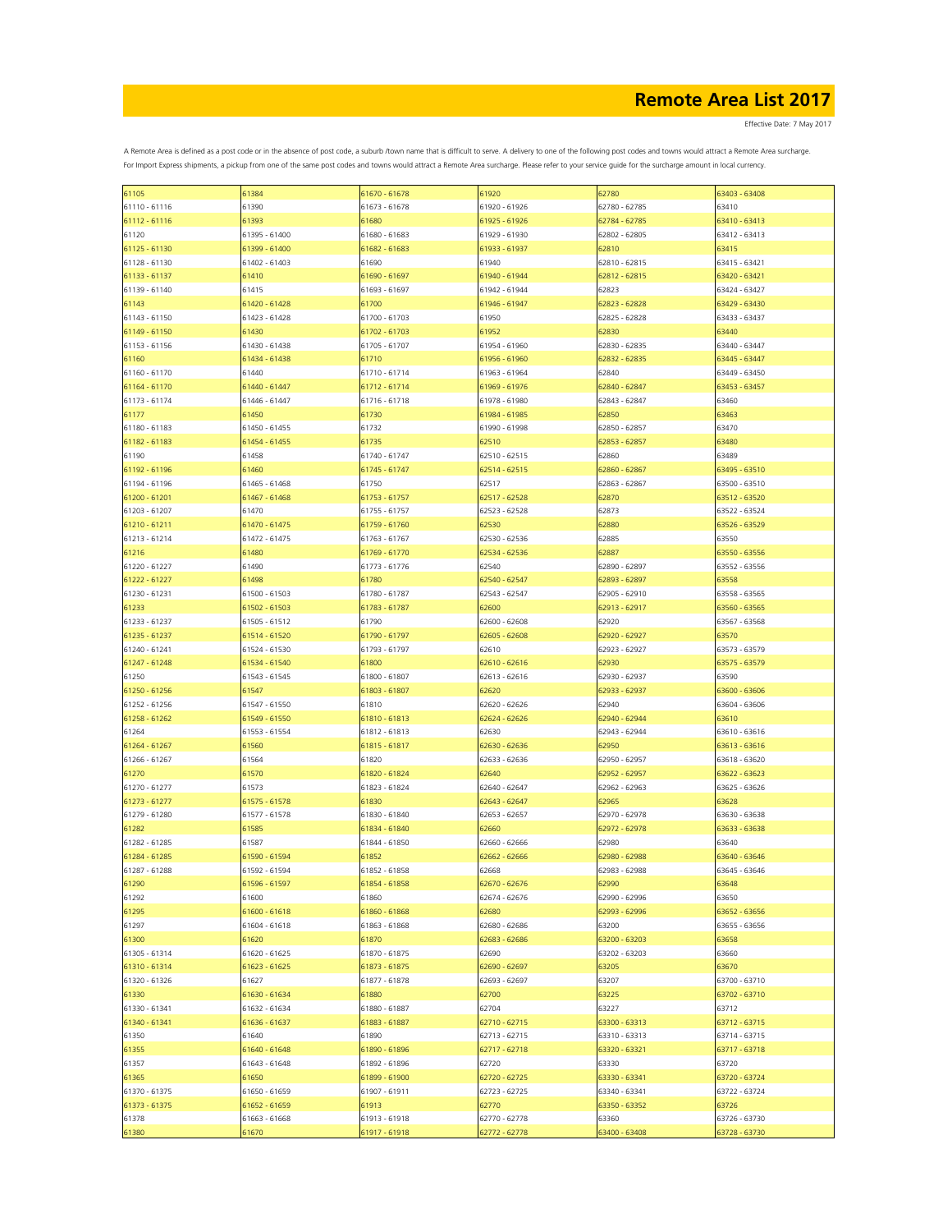Effective Date: 7 May 2017

| 61105         | 61384         | 61670 - 61678 | 61920         | 62780         | 63403 - 63408 |
|---------------|---------------|---------------|---------------|---------------|---------------|
| 61110 - 61116 | 61390         | 61673 - 61678 | 61920 - 61926 | 62780 - 62785 | 63410         |
|               |               |               |               |               |               |
| 61112 - 61116 | 61393         | 61680         | 61925 - 61926 | 62784 - 62785 | 63410 - 63413 |
| 61120         | 61395 - 61400 | 61680 - 61683 | 61929 - 61930 | 62802 - 62805 | 63412 - 63413 |
|               | 61399 - 61400 | 61682 - 61683 | 61933 - 61937 | 62810         | 63415         |
| 61125 - 61130 |               |               |               |               |               |
| 61128 - 61130 | 61402 - 61403 | 61690         | 61940         | 62810 - 62815 | 63415 - 63421 |
| 61133 - 61137 | 61410         | 61690 - 61697 | 61940 - 61944 | 62812 - 62815 | 63420 - 63421 |
|               |               |               |               |               |               |
| 61139 - 61140 | 61415         | 61693 - 61697 | 61942 - 61944 | 62823         | 63424 - 63427 |
| 61143         | 61420 - 61428 | 61700         | 61946 - 61947 | 62823 - 62828 | 63429 - 63430 |
|               |               |               |               |               |               |
| 61143 - 61150 | 61423 - 61428 | 61700 - 61703 | 61950         | 62825 - 62828 | 63433 - 63437 |
| 61149 - 61150 | 61430         | 61702 - 61703 | 61952         | 62830         | 63440         |
|               |               |               |               |               |               |
| 61153 - 61156 | 61430 - 61438 | 61705 - 61707 | 61954 - 61960 | 62830 - 62835 | 63440 - 63447 |
| 61160         | 61434 - 61438 | 61710         | 61956 - 61960 | 62832 - 62835 | 63445 - 63447 |
|               |               |               |               | 62840         |               |
| 61160 - 61170 | 61440         | 61710 - 61714 | 61963 - 61964 |               | 63449 - 63450 |
| 61164 - 61170 | 61440 - 61447 | 61712 - 61714 | 61969 - 61976 | 62840 - 62847 | 63453 - 63457 |
| 61173 - 61174 | 61446 - 61447 | 61716 - 61718 | 61978 - 61980 | 62843 - 62847 | 63460         |
|               |               |               |               |               |               |
| 61177         | 61450         | 61730         | 61984 - 61985 | 62850         | 63463         |
| 61180 - 61183 | 61450 - 61455 | 61732         | 61990 - 61998 | 62850 - 62857 | 63470         |
|               |               |               |               |               |               |
| 61182 - 61183 | 61454 - 61455 | 61735         | 62510         | 62853 - 62857 | 63480         |
| 61190         | 61458         | 61740 - 61747 | 62510 - 62515 | 62860         | 63489         |
|               |               |               |               |               |               |
| 61192 - 61196 | 61460         | 61745 - 61747 | 62514 - 62515 | 62860 - 62867 | 63495 - 63510 |
| 61194 - 61196 | 61465 - 61468 | 61750         | 62517         | 62863 - 62867 | 63500 - 63510 |
|               |               |               |               |               |               |
| 61200 - 61201 | 61467 - 61468 | 61753 - 61757 | 62517 - 62528 | 62870         | 63512 - 63520 |
| 61203 - 61207 | 61470         | 61755 - 61757 | 62523 - 62528 | 62873         | 63522 - 63524 |
|               | 61470 - 61475 |               | 62530         | 62880         |               |
| 61210 - 61211 |               | 61759 - 61760 |               |               | 63526 - 63529 |
| 61213 - 61214 | 61472 - 61475 | 61763 - 61767 | 62530 - 62536 | 62885         | 63550         |
| 61216         | 61480         | 61769 - 61770 | 62534 - 62536 | 62887         | 63550 - 63556 |
|               |               |               |               |               |               |
| 61220 - 61227 | 61490         | 61773 - 61776 | 62540         | 62890 - 62897 | 63552 - 63556 |
| 61222 - 61227 | 61498         | 61780         | 62540 - 62547 | 62893 - 62897 | 63558         |
|               |               |               |               |               |               |
| 61230 - 61231 | 61500 - 61503 | 61780 - 61787 | 62543 - 62547 | 62905 - 62910 | 63558 - 63565 |
| 61233         | 61502 - 61503 | 61783 - 61787 | 62600         | 62913 - 62917 | 63560 - 63565 |
|               |               |               |               |               |               |
| 61233 - 61237 | 61505 - 61512 | 61790         | 62600 - 62608 | 62920         | 63567 - 63568 |
| 61235 - 61237 | 61514 - 61520 | 61790 - 61797 | 62605 - 62608 | 62920 - 62927 | 63570         |
|               |               |               |               |               |               |
| 61240 - 61241 | 61524 - 61530 | 61793 - 61797 | 62610         | 62923 - 62927 | 63573 - 63579 |
| 61247 - 61248 | 61534 - 61540 | 61800         | 62610 - 62616 | 62930         | 63575 - 63579 |
| 61250         |               | 61800 - 61807 |               | 62930 - 62937 |               |
|               | 61543 - 61545 |               | 62613 - 62616 |               | 63590         |
| 61250 - 61256 | 61547         | 61803 - 61807 | 62620         | 62933 - 62937 | 63600 - 63606 |
|               | 61547 - 61550 | 61810         |               | 62940         |               |
| 61252 - 61256 |               |               | 62620 - 62626 |               | 63604 - 63606 |
| 61258 - 61262 | 61549 - 61550 | 61810 - 61813 | 62624 - 62626 | 62940 - 62944 | 63610         |
| 61264         | 61553 - 61554 | 61812 - 61813 | 62630         | 62943 - 62944 | 63610 - 63616 |
|               |               |               |               |               |               |
| 61264 - 61267 | 61560         | 61815 - 61817 | 62630 - 62636 | 62950         | 63613 - 63616 |
| 61266 - 61267 | 61564         | 61820         | 62633 - 62636 | 62950 - 62957 | 63618 - 63620 |
|               |               |               |               |               |               |
| 61270         | 61570         | 61820 - 61824 | 62640         | 62952 - 62957 | 63622 - 63623 |
| 61270 - 61277 | 61573         | 61823 - 61824 | 62640 - 62647 | 62962 - 62963 | 63625 - 63626 |
|               |               |               |               |               |               |
| 61273 - 61277 | 61575 - 61578 | 61830         | 62643 - 62647 | 62965         | 63628         |
| 61279 - 61280 | 61577 - 61578 | 61830 - 61840 | 62653 - 62657 | 62970 - 62978 | 63630 - 63638 |
|               |               |               |               |               |               |
| 61282         | 61585         | 61834 - 61840 | 62660         | 62972 - 62978 | 63633 - 63638 |
| 61282 - 61285 | 61587         | 61844 - 61850 | 62660 - 62666 | 62980         | 63640         |
| 61284 - 61285 | 61590 - 61594 | 61852         | 62662 - 62666 | 62980 - 62988 | 63640 - 63646 |
|               |               |               |               |               |               |
| 61287 - 61288 | 61592 - 61594 | 61852 - 61858 | 62668         | 62983 - 62988 | 63645 - 63646 |
| 61290         | 61596 - 61597 | 61854 - 61858 | 62670 - 62676 | 62990         | 63648         |
|               |               |               |               |               |               |
| 61292         | 61600         | 61860         | 62674 - 62676 | 62990 - 62996 | 63650         |
| 61295         | 61600 - 61618 | 61860 - 61868 | 62680         | 62993 - 62996 | 63652 - 63656 |
|               |               |               |               |               |               |
| 61297         | 61604 - 61618 | 61863 - 61868 | 62680 - 62686 | 63200         | 63655 - 63656 |
| 61300         | 61620         | 61870         | 62683 - 62686 | 63200 - 63203 | 63658         |
| 61305 - 61314 | 61620 - 61625 | 61870 - 61875 | 62690         | 63202 - 63203 | 63660         |
|               |               |               |               |               |               |
| 61310 - 61314 | 61623 - 61625 | 61873 - 61875 | 62690 - 62697 | 63205         | 63670         |
| 61320 - 61326 | 61627         | 61877 - 61878 | 62693 - 62697 | 63207         | 63700 - 63710 |
|               |               |               |               |               |               |
| 61330         | 61630 - 61634 | 61880         | 62700         | 63225         | 63702 - 63710 |
| 61330 - 61341 | 61632 - 61634 | 61880 - 61887 | 62704         | 63227         | 63712         |
|               |               |               |               |               |               |
| 61340 - 61341 | 61636 - 61637 | 61883 - 61887 | 62710 - 62715 | 63300 - 63313 | 63712 - 63715 |
| 61350         | 61640         | 61890         | 62713 - 62715 | 63310 - 63313 | 63714 - 63715 |
|               |               |               |               |               |               |
| 61355         | 61640 - 61648 | 61890 - 61896 | 62717 - 62718 | 63320 - 63321 | 63717 - 63718 |
| 61357         | 61643 - 61648 | 61892 - 61896 | 62720         | 63330         | 63720         |
|               | 61650         | 61899 - 61900 |               |               |               |
| 61365         |               |               | 62720 - 62725 | 63330 - 63341 | 63720 - 63724 |
| 61370 - 61375 | 61650 - 61659 | 61907 - 61911 | 62723 - 62725 | 63340 - 63341 | 63722 - 63724 |
|               | 61652 - 61659 |               |               |               |               |
| 61373 - 61375 |               | 61913         | 62770         | 63350 - 63352 | 63726         |
| 61378         | 61663 - 61668 | 61913 - 61918 | 62770 - 62778 | 63360         | 63726 - 63730 |
| 61380         | 61670         | 61917 - 61918 | 62772 - 62778 | 53400 - 63408 | 63728 - 63730 |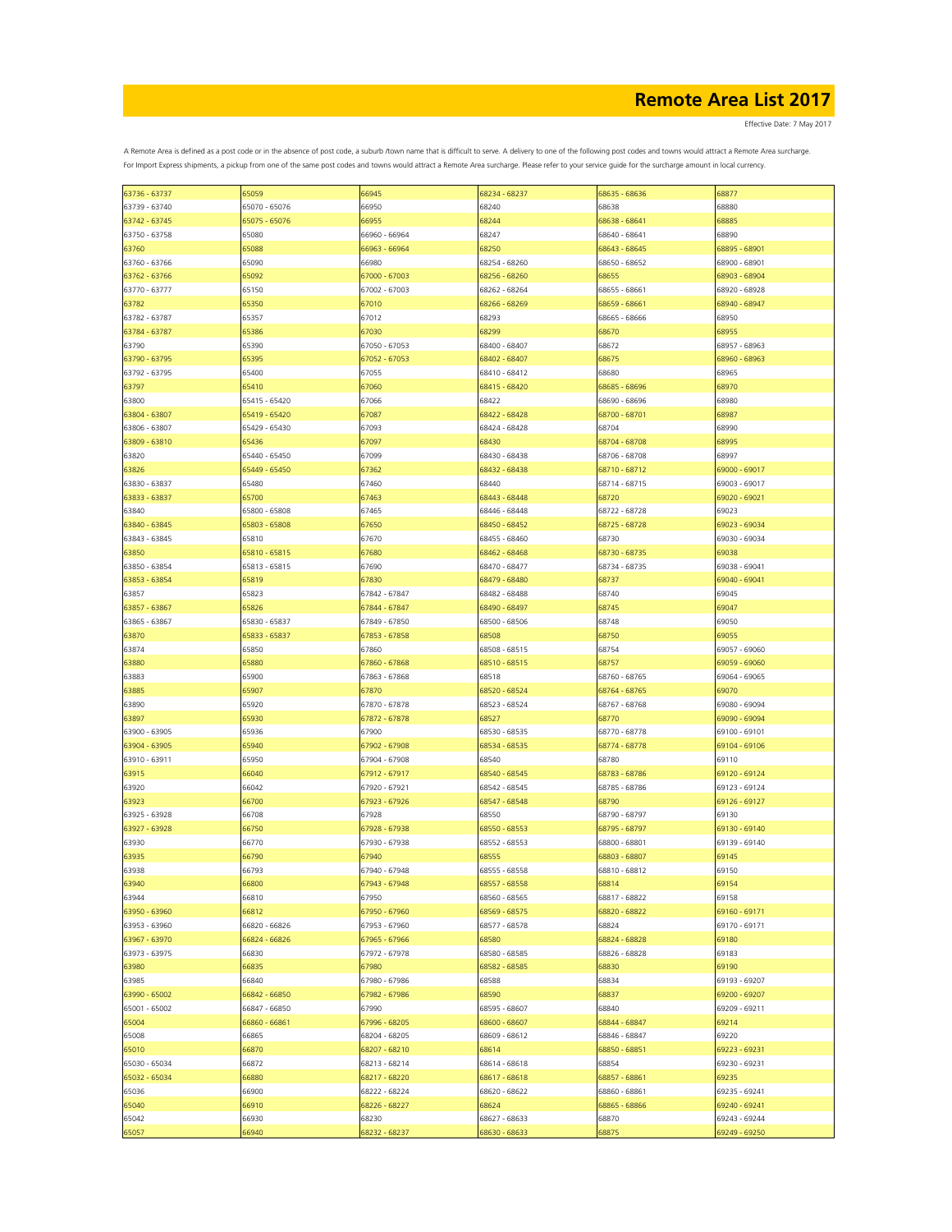Effective Date: 7 May 2017

| 63736 - 63737 | 65059         | 66945         | 68234 - 68237 | 68635 - 68636 | 68877         |
|---------------|---------------|---------------|---------------|---------------|---------------|
| 63739 - 63740 | 65070 - 65076 | 66950         | 68240         | 68638         | 68880         |
| 63742 - 63745 | 65075 - 65076 | 66955         | 68244         | 68638 - 68641 | 68885         |
| 63750 - 63758 | 65080         | 66960 - 66964 | 68247         | 68640 - 68641 | 68890         |
|               |               |               |               |               |               |
| 63760         | 65088         | 66963 - 66964 | 68250         | 68643 - 68645 | 68895 - 68901 |
| 63760 - 63766 | 65090         | 66980         | 68254 - 68260 | 68650 - 68652 | 68900 - 68901 |
| 63762 - 63766 | 65092         | 67000 - 67003 | 68256 - 68260 | 68655         | 68903 - 68904 |
| 63770 - 63777 | 65150         | 67002 - 67003 | 68262 - 68264 | 68655 - 68661 | 68920 - 68928 |
| 63782         | 65350         | 67010         | 58266 - 68269 | 68659 - 68661 | 68940 - 68947 |
| 63782 - 63787 | 65357         | 67012         | 68293         | 68665 - 68666 | 68950         |
| 63784 - 63787 | 65386         | 67030         | 68299         | 68670         | 68955         |
| 63790         | 65390         | 67050 - 67053 | 68400 - 68407 | 68672         | 68957 - 68963 |
|               |               |               |               |               |               |
| 63790 - 63795 | 65395         | 67052 - 67053 | 68402 - 68407 | 68675         | 68960 - 68963 |
| 63792 - 63795 | 65400         | 67055         | 68410 - 68412 | 68680         | 68965         |
| 63797         | 65410         | 67060         | 68415 - 68420 | 68685 - 68696 | 68970         |
| 63800         | 65415 - 65420 | 67066         | 68422         | 68690 - 68696 | 68980         |
| 63804 - 63807 | 65419 - 65420 | 67087         | 68422 - 68428 | 68700 - 68701 | 68987         |
| 63806 - 63807 | 65429 - 65430 | 67093         | 68424 - 68428 | 68704         | 68990         |
| 63809 - 63810 | 65436         | 67097         | 68430         | 68704 - 68708 | 68995         |
|               | 65440 - 65450 | 67099         | 68430 - 68438 | 68706 - 68708 | 68997         |
| 63820         |               |               |               |               |               |
| 63826         | 65449 - 65450 | 67362         | 68432 - 68438 | 68710 - 68712 | 69000 - 69017 |
| 63830 - 63837 | 65480         | 67460         | 68440         | 68714 - 68715 | 69003 - 69017 |
| 63833 - 63837 | 65700         | 67463         | 68443 - 68448 | 68720         | 69020 - 69021 |
| 63840         | 65800 - 65808 | 67465         | 68446 - 68448 | 68722 - 68728 | 69023         |
| 63840 - 63845 | 65803 - 65808 | 67650         | 68450 - 68452 | 68725 - 68728 | 69023 - 69034 |
| 63843 - 63845 | 65810         | 67670         | 68455 - 68460 | 68730         | 69030 - 69034 |
| 63850         | 65810 - 65815 | 67680         | 68462 - 68468 | 68730 - 68735 | 69038         |
| 63850 - 63854 | 65813 - 65815 | 67690         | 68470 - 68477 | 68734 - 68735 | 69038 - 69041 |
| 63853 - 63854 | 65819         | 67830         | 68479 - 68480 | 68737         | 69040 - 69041 |
| 63857         | 65823         | 67842 - 67847 | 68482 - 68488 | 68740         | 69045         |
|               | 65826         |               |               | 68745         | 69047         |
| 63857 - 63867 |               | 67844 - 67847 | 68490 - 68497 |               |               |
| 63865 - 63867 | 65830 - 65837 | 67849 - 67850 | 68500 - 68506 | 68748         | 69050         |
| 63870         | 65833 - 65837 | 67853 - 67858 | 68508         | 68750         | 69055         |
| 63874         | 65850         | 67860         | 68508 - 68515 | 68754         | 69057 - 69060 |
| 63880         | 65880         | 67860 - 67868 | 68510 - 68515 | 68757         | 69059 - 69060 |
| 63883         | 65900         | 67863 - 67868 | 68518         | 68760 - 68765 | 69064 - 69065 |
| 63885         | 65907         | 67870         | 68520 - 68524 | 68764 - 68765 | 69070         |
| 63890         | 65920         | 67870 - 67878 | 68523 - 68524 | 68767 - 68768 | 69080 - 69094 |
| 63897         | 65930         | 67872 - 67878 | 68527         | 68770         | 69090 - 69094 |
| 63900 - 63905 | 65936         | 67900         | 68530 - 68535 | 68770 - 68778 | 69100 - 69101 |
|               |               |               |               | 68774 - 68778 | 69104 - 69106 |
| 63904 - 63905 | 65940         | 67902 - 67908 | 68534 - 68535 |               |               |
| 63910 - 63911 | 65950         | 67904 - 67908 | 68540         | 68780         | 69110         |
| 63915         | 66040         | 67912 - 67917 | 68540 - 68545 | 68783 - 68786 | 69120 - 69124 |
| 63920         | 66042         | 67920 - 67921 | 68542 - 68545 | 68785 - 68786 | 69123 - 69124 |
| 63923         | 66700         | 67923 - 67926 | 68547 - 68548 | 68790         | 69126 - 69127 |
| 63925 - 63928 | 66708         | 67928         | 68550         | 68790 - 68797 | 69130         |
| 63927 - 63928 | 66750         | 67928 - 67938 | 58550 - 68553 | 68795 - 68797 | 69130 - 69140 |
| 63930         | 66770         | 67930 - 67938 | 68552 - 68553 | 68800 - 68801 | 69139 - 69140 |
| 63935         | 66790         | 67940         | 68555         | 68803 - 68807 | 69145         |
| 63938         | 66793         | 67940 - 67948 | 68555 - 68558 | 68810 - 68812 | 69150         |
| 63940         | 66800         |               |               |               | 69154         |
|               |               | 67943 - 67948 | 68557 - 68558 | 68814         |               |
| 63944         | 66810         | 67950         | 68560 - 68565 | 68817 - 68822 | 69158         |
| 63950 - 63960 | 66812         | 67950 - 67960 | 68569 - 68575 | 68820 - 68822 | 69160 - 69171 |
| 63953 - 63960 | 66820 - 66826 | 67953 - 67960 | 68577 - 68578 | 68824         | 69170 - 69171 |
| 63967 - 63970 | 66824 - 66826 | 67965 - 67966 | 68580         | 68824 - 68828 | 69180         |
| 63973 - 63975 | 66830         | 67972 - 67978 | 68580 - 68585 | 68826 - 68828 | 69183         |
| 63980         | 66835         | 67980         | 68582 - 68585 | 68830         | 69190         |
| 63985         | 66840         | 67980 - 67986 | 68588         | 68834         | 69193 - 69207 |
| 63990 - 65002 | 66842 - 66850 | 67982 - 67986 | 68590         | 68837         | 69200 - 69207 |
| 65001 - 65002 | 66847 - 66850 | 67990         | 68595 - 68607 | 68840         | 69209 - 69211 |
| 65004         | 66860 - 66861 | 67996 - 68205 | 68600 - 68607 | 68844 - 68847 | 69214         |
| 65008         | 66865         | 68204 - 68205 | 68609 - 68612 | 68846 - 68847 | 69220         |
|               |               |               |               |               |               |
| 65010         | 66870         | 68207 - 68210 | 68614         | 68850 - 68851 | 69223 - 69231 |
| 65030 - 65034 | 66872         | 68213 - 68214 | 68614 - 68618 | 68854         | 69230 - 69231 |
| 65032 - 65034 | 66880         | 68217 - 68220 | 68617 - 68618 | 68857 - 68861 | 69235         |
| 65036         | 66900         | 68222 - 68224 | 68620 - 68622 | 68860 - 68861 | 69235 - 69241 |
| 65040         | 66910         | 68226 - 68227 | 68624         | 68865 - 68866 | 69240 - 69241 |
| 65042         | 66930         | 68230         | 68627 - 68633 | 68870         | 69243 - 69244 |
| 65057         | 66940         | 68232 - 68237 | 68630 - 68633 | 68875         | 69249 - 69250 |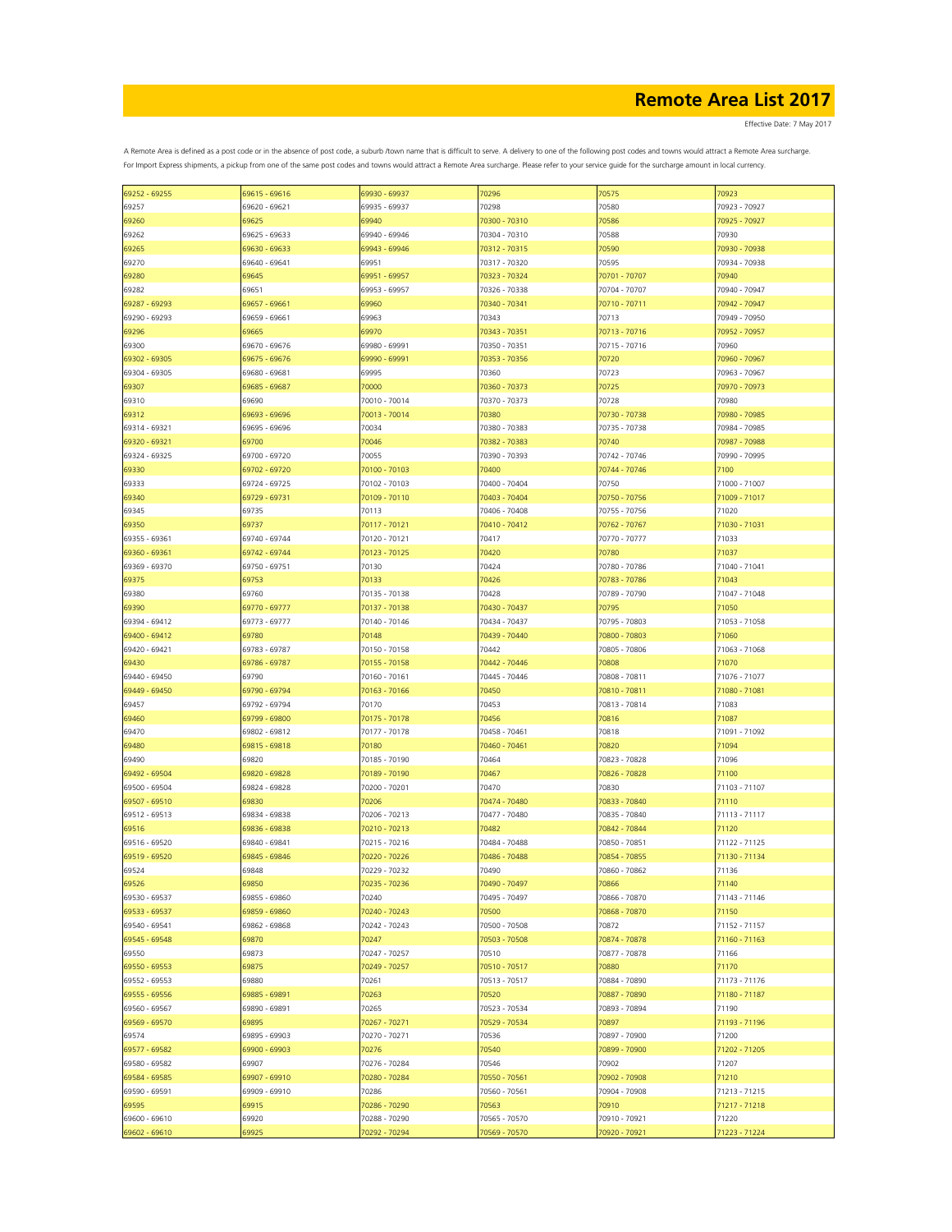Effective Date: 7 May 2017

| 69252 - 69255 | 69615 - 69616 | 69930 - 69937 | 70296         | 70575         | 70923         |
|---------------|---------------|---------------|---------------|---------------|---------------|
|               |               |               |               |               |               |
| 69257         | 69620 - 69621 | 69935 - 69937 | 70298         | 70580         | 70923 - 70927 |
| 69260         | 69625         | 69940         | 70300 - 70310 | 70586         | 70925 - 70927 |
| 69262         | 69625 - 69633 | 69940 - 69946 | 70304 - 70310 | 70588         | 70930         |
| 69265         | 69630 - 69633 | 69943 - 69946 | 70312 - 70315 | 70590         | 70930 - 70938 |
|               |               |               |               |               |               |
| 69270         | 69640 - 69641 | 69951         | 70317 - 70320 | 70595         | 70934 - 70938 |
| 69280         | 69645         | 69951 - 69957 | 70323 - 70324 | 70701 - 70707 | 70940         |
| 69282         | 69651         | 69953 - 69957 | 70326 - 70338 | 70704 - 70707 | 70940 - 70947 |
| 69287 - 69293 | 69657 - 69661 | 69960         | 70340 - 70341 | 70710 - 70711 | 70942 - 70947 |
|               |               |               |               |               |               |
| 69290 - 69293 | 69659 - 69661 | 69963         | 70343         | 70713         | 70949 - 70950 |
| 69296         | 69665         | 69970         | 70343 - 70351 | 70713 - 70716 | 70952 - 70957 |
| 69300         | 69670 - 69676 | 69980 - 69991 | 70350 - 70351 | 70715 - 70716 | 70960         |
| 69302 - 69305 | 69675 - 69676 | 69990 - 69991 | 70353 - 70356 | 70720         | 70960 - 70967 |
| 69304 - 69305 | 69680 - 69681 | 69995         | 70360         | 70723         | 70963 - 70967 |
|               |               |               |               |               |               |
| 69307         | 69685 - 69687 | 70000         | 70360 - 70373 | 70725         | 70970 - 70973 |
| 69310         | 69690         | 70010 - 70014 | 70370 - 70373 | 70728         | 70980         |
| 69312         | 69693 - 69696 | 70013 - 70014 | 70380         | 70730 - 70738 | 70980 - 70985 |
| 69314 - 69321 | 69695 - 69696 | 70034         | 70380 - 70383 | 70735 - 70738 | 70984 - 70985 |
| 69320 - 69321 | 69700         | 70046         | 70382 - 70383 | 70740         | 70987 - 70988 |
|               |               |               |               |               |               |
| 69324 - 69325 | 69700 - 69720 | 70055         | 70390 - 70393 | 70742 - 70746 | 70990 - 70995 |
| 69330         | 69702 - 69720 | 70100 - 70103 | 70400         | 70744 - 70746 | 7100          |
| 69333         | 69724 - 69725 | 70102 - 70103 | 70400 - 70404 | 70750         | 71000 - 71007 |
| 69340         | 69729 - 69731 | 70109 - 70110 | 70403 - 70404 | 70750 - 70756 | 71009 - 71017 |
| 69345         | 69735         | 70113         | 70406 - 70408 | 70755 - 70756 | 71020         |
|               |               |               |               |               |               |
| 69350         | 69737         | 70117 - 70121 | 70410 - 70412 | 70762 - 70767 | 71030 - 71031 |
| 69355 - 69361 | 69740 - 69744 | 70120 - 70121 | 70417         | 70770 - 70777 | 71033         |
| 69360 - 69361 | 69742 - 69744 | 70123 - 70125 | 70420         | 70780         | 71037         |
| 69369 - 69370 | 69750 - 69751 | 70130         | 70424         | 70780 - 70786 | 71040 - 71041 |
|               |               |               |               | 70783 - 70786 |               |
| 69375         | 69753         | 70133         | 70426         |               | 71043         |
| 69380         | 69760         | 70135 - 70138 | 70428         | 70789 - 70790 | 71047 - 71048 |
| 69390         | 69770 - 69777 | 70137 - 70138 | 70430 - 70437 | 70795         | 71050         |
| 69394 - 69412 | 69773 - 69777 | 70140 - 70146 | 70434 - 70437 | 70795 - 70803 | 71053 - 71058 |
| 69400 - 69412 | 69780         | 70148         | 70439 - 70440 | 70800 - 70803 | 71060         |
|               |               |               |               |               |               |
| 69420 - 69421 | 69783 - 69787 | 70150 - 70158 | 70442         | 70805 - 70806 | 71063 - 71068 |
| 69430         | 69786 - 69787 | 70155 - 70158 | 70442 - 70446 | 70808         | 71070         |
| 69440 - 69450 | 69790         | 70160 - 70161 | 70445 - 70446 | 70808 - 70811 | 71076 - 71077 |
| 69449 - 69450 | 69790 - 69794 | 70163 - 70166 | 70450         | 70810 - 70811 | 71080 - 71081 |
| 69457         | 69792 - 69794 | 70170         | 70453         | 70813 - 70814 | 71083         |
|               |               |               |               |               |               |
| 69460         | 69799 - 69800 | 70175 - 70178 | 70456         | 70816         | 71087         |
| 69470         | 69802 - 69812 | 70177 - 70178 | 70458 - 70461 | 70818         | 71091 - 71092 |
| 69480         | 69815 - 69818 | 70180         | 70460 - 70461 | 70820         | 71094         |
| 69490         | 69820         | 70185 - 70190 | 70464         | 70823 - 70828 | 71096         |
| 69492 - 69504 | 69820 - 69828 | 70189 - 70190 | 70467         | 70826 - 70828 | 71100         |
|               |               |               |               |               |               |
| 69500 - 69504 | 69824 - 69828 | 70200 - 70201 | 70470         | 70830         | 71103 - 71107 |
| 69507 - 69510 | 69830         | 70206         | 70474 - 70480 | 70833 - 70840 | 71110         |
| 69512 - 69513 | 69834 - 69838 | 70206 - 70213 | 70477 - 70480 | 70835 - 70840 | 71113 - 71117 |
| 69516         | 69836 - 69838 | 70210 - 70213 | 70482         | 70842 - 70844 | 71120         |
| 69516 - 69520 | 69840 - 69841 | 70215 - 70216 | 70484 - 70488 | 70850 - 70851 | 71122 - 71125 |
|               |               |               |               |               |               |
| 69519 - 69520 | 69845 - 69846 | 70220 - 70226 | 70486 - 70488 | 70854 - 70855 | 71130 - 71134 |
| 69524         | 69848         | 70229 - 70232 | 70490         | 70860 - 70862 | 71136         |
| 69526         | 69850         | 70235 - 70236 | 70490 - 70497 | 70866         | 71140         |
| 69530 - 69537 | 69855 - 69860 | 70240         | 70495 - 70497 | 70866 - 70870 | 71143 - 71146 |
| 69533 - 69537 | 69859 - 69860 | 70240 - 70243 | 70500         | 70868 - 70870 | 71150         |
|               |               |               |               |               |               |
| 69540 - 69541 | 69862 - 69868 | 70242 - 70243 | 70500 - 70508 | 70872         | 71152 - 71157 |
| 69545 - 69548 | 69870         | 70247         | 70503 - 70508 | 70874 - 70878 | 71160 - 71163 |
| 69550         | 69873         | 70247 - 70257 | 70510         | 70877 - 70878 | 71166         |
| 69550 - 69553 | 69875         | 70249 - 70257 | 70510 - 70517 | 70880         | 71170         |
| 69552 - 69553 | 69880         | 70261         | 70513 - 70517 | 70884 - 70890 | 71173 - 71176 |
|               |               |               |               |               |               |
| 69555 - 69556 | 69885 - 69891 | 70263         | 70520         | 70887 - 70890 | 71180 - 71187 |
| 69560 - 69567 | 69890 - 69891 | 70265         | 70523 - 70534 | 70893 - 70894 | 71190         |
| 69569 - 69570 | 69895         | 70267 - 70271 | 70529 - 70534 | 70897         | 71193 - 71196 |
| 69574         | 69895 - 69903 | 70270 - 70271 | 70536         | 70897 - 70900 | 71200         |
| 69577 - 69582 | 69900 - 69903 | 70276         |               | 70899 - 70900 | 71202 - 71205 |
|               |               |               | 70540         |               |               |
| 69580 - 69582 | 69907         | 70276 - 70284 | 70546         | 70902         | 71207         |
| 69584 - 69585 | 69907 - 69910 | 70280 - 70284 | 70550 - 70561 | 70902 - 70908 | 71210         |
| 69590 - 69591 | 69909 - 69910 | 70286         | 70560 - 70561 | 70904 - 70908 | 71213 - 71215 |
| 69595         | 69915         | 70286 - 70290 | 70563         | 70910         | 71217 - 71218 |
| 69600 - 69610 | 69920         | 70288 - 70290 | 70565 - 70570 | 70910 - 70921 | 71220         |
|               |               |               |               |               |               |
| 69602 - 69610 | 69925         | 70292 - 70294 | 70569 - 70570 | 70920 - 70921 | 71223 - 71224 |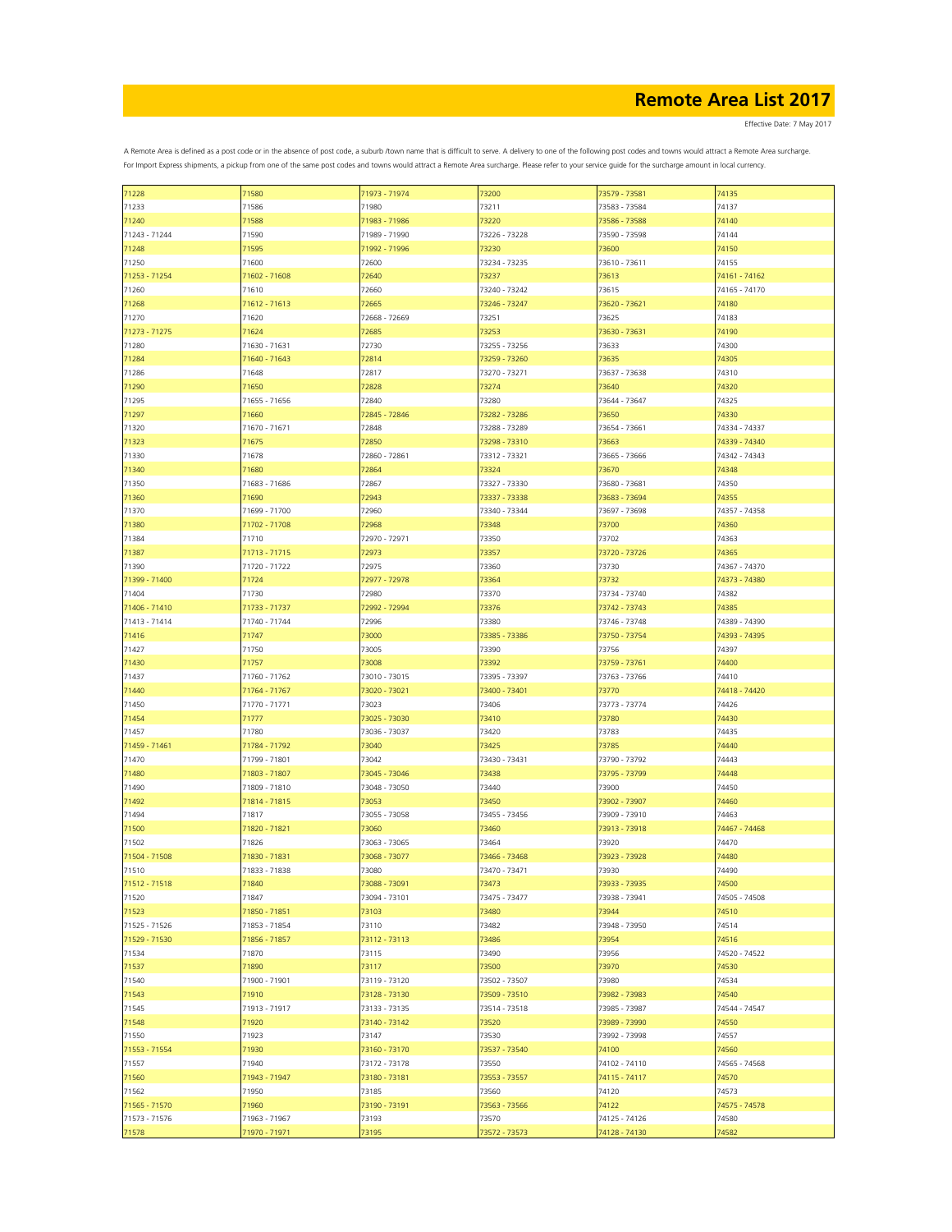Effective Date: 7 May 2017

| 71228         | 71580         | 71973 - 71974 | 73200         | 73579 - 73581 | 74135         |
|---------------|---------------|---------------|---------------|---------------|---------------|
| 71233         | 71586         | 71980         | 73211         | 73583 - 73584 | 74137         |
| 71240         | 71588         | 71983 - 71986 | 73220         | 73586 - 73588 | 74140         |
|               |               |               |               |               |               |
| 71243 - 71244 | 71590         | 71989 - 71990 | 73226 - 73228 | 73590 - 73598 | 74144         |
| 71248         | 71595         | 71992 - 71996 | 73230         | 73600         | 74150         |
| 71250         | 71600         | 72600         | 73234 - 73235 | 73610 - 73611 | 74155         |
| 71253 - 71254 | 71602 - 71608 | 72640         | 73237         | 73613         | 74161 - 74162 |
|               |               |               |               |               |               |
| 71260         | 71610         | 72660         | 73240 - 73242 | 73615         | 74165 - 74170 |
| 71268         | 71612 - 71613 | 72665         | 73246 - 73247 | 73620 - 73621 | 74180         |
| 71270         | 71620         | 72668 - 72669 | 73251         | 73625         | 74183         |
| 71273 - 71275 | 71624         | 72685         | 73253         | 73630 - 73631 | 74190         |
| 71280         | 71630 - 71631 | 72730         | 73255 - 73256 | 73633         | 74300         |
|               |               |               |               |               |               |
| 71284         | 71640 - 71643 | 72814         | 73259 - 73260 | 73635         | 74305         |
| 71286         | 71648         | 72817         | 73270 - 73271 | 73637 - 73638 | 74310         |
| 71290         | 71650         | 72828         | 73274         | 73640         | 74320         |
| 71295         | 71655 - 71656 | 72840         | 73280         | 73644 - 73647 | 74325         |
|               |               |               |               |               |               |
| 71297         | 71660         | 72845 - 72846 | 73282 - 73286 | 73650         | 74330         |
| 71320         | 71670 - 71671 | 72848         | 73288 - 73289 | 73654 - 73661 | 74334 - 74337 |
| 71323         | 71675         | 72850         | 73298 - 73310 | 73663         | 74339 - 74340 |
| 71330         | 71678         | 72860 - 72861 | 73312 - 73321 | 73665 - 73666 | 74342 - 74343 |
|               |               |               |               |               |               |
| 71340         | 71680         | 72864         | 73324         | 73670         | 74348         |
| 71350         | 71683 - 71686 | 72867         | 73327 - 73330 | 73680 - 73681 | 74350         |
| 71360         | 71690         | 72943         | 73337 - 73338 | 73683 - 73694 | 74355         |
| 71370         | 71699 - 71700 | 72960         | 73340 - 73344 | 73697 - 73698 | 74357 - 74358 |
|               |               |               |               | 73700         |               |
| 71380         | 71702 - 71708 | 72968         | 73348         |               | 74360         |
| 71384         | 71710         | 72970 - 72971 | 73350         | 73702         | 74363         |
| 71387         | 71713 - 71715 | 72973         | 73357         | 73720 - 73726 | 74365         |
| 71390         | 71720 - 71722 | 72975         | 73360         | 73730         | 74367 - 74370 |
| 71399 - 71400 | 71724         | 72977 - 72978 | 73364         | 73732         | 74373 - 74380 |
|               |               |               |               |               |               |
| 71404         | 71730         | 72980         | 73370         | 73734 - 73740 | 74382         |
| 71406 - 71410 | 71733 - 71737 | 72992 - 72994 | 73376         | 73742 - 73743 | 74385         |
| 71413 - 71414 | 71740 - 71744 | 72996         | 73380         | 73746 - 73748 | 74389 - 74390 |
| 71416         | 71747         | 73000         | 73385 - 73386 | 73750 - 73754 | 74393 - 74395 |
|               |               |               |               |               |               |
| 71427         | 71750         | 73005         | 73390         | 73756         | 74397         |
| 71430         | 71757         | 73008         | 73392         | 73759 - 73761 | 74400         |
| 71437         | 71760 - 71762 | 73010 - 73015 | 73395 - 73397 | 73763 - 73766 | 74410         |
| 71440         | 71764 - 71767 | 73020 - 73021 | 73400 - 73401 | 73770         | 74418 - 74420 |
|               |               |               |               |               |               |
| 71450         | 71770 - 71771 | 73023         | 73406         | 73773 - 73774 | 74426         |
| 71454         | 71777         | 73025 - 73030 | 73410         | 73780         | 74430         |
| 71457         | 71780         | 73036 - 73037 | 73420         | 73783         | 74435         |
| 71459 - 71461 | 71784 - 71792 | 73040         | 73425         | 73785         | 74440         |
| 71470         | 71799 - 71801 | 73042         | 73430 - 73431 | 73790 - 73792 | 74443         |
|               |               |               |               |               |               |
| 71480         | 71803 - 71807 | 73045 - 73046 | 73438         | 73795 - 73799 | 74448         |
| 71490         | 71809 - 71810 | 73048 - 73050 | 73440         | 73900         | 74450         |
| 71492         | 71814 - 71815 | 73053         | 73450         | 73902 - 73907 | 74460         |
| 71494         | 71817         | 73055 - 73058 | 73455 - 73456 | 73909 - 73910 | 74463         |
|               |               |               |               |               |               |
| 71500         | 71820 - 71821 | 73060         | 73460         | 73913 - 73918 | 74467 - 74468 |
| 71502         | 71826         | 73063 - 73065 | 73464         | 73920         | 74470         |
| 71504 - 71508 | 71830 - 71831 | 73068 - 73077 | 73466 - 73468 | 73923 - 73928 | 74480         |
| 71510         | 71833 - 71838 | 73080         | 73470 - 73471 | 73930         | 74490         |
| 71512 - 71518 | 71840         |               | 73473         | 73933 - 73935 | 74500         |
|               |               | 73088 - 73091 |               |               |               |
| 71520         | 71847         | 73094 - 73101 | 73475 - 73477 | 73938 - 73941 | 74505 - 74508 |
| 71523         | 71850 - 71851 | 73103         | 73480         | 73944         | 74510         |
| 71525 - 71526 | 71853 - 71854 | 73110         | 73482         | 73948 - 73950 | 74514         |
| 71529 - 71530 | 71856 - 71857 | 73112 - 73113 | 73486         | 73954         | 74516         |
|               |               |               |               |               |               |
| 71534         | 71870         | 73115         | 73490         | 73956         | 74520 - 74522 |
| 71537         | 71890         | 73117         | 73500         | 73970         | 74530         |
| 71540         | 71900 - 71901 | 73119 - 73120 | 73502 - 73507 | 73980         | 74534         |
| 71543         | 71910         | 73128 - 73130 | 73509 - 73510 | 73982 - 73983 | 74540         |
|               |               |               |               |               |               |
| 71545         | 71913 - 71917 | 73133 - 73135 | 73514 - 73518 | 73985 - 73987 | 74544 - 74547 |
| 71548         | 71920         | 73140 - 73142 | 73520         | 73989 - 73990 | 74550         |
| 71550         | 71923         | 73147         | 73530         | 73992 - 73998 | 74557         |
| 71553 - 71554 | 71930         | 73160 - 73170 | 73537 - 73540 | 74100         | 74560         |
| 71557         | 71940         | 73172 - 73178 | 73550         | 74102 - 74110 | 74565 - 74568 |
|               |               |               |               |               |               |
| 71560         | 71943 - 71947 | 73180 - 73181 | 73553 - 73557 | 74115 - 74117 | 74570         |
| 71562         | 71950         | 73185         | 73560         | 74120         | 74573         |
| 71565 - 71570 | 71960         | 73190 - 73191 | 73563 - 73566 | 74122         | 74575 - 74578 |
| 71573 - 71576 | 71963 - 71967 | 73193         | 73570         | 74125 - 74126 | 74580         |
|               |               |               |               |               |               |
| 71578         | 71970 - 71971 | 73195         | 73572 - 73573 | 74128 - 74130 | 74582         |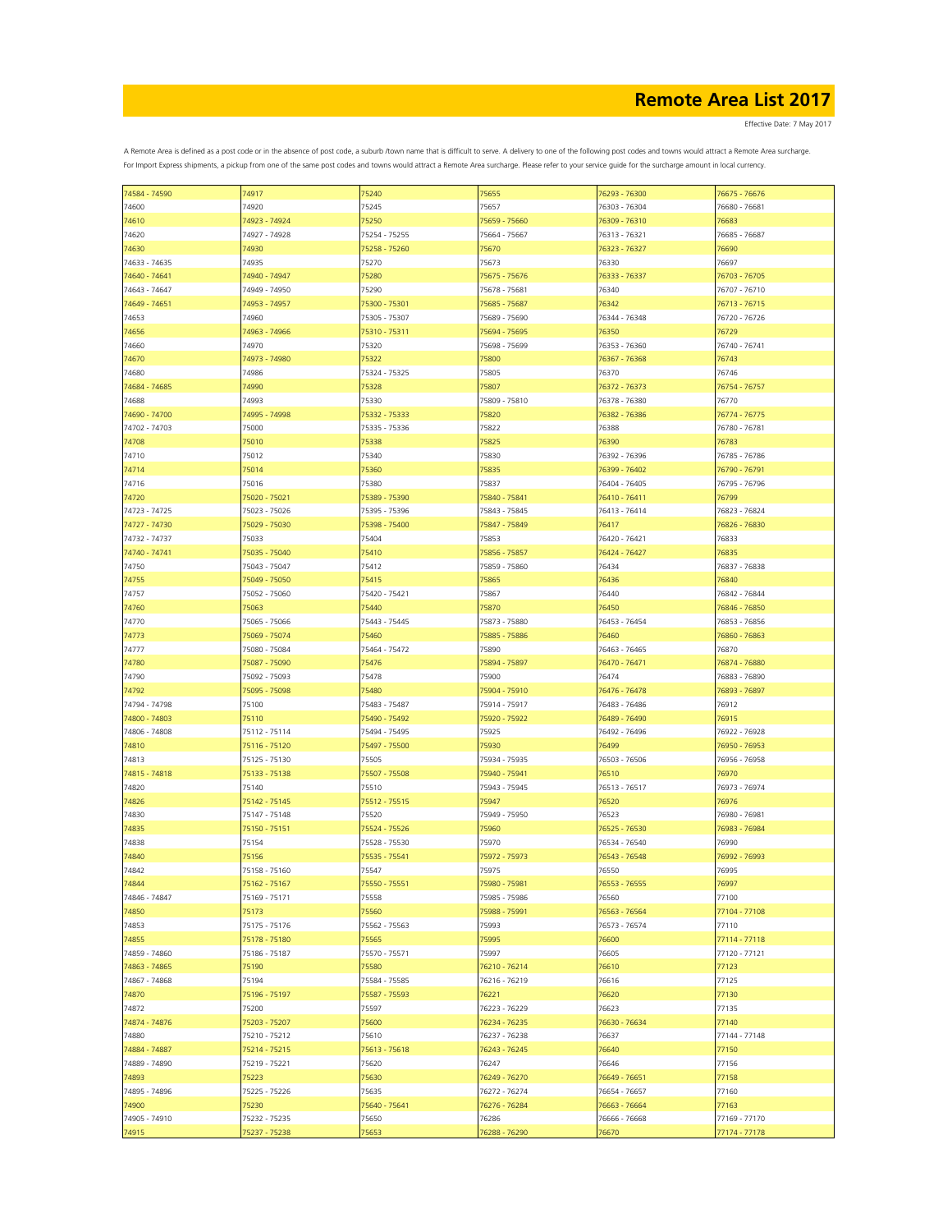Effective Date: 7 May 2017

| 74584 - 74590 | 74917         | 75240         | 75655         | 76293 - 76300 | 76675 - 76676 |
|---------------|---------------|---------------|---------------|---------------|---------------|
| 74600         | 74920         | 75245         | 75657         | 76303 - 76304 | 76680 - 76681 |
|               |               |               |               |               |               |
| 74610         | 74923 - 74924 | 75250         | 75659 - 75660 | 76309 - 76310 | 76683         |
| 74620         | 74927 - 74928 | 75254 - 75255 | 75664 - 75667 | 76313 - 76321 | 76685 - 76687 |
| 74630         | 74930         | 75258 - 75260 | 75670         | 76323 - 76327 | 76690         |
| 74633 - 74635 | 74935         | 75270         | 75673         | 76330         | 76697         |
|               |               |               |               |               |               |
| 74640 - 74641 | 74940 - 74947 | 75280         | 75675 - 75676 | 76333 - 76337 | 76703 - 76705 |
| 74643 - 74647 | 74949 - 74950 | 75290         | 75678 - 75681 | 76340         | 76707 - 76710 |
| 74649 - 74651 | 74953 - 74957 | 75300 - 75301 | 75685 - 75687 | 76342         | 76713 - 76715 |
|               |               |               |               |               |               |
| 74653         | 74960         | 75305 - 75307 | 75689 - 75690 | 76344 - 76348 | 76720 - 76726 |
| 74656         | 74963 - 74966 | 75310 - 75311 | 75694 - 75695 | 76350         | 76729         |
| 74660         | 74970         | 75320         | 75698 - 75699 | 76353 - 76360 | 76740 - 76741 |
|               |               |               |               |               |               |
| 74670         | 74973 - 74980 | 75322         | 75800         | 76367 - 76368 | 76743         |
| 74680         | 74986         | 75324 - 75325 | 75805         | 76370         | 76746         |
| 74684 - 74685 | 74990         | 75328         | 75807         | 76372 - 76373 | 76754 - 76757 |
| 74688         | 74993         | 75330         | 75809 - 75810 | 76378 - 76380 | 76770         |
|               |               |               |               |               |               |
| 74690 - 74700 | 74995 - 74998 | 75332 - 75333 | 75820         | 76382 - 76386 | 76774 - 76775 |
| 74702 - 74703 | 75000         | 75335 - 75336 | 75822         | 76388         | 76780 - 76781 |
| 74708         | 75010         | 75338         | 75825         | 76390         | 76783         |
|               |               |               |               |               |               |
| 74710         | 75012         | 75340         | 75830         | 76392 - 76396 | 76785 - 76786 |
| 74714         | 75014         | 75360         | 75835         | 76399 - 76402 | 76790 - 76791 |
| 74716         | 75016         | 75380         | 75837         | 76404 - 76405 | 76795 - 76796 |
|               | 75020 - 75021 |               | 75840 - 75841 |               |               |
| 74720         |               | 75389 - 75390 |               | 76410 - 76411 | 76799         |
| 74723 - 74725 | 75023 - 75026 | 75395 - 75396 | 75843 - 75845 | 76413 - 76414 | 76823 - 76824 |
| 74727 - 74730 | 75029 - 75030 | 75398 - 75400 | 75847 - 75849 | 76417         | 76826 - 76830 |
| 74732 - 74737 | 75033         | 75404         | 75853         | 76420 - 76421 | 76833         |
|               |               |               |               |               |               |
| 74740 - 74741 | 75035 - 75040 | 75410         | 75856 - 75857 | 76424 - 76427 | 76835         |
| 74750         | 75043 - 75047 | 75412         | 75859 - 75860 | 76434         | 76837 - 76838 |
| 74755         | 75049 - 75050 | 75415         | 75865         | 76436         | 76840         |
|               |               |               |               |               |               |
| 74757         | 75052 - 75060 | 75420 - 75421 | 75867         | 76440         | 76842 - 76844 |
| 74760         | 75063         | 75440         | 75870         | 76450         | 76846 - 76850 |
| 74770         | 75065 - 75066 | 75443 - 75445 | 75873 - 75880 | 76453 - 76454 | 76853 - 76856 |
|               |               |               |               |               |               |
| 74773         | 75069 - 75074 | 75460         | 75885 - 75886 | 76460         | 76860 - 76863 |
| 74777         | 75080 - 75084 | 75464 - 75472 | 75890         | 76463 - 76465 | 76870         |
| 74780         | 75087 - 75090 | 75476         | 75894 - 75897 | 76470 - 76471 | 76874 - 76880 |
| 74790         | 75092 - 75093 | 75478         | 75900         | 76474         | 76883 - 76890 |
|               |               |               |               |               |               |
| 74792         | 75095 - 75098 | 75480         | 75904 - 75910 | 76476 - 76478 | 76893 - 76897 |
| 74794 - 74798 | 75100         | 75483 - 75487 | 75914 - 75917 | 76483 - 76486 | 76912         |
| 74800 - 74803 | 75110         | 75490 - 75492 | 75920 - 75922 | 76489 - 76490 | 76915         |
|               |               |               |               |               |               |
| 74806 - 74808 | 75112 - 75114 | 75494 - 75495 | 75925         | 76492 - 76496 | 76922 - 76928 |
| 74810         | 75116 - 75120 | 75497 - 75500 | 75930         | 76499         | 76950 - 76953 |
| 74813         | 75125 - 75130 | 75505         | 75934 - 75935 | 76503 - 76506 | 76956 - 76958 |
| 74815 - 74818 | 75133 - 75138 | 75507 - 75508 | 75940 - 75941 | 76510         | 76970         |
|               |               |               |               |               |               |
| 74820         | 75140         | 75510         | 75943 - 75945 | 76513 - 76517 | 76973 - 76974 |
| 74826         | 75142 - 75145 | 75512 - 75515 | 75947         | 76520         | 76976         |
| 74830         | 75147 - 75148 | 75520         | 75949 - 75950 | 76523         | 76980 - 76981 |
|               |               |               |               |               |               |
| 74835         | 75150 - 75151 | 75524 - 75526 | 75960         | 76525 - 76530 | 76983 - 76984 |
| 74838         | 75154         | 75528 - 75530 | 75970         | 76534 - 76540 | 76990         |
| 74840         | 75156         | 75535 - 75541 | 75972 - 75973 | 76543 - 76548 | 76992 - 76993 |
| 74842         | 75158 - 75160 | 75547         | 75975         | 76550         | 76995         |
|               |               |               |               |               |               |
| 74844         | 75162 - 75167 | 75550 - 75551 | 75980 - 75981 | 76553 - 76555 | 76997         |
| 74846 - 74847 | 75169 - 75171 | 75558         | 75985 - 75986 | 76560         | 77100         |
| 74850         | 75173         | 75560         | 75988 - 75991 | 76563 - 76564 | 77104 - 77108 |
|               |               |               |               |               |               |
| 74853         | 75175 - 75176 | 75562 - 75563 | 75993         | 76573 - 76574 | 77110         |
| 74855         | 75178 - 75180 | 75565         | 75995         | 76600         | 77114 - 77118 |
| 74859 - 74860 | 75186 - 75187 | 75570 - 75571 | 75997         | 76605         | 77120 - 77121 |
| 74863 - 74865 | 75190         | 75580         | 76210 - 76214 | 76610         | 77123         |
|               |               |               |               |               |               |
| 74867 - 74868 | 75194         | 75584 - 75585 | 76216 - 76219 | 76616         | 77125         |
| 74870         | 75196 - 75197 | 75587 - 75593 | 76221         | 76620         | 77130         |
| 74872         | 75200         | 75597         | 76223 - 76229 | 76623         | 77135         |
|               |               |               |               |               |               |
| 74874 - 74876 | 75203 - 75207 | 75600         | 76234 - 76235 | 76630 - 76634 | 77140         |
| 74880         | 75210 - 75212 | 75610         | 76237 - 76238 | 76637         | 77144 - 77148 |
| 74884 - 74887 | 75214 - 75215 | 75613 - 75618 | 76243 - 76245 | 76640         | 77150         |
| 74889 - 74890 | 75219 - 75221 | 75620         | 76247         | 76646         | 77156         |
|               |               |               |               |               |               |
| 74893         | 75223         | 75630         | 76249 - 76270 | 76649 - 76651 | 77158         |
| 74895 - 74896 | 75225 - 75226 | 75635         | 76272 - 76274 | 76654 - 76657 | 77160         |
| 74900         | 75230         | 75640 - 75641 | 76276 - 76284 | 76663 - 76664 | 77163         |
|               |               |               |               |               |               |
| 74905 - 74910 | 75232 - 75235 | 75650         | 76286         | 76666 - 76668 | 77169 - 77170 |
| 74915         | 75237 - 75238 | 75653         | 76288 - 76290 | 76670         | 77174 - 77178 |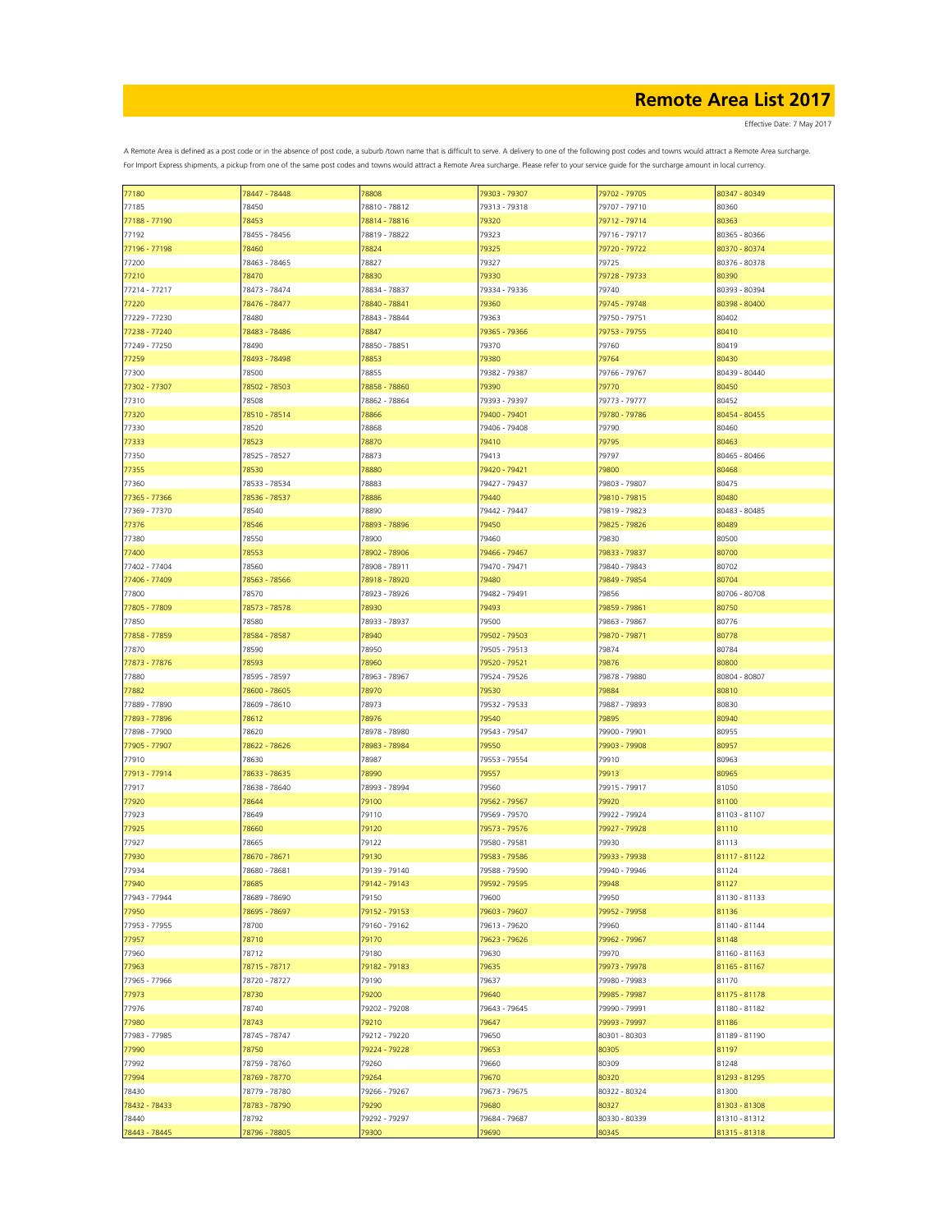Effective Date: 7 May 2017

| 77180         | 78447 - 78448 | 78808         | 79303 - 79307 | 79702 - 79705 | 80347 - 80349 |
|---------------|---------------|---------------|---------------|---------------|---------------|
| 77185         | 78450         | 78810 - 78812 | 79313 - 79318 | 79707 - 79710 | 80360         |
|               |               |               |               |               | 80363         |
| 77188 - 77190 | 78453         | 78814 - 78816 | 79320         | 79712 - 79714 |               |
| 77192         | 78455 - 78456 | 78819 - 78822 | 79323         | 79716 - 79717 | 80365 - 80366 |
| 77196 - 77198 | 78460         | 78824         | 79325         | 79720 - 79722 | 80370 - 80374 |
| 77200         | 78463 - 78465 | 78827         | 79327         | 79725         | 80376 - 80378 |
|               |               |               |               | 79728 - 79733 |               |
| 77210         | 78470         | 78830         | 79330         |               | 80390         |
| 77214 - 77217 | 78473 - 78474 | 78834 - 78837 | 79334 - 79336 | 79740         | 80393 - 80394 |
| 77220         | 78476 - 78477 | 78840 - 78841 | 79360         | 79745 - 79748 | 80398 - 80400 |
| 77229 - 77230 | 78480         | 78843 - 78844 | 79363         | 79750 - 79751 | 80402         |
|               |               |               |               |               |               |
| 77238 - 77240 | 78483 - 78486 | 78847         | 79365 - 79366 | 79753 - 79755 | 80410         |
| 77249 - 77250 | 78490         | 78850 - 78851 | 79370         | 79760         | 80419         |
| 77259         | 78493 - 78498 | 78853         | 79380         | 79764         | 80430         |
| 77300         | 78500         | 78855         | 79382 - 79387 | 79766 - 79767 | 80439 - 80440 |
| 77302 - 77307 | 78502 - 78503 |               |               | 79770         | 80450         |
|               |               | 78858 - 78860 | 79390         |               |               |
| 77310         | 78508         | 78862 - 78864 | 79393 - 79397 | 79773 - 79777 | 80452         |
| 77320         | 78510 - 78514 | 78866         | 79400 - 79401 | 79780 - 79786 | 80454 - 80455 |
| 77330         | 78520         | 78868         | 79406 - 79408 | 79790         | 80460         |
| 77333         | 78523         | 78870         | 79410         | 79795         | 80463         |
|               |               |               |               |               |               |
| 77350         | 78525 - 78527 | 78873         | 79413         | 79797         | 80465 - 80466 |
| 77355         | 78530         | 78880         | 79420 - 79421 | 79800         | 80468         |
| 77360         | 78533 - 78534 | 78883         | 79427 - 79437 | 79803 - 79807 | 80475         |
|               |               |               |               |               |               |
| 77365 - 77366 | 78536 - 78537 | 78886         | 79440         | 79810 - 79815 | 80480         |
| 77369 - 77370 | 78540         | 78890         | 79442 - 79447 | 79819 - 79823 | 80483 - 80485 |
| 77376         | 78546         | 78893 - 78896 | 79450         | 79825 - 79826 | 80489         |
| 77380         | 78550         | 78900         | 79460         | 79830         | 80500         |
| 77400         | 78553         |               |               | 79833 - 79837 | 80700         |
|               |               | 78902 - 78906 | 79466 - 79467 |               |               |
| 77402 - 77404 | 78560         | 78908 - 78911 | 79470 - 79471 | 79840 - 79843 | 80702         |
| 77406 - 77409 | 78563 - 78566 | 78918 - 78920 | 79480         | 79849 - 79854 | 80704         |
| 77800         | 78570         | 78923 - 78926 | 79482 - 79491 | 79856         | 80706 - 80708 |
|               | 78573 - 78578 | 78930         | 79493         | 79859 - 79861 | 80750         |
| 77805 - 77809 |               |               |               |               |               |
| 77850         | 78580         | 78933 - 78937 | 79500         | 79863 - 79867 | 80776         |
| 77858 - 77859 | 78584 - 78587 | 78940         | 79502 - 79503 | 79870 - 79871 | 80778         |
| 77870         | 78590         | 78950         | 79505 - 79513 | 79874         | 80784         |
|               |               |               |               |               |               |
| 77873 - 77876 | 78593         | 78960         | 79520 - 79521 | 79876         | 80800         |
| 77880         | 78595 - 78597 | 78963 - 78967 | 79524 - 79526 | 79878 - 79880 | 80804 - 80807 |
| 77882         | 78600 - 78605 | 78970         | 79530         | 79884         | 80810         |
| 77889 - 77890 | 78609 - 78610 | 78973         | 79532 - 79533 | 79887 - 79893 | 80830         |
|               | 78612         | 78976         | 79540         | 79895         | 80940         |
| 77893 - 77896 |               |               |               |               |               |
| 77898 - 77900 | 78620         | 78978 - 78980 | 79543 - 79547 | 79900 - 79901 | 80955         |
| 77905 - 77907 | 78622 - 78626 | 78983 - 78984 | 79550         | 79903 - 79908 | 80957         |
| 77910         | 78630         | 78987         | 79553 - 79554 | 79910         | 80963         |
| 77913 - 77914 | 78633 - 78635 | 78990         | 79557         | 79913         | 80965         |
|               |               |               |               |               |               |
| 77917         | 78638 - 78640 | 78993 - 78994 | 79560         | 79915 - 79917 | 81050         |
| 77920         | 78644         | 79100         | 79562 - 79567 | 79920         | 81100         |
| 77923         | 78649         | 79110         | 79569 - 79570 | 79922 - 79924 | 81103 - 81107 |
| 77925         | 78660         | 79120         | 79573 - 79576 | 79927 - 79928 | 81110         |
|               |               |               |               |               |               |
| 77927         | 78665         | 79122         | 79580 - 79581 | 79930         | 81113         |
| 77930         | 78670 - 78671 | 79130         | 79583 - 79586 | 79933 - 79938 | 81117 - 81122 |
| 77934         | 78680 - 78681 | 79139 - 79140 | 79588 - 79590 | 79940 - 79946 | 81124         |
| 77940         | 78685         | 79142 - 79143 | 79592 - 79595 | 79948         | 81127         |
|               |               |               |               |               |               |
| 77943 - 77944 | 78689 - 78690 | 79150         | 79600         | 79950         | 81130 - 81133 |
| 77950         | 78695 - 78697 | 79152 - 79153 | 79603 - 79607 | 79952 - 79958 | 81136         |
| 77953 - 77955 | 78700         | 79160 - 79162 | 79613 - 79620 | 79960         | 81140 - 81144 |
| 77957         | 78710         | 79170         | 79623 - 79626 | 79962 - 79967 | 81148         |
| 77960         | 78712         | 79180         | 79630         | 79970         | 81160 - 81163 |
|               |               |               |               |               |               |
| 77963         | 78715 - 78717 | 79182 - 79183 | 79635         | 79973 - 79978 | 81165 - 81167 |
| 77965 - 77966 | 78720 - 78727 | 79190         | 79637         | 79980 - 79983 | 81170         |
| 77973         | 78730         | 79200         | 79640         | 79985 - 79987 | 81175 - 81178 |
| 77976         | 78740         | 79202 - 79208 | 79643 - 79645 | 79990 - 79991 | 81180 - 81182 |
|               |               |               |               |               |               |
| 77980         | 78743         | 79210         | 79647         | 79993 - 79997 | 81186         |
| 77983 - 77985 | 78745 - 78747 | 79212 - 79220 | 79650         | 80301 - 80303 | 81189 - 81190 |
| 77990         | 78750         | 79224 - 79228 | 79653         | 80305         | 81197         |
| 77992         | 78759 - 78760 | 79260         | 79660         | 80309         | 81248         |
|               |               |               |               |               |               |
| 77994         | 78769 - 78770 | 79264         | 79670         | 80320         | 81293 - 81295 |
| 78430         | 78779 - 78780 | 79266 - 79267 | 79673 - 79675 | 80322 - 80324 | 81300         |
| 78432 - 78433 | 78783 - 78790 | 79290         | 79680         | 80327         | 81303 - 81308 |
| 78440         | 78792         | 79292 - 79297 | 79684 - 79687 | 80330 - 80339 | 81310 - 81312 |
|               |               |               |               |               |               |
| 78443 - 78445 | 78796 - 78805 | 79300         | 79690         | 80345         | 81315 - 81318 |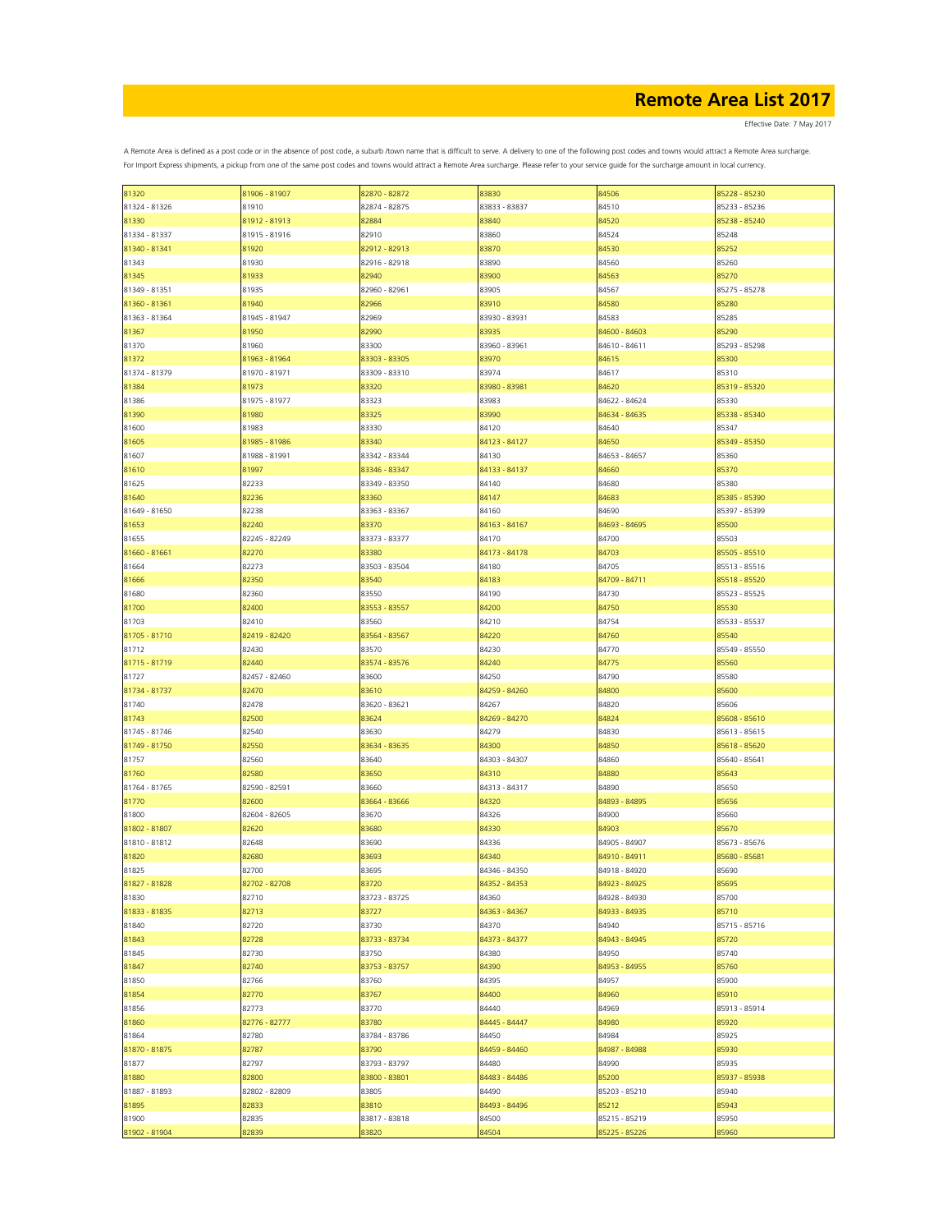Effective Date: 7 May 2017

| 81320         | 81906 - 81907 | 82870 - 82872 | 83830         | 84506         | 85228 - 85230 |
|---------------|---------------|---------------|---------------|---------------|---------------|
| 81324 - 81326 | 81910         | 82874 - 82875 | 83833 - 83837 | 84510         | 85233 - 85236 |
|               |               |               |               |               |               |
| 81330         | 81912 - 81913 | 82884         | 83840         | 84520         | 85238 - 85240 |
| 81334 - 81337 | 81915 - 81916 | 82910         | 83860         | 84524         | 85248         |
|               |               |               |               |               |               |
| 81340 - 81341 | 81920         | 82912 - 82913 | 83870         | 84530         | 85252         |
| 81343         | 81930         | 82916 - 82918 | 83890         | 84560         | 85260         |
|               |               |               |               |               |               |
| 81345         | 81933         | 82940         | 83900         | 84563         | 85270         |
| 81349 - 81351 | 81935         | 82960 - 82961 | 83905         | 84567         | 85275 - 85278 |
| 81360 - 81361 | 81940         | 82966         | 83910         | 84580         | 85280         |
|               |               |               |               |               |               |
| 81363 - 81364 | 81945 - 81947 | 82969         | 83930 - 83931 | 84583         | 85285         |
| 81367         | 81950         | 82990         | 83935         | 84600 - 84603 | 85290         |
|               |               |               |               |               |               |
| 81370         | 81960         | 83300         | 83960 - 83961 | 84610 - 84611 | 85293 - 85298 |
| 81372         | 81963 - 81964 | 83303 - 83305 | 83970         | 84615         | 85300         |
| 81374 - 81379 |               |               | 83974         |               | 85310         |
|               | 81970 - 81971 | 83309 - 83310 |               | 84617         |               |
| 81384         | 81973         | 83320         | 83980 - 83981 | 84620         | 85319 - 85320 |
| 81386         | 81975 - 81977 | 83323         | 83983         | 84622 - 84624 | 85330         |
|               |               |               |               |               |               |
| 81390         | 81980         | 83325         | 83990         | 84634 - 84635 | 85338 - 85340 |
| 81600         | 81983         | 83330         | 84120         | 84640         | 85347         |
|               |               |               |               |               |               |
| 81605         | 81985 - 81986 | 83340         | 84123 - 84127 | 84650         | 85349 - 85350 |
| 81607         | 81988 - 81991 | 83342 - 83344 | 84130         | 84653 - 84657 | 85360         |
|               |               |               |               |               |               |
| 81610         | 81997         | 83346 - 83347 | 84133 - 84137 | 84660         | 85370         |
| 81625         | 82233         | 83349 - 83350 | 84140         | 84680         | 85380         |
|               |               |               |               |               |               |
| 81640         | 82236         | 83360         | 84147         | 84683         | 85385 - 85390 |
| 81649 - 81650 | 82238         | 83363 - 83367 | 84160         | 84690         | 85397 - 85399 |
|               |               |               |               |               |               |
| 81653         | 82240         | 83370         | 84163 - 84167 | 84693 - 84695 | 85500         |
| 81655         | 82245 - 82249 | 83373 - 83377 | 84170         | 84700         | 85503         |
| 81660 - 81661 | 82270         | 83380         | 84173 - 84178 | 84703         | 85505 - 85510 |
|               |               |               |               |               |               |
| 81664         | 82273         | 83503 - 83504 | 84180         | 84705         | 85513 - 85516 |
| 81666         | 82350         | 83540         | 84183         | 84709 - 84711 | 85518 - 85520 |
|               |               |               |               |               |               |
| 81680         | 82360         | 83550         | 84190         | 84730         | 85523 - 85525 |
| 81700         | 82400         | 83553 - 83557 | 84200         | 84750         | 85530         |
|               |               |               |               |               |               |
| 81703         | 82410         | 83560         | 84210         | 84754         | 85533 - 85537 |
| 81705 - 81710 | 82419 - 82420 | 83564 - 83567 | 84220         | 84760         | 85540         |
|               |               |               |               |               |               |
| 81712         | 82430         | 83570         | 84230         | 84770         | 85549 - 85550 |
| 81715 - 81719 | 82440         | 83574 - 83576 | 84240         | 84775         | 85560         |
|               |               |               |               |               |               |
| 81727         | 82457 - 82460 | 83600         | 84250         | 84790         | 85580         |
| 81734 - 81737 | 82470         | 83610         | 84259 - 84260 | 84800         | 85600         |
| 81740         | 82478         | 83620 - 83621 | 84267         | 84820         | 85606         |
|               |               |               |               |               |               |
| 81743         | 82500         | 83624         | 84269 - 84270 | 84824         | 85608 - 85610 |
| 81745 - 81746 | 82540         | 83630         | 84279         | 84830         | 85613 - 85615 |
|               |               |               |               |               |               |
| 81749 - 81750 | 82550         | 83634 - 83635 | 84300         | 84850         | 85618 - 85620 |
| 81757         | 82560         | 83640         | 84303 - 84307 | 84860         | 85640 - 85641 |
|               |               |               |               |               |               |
| 81760         | 82580         | 83650         | 84310         | 84880         | 85643         |
| 81764 - 81765 | 82590 - 82591 | 83660         | 84313 - 84317 | 84890         | 85650         |
|               |               |               |               |               |               |
| 81770         | 82600         | 83664 - 83666 | 84320         | 84893 - 84895 | 85656         |
| 81800         | 82604 - 82605 | 83670         | 84326         | 84900         | 85660         |
|               |               |               |               |               |               |
| 81802 - 81807 | 82620         | 83680         | 84330         | 84903         | 85670         |
| 81810 - 81812 | 82648         | 83690         | 84336         | 84905 - 84907 | 85673 - 85676 |
| 81820         | 82680         | 83693         | 84340         | 84910 - 84911 | 85680 - 85681 |
|               |               |               |               |               |               |
| 81825         | 82700         | 83695         | 84346 - 84350 | 84918 - 84920 | 85690         |
| 81827 - 81828 | 82702 - 82708 | 83720         | 84352 - 84353 | 84923 - 84925 | 85695         |
|               |               |               |               |               |               |
| 81830         | 82710         | 83723 - 83725 | 84360         | 84928 - 84930 | 85700         |
| 81833 - 81835 | 82713         | 83727         | 84363 - 84367 | 84933 - 84935 | 85710         |
| 81840         | 82720         | 83730         | 84370         | 84940         |               |
|               |               |               |               |               | 85715 - 85716 |
| 81843         | 82728         | 83733 - 83734 | 84373 - 84377 | 84943 - 84945 | 85720         |
| 81845         | 82730         | 83750         | 84380         | 84950         | 85740         |
|               |               |               |               |               |               |
| 81847         | 82740         | 83753 - 83757 | 84390         | 84953 - 84955 | 85760         |
| 81850         | 82766         | 83760         | 84395         | 84957         | 85900         |
|               |               |               |               |               |               |
| 81854         | 82770         | 83767         | 84400         | 84960         | 85910         |
| 81856         | 82773         | 83770         | 84440         | 84969         | 85913 - 85914 |
|               |               |               |               |               |               |
| 81860         | 82776 - 82777 | 83780         | 84445 - 84447 | 84980         | 85920         |
| 81864         | 82780         | 83784 - 83786 | 84450         | 84984         | 85925         |
|               |               |               |               |               |               |
| 81870 - 81875 | 82787         | 83790         | 84459 - 84460 | 84987 - 84988 | 85930         |
| 81877         | 82797         | 83793 - 83797 | 84480         | 84990         | 85935         |
| 81880         | 82800         | 83800 - 83801 | 84483 - 84486 | 85200         | 85937 - 85938 |
|               |               |               |               |               |               |
| 81887 - 81893 | 82802 - 82809 | 83805         | 84490         | 85203 - 85210 | 85940         |
| 81895         | 82833         | 83810         | 84493 - 84496 | 85212         | 85943         |
|               |               |               |               |               |               |
| 81900         | 82835         | 83817 - 83818 | 84500         | 85215 - 85219 | 85950         |
| 81902 - 81904 | 82839         | 83820         | 84504         | 85225 - 85226 | 85960         |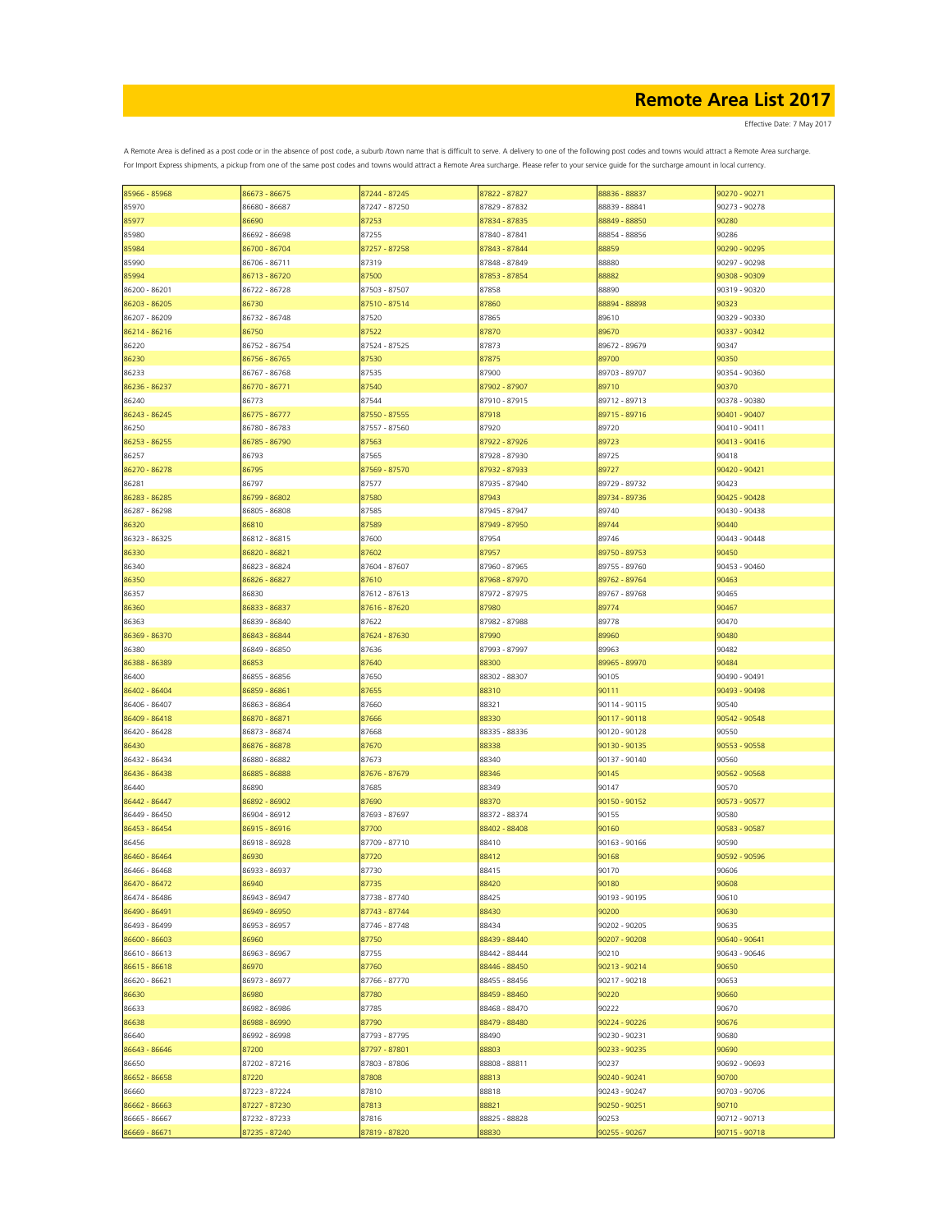Effective Date: 7 May 2017

| 85966 - 85968 | 86673 - 86675 | 87244 - 87245 | 87822 - 87827 | 88836 - 88837 | 90270 - 90271 |
|---------------|---------------|---------------|---------------|---------------|---------------|
| 85970         | 86680 - 86687 | 87247 - 87250 | 87829 - 87832 | 88839 - 88841 | 90273 - 90278 |
| 85977         | 86690         | 87253         | 87834 - 87835 | 88849 - 88850 | 90280         |
|               |               |               |               |               |               |
| 85980         | 86692 - 86698 | 87255         | 87840 - 87841 | 88854 - 88856 | 90286         |
| 85984         | 86700 - 86704 | 87257 - 87258 | 87843 - 87844 | 88859         | 90290 - 90295 |
| 85990         | 86706 - 86711 | 87319         | 87848 - 87849 | 88880         | 90297 - 90298 |
| 85994         | 86713 - 86720 | 87500         | 87853 - 87854 | 88882         | 90308 - 90309 |
|               | 86722 - 86728 |               |               |               | 90319 - 90320 |
| 86200 - 86201 |               | 87503 - 87507 | 87858         | 88890         |               |
| 86203 - 86205 | 86730         | 87510 - 87514 | 87860         | 88894 - 88898 | 90323         |
| 86207 - 86209 | 86732 - 86748 | 87520         | 87865         | 89610         | 90329 - 90330 |
| 86214 - 86216 | 86750         | 87522         | 87870         | 89670         | 90337 - 90342 |
| 86220         | 86752 - 86754 | 87524 - 87525 | 87873         | 89672 - 89679 | 90347         |
|               |               |               |               |               |               |
| 86230         | 86756 - 86765 | 87530         | 87875         | 89700         | 90350         |
| 86233         | 86767 - 86768 | 87535         | 87900         | 89703 - 89707 | 90354 - 90360 |
| 86236 - 86237 | 86770 - 86771 | 87540         | 87902 - 87907 | 89710         | 90370         |
| 86240         | 86773         | 87544         | 87910 - 87915 | 89712 - 89713 | 90378 - 90380 |
| 86243 - 86245 | 86775 - 86777 | 87550 - 87555 |               | 89715 - 89716 | 90401 - 90407 |
|               |               |               | 87918         |               |               |
| 86250         | 86780 - 86783 | 87557 - 87560 | 87920         | 89720         | 90410 - 90411 |
| 86253 - 86255 | 86785 - 86790 | 87563         | 87922 - 87926 | 89723         | 90413 - 90416 |
| 86257         | 86793         | 87565         | 87928 - 87930 | 89725         | 90418         |
| 86270 - 86278 | 86795         | 87569 - 87570 | 87932 - 87933 | 89727         | 90420 - 90421 |
|               |               |               |               |               |               |
| 86281         | 86797         | 87577         | 87935 - 87940 | 89729 - 89732 | 90423         |
| 86283 - 86285 | 86799 - 86802 | 87580         | 87943         | 89734 - 89736 | 90425 - 90428 |
| 86287 - 86298 | 86805 - 86808 | 87585         | 87945 - 87947 | 89740         | 90430 - 90438 |
| 86320         | 86810         | 87589         | 87949 - 87950 | 89744         | 90440         |
|               |               |               |               |               |               |
| 86323 - 86325 | 86812 - 86815 | 87600         | 87954         | 89746         | 90443 - 90448 |
| 86330         | 86820 - 86821 | 87602         | 87957         | 89750 - 89753 | 90450         |
| 86340         | 86823 - 86824 | 87604 - 87607 | 87960 - 87965 | 89755 - 89760 | 90453 - 90460 |
| 86350         | 86826 - 86827 | 87610         | 87968 - 87970 | 89762 - 89764 | 90463         |
| 86357         | 86830         | 87612 - 87613 | 87972 - 87975 | 89767 - 89768 | 90465         |
|               |               |               |               |               |               |
| 86360         | 86833 - 86837 | 87616 - 87620 | 87980         | 89774         | 90467         |
| 86363         | 86839 - 86840 | 87622         | 87982 - 87988 | 89778         | 90470         |
| 86369 - 86370 | 86843 - 86844 | 87624 - 87630 | 87990         | 89960         | 90480         |
| 86380         | 86849 - 86850 | 87636         | 87993 - 87997 | 89963         | 90482         |
|               |               |               |               |               |               |
| 86388 - 86389 | 86853         | 87640         | 88300         | 89965 - 89970 | 90484         |
| 86400         | 86855 - 86856 | 87650         | 88302 - 88307 | 90105         | 90490 - 90491 |
| 86402 - 86404 | 86859 - 86861 | 87655         | 88310         | 90111         | 90493 - 90498 |
| 86406 - 86407 | 86863 - 86864 | 87660         | 88321         | 90114 - 90115 | 90540         |
|               |               |               |               |               |               |
| 86409 - 86418 | 86870 - 86871 | 87666         | 88330         | 90117 - 90118 | 90542 - 90548 |
| 86420 - 86428 | 86873 - 86874 | 87668         | 88335 - 88336 | 90120 - 90128 | 90550         |
| 86430         | 86876 - 86878 | 87670         | 88338         | 90130 - 90135 | 90553 - 90558 |
| 86432 - 86434 | 86880 - 86882 | 87673         | 88340         | 90137 - 90140 | 90560         |
|               | 86885 - 86888 | 87676 - 87679 |               | 90145         | 90562 - 90568 |
| 86436 - 86438 |               |               | 88346         |               |               |
| 86440         | 86890         | 87685         | 88349         | 90147         | 90570         |
| 86442 - 86447 | 86892 - 86902 | 87690         | 88370         | 90150 - 90152 | 90573 - 90577 |
| 86449 - 86450 | 86904 - 86912 | 87693 - 87697 | 88372 - 88374 | 90155         | 90580         |
| 86453 - 86454 | 86915 - 86916 | 87700         | 88402 - 88408 | 90160         | 90583 - 90587 |
|               |               |               |               |               |               |
| 86456         | 86918 - 86928 | 87709 - 87710 | 88410         | 90163 - 90166 | 90590         |
| 86460 - 86464 | 86930         | 87720         | 88412         | 90168         | 90592 - 90596 |
| 86466 - 86468 | 86933 - 86937 | 87730         | 88415         | 90170         | 90606         |
| 86470 - 86472 | 86940         | 87735         | 88420         | 90180         | 90608         |
| 86474 - 86486 | 86943 - 86947 | 87738 - 87740 | 88425         | 90193 - 90195 | 90610         |
|               |               |               |               |               |               |
| 86490 - 86491 | 86949 - 86950 | 87743 - 87744 | 88430         | 90200         | 90630         |
| 86493 - 86499 | 86953 - 86957 | 87746 - 87748 | 88434         | 90202 - 90205 | 90635         |
| 86600 - 86603 | 86960         | 87750         | 88439 - 88440 | 90207 - 90208 | 90640 - 90641 |
| 86610 - 86613 | 86963 - 86967 | 87755         | 88442 - 88444 | 90210         | 90643 - 90646 |
|               |               |               |               |               |               |
| 86615 - 86618 | 86970         | 87760         | 88446 - 88450 | 90213 - 90214 | 90650         |
| 86620 - 86621 | 86973 - 86977 | 87766 - 87770 | 88455 - 88456 | 90217 - 90218 | 90653         |
| 86630         | 86980         | 87780         | 88459 - 88460 | 90220         | 90660         |
| 86633         | 86982 - 86986 | 87785         | 88468 - 88470 | 90222         | 90670         |
|               | 86988 - 86990 |               |               |               |               |
| 86638         |               | 87790         | 88479 - 88480 | 90224 - 90226 | 90676         |
| 86640         | 86992 - 86998 | 87793 - 87795 | 88490         | 90230 - 90231 | 90680         |
| 86643 - 86646 | 87200         | 87797 - 87801 | 88803         | 90233 - 90235 | 90690         |
| 86650         | 87202 - 87216 | 87803 - 87806 | 88808 - 88811 | 90237         | 90692 - 90693 |
| 86652 - 86658 | 87220         | 87808         | 88813         | 90240 - 90241 | 90700         |
|               |               |               |               |               |               |
| 86660         | 87223 - 87224 | 87810         | 88818         | 90243 - 90247 | 90703 - 90706 |
| 86662 - 86663 | 87227 - 87230 | 87813         | 88821         | 90250 - 90251 | 90710         |
| 86665 - 86667 | 87232 - 87233 | 87816         | 88825 - 88828 | 90253         | 90712 - 90713 |
| 86669 - 86671 | 87235 - 87240 | 87819 - 87820 | 88830         | 90255 - 90267 | 90715 - 90718 |
|               |               |               |               |               |               |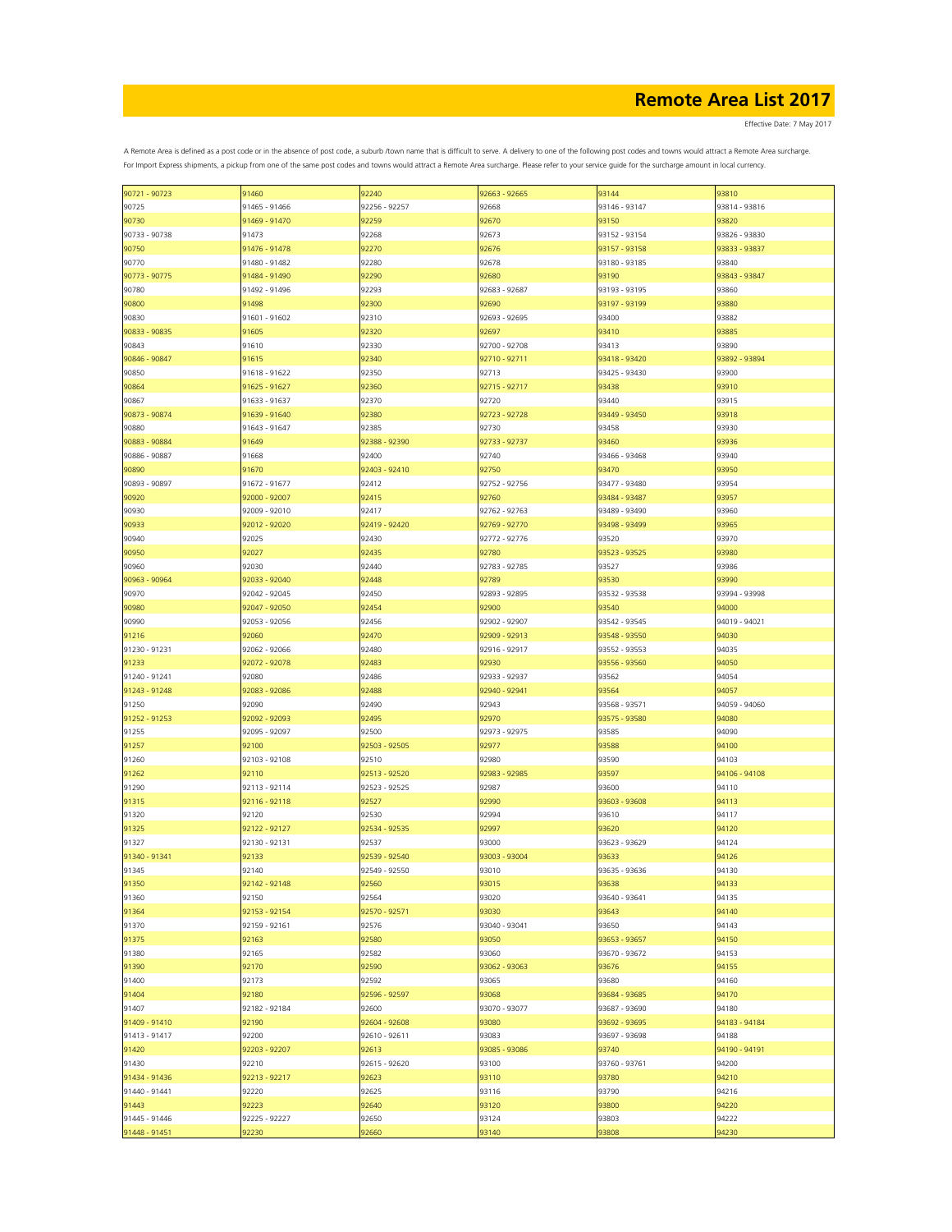Effective Date: 7 May 2017

| 90721 - 90723 | 91460         | 92240         | 92663 - 92665 | 93144         | 93810         |
|---------------|---------------|---------------|---------------|---------------|---------------|
|               |               |               |               |               |               |
| 90725         | 91465 - 91466 | 92256 - 92257 | 92668         | 93146 - 93147 | 93814 - 93816 |
| 90730         | 91469 - 91470 | 92259         | 92670         | 93150         | 93820         |
| 90733 - 90738 | 91473         | 92268         | 92673         | 93152 - 93154 | 93826 - 93830 |
| 90750         | 91476 - 91478 | 92270         | 92676         | 93157 - 93158 | 93833 - 93837 |
|               | 91480 - 91482 | 92280         |               | 93180 - 93185 | 93840         |
| 90770         |               |               | 92678         |               |               |
| 90773 - 90775 | 91484 - 91490 | 92290         | 92680         | 93190         | 93843 - 93847 |
| 90780         | 91492 - 91496 | 92293         | 92683 - 92687 | 93193 - 93195 | 93860         |
| 90800         | 91498         | 92300         | 92690         | 93197 - 93199 | 93880         |
| 90830         | 91601 - 91602 | 92310         | 92693 - 92695 | 93400         | 93882         |
|               |               |               |               |               |               |
| 90833 - 90835 | 91605         | 92320         | 92697         | 93410         | 93885         |
| 90843         | 91610         | 92330         | 92700 - 92708 | 93413         | 93890         |
| 90846 - 90847 | 91615         | 92340         | 92710 - 92711 | 93418 - 93420 | 93892 - 93894 |
| 90850         | 91618 - 91622 | 92350         | 92713         | 93425 - 93430 | 93900         |
| 90864         | 91625 - 91627 | 92360         | 92715 - 92717 | 93438         | 93910         |
|               |               |               |               |               |               |
| 90867         | 91633 - 91637 | 92370         | 92720         | 93440         | 93915         |
| 90873 - 90874 | 91639 - 91640 | 92380         | 92723 - 92728 | 93449 - 93450 | 93918         |
| 90880         | 91643 - 91647 | 92385         | 92730         | 93458         | 93930         |
| 90883 - 90884 | 91649         | 92388 - 92390 | 92733 - 92737 | 93460         | 93936         |
|               |               |               |               |               |               |
| 90886 - 90887 | 91668         | 92400         | 92740         | 93466 - 93468 | 93940         |
| 90890         | 91670         | 92403 - 92410 | 92750         | 93470         | 93950         |
| 90893 - 90897 | 91672 - 91677 | 92412         | 92752 - 92756 | 93477 - 93480 | 93954         |
| 90920         | 92000 - 92007 | 92415         | 92760         | 93484 - 93487 | 93957         |
|               |               |               |               |               |               |
| 90930         | 92009 - 92010 | 92417         | 92762 - 92763 | 93489 - 93490 | 93960         |
| 90933         | 92012 - 92020 | 92419 - 92420 | 92769 - 92770 | 93498 - 93499 | 93965         |
| 90940         | 92025         | 92430         | 92772 - 92776 | 93520         | 93970         |
| 90950         | 92027         | 92435         | 92780         | 93523 - 93525 | 93980         |
| 90960         | 92030         | 92440         | 92783 - 92785 | 93527         | 93986         |
|               |               |               |               |               |               |
| 90963 - 90964 | 92033 - 92040 | 92448         | 92789         | 93530         | 93990         |
| 90970         | 92042 - 92045 | 92450         | 92893 - 92895 | 93532 - 93538 | 93994 - 93998 |
| 90980         | 92047 - 92050 | 92454         | 92900         | 93540         | 94000         |
| 90990         | 92053 - 92056 | 92456         | 92902 - 92907 | 93542 - 93545 | 94019 - 94021 |
|               |               |               |               |               |               |
| 91216         | 92060         | 92470         | 92909 - 92913 | 93548 - 93550 | 94030         |
| 91230 - 91231 | 92062 - 92066 | 92480         | 92916 - 92917 | 93552 - 93553 | 94035         |
| 91233         | 92072 - 92078 | 92483         | 92930         | 93556 - 93560 | 94050         |
| 91240 - 91241 | 92080         | 92486         | 92933 - 92937 | 93562         | 94054         |
| 91243 - 91248 | 92083 - 92086 | 92488         | 92940 - 92941 | 93564         | 94057         |
|               |               |               |               |               |               |
| 91250         | 92090         | 92490         | 92943         | 93568 - 93571 | 94059 - 94060 |
| 91252 - 91253 | 92092 - 92093 | 92495         | 92970         | 93575 - 93580 | 94080         |
| 91255         | 92095 - 92097 | 92500         | 92973 - 92975 | 93585         | 94090         |
| 91257         | 92100         | 92503 - 92505 | 92977         | 93588         | 94100         |
|               |               |               |               |               |               |
| 91260         | 92103 - 92108 | 92510         | 92980         | 93590         | 94103         |
| 91262         | 92110         | 92513 - 92520 | 92983 - 92985 | 93597         | 94106 - 94108 |
| 91290         | 92113 - 92114 | 92523 - 92525 | 92987         | 93600         | 94110         |
| 91315         | 92116 - 92118 | 92527         | 92990         | 93603 - 93608 | 94113         |
|               |               |               |               |               |               |
| 91320         | 92120         | 92530         | 92994         | 93610         | 94117         |
| 91325         | 92122 - 92127 | 92534 - 92535 | 92997         | 93620         | 94120         |
| 91327         | 92130 - 92131 | 92537         | 93000         | 93623 - 93629 | 94124         |
| 91340 - 91341 | 92133         | 92539 - 92540 | 93003 - 93004 | 93633         | 94126         |
| 91345         | 92140         | 92549 - 92550 | 93010         | 93635 - 93636 | 94130         |
|               |               |               |               |               |               |
| 91350         | 92142 - 92148 | 92560         | 93015         | 93638         | 94133         |
| 91360         | 92150         | 92564         | 93020         | 93640 - 93641 | 94135         |
| 91364         | 92153 - 92154 | 92570 - 92571 | 93030         | 93643         | 94140         |
| 91370         | 92159 - 92161 | 92576         | 93040 - 93041 | 93650         | 94143         |
| 91375         |               |               | 93050         |               | 94150         |
|               | 92163         | 92580         |               | 93653 - 93657 |               |
| 91380         | 92165         | 92582         | 93060         | 93670 - 93672 | 94153         |
| 91390         | 92170         | 92590         | 93062 - 93063 | 93676         | 94155         |
| 91400         | 92173         | 92592         | 93065         | 93680         | 94160         |
| 91404         | 92180         | 92596 - 92597 | 93068         | 93684 - 93685 | 94170         |
|               |               |               |               |               |               |
| 91407         | 92182 - 92184 | 92600         | 93070 - 93077 | 93687 - 93690 | 94180         |
| 91409 - 91410 | 92190         | 92604 - 92608 | 93080         | 93692 - 93695 | 94183 - 94184 |
| 91413 - 91417 | 92200         | 92610 - 92611 | 93083         | 93697 - 93698 | 94188         |
| 91420         | 92203 - 92207 | 92613         | 93085 - 93086 | 93740         | 94190 - 94191 |
|               |               |               |               |               |               |
| 91430         | 92210         | 92615 - 92620 | 93100         | 93760 - 93761 | 94200         |
| 91434 - 91436 | 92213 - 92217 | 92623         | 93110         | 93780         | 94210         |
| 91440 - 91441 | 92220         | 92625         | 93116         | 93790         | 94216         |
| 91443         | 92223         | 92640         | 93120         | 93800         | 94220         |
|               |               |               |               |               |               |
| 91445 - 91446 | 92225 - 92227 | 92650         | 93124         | 93803         | 94222         |
| 91448 - 91451 | 92230         | 92660         | 93140         | 93808         | 94230         |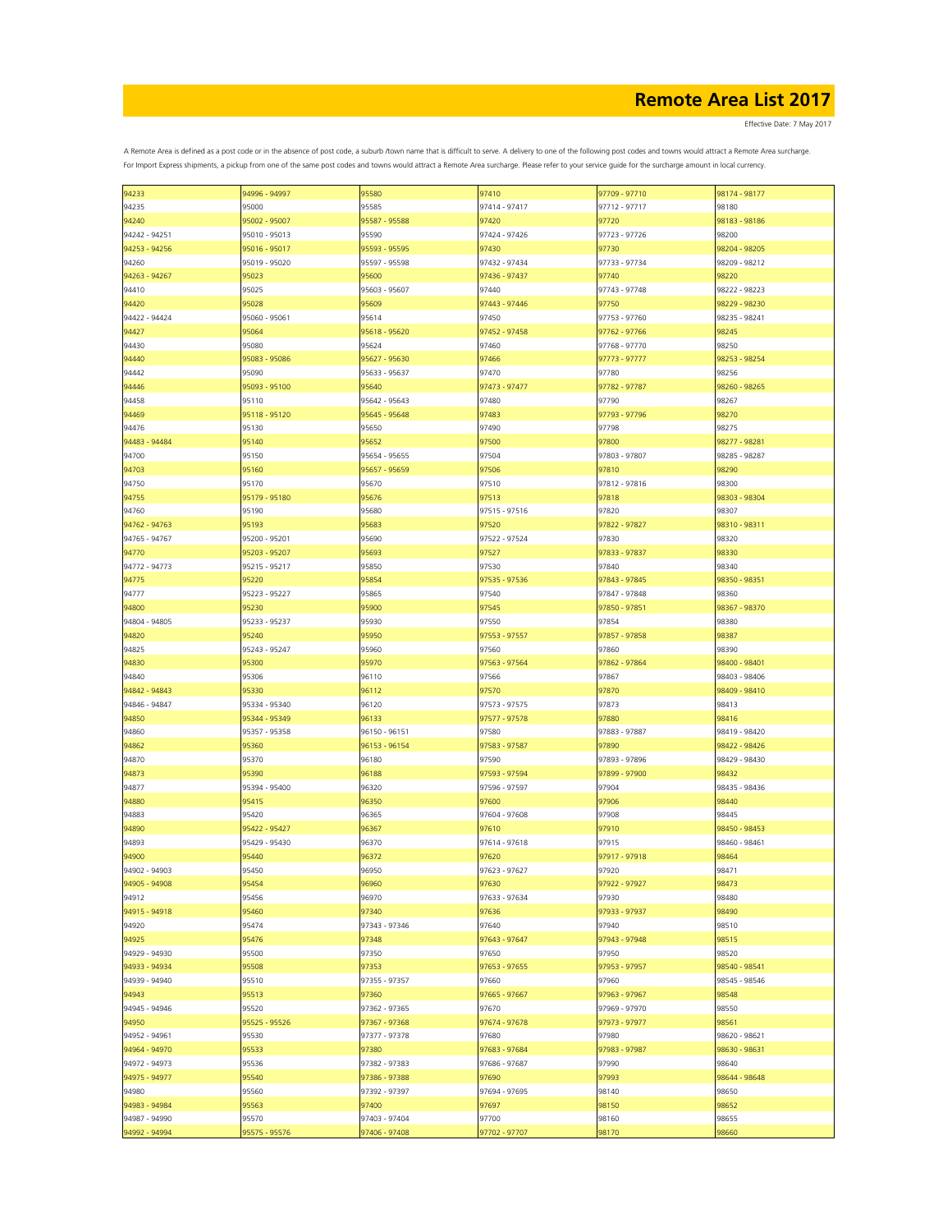| 94233         | 94996 - 94997 | 95580         | 97410         | 97709 - 97710 | 98174 - 98177 |
|---------------|---------------|---------------|---------------|---------------|---------------|
| 94235         | 95000         | 95585         | 97414 - 97417 | 97712 - 97717 | 98180         |
|               |               |               |               |               |               |
| 94240         | 95002 - 95007 | 95587 - 95588 | 97420         | 97720         | 98183 - 98186 |
| 94242 - 94251 | 95010 - 95013 | 95590         | 97424 - 97426 | 97723 - 97726 | 98200         |
| 94253 - 94256 | 95016 - 95017 | 95593 - 95595 | 97430         | 97730         | 98204 - 98205 |
| 94260         | 95019 - 95020 | 95597 - 95598 | 97432 - 97434 | 97733 - 97734 | 98209 - 98212 |
|               |               |               |               |               |               |
| 94263 - 94267 | 95023         | 95600         | 97436 - 97437 | 97740         | 98220         |
| 94410         | 95025         | 95603 - 95607 | 97440         | 97743 - 97748 | 98222 - 98223 |
| 94420         | 95028         | 95609         | 97443 - 97446 | 97750         | 98229 - 98230 |
| 94422 - 94424 | 95060 - 95061 | 95614         | 97450         | 97753 - 97760 | 98235 - 98241 |
|               |               |               |               |               |               |
| 94427         | 95064         | 95618 - 95620 | 97452 - 97458 | 97762 - 97766 | 98245         |
| 94430         | 95080         | 95624         | 97460         | 97768 - 97770 | 98250         |
| 94440         | 95083 - 95086 | 95627 - 95630 | 97466         | 97773 - 97777 | 98253 - 98254 |
| 94442         | 95090         | 95633 - 95637 | 97470         | 97780         | 98256         |
|               |               |               |               |               |               |
| 94446         | 95093 - 95100 | 95640         | 97473 - 97477 | 97782 - 97787 | 98260 - 98265 |
| 94458         | 95110         | 95642 - 95643 | 97480         | 97790         | 98267         |
| 94469         | 95118 - 95120 | 95645 - 95648 | 97483         | 97793 - 97796 | 98270         |
| 94476         | 95130         | 95650         | 97490         | 97798         | 98275         |
|               |               |               |               |               |               |
| 94483 - 94484 | 95140         | 95652         | 97500         | 97800         | 98277 - 98281 |
| 94700         | 95150         | 95654 - 95655 | 97504         | 97803 - 97807 | 98285 - 98287 |
| 94703         | 95160         | 95657 - 95659 | 97506         | 97810         | 98290         |
|               |               |               |               |               |               |
| 94750         | 95170         | 95670         | 97510         | 97812 - 97816 | 98300         |
| 94755         | 95179 - 95180 | 95676         | 97513         | 97818         | 98303 - 98304 |
| 94760         | 95190         | 95680         | 97515 - 97516 | 97820         | 98307         |
| 94762 - 94763 | 95193         | 95683         | 97520         | 97822 - 97827 | 98310 - 98311 |
|               |               |               |               |               |               |
| 94765 - 94767 | 95200 - 95201 | 95690         | 97522 - 97524 | 97830         | 98320         |
| 94770         | 95203 - 95207 | 95693         | 97527         | 97833 - 97837 | 98330         |
| 94772 - 94773 | 95215 - 95217 | 95850         | 97530         | 97840         | 98340         |
| 94775         | 95220         | 95854         | 97535 - 97536 | 97843 - 97845 | 98350 - 98351 |
|               |               |               |               |               |               |
| 94777         | 95223 - 95227 | 95865         | 97540         | 97847 - 97848 | 98360         |
| 94800         | 95230         | 95900         | 97545         | 97850 - 97851 | 98367 - 98370 |
| 94804 - 94805 | 95233 - 95237 | 95930         | 97550         | 97854         | 98380         |
| 94820         | 95240         | 95950         | 97553 - 97557 | 97857 - 97858 | 98387         |
|               |               |               |               |               |               |
| 94825         | 95243 - 95247 | 95960         | 97560         | 97860         | 98390         |
| 94830         | 95300         | 95970         | 97563 - 97564 | 97862 - 97864 | 98400 - 98401 |
| 94840         | 95306         | 96110         | 97566         | 97867         | 98403 - 98406 |
| 94842 - 94843 | 95330         | 96112         | 97570         | 97870         | 98409 - 98410 |
|               |               |               |               |               |               |
| 94846 - 94847 | 95334 - 95340 | 96120         | 97573 - 97575 | 97873         | 98413         |
| 94850         | 95344 - 95349 | 96133         | 97577 - 97578 | 97880         | 98416         |
| 94860         | 95357 - 95358 | 96150 - 96151 | 97580         | 97883 - 97887 | 98419 - 98420 |
|               |               |               |               |               |               |
| 94862         | 95360         | 96153 - 96154 | 97583 - 97587 | 97890         | 98422 - 98426 |
| 94870         | 95370         | 96180         | 97590         | 97893 - 97896 | 98429 - 98430 |
| 94873         | 95390         | 96188         | 97593 - 97594 | 97899 - 97900 | 98432         |
| 94877         | 95394 - 95400 | 96320         | 97596 - 97597 | 97904         | 98435 - 98436 |
|               |               |               |               |               |               |
| 94880         | 95415         | 96350         | 97600         | 97906         | 98440         |
| 94883         | 95420         | 96365         | 97604 - 97608 | 97908         | 98445         |
| 94890         | 95422 - 95427 | 96367         | 97610         | 97910         | 98450 - 98453 |
| 94893         | 95429 - 95430 | 96370         | 97614 - 97618 | 97915         | 98460 - 98461 |
|               | 95440         |               |               | 97917 - 97918 |               |
| 94900         |               | 96372         | 97620         |               | 98464         |
| 94902 - 94903 | 95450         | 96950         | 97623 - 97627 | 97920         | 98471         |
| 94905 - 94908 | 95454         | 96960         | 97630         | 97922 - 97927 | 98473         |
| 94912         | 95456         | 96970         | 97633 - 97634 | 97930         | 98480         |
|               | 95460         | 97340         |               |               | 98490         |
| 94915 - 94918 |               |               | 97636         | 97933 - 97937 |               |
| 94920         | 95474         | 97343 - 97346 | 97640         | 97940         | 98510         |
| 94925         | 95476         | 97348         | 97643 - 97647 | 97943 - 97948 | 98515         |
| 94929 - 94930 | 95500         | 97350         | 97650         | 97950         | 98520         |
| 94933 - 94934 | 95508         | 97353         | 97653 - 97655 | 97953 - 97957 | 98540 - 98541 |
|               |               |               |               |               |               |
| 94939 - 94940 | 95510         | 97355 - 97357 | 97660         | 97960         | 98545 - 98546 |
| 94943         | 95513         | 97360         | 97665 - 97667 | 97963 - 97967 | 98548         |
| 94945 - 94946 | 95520         | 97362 - 97365 | 97670         | 97969 - 97970 | 98550         |
| 94950         | 95525 - 95526 | 97367 - 97368 | 97674 - 97678 | 97973 - 97977 | 98561         |
|               |               |               |               |               |               |
| 94952 - 94961 | 95530         | 97377 - 97378 | 97680         | 97980         | 98620 - 98621 |
| 94964 - 94970 | 95533         | 97380         | 97683 - 97684 | 97983 - 97987 | 98630 - 98631 |
| 94972 - 94973 | 95536         | 97382 - 97383 | 97686 - 97687 | 97990         | 98640         |
|               |               |               |               |               |               |
| 94975 - 94977 | 95540         | 97386 - 97388 | 97690         | 97993         | 98644 - 98648 |
| 94980         | 95560         | 97392 - 97397 | 97694 - 97695 | 98140         | 98650         |
| 94983 - 94984 | 95563         | 97400         | 97697         | 98150         | 98652         |
| 94987 - 94990 | 95570         | 97403 - 97404 | 97700         | 98160         | 98655         |
|               |               |               |               |               |               |
| 94992 - 94994 | 95575 - 95576 | 97406 - 97408 | 97702 - 97707 | 98170         | 98660         |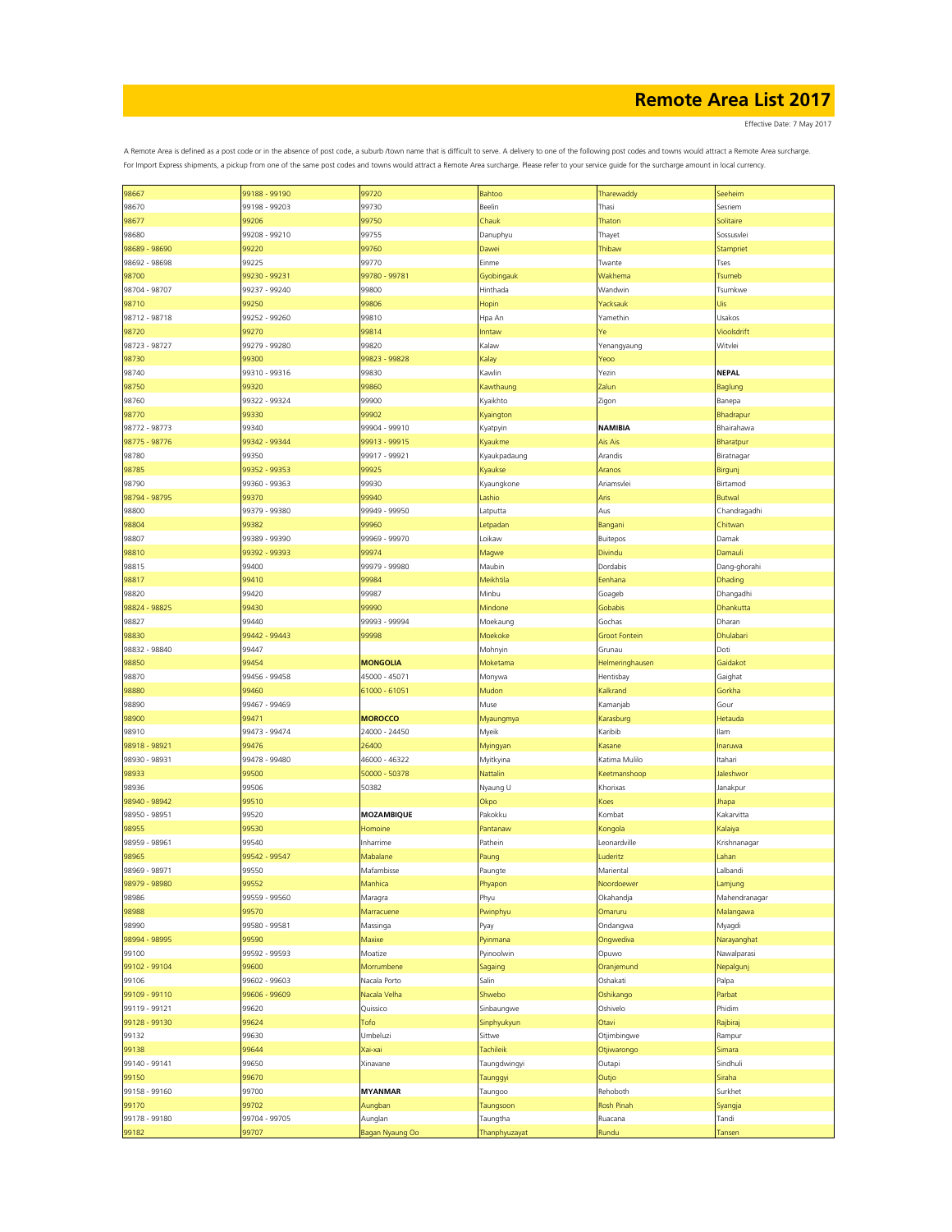Effective Date: 7 May 2017

| 98667         | 99188 - 99190 | 99720             | Bahtoo        | Tharewaddy           | Seeheim          |
|---------------|---------------|-------------------|---------------|----------------------|------------------|
| 98670         | 99198 - 99203 | 99730             | Beelin        | Thasi                | Sesriem          |
|               |               |                   |               |                      |                  |
| 98677         | 99206         | 99750             | Chauk         | Thaton               | Solitaire        |
| 98680         | 99208 - 99210 | 99755             | Danuphyu      | Thayet               | Sossusvlei       |
| 98689 - 98690 | 99220         | 99760             | Dawei         | Thibaw               | <b>Stampriet</b> |
|               |               |                   |               |                      |                  |
| 98692 - 98698 | 99225         | 99770             | Einme         | Twante               | Tses             |
| 98700         | 99230 - 99231 | 99780 - 99781     | Gyobingauk    | Wakhema              | <b>Tsumeb</b>    |
|               |               |                   |               | Wandwin              |                  |
| 98704 - 98707 | 99237 - 99240 | 99800             | Hinthada      |                      | Tsumkwe          |
| 98710         | 99250         | 99806             | Hopin         | Yacksauk             | Jis              |
| 98712 - 98718 | 99252 - 99260 | 99810             | Hpa An        | Yamethin             | Usakos           |
|               |               |                   |               |                      |                  |
| 98720         | 99270         | 99814             | Inntaw        | Ye                   | Vioolsdrift      |
| 98723 - 98727 | 99279 - 99280 | 99820             | Kalaw         | Yenangyaung          | Witvlei          |
|               |               |                   |               |                      |                  |
| 98730         | 99300         | 99823 - 99828     | Kalay         | Yeoo                 |                  |
| 98740         | 99310 - 99316 | 99830             | Kawlin        | Yezin                | <b>NEPAL</b>     |
| 98750         | 99320         | 99860             | Kawthaung     | Zalun                | Baglung          |
|               |               |                   |               |                      |                  |
| 98760         | 99322 - 99324 | 99900             | Kyaikhto      | Zigon                | Banepa           |
| 98770         | 99330         | 99902             | Kyaington     |                      | Bhadrapur        |
| 98772 - 98773 | 99340         | 99904 - 99910     |               | NAMIBIA              | Bhairahawa       |
|               |               |                   | Kyatpyin      |                      |                  |
| 98775 - 98776 | 99342 - 99344 | 99913 - 99915     | Kyaukme       | Ais Ais              | Bharatpur        |
| 98780         | 99350         | 99917 - 99921     | Kyaukpadaung  | Arandis              | Biratnagar       |
|               |               |                   |               |                      |                  |
| 98785         | 99352 - 99353 | 99925             | Kyaukse       | Aranos               | Birgunj          |
| 98790         | 99360 - 99363 | 99930             | Kyaungkone    | Ariamsvlei           | Birtamod         |
|               |               |                   |               |                      |                  |
| 98794 - 98795 | 99370         | 99940             | Lashio        | Aris                 | <b>Butwal</b>    |
| 98800         | 99379 - 99380 | 99949 - 99950     | Latputta      | Aus                  | Chandragadhi     |
| 98804         | 99382         | 99960             | Letpadar      | Bangani              | Chitwan          |
|               |               |                   |               |                      |                  |
| 98807         | 99389 - 99390 | 99969 - 99970     | Loikaw        | Buitepos             | Damak            |
| 98810         | 99392 - 99393 | 99974             | Magwe         | Divindu              | Damauli          |
|               |               |                   |               |                      |                  |
| 98815         | 99400         | 99979 - 99980     | Maubin        | Dordabis             | Dang-ghorahi     |
| 98817         | 99410         | 99984             | Meikhtila     | Eenhana              | Dhading          |
| 98820         | 99420         | 99987             | Minbu         | Goageb               | Dhangadhi        |
|               |               |                   |               |                      |                  |
| 98824 - 98825 | 99430         | 99990             | Mindone       | Gobabis              | Dhankutta        |
| 98827         | 99440         | 99993 - 99994     | Moekaung      | Gochas               | Dharan           |
|               |               |                   |               |                      |                  |
| 98830         | 99442 - 99443 | 99998             | Moekoke       | <b>Groot Fontein</b> | Dhulabari        |
| 98832 - 98840 | 99447         |                   | Mohnyin       | Grunau               | Doti             |
|               |               |                   |               |                      |                  |
| 98850         | 99454         | <b>MONGOLIA</b>   | Moketama      | Helmeringhausen      | Gaidakot         |
| 98870         | 99456 - 99458 | 45000 - 45071     | Monywa        | Hentisbay            | Gaighat          |
| 98880         | 99460         | 61000 - 61051     | Mudon         | Kalkrand             | Gorkha           |
|               |               |                   |               |                      |                  |
| 98890         | 99467 - 99469 |                   | Muse          | Kamanjab             | Gour             |
| 98900         | 99471         | <b>MOROCCO</b>    | Myaungmya     | Karasburg            | Hetauda          |
|               |               |                   |               |                      |                  |
| 98910         | 99473 - 99474 | 24000 - 24450     | Myeik         | Karibib              | llam             |
| 98918 - 98921 | 99476         | 26400             | Myingyan      | Kasane               | naruwa           |
| 98930 - 98931 | 99478 - 99480 | 46000 - 46322     | Myitkyina     | Katima Mulilo        | Itahari          |
|               |               |                   |               |                      |                  |
| 98933         | 99500         | 50000 - 50378     | Nattalin      | Keetmanshoop         | Jaleshwor        |
| 98936         | 99506         | 50382             | Nyaung U      | Khorixas             | Janakpur         |
|               |               |                   |               |                      |                  |
| 98940 - 98942 | 99510         |                   | Okpo          | Koes                 | Jhapa            |
| 98950 - 98951 | 99520         | <b>MOZAMBIQUE</b> | Pakokku       | Kombat               | Kakarvitta       |
| 98955         | 99530         | Homoine           | Pantanaw      | Kongola              | Kalaiya          |
|               |               |                   |               |                      |                  |
| 98959 - 98961 | 99540         | Inharrime         | Pathein       | Leonardville         | Krishnanagar     |
| 98965         | 99542 - 99547 | Mabalane          | Paung         | Luderitz             | Lahan            |
|               | 99550         | Mafambisse        |               | Mariental            | Lalbandi         |
| 98969 - 98971 |               |                   | Paungte       |                      |                  |
| 98979 - 98980 | 99552         | Manhica           | Phyapon       | Noordoewer           | Lamjung          |
| 98986         | 99559 - 99560 | Maragra           | Phyu          | Okahandja            | Mahendranagar    |
|               |               |                   |               |                      |                  |
| 98988         | 99570         | Marracuene        | Pwinphyu      | Omaruru              | Malangawa        |
| 98990         | 99580 - 99581 | Massinga          | Pyay          | Ondangwa             | Myagdi           |
| 98994 - 98995 | 99590         | Maxixe            | Pyinmana      | Ongwediva            | Narayanghat      |
|               |               |                   |               |                      |                  |
| 99100         | 99592 - 99593 | Moatize           | Pyinoolwin    | Opuwo                | Nawalparasi      |
| 99102 - 99104 | 99600         | Morrumbene        | Sagaing       | Oranjemund           | Nepalgunj        |
|               |               |                   |               |                      |                  |
| 99106         | 99602 - 99603 | Nacala Porto      | Salin         | Oshakati             | Palpa            |
| 99109 - 99110 | 99606 - 99609 | Nacala Velha      | Shwebo        | Oshikango            | Parbat           |
| 99119 - 99121 | 99620         | Quissico          | Sinbaungwe    | Oshivelo             | Phidim           |
|               |               |                   |               |                      |                  |
| 99128 - 99130 | 99624         | Tofo              | Sinphyukyun   | Otavi                | Rajbiraj         |
| 99132         | 99630         | Umbeluzi          | Sittwe        | Otjimbingwe          | Rampur           |
|               |               |                   |               |                      |                  |
| 99138         | 99644         | Kai-xai           | Tachileik     | Otjiwarongo          | Simara           |
| 99140 - 99141 | 99650         | Xinavane          | Taungdwingyi  | Outapi               | Sindhuli         |
| 99150         | 99670         |                   |               | Outjo                | Siraha           |
|               |               |                   | Taunggyi      |                      |                  |
| 99158 - 99160 | 99700         | <b>MYANMAR</b>    | Taungoo       | Rehoboth             | Surkhet          |
| 99170         | 99702         | Aungban           | Taungsoon     | Rosh Pinah           | Syangja          |
|               |               |                   |               |                      |                  |
| 99178 - 99180 | 99704 - 99705 | Aunglan           | Taungtha      | Ruacana              | Tandi            |
| 99182         | 99707         | Bagan Nyaung Oo   | Thanphyuzayat | Rundu                | Tansen           |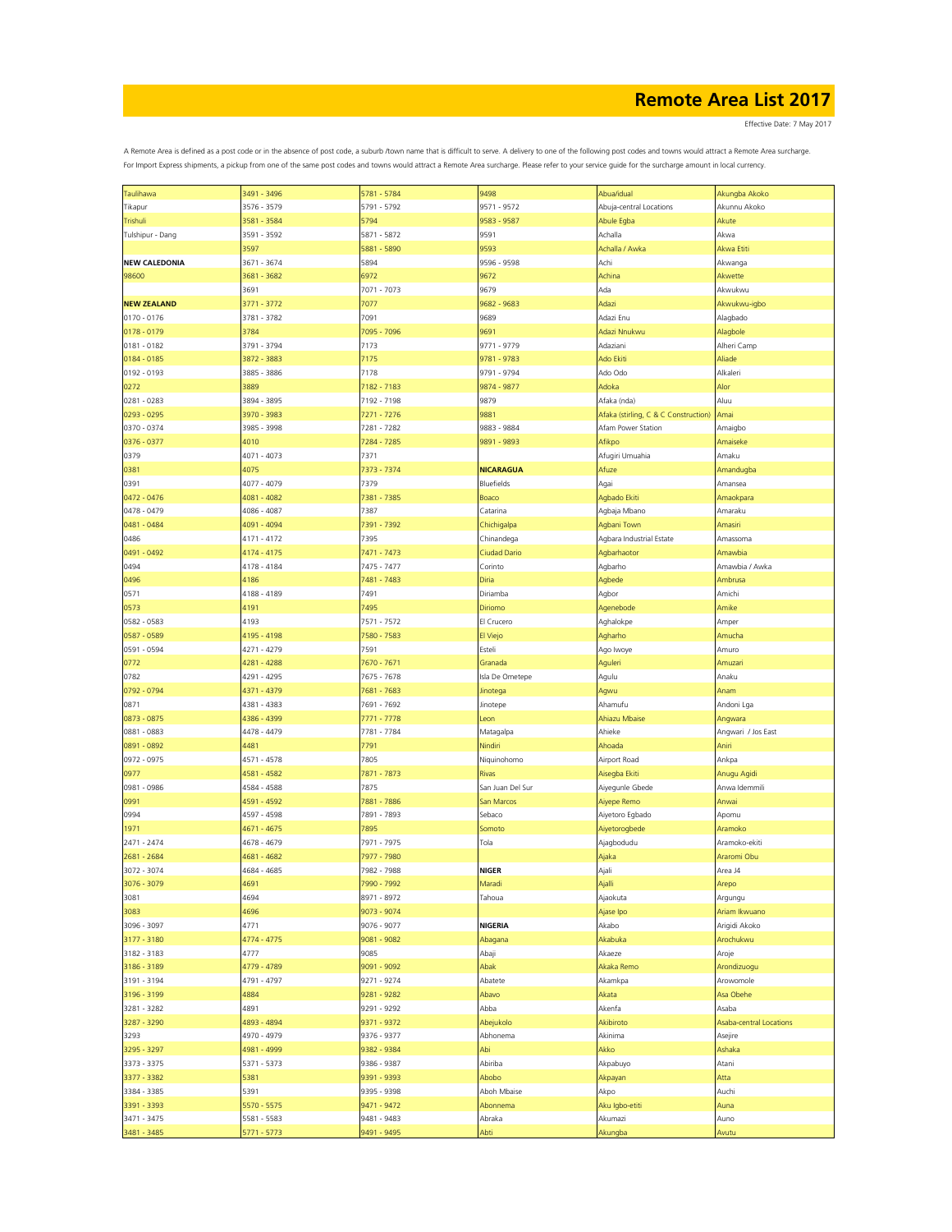| Taulihawa            | 3491 - 3496 | 5781 - 5784 | 9498             | Abua/idual                           | Akungba Akoko           |
|----------------------|-------------|-------------|------------------|--------------------------------------|-------------------------|
| Tikapur              | 3576 - 3579 | 5791 - 5792 | 9571 - 9572      | Abuja-central Locations              | Akunnu Akoko            |
|                      |             |             |                  |                                      |                         |
| Trishuli             | 3581 - 3584 | 5794        | 9583 - 9587      | Abule Egba                           | Akute                   |
| Tulshipur - Dang     | 3591 - 3592 | 5871 - 5872 | 9591             | Achalla                              | Akwa                    |
|                      | 3597        | 5881 - 5890 | 9593             | Achalla / Awka                       | Akwa Etiti              |
|                      |             |             |                  |                                      |                         |
| <b>NEW CALEDONIA</b> | 3671 - 3674 | 5894        | 9596 - 9598      | Achi                                 | Akwanga                 |
| 98600                | 3681 - 3682 | 6972        | 9672             | Achina                               | Akwette                 |
|                      |             |             |                  |                                      |                         |
|                      | 3691        | 7071 - 7073 | 9679             | Ada                                  | Akwukwu                 |
| <b>NEW ZEALAND</b>   | 3771 - 3772 | 7077        | 9682 - 9683      | Adazi                                | Akwukwu-igbo            |
|                      |             |             |                  |                                      |                         |
| $0170 - 0176$        | 3781 - 3782 | 7091        | 9689             | Adazi Enu                            | Alagbado                |
| $0178 - 0179$        | 3784        | 7095 - 7096 | 9691             | Adazi Nnukwu                         | Alagbole                |
|                      |             |             |                  |                                      |                         |
| $0181 - 0182$        | 3791 - 3794 | 7173        | 9771 - 9779      | Adaziani                             | Alheri Camp             |
| $0184 - 0185$        | 3872 - 3883 | 7175        | 9781 - 9783      | Ado Ekiti                            | Aliade                  |
|                      |             |             |                  |                                      |                         |
| 0192 - 0193          | 3885 - 3886 | 7178        | 9791 - 9794      | Ado Odo                              | Alkaleri                |
| 0272                 | 3889        | 7182 - 7183 | 9874 - 9877      | Adoka                                | Alor                    |
|                      | 3894 - 3895 |             |                  | Afaka (nda)                          | Aluu                    |
| 0281 - 0283          |             | 7192 - 7198 | 9879             |                                      |                         |
| 0293 - 0295          | 3970 - 3983 | 7271 - 7276 | 9881             | Afaka (stirling, C & C Construction) | Amai                    |
| 0370 - 0374          | 3985 - 3998 | 7281 - 7282 | 9883 - 9884      | Afam Power Station                   | Amaigbo                 |
|                      |             |             |                  |                                      |                         |
| 0376 - 0377          | 4010        | 7284 - 7285 | 9891 - 9893      | Afikpo                               | Amaiseke                |
| 0379                 | 4071 - 4073 | 7371        |                  | Afugiri Umuahia                      | Amaku                   |
|                      |             |             |                  |                                      |                         |
| 0381                 | 4075        | 7373 - 7374 | <b>NICARAGUA</b> | Afuze                                | Amandugba               |
| 0391                 | 4077 - 4079 | 7379        | Bluefields       | Agai                                 | Amansea                 |
|                      |             |             |                  |                                      |                         |
| 0472 - 0476          | 4081 - 4082 | 7381 - 7385 | Boaco            | Agbado Ekiti                         | Amaokpara               |
| 0478 - 0479          | 4086 - 4087 | 7387        | Catarina         | Agbaja Mbano                         | Amaraku                 |
|                      |             |             |                  |                                      |                         |
| 0481 - 0484          | 4091 - 4094 | 7391 - 7392 | Chichigalpa      | Agbani Town                          | Amasiri                 |
| 0486                 | 4171 - 4172 | 7395        | Chinandega       | Agbara Industrial Estate             | Amassoma                |
|                      |             |             |                  |                                      |                         |
| 0491 - 0492          | 4174 - 4175 | 7471 - 7473 | Ciudad Dario     | Agbarhaotor                          | Amawbia                 |
| 0494                 | 4178 - 4184 | 7475 - 7477 | Corinto          | Agbarho                              | Amawbia / Awka          |
|                      |             |             |                  |                                      |                         |
| 0496                 | 4186        | 7481 - 7483 | Diria            | Agbede                               | Ambrusa                 |
| 0571                 | 4188 - 4189 | 7491        | Diriamba         | Agbor                                | Amichi                  |
|                      |             |             |                  |                                      |                         |
| 0573                 | 4191        | 7495        | Diriomo          | Agenebode                            | Amike                   |
| 0582 - 0583          | 4193        | 7571 - 7572 | El Crucero       | Aghalokpe                            | Amper                   |
|                      |             |             |                  |                                      |                         |
| 0587 - 0589          | 4195 - 4198 | 7580 - 7583 | El Viejo         | Agharho                              | Amucha                  |
| 0591 - 0594          | 4271 - 4279 | 7591        | Esteli           | Ago Iwoye                            | Amuro                   |
|                      |             |             |                  |                                      |                         |
| 0772                 | 4281 - 4288 | 7670 - 7671 | Granada          | Aguleri                              | Amuzari                 |
| 0782                 | 4291 - 4295 | 7675 - 7678 | Isla De Ometepe  | Agulu                                | Anaku                   |
|                      |             |             |                  |                                      |                         |
| 0792 - 0794          | 4371 - 4379 | 7681 - 7683 | Jinotega         | Agwu                                 | Anam                    |
| 0871                 | 4381 - 4383 | 7691 - 7692 | Jinotepe         | Ahamufu                              | Andoni Lga              |
|                      |             |             |                  |                                      |                         |
| 0873 - 0875          | 4386 - 4399 | 7771 - 7778 | Leon             | Ahiazu Mbaise                        | Angwara                 |
| 0881 - 0883          | 4478 - 4479 | 7781 - 7784 | Matagalpa        | Ahieke                               | Angwari / Jos East      |
|                      | 4481        | 7791        |                  | Ahoada                               | Aniri                   |
| 0891 - 0892          |             |             | Nindiri          |                                      |                         |
| 0972 - 0975          | 4571 - 4578 | 7805        | Niquinohomo      | Airport Road                         | Ankpa                   |
| 0977                 | 4581 - 4582 | 7871 - 7873 | Rivas            |                                      | Anugu Agidi             |
|                      |             |             |                  | Aisegba Ekiti                        |                         |
| 0981 - 0986          | 4584 - 4588 | 7875        | San Juan Del Sur | Aiyegunle Gbede                      | Anwa Idemmili           |
| 0991                 | 4591 - 4592 | 7881 - 7886 | San Marcos       |                                      | Anwai                   |
|                      |             |             |                  | Aiyepe Remo                          |                         |
| 0994                 | 4597 - 4598 | 7891 - 7893 | Sebaco           | Aiyetoro Egbado                      | Apomu                   |
| 1971                 | 4671 - 4675 | 7895        | Somoto           | Aiyetorogbede                        | Aramoko                 |
|                      |             |             |                  |                                      |                         |
| 2471 - 2474          | 4678 - 4679 | 7971 - 7975 | Tola             | Ajagbodudu                           | Aramoko-ekiti           |
| 2681 - 2684          | 4681 - 4682 | 7977 - 7980 |                  | Ajaka                                | Araromi Obu             |
|                      |             |             |                  |                                      |                         |
| 3072 - 3074          | 4684 - 4685 | 7982 - 7988 | <b>NIGER</b>     | Ajali                                | Area J4                 |
| 3076 - 3079          | 4691        | 7990 - 7992 | Maradi           | Ajalli                               | Arepo                   |
|                      |             |             |                  |                                      |                         |
| 3081                 | 4694        | 8971 - 8972 | Tahoua           | Ajaokuta                             | Argungu                 |
| 3083                 | 4696        | 9073 - 9074 |                  | Ajase Ipo                            | Ariam Ikwuano           |
|                      |             |             |                  |                                      |                         |
| 3096 - 3097          | 4771        | 9076 - 9077 | <b>NIGERIA</b>   | Akabo                                | Arigidi Akoko           |
| 3177 - 3180          | 4774 - 4775 | 9081 - 9082 | Abagana          | Akabuka                              | Arochukwu               |
|                      |             |             |                  |                                      |                         |
| 3182 - 3183          | 4777        | 9085        | Abaji            | Akaeze                               | Aroje                   |
| 3186 - 3189          | 4779 - 4789 | 9091 - 9092 | Abak             | Akaka Remo                           | Arondizuogu             |
|                      |             |             |                  |                                      | Arowomole               |
| 3191 - 3194          | 4791 - 4797 | 9271 - 9274 | Abatete          | Akamkpa                              |                         |
| 3196 - 3199          | 4884        | 9281 - 9282 | Abavo            | Akata                                | Asa Obehe               |
|                      |             |             |                  |                                      |                         |
| 3281 - 3282          | 4891        | 9291 - 9292 | Abba             | Akenfa                               | Asaba                   |
| 3287 - 3290          | 4893 - 4894 | 9371 - 9372 | Abejukolo        | Akibiroto                            | Asaba-central Locations |
|                      | 4970 - 4979 |             | Abhonema         | Akinima                              |                         |
| 3293                 |             | 9376 - 9377 |                  |                                      | Asejire                 |
| 3295 - 3297          | 4981 - 4999 | 9382 - 9384 | Abi              | Akko                                 | Ashaka                  |
| 3373 - 3375          | 5371 - 5373 | 9386 - 9387 | Abiriba          | Akpabuyo                             | Atani                   |
|                      |             |             |                  |                                      |                         |
| 3377 - 3382          | 5381        | 9391 - 9393 | Abobo            | Akpayan                              | Atta                    |
| 3384 - 3385          | 5391        | 9395 - 9398 | Aboh Mbaise      | Akpo                                 | Auchi                   |
|                      |             |             |                  |                                      |                         |
| 3391 - 3393          | 5570 - 5575 | 9471 - 9472 | Abonnema         | Aku Igbo-etiti                       | Auna                    |
| 3471 - 3475          | 5581 - 5583 | 9481 - 9483 | Abraka           | Akumazi                              | Auno                    |
|                      |             |             |                  |                                      |                         |
| 3481 - 3485          | 5771 - 5773 | 9491 - 9495 | Abti             | Akungba                              | Avutu                   |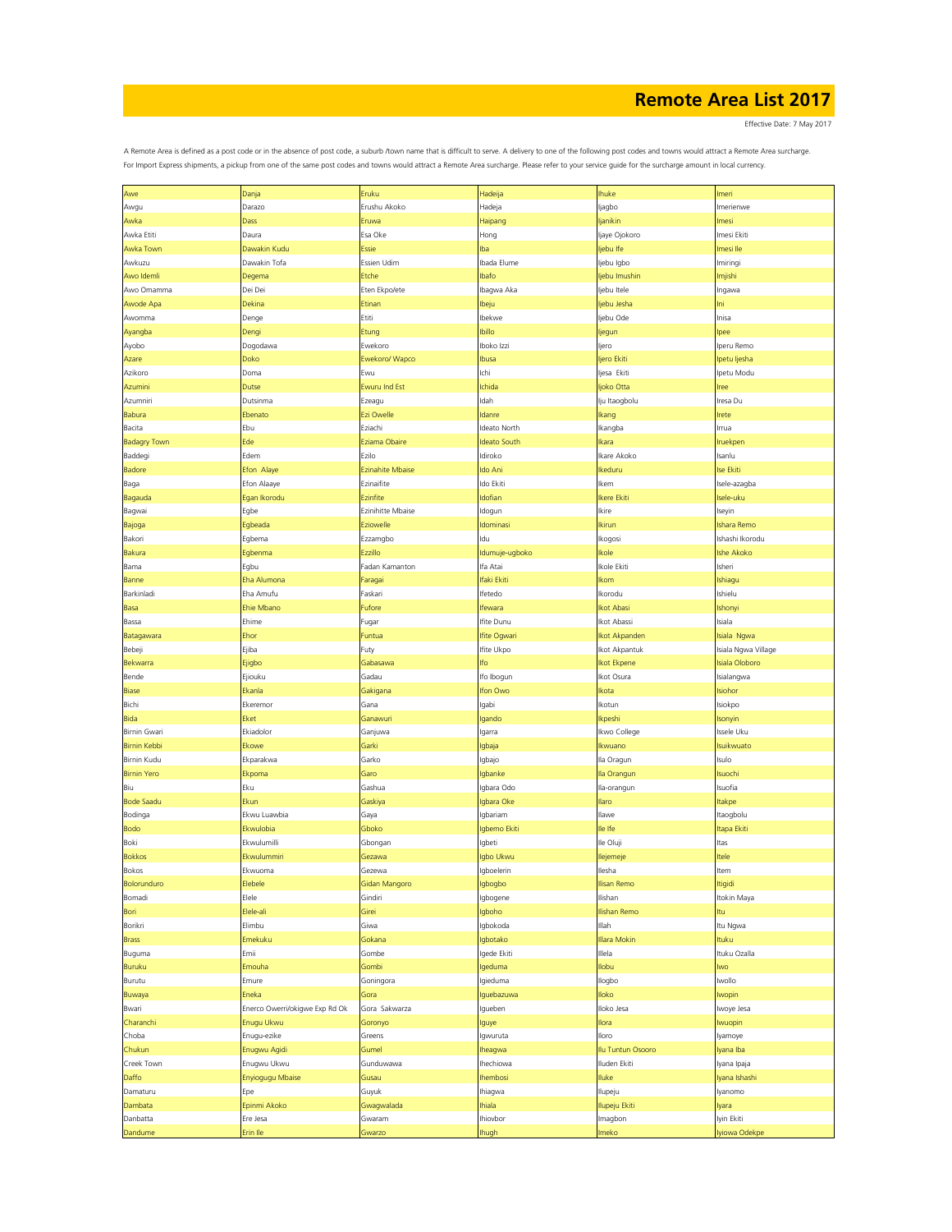Effective Date: 7 May 2017

| Awe                 | Danja                          | Eruku                   | Hadeija             | huke              | lmeri               |
|---------------------|--------------------------------|-------------------------|---------------------|-------------------|---------------------|
|                     |                                | Erushu Akoko            |                     |                   | Imerienwe           |
| Awgu                | Darazo                         |                         | Hadeja              | ljagbo            |                     |
| Awka                | Dass                           | Eruwa                   | Haipang             | janikin           | lmesi               |
| Awka Etiti          | Daura                          | Esa Oke                 | Hong                | Ijaye Ojokoro     | Imesi Ekiti         |
| Awka Town           | Dawakin Kudu                   | <b>Essie</b>            | lba                 | ljebu Ife         | lmesi Ile           |
| Awkuzu              | Dawakin Tofa                   | Essien Udim             | Ibada Elume         | ljebu Igbo        | Imiringi            |
| Awo Idemli          | Degema                         | Etche                   | Ibafo               | ljebu Imushin     | lmjishi             |
| Awo Omamma          | Dei Dei                        | Eten Ekpo/ete           | Ibagwa Aka          | ljebu Itele       | Ingawa              |
|                     |                                |                         |                     |                   |                     |
| Awode Apa           | Dekina                         | Etinan                  | lbeju               | jebu Jesha        | ni                  |
| Awomma              | Denge                          | Etiti                   | Ibekwe              | ljebu Ode         | Inisa               |
| Ayangba             | Dengi                          | Etung                   | <b>Ibillo</b>       | ljegun            | pee                 |
| Ayobo               | Dogodawa                       | Ewekoro                 | Iboko Izzi          | ljero             | Iperu Remo          |
| Azare               | Doko                           | Ewekoro/ Wapco          | Ibusa               | ljero Ekiti       | lpetu ljesha        |
| Azikoro             | Doma                           | Ewu                     | Ichi                | Ijesa Ekiti       | Ipetu Modu          |
| Azumini             | <b>Dutse</b>                   | <b>Ewuru Ind Est</b>    | Ichida              | ljoko Otta        | ree                 |
|                     |                                |                         |                     |                   |                     |
| Azumniri            | Dutsinma                       | Ezeagu                  | Idah                | lju Itaogbolu     | Iresa Du            |
| Babura              | Ebenato                        | Ezi Owelle              | Idanre              | Ikang             | rete                |
| Bacita              | Ebu                            | Eziachi                 | Ideato North        | Ikangba           | Irrua               |
| <b>Badagry Town</b> | Ede                            | Eziama Obaire           | <b>Ideato South</b> | kara              | <b>Iruekpen</b>     |
| Baddegi             | Edem                           | Ezilo                   | Idiroko             | Ikare Akoko       | Isanlu              |
| <b>Badore</b>       | Efon Alaye                     | <b>Ezinahite Mbaise</b> | Ido Ani             | keduru            | Ise Ekiti           |
| Baga                | Efon Alaaye                    | Ezinaifite              | Ido Ekiti           | Ikem              | Isele-azagba        |
| Bagauda             | Egan Ikorodu                   | Ezinfite                | Idofian             | kere Ekiti        | Isele-uku           |
|                     |                                | Ezinihitte Mbaise       |                     |                   |                     |
| Bagwai              | Egbe                           |                         | Idogun              | Ikire             | Iseyin              |
| Bajoga              | Egbeada                        | Eziowelle               | Idominasi           | Ikirun            | Ishara Remo         |
| Bakori              | Egbema                         | Ezzamgbo                | ldu                 | Ikogosi           | Ishashi Ikorodu     |
| Bakura              | Egbenma                        | Ezzillo                 | Idumuje-ugboko      | Ikole             | Ishe Akoko          |
| Bama                | Egbu                           | Fadan Kamanton          | lfa Atai            | Ikole Ekiti       | Isheri              |
| Banne               | Eha Alumona                    | Faragai                 | lfaki Ekit          | <b>Ikom</b>       | Ishiagu             |
| Barkinladi          | Eha Amufu                      | Faskari                 | Ifetedo             | Ikorodu           | Ishielu             |
| Basa                | Ehie Mbano                     | Fufore                  | <b>Ifewara</b>      | <b>Ikot Abasi</b> | Ishonyi             |
| Bassa               | Ehime                          | Fugar                   | Ifite Dunu          | kot Abassi        | Isiala              |
| Batagawara          | Ehor                           | Funtua                  | lfite Ogwari        | kot Akpanden      | Isiala Ngwa         |
| Bebeji              | Ejiba                          |                         | Ifite Ukpo          | kot Akpantuk      | Isiala Ngwa Village |
|                     |                                | Futy                    |                     |                   |                     |
| Bekwarra            | Ejigbo                         | Gabasawa                | lfo                 | kot Ekpene        | Isiala Oloboro      |
| Bende               | Ejiouku                        | Gadau                   | Ifo Ibogun          | lkot Osura        | Isialangwa          |
| <b>Biase</b>        | Ekanla                         | Gakigana                | lfon Owo            | Ikota             | Isiohor             |
| Bichi               | Ekeremor                       | Gana                    | Igabi               | Ikotun            | Isiokpo             |
| <b>Bida</b>         | Eket                           | Ganawuri                | Igando              | <b>Ikpeshi</b>    | Isonyin             |
| Birnin Gwari        | Ekiadolor                      | Ganjuwa                 | lgarra              | Ikwo College      | Issele Uku          |
| <b>Birnin Kebbi</b> | Ekowe                          | Garki                   | Igbaja              | Ikwuano           | suikwuato           |
| Birnin Kudu         | Ekparakwa                      | Garko                   | Igbajo              | Ila Oragun        | Isulo               |
| <b>Birnin Yero</b>  | Ekpoma                         | Garo                    | Igbanke             | lla Orangun       | <b>Isuochi</b>      |
| Biu                 | Eku                            | Gashua                  | Igbara Odo          | Ila-orangun       | Isuofia             |
|                     |                                |                         |                     |                   |                     |
| <b>Bode Saadu</b>   | Ekun                           | Gaskiya                 | Igbara Oke          | <b>Ilaro</b>      | <b>Itakpe</b>       |
| Bodinga             | Ekwu Luawbia                   | Gaya                    | Iqbariam            | Ilawe             | Itaogbolu           |
| <b>Bodo</b>         | Ekwulobia                      | Gboko                   | Igbemo Ekiti        | lle Ife           | tapa Ekiti          |
| Boki                | Ekwulumilli                    | Gbongan                 | Igbeti              | lle Oluji         | ltas                |
| <b>Bokkos</b>       | Ekwulummiri                    | Gezawa                  | Igbo Ukwu           | lejemeje          | tele                |
| Bokos               | Ekwuoma                        | Gezewa                  | Igboelerin          | llesha            | Item                |
| <b>Bolorunduro</b>  | Elebele                        | Gidan Mangoro           | lgbogbo             | llisan Remo       | Itigidi             |
| Bomadi              | Elele                          | Gindiri                 | Igbogene            | Ilishan           | Itokin Maya         |
| Bori                | Elele-ali                      | Girei                   | Igboho              | Ilishan Remo      | ltu                 |
| Borikri             | Elimbu                         | Giwa                    | Igbokoda            | Illah             | Itu Ngwa            |
| <b>Brass</b>        | Emekuku                        | Gokana                  | Igbotako            | Illara Mokin      | Ituku               |
| Buguma              | Emii                           | Gombe                   | Igede Ekiti         | Illela            | Ituku Ozalla        |
|                     |                                |                         |                     |                   |                     |
| Buruku              | Emouha                         | Gombi                   | lgeduma             | llobu             | lwo                 |
| Burutu              | Emure                          | Goningora               | Igieduma            | llogbo            | lwollo              |
| Buwaya              | Eneka                          | Gora                    | Iguebazuwa          | loko              | <b>Iwopin</b>       |
| Bwari               | Enerco Owerri/okigwe Exp Rd Ok | Gora Sakwarza           | Igueben             | Iloko Jesa        | Iwoye Jesa          |
| Charanchi           | Enugu Ukwu                     | Goronyo                 | lguye               | Ilora             | <b>Iwuopin</b>      |
| Choba               | Enugu-ezike                    | Greens                  | Igwuruta            | Iloro             | lyamoye             |
| Chukun              | Enugwu Agidi                   | Gumel                   | lheagwa             | Ilu Tuntun Osooro | Iyana Iba           |
| Creek Town          | Enugwu Ukwu                    | Gunduwawa               | Ihechiowa           | Iluden Ekiti      | Iyana Ipaja         |
| Daffo               | Enyiogugu Mbaise               | Gusau                   | Ihembosi            | Iluke             | Iyana Ishashi       |
|                     | Epe                            | Guyuk                   |                     |                   |                     |
| Damaturu            |                                |                         | Ihiagwa             | Ilupeju           | lyanomo             |
| Dambata             | Epinmi Akoko                   | Gwagwalada              | <b>Ihiala</b>       | Ilupeju Ekiti     | lyara               |
| Danbatta            | Ere Jesa                       | Gwaram                  | Ihiovbor            | Imagbon           | lyin Ekiti          |
| Dandume             | Erin Ile                       | Gwarzo                  | <b>Ihugh</b>        | meko              | lyiowa Odekpe       |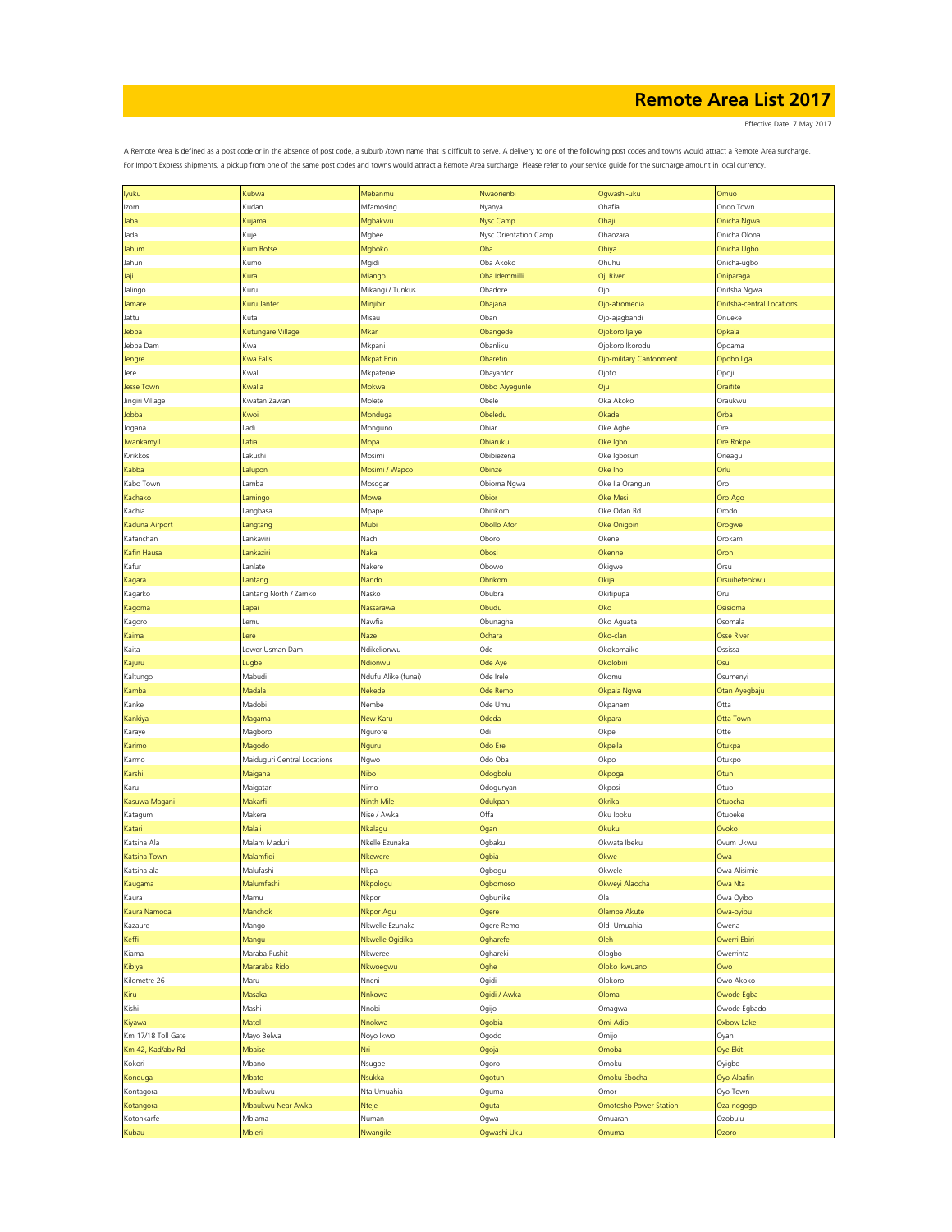Effective Date: 7 May 2017

| lyuku              | Kubwa                       | Mebanmu             | Nwaorienbi            | Ogwashi-uku             | Omuo                             |
|--------------------|-----------------------------|---------------------|-----------------------|-------------------------|----------------------------------|
| Izom               | Kudan                       | Mfamosing           | Nyanya                | Ohafia                  | Ondo Town                        |
| Jaba               | Kujama                      | Mgbakwu             | Nysc Camp             | Ohaji                   | Onicha Ngwa                      |
|                    |                             |                     |                       |                         |                                  |
| Jada               | Kuje                        | Mgbee               | Nysc Orientation Camp | Ohaozara                | Onicha Olona                     |
| Jahum              | <b>Kum Botse</b>            | Mgboko              | Oba                   | Ohiya                   | Onicha Ugbo                      |
| Jahun              | Kumo                        | Mgidi               | Oba Akoko             | Ohuhu                   | Onicha-ugbo                      |
|                    |                             |                     |                       |                         |                                  |
| Jaji               | Kura                        | Miango              | Oba Idemmilli         | Oji River               | Oniparaga                        |
| Jalingo            | Kuru                        | Mikangi / Tunkus    | Obadore               | Ojo                     | Onitsha Ngwa                     |
| Jamare             | Kuru Janter                 | Minjibir            | Obajana               | Ojo-afromedia           | <b>Onitsha-central Locations</b> |
| Jattu              | Kuta                        | Misau               | Oban                  | Ojo-ajagbandi           | Onueke                           |
|                    |                             |                     |                       |                         |                                  |
| Jebba              | Kutungare Village           | Mkar                | Obangede              | Ojokoro Ijaiye          | Opkala                           |
| Jebba Dam          | Kwa                         | Mkpani              | Obanliku              | Ojokoro Ikorodu         | Opoama                           |
| Jengre             | <b>Kwa Falls</b>            | Mkpat Enin          | Obaretin              | Ojo-military Cantonment | Opobo Lga                        |
| Jere               | Kwali                       | Mkpatenie           | Obayantor             | Ojoto                   | Opoji                            |
|                    |                             |                     |                       |                         |                                  |
| <b>Jesse Town</b>  | Kwalla                      | Mokwa               | Obbo Aiyegunle        | Oju                     | Oraifite                         |
| Jingiri Village    | Kwatan Zawan                | Molete              | Obele                 | Oka Akoko               | Oraukwu                          |
| Jobba              | Kwoi                        | Monduga             | Obeledu               | Okada                   | Orba                             |
|                    |                             |                     |                       |                         |                                  |
| Jogana             | Ladi                        | Monguno             | Obiar                 | Oke Agbe                | Ore                              |
| Jwankamyil         | Lafia                       | Mopa                | Obiaruku              | Oke Igbo                | Ore Rokpe                        |
| K/rikkos           | Lakushi                     | Mosimi              | Obibiezena            | Oke Igbosun             | Orieagu                          |
| Kabba              |                             | Mosimi / Wapco      | Obinze                | Oke Iho                 | Orlu                             |
|                    | Lalupor                     |                     |                       |                         |                                  |
| Kabo Town          | Lamba                       | Mosogar             | Obioma Ngwa           | Oke Ila Orangun         | Oro                              |
| Kachako            | Lamingo                     | Mowe                | Obior                 | Oke Mesi                | Oro Ago                          |
| Kachia             | Langbasa                    | Mpape               | Obirikom              | Oke Odan Rd             | Orodo                            |
|                    |                             |                     |                       |                         |                                  |
| Kaduna Airport     | Langtang                    | Mubi                | <b>Obollo Afor</b>    | Oke Onigbin             | Orogwe                           |
| Kafanchan          | Lankaviri                   | Nachi               | Oboro                 | Okene                   | Orokam                           |
| Kafin Hausa        | Lankaziri                   | Naka                | Obosi                 | Okenne                  | Oron                             |
| Kafur              | Lanlate                     | Nakere              | Obowo                 | Okigwe                  | Orsu                             |
|                    |                             |                     |                       |                         |                                  |
| Kagara             | Lantang                     | Nando               | Obrikom               | Okija                   | Orsuiheteokwu                    |
| Kagarko            | Lantang North / Zamko       | Nasko               | Obubra                | Okitipupa               | Oru                              |
| Kagoma             | Lapai                       | Nassarawa           | Obudu                 | Oko                     | Osisioma                         |
|                    |                             |                     |                       |                         |                                  |
| Kagoro             | Lemu                        | Nawfia              | Obunagha              | Oko Aguata              | Osomala                          |
| Kaima              | Lere                        | Naze                | Ochara                | Oko-clan                | <b>Osse River</b>                |
| Kaita              | Lower Usman Dam             | Ndikelionwu         | Ode                   | Okokomaiko              | Ossissa                          |
|                    |                             | Ndionwu             |                       | Okolobiri               | Osu                              |
| Kajuru             | Lugbe                       |                     | Ode Aye               |                         |                                  |
| Kaltungo           | Mabudi                      | Ndufu Alike (funai) | Ode Irele             | Okomu                   | Osumenyi                         |
| Kamba              | Madala                      | Nekede              | Ode Remo              | Okpala Ngwa             | Otan Ayegbaju                    |
| Kanke              | Madobi                      | Nembe               | Ode Umu               | Okpanam                 | Otta                             |
|                    |                             |                     |                       |                         |                                  |
| Kankiya            | Magama                      | New Karu            | Odeda                 | Okpara                  | Otta Town                        |
| Karaye             | Magboro                     | Ngurore             | Odi                   | Okpe                    | Otte                             |
| Karimo             | Magodo                      | Nguru               | Odo Ere               | Okpella                 | Otukpa                           |
|                    |                             |                     | Odo Oba               |                         | Otukpo                           |
| Karmo              | Maiduguri Central Locations | Ngwo                |                       | Okpo                    |                                  |
| Karshi             | Maigana                     | Nibo                | Odogbolu              | Okpoga                  | Otun                             |
| Karu               | Maigatari                   | Nimo                | Odogunyan             | Okposi                  | Otuo                             |
| Kasuwa Magani      | Makarfi                     | Ninth Mile          | Odukpani              | Okrika                  | Otuocha                          |
|                    |                             |                     |                       |                         |                                  |
| Katagum            | Makera                      | Nise / Awka         | Offa                  | Oku Iboku               | Otuoeke                          |
| Katari             | Malali                      | Nkalagu             | Ogan                  | Okuku                   | Ovoko                            |
| Katsina Ala        | Malam Maduri                | Nkelle Ezunaka      | Ogbaku                | Okwata Ibeku            | Ovum Ukwu                        |
| Katsina Town       | Malamfidi                   | Nkewere             | Ogbia                 | Okwe                    | Owa                              |
|                    |                             |                     |                       |                         |                                  |
| Katsina-ala        | Malufashi                   | Nkpa                | Ogbogu                | Okwele                  | Owa Alisimie                     |
| Kaugama            | Malumfashi                  | Nkpologu            | Ogbomoso              | Okweyi Alaocha          | Owa Nta                          |
| Kaura              | Mamu                        | Nkpor               | Ogbunike              | Ola                     | Owa Oyibo                        |
| Kaura Namoda       |                             |                     |                       |                         |                                  |
|                    | Manchok                     | Nkpor Agu           | Ogere                 | Olambe Akute            | Owa-oyibu                        |
| Kazaure            | Mango                       | Nkwelle Ezunaka     | Ogere Remo            | Old Umuahia             | Owena                            |
| Keffi              | Mangu                       | Nkwelle Ogidika     | Ogharefe              | Oleh                    | Owerri Ebiri                     |
| Kiama              | Maraba Pushit               | Nkweree             | Oghareki              | Ologbo                  | Owerrinta                        |
|                    |                             |                     |                       |                         |                                  |
| Kibiya             | Mararaba Rido               | Nkwoegwu            | Oghe                  | Oloko Ikwuano           | Owo                              |
| Kilometre 26       | Maru                        | Nneni               | Ogidi                 | Olokoro                 | Owo Akoko                        |
| Kiru               | Masaka                      | Nnkowa              | Ogidi / Awka          | Oloma                   | Owode Egba                       |
| Kishi              | Mashi                       | Nnobi               |                       |                         |                                  |
|                    |                             |                     | Ogijo                 | Omagwa                  | Owode Egbado                     |
| Kiyawa             | Matol                       | Nnokwa              | Ogobia                | Omi Adio                | <b>Oxbow Lake</b>                |
| Km 17/18 Toll Gate | Mayo Belwa                  | Noyo Ikwo           | Ogodo                 | Omijo                   | Oyan                             |
| Km 42, Kad/abv Rd  | Mbaise                      | Nri                 | Ogoja                 | Omoba                   | Oye Ekiti                        |
|                    |                             |                     |                       |                         |                                  |
| Kokori             | Mbano                       | Nsugbe              | Ogoro                 | Omoku                   | Oyigbo                           |
| Konduga            | Mbato                       | Nsukka              | Ogotun                | Omoku Ebocha            | Oyo Alaafin                      |
| Kontagora          | Mbaukwu                     | Nta Umuahia         | Oguma                 | Omor                    | Oyo Town                         |
|                    | Mbaukwu Near Awka           |                     |                       | Omotosho Power Station  |                                  |
| Kotangora          |                             | Nteje               | Oguta                 |                         | Oza-nogogo                       |
| Kotonkarfe         | Mbiama                      | Numan               | Ogwa                  | Omuaran                 | Ozobulu                          |
| Kubau              | Mbieri                      | Nwangile            | Ogwashi Uku           | Omuma                   | Ozoro                            |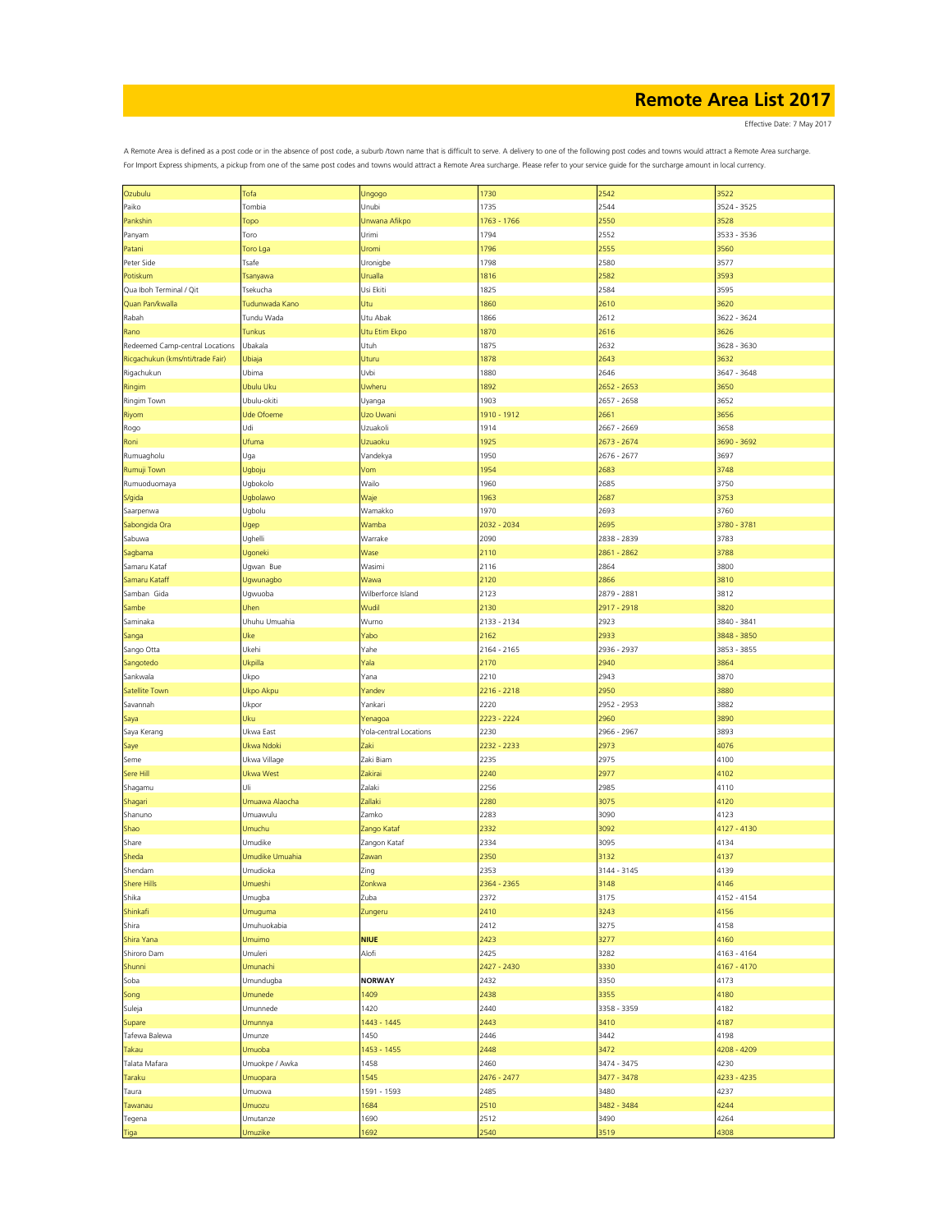Effective Date: 7 May 2017

| Ozubulu                          | Tofa              | Ungogo                 | 1730        | 2542        | 3522        |
|----------------------------------|-------------------|------------------------|-------------|-------------|-------------|
| Paiko                            | Tombia            | Unubi                  | 1735        | 2544        | 3524 - 3525 |
|                                  |                   |                        |             |             |             |
| Pankshin                         | Topo              | Unwana Afikpo          | 1763 - 1766 | 2550        | 3528        |
| Panyam                           | Toro              | Urimi                  | 1794        | 2552        | 3533 - 3536 |
|                                  | Toro Lga          | Uromi                  | 1796        | 2555        | 3560        |
| Patani                           |                   |                        |             |             |             |
| Peter Side                       | Tsafe             | Uronigbe               | 1798        | 2580        | 3577        |
| Potiskum                         | Tsanyawa          | Urualla                | 1816        | 2582        | 3593        |
|                                  |                   |                        |             |             |             |
| Qua Iboh Terminal / Qit          | Tsekucha          | Usi Ekiti              | 1825        | 2584        | 3595        |
| Quan Pan/kwalla                  | Tudunwada Kano    | Utu                    | 1860        | 2610        | 3620        |
|                                  |                   |                        |             |             |             |
| Rabah                            | Tundu Wada        | Utu Abak               | 1866        | 2612        | 3622 - 3624 |
| Rano                             | Tunkus            | Utu Etim Ekpo          | 1870        | 2616        | 3626        |
|                                  |                   |                        |             |             |             |
| Redeemed Camp-central Locations  | Ubakala           | Utuh                   | 1875        | 2632        | 3628 - 3630 |
| Ricgachukun (kms/nti/trade Fair) | Ubiaja            | Uturu                  | 1878        | 2643        | 3632        |
| Rigachukun                       | Ubima             | Uvbi                   | 1880        | 2646        | 3647 - 3648 |
|                                  |                   |                        |             |             |             |
| Ringim                           | Ubulu Uku         | Uwheru                 | 1892        | 2652 - 2653 | 3650        |
| Ringim Town                      | Ubulu-okiti       | Uyanga                 | 1903        | 2657 - 2658 | 3652        |
|                                  |                   |                        |             |             |             |
| Riyom                            | <b>Ude Ofoeme</b> | Uzo Uwani              | 1910 - 1912 | 2661        | 3656        |
| Rogo                             | Udi               | Uzuakoli               | 1914        | 2667 - 2669 | 3658        |
|                                  |                   |                        |             |             |             |
| Roni                             | Ufuma             | Uzuaoku                | 1925        | 2673 - 2674 | 3690 - 3692 |
| Rumuagholu                       | Uga               | Vandekya               | 1950        | 2676 - 2677 | 3697        |
|                                  |                   |                        |             |             |             |
| Rumuji Town                      | Ugboju            | Vom                    | 1954        | 2683        | 3748        |
| Rumuoduomaya                     | Ugbokolo          | Wailo                  | 1960        | 2685        | 3750        |
|                                  |                   |                        |             |             |             |
| S/gida                           | Ugbolawo          | Waje                   | 1963        | 2687        | 3753        |
| Saarpenwa                        | Ugbolu            | Wamakko                | 1970        | 2693        | 3760        |
|                                  |                   |                        |             | 2695        |             |
| Sabongida Ora                    | Ugep              | Wamba                  | 2032 - 2034 |             | 3780 - 3781 |
| Sabuwa                           | Ughelli           | Warrake                | 2090        | 2838 - 2839 | 3783        |
|                                  |                   |                        |             |             |             |
| Sagbama                          | Ugoneki           | Wase                   | 2110        | 2861 - 2862 | 3788        |
| Samaru Kataf                     | Ugwan Bue         | Wasimi                 | 2116        | 2864        | 3800        |
|                                  |                   |                        |             |             |             |
| Samaru Kataff                    | Ugwunagbo         | Wawa                   | 2120        | 2866        | 3810        |
| Samban Gida                      | Ugwuoba           | Wilberforce Island     | 2123        | 2879 - 2881 | 3812        |
|                                  |                   | Wudil                  | 2130        | 2917 - 2918 | 3820        |
| Sambe                            | Uhen              |                        |             |             |             |
| Saminaka                         | Uhuhu Umuahia     | Wurno                  | 2133 - 2134 | 2923        | 3840 - 3841 |
| Sanga                            | Uke               | Yabo                   | 2162        | 2933        | 3848 - 3850 |
|                                  |                   |                        |             |             |             |
| Sango Otta                       | Ukehi             | Yahe                   | 2164 - 2165 | 2936 - 2937 | 3853 - 3855 |
| Sangotedo                        | Ukpilla           | Yala                   | 2170        | 2940        | 3864        |
|                                  |                   |                        |             |             |             |
| Sankwala                         | Ukpo              | Yana                   | 2210        | 2943        | 3870        |
| Satellite Town                   | Ukpo Akpu         | Yandev                 | 2216 - 2218 | 2950        | 3880        |
|                                  |                   |                        |             |             |             |
| Savannah                         | Ukpor             | Yankari                | 2220        | 2952 - 2953 | 3882        |
| Saya                             | Uku               | Yenagoa                | 2223 - 2224 | 2960        | 3890        |
|                                  |                   |                        |             |             |             |
| Saya Kerang                      | Ukwa East         | Yola-central Locations | 2230        | 2966 - 2967 | 3893        |
| Saye                             | Ukwa Ndoki        | Zaki                   | 2232 - 2233 | 2973        | 4076        |
|                                  |                   |                        |             |             |             |
| Seme                             | Ukwa Village      | Zaki Biam              | 2235        | 2975        | 4100        |
| Sere Hill                        | <b>Ukwa West</b>  | Zakirai                | 2240        | 2977        | 4102        |
|                                  |                   |                        |             |             |             |
| Shagamu                          | Uli               | Zalaki                 | 2256        | 2985        | 4110        |
| Shagari                          | Umuawa Alaocha    | Zallaki                | 2280        | 3075        | 4120        |
|                                  |                   |                        |             |             |             |
| Shanuno                          | Umuawulu          | Zamko                  | 2283        | 3090        | 4123        |
| Shao                             | Umuchu            | Zango Kataf            | 2332        | 3092        | 4127 - 4130 |
|                                  |                   |                        |             |             |             |
| Share                            | Umudike           | Zangon Kataf           | 2334        | 3095        | 4134        |
| Sheda                            | Umudike Umuahia   | Zawan                  | 2350        | 3132        | 4137        |
| Shendam                          | Umudioka          | Zing                   | 2353        | 3144 - 3145 | 4139        |
|                                  |                   |                        |             |             |             |
| <b>Shere Hills</b>               | Umueshi           | Zonkwa                 | 2364 - 2365 | 3148        | 4146        |
| Shika                            | Umugba            | Zuba                   | 2372        | 3175        | 4152 - 4154 |
|                                  |                   |                        |             |             |             |
| Shinkafi                         | Umuguma           | Zungeru                | 2410        | 3243        | 4156        |
| Shira                            | Umuhuokabia       |                        | 2412        | 3275        | 4158        |
|                                  |                   |                        |             |             |             |
| Shira Yana                       | Umuimo            | <b>NIUE</b>            | 2423        | 3277        | 4160        |
| Shiroro Dam                      | Umuleri           | Alofi                  | 2425        | 3282        | 4163 - 4164 |
|                                  |                   |                        |             |             |             |
| Shunni                           | Umunachi          |                        | 2427 - 2430 | 3330        | 4167 - 4170 |
| Soba                             | Umundugba         | <b>NORWAY</b>          | 2432        | 3350        | 4173        |
|                                  |                   |                        |             |             |             |
| Song                             | Umunede           | 1409                   | 2438        | 3355        | 4180        |
| Suleja                           | Umunnede          | 1420                   | 2440        | 3358 - 3359 | 4182        |
|                                  |                   |                        |             |             |             |
| Supare                           | Umunnya           | 1443 - 1445            | 2443        | 3410        | 4187        |
| Tafewa Balewa                    | Umunze            | 1450                   | 2446        | 3442        | 4198        |
|                                  |                   |                        |             |             |             |
| Takau                            | Umuoba            | 1453 - 1455            | 2448        | 3472        | 4208 - 4209 |
| Talata Mafara                    | Umuokpe / Awka    | 1458                   | 2460        | 3474 - 3475 | 4230        |
|                                  |                   |                        |             |             |             |
| Taraku                           | Umuopara          | 1545                   | 2476 - 2477 | 3477 - 3478 | 4233 - 4235 |
| Taura                            | Umuowa            | 1591 - 1593            | 2485        | 3480        | 4237        |
|                                  |                   | 1684                   | 2510        | 3482 - 3484 | 4244        |
| Tawanau                          | Umuozu            |                        |             |             |             |
| Tegena                           | Umutanze          | 1690                   | 2512        | 3490        | 4264        |
|                                  | Umuzike           | 1692                   | 2540        | 3519        | 4308        |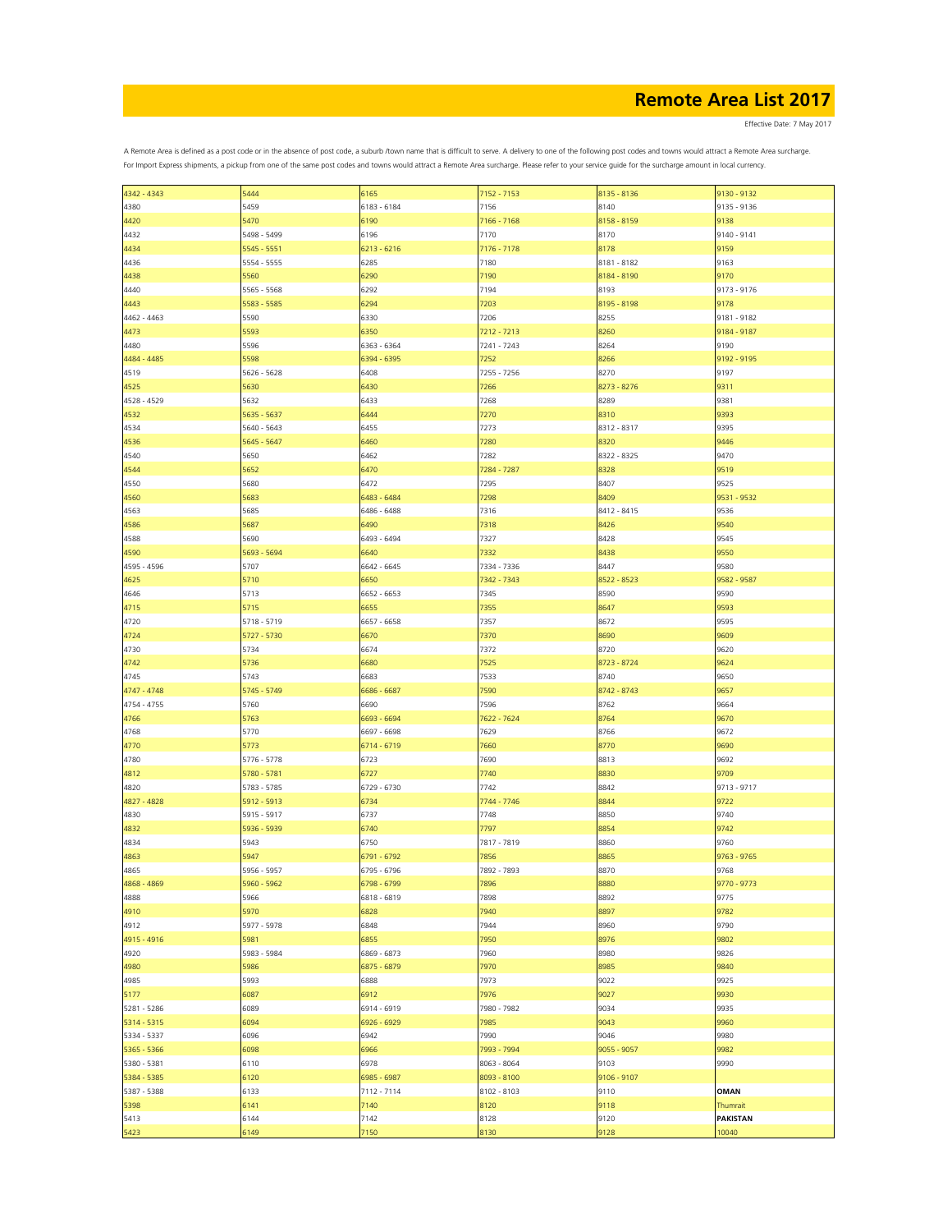Effective Date: 7 May 2017

| 4342 - 4343 | 5444        | 6165        | 7152 - 7153 | 8135 - 8136 | 9130 - 9132     |
|-------------|-------------|-------------|-------------|-------------|-----------------|
| 4380        | 5459        | 6183 - 6184 | 7156        | 8140        | 9135 - 9136     |
| 4420        | 5470        | 6190        | 7166 - 7168 | 8158 - 8159 | 9138            |
| 4432        | 5498 - 5499 | 6196        | 7170        | 8170        | 9140 - 9141     |
|             |             |             |             |             |                 |
| 4434        | 5545 - 5551 | 6213 - 6216 | 7176 - 7178 | 8178        | 9159            |
| 4436        | 5554 - 5555 | 6285        | 7180        | 8181 - 8182 | 9163            |
| 4438        | 5560        | 6290        | 7190        | 8184 - 8190 | 9170            |
| 4440        | 5565 - 5568 | 6292        | 7194        | 8193        | 9173 - 9176     |
|             |             | 6294        | 7203        | 8195 - 8198 |                 |
| 4443        | 5583 - 5585 |             |             |             | 9178            |
| 4462 - 4463 | 5590        | 6330        | 7206        | 8255        | 9181 - 9182     |
| 4473        | 5593        | 6350        | 7212 - 7213 | 8260        | 9184 - 9187     |
| 4480        | 5596        | 6363 - 6364 | 7241 - 7243 | 8264        | 9190            |
| 4484 - 4485 | 5598        | 6394 - 6395 | 7252        | 8266        | 9192 - 9195     |
|             | 5626 - 5628 | 6408        | 7255 - 7256 | 8270        | 9197            |
| 4519        |             |             |             |             |                 |
| 4525        | 5630        | 6430        | 7266        | 8273 - 8276 | 9311            |
| 4528 - 4529 | 5632        | 6433        | 7268        | 8289        | 9381            |
| 4532        | 5635 - 5637 | 6444        | 7270        | 8310        | 9393            |
| 4534        | 5640 - 5643 | 6455        | 7273        | 8312 - 8317 | 9395            |
|             |             |             |             |             |                 |
| 4536        | 5645 - 5647 | 6460        | 7280        | 8320        | 9446            |
| 4540        | 5650        | 6462        | 7282        | 8322 - 8325 | 9470            |
| 4544        | 5652        | 6470        | 7284 - 7287 | 8328        | 9519            |
| 4550        | 5680        | 6472        | 7295        | 8407        | 9525            |
|             |             |             |             |             |                 |
| 4560        | 5683        | 6483 - 6484 | 7298        | 8409        | 9531 - 9532     |
| 4563        | 5685        | 6486 - 6488 | 7316        | 8412 - 8415 | 9536            |
| 4586        | 5687        | 6490        | 7318        | 8426        | 9540            |
| 4588        | 5690        | 6493 - 6494 | 7327        | 8428        | 9545            |
| 4590        | 5693 - 5694 | 6640        | 7332        | 8438        | 9550            |
|             |             |             |             |             |                 |
| 4595 - 4596 | 5707        | 6642 - 6645 | 7334 - 7336 | 8447        | 9580            |
| 4625        | 5710        | 6650        | 7342 - 7343 | 8522 - 8523 | 9582 - 9587     |
| 4646        | 5713        | 6652 - 6653 | 7345        | 8590        | 9590            |
| 4715        | 5715        | 6655        | 7355        | 8647        | 9593            |
|             |             |             |             |             |                 |
| 4720        | 5718 - 5719 | 6657 - 6658 | 7357        | 8672        | 9595            |
| 4724        | 5727 - 5730 | 6670        | 7370        | 8690        | 9609            |
| 4730        | 5734        | 6674        | 7372        | 8720        | 9620            |
| 4742        | 5736        | 6680        | 7525        | 8723 - 8724 | 9624            |
|             |             |             |             |             |                 |
| 4745        | 5743        | 6683        | 7533        | 8740        | 9650            |
| 4747 - 4748 | 5745 - 5749 | 6686 - 6687 | 7590        | 8742 - 8743 | 9657            |
| 4754 - 4755 | 5760        | 6690        | 7596        | 8762        | 9664            |
| 4766        | 5763        | 6693 - 6694 | 7622 - 7624 | 8764        | 9670            |
| 4768        | 5770        | 6697 - 6698 | 7629        | 8766        | 9672            |
|             |             |             |             |             |                 |
| 4770        | 5773        | 6714 - 6719 | 7660        | 8770        | 9690            |
| 4780        | 5776 - 5778 | 6723        | 7690        | 8813        | 9692            |
| 4812        | 5780 - 5781 | 6727        | 7740        | 8830        | 9709            |
| 4820        | 5783 - 5785 | 6729 - 6730 | 7742        | 8842        | 9713 - 9717     |
|             |             |             |             |             |                 |
| 4827 - 4828 | 5912 - 5913 | 6734        | 7744 - 7746 | 8844        | 9722            |
| 4830        | 5915 - 5917 | 6737        | 7748        | 8850        | 9740            |
| 4832        | 5936 - 5939 | 6740        | 7797        | 8854        | 9742            |
| 4834        | 5943        | 6750        | 7817 - 7819 | 8860        | 9760            |
| 4863        | 5947        | 6791 - 6792 | 7856        | 8865        | $9763 - 9765$   |
|             |             |             |             |             |                 |
| 4865        | 5956 - 5957 | 6795 - 6796 | 7892 - 7893 | 8870        | 9768            |
| 4868 - 4869 | 5960 - 5962 | 6798 - 6799 | 7896        | 8880        | 9770 - 9773     |
| 4888        | 5966        | 6818 - 6819 | 7898        | 8892        | 9775            |
| 4910        | 5970        | 6828        | 7940        | 8897        | 9782            |
|             |             |             |             |             |                 |
| 4912        | 5977 - 5978 | 6848        | 7944        | 8960        | 9790            |
| 4915 - 4916 | 5981        | 6855        | 7950        | 8976        | 9802            |
| 4920        | 5983 - 5984 | 6869 - 6873 | 7960        | 8980        | 9826            |
| 4980        | 5986        | 6875 - 6879 | 7970        | 8985        | 9840            |
| 4985        | 5993        | 6888        | 7973        | 9022        | 9925            |
|             |             |             |             |             |                 |
| 5177        | 6087        | 6912        | 7976        | 9027        | 9930            |
| 5281 - 5286 | 6089        | 6914 - 6919 | 7980 - 7982 | 9034        | 9935            |
| 5314 - 5315 | 6094        | 6926 - 6929 | 7985        | 9043        | 9960            |
| 5334 - 5337 | 6096        | 6942        | 7990        | 9046        | 9980            |
|             |             |             |             |             |                 |
| 5365 - 5366 | 6098        | 6966        | 7993 - 7994 | 9055 - 9057 | 9982            |
| 5380 - 5381 | 6110        | 6978        | 8063 - 8064 | 9103        | 9990            |
| 5384 - 5385 | 6120        | 6985 - 6987 | 8093 - 8100 | 9106 - 9107 |                 |
| 5387 - 5388 | 6133        | 7112 - 7114 | 8102 - 8103 | 9110        | <b>OMAN</b>     |
|             |             |             |             |             |                 |
| 5398        | 6141        | 7140        | 8120        | 9118        | Thumrait        |
| 5413        | 6144        | 7142        | 8128        | 9120        | <b>PAKISTAN</b> |
| 5423        | 6149        | 7150        | 8130        | 9128        | 10040           |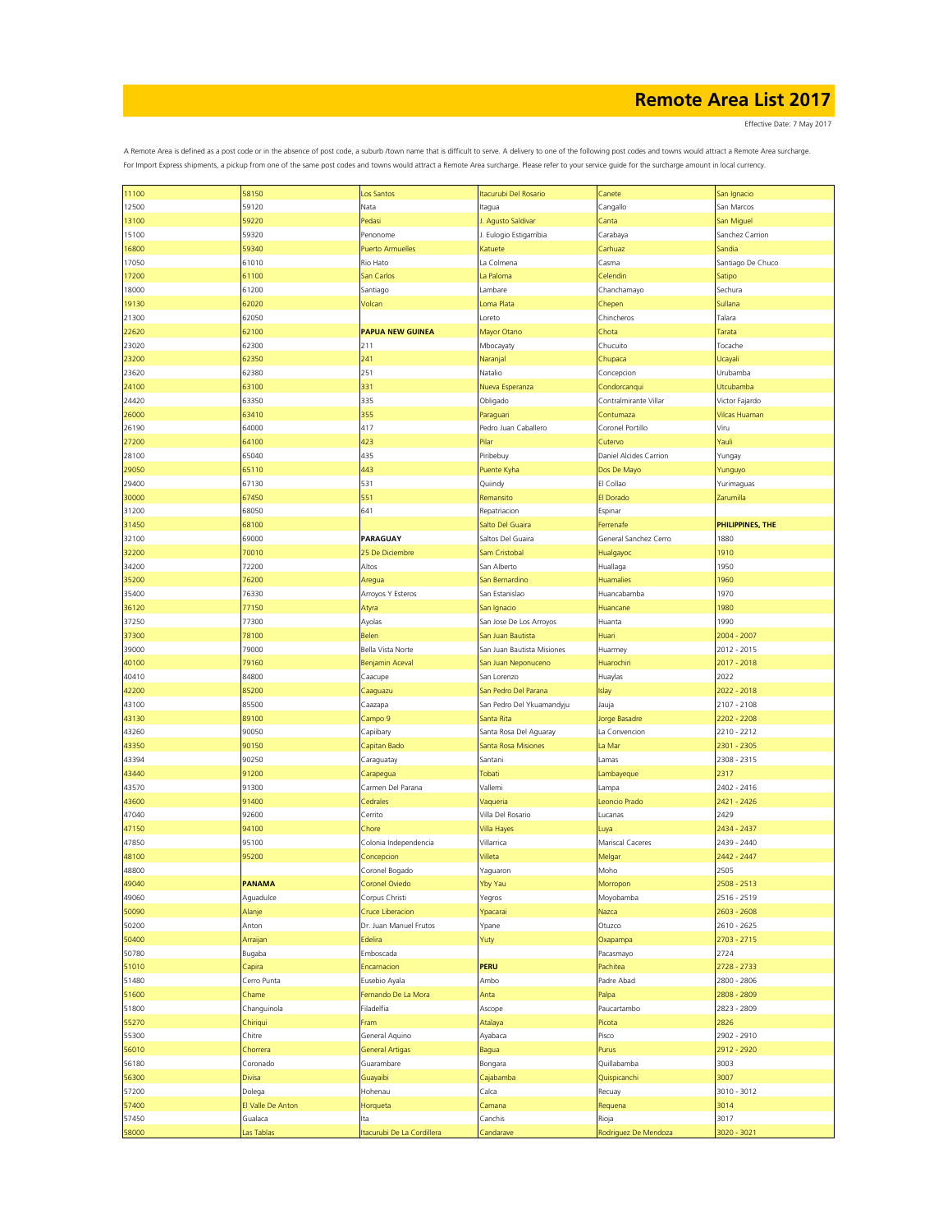Effective Date: 7 May 2017

| 11100 | 58150             | Los Santos                | Itacurubi Del Rosario      | Canete                 | San Ignacio       |
|-------|-------------------|---------------------------|----------------------------|------------------------|-------------------|
| 12500 | 59120             | Nata                      | ltagua                     | Cangallo               | San Marcos        |
|       |                   |                           |                            |                        |                   |
| 13100 | 59220             | Pedasi                    | I. Agusto Saldivar         | Canta                  | San Miguel        |
| 15100 | 59320             | Penonome                  | J. Eulogio Estigarribia    | Carabaya               | Sanchez Carrion   |
| 16800 | 59340             | <b>Puerto Armuelles</b>   | Katuete                    | Carhuaz                | Sandia            |
| 17050 | 61010             | Rio Hato                  | La Colmena                 | Casma                  | Santiago De Chuco |
| 17200 |                   |                           | La Paloma                  | Celendin               |                   |
|       | 61100             | San Carlos                |                            |                        | Satipo            |
| 18000 | 61200             | Santiago                  | Lambare                    | Chanchamayo            | Sechura           |
| 19130 | 62020             | Volcan                    | Loma Plata                 | Chepen                 | Sullana           |
| 21300 | 62050             |                           | Loreto                     | Chincheros             | Talara            |
| 22620 | 62100             | <b>PAPUA NEW GUINEA</b>   | Mayor Otano                | Chota                  | Tarata            |
|       |                   |                           |                            |                        |                   |
| 23020 | 62300             | 211                       | Mbocayaty                  | Chucuito               | Tocache           |
| 23200 | 62350             | 241                       | Naranjal                   | Chupaca                | Ucayali           |
| 23620 | 62380             | 251                       | Natalio                    | Concepcion             | Urubamba          |
| 24100 | 63100             | 331                       | Nueva Esperanza            | Condorcanqui           | <b>Jtcubamba</b>  |
|       |                   |                           |                            |                        |                   |
| 24420 | 63350             | 335                       | Obligado                   | Contralmirante Villar  | Victor Fajardo    |
| 26000 | 63410             | 355                       | Paraguari                  | Contumaza              | Vilcas Huaman     |
| 26190 | 64000             | 417                       | Pedro Juan Caballero       | Coronel Portillo       | Viru              |
| 27200 | 64100             | 423                       | Pilar                      | Cutervo                | Yauli             |
|       |                   |                           |                            |                        |                   |
| 28100 | 65040             | 435                       | Piribebuy                  | Daniel Alcides Carrion | Yungay            |
| 29050 | 65110             | 443                       | Puente Kyha                | Dos De Mayo            | Yunguyo           |
| 29400 | 67130             | 531                       | Quiindy                    | El Collao              | Yurimaguas        |
| 30000 | 67450             | 551                       | Remansito                  | El Dorado              | Zarumilla         |
|       | 68050             | 641                       | Repatriacion               |                        |                   |
| 31200 |                   |                           |                            | Espinar                |                   |
| 31450 | 68100             |                           | Salto Del Guaira           | Ferrenafe              | PHILIPPINES, THE  |
| 32100 | 69000             | PARAGUAY                  | Saltos Del Guaira          | General Sanchez Cerro  | 1880              |
| 32200 | 70010             | 25 De Diciembre           | Sam Cristobal              | Hualgayoc              | 1910              |
| 34200 |                   | Altos                     | San Alberto                |                        | 1950              |
|       | 72200             |                           |                            | Huallaga               |                   |
| 35200 | 76200             | Aregua                    | San Bernardino             | <b>Huamalies</b>       | 1960              |
| 35400 | 76330             | Arroyos Y Esteros         | San Estanislao             | Huancabamba            | 1970              |
| 36120 | 77150             | Atyra                     | San Ignacio                | Huancane               | 1980              |
| 37250 | 77300             | Ayolas                    | San Jose De Los Arroyos    | Huanta                 | 1990              |
|       |                   |                           |                            |                        |                   |
| 37300 | 78100             | Belen                     | San Juan Bautista          | Huari                  | 2004 - 2007       |
| 39000 | 79000             | Bella Vista Norte         | San Juan Bautista Misiones | Huarmey                | 2012 - 2015       |
| 40100 | 79160             | <b>Benjamin Aceval</b>    | San Juan Neponuceno        | Huarochiri             | 2017 - 2018       |
| 40410 | 84800             | Caacupe                   | San Lorenzo                | Huaylas                | 2022              |
|       | 85200             |                           |                            |                        |                   |
| 42200 |                   | Caaguazu                  | San Pedro Del Parana       | Islay                  | 2022 - 2018       |
| 43100 | 85500             | Caazapa                   | San Pedro Del Ykuamandyju  | Jauja                  | 2107 - 2108       |
| 43130 | 89100             | Campo 9                   | Santa Rita                 | Jorge Basadre          | 2202 - 2208       |
| 43260 | 90050             | Capiibary                 | Santa Rosa Del Aguaray     | La Convencion          | 2210 - 2212       |
| 43350 | 90150             | Capitan Bado              | Santa Rosa Misiones        | La Mar                 | 2301 - 2305       |
|       |                   |                           |                            |                        |                   |
| 43394 | 90250             | Caraguatay                | Santani                    | Lamas                  | 2308 - 2315       |
| 43440 | 91200             | Carapegua                 | Tobati                     | Lambayeque             | 2317              |
| 43570 | 91300             | Carmen Del Parana         | Vallemi                    | Lampa                  | 2402 - 2416       |
| 43600 | 91400             | Cedrales                  | Vaqueria                   | Leoncio Prado          | 2421 - 2426       |
|       |                   |                           |                            |                        |                   |
| 47040 | 92600             | Cerrito                   | Villa Del Rosario          | Lucanas                | 2429              |
| 47150 | 94100             | Chore                     | Villa Hayes                | Luya                   | 2434 - 2437       |
| 47850 | 95100             | Colonia Independencia     | Villarrica                 | Mariscal Caceres       | 2439 - 2440       |
| 48100 | 95200             | Concepcion                | Villeta                    | Melgar                 | 2442 - 2447       |
| 48800 |                   | Coronel Bogado            | Yaguaron                   | Moho                   | 2505              |
|       |                   |                           |                            |                        |                   |
| 49040 | <b>PANAMA</b>     | Coronel Oviedo            | Yby Yau                    | Morropon               | 2508 - 2513       |
| 49060 | Aguadulce         | Corpus Christi            | Yegros                     | Moyobamba              | 2516 - 2519       |
| 50090 | Alanje            | Cruce Liberacion          | Ypacarai                   | Nazca                  | 2603 - 2608       |
| 50200 | Anton             | Dr. Juan Manuel Frutos    | Ypane                      | Otuzco                 | 2610 - 2625       |
|       |                   |                           |                            |                        |                   |
| 50400 | Arraijan          | Edelira                   | Yuty                       | Oxapampa               | 2703 - 2715       |
| 50780 | Bugaba            | Emboscada                 |                            | Pacasmayo              | 2724              |
| 51010 | Capira            | Encarnacion               | PERU                       | Pachitea               | 2728 - 2733       |
| 51480 | Cerro Punta       | Eusebio Ayala             | Ambo                       | Padre Abad             | 2800 - 2806       |
|       |                   |                           |                            |                        |                   |
| 51600 | Chame             | Fernando De La Mora       | Anta                       | Palpa                  | 2808 - 2809       |
| 51800 | Changuinola       | Filadelfia                | Ascope                     | Paucartambo            | 2823 - 2809       |
| 55270 | Chiriqui          | Fram                      | Atalaya                    | Picota                 | 2826              |
| 55300 | Chitre            | General Aquino            | Ayabaca                    | Pisco                  | 2902 - 2910       |
| 56010 | Chorrera          | <b>General Artigas</b>    |                            | Purus                  | 2912 - 2920       |
|       |                   |                           | Bagua                      |                        |                   |
| 56180 | Coronado          | Guarambare                | Bongara                    | Quillabamba            | 3003              |
| 56300 | Divisa            | Guayaibi                  | Cajabamba                  | Quispicanchi           | 3007              |
| 57200 | Dolega            | Hohenau                   | Calca                      | Recuay                 | 3010 - 3012       |
| 57400 | El Valle De Anton | Horqueta                  | Camana                     | Requena                | 3014              |
|       |                   |                           |                            |                        |                   |
| 57450 | Gualaca           | Ita                       | Canchis                    | Rioja                  | 3017              |
| 58000 | as Tablas         | tacurubi De La Cordillera | Candarave                  | Rodriguez De Mendoza   | 3020 - 3021       |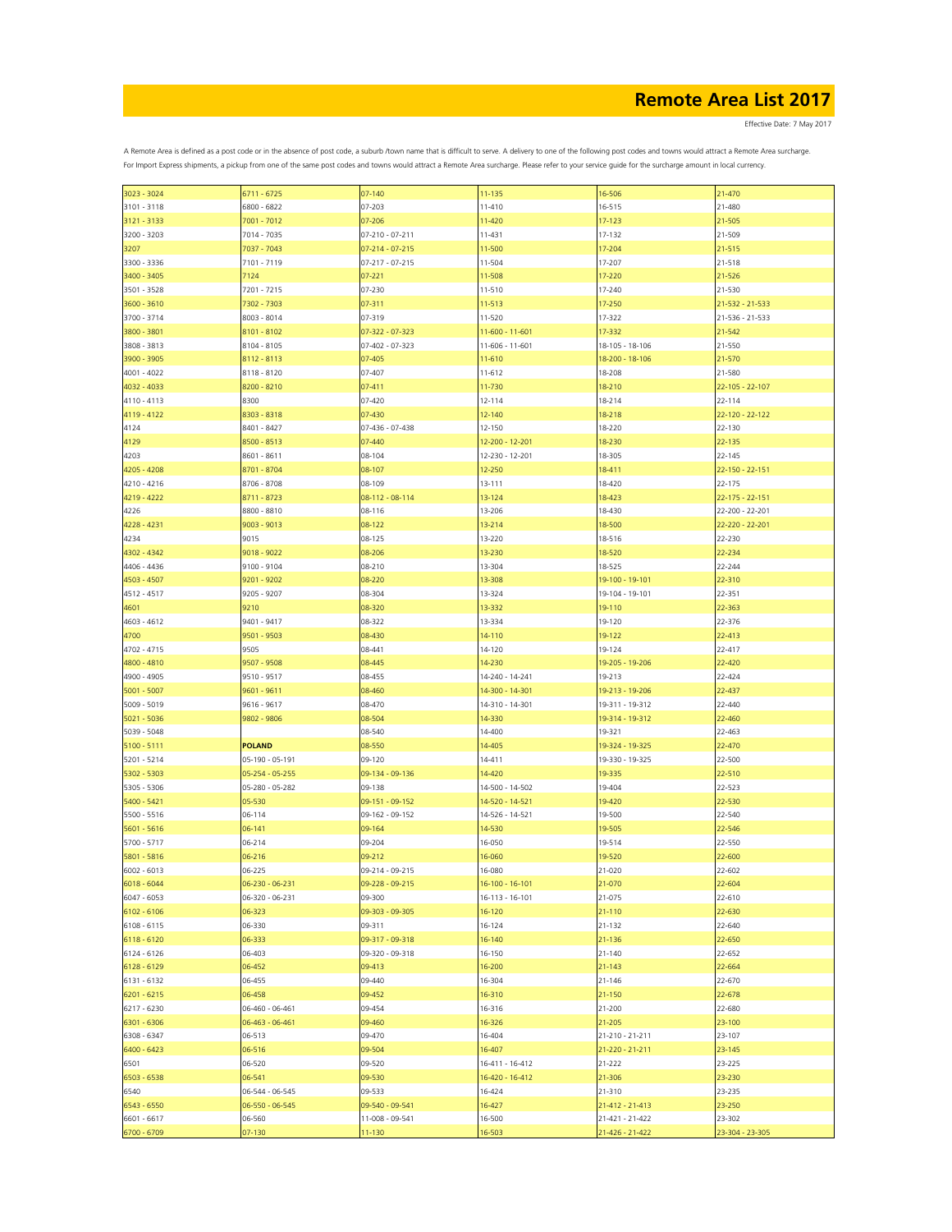Effective Date: 7 May 2017

| 3023 - 3024   | $6711 - 6725$         | $07 - 140$      | 11-135                | 16-506          | 21-470                |
|---------------|-----------------------|-----------------|-----------------------|-----------------|-----------------------|
| 3101 - 3118   | 6800 - 6822           | 07-203          | 11-410                | 16-515          | 21-480                |
| 3121 - 3133   | 7001 - 7012           | 07-206          | 11-420                | $17 - 123$      | 21-505                |
|               |                       |                 |                       |                 |                       |
| 3200 - 3203   | 7014 - 7035           | 07-210 - 07-211 | 11-431                | 17-132          | 21-509                |
| 3207          | 7037 - 7043           | 07-214 - 07-215 | 11-500                | 17-204          | 21-515                |
| 3300 - 3336   | 7101 - 7119           | 07-217 - 07-215 | 11-504                | 17-207          | 21-518                |
| 3400 - 3405   | 7124                  | $07 - 221$      | 11-508                | 17-220          | 21-526                |
|               |                       |                 |                       |                 |                       |
| 3501 - 3528   | 7201 - 7215           | 07-230          | 11-510                | 17-240          | 21-530                |
| 3600 - 3610   | 7302 - 7303           | 07-311          | 11-513                | 17-250          | 21-532 - 21-533       |
| 3700 - 3714   | 8003 - 8014           | 07-319          | 11-520                | 17-322          | 21-536 - 21-533       |
|               |                       |                 |                       |                 |                       |
| 3800 - 3801   | 8101 - 8102           | 07-322 - 07-323 | 11-600 - 11-601       | 17-332          | 21-542                |
| 3808 - 3813   | 8104 - 8105           | 07-402 - 07-323 | 11-606 - 11-601       | 18-105 - 18-106 | 21-550                |
| 3900 - 3905   | 8112 - 8113           | 07-405          | 11-610                | 18-200 - 18-106 | 21-570                |
| $4001 - 4022$ | 8118 - 8120           | 07-407          | 11-612                | 18-208          | 21-580                |
|               |                       |                 |                       |                 |                       |
| 4032 - 4033   | 8200 - 8210           | $07 - 411$      | 11-730                | 18-210          | 22-105 - 22-107       |
| 4110 - 4113   | 8300                  | 07-420          | 12-114                | 18-214          | 22-114                |
| 4119 - 4122   | 8303 - 8318           | 07-430          | 12-140                | 18-218          | $22 - 120 - 22 - 122$ |
|               |                       |                 |                       |                 |                       |
| 4124          | 8401 - 8427           | 07-436 - 07-438 | 12-150                | 18-220          | 22-130                |
| 4129          | 8500 - 8513           | 07-440          | 12-200 - 12-201       | 18-230          | 22-135                |
| 4203          | 8601 - 8611           | 08-104          | 12-230 - 12-201       | 18-305          | 22-145                |
|               |                       |                 |                       |                 |                       |
| 4205 - 4208   | 8701 - 8704           | 08-107          | 12-250                | 18-411          | 22-150 - 22-151       |
| 4210 - 4216   | 8706 - 8708           | 08-109          | 13-111                | 18-420          | 22-175                |
| 4219 - 4222   | 8711 - 8723           | 08-112 - 08-114 | 13-124                | 18-423          | 22-175 - 22-151       |
|               | 8800 - 8810           | 08-116          |                       | 18-430          | 22-200 - 22-201       |
| 4226          |                       |                 | 13-206                |                 |                       |
| 4228 - 4231   | $9003 - 9013$         | 08-122          | 13-214                | 18-500          | 22-220 - 22-201       |
| 4234          | 9015                  | 08-125          | 13-220                | 18-516          | 22-230                |
| 4302 - 4342   | 9018 - 9022           | 08-206          | 13-230                | 18-520          | 22-234                |
|               |                       |                 |                       |                 |                       |
| 4406 - 4436   | 9100 - 9104           | 08-210          | 13-304                | 18-525          | 22-244                |
| 4503 - 4507   | 9201 - 9202           | 08-220          | 13-308                | 19-100 - 19-101 | 22-310                |
| 4512 - 4517   | 9205 - 9207           | 08-304          | 13-324                | 19-104 - 19-101 | 22-351                |
|               |                       |                 |                       |                 |                       |
| 4601          | 9210                  | 08-320          | 13-332                | 19-110          | 22-363                |
| 4603 - 4612   | 9401 - 9417           | 08-322          | 13-334                | 19-120          | 22-376                |
| 4700          | 9501 - 9503           | 08-430          | 14-110                | 19-122          | 22-413                |
|               |                       |                 |                       |                 |                       |
| 4702 - 4715   | 9505                  | 08-441          | 14-120                | 19-124          | 22-417                |
| 4800 - 4810   | 9507 - 9508           | 08-445          | 14-230                | 19-205 - 19-206 | 22-420                |
| 4900 - 4905   | 9510 - 9517           | 08-455          | 14-240 - 14-241       | 19-213          | 22-424                |
| $5001 - 5007$ | 9601 - 9611           | 08-460          | 14-300 - 14-301       | 19-213 - 19-206 | 22-437                |
|               |                       |                 |                       |                 |                       |
| 5009 - 5019   | 9616 - 9617           | 08-470          | 14-310 - 14-301       | 19-311 - 19-312 | 22-440                |
| 5021 - 5036   | 9802 - 9806           | 08-504          | 14-330                | 19-314 - 19-312 | 22-460                |
| 5039 - 5048   |                       | 08-540          | 14-400                | 19-321          | 22-463                |
|               |                       |                 |                       |                 |                       |
| $5100 - 5111$ | <b>POLAND</b>         | 08-550          | 14-405                | 19-324 - 19-325 | 22-470                |
| 5201 - 5214   | 05-190 - 05-191       | 09-120          | 14-411                | 19-330 - 19-325 | 22-500                |
| 5302 - 5303   | 05-254 - 05-255       | 09-134 - 09-136 | 14-420                | 19-335          | 22-510                |
|               |                       |                 |                       |                 |                       |
| 5305 - 5306   | 05-280 - 05-282       | 09-138          | 14-500 - 14-502       | 19-404          | 22-523                |
| 5400 - 5421   | 05-530                | 09-151 - 09-152 | 14-520 - 14-521       | 19-420          | 22-530                |
| 5500 - 5516   | 06-114                | 09-162 - 09-152 | 14-526 - 14-521       | 19-500          | 22-540                |
| 5601 - 5616   | 06-141                | 09-164          | 14-530                | 19-505          | 22-546                |
|               |                       |                 |                       |                 |                       |
| 5700 - 5717   | 06-214                | 09-204          | 16-050                | 19-514          | 22-550                |
| 5801 - 5816   | 06-216                | 09-212          | 16-060                | 19-520          | 22-600                |
| 6002 - 6013   | 06-225                | 09-214 - 09-215 | 16-080                | 21-020          | 22-602                |
|               |                       |                 |                       |                 |                       |
| 6018 - 6044   | 06-230 - 06-231       | 09-228 - 09-215 | 16-100 - 16-101       | 21-070          | 22-604                |
| 6047 - 6053   | 06-320 - 06-231       | 09-300          | $16 - 113 - 16 - 101$ | 21-075          | 22-610                |
| 6102 - 6106   | 06-323                | 09-303 - 09-305 | 16-120                | $21 - 110$      | 22-630                |
| 6108 - 6115   | 06-330                | 09-311          | 16-124                | 21-132          | 22-640                |
|               |                       |                 |                       |                 |                       |
| 6118 - 6120   | 06-333                | 09-317 - 09-318 | 16-140                | 21-136          | 22-650                |
| 6124 - 6126   | 06-403                | 09-320 - 09-318 | 16-150                | 21-140          | 22-652                |
| 6128 - 6129   | 06-452                | 09-413          | 16-200                | $21 - 143$      | 22-664                |
|               |                       |                 |                       |                 |                       |
| 6131 - 6132   | 06-455                | 09-440          | 16-304                | 21-146          | 22-670                |
| 6201 - 6215   | 06-458                | 09-452          | 16-310                | 21-150          | 22-678                |
| 6217 - 6230   | 06-460 - 06-461       | 09-454          | 16-316                | 21-200          | 22-680                |
| 6301 - 6306   | $06 - 463 - 06 - 461$ | 09-460          | 16-326                | 21-205          | 23-100                |
|               |                       |                 |                       |                 |                       |
| 6308 - 6347   | 06-513                | 09-470          | 16-404                | 21-210 - 21-211 | 23-107                |
| 6400 - 6423   | 06-516                | 09-504          | 16-407                | 21-220 - 21-211 | 23-145                |
| 6501          | 06-520                | 09-520          | 16-411 - 16-412       | 21-222          | 23-225                |
|               |                       |                 |                       |                 |                       |
| 6503 - 6538   | 06-541                | 09-530          | 16-420 - 16-412       | 21-306          | 23-230                |
| 6540          | 06-544 - 06-545       | 09-533          | 16-424                | 21-310          | 23-235                |
| 6543 - 6550   | 06-550 - 06-545       | 09-540 - 09-541 | 16-427                | 21-412 - 21-413 | 23-250                |
|               |                       |                 |                       |                 |                       |
| 6601 - 6617   | 06-560                | 11-008 - 09-541 | 16-500                | 21-421 - 21-422 | 23-302                |
| 6700 - 6709   | 07-130                | 11-130          | 16-503                | 21-426 - 21-422 | 23-304 - 23-305       |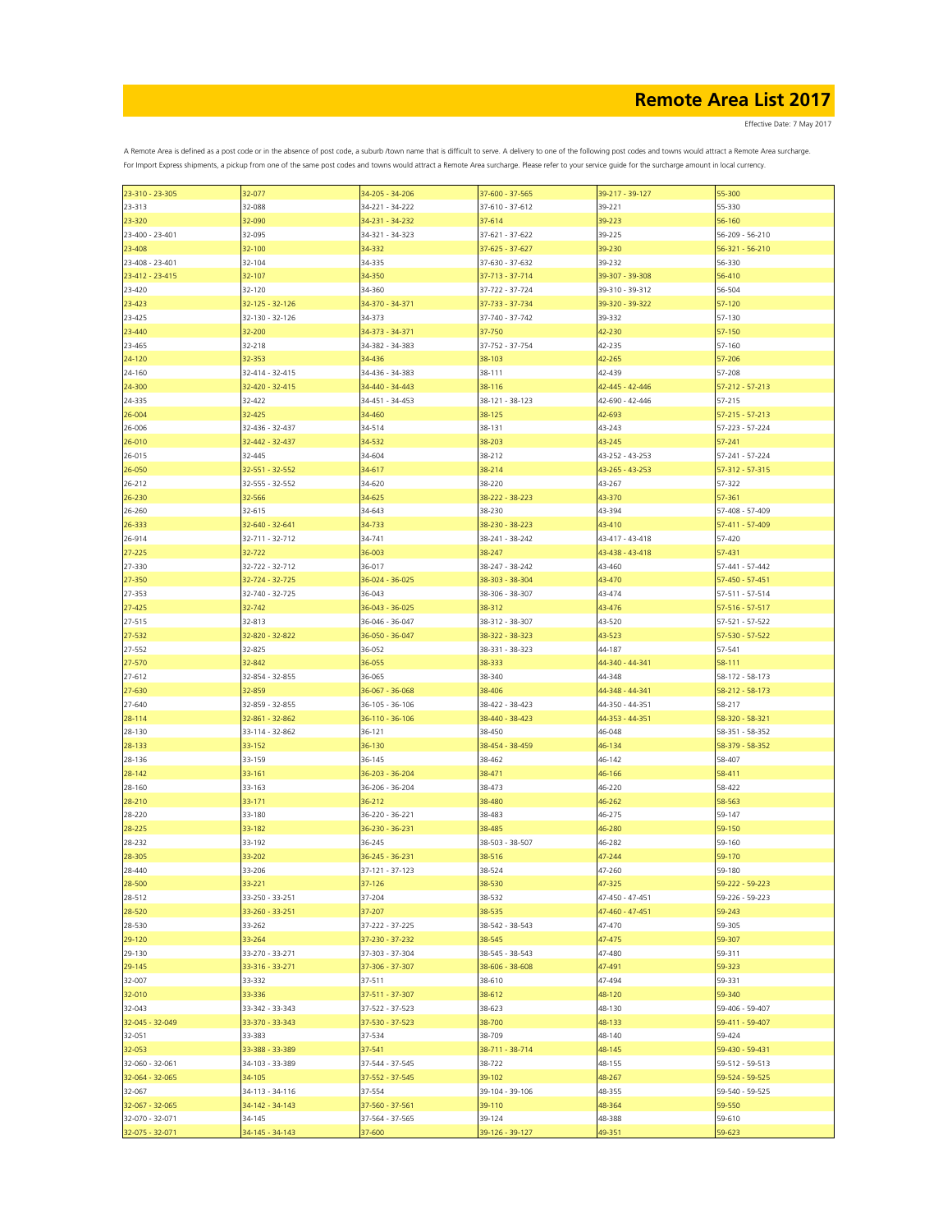Effective Date: 7 May 2017

| 23-310 - 23-305 | 32-077                | 34-205 - 34-206 | 37-600 - 37-565 | 39-217 - 39-127 | 55-300                |
|-----------------|-----------------------|-----------------|-----------------|-----------------|-----------------------|
| 23-313          | 32-088                | 34-221 - 34-222 | 37-610 - 37-612 | 39-221          | 55-330                |
|                 |                       |                 |                 |                 |                       |
| 23-320          | 32-090                | 34-231 - 34-232 | 37-614          | 39-223          | 56-160                |
| 23-400 - 23-401 | 32-095                | 34-321 - 34-323 | 37-621 - 37-622 | 39-225          | 56-209 - 56-210       |
|                 |                       |                 |                 |                 |                       |
| 23-408          | 32-100                | 34-332          | 37-625 - 37-627 | 39-230          | 56-321 - 56-210       |
| 23-408 - 23-401 | 32-104                | 34-335          | 37-630 - 37-632 | 39-232          | 56-330                |
|                 |                       |                 |                 |                 |                       |
| 23-412 - 23-415 | 32-107                | 34-350          | 37-713 - 37-714 | 39-307 - 39-308 | 56-410                |
| 23-420          | 32-120                | 34-360          | 37-722 - 37-724 | 39-310 - 39-312 | 56-504                |
|                 |                       |                 |                 |                 |                       |
| 23-423          | $32 - 125 - 32 - 126$ | 34-370 - 34-371 | 37-733 - 37-734 | 39-320 - 39-322 | 57-120                |
| 23-425          | 32-130 - 32-126       | 34-373          | 37-740 - 37-742 | 39-332          | 57-130                |
|                 |                       | 34-373 - 34-371 | 37-750          | 42-230          | 57-150                |
| 23-440          | 32-200                |                 |                 |                 |                       |
| 23-465          | 32-218                | 34-382 - 34-383 | 37-752 - 37-754 | 42-235          | 57-160                |
| 24-120          | 32-353                | 34-436          | 38-103          | 42-265          | 57-206                |
|                 |                       |                 |                 |                 |                       |
| 24-160          | 32-414 - 32-415       | 34-436 - 34-383 | 38-111          | 42-439          | 57-208                |
| 24-300          | 32-420 - 32-415       | 34-440 - 34-443 | 38-116          | 42-445 - 42-446 | $57 - 212 - 57 - 213$ |
|                 |                       |                 |                 |                 |                       |
| 24-335          | 32-422                | 34-451 - 34-453 | 38-121 - 38-123 | 42-690 - 42-446 | 57-215                |
| 26-004          | 32-425                | 34-460          | 38-125          | 42-693          | $57 - 215 - 57 - 213$ |
|                 |                       |                 |                 |                 |                       |
| 26-006          | 32-436 - 32-437       | 34-514          | 38-131          | 43-243          | 57-223 - 57-224       |
| 26-010          | 32-442 - 32-437       | 34-532          | 38-203          | 43-245          | 57-241                |
|                 |                       |                 |                 |                 |                       |
| 26-015          | 32-445                | 34-604          | 38-212          | 43-252 - 43-253 | 57-241 - 57-224       |
| 26-050          | 32-551 - 32-552       | 34-617          | 38-214          | 43-265 - 43-253 | 57-312 - 57-315       |
|                 |                       |                 |                 |                 |                       |
| 26-212          | 32-555 - 32-552       | 34-620          | 38-220          | 43-267          | 57-322                |
| 26-230          | 32-566                | 34-625          | 38-222 - 38-223 | 43-370          | 57-361                |
|                 |                       |                 |                 |                 |                       |
| 26-260          | 32-615                | 34-643          | 38-230          | 43-394          | 57-408 - 57-409       |
| 26-333          | 32-640 - 32-641       | 34-733          | 38-230 - 38-223 | 43-410          | 57-411 - 57-409       |
|                 |                       |                 |                 |                 |                       |
| 26-914          | 32-711 - 32-712       | 34-741          | 38-241 - 38-242 | 43-417 - 43-418 | 57-420                |
| $27 - 225$      | 32-722                | 36-003          | 38-247          | 43-438 - 43-418 | 57-431                |
|                 |                       |                 |                 |                 |                       |
| 27-330          | 32-722 - 32-712       | 36-017          | 38-247 - 38-242 | 43-460          | 57-441 - 57-442       |
| 27-350          | 32-724 - 32-725       | 36-024 - 36-025 | 38-303 - 38-304 | 43-470          | 57-450 - 57-451       |
|                 |                       |                 |                 |                 |                       |
| 27-353          | 32-740 - 32-725       | 36-043          | 38-306 - 38-307 | 43-474          | 57-511 - 57-514       |
| 27-425          | 32-742                | 36-043 - 36-025 | 38-312          | 43-476          | 57-516 - 57-517       |
|                 |                       |                 |                 |                 |                       |
| 27-515          | 32-813                | 36-046 - 36-047 | 38-312 - 38-307 | 43-520          | 57-521 - 57-522       |
| 27-532          | 32-820 - 32-822       | 36-050 - 36-047 | 38-322 - 38-323 | 43-523          | 57-530 - 57-522       |
| 27-552          | 32-825                | 36-052          |                 | 44-187          | 57-541                |
|                 |                       |                 | 38-331 - 38-323 |                 |                       |
| 27-570          | 32-842                | 36-055          | 38-333          | 44-340 - 44-341 | 58-111                |
| 27-612          | 32-854 - 32-855       | 36-065          | 38-340          | 44-348          | 58-172 - 58-173       |
|                 |                       |                 |                 |                 |                       |
| 27-630          | 32-859                | 36-067 - 36-068 | 38-406          | 44-348 - 44-341 | 58-212 - 58-173       |
| 27-640          | 32-859 - 32-855       | 36-105 - 36-106 | 38-422 - 38-423 | 44-350 - 44-351 | 58-217                |
|                 |                       |                 |                 |                 |                       |
| 28-114          | 32-861 - 32-862       | 36-110 - 36-106 | 38-440 - 38-423 | 44-353 - 44-351 | 58-320 - 58-321       |
| 28-130          | 33-114 - 32-862       | 36-121          | 38-450          | 46-048          | 58-351 - 58-352       |
|                 |                       |                 |                 |                 |                       |
| 28-133          | 33-152                | 36-130          | 38-454 - 38-459 | 46-134          | 58-379 - 58-352       |
| 28-136          | 33-159                | 36-145          | 38-462          | 46-142          | 58-407                |
|                 |                       |                 |                 |                 |                       |
| 28-142          | 33-161                | 36-203 - 36-204 | 38-471          | 46-166          | 58-411                |
| 28-160          | 33-163                | 36-206 - 36-204 | 38-473          | 46-220          | 58-422                |
|                 |                       |                 |                 |                 |                       |
| 28-210          | 33-171                | 36-212          | 38-480          | 46-262          | 58-563                |
| 28-220          | 33-180                | 36-220 - 36-221 | 38-483          | 46-275          | 59-147                |
|                 |                       |                 |                 |                 |                       |
| 28-225          | 33-182                | 36-230 - 36-231 | 38-485          | 46-280          | 59-150                |
| 28-232          | 33-192                | 36-245          | 38-503 - 38-507 | 46-282          | 59-160                |
|                 |                       | 36-245 - 36-231 |                 |                 |                       |
| 28-305          | 33-202                |                 | 38-516          | 47-244          | 59-170                |
| 28-440          | 33-206                | 37-121 - 37-123 | 38-524          | 47-260          | 59-180                |
|                 |                       |                 |                 |                 |                       |
| 28-500          | 33-221                | 37-126          | 38-530          | 47-325          | 59-222 - 59-223       |
| 28-512          | 33-250 - 33-251       | 37-204          | 38-532          | 47-450 - 47-451 | 59-226 - 59-223       |
| 28-520          | 33-260 - 33-251       | 37-207          | 38-535          | 47-460 - 47-451 | 59-243                |
|                 |                       |                 |                 |                 |                       |
| 28-530          | 33-262                | 37-222 - 37-225 | 38-542 - 38-543 | 47-470          | 59-305                |
| 29-120          | 33-264                | 37-230 - 37-232 | 38-545          | 47-475          | 59-307                |
|                 |                       |                 |                 |                 |                       |
| 29-130          | 33-270 - 33-271       | 37-303 - 37-304 | 38-545 - 38-543 | 47-480          | 59-311                |
| 29-145          | 33-316 - 33-271       | 37-306 - 37-307 | 38-606 - 38-608 | 47-491          | 59-323                |
|                 |                       |                 |                 |                 |                       |
| 32-007          | 33-332                | 37-511          | 38-610          | 47-494          | 59-331                |
| 32-010          | 33-336                | 37-511 - 37-307 | 38-612          | 48-120          | 59-340                |
|                 |                       |                 |                 |                 |                       |
| 32-043          | 33-342 - 33-343       | 37-522 - 37-523 | 38-623          | 48-130          | 59-406 - 59-407       |
| 32-045 - 32-049 | 33-370 - 33-343       | 37-530 - 37-523 | 38-700          | 48-133          | 59-411 - 59-407       |
|                 |                       |                 |                 |                 |                       |
| 32-051          | 33-383                | 37-534          | 38-709          | 48-140          | 59-424                |
| 32-053          | 33-388 - 33-389       | 37-541          | 38-711 - 38-714 | 48-145          | 59-430 - 59-431       |
|                 |                       |                 |                 |                 |                       |
| 32-060 - 32-061 | 34-103 - 33-389       | 37-544 - 37-545 | 38-722          | 48-155          | 59-512 - 59-513       |
| 32-064 - 32-065 | 34-105                | 37-552 - 37-545 | 39-102          | 48-267          | 59-524 - 59-525       |
|                 |                       |                 |                 |                 |                       |
| 32-067          | 34-113 - 34-116       | 37-554          | 39-104 - 39-106 | 48-355          | 59-540 - 59-525       |
| 32-067 - 32-065 | 34-142 - 34-143       | 37-560 - 37-561 | 39-110          | 48-364          | 59-550                |
|                 |                       |                 |                 |                 |                       |
| 32-070 - 32-071 | 34-145                | 37-564 - 37-565 | 39-124          | 48-388          | 59-610                |
| 32-075 - 32-071 | 34-145 - 34-143       | 37-600          | 39-126 - 39-127 | 49-351          | 59-623                |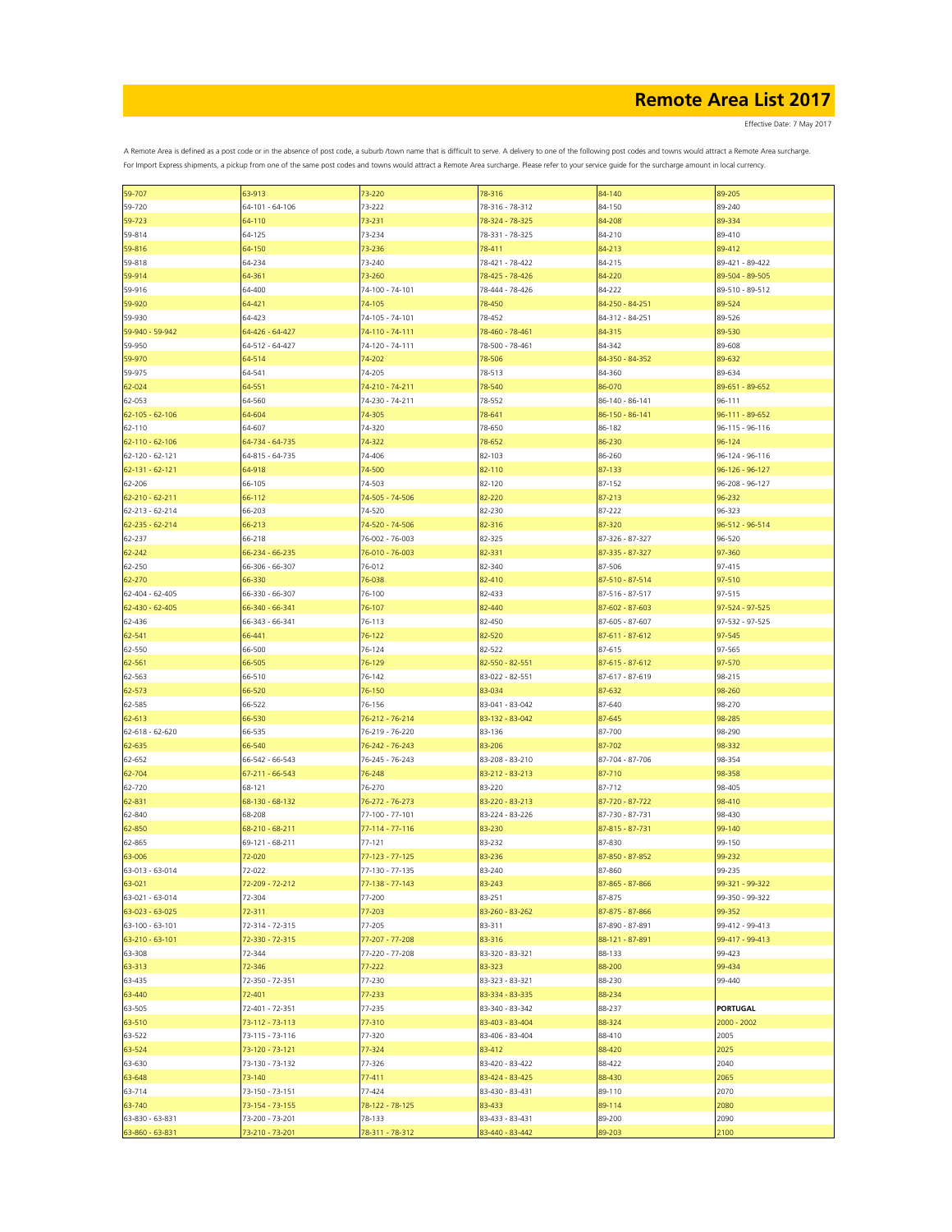Effective Date: 7 May 2017

| 59-707                | 63-913          | 73-220          | 78-316          | 84-140          | 89-205          |
|-----------------------|-----------------|-----------------|-----------------|-----------------|-----------------|
| 59-720                | 64-101 - 64-106 | 73-222          | 78-316 - 78-312 | 84-150          | 89-240          |
| 59-723                | 64-110          | 73-231          | 78-324 - 78-325 | 84-208          | 89-334          |
|                       |                 |                 |                 |                 |                 |
| 59-814                | 64-125          | 73-234          | 78-331 - 78-325 | 84-210          | 89-410          |
| 59-816                | 64-150          | 73-236          | 78-411          | 84-213          | 89-412          |
| 59-818                | 64-234          | 73-240          | 78-421 - 78-422 | 84-215          | 89-421 - 89-422 |
|                       | 64-361          | 73-260          | 78-425 - 78-426 | 84-220          | 89-504 - 89-505 |
| 59-914                |                 |                 |                 |                 |                 |
| 59-916                | 64-400          | 74-100 - 74-101 | 78-444 - 78-426 | 84-222          | 89-510 - 89-512 |
| 59-920                | 64-421          | 74-105          | 78-450          | 84-250 - 84-251 | 89-524          |
| 59-930                | 64-423          | 74-105 - 74-101 | 78-452          | 84-312 - 84-251 | 89-526          |
|                       |                 |                 |                 |                 |                 |
| 59-940 - 59-942       | 64-426 - 64-427 | 74-110 - 74-111 | 78-460 - 78-461 | 84-315          | 89-530          |
| 59-950                | 64-512 - 64-427 | 74-120 - 74-111 | 78-500 - 78-461 | 84-342          | 89-608          |
| 59-970                | 64-514          | 74-202          | 78-506          | 84-350 - 84-352 | 89-632          |
| 59-975                | 64-541          | 74-205          | 78-513          | 84-360          | 89-634          |
|                       |                 |                 |                 |                 |                 |
| 62-024                | 64-551          | 74-210 - 74-211 | 78-540          | 86-070          | 89-651 - 89-652 |
| 62-053                | 64-560          | 74-230 - 74-211 | 78-552          | 86-140 - 86-141 | 96-111          |
| $62 - 105 - 62 - 106$ | 64-604          | 74-305          | 78-641          | 86-150 - 86-141 | 96-111 - 89-652 |
|                       |                 |                 |                 |                 |                 |
| 62-110                | 64-607          | 74-320          | 78-650          | 86-182          | 96-115 - 96-116 |
| $62 - 110 - 62 - 106$ | 64-734 - 64-735 | 74-322          | 78-652          | 86-230          | 96-124          |
| 62-120 - 62-121       | 64-815 - 64-735 | 74-406          | 82-103          | 86-260          | 96-124 - 96-116 |
| $62 - 131 - 62 - 121$ | 64-918          | 74-500          | 82-110          | 87-133          | 96-126 - 96-127 |
|                       |                 |                 |                 |                 |                 |
| 62-206                | 66-105          | 74-503          | 82-120          | 87-152          | 96-208 - 96-127 |
| $62 - 210 - 62 - 211$ | 66-112          | 74-505 - 74-506 | 82-220          | 87-213          | 96-232          |
| 62-213 - 62-214       | 66-203          | 74-520          | 82-230          | 87-222          | 96-323          |
|                       |                 |                 |                 |                 |                 |
| 62-235 - 62-214       | 66-213          | 74-520 - 74-506 | 82-316          | 87-320          | 96-512 - 96-514 |
| 62-237                | 66-218          | 76-002 - 76-003 | 82-325          | 87-326 - 87-327 | 96-520          |
| 62-242                | 66-234 - 66-235 | 76-010 - 76-003 | 82-331          | 87-335 - 87-327 | 97-360          |
| 62-250                | 66-306 - 66-307 | 76-012          | 82-340          | 87-506          | 97-415          |
|                       |                 |                 |                 |                 |                 |
| 62-270                | 66-330          | 76-038          | 82-410          | 87-510 - 87-514 | 97-510          |
| 62-404 - 62-405       | 66-330 - 66-307 | 76-100          | 82-433          | 87-516 - 87-517 | 97-515          |
| 62-430 - 62-405       | 66-340 - 66-341 | 76-107          | 82-440          | 87-602 - 87-603 | 97-524 - 97-525 |
|                       |                 |                 |                 |                 |                 |
| 62-436                | 66-343 - 66-341 | 76-113          | 82-450          | 87-605 - 87-607 | 97-532 - 97-525 |
| 62-541                | 66-441          | 76-122          | 82-520          | 87-611 - 87-612 | 97-545          |
| 62-550                | 66-500          | 76-124          | 82-522          | 87-615          | 97-565          |
| 62-561                | 66-505          | 76-129          | 82-550 - 82-551 | 87-615 - 87-612 | 97-570          |
|                       |                 |                 |                 |                 |                 |
| 62-563                | 66-510          | 76-142          | 83-022 - 82-551 | 87-617 - 87-619 | 98-215          |
| 62-573                | 66-520          | 76-150          | 83-034          | 87-632          | 98-260          |
| 62-585                | 66-522          | 76-156          | 83-041 - 83-042 | 87-640          | 98-270          |
|                       |                 |                 |                 |                 |                 |
| 62-613                | 66-530          | 76-212 - 76-214 | 83-132 - 83-042 | 87-645          | 98-285          |
| 62-618 - 62-620       | 66-535          | 76-219 - 76-220 | 83-136          | 87-700          | 98-290          |
| 62-635                | 66-540          | 76-242 - 76-243 | 83-206          | 87-702          | 98-332          |
|                       | 66-542 - 66-543 | 76-245 - 76-243 | 83-208 - 83-210 | 87-704 - 87-706 | 98-354          |
| 62-652                |                 |                 |                 |                 |                 |
| 62-704                | 67-211 - 66-543 | 76-248          | 83-212 - 83-213 | 87-710          | 98-358          |
| 62-720                | 68-121          | 76-270          | 83-220          | 87-712          | 98-405          |
| 62-831                | 68-130 - 68-132 | 76-272 - 76-273 | 83-220 - 83-213 | 87-720 - 87-722 | 98-410          |
|                       |                 |                 |                 |                 |                 |
| 62-840                | 68-208          | 77-100 - 77-101 | 83-224 - 83-226 | 87-730 - 87-731 | 98-430          |
| 62-850                | 68-210 - 68-211 | 77-114 - 77-116 | 83-230          | 87-815 - 87-731 | 99-140          |
| 62-865                | 69-121 - 68-211 | 77-121          | 83-232          | 87-830          | 99-150          |
| 63-006                | 72-020          | 77-123 - 77-125 | 83-236          | 87-850 - 87-852 | 99-232          |
|                       |                 |                 |                 |                 |                 |
| 63-013 - 63-014       | 72-022          | 77-130 - 77-135 | 83-240          | 87-860          | 99-235          |
| 63-021                | 72-209 - 72-212 | 77-138 - 77-143 | 83-243          | 87-865 - 87-866 | 99-321 - 99-322 |
| 63-021 - 63-014       | 72-304          | 77-200          | 83-251          | 87-875          | 99-350 - 99-322 |
| 63-023 - 63-025       | 72-311          | 77-203          | 83-260 - 83-262 | 87-875 - 87-866 | 99-352          |
|                       |                 |                 |                 |                 |                 |
| 63-100 - 63-101       | 72-314 - 72-315 | 77-205          | 83-311          | 87-890 - 87-891 | 99-412 - 99-413 |
| 63-210 - 63-101       | 72-330 - 72-315 | 77-207 - 77-208 | 83-316          | 88-121 - 87-891 | 99-417 - 99-413 |
| 63-308                | 72-344          | 77-220 - 77-208 | 83-320 - 83-321 | 88-133          | 99-423          |
|                       |                 |                 |                 |                 |                 |
| 63-313                | 72-346          | $77 - 222$      | 83-323          | 88-200          | 99-434          |
| 63-435                | 72-350 - 72-351 | 77-230          | 83-323 - 83-321 | 88-230          | 99-440          |
| 63-440                | 72-401          | 77-233          | 83-334 - 83-335 | 88-234          |                 |
| 63-505                | 72-401 - 72-351 | 77-235          | 83-340 - 83-342 | 88-237          | <b>PORTUGAL</b> |
|                       |                 |                 |                 |                 |                 |
| 63-510                | 73-112 - 73-113 | 77-310          | 83-403 - 83-404 | 88-324          | 2000 - 2002     |
| 63-522                | 73-115 - 73-116 | 77-320          | 83-406 - 83-404 | 88-410          | 2005            |
| 63-524                | 73-120 - 73-121 | 77-324          | 83-412          | 88-420          | 2025            |
| 63-630                | 73-130 - 73-132 | 77-326          | 83-420 - 83-422 | 88-422          | 2040            |
|                       |                 |                 |                 |                 |                 |
| 63-648                | 73-140          | $77 - 411$      | 83-424 - 83-425 | 88-430          | 2065            |
| 63-714                | 73-150 - 73-151 | 77-424          | 83-430 - 83-431 | 89-110          | 2070            |
| 63-740                | 73-154 - 73-155 | 78-122 - 78-125 | 83-433          | 89-114          | 2080            |
|                       |                 |                 |                 |                 |                 |
| 63-830 - 63-831       | 73-200 - 73-201 | 78-133          | 83-433 - 83-431 | 89-200          | 2090            |
| 63-860 - 63-831       | 73-210 - 73-201 | 78-311 - 78-312 | 83-440 - 83-442 | 89-203          | 2100            |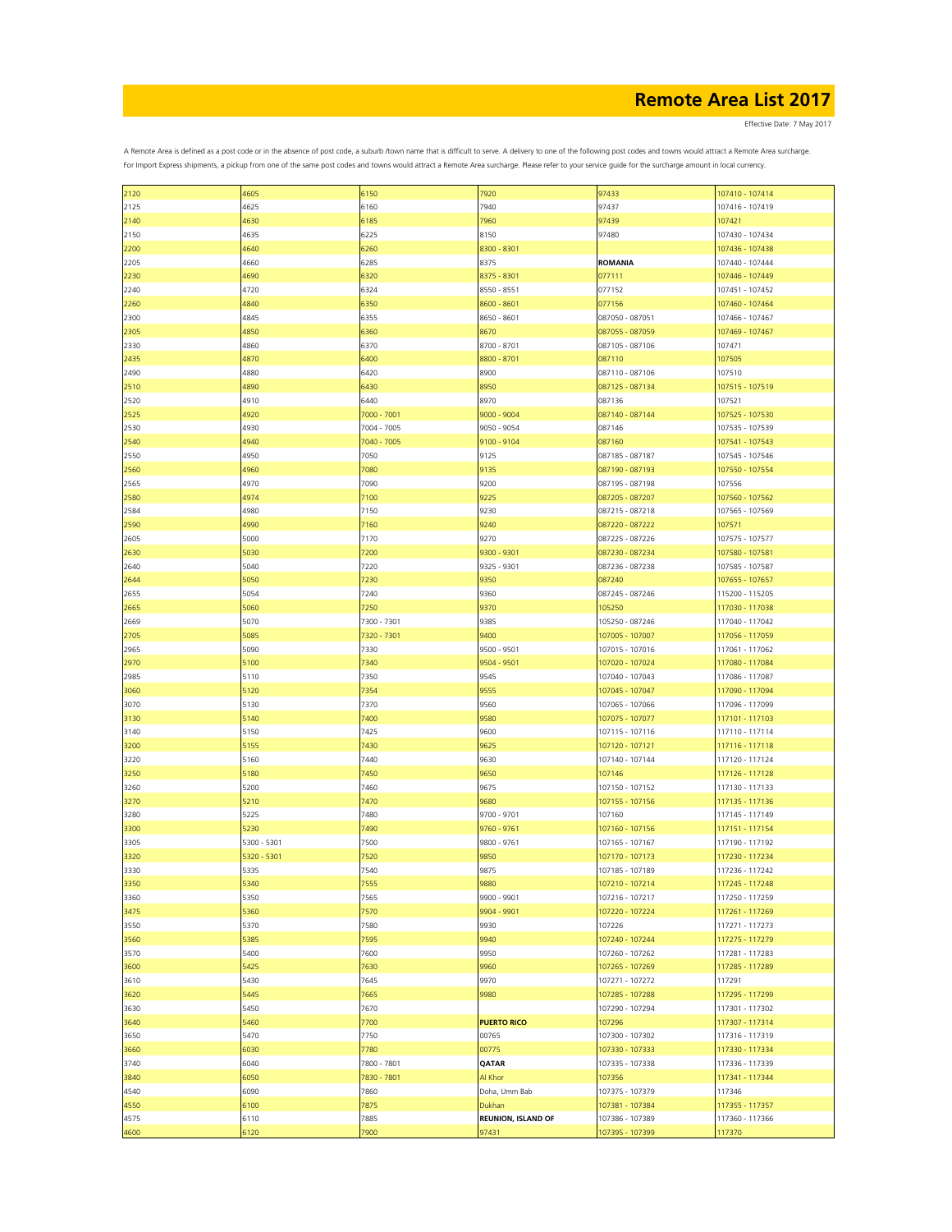Effective Date: 7 May 2017

| 2120 | 4605        | 6150        | 7920                      | 97433           | 107410 - 107414 |
|------|-------------|-------------|---------------------------|-----------------|-----------------|
| 2125 | 4625        | 6160        | 7940                      | 97437           | 107416 - 107419 |
| 2140 | 4630        | 6185        | 7960                      | 97439           | 107421          |
| 2150 | 4635        | 6225        | 8150                      | 97480           | 107430 - 107434 |
| 2200 | 4640        | 6260        | 8300 - 8301               |                 | 107436 - 107438 |
|      |             |             |                           |                 |                 |
| 2205 | 4660        | 6285        | 8375                      | <b>ROMANIA</b>  | 107440 - 107444 |
| 2230 | 4690        | 6320        | 8375 - 8301               | 077111          | 107446 - 107449 |
| 2240 | 4720        | 6324        | 8550 - 8551               | 077152          | 107451 - 107452 |
| 2260 | 4840        | 6350        | 8600 - 8601               | 077156          | 107460 - 107464 |
| 2300 | 4845        | 6355        | 8650 - 8601               | 087050 - 087051 | 107466 - 107467 |
|      |             |             |                           |                 |                 |
| 2305 | 4850        | 6360        | 8670                      | 087055 - 087059 | 107469 - 107467 |
| 2330 | 4860        | 6370        | 8700 - 8701               | 087105 - 087106 | 107471          |
| 2435 | 4870        | 6400        | 8800 - 8701               | 087110          | 107505          |
| 2490 | 4880        | 6420        | 8900                      | 087110 - 087106 | 107510          |
| 2510 | 4890        | 6430        | 8950                      | 087125 - 087134 | 107515 - 107519 |
|      | 4910        | 6440        | 8970                      | 087136          | 107521          |
| 2520 |             |             |                           |                 |                 |
| 2525 | 4920        | 7000 - 7001 | 9000 - 9004               | 087140 - 087144 | 107525 - 107530 |
| 2530 | 4930        | 7004 - 7005 | 9050 - 9054               | 087146          | 107535 - 107539 |
| 2540 | 4940        | 7040 - 7005 | 9100 - 9104               | 087160          | 107541 - 107543 |
| 2550 | 4950        | 7050        | 9125                      | 087185 - 087187 | 107545 - 107546 |
| 2560 | 4960        | 7080        | 9135                      | 087190 - 087193 | 107550 - 107554 |
|      |             |             |                           |                 |                 |
| 2565 | 4970        | 7090        | 9200                      | 087195 - 087198 | 107556          |
| 2580 | 4974        | 7100        | 9225                      | 087205 - 087207 | 107560 - 107562 |
| 2584 | 4980        | 7150        | 9230                      | 087215 - 087218 | 107565 - 107569 |
| 2590 | 4990        | 7160        | 9240                      | 087220 - 087222 | 107571          |
| 2605 | 5000        | 7170        | 9270                      | 087225 - 087226 | 107575 - 107577 |
|      |             |             |                           |                 |                 |
| 2630 | 5030        | 7200        | 9300 - 9301               | 087230 - 087234 | 107580 - 107581 |
| 2640 | 5040        | 7220        | 9325 - 9301               | 087236 - 087238 | 107585 - 107587 |
| 2644 | 5050        | 7230        | 9350                      | 087240          | 107655 - 107657 |
| 2655 | 5054        | 7240        | 9360                      | 087245 - 087246 | 115200 - 115205 |
| 2665 | 5060        | 7250        | 9370                      | 105250          | 117030 - 117038 |
|      |             |             |                           |                 |                 |
| 2669 | 5070        | 7300 - 7301 | 9385                      | 105250 - 087246 | 117040 - 117042 |
| 2705 | 5085        | 7320 - 7301 | 9400                      | 107005 - 107007 | 117056 - 117059 |
| 2965 | 5090        | 7330        | 9500 - 9501               | 107015 - 107016 | 117061 - 117062 |
| 2970 | 5100        | 7340        | 9504 - 9501               | 107020 - 107024 | 117080 - 117084 |
| 2985 | 5110        | 7350        | 9545                      | 107040 - 107043 | 117086 - 117087 |
|      |             |             |                           |                 |                 |
| 3060 | 5120        | 7354        | 9555                      | 107045 - 107047 | 117090 - 117094 |
| 3070 | 5130        | 7370        | 9560                      | 107065 - 107066 | 117096 - 117099 |
| 3130 | 5140        | 7400        | 9580                      | 107075 - 107077 | 117101 - 117103 |
| 3140 | 5150        | 7425        | 9600                      | 107115 - 107116 | 117110 - 117114 |
| 3200 | 5155        | 7430        | 9625                      | 107120 - 107121 | 117116 - 117118 |
|      |             |             |                           |                 |                 |
| 3220 | 5160        | 7440        | 9630                      | 107140 - 107144 | 117120 - 117124 |
| 3250 | 5180        | 7450        | 9650                      | 107146          | 117126 - 117128 |
| 3260 | 5200        | 7460        | 9675                      | 107150 - 107152 | 117130 - 117133 |
| 3270 | 5210        | 7470        | 9680                      | 107155 - 107156 | 117135 - 117136 |
| 3280 | 5225        | 7480        | 9700 - 9701               | 107160          | 117145 - 117149 |
|      |             |             |                           |                 |                 |
| 3300 | 5230        | 7490        | 9760 - 9761               | 107160 - 107156 | 117151 - 117154 |
| 3305 | 5300 - 5301 | 7500        | 9800 - 9761               | 107165 - 107167 | 117190 - 117192 |
| 3320 | 5320 - 5301 | 7520        | 9850                      | 107170 - 107173 | 117230 - 117234 |
| 3330 | 5335        | 7540        | 9875                      | 107185 - 107189 | 117236 - 117242 |
| 3350 | 5340        | 7555        | 9880                      | 107210 - 107214 | 117245 - 117248 |
| 3360 | 5350        | 7565        | 9900 - 9901               | 107216 - 107217 | 117250 - 117259 |
|      |             |             |                           |                 |                 |
| 3475 | 5360        | 7570        | 9904 - 9901               | 107220 - 107224 | 117261 - 117269 |
| 3550 | 5370        | 7580        | 9930                      | 107226          | 117271 - 117273 |
| 3560 | 5385        | 7595        | 9940                      | 107240 - 107244 | 117275 - 117279 |
| 3570 | 5400        | 7600        | 9950                      | 107260 - 107262 | 117281 - 117283 |
| 3600 | 5425        | 7630        | 9960                      | 107265 - 107269 | 117285 - 117289 |
| 3610 | 5430        | 7645        | 9970                      | 107271 - 107272 | 117291          |
|      |             |             |                           |                 |                 |
| 3620 | 5445        | 7665        | 9980                      | 107285 - 107288 | 117295 - 117299 |
| 3630 | 5450        | 7670        |                           | 107290 - 107294 | 117301 - 117302 |
| 3640 | 5460        | 7700        | <b>PUERTO RICO</b>        | 107296          | 117307 - 117314 |
| 3650 | 5470        | 7750        | 00765                     | 107300 - 107302 | 117316 - 117319 |
| 3660 | 6030        | 7780        | 00775                     | 107330 - 107333 | 117330 - 117334 |
|      |             |             |                           |                 |                 |
| 3740 | 6040        | 7800 - 7801 | QATAR                     | 107335 - 107338 | 117336 - 117339 |
| 3840 | 6050        | 7830 - 7801 | Al Khor                   | 107356          | 117341 - 117344 |
| 4540 | 6090        | 7860        | Doha, Umm Bab             | 107375 - 107379 | 117346          |
| 4550 | 6100        | 7875        | Dukhan                    | 107381 - 107384 | 117355 - 117357 |
| 4575 | 6110        | 7885        | <b>REUNION, ISLAND OF</b> | 107386 - 107389 | 117360 - 117366 |
|      |             |             |                           |                 |                 |
| 4600 | 6120        | 7900        | 97431                     | 107395 - 107399 | 117370          |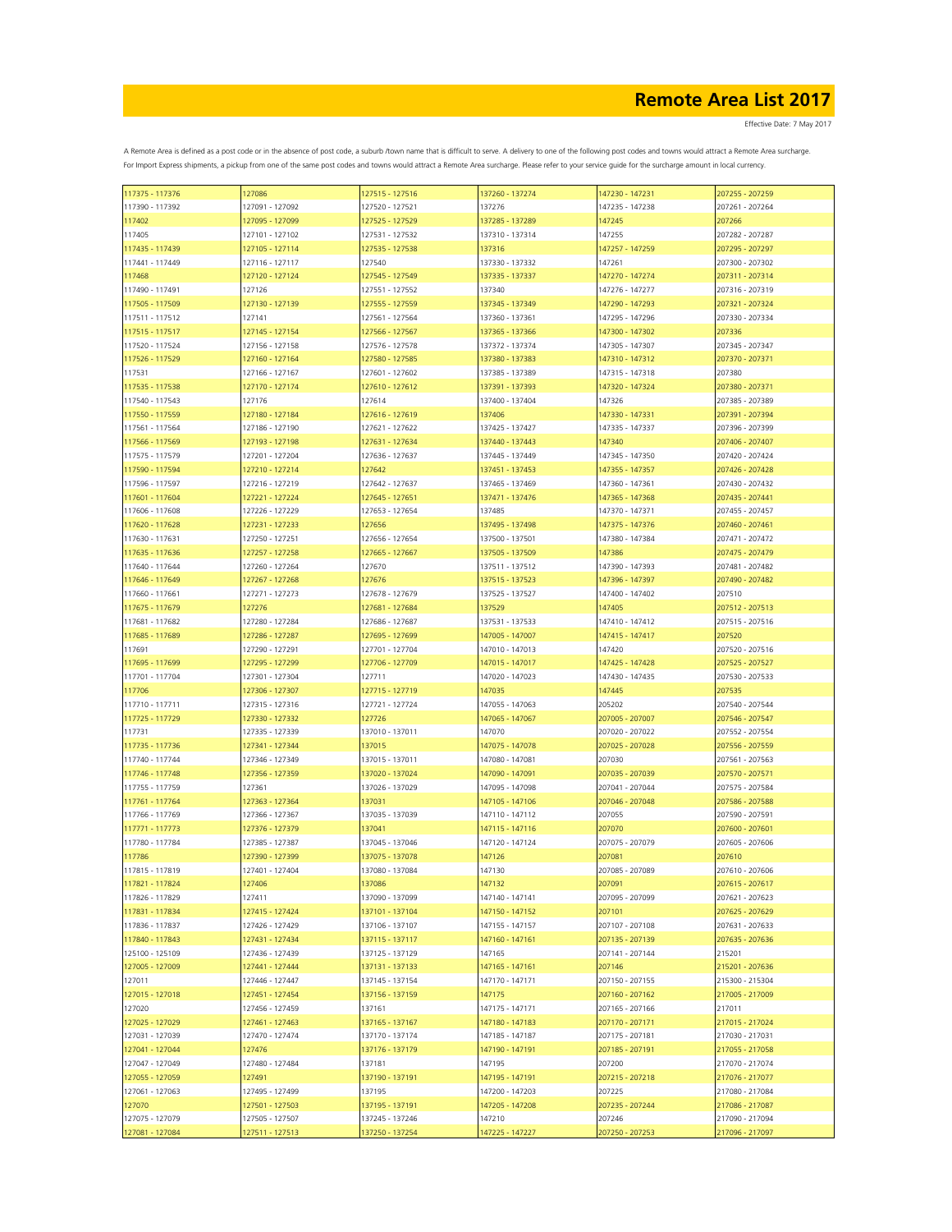| 117375 - 117376 | 127086          | 127515 - 127516 | 137260 - 137274 | 147230 - 147231 | 207255 - 207259 |
|-----------------|-----------------|-----------------|-----------------|-----------------|-----------------|
| 117390 - 117392 | 127091 - 127092 | 127520 - 127521 | 137276          | 147235 - 147238 | 207261 - 207264 |
| 117402          | 127095 - 127099 | 127525 - 127529 | 137285 - 137289 | 147245          | 207266          |
| 117405          | 127101 - 127102 | 127531 - 127532 | 137310 - 137314 | 147255          | 207282 - 207287 |
| 117435 - 117439 | 127105 - 127114 | 127535 - 127538 | 137316          | 147257 - 147259 | 207295 - 207297 |
|                 |                 |                 |                 |                 |                 |
| 117441 - 117449 | 127116 - 127117 | 127540          | 137330 - 137332 | 147261          | 207300 - 207302 |
| 117468          | 127120 - 127124 | 127545 - 127549 | 137335 - 137337 | 147270 - 147274 | 207311 - 207314 |
| 117490 - 117491 | 127126          | 127551 - 127552 | 137340          | 147276 - 147277 | 207316 - 207319 |
| 117505 - 117509 | 127130 - 127139 | 127555 - 127559 | 137345 - 137349 | 147290 - 147293 | 207321 - 207324 |
| 117511 - 117512 | 127141          | 127561 - 127564 | 137360 - 137361 | 147295 - 147296 | 207330 - 207334 |
| 117515 - 117517 | 127145 - 127154 | 127566 - 127567 | 137365 - 137366 | 147300 - 147302 | 207336          |
| 117520 - 117524 | 127156 - 127158 | 127576 - 127578 | 137372 - 137374 | 147305 - 147307 | 207345 - 207347 |
| 117526 - 117529 | 127160 - 127164 | 127580 - 127585 | 137380 - 137383 | 147310 - 147312 | 207370 - 207371 |
| 117531          | 127166 - 127167 | 127601 - 127602 | 137385 - 137389 | 147315 - 147318 | 207380          |
|                 |                 |                 |                 |                 |                 |
| 117535 - 117538 | 127170 - 127174 | 127610 - 127612 | 137391 - 137393 | 147320 - 147324 | 207380 - 207371 |
| 117540 - 117543 | 127176          | 127614          | 137400 - 137404 | 147326          | 207385 - 207389 |
| 117550 - 117559 | 127180 - 127184 | 127616 - 127619 | 137406          | 147330 - 147331 | 207391 - 207394 |
| 117561 - 117564 | 127186 - 127190 | 127621 - 127622 | 137425 - 137427 | 147335 - 147337 | 207396 - 207399 |
| 117566 - 117569 | 127193 - 127198 | 127631 - 127634 | 137440 - 137443 | 147340          | 207406 - 207407 |
| 117575 - 117579 | 127201 - 127204 | 127636 - 127637 | 137445 - 137449 | 147345 - 147350 | 207420 - 207424 |
| 117590 - 117594 | 127210 - 127214 | 127642          | 137451 - 137453 | 147355 - 147357 | 207426 - 207428 |
| 117596 - 117597 | 127216 - 127219 | 127642 - 127637 | 137465 - 137469 | 147360 - 147361 | 207430 - 207432 |
|                 |                 |                 |                 | 147365 - 147368 | 207435 - 207441 |
| 117601 - 117604 | 127221 - 127224 | 127645 - 127651 | 137471 - 137476 |                 |                 |
| 117606 - 117608 | 127226 - 127229 | 127653 - 127654 | 137485          | 147370 - 147371 | 207455 - 207457 |
| 117620 - 117628 | 127231 - 127233 | 127656          | 137495 - 137498 | 147375 - 147376 | 207460 - 207461 |
| 117630 - 117631 | 127250 - 127251 | 127656 - 127654 | 137500 - 137501 | 147380 - 147384 | 207471 - 207472 |
| 117635 - 117636 | 127257 - 127258 | 127665 - 127667 | 137505 - 137509 | 147386          | 207475 - 207479 |
| 117640 - 117644 | 127260 - 127264 | 127670          | 137511 - 137512 | 147390 - 147393 | 207481 - 207482 |
| 117646 - 117649 | 127267 - 127268 | 127676          | 137515 - 137523 | 147396 - 147397 | 207490 - 207482 |
| 117660 - 117661 | 127271 - 127273 | 127678 - 127679 | 137525 - 137527 | 147400 - 147402 | 207510          |
| 117675 - 117679 | 127276          | 127681 - 127684 | 137529          | 147405          | 207512 - 207513 |
| 117681 - 117682 | 127280 - 127284 | 127686 - 127687 | 137531 - 137533 | 147410 - 147412 | 207515 - 207516 |
|                 |                 |                 |                 |                 |                 |
| 117685 - 117689 | 127286 - 127287 | 127695 - 127699 | 147005 - 147007 | 147415 - 147417 | 207520          |
| 117691          | 127290 - 127291 | 127701 - 127704 | 147010 - 147013 | 147420          | 207520 - 207516 |
| 117695 - 117699 | 127295 - 127299 | 127706 - 127709 | 147015 - 147017 | 147425 - 147428 | 207525 - 207527 |
| 117701 - 117704 | 127301 - 127304 | 127711          | 147020 - 147023 | 147430 - 147435 | 207530 - 207533 |
| 117706          | 127306 - 127307 | 127715 - 127719 | 147035          | 147445          | 207535          |
| 117710 - 117711 | 127315 - 127316 | 127721 - 127724 | 147055 - 147063 | 205202          | 207540 - 207544 |
| 117725 - 117729 | 127330 - 127332 | 127726          | 147065 - 147067 | 207005 - 207007 | 207546 - 207547 |
| 117731          | 127335 - 127339 | 137010 - 137011 | 147070          | 207020 - 207022 | 207552 - 207554 |
| 117735 - 117736 | 127341 - 127344 | 137015          | 147075 - 147078 | 207025 - 207028 | 207556 - 207559 |
|                 |                 |                 |                 |                 |                 |
| 117740 - 117744 | 127346 - 127349 | 137015 - 137011 | 147080 - 147081 | 207030          | 207561 - 207563 |
| 117746 - 117748 | 127356 - 127359 | 137020 - 137024 | 147090 - 147091 | 207035 - 207039 | 207570 - 207571 |
| 117755 - 117759 | 127361          | 137026 - 137029 | 147095 - 147098 | 207041 - 207044 | 207575 - 207584 |
| 117761 - 117764 | 127363 - 127364 | 137031          | 147105 - 147106 | 207046 - 207048 | 207586 - 207588 |
| 117766 - 117769 | 127366 - 127367 | 137035 - 137039 | 147110 - 147112 | 207055          | 207590 - 207591 |
| 117771 - 117773 | 127376 - 127379 | 137041          | 147115 - 147116 | 207070          | 207600 - 207601 |
| 117780 - 117784 | 127385 - 127387 | 137045 - 137046 | 147120 - 147124 | 207075 - 207079 | 207605 - 207606 |
| 117786          | 127390 - 127399 | 137075 - 137078 | 147126          | 207081          | 207610          |
| 117815 - 117819 | 127401 - 127404 | 137080 - 137084 | 147130          | 207085 - 207089 | 207610 - 207606 |
|                 |                 |                 |                 | 207091          |                 |
| 117821 - 117824 | 127406          | 137086          | 147132          |                 | 207615 - 207617 |
| 117826 - 117829 | 127411          | 137090 - 137099 | 147140 - 147141 | 207095 - 207099 | 207621 - 207623 |
| 117831 - 117834 | 127415 - 127424 | 137101 - 137104 | 147150 - 147152 | 207101          | 207625 - 207629 |
| 117836 - 117837 | 127426 - 127429 | 137106 - 137107 | 147155 - 147157 | 207107 - 207108 | 207631 - 207633 |
| 117840 - 117843 | 127431 - 127434 | 137115 - 137117 | 147160 - 147161 | 207135 - 207139 | 207635 - 207636 |
| 125100 - 125109 | 127436 - 127439 | 137125 - 137129 | 147165          | 207141 - 207144 | 215201          |
| 127005 - 127009 | 127441 - 127444 | 137131 - 137133 | 147165 - 147161 | 207146          | 215201 - 207636 |
| 127011          | 127446 - 127447 | 137145 - 137154 | 147170 - 147171 | 207150 - 207155 | 215300 - 215304 |
| 127015 - 127018 | 127451 - 127454 | 137156 - 137159 | 147175          | 207160 - 207162 | 217005 - 217009 |
| 127020          | 127456 - 127459 | 137161          | 147175 - 147171 | 207165 - 207166 | 217011          |
| 127025 - 127029 | 127461 - 127463 | 137165 - 137167 | 147180 - 147183 | 207170 - 207171 | 217015 - 217024 |
|                 |                 |                 |                 |                 |                 |
| 127031 - 127039 | 127470 - 127474 | 137170 - 137174 | 147185 - 147187 | 207175 - 207181 | 217030 - 217031 |
| 127041 - 127044 | 127476          | 137176 - 137179 | 147190 - 147191 | 207185 - 207191 | 217055 - 217058 |
| 127047 - 127049 | 127480 - 127484 | 137181          | 147195          | 207200          | 217070 - 217074 |
| 127055 - 127059 | 127491          | 137190 - 137191 | 147195 - 147191 | 207215 - 207218 | 217076 - 217077 |
| 127061 - 127063 | 127495 - 127499 | 137195          | 147200 - 147203 | 207225          | 217080 - 217084 |
| 127070          | 127501 - 127503 | 137195 - 137191 | 147205 - 147208 | 207235 - 207244 | 217086 - 217087 |
| 127075 - 127079 | 127505 - 127507 | 137245 - 137246 | 147210          | 207246          | 217090 - 217094 |
| 127081 - 127084 | 127511 - 127513 | 137250 - 137254 | 147225 - 147227 | 207250 - 207253 | 217096 - 217097 |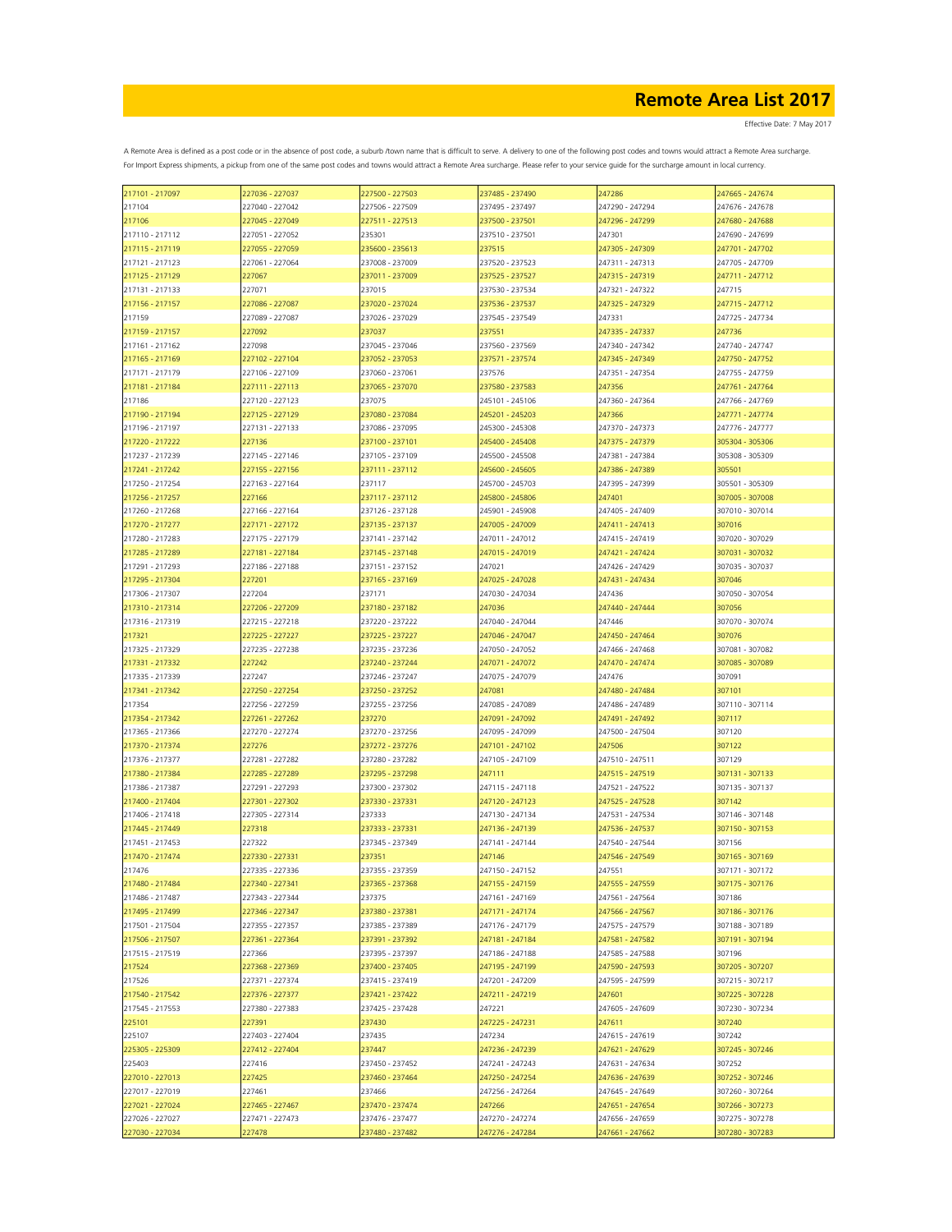| 217101 - 217097 | 227036 - 227037 | 227500 - 227503 | 237485 - 237490 | 247286          | 247665 - 247674 |
|-----------------|-----------------|-----------------|-----------------|-----------------|-----------------|
| 217104          | 227040 - 227042 | 227506 - 227509 | 237495 - 237497 | 247290 - 247294 | 247676 - 247678 |
| 217106          | 227045 - 227049 | 227511 - 227513 | 237500 - 237501 | 247296 - 247299 | 247680 - 247688 |
| 217110 - 217112 | 227051 - 227052 | 235301          | 237510 - 237501 | 247301          | 247690 - 247699 |
| 217115 - 217119 | 227055 - 227059 | 235600 - 235613 | 237515          | 247305 - 247309 | 247701 - 247702 |
|                 | 227061 - 227064 |                 |                 |                 | 247705 - 247709 |
| 217121 - 217123 |                 | 237008 - 237009 | 237520 - 237523 | 247311 - 247313 |                 |
| 217125 - 217129 | 227067          | 237011 - 237009 | 237525 - 237527 | 247315 - 247319 | 247711 - 247712 |
| 217131 - 217133 | 227071          | 237015          | 237530 - 237534 | 247321 - 247322 | 247715          |
| 217156 - 217157 | 227086 - 227087 | 237020 - 237024 | 237536 - 237537 | 247325 - 247329 | 247715 - 247712 |
| 217159          | 227089 - 227087 | 237026 - 237029 | 237545 - 237549 | 247331          | 247725 - 247734 |
| 217159 - 217157 | 227092          | 237037          | 237551          | 247335 - 247337 | 247736          |
| 217161 - 217162 | 227098          | 237045 - 237046 | 237560 - 237569 | 247340 - 247342 | 247740 - 247747 |
| 217165 - 217169 | 227102 - 227104 | 237052 - 237053 | 237571 - 237574 | 247345 - 247349 | 247750 - 247752 |
| 217171 - 217179 | 227106 - 227109 | 237060 - 237061 | 237576          | 247351 - 247354 | 247755 - 247759 |
|                 |                 |                 |                 |                 |                 |
| 217181 - 217184 | 227111 - 227113 | 237065 - 237070 | 237580 - 237583 | 247356          | 247761 - 247764 |
| 217186          | 227120 - 227123 | 237075          | 245101 - 245106 | 247360 - 247364 | 247766 - 247769 |
| 217190 - 217194 | 227125 - 227129 | 237080 - 237084 | 245201 - 245203 | 247366          | 247771 - 247774 |
| 217196 - 217197 | 227131 - 227133 | 237086 - 237095 | 245300 - 245308 | 247370 - 247373 | 247776 - 247777 |
| 217220 - 217222 | 227136          | 237100 - 237101 | 245400 - 245408 | 247375 - 247379 | 305304 - 305306 |
| 217237 - 217239 | 227145 - 227146 | 237105 - 237109 | 245500 - 245508 | 247381 - 247384 | 305308 - 305309 |
| 217241 - 217242 | 227155 - 227156 | 237111 - 237112 | 245600 - 245605 | 247386 - 247389 | 305501          |
| 217250 - 217254 | 227163 - 227164 | 237117          | 245700 - 245703 | 247395 - 247399 | 305501 - 305309 |
|                 |                 |                 |                 |                 |                 |
| 217256 - 217257 | 227166          | 237117 - 237112 | 245800 - 245806 | 247401          | 307005 - 307008 |
| 217260 - 217268 | 227166 - 227164 | 237126 - 237128 | 245901 - 245908 | 247405 - 247409 | 307010 - 307014 |
| 217270 - 217277 | 227171 - 227172 | 237135 - 237137 | 247005 - 247009 | 247411 - 247413 | 307016          |
| 217280 - 217283 | 227175 - 227179 | 237141 - 237142 | 247011 - 247012 | 247415 - 247419 | 307020 - 307029 |
| 217285 - 217289 | 227181 - 227184 | 237145 - 237148 | 247015 - 247019 | 247421 - 247424 | 307031 - 307032 |
| 217291 - 217293 | 227186 - 227188 | 237151 - 237152 | 247021          | 247426 - 247429 | 307035 - 307037 |
| 217295 - 217304 | 227201          | 237165 - 237169 | 247025 - 247028 | 247431 - 247434 | 307046          |
|                 |                 |                 |                 |                 |                 |
| 217306 - 217307 | 227204          | 237171          | 247030 - 247034 | 247436          | 307050 - 307054 |
| 217310 - 217314 | 227206 - 227209 | 237180 - 237182 | 247036          | 247440 - 247444 | 307056          |
| 217316 - 217319 | 227215 - 227218 | 237220 - 237222 | 247040 - 247044 | 247446          | 307070 - 307074 |
| 217321          | 227225 - 227227 | 237225 - 237227 | 247046 - 247047 | 247450 - 247464 | 307076          |
| 217325 - 217329 | 227235 - 227238 | 237235 - 237236 | 247050 - 247052 | 247466 - 247468 | 307081 - 307082 |
| 217331 - 217332 | 227242          | 237240 - 237244 | 247071 - 247072 | 247470 - 247474 | 307085 - 307089 |
| 217335 - 217339 | 227247          | 237246 - 237247 | 247075 - 247079 | 247476          | 307091          |
| 217341 - 217342 | 227250 - 227254 | 237250 - 237252 | 247081          | 247480 - 247484 | 307101          |
|                 |                 |                 |                 |                 |                 |
| 217354          | 227256 - 227259 | 237255 - 237256 | 247085 - 247089 | 247486 - 247489 | 307110 - 307114 |
| 217354 - 217342 | 227261 - 227262 | 237270          | 247091 - 247092 | 247491 - 247492 | 307117          |
| 217365 - 217366 | 227270 - 227274 | 237270 - 237256 | 247095 - 247099 | 247500 - 247504 | 307120          |
| 217370 - 217374 | 227276          | 237272 - 237276 | 247101 - 247102 | 247506          | 307122          |
| 217376 - 217377 | 227281 - 227282 | 237280 - 237282 | 247105 - 247109 | 247510 - 247511 | 307129          |
| 217380 - 217384 | 227285 - 227289 | 237295 - 237298 | 247111          | 247515 - 247519 | 307131 - 307133 |
| 217386 - 217387 | 227291 - 227293 | 237300 - 237302 | 247115 - 247118 | 247521 - 247522 | 307135 - 307137 |
| 217400 - 217404 | 227301 - 227302 | 237330 - 237331 | 247120 - 247123 | 247525 - 247528 | 307142          |
| 217406 - 217418 |                 |                 | 247130 - 247134 |                 |                 |
|                 | 227305 - 227314 | 237333          |                 | 247531 - 247534 | 307146 - 307148 |
| 217445 - 217449 | 227318          | 237333 - 237331 | 247136 - 247139 | 247536 - 247537 | 307150 - 307153 |
| 217451 - 217453 | 227322          | 237345 - 237349 | 247141 - 247144 | 247540 - 247544 | 307156          |
| 217470 - 217474 | 227330 - 227331 | 237351          | 247146          | 247546 - 247549 | 307165 - 307169 |
| 217476          | 227335 - 227336 | 237355 - 237359 | 247150 - 247152 | 247551          | 307171 - 307172 |
| 217480 - 217484 | 227340 - 227341 | 237365 - 237368 | 247155 - 247159 | 247555 - 247559 | 307175 - 307176 |
| 217486 - 217487 | 227343 - 227344 | 237375          | 247161 - 247169 | 247561 - 247564 | 307186          |
| 217495 - 217499 | 227346 - 227347 | 237380 - 237381 | 247171 - 247174 | 247566 - 247567 | 307186 - 307176 |
| 217501 - 217504 | 227355 - 227357 | 237385 - 237389 | 247176 - 247179 | 247575 - 247579 | 307188 - 307189 |
|                 |                 |                 |                 | 247581 - 247582 |                 |
| 217506 - 217507 | 227361 - 227364 | 237391 - 237392 | 247181 - 247184 |                 | 307191 - 307194 |
| 217515 - 217519 | 227366          | 237395 - 237397 | 247186 - 247188 | 247585 - 247588 | 307196          |
| 217524          | 227368 - 227369 | 237400 - 237405 | 247195 - 247199 | 247590 - 247593 | 307205 - 307207 |
| 217526          | 227371 - 227374 | 237415 - 237419 | 247201 - 247209 | 247595 - 247599 | 307215 - 307217 |
| 217540 - 217542 | 227376 - 227377 | 237421 - 237422 | 247211 - 247219 | 247601          | 307225 - 307228 |
| 217545 - 217553 | 227380 - 227383 | 237425 - 237428 | 247221          | 247605 - 247609 | 307230 - 307234 |
| 225101          | 227391          | 237430          | 247225 - 247231 | 247611          | 307240          |
| 225107          | 227403 - 227404 | 237435          | 247234          | 247615 - 247619 | 307242          |
|                 |                 |                 |                 |                 |                 |
| 225305 - 225309 | 227412 - 227404 | 237447          | 247236 - 247239 | 247621 - 247629 | 307245 - 307246 |
| 225403          | 227416          | 237450 - 237452 | 247241 - 247243 | 247631 - 247634 | 307252          |
| 227010 - 227013 | 227425          | 237460 - 237464 | 247250 - 247254 | 247636 - 247639 | 307252 - 307246 |
| 227017 - 227019 | 227461          | 237466          | 247256 - 247264 | 247645 - 247649 | 307260 - 307264 |
| 227021 - 227024 | 227465 - 227467 | 237470 - 237474 | 247266          | 247651 - 247654 | 307266 - 307273 |
| 227026 - 227027 | 227471 - 227473 | 237476 - 237477 | 247270 - 247274 | 247656 - 247659 | 307275 - 307278 |
| 227030 - 227034 | 227478          | 237480 - 237482 | 247276 - 247284 | 247661 - 247662 | 307280 - 307283 |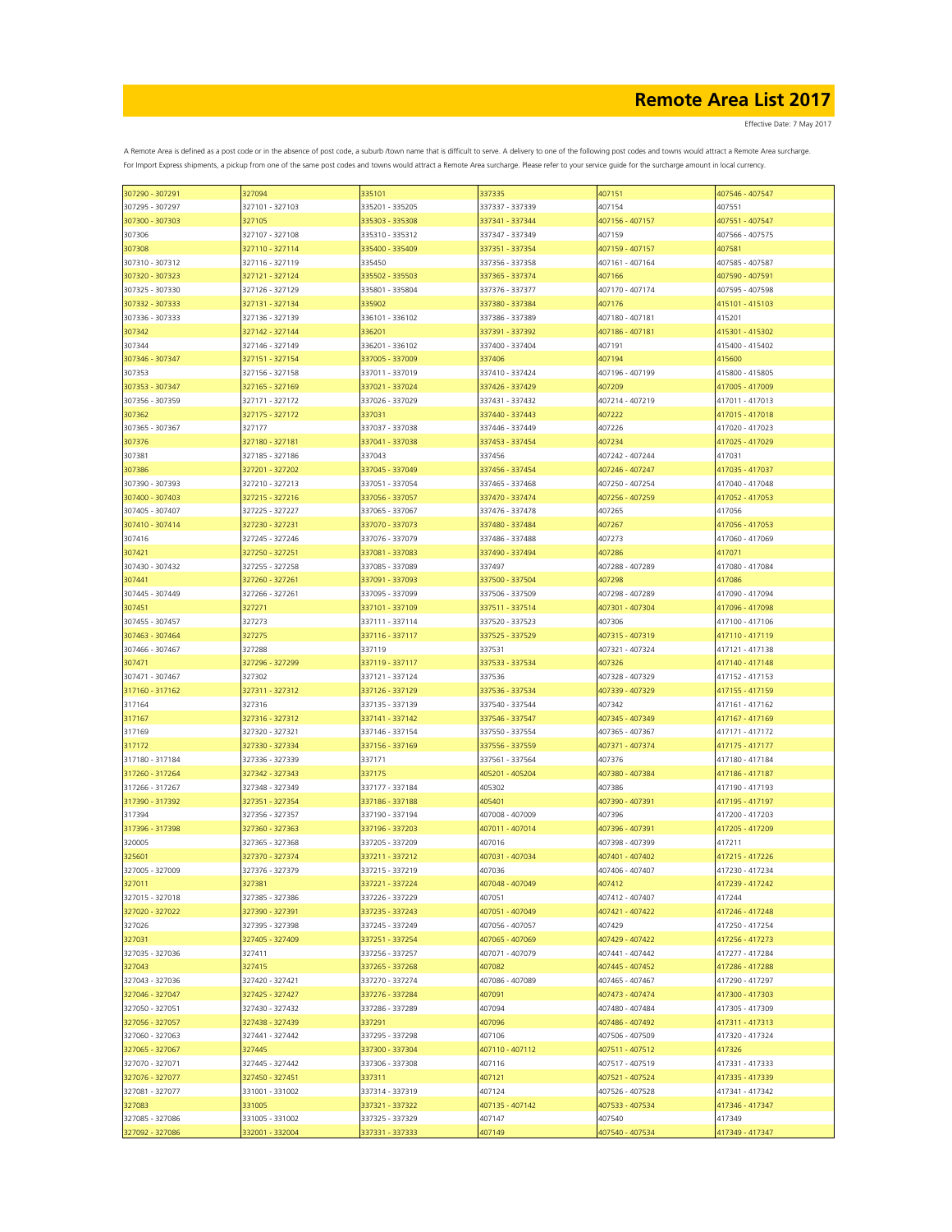| 307290 - 307291 | 327094          | 335101          | 337335          | 407151          | 407546 - 407547 |
|-----------------|-----------------|-----------------|-----------------|-----------------|-----------------|
| 307295 - 307297 | 327101 - 327103 | 335201 - 335205 | 337337 - 337339 | 407154          | 407551          |
| 307300 - 307303 | 327105          | 335303 - 335308 | 337341 - 337344 | 407156 - 407157 | 407551 - 407547 |
|                 |                 |                 |                 |                 |                 |
| 307306          | 327107 - 327108 | 335310 - 335312 | 337347 - 337349 | 407159          | 407566 - 407575 |
| 307308          | 327110 - 327114 | 335400 - 335409 | 337351 - 337354 | 407159 - 407157 | 407581          |
| 307310 - 307312 | 327116 - 327119 | 335450          | 337356 - 337358 | 407161 - 407164 | 407585 - 407587 |
| 307320 - 307323 | 327121 - 327124 | 335502 - 335503 | 337365 - 337374 | 407166          | 407590 - 407591 |
|                 |                 |                 |                 |                 |                 |
| 307325 - 307330 | 327126 - 327129 | 335801 - 335804 | 337376 - 337377 | 407170 - 407174 | 407595 - 407598 |
| 307332 - 307333 | 327131 - 327134 | 335902          | 337380 - 337384 | 407176          | 415101 - 415103 |
| 307336 - 307333 | 327136 - 327139 | 336101 - 336102 | 337386 - 337389 | 407180 - 407181 | 415201          |
|                 |                 |                 |                 |                 |                 |
| 307342          | 327142 - 327144 | 336201          | 337391 - 337392 | 407186 - 407181 | 415301 - 415302 |
| 307344          | 327146 - 327149 | 336201 - 336102 | 337400 - 337404 | 407191          | 415400 - 415402 |
| 307346 - 307347 | 327151 - 327154 | 337005 - 337009 | 337406          | 407194          | 415600          |
| 307353          | 327156 - 327158 | 337011 - 337019 | 337410 - 337424 | 407196 - 407199 | 415800 - 415805 |
|                 |                 |                 |                 |                 |                 |
| 307353 - 307347 | 327165 - 327169 | 337021 - 337024 | 337426 - 337429 | 407209          | 417005 - 417009 |
| 307356 - 307359 | 327171 - 327172 | 337026 - 337029 | 337431 - 337432 | 407214 - 407219 | 417011 - 417013 |
| 307362          | 327175 - 327172 | 337031          | 337440 - 337443 | 407222          | 417015 - 417018 |
| 307365 - 307367 | 327177          | 337037 - 337038 | 337446 - 337449 | 407226          | 417020 - 417023 |
|                 |                 |                 |                 |                 |                 |
| 307376          | 327180 - 327181 | 337041 - 337038 | 337453 - 337454 | 407234          | 417025 - 417029 |
| 307381          | 327185 - 327186 | 337043          | 337456          | 407242 - 407244 | 417031          |
| 307386          | 327201 - 327202 | 337045 - 337049 | 337456 - 337454 | 407246 - 407247 | 417035 - 417037 |
|                 |                 |                 |                 |                 |                 |
| 307390 - 307393 | 327210 - 327213 | 337051 - 337054 | 337465 - 337468 | 407250 - 407254 | 417040 - 417048 |
| 307400 - 307403 | 327215 - 327216 | 337056 - 337057 | 337470 - 337474 | 407256 - 407259 | 417052 - 417053 |
| 307405 - 307407 | 327225 - 327227 | 337065 - 337067 | 337476 - 337478 | 407265          | 417056          |
| 307410 - 307414 | 327230 - 327231 | 337070 - 337073 | 337480 - 337484 | 407267          | 417056 - 417053 |
|                 |                 |                 |                 |                 |                 |
| 307416          | 327245 - 327246 | 337076 - 337079 | 337486 - 337488 | 407273          | 417060 - 417069 |
| 307421          | 327250 - 327251 | 337081 - 337083 | 337490 - 337494 | 407286          | 417071          |
| 307430 - 307432 | 327255 - 327258 | 337085 - 337089 | 337497          | 407288 - 407289 | 417080 - 417084 |
|                 |                 |                 |                 |                 |                 |
| 307441          | 327260 - 327261 | 337091 - 337093 | 337500 - 337504 | 407298          | 417086          |
| 307445 - 307449 | 327266 - 327261 | 337095 - 337099 | 337506 - 337509 | 407298 - 407289 | 417090 - 417094 |
| 307451          | 327271          | 337101 - 337109 | 337511 - 337514 | 407301 - 407304 | 417096 - 417098 |
| 307455 - 307457 |                 |                 | 337520 - 337523 |                 | 417100 - 417106 |
|                 | 327273          | 337111 - 337114 |                 | 407306          |                 |
| 307463 - 307464 | 327275          | 337116 - 337117 | 337525 - 337529 | 407315 - 407319 | 417110 - 417119 |
| 307466 - 307467 | 327288          | 337119          | 337531          | 407321 - 407324 | 417121 - 417138 |
| 307471          | 327296 - 327299 | 337119 - 337117 | 337533 - 337534 | 407326          | 417140 - 417148 |
|                 |                 |                 |                 |                 |                 |
| 307471 - 307467 | 327302          | 337121 - 337124 | 337536          | 407328 - 407329 | 417152 - 417153 |
| 317160 - 317162 | 327311 - 327312 | 337126 - 337129 | 337536 - 337534 | 407339 - 407329 | 417155 - 417159 |
| 317164          | 327316          | 337135 - 337139 | 337540 - 337544 | 407342          | 417161 - 417162 |
| 317167          | 327316 - 327312 | 337141 - 337142 | 337546 - 337547 | 407345 - 407349 | 417167 - 417169 |
|                 |                 |                 |                 |                 |                 |
| 317169          | 327320 - 327321 | 337146 - 337154 | 337550 - 337554 | 407365 - 407367 | 417171 - 417172 |
| 317172          | 327330 - 327334 | 337156 - 337169 | 337556 - 337559 | 407371 - 407374 | 417175 - 417177 |
| 317180 - 317184 | 327336 - 327339 | 337171          | 337561 - 337564 | 407376          | 417180 - 417184 |
|                 |                 |                 |                 |                 |                 |
| 317260 - 317264 | 327342 - 327343 | 337175          | 405201 - 405204 | 407380 - 407384 | 417186 - 417187 |
| 317266 - 317267 | 327348 - 327349 | 337177 - 337184 | 405302          | 407386          | 417190 - 417193 |
| 317390 - 317392 | 327351 - 327354 | 337186 - 337188 | 405401          | 407390 - 407391 | 417195 - 417197 |
|                 |                 |                 |                 |                 |                 |
| 317394          | 327356 - 327357 | 337190 - 337194 | 407008 - 407009 | 107396          | 417200 - 417203 |
| 317396 - 317398 | 327360 - 327363 | 337196 - 337203 | 407011 - 407014 | 407396 - 407391 | 417205 - 417209 |
| 320005          | 327365 - 327368 | 337205 - 337209 | 407016          | 107398 - 407399 | 417211          |
| 325601          | 327370 - 327374 | 337211 - 337212 | 407031 - 407034 | 407401 - 407402 | 417215 - 417226 |
|                 |                 |                 |                 | 407406 - 407407 |                 |
| 327005 - 327009 | 327376 - 327379 | 337215 - 337219 | 407036          |                 | 417230 - 417234 |
| 327011          | 327381          | 337221 - 337224 | 407048 - 407049 | 407412          | 417239 - 417242 |
| 327015 - 327018 | 327385 - 327386 | 337226 - 337229 | 407051          | 407412 - 407407 | 417244          |
| 327020 - 327022 | 327390 - 327391 | 337235 - 337243 | 407051 - 407049 | 407421 - 407422 | 417246 - 417248 |
|                 |                 |                 |                 |                 |                 |
| 327026          | 327395 - 327398 | 337245 - 337249 | 407056 - 407057 | 407429          | 417250 - 417254 |
| 327031          | 327405 - 327409 | 337251 - 337254 | 407065 - 407069 | 407429 - 407422 | 417256 - 417273 |
| 327035 - 327036 | 327411          | 337256 - 337257 | 407071 - 407079 | 407441 - 407442 | 417277 - 417284 |
| 327043          | 327415          | 337265 - 337268 | 407082          | 407445 - 407452 | 417286 - 417288 |
|                 |                 |                 |                 |                 |                 |
| 327043 - 327036 | 327420 - 327421 | 337270 - 337274 | 407086 - 407089 | 407465 - 407467 | 417290 - 417297 |
| 327046 - 327047 | 327425 - 327427 | 337276 - 337284 | 407091          | 407473 - 407474 | 417300 - 417303 |
| 327050 - 327051 | 327430 - 327432 | 337286 - 337289 | 407094          | 407480 - 407484 | 417305 - 417309 |
| 327056 - 327057 | 327438 - 327439 | 337291          | 407096          | 407486 - 407492 | 417311 - 417313 |
|                 |                 |                 |                 |                 |                 |
| 327060 - 327063 | 327441 - 327442 | 337295 - 337298 | 407106          | 407506 - 407509 | 417320 - 417324 |
| 327065 - 327067 | 327445          | 337300 - 337304 | 407110 - 407112 | 407511 - 407512 | 417326          |
| 327070 - 327071 | 327445 - 327442 | 337306 - 337308 | 407116          | 407517 - 407519 | 417331 - 417333 |
|                 |                 |                 |                 |                 |                 |
| 327076 - 327077 | 327450 - 327451 | 337311          | 407121          | 407521 - 407524 | 417335 - 417339 |
| 327081 - 327077 | 331001 - 331002 | 337314 - 337319 | 407124          | 407526 - 407528 | 417341 - 417342 |
| 327083          | 331005          | 337321 - 337322 | 407135 - 407142 | 407533 - 407534 | 417346 - 417347 |
| 327085 - 327086 | 331005 - 331002 | 337325 - 337329 | 407147          | 407540          | 417349          |
|                 |                 |                 |                 |                 |                 |
| 327092 - 327086 | 332001 - 332004 | 337331 - 337333 | 407149          | 407540 - 407534 | 417349 - 417347 |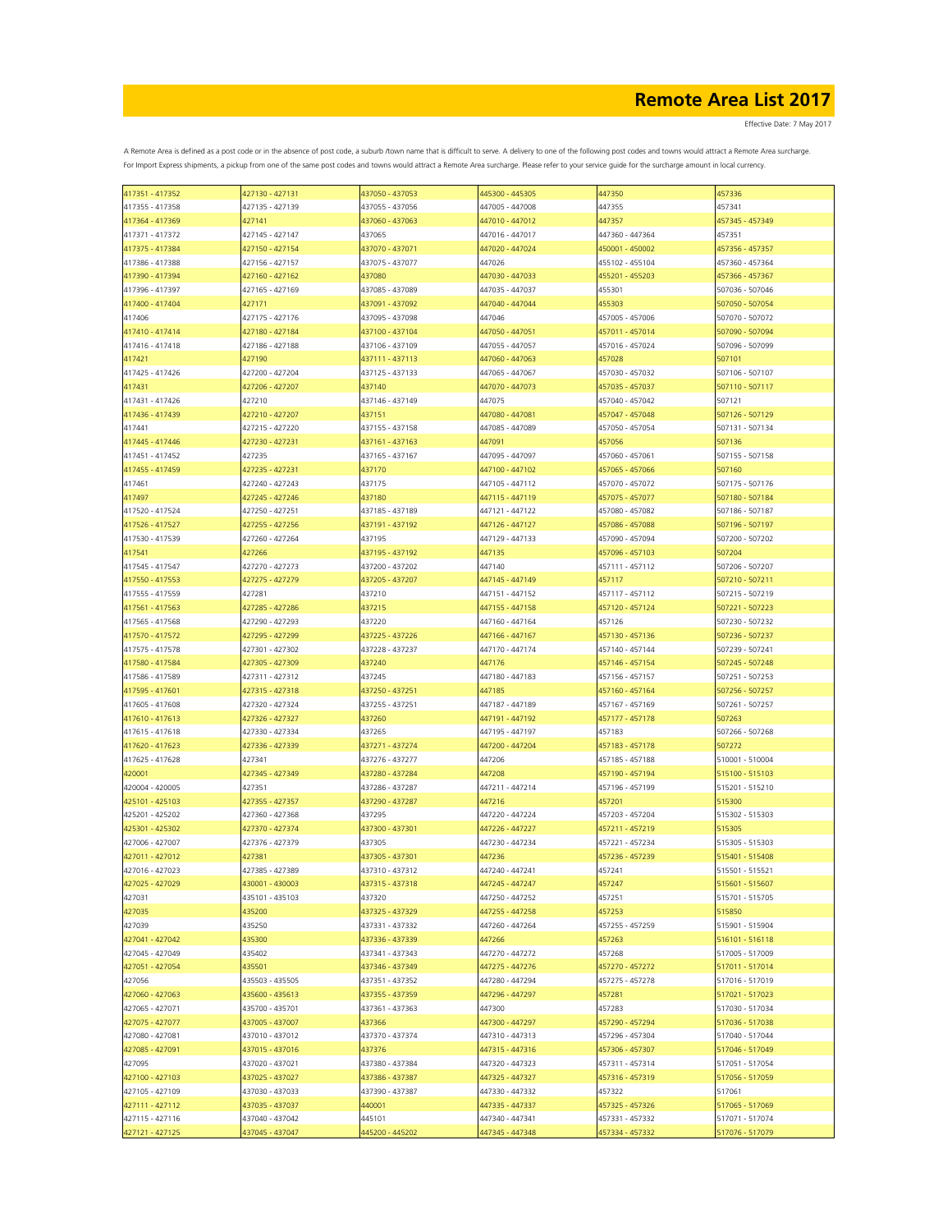| 417351 - 417352 | 427130 - 427131 | 437050 - 437053 | 445300 - 445305 | 447350          | 457336          |
|-----------------|-----------------|-----------------|-----------------|-----------------|-----------------|
| 417355 - 417358 | 427135 - 427139 | 437055 - 437056 | 447005 - 447008 | 447355          | 457341          |
| 417364 - 417369 | 427141          | 437060 - 437063 | 447010 - 447012 | 447357          | 457345 - 457349 |
| 417371 - 417372 | 427145 - 427147 | 437065          | 447016 - 447017 | 447360 - 447364 | 457351          |
| 417375 - 417384 | 427150 - 427154 | 437070 - 437071 | 447020 - 447024 | 450001 - 450002 | 457356 - 457357 |
|                 |                 |                 |                 |                 |                 |
| 417386 - 417388 | 427156 - 427157 | 437075 - 437077 | 447026          | 455102 - 455104 | 457360 - 457364 |
| 417390 - 417394 | 427160 - 427162 | 437080          | 447030 - 447033 | 455201 - 455203 | 457366 - 457367 |
| 417396 - 417397 | 427165 - 427169 | 437085 - 437089 | 447035 - 447037 | 455301          | 507036 - 507046 |
| 417400 - 417404 | 427171          | 437091 - 437092 | 447040 - 447044 | 455303          | 507050 - 507054 |
| 417406          | 427175 - 427176 | 437095 - 437098 | 447046          | 457005 - 457006 | 507070 - 507072 |
| 417410 - 417414 | 427180 - 427184 | 437100 - 437104 | 447050 - 447051 | 457011 - 457014 | 507090 - 507094 |
| 417416 - 417418 | 427186 - 427188 | 437106 - 437109 | 447055 - 447057 | 457016 - 457024 | 507096 - 507099 |
| 417421          | 427190          | 437111 - 437113 | 447060 - 447063 | 457028          | 507101          |
|                 |                 | 437125 - 437133 |                 | 457030 - 457032 | 507106 - 507107 |
| 417425 - 417426 | 427200 - 427204 |                 | 447065 - 447067 |                 |                 |
| 417431          | 427206 - 427207 | 437140          | 447070 - 447073 | 457035 - 457037 | 507110 - 507117 |
| 417431 - 417426 | 427210          | 437146 - 437149 | 447075          | 457040 - 457042 | 507121          |
| 417436 - 417439 | 427210 - 427207 | 437151          | 447080 - 447081 | 457047 - 457048 | 507126 - 507129 |
| 417441          | 427215 - 427220 | 437155 - 437158 | 447085 - 447089 | 457050 - 457054 | 507131 - 507134 |
| 417445 - 417446 | 427230 - 427231 | 437161 - 437163 | 447091          | 457056          | 507136          |
| 417451 - 417452 | 427235          | 437165 - 437167 | 447095 - 447097 | 457060 - 457061 | 507155 - 507158 |
| 417455 - 417459 | 427235 - 427231 | 437170          | 447100 - 447102 | 457065 - 457066 | 507160          |
|                 |                 |                 |                 | 457070 - 457072 | 507175 - 507176 |
| 417461          | 427240 - 427243 | 437175          | 447105 - 447112 |                 |                 |
| 417497          | 427245 - 427246 | 437180          | 447115 - 447119 | 457075 - 457077 | 507180 - 507184 |
| 417520 - 417524 | 427250 - 427251 | 437185 - 437189 | 447121 - 447122 | 457080 - 457082 | 507186 - 507187 |
| 417526 - 417527 | 427255 - 427256 | 437191 - 437192 | 447126 - 447127 | 457086 - 457088 | 507196 - 507197 |
| 417530 - 417539 | 427260 - 427264 | 437195          | 447129 - 447133 | 457090 - 457094 | 507200 - 507202 |
| 417541          | 427266          | 437195 - 437192 | 447135          | 457096 - 457103 | 507204          |
| 417545 - 417547 | 427270 - 427273 | 437200 - 437202 | 447140          | 457111 - 457112 | 507206 - 507207 |
| 417550 - 417553 | 427275 - 427279 | 437205 - 437207 | 447145 - 447149 | 457117          | 507210 - 507211 |
| 417555 - 417559 | 427281          | 437210          | 447151 - 447152 | 457117 - 457112 | 507215 - 507219 |
|                 |                 |                 |                 |                 |                 |
| 417561 - 417563 | 427285 - 427286 | 437215          | 447155 - 447158 | 457120 - 457124 | 507221 - 507223 |
| 417565 - 417568 | 427290 - 427293 | 437220          | 447160 - 447164 | 457126          | 507230 - 507232 |
| 417570 - 417572 | 427295 - 427299 | 437225 - 437226 | 447166 - 447167 | 457130 - 457136 | 507236 - 507237 |
| 417575 - 417578 | 427301 - 427302 | 437228 - 437237 | 447170 - 447174 | 457140 - 457144 | 507239 - 507241 |
| 417580 - 417584 | 427305 - 427309 | 437240          | 447176          | 457146 - 457154 | 507245 - 507248 |
| 417586 - 417589 | 427311 - 427312 | 437245          | 447180 - 447183 | 457156 - 457157 | 507251 - 507253 |
| 417595 - 417601 | 427315 - 427318 | 437250 - 437251 | 447185          | 457160 - 457164 | 507256 - 507257 |
|                 | 427320 - 427324 | 437255 - 437251 | 447187 - 447189 | 457167 - 457169 | 507261 - 507257 |
| 417605 - 417608 |                 |                 |                 |                 |                 |
| 417610 - 417613 | 427326 - 427327 | 437260          | 447191 - 447192 | 457177 - 457178 | 507263          |
| 417615 - 417618 | 427330 - 427334 | 437265          | 447195 - 447197 | 457183          | 507266 - 507268 |
| 417620 - 417623 | 427336 - 427339 | 437271 - 437274 | 447200 - 447204 | 457183 - 457178 | 507272          |
| 417625 - 417628 | 427341          | 437276 - 437277 | 447206          | 457185 - 457188 | 510001 - 510004 |
| 420001          | 427345 - 427349 | 437280 - 437284 | 447208          | 457190 - 457194 | 515100 - 515103 |
| 420004 - 420005 | 427351          | 437286 - 437287 | 447211 - 447214 | 457196 - 457199 | 515201 - 515210 |
| 425101 - 425103 | 427355 - 427357 | 437290 - 437287 | 447216          | 457201          | 515300          |
| 425201 - 425202 | 427360 - 427368 | 437295          | 447220 - 447224 | 457203 - 457204 | 515302 - 515303 |
|                 |                 |                 |                 |                 |                 |
| 425301 - 425302 | 427370 - 427374 | 437300 - 437301 | 447226 - 447227 | 457211 - 457219 | 515305          |
| 427006 - 427007 | 427376 - 427379 | 437305          | 447230 - 447234 | 457221 - 457234 | 515305 - 515303 |
| 427011 - 427012 | 427381          | 437305 - 437301 | 447236          | 457236 - 457239 | 515401 - 515408 |
| 427016 - 427023 | 427385 - 427389 | 437310 - 437312 | 447240 - 447241 | 457241          | 515501 - 515521 |
| 427025 - 427029 | 430001 - 430003 | 437315 - 437318 | 447245 - 447247 | 457247          | 515601 - 515607 |
| 427031          | 435101 - 435103 | 437320          | 447250 - 447252 | 457251          | 515701 - 515705 |
| 427035          | 435200          | 437325 - 437329 | 447255 - 447258 | 457253          | 515850          |
| 427039          | 435250          | 437331 - 437332 | 447260 - 447264 | 457255 - 457259 | 515901 - 515904 |
|                 | 435300          | 437336 - 437339 | 447266          | 457263          | 516101 - 516118 |
| 427041 - 427042 |                 |                 |                 |                 |                 |
| 427045 - 427049 | 435402          | 437341 - 437343 | 447270 - 447272 | 457268          | 517005 - 517009 |
| 427051 - 427054 | 435501          | 437346 - 437349 | 447275 - 447276 | 457270 - 457272 | 517011 - 517014 |
| 427056          | 435503 - 435505 | 437351 - 437352 | 447280 - 447294 | 457275 - 457278 | 517016 - 517019 |
| 427060 - 427063 | 435600 - 435613 | 437355 - 437359 | 447296 - 447297 | 457281          | 517021 - 517023 |
| 427065 - 427071 | 435700 - 435701 | 437361 - 437363 | 447300          | 457283          | 517030 - 517034 |
| 427075 - 427077 | 437005 - 437007 | 437366          | 447300 - 447297 | 457290 - 457294 | 517036 - 517038 |
| 427080 - 427081 | 437010 - 437012 | 437370 - 437374 | 447310 - 447313 | 457296 - 457304 | 517040 - 517044 |
| 427085 - 427091 | 437015 - 437016 | 437376          | 447315 - 447316 | 457306 - 457307 | 517046 - 517049 |
| 427095          | 437020 - 437021 | 437380 - 437384 | 447320 - 447323 | 457311 - 457314 | 517051 - 517054 |
|                 | 437025 - 437027 |                 |                 |                 |                 |
| 427100 - 427103 |                 | 437386 - 437387 | 447325 - 447327 | 457316 - 457319 | 517056 - 517059 |
| 427105 - 427109 | 437030 - 437033 | 437390 - 437387 | 447330 - 447332 | 457322          | 517061          |
| 427111 - 427112 | 437035 - 437037 | 440001          | 447335 - 447337 | 457325 - 457326 | 517065 - 517069 |
| 427115 - 427116 | 437040 - 437042 | 445101          | 447340 - 447341 | 457331 - 457332 | 517071 - 517074 |
| 427121 - 427125 | 437045 - 437047 | 445200 - 445202 | 447345 - 447348 | 457334 - 457332 | 517076 - 517079 |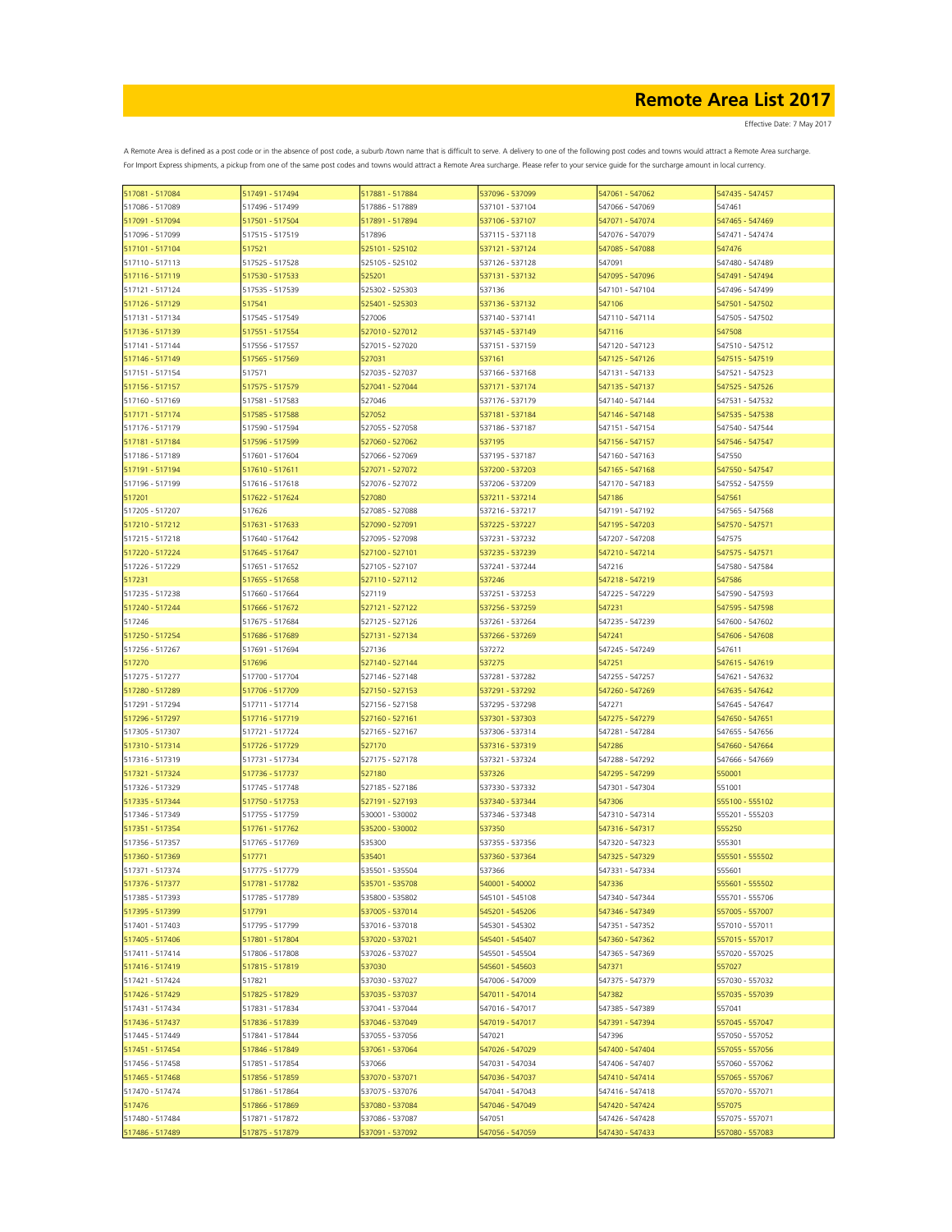| 517081 - 517084 | 517491 - 517494 | 517881 - 517884 | 537096 - 537099 | 547061 - 547062 | 547435 - 547457 |
|-----------------|-----------------|-----------------|-----------------|-----------------|-----------------|
| 517086 - 517089 | 517496 - 517499 | 517886 - 517889 | 537101 - 537104 | 547066 - 547069 | 547461          |
| 517091 - 517094 | 517501 - 517504 | 517891 - 517894 | 537106 - 537107 | 547071 - 547074 | 547465 - 547469 |
| 517096 - 517099 | 517515 - 517519 | 517896          | 537115 - 537118 | 547076 - 547079 | 547471 - 547474 |
| 517101 - 517104 | 517521          | 525101 - 525102 | 537121 - 537124 | 547085 - 547088 | 547476          |
|                 |                 |                 |                 |                 |                 |
| 517110 - 517113 | 517525 - 517528 | 525105 - 525102 | 537126 - 537128 | 547091          | 547480 - 547489 |
| 517116 - 517119 | 517530 - 517533 | 525201          | 537131 - 537132 | 547095 - 547096 | 547491 - 547494 |
| 517121 - 517124 | 517535 - 517539 | 525302 - 525303 | 537136          | 547101 - 547104 | 547496 - 547499 |
| 517126 - 517129 | 517541          | 525401 - 525303 | 537136 - 537132 | 547106          | 547501 - 547502 |
| 517131 - 517134 | 517545 - 517549 | 527006          | 537140 - 537141 | 547110 - 547114 | 547505 - 547502 |
| 517136 - 517139 | 517551 - 517554 | 527010 - 527012 | 537145 - 537149 | 547116          | 547508          |
| 517141 - 517144 | 517556 - 517557 | 527015 - 527020 | 537151 - 537159 | 547120 - 547123 | 547510 - 547512 |
| 517146 - 517149 | 517565 - 517569 | 527031          | 537161          | 547125 - 547126 | 547515 - 547519 |
| 517151 - 517154 | 517571          | 527035 - 527037 | 537166 - 537168 | 547131 - 547133 | 547521 - 547523 |
|                 | 517575 - 517579 |                 | 537171 - 537174 |                 |                 |
| 517156 - 517157 |                 | 527041 - 527044 |                 | 547135 - 547137 | 547525 - 547526 |
| 517160 - 517169 | 517581 - 517583 | 527046          | 537176 - 537179 | 547140 - 547144 | 547531 - 547532 |
| 517171 - 517174 | 517585 - 517588 | 527052          | 537181 - 537184 | 547146 - 547148 | 547535 - 547538 |
| 517176 - 517179 | 517590 - 517594 | 527055 - 527058 | 537186 - 537187 | 547151 - 547154 | 547540 - 547544 |
| 517181 - 517184 | 517596 - 517599 | 527060 - 527062 | 537195          | 547156 - 547157 | 547546 - 547547 |
| 517186 - 517189 | 517601 - 517604 | 527066 - 527069 | 537195 - 537187 | 547160 - 547163 | 547550          |
| 517191 - 517194 | 517610 - 517611 | 527071 - 527072 | 537200 - 537203 | 547165 - 547168 | 547550 - 547547 |
| 517196 - 517199 | 517616 - 517618 | 527076 - 527072 | 537206 - 537209 | 547170 - 547183 | 547552 - 547559 |
| 517201          | 517622 - 517624 | 527080          | 537211 - 537214 | 547186          | 547561          |
|                 | 517626          |                 |                 |                 |                 |
| 517205 - 517207 |                 | 527085 - 527088 | 537216 - 537217 | 547191 - 547192 | 547565 - 547568 |
| 517210 - 517212 | 517631 - 517633 | 527090 - 527091 | 537225 - 537227 | 547195 - 547203 | 547570 - 547571 |
| 517215 - 517218 | 517640 - 517642 | 527095 - 527098 | 537231 - 537232 | 547207 - 547208 | 547575          |
| 517220 - 517224 | 517645 - 517647 | 527100 - 527101 | 537235 - 537239 | 547210 - 547214 | 547575 - 547571 |
| 517226 - 517229 | 517651 - 517652 | 527105 - 527107 | 537241 - 537244 | 547216          | 547580 - 547584 |
| 517231          | 517655 - 517658 | 527110 - 527112 | 537246          | 547218 - 547219 | 547586          |
| 517235 - 517238 | 517660 - 517664 | 527119          | 537251 - 537253 | 547225 - 547229 | 547590 - 547593 |
| 517240 - 517244 | 517666 - 517672 | 527121 - 527122 | 537256 - 537259 | 547231          | 547595 - 547598 |
| 517246          | 517675 - 517684 | 527125 - 527126 | 537261 - 537264 | 547235 - 547239 | 547600 - 547602 |
| 517250 - 517254 | 517686 - 517689 | 527131 - 527134 | 537266 - 537269 | 547241          | 547606 - 547608 |
|                 |                 |                 |                 |                 |                 |
| 517256 - 517267 | 517691 - 517694 | 527136          | 537272          | 547245 - 547249 | 547611          |
| 517270          | 517696          | 527140 - 527144 | 537275          | 547251          | 547615 - 547619 |
| 517275 - 517277 | 517700 - 517704 | 527146 - 527148 | 537281 - 537282 | 547255 - 547257 | 547621 - 547632 |
| 517280 - 517289 | 517706 - 517709 | 527150 - 527153 | 537291 - 537292 | 547260 - 547269 | 547635 - 547642 |
| 517291 - 517294 | 517711 - 517714 | 527156 - 527158 | 537295 - 537298 | 547271          | 547645 - 547647 |
| 517296 - 517297 | 517716 - 517719 | 527160 - 527161 | 537301 - 537303 | 547275 - 547279 | 547650 - 547651 |
| 517305 - 517307 | 517721 - 517724 | 527165 - 527167 | 537306 - 537314 | 547281 - 547284 | 547655 - 547656 |
| 517310 - 517314 | 517726 - 517729 | 527170          | 537316 - 537319 | 547286          | 547660 - 547664 |
| 517316 - 517319 | 517731 - 517734 | 527175 - 527178 | 537321 - 537324 | 547288 - 547292 | 547666 - 547669 |
| 517321 - 517324 | 517736 - 517737 | 527180          | 537326          | 547295 - 547299 | 550001          |
|                 |                 |                 |                 |                 |                 |
| 517326 - 517329 | 517745 - 517748 | 527185 - 527186 | 537330 - 537332 | 547301 - 547304 | 551001          |
| 517335 - 517344 | 517750 - 517753 | 527191 - 527193 | 537340 - 537344 | 547306          | 555100 - 555102 |
| 517346 - 517349 | 517755 - 517759 | 530001 - 530002 | 537346 - 537348 | 547310 - 547314 | 555201 - 555203 |
| 517351 - 517354 | 517761 - 517762 | 535200 - 530002 | 537350          | 547316 - 547317 | 555250          |
| 517356 - 517357 | 517765 - 517769 | 535300          | 537355 - 537356 | 547320 - 547323 | 555301          |
| 517360 - 517369 | 517771          | 535401          | 537360 - 537364 | 547325 - 547329 | 555501 - 555502 |
| 517371 - 517374 | 517775 - 517779 | 535501 - 535504 | 537366          | 547331 - 547334 | 555601          |
| 517376 - 517377 | 517781 - 517782 | 535701 - 535708 | 540001 - 540002 | 547336          | 555601 - 555502 |
| 517385 - 517393 | 517785 - 517789 | 535800 - 535802 | 545101 - 545108 | 547340 - 547344 | 555701 - 555706 |
| 517395 - 517399 | 517791          | 537005 - 537014 | 545201 - 545206 | 547346 - 547349 | 557005 - 557007 |
| 517401 - 517403 | 517795 - 517799 | 537016 - 537018 | 545301 - 545302 | 547351 - 547352 | 557010 - 557011 |
|                 | 517801 - 517804 |                 |                 |                 |                 |
| 517405 - 517406 |                 | 537020 - 537021 | 545401 - 545407 | 547360 - 547362 | 557015 - 557017 |
| 517411 - 517414 | 517806 - 517808 | 537026 - 537027 | 545501 - 545504 | 547365 - 547369 | 557020 - 557025 |
| 517416 - 517419 | 517815 - 517819 | 537030          | 545601 - 545603 | 547371          | 557027          |
| 517421 - 517424 | 517821          | 537030 - 537027 | 547006 - 547009 | 547375 - 547379 | 557030 - 557032 |
| 517426 - 517429 | 517825 - 517829 | 537035 - 537037 | 547011 - 547014 | 547382          | 557035 - 557039 |
| 517431 - 517434 | 517831 - 517834 | 537041 - 537044 | 547016 - 547017 | 547385 - 547389 | 557041          |
| 517436 - 517437 | 517836 - 517839 | 537046 - 537049 | 547019 - 547017 | 547391 - 547394 | 557045 - 557047 |
| 517445 - 517449 | 517841 - 517844 | 537055 - 537056 | 547021          | 547396          | 557050 - 557052 |
| 517451 - 517454 | 517846 - 517849 | 537061 - 537064 | 547026 - 547029 | 547400 - 547404 | 557055 - 557056 |
| 517456 - 517458 | 517851 - 517854 | 537066          | 547031 - 547034 | 547406 - 547407 | 557060 - 557062 |
| 517465 - 517468 | 517856 - 517859 | 537070 - 537071 | 547036 - 547037 | 547410 - 547414 | 557065 - 557067 |
|                 |                 |                 |                 |                 |                 |
| 517470 - 517474 | 517861 - 517864 | 537075 - 537076 | 547041 - 547043 | 547416 - 547418 | 557070 - 557071 |
| 517476          | 517866 - 517869 | 537080 - 537084 | 547046 - 547049 | 547420 - 547424 | 557075          |
| 517480 - 517484 | 517871 - 517872 | 537086 - 537087 | 547051          | 547426 - 547428 | 557075 - 557071 |
| 517486 - 517489 | 517875 - 517879 | 537091 - 537092 | 547056 - 547059 | 547430 - 547433 | 557080 - 557083 |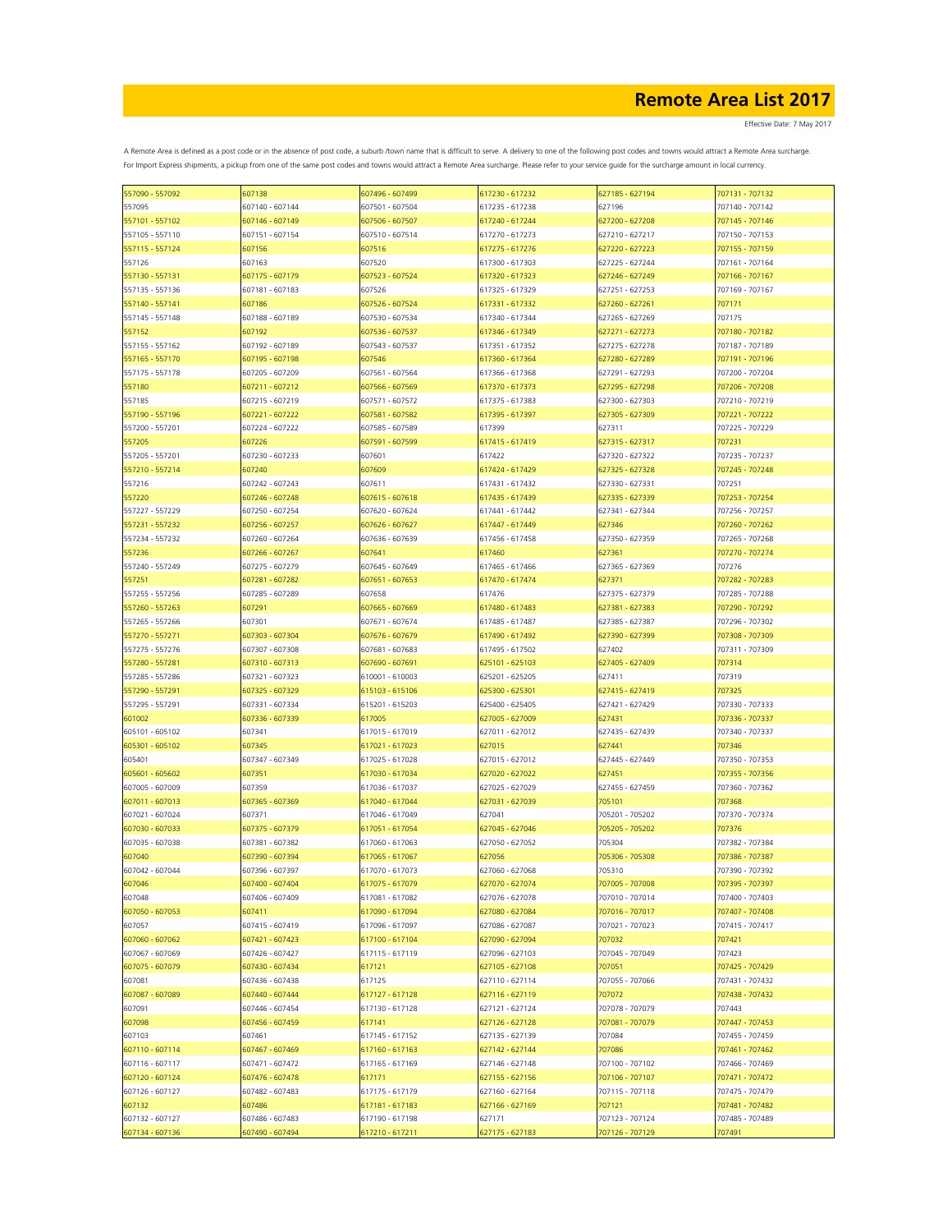| 557090 - 557092 | 607138          | 607496 - 607499 | 617230 - 617232 | 627185 - 627194 | 707131 - 707132 |
|-----------------|-----------------|-----------------|-----------------|-----------------|-----------------|
| 557095          | 607140 - 607144 | 607501 - 607504 | 617235 - 617238 | 627196          | 707140 - 707142 |
| 557101 - 557102 | 607146 - 607149 | 607506 - 607507 | 617240 - 617244 | 627200 - 627208 | 707145 - 707146 |
|                 |                 |                 |                 |                 |                 |
| 557105 - 557110 | 607151 - 607154 | 607510 - 607514 | 617270 - 617273 | 627210 - 627217 | 707150 - 707153 |
| 557115 - 557124 | 607156          | 607516          | 617275 - 617276 | 627220 - 627223 | 707155 - 707159 |
| 557126          | 607163          | 607520          | 617300 - 617303 | 627225 - 627244 | 707161 - 707164 |
| 557130 - 557131 | 607175 - 607179 | 607523 - 607524 | 617320 - 617323 | 627246 - 627249 | 707166 - 707167 |
| 557135 - 557136 | 607181 - 607183 | 607526          | 617325 - 617329 | 627251 - 627253 | 707169 - 707167 |
|                 |                 |                 |                 |                 |                 |
| 557140 - 557141 | 607186          | 607526 - 607524 | 617331 - 617332 | 527260 - 627261 | 707171          |
| 557145 - 557148 | 607188 - 607189 | 607530 - 607534 | 617340 - 617344 | 627265 - 627269 | 707175          |
| 557152          | 607192          | 607536 - 607537 | 617346 - 617349 | 627271 - 627273 | 707180 - 707182 |
| 557155 - 557162 | 607192 - 607189 | 607543 - 607537 | 617351 - 617352 | 627275 - 627278 | 707187 - 707189 |
| 557165 - 557170 | 607195 - 607198 | 607546          | 617360 - 617364 | 627280 - 627289 | 707191 - 707196 |
| 557175 - 557178 | 607205 - 607209 |                 |                 | 627291 - 627293 | 707200 - 707204 |
|                 |                 | 607561 - 607564 | 617366 - 617368 |                 |                 |
| 557180          | 607211 - 607212 | 607566 - 607569 | 617370 - 617373 | 627295 - 627298 | 707206 - 707208 |
| 557185          | 607215 - 607219 | 607571 - 607572 | 617375 - 617383 | 627300 - 627303 | 707210 - 707219 |
| 557190 - 557196 | 607221 - 607222 | 607581 - 607582 | 617395 - 617397 | 627305 - 627309 | 707221 - 707222 |
| 557200 - 557201 | 607224 - 607222 | 607585 - 607589 | 617399          | 627311          | 707225 - 707229 |
|                 |                 |                 |                 |                 |                 |
| 557205          | 607226          | 607591 - 607599 | 617415 - 617419 | 627315 - 627317 | 707231          |
| 557205 - 557201 | 607230 - 607233 | 607601          | 617422          | 627320 - 627322 | 707235 - 707237 |
| 557210 - 557214 | 607240          | 607609          | 617424 - 617429 | 527325 - 627328 | 707245 - 707248 |
| 557216          | 607242 - 607243 | 607611          | 617431 - 617432 | 627330 - 627331 | 707251          |
| 557220          | 607246 - 607248 | 607615 - 607618 | 617435 - 617439 | 527335 - 627339 | 707253 - 707254 |
|                 |                 |                 |                 |                 |                 |
| 557227 - 557229 | 607250 - 607254 | 607620 - 607624 | 617441 - 617442 | 627341 - 627344 | 707256 - 707257 |
| 557231 - 557232 | 607256 - 607257 | 607626 - 607627 | 617447 - 617449 | 627346          | 707260 - 707262 |
| 557234 - 557232 | 607260 - 607264 | 607636 - 607639 | 617456 - 617458 | 627350 - 627359 | 707265 - 707268 |
| 557236          | 607266 - 607267 | 607641          | 617460          | 627361          | 707270 - 707274 |
| 557240 - 557249 | 607275 - 607279 | 607645 - 607649 | 617465 - 617466 | 627365 - 627369 | 707276          |
|                 |                 |                 |                 |                 |                 |
| 557251          | 607281 - 607282 | 607651 - 607653 | 617470 - 617474 | 627371          | 707282 - 707283 |
| 557255 - 557256 | 607285 - 607289 | 607658          | 617476          | 627375 - 627379 | 707285 - 707288 |
| 557260 - 557263 | 607291          | 607665 - 607669 | 617480 - 617483 | 627381 - 627383 | 707290 - 707292 |
| 557265 - 557266 | 607301          | 607671 - 607674 | 617485 - 617487 | 627385 - 627387 | 707296 - 707302 |
| 557270 - 557271 | 607303 - 607304 | 607676 - 607679 | 617490 - 617492 | 627390 - 627399 | 707308 - 707309 |
|                 |                 |                 |                 |                 |                 |
| 557275 - 557276 | 607307 - 607308 | 607681 - 607683 | 617495 - 617502 | 627402          | 707311 - 707309 |
| 557280 - 557281 | 607310 - 607313 | 607690 - 607691 | 625101 - 625103 | 627405 - 627409 | 707314          |
| 557285 - 557286 | 607321 - 607323 | 610001 - 610003 | 625201 - 625205 | 627411          | 707319          |
| 557290 - 557291 | 607325 - 607329 | 615103 - 615106 | 625300 - 625301 | 627415 - 627419 | 707325          |
| 557295 - 557291 | 607331 - 607334 | 615201 - 615203 | 625400 - 625405 | 627421 - 627429 | 707330 - 707333 |
|                 |                 |                 |                 |                 |                 |
| 601002          | 607336 - 607339 | 617005          | 627005 - 627009 | 627431          | 707336 - 707337 |
| 605101 - 605102 | 607341          | 617015 - 617019 | 627011 - 627012 | 627435 - 627439 | 707340 - 707337 |
| 605301 - 605102 | 607345          | 617021 - 617023 | 627015          | 627441          | 707346          |
| 605401          | 607347 - 607349 | 617025 - 617028 | 627015 - 627012 | 627445 - 627449 | 707350 - 707353 |
| 605601 - 605602 | 607351          | 617030 - 617034 | 627020 - 627022 | 627451          | 707355 - 707356 |
|                 |                 |                 |                 |                 |                 |
| 607005 - 607009 | 607359          | 617036 - 617037 | 627025 - 627029 | 627455 - 627459 | 707360 - 707362 |
| 607011 - 607013 | 607365 - 607369 | 617040 - 617044 | 627031 - 627039 | 705101          | 707368          |
| 607021 - 607024 | 607371          | 617046 - 617049 | 627041          | 705201 - 705202 | 707370 - 707374 |
| 607030 - 607033 | 607375 - 607379 | 617051 - 617054 | 627045 - 627046 | 705205 - 705202 | 707376          |
| 607035 - 607038 | 607381 - 607382 | 617060 - 617063 | 627050 - 627052 | 705304          | 707382 - 707384 |
| 607040          | 607390 - 607394 |                 | 627056          | 705306 - 705308 |                 |
|                 |                 | 617065 - 617067 |                 |                 | 707386 - 707387 |
| 607042 - 607044 | 607396 - 607397 | 617070 - 617073 | 627060 - 627068 | 705310          | 707390 - 707392 |
| 607046          | 607400 - 607404 | 617075 - 617079 | 627070 - 627074 | 707005 - 707008 | 707395 - 707397 |
| 607048          | 607406 - 607409 | 617081 - 617082 | 627076 - 627078 | 707010 - 707014 | 707400 - 707403 |
| 607050 - 607053 | 607411          | 617090 - 617094 | 627080 - 627084 | 707016 - 707017 | 707407 - 707408 |
| 607057          | 607415 - 607419 | 617096 - 617097 | 627086 - 627087 | 707021 - 707023 | 707415 - 707417 |
|                 |                 |                 |                 |                 |                 |
| 607060 - 607062 | 607421 - 607423 | 617100 - 617104 | 627090 - 627094 | 707032          | 707421          |
| 607067 - 607069 | 607426 - 607427 | 617115 - 617119 | 627096 - 627103 | 707045 - 707049 | 707423          |
| 607075 - 607079 | 607430 - 607434 | 617121          | 627105 - 627108 | 707051          | 707425 - 707429 |
| 607081          | 607436 - 607438 | 617125          | 627110 - 627114 | 707055 - 707066 | 707431 - 707432 |
| 607087 - 607089 | 607440 - 607444 | 617127 - 617128 | 627116 - 627119 | 707072          | 707438 - 707432 |
|                 |                 |                 |                 |                 |                 |
| 607091          | 607446 - 607454 | 617130 - 617128 | 627121 - 627124 | 707078 - 707079 | 707443          |
| 607098          | 607456 - 607459 | 617141          | 627126 - 627128 | 707081 - 707079 | 707447 - 707453 |
| 607103          | 607461          | 617145 - 617152 | 627135 - 627139 | 707084          | 707455 - 707459 |
| 607110 - 607114 | 607467 - 607469 | 617160 - 617163 | 627142 - 627144 | 707086          | 707461 - 707462 |
| 607116 - 607117 | 607471 - 607472 | 617165 - 617169 | 627146 - 627148 | 707100 - 707102 | 707466 - 707469 |
|                 |                 |                 |                 |                 |                 |
| 607120 - 607124 | 607476 - 607478 | 617171          | 627155 - 627156 | 707106 - 707107 | 707471 - 707472 |
| 607126 - 607127 | 607482 - 607483 | 617175 - 617179 | 627160 - 627164 | 707115 - 707118 | 707475 - 707479 |
| 607132          | 607486          | 617181 - 617183 | 627166 - 627169 | 707121          | 707481 - 707482 |
| 607132 - 607127 | 607486 - 607483 | 617190 - 617198 | 627171          | 707123 - 707124 | 707485 - 707489 |
| 607134 - 607136 | 607490 - 607494 | 617210 - 617211 | 627175 - 627183 | 707126 - 707129 | 707491          |
|                 |                 |                 |                 |                 |                 |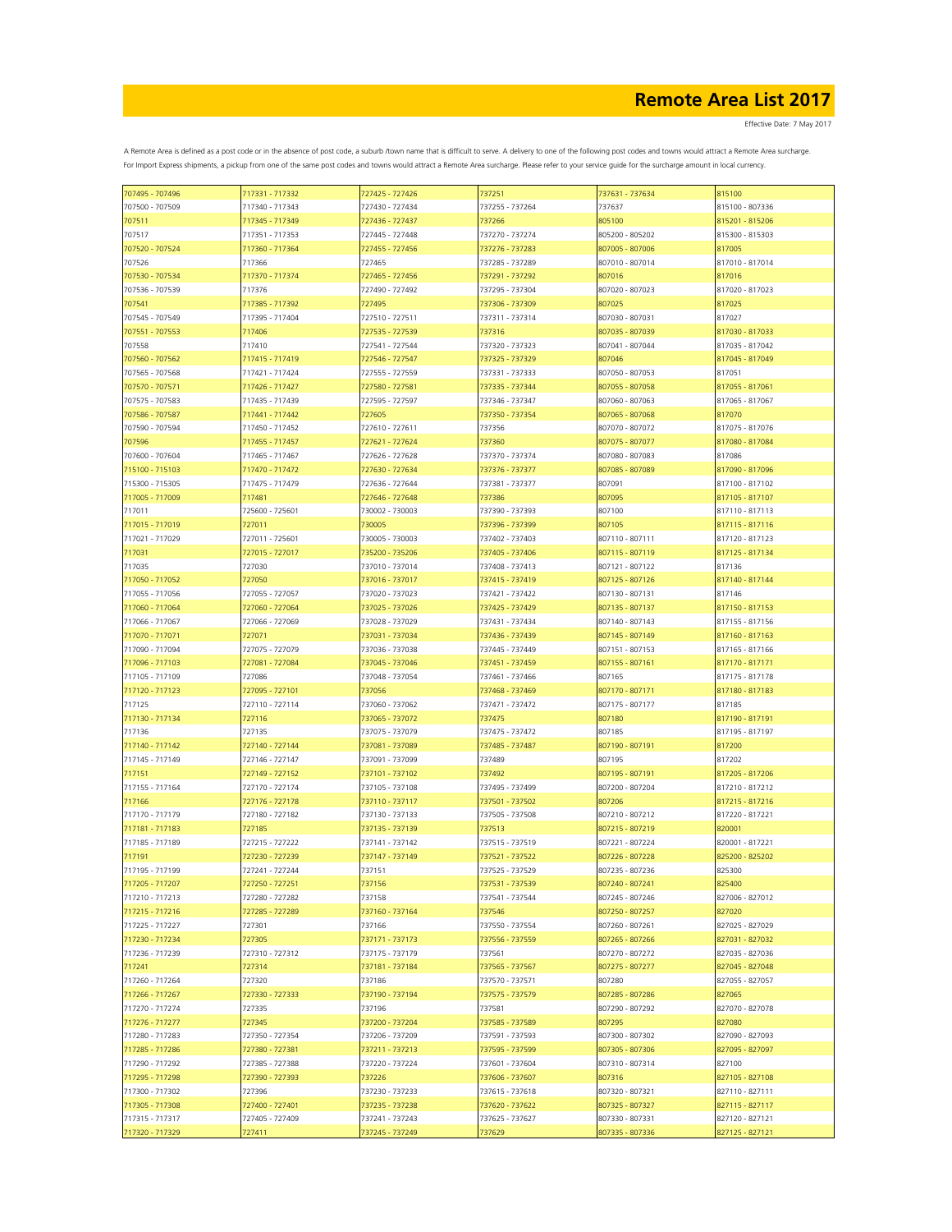| 707495 - 707496 | 717331 - 717332 | 727425 - 727426 | 737251          | 737631 - 737634 | 815100          |
|-----------------|-----------------|-----------------|-----------------|-----------------|-----------------|
| 707500 - 707509 | 717340 - 717343 | 727430 - 727434 | 737255 - 737264 | 737637          | 815100 - 807336 |
| 707511          | 717345 - 717349 | 727436 - 727437 | 737266          | 805100          | 815201 - 815206 |
| 707517          | 717351 - 717353 | 727445 - 727448 | 737270 - 737274 | 805200 - 805202 | 815300 - 815303 |
|                 | 717360 - 717364 |                 |                 | 807005 - 807006 | 817005          |
| 707520 - 707524 |                 | 727455 - 727456 | 737276 - 737283 |                 |                 |
| 707526          | 717366          | 727465          | 737285 - 737289 | 807010 - 807014 | 817010 - 817014 |
| 707530 - 707534 | 717370 - 717374 | 727465 - 727456 | 737291 - 737292 | 807016          | 817016          |
| 707536 - 707539 | 717376          | 727490 - 727492 | 737295 - 737304 | 807020 - 807023 | 817020 - 817023 |
| 707541          | 717385 - 717392 | 727495          | 737306 - 737309 | 807025          | 817025          |
| 707545 - 707549 | 717395 - 717404 | 727510 - 727511 | 737311 - 737314 | 807030 - 807031 | 817027          |
| 707551 - 707553 | 717406          | 727535 - 727539 | 737316          | 807035 - 807039 | 817030 - 817033 |
| 707558          | 717410          | 727541 - 727544 | 737320 - 737323 | 807041 - 807044 | 817035 - 817042 |
|                 |                 |                 |                 |                 |                 |
| 707560 - 707562 | 717415 - 717419 | 727546 - 727547 | 737325 - 737329 | 807046          | 817045 - 817049 |
| 707565 - 707568 | 717421 - 717424 | 727555 - 727559 | 737331 - 737333 | 807050 - 807053 | 817051          |
| 707570 - 707571 | 717426 - 717427 | 727580 - 727581 | 737335 - 737344 | 807055 - 807058 | 817055 - 817061 |
| 707575 - 707583 | 717435 - 717439 | 727595 - 727597 | 737346 - 737347 | 807060 - 807063 | 817065 - 817067 |
| 707586 - 707587 | 717441 - 717442 | 727605          | 737350 - 737354 | 807065 - 807068 | 817070          |
| 707590 - 707594 | 717450 - 717452 | 727610 - 727611 | 737356          | 807070 - 807072 | 817075 - 817076 |
| 707596          | 717455 - 717457 | 727621 - 727624 | 737360          | 807075 - 807077 | 817080 - 817084 |
|                 |                 |                 |                 |                 |                 |
| 707600 - 707604 | 717465 - 717467 | 727626 - 727628 | 737370 - 737374 | 807080 - 807083 | 817086          |
| 715100 - 715103 | 717470 - 717472 | 727630 - 727634 | 737376 - 737377 | 807085 - 807089 | 817090 - 817096 |
| 715300 - 715305 | 717475 - 717479 | 727636 - 727644 | 737381 - 737377 | 807091          | 817100 - 817102 |
| 717005 - 717009 | 717481          | 727646 - 727648 | 737386          | 807095          | 817105 - 817107 |
| 717011          | 725600 - 725601 | 730002 - 730003 | 737390 - 737393 | 807100          | 817110 - 817113 |
| 717015 - 717019 | 727011          | 730005          | 737396 - 737399 | 807105          | 817115 - 817116 |
| 717021 - 717029 | 727011 - 725601 | 730005 - 730003 | 737402 - 737403 | 807110 - 807111 | 817120 - 817123 |
| 717031          | 727015 - 727017 | 735200 - 735206 | 737405 - 737406 | 807115 - 807119 | 817125 - 817134 |
|                 |                 |                 |                 |                 |                 |
| 717035          | 727030          | 737010 - 737014 | 737408 - 737413 | 807121 - 807122 | 817136          |
| 717050 - 717052 | 727050          | 737016 - 737017 | 737415 - 737419 | 807125 - 807126 | 817140 - 817144 |
| 717055 - 717056 | 727055 - 727057 | 737020 - 737023 | 737421 - 737422 | 807130 - 807131 | 817146          |
| 717060 - 717064 | 727060 - 727064 | 737025 - 737026 | 737425 - 737429 | 807135 - 807137 | 817150 - 817153 |
| 717066 - 717067 | 727066 - 727069 | 737028 - 737029 | 737431 - 737434 | 807140 - 807143 | 817155 - 817156 |
| 717070 - 717071 | 727071          | 737031 - 737034 | 737436 - 737439 | 807145 - 807149 | 817160 - 817163 |
| 717090 - 717094 | 727075 - 727079 | 737036 - 737038 | 737445 - 737449 | 807151 - 807153 | 817165 - 817166 |
| 717096 - 717103 | 727081 - 727084 | 737045 - 737046 | 737451 - 737459 | 807155 - 807161 | 817170 - 817171 |
| 717105 - 717109 | 727086          | 737048 - 737054 | 737461 - 737466 | 807165          | 817175 - 817178 |
| 717120 - 717123 | 727095 - 727101 | 737056          | 737468 - 737469 | 807170 - 807171 | 817180 - 817183 |
| 717125          | 727110 - 727114 | 737060 - 737062 | 737471 - 737472 | 807175 - 807177 | 817185          |
|                 |                 |                 |                 |                 |                 |
| 717130 - 717134 | 727116          | 737065 - 737072 | 737475          | 807180          | 817190 - 817191 |
| 717136          | 727135          | 737075 - 737079 | 737475 - 737472 | 807185          | 817195 - 817197 |
| 717140 - 717142 | 727140 - 727144 | 737081 - 737089 | 737485 - 737487 | 807190 - 807191 | 817200          |
| 717145 - 717149 | 727146 - 727147 | 737091 - 737099 | 737489          | 807195          | 817202          |
| 717151          | 727149 - 727152 | 737101 - 737102 | 737492          | 807195 - 807191 | 817205 - 817206 |
| 717155 - 717164 | 727170 - 727174 | 737105 - 737108 | 737495 - 737499 | 807200 - 807204 | 817210 - 817212 |
| 717166          | 727176 - 727178 | 737110 - 737117 | 737501 - 737502 | 807206          | 817215 - 817216 |
| 717170 - 717179 | 727180 - 727182 | 737130 - 737133 | 737505 - 737508 | 807210 - 807212 | 817220 - 817221 |
| 717181 - 717183 | 727185          | 737135 - 737139 | 737513          | 807215 - 807219 | 820001          |
| 717185 - 717189 | 727215 - 727222 | 737141 - 737142 | 737515 - 737519 | 807221 - 807224 | 820001 - 817221 |
|                 |                 |                 |                 |                 |                 |
| 717191          | 727230 - 727239 | 737147 - 737149 | 737521 - 737522 | 807226 - 807228 | 825200 - 825202 |
| 717195 - 717199 | 727241 - 727244 | 737151          | 737525 - 737529 | 807235 - 807236 | 825300          |
| 717205 - 717207 | 727250 - 727251 | 737156          | 737531 - 737539 | 807240 - 807241 | 825400          |
| 717210 - 717213 | 727280 - 727282 | 737158          | 737541 - 737544 | 807245 - 807246 | 827006 - 827012 |
| 717215 - 717216 | 727285 - 727289 | 737160 - 737164 | 737546          | 807250 - 807257 | 827020          |
| 717225 - 717227 | 727301          | 737166          | 737550 - 737554 | 807260 - 807261 | 827025 - 827029 |
| 717230 - 717234 | 727305          | 737171 - 737173 | 737556 - 737559 | 807265 - 807266 | 827031 - 827032 |
| 717236 - 717239 | 727310 - 727312 | 737175 - 737179 | 737561          | 807270 - 807272 | 827035 - 827036 |
| 717241          | 727314          | 737181 - 737184 | 737565 - 737567 | 807275 - 807277 | 827045 - 827048 |
| 717260 - 717264 | 727320          | 737186          | 737570 - 737571 | 807280          | 827055 - 827057 |
| 717266 - 717267 | 727330 - 727333 | 737190 - 737194 | 737575 - 737579 | 807285 - 807286 | 827065          |
|                 |                 |                 |                 |                 |                 |
| 717270 - 717274 | 727335          | 737196          | 737581          | 807290 - 807292 | 827070 - 827078 |
| 717276 - 717277 | 727345          | 737200 - 737204 | 737585 - 737589 | 807295          | 827080          |
| 717280 - 717283 | 727350 - 727354 | 737206 - 737209 | 737591 - 737593 | 807300 - 807302 | 827090 - 827093 |
| 717285 - 717286 | 727380 - 727381 | 737211 - 737213 | 737595 - 737599 | 807305 - 807306 | 827095 - 827097 |
| 717290 - 717292 | 727385 - 727388 | 737220 - 737224 | 737601 - 737604 | 807310 - 807314 | 827100          |
| 717295 - 717298 | 727390 - 727393 | 737226          | 737606 - 737607 | 807316          | 827105 - 827108 |
| 717300 - 717302 | 727396          | 737230 - 737233 | 737615 - 737618 | 807320 - 807321 | 827110 - 827111 |
| 717305 - 717308 | 727400 - 727401 | 737235 - 737238 | 737620 - 737622 | 807325 - 807327 | 827115 - 827117 |
| 717315 - 717317 | 727405 - 727409 | 737241 - 737243 | 737625 - 737627 | 807330 - 807331 | 827120 - 827121 |
| 717320 - 717329 | 727411          | 737245 - 737249 | 737629          | 807335 - 807336 | 827125 - 827121 |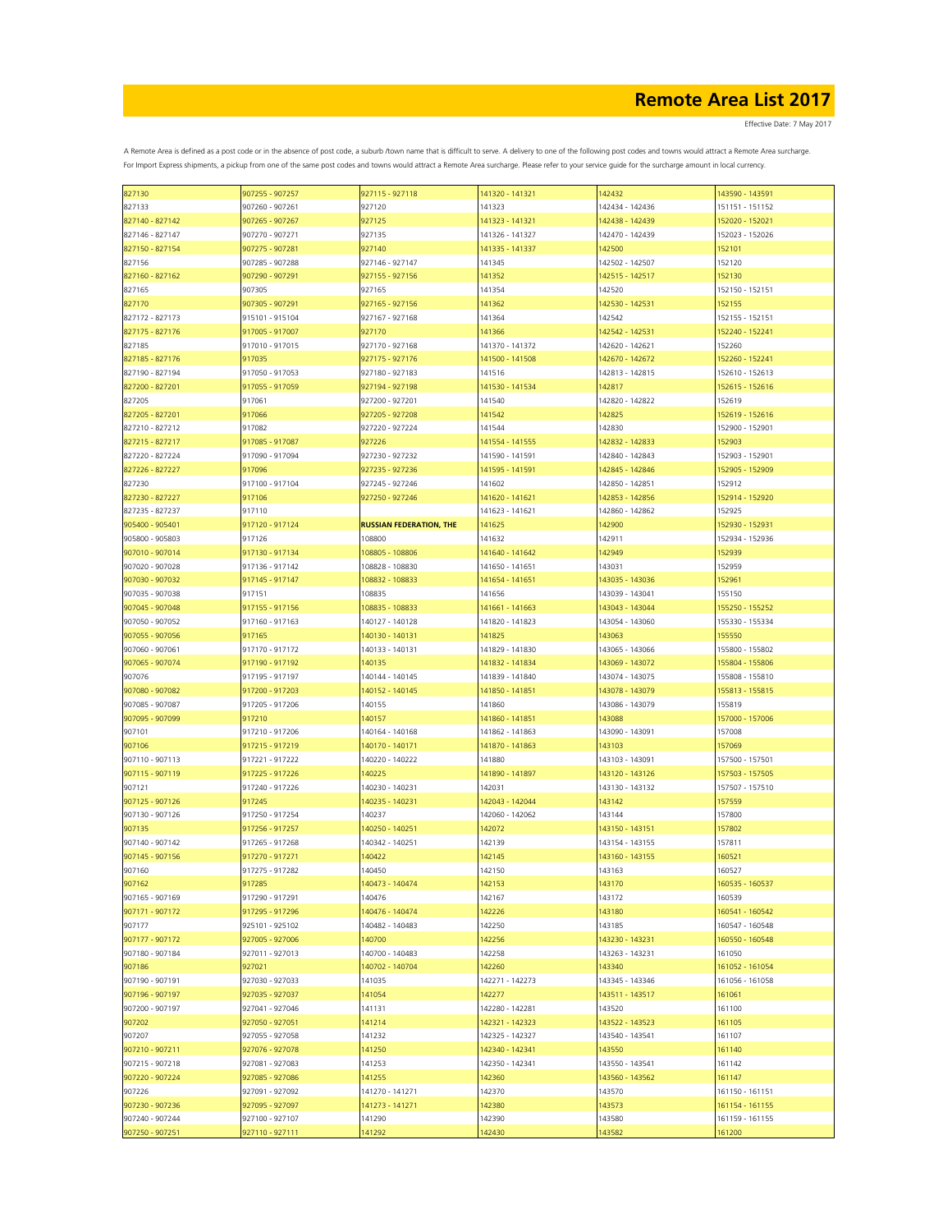| 827130          | 907255 - 907257 | 927115 - 927118                | 141320 - 141321 | 142432          | 143590 - 143591 |
|-----------------|-----------------|--------------------------------|-----------------|-----------------|-----------------|
| 827133          | 907260 - 907261 | 927120                         | 141323          | 142434 - 142436 | 151151 - 151152 |
| 827140 - 827142 | 907265 - 907267 | 927125                         | 141323 - 141321 | 142438 - 142439 | 152020 - 152021 |
|                 |                 |                                |                 |                 |                 |
| 827146 - 827147 | 907270 - 907271 | 927135                         | 141326 - 141327 | 142470 - 142439 | 152023 - 152026 |
| 827150 - 827154 | 907275 - 907281 | 927140                         | 141335 - 141337 | 142500          | 152101          |
| 827156          | 907285 - 907288 | 927146 - 927147                | 141345          | 142502 - 142507 | 152120          |
|                 | 907290 - 907291 | 927155 - 927156                |                 | 142515 - 142517 |                 |
| 827160 - 827162 |                 |                                | 141352          |                 | 152130          |
| 827165          | 907305          | 927165                         | 141354          | 142520          | 152150 - 152151 |
| 827170          | 907305 - 907291 | 927165 - 927156                | 141362          | 142530 - 142531 | 152155          |
| 827172 - 827173 | 915101 - 915104 | 927167 - 927168                | 141364          | 142542          | 152155 - 152151 |
|                 |                 |                                |                 |                 |                 |
| 827175 - 827176 | 917005 - 917007 | 927170                         | 141366          | 142542 - 142531 | 152240 - 152241 |
| 827185          | 917010 - 917015 | 927170 - 927168                | 141370 - 141372 | 142620 - 142621 | 152260          |
| 827185 - 827176 | 917035          | 927175 - 927176                | 141500 - 141508 | 142670 - 142672 | 152260 - 152241 |
| 827190 - 827194 | 917050 - 917053 | 927180 - 927183                | 141516          | 142813 - 142815 | 152610 - 152613 |
|                 |                 |                                |                 |                 |                 |
| 827200 - 827201 | 917055 - 917059 | 927194 - 927198                | 141530 - 141534 | 142817          | 152615 - 152616 |
| 827205          | 917061          | 927200 - 927201                | 141540          | 142820 - 142822 | 152619          |
| 827205 - 827201 | 917066          | 927205 - 927208                | 141542          | 142825          | 152619 - 152616 |
| 827210 - 827212 | 917082          | 927220 - 927224                | 141544          | 142830          | 152900 - 152901 |
|                 |                 |                                |                 |                 |                 |
| 827215 - 827217 | 917085 - 917087 | 927226                         | 141554 - 141555 | 142832 - 142833 | 152903          |
| 827220 - 827224 | 917090 - 917094 | 927230 - 927232                | 141590 - 141591 | 142840 - 142843 | 152903 - 152901 |
| 827226 - 827227 | 917096          | 927235 - 927236                | 141595 - 141591 | 142845 - 142846 | 152905 - 152909 |
| 827230          | 917100 - 917104 | 927245 - 927246                | 141602          | 142850 - 142851 | 152912          |
|                 |                 |                                |                 |                 |                 |
| 827230 - 827227 | 917106          | 927250 - 927246                | 141620 - 141621 | 142853 - 142856 | 152914 - 152920 |
| 827235 - 827237 | 917110          |                                | 141623 - 141621 | 142860 - 142862 | 152925          |
| 905400 - 905401 | 917120 - 917124 | <b>RUSSIAN FEDERATION, THE</b> | 141625          | 142900          | 152930 - 152931 |
|                 |                 |                                |                 |                 |                 |
| 905800 - 905803 | 917126          | 108800                         | 141632          | 142911          | 152934 - 152936 |
| 907010 - 907014 | 917130 - 917134 | 108805 - 108806                | 141640 - 141642 | 142949          | 152939          |
| 907020 - 907028 | 917136 - 917142 | 108828 - 108830                | 141650 - 141651 | 143031          | 152959          |
| 907030 - 907032 | 917145 - 917147 | 108832 - 108833                | 141654 - 141651 | 143035 - 143036 | 152961          |
|                 |                 |                                |                 |                 |                 |
| 907035 - 907038 | 917151          | 108835                         | 141656          | 143039 - 143041 | 155150          |
| 907045 - 907048 | 917155 - 917156 | 108835 - 108833                | 141661 - 141663 | 143043 - 143044 | 155250 - 155252 |
| 907050 - 907052 | 917160 - 917163 | 140127 - 140128                | 141820 - 141823 | 143054 - 143060 | 155330 - 155334 |
| 907055 - 907056 | 917165          | 140130 - 140131                | 141825          | 143063          | 155550          |
|                 |                 |                                |                 |                 |                 |
| 907060 - 907061 | 917170 - 917172 | 140133 - 140131                | 141829 - 141830 | 143065 - 143066 | 155800 - 155802 |
| 907065 - 907074 | 917190 - 917192 | 140135                         | 141832 - 141834 | 143069 - 143072 | 155804 - 155806 |
| 907076          | 917195 - 917197 | 140144 - 140145                | 141839 - 141840 | 143074 - 143075 | 155808 - 155810 |
|                 | 917200 - 917203 | 140152 - 140145                | 141850 - 141851 | 143078 - 143079 | 155813 - 155815 |
| 907080 - 907082 |                 |                                |                 |                 |                 |
| 907085 - 907087 | 917205 - 917206 | 140155                         | 141860          | 143086 - 143079 | 155819          |
| 907095 - 907099 | 917210          | 140157                         | 141860 - 141851 | 143088          | 157000 - 157006 |
| 907101          | 917210 - 917206 | 140164 - 140168                | 141862 - 141863 | 143090 - 143091 | 157008          |
|                 |                 |                                |                 |                 |                 |
| 907106          | 917215 - 917219 | 140170 - 140171                | 141870 - 141863 | 143103          | 157069          |
| 907110 - 907113 | 917221 - 917222 | 140220 - 140222                | 141880          | 143103 - 143091 | 157500 - 157501 |
| 907115 - 907119 | 917225 - 917226 | 140225                         | 141890 - 141897 | 143120 - 143126 | 157503 - 157505 |
| 907121          | 917240 - 917226 | 140230 - 140231                | 142031          | 143130 - 143132 | 157507 - 157510 |
|                 | 917245          |                                |                 |                 |                 |
| 907125 - 907126 |                 | 140235 - 140231                | 142043 - 142044 | 143142          | 157559          |
| 907130 - 907126 | 917250 - 917254 | 140237                         | 142060 - 142062 | 143144          | 157800          |
| 907135          | 917256 - 917257 | 140250 - 140251                | 142072          | 143150 - 143151 | 157802          |
| 907140 - 907142 | 917265 - 917268 | 140342 - 140251                | 142139          | 143154 - 143155 | 157811          |
| 907145 - 907156 | 917270 - 917271 | 140422                         | 142145          | 143160 - 143155 |                 |
|                 |                 |                                |                 |                 | 160521          |
| 907160          | 917275 - 917282 | 140450                         | 142150          | 143163          | 160527          |
| 907162          | 917285          | 140473 - 140474                | 142153          | 143170          | 160535 - 160537 |
| 907165 - 907169 | 917290 - 917291 | 140476                         | 142167          | 143172          | 160539          |
|                 |                 | 140476 - 140474                |                 |                 |                 |
| 907171 - 907172 | 917295 - 917296 |                                | 142226          | 143180          | 160541 - 160542 |
| 907177          | 925101 - 925102 | 140482 - 140483                | 142250          | 143185          | 160547 - 160548 |
| 907177 - 907172 | 927005 - 927006 | 140700                         | 142256          | 143230 - 143231 | 160550 - 160548 |
| 907180 - 907184 | 927011 - 927013 | 140700 - 140483                | 142258          | 143263 - 143231 | 161050          |
|                 | 927021          | 140702 - 140704                | 142260          |                 |                 |
| 907186          |                 |                                |                 | 143340          | 161052 - 161054 |
| 907190 - 907191 | 927030 - 927033 | 141035                         | 142271 - 142273 | 143345 - 143346 | 161056 - 161058 |
| 907196 - 907197 | 927035 - 927037 | 141054                         | 142277          | 143511 - 143517 | 161061          |
| 907200 - 907197 | 927041 - 927046 | 141131                         | 142280 - 142281 | 143520          | 161100          |
|                 | 927050 - 927051 |                                |                 |                 |                 |
| 907202          |                 | 141214                         | 142321 - 142323 | 143522 - 143523 | 161105          |
| 907207          | 927055 - 927058 | 141232                         | 142325 - 142327 | 143540 - 143541 | 161107          |
| 907210 - 907211 | 927076 - 927078 | 141250                         | 142340 - 142341 | 143550          | 161140          |
| 907215 - 907218 | 927081 - 927083 | 141253                         | 142350 - 142341 | 143550 - 143541 | 161142          |
|                 |                 |                                |                 |                 |                 |
| 907220 - 907224 | 927085 - 927086 | 141255                         | 142360          | 143560 - 143562 | 161147          |
| 907226          | 927091 - 927092 | 141270 - 141271                | 142370          | 143570          | 161150 - 161151 |
| 907230 - 907236 | 927095 - 927097 | 141273 - 141271                | 142380          | 143573          | 161154 - 161155 |
| 907240 - 907244 | 927100 - 927107 | 141290                         | 142390          | 143580          | 161159 - 161155 |
|                 |                 |                                |                 |                 |                 |
| 907250 - 907251 | 927110 - 927111 | 141292                         | 142430          | 143582          | 161200          |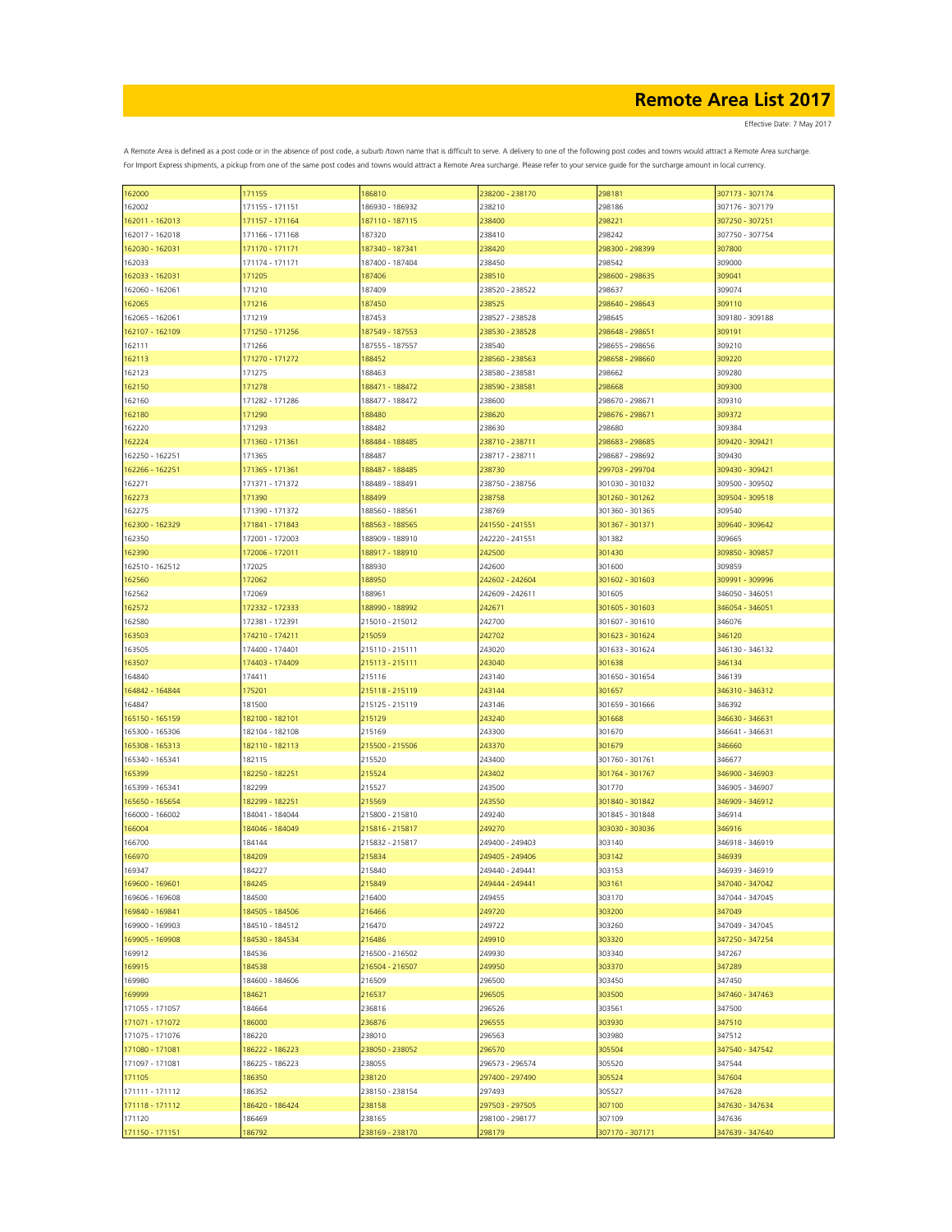| 162000          | 171155          | 186810          | 238200 - 238170 | 298181          | 307173 - 307174 |
|-----------------|-----------------|-----------------|-----------------|-----------------|-----------------|
| 162002          | 171155 - 171151 | 186930 - 186932 | 238210          | 298186          | 307176 - 307179 |
| 162011 - 162013 | 171157 - 171164 | 187110 - 187115 | 238400          | 298221          | 307250 - 307251 |
|                 |                 |                 |                 |                 |                 |
| 162017 - 162018 | 171166 - 171168 | 187320          | 238410          | 298242          | 307750 - 307754 |
| 162030 - 162031 | 171170 - 171171 | 187340 - 187341 | 238420          | 298300 - 298399 | 307800          |
| 162033          | 171174 - 171171 | 187400 - 187404 | 238450          | 298542          | 309000          |
| 162033 - 162031 | 171205          | 187406          | 238510          | 298600 - 298635 | 309041          |
|                 |                 |                 |                 |                 |                 |
| 162060 - 162061 | 171210          | 187409          | 238520 - 238522 | 298637          | 309074          |
| 162065          | 171216          | 187450          | 238525          | 298640 - 298643 | 309110          |
| 162065 - 162061 | 171219          | 187453          | 238527 - 238528 | 298645          | 309180 - 309188 |
|                 | 171250 - 171256 | 187549 - 187553 | 238530 - 238528 | 298648 - 298651 |                 |
| 162107 - 162109 |                 |                 |                 |                 | 309191          |
| 162111          | 171266          | 187555 - 187557 | 238540          | 298655 - 298656 | 309210          |
| 162113          | 171270 - 171272 | 188452          | 238560 - 238563 | 298658 - 298660 | 309220          |
| 162123          | 171275          | 188463          | 238580 - 238581 | 298662          | 309280          |
|                 | 171278          | 188471 - 188472 |                 |                 | 309300          |
| 162150          |                 |                 | 238590 - 238581 | 298668          |                 |
| 162160          | 171282 - 171286 | 188477 - 188472 | 238600          | 298670 - 298671 | 309310          |
| 162180          | 171290          | 188480          | 238620          | 298676 - 298671 | 309372          |
| 162220          | 171293          | 188482          | 238630          | 298680          | 309384          |
|                 |                 |                 |                 |                 |                 |
| 162224          | 171360 - 171361 | 188484 - 188485 | 238710 - 238711 | 298683 - 298685 | 309420 - 309421 |
| 162250 - 162251 | 171365          | 188487          | 238717 - 238711 | 298687 - 298692 | 309430          |
| 162266 - 162251 | 171365 - 171361 | 188487 - 188485 | 238730          | 299703 - 299704 | 309430 - 309421 |
| 162271          | 171371 - 171372 | 188489 - 188491 | 238750 - 238756 | 301030 - 301032 | 309500 - 309502 |
|                 |                 |                 |                 |                 |                 |
| 162273          | 171390          | 188499          | 238758          | 301260 - 301262 | 309504 - 309518 |
| 162275          | 171390 - 171372 | 188560 - 188561 | 238769          | 301360 - 301365 | 309540          |
| 162300 - 162329 | 171841 - 171843 | 188563 - 188565 | 241550 - 241551 | 301367 - 301371 | 309640 - 309642 |
| 162350          | 172001 - 172003 | 188909 - 188910 | 242220 - 241551 | 301382          | 309665          |
|                 |                 |                 |                 |                 |                 |
| 162390          | 172006 - 172011 | 188917 - 188910 | 242500          | 301430          | 309850 - 309857 |
| 162510 - 162512 | 172025          | 188930          | 242600          | 301600          | 309859          |
| 162560          | 172062          | 188950          | 242602 - 242604 | 301602 - 301603 | 309991 - 309996 |
|                 |                 |                 |                 |                 |                 |
| 162562          | 172069          | 188961          | 242609 - 242611 | 301605          | 346050 - 346051 |
| 162572          | 172332 - 172333 | 188990 - 188992 | 242671          | 301605 - 301603 | 346054 - 346051 |
| 162580          | 172381 - 172391 | 215010 - 215012 | 242700          | 301607 - 301610 | 346076          |
| 163503          | 174210 - 174211 | 215059          | 242702          | 301623 - 301624 | 346120          |
|                 |                 |                 |                 |                 |                 |
| 163505          | 174400 - 174401 | 215110 - 215111 | 243020          | 301633 - 301624 | 346130 - 346132 |
| 163507          | 174403 - 174409 | 215113 - 215111 | 243040          | 301638          | 346134          |
| 164840          | 174411          | 215116          | 243140          | 301650 - 301654 | 346139          |
| 164842 - 164844 | 175201          | 215118 - 215119 | 243144          | 301657          | 346310 - 346312 |
|                 |                 |                 |                 |                 |                 |
| 164847          | 181500          | 215125 - 215119 | 243146          | 301659 - 301666 | 346392          |
| 165150 - 165159 | 182100 - 182101 | 215129          | 243240          | 301668          | 346630 - 346631 |
| 165300 - 165306 | 182104 - 182108 | 215169          | 243300          | 301670          | 346641 - 346631 |
| 165308 - 165313 | 182110 - 182113 | 215500 - 215506 | 243370          | 301679          | 346660          |
|                 |                 |                 |                 |                 |                 |
| 165340 - 165341 | 182115          | 215520          | 243400          | 301760 - 301761 | 346677          |
| 165399          | 182250 - 182251 | 215524          | 243402          | 301764 - 301767 | 346900 - 346903 |
| 165399 - 165341 | 182299          | 215527          | 243500          | 301770          | 346905 - 346907 |
| 165650 - 165654 | 182299 - 182251 | 215569          | 243550          | 301840 - 301842 | 346909 - 346912 |
|                 |                 |                 |                 |                 |                 |
| 166000 - 166002 | 184041 - 184044 | 215800 - 215810 | 249240          | 301845 - 301848 | 346914          |
| 166004          | 184046 - 184049 | 215816 - 215817 | 249270          | 303030 - 303036 | 346916          |
| 166700          | 184144          | 215832 - 215817 | 249400 - 249403 | 303140          | 346918 - 346919 |
| 166970          | 184209          | 215834          | 249405 - 249406 | 303142          | 346939          |
|                 |                 |                 |                 |                 |                 |
| 169347          | 184227          | 215840          | 249440 - 249441 | 303153          | 346939 - 346919 |
| 169600 - 169601 | 184245          | 215849          | 249444 - 249441 | 303161          | 347040 - 347042 |
| 169606 - 169608 | 184500          | 216400          | 249455          | 303170          | 347044 - 347045 |
| 169840 - 169841 | 184505 - 184506 | 216466          | 249720          | 303200          | 347049          |
|                 |                 |                 |                 |                 |                 |
| 169900 - 169903 | 184510 - 184512 | 216470          | 249722          | 303260          | 347049 - 347045 |
| 169905 - 169908 | 184530 - 184534 | 216486          | 249910          | 303320          | 347250 - 347254 |
| 169912          | 184536          | 216500 - 216502 | 249930          | 303340          | 347267          |
| 169915          | 184538          | 216504 - 216507 | 249950          | 303370          | 347289          |
|                 |                 |                 |                 |                 |                 |
| 169980          | 184600 - 184606 | 216509          | 296500          | 303450          | 347450          |
| 169999          | 184621          | 216537          | 296505          | 303500          | 347460 - 347463 |
| 171055 - 171057 | 184664          | 236816          | 296526          | 303561          | 347500          |
| 171071 - 171072 | 186000          | 236876          | 296555          | 303930          | 347510          |
|                 |                 |                 |                 |                 |                 |
| 171075 - 171076 | 186220          | 238010          | 296563          | 303980          | 347512          |
| 171080 - 171081 | 186222 - 186223 | 238050 - 238052 | 296570          | 305504          | 347540 - 347542 |
| 171097 - 171081 | 186225 - 186223 | 238055          | 296573 - 296574 | 305520          | 347544          |
| 171105          | 186350          | 238120          | 297400 - 297490 | 305524          | 347604          |
|                 |                 |                 |                 |                 |                 |
| 171111 - 171112 | 186352          | 238150 - 238154 | 297493          | 305527          | 347628          |
| 171118 - 171112 | 186420 - 186424 | 238158          | 297503 - 297505 | 307100          | 347630 - 347634 |
| 171120          | 186469          | 238165          | 298100 - 298177 | 307109          | 347636          |
|                 |                 |                 |                 |                 |                 |
| 171150 - 171151 | 186792          | 238169 - 238170 | 298179          | 307170 - 307171 | 347639 - 347640 |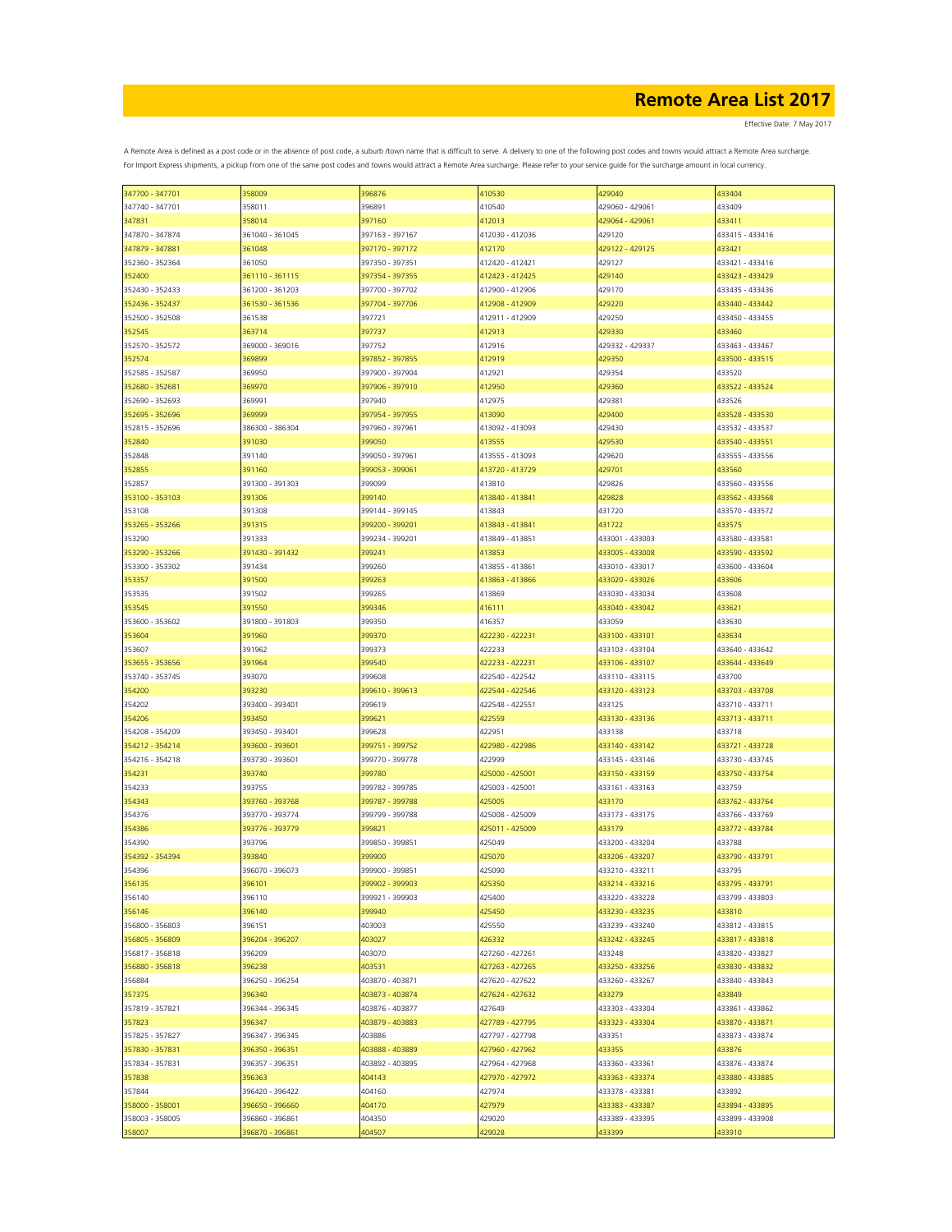| 347700 - 347701 | 358009          | 396876          | 410530          | 429040          | 433404          |
|-----------------|-----------------|-----------------|-----------------|-----------------|-----------------|
| 347740 - 347701 | 358011          | 396891          | 410540          | 429060 - 429061 | 433409          |
| 347831          | 358014          | 397160          | 412013          | 429064 - 429061 | 433411          |
|                 |                 |                 |                 |                 |                 |
| 347870 - 347874 | 361040 - 361045 | 397163 - 397167 | 412030 - 412036 | 429120          | 433415 - 433416 |
| 347879 - 347881 | 361048          | 397170 - 397172 | 412170          | 429122 - 429125 | 433421          |
| 352360 - 352364 | 361050          | 397350 - 397351 | 412420 - 412421 | 429127          | 433421 - 433416 |
|                 |                 |                 |                 |                 |                 |
| 352400          | 361110 - 361115 | 397354 - 397355 | 412423 - 412425 | 429140          | 433423 - 433429 |
| 352430 - 352433 | 361200 - 361203 | 397700 - 397702 | 412900 - 412906 | 429170          | 433435 - 433436 |
| 352436 - 352437 | 361530 - 361536 | 397704 - 397706 | 412908 - 412909 | 429220          | 433440 - 433442 |
| 352500 - 352508 | 361538          | 397721          | 412911 - 412909 | 429250          | 433450 - 433455 |
|                 |                 |                 |                 |                 |                 |
| 352545          | 363714          | 397737          | 412913          | 429330          | 433460          |
| 352570 - 352572 | 369000 - 369016 | 397752          | 412916          | 429332 - 429337 | 433463 - 433467 |
| 352574          | 369899          | 397852 - 397855 | 412919          | 429350          | 433500 - 433515 |
| 352585 - 352587 | 369950          | 397900 - 397904 | 412921          | 429354          | 433520          |
|                 |                 |                 |                 |                 |                 |
| 352680 - 352681 | 369970          | 397906 - 397910 | 412950          | 429360          | 433522 - 433524 |
| 352690 - 352693 | 369991          | 397940          | 412975          | 429381          | 433526          |
| 352695 - 352696 | 369999          | 397954 - 397955 | 413090          | 429400          | 433528 - 433530 |
|                 |                 |                 |                 |                 |                 |
| 352815 - 352696 | 386300 - 386304 | 397960 - 397961 | 413092 - 413093 | 429430          | 433532 - 433537 |
| 352840          | 391030          | 399050          | 413555          | 429530          | 433540 - 433551 |
| 352848          | 391140          | 399050 - 397961 | 413555 - 413093 | 429620          | 433555 - 433556 |
| 352855          | 391160          | 399053 - 399061 | 413720 - 413729 | 429701          | 433560          |
|                 |                 |                 |                 |                 |                 |
| 352857          | 391300 - 391303 | 399099          | 413810          | 429826          | 433560 - 433556 |
| 353100 - 353103 | 391306          | 399140          | 413840 - 413841 | 429828          | 433562 - 433568 |
| 353108          | 391308          | 399144 - 399145 | 413843          | 431720          | 433570 - 433572 |
|                 |                 |                 |                 |                 |                 |
| 353265 - 353266 | 391315          | 399200 - 399201 | 413843 - 413841 | 431722          | 433575          |
| 353290          | 391333          | 399234 - 399201 | 413849 - 413851 | 433001 - 433003 | 433580 - 433581 |
| 353290 - 353266 | 391430 - 391432 | 399241          | 413853          | 433005 - 433008 | 433590 - 433592 |
| 353300 - 353302 | 391434          | 399260          | 413855 - 413861 | 433010 - 433017 | 433600 - 433604 |
|                 |                 |                 |                 |                 |                 |
| 353357          | 391500          | 399263          | 413863 - 413866 | 433020 - 433026 | 433606          |
| 353535          | 391502          | 399265          | 413869          | 433030 - 433034 | 433608          |
| 353545          | 391550          | 399346          | 416111          | 433040 - 433042 | 433621          |
|                 |                 |                 |                 |                 |                 |
| 353600 - 353602 | 391800 - 391803 | 399350          | 416357          | 433059          | 433630          |
| 353604          | 391960          | 399370          | 422230 - 422231 | 433100 - 433101 | 433634          |
| 353607          | 391962          | 399373          | 422233          | 433103 - 433104 | 433640 - 433642 |
|                 |                 |                 | 422233 - 422231 | 433106 - 433107 |                 |
| 353655 - 353656 | 391964          | 399540          |                 |                 | 433644 - 433649 |
| 353740 - 353745 | 393070          | 399608          | 422540 - 422542 | 433110 - 433115 | 433700          |
| 354200          | 393230          | 399610 - 399613 | 422544 - 422546 | 433120 - 433123 | 433703 - 433708 |
| 354202          | 393400 - 393401 | 399619          | 422548 - 422551 | 433125          | 433710 - 433711 |
|                 |                 |                 |                 |                 |                 |
| 354206          | 393450          | 399621          | 422559          | 433130 - 433136 | 433713 - 433711 |
| 354208 - 354209 | 393450 - 393401 | 399628          | 422951          | 433138          | 433718          |
| 354212 - 354214 | 393600 - 393601 | 399751 - 399752 | 422980 - 422986 | 433140 - 433142 | 433721 - 433728 |
| 354216 - 354218 | 393730 - 393601 | 399770 - 399778 | 422999          | 433145 - 433146 | 433730 - 433745 |
|                 |                 |                 |                 |                 |                 |
| 354231          | 393740          | 399780          | 425000 - 425001 | 433150 - 433159 | 433750 - 433754 |
| 354233          | 393755          | 399782 - 399785 | 425003 - 425001 | 433161 - 433163 | 433759          |
| 354343          | 393760 - 393768 | 399787 - 399788 | 425005          | 433170          | 433762 - 433764 |
|                 |                 |                 |                 | 433173 - 433175 |                 |
| 354376          | 393770 - 393774 | 399799 - 399788 | 425008 - 425009 |                 | 433766 - 433769 |
| 354386          | 393776 - 393779 | 399821          | 425011 - 425009 | 433179          | 433772 - 433784 |
| 354390          | 393796          | 399850 - 399851 | 425049          | 433200 - 433204 | 433788          |
| 354392 - 354394 | 393840          | 399900          | 425070          | 433206 - 433207 | 433790 - 433791 |
| 354396          | 396070 - 396073 | 399900 - 399851 | 425090          | 433210 - 433211 | 433795          |
|                 |                 |                 |                 |                 |                 |
| 356135          | 396101          | 399902 - 399903 | 425350          | 433214 - 433216 | 433795 - 433791 |
| 356140          | 396110          | 399921 - 399903 | 425400          | 433220 - 433228 | 433799 - 433803 |
| 356146          | 396140          | 399940          | 425450          | 433230 - 433235 | 433810          |
|                 |                 |                 |                 |                 |                 |
| 356800 - 356803 | 396151          | 403003          | 425550          | 433239 - 433240 | 433812 - 433815 |
| 356805 - 356809 | 396204 - 396207 | 403027          | 426332          | 433242 - 433245 | 433817 - 433818 |
| 356817 - 356818 | 396209          | 403070          | 427260 - 427261 | 433248          | 433820 - 433827 |
| 356880 - 356818 | 396238          | 403531          | 427263 - 427265 | 433250 - 433256 | 433830 - 433832 |
|                 |                 |                 |                 |                 |                 |
| 356884          | 396250 - 396254 | 403870 - 403871 | 427620 - 427622 | 433260 - 433267 | 433840 - 433843 |
| 357375          | 396340          | 403873 - 403874 | 427624 - 427632 | 433279          | 433849          |
| 357819 - 357821 | 396344 - 396345 | 403876 - 403877 | 427649          | 433303 - 433304 | 433861 - 433862 |
| 357823          | 396347          |                 | 427789 - 427795 |                 |                 |
|                 |                 | 403879 - 403883 |                 | 433323 - 433304 | 433870 - 433871 |
| 357825 - 357827 | 396347 - 396345 | 403886          | 427797 - 427798 | 433351          | 433873 - 433874 |
| 357830 - 357831 | 396350 - 396351 | 403888 - 403889 | 427960 - 427962 | 433355          | 433876          |
| 357834 - 357831 | 396357 - 396351 | 403892 - 403895 | 427964 - 427968 | 433360 - 433361 | 433876 - 433874 |
|                 |                 |                 |                 |                 |                 |
| 357838          | 396363          | 404143          | 427970 - 427972 | 433363 - 433374 | 433880 - 433885 |
| 357844          | 396420 - 396422 | 404160          | 427974          | 433378 - 433381 | 433892          |
| 358000 - 358001 | 396650 - 396660 | 404170          | 427979          | 433383 - 433387 | 433894 - 433895 |
| 358003 - 358005 | 396860 - 396861 | 404350          | 429020          | 433389 - 433395 | 433899 - 433908 |
|                 |                 |                 |                 |                 |                 |
| 358007          | 396870 - 396861 | 404507          | 429028          | 433399          | 433910          |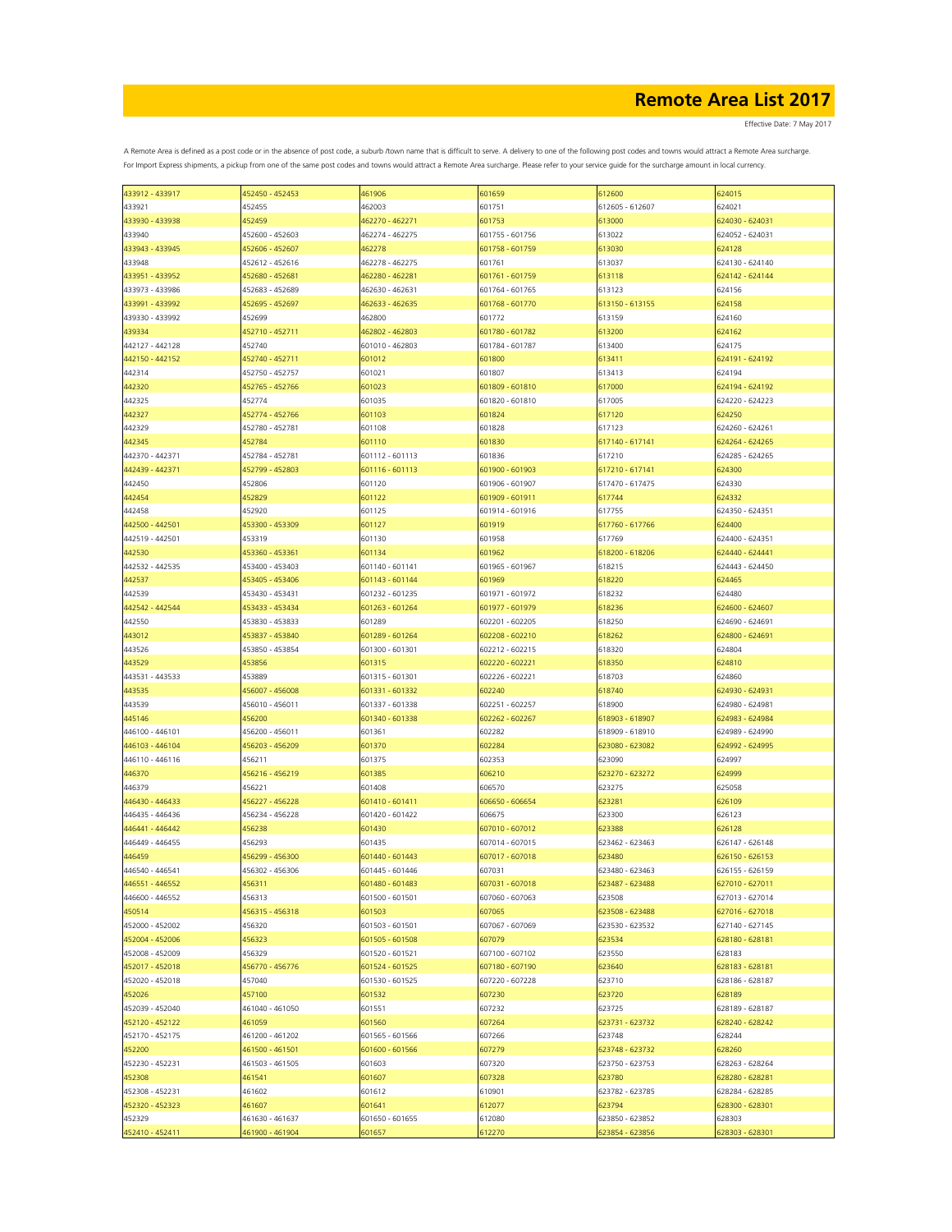Effective Date: 7 May 2017

| 433912 - 433917 | 452450 - 452453 | 461906          | 601659          | 612600          | 624015          |
|-----------------|-----------------|-----------------|-----------------|-----------------|-----------------|
| 433921          | 452455          | 462003          | 601751          | 612605 - 612607 | 624021          |
| 433930 - 433938 | 452459          | 462270 - 462271 | 601753          | 613000          | 624030 - 624031 |
| 433940          | 452600 - 452603 | 462274 - 462275 | 601755 - 601756 | 613022          | 624052 - 624031 |
|                 |                 |                 |                 |                 |                 |
| 433943 - 433945 | 452606 - 452607 | 462278          | 601758 - 601759 | 613030          | 624128          |
| 433948          | 452612 - 452616 | 462278 - 462275 | 601761          | 613037          | 624130 - 624140 |
| 433951 - 433952 | 452680 - 452681 | 462280 - 462281 | 601761 - 601759 | 613118          | 624142 - 624144 |
| 433973 - 433986 | 452683 - 452689 | 462630 - 462631 | 601764 - 601765 | 613123          | 624156          |
| 433991 - 433992 | 452695 - 452697 | 462633 - 462635 | 601768 - 601770 | 613150 - 613155 | 624158          |
|                 |                 |                 | 601772          |                 |                 |
| 439330 - 433992 | 452699          | 462800          |                 | 613159          | 624160          |
| 439334          | 452710 - 452711 | 462802 - 462803 | 601780 - 601782 | 613200          | 624162          |
| 442127 - 442128 | 452740          | 601010 - 462803 | 601784 - 601787 | 613400          | 624175          |
| 442150 - 442152 | 452740 - 452711 | 601012          | 601800          | 613411          | 624191 - 624192 |
| 442314          | 452750 - 452757 | 601021          | 601807          | 613413          | 624194          |
| 442320          | 452765 - 452766 | 601023          | 601809 - 601810 | 617000          | 624194 - 624192 |
| 442325          | 452774          | 601035          | 601820 - 601810 | 617005          | 624220 - 624223 |
|                 |                 |                 |                 |                 |                 |
| 442327          | 452774 - 452766 | 601103          | 601824          | 617120          | 624250          |
| 442329          | 452780 - 452781 | 601108          | 601828          | 617123          | 624260 - 624261 |
| 442345          | 452784          | 601110          | 601830          | 617140 - 617141 | 624264 - 624265 |
| 442370 - 442371 | 452784 - 452781 | 601112 - 601113 | 601836          | 617210          | 624285 - 624265 |
| 442439 - 442371 | 452799 - 452803 | 601116 - 601113 | 601900 - 601903 | 617210 - 617141 | 624300          |
| 442450          | 452806          | 601120          | 601906 - 601907 | 617470 - 617475 | 624330          |
|                 |                 |                 |                 |                 |                 |
| 442454          | 452829          | 601122          | 601909 - 601911 | 617744          | 624332          |
| 442458          | 452920          | 601125          | 601914 - 601916 | 617755          | 624350 - 624351 |
| 442500 - 442501 | 453300 - 453309 | 601127          | 601919          | 617760 - 617766 | 624400          |
| 442519 - 442501 | 453319          | 601130          | 601958          | 617769          | 624400 - 624351 |
| 442530          | 453360 - 453361 | 601134          | 601962          | 618200 - 618206 | 624440 - 624441 |
| 442532 - 442535 | 453400 - 453403 | 601140 - 601141 | 601965 - 601967 | 618215          | 624443 - 624450 |
|                 |                 |                 |                 |                 |                 |
| 442537          | 453405 - 453406 | 601143 - 601144 | 601969          | 618220          | 624465          |
| 442539          | 453430 - 453431 | 601232 - 601235 | 601971 - 601972 | 618232          | 624480          |
| 442542 - 442544 | 453433 - 453434 | 601263 - 601264 | 601977 - 601979 | 618236          | 624600 - 624607 |
| 442550          | 453830 - 453833 | 601289          | 602201 - 602205 | 618250          | 624690 - 624691 |
| 443012          | 453837 - 453840 | 601289 - 601264 | 602208 - 602210 | 618262          | 624800 - 624691 |
| 443526          | 453850 - 453854 | 601300 - 601301 | 602212 - 602215 | 618320          | 624804          |
|                 |                 |                 |                 |                 |                 |
| 443529          | 453856          | 601315          | 602220 - 602221 | 618350          | 624810          |
| 443531 - 443533 | 453889          | 601315 - 601301 | 602226 - 602221 | 618703          | 624860          |
| 443535          | 456007 - 456008 | 601331 - 601332 | 602240          | 618740          | 624930 - 624931 |
| 443539          | 456010 - 456011 | 601337 - 601338 | 602251 - 602257 | 618900          | 624980 - 624981 |
| 445146          | 456200          | 601340 - 601338 | 602262 - 602267 | 618903 - 618907 | 624983 - 624984 |
| 446100 - 446101 | 456200 - 456011 | 601361          | 602282          | 618909 - 618910 | 624989 - 624990 |
|                 |                 |                 |                 |                 |                 |
| 446103 - 446104 | 456203 - 456209 | 601370          | 602284          | 623080 - 623082 | 624992 - 624995 |
| 446110 - 446116 | 456211          | 601375          | 602353          | 623090          | 624997          |
| 446370          | 456216 - 456219 | 601385          | 606210          | 623270 - 623272 | 624999          |
| 446379          | 456221          | 601408          | 606570          | 623275          | 625058          |
| 446430 - 446433 | 456227 - 456228 | 601410 - 601411 | 606650 - 606654 | 623281          | 626109          |
| 446435 - 446436 | 456234 - 456228 | 601420 - 601422 | 606675          | 623300          | 626123          |
|                 |                 |                 |                 |                 |                 |
| 446441 - 446442 | 456238          | 601430          | 607010 - 607012 | 623388          | 626128          |
| 446449 - 446455 | 456293          | 601435          | 607014 - 607015 | 623462 - 623463 | 626147 - 626148 |
| 446459          | 456299 - 456300 | 601440 - 601443 | 607017 - 607018 | 623480          | 626150 - 626153 |
| 446540 - 446541 | 456302 - 456306 | 601445 - 601446 | 607031          | 623480 - 623463 | 626155 - 626159 |
| 446551 - 446552 | 456311          | 601480 - 601483 | 607031 - 607018 | 623487 - 623488 | 627010 - 627011 |
| 446600 - 446552 | 456313          | 601500 - 601501 | 607060 - 607063 | 623508          | 627013 - 627014 |
| 450514          | 456315 - 456318 | 601503          | 607065          | 623508 - 623488 | 627016 - 627018 |
|                 |                 |                 |                 |                 |                 |
| 452000 - 452002 | 456320          | 601503 - 601501 | 607067 - 607069 | 623530 - 623532 | 627140 - 627145 |
| 452004 - 452006 | 456323          | 601505 - 601508 | 607079          | 623534          | 628180 - 628181 |
| 452008 - 452009 | 456329          | 601520 - 601521 | 607100 - 607102 | 623550          | 628183          |
| 452017 - 452018 | 456770 - 456776 | 601524 - 601525 | 607180 - 607190 | 623640          | 628183 - 628181 |
| 452020 - 452018 | 457040          | 601530 - 601525 | 607220 - 607228 | 623710          | 628186 - 628187 |
| 452026          | 457100          | 601532          | 607230          | 623720          | 628189          |
|                 |                 |                 |                 |                 |                 |
| 452039 - 452040 | 461040 - 461050 | 601551          | 607232          | 623725          | 628189 - 628187 |
| 452120 - 452122 | 461059          | 601560          | 607264          | 623731 - 623732 | 628240 - 628242 |
| 452170 - 452175 | 461200 - 461202 | 601565 - 601566 | 607266          | 623748          | 628244          |
| 452200          | 461500 - 461501 | 601600 - 601566 | 607279          | 623748 - 623732 | 628260          |
| 452230 - 452231 | 461503 - 461505 | 601603          | 607320          | 623750 - 623753 | 628263 - 628264 |
| 452308          | 461541          | 601607          | 607328          | 623780          | 628280 - 628281 |
|                 |                 |                 |                 |                 |                 |
| 452308 - 452231 | 461602          | 601612          | 610901          | 623782 - 623785 | 628284 - 628285 |
| 452320 - 452323 | 461607          | 601641          | 612077          | 623794          | 628300 - 628301 |
| 452329          | 461630 - 461637 | 601650 - 601655 | 612080          | 623850 - 623852 | 628303          |
| 452410 - 452411 | 461900 - 461904 | 601657          | 612270          | 623854 - 623856 | 628303 - 628301 |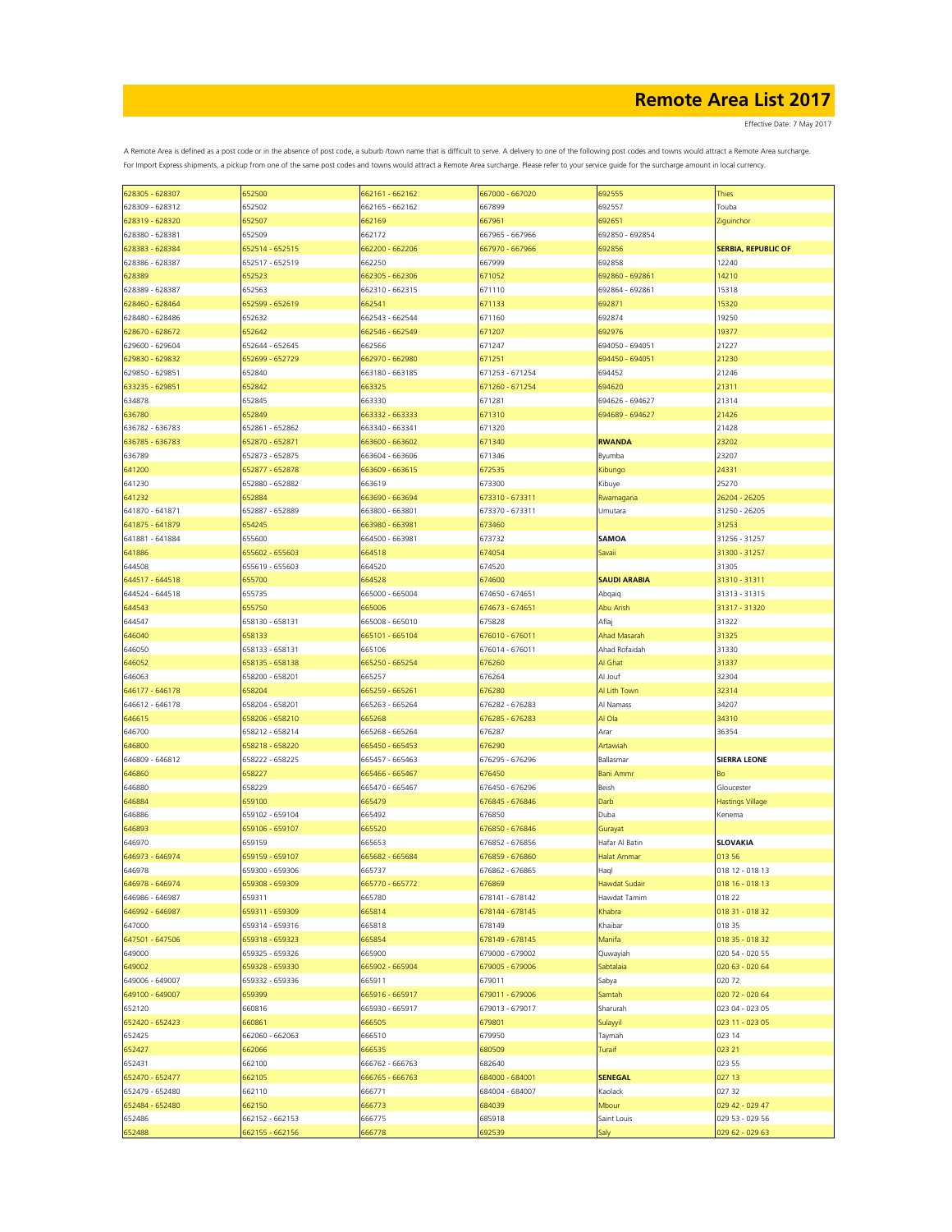Effective Date: 7 May 2017

| 628305 - 628307 | 652500          | 662161 - 662162 | 667000 - 667020 | 692555               | <b>Thies</b>               |
|-----------------|-----------------|-----------------|-----------------|----------------------|----------------------------|
| 628309 - 628312 | 652502          | 662165 - 662162 | 667899          | 692557               | Touba                      |
| 628319 - 628320 | 652507          | 662169          | 667961          | 692651               | Ziguinchor                 |
|                 |                 |                 |                 |                      |                            |
| 628380 - 628381 | 652509          | 662172          | 667965 - 667966 | 692850 - 692854      |                            |
| 628383 - 628384 | 652514 - 652515 | 662200 - 662206 | 667970 - 667966 | 692856               | <b>SERBIA, REPUBLIC OF</b> |
| 628386 - 628387 | 652517 - 652519 | 662250          | 667999          | 692858               | 12240                      |
|                 |                 |                 |                 | 692860 - 692861      |                            |
| 628389          | 652523          | 662305 - 662306 | 671052          |                      | 14210                      |
| 628389 - 628387 | 652563          | 662310 - 662315 | 671110          | 692864 - 692861      | 15318                      |
| 628460 - 628464 | 652599 - 652619 | 662541          | 671133          | 692871               | 15320                      |
| 628480 - 628486 | 652632          | 662543 - 662544 | 671160          | 692874               | 19250                      |
|                 |                 |                 |                 |                      |                            |
| 628670 - 628672 | 652642          | 662546 - 662549 | 671207          | 692976               | 19377                      |
| 629600 - 629604 | 652644 - 652645 | 662566          | 671247          | 694050 - 694051      | 21227                      |
| 629830 - 629832 | 652699 - 652729 | 662970 - 662980 | 671251          | 694450 - 694051      | 21230                      |
| 629850 - 629851 | 652840          | 663180 - 663185 | 671253 - 671254 | 694452               | 21246                      |
|                 |                 |                 |                 |                      |                            |
| 633235 - 629851 | 652842          | 663325          | 671260 - 671254 | 694620               | 21311                      |
| 634878          | 652845          | 663330          | 671281          | 694626 - 694627      | 21314                      |
| 636780          | 652849          | 663332 - 663333 | 671310          | 694689 - 694627      | 21426                      |
| 636782 - 636783 | 652861 - 652862 | 663340 - 663341 | 671320          |                      | 21428                      |
|                 |                 |                 |                 |                      |                            |
| 636785 - 636783 | 652870 - 652871 | 663600 - 663602 | 671340          | <b>RWANDA</b>        | 23202                      |
| 636789          | 652873 - 652875 | 663604 - 663606 | 671346          | Byumba               | 23207                      |
| 641200          | 652877 - 652878 | 663609 - 663615 | 672535          | Kibungo              | 24331                      |
| 641230          | 652880 - 652882 | 663619          | 673300          | Kibuye               | 25270                      |
|                 |                 |                 |                 |                      |                            |
| 641232          | 652884          | 663690 - 663694 | 673310 - 673311 | Rwamagana            | 26204 - 26205              |
| 641870 - 641871 | 652887 - 652889 | 663800 - 663801 | 673370 - 673311 | Umutara              | 31250 - 26205              |
| 641875 - 641879 | 654245          | 663980 - 663981 | 673460          |                      | 31253                      |
| 641881 - 641884 | 655600          | 664500 - 663981 | 673732          | <b>SAMOA</b>         | 31256 - 31257              |
|                 |                 |                 |                 |                      |                            |
| 641886          | 655602 - 655603 | 664518          | 674054          | Savaii               | 31300 - 31257              |
| 644508          | 655619 - 655603 | 664520          | 674520          |                      | 31305                      |
| 644517 - 644518 | 655700          | 664528          | 674600          | <b>SAUDI ARABIA</b>  | 31310 - 31311              |
|                 |                 |                 |                 |                      |                            |
| 644524 - 644518 | 655735          | 665000 - 665004 | 674650 - 674651 | Abqaiq               | 31313 - 31315              |
| 644543          | 655750          | 665006          | 674673 - 674651 | Abu Arish            | 31317 - 31320              |
| 644547          | 658130 - 658131 | 665008 - 665010 | 675828          | Aflaj                | 31322                      |
| 646040          | 658133          | 665101 - 665104 | 676010 - 676011 | Ahad Masarah         | 31325                      |
|                 |                 |                 |                 |                      |                            |
| 646050          | 658133 - 658131 | 665106          | 676014 - 676011 | Ahad Rofaidah        | 31330                      |
| 646052          | 658135 - 658138 | 665250 - 665254 | 676260          | Al Ghat              | 31337                      |
| 646063          | 658200 - 658201 | 665257          | 676264          | Al Jouf              | 32304                      |
| 646177 - 646178 | 658204          | 665259 - 665261 | 676280          | Al Lith Town         | 32314                      |
|                 |                 |                 |                 |                      |                            |
| 646612 - 646178 | 658204 - 658201 | 665263 - 665264 | 676282 - 676283 | Al Namass            | 34207                      |
| 646615          | 658206 - 658210 | 665268          | 676285 - 676283 | Al Ola               | 34310                      |
| 646700          | 658212 - 658214 | 665268 - 665264 | 676287          | Arar                 | 36354                      |
| 646800          | 658218 - 658220 | 665450 - 665453 | 676290          | Artawiah             |                            |
|                 |                 |                 |                 |                      |                            |
| 646809 - 646812 | 658222 - 658225 | 665457 - 665463 | 676295 - 676296 | Ballasmar            | <b>SIERRA LEONE</b>        |
| 646860          | 658227          | 665466 - 665467 | 676450          | <b>Bani Ammr</b>     | Bo                         |
| 646880          | 658229          | 665470 - 665467 | 676450 - 676296 | Beish                | Gloucester                 |
| 646884          | 659100          | 665479          | 676845 - 676846 | Darb                 | <b>Hastings Village</b>    |
|                 |                 |                 |                 |                      |                            |
| 646886          | 659102 - 659104 | 665492          | 676850          | Duba                 | Kenema                     |
| 646893          | 659106 - 659107 | 665520          | 676850 - 676846 | Gurayat              |                            |
| 646970          | 659159          | 665653          | 676852 - 676856 | Hafar Al Batin       | <b>SLOVAKIA</b>            |
| 646973 - 646974 | 659159 - 659107 | 665682 - 665684 | 676859 - 676860 | <b>Halat Ammar</b>   | 013 56                     |
|                 |                 |                 |                 |                      |                            |
| 646978          | 659300 - 659306 | 665737          | 676862 - 676865 | Haql                 | 018 12 - 018 13            |
| 646978 - 646974 | 659308 - 659309 | 665770 - 665772 | 676869          | <b>Hawdat Sudair</b> | 018 16 - 018 13            |
| 646986 - 646987 | 659311          | 665780          | 678141 - 678142 | Hawdat Tamim         | 018 22                     |
| 646992 - 646987 | 659311 - 659309 | 665814          | 678144 - 678145 | Khabra               | 018 31 - 018 32            |
|                 |                 |                 |                 |                      |                            |
| 647000          | 659314 - 659316 | 665818          | 678149          | Khaibar              | 018 35                     |
| 647501 - 647506 | 659318 - 659323 | 665854          | 678149 - 678145 | Manifa               | 018 35 - 018 32            |
| 649000          | 659325 - 659326 | 665900          | 679000 - 679002 | Quwayiah             | 020 54 - 020 55            |
| 649002          | 659328 - 659330 | 665902 - 665904 | 679005 - 679006 | Sabtalaia            | 020 63 - 020 64            |
|                 |                 |                 |                 |                      |                            |
| 649006 - 649007 | 659332 - 659336 | 665911          | 679011          | Sabya                | 020 72                     |
| 649100 - 649007 | 659399          | 665916 - 665917 | 679011 - 679006 | Samtah               | 020 72 - 020 64            |
| 652120          | 660816          | 665930 - 665917 | 679013 - 679017 | Sharurah             | 023 04 - 023 05            |
| 652420 - 652423 | 660861          | 666505          | 679801          | Sulayyil             | 023 11 - 023 05            |
|                 |                 |                 |                 |                      |                            |
| 652425          | 662060 - 662063 | 666510          | 679950          | Taymah               | 023 14                     |
| 652427          | 662066          | 666535          | 680509          | Turaif               | 023 21                     |
| 652431          | 662100          | 666762 - 666763 | 682640          |                      | 023 55                     |
| 652470 - 652477 | 662105          | 666765 - 666763 | 684000 - 684001 | <b>SENEGAL</b>       | 027 13                     |
|                 |                 |                 |                 |                      |                            |
| 652479 - 652480 | 662110          | 666771          | 684004 - 684007 | Kaolack              | 027 32                     |
| 652484 - 652480 | 662150          | 666773          | 684039          | Mbour                | 029 42 - 029 47            |
| 652486          | 662152 - 662153 | 666775          | 685918          | Saint Louis          | 029 53 - 029 56            |
| 652488          | 662155 - 662156 | 666778          | 692539          | 5aly                 | 029 62 - 029 63            |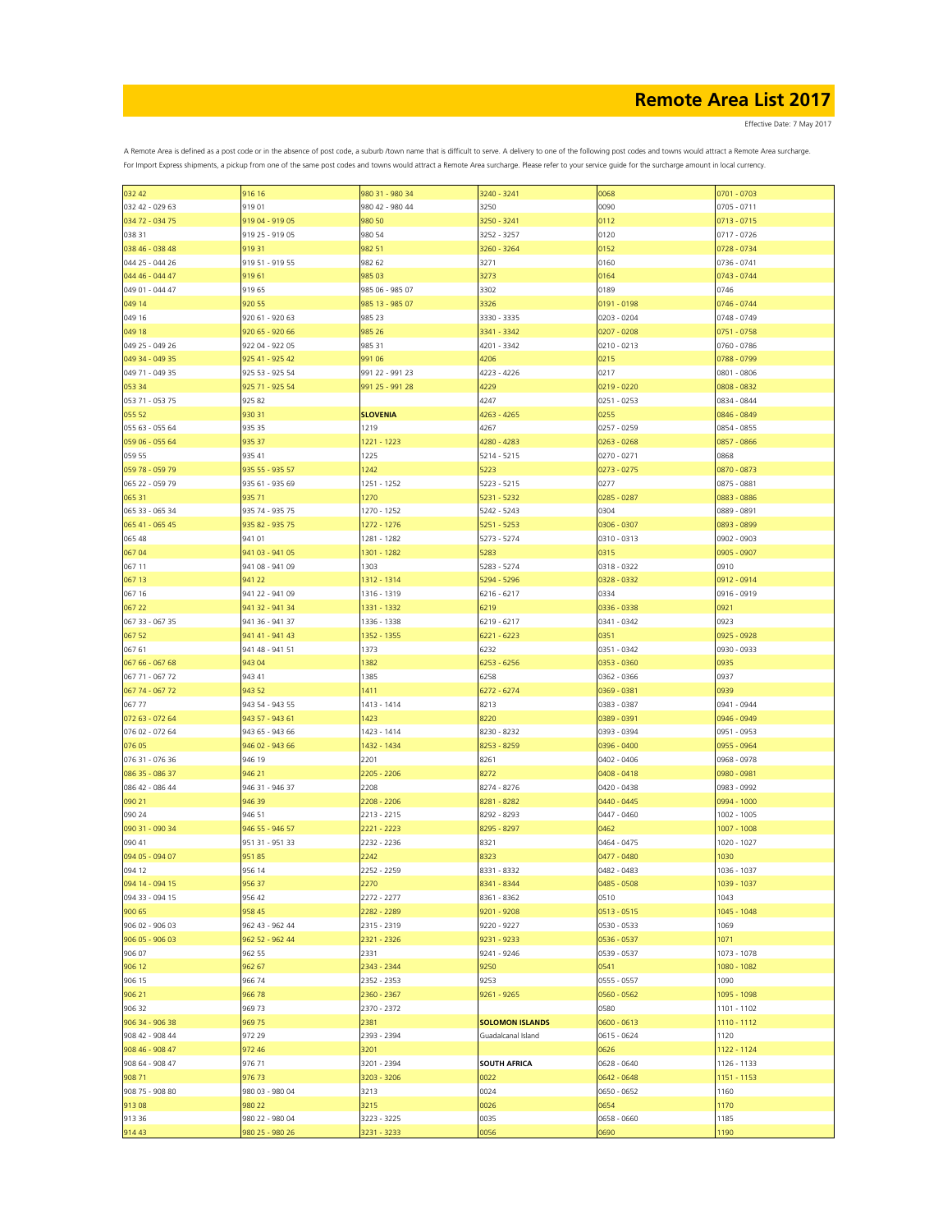Effective Date: 7 May 2017

| 032 42          | 916 16          | 980 31 - 980 34 | 3240 - 3241            | 0068          | 0701 - 0703   |
|-----------------|-----------------|-----------------|------------------------|---------------|---------------|
| 032 42 - 029 63 | 91901           | 980 42 - 980 44 | 3250                   | 0090          | 0705 - 0711   |
|                 |                 |                 |                        |               |               |
| 034 72 - 034 75 | 919 04 - 919 05 | 980 50          | 3250 - 3241            | 0112          | $0713 - 0715$ |
| 038 31          | 919 25 - 919 05 | 980 54          | 3252 - 3257            | 0120          | 0717 - 0726   |
| 038 46 - 038 48 | 919 31          | 982 51          | 3260 - 3264            | 0152          | 0728 - 0734   |
|                 |                 |                 |                        |               |               |
| 044 25 - 044 26 | 919 51 - 919 55 | 982 62          | 3271                   | 0160          | 0736 - 0741   |
| 044 46 - 044 47 | 91961           | 985 03          | 3273                   | 0164          | 0743 - 0744   |
|                 |                 |                 |                        |               |               |
| 049 01 - 044 47 | 919 65          | 985 06 - 985 07 | 3302                   | 0189          | 0746          |
| 049 14          | 920 55          | 985 13 - 985 07 | 3326                   | $0191 - 0198$ | 0746 - 0744   |
|                 |                 |                 |                        |               |               |
| 049 16          | 920 61 - 920 63 | 985 23          | 3330 - 3335            | 0203 - 0204   | 0748 - 0749   |
| 049 18          | 920 65 - 920 66 | 985 26          | 3341 - 3342            | $0207 - 0208$ | 0751 - 0758   |
|                 |                 |                 |                        |               |               |
| 049 25 - 049 26 | 922 04 - 922 05 | 985 31          | 4201 - 3342            | $0210 - 0213$ | 0760 - 0786   |
| 049 34 - 049 35 | 925 41 - 925 42 | 991 06          | 4206                   | 0215          | 0788 - 0799   |
| 049 71 - 049 35 | 925 53 - 925 54 | 991 22 - 991 23 | 4223 - 4226            | 0217          | 0801 - 0806   |
|                 |                 |                 |                        |               |               |
| 053 34          | 925 71 - 925 54 | 991 25 - 991 28 | 4229                   | 0219 - 0220   | 0808 - 0832   |
| 053 71 - 053 75 | 925 82          |                 | 4247                   | 0251 - 0253   | 0834 - 0844   |
|                 |                 |                 |                        |               |               |
| 055 52          | 93031           | <b>SLOVENIA</b> | 4263 - 4265            | 0255          | 0846 - 0849   |
| 055 63 - 055 64 | 935 35          | 1219            | 4267                   | 0257 - 0259   | 0854 - 0855   |
|                 |                 |                 |                        |               |               |
| 059 06 - 055 64 | 935 37          | 1221 - 1223     | 4280 - 4283            | $0263 - 0268$ | 0857 - 0866   |
| 059 55          | 935 41          | 1225            | 5214 - 5215            | 0270 - 0271   | 0868          |
|                 |                 |                 |                        |               |               |
| 059 78 - 059 79 | 935 55 - 935 57 | 1242            | 5223                   | $0273 - 0275$ | 0870 - 0873   |
| 065 22 - 059 79 | 935 61 - 935 69 | 1251 - 1252     | 5223 - 5215            | 0277          | 0875 - 0881   |
|                 |                 |                 |                        |               |               |
| 065 31          | 935 71          | 1270            | 5231 - 5232            | 0285 - 0287   | 0883 - 0886   |
| 065 33 - 065 34 | 935 74 - 935 75 | 1270 - 1252     | 5242 - 5243            | 0304          | 0889 - 0891   |
|                 |                 |                 |                        |               |               |
| 065 41 - 065 45 | 935 82 - 935 75 | 1272 - 1276     | 5251 - 5253            | 0306 - 0307   | 0893 - 0899   |
| 065 48          | 941 01          | 1281 - 1282     | 5273 - 5274            | 0310 - 0313   | 0902 - 0903   |
|                 | 941 03 - 941 05 |                 |                        |               |               |
| 067 04          |                 | 1301 - 1282     | 5283                   | 0315          | 0905 - 0907   |
| 067 11          | 941 08 - 941 09 | 1303            | 5283 - 5274            | 0318 - 0322   | 0910          |
|                 |                 |                 |                        | 0328 - 0332   |               |
| 067 13          | 941 22          | 1312 - 1314     | 5294 - 5296            |               | 0912 - 0914   |
| 067 16          | 941 22 - 941 09 | 1316 - 1319     | 6216 - 6217            | 0334          | 0916 - 0919   |
| 067 22          | 941 32 - 941 34 | 1331 - 1332     | 6219                   | 0336 - 0338   | 0921          |
|                 |                 |                 |                        |               |               |
| 067 33 - 067 35 | 941 36 - 941 37 | 1336 - 1338     | 6219 - 6217            | 0341 - 0342   | 0923          |
| 067 52          | 941 41 - 941 43 | 1352 - 1355     | $6221 - 6223$          | 0351          | 0925 - 0928   |
|                 |                 |                 |                        |               |               |
| 067 61          | 941 48 - 941 51 | 1373            | 6232                   | 0351 - 0342   | 0930 - 0933   |
| 067 66 - 067 68 | 943 04          | 1382            | 6253 - 6256            | 0353 - 0360   | 0935          |
|                 |                 |                 |                        |               |               |
| 067 71 - 067 72 | 943 41          | 1385            | 6258                   | 0362 - 0366   | 0937          |
| 067 74 - 067 72 | 943 52          | 1411            | 6272 - 6274            | 0369 - 0381   | 0939          |
|                 |                 |                 |                        |               |               |
| 06777           | 943 54 - 943 55 | 1413 - 1414     | 8213                   | 0383 - 0387   | 0941 - 0944   |
| 072 63 - 072 64 | 943 57 - 943 61 | 1423            | 8220                   | 0389 - 0391   | 0946 - 0949   |
|                 |                 |                 |                        |               |               |
| 076 02 - 072 64 | 943 65 - 943 66 | 1423 - 1414     | 8230 - 8232            | 0393 - 0394   | 0951 - 0953   |
| 076 05          | 946 02 - 943 66 | 1432 - 1434     | 8253 - 8259            | 0396 - 0400   | 0955 - 0964   |
|                 |                 |                 |                        |               |               |
| 076 31 - 076 36 | 946 19          | 2201            | 8261                   | 0402 - 0406   | 0968 - 0978   |
| 086 35 - 086 37 | 946 21          | 2205 - 2206     | 8272                   | 0408 - 0418   | 0980 - 0981   |
|                 |                 |                 |                        |               |               |
| 086 42 - 086 44 | 946 31 - 946 37 | 2208            | 8274 - 8276            | 0420 - 0438   | 0983 - 0992   |
| 090 21          | 946 39          | 2208 - 2206     | 8281 - 8282            | 0440 - 0445   | 0994 - 1000   |
| 090 24          | 946 51          | 2213 - 2215     | 8292 - 8293            | 0447 - 0460   | $1002 - 1005$ |
|                 |                 |                 |                        |               |               |
| 090 31 - 090 34 | 946 55 - 946 57 | 2221 - 2223     | 8295 - 8297            | 0462          | $1007 - 1008$ |
| 090 41          | 951 31 - 951 33 | 2232 - 2236     | 8321                   | 0464 - 0475   | 1020 - 1027   |
|                 |                 |                 |                        |               |               |
| 094 05 - 094 07 | 95185           | 2242            | 8323                   | 0477 - 0480   | 1030          |
| 094 12          | 956 14          | 2252 - 2259     | 8331 - 8332            | 0482 - 0483   | 1036 - 1037   |
|                 |                 |                 |                        |               |               |
| 094 14 - 094 15 | 956 37          | 2270            | 8341 - 8344            | 0485 - 0508   | 1039 - 1037   |
| 094 33 - 094 15 | 956 42          | 2272 - 2277     | 8361 - 8362            | 0510          | 1043          |
|                 |                 | 2282 - 2289     | 9201 - 9208            |               |               |
| 900 65          | 958 45          |                 |                        | 0513 - 0515   | 1045 - 1048   |
| 906 02 - 906 03 | 962 43 - 962 44 | 2315 - 2319     | 9220 - 9227            | 0530 - 0533   | 1069          |
| 906 05 - 906 03 | 962 52 - 962 44 | 2321 - 2326     | 9231 - 9233            | 0536 - 0537   | 1071          |
|                 |                 |                 |                        |               |               |
| 906 07          | 962 55          | 2331            | 9241 - 9246            | 0539 - 0537   | 1073 - 1078   |
| 906 12          | 962 67          | 2343 - 2344     | 9250                   | 0541          | 1080 - 1082   |
|                 |                 |                 |                        |               |               |
| 906 15          | 966 74          | 2352 - 2353     | 9253                   | 0555 - 0557   | 1090          |
| 906 21          | 966 78          | 2360 - 2367     | 9261 - 9265            | 0560 - 0562   | 1095 - 1098   |
|                 |                 |                 |                        |               |               |
| 906 32          | 96973           | 2370 - 2372     |                        | 0580          | $1101 - 1102$ |
| 906 34 - 906 38 | 969 75          | 2381            | <b>SOLOMON ISLANDS</b> | $0600 - 0613$ | 1110 - 1112   |
|                 |                 |                 |                        |               |               |
| 908 42 - 908 44 | 972 29          | 2393 - 2394     | Guadalcanal Island     | 0615 - 0624   | 1120          |
| 908 46 - 908 47 | 972 46          | 3201            |                        | 0626          | 1122 - 1124   |
|                 |                 |                 |                        |               |               |
| 908 64 - 908 47 | 976 71          | 3201 - 2394     | <b>SOUTH AFRICA</b>    | 0628 - 0640   | 1126 - 1133   |
| 908 71          | 97673           | 3203 - 3206     | 0022                   | 0642 - 0648   | 1151 - 1153   |
|                 |                 |                 |                        |               |               |
| 908 75 - 908 80 | 980 03 - 980 04 | 3213            | 0024                   | 0650 - 0652   | 1160          |
| 91308           | 980 22          | 3215            | 0026                   | 0654          | 1170          |
| 913 36          | 980 22 - 980 04 | 3223 - 3225     | 0035                   | 0658 - 0660   | 1185          |
|                 |                 |                 |                        |               |               |
| 914 43          | 980 25 - 980 26 | 3231 - 3233     | 0056                   | 0690          | 1190          |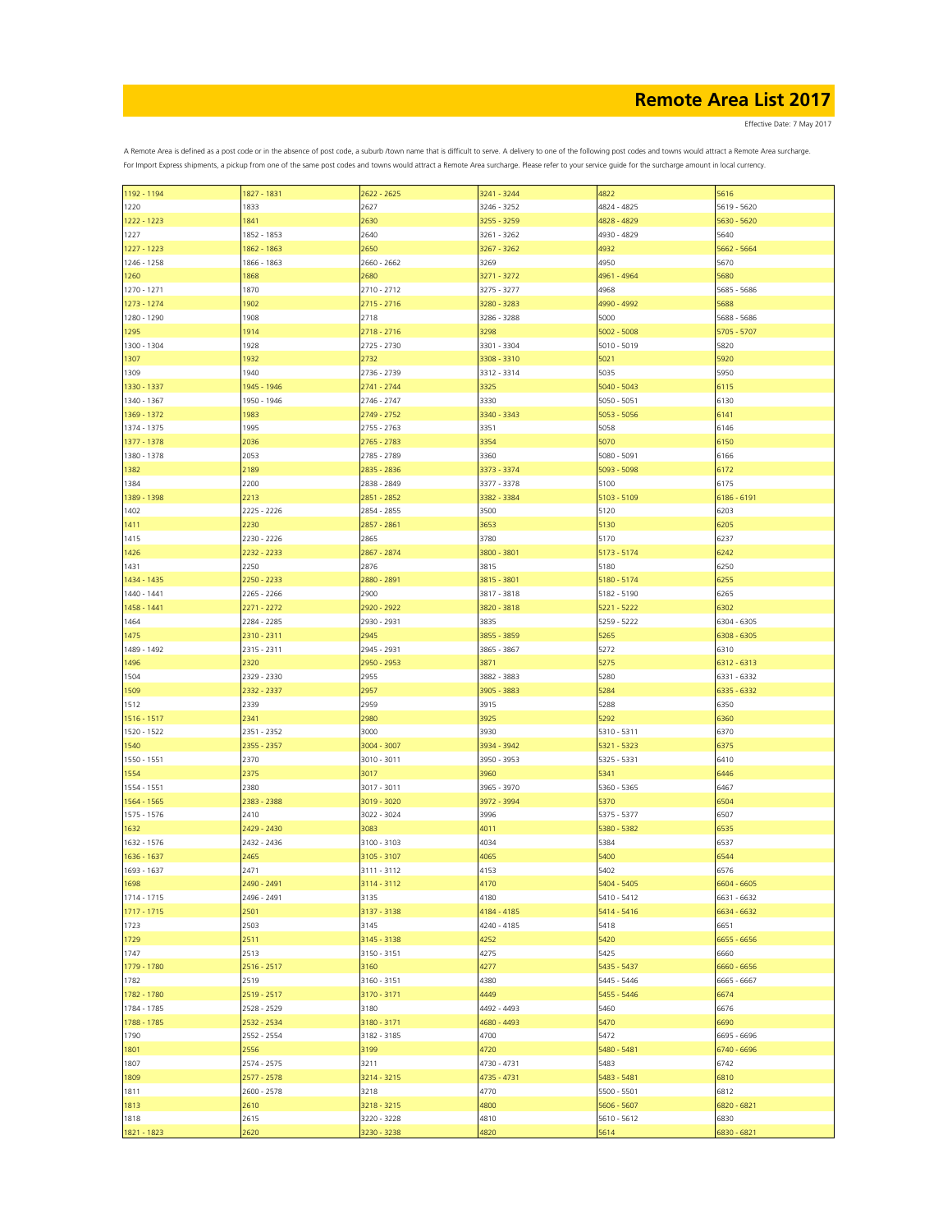Effective Date: 7 May 2017

| 1192 - 1194 | 1827 - 1831         | 2622 - 2625                | 3241 - 3244 | 4822          | 5616        |
|-------------|---------------------|----------------------------|-------------|---------------|-------------|
| 1220        | 1833                | 2627                       | 3246 - 3252 | 4824 - 4825   | 5619 - 5620 |
| 1222 - 1223 | 1841                | 2630                       | 3255 - 3259 | 4828 - 4829   | 5630 - 5620 |
| 1227        | 1852 - 1853         | 2640                       | 3261 - 3262 | 4930 - 4829   | 5640        |
| 1227 - 1223 | 1862 - 1863         | 2650                       | 3267 - 3262 | 4932          | 5662 - 5664 |
| 1246 - 1258 | 1866 - 1863         | 2660 - 2662                | 3269        | 4950          | 5670        |
|             |                     |                            |             |               |             |
| 1260        | 1868                | 2680                       | 3271 - 3272 | 4961 - 4964   | 5680        |
| 1270 - 1271 | 1870                | $2710 - 2712$              | 3275 - 3277 | 4968          | 5685 - 5686 |
| 1273 - 1274 | 1902                | $2715 - 2716$              | 3280 - 3283 | 4990 - 4992   | 5688        |
| 1280 - 1290 | 1908                | 2718                       | 3286 - 3288 | 5000          | 5688 - 5686 |
| 1295        | 1914                | 2718 - 2716                | 3298        | $5002 - 5008$ | 5705 - 5707 |
| 1300 - 1304 | 1928                | 2725 - 2730                | 3301 - 3304 | 5010 - 5019   | 5820        |
|             |                     |                            |             |               |             |
| 1307        | 1932                | 2732                       | 3308 - 3310 | 5021          | 5920        |
| 1309        | 1940                | 2736 - 2739                | 3312 - 3314 | 5035          | 5950        |
| 1330 - 1337 | 1945 - 1946         | 2741 - 2744                | 3325        | 5040 - 5043   | 6115        |
| 1340 - 1367 | 1950 - 1946         | 2746 - 2747                | 3330        | 5050 - 5051   | 6130        |
| 1369 - 1372 | 1983                | 2749 - 2752                | 3340 - 3343 | 5053 - 5056   | 6141        |
| 1374 - 1375 | 1995                | 2755 - 2763                | 3351        | 5058          | 6146        |
|             |                     |                            |             |               |             |
| 1377 - 1378 | 2036                | 2765 - 2783                | 3354        | 5070          | 6150        |
| 1380 - 1378 | 2053                | 2785 - 2789                | 3360        | 5080 - 5091   | 6166        |
| 1382        | 2189                | 2835 - 2836                | 3373 - 3374 | 5093 - 5098   | 6172        |
| 1384        | 2200                | 2838 - 2849                | 3377 - 3378 | 5100          | 6175        |
| 1389 - 1398 | 2213                | 2851 - 2852                | 3382 - 3384 | 5103 - 5109   | 6186 - 6191 |
| 1402        | 2225 - 2226         | 2854 - 2855                | 3500        | 5120          | 6203        |
|             |                     |                            |             |               |             |
| 1411        | 2230                | 2857 - 2861                | 3653        | 5130          | 6205        |
| 1415        | 2230 - 2226         | 2865                       | 3780        | 5170          | 6237        |
| 1426        | 2232 - 2233         | 2867 - 2874                | 3800 - 3801 | 5173 - 5174   | 6242        |
| 1431        | 2250                | 2876                       | 3815        | 5180          | 6250        |
| 1434 - 1435 | 2250 - 2233         | 2880 - 2891                | 3815 - 3801 | 5180 - 5174   | 6255        |
| 1440 - 1441 | 2265 - 2266         | 2900                       | 3817 - 3818 | 5182 - 5190   | 6265        |
|             |                     |                            |             |               |             |
| 1458 - 1441 | 2271 - 2272         | 2920 - 2922                | 3820 - 3818 | $5221 - 5222$ | 6302        |
| 1464        | 2284 - 2285         | 2930 - 2931                | 3835        | 5259 - 5222   | 6304 - 6305 |
| 1475        | 2310 - 2311         | 2945                       | 3855 - 3859 | 5265          | 6308 - 6305 |
| 1489 - 1492 | 2315 - 2311         | 2945 - 2931                | 3865 - 3867 | 5272          | 6310        |
| 1496        | 2320                | 2950 - 2953                | 3871        | 5275          | 6312 - 6313 |
| 1504        | 2329 - 2330         | 2955                       | 3882 - 3883 | 5280          | 6331 - 6332 |
|             |                     |                            |             |               |             |
| 1509        | 2332 - 2337         | 2957                       | 3905 - 3883 | 5284          | 6335 - 6332 |
| 1512        | 2339                | 2959                       | 3915        | 5288          | 6350        |
| 1516 - 1517 | 2341                | 2980                       | 3925        | 5292          | 6360        |
| 1520 - 1522 | 2351 - 2352         | 3000                       | 3930        | 5310 - 5311   | 6370        |
| 1540        | 2355 - 2357         | 3004 - 3007                | 3934 - 3942 | 5321 - 5323   | 6375        |
|             |                     |                            |             |               |             |
| 1550 - 1551 | 2370                | 3010 - 3011                | 3950 - 3953 | 5325 - 5331   | 6410        |
| 1554        | 2375                | 3017                       | 3960        | 5341          | 6446        |
| 1554 - 1551 | 2380                | 3017 - 3011                | 3965 - 3970 | 5360 - 5365   | 6467        |
| 1564 - 1565 | 2383 - 2388         | 3019 - 3020                | 3972 - 3994 | 5370          | 6504        |
| 1575 - 1576 | 2410                | 3022 - 3024                | 3996        | 5375 - 5377   | 6507        |
| 1632        | 2429 - 2430         | 3083                       | 4011        | 5380 - 5382   | 6535        |
|             |                     |                            | 4034        | 5384          | 6537        |
| 1632 - 1576 | 2432 - 2436<br>2465 | 3100 - 3103<br>3105 - 3107 | 4065        | 5400          | 6544        |
| 1636 - 1637 |                     |                            |             |               |             |
| 1693 - 1637 | 2471                | 3111 - 3112                | 4153        | 5402          | 6576        |
| 1698        | 2490 - 2491         | 3114 - 3112                | 4170        | 5404 - 5405   | 6604 - 6605 |
| 1714 - 1715 | 2496 - 2491         | 3135                       | 4180        | 5410 - 5412   | 6631 - 6632 |
| 1717 - 1715 | 2501                | 3137 - 3138                | 4184 - 4185 | 5414 - 5416   | 6634 - 6632 |
| 1723        | 2503                | 3145                       | 4240 - 4185 | 5418          | 6651        |
| 1729        | 2511                | 3145 - 3138                | 4252        | 5420          | 6655 - 6656 |
|             |                     |                            |             |               |             |
| 1747        | 2513                | 3150 - 3151                | 4275        | 5425          | 6660        |
| 1779 - 1780 | 2516 - 2517         | 3160                       | 4277        | 5435 - 5437   | 6660 - 6656 |
| 1782        | 2519                | 3160 - 3151                | 4380        | 5445 - 5446   | 6665 - 6667 |
| 1782 - 1780 | 2519 - 2517         | 3170 - 3171                | 4449        | 5455 - 5446   | 6674        |
| 1784 - 1785 | 2528 - 2529         | 3180                       | 4492 - 4493 | 5460          | 6676        |
| 1788 - 1785 | 2532 - 2534         | 3180 - 3171                | 4680 - 4493 | 5470          | 6690        |
|             |                     |                            |             |               |             |
| 1790        | 2552 - 2554         | 3182 - 3185                | 4700        | 5472          | 6695 - 6696 |
| 1801        | 2556                | 3199                       | 4720        | 5480 - 5481   | 6740 - 6696 |
| 1807        | 2574 - 2575         | 3211                       | 4730 - 4731 | 5483          | 6742        |
| 1809        | 2577 - 2578         | 3214 - 3215                | 4735 - 4731 | 5483 - 5481   | 6810        |
| 1811        | 2600 - 2578         | 3218                       | 4770        | 5500 - 5501   | 6812        |
| 1813        | 2610                | 3218 - 3215                | 4800        | 5606 - 5607   | 6820 - 6821 |
|             |                     |                            |             |               |             |
| 1818        | 2615                | 3220 - 3228                | 4810        | 5610 - 5612   | 6830        |
| 1821 - 1823 | 2620                | 3230 - 3238                | 4820        | 5614          | 6830 - 6821 |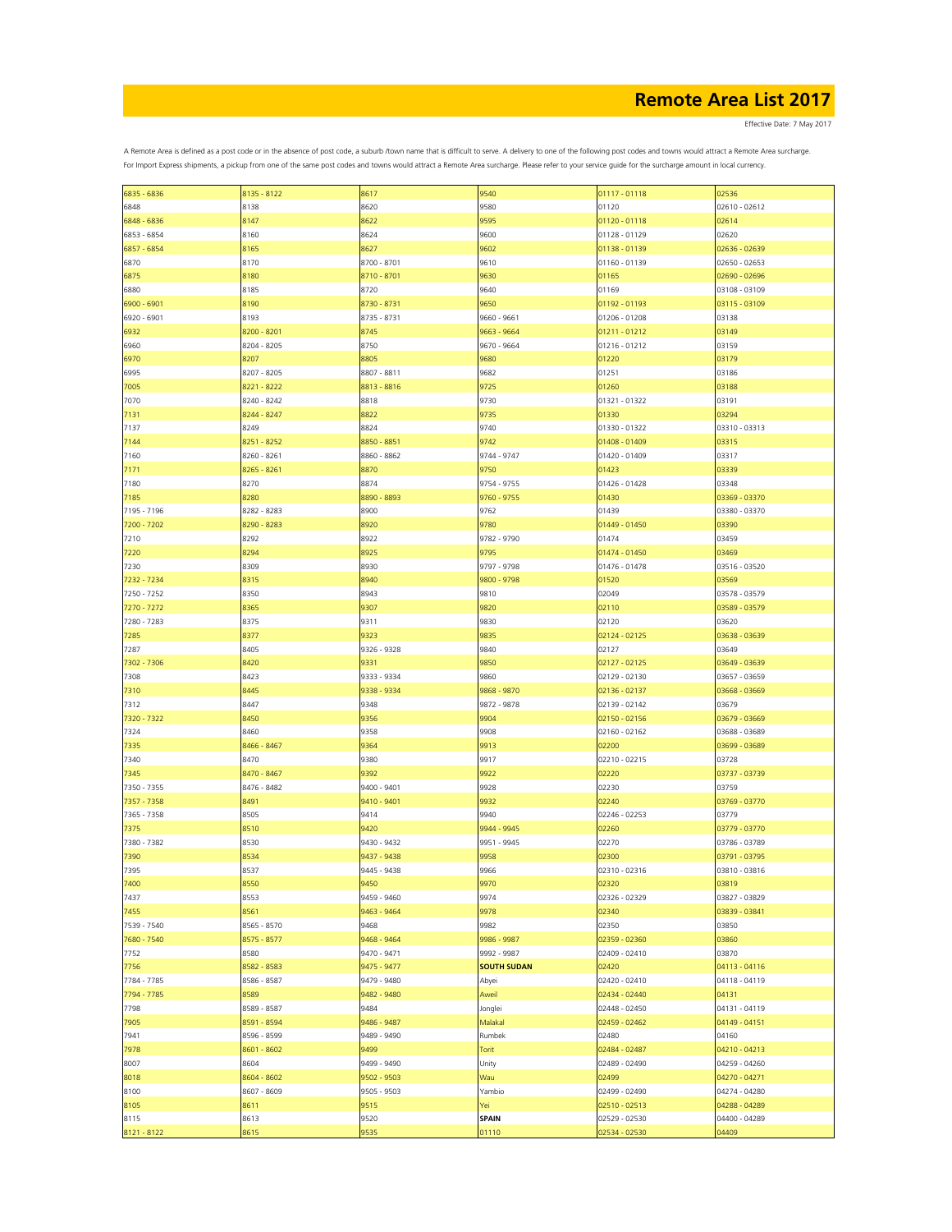Effective Date: 7 May 2017

| 6835 - 6836         | 8135 - 8122  | 8617         | 9540                  | 01117 - 01118                  | 02536                  |
|---------------------|--------------|--------------|-----------------------|--------------------------------|------------------------|
| 6848                | 8138         | 8620         | 9580                  | 01120                          | 02610 - 02612          |
|                     |              |              |                       |                                |                        |
| 6848 - 6836         | 8147         | 8622         | 9595                  | 01120 - 01118                  | 02614                  |
| 6853 - 6854         | 8160         | 8624         | 9600                  | 01128 - 01129                  | 02620                  |
| 6857 - 6854         | 8165         | 8627         | 9602                  | 01138 - 01139                  | 02636 - 02639          |
|                     |              |              |                       |                                |                        |
| 6870                | 8170         | 8700 - 8701  | 9610                  | 01160 - 01139                  | 02650 - 02653          |
| 6875                | 8180         | 8710 - 8701  | 9630                  | 01165                          | 02690 - 02696          |
|                     |              |              |                       |                                |                        |
| 6880                | 8185         | 8720         | 9640                  | 01169                          | 03108 - 03109          |
| 6900 - 6901         | 8190         | 8730 - 8731  | 9650                  | 01192 - 01193                  | 03115 - 03109          |
| 6920 - 6901         | 8193         | 8735 - 8731  | 9660 - 9661           | 01206 - 01208                  | 03138                  |
|                     |              |              |                       |                                |                        |
| 6932                | 8200 - 8201  | 8745         | 9663 - 9664           | 01211 - 01212                  | 03149                  |
| 6960                | 8204 - 8205  | 8750         | 9670 - 9664           | 01216 - 01212                  | 03159                  |
|                     |              |              |                       |                                |                        |
| 6970                | 8207         | 8805         | 9680                  | 01220                          | 03179                  |
| 6995                | 8207 - 8205  | 8807 - 8811  | 9682                  | 01251                          | 03186                  |
| 7005                | 8221 - 8222  | 8813 - 8816  | 9725                  | 01260                          | 03188                  |
|                     |              |              |                       |                                |                        |
| 7070                | 8240 - 8242  | 8818         | 9730                  | 01321 - 01322                  | 03191                  |
| 7131                | 8244 - 8247  | 8822         | 9735                  | 01330                          | 03294                  |
|                     |              |              |                       |                                |                        |
| 7137                | 8249         | 8824         | 9740                  | 01330 - 01322                  | 03310 - 03313          |
| 7144                | 8251 - 8252  | 8850 - 8851  | 9742                  | 01408 - 01409                  | 03315                  |
| 7160                | 8260 - 8261  | 8860 - 8862  | 9744 - 9747           | 01420 - 01409                  | 03317                  |
|                     |              |              |                       |                                |                        |
| 7171                | 8265 - 8261  | 8870         | 9750                  | 01423                          | 03339                  |
| 7180                | 8270         | 8874         | 9754 - 9755           | 01426 - 01428                  | 03348                  |
|                     |              |              |                       |                                |                        |
| 7185                | 8280         | 8890 - 8893  | 9760 - 9755           | 01430                          | 03369 - 03370          |
| 7195 - 7196         | 8282 - 8283  | 8900         | 9762                  | 01439                          | 03380 - 03370          |
| 7200 - 7202         | 8290 - 8283  | 8920         | 9780                  | 01449 - 01450                  | 03390                  |
|                     |              |              |                       |                                |                        |
| 7210                | 8292         | 8922         | 9782 - 9790           | 01474                          | 03459                  |
| 7220                | 8294         | 8925         | 9795                  | 01474 - 01450                  | 03469                  |
|                     |              |              |                       |                                |                        |
| 7230                | 8309         | 8930         | 9797 - 9798           | 01476 - 01478                  | 03516 - 03520          |
| 7232 - 7234         | 8315         | 8940         | 9800 - 9798           | 01520                          | 03569                  |
| 7250 - 7252         | 8350         | 8943         | 9810                  | 02049                          | 03578 - 03579          |
|                     |              |              |                       |                                |                        |
| 7270 - 7272         | 8365         | 9307         | 9820                  | 02110                          | 03589 - 03579          |
| 7280 - 7283         | 8375         | 9311         | 9830                  | 02120                          | 03620                  |
|                     |              |              |                       |                                |                        |
| 7285                | 8377         | 9323         | 9835                  | 02124 - 02125                  | 03638 - 03639          |
| 7287                | 8405         | 9326 - 9328  | 9840                  | 02127                          | 03649                  |
| 7302 - 7306         | 8420         | 9331         | 9850                  | 02127 - 02125                  | 03649 - 03639          |
|                     |              |              |                       |                                |                        |
| 7308                | 8423         | 9333 - 9334  | 9860                  | 02129 - 02130                  | 03657 - 03659          |
| 7310                | 8445         | 9338 - 9334  | 9868 - 9870           | 02136 - 02137                  | 03668 - 03669          |
|                     |              |              |                       |                                |                        |
| 7312                | 8447         | 9348         | 9872 - 9878           | 02139 - 02142                  | 03679                  |
| 7320 - 7322         | 8450         | 9356         | 9904                  | 02150 - 02156                  | 03679 - 03669          |
| 7324                | 8460         | 9358         | 9908                  | 02160 - 02162                  | 03688 - 03689          |
|                     |              |              |                       |                                |                        |
| 7335                | 8466 - 8467  | 9364         | 9913                  | 02200                          | 03699 - 03689          |
| 7340                | 8470         | 9380         | 9917                  | 02210 - 02215                  | 03728                  |
|                     |              |              |                       |                                |                        |
| 7345                | 8470 - 8467  | 9392         | 9922                  | 02220                          | 03737 - 03739          |
| 7350 - 7355         | 8476 - 8482  | 9400 - 9401  | 9928                  | 02230                          | 03759                  |
| 7357 - 7358         | 8491         | 9410 - 9401  | 9932                  | 02240                          | 03769 - 03770          |
|                     |              |              |                       |                                |                        |
| 7365 - 7358         | 8505         | 9414         | 9940                  | 02246 - 02253                  | 03779                  |
| 7375                | 8510         | 9420         | 9944 - 9945           | 02260                          | 03779 - 03770          |
|                     |              |              |                       |                                |                        |
| 7380 - 7382         | 8530         | 9430 - 9432  | 9951 - 9945           | 02270                          | 03786 - 03789          |
| 7390                | 8534         | 9437 - 9438  | 9958                  | 02300                          | 03791 - 03795          |
| 7395                | 8537         | 9445 - 9438  | 9966                  | 02310 - 02316                  | 03810 - 03816          |
|                     |              |              |                       |                                |                        |
| 7400                | 8550         | 9450         | 9970                  | 02320                          | 03819                  |
| 7437                | 8553         | 9459 - 9460  | 9974                  | 02326 - 02329                  | 03827 - 03829          |
| 7455                | 8561         | 9463 - 9464  | 9978                  | 02340                          | 03839 - 03841          |
|                     |              |              |                       |                                |                        |
| 7539 - 7540         | 8565 - 8570  | 9468         | 9982                  | 02350                          | 03850                  |
| 7680 - 7540         | 8575 - 8577  | 9468 - 9464  | 9986 - 9987           | 02359 - 02360                  | 03860                  |
|                     |              |              |                       |                                |                        |
| 7752                | 8580         | 9470 - 9471  | 9992 - 9987           | 02409 - 02410                  | 03870                  |
| 7756                | 8582 - 8583  | 9475 - 9477  | <b>SOUTH SUDAN</b>    | 02420                          | 04113 - 04116          |
| 7784 - 7785         | 8586 - 8587  | 9479 - 9480  | Abyei                 | 02420 - 02410                  | 04118 - 04119          |
|                     |              |              |                       |                                |                        |
| 7794 - 7785         | 8589         | 9482 - 9480  | Aweil                 | 02434 - 02440                  | 04131                  |
| 7798                | 8589 - 8587  | 9484         | Jonglei               | 02448 - 02450                  | 04131 - 04119          |
|                     |              |              |                       |                                |                        |
| 7905                | 8591 - 8594  | 9486 - 9487  | Malakal               | 02459 - 02462                  | 04149 - 04151          |
| 7941                | 8596 - 8599  | 9489 - 9490  | Rumbek                | 02480                          | 04160                  |
| 7978                | 8601 - 8602  | 9499         | Torit                 | 02484 - 02487                  | 04210 - 04213          |
|                     |              |              |                       |                                |                        |
| 8007                | 8604         | 9499 - 9490  | Unity                 | 02489 - 02490                  | 04259 - 04260          |
| 8018                | 8604 - 8602  | 9502 - 9503  | Wau                   | 02499                          | 04270 - 04271          |
| 8100                |              |              |                       |                                |                        |
|                     |              |              |                       |                                |                        |
|                     | 8607 - 8609  | 9505 - 9503  | Yambio                | 02499 - 02490                  | 04274 - 04280          |
| 8105                | 8611         | 9515         | Yei                   | 02510 - 02513                  | 04288 - 04289          |
|                     |              |              |                       |                                |                        |
| 8115<br>8121 - 8122 | 8613<br>8615 | 9520<br>9535 | <b>SPAIN</b><br>01110 | 02529 - 02530<br>02534 - 02530 | 04400 - 04289<br>04409 |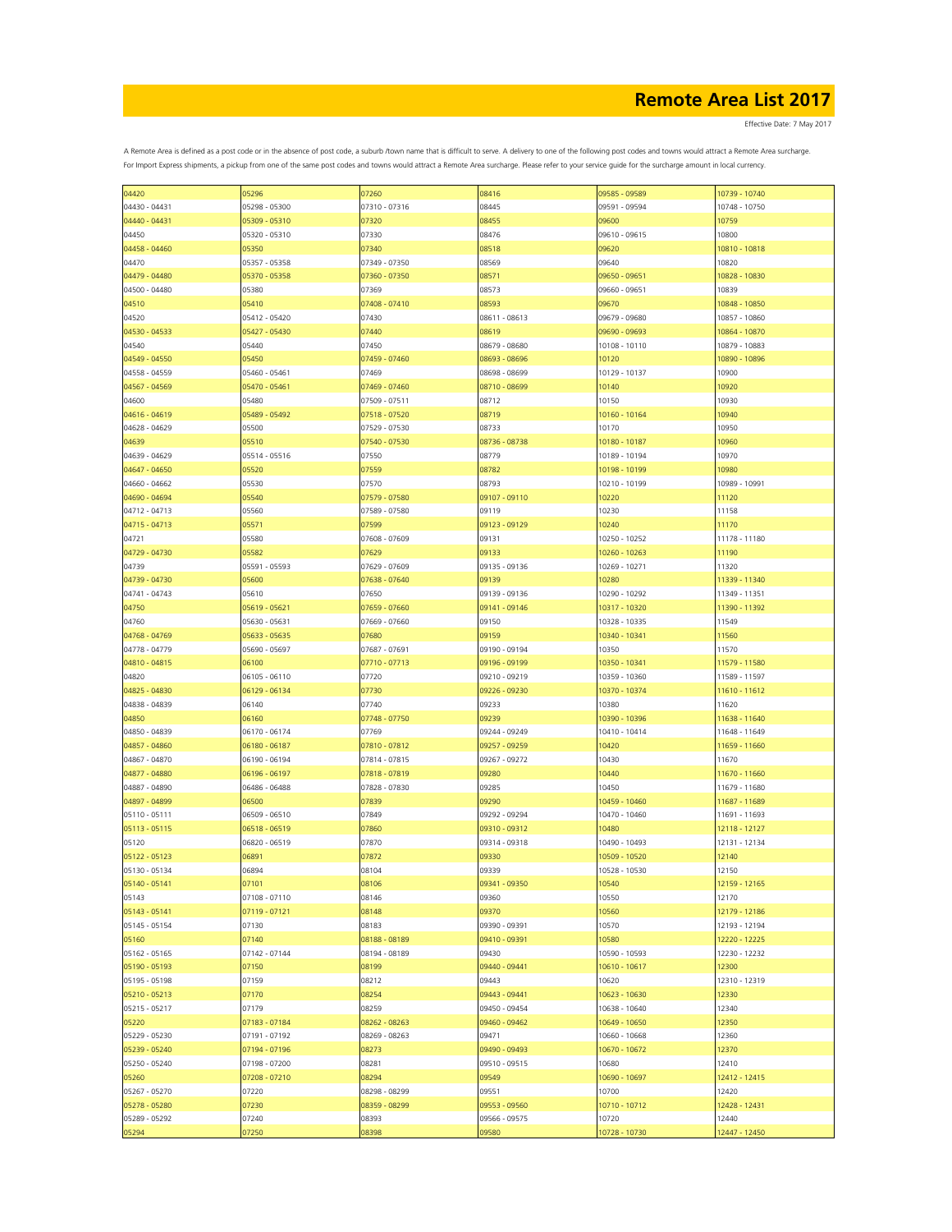Effective Date: 7 May 2017

| 04420         | 05296         | 07260         | 08416         | 09585 - 09589 | 10739 - 10740 |
|---------------|---------------|---------------|---------------|---------------|---------------|
| 04430 - 04431 | 05298 - 05300 | 07310 - 07316 | 08445         | 09591 - 09594 | 10748 - 10750 |
|               |               |               |               |               |               |
| 04440 - 04431 | 05309 - 05310 | 07320         | 08455         | 09600         | 10759         |
| 04450         | 05320 - 05310 | 07330         | 08476         | 09610 - 09615 | 10800         |
| 04458 - 04460 | 05350         | 07340         | 08518         | 09620         | 10810 - 10818 |
|               |               |               |               |               |               |
| 04470         | 05357 - 05358 | 07349 - 07350 | 08569         | 09640         | 10820         |
| 04479 - 04480 | 05370 - 05358 | 07360 - 07350 | 08571         | 09650 - 09651 | 10828 - 10830 |
| 04500 - 04480 | 05380         | 07369         | 08573         | 09660 - 09651 | 10839         |
|               |               |               |               |               |               |
| 04510         | 05410         | 07408 - 07410 | 08593         | 09670         | 10848 - 10850 |
| 04520         | 05412 - 05420 | 07430         | 08611 - 08613 | 09679 - 09680 | 10857 - 10860 |
| 04530 - 04533 | 05427 - 05430 | 07440         | 08619         | 09690 - 09693 | 10864 - 10870 |
|               |               |               |               |               |               |
| 04540         | 05440         | 07450         | 08679 - 08680 | 10108 - 10110 | 10879 - 10883 |
| 04549 - 04550 | 05450         | 07459 - 07460 | 08693 - 08696 | 10120         | 10890 - 10896 |
| 04558 - 04559 | 05460 - 05461 | 07469         | 08698 - 08699 | 10129 - 10137 | 10900         |
|               |               |               |               |               |               |
| 04567 - 04569 | 05470 - 05461 | 07469 - 07460 | 08710 - 08699 | 10140         | 10920         |
| 04600         | 05480         | 07509 - 07511 | 08712         | 10150         | 10930         |
| 04616 - 04619 | 05489 - 05492 | 07518 - 07520 | 08719         | 10160 - 10164 | 10940         |
| 04628 - 04629 | 05500         | 07529 - 07530 | 08733         | 10170         | 10950         |
|               |               |               |               |               |               |
| 04639         | 05510         | 07540 - 07530 | 08736 - 08738 | 10180 - 10187 | 10960         |
| 04639 - 04629 | 05514 - 05516 | 07550         | 08779         | 10189 - 10194 | 10970         |
| 04647 - 04650 | 05520         | 07559         | 08782         | 10198 - 10199 | 10980         |
|               |               |               |               |               |               |
| 04660 - 04662 | 05530         | 07570         | 08793         | 10210 - 10199 | 10989 - 10991 |
| 04690 - 04694 | 05540         | 07579 - 07580 | 09107 - 09110 | 10220         | 11120         |
| 04712 - 04713 | 05560         | 07589 - 07580 | 09119         | 10230         | 11158         |
|               |               |               |               |               |               |
| 04715 - 04713 | 05571         | 07599         | 09123 - 09129 | 10240         | 11170         |
| 04721         | 05580         | 07608 - 07609 | 09131         | 10250 - 10252 | 11178 - 11180 |
| 04729 - 04730 | 05582         | 07629         | 09133         | 10260 - 10263 | 11190         |
|               |               |               |               |               |               |
| 04739         | 05591 - 05593 | 07629 - 07609 | 09135 - 09136 | 10269 - 10271 | 11320         |
| 04739 - 04730 | 05600         | 07638 - 07640 | 09139         | 10280         | 11339 - 11340 |
| 04741 - 04743 | 05610         | 07650         | 09139 - 09136 | 10290 - 10292 | 11349 - 11351 |
|               | 05619 - 05621 | 07659 - 07660 | 09141 - 09146 | 10317 - 10320 | 11390 - 11392 |
| 04750         |               |               |               |               |               |
| 04760         | 05630 - 05631 | 07669 - 07660 | 09150         | 10328 - 10335 | 11549         |
| 04768 - 04769 | 05633 - 05635 | 07680         | 09159         | 10340 - 10341 | 11560         |
|               | 05690 - 05697 | 07687 - 07691 | 09190 - 09194 | 10350         | 11570         |
| 04778 - 04779 |               |               |               |               |               |
| 04810 - 04815 | 06100         | 07710 - 07713 | 09196 - 09199 | 10350 - 10341 | 11579 - 11580 |
| 04820         | 06105 - 06110 | 07720         | 09210 - 09219 | 10359 - 10360 | 11589 - 11597 |
| 04825 - 04830 | 06129 - 06134 | 07730         | 09226 - 09230 | 10370 - 10374 | 11610 - 11612 |
|               |               |               |               |               |               |
| 04838 - 04839 | 06140         | 07740         | 09233         | 10380         | 11620         |
| 04850         | 06160         | 07748 - 07750 | 09239         | 10390 - 10396 | 11638 - 11640 |
| 04850 - 04839 | 06170 - 06174 | 07769         | 09244 - 09249 | 10410 - 10414 | 11648 - 11649 |
|               |               |               |               |               |               |
| 04857 - 04860 | 06180 - 06187 | 07810 - 07812 | 09257 - 09259 | 10420         | 11659 - 11660 |
| 04867 - 04870 | 06190 - 06194 | 07814 - 07815 | 09267 - 09272 | 10430         | 11670         |
| 04877 - 04880 | 06196 - 06197 | 07818 - 07819 | 09280         | 10440         | 11670 - 11660 |
|               |               |               |               |               |               |
| 04887 - 04890 | 06486 - 06488 | 07828 - 07830 | 09285         | 10450         | 11679 - 11680 |
| 04897 - 04899 | 06500         | 07839         | 09290         | 10459 - 10460 | 11687 - 11689 |
| 05110 - 05111 | 06509 - 06510 | 07849         | 09292 - 09294 | 10470 - 10460 | 11691 - 11693 |
| 05113 - 05115 | 06518 - 06519 | 07860         | 09310 - 09312 | 10480         | 12118 - 12127 |
|               |               |               |               |               |               |
| 05120         | 06820 - 06519 | 07870         | 09314 - 09318 | 10490 - 10493 | 12131 - 12134 |
| 05122 - 05123 | 06891         | 07872         | 09330         | 10509 - 10520 | 12140         |
| 05130 - 05134 | 06894         | 08104         | 09339         | 10528 - 10530 | 12150         |
|               |               |               |               |               |               |
| 05140 - 05141 | 07101         | 08106         | 09341 - 09350 | 10540         | 12159 - 12165 |
| 05143         | 07108 - 07110 | 08146         | 09360         | 10550         | 12170         |
| 05143 - 05141 | 07119 - 07121 | 08148         | 09370         | 10560         | 12179 - 12186 |
| 05145 - 05154 | 07130         | 08183         | 09390 - 09391 | 10570         | 12193 - 12194 |
|               |               |               |               |               |               |
| 05160         | 07140         | 08188 - 08189 | 09410 - 09391 | 10580         | 12220 - 12225 |
| 05162 - 05165 | 07142 - 07144 | 08194 - 08189 | 09430         | 10590 - 10593 | 12230 - 12232 |
| 05190 - 05193 | 07150         | 08199         | 09440 - 09441 | 10610 - 10617 | 12300         |
| 05195 - 05198 | 07159         | 08212         | 09443         | 10620         |               |
|               |               |               |               |               | 12310 - 12319 |
| 05210 - 05213 | 07170         | 08254         | 09443 - 09441 | 10623 - 10630 | 12330         |
| 05215 - 05217 | 07179         | 08259         | 09450 - 09454 | 10638 - 10640 | 12340         |
| 05220         | 07183 - 07184 | 08262 - 08263 | 09460 - 09462 | 10649 - 10650 | 12350         |
|               |               |               |               |               |               |
| 05229 - 05230 | 07191 - 07192 | 08269 - 08263 | 09471         | 10660 - 10668 | 12360         |
| 05239 - 05240 | 07194 - 07196 | 08273         | 09490 - 09493 | 10670 - 10672 | 12370         |
| 05250 - 05240 | 07198 - 07200 | 08281         | 09510 - 09515 | 10680         | 12410         |
|               |               |               |               |               |               |
| 05260         | 07208 - 07210 | 08294         | 09549         | 10690 - 10697 | 12412 - 12415 |
| 05267 - 05270 | 07220         | 08298 - 08299 | 09551         | 10700         | 12420         |
| 05278 - 05280 | 07230         | 08359 - 08299 | 09553 - 09560 | 10710 - 10712 | 12428 - 12431 |
|               |               |               |               |               |               |
| 05289 - 05292 | 07240         | 08393         | 09566 - 09575 | 10720         | 12440         |
| 05294         | 07250         | 08398         | 09580         | 10728 - 10730 | 12447 - 12450 |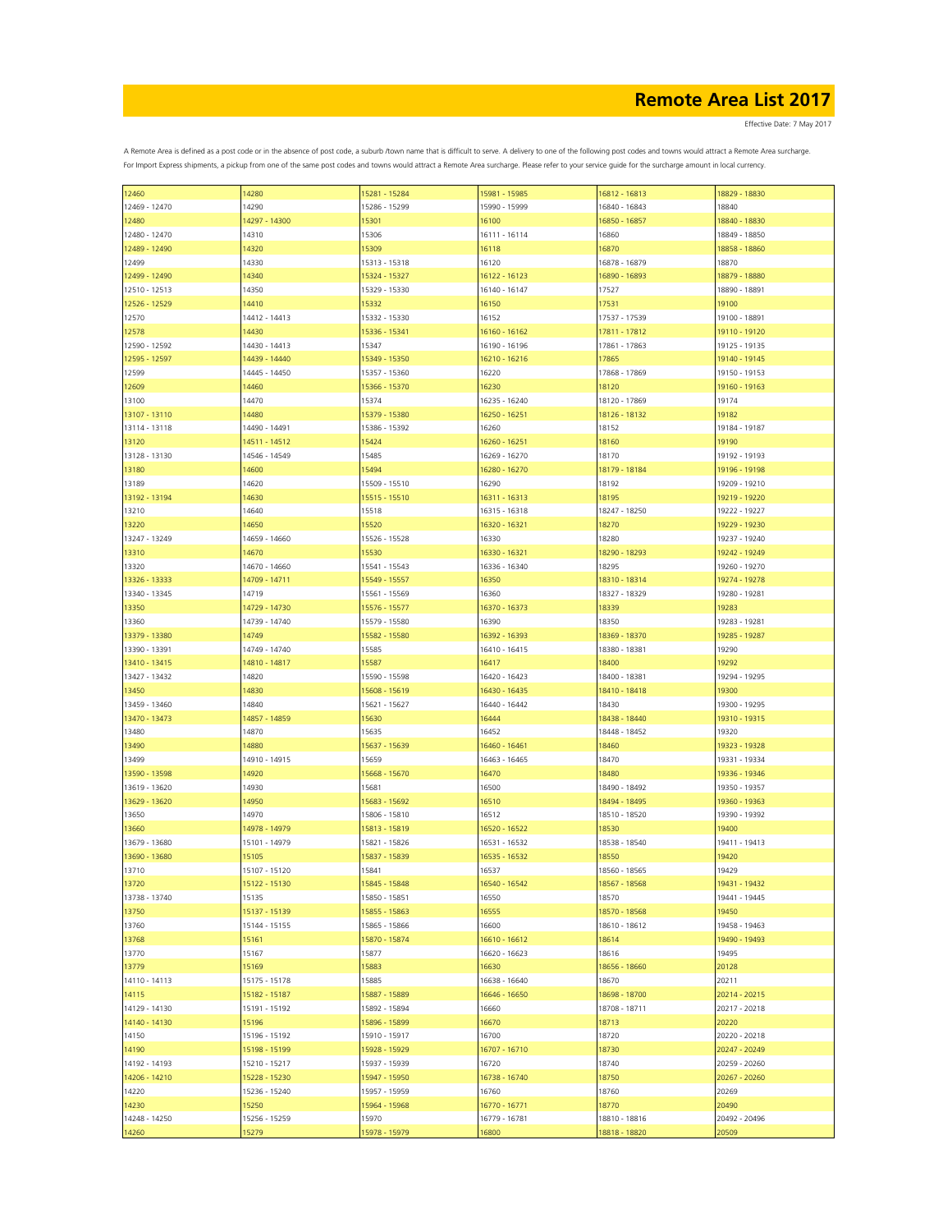Effective Date: 7 May 2017

| 12460         | 14280         | 15281 - 15284 | 15981 - 15985 | 16812 - 16813 | 18829 - 18830 |
|---------------|---------------|---------------|---------------|---------------|---------------|
| 12469 - 12470 | 14290         | 15286 - 15299 | 15990 - 15999 | 16840 - 16843 | 18840         |
|               | 14297 - 14300 | 15301         | 16100         |               |               |
| 12480         |               |               |               | 16850 - 16857 | 18840 - 18830 |
| 12480 - 12470 | 14310         | 15306         | 16111 - 16114 | 16860         | 18849 - 18850 |
| 12489 - 12490 | 14320         | 15309         | 16118         | 16870         | 18858 - 18860 |
| 12499         | 14330         | 15313 - 15318 | 16120         | 16878 - 16879 | 18870         |
|               |               |               |               |               |               |
| 12499 - 12490 | 14340         | 15324 - 15327 | 16122 - 16123 | 16890 - 16893 | 18879 - 18880 |
| 12510 - 12513 | 14350         | 15329 - 15330 | 16140 - 16147 | 17527         | 18890 - 18891 |
| 12526 - 12529 | 14410         | 15332         | 16150         | 17531         | 19100         |
| 12570         | 14412 - 14413 | 15332 - 15330 | 16152         | 17537 - 17539 | 19100 - 18891 |
|               |               |               |               |               |               |
| 12578         | 14430         | 15336 - 15341 | 16160 - 16162 | 17811 - 17812 | 19110 - 19120 |
| 12590 - 12592 | 14430 - 14413 | 15347         | 16190 - 16196 | 17861 - 17863 | 19125 - 19135 |
| 12595 - 12597 | 14439 - 14440 | 15349 - 15350 | 16210 - 16216 | 17865         | 19140 - 19145 |
|               |               | 15357 - 15360 |               | 17868 - 17869 | 19150 - 19153 |
| 12599         | 14445 - 14450 |               | 16220         |               |               |
| 12609         | 14460         | 15366 - 15370 | 16230         | 18120         | 19160 - 19163 |
| 13100         | 14470         | 15374         | 16235 - 16240 | 18120 - 17869 | 19174         |
| 13107 - 13110 | 14480         | 15379 - 15380 | 16250 - 16251 | 18126 - 18132 | 19182         |
|               |               |               |               |               |               |
| 13114 - 13118 | 14490 - 14491 | 15386 - 15392 | 16260         | 18152         | 19184 - 19187 |
| 13120         | 14511 - 14512 | 15424         | 16260 - 16251 | 18160         | 19190         |
| 13128 - 13130 | 14546 - 14549 | 15485         | 16269 - 16270 | 18170         | 19192 - 19193 |
| 13180         | 14600         | 15494         | 16280 - 16270 | 18179 - 18184 | 19196 - 19198 |
|               |               |               |               |               |               |
| 13189         | 14620         | 15509 - 15510 | 16290         | 18192         | 19209 - 19210 |
| 13192 - 13194 | 14630         | 15515 - 15510 | 16311 - 16313 | 18195         | 19219 - 19220 |
| 13210         | 14640         | 15518         | 16315 - 16318 | 18247 - 18250 | 19222 - 19227 |
|               |               |               |               |               |               |
| 13220         | 14650         | 15520         | 16320 - 16321 | 18270         | 19229 - 19230 |
| 13247 - 13249 | 14659 - 14660 | 15526 - 15528 | 16330         | 18280         | 19237 - 19240 |
| 13310         | 14670         | 15530         | 16330 - 16321 | 18290 - 18293 | 19242 - 19249 |
| 13320         | 14670 - 14660 | 15541 - 15543 | 16336 - 16340 | 18295         | 19260 - 19270 |
|               |               |               |               |               |               |
| 13326 - 13333 | 14709 - 14711 | 15549 - 15557 | 16350         | 18310 - 18314 | 19274 - 19278 |
| 13340 - 13345 | 14719         | 15561 - 15569 | 16360         | 18327 - 18329 | 19280 - 19281 |
| 13350         | 14729 - 14730 | 15576 - 15577 | 16370 - 16373 | 18339         | 19283         |
|               |               |               |               |               |               |
| 13360         | 14739 - 14740 | 15579 - 15580 | 16390         | 18350         | 19283 - 19281 |
| 13379 - 13380 | 14749         | 15582 - 15580 | 16392 - 16393 | 18369 - 18370 | 19285 - 19287 |
| 13390 - 13391 | 14749 - 14740 | 15585         | 16410 - 16415 | 18380 - 18381 | 19290         |
| 13410 - 13415 | 14810 - 14817 | 15587         | 16417         | 18400         | 19292         |
|               |               |               |               |               |               |
| 13427 - 13432 | 14820         | 15590 - 15598 | 16420 - 16423 | 18400 - 18381 | 19294 - 19295 |
| 13450         | 14830         | 15608 - 15619 | 16430 - 16435 | 18410 - 18418 | 19300         |
| 13459 - 13460 | 14840         | 15621 - 15627 | 16440 - 16442 | 18430         | 19300 - 19295 |
|               |               |               |               |               |               |
| 13470 - 13473 | 14857 - 14859 | 15630         | 16444         | 18438 - 18440 | 19310 - 19315 |
| 13480         | 14870         | 15635         | 16452         | 18448 - 18452 | 19320         |
| 13490         | 14880         | 15637 - 15639 | 16460 - 16461 | 18460         | 19323 - 19328 |
| 13499         | 14910 - 14915 | 15659         | 16463 - 16465 | 18470         | 19331 - 19334 |
|               |               |               |               |               |               |
| 13590 - 13598 | 14920         | 15668 - 15670 | 16470         | 18480         | 19336 - 19346 |
| 13619 - 13620 | 14930         | 15681         | 16500         | 18490 - 18492 | 19350 - 19357 |
| 13629 - 13620 | 14950         | 15683 - 15692 | 16510         | 18494 - 18495 | 19360 - 19363 |
| 13650         | 14970         | 15806 - 15810 | 16512         | 18510 - 18520 | 19390 - 19392 |
|               |               |               |               |               |               |
| 13660         | 14978 - 14979 | 15813 - 15819 | 16520 - 16522 | 18530         | 19400         |
| 13679 - 13680 | 15101 - 14979 | 15821 - 15826 | 16531 - 16532 | 18538 - 18540 | 19411 - 19413 |
| 13690 - 13680 | 15105         | 15837 - 15839 | 16535 - 16532 | 18550         | 19420         |
| 13710         | 15107 - 15120 | 15841         | 16537         | 18560 - 18565 | 19429         |
|               |               |               |               |               |               |
| 13720         | 15122 - 15130 | 15845 - 15848 | 16540 - 16542 | 18567 - 18568 | 19431 - 19432 |
| 13738 - 13740 | 15135         | 15850 - 15851 | 16550         | 18570         | 19441 - 19445 |
| 13750         | 15137 - 15139 | 15855 - 15863 | 16555         | 18570 - 18568 | 19450         |
|               |               |               | 16600         |               |               |
| 13760         | 15144 - 15155 | 15865 - 15866 |               | 18610 - 18612 | 19458 - 19463 |
| 13768         | 15161         | 15870 - 15874 | 16610 - 16612 | 18614         | 19490 - 19493 |
| 13770         | 15167         | 15877         | 16620 - 16623 | 18616         | 19495         |
| 13779         | 15169         | 15883         | 16630         | 18656 - 18660 | 20128         |
|               |               |               |               |               |               |
| 14110 - 14113 | 15175 - 15178 | 15885         | 16638 - 16640 | 18670         | 20211         |
| 14115         | 15182 - 15187 | 15887 - 15889 | 16646 - 16650 | 18698 - 18700 | 20214 - 20215 |
| 14129 - 14130 | 15191 - 15192 | 15892 - 15894 | 16660         | 18708 - 18711 | 20217 - 20218 |
| 14140 - 14130 | 15196         | 15896 - 15899 | 16670         | 18713         | 20220         |
|               |               |               |               |               |               |
| 14150         | 15196 - 15192 | 15910 - 15917 | 16700         | 18720         | 20220 - 20218 |
| 14190         | 15198 - 15199 | 15928 - 15929 | 16707 - 16710 | 18730         | 20247 - 20249 |
| 14192 - 14193 | 15210 - 15217 | 15937 - 15939 | 16720         | 18740         | 20259 - 20260 |
| 14206 - 14210 | 15228 - 15230 | 15947 - 15950 | 16738 - 16740 | 18750         | 20267 - 20260 |
|               |               |               |               |               |               |
| 14220         | 15236 - 15240 | 15957 - 15959 | 16760         | 18760         | 20269         |
| 14230         | 15250         | 15964 - 15968 | 16770 - 16771 | 18770         | 20490         |
| 14248 - 14250 | 15256 - 15259 | 15970         | 16779 - 16781 | 18810 - 18816 | 20492 - 20496 |
|               |               |               |               |               |               |
| 14260         | 15279         | 15978 - 15979 | 16800         | 18818 - 18820 | 20509         |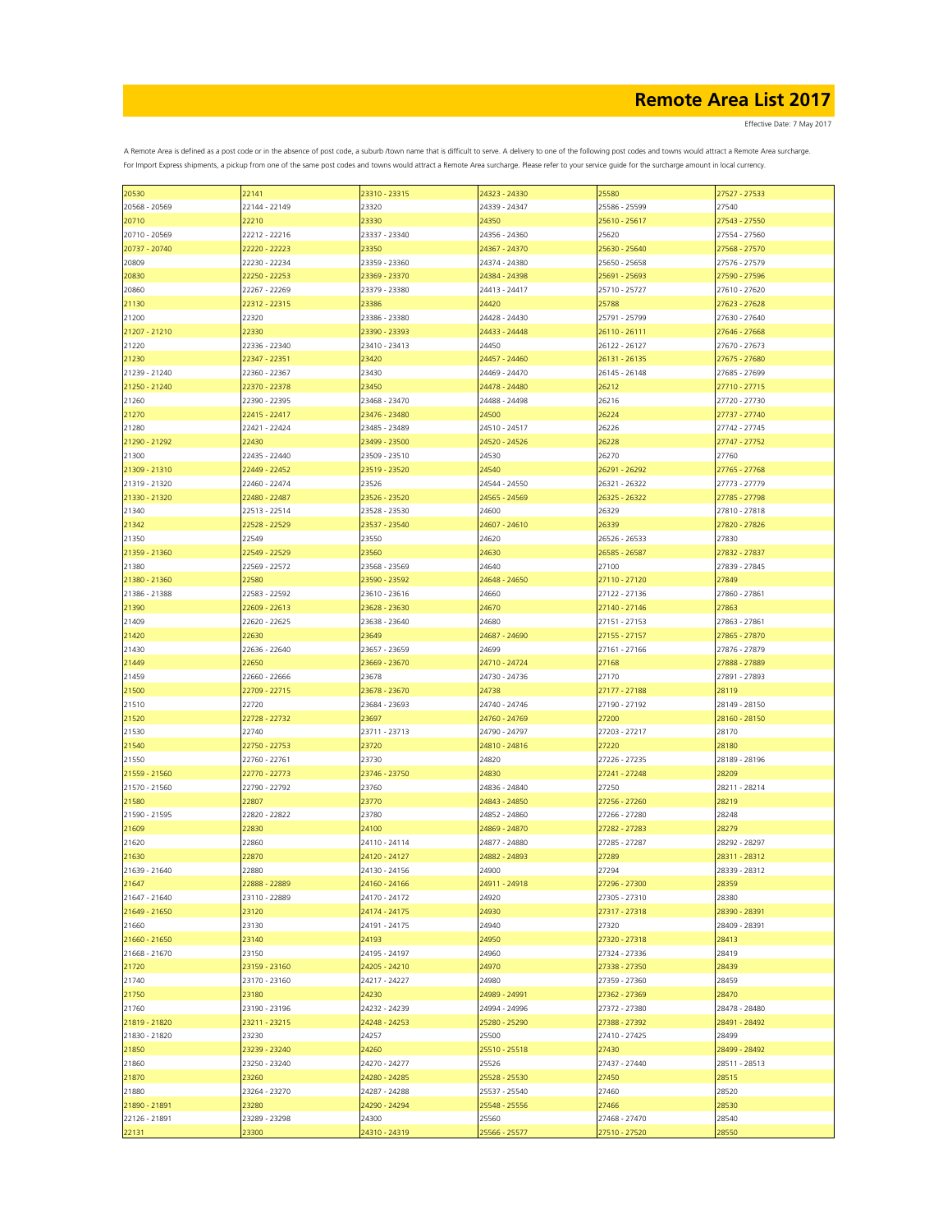Effective Date: 7 May 2017

| 20530         | 22141         | 23310 - 23315 | 24323 - 24330 | 25580         | 27527 - 27533 |
|---------------|---------------|---------------|---------------|---------------|---------------|
| 20568 - 20569 | 22144 - 22149 | 23320         | 24339 - 24347 | 25586 - 25599 | 27540         |
| 20710         | 22210         | 23330         | 24350         | 25610 - 25617 | 27543 - 27550 |
|               |               |               |               |               |               |
| 20710 - 20569 | 22212 - 22216 | 23337 - 23340 | 24356 - 24360 | 25620         | 27554 - 27560 |
| 20737 - 20740 | 22220 - 22223 | 23350         | 24367 - 24370 | 25630 - 25640 | 27568 - 27570 |
| 20809         | 22230 - 22234 | 23359 - 23360 | 24374 - 24380 | 25650 - 25658 | 27576 - 27579 |
|               | 22250 - 22253 | 23369 - 23370 | 24384 - 24398 | 25691 - 25693 | 27590 - 27596 |
| 20830         |               |               |               |               |               |
| 20860         | 22267 - 22269 | 23379 - 23380 | 24413 - 24417 | 25710 - 25727 | 27610 - 27620 |
| 21130         | 22312 - 22315 | 23386         | 24420         | 25788         | 27623 - 27628 |
| 21200         | 22320         | 23386 - 23380 | 24428 - 24430 | 25791 - 25799 | 27630 - 27640 |
|               |               | 23390 - 23393 |               |               | 27646 - 27668 |
| 21207 - 21210 | 22330         |               | 24433 - 24448 | 26110 - 26111 |               |
| 21220         | 22336 - 22340 | 23410 - 23413 | 24450         | 26122 - 26127 | 27670 - 27673 |
| 21230         | 22347 - 22351 | 23420         | 24457 - 24460 | 26131 - 26135 | 27675 - 27680 |
| 21239 - 21240 | 22360 - 22367 | 23430         | 24469 - 24470 | 26145 - 26148 | 27685 - 27699 |
| 21250 - 21240 | 22370 - 22378 | 23450         | 24478 - 24480 |               | 27710 - 27715 |
|               |               |               |               | 26212         |               |
| 21260         | 22390 - 22395 | 23468 - 23470 | 24488 - 24498 | 26216         | 27720 - 27730 |
| 21270         | 22415 - 22417 | 23476 - 23480 | 24500         | 26224         | 27737 - 27740 |
| 21280         | 22421 - 22424 | 23485 - 23489 | 24510 - 24517 | 26226         | 27742 - 27745 |
|               | 22430         | 23499 - 23500 | 24520 - 24526 | 26228         | 27747 - 27752 |
| 21290 - 21292 |               |               |               |               |               |
| 21300         | 22435 - 22440 | 23509 - 23510 | 24530         | 26270         | 27760         |
| 21309 - 21310 | 22449 - 22452 | 23519 - 23520 | 24540         | 26291 - 26292 | 27765 - 27768 |
| 21319 - 21320 | 22460 - 22474 | 23526         | 24544 - 24550 | 26321 - 26322 | 27773 - 27779 |
|               |               |               |               | 26325 - 26322 |               |
| 21330 - 21320 | 22480 - 22487 | 23526 - 23520 | 24565 - 24569 |               | 27785 - 27798 |
| 21340         | 22513 - 22514 | 23528 - 23530 | 24600         | 26329         | 27810 - 27818 |
| 21342         | 22528 - 22529 | 23537 - 23540 | 24607 - 24610 | 26339         | 27820 - 27826 |
| 21350         | 22549         | 23550         | 24620         | 26526 - 26533 | 27830         |
|               | 22549 - 22529 | 23560         |               | 26585 - 26587 | 27832 - 27837 |
| 21359 - 21360 |               |               | 24630         |               |               |
| 21380         | 22569 - 22572 | 23568 - 23569 | 24640         | 27100         | 27839 - 27845 |
| 21380 - 21360 | 22580         | 23590 - 23592 | 24648 - 24650 | 27110 - 27120 | 27849         |
| 21386 - 21388 | 22583 - 22592 | 23610 - 23616 | 24660         | 27122 - 27136 | 27860 - 27861 |
|               |               |               |               |               |               |
| 21390         | 22609 - 22613 | 23628 - 23630 | 24670         | 27140 - 27146 | 27863         |
| 21409         | 22620 - 22625 | 23638 - 23640 | 24680         | 27151 - 27153 | 27863 - 27861 |
| 21420         | 22630         | 23649         | 24687 - 24690 | 27155 - 27157 | 27865 - 27870 |
| 21430         | 22636 - 22640 | 23657 - 23659 | 24699         | 27161 - 27166 | 27876 - 27879 |
|               |               |               |               |               |               |
| 21449         | 22650         | 23669 - 23670 | 24710 - 24724 | 27168         | 27888 - 27889 |
| 21459         | 22660 - 22666 | 23678         | 24730 - 24736 | 27170         | 27891 - 27893 |
| 21500         | 22709 - 22715 | 23678 - 23670 | 24738         | 27177 - 27188 | 28119         |
| 21510         | 22720         | 23684 - 23693 | 24740 - 24746 | 27190 - 27192 | 28149 - 28150 |
|               |               |               |               |               |               |
| 21520         | 22728 - 22732 | 23697         | 24760 - 24769 | 27200         | 28160 - 28150 |
| 21530         | 22740         | 23711 - 23713 | 24790 - 24797 | 27203 - 27217 | 28170         |
| 21540         | 22750 - 22753 | 23720         | 24810 - 24816 | 27220         | 28180         |
| 21550         | 22760 - 22761 | 23730         | 24820         | 27226 - 27235 | 28189 - 28196 |
|               |               |               |               |               |               |
| 21559 - 21560 | 22770 - 22773 | 23746 - 23750 | 24830         | 27241 - 27248 | 28209         |
| 21570 - 21560 | 22790 - 22792 | 23760         | 24836 - 24840 | 27250         | 28211 - 28214 |
| 21580         | 22807         | 23770         | 24843 - 24850 | 27256 - 27260 | 28219         |
| 21590 - 21595 | 22820 - 22822 | 23780         | 24852 - 24860 | 27266 - 27280 | 28248         |
|               |               |               |               |               |               |
| 21609         | 22830         | 24100         | 24869 - 24870 | 27282 - 27283 | 28279         |
| 21620         | 22860         | 24110 - 24114 | 24877 - 24880 | 27285 - 27287 | 28292 - 28297 |
| 21630         | 22870         | 24120 - 24127 | 24882 - 24893 | 27289         | 28311 - 28312 |
| 21639 - 21640 | 22880         | 24130 - 24156 | 24900         | 27294         | 28339 - 28312 |
|               |               |               |               |               |               |
| 21647         | 22888 - 22889 | 24160 - 24166 | 24911 - 24918 | 27296 - 27300 | 28359         |
| 21647 - 21640 | 23110 - 22889 | 24170 - 24172 | 24920         | 27305 - 27310 | 28380         |
| 21649 - 21650 | 23120         | 24174 - 24175 | 24930         | 27317 - 27318 | 28390 - 28391 |
| 21660         | 23130         | 24191 - 24175 | 24940         | 27320         | 28409 - 28391 |
|               | 23140         | 24193         | 24950         |               | 28413         |
| 21660 - 21650 |               |               |               | 27320 - 27318 |               |
| 21668 - 21670 | 23150         | 24195 - 24197 | 24960         | 27324 - 27336 | 28419         |
| 21720         | 23159 - 23160 | 24205 - 24210 | 24970         | 27338 - 27350 | 28439         |
| 21740         | 23170 - 23160 | 24217 - 24227 | 24980         | 27359 - 27360 | 28459         |
| 21750         | 23180         | 24230         | 24989 - 24991 | 27362 - 27369 | 28470         |
|               |               |               |               |               |               |
| 21760         | 23190 - 23196 | 24232 - 24239 | 24994 - 24996 | 27372 - 27380 | 28478 - 28480 |
| 21819 - 21820 | 23211 - 23215 | 24248 - 24253 | 25280 - 25290 | 27388 - 27392 | 28491 - 28492 |
| 21830 - 21820 | 23230         | 24257         | 25500         | 27410 - 27425 | 28499         |
| 21850         | 23239 - 23240 | 24260         | 25510 - 25518 | 27430         | 28499 - 28492 |
|               |               |               |               |               |               |
| 21860         | 23250 - 23240 | 24270 - 24277 | 25526         | 27437 - 27440 | 28511 - 28513 |
| 21870         | 23260         | 24280 - 24285 | 25528 - 25530 | 27450         | 28515         |
| 21880         | 23264 - 23270 | 24287 - 24288 | 25537 - 25540 | 27460         | 28520         |
| 21890 - 21891 | 23280         | 24290 - 24294 | 25548 - 25556 | 27466         | 28530         |
|               |               |               |               |               |               |
| 22126 - 21891 | 23289 - 23298 | 24300         | 25560         | 27468 - 27470 | 28540         |
| 22131         | 23300         | 24310 - 24319 | 25566 - 25577 | 27510 - 27520 | 28550         |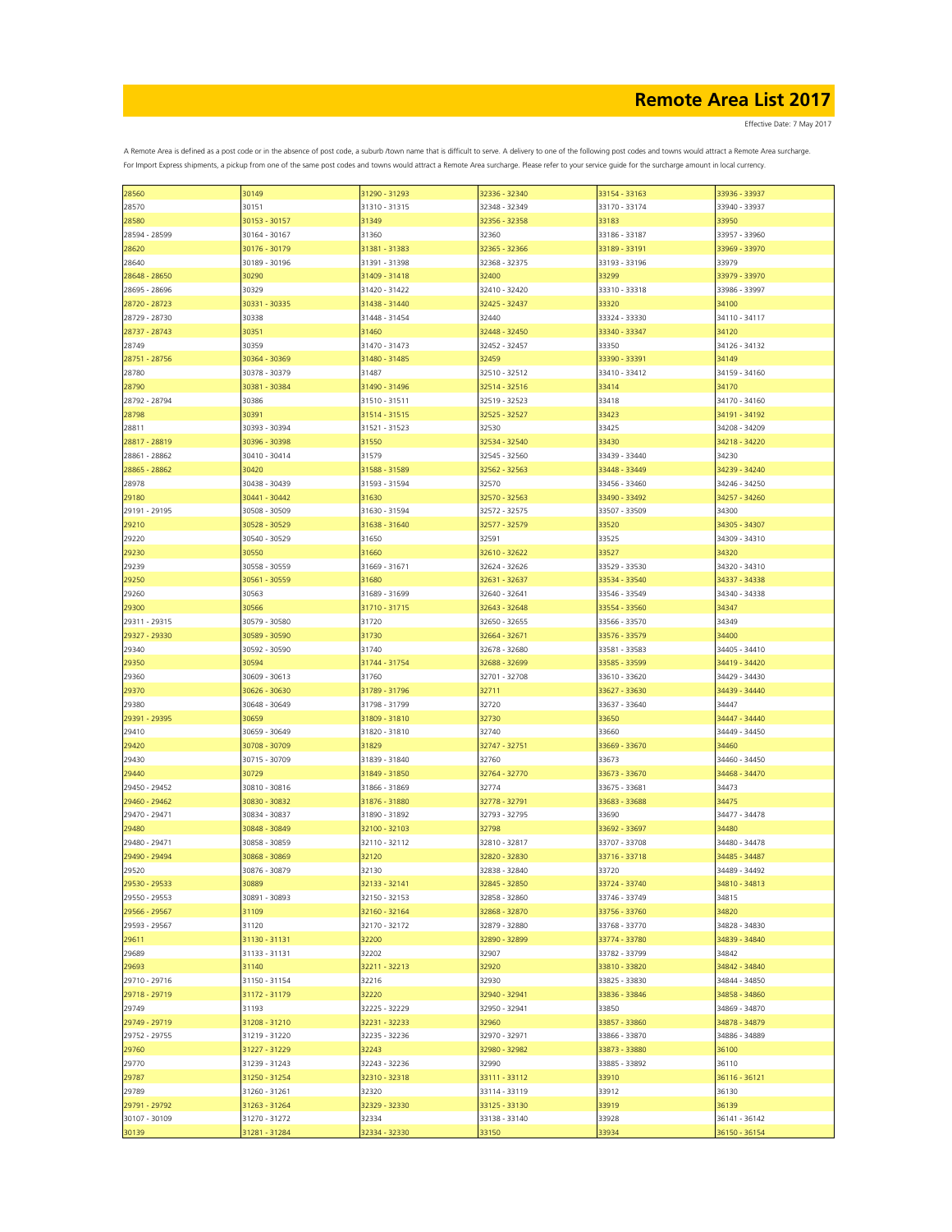| 28560         | 30149         | 31290 - 31293 | 32336 - 32340 | 33154 - 33163 | 33936 - 33937 |
|---------------|---------------|---------------|---------------|---------------|---------------|
| 28570         | 30151         | 31310 - 31315 | 32348 - 32349 | 33170 - 33174 | 33940 - 33937 |
| 28580         | 30153 - 30157 | 31349         | 32356 - 32358 | 33183         | 33950         |
|               |               |               |               |               |               |
| 28594 - 28599 | 30164 - 30167 | 31360         | 32360         | 33186 - 33187 | 33957 - 33960 |
| 28620         | 30176 - 30179 | 31381 - 31383 | 32365 - 32366 | 33189 - 33191 | 33969 - 33970 |
| 28640         | 30189 - 30196 | 31391 - 31398 | 32368 - 32375 | 33193 - 33196 | 33979         |
| 28648 - 28650 | 30290         | 31409 - 31418 | 32400         | 33299         | 33979 - 33970 |
|               |               |               |               |               |               |
| 28695 - 28696 | 30329         | 31420 - 31422 | 32410 - 32420 | 33310 - 33318 | 33986 - 33997 |
| 28720 - 28723 | 30331 - 30335 | 31438 - 31440 | 32425 - 32437 | 33320         | 34100         |
| 28729 - 28730 | 30338         | 31448 - 31454 | 32440         | 33324 - 33330 | 34110 - 34117 |
| 28737 - 28743 | 30351         | 31460         | 32448 - 32450 | 33340 - 33347 | 34120         |
|               |               |               |               |               |               |
| 28749         | 30359         | 31470 - 31473 | 32452 - 32457 | 33350         | 34126 - 34132 |
| 28751 - 28756 | 30364 - 30369 | 31480 - 31485 | 32459         | 33390 - 33391 | 34149         |
| 28780         | 30378 - 30379 | 31487         | 32510 - 32512 | 33410 - 33412 | 34159 - 34160 |
| 28790         | 30381 - 30384 | 31490 - 31496 | 32514 - 32516 | 33414         | 34170         |
| 28792 - 28794 |               |               |               |               |               |
|               | 30386         | 31510 - 31511 | 32519 - 32523 | 33418         | 34170 - 34160 |
| 28798         | 30391         | 31514 - 31515 | 32525 - 32527 | 33423         | 34191 - 34192 |
| 28811         | 30393 - 30394 | 31521 - 31523 | 32530         | 33425         | 34208 - 34209 |
| 28817 - 28819 | 30396 - 30398 | 31550         | 32534 - 32540 | 33430         | 34218 - 34220 |
|               |               |               |               |               |               |
| 28861 - 28862 | 30410 - 30414 | 31579         | 32545 - 32560 | 33439 - 33440 | 34230         |
| 28865 - 28862 | 30420         | 31588 - 31589 | 32562 - 32563 | 33448 - 33449 | 34239 - 34240 |
| 28978         | 30438 - 30439 | 31593 - 31594 | 32570         | 33456 - 33460 | 34246 - 34250 |
| 29180         | 30441 - 30442 | 31630         | 32570 - 32563 | 33490 - 33492 | 34257 - 34260 |
|               |               |               |               |               |               |
| 29191 - 29195 | 30508 - 30509 | 31630 - 31594 | 32572 - 32575 | 33507 - 33509 | 34300         |
| 29210         | 30528 - 30529 | 31638 - 31640 | 32577 - 32579 | 33520         | 34305 - 34307 |
| 29220         | 30540 - 30529 | 31650         | 32591         | 33525         | 34309 - 34310 |
| 29230         | 30550         | 31660         | 32610 - 32622 | 33527         | 34320         |
|               |               |               |               |               |               |
| 29239         | 30558 - 30559 | 31669 - 31671 | 32624 - 32626 | 33529 - 33530 | 34320 - 34310 |
| 29250         | 30561 - 30559 | 31680         | 32631 - 32637 | 33534 - 33540 | 34337 - 34338 |
| 29260         | 30563         | 31689 - 31699 | 32640 - 32641 | 33546 - 33549 | 34340 - 34338 |
| 29300         | 30566         | 31710 - 31715 | 32643 - 32648 | 33554 - 33560 | 34347         |
|               |               |               |               |               |               |
| 29311 - 29315 | 30579 - 30580 | 31720         | 32650 - 32655 | 33566 - 33570 | 34349         |
| 29327 - 29330 | 30589 - 30590 | 31730         | 32664 - 32671 | 33576 - 33579 | 34400         |
| 29340         | 30592 - 30590 | 31740         | 32678 - 32680 | 33581 - 33583 | 34405 - 34410 |
|               |               |               |               |               |               |
| 29350         | 30594         | 31744 - 31754 | 32688 - 32699 | 33585 - 33599 | 34419 - 34420 |
| 29360         | 30609 - 30613 | 31760         | 32701 - 32708 | 33610 - 33620 | 34429 - 34430 |
| 29370         | 30626 - 30630 | 31789 - 31796 | 32711         | 33627 - 33630 | 34439 - 34440 |
| 29380         | 30648 - 30649 | 31798 - 31799 | 32720         | 33637 - 33640 | 34447         |
| 29391 - 29395 | 30659         |               |               |               | 34447 - 34440 |
|               |               | 31809 - 31810 | 32730         | 33650         |               |
| 29410         | 30659 - 30649 | 31820 - 31810 | 32740         | 33660         | 34449 - 34450 |
| 29420         | 30708 - 30709 | 31829         | 32747 - 32751 | 33669 - 33670 | 34460         |
| 29430         | 30715 - 30709 | 31839 - 31840 | 32760         | 33673         | 34460 - 34450 |
| 29440         | 30729         | 31849 - 31850 | 32764 - 32770 | 33673 - 33670 |               |
|               |               |               |               |               | 34468 - 34470 |
| 29450 - 29452 | 30810 - 30816 | 31866 - 31869 | 32774         | 33675 - 33681 | 34473         |
| 29460 - 29462 | 30830 - 30832 | 31876 - 31880 | 32778 - 32791 | 33683 - 33688 | 34475         |
| 29470 - 29471 | 30834 - 30837 | 31890 - 31892 | 32793 - 32795 | 33690         | 34477 - 34478 |
|               |               |               |               |               |               |
| 29480         | 30848 - 30849 | 32100 - 32103 | 32798         | 33692 - 33697 | 34480         |
| 29480 - 29471 | 30858 - 30859 | 32110 - 32112 | 32810 - 32817 | 33707 - 33708 | 34480 - 34478 |
| 29490 - 29494 | 30868 - 30869 | 32120         | 32820 - 32830 | 33716 - 33718 | 34485 - 34487 |
| 29520         | 30876 - 30879 | 32130         | 32838 - 32840 | 33720         | 34489 - 34492 |
| 29530 - 29533 | 30889         | 32133 - 32141 | 32845 - 32850 | 33724 - 33740 | 34810 - 34813 |
|               |               |               |               |               |               |
| 29550 - 29553 | 30891 - 30893 | 32150 - 32153 | 32858 - 32860 | 33746 - 33749 | 34815         |
| 29566 - 29567 | 31109         | 32160 - 32164 | 32868 - 32870 | 33756 - 33760 | 34820         |
| 29593 - 29567 | 31120         | 32170 - 32172 | 32879 - 32880 | 33768 - 33770 | 34828 - 34830 |
| 29611         | 31130 - 31131 | 32200         | 32890 - 32899 | 33774 - 33780 | 34839 - 34840 |
|               |               |               |               |               |               |
| 29689         | 31133 - 31131 | 32202         | 32907         | 33782 - 33799 | 34842         |
| 29693         | 31140         | 32211 - 32213 | 32920         | 33810 - 33820 | 34842 - 34840 |
| 29710 - 29716 | 31150 - 31154 | 32216         | 32930         | 33825 - 33830 | 34844 - 34850 |
| 29718 - 29719 | 31172 - 31179 | 32220         | 32940 - 32941 | 33836 - 33846 | 34858 - 34860 |
|               |               |               |               |               |               |
| 29749         | 31193         | 32225 - 32229 | 32950 - 32941 | 33850         | 34869 - 34870 |
| 29749 - 29719 | 31208 - 31210 | 32231 - 32233 | 32960         | 33857 - 33860 | 34878 - 34879 |
| 29752 - 29755 | 31219 - 31220 | 32235 - 32236 | 32970 - 32971 | 33866 - 33870 | 34886 - 34889 |
| 29760         | 31227 - 31229 | 32243         | 32980 - 32982 | 33873 - 33880 | 36100         |
|               |               |               |               |               |               |
| 29770         | 31239 - 31243 | 32243 - 32236 | 32990         | 33885 - 33892 | 36110         |
| 29787         | 31250 - 31254 | 32310 - 32318 | 33111 - 33112 | 33910         | 36116 - 36121 |
| 29789         | 31260 - 31261 | 32320         | 33114 - 33119 | 33912         | 36130         |
| 29791 - 29792 | 31263 - 31264 | 32329 - 32330 | 33125 - 33130 | 33919         | 36139         |
|               |               |               |               |               |               |
| 30107 - 30109 | 31270 - 31272 | 32334         | 33138 - 33140 | 33928         | 36141 - 36142 |
| 30139         | 31281 - 31284 | 32334 - 32330 | 33150         | 33934         | 36150 - 36154 |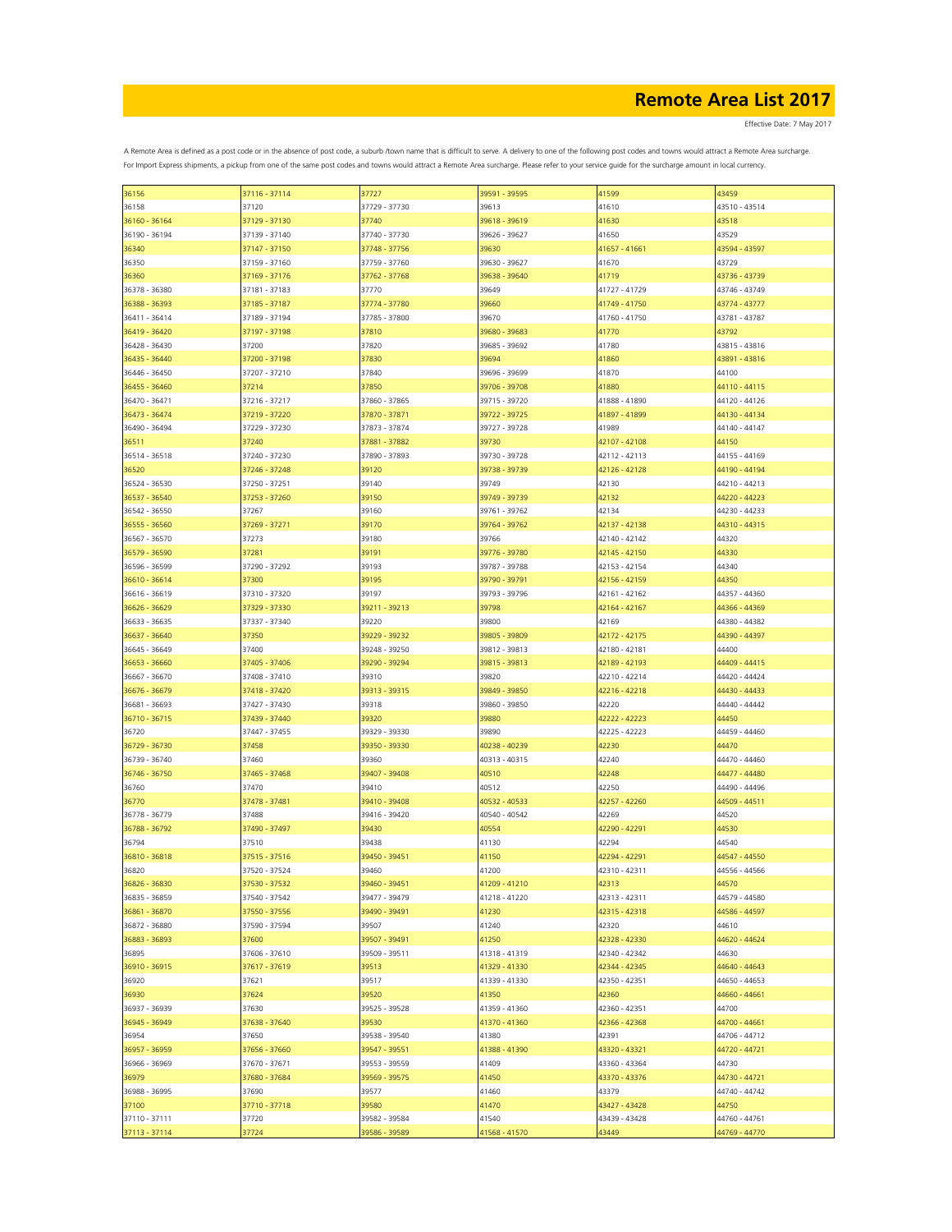Effective Date: 7 May 2017

| 36156         | 37116 - 37114 | 37727         | 39591 - 39595 | 41599         | 43459         |
|---------------|---------------|---------------|---------------|---------------|---------------|
| 36158         | 37120         | 37729 - 37730 | 39613         | 41610         | 43510 - 43514 |
|               |               | 37740         |               |               |               |
| 36160 - 36164 | 37129 - 37130 |               | 39618 - 39619 | 41630         | 43518         |
| 36190 - 36194 | 37139 - 37140 | 37740 - 37730 | 39626 - 39627 | 41650         | 43529         |
| 36340         | 37147 - 37150 | 37748 - 37756 | 39630         | 41657 - 41661 | 43594 - 43597 |
| 36350         | 37159 - 37160 | 37759 - 37760 | 39630 - 39627 | 41670         | 43729         |
|               |               |               |               |               |               |
| 36360         | 37169 - 37176 | 37762 - 37768 | 39638 - 39640 | 41719         | 43736 - 43739 |
| 36378 - 36380 | 37181 - 37183 | 37770         | 39649         | 41727 - 41729 | 43746 - 43749 |
| 36388 - 36393 | 37185 - 37187 | 37774 - 37780 | 39660         | 41749 - 41750 | 43774 - 43777 |
|               |               |               |               |               |               |
| 36411 - 36414 | 37189 - 37194 | 37785 - 37800 | 39670         | 41760 - 41750 | 43781 - 43787 |
| 36419 - 36420 | 37197 - 37198 | 37810         | 39680 - 39683 | 41770         | 43792         |
| 36428 - 36430 | 37200         | 37820         | 39685 - 39692 | 41780         | 43815 - 43816 |
| 36435 - 36440 | 37200 - 37198 | 37830         | 39694         | 41860         | 43891 - 43816 |
|               |               |               |               |               |               |
| 36446 - 36450 | 37207 - 37210 | 37840         | 39696 - 39699 | 41870         | 44100         |
| 36455 - 36460 | 37214         | 37850         | 39706 - 39708 | 41880         | 44110 - 44115 |
| 36470 - 36471 | 37216 - 37217 | 37860 - 37865 | 39715 - 39720 | 41888 - 41890 | 44120 - 44126 |
| 36473 - 36474 | 37219 - 37220 | 37870 - 37871 | 39722 - 39725 | 41897 - 41899 | 44130 - 44134 |
|               |               |               |               |               |               |
| 36490 - 36494 | 37229 - 37230 | 37873 - 37874 | 39727 - 39728 | 41989         | 44140 - 44147 |
| 36511         | 37240         | 37881 - 37882 | 39730         | 42107 - 42108 | 44150         |
| 36514 - 36518 | 37240 - 37230 | 37890 - 37893 | 39730 - 39728 | 42112 - 42113 | 44155 - 44169 |
|               |               |               |               |               |               |
| 36520         | 37246 - 37248 | 39120         | 39738 - 39739 | 42126 - 42128 | 44190 - 44194 |
| 36524 - 36530 | 37250 - 37251 | 39140         | 39749         | 42130         | 44210 - 44213 |
| 36537 - 36540 | 37253 - 37260 | 39150         | 39749 - 39739 | 42132         | 44220 - 44223 |
| 36542 - 36550 | 37267         | 39160         | 39761 - 39762 | 42134         | 44230 - 44233 |
|               |               |               |               |               |               |
| 36555 - 36560 | 37269 - 37271 | 39170         | 39764 - 39762 | 42137 - 42138 | 44310 - 44315 |
| 36567 - 36570 | 37273         | 39180         | 39766         | 42140 - 42142 | 44320         |
| 36579 - 36590 | 37281         | 39191         | 39776 - 39780 | 42145 - 42150 | 44330         |
|               |               |               |               | 42153 - 42154 |               |
| 36596 - 36599 | 37290 - 37292 | 39193         | 39787 - 39788 |               | 44340         |
| 36610 - 36614 | 37300         | 39195         | 39790 - 39791 | 42156 - 42159 | 44350         |
| 36616 - 36619 | 37310 - 37320 | 39197         | 39793 - 39796 | 42161 - 42162 | 44357 - 44360 |
| 36626 - 36629 | 37329 - 37330 | 39211 - 39213 | 39798         | 42164 - 42167 | 44366 - 44369 |
|               |               |               |               |               |               |
| 36633 - 36635 | 37337 - 37340 | 39220         | 39800         | 42169         | 44380 - 44382 |
| 36637 - 36640 | 37350         | 39229 - 39232 | 39805 - 39809 | 42172 - 42175 | 44390 - 44397 |
| 36645 - 36649 | 37400         | 39248 - 39250 | 39812 - 39813 | 42180 - 42181 | 44400         |
|               |               |               |               |               |               |
| 36653 - 36660 | 37405 - 37406 | 39290 - 39294 | 39815 - 39813 | 42189 - 42193 | 44409 - 44415 |
| 36667 - 36670 | 37408 - 37410 | 39310         | 39820         | 42210 - 42214 | 44420 - 44424 |
| 36676 - 36679 | 37418 - 37420 | 39313 - 39315 | 39849 - 39850 | 42216 - 42218 | 44430 - 44433 |
| 36681 - 36693 | 37427 - 37430 | 39318         | 39860 - 39850 | 42220         | 44440 - 44442 |
|               |               |               |               |               |               |
| 36710 - 36715 | 37439 - 37440 | 39320         | 39880         | 42222 - 42223 | 44450         |
| 36720         | 37447 - 37455 | 39329 - 39330 | 39890         | 42225 - 42223 | 44459 - 44460 |
| 36729 - 36730 | 37458         | 39350 - 39330 | 40238 - 40239 | 42230         | 44470         |
| 36739 - 36740 | 37460         | 39360         | 40313 - 40315 |               | 44470 - 44460 |
|               |               |               |               | 42240         |               |
| 36746 - 36750 | 37465 - 37468 | 39407 - 39408 | 40510         | 42248         | 44477 - 44480 |
| 36760         | 37470         | 39410         | 40512         | 42250         | 44490 - 44496 |
| 36770         | 37478 - 37481 | 39410 - 39408 | 40532 - 40533 | 42257 - 42260 | 44509 - 44511 |
|               |               |               |               |               |               |
| 36778 - 36779 | 37488         | 39416 - 39420 | 40540 - 40542 | 42269         | 44520         |
| 36788 - 36792 | 37490 - 37497 | 39430         | 40554         | 42290 - 42291 | 44530         |
| 36794         | 37510         | 39438         | 41130         | 42294         | 44540         |
| 36810 - 36818 | 37515 - 37516 | 39450 - 39451 | 41150         | 42294 - 42291 | 44547 - 44550 |
|               |               |               |               |               |               |
| 36820         | 37520 - 37524 | 39460         | 41200         | 42310 - 42311 | 44556 - 44566 |
| 36826 - 36830 | 37530 - 37532 | 39460 - 39451 | 41209 - 41210 | 42313         | 44570         |
| 36835 - 36859 | 37540 - 37542 | 39477 - 39479 | 41218 - 41220 | 42313 - 42311 | 44579 - 44580 |
| 36861 - 36870 | 37550 - 37556 | 39490 - 39491 | 41230         | 42315 - 42318 | 44586 - 44597 |
|               |               |               |               |               |               |
| 36872 - 36880 | 37590 - 37594 | 39507         | 41240         | 42320         | 44610         |
| 36883 - 36893 | 37600         | 39507 - 39491 | 41250         | 42328 - 42330 | 44620 - 44624 |
| 36895         | 37606 - 37610 | 39509 - 39511 | 41318 - 41319 | 42340 - 42342 | 44630         |
| 36910 - 36915 | 37617 - 37619 | 39513         | 41329 - 41330 | 42344 - 42345 | 44640 - 44643 |
|               |               |               |               |               |               |
| 36920         | 37621         | 39517         | 41339 - 41330 | 42350 - 42351 | 44650 - 44653 |
| 36930         | 37624         | 39520         | 41350         | 42360         | 44660 - 44661 |
| 36937 - 36939 | 37630         | 39525 - 39528 | 41359 - 41360 | 42360 - 42351 | 44700         |
|               |               |               |               |               |               |
| 36945 - 36949 | 37638 - 37640 | 39530         | 41370 - 41360 | 42366 - 42368 | 44700 - 44661 |
| 36954         | 37650         | 39538 - 39540 | 41380         | 42391         | 44706 - 44712 |
| 36957 - 36959 | 37656 - 37660 | 39547 - 39551 | 41388 - 41390 | 43320 - 43321 | 44720 - 44721 |
| 36966 - 36969 | 37670 - 37671 | 39553 - 39559 | 41409         | 43360 - 43364 | 44730         |
|               |               |               |               |               |               |
| 36979         | 37680 - 37684 | 39569 - 39575 | 41450         | 43370 - 43376 | 44730 - 44721 |
| 36988 - 36995 | 37690         | 39577         | 41460         | 43379         | 44740 - 44742 |
| 37100         | 37710 - 37718 | 39580         | 41470         | 43427 - 43428 | 44750         |
|               |               |               |               |               |               |
| 37110 - 37111 | 37720         | 39582 - 39584 | 41540         | 43439 - 43428 | 44760 - 44761 |
| 37113 - 37114 | 37724         | 39586 - 39589 | 41568 - 41570 | 43449         | 44769 - 44770 |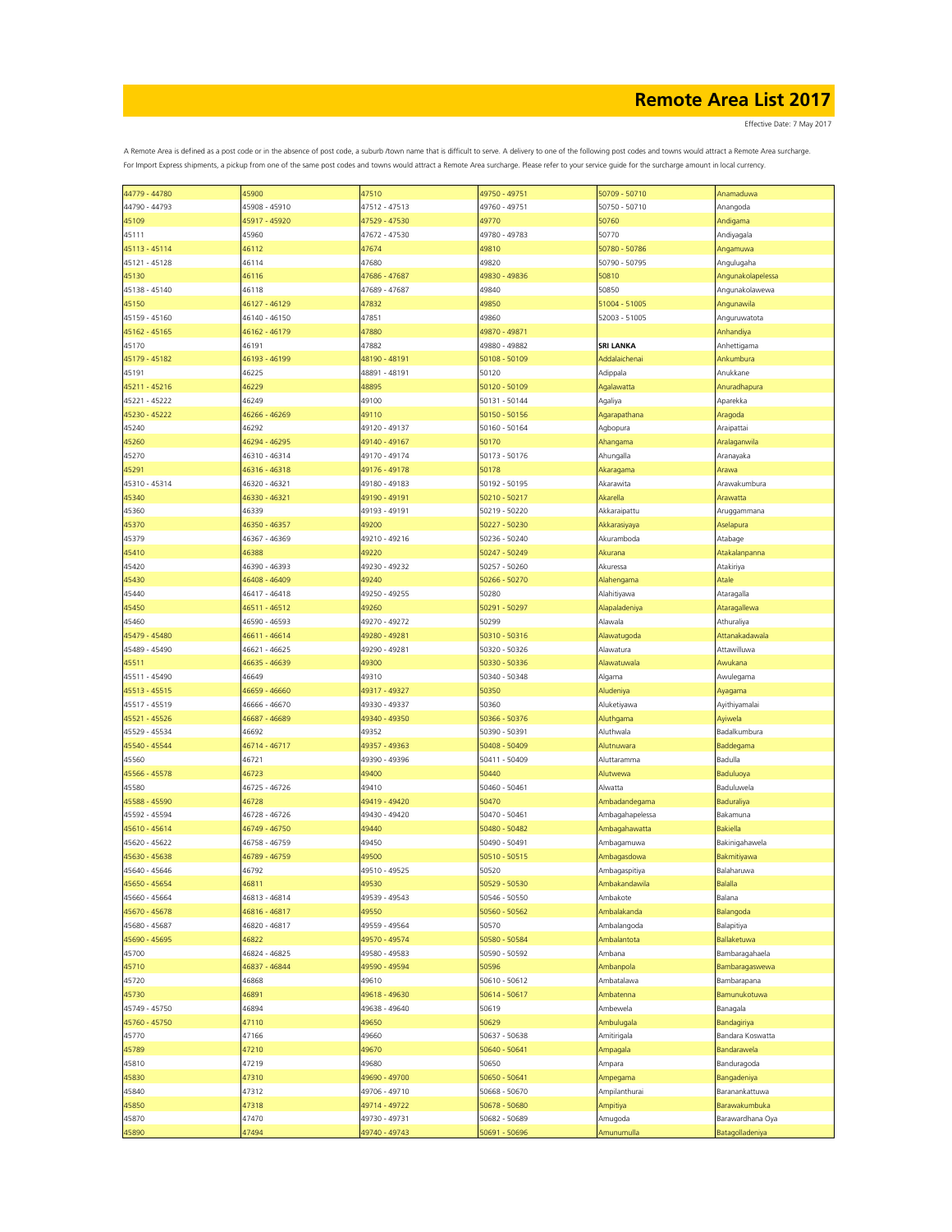| 44779 - 44780 | 45900         | 47510         | 49750 - 49751 | 50709 - 50710    | Anamaduwa              |
|---------------|---------------|---------------|---------------|------------------|------------------------|
| 44790 - 44793 | 45908 - 45910 | 47512 - 47513 | 49760 - 49751 | 50750 - 50710    | Anangoda               |
|               |               |               |               |                  |                        |
| 45109         | 45917 - 45920 | 47529 - 47530 | 49770         | 50760            | Andigama               |
| 45111         | 45960         | 47672 - 47530 | 49780 - 49783 | 50770            | Andiyagala             |
| 45113 - 45114 |               |               |               | 50780 - 50786    |                        |
|               | 46112         | 47674         | 49810         |                  | Angamuwa               |
| 45121 - 45128 | 46114         | 47680         | 49820         | 50790 - 50795    | Angulugaha             |
| 45130         | 46116         | 47686 - 47687 | 49830 - 49836 | 50810            | Angunakolapelessa      |
|               |               |               |               |                  |                        |
| 45138 - 45140 | 46118         | 47689 - 47687 | 49840         | 50850            | Angunakolawewa         |
| 45150         | 46127 - 46129 | 47832         | 49850         | 51004 - 51005    | Angunawila             |
|               |               |               |               |                  |                        |
| 45159 - 45160 | 46140 - 46150 | 47851         | 49860         | 52003 - 51005    | Anguruwatota           |
| 45162 - 45165 | 46162 - 46179 | 47880         | 49870 - 49871 |                  | <b>Anhandiya</b>       |
| 45170         | 46191         | 47882         | 49880 - 49882 | <b>SRI LANKA</b> | Anhettigama            |
|               |               |               |               |                  |                        |
| 45179 - 45182 | 46193 - 46199 | 48190 - 48191 | 50108 - 50109 | Addalaichenai    | Ankumbura              |
| 45191         | 46225         | 48891 - 48191 | 50120         | Adippala         | Anukkane               |
|               |               |               |               |                  |                        |
| 45211 - 45216 | 46229         | 48895         | 50120 - 50109 | Agalawatta       | Anuradhapura           |
| 45221 - 45222 | 46249         | 49100         | 50131 - 50144 | Agaliya          | Aparekka               |
|               |               |               |               |                  |                        |
| 45230 - 45222 | 46266 - 46269 | 49110         | 50150 - 50156 | Agarapathana     | Aragoda                |
| 45240         | 46292         | 49120 - 49137 | 50160 - 50164 | Agbopura         | Araipattai             |
| 45260         | 46294 - 46295 | 49140 - 49167 | 50170         | Ahangama         | <b>Aralaganwila</b>    |
|               |               |               |               |                  |                        |
| 45270         | 46310 - 46314 | 49170 - 49174 | 50173 - 50176 | Ahungalla        | Aranayaka              |
| 45291         | 46316 - 46318 | 49176 - 49178 | 50178         | Akaragama        | Arawa                  |
|               |               |               |               |                  |                        |
| 45310 - 45314 | 46320 - 46321 | 49180 - 49183 | 50192 - 50195 | Akarawita        | Arawakumbura           |
| 45340         | 46330 - 46321 | 49190 - 49191 | 50210 - 50217 | Akarella         | <b>Arawatta</b>        |
|               |               |               |               |                  |                        |
| 45360         | 46339         | 49193 - 49191 | 50219 - 50220 | Akkaraipattu     | Aruggammana            |
| 45370         | 46350 - 46357 | 49200         | 50227 - 50230 | Akkarasiyaya     | Aselapura              |
| 45379         | 46367 - 46369 | 49210 - 49216 | 50236 - 50240 | Akuramboda       | Atabage                |
|               |               |               |               |                  |                        |
| 45410         | 46388         | 49220         | 50247 - 50249 | Akurana          | Atakalanpanna          |
| 45420         | 46390 - 46393 | 49230 - 49232 | 50257 - 50260 | Akuressa         | Atakiriya              |
|               |               |               |               |                  |                        |
| 45430         | 46408 - 46409 | 49240         | 50266 - 50270 | Alahengama       | Atale                  |
| 45440         | 46417 - 46418 | 49250 - 49255 | 50280         | Alahitiyawa      | Ataragalla             |
|               |               |               |               |                  |                        |
| 45450         | 46511 - 46512 | 49260         | 50291 - 50297 | Alapaladeniya    | <b>Ataragallewa</b>    |
| 45460         | 46590 - 46593 | 49270 - 49272 | 50299         | Alawala          | Athuraliya             |
|               |               |               |               |                  |                        |
| 45479 - 45480 | 46611 - 46614 | 49280 - 49281 | 50310 - 50316 | Alawatugoda      | Attanakadawala         |
| 45489 - 45490 | 46621 - 46625 | 49290 - 49281 | 50320 - 50326 | Alawatura        | Attawilluwa            |
| 45511         | 46635 - 46639 | 49300         | 50330 - 50336 | Alawatuwala      | Awukana                |
|               |               |               |               |                  |                        |
| 45511 - 45490 | 46649         | 49310         | 50340 - 50348 | Algama           | Awulegama              |
| 45513 - 45515 | 46659 - 46660 | 49317 - 49327 | 50350         | Aludeniya        | Ayagama                |
|               |               |               |               |                  |                        |
| 45517 - 45519 | 46666 - 46670 | 49330 - 49337 | 50360         | Aluketiyawa      | Ayithiyamalai          |
| 45521 - 45526 | 46687 - 46689 | 49340 - 49350 | 50366 - 50376 | Aluthgama        | Ayiwela                |
|               |               |               |               |                  |                        |
| 45529 - 45534 | 46692         | 49352         | 50390 - 50391 | Aluthwala        | Badalkumbura           |
| 45540 - 45544 | 46714 - 46717 | 49357 - 49363 | 50408 - 50409 | Alutnuwara       | Baddegama              |
|               |               |               |               |                  |                        |
| 45560         | 46721         | 49390 - 49396 | 50411 - 50409 | Aluttaramma      | Badulla                |
| 45566 - 45578 | 46723         | 49400         | 50440         | Alutwewa         | <b>Baduluoya</b>       |
|               |               |               | 50460 - 50461 |                  | <b>Baduluwela</b>      |
| 45580         | 46725 - 46726 | 49410         |               | Alwatta          |                        |
| 45588 - 45590 | 46728         | 49419 - 49420 | 50470         | Ambadandegama    | <b>Baduraliya</b>      |
| 45592 - 45594 | 46728 - 46726 | 49430 - 49420 | 50470 - 50461 | Ambagahapelessa  | Bakamuna               |
|               |               |               |               |                  |                        |
| 45610 - 45614 | 46749 - 46750 | 49440         | 50480 - 50482 | Ambagahawatta    | <b>Bakiella</b>        |
| 45620 - 45622 | 46758 - 46759 | 49450         | 50490 - 50491 | Ambagamuwa       | Bakinigahawela         |
|               | 46789 - 46759 |               |               |                  |                        |
| 45630 - 45638 |               | 49500         | 50510 - 50515 | Ambagasdowa      | <b>Bakmitiyawa</b>     |
| 45640 - 45646 | 46792         | 49510 - 49525 | 50520         | Ambagaspitiya    | Balaharuwa             |
| 45650 - 45654 | 46811         | 49530         | 50529 - 50530 | Ambakandawila    | Balalla                |
|               |               |               |               |                  |                        |
| 45660 - 45664 | 46813 - 46814 | 49539 - 49543 | 50546 - 50550 | Ambakote         | Balana                 |
| 45670 - 45678 | 46816 - 46817 | 49550         | 50560 - 50562 | Ambalakanda      | <b>Balangoda</b>       |
|               |               |               |               |                  |                        |
| 45680 - 45687 | 46820 - 46817 | 49559 - 49564 | 50570         | Ambalangoda      | Balapitiya             |
| 45690 - 45695 | 46822         | 49570 - 49574 | 50580 - 50584 | Ambalantota      | <b>Ballaketuwa</b>     |
| 45700         | 46824 - 46825 | 49580 - 49583 | 50590 - 50592 | Ambana           | Bambaragahaela         |
|               |               |               |               |                  |                        |
| 45710         | 46837 - 46844 | 49590 - 49594 | 50596         | Ambanpola        | Bambaragaswewa         |
| 45720         | 46868         | 49610         | 50610 - 50612 | Ambatalawa       | Bambarapana            |
|               |               |               |               |                  |                        |
| 45730         | 46891         | 49618 - 49630 | 50614 - 50617 | Ambatenna        | <b>Bamunukotuwa</b>    |
| 45749 - 45750 | 46894         | 49638 - 49640 | 50619         | Ambewela         | Banagala               |
|               |               |               |               |                  |                        |
| 45760 - 45750 | 47110         | 49650         | 50629         | Ambulugala       | Bandagiriya            |
| 45770         | 47166         | 49660         | 50637 - 50638 | Amitirigala      | Bandara Koswatta       |
|               | 47210         | 49670         | 50640 - 50641 | Ampagala         | Bandarawela            |
| 45789         |               |               |               |                  |                        |
| 45810         | 47219         | 49680         | 50650         | Ampara           | Banduragoda            |
| 45830         | 47310         | 49690 - 49700 | 50650 - 50641 | Ampegama         | <b>Bangadeniya</b>     |
|               |               |               |               |                  |                        |
| 45840         | 47312         | 49706 - 49710 | 50668 - 50670 | Ampilanthurai    | Baranankattuwa         |
| 45850         | 47318         | 49714 - 49722 | 50678 - 50680 | Ampitiya         | Barawakumbuka          |
|               |               |               |               |                  |                        |
| 45870         | 47470         | 49730 - 49731 | 50682 - 50689 | Amugoda          | Barawardhana Oya       |
| 45890         | 47494         | 49740 - 49743 | 50691 - 50696 | Amunumulla       | <b>Batagolladeniya</b> |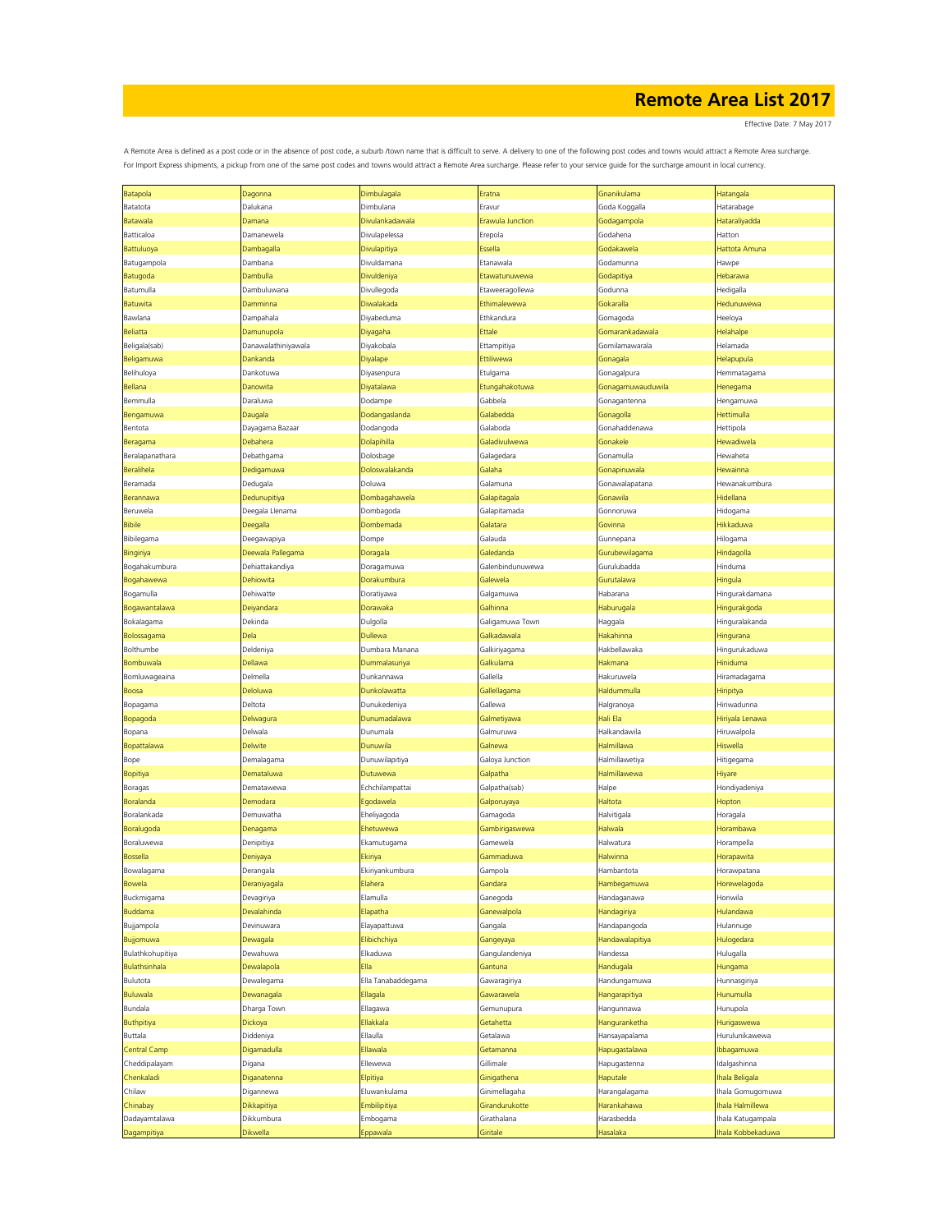Effective Date: 7 May 2017

| Batapola             | Dagonna             | Dimbulagala        | Eratna                  | Gnanikulama       | Hatangala         |
|----------------------|---------------------|--------------------|-------------------------|-------------------|-------------------|
| Batatota             | Dalukana            | Dimbulana          | Eravur                  | Goda Koggalla     | Hatarabage        |
| Batawala             | Damana              | Divulankadawala    | <b>Erawula Junction</b> | Godagampola       | Hataraliyadda     |
|                      |                     | Divulapelessa      |                         |                   |                   |
| Batticaloa           | Damanewela          |                    | Erepola                 | Godahena          | Hatton            |
| Battuluoya           | Dambagalla          | Divulapitiya       | Essella                 | Godakawela        | Hattota Amuna     |
| Batugampola          | Dambana             | Divuldamana        | Etanawala               | Godamunna         | Hawpe             |
| Batugoda             | Dambulla            | Divuldeniya        | Etawatunuwewa           | Godapitiya        | Hebarawa          |
| Batumulla            | Dambuluwana         | Divullegoda        | Etaweeragollewa         | Godunna           | Hedigalla         |
| Batuwita             | Damminna            | Diwalakada         | Ethimalewewa            | Gokaralla         | Hedunuwewa        |
|                      |                     |                    |                         |                   |                   |
| Bawlana              | Dampahala           | Diyabeduma         | Ethkandura              | Gomagoda          | Heeloya           |
| Beliatta             | Damunupola          | Diyagaha           | Ettale                  | Gomarankadawala   | Helahalpe         |
| Beligala(sab)        | Danawalathiniyawala | Diyakobala         | Ettampitiya             | Gomilamawarala    | Helamada          |
| Beligamuwa           | Dankanda            | Diyalape           | Ettiliwewa              | Gonagala          | Helapupula        |
| Belihuloya           | Dankotuwa           | Diyasenpura        | Etulgama                | Gonagalpura       | Hemmatagama       |
|                      | Danowita            |                    |                         |                   |                   |
| Bellana              |                     | Diyatalawa         | Etungahakotuwa          | Gonagamuwauduwila | Henegama          |
| Bemmulla             | Daraluwa            | Dodampe            | Gabbela                 | Gonagantenna      | Hengamuwa         |
| Bengamuwa            | Daugala             | Dodangaslanda      | Galabedda               | Gonagolla         | Hettimulla        |
| Bentota              | Dayagama Bazaar     | Dodangoda          | Galaboda                | Gonahaddenawa     | Hettipola         |
| Beragama             | Debahera            | Dolapihilla        | Galadivulwewa           | Gonakele          | Hewadiwela        |
|                      |                     |                    |                         |                   |                   |
| Beralapanathara      | Debathgama          | Dolosbage          | Galagedara              | Gonamulla         | Hewaheta          |
| Beralihela           | Dedigamuwa          | Doloswalakanda     | Galaha                  | Gonapinuwala      | Hewainna          |
| Beramada             | Dedugala            | Doluwa             | Galamuna                | Gonawalapatana    | Hewanakumbura     |
| Berannawa            | Dedunupitiya        | Dombagahawela      | Galapitagala            | Gonawila          | Hidellana         |
| Beruwela             | Deegala Llenama     | Dombagoda          | Galapitamada            | Gonnoruwa         | Hidogama          |
| <b>Bibile</b>        | Deegalla            | Dombemada          | Galatara                | Govinna           | Hikkaduwa         |
|                      |                     |                    |                         |                   |                   |
| Bibilegama           | Deegawapiya         | Dompe              | Galauda                 | Gunnepana         | Hilogama          |
| Bingiriya            | Deewala Pallegama   | Doragala           | Galedanda               | Gurubewilagama    | Hindagolla        |
| Bogahakumbura        | Dehiattakandiya     | Doragamuwa         | Galenbindunuwewa        | Gurulubadda       | Hinduma           |
| Bogahawewa           | Dehiowita           | Dorakumbura        | Galewela                | Gurutalawa        | Hingula           |
| Bogamulla            | Dehiwatte           | Doratiyawa         | Galgamuwa               | Habarana          | Hingurakdamana    |
|                      |                     |                    |                         |                   |                   |
| Bogawantalawa        | Deiyandara          | Dorawaka           | Galhinna                | Haburugala        | Hingurakgoda      |
| Bokalagama           | Dekinda             | Dulgolla           | Galigamuwa Town         | Haggala           | Hinguralakanda    |
| Bolossagama          | Dela                | Dullewa            | Galkadawala             | Hakahinna         | Hingurana         |
| Bolthumbe            | Deldeniya           | Dumbara Manana     | Galkiriyagama           | Hakbellawaka      | Hingurukaduwa     |
| Bombuwala            | Dellawa             | Dummalasuriya      | Galkulama               | Hakmana           | Hiniduma          |
|                      |                     |                    |                         |                   |                   |
| Bomluwageaina        | Delmella            | Dunkannawa         | Gallella                | Hakuruwela        | Hiramadagama      |
| Boosa                | Deloluwa            | Dunkolawatta       | Gallellagama            | Haldummulla       | Hiripitya         |
| Bopagama             | Deltota             | Dunukedeniya       | Gallewa                 | Halgranoya        | Hiriwadunna       |
| Bopagoda             | Delwagura           | Dunumadalawa       | Galmetiyawa             | Hali Ela          | Hiriyala Lenawa   |
| Bopana               | Delwala             | Dunumala           | Galmuruwa               | Halkandawila      | Hiruwalpola       |
|                      |                     |                    |                         |                   |                   |
| Bopattalawa          | Delwite             | Dunuwila           | Galnewa                 | Halmillawa        | Hiswella          |
| Bope                 | Demalagama          | Dunuwilapitiya     | Galoya Junction         | Halmillawetiya    | Hitigegama        |
| <b>Bopitiya</b>      | Demataluwa          | Dutuwewa           | Galpatha                | Halmillawewa      | Hiyare            |
| Boragas              | Dematawewa          | Echchilampattai    | Galpatha(sab)           | Halpe             | Hondiyadeniya     |
| Boralanda            | Demodara            | Egodawela          | Galporuyaya             | Haltota           | Hopton            |
|                      |                     |                    |                         |                   |                   |
| Boralankada          | Demuwatha           | Eheliyagoda        | Gamagoda                | Halvitigala       | Horagala          |
| Boralugoda           | Denagama            | Ehetuwewa          | Gambirigaswewa          | Halwala           | Horambawa         |
| Boraluwewa           | Denipitiya          | Ekamutugama        | Gamewela                | Halwatura         | Horampella        |
| <b>Bossella</b>      | Deniyaya            | Ekiriya            | Gammaduwa               | Halwinna          | Horapawita        |
| Bowalagama           | Derangala           | Ekiriyankumbura    | Gampola                 | Hambantota        | Horawpatana       |
| Bowela               | Deraniyagala        | Elahera            | Gandara                 | Hambegamuwa       | Horewelagoda      |
|                      |                     |                    |                         |                   |                   |
| Buckmigama           | Devagiriya          | Elamulla           | Ganegoda                | Handaganawa       | Horiwila          |
| <b>Buddama</b>       | Devalahinda         | Elapatha           | Ganewalpola             | Handagiriya       | Hulandawa         |
| Bujjampola           | Devinuwara          | Elayapattuwa       | Gangala                 | Handapangoda      | Hulannuge         |
| Bujjomuwa            | Dewagala            | Elibichchiya       | Gangeyaya               | Handawalapitiya   | Hulogedara        |
| Bulathkohupitiya     | Dewahuwa            | Elkaduwa           | Gangulandeniya          | Handessa          | Hulugalla         |
| <b>Bulathsinhala</b> | Dewalapola          | Ella               | Gantuna                 | Handugala         | Hungama           |
|                      |                     |                    |                         |                   |                   |
| Bulutota             | Dewalegama          | Ella Tanabaddegama | Gawaragiriya            | Handungamuwa      | Hunnasgiriya      |
| <b>Buluwala</b>      | Dewanagala          | Ellagala           | Gawarawela              | Hangarapitiya     | Hunumulla         |
| Bundala              | Dharga Town         | Ellagawa           | Gemunupura              | Hangunnawa        | Hunupola          |
| <b>Buthpitiya</b>    | Dickoya             | Ellakkala          | Getahetta               | Hanguranketha     | Hurigaswewa       |
| Buttala              | Diddeniya           | Ellaulla           | Getalawa                | Hansayapalama     | Hurulunikawewa    |
|                      |                     |                    |                         |                   |                   |
| Central Camp         | Digamadulla         | Ellawala           | Getamanna               | Hapugastalawa     | Ibbagamuwa        |
| Cheddipalayam        | Digana              | Ellewewa           | Gillimale               | Hapugastenna      | Idalgashinna      |
| Chenkaladi           | Diganatenna         | Elpitiya           | Ginigathena             | Haputale          | Ihala Beligala    |
| Chilaw               | Digannewa           | Eluwankulama       | Ginimellagaha           | Harangalagama     | hala Gomugomuwa   |
| Chinabay             | Dikkapitiya         | Embilipitiya       | Girandurukotte          | Harankahawa       | hala Halmillewa   |
|                      |                     |                    |                         |                   |                   |
| Dadayamtalawa        | Dikkumbura          | Embogama           | Girathalana             | Harasbedda        | Ihala Katugampala |
| Dagampitiya          | Dikwella            | Eppawala           | Giritale                | Hasalaka          | hala Kobbekaduwa  |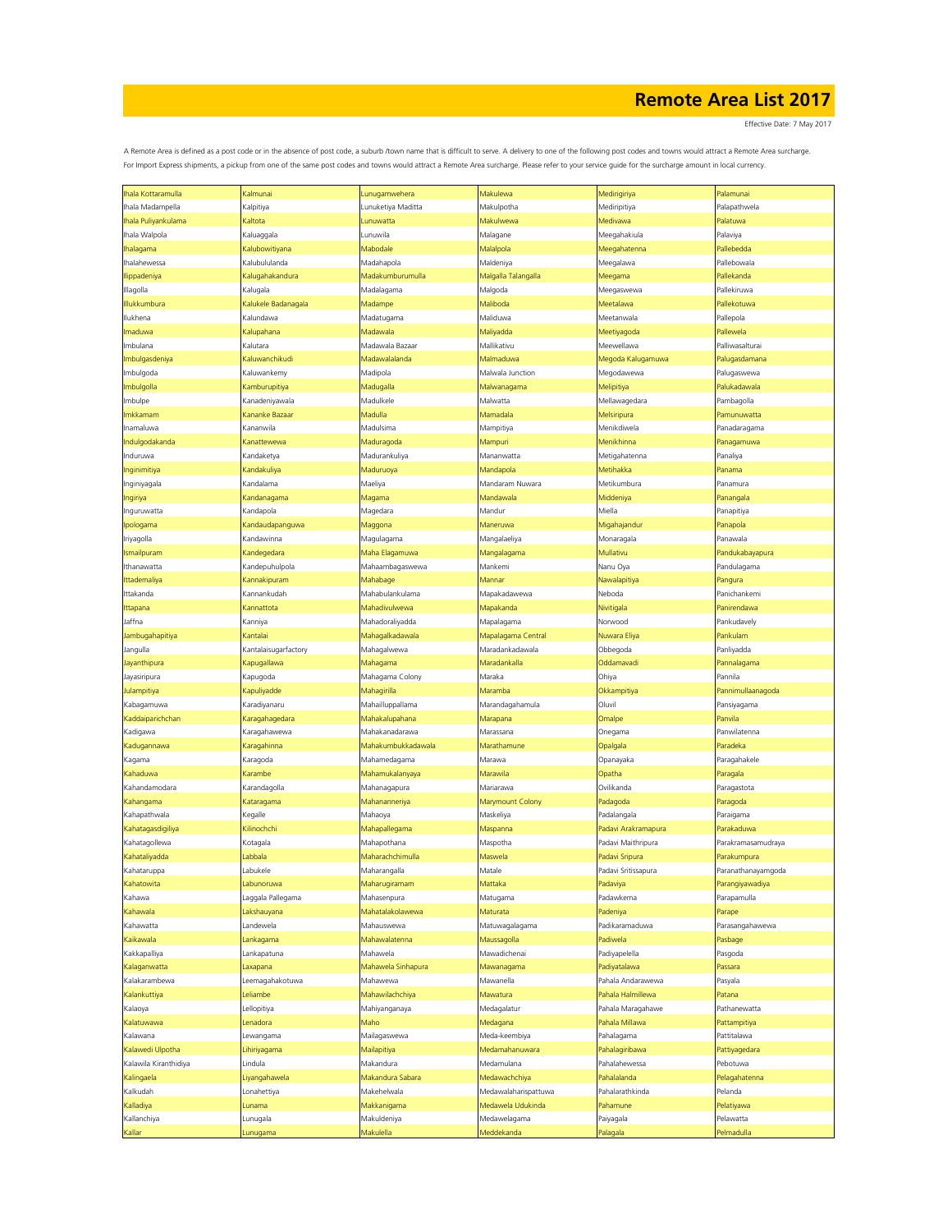Effective Date: 7 May 2017

| hala Kottaramulla     | Kalmunai             | Lunugamwehera      | Makulewa             | Medirigiriya        | Palamunai          |
|-----------------------|----------------------|--------------------|----------------------|---------------------|--------------------|
|                       |                      |                    |                      |                     |                    |
| hala Madampella       | Kalpitiya            | Lunuketiya Maditta | Makulpotha           | Mediripitiya        | Palapathwela       |
| hala Puliyankulama    | Kaltota              | Lunuwatta          | Makulwewa            | Medivawa            | Palatuwa           |
| hala Walpola          | Kaluaggala           | Lunuwila           | Malagane             | Meegahakiula        | Palaviya           |
| halagama              | Kalubowitiyana       | Mabodale           | Malalpola            | Meegahatenna        | Pallebedda         |
| Ihalahewessa          | Kalubululanda        | Madahapola         | Maldeniya            | Meegalawa           | Pallebowala        |
| lippadeniya           | Kalugahakandura      | Madakumburumulla   | Malgalla Talangalla  | Meegama             | Pallekanda         |
| Illagolla             |                      | Madalagama         |                      |                     | Pallekiruwa        |
|                       | Kalugala             |                    | Malgoda              | Meegaswewa          |                    |
| llukkumbura           | Kalukele Badanagala  | Madampe            | Maliboda             | Meetalawa           | Pallekotuwa        |
| lukhena               | Kalundawa            | Madatugama         | Maliduwa             | Meetanwala          | Pallepola          |
| maduwa                | Kalupahana           | Madawala           | Maliyadda            | Meetiyagoda         | Pallewela          |
| mbulana               | Kalutara             | Madawala Bazaar    | Mallikativu          | Meewellawa          | Palliwasalturai    |
| mbulgasdeniya         | Kaluwanchikudi       | Madawalalanda      | Malmaduwa            | Megoda Kalugamuwa   | Palugasdamana      |
| Imbulgoda             | Kaluwankemy          | Madipola           | Malwala Junction     | Megodawewa          | Palugaswewa        |
| mbulgolla             | <b>Kamburupitiya</b> | Madugalla          | Malwanagama          | Melipitiya          | Palukadawala       |
| mbulpe                | Kanadeniyawala       | Madulkele          | Malwatta             | Mellawagedara       | Pambagolla         |
| mkkamam               |                      | Madulla            | Mamadala             | Melsiripura         | Pamunuwatta        |
|                       | Kananke Bazaaı       |                    |                      |                     |                    |
| namaluwa              | Kananwila            | Madulsima          | Mampitiya            | Menikdiwela         | Panadaragama       |
| Indulgodakanda        | Kanattewewa          | Maduragoda         | Mampuri              | Menikhinna          | Panagamuwa         |
| Induruwa              | Kandaketya           | Madurankuliya      | Mananwatta           | Metigahatenna       | Panaliya           |
| Inginimitiya          | Kandakuliya          | Maduruoya          | Mandapola            | Metihakka           | Panama             |
| Inginiyagala          | Kandalama            | Maeliya            | Mandaram Nuwara      | Metikumbura         | Panamura           |
| ngiriya               | Kandanagama          | Magama             | Mandawala            | Middeniya           | Panangala          |
| nguruwatta            | Kandapola            | Magedara           | Mandur               | Miella              | Panapitiya         |
| pologama              | Kandaudapanguwa      | Maggona            | Maneruwa             | Migahajandur        | Panapola           |
| Iriyagolla            | Kandawinna           | Magulagama         | Mangalaeliya         | Monaragala          | Panawala           |
|                       |                      | Maha Elagamuwa     |                      | Mullativu           | Pandukabayapura    |
| smailpuram            | Kandegedara          |                    | Mangalagama          |                     |                    |
| thanawatta            | Kandepuhulpola       | Mahaambagaswewa    | Mankemi              | Nanu Oya            | Pandulagama        |
| ttademaliya           | Kannakipuram         | Mahabage           | Mannar               | Nawalapitiya        | Pangura            |
| ttakanda              | Kannankudah          | Mahabulankulama    | Mapakadawewa         | Neboda              | Panichankemi       |
| ttapana               | Kannattota           | Mahadivulwewa      | Mapakanda            | Nivitigala          | Panirendawa        |
| Jaffna                | Kanniya              | Mahadoraliyadda    | Mapalagama           | Norwood             | Pankudavely        |
| lambugahapitiya       | Kantalai             | Mahagalkadawala    | Mapalagama Central   | Nuwara Eliya        | Pankulam           |
| Jangulla              | Kantalaisugarfactory | Mahagalwewa        | Maradankadawala      | Obbegoda            | Panliyadda         |
| layanthipura          | Kapugallawa          | Mahagama           | Maradankalla         | Oddamavadi          | Pannalagama        |
|                       |                      |                    |                      |                     |                    |
| layasiripura          | Kapugoda             | Mahagama Colony    | Maraka               | Ohiya               | Pannila            |
| <b>Julampitiya</b>    | Kapuliyadde          | Mahagirilla        | Maramba              | Okkampitiya         | Pannimullaanagoda  |
| Kabagamuwa            | Karadiyanaru         | Mahailluppallama   | Marandagahamula      | Oluvil              | Pansiyagama        |
| Kaddaiparichchan      | Karagahagedara       | Mahakalupahana     | Marapana             | Omalpe              | Panvila            |
| Kadigawa              | Karagahawewa         | Mahakanadarawa     | Marassana            | Onegama             | Panwilatenna       |
| Kadugannawa           | Karagahinna          | Mahakumbukkadawala | Marathamune          | Opalgala            | Paradeka           |
| Kagama                | Karagoda             | Mahamedagama       | Marawa               | Opanayaka           | Paragahakele       |
| Kahaduwa              | Karambe              | Mahamukalanyaya    | Marawila             | Opatha              | Paragala           |
| Kahandamodara         | Karandagolla         | Mahanagapura       | Mariarawa            | Ovilikanda          | Paragastota        |
|                       |                      |                    |                      |                     |                    |
| Kahangama             | Kataragama           | Mahananneriya      | Marymount Colony     | Padagoda            | Paragoda           |
| Kahapathwala          | Kegalle              | Mahaoya            | Maskeliya            | Padalangala         | Paraigama          |
| Kahatagasdigiliya     | Kilinochchi          | Mahapallegama      | Maspanna             | Padavi Arakramapura | Parakaduwa         |
| Kahatagollewa         | Kotagala             | Mahapothana        | Maspotha             | Padavi Maithripura  | Parakramasamudraya |
| Kahataliyadda         | Labbala              | Maharachchimulla   | Maswela              | Padavi Sripura      | Parakumpura        |
| Kahataruppa           | Labukele             | Maharangalla       | Matale               | Padavi Sritissapura | Paranathanayamgoda |
| Kahatowita            | Labunoruwa           | Maharugiramam      | Mattaka              | Padaviya            | Parangiyawadiya    |
| Kahawa                | Laggala Pallegama    | Mahasenpura        | Matugama             | Padawkema           | Parapamulla        |
| Kahawala              | Lakshauyana          | Mahatalakolawewa   | Maturata             | Padeniya            | Parape             |
| Kahawatta             | Landewela            | Mahauswewa         | Matuwagalagama       | Padikaramaduwa      | Parasangahawewa    |
| Kaikawala             | Lankagama            | Mahawalatenna      | Maussagolla          | Padiwela            | Pasbage            |
|                       |                      |                    |                      |                     |                    |
| Kakkapalliya          | Lankapatuna          | Mahawela           | Mawadichenai         | Padiyapelella       | Pasgoda            |
| Kalaganwatta          | Laxapana             | Mahawela Sinhapura | Mawanagama           | Padiyatalawa        | Passara            |
| Kalakarambewa         | Leemagahakotuwa      | Mahawewa           | Mawanella            | Pahala Andarawewa   | Pasyala            |
| Kalankuttiya          | Leliambe             | Mahawilachchiya    | Mawatura             | Pahala Halmillewa   | Patana             |
| Kalaoya               | Lellopitiya          | Mahiyanganaya      | Medagalatur          | Pahala Maragahawe   | Pathanewatta       |
| Kalatuwawa            | Lenadora             | Maho               | Medagana             | Pahala Millawa      | Pattampitiya       |
| Kalawana              | Lewangama            | Mailagaswewa       | Meda-keembiya        | Pahalagama          | Pattitalawa        |
| Kalawedi Ulpotha      | Lihiriyagama         | Mailapitiya        | Medamahanuwara       | Pahalagiribawa      | Pattiyagedara      |
| Kalawila Kiranthidiya | Lindula              | Makandura          | Medamulana           | Pahalahewessa       | Pebotuwa           |
| Kalingaela            | Liyangahawela        | Makandura Sabara   | Medawachchiya        | Pahalalanda         | Pelagahatenna      |
|                       |                      |                    |                      |                     |                    |
| Kalkudah              | Lonahettiya          | Makehelwala        | Medawalaharispattuwa | Pahalarathkinda     | Pelanda            |
| Kalladiya             | Lunama               | Makkanigama        | Medawela Udukinda    | Pahamune            | Pelatiyawa         |
| Kallanchiya           | Lunugala             | Makuldeniya        | Medawelagama         | Paiyagala           | Pelawatta          |
| Kallar                | Lunugama             | Makulella          | Meddekanda           | Palagala            | Pelmadulla         |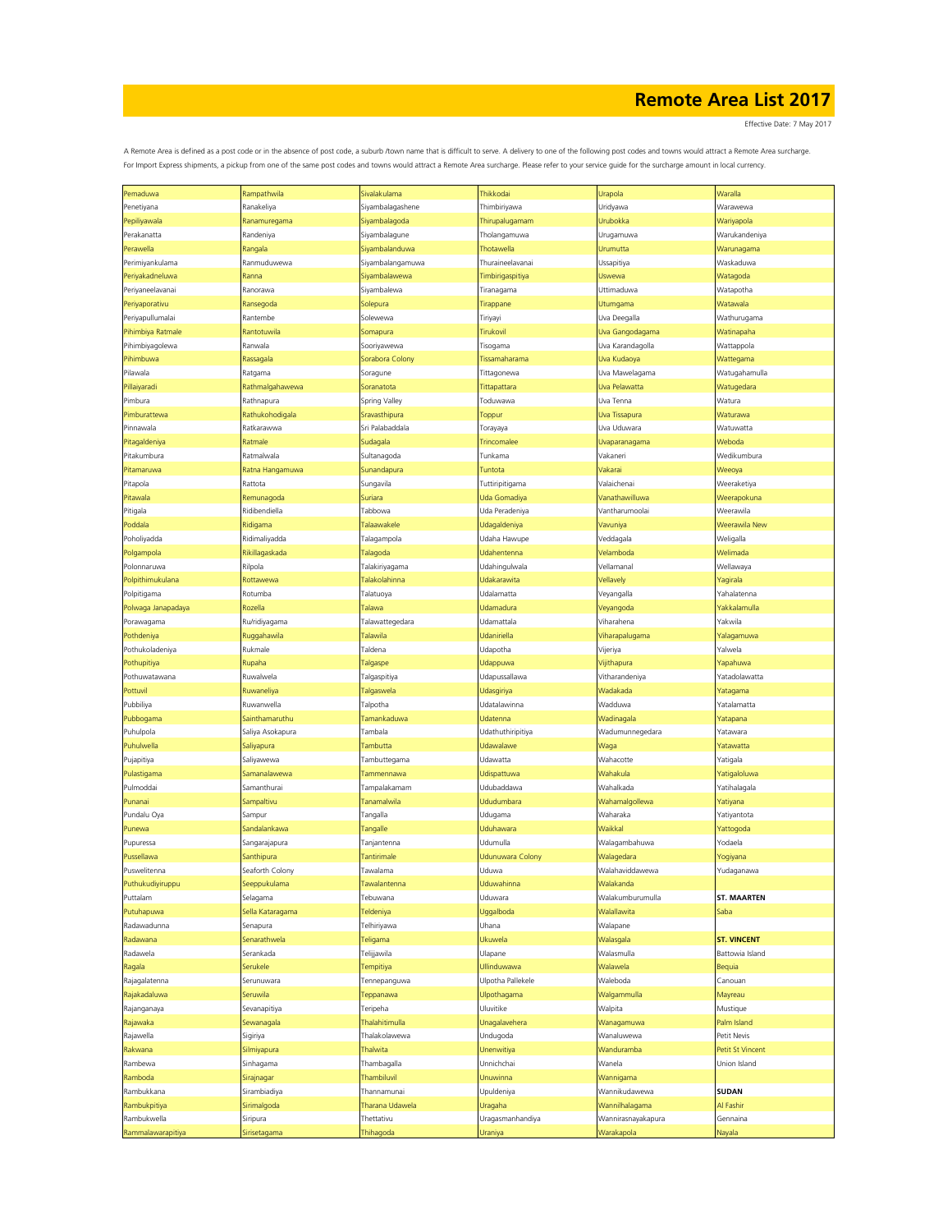Effective Date: 7 May 2017

| Pemaduwa           | Rampathwila      | Sivalakulama          | Thikkodai           | Urapola            | Waralla            |
|--------------------|------------------|-----------------------|---------------------|--------------------|--------------------|
| Penetiyana         | Ranakeliya       | Siyambalagashene      | Thimbiriyawa        | Uridyawa           | Warawewa           |
| Pepiliyawala       | Ranamuregama     | Siyambalagoda         | Thirupalugamam      | Urubokka           | Wariyapola         |
|                    |                  |                       |                     |                    |                    |
| Perakanatta        | Randeniya        | Siyambalagune         | Tholangamuwa        | Urugamuwa          | Warukandeniya      |
| Perawella          | Rangala          | <b>Siyambalanduwa</b> | Thotawella          | Urumutta           | Warunagama         |
| Perimiyankulama    | Ranmuduwewa      | Siyambalangamuwa      | Thuraineelavanai    | Ussapitiya         | Waskaduwa          |
| Periyakadneluwa    | Ranna            | siyambalawewa         | Timbirigaspitiya    | Uswewa             | Watagoda           |
| Periyaneelavanai   | Ranorawa         | Siyambalewa           | Tiranagama          | Uttimaduwa         | Watapotha          |
|                    |                  |                       |                     |                    |                    |
| Periyaporativu     | Ransegoda        | Solepura              | Tirappane           | Utumgama           | Watawala           |
| Periyapullumalai   | Rantembe         | Solewewa              | Tiriyayi            | Uva Deegalla       | Wathurugama        |
| Pihimbiya Ratmale  | Rantotuwila      | Somapura              | <b>Tirukovil</b>    | Uva Gangodagama    | Watinapaha         |
| Pihimbiyagolewa    | Ranwala          | Sooriyawewa           | Tisogama            | Uva Karandagolla   | Wattappola         |
| Pihimbuwa          | Rassagala        | Sorabora Colony       | Tissamaharama       | Uva Kudaoya        | Wattegama          |
| Pilawala           | Ratgama          | Soragune              | Tittagonewa         | Uva Mawelagama     | Watugahamulla      |
|                    |                  |                       |                     |                    |                    |
| Pillaiyaradi       | Rathmalgahawewa  | Soranatota            | Tittapattara        | Uva Pelawatta      | Watugedara         |
| Pimbura            | Rathnapura       | Spring Valley         | Toduwawa            | Uva Tenna          | Watura             |
| Pimburattewa       | Rathukohodigala  | Sravasthipura         | Toppur              | Uva Tissapura      | Waturawa           |
| Pinnawala          | Ratkarawwa       | Sri Palabaddala       | Torayaya            | Uva Uduwara        | Watuwatta          |
| Pitagaldeniya      | Ratmale          | Sudagala              | Trincomalee         | Uvaparanagama      | Weboda             |
|                    |                  |                       |                     |                    |                    |
| Pitakumbura        | Ratmalwala       | Sultanagoda           | Tunkama             | Vakaneri           | Wedikumbura        |
| Pitamaruwa         | Ratna Hangamuwa  | Sunandapura           | Tuntota             | Vakarai            | Weeoya             |
| Pitapola           | Rattota          | Sungavila             | Tuttiripitigama     | Valaichenai        | Weeraketiya        |
| Pitawala           | Remunagoda       | Suriara               | <b>Jda Gomadiya</b> | Vanathawilluwa     | Weerapokuna        |
| Pitigala           | Ridibendiella    | Tabbowa               | Uda Peradeniya      | Vantharumoolai     | Weerawila          |
|                    |                  |                       |                     |                    |                    |
| Poddala            | Ridigama         | Talaawakele           | Udagaldeniya        | Vavuniya           | Weerawila New      |
| Poholiyadda        | Ridimaliyadda    | Talagampola           | Udaha Hawupe        | Veddagala          | Weligalla          |
| Polgampola         | Rikillagaskada   | Talagoda              | Udahentenna         | Velamboda          | Welimada           |
| Polonnaruwa        | Rilpola          | Talakiriyagama        | Udahingulwala       | Vellamanal         | Wellawaya          |
| Polpithimukulana   | Rottawewa        | Talakolahinna         | Udakarawita         | Vellavely          | Yagirala           |
|                    |                  |                       |                     |                    |                    |
| Polpitigama        | Rotumba          | Talatuoya             | Udalamatta          | Veyangalla         | Yahalatenna        |
| Polwaga Janapadaya | Rozella          | Talawa                | Udamadura           | Veyangoda          | Yakkalamulla       |
| Porawagama         | Ru/ridiyagama    | Talawattegedara       | Udamattala          | Viharahena         | Yakwila            |
| Pothdeniya         | Ruggahawila      | Talawila              | Udaniriella         | Viharapalugama     | Yalagamuwa         |
| Pothukoladeniya    | Rukmale          | Taldena               | Udapotha            | Vijeriya           | Yalwela            |
|                    |                  |                       |                     |                    |                    |
| Pothupitiya        | Rupaha           | Talgaspe              | <b>Jdappuwa</b>     | Vijithapura        | Yapahuwa           |
| Pothuwatawana      | Ruwalwela        | Talgaspitiya          | Udapussallawa       | Vitharandeniya     | Yatadolawatta      |
| Pottuvil           | Ruwaneliya       | Talgaswela            | Udasgiriya          | Wadakada           | Yatagama           |
| Pubbiliya          | Ruwanwella       | Talpotha              | Udatalawinna        | Wadduwa            | Yatalamatta        |
| Pubbogama          | Sainthamaruthu   | Tamankaduwa           | Udatenna            | Wadinagala         | Yatapana           |
|                    |                  | Tambala               |                     |                    |                    |
| Puhulpola          | Saliya Asokapura |                       | Udathuthiripitiya   | Wadumunnegedara    | Yatawara           |
| Puhulwella         | Saliyapura       | Tambutta              | Udawalawe           | Waga               | Yatawatta          |
| Pujapitiya         | Saliyawewa       | Tambuttegama          | Udawatta            | Wahacotte          | Yatigala           |
| Pulastigama        | Samanalawewa     | Tammennawa            | Udispattuwa         | Wahakula           | Yatigaloluwa       |
| Pulmoddai          | Samanthurai      | Tampalakamam          | Udubaddawa          | Wahalkada          | Yatihalagala       |
|                    |                  | Tanamalwila           | Ududumbara          |                    |                    |
| Punanai            | Sampaltivu       |                       |                     | Wahamalgollewa     | Yatiyana           |
| Pundalu Oya        | Sampur           | Tangalla              | Udugama             | Waharaka           | Yatiyantota        |
| Punewa             | Sandalankawa     | Tangalle              | Uduhawara           | Waikkal            | Yattogoda          |
| Pupuressa          | Sangarajapura    | Tanjantenna           | Udumulla            | Walagambahuwa      | Yodaela            |
| Pussellawa         | Santhipura       | Tantirimale           | Udunuwara Colony    | Walagedara         | Yogiyana           |
| Puswelitenna       | Seaforth Colony  | Tawalama              | Uduwa               | Walahaviddawewa    | Yudaganawa         |
|                    |                  |                       |                     |                    |                    |
| Puthukudiyiruppu   | Seeppukulama     | Tawalantenna          | Uduwahinna          | Walakanda          |                    |
| Puttalam           | Selagama         | Tebuwana              | Uduwara             | Walakumburumulla   | <b>ST. MAARTEN</b> |
| Putuhapuwa         | Sella Kataragama | Teldeniya             | Uggalboda           | Walallawita        | Saba               |
| Radawadunna        | Senapura         | Telhiriyawa           | Uhana               | Walapane           |                    |
| Radawana           | Senarathwela     | Teligama              | Ukuwela             | Walasgala          | <b>ST. VINCENT</b> |
| Radawela           | Serankada        |                       | Ulapane             | Walasmulla         | Battowia Island    |
|                    |                  | Telijjawila           |                     |                    |                    |
| Ragala             | Serukele         | Tempitiya             | Ullinduwawa         | Walawela           | Bequia             |
| Rajagalatenna      | Serunuwara       | Tennepanguwa          | Ulpotha Pallekele   | Waleboda           | Canouan            |
| Rajakadaluwa       | Seruwila         | Teppanawa             | Ulpothagama         | Walgammulla        | Mayreau            |
| Rajanganaya        | Sevanapitiya     | Teripeha              | Uluvitike           | Walpita            | Mustique           |
| Rajawaka           | Sewanagala       | Thalahitimulla        | Unagalavehera       | Wanagamuwa         | Palm Island        |
|                    |                  |                       |                     |                    |                    |
| Rajawella          | Sigiriya         | Thalakolawewa         | Undugoda            | Wanaluwewa         | Petit Nevis        |
| Rakwana            | Silmiyapura      | Thalwita              | Unenwitiya          | Wanduramba         | Petit St Vincent   |
| Rambewa            | Sinhagama        | Thambagalla           | Unnichchai          | Wanela             | Union Island       |
| Ramboda            | Sirajnagar       | Thambiluvil           | Unuwinna            | Wannigama          |                    |
| Rambukkana         |                  | Thannamunai           |                     | Wannikudawewa      | <b>SUDAN</b>       |
|                    | Sirambiadiya     |                       | Upuldeniya          |                    |                    |
| Rambukpitiya       | Sirimalgoda      | Tharana Udawela       | Uragaha             | Wannilhalagama     | Al Fashir          |
| Rambukwella        | Siripura         | Thettativu            | Uragasmanhandiya    | Wannirasnayakapura | Gennaina           |
| Rammalawarapitiya  | Sirisetagama     | Thihagoda             | <b>Jraniya</b>      | Warakapola         | <b>Nayala</b>      |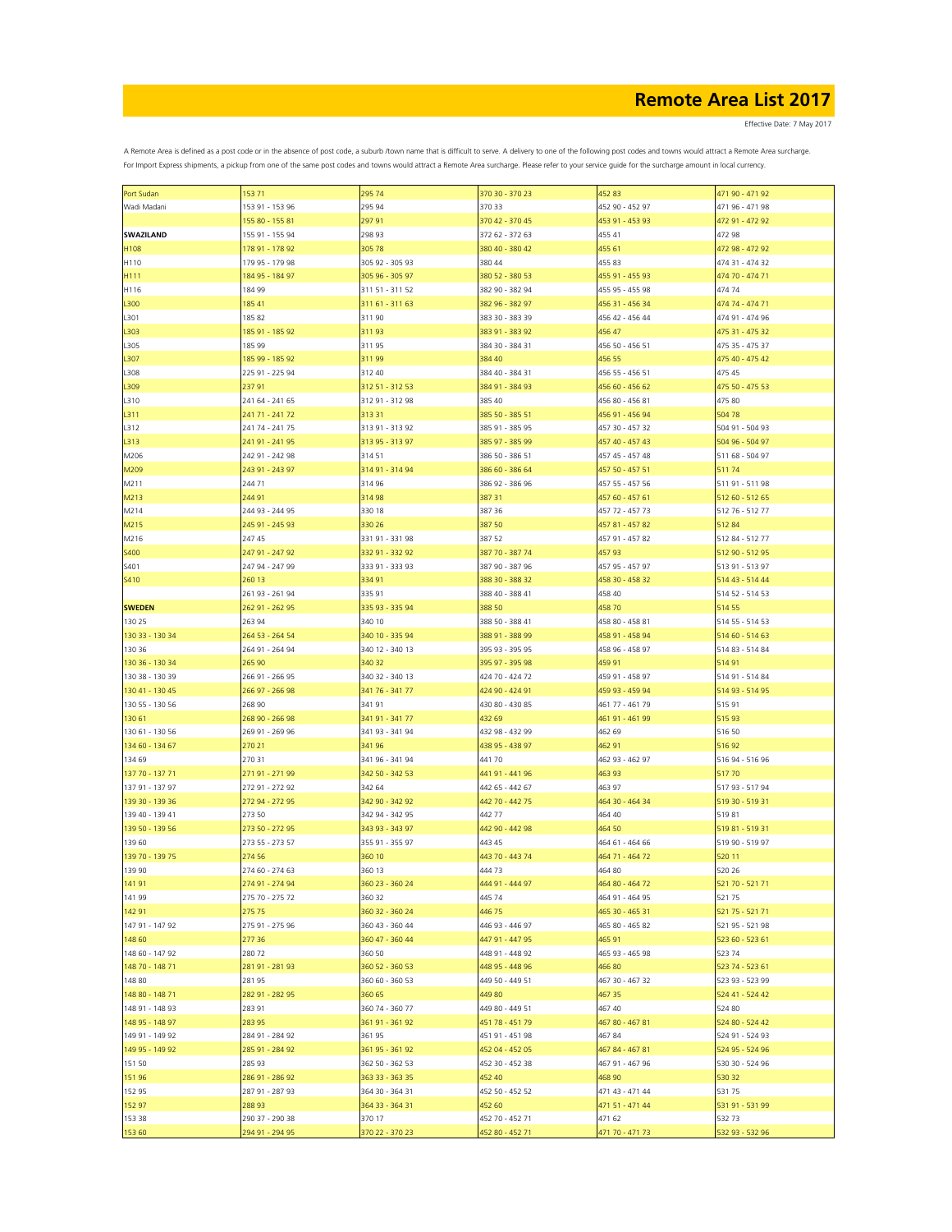Effective Date: 7 May 2017

| Port Sudan       | 15371           | 295 74          | 370 30 - 370 23 | 452 83          | 471 90 - 471 92 |
|------------------|-----------------|-----------------|-----------------|-----------------|-----------------|
| Wadi Madani      | 153 91 - 153 96 | 295 94          | 370 33          | 452 90 - 452 97 | 471 96 - 471 98 |
|                  | 155 80 - 155 81 | 29791           | 370 42 - 370 45 | 453 91 - 453 93 | 472 91 - 472 92 |
|                  |                 |                 |                 |                 |                 |
| <b>SWAZILAND</b> | 155 91 - 155 94 | 298 93          | 372 62 - 372 63 | 455 41          | 472 98          |
| H108             | 178 91 - 178 92 | 305 78          | 380 40 - 380 42 | 455 61          | 472 98 - 472 92 |
| H110             | 179 95 - 179 98 | 305 92 - 305 93 | 380 44          | 455 83          | 474 31 - 474 32 |
|                  |                 |                 |                 |                 | 474 70 - 474 71 |
| H111             | 184 95 - 184 97 | 305 96 - 305 97 | 380 52 - 380 53 | 455 91 - 455 93 |                 |
| H116             | 184 99          | 311 51 - 311 52 | 382 90 - 382 94 | 455 95 - 455 98 | 474 74          |
| L300             | 185 41          | 311 61 - 311 63 | 382 96 - 382 97 | 456 31 - 456 34 | 474 74 - 474 71 |
| L301             | 185 82          | 311 90          | 383 30 - 383 39 | 456 42 - 456 44 | 474 91 - 474 96 |
|                  |                 |                 |                 |                 |                 |
| L303             | 185 91 - 185 92 | 31193           | 383 91 - 383 92 | 456 47          | 475 31 - 475 32 |
| L305             | 185 99          | 31195           | 384 30 - 384 31 | 456 50 - 456 51 | 475 35 - 475 37 |
| L307             | 185 99 - 185 92 | 311 99          | 384 40          | 456 55          | 475 40 - 475 42 |
| L308             | 225 91 - 225 94 | 312 40          | 384 40 - 384 31 | 456 55 - 456 51 | 475 45          |
|                  |                 |                 |                 |                 |                 |
| L309             | 23791           | 312 51 - 312 53 | 384 91 - 384 93 | 456 60 - 456 62 | 475 50 - 475 53 |
| L310             | 241 64 - 241 65 | 312 91 - 312 98 | 385 40          | 456 80 - 456 81 | 475 80          |
| L311             | 241 71 - 241 72 | 313 31          | 385 50 - 385 51 | 456 91 - 456 94 | 504 78          |
|                  |                 |                 |                 |                 |                 |
| L312             | 241 74 - 241 75 | 313 91 - 313 92 | 385 91 - 385 95 | 457 30 - 457 32 | 504 91 - 504 93 |
| L313             | 241 91 - 241 95 | 313 95 - 313 97 | 385 97 - 385 99 | 457 40 - 457 43 | 504 96 - 504 97 |
| M206             | 242 91 - 242 98 | 314 51          | 386 50 - 386 51 | 457 45 - 457 48 | 511 68 - 504 97 |
| M209             | 243 91 - 243 97 | 314 91 - 314 94 | 386 60 - 386 64 | 457 50 - 457 51 | 51174           |
|                  |                 |                 |                 |                 |                 |
| M211             | 244 71          | 314 96          | 386 92 - 386 96 | 457 55 - 457 56 | 511 91 - 511 98 |
| M213             | 244 91          | 314 98          | 387 31          | 457 60 - 457 61 | 512 60 - 512 65 |
| M214             | 244 93 - 244 95 | 330 18          | 387 36          | 457 72 - 457 73 | 512 76 - 512 77 |
|                  |                 |                 |                 |                 |                 |
| M215             | 245 91 - 245 93 | 330 26          | 387 50          | 457 81 - 457 82 | 51284           |
| M216             | 247 45          | 331 91 - 331 98 | 387 52          | 457 91 - 457 82 | 512 84 - 512 77 |
| <b>S400</b>      | 247 91 - 247 92 | 332 91 - 332 92 | 387 70 - 387 74 | 45793           | 512 90 - 512 95 |
| S401             | 247 94 - 247 99 | 333 91 - 333 93 | 387 90 - 387 96 | 457 95 - 457 97 | 513 91 - 513 97 |
|                  |                 |                 |                 |                 |                 |
| <b>S410</b>      | 260 13          | 334 91          | 388 30 - 388 32 | 458 30 - 458 32 | 514 43 - 514 44 |
|                  | 261 93 - 261 94 | 335 91          | 388 40 - 388 41 | 458 40          | 514 52 - 514 53 |
| <b>SWEDEN</b>    | 262 91 - 262 95 | 335 93 - 335 94 | 388 50          | 45870           | 514 55          |
| 130 25           | 263 94          | 340 10          |                 | 458 80 - 458 81 | 514 55 - 514 53 |
|                  |                 |                 | 388 50 - 388 41 |                 |                 |
| 130 33 - 130 34  | 264 53 - 264 54 | 340 10 - 335 94 | 388 91 - 388 99 | 458 91 - 458 94 | 514 60 - 514 63 |
| 130 36           | 264 91 - 264 94 | 340 12 - 340 13 | 395 93 - 395 95 | 458 96 - 458 97 | 514 83 - 514 84 |
| 130 36 - 130 34  | 265 90          | 340 32          | 395 97 - 395 98 | 459 91          | 514 91          |
|                  |                 |                 |                 |                 |                 |
| 130 38 - 130 39  | 266 91 - 266 95 | 340 32 - 340 13 | 424 70 - 424 72 | 459 91 - 458 97 | 514 91 - 514 84 |
| 130 41 - 130 45  | 266 97 - 266 98 | 341 76 - 341 77 | 424 90 - 424 91 | 459 93 - 459 94 | 514 93 - 514 95 |
| 130 55 - 130 56  | 268 90          | 34191           | 430 80 - 430 85 | 461 77 - 461 79 | 51591           |
| 130 61           | 268 90 - 266 98 | 341 91 - 341 77 | 432 69          | 461 91 - 461 99 | 515 93          |
|                  |                 |                 |                 |                 |                 |
| 130 61 - 130 56  | 269 91 - 269 96 | 341 93 - 341 94 | 432 98 - 432 99 | 462 69          | 516 50          |
| 134 60 - 134 67  | 270 21          | 341 96          | 438 95 - 438 97 | 462 91          | 51692           |
| 134 69           | 270 31          | 341 96 - 341 94 | 44170           | 462 93 - 462 97 | 516 94 - 516 96 |
| 137 70 - 137 71  | 271 91 - 271 99 | 342 50 - 342 53 | 441 91 - 441 96 | 463 93          | 51770           |
|                  |                 |                 |                 |                 |                 |
| 137 91 - 137 97  | 272 91 - 272 92 | 342 64          | 442 65 - 442 67 | 463 97          | 517 93 - 517 94 |
| 139 30 - 139 36  | 272 94 - 272 95 | 342 90 - 342 92 | 442 70 - 442 75 | 464 30 - 464 34 | 519 30 - 519 31 |
| 139 40 - 139 41  | 273 50          | 342 94 - 342 95 | 442 77          | 464 40          | 51981           |
|                  |                 |                 |                 |                 |                 |
| 139 50 - 139 56  | 273 50 - 272 95 | 343 93 - 343 97 | 442 90 - 442 98 | 464 50          | 519 81 - 519 31 |
| 139 60           | 273 55 - 273 57 | 355 91 - 355 97 | 443 45          | 464 61 - 464 66 | 519 90 - 519 97 |
| 139 70 - 139 75  | 274 56          | 360 10          | 443 70 - 443 74 | 464 71 - 464 72 | 520 11          |
| 139 90           | 274 60 - 274 63 | 360 13          | 444 73          | 464 80          | 520 26          |
|                  |                 |                 |                 |                 |                 |
| 141 91           | 274 91 - 274 94 | 360 23 - 360 24 | 444 91 - 444 97 | 464 80 - 464 72 | 521 70 - 521 71 |
| 141 99           | 275 70 - 275 72 | 360 32          | 445 74          | 464 91 - 464 95 | 52175           |
| 142 91           | 27575           | 360 32 - 360 24 | 44675           | 465 30 - 465 31 | 521 75 - 521 71 |
| 147 91 - 147 92  | 275 91 - 275 96 | 360 43 - 360 44 | 446 93 - 446 97 | 465 80 - 465 82 | 521 95 - 521 98 |
|                  |                 |                 |                 |                 |                 |
| 148 60           | 277 36          | 360 47 - 360 44 | 447 91 - 447 95 | 465 91          | 523 60 - 523 61 |
| 148 60 - 147 92  | 28072           | 360 50          | 448 91 - 448 92 | 465 93 - 465 98 | 523 74          |
| 148 70 - 148 71  | 281 91 - 281 93 | 360 52 - 360 53 | 448 95 - 448 96 | 46680           | 523 74 - 523 61 |
| 148 80           | 28195           | 360 60 - 360 53 | 449 50 - 449 51 | 467 30 - 467 32 | 523 93 - 523 99 |
|                  |                 |                 |                 |                 |                 |
| 148 80 - 148 71  | 282 91 - 282 95 | 360 65          | 449 80          | 467 35          | 524 41 - 524 42 |
| 148 91 - 148 93  | 283 91          | 360 74 - 360 77 | 449 80 - 449 51 | 467 40          | 524 80          |
| 148 95 - 148 97  | 283 95          | 361 91 - 361 92 | 451 78 - 451 79 | 467 80 - 467 81 | 524 80 - 524 42 |
|                  | 284 91 - 284 92 |                 |                 |                 | 524 91 - 524 93 |
| 149 91 - 149 92  |                 | 36195           | 451 91 - 451 98 | 46784           |                 |
| 149 95 - 149 92  | 285 91 - 284 92 | 361 95 - 361 92 | 452 04 - 452 05 | 467 84 - 467 81 | 524 95 - 524 96 |
| 151 50           | 285 93          | 362 50 - 362 53 | 452 30 - 452 38 | 467 91 - 467 96 | 530 30 - 524 96 |
| 151 96           | 286 91 - 286 92 | 363 33 - 363 35 | 452 40          | 468 90          | 530 32          |
|                  |                 |                 |                 |                 |                 |
| 152 95           | 287 91 - 287 93 | 364 30 - 364 31 | 452 50 - 452 52 | 471 43 - 471 44 | 53175           |
| 152 97           | 28893           | 364 33 - 364 31 | 452 60          | 471 51 - 471 44 | 531 91 - 531 99 |
| 153 38           | 290 37 - 290 38 | 370 17          | 452 70 - 452 71 | 471 62          | 53273           |
| 153 60           | 294 91 - 294 95 | 370 22 - 370 23 | 452 80 - 452 71 | 471 70 - 471 73 | 532 93 - 532 96 |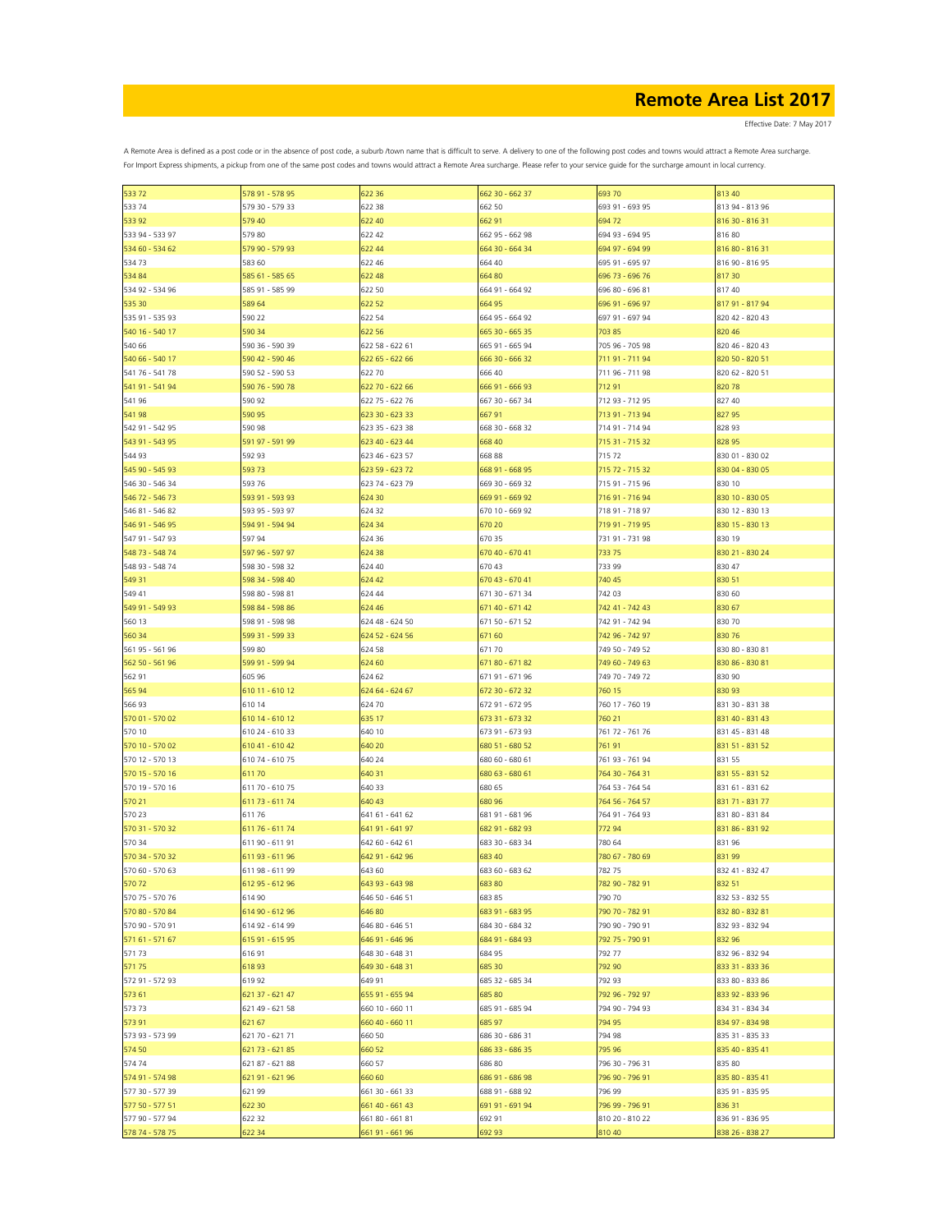Effective Date: 7 May 2017

| 53372           | 578 91 - 578 95 | 622 36          | 662 30 - 662 37 | 69370           | 813 40          |
|-----------------|-----------------|-----------------|-----------------|-----------------|-----------------|
| 533 74          | 579 30 - 579 33 | 622 38          | 662 50          | 693 91 - 693 95 | 813 94 - 813 96 |
| 533 92          | 579 40          | 622 40          | 662 91          | 69472           | 816 30 - 816 31 |
| 533 94 - 533 97 | 579 80          | 622 42          | 662 95 - 662 98 | 694 93 - 694 95 | 81680           |
| 534 60 - 534 62 | 579 90 - 579 93 | 622 44          | 664 30 - 664 34 | 694 97 - 694 99 | 816 80 - 816 31 |
|                 |                 |                 |                 |                 |                 |
| 53473           | 583 60          | 622 46          | 664 40          | 695 91 - 695 97 | 816 90 - 816 95 |
| 534 84          | 585 61 - 585 65 | 622 48          | 66480           | 696 73 - 696 76 | 81730           |
| 534 92 - 534 96 | 585 91 - 585 99 | 622 50          | 664 91 - 664 92 | 696 80 - 696 81 | 817 40          |
| 535 30          | 589 64          | 622 52          | 664 95          | 696 91 - 696 97 | 817 91 - 817 94 |
| 535 91 - 535 93 | 590 22          | 622 54          | 664 95 - 664 92 | 697 91 - 697 94 | 820 42 - 820 43 |
| 540 16 - 540 17 | 590 34          | 622 56          | 665 30 - 665 35 | 703 85          | 820 46          |
| 540 66          | 590 36 - 590 39 | 622 58 - 622 61 | 665 91 - 665 94 | 705 96 - 705 98 | 820 46 - 820 43 |
| 540 66 - 540 17 | 590 42 - 590 46 | 622 65 - 622 66 | 666 30 - 666 32 | 711 91 - 711 94 | 820 50 - 820 51 |
| 541 76 - 541 78 | 590 52 - 590 53 | 622 70          | 666 40          | 711 96 - 711 98 | 820 62 - 820 51 |
| 541 91 - 541 94 |                 |                 |                 |                 |                 |
|                 | 590 76 - 590 78 | 622 70 - 622 66 | 666 91 - 666 93 | 71291           | 82078           |
| 541 96          | 590 92          | 622 75 - 622 76 | 667 30 - 667 34 | 712 93 - 712 95 | 827 40          |
| 541 98          | 590 95          | 623 30 - 623 33 | 66791           | 713 91 - 713 94 | 82795           |
| 542 91 - 542 95 | 590 98          | 623 35 - 623 38 | 668 30 - 668 32 | 714 91 - 714 94 | 828 93          |
| 543 91 - 543 95 | 591 97 - 591 99 | 623 40 - 623 44 | 668 40          | 715 31 - 715 32 | 828 95          |
| 544 93          | 592 93          | 623 46 - 623 57 | 668 88          | 71572           | 830 01 - 830 02 |
| 545 90 - 545 93 | 59373           | 623 59 - 623 72 | 668 91 - 668 95 | 715 72 - 715 32 | 830 04 - 830 05 |
| 546 30 - 546 34 | 593 76          | 623 74 - 623 79 | 669 30 - 669 32 | 715 91 - 715 96 | 830 10          |
| 546 72 - 546 73 | 593 91 - 593 93 | 624 30          | 669 91 - 669 92 | 716 91 - 716 94 | 830 10 - 830 05 |
|                 | 593 95 - 593 97 |                 |                 |                 |                 |
| 546 81 - 546 82 |                 | 624 32          | 670 10 - 669 92 | 718 91 - 718 97 | 830 12 - 830 13 |
| 546 91 - 546 95 | 594 91 - 594 94 | 624 34          | 670 20          | 719 91 - 719 95 | 830 15 - 830 13 |
| 547 91 - 547 93 | 597 94          | 624 36          | 670 35          | 731 91 - 731 98 | 830 19          |
| 548 73 - 548 74 | 597 96 - 597 97 | 624 38          | 670 40 - 670 41 | 733 75          | 830 21 - 830 24 |
| 548 93 - 548 74 | 598 30 - 598 32 | 624 40          | 670 43          | 733 99          | 830 47          |
| 549 31          | 598 34 - 598 40 | 624 42          | 670 43 - 670 41 | 740 45          | 830 51          |
| 549 41          | 598 80 - 598 81 | 624 44          | 671 30 - 671 34 | 742 03          | 830 60          |
| 549 91 - 549 93 | 598 84 - 598 86 | 624 46          | 671 40 - 671 42 | 742 41 - 742 43 | 830 67          |
| 560 13          | 598 91 - 598 98 | 624 48 - 624 50 | 671 50 - 671 52 | 742 91 - 742 94 | 830 70          |
| 560 34          | 599 31 - 599 33 | 624 52 - 624 56 | 671 60          | 742 96 - 742 97 | 830 76          |
|                 |                 |                 |                 |                 |                 |
| 561 95 - 561 96 | 599 80          | 624 58          | 67170           | 749 50 - 749 52 | 830 80 - 830 81 |
| 562 50 - 561 96 | 599 91 - 599 94 | 624 60          | 671 80 - 671 82 | 749 60 - 749 63 | 830 86 - 830 81 |
| 562 91          | 605 96          | 624 62          | 671 91 - 671 96 | 749 70 - 749 72 | 830 90          |
| 565 94          | 610 11 - 610 12 | 624 64 - 624 67 | 672 30 - 672 32 | 760 15          | 830 93          |
| 566 93          | 610 14          | 62470           | 672 91 - 672 95 | 760 17 - 760 19 | 831 30 - 831 38 |
| 570 01 - 570 02 | 610 14 - 610 12 | 635 17          | 673 31 - 673 32 | 760 21          | 831 40 - 831 43 |
| 570 10          | 610 24 - 610 33 | 640 10          | 673 91 - 673 93 | 761 72 - 761 76 | 831 45 - 831 48 |
| 570 10 - 570 02 | 610 41 - 610 42 | 640 20          | 680 51 - 680 52 | 761 91          | 831 51 - 831 52 |
| 570 12 - 570 13 | 610 74 - 610 75 | 640 24          | 680 60 - 680 61 | 761 93 - 761 94 | 831 55          |
| 570 15 - 570 16 | 61170           | 640 31          | 680 63 - 680 61 | 764 30 - 764 31 | 831 55 - 831 52 |
| 570 19 - 570 16 | 611 70 - 610 75 |                 |                 |                 | 831 61 - 831 62 |
|                 |                 | 640 33          | 680 65          | 764 53 - 764 54 |                 |
| 570 21          | 611 73 - 611 74 | 640 43          | 680 96          | 764 56 - 764 57 | 831 71 - 831 77 |
| 570 23          | 61176           | 641 61 - 641 62 | 681 91 - 681 96 | 764 91 - 764 93 | 831 80 - 831 84 |
| 570 31 - 570 32 | 611 76 - 611 74 | 641 91 - 641 97 | 682 91 - 682 93 | 772 94          | 831 86 - 831 92 |
| 570 34          | 611 90 - 611 91 | 642 60 - 642 61 | 683 30 - 683 34 | 780 64          | 831 96          |
| 570 34 - 570 32 | 611 93 - 611 96 | 642 91 - 642 96 | 683 40          | 780 67 - 780 69 | 83199           |
| 570 60 - 570 63 | 611 98 - 611 99 | 643 60          | 683 60 - 683 62 | 782 75          | 832 41 - 832 47 |
| 57072           | 612 95 - 612 96 | 643 93 - 643 98 | 68380           | 782 90 - 782 91 | 832 51          |
| 570 75 - 570 76 | 614 90          | 646 50 - 646 51 | 683 85          | 790 70          | 832 53 - 832 55 |
| 570 80 - 570 84 | 614 90 - 612 96 | 646 80          | 683 91 - 683 95 | 790 70 - 782 91 | 832 80 - 832 81 |
| 570 90 - 570 91 | 614 92 - 614 99 | 646 80 - 646 51 | 684 30 - 684 32 | 790 90 - 790 91 | 832 93 - 832 94 |
|                 |                 | 646 91 - 646 96 |                 |                 |                 |
| 571 61 - 571 67 | 615 91 - 615 95 |                 | 684 91 - 684 93 | 792 75 - 790 91 | 832 96          |
| 57173           | 61691           | 648 30 - 648 31 | 684 95          | 792 77          | 832 96 - 832 94 |
| 57175           | 61893           | 649 30 - 648 31 | 685 30          | 792 90          | 833 31 - 833 36 |
| 572 91 - 572 93 | 61992           | 649 91          | 685 32 - 685 34 | 792 93          | 833 80 - 833 86 |
| 573 61          | 621 37 - 621 47 | 655 91 - 655 94 | 68580           | 792 96 - 792 97 | 833 92 - 833 96 |
| 57373           | 621 49 - 621 58 | 660 10 - 660 11 | 685 91 - 685 94 | 794 90 - 794 93 | 834 31 - 834 34 |
| 57391           | 621 67          | 660 40 - 660 11 | 68597           | 794 95          | 834 97 - 834 98 |
| 573 93 - 573 99 | 621 70 - 621 71 | 660 50          | 686 30 - 686 31 | 794 98          | 835 31 - 835 33 |
| 574 50          | 621 73 - 621 85 | 660 52          | 686 33 - 686 35 | 795 96          | 835 40 - 835 41 |
| 57474           | 621 87 - 621 88 | 660 57          | 686 80          | 796 30 - 796 31 | 835 80          |
| 574 91 - 574 98 | 621 91 - 621 96 | 660 60          | 686 91 - 686 98 | 796 90 - 796 91 |                 |
|                 |                 |                 |                 |                 | 835 80 - 835 41 |
| 577 30 - 577 39 | 62199           | 661 30 - 661 33 | 688 91 - 688 92 | 796 99          | 835 91 - 835 95 |
| 577 50 - 577 51 | 622 30          | 661 40 - 661 43 | 691 91 - 691 94 | 796 99 - 796 91 | 836 31          |
| 577 90 - 577 94 | 622 32          | 661 80 - 661 81 | 692 91          | 810 20 - 810 22 | 836 91 - 836 95 |
| 578 74 - 578 75 | 622 34          | 661 91 - 661 96 | 692 93          | 810 40          | 838 26 - 838 27 |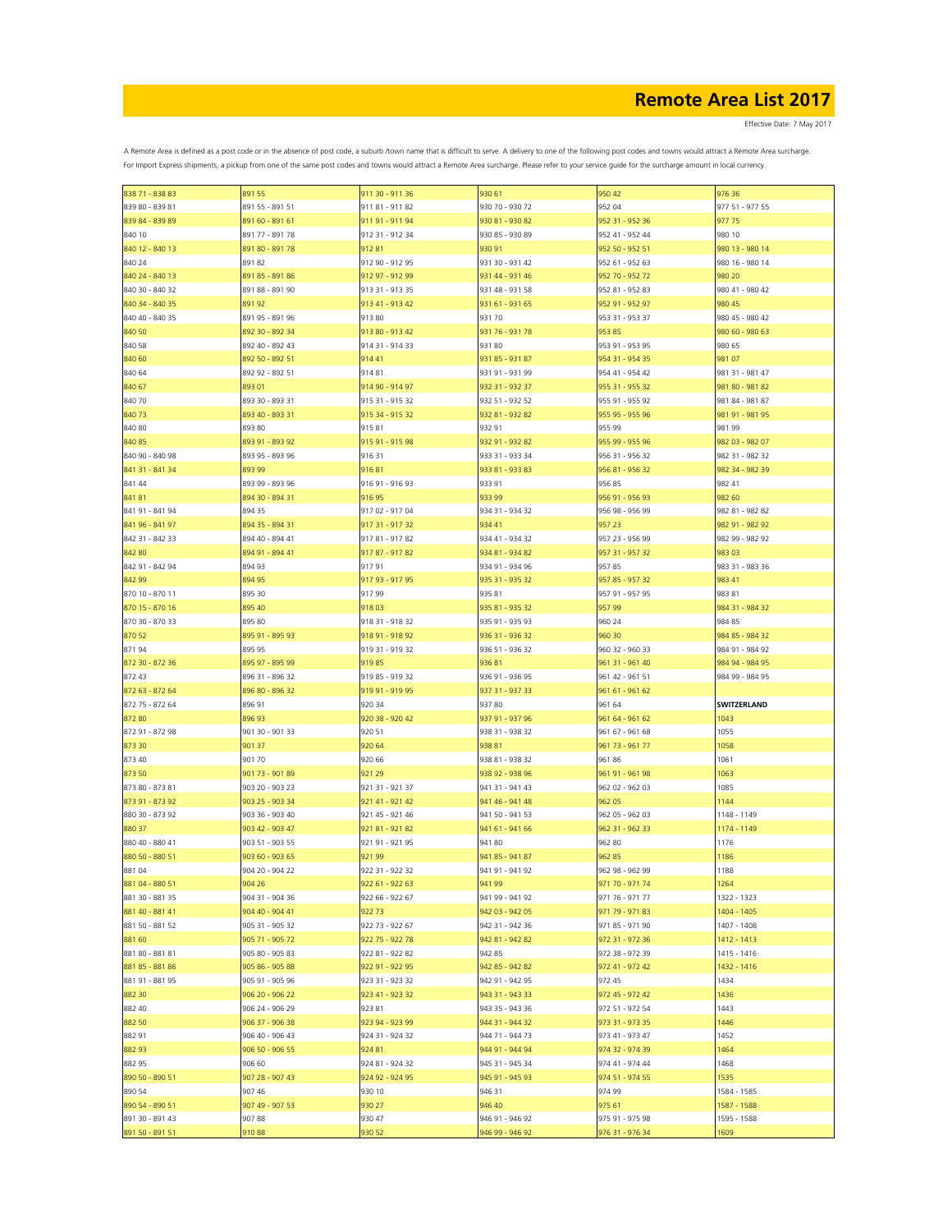| 838 71 - 838 83                    | 891 55          | 911 30 - 911 36  | 930 61                             | 950 42                             | 976 36              |
|------------------------------------|-----------------|------------------|------------------------------------|------------------------------------|---------------------|
| 839 80 - 839 81                    | 891 55 - 891 51 | 911 81 - 911 82  | 930 70 - 930 72                    | 952 04                             | 977 51 - 977 55     |
| 839 84 - 839 89                    | 891 60 - 891 61 | 911 91 - 911 94  | 930 81 - 930 82                    | 952 31 - 952 36                    | 977 75              |
| 840 10                             | 891 77 - 891 78 | 912 31 - 912 34  | 930 85 - 930 89                    | 952 41 - 952 44                    | 980 10              |
| 840 12 - 840 13                    | 891 80 - 891 78 | 91281            | 930 91                             | 952 50 - 952 51                    | 980 13 - 980 14     |
| 840 24                             | 89182           | 912 90 - 912 95  | 931 30 - 931 42                    | 952 61 - 952 63                    | 980 16 - 980 14     |
|                                    |                 |                  |                                    |                                    |                     |
| 840 24 - 840 13                    | 891 85 - 891 86 | 912 97 - 912 99  | 931 44 - 931 46                    | 952 70 - 952 72                    | 980 20              |
| 840 30 - 840 32                    | 891 88 - 891 90 | 913 31 - 913 35  | 931 48 - 931 58                    | 952 81 - 952 83                    | 980 41 - 980 42     |
| 840 34 - 840 35                    | 89192           | 913 41 - 913 42  | 931 61 - 931 65                    | 952 91 - 952 97                    | 980 45              |
| 840 40 - 840 35                    | 891 95 - 891 96 | 91380            | 93170                              | 953 31 - 953 37                    | 980 45 - 980 42     |
| 840 50                             | 892 30 - 892 34 | 913 80 - 913 42  | 931 76 - 931 78                    | 953 85                             | 980 60 - 980 63     |
| 840 58                             | 892 40 - 892 43 | 914 31 - 914 33  | 931 80                             | 953 91 - 953 95                    | 980 65              |
|                                    | 892 50 - 892 51 | 91441            |                                    | 954 31 - 954 35                    |                     |
| 840 60                             |                 |                  | 931 85 - 931 87                    |                                    | 981 07              |
| 840 64                             | 892 92 - 892 51 | 91481            | 931 91 - 931 99                    | 954 41 - 954 42                    | 981 31 - 981 47     |
| 840 67                             | 893 01          | 914 90 - 914 97  | 932 31 - 932 37                    | 955 31 - 955 32                    | 981 80 - 981 82     |
| 840 70                             | 893 30 - 893 31 | 915 31 - 915 32  | 932 51 - 932 52                    | 955 91 - 955 92                    | 981 84 - 981 87     |
| 84073                              | 893 40 - 893 31 | 915 34 - 915 32  | 932 81 - 932 82                    | 955 95 - 955 96                    | 981 91 - 981 95     |
| 840 80                             | 893 80          | 91581            | 932 91                             | 955 99                             | 981 99              |
| 840 85                             | 893 91 - 893 92 | 915 91 - 915 98  | 932 91 - 932 82                    | 955 99 - 955 96                    | 982 03 - 982 07     |
| 840 90 - 840 98                    | 893 95 - 893 96 | 91631            | 933 31 - 933 34                    | 956 31 - 956 32                    | 982 31 - 982 32     |
|                                    |                 |                  |                                    |                                    |                     |
| 841 31 - 841 34                    | 893 99          | 91681            | 933 81 - 933 83                    | 956 81 - 956 32                    | 982 34 - 982 39     |
| 841 44                             | 893 99 - 893 96 | 916 91 - 916 93  | 933 91                             | 956 85                             | 982 41              |
| 84181                              | 894 30 - 894 31 | 91695            | 933 99                             | 956 91 - 956 93                    | 982 60              |
| 841 91 - 841 94                    | 894 35          | 917 02 - 917 04  | 934 31 - 934 32                    | 956 98 - 956 99                    | 982 81 - 982 82     |
| 841 96 - 841 97                    | 894 35 - 894 31 | 917 31 - 917 32  | 934 41                             | 957 23                             | 982 91 - 982 92     |
| 842 31 - 842 33                    | 894 40 - 894 41 | 91781 - 91782    | 934 41 - 934 32                    | 957 23 - 956 99                    | 982 99 - 982 92     |
| 842 80                             | 894 91 - 894 41 | 917 87 - 917 82  | 934 81 - 934 82                    | 957 31 - 957 32                    | 983 03              |
| 842 91 - 842 94                    | 894 93          | 91791            | 934 91 - 934 96                    | 95785                              | 983 31 - 983 36     |
|                                    |                 |                  |                                    |                                    |                     |
| 842 99                             | 894 95          | 917 93 - 917 95  | 935 31 - 935 32                    | 957 85 - 957 32                    | 983 41              |
| 870 10 - 870 11                    | 895 30          | 91799            | 935 81                             | 957 91 - 957 95                    | 983 81              |
| 870 15 - 870 16                    | 895 40          | 91803            | 935 81 - 935 32                    | 957 99                             | 984 31 - 984 32     |
| 870 30 - 870 33                    | 895 80          | 918 31 - 918 32  | 935 91 - 935 93                    | 960 24                             | 984 85              |
| 870 52                             | 895 91 - 895 93 | 918 91 - 918 92  | 936 31 - 936 32                    | 960 30                             | 984 85 - 984 32     |
| 87194                              | 895 95          | 919 31 - 919 32  | 936 51 - 936 32                    | 960 32 - 960 33                    | 984 91 - 984 92     |
| 872 30 - 872 36                    | 895 97 - 895 99 | 91985            | 93681                              | 961 31 - 961 40                    | 984 94 - 984 95     |
|                                    |                 |                  |                                    |                                    |                     |
| 872 43                             | 896 31 - 896 32 | 919 85 - 919 32  | 936 91 - 936 95                    | 961 42 - 961 51                    | 984 99 - 984 95     |
| 872 63 - 872 64                    | 896 80 - 896 32 | 919 91 - 919 95  | 937 31 - 937 33                    | 961 61 - 961 62                    |                     |
| 872 75 - 872 64                    | 896 91          | 920 34           | 93780                              | 961 64                             | SWITZERLAND         |
| 872 80                             | 896 93          | 920 38 - 920 42  | 937 91 - 937 96                    | 961 64 - 961 62                    | 1043                |
| 872 91 - 872 98                    | 901 30 - 901 33 | 920 51           | 938 31 - 938 32                    | 961 67 - 961 68                    | 1055                |
| 873 30                             | 901 37          | 920 64           | 93881                              | 961 73 - 961 77                    | 1058                |
| 873 40                             | 901 70          | 920 66           | 938 81 - 938 32                    | 96186                              | 1061                |
| 873 50                             | 901 73 - 901 89 | 921 29           | 938 92 - 938 96                    | 961 91 - 961 98                    | 1063                |
|                                    |                 |                  |                                    |                                    |                     |
| 873 80 - 873 81                    | 903 20 - 903 23 | 921 31 - 921 37  | 941 31 - 941 43                    | 962 02 - 962 03                    | 1085                |
| 873 91 - 873 92                    | 903 25 - 903 34 | 921 41 - 921 42  | 941 46 - 941 48                    | 962 05                             | 1144                |
| 880 30 - 873 92                    | 903 36 - 903 40 | 921 45 - 921 46  | 941 50 - 941 53                    | 962 05 - 962 03                    | 1148 - 1149         |
| 880 37                             | 903 42 - 903 47 | 921 81 - 921 82  | 941 61 - 941 66                    | 962 31 - 962 33                    | 1174 - 1149         |
| 880 40 - 880 41                    | 903 51 - 903 55 | 921 91 - 921 95  | 94180                              | 962 80                             | 1176                |
| 880 50 - 880 51                    |                 |                  |                                    |                                    |                     |
| 881 04                             | 903 60 - 903 65 | 92199            | 941 85 - 941 87                    | 962 85                             | 1186                |
|                                    |                 |                  |                                    |                                    |                     |
|                                    | 904 20 - 904 22 | 922 31 - 922 32  | 941 91 - 941 92                    | 962 98 - 962 99                    | 1188                |
| 881 04 - 880 51                    | 904 26          | 922 61 - 922 63  | 941 99                             | 971 70 - 971 74                    | 1264                |
| 881 30 - 881 35                    | 904 31 - 904 36 | 922 66 - 922 67  | 941 99 - 941 92                    | 971 76 - 971 77                    | 1322 - 1323         |
| 881 40 - 881 41                    | 904 40 - 904 41 | 92273            | 942 03 - 942 05                    | 971 79 - 971 83                    | 1404 - 1405         |
| 881 50 - 881 52                    | 905 31 - 905 32 | 922 73 - 922 67  | 942 31 - 942 36                    | 971 85 - 971 90                    | 1407 - 1408         |
| 881 60                             | 905 71 - 905 72 | 922 75 - 922 78  | 942 81 - 942 82                    | 972 31 - 972 36                    | 1412 - 1413         |
| 881 80 - 881 81                    | 905 80 - 905 83 | 922 81 - 922 82  | 942 85                             | 972 38 - 972 39                    | 1415 - 1416         |
| 881 85 - 881 86                    | 905 86 - 905 88 | 922 91 - 922 95  | 942 85 - 942 82                    | 972 41 - 972 42                    | 1432 - 1416         |
|                                    |                 |                  |                                    |                                    |                     |
| 881 91 - 881 95                    | 905 91 - 905 96 | 923 31 - 923 32  | 942 91 - 942 95                    | 972 45                             | 1434                |
| 882 30                             | 906 20 - 906 22 | 923 41 - 923 32  | 943 31 - 943 33                    | 972 45 - 972 42                    | 1436                |
| 882 40                             | 906 24 - 906 29 | 92381            | 943 35 - 943 36                    | 972 51 - 972 54                    | 1443                |
| 882 50                             | 906 37 - 906 38 | 923 94 - 923 99  | 944 31 - 944 32                    | 973 31 - 973 35                    | 1446                |
| 882 91                             | 906 40 - 906 43 | 924 31 - 924 32  | 944 71 - 944 73                    | 973 41 - 973 47                    | 1452                |
| 882 93                             | 906 50 - 906 55 | 924 81           | 944 91 - 944 94                    | 974 32 - 974 39                    | 1464                |
| 882 95                             | 906 60          | 924 81 - 924 32  | 945 31 - 945 34                    | 974 41 - 974 44                    | 1468                |
|                                    |                 | 924 92 - 924 95  |                                    |                                    |                     |
| 890 50 - 890 51                    | 907 28 - 907 43 |                  | 945 91 - 945 93                    | 974 51 - 974 55                    | 1535                |
| 890 54                             | 907 46          | 930 10           | 946 31                             | 974 99                             | 1584 - 1585         |
| 890 54 - 890 51                    | 907 49 - 907 53 | 930 27           | 946 40                             | 975 61                             | 1587 - 1588         |
| 891 30 - 891 43<br>891 50 - 891 51 | 90788<br>91088  | 930 47<br>930 52 | 946 91 - 946 92<br>946 99 - 946 92 | 975 91 - 975 98<br>976 31 - 976 34 | 1595 - 1588<br>1609 |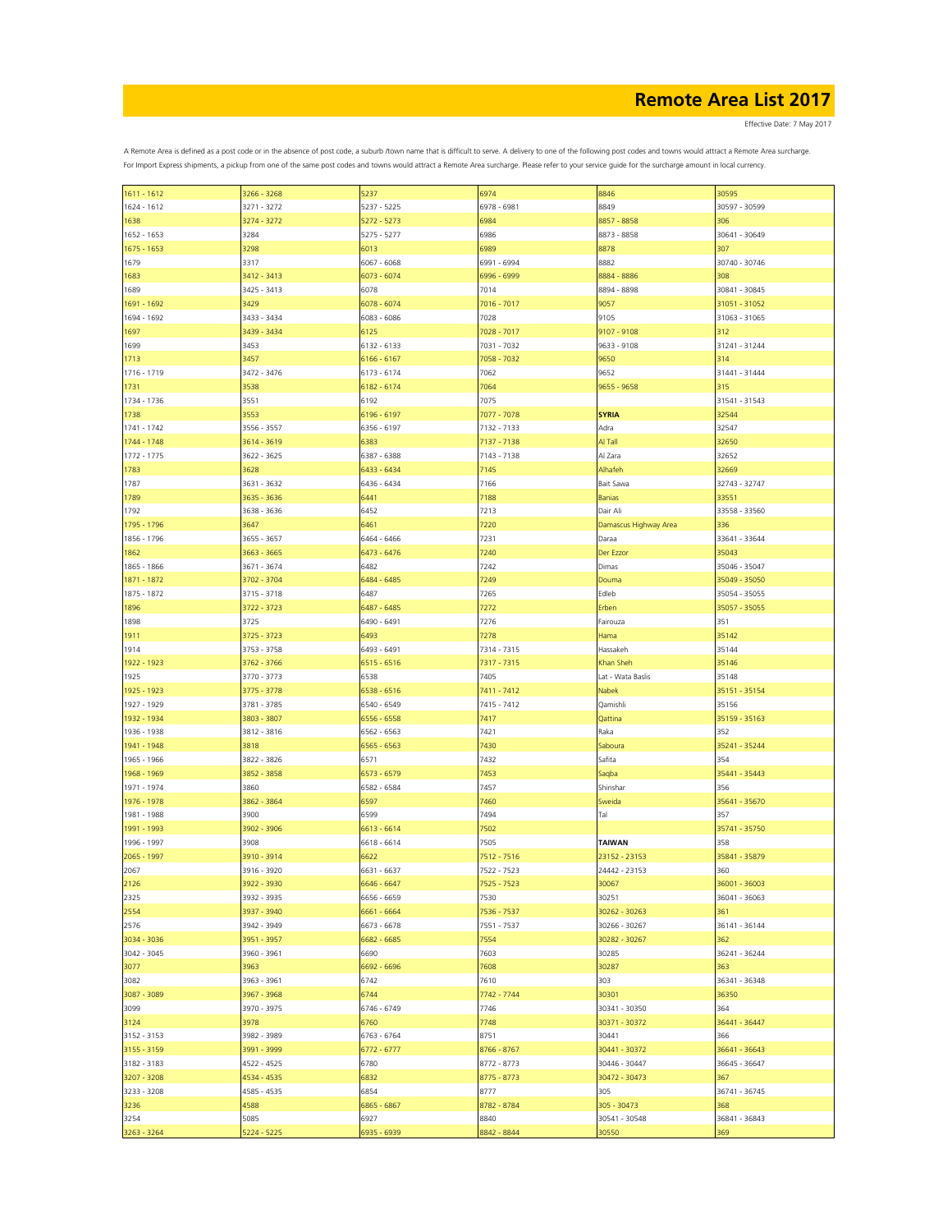Effective Date: 7 May 2017

| $1611 - 1612$ | 3266 - 3268 | 5237        | 6974        | 8846                  | 30595         |
|---------------|-------------|-------------|-------------|-----------------------|---------------|
| 1624 - 1612   | 3271 - 3272 | 5237 - 5225 | 6978 - 6981 | 8849                  | 30597 - 30599 |
|               |             | 5272 - 5273 |             | 8857 - 8858           |               |
| 1638          | 3274 - 3272 |             | 6984        |                       | 306           |
| 1652 - 1653   | 3284        | 5275 - 5277 | 6986        | 8873 - 8858           | 30641 - 30649 |
| 1675 - 1653   | 3298        | 6013        | 6989        | 8878                  | 307           |
| 1679          | 3317        | 6067 - 6068 | 6991 - 6994 | 8882                  | 30740 - 30746 |
|               |             |             |             |                       |               |
| 1683          | 3412 - 3413 | 6073 - 6074 | 6996 - 6999 | 8884 - 8886           | 308           |
| 1689          | 3425 - 3413 | 6078        | 7014        | 8894 - 8898           | 30841 - 30845 |
| 1691 - 1692   | 3429        | 6078 - 6074 | 7016 - 7017 | 9057                  | 31051 - 31052 |
| 1694 - 1692   | 3433 - 3434 | 6083 - 6086 | 7028        | 9105                  | 31063 - 31065 |
|               |             |             |             |                       |               |
| 1697          | 3439 - 3434 | 6125        | 7028 - 7017 | 9107 - 9108           | 312           |
| 1699          | 3453        | 6132 - 6133 | 7031 - 7032 | 9633 - 9108           | 31241 - 31244 |
| 1713          | 3457        | 6166 - 6167 | 7058 - 7032 | 9650                  | 314           |
| 1716 - 1719   | 3472 - 3476 | 6173 - 6174 | 7062        | 9652                  | 31441 - 31444 |
|               |             |             |             |                       |               |
| 1731          | 3538        | 6182 - 6174 | 7064        | 9655 - 9658           | 315           |
| 1734 - 1736   | 3551        | 6192        | 7075        |                       | 31541 - 31543 |
| 1738          | 3553        | 6196 - 6197 | 7077 - 7078 | <b>SYRIA</b>          | 32544         |
| 1741 - 1742   | 3556 - 3557 | 6356 - 6197 | 7132 - 7133 | Adra                  | 32547         |
|               |             |             |             |                       |               |
| 1744 - 1748   | 3614 - 3619 | 5383        | 7137 - 7138 | Al Tall               | 32650         |
| 1772 - 1775   | 3622 - 3625 | 6387 - 6388 | 7143 - 7138 | Al Zara               | 32652         |
| 1783          | 3628        | 6433 - 6434 | 7145        | Alhafeh               | 32669         |
|               |             |             | 7166        |                       |               |
| 1787          | 3631 - 3632 | 6436 - 6434 |             | Bait Sawa             | 32743 - 32747 |
| 1789          | 3635 - 3636 | 6441        | 7188        | <b>Banias</b>         | 33551         |
| 1792          | 3638 - 3636 | 6452        | 7213        | Dair Ali              | 33558 - 33560 |
| 1795 - 1796   | 3647        | 6461        | 7220        | Damascus Highway Area | 336           |
|               |             |             |             |                       |               |
| 1856 - 1796   | 3655 - 3657 | 6464 - 6466 | 7231        | Daraa                 | 33641 - 33644 |
| 1862          | 3663 - 3665 | 6473 - 6476 | 7240        | Der Ezzor             | 35043         |
| 1865 - 1866   | 3671 - 3674 | 6482        | 7242        | Dimas                 | 35046 - 35047 |
| 1871 - 1872   | 3702 - 3704 | 6484 - 6485 | 7249        | Douma                 | 35049 - 35050 |
|               |             |             |             |                       |               |
| 1875 - 1872   | 3715 - 3718 | 6487        | 7265        | Edleb                 | 35054 - 35055 |
| 1896          | 3722 - 3723 | 6487 - 6485 | 7272        | Erben                 | 35057 - 35055 |
| 1898          | 3725        | 6490 - 6491 | 7276        | Fairouza              | 351           |
| 1911          | 3725 - 3723 | 6493        | 7278        | Hama                  | 35142         |
|               |             |             |             |                       |               |
| 1914          | 3753 - 3758 | 6493 - 6491 | 7314 - 7315 | Hassakeh              | 35144         |
| 1922 - 1923   | 3762 - 3766 | 6515 - 6516 | 7317 - 7315 | Khan Sheh             | 35146         |
| 1925          | 3770 - 3773 | 6538        | 7405        | Lat - Wata Baslis     | 35148         |
| 1925 - 1923   | 3775 - 3778 | 6538 - 6516 | 7411 - 7412 | Nabek                 | 35151 - 35154 |
|               |             |             |             |                       |               |
| 1927 - 1929   | 3781 - 3785 | 6540 - 6549 | 7415 - 7412 | Qamishli              | 35156         |
| 1932 - 1934   | 3803 - 3807 | 6556 - 6558 | 7417        | Qattina               | 35159 - 35163 |
| 1936 - 1938   | 3812 - 3816 | 6562 - 6563 | 7421        | Raka                  | 352           |
| 1941 - 1948   | 3818        | 6565 - 6563 | 7430        | Saboura               | 35241 - 35244 |
|               |             |             |             |                       |               |
| 1965 - 1966   | 3822 - 3826 | 6571        | 7432        | Safita                | 354           |
| 1968 - 1969   | 3852 - 3858 | 6573 - 6579 | 7453        | Saqba                 | 35441 - 35443 |
| 1971 - 1974   | 3860        | 6582 - 6584 | 7457        | Shinshar              | 356           |
|               |             |             |             |                       |               |
| 1976 - 1978   | 3862 - 3864 | 6597        | 7460        | Sweida                | 35641 - 35670 |
| 1981 - 1988   | 3900        | 6599        | 7494        | Tal                   | 357           |
| 1991 - 1993   | 3902 - 3906 | 6613 - 6614 | 7502        |                       | 35741 - 35750 |
| 1996 - 1997   | 3908        | 6618 - 6614 | 7505        | TAIWAN                | 358           |
| 2065 - 1997   | 3910 - 3914 | 6622        | 7512 - 7516 | 23152 - 23153         | 35841 - 35879 |
|               |             |             |             |                       |               |
| 2067          | 3916 - 3920 | 6631 - 6637 | 7522 - 7523 | 24442 - 23153         | 360           |
| 2126          | 3922 - 3930 | 6646 - 6647 | 7525 - 7523 | 30067                 | 36001 - 36003 |
| 2325          | 3932 - 3935 | 6656 - 6659 | 7530        | 30251                 | 36041 - 36063 |
| 2554          | 3937 - 3940 | 6661 - 6664 | 7536 - 7537 | 30262 - 30263         | 361           |
|               |             |             |             |                       |               |
| 2576          | 3942 - 3949 | 6673 - 6678 | 7551 - 7537 | 30266 - 30267         | 36141 - 36144 |
| 3034 - 3036   | 3951 - 3957 | 6682 - 6685 | 7554        | 30282 - 30267         | 362           |
| 3042 - 3045   | 3960 - 3961 | 6690        | 7603        | 30285                 | 36241 - 36244 |
| 3077          | 3963        | 6692 - 6696 | 7608        | 30287                 | 363           |
|               |             |             |             |                       |               |
| 3082          | 3963 - 3961 | 6742        | 7610        | 303                   | 36341 - 36348 |
| 3087 - 3089   | 3967 - 3968 | 6744        | 7742 - 7744 | 30301                 | 36350         |
| 3099          | 3970 - 3975 | 6746 - 6749 | 7746        | 30341 - 30350         | 364           |
| 3124          | 3978        | 6760        | 7748        | 30371 - 30372         | 36441 - 36447 |
|               |             |             |             |                       |               |
| 3152 - 3153   | 3982 - 3989 | 6763 - 6764 | 8751        | 30441                 | 366           |
| 3155 - 3159   | 3991 - 3999 | 6772 - 6777 | 8766 - 8767 | 30441 - 30372         | 36641 - 36643 |
| 3182 - 3183   | 4522 - 4525 | 6780        | 8772 - 8773 | 30446 - 30447         | 36645 - 36647 |
| 3207 - 3208   | 4534 - 4535 | 6832        | 8775 - 8773 | 30472 - 30473         | 367           |
|               |             |             |             |                       |               |
| 3233 - 3208   | 4585 - 4535 | 6854        | 8777        | 305                   | 36741 - 36745 |
| 3236          | 4588        | 6865 - 6867 | 8782 - 8784 | 305 - 30473           | 368           |
| 3254          | 5085        | 6927        | 8840        | 30541 - 30548         | 36841 - 36843 |
| 3263 - 3264   | 5224 - 5225 | 5935 - 6939 | 8842 - 8844 | 30550                 | 369           |
|               |             |             |             |                       |               |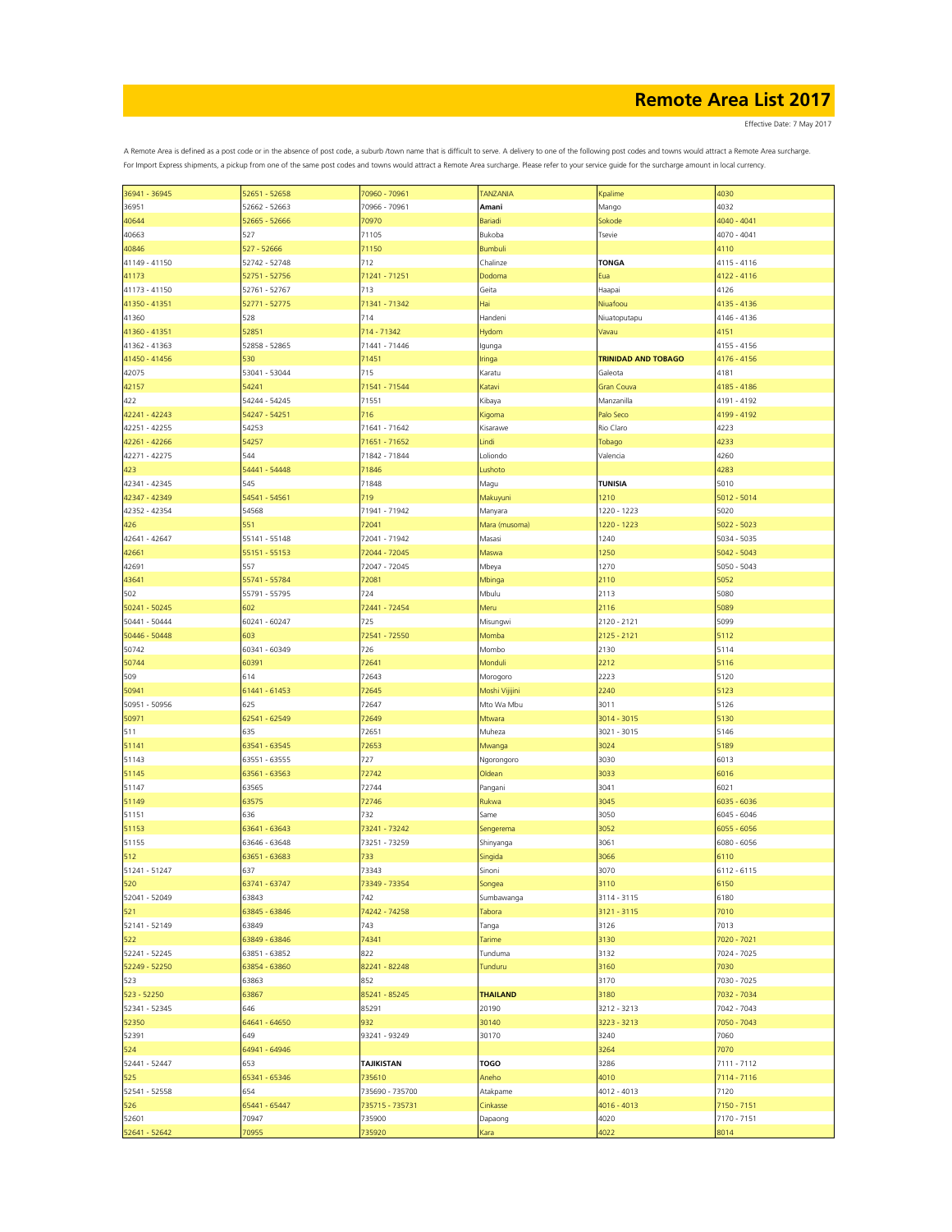Effective Date: 7 May 2017

| 36941 - 36945 | 52651 - 52658 | 70960 - 70961     | <b>TANZANIA</b> |                            | 4030          |
|---------------|---------------|-------------------|-----------------|----------------------------|---------------|
|               |               |                   |                 | Kpalime                    |               |
| 36951         | 52662 - 52663 | 70966 - 70961     | Amani           | Mango                      | 4032          |
| 40644         | 52665 - 52666 | 70970             | Bariadi         | Sokode                     | $4040 - 4041$ |
| 40663         | 527           | 71105             | Bukoba          | Tsevie                     | 4070 - 4041   |
| 40846         | 527 - 52666   | 71150             | <b>Bumbuli</b>  |                            | 4110          |
| 41149 - 41150 | 52742 - 52748 | 712               | Chalinze        | <b>TONGA</b>               | 4115 - 4116   |
|               | 52751 - 52756 |                   |                 |                            |               |
| 41173         |               | 71241 - 71251     | Dodoma          | Eua                        | 4122 - 4116   |
| 41173 - 41150 | 52761 - 52767 | 713               | Geita           | Haapai                     | 4126          |
| 41350 - 41351 | 52771 - 52775 | 71341 - 71342     | Hai             | Niuafoou                   | 4135 - 4136   |
| 41360         | 528           | 714               | Handeni         | Niuatoputapu               | 4146 - 4136   |
| 41360 - 41351 | 52851         | 714 - 71342       | Hydom           | Vavau                      | 4151          |
| 41362 - 41363 | 52858 - 52865 | 71441 - 71446     | Igunga          |                            | 4155 - 4156   |
|               | 530           | 71451             |                 | <b>TRINIDAD AND TOBAGO</b> | 4176 - 4156   |
| 41450 - 41456 |               |                   | Iringa          |                            |               |
| 42075         | 53041 - 53044 | 715               | Karatu          | Galeota                    | 4181          |
| 42157         | 54241         | 71541 - 71544     | Katavi          | Gran Couva                 | 4185 - 4186   |
| 422           | 54244 - 54245 | 71551             | Kibaya          | Manzanilla                 | 4191 - 4192   |
| 42241 - 42243 | 54247 - 54251 | 716               | Kigoma          | Palo Seco                  | 4199 - 4192   |
| 42251 - 42255 | 54253         | 71641 - 71642     | Kisarawe        | Rio Claro                  | 4223          |
| 42261 - 42266 | 54257         | 71651 - 71652     | Lindi           | Tobago                     | 4233          |
|               |               |                   |                 |                            |               |
| 42271 - 42275 | 544           | 71842 - 71844     | Loliondo        | Valencia                   | 4260          |
| 423           | 54441 - 54448 | 71846             | Lushoto         |                            | 4283          |
| 42341 - 42345 | 545           | 71848             | Magu            | <b>TUNISIA</b>             | 5010          |
| 42347 - 42349 | 54541 - 54561 | 719               | Makuyuni        | 1210                       | 5012 - 5014   |
| 42352 - 42354 | 54568         | 71941 - 71942     | Manyara         | 1220 - 1223                | 5020          |
| 426           | 551           | 72041             | Mara (musoma)   | 1220 - 1223                | $5022 - 5023$ |
|               |               |                   |                 |                            |               |
| 42641 - 42647 | 55141 - 55148 | 72041 - 71942     | Masasi          | 1240                       | 5034 - 5035   |
| 42661         | 55151 - 55153 | 72044 - 72045     | Maswa           | 1250                       | $5042 - 5043$ |
| 42691         | 557           | 72047 - 72045     | Mbeya           | 1270                       | 5050 - 5043   |
| 43641         | 55741 - 55784 | 72081             | Mbinga          | 2110                       | 5052          |
| 502           | 55791 - 55795 | 724               | Mbulu           | 2113                       | 5080          |
| 50241 - 50245 | 602           | 72441 - 72454     | Meru            | 2116                       | 5089          |
|               |               |                   |                 |                            |               |
| 50441 - 50444 | 60241 - 60247 | 725               | Misungwi        | 2120 - 2121                | 5099          |
| 50446 - 50448 | 603           | 72541 - 72550     | Momba           | 2125 - 2121                | 5112          |
| 50742         | 60341 - 60349 | 726               | Mombo           | 2130                       | 5114          |
| 50744         | 60391         | 72641             | Monduli         | 2212                       | 5116          |
| 509           | 614           | 72643             | Morogoro        | 2223                       | 5120          |
|               | 61441 - 61453 | 72645             |                 | 2240                       | 5123          |
| 50941         |               |                   | Moshi Vijijini  |                            |               |
| 50951 - 50956 | 625           | 72647             | Mto Wa Mbu      | 3011                       | 5126          |
| 50971         | 62541 - 62549 | 72649             | Mtwara          | 3014 - 3015                | 5130          |
| 511           | 635           | 72651             | Muheza          | 3021 - 3015                | 5146          |
| 51141         | 63541 - 63545 | 72653             | Mwanga          | 3024                       | 5189          |
| 51143         | 63551 - 63555 | 727               | Ngorongoro      | 3030                       | 6013          |
|               |               |                   |                 |                            | 6016          |
| 51145         | 63561 - 63563 | 72742             | Oldean          | 3033                       |               |
| 51147         | 63565         | 72744             | Pangani         | 3041                       | 6021          |
| 51149         | 63575         | 72746             | Rukwa           | 3045                       | 6035 - 6036   |
| 51151         | 636           | 732               | Same            | 3050                       | 6045 - 6046   |
| 51153         | 63641 - 63643 | 73241 - 73242     | Sengerema       | 3052                       | 6055 - 6056   |
| 51155         | 63646 - 63648 | 73251 - 73259     | Shinyanga       | 3061                       | 6080 - 6056   |
| 512           | 63651 - 63683 | 733               | Singida         | 3066                       | 6110          |
|               |               |                   |                 |                            |               |
| 51241 - 51247 | 637           | 73343             | Sinoni          | 3070                       | $6112 - 6115$ |
| 520           | 63741 - 63747 | 73349 - 73354     | Songea          | 3110                       | 6150          |
| 52041 - 52049 | 63843         | 742               | Sumbawanga      | 3114 - 3115                | 6180          |
| 521           | 63845 - 63846 | 74242 - 74258     | Tabora          | 3121 - 3115                | 7010          |
| 52141 - 52149 | 63849         | 743               | Tanga           | 3126                       | 7013          |
| 522           | 63849 - 63846 | 74341             | Tarime          | 3130                       | 7020 - 7021   |
|               |               |                   |                 |                            |               |
| 52241 - 52245 | 63851 - 63852 | 822               | Tunduma         | 3132                       | 7024 - 7025   |
| 52249 - 52250 | 63854 - 63860 | 82241 - 82248     | Tunduru         | 3160                       | 7030          |
| 523           | 63863         | 852               |                 | 3170                       | 7030 - 7025   |
| 523 - 52250   | 63867         | 85241 - 85245     | <b>THAILAND</b> | 3180                       | 7032 - 7034   |
| 52341 - 52345 | 646           | 85291             | 20190           | 3212 - 3213                | 7042 - 7043   |
| 52350         | 64641 - 64650 | 932               | 30140           | 3223 - 3213                | 7050 - 7043   |
|               |               |                   |                 |                            |               |
| 52391         | 649           | 93241 - 93249     | 30170           | 3240                       | 7060          |
| 524           | 64941 - 64946 |                   |                 | 3264                       | 7070          |
| 52441 - 52447 | 653           | <b>TAJIKISTAN</b> | <b>TOGO</b>     | 3286                       | 7111 - 7112   |
| 525           | 65341 - 65346 | 735610            | Aneho           | 4010                       | 7114 - 7116   |
| 52541 - 52558 | 654           | 735690 - 735700   | Atakpame        | 4012 - 4013                | 7120          |
| 526           | 65441 - 65447 | 735715 - 735731   | Cinkasse        | 4016 - 4013                | 7150 - 7151   |
|               |               |                   |                 |                            |               |
| 52601         | 70947         | 735900            | Dapaong         | 4020                       | 7170 - 7151   |
| 52641 - 52642 | 70955         | 735920            | Kara            | 4022                       | 8014          |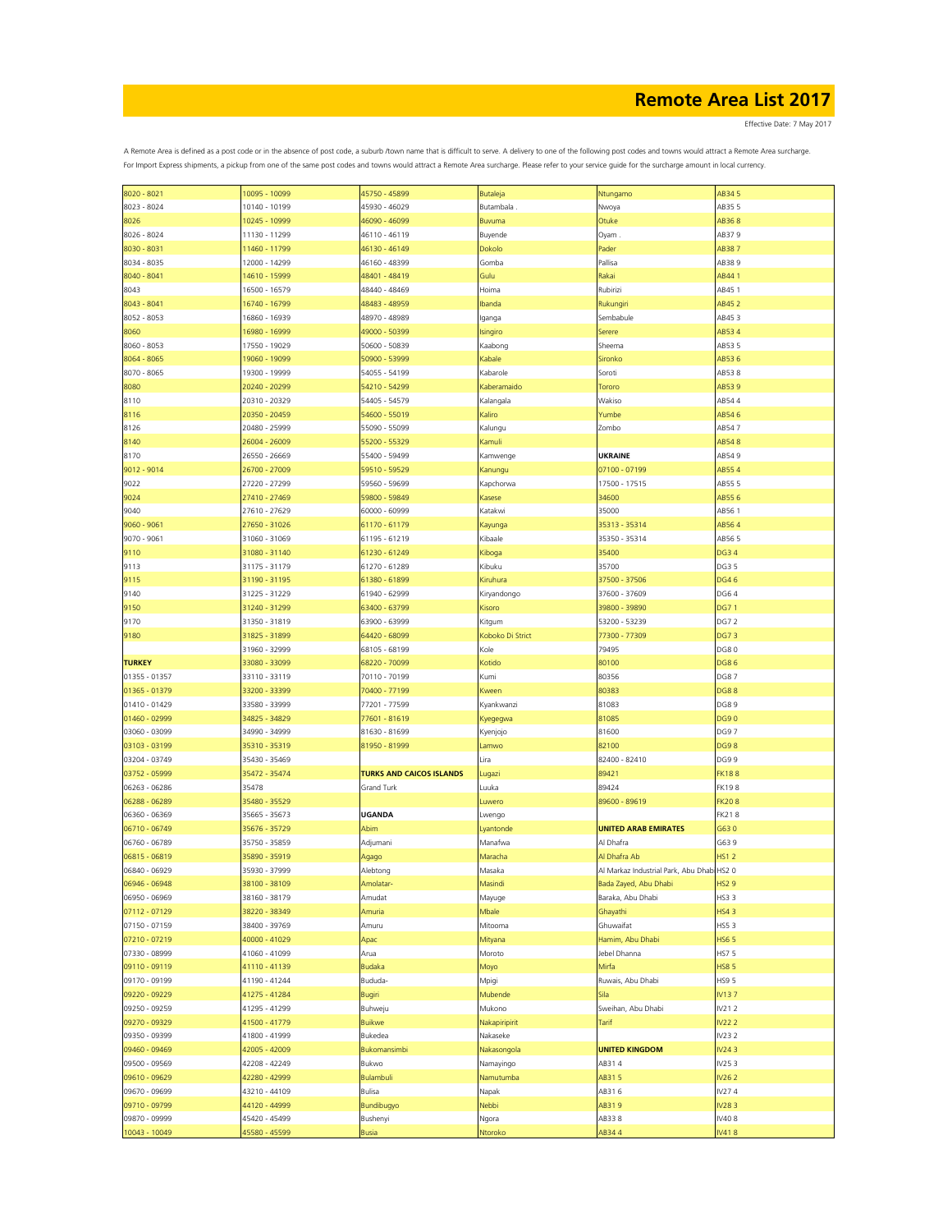Effective Date: 7 May 2017

| 8020 - 8021                    |                                |                                 |                  |                                            |                |
|--------------------------------|--------------------------------|---------------------------------|------------------|--------------------------------------------|----------------|
|                                | 10095 - 10099                  | 45750 - 45899                   | Butaleja         | Ntungamo                                   | AB34 5         |
| 8023 - 8024                    | 10140 - 10199                  | 45930 - 46029                   | Butambala        | Nwoya                                      | AB35 5         |
|                                |                                |                                 |                  |                                            |                |
| 8026                           | 10245 - 10999                  | 46090 - 46099                   | Buvuma           | Otuke                                      | AB368          |
| 8026 - 8024                    | 11130 - 11299                  | 46110 - 46119                   | Buyende          | Oyam                                       | AB379          |
| 8030 - 8031                    | 11460 - 11799                  | 46130 - 46149                   | Dokolo           | Pader                                      | AB387          |
|                                |                                |                                 |                  |                                            |                |
| 8034 - 8035                    | 12000 - 14299                  | 46160 - 48399                   | Gomba            | Pallisa                                    | AB389          |
| 8040 - 8041                    | 14610 - 15999                  | 48401 - 48419                   | Gulu             | Rakai                                      | AB441          |
| 8043                           | 16500 - 16579                  | 48440 - 48469                   | Hoima            | Rubirizi                                   | AB45 1         |
|                                |                                |                                 |                  |                                            |                |
| $8043 - 8041$                  | 16740 - 16799                  | 48483 - 48959                   | Ibanda           | Rukungiri                                  | AB45 2         |
| 8052 - 8053                    | 16860 - 16939                  | 48970 - 48989                   | Iganga           | Sembabule                                  | AB453          |
| 8060                           | 16980 - 16999                  | 49000 - 50399                   | Isingiro         | Serere                                     | AB534          |
|                                |                                |                                 |                  |                                            |                |
| 8060 - 8053                    | 17550 - 19029                  | 50600 - 50839                   | Kaabong          | Sheema                                     | AB535          |
| 8064 - 8065                    | 19060 - 19099                  | 50900 - 53999                   | Kabale           | Sironko                                    | AB536          |
| 8070 - 8065                    |                                |                                 |                  |                                            | AB538          |
|                                | 19300 - 19999                  | 54055 - 54199                   | Kabarole         | Soroti                                     |                |
| 8080                           | 20240 - 20299                  | 54210 - 54299                   | Kaberamaido      | Tororo                                     | AB539          |
| 8110                           | 20310 - 20329                  | 54405 - 54579                   | Kalangala        | Wakiso                                     | AB544          |
|                                |                                |                                 |                  |                                            |                |
| 8116                           | 20350 - 20459                  | 54600 - 55019                   | Kaliro           | Yumbe                                      | AB546          |
| 8126                           | 20480 - 25999                  | 55090 - 55099                   | Kalungu          | Zombo                                      | AB547          |
| 8140                           | 26004 - 26009                  | 55200 - 55329                   | Kamuli           |                                            | AB548          |
|                                |                                |                                 |                  |                                            |                |
| 8170                           | 26550 - 26669                  | 55400 - 59499                   | Kamwenge         | <b>UKRAINE</b>                             | AB549          |
| $9012 - 9014$                  | 26700 - 27009                  | 59510 - 59529                   | Kanungu          | 07100 - 07199                              | AB554          |
| 9022                           | 27220 - 27299                  | 59560 - 59699                   | Kapchorwa        | 17500 - 17515                              | AB55 5         |
|                                |                                |                                 |                  |                                            |                |
| 9024                           | 27410 - 27469                  | 59800 - 59849                   | Kasese           | 34600                                      | AB556          |
| 9040                           | 27610 - 27629                  | 60000 - 60999                   | Katakwi          | 35000                                      | AB561          |
| 9060 - 9061                    | 27650 - 31026                  | 61170 - 61179                   | Kayunga          | 35313 - 35314                              | AB564          |
| 9070 - 9061                    | 31060 - 31069                  | 61195 - 61219                   | Kibaale          | 35350 - 35314                              | AB565          |
|                                |                                |                                 |                  |                                            |                |
| 9110                           | 31080 - 31140                  | 61230 - 61249                   | Kiboga           | 35400                                      | <b>DG34</b>    |
| 9113                           | 31175 - 31179                  | 61270 - 61289                   | Kibuku           | 35700                                      | DG3 5          |
| 9115                           | 31190 - 31195                  | 61380 - 61899                   | Kiruhura         | 37500 - 37506                              | <b>DG46</b>    |
|                                |                                | 61940 - 62999                   |                  | 37600 - 37609                              | DG64           |
| 9140                           | 31225 - 31229                  |                                 | Kiryandongo      |                                            |                |
| 9150                           | 31240 - 31299                  | 63400 - 63799                   | Kisoro           | 39800 - 39890                              | <b>DG71</b>    |
| 9170                           | 31350 - 31819                  | 63900 - 63999                   | Kitgum           | 53200 - 53239                              | DG7 2          |
| 9180                           | 31825 - 31899                  | 64420 - 68099                   | Koboko Di Strict | 77300 - 77309                              | <b>DG73</b>    |
|                                |                                |                                 |                  |                                            |                |
|                                | 31960 - 32999                  | 68105 - 68199                   | Kole             | 79495                                      | DG80           |
| <b>TURKEY</b>                  | 33080 - 33099                  | 68220 - 70099                   | Kotido           | 80100                                      | <b>DG86</b>    |
| 01355 - 01357                  | 33110 - 33119                  | 70110 - 70199                   | Kumi             | 80356                                      | <b>DG87</b>    |
|                                |                                |                                 |                  |                                            |                |
| 01365 - 01379                  | 33200 - 33399                  | 70400 - 77199                   | Kween            | 80383                                      | <b>DG88</b>    |
| 01410 - 01429                  | 33580 - 33999                  | 77201 - 77599                   | Kyankwanzi       | 81083                                      | DG89           |
| 01460 - 02999                  | 34825 - 34829                  | 77601 - 81619                   | Kyegegwa         | 81085                                      | <b>DG90</b>    |
| 03060 - 03099                  | 34990 - 34999                  | 81630 - 81699                   | Kyenjojo         | 81600                                      | DG97           |
|                                |                                |                                 |                  |                                            |                |
| 03103 - 03199                  | 35310 - 35319                  | 81950 - 81999                   | Lamwo            | 82100                                      | <b>DG98</b>    |
| 03204 - 03749                  | 35430 - 35469                  |                                 | Lira             | 82400 - 82410                              | DG99           |
| 03752 - 05999                  |                                | <b>TURKS AND CAICOS ISLANDS</b> |                  | 89421                                      |                |
|                                |                                |                                 |                  |                                            |                |
| 06263 - 06286                  | 35472 - 35474                  |                                 | Lugazi           |                                            | <b>FK188</b>   |
|                                | 35478                          | Grand Turk                      | Luuka            | 89424                                      | FK198          |
| 06288 - 06289                  | 35480 - 35529                  |                                 | Luwero           | 89600 - 89619                              | <b>FK208</b>   |
| 06360 - 06369                  | 35665 - 35673                  | <b>UGANDA</b>                   | Lwengo           |                                            | <b>FK218</b>   |
|                                |                                |                                 |                  |                                            |                |
| 06710 - 06749                  | 35676 - 35729                  | Abim                            | Lyantonde        | <b>UNITED ARAB EMIRATES</b>                | G630           |
| 06760 - 06789                  | 35750 - 35859                  | Adjumani                        | Manafwa          | Al Dhafra                                  | G639           |
| 06815 - 06819                  | 35890 - 35919                  | Agago                           | Maracha          | Al Dhafra Ab                               | <b>HS12</b>    |
| 06840 - 06929                  | 35930 - 37999                  | Alebtong                        | Masaka           | Al Markaz Industrial Park, Abu Dhabi HS2 0 |                |
|                                |                                |                                 |                  |                                            |                |
| 06946 - 06948                  | 38100 - 38109                  | Amolatar-                       | Masindi          | Bada Zayed, Abu Dhabi                      | <b>HS29</b>    |
| 06950 - 06969                  | 38160 - 38179                  | Amudat                          | Mayuge           | Baraka, Abu Dhabi                          | HS3 3          |
| 07112 - 07129                  | 38220 - 38349                  | Amuria                          | Mbale            | Ghayathi                                   | <b>HS43</b>    |
|                                |                                |                                 |                  |                                            |                |
| 07150 - 07159                  | 38400 - 39769                  | Amuru                           | Mitooma          | Ghuwaifat                                  | HS53           |
| 07210 - 07219                  | 40000 - 41029                  | Apac                            | Mityana          | Hamim, Abu Dhabi                           | <b>HS65</b>    |
| 07330 - 08999                  | 41060 - 41099                  | Arua                            | Moroto           | Jebel Dhanna                               | <b>HS75</b>    |
| 09110 - 09119                  | 41110 - 41139                  | <b>Budaka</b>                   |                  | Mirfa                                      | <b>HS85</b>    |
|                                |                                |                                 | Moyo             |                                            |                |
| 09170 - 09199                  | 41190 - 41244                  | Bududa-                         | Mpigi            | Ruwais, Abu Dhabi                          | HS9 5          |
| 09220 - 09229                  | 41275 - 41284                  | Bugiri                          | Mubende          | Sila                                       | IV137          |
| 09250 - 09259                  | 41295 - 41299                  | Buhweju                         | Mukono           | Sweihan, Abu Dhabi                         | IV212          |
|                                |                                |                                 |                  |                                            |                |
| 09270 - 09329                  | 41500 - 41779                  | Buikwe                          | Nakapiripirit    | Tarif                                      | <b>IV222</b>   |
| 09350 - 09399                  | 41800 - 41999                  | Bukedea                         | Nakaseke         |                                            | IV23 2         |
| 09460 - 09469                  | 42005 - 42009                  | Bukomansimbi                    | Nakasongola      | <b>UNITED KINGDOM</b>                      | IV243          |
| 09500 - 09569                  | 42208 - 42249                  | Bukwo                           | Namayingo        | AB314                                      | IV253          |
|                                |                                |                                 |                  |                                            |                |
| 09610 - 09629                  | 42280 - 42999                  | Bulambuli                       | Namutumba        | AB31 5                                     | IV26 2         |
| 09670 - 09699                  | 43210 - 44109                  | Bulisa                          | Napak            | AB316                                      | IV274          |
| 09710 - 09799                  | 44120 - 44999                  | Bundibugyo                      | Nebbi            | AB319                                      | IV283          |
|                                |                                |                                 |                  |                                            |                |
| 09870 - 09999<br>10043 - 10049 | 45420 - 45499<br>45580 - 45599 | Bushenyi<br><b>Busia</b>        | Ngora<br>Ntoroko | AB338<br>AB344                             | IV408<br>IV418 |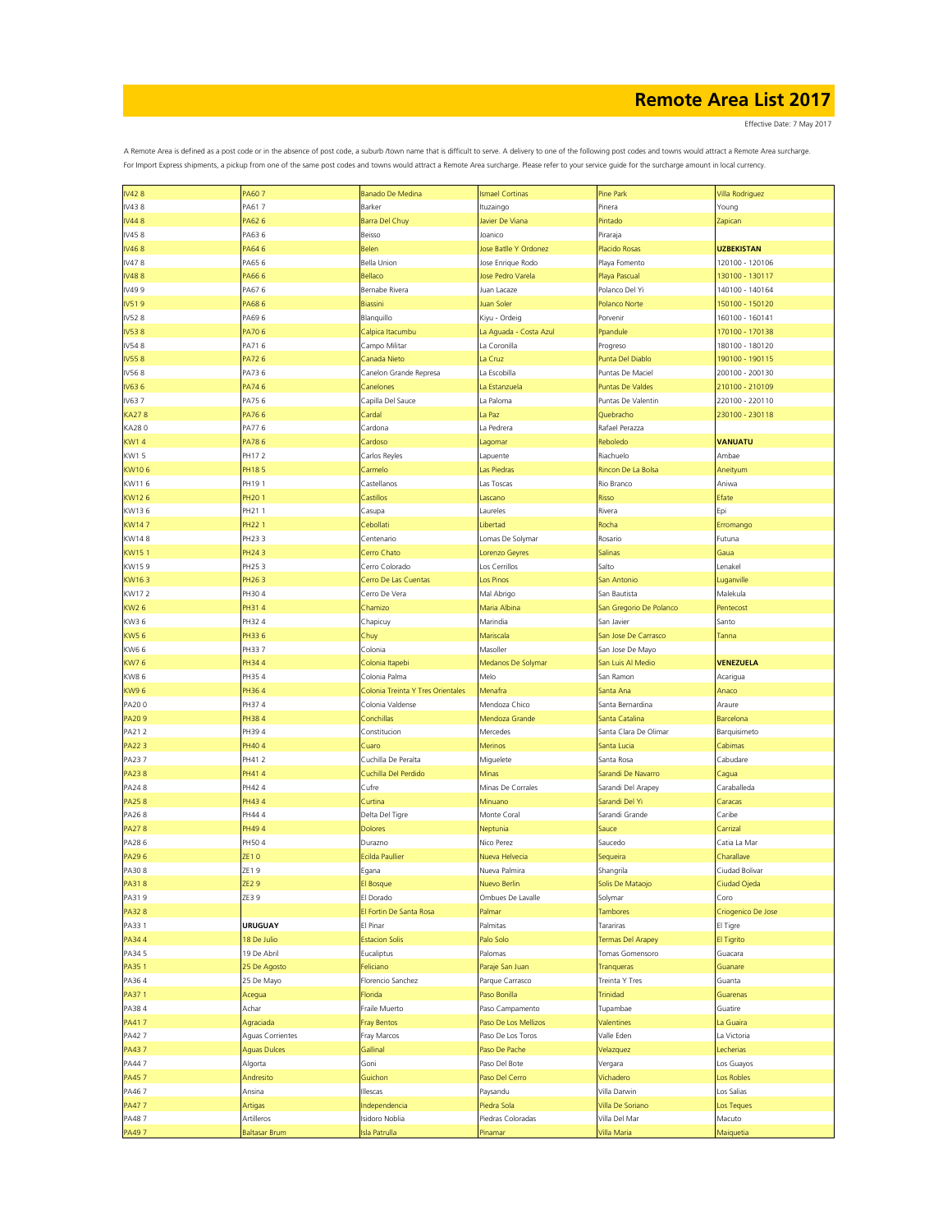Effective Date: 7 May 2017

| <b>IV428</b>   | PA607                 | <b>Banado De Medina</b>           | <b>Ismael Cortinas</b>       | Pine Park                | <b>Villa Rodriguez</b>     |
|----------------|-----------------------|-----------------------------------|------------------------------|--------------------------|----------------------------|
| IV438          | PA617                 | Barker                            | Ituzaingo                    | Pinera                   | Young                      |
| <b>IV448</b>   | PA62 6                | Barra Del Chuy                    | Javier De Viana              | Pintado                  | Zapican                    |
| IV458          | PA636                 | Beisso                            | Joanico                      | Piraraja                 |                            |
| IV468          | PA646                 | Belen                             | Jose Batlle Y Ordonez        | Placido Rosas            | <b>UZBEKISTAN</b>          |
| IV478          | PA65 6                | Bella Union                       | Jose Enrique Rodo            | Playa Fomento            | 120100 - 120106            |
| <b>IV488</b>   | PA66 6                | Bellaco                           | Jose Pedro Varela            | Playa Pascual            | 130100 - 130117            |
| IV499          | PA676                 | Bernabe Rivera                    | Juan Lacaze                  | Polanco Del Yi           | 140100 - 140164            |
| IV519          | PA686                 | Biassini                          | Juan Soler                   | Polanco Norte            | 150100 - 150120            |
|                |                       |                                   |                              |                          |                            |
| IV528          | PA696                 | Blanquillo                        | Kiyu - Ordeig                | Porvenir                 | 160100 - 160141            |
| <b>IV538</b>   | PA706                 | Calpica Itacumbu                  | La Aguada - Costa Azul       | Ppandule                 | 170100 - 170138            |
| IV548          | PA716                 | Campo Militar                     | La Coronilla                 | Progreso                 | 180100 - 180120            |
| <b>IV558</b>   | PA726                 | Canada Nieto                      | La Cruz                      | Punta Del Diablo         | 190100 - 190115            |
| IV568          | PA736                 | Canelon Grande Represa            | La Escobilla                 | Puntas De Maciel         | 200100 - 200130            |
| IV636          | PA746                 | Canelones                         | La Estanzuela                | <b>Puntas De Valdes</b>  | 210100 - 210109            |
| IV637          | PA756                 | Capilla Del Sauce                 | La Paloma                    | Puntas De Valentin       | 220100 - 220110            |
| <b>KA278</b>   | PA766                 | Cardal                            | La Paz                       | Quebracho                | 230100 - 230118            |
| KA280          | PA776                 | Cardona                           | La Pedrera                   | Rafael Perazza           |                            |
| <b>KW14</b>    | PA786                 | Cardoso                           | Lagomar                      | Reboledo                 | <b>VANUATU</b>             |
| KW15           | PH17 2                | Carlos Reyles                     | Lapuente                     | Riachuelo                | Ambae                      |
| KW106          | PH185                 | Carmelo                           | <b>Las Piedras</b>           | Rincon De La Bolsa       | Aneityum                   |
| KW116          | PH19 1                | Castellanos                       | Las Toscas                   | Rio Branco               | Aniwa                      |
| KW126          | <b>PH201</b>          | Castillos                         | Lascano                      | Risso                    | Efate                      |
| KW136          | PH211                 | Casupa                            | Laureles                     | Rivera                   | Epi                        |
| <b>KW147</b>   | <b>PH221</b>          | Cebollati                         | Libertad                     | Rocha                    | Erromango                  |
| KW148          | PH233                 | Centenario                        | Lomas De Solymar             | Rosario                  | Futuna                     |
| KW151          | PH243                 | Cerro Chato                       | Lorenzo Geyres               | Salinas                  | Gaua                       |
| KW159          | PH253                 | Cerro Colorado                    | Los Cerrillos                | Salto                    | Lenakel                    |
| KW163          | PH263                 | Cerro De Las Cuentas              | Los Pinos                    | San Antonio              | uganville                  |
| KW172          | PH304                 | Cerro De Vera                     | Mal Abrigo                   | San Bautista             | Malekula                   |
|                |                       |                                   | Maria Albina                 |                          |                            |
| <b>KW26</b>    | PH314                 | Chamizo                           |                              | San Gregorio De Polanco  | Pentecost                  |
| KW36           | PH32 4                | Chapicuy                          | Marindia                     | San Javier               | Santo                      |
| <b>KW56</b>    | PH33 6                | Chuy                              | Mariscala                    | San Jose De Carrasco     | Tanna                      |
| KW6 6          | PH337                 | Colonia                           | Masoller                     | San Jose De Mayo         |                            |
| <b>KW76</b>    | PH344                 | Colonia Itapebi                   | Medanos De Solymar           | San Luis Al Medio        | <b>VENEZUELA</b>           |
| <b>KW86</b>    | PH354                 | Colonia Palma                     | Melo                         | San Ramon                | Acarigua                   |
| <b>KW96</b>    | PH364                 | Colonia Treinta Y Tres Orientales | Menafra                      | Santa Ana                | Anaco                      |
| PA200          | PH374                 | Colonia Valdense                  | Mendoza Chico                | Santa Bernardina         | Araure                     |
|                |                       |                                   |                              |                          |                            |
| PA209          | <b>PH384</b>          | Conchillas                        | Mendoza Grande               | Santa Catalina           | Barcelona                  |
| PA212          | PH39 4                | Constitucion                      | Mercedes                     | Santa Clara De Olimar    | Barquisimeto               |
| <b>PA223</b>   | PH404                 | Cuaro                             | <b>Merinos</b>               | Santa Lucia              | Cabimas                    |
| PA237          | PH412                 | Cuchilla De Peralta               | Miguelete                    | Santa Rosa               | Cabudare                   |
| <b>PA238</b>   | PH414                 | Cuchilla Del Perdido              | Minas                        | Sarandi De Navarro       | Cagua                      |
| PA248          | PH42 4                | Cufre                             | Minas De Corrales            | Sarandi Del Arapey       | Caraballeda                |
| <b>PA258</b>   | PH43 4                | Curtina                           | Minuano                      | Sarandi Del Yi           | Caracas                    |
|                |                       |                                   | Monte Coral                  | Sarandi Grande           | Caribe                     |
| PA268          | PH44 4                | Delta Del Tigre                   |                              |                          |                            |
| <b>PA278</b>   | PH494                 | <b>Dolores</b>                    | Neptunia                     | Sauce                    | Carrizal                   |
| PA286<br>PA296 | PH504<br><b>ZE10</b>  | Durazno<br><b>Ecilda Paullier</b> | Nico Perez<br>Nueva Helvecia | Saucedo                  | Catia La Mar<br>Charallave |
|                |                       |                                   |                              | Sequeira                 |                            |
| PA308          | ZE19                  | Egana                             | Nueva Palmira                | Shangrila                | Ciudad Bolivar             |
| PA318          | <b>ZE29</b>           | El Bosque                         | Nuevo Berlin                 | Solis De Mataojo         | Ciudad Ojeda               |
| PA319          | ZE3 9                 | El Dorado                         | Ombues De Lavalle            | Solymar                  | Coro                       |
| PA328          |                       | El Fortin De Santa Rosa           | Palmar                       | Tambores                 | Criogenico De Jose         |
| PA33 1         | <b>URUGUAY</b>        | El Pinar                          | Palmitas                     | Tarariras                | El Tigre                   |
| PA344          | 18 De Julio           | <b>Estacion Solis</b>             | Palo Solo                    | <b>Termas Del Arapey</b> | El Tigrito                 |
| PA34 5         | 19 De Abril           | Eucaliptus                        | Palomas                      | Tomas Gomensoro          | Guacara                    |
| PA351          | 25 De Agosto          | Feliciano                         | Paraje San Juan              | Tranqueras               | Guanare                    |
| PA364          | 25 De Mayo            | Florencio Sanchez                 | Parque Carrasco              | Treinta Y Tres           | Guanta                     |
| PA371          | Acegua                | Florida                           | Paso Bonilla                 | Trinidad                 | Guarenas                   |
| PA384          | Achar                 | Fraile Muerto                     | Paso Campamento              | Tupambae                 | Guatire                    |
| PA417          | Agraciada             | <b>Fray Bentos</b>                | Paso De Los Mellizos         | Valentines               | La Guaira                  |
| PA42 7         | Aguas Corrientes      | Fray Marcos                       | Paso De Los Toros            | Valle Eden               | La Victoria                |
| PA437          | <b>Aguas Dulces</b>   | Gallinal                          | Paso De Pache                | Velazquez                | Lecherias                  |
| PA447          | Algorta               | Goni                              | Paso Del Bote                | Vergara                  | Los Guayos                 |
| PA457          | Andresito             | Guichon                           | Paso Del Cerro               | Vichadero                | Los Robles                 |
| PA467          | Ansina                | Illescas                          | Paysandu                     | Villa Darwin             | Los Salias                 |
| PA477          |                       | Independencia                     | Piedra Sola                  | Villa De Soriano         | Los Teques                 |
| PA487          | Artigas<br>Artilleros | Isidoro Noblia                    | Piedras Coloradas            | Villa Del Mar            | Macuto                     |